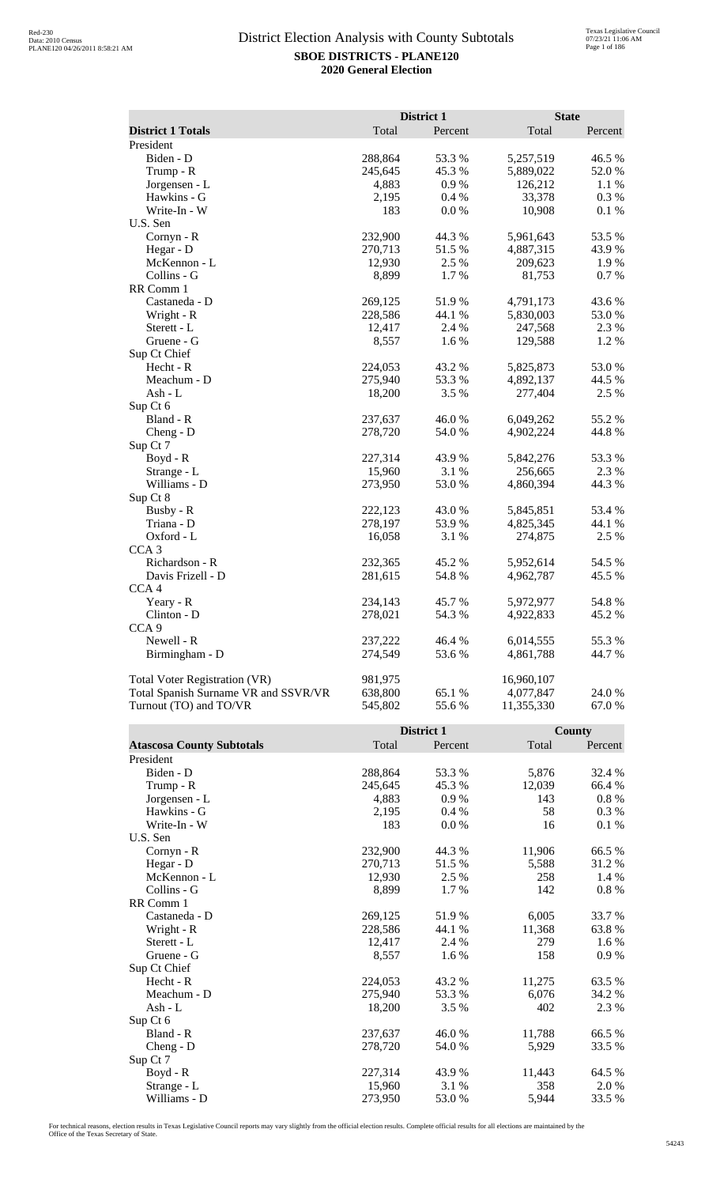|                                      |         | District 1 | <b>State</b> |          |
|--------------------------------------|---------|------------|--------------|----------|
| <b>District 1 Totals</b>             | Total   | Percent    | Total        | Percent  |
| President                            |         |            |              |          |
| Biden - D                            | 288,864 | 53.3%      | 5,257,519    | 46.5 %   |
| Trump - R                            | 245,645 | 45.3%      | 5,889,022    | 52.0%    |
| Jorgensen - L                        | 4,883   | 0.9%       | 126,212      | 1.1 %    |
| Hawkins - G                          | 2,195   | 0.4%       | 33,378       | 0.3 %    |
| Write-In - W                         | 183     | $0.0\ \%$  | 10,908       | $0.1~\%$ |
| U.S. Sen                             |         |            |              |          |
| Cornyn - R                           | 232,900 | 44.3 %     | 5,961,643    | 53.5 %   |
| Hegar - D                            | 270,713 | 51.5%      | 4,887,315    | 43.9%    |
| McKennon - L                         | 12,930  | 2.5 %      | 209,623      | 1.9%     |
| Collins - G                          | 8,899   | 1.7%       | 81,753       | 0.7 %    |
| RR Comm 1                            |         |            |              |          |
| Castaneda - D                        | 269,125 | 51.9%      | 4,791,173    | 43.6%    |
| Wright - R                           | 228,586 | 44.1 %     | 5,830,003    | 53.0%    |
| Sterett - L                          | 12,417  | 2.4 %      | 247,568      | 2.3 %    |
| Gruene - G                           | 8,557   | 1.6%       | 129,588      | 1.2%     |
| Sup Ct Chief                         |         |            |              |          |
| Hecht - R                            | 224,053 | 43.2 %     | 5,825,873    | 53.0%    |
| Meachum - D                          | 275,940 | 53.3%      | 4,892,137    | 44.5 %   |
| Ash - L                              | 18,200  | 3.5 %      | 277,404      | 2.5 %    |
| Sup Ct 6                             |         |            |              |          |
| Bland - R                            | 237,637 | 46.0%      | 6,049,262    | 55.2 %   |
| Cheng - D                            | 278,720 | 54.0 %     | 4,902,224    | 44.8%    |
| Sup Ct 7                             |         |            |              |          |
| $Boyd - R$                           | 227,314 | 43.9 %     | 5,842,276    | 53.3%    |
| Strange - L                          | 15,960  | 3.1 %      | 256,665      | 2.3 %    |
| Williams - D                         | 273,950 | 53.0 %     | 4,860,394    | 44.3 %   |
| Sup Ct 8                             |         |            |              |          |
| Busby - R                            | 222,123 | 43.0 %     | 5,845,851    | 53.4 %   |
| Triana - D                           | 278,197 | 53.9%      | 4,825,345    | 44.1 %   |
| Oxford - L                           | 16,058  | 3.1 %      | 274,875      | 2.5 %    |
| CCA <sub>3</sub>                     |         |            |              |          |
| Richardson - R                       | 232,365 | 45.2 %     | 5,952,614    | 54.5 %   |
| Davis Frizell - D                    | 281,615 | 54.8%      | 4,962,787    | 45.5 %   |
| CCA <sub>4</sub>                     |         |            |              |          |
| Yeary - R                            | 234,143 | 45.7 %     | 5,972,977    | 54.8%    |
| Clinton - D                          | 278,021 | 54.3 %     | 4,922,833    | 45.2 %   |
| CCA <sub>9</sub>                     |         |            |              |          |
| Newell - R                           | 237,222 | 46.4 %     | 6,014,555    | 55.3%    |
| Birmingham - D                       | 274,549 | 53.6%      | 4,861,788    | 44.7%    |
|                                      |         |            |              |          |
| <b>Total Voter Registration (VR)</b> | 981,975 |            | 16,960,107   |          |
| Total Spanish Surname VR and SSVR/VR | 638,800 | 65.1 %     | 4,077,847    | 24.0 %   |
| Turnout (TO) and TO/VR               | 545,802 | 55.6%      | 11,355,330   | 67.0%    |
|                                      |         |            |              |          |

|                                  |         | District 1 |        | County   |  |
|----------------------------------|---------|------------|--------|----------|--|
| <b>Atascosa County Subtotals</b> | Total   | Percent    | Total  | Percent  |  |
| President                        |         |            |        |          |  |
| Biden - D                        | 288,864 | 53.3 %     | 5,876  | 32.4 %   |  |
| Trump - R                        | 245,645 | 45.3 %     | 12,039 | 66.4 %   |  |
| Jorgensen - L                    | 4,883   | 0.9%       | 143    | $0.8 \%$ |  |
| Hawkins - G                      | 2,195   | 0.4%       | 58     | 0.3%     |  |
| Write-In - W                     | 183     | 0.0 %      | 16     | 0.1%     |  |
| U.S. Sen                         |         |            |        |          |  |
| Cornyn - R                       | 232,900 | 44.3 %     | 11,906 | 66.5%    |  |
| Hegar - D                        | 270,713 | 51.5 %     | 5,588  | 31.2%    |  |
| McKennon - L                     | 12,930  | 2.5 %      | 258    | 1.4 %    |  |
| Collins - G                      | 8,899   | 1.7 %      | 142    | $0.8 \%$ |  |
| RR Comm 1                        |         |            |        |          |  |
| Castaneda - D                    | 269,125 | 51.9%      | 6,005  | 33.7%    |  |
| Wright - R                       | 228,586 | 44.1 %     | 11,368 | 63.8%    |  |
| Sterett - L                      | 12,417  | 2.4 %      | 279    | 1.6 %    |  |
| Gruene - G                       | 8,557   | 1.6 %      | 158    | 0.9%     |  |
| Sup Ct Chief                     |         |            |        |          |  |
| $Hecht - R$                      | 224,053 | 43.2 %     | 11,275 | 63.5 %   |  |
| Meachum - D                      | 275,940 | 53.3 %     | 6.076  | 34.2 %   |  |
| Ash - $L$                        | 18,200  | 3.5 %      | 402    | 2.3 %    |  |
| Sup Ct 6                         |         |            |        |          |  |
| Bland - R                        | 237,637 | 46.0%      | 11,788 | 66.5%    |  |
| $Cheng - D$                      | 278,720 | 54.0 %     | 5,929  | 33.5 %   |  |
| Sup Ct 7                         |         |            |        |          |  |
| Boyd - R                         | 227,314 | 43.9 %     | 11,443 | 64.5 %   |  |
| Strange - L                      | 15,960  | 3.1 %      | 358    | 2.0 %    |  |
| Williams - D                     | 273,950 | 53.0%      | 5,944  | 33.5 %   |  |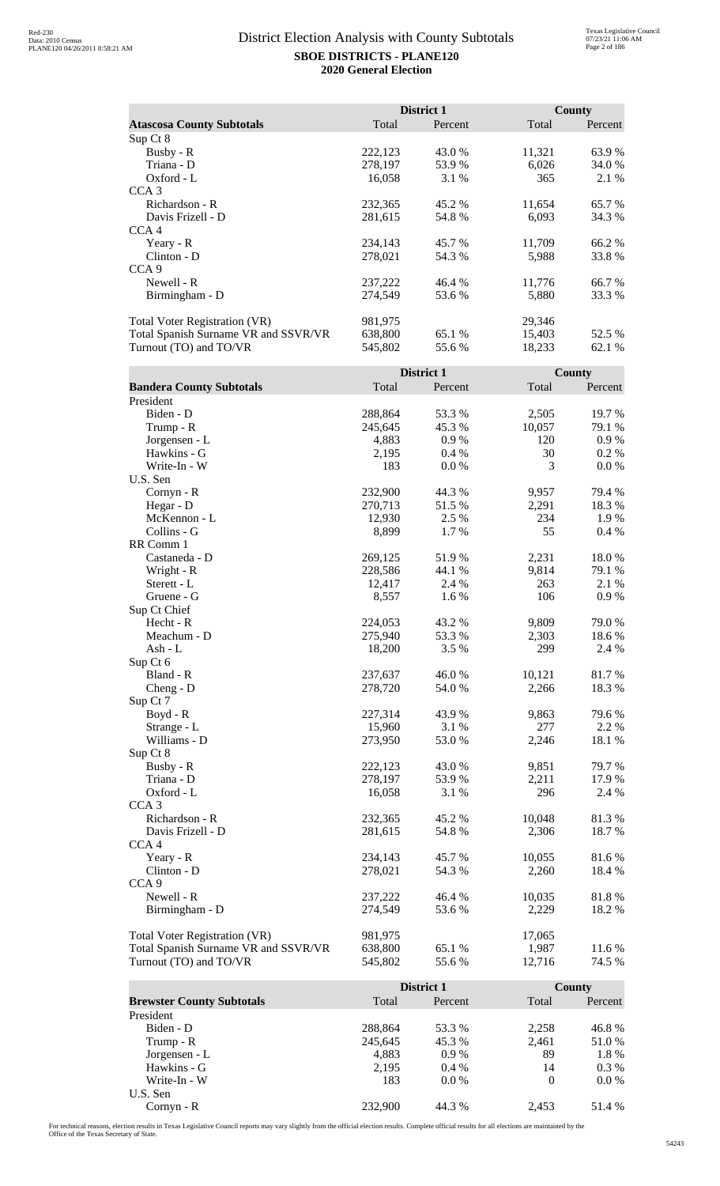|                                      |         | <b>District 1</b> | County |         |
|--------------------------------------|---------|-------------------|--------|---------|
| <b>Atascosa County Subtotals</b>     | Total   | Percent           | Total  | Percent |
| Sup Ct 8                             |         |                   |        |         |
| Busby - R                            | 222,123 | 43.0 %            | 11,321 | 63.9 %  |
| Triana - D                           | 278,197 | 53.9 %            | 6,026  | 34.0 %  |
| $Oxford - L$                         | 16,058  | 3.1 %             | 365    | 2.1 %   |
| CCA <sub>3</sub>                     |         |                   |        |         |
| Richardson - R                       | 232,365 | 45.2 %            | 11,654 | 65.7 %  |
| Davis Frizell - D                    | 281,615 | 54.8%             | 6,093  | 34.3 %  |
| CCA <sub>4</sub>                     |         |                   |        |         |
| Yeary - $R$                          | 234,143 | 45.7 %            | 11,709 | 66.2 %  |
| $Clinton - D$                        | 278,021 | 54.3 %            | 5,988  | 33.8%   |
| CCA <sub>9</sub>                     |         |                   |        |         |
| Newell - R                           | 237,222 | 46.4 %            | 11,776 | 66.7%   |
| Birmingham - D                       | 274,549 | 53.6 %            | 5,880  | 33.3 %  |
| <b>Total Voter Registration (VR)</b> | 981,975 |                   | 29,346 |         |
| Total Spanish Surname VR and SSVR/VR | 638,800 | 65.1 %            | 15,403 | 52.5 %  |
| Turnout (TO) and TO/VR               | 545,802 | 55.6 %            | 18,233 | 62.1 %  |

|                                      | District 1 |         |        | <b>County</b> |  |
|--------------------------------------|------------|---------|--------|---------------|--|
| <b>Bandera County Subtotals</b>      | Total      | Percent | Total  | Percent       |  |
| President                            |            |         |        |               |  |
| Biden - D                            | 288,864    | 53.3 %  | 2,505  | 19.7 %        |  |
| Trump - R                            | 245,645    | 45.3%   | 10,057 | 79.1 %        |  |
| Jorgensen - L                        | 4,883      | 0.9%    | 120    | 0.9%          |  |
| Hawkins - G                          | 2,195      | 0.4%    | 30     | 0.2 %         |  |
| Write-In - W                         | 183        | 0.0 %   | 3      | 0.0 %         |  |
| U.S. Sen                             |            |         |        |               |  |
| $Cornyn - R$                         | 232,900    | 44.3 %  | 9,957  | 79.4 %        |  |
| Hegar - D                            | 270,713    | 51.5 %  | 2,291  | 18.3 %        |  |
| McKennon - L                         | 12,930     | 2.5 %   | 234    | 1.9%          |  |
| Collins - G                          | 8,899      | 1.7%    | 55     | 0.4%          |  |
| RR Comm 1                            |            |         |        |               |  |
| Castaneda - D                        | 269,125    | 51.9%   | 2,231  | 18.0%         |  |
| Wright - R                           | 228,586    | 44.1 %  | 9,814  | 79.1 %        |  |
| Sterett - L                          | 12,417     | 2.4 %   | 263    | 2.1 %         |  |
| Gruene - G                           | 8,557      | 1.6 %   | 106    | 0.9%          |  |
| Sup Ct Chief                         |            |         |        |               |  |
| Hecht - R                            | 224,053    | 43.2 %  | 9,809  | 79.0%         |  |
| Meachum - D                          | 275,940    | 53.3 %  | 2,303  | 18.6%         |  |
| Ash - L                              | 18,200     | 3.5 %   | 299    | 2.4 %         |  |
| Sup Ct 6                             |            |         |        |               |  |
| Bland - R                            | 237,637    | 46.0%   | 10,121 | 81.7%         |  |
| $Cheng - D$                          | 278,720    | 54.0 %  | 2,266  | 18.3%         |  |
| Sup Ct 7                             |            |         |        |               |  |
| Boyd - R                             | 227,314    | 43.9%   | 9,863  | 79.6%         |  |
| Strange - L                          | 15,960     | 3.1 %   | 277    | 2.2 %         |  |
| Williams - D                         | 273,950    | 53.0 %  | 2,246  | 18.1 %        |  |
| Sup Ct 8                             |            |         |        |               |  |
| Busby - R                            | 222,123    | 43.0 %  | 9,851  | 79.7 %        |  |
| Triana - D                           | 278,197    | 53.9%   | 2,211  | 17.9%         |  |
| Oxford - L                           | 16,058     | 3.1%    | 296    | 2.4 %         |  |
| CCA <sub>3</sub>                     |            |         |        |               |  |
| Richardson - R                       | 232,365    | 45.2 %  | 10,048 | 81.3%         |  |
| Davis Frizell - D                    | 281,615    | 54.8%   | 2,306  | 18.7%         |  |
| CCA <sub>4</sub>                     |            |         |        |               |  |
| Yeary - R                            | 234,143    | 45.7 %  | 10,055 | 81.6%         |  |
| Clinton - D                          | 278,021    | 54.3 %  | 2,260  | 18.4 %        |  |
| CCA <sub>9</sub>                     |            |         |        |               |  |
| Newell - R                           | 237,222    | 46.4%   | 10,035 | 81.8%         |  |
| Birmingham - D                       | 274,549    | 53.6 %  | 2,229  | 18.2%         |  |
|                                      |            |         |        |               |  |
| <b>Total Voter Registration (VR)</b> | 981,975    |         | 17,065 |               |  |
| Total Spanish Surname VR and SSVR/VR | 638,800    | 65.1 %  | 1,987  | 11.6 %        |  |
| Turnout (TO) and TO/VR               | 545,802    | 55.6%   | 12,716 | 74.5 %        |  |
|                                      |            |         |        |               |  |

|                                  |         | District 1 |          | County  |
|----------------------------------|---------|------------|----------|---------|
| <b>Brewster County Subtotals</b> | Total   | Percent    | Total    | Percent |
| President                        |         |            |          |         |
| Biden - D                        | 288,864 | 53.3 %     | 2,258    | 46.8%   |
| Trump - R                        | 245,645 | 45.3 %     | 2,461    | 51.0 %  |
| Jorgensen - L                    | 4,883   | $0.9\%$    | 89       | 1.8%    |
| Hawkins - G                      | 2,195   | $0.4\%$    | 14       | $0.3\%$ |
| Write-In - W                     | 183     | $0.0\%$    | $\Omega$ | $0.0\%$ |
| U.S. Sen                         |         |            |          |         |
| $Cornyn - R$                     | 232,900 | 44.3 %     | 2.453    | 51.4 %  |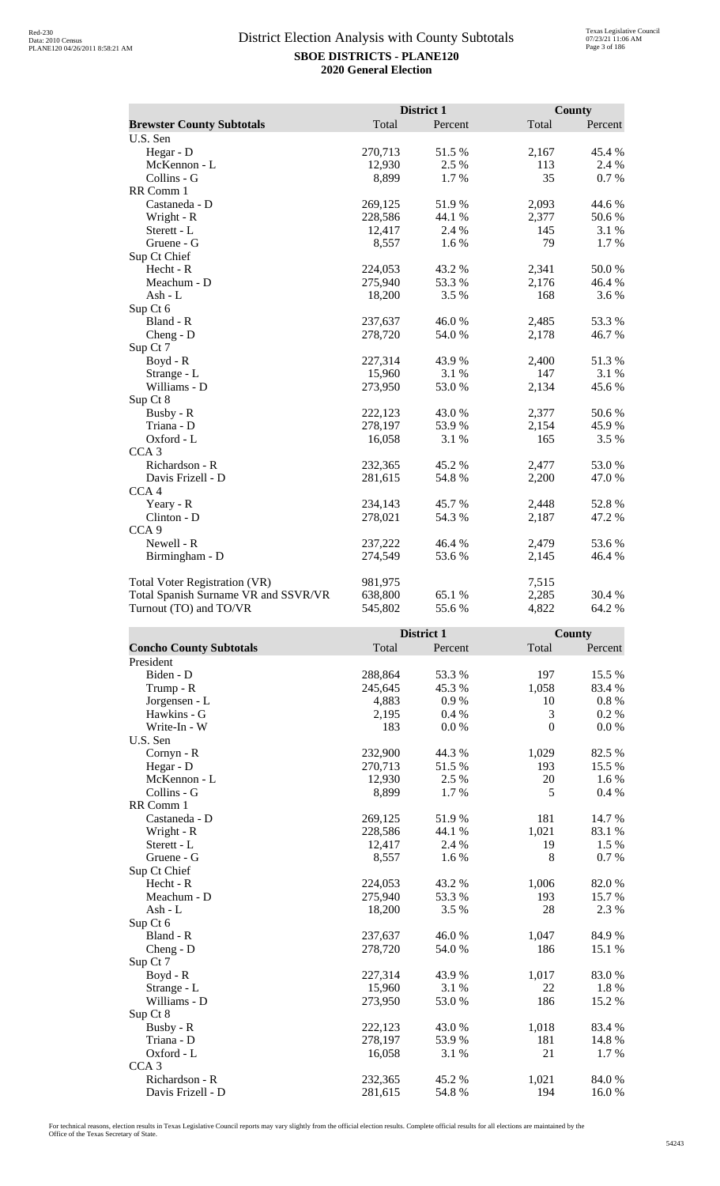|                                      | District 1 |         | <b>County</b> |         |
|--------------------------------------|------------|---------|---------------|---------|
| <b>Brewster County Subtotals</b>     | Total      | Percent | Total         | Percent |
| U.S. Sen                             |            |         |               |         |
| Hegar - D                            | 270,713    | 51.5 %  | 2,167         | 45.4 %  |
| McKennon - L                         | 12,930     | 2.5 %   | 113           | 2.4 %   |
| Collins - G                          | 8,899      | 1.7 %   | 35            | 0.7 %   |
| RR Comm 1                            |            |         |               |         |
| Castaneda - D                        | 269,125    | 51.9%   | 2,093         | 44.6 %  |
| Wright - R                           | 228,586    | 44.1 %  | 2,377         | 50.6%   |
| Sterett - L                          | 12,417     | 2.4 %   | 145           | 3.1 %   |
| Gruene - G                           | 8,557      | 1.6 %   | 79            | 1.7%    |
| Sup Ct Chief                         |            |         |               |         |
| Hecht - R                            | 224,053    | 43.2 %  | 2,341         | 50.0%   |
| Meachum - D                          | 275,940    | 53.3 %  | 2,176         | 46.4 %  |
| Ash - L                              | 18,200     | 3.5 %   | 168           | 3.6 %   |
| Sup Ct 6                             |            |         |               |         |
| Bland - R                            | 237,637    | 46.0%   | 2,485         | 53.3%   |
| Cheng - D                            | 278,720    | 54.0 %  | 2,178         | 46.7%   |
| Sup Ct 7                             |            |         |               |         |
| Boyd - R                             | 227,314    | 43.9%   | 2,400         | 51.3%   |
| Strange - L                          | 15,960     | 3.1 %   | 147           | 3.1 %   |
| Williams - D                         | 273,950    | 53.0%   | 2,134         | 45.6%   |
| Sup Ct 8                             |            |         |               |         |
| Busby - R                            | 222,123    | 43.0%   | 2,377         | 50.6%   |
| Triana - D                           | 278,197    | 53.9%   | 2,154         | 45.9%   |
| Oxford - L                           | 16,058     | 3.1 %   | 165           | 3.5 %   |
| CCA <sub>3</sub>                     |            |         |               |         |
| Richardson - R                       | 232,365    | 45.2%   | 2,477         | 53.0%   |
| Davis Frizell - D                    | 281,615    | 54.8%   | 2,200         | 47.0%   |
| CCA <sub>4</sub>                     |            |         |               |         |
| Yeary - R                            | 234,143    | 45.7%   | 2,448         | 52.8%   |
| Clinton - D                          | 278,021    | 54.3 %  | 2,187         | 47.2 %  |
| CCA <sub>9</sub>                     |            |         |               |         |
| Newell - R                           | 237,222    | 46.4%   | 2,479         | 53.6%   |
| Birmingham - D                       | 274,549    | 53.6%   | 2,145         | 46.4 %  |
| <b>Total Voter Registration (VR)</b> | 981,975    |         | 7,515         |         |
| Total Spanish Surname VR and SSVR/VR | 638,800    | 65.1 %  | 2,285         | 30.4 %  |
| Turnout (TO) and TO/VR               | 545,802    | 55.6%   | 4,822         | 64.2 %  |

|                                |         | District 1 |                  | <b>County</b> |  |
|--------------------------------|---------|------------|------------------|---------------|--|
| <b>Concho County Subtotals</b> | Total   | Percent    | Total            | Percent       |  |
| President                      |         |            |                  |               |  |
| Biden - D                      | 288,864 | 53.3 %     | 197              | 15.5 %        |  |
| Trump - R                      | 245,645 | 45.3%      | 1,058            | 83.4 %        |  |
| Jorgensen - L                  | 4,883   | 0.9%       | 10               | $0.8~\%$      |  |
| Hawkins - G                    | 2,195   | 0.4%       | 3                | 0.2 %         |  |
| Write-In - W                   | 183     | $0.0\ \%$  | $\boldsymbol{0}$ | 0.0 %         |  |
| U.S. Sen                       |         |            |                  |               |  |
| Cornyn - R                     | 232,900 | 44.3 %     | 1,029            | 82.5 %        |  |
| Hegar - D                      | 270,713 | 51.5%      | 193              | 15.5 %        |  |
| McKennon - L                   | 12,930  | 2.5 %      | 20               | 1.6 %         |  |
| Collins - G                    | 8,899   | 1.7 %      | 5                | 0.4%          |  |
| RR Comm 1                      |         |            |                  |               |  |
| Castaneda - D                  | 269,125 | 51.9%      | 181              | 14.7%         |  |
| Wright - R                     | 228,586 | 44.1 %     | 1,021            | 83.1 %        |  |
| Sterett - L                    | 12,417  | 2.4 %      | 19               | 1.5 %         |  |
| Gruene - G                     | 8,557   | 1.6 %      | 8                | 0.7%          |  |
| Sup Ct Chief                   |         |            |                  |               |  |
| Hecht - R                      | 224,053 | 43.2 %     | 1,006            | 82.0%         |  |
| Meachum - D                    | 275,940 | 53.3%      | 193              | 15.7 %        |  |
| $Ash - L$                      | 18,200  | 3.5%       | 28               | 2.3 %         |  |
| Sup Ct 6                       |         |            |                  |               |  |
| Bland - R                      | 237,637 | 46.0%      | 1,047            | 84.9%         |  |
| $Cheng - D$                    | 278,720 | 54.0 %     | 186              | 15.1 %        |  |
| Sup Ct 7                       |         |            |                  |               |  |
| Boyd - R                       | 227,314 | 43.9 %     | 1,017            | 83.0%         |  |
| Strange - L                    | 15,960  | 3.1 %      | 22               | 1.8%          |  |
| Williams - D                   | 273,950 | 53.0 %     | 186              | 15.2 %        |  |
| Sup Ct 8                       |         |            |                  |               |  |
| Busby - R                      | 222,123 | 43.0 %     | 1,018            | 83.4 %        |  |
| Triana - D                     | 278,197 | 53.9%      | 181              | 14.8%         |  |
| Oxford - L                     | 16,058  | 3.1 %      | 21               | 1.7%          |  |
| CCA <sub>3</sub>               |         |            |                  |               |  |
| Richardson - R                 | 232,365 | 45.2%      | 1,021            | 84.0%         |  |
| Davis Frizell - D              | 281,615 | 54.8%      | 194              | 16.0%         |  |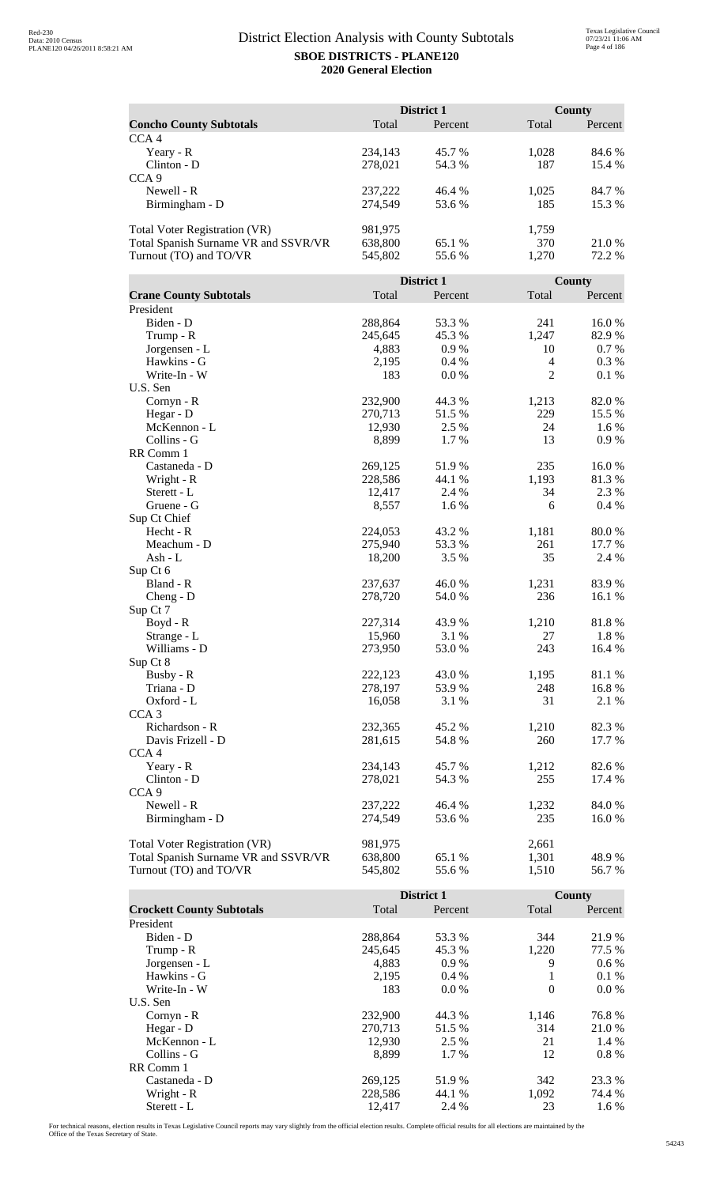|                                                                       |                    | District 1       |                  | County         |
|-----------------------------------------------------------------------|--------------------|------------------|------------------|----------------|
| <b>Concho County Subtotals</b>                                        | Total              | Percent          | Total            | Percent        |
| CCA <sub>4</sub>                                                      |                    |                  |                  |                |
| Yeary - R                                                             | 234,143            | 45.7 %           | 1,028            | 84.6 %         |
| Clinton - D<br>CCA <sub>9</sub>                                       | 278,021            | 54.3 %           | 187              | 15.4 %         |
| Newell - R                                                            | 237,222            | 46.4%            | 1,025            | 84.7%          |
| Birmingham - D                                                        | 274,549            | 53.6%            | 185              | 15.3 %         |
|                                                                       |                    |                  |                  |                |
| Total Voter Registration (VR)<br>Total Spanish Surname VR and SSVR/VR | 981,975<br>638,800 | 65.1 %           | 1,759<br>370     | 21.0%          |
| Turnout (TO) and TO/VR                                                | 545,802            | 55.6 %           | 1,270            | 72.2 %         |
|                                                                       |                    |                  |                  |                |
|                                                                       |                    | District 1       |                  | County         |
| <b>Crane County Subtotals</b><br>President                            | Total              | Percent          | Total            | Percent        |
| Biden - D                                                             | 288,864            | 53.3%            | 241              | 16.0%          |
| Trump - R                                                             | 245,645            | 45.3%            | 1,247            | 82.9%          |
| Jorgensen - L                                                         | 4,883              | 0.9 %            | 10               | 0.7%           |
| Hawkins - G                                                           | 2,195              | 0.4%             | $\overline{4}$   | 0.3%           |
| Write-In - W                                                          | 183                | $0.0\ \%$        | $\mathbf{2}$     | 0.1 %          |
| U.S. Sen<br>Cornyn - R                                                | 232,900            | 44.3 %           | 1,213            | 82.0%          |
| Hegar - D                                                             | 270,713            | 51.5 %           | 229              | 15.5 %         |
| McKennon - L                                                          | 12,930             | 2.5 %            | 24               | 1.6 %          |
| Collins - G                                                           | 8,899              | 1.7 %            | 13               | 0.9 %          |
| RR Comm 1                                                             |                    |                  |                  |                |
| Castaneda - D                                                         | 269,125            | 51.9 %           | 235              | 16.0%          |
| Wright - R<br>Sterett - L                                             | 228,586<br>12,417  | 44.1 %<br>2.4 %  | 1,193<br>34      | 81.3%<br>2.3 % |
| Gruene - G                                                            | 8,557              | 1.6 %            | 6                | 0.4 %          |
| Sup Ct Chief                                                          |                    |                  |                  |                |
| Hecht - R                                                             | 224,053            | 43.2 %           | 1,181            | 80.0%          |
| Meachum - D                                                           | 275,940            | 53.3 %           | 261              | 17.7 %         |
| Ash - L<br>Sup Ct 6                                                   | 18,200             | 3.5 %            | 35               | 2.4 %          |
| Bland - R                                                             | 237,637            | 46.0%            | 1,231            | 83.9%          |
| $Cheng - D$                                                           | 278,720            | 54.0 %           | 236              | 16.1 %         |
| Sup Ct 7                                                              |                    |                  |                  |                |
| Boyd - R                                                              | 227,314            | 43.9%            | 1,210            | $81.8\ \%$     |
| Strange - L<br>Williams - D                                           | 15,960<br>273,950  | 3.1 %<br>53.0%   | 27<br>243        | 1.8%<br>16.4 % |
| Sup Ct 8                                                              |                    |                  |                  |                |
| Busby - R                                                             | 222,123            | 43.0%            | 1,195            | 81.1 %         |
| Triana - D                                                            | 278,197            | 53.9%            | 248              | 16.8%          |
| Oxford - L                                                            | 16,058             | 3.1 %            | 31               | 2.1 %          |
| CCA <sub>3</sub><br>Richardson - R                                    | 232,365            | 45.2 %           | 1,210            | 82.3%          |
| Davis Frizell - D                                                     | 281,615            | 54.8%            | 260              | 17.7 %         |
| CCA <sub>4</sub>                                                      |                    |                  |                  |                |
| Yeary - R                                                             | 234,143            | 45.7 %           | 1,212            | 82.6 %         |
| Clinton - D                                                           | 278,021            | 54.3 %           | 255              | 17.4 %         |
| CCA <sub>9</sub>                                                      |                    |                  |                  |                |
| Newell - R<br>Birmingham - D                                          | 237,222<br>274,549 | 46.4 %<br>53.6 % | 1,232<br>235     | 84.0%<br>16.0% |
|                                                                       |                    |                  |                  |                |
| Total Voter Registration (VR)                                         | 981,975            |                  | 2,661            |                |
| Total Spanish Surname VR and SSVR/VR                                  | 638,800            | 65.1 %           | 1,301            | 48.9%          |
| Turnout (TO) and TO/VR                                                | 545,802            | 55.6%            | 1,510            | 56.7%          |
|                                                                       |                    | District 1       |                  | County         |
| <b>Crockett County Subtotals</b>                                      | Total              | Percent          | Total            | Percent        |
| President                                                             |                    |                  |                  |                |
| Biden - D                                                             | 288,864            | 53.3 %           | 344              | 21.9 %         |
| Trump - R                                                             | 245,645            | 45.3%            | 1,220            | 77.5 %         |
| Jorgensen - L<br>Hawkins - G                                          | 4,883<br>2,195     | 0.9 %<br>$0.4\%$ | 9<br>1           | 0.6 %<br>0.1%  |
| Write-In - W                                                          | 183                | 0.0 %            | $\boldsymbol{0}$ | 0.0 %          |
| U.S. Sen                                                              |                    |                  |                  |                |
| Cornyn - R                                                            | 232,900            | 44.3 %           | 1,146            | 76.8%          |
| Hegar - D                                                             | 270,713            | 51.5 %           | 314              | 21.0%          |
| McKennon - L<br>Collins - G                                           | 12,930             | 2.5 %            | 21<br>12         | 1.4 %<br>0.8%  |
| RR Comm 1                                                             | 8,899              | 1.7 %            |                  |                |

For technical reasons, election results in Texas Legislative Council reports may vary slightly from the official election results. Complete official results for all elections are maintained by the<br>Office of the Texas Secre

Collin 1<br>
Castaneda - D 269,125 51.9 % 342 23.3 %<br>
228,586 44.1 % 1,092 74.4 % Wright - R<br>
Sterett - L<br>
228,586 44.1 % 1,092 74.4 % 33 1.6 % Sterett - L 12,417 2.4 % 23 1.6 %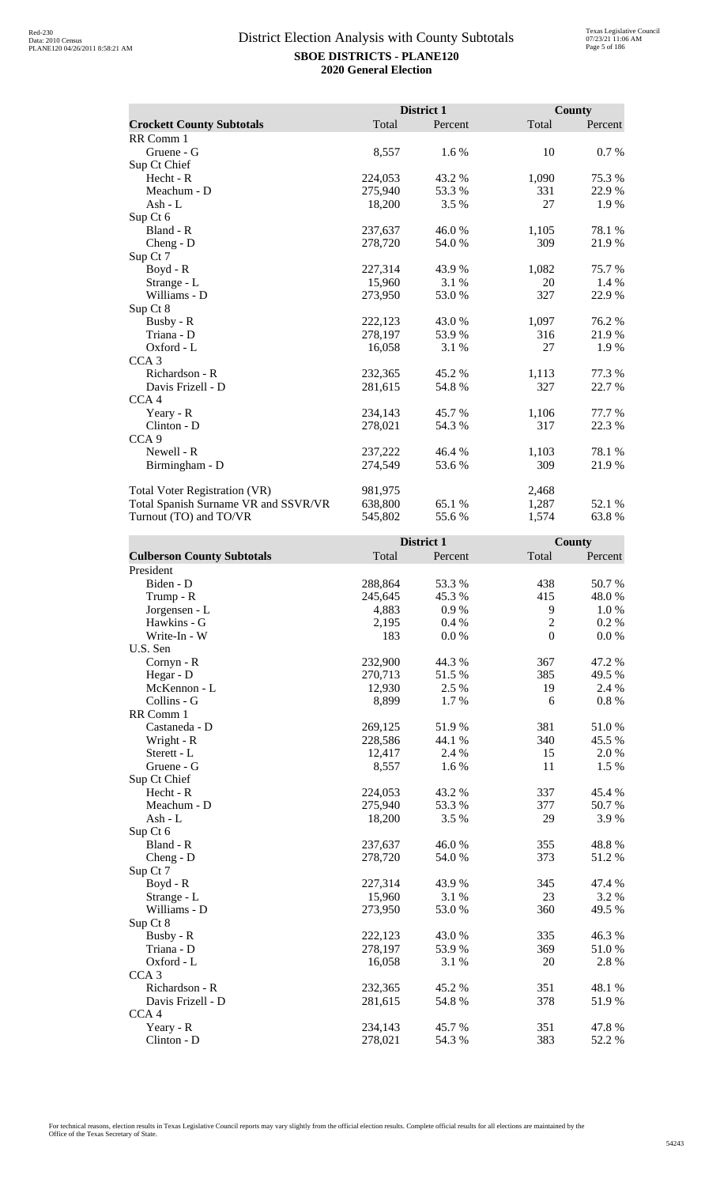|                                      |         | District 1 |       | <b>County</b> |
|--------------------------------------|---------|------------|-------|---------------|
| <b>Crockett County Subtotals</b>     | Total   | Percent    | Total | Percent       |
| RR Comm 1                            |         |            |       |               |
| Gruene - G                           | 8,557   | 1.6 %      | 10    | 0.7 %         |
| Sup Ct Chief                         |         |            |       |               |
| $Hecht - R$                          | 224,053 | 43.2 %     | 1,090 | 75.3 %        |
| Meachum - D                          | 275,940 | 53.3 %     | 331   | 22.9 %        |
| Ash - $L$                            | 18,200  | 3.5 %      | 27    | 1.9 %         |
| Sup Ct 6                             |         |            |       |               |
| Bland - R                            | 237,637 | 46.0%      | 1,105 | 78.1 %        |
| $Cheng - D$                          | 278,720 | 54.0 %     | 309   | 21.9 %        |
| Sup Ct 7                             |         |            |       |               |
| $Boyd - R$                           | 227,314 | 43.9 %     | 1,082 | 75.7 %        |
| Strange - L                          | 15,960  | 3.1 %      | 20    | 1.4 %         |
| Williams - D                         | 273,950 | 53.0 %     | 327   | 22.9%         |
| Sup Ct 8                             |         |            |       |               |
| Busby - R                            | 222,123 | 43.0 %     | 1,097 | 76.2 %        |
| Triana - D                           | 278,197 | 53.9%      | 316   | 21.9%         |
| Oxford - L                           | 16,058  | 3.1 %      | 27    | 1.9 %         |
| CCA <sub>3</sub>                     |         |            |       |               |
| Richardson - R                       | 232,365 | 45.2 %     | 1,113 | 77.3 %        |
| Davis Frizell - D                    | 281,615 | 54.8%      | 327   | 22.7 %        |
| CCA <sub>4</sub>                     |         |            |       |               |
| Yeary - R                            | 234,143 | 45.7 %     | 1,106 | 77.7 %        |
| Clinton - D                          | 278,021 | 54.3 %     | 317   | 22.3 %        |
| CCA <sub>9</sub>                     |         |            |       |               |
| Newell - R                           | 237,222 | 46.4 %     | 1,103 | 78.1 %        |
| Birmingham - D                       | 274,549 | 53.6 %     | 309   | 21.9%         |
| <b>Total Voter Registration (VR)</b> | 981,975 |            | 2,468 |               |
| Total Spanish Surname VR and SSVR/VR | 638,800 | 65.1 %     | 1,287 | 52.1 %        |
| Turnout (TO) and TO/VR               | 545,802 | 55.6%      | 1,574 | 63.8%         |

|                                   |         | District 1 |            | <b>County</b> |
|-----------------------------------|---------|------------|------------|---------------|
| <b>Culberson County Subtotals</b> | Total   | Percent    | Total      | Percent       |
| President                         |         |            |            |               |
| Biden - D                         | 288,864 | 53.3%      | 438        | 50.7%         |
| Trump - R                         | 245,645 | 45.3%      | 415        | 48.0 %        |
| Jorgensen - L                     | 4,883   | 0.9%       | 9          | 1.0%          |
| Hawkins - G                       | 2,195   | 0.4%       | $\sqrt{2}$ | 0.2 %         |
| Write-In - W                      | 183     | 0.0 %      | $\theta$   | 0.0 %         |
| U.S. Sen                          |         |            |            |               |
| Cornyn - R                        | 232,900 | 44.3 %     | 367        | 47.2 %        |
| Hegar - D                         | 270,713 | 51.5 %     | 385        | 49.5 %        |
| McKennon - L                      | 12,930  | 2.5 %      | 19         | 2.4 %         |
| Collins - G                       | 8,899   | 1.7%       | 6          | $0.8~\%$      |
| RR Comm 1                         |         |            |            |               |
| Castaneda - D                     | 269,125 | 51.9%      | 381        | 51.0%         |
| Wright - R                        | 228,586 | 44.1 %     | 340        | 45.5 %        |
| Sterett - L                       | 12,417  | 2.4 %      | 15         | 2.0%          |
| Gruene - G                        | 8,557   | 1.6 %      | 11         | 1.5 %         |
| Sup Ct Chief                      |         |            |            |               |
| Hecht - R                         | 224,053 | 43.2 %     | 337        | 45.4 %        |
| Meachum - D                       | 275,940 | 53.3 %     | 377        | 50.7 %        |
| Ash - L                           | 18,200  | 3.5 %      | 29         | 3.9%          |
| Sup Ct 6                          |         |            |            |               |
| Bland - R                         | 237,637 | 46.0%      | 355        | 48.8%         |
| Cheng - D                         | 278,720 | 54.0%      | 373        | 51.2%         |
| Sup Ct 7                          |         |            |            |               |
| $Boyd - R$                        | 227,314 | 43.9%      | 345        | 47.4 %        |
| Strange - L                       | 15,960  | 3.1 %      | 23         | 3.2 %         |
| Williams - D                      | 273,950 | 53.0%      | 360        | 49.5 %        |
| Sup Ct 8                          |         |            |            |               |
| Busby - R                         | 222,123 | 43.0 %     | 335        | 46.3%         |
| Triana - D                        | 278,197 | 53.9%      | 369        | 51.0%         |
| Oxford - L                        | 16,058  | 3.1 %      | 20         | 2.8%          |
| CCA <sub>3</sub>                  |         |            |            |               |
| Richardson - R                    | 232,365 | 45.2 %     | 351        | 48.1 %        |
| Davis Frizell - D                 | 281,615 | 54.8%      | 378        | 51.9%         |
| CCA <sub>4</sub>                  |         |            |            |               |
| Yeary - R                         | 234,143 | 45.7%      | 351        | 47.8%         |
| Clinton - D                       | 278,021 | 54.3 %     | 383        | 52.2 %        |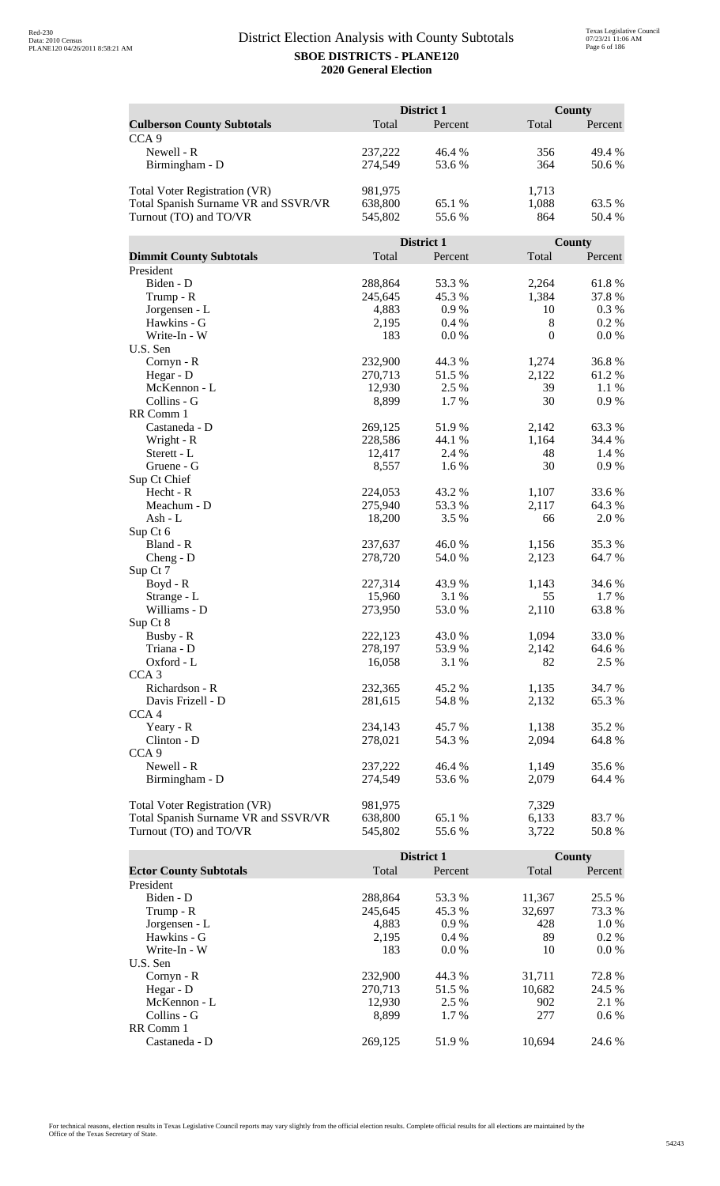|                                      | District 1        |                |                  | <b>County</b>   |  |
|--------------------------------------|-------------------|----------------|------------------|-----------------|--|
| <b>Culberson County Subtotals</b>    | Total             | Percent        | Total            | Percent         |  |
| CCA <sub>9</sub>                     |                   |                |                  |                 |  |
| Newell - R                           | 237,222           | 46.4 %         | 356              | 49.4 %          |  |
| Birmingham - D                       | 274,549           | 53.6 %         | 364              | 50.6%           |  |
|                                      |                   |                |                  |                 |  |
| Total Voter Registration (VR)        | 981,975           |                | 1,713            |                 |  |
| Total Spanish Surname VR and SSVR/VR | 638,800           | 65.1 %         | 1,088            | 63.5 %          |  |
| Turnout (TO) and TO/VR               | 545,802           | 55.6%          | 864              | 50.4 %          |  |
|                                      |                   |                |                  |                 |  |
|                                      |                   | District 1     |                  | <b>County</b>   |  |
| <b>Dimmit County Subtotals</b>       | Total             | Percent        | Total            | Percent         |  |
| President                            |                   |                |                  |                 |  |
| Biden - D                            | 288,864           | 53.3 %         | 2,264            | 61.8%           |  |
| Trump - R                            | 245,645           | 45.3 %         | 1,384            | 37.8%           |  |
| Jorgensen - L                        | 4,883             | 0.9%           | 10               | 0.3 %           |  |
| Hawkins - G                          | 2,195             | 0.4%           | 8                | 0.2 %           |  |
| Write-In - W                         | 183               | 0.0 %          | $\boldsymbol{0}$ | 0.0 %           |  |
| U.S. Sen                             |                   |                |                  |                 |  |
| Cornyn - R                           | 232,900           | 44.3 %         | 1,274            | 36.8%           |  |
| Hegar - D                            | 270,713           | 51.5 %         | 2,122            | 61.2%           |  |
| McKennon - L                         | 12,930            | 2.5 %          | 39               | 1.1 %           |  |
| Collins - G                          | 8,899             | 1.7%           | 30               | 0.9%            |  |
| RR Comm 1                            |                   |                |                  |                 |  |
| Castaneda - D                        | 269,125           | 51.9%          | 2,142            | 63.3%           |  |
| Wright - R                           | 228,586           | 44.1 %         | 1,164            | 34.4 %          |  |
| Sterett - L                          | 12,417            | 2.4 %          | 48               | 1.4 %           |  |
| Gruene - G                           | 8,557             | 1.6 %          | 30               | 0.9 %           |  |
| Sup Ct Chief                         |                   |                |                  |                 |  |
| Hecht - R                            | 224,053           | 43.2 %         | 1,107            | 33.6 %          |  |
| Meachum - D                          | 275,940           | 53.3 %         | 2,117            | 64.3 %          |  |
| $Ash - L$                            | 18,200            | 3.5 %          | 66               | 2.0%            |  |
| Sup Ct 6                             |                   |                |                  |                 |  |
| Bland - R                            | 237,637           | 46.0%          | 1,156            | 35.3 %          |  |
| $Cheng - D$                          | 278,720           | 54.0 %         | 2,123            | 64.7%           |  |
| Sup Ct 7                             |                   |                |                  |                 |  |
| Boyd - R                             | 227,314<br>15,960 | 43.9%<br>3.1 % | 1,143<br>55      | 34.6 %<br>1.7 % |  |
| Strange - L<br>Williams - D          | 273,950           | 53.0%          | 2,110            | 63.8%           |  |
| Sup Ct 8                             |                   |                |                  |                 |  |
| Busby - R                            | 222,123           | 43.0%          | 1,094            | 33.0%           |  |
| Triana - D                           | 278,197           | 53.9%          | 2,142            | 64.6 %          |  |
| Oxford - L                           | 16,058            | 3.1 %          | 82               | 2.5 %           |  |
| CCA <sub>3</sub>                     |                   |                |                  |                 |  |
| Richardson - R                       | 232,365           | 45.2 %         | 1,135            | 34.7 %          |  |
| Davis Frizell - D                    | 281,615           | 54.8%          | 2,132            | 65.3%           |  |
| CCA4                                 |                   |                |                  |                 |  |
| Yeary - R                            | 234,143           | 45.7 %         | 1,138            | 35.2 %          |  |
| Clinton - D                          | 278,021           | 54.3 %         | 2,094            | 64.8%           |  |
| CCA <sub>9</sub>                     |                   |                |                  |                 |  |
| Newell - R                           | 237,222           | 46.4 %         | 1,149            | 35.6 %          |  |
| Birmingham - D                       | 274,549           | 53.6 %         | 2,079            | 64.4 %          |  |
|                                      |                   |                |                  |                 |  |
| <b>Total Voter Registration (VR)</b> | 981,975           |                | 7,329            |                 |  |
| Total Spanish Surname VR and SSVR/VR | 638,800           | 65.1 %         | 6,133            | 83.7 %          |  |
| Turnout (TO) and TO/VR               | 545,802           | 55.6%          | 3,722            | 50.8%           |  |

|                               |         | <b>District 1</b> |        | <b>County</b> |
|-------------------------------|---------|-------------------|--------|---------------|
| <b>Ector County Subtotals</b> | Total   | Percent           | Total  | Percent       |
| President                     |         |                   |        |               |
| Biden - D                     | 288,864 | 53.3 %            | 11,367 | 25.5 %        |
| Trump - R                     | 245,645 | 45.3 %            | 32,697 | 73.3 %        |
| Jorgensen - L                 | 4,883   | $0.9\%$           | 428    | 1.0 %         |
| Hawkins - G                   | 2,195   | $0.4\%$           | 89     | $0.2\%$       |
| Write-In - W                  | 183     | $0.0\%$           | 10     | $0.0\%$       |
| U.S. Sen                      |         |                   |        |               |
| $Cornyn - R$                  | 232,900 | 44.3 %            | 31,711 | 72.8%         |
| Hegar - $D$                   | 270.713 | 51.5 %            | 10,682 | 24.5 %        |
| McKennon - L                  | 12,930  | 2.5 %             | 902    | 2.1 %         |
| Collins - G                   | 8.899   | 1.7 %             | 277    | $0.6\%$       |
| RR Comm 1                     |         |                   |        |               |
| Castaneda - D                 | 269.125 | 51.9%             | 10.694 | 24.6 %        |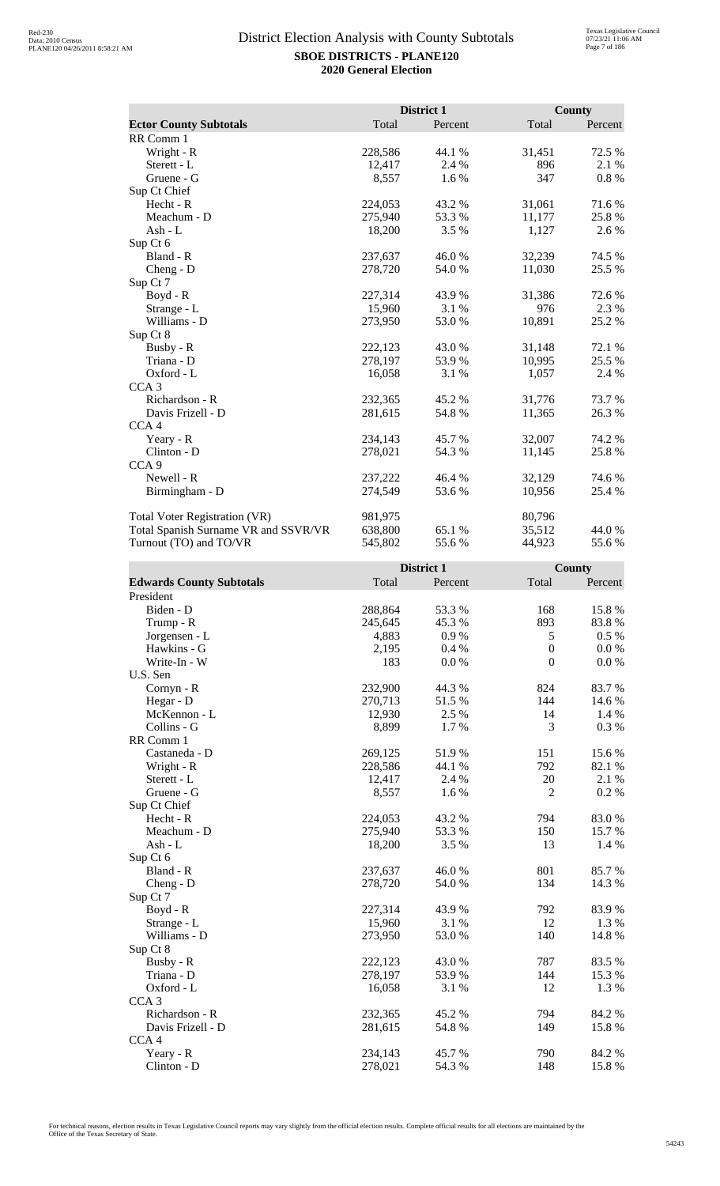|                                      |         | District 1 |        | County   |
|--------------------------------------|---------|------------|--------|----------|
| <b>Ector County Subtotals</b>        | Total   | Percent    | Total  | Percent  |
| RR Comm 1                            |         |            |        |          |
| Wright - R                           | 228,586 | 44.1 %     | 31,451 | 72.5 %   |
| Sterett - L                          | 12,417  | 2.4 %      | 896    | 2.1 %    |
| Gruene - G                           | 8,557   | $1.6\%$    | 347    | $0.8 \%$ |
| Sup Ct Chief                         |         |            |        |          |
| Hecht - R                            | 224,053 | 43.2%      | 31,061 | 71.6%    |
| Meachum - D                          | 275,940 | 53.3 %     | 11,177 | 25.8 %   |
| Ash - $L$                            | 18,200  | $3.5\%$    | 1,127  | 2.6 %    |
| Sup Ct 6                             |         |            |        |          |
| Bland - R                            | 237,637 | 46.0%      | 32,239 | 74.5 %   |
| $Cheng - D$                          | 278,720 | 54.0 %     | 11,030 | 25.5 %   |
| Sup Ct 7                             |         |            |        |          |
| Boyd - R                             | 227,314 | 43.9 %     | 31,386 | 72.6 %   |
| Strange - L                          | 15,960  | 3.1 %      | 976    | 2.3 %    |
| Williams - D                         | 273,950 | 53.0%      | 10,891 | 25.2 %   |
| Sup Ct 8                             |         |            |        |          |
| Busby - R                            | 222,123 | 43.0%      | 31,148 | 72.1 %   |
| Triana - D                           | 278,197 | 53.9%      | 10,995 | 25.5 %   |
| Oxford - L                           | 16,058  | 3.1 %      | 1,057  | 2.4 %    |
| CCA <sub>3</sub>                     |         |            |        |          |
| Richardson - R                       | 232,365 | 45.2 %     | 31,776 | 73.7 %   |
| Davis Frizell - D                    | 281,615 | 54.8 %     | 11,365 | 26.3 %   |
| CCA <sub>4</sub>                     |         |            |        |          |
| Yeary - R                            | 234,143 | 45.7 %     | 32,007 | 74.2 %   |
| Clinton - D                          | 278,021 | 54.3 %     | 11,145 | 25.8 %   |
| CCA <sub>9</sub>                     |         |            |        |          |
| Newell - R                           | 237,222 | 46.4 %     | 32,129 | 74.6 %   |
| Birmingham - D                       | 274,549 | 53.6 %     | 10,956 | 25.4 %   |
| <b>Total Voter Registration (VR)</b> | 981,975 |            | 80,796 |          |
| Total Spanish Surname VR and SSVR/VR | 638,800 | 65.1 %     | 35,512 | 44.0 %   |
| Turnout (TO) and TO/VR               | 545,802 | 55.6%      | 44,923 | 55.6%    |

|                                 |         | District 1 |                  | <b>County</b> |
|---------------------------------|---------|------------|------------------|---------------|
| <b>Edwards County Subtotals</b> | Total   | Percent    | Total            | Percent       |
| President                       |         |            |                  |               |
| Biden - D                       | 288,864 | 53.3%      | 168              | 15.8 %        |
| Trump - R                       | 245,645 | 45.3%      | 893              | 83.8%         |
| Jorgensen - L                   | 4,883   | 0.9%       | 5                | 0.5 %         |
| Hawkins - G                     | 2,195   | 0.4%       | $\boldsymbol{0}$ | 0.0 %         |
| Write-In - W                    | 183     | 0.0 %      | $\boldsymbol{0}$ | 0.0 %         |
| U.S. Sen                        |         |            |                  |               |
| Cornyn - R                      | 232,900 | 44.3 %     | 824              | 83.7%         |
| Hegar - D                       | 270,713 | 51.5%      | 144              | 14.6 %        |
| McKennon - L                    | 12,930  | 2.5 %      | 14               | 1.4 %         |
| Collins - G                     | 8,899   | 1.7%       | 3                | 0.3%          |
| RR Comm 1                       |         |            |                  |               |
| Castaneda - D                   | 269,125 | 51.9%      | 151              | 15.6%         |
| Wright - R                      | 228,586 | 44.1 %     | 792              | 82.1 %        |
| Sterett - L                     | 12,417  | 2.4 %      | 20               | 2.1 %         |
| Gruene - G                      | 8,557   | 1.6%       | $\overline{2}$   | 0.2 %         |
| Sup Ct Chief                    |         |            |                  |               |
| $Hecht - R$                     | 224,053 | 43.2 %     | 794              | 83.0%         |
| Meachum - D                     | 275,940 | 53.3%      | 150              | 15.7%         |
| $Ash - L$                       | 18,200  | 3.5 %      | 13               | 1.4 %         |
| Sup Ct 6                        |         |            |                  |               |
| Bland - R                       | 237,637 | 46.0%      | 801              | 85.7 %        |
| $Cheng - D$                     | 278,720 | 54.0%      | 134              | 14.3 %        |
| Sup Ct 7                        |         |            |                  |               |
| Boyd - R                        | 227,314 | 43.9 %     | 792              | 83.9%         |
| Strange - L                     | 15,960  | 3.1 %      | 12               | 1.3 %         |
| Williams - D                    | 273,950 | 53.0 %     | 140              | 14.8%         |
| Sup Ct 8                        |         |            |                  |               |
| Busby - R                       | 222,123 | 43.0%      | 787              | 83.5%         |
| Triana - D                      | 278,197 | 53.9%      | 144              | 15.3%         |
| Oxford - L                      | 16,058  | 3.1 %      | 12               | 1.3%          |
| CCA <sub>3</sub>                |         |            |                  |               |
| Richardson - R                  | 232,365 | 45.2%      | 794              | 84.2 %        |
| Davis Frizell - D               | 281,615 | 54.8%      | 149              | 15.8 %        |
| CCA <sub>4</sub>                |         |            |                  |               |
| Yeary - R                       | 234,143 | 45.7%      | 790              | 84.2 %        |
| $Clinton - D$                   | 278,021 | 54.3 %     | 148              | 15.8 %        |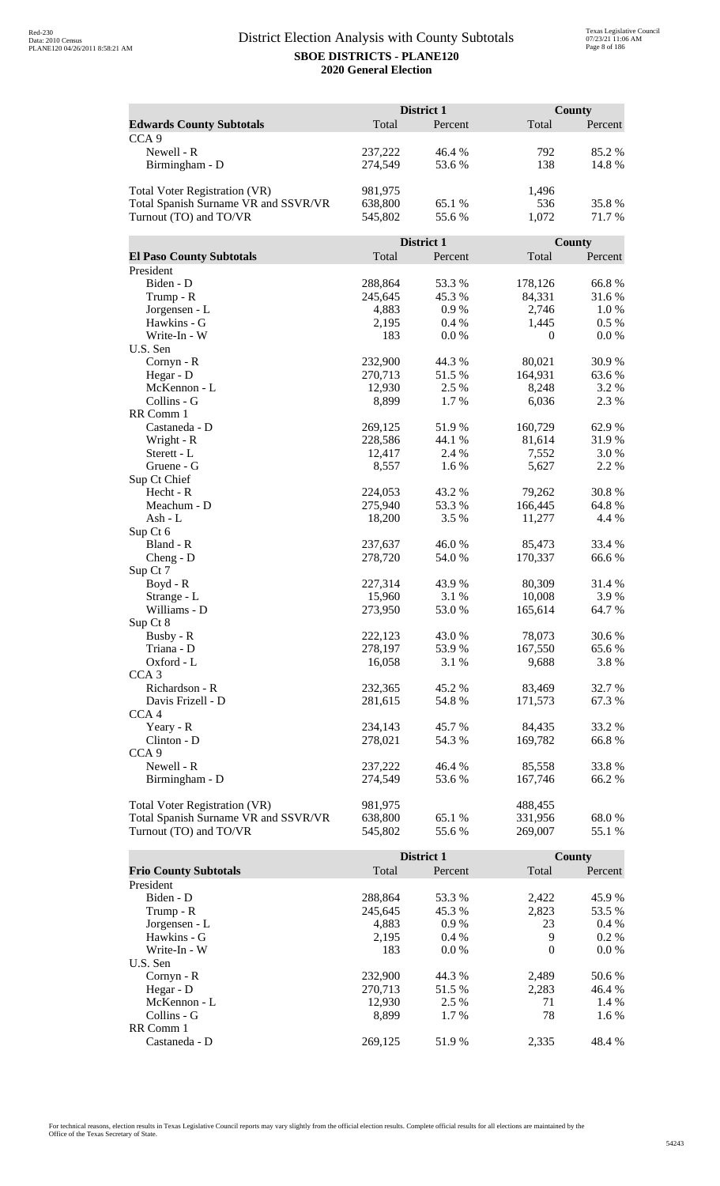|                                                                       | District 1         |                  |                   | County         |  |
|-----------------------------------------------------------------------|--------------------|------------------|-------------------|----------------|--|
| <b>Edwards County Subtotals</b>                                       | Total              | Percent          | Total             | Percent        |  |
| CCA <sub>9</sub>                                                      |                    |                  |                   |                |  |
| Newell - R                                                            | 237,222            | 46.4 %           | 792               | 85.2%          |  |
| Birmingham - D                                                        | 274,549            | 53.6%            | 138               | 14.8%          |  |
|                                                                       |                    |                  |                   |                |  |
| <b>Total Voter Registration (VR)</b>                                  | 981,975            |                  | 1,496             |                |  |
| Total Spanish Surname VR and SSVR/VR                                  | 638,800            | 65.1 %           | 536               | 35.8%          |  |
| Turnout (TO) and TO/VR                                                | 545,802            | 55.6%            | 1,072             | 71.7%          |  |
|                                                                       |                    |                  |                   |                |  |
|                                                                       |                    | District 1       |                   | County         |  |
| <b>El Paso County Subtotals</b>                                       | Total              | Percent          | Total             | Percent        |  |
| President                                                             |                    |                  |                   |                |  |
| Biden - D                                                             | 288,864            | 53.3 %           | 178,126           | 66.8%          |  |
| Trump - R                                                             | 245,645            | 45.3 %           | 84,331            | 31.6%          |  |
| Jorgensen - L                                                         | 4,883              | 0.9%             | 2,746             | 1.0%           |  |
| Hawkins - G                                                           | 2,195              | 0.4%             | 1,445             | $0.5\%$        |  |
| Write-In - W                                                          | 183                | 0.0 %            | $\mathbf{0}$      | 0.0 %          |  |
| U.S. Sen                                                              |                    |                  |                   |                |  |
| Cornyn - R                                                            | 232,900            | 44.3 %           | 80,021            | 30.9%          |  |
| Hegar - D                                                             | 270,713            | 51.5 %           | 164,931           | 63.6%          |  |
| McKennon - L                                                          | 12,930             | 2.5 %            | 8,248             | 3.2 %          |  |
| Collins - G                                                           | 8,899              | 1.7%             | 6,036             | 2.3 %          |  |
| RR Comm 1                                                             |                    |                  |                   |                |  |
| Castaneda - D                                                         | 269,125            | 51.9%            | 160,729           | 62.9%          |  |
| Wright - R                                                            | 228,586            | 44.1 %           | 81,614            | 31.9%          |  |
| Sterett - L                                                           | 12,417             | 2.4 %            | 7,552             | 3.0%           |  |
| Gruene - G                                                            | 8,557              | 1.6 %            | 5,627             | 2.2 %          |  |
| Sup Ct Chief                                                          |                    |                  |                   |                |  |
| Hecht - R<br>Meachum - D                                              | 224,053<br>275,940 | 43.2 %<br>53.3 % | 79,262<br>166,445 | 30.8%<br>64.8% |  |
| Ash - L                                                               | 18,200             | 3.5 %            | 11,277            | 4.4 %          |  |
| Sup Ct 6                                                              |                    |                  |                   |                |  |
| Bland - R                                                             | 237,637            | 46.0%            | 85,473            | 33.4 %         |  |
| $Cheng - D$                                                           | 278,720            | 54.0%            | 170,337           | 66.6%          |  |
| Sup Ct 7                                                              |                    |                  |                   |                |  |
| Boyd - R                                                              | 227,314            | 43.9%            | 80,309            | 31.4 %         |  |
| Strange - L                                                           | 15,960             | 3.1 %            | 10,008            | 3.9%           |  |
| Williams - D                                                          | 273,950            | 53.0%            | 165,614           | 64.7%          |  |
| Sup Ct 8                                                              |                    |                  |                   |                |  |
| Busby - R                                                             | 222,123            | 43.0%            | 78,073            | 30.6%          |  |
| Triana - D                                                            | 278,197            | 53.9%            | 167,550           | 65.6%          |  |
| Oxford - L                                                            | 16,058             | 3.1 %            | 9,688             | 3.8%           |  |
| CCA <sub>3</sub>                                                      |                    |                  |                   |                |  |
| Richardson - R                                                        | 232,365            | 45.2 %           | 83,469            | 32.7 %         |  |
| Davis Frizell - D                                                     | 281,615            | 54.8%            | 171,573           | 67.3%          |  |
| CCA <sub>4</sub>                                                      |                    |                  |                   |                |  |
| Yeary - R                                                             | 234,143            | 45.7 %           | 84,435            | 33.2 %         |  |
| Clinton - D                                                           | 278,021            | 54.3 %           | 169,782           | 66.8%          |  |
| CCA <sub>9</sub>                                                      |                    |                  |                   |                |  |
| Newell - R                                                            | 237,222            | 46.4 %           | 85,558            | 33.8%          |  |
| Birmingham - D                                                        | 274,549            | 53.6 %           | 167,746           | 66.2%          |  |
|                                                                       | 981,975            |                  | 488,455           |                |  |
| Total Voter Registration (VR)<br>Total Spanish Surname VR and SSVR/VR | 638,800            | 65.1 %           | 331,956           | 68.0%          |  |
| Turnout (TO) and TO/VR                                                | 545,802            | 55.6%            | 269,007           | 55.1 %         |  |
|                                                                       |                    |                  |                   |                |  |

|                              |         | <b>District 1</b> |          | <b>County</b> |
|------------------------------|---------|-------------------|----------|---------------|
| <b>Frio County Subtotals</b> | Total   | Percent           | Total    | Percent       |
| President                    |         |                   |          |               |
| Biden - D                    | 288,864 | 53.3 %            | 2,422    | 45.9 %        |
| Trump - R                    | 245,645 | 45.3 %            | 2,823    | 53.5 %        |
| Jorgensen - L                | 4.883   | $0.9\%$           | 23       | $0.4\%$       |
| Hawkins - G                  | 2,195   | $0.4\%$           | 9        | $0.2\%$       |
| Write-In - W                 | 183     | $0.0\%$           | $\Omega$ | $0.0\%$       |
| U.S. Sen                     |         |                   |          |               |
| $Cornyn - R$                 | 232,900 | 44.3 %            | 2,489    | 50.6 %        |
| Hegar - $D$                  | 270.713 | 51.5 %            | 2.283    | 46.4 %        |
| McKennon - L                 | 12,930  | 2.5 %             | 71       | 1.4 %         |
| Collins - G                  | 8.899   | $1.7\%$           | 78       | 1.6 %         |
| RR Comm 1                    |         |                   |          |               |
| Castaneda - D                | 269.125 | 51.9%             | 2.335    | 48.4 %        |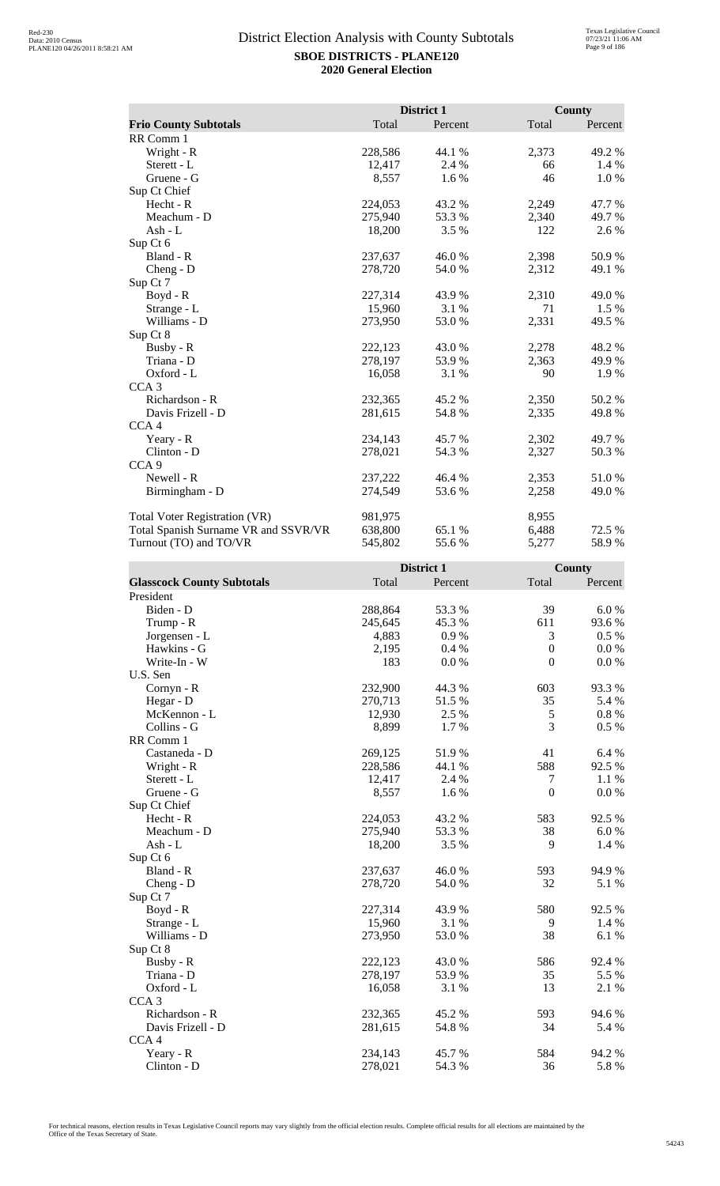|                                      |         | District 1 |       | County  |
|--------------------------------------|---------|------------|-------|---------|
| <b>Frio County Subtotals</b>         | Total   | Percent    | Total | Percent |
| RR Comm 1                            |         |            |       |         |
| Wright - R                           | 228,586 | 44.1 %     | 2,373 | 49.2 %  |
| Sterett - L                          | 12,417  | 2.4 %      | 66    | 1.4 %   |
| Gruene - G                           | 8,557   | 1.6%       | 46    | 1.0%    |
| Sup Ct Chief                         |         |            |       |         |
| Hecht - R                            | 224,053 | 43.2 %     | 2,249 | 47.7 %  |
| Meachum - D                          | 275,940 | 53.3 %     | 2,340 | 49.7 %  |
| Ash - L                              | 18,200  | $3.5\%$    | 122   | 2.6 %   |
| Sup Ct 6                             |         |            |       |         |
| Bland - R                            | 237,637 | 46.0%      | 2,398 | 50.9%   |
| Cheng - D                            | 278,720 | 54.0 %     | 2,312 | 49.1 %  |
| Sup Ct 7                             |         |            |       |         |
| $Boyd - R$                           | 227,314 | 43.9 %     | 2,310 | 49.0 %  |
| Strange - L                          | 15,960  | 3.1%       | 71    | $1.5\%$ |
| Williams - D                         | 273,950 | 53.0%      | 2,331 | 49.5 %  |
| Sup Ct 8                             |         |            |       |         |
| Busby - R                            | 222,123 | 43.0 %     | 2,278 | 48.2 %  |
| Triana - D                           | 278,197 | 53.9 %     | 2,363 | 49.9 %  |
| Oxford - L                           | 16,058  | 3.1 %      | 90    | 1.9 %   |
| CCA <sub>3</sub>                     |         |            |       |         |
| Richardson - R                       | 232,365 | 45.2%      | 2,350 | 50.2%   |
| Davis Frizell - D                    | 281,615 | 54.8%      | 2,335 | 49.8%   |
| CCA <sub>4</sub>                     |         |            |       |         |
| Yeary - R                            | 234,143 | 45.7 %     | 2,302 | 49.7 %  |
| Clinton - D                          | 278,021 | 54.3 %     | 2,327 | 50.3%   |
| CCA <sub>9</sub>                     |         |            |       |         |
| Newell - R                           | 237,222 | 46.4 %     | 2,353 | 51.0%   |
| Birmingham - D                       | 274,549 | 53.6 %     | 2,258 | 49.0%   |
| <b>Total Voter Registration (VR)</b> | 981,975 |            | 8,955 |         |
| Total Spanish Surname VR and SSVR/VR | 638,800 | 65.1 %     | 6,488 | 72.5 %  |
| Turnout (TO) and TO/VR               | 545,802 | 55.6%      | 5,277 | 58.9%   |

|                                   |         | District 1 |                  | County    |
|-----------------------------------|---------|------------|------------------|-----------|
| <b>Glasscock County Subtotals</b> | Total   | Percent    | Total            | Percent   |
| President                         |         |            |                  |           |
| Biden - D                         | 288,864 | 53.3 %     | 39               | 6.0%      |
| Trump - R                         | 245,645 | 45.3%      | 611              | 93.6 %    |
| Jorgensen - L                     | 4,883   | 0.9%       | 3                | $0.5\%$   |
| Hawkins - G                       | 2,195   | 0.4%       | $\boldsymbol{0}$ | 0.0 %     |
| Write-In - W                      | 183     | $0.0\ \%$  | $\boldsymbol{0}$ | $0.0\ \%$ |
| U.S. Sen                          |         |            |                  |           |
| Cornyn - R                        | 232,900 | 44.3 %     | 603              | 93.3%     |
| Hegar - D                         | 270,713 | 51.5 %     | 35               | 5.4 %     |
| McKennon - L                      | 12,930  | 2.5 %      | 5                | $0.8~\%$  |
| Collins - G                       | 8,899   | 1.7 %      | 3                | 0.5 %     |
| RR Comm 1                         |         |            |                  |           |
| Castaneda - D                     | 269,125 | 51.9%      | 41               | 6.4 %     |
| Wright - R                        | 228,586 | 44.1 %     | 588              | 92.5 %    |
| Sterett - L                       | 12,417  | 2.4 %      | $\tau$           | 1.1 %     |
| Gruene - G                        | 8,557   | 1.6 %      | $\boldsymbol{0}$ | 0.0 %     |
| Sup Ct Chief                      |         |            |                  |           |
| $Hecht - R$                       | 224,053 | 43.2 %     | 583              | 92.5 %    |
| Meachum - D                       | 275,940 | 53.3 %     | 38               | 6.0%      |
| $Ash - L$                         | 18,200  | 3.5 %      | 9                | 1.4 %     |
| Sup Ct 6                          |         |            |                  |           |
| Bland - R                         | 237,637 | 46.0%      | 593              | 94.9%     |
| Cheng - D                         | 278,720 | 54.0%      | 32               | 5.1 %     |
| Sup Ct 7                          |         |            |                  |           |
| Boyd - R                          | 227,314 | 43.9 %     | 580              | 92.5 %    |
| Strange - L                       | 15,960  | 3.1 %      | 9                | 1.4 %     |
| Williams - D                      | 273,950 | 53.0 %     | 38               | 6.1%      |
| Sup Ct 8                          |         |            |                  |           |
| Busby - R                         | 222,123 | 43.0%      | 586              | 92.4 %    |
| Triana - D                        | 278,197 | 53.9%      | 35               | 5.5 %     |
| Oxford - L                        | 16,058  | 3.1 %      | 13               | 2.1 %     |
| CCA <sub>3</sub>                  |         |            |                  |           |
| Richardson - R                    | 232,365 | 45.2 %     | 593              | 94.6 %    |
| Davis Frizell - D                 | 281,615 | 54.8%      | 34               | 5.4 %     |
| CCA <sub>4</sub>                  |         |            |                  |           |
| Yeary - R                         | 234,143 | 45.7%      | 584              | 94.2 %    |
| Clinton - D                       | 278,021 | 54.3 %     | 36               | 5.8%      |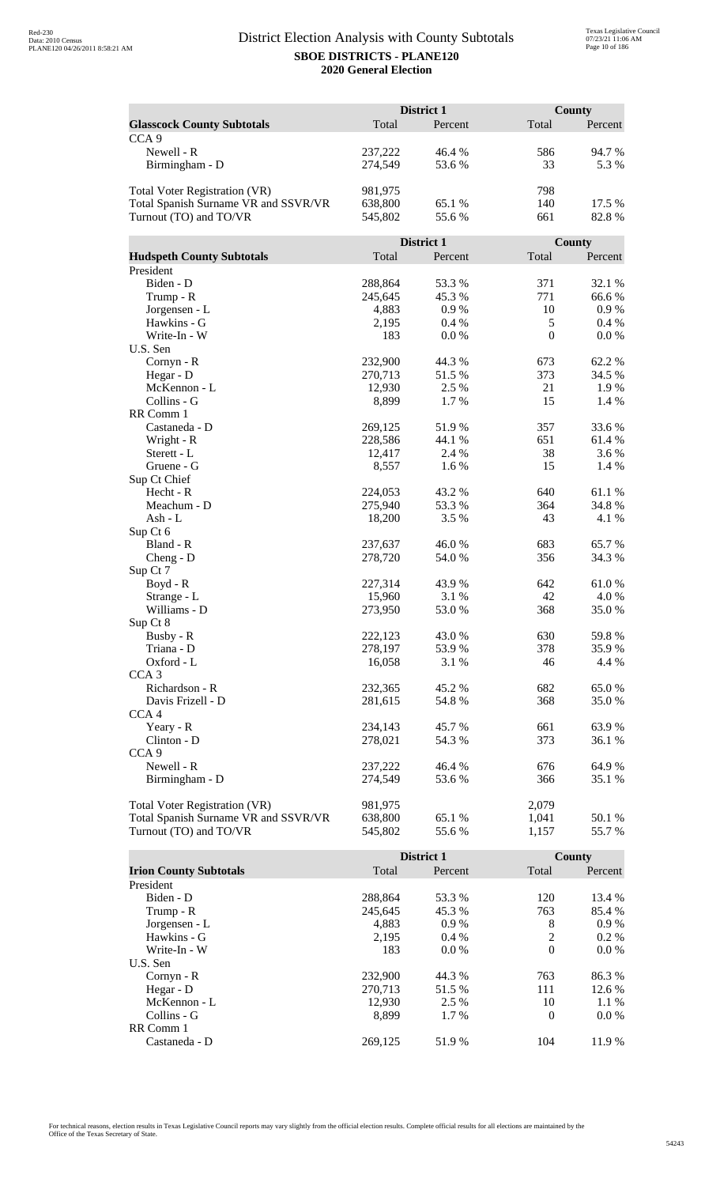|                                      | District 1 |            | <b>County</b> |                |
|--------------------------------------|------------|------------|---------------|----------------|
| <b>Glasscock County Subtotals</b>    | Total      | Percent    | Total         | Percent        |
| CCA <sub>9</sub>                     |            |            |               |                |
| Newell - R                           | 237,222    | 46.4 %     | 586           | 94.7%          |
| Birmingham - D                       | 274,549    | 53.6%      | 33            | 5.3 %          |
|                                      |            |            |               |                |
| <b>Total Voter Registration (VR)</b> | 981,975    |            | 798           |                |
| Total Spanish Surname VR and SSVR/VR | 638,800    | 65.1 %     | 140           | 17.5 %         |
| Turnout (TO) and TO/VR               | 545,802    | 55.6%      | 661           | 82.8%          |
|                                      |            |            |               |                |
|                                      |            | District 1 |               | County         |
| <b>Hudspeth County Subtotals</b>     | Total      | Percent    | Total         | Percent        |
| President                            |            |            |               |                |
| Biden - D                            | 288,864    | 53.3 %     | 371           | 32.1 %         |
| Trump - R                            | 245,645    | 45.3%      | 771           | 66.6 %         |
| Jorgensen - L                        | 4,883      | 0.9%       | 10            | 0.9%           |
| Hawkins - G                          | 2,195      | 0.4%       | $\mathfrak s$ | 0.4%           |
| Write-In - W                         | 183        | 0.0 %      | $\mathbf{0}$  | 0.0 %          |
| U.S. Sen                             |            |            |               |                |
| Cornyn - R                           | 232,900    | 44.3 %     | 673           | 62.2%          |
| Hegar - D                            | 270,713    | 51.5 %     | 373           | 34.5 %         |
| McKennon - L                         | 12,930     | 2.5 %      | 21            | 1.9%           |
| Collins - G                          | 8,899      | 1.7%       | 15            | 1.4 %          |
| RR Comm 1                            |            |            |               |                |
| Castaneda - D                        | 269,125    | 51.9%      | 357           | 33.6 %         |
| Wright - R                           | 228,586    | 44.1 %     | 651           | 61.4 %         |
| Sterett - L                          | 12,417     | 2.4 %      | 38            | 3.6 %          |
| Gruene - G                           | 8,557      | 1.6 %      | 15            | 1.4 %          |
| Sup Ct Chief                         |            |            |               |                |
| Hecht - R                            | 224,053    | 43.2 %     | 640           | 61.1%          |
| Meachum - D                          | 275,940    | 53.3 %     | 364           | 34.8%          |
| Ash - L                              | 18,200     | 3.5 %      | 43            | 4.1 %          |
| Sup Ct 6                             |            |            |               |                |
| Bland - R                            | 237,637    | 46.0%      | 683           | 65.7%          |
| $Cheng - D$                          | 278,720    | 54.0%      | 356           | 34.3 %         |
| Sup Ct 7                             |            |            |               |                |
| Boyd - R                             | 227,314    | 43.9%      | 642           | 61.0%          |
| Strange - L                          | 15,960     | 3.1 %      | 42            | 4.0 %<br>35.0% |
| Williams - D<br>Sup Ct 8             | 273,950    | 53.0%      | 368           |                |
| Busby - R                            | 222,123    | 43.0%      | 630           | 59.8%          |
| Triana - D                           | 278,197    | 53.9%      | 378           | 35.9%          |
| Oxford - L                           | 16,058     | 3.1 %      | 46            | 4.4 %          |
| CCA <sub>3</sub>                     |            |            |               |                |
| Richardson - R                       | 232,365    | 45.2 %     | 682           | 65.0%          |
| Davis Frizell - D                    | 281,615    | 54.8%      | 368           | 35.0%          |
| CCA <sub>4</sub>                     |            |            |               |                |
| Yeary - R                            | 234,143    | 45.7 %     | 661           | 63.9%          |
| Clinton - D                          | 278,021    | 54.3 %     | 373           | 36.1 %         |
| CCA <sub>9</sub>                     |            |            |               |                |
| Newell - R                           | 237,222    | 46.4 %     | 676           | 64.9%          |
| Birmingham - D                       | 274,549    | 53.6%      | 366           | 35.1 %         |
|                                      |            |            |               |                |
| Total Voter Registration (VR)        | 981,975    |            | 2,079         |                |
| Total Spanish Surname VR and SSVR/VR | 638,800    | 65.1 %     | 1,041         | 50.1 %         |
| Turnout (TO) and TO/VR               | 545,802    | 55.6%      | 1,157         | 55.7%          |

|                               |         | <b>District 1</b> |          | County  |
|-------------------------------|---------|-------------------|----------|---------|
| <b>Irion County Subtotals</b> | Total   | Percent           | Total    | Percent |
| President                     |         |                   |          |         |
| Biden - D                     | 288,864 | 53.3 %            | 120      | 13.4 %  |
| Trump - R                     | 245,645 | 45.3 %            | 763      | 85.4 %  |
| Jorgensen - L                 | 4,883   | $0.9\%$           | 8        | $0.9\%$ |
| Hawkins - G                   | 2,195   | $0.4\%$           | 2        | $0.2\%$ |
| Write-In - W                  | 183     | $0.0\%$           | $\theta$ | $0.0\%$ |
| U.S. Sen                      |         |                   |          |         |
| $Cornyn - R$                  | 232,900 | 44.3 %            | 763      | 86.3 %  |
| Hegar - $D$                   | 270,713 | 51.5 %            | 111      | 12.6 %  |
| McKennon - L                  | 12,930  | 2.5 %             | 10       | $1.1\%$ |
| Collins - G                   | 8.899   | 1.7 %             | $\Omega$ | $0.0\%$ |
| RR Comm 1                     |         |                   |          |         |
| Castaneda - D                 | 269.125 | 51.9%             | 104      | 11.9 %  |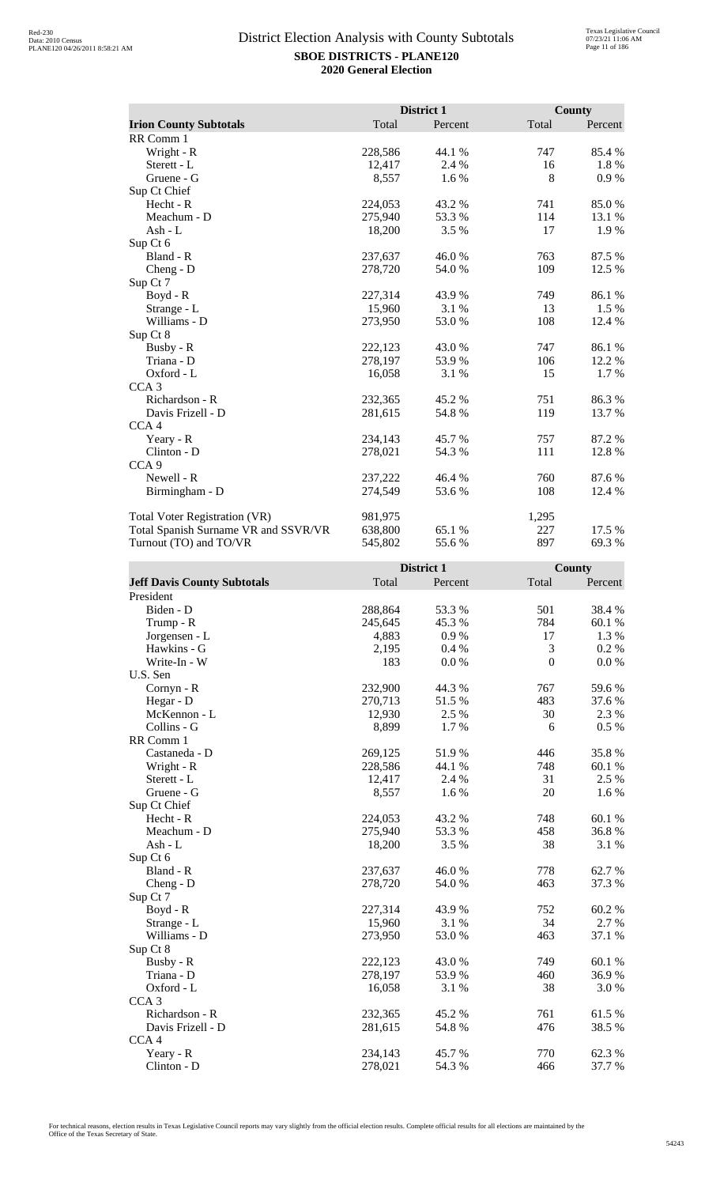|                                      |         | District 1 |       | County  |
|--------------------------------------|---------|------------|-------|---------|
| <b>Irion County Subtotals</b>        | Total   | Percent    | Total | Percent |
| RR Comm 1                            |         |            |       |         |
| Wright - R                           | 228,586 | 44.1 %     | 747   | 85.4 %  |
| Sterett - L                          | 12,417  | 2.4 %      | 16    | 1.8%    |
| Gruene - G                           | 8,557   | 1.6 %      | 8     | 0.9%    |
| Sup Ct Chief                         |         |            |       |         |
| Hecht - R                            | 224,053 | 43.2 %     | 741   | 85.0%   |
| Meachum - D                          | 275,940 | 53.3 %     | 114   | 13.1 %  |
| Ash - L                              | 18,200  | 3.5 %      | 17    | 1.9 %   |
| Sup Ct 6                             |         |            |       |         |
| Bland - R                            | 237,637 | 46.0%      | 763   | 87.5 %  |
| $Cheng - D$                          | 278,720 | 54.0 %     | 109   | 12.5 %  |
| Sup Ct 7                             |         |            |       |         |
| Boyd - R                             | 227,314 | 43.9 %     | 749   | 86.1%   |
| Strange - L                          | 15,960  | 3.1 %      | 13    | 1.5 %   |
| Williams - D                         | 273,950 | 53.0%      | 108   | 12.4 %  |
| Sup Ct 8                             |         |            |       |         |
| Busby - R                            | 222,123 | 43.0%      | 747   | 86.1 %  |
| Triana - D                           | 278,197 | 53.9%      | 106   | 12.2 %  |
| Oxford - L                           | 16,058  | 3.1 %      | 15    | 1.7 %   |
| CCA <sub>3</sub>                     |         |            |       |         |
| Richardson - R                       | 232,365 | 45.2 %     | 751   | 86.3%   |
| Davis Frizell - D                    | 281,615 | 54.8%      | 119   | 13.7 %  |
| CCA <sub>4</sub>                     |         |            |       |         |
| Yeary - R                            | 234,143 | 45.7 %     | 757   | 87.2 %  |
| Clinton - D                          | 278,021 | 54.3 %     | 111   | 12.8 %  |
| CCA <sub>9</sub>                     |         |            |       |         |
| Newell - R                           | 237,222 | 46.4 %     | 760   | 87.6%   |
| Birmingham - D                       | 274,549 | 53.6 %     | 108   | 12.4 %  |
| <b>Total Voter Registration (VR)</b> | 981,975 |            | 1,295 |         |
| Total Spanish Surname VR and SSVR/VR | 638,800 | 65.1 %     | 227   | 17.5 %  |
| Turnout (TO) and TO/VR               | 545,802 | 55.6%      | 897   | 69.3%   |

|                                    |         | District 1 |                | County  |
|------------------------------------|---------|------------|----------------|---------|
| <b>Jeff Davis County Subtotals</b> | Total   | Percent    | Total          | Percent |
| President                          |         |            |                |         |
| Biden - D                          | 288,864 | 53.3 %     | 501            | 38.4 %  |
| Trump - R                          | 245,645 | 45.3 %     | 784            | 60.1 %  |
| Jorgensen - L                      | 4,883   | 0.9%       | 17             | 1.3 %   |
| Hawkins - G                        | 2,195   | 0.4%       | 3              | 0.2 %   |
| Write-In - W                       | 183     | 0.0 %      | $\overline{0}$ | 0.0 %   |
| U.S. Sen                           |         |            |                |         |
| Cornyn - R                         | 232,900 | 44.3 %     | 767            | 59.6%   |
| Hegar - D                          | 270,713 | 51.5%      | 483            | 37.6%   |
| McKennon - L                       | 12,930  | 2.5 %      | 30             | 2.3 %   |
| Collins - G                        | 8,899   | 1.7%       | 6              | 0.5 %   |
| RR Comm 1                          |         |            |                |         |
| Castaneda - D                      | 269,125 | 51.9%      | 446            | 35.8%   |
| Wright - R                         | 228,586 | 44.1 %     | 748            | 60.1%   |
| Sterett - L                        | 12,417  | 2.4 %      | 31             | 2.5 %   |
| Gruene - G                         | 8,557   | 1.6 %      | 20             | 1.6 %   |
| Sup Ct Chief                       |         |            |                |         |
| Hecht - R                          | 224,053 | 43.2 %     | 748            | 60.1%   |
| Meachum - D                        | 275,940 | 53.3%      | 458            | 36.8%   |
| Ash - L                            | 18,200  | 3.5 %      | 38             | 3.1 %   |
| Sup Ct 6                           |         |            |                |         |
| Bland - R                          | 237,637 | 46.0%      | 778            | 62.7 %  |
| $Cheng - D$                        | 278,720 | 54.0 %     | 463            | 37.3 %  |
| Sup Ct 7                           |         |            |                |         |
| Boyd - R                           | 227,314 | 43.9%      | 752            | 60.2%   |
| Strange - L                        | 15,960  | 3.1%       | 34             | 2.7 %   |
| Williams - D                       | 273,950 | 53.0%      | 463            | 37.1 %  |
| Sup Ct 8                           |         |            |                |         |
| Busby - R                          | 222,123 | 43.0 %     | 749            | 60.1 %  |
| Triana - D                         | 278,197 | 53.9%      | 460            | 36.9%   |
| Oxford - L                         | 16,058  | 3.1 %      | 38             | 3.0 %   |
| CCA <sub>3</sub>                   |         |            |                |         |
| Richardson - R                     | 232,365 | 45.2 %     | 761            | 61.5%   |
| Davis Frizell - D                  | 281,615 | 54.8%      | 476            | 38.5%   |
| CCA <sub>4</sub>                   |         |            |                |         |
| Yeary - R                          | 234,143 | 45.7%      | 770            | 62.3%   |
| Clinton - D                        | 278,021 | 54.3 %     | 466            | 37.7 %  |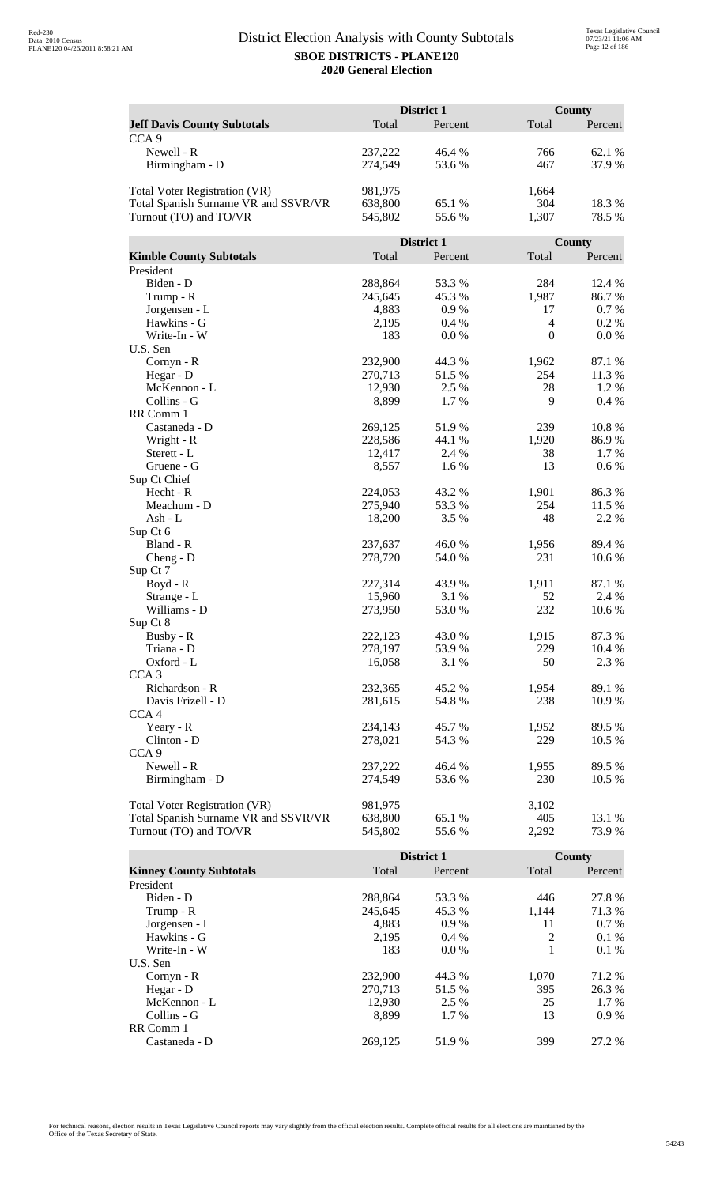|                                      |                    | District 1      |                | <b>County</b>   |  |
|--------------------------------------|--------------------|-----------------|----------------|-----------------|--|
| <b>Jeff Davis County Subtotals</b>   | Total              | Percent         | Total          | Percent         |  |
| CCA <sub>9</sub>                     |                    |                 |                |                 |  |
| Newell - R                           | 237,222            | 46.4 %          | 766            | 62.1 %          |  |
| Birmingham - D                       | 274,549            | 53.6%           | 467            | 37.9%           |  |
|                                      |                    |                 |                |                 |  |
| <b>Total Voter Registration (VR)</b> | 981,975            |                 | 1,664          |                 |  |
| Total Spanish Surname VR and SSVR/VR | 638,800            | 65.1 %          | 304            | 18.3%           |  |
| Turnout (TO) and TO/VR               | 545,802            | 55.6%           | 1,307          | 78.5 %          |  |
|                                      |                    |                 |                |                 |  |
|                                      |                    | District 1      |                | County          |  |
| <b>Kimble County Subtotals</b>       | Total              | Percent         | Total          | Percent         |  |
| President                            |                    |                 |                |                 |  |
| Biden - D                            | 288,864            | 53.3%           | 284            | 12.4 %          |  |
| Trump - R                            | 245,645            | 45.3 %          | 1,987          | 86.7%           |  |
| Jorgensen - L                        | 4,883              | 0.9%            | 17             | 0.7 %           |  |
| Hawkins - G                          | 2,195              | 0.4%            | $\overline{4}$ | 0.2 %           |  |
| Write-In - W                         | 183                | 0.0 %           | $\mathbf{0}$   | 0.0 %           |  |
| U.S. Sen                             |                    |                 |                |                 |  |
| Cornyn - R                           | 232,900<br>270,713 | 44.3 %<br>51.5% | 1,962<br>254   | 87.1 %<br>11.3% |  |
| Hegar - D<br>McKennon - L            | 12,930             | 2.5 %           | 28             | 1.2%            |  |
| Collins - G                          | 8,899              | 1.7%            | 9              | 0.4%            |  |
| RR Comm 1                            |                    |                 |                |                 |  |
| Castaneda - D                        | 269,125            | 51.9%           | 239            | 10.8 %          |  |
| Wright - R                           | 228,586            | 44.1 %          | 1,920          | 86.9%           |  |
| Sterett - L                          | 12,417             | 2.4 %           | 38             | 1.7 %           |  |
| Gruene - G                           | 8,557              | 1.6%            | 13             | 0.6 %           |  |
| Sup Ct Chief                         |                    |                 |                |                 |  |
| Hecht - R                            | 224,053            | 43.2 %          | 1,901          | 86.3%           |  |
| Meachum - D                          | 275,940            | 53.3 %          | 254            | 11.5 %          |  |
| Ash - L                              | 18,200             | 3.5 %           | 48             | 2.2 %           |  |
| Sup Ct 6                             |                    |                 |                |                 |  |
| Bland - R                            | 237,637            | 46.0%           | 1,956          | 89.4%           |  |
| Cheng - $D$                          | 278,720            | 54.0 %          | 231            | 10.6%           |  |
| Sup Ct 7                             |                    |                 |                |                 |  |
| Boyd - R                             | 227,314            | 43.9 %          | 1,911          | 87.1 %          |  |
| Strange - L                          | 15,960             | 3.1 %           | 52             | 2.4 %           |  |
| Williams - D                         | 273,950            | 53.0%           | 232            | 10.6 %          |  |
| Sup Ct 8                             |                    |                 |                |                 |  |
| Busby - R<br>Triana - D              | 222,123<br>278,197 | 43.0%<br>53.9%  | 1,915<br>229   | 87.3%<br>10.4 % |  |
| Oxford - L                           | 16,058             | 3.1 %           | 50             | 2.3 %           |  |
| CCA <sub>3</sub>                     |                    |                 |                |                 |  |
| Richardson - R                       | 232,365            | 45.2 %          | 1,954          | 89.1 %          |  |
| Davis Frizell - D                    | 281,615            | 54.8%           | 238            | 10.9 %          |  |
| CCA <sub>4</sub>                     |                    |                 |                |                 |  |
| Yeary - R                            | 234,143            | 45.7 %          | 1,952          | 89.5 %          |  |
| Clinton - D                          | 278,021            | 54.3 %          | 229            | 10.5 %          |  |
| CCA <sub>9</sub>                     |                    |                 |                |                 |  |
| Newell - R                           | 237,222            | 46.4 %          | 1,955          | 89.5 %          |  |
| Birmingham - D                       | 274,549            | 53.6%           | 230            | 10.5 %          |  |
|                                      |                    |                 |                |                 |  |
| <b>Total Voter Registration (VR)</b> | 981,975            |                 | 3,102          |                 |  |
| Total Spanish Surname VR and SSVR/VR | 638,800            | 65.1%           | 405            | 13.1 %          |  |
| Turnout (TO) and TO/VR               | 545,802            | 55.6%           | 2,292          | 73.9%           |  |
|                                      |                    |                 |                |                 |  |

|                                |         | <b>District 1</b> |       | <b>County</b> |
|--------------------------------|---------|-------------------|-------|---------------|
| <b>Kinney County Subtotals</b> | Total   | Percent           | Total | Percent       |
| President                      |         |                   |       |               |
| Biden - D                      | 288,864 | 53.3 %            | 446   | 27.8 %        |
| Trump - R                      | 245,645 | 45.3 %            | 1.144 | 71.3 %        |
| Jorgensen - L                  | 4.883   | $0.9\%$           | 11    | $0.7\%$       |
| Hawkins - G                    | 2,195   | $0.4\%$           | 2     | $0.1\%$       |
| Write-In - W                   | 183     | $0.0\%$           |       | $0.1\%$       |
| U.S. Sen                       |         |                   |       |               |
| Cornyn - R                     | 232,900 | 44.3 %            | 1.070 | 71.2 %        |
| Hegar - D                      | 270.713 | 51.5 %            | 395   | 26.3 %        |
| McKennon - L                   | 12,930  | 2.5 %             | 25    | $1.7\%$       |
| Collins - G                    | 8.899   | 1.7 %             | 13    | $0.9\%$       |
| RR Comm 1                      |         |                   |       |               |
| Castaneda - D                  | 269.125 | 51.9 %            | 399   | 27.2 %        |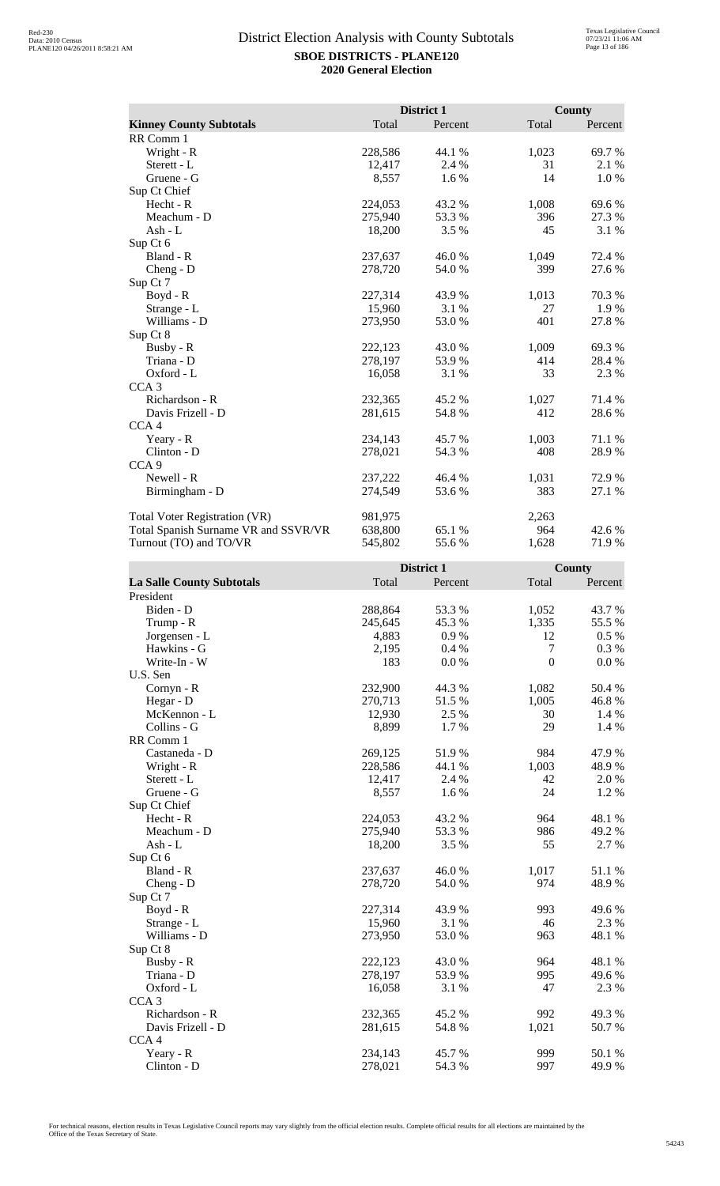|                                      |         | District 1 |       | County  |
|--------------------------------------|---------|------------|-------|---------|
| <b>Kinney County Subtotals</b>       | Total   | Percent    | Total | Percent |
| RR Comm 1                            |         |            |       |         |
| Wright - R                           | 228,586 | 44.1 %     | 1,023 | 69.7%   |
| Sterett - L                          | 12,417  | 2.4 %      | 31    | 2.1 %   |
| Gruene - G                           | 8,557   | $1.6\%$    | 14    | 1.0 %   |
| Sup Ct Chief                         |         |            |       |         |
| Hecht - R                            | 224,053 | 43.2%      | 1,008 | 69.6%   |
| Meachum - D                          | 275,940 | 53.3 %     | 396   | 27.3 %  |
| Ash - $L$                            | 18,200  | $3.5\%$    | 45    | 3.1 %   |
| Sup Ct 6                             |         |            |       |         |
| Bland - R                            | 237,637 | 46.0%      | 1,049 | 72.4 %  |
| $Cheng - D$                          | 278,720 | 54.0 %     | 399   | 27.6 %  |
| Sup Ct 7                             |         |            |       |         |
| Boyd - R                             | 227,314 | 43.9 %     | 1,013 | 70.3%   |
| Strange - L                          | 15,960  | 3.1 %      | 27    | 1.9%    |
| Williams - D                         | 273,950 | 53.0%      | 401   | 27.8%   |
| Sup Ct 8                             |         |            |       |         |
| Busby - R                            | 222,123 | 43.0%      | 1,009 | 69.3%   |
| Triana - D                           | 278,197 | 53.9%      | 414   | 28.4 %  |
| Oxford - L                           | 16,058  | 3.1 %      | 33    | 2.3 %   |
| CCA <sub>3</sub>                     |         |            |       |         |
| Richardson - R                       | 232,365 | 45.2 %     | 1,027 | 71.4 %  |
| Davis Frizell - D                    | 281,615 | 54.8%      | 412   | 28.6%   |
| CCA <sub>4</sub>                     |         |            |       |         |
| Yeary - R                            | 234,143 | 45.7 %     | 1,003 | 71.1 %  |
| Clinton - D                          | 278,021 | 54.3 %     | 408   | 28.9%   |
| CCA <sub>9</sub>                     |         |            |       |         |
| Newell - R                           | 237,222 | 46.4 %     | 1,031 | 72.9 %  |
| Birmingham - D                       | 274,549 | 53.6 %     | 383   | 27.1 %  |
| <b>Total Voter Registration (VR)</b> | 981,975 |            | 2,263 |         |
| Total Spanish Surname VR and SSVR/VR | 638,800 | 65.1 %     | 964   | 42.6 %  |
| Turnout (TO) and TO/VR               | 545,802 | 55.6%      | 1,628 | 71.9 %  |

| Total<br>Total<br><b>La Salle County Subtotals</b><br>Percent<br>Percent<br>President<br>Biden - D<br>288,864<br>53.3 %<br>1,052<br>43.7%<br>1,335<br>55.5 %<br>245,645<br>45.3 %<br>Trump - R<br>Jorgensen - L<br>0.9%<br>12<br>$0.5\%$<br>4,883<br>Hawkins - G<br>7<br>0.3%<br>2,195<br>0.4%<br>$\overline{0}$<br>Write-In - W<br>183<br>0.0 %<br>0.0 %<br>U.S. Sen<br>232,900<br>44.3 %<br>1,082<br>50.4 %<br>Cornyn - R<br>270,713<br>51.5%<br>46.8%<br>Hegar - D<br>1,005<br>2.5 %<br>McKennon - L<br>12,930<br>30<br>1.4 %<br>Collins - G<br>8,899<br>1.7%<br>29<br>1.4 %<br>RR Comm 1<br>984<br>269,125<br>51.9%<br>47.9%<br>Castaneda - D<br>228,586<br>44.1 %<br>1,003<br>48.9%<br>Wright - R<br>42<br>2.0 %<br>Sterett - L<br>12,417<br>2.4 %<br>24<br>1.6 %<br>1.2%<br>Gruene - G<br>8,557<br>Sup Ct Chief<br>43.2%<br>964<br>48.1%<br>Hecht - R<br>224,053<br>275,940<br>53.3%<br>986<br>49.2 %<br>Meachum - D<br>3.5%<br>55<br>$Ash - L$<br>18,200<br>2.7 %<br>Sup Ct 6<br>Bland - R<br>51.1 %<br>237,637<br>46.0%<br>1,017<br>974<br>278,720<br>54.0 %<br>48.9%<br>Cheng - D<br>Sup Ct 7<br>227,314<br>993<br>49.6%<br>$Boyd - R$<br>43.9%<br>15,960<br>3.1 %<br>46<br>2.3 %<br>Strange - L<br>Williams - D<br>273,950<br>53.0 %<br>48.1 %<br>963<br>Sup Ct 8<br>43.0%<br>48.1%<br>Busby - R<br>222,123<br>964<br>49.6%<br>Triana - D<br>278,197<br>53.9%<br>995<br>Oxford - L<br>47<br>2.3 %<br>16,058<br>3.1 %<br>CCA <sub>3</sub><br>45.2%<br>49.3%<br>Richardson - R<br>232,365<br>992<br>1,021<br>50.7%<br>Davis Frizell - D<br>281,615<br>54.8%<br>CCA <sub>4</sub><br>999<br>50.1%<br>Yeary - R<br>234,143<br>45.7%<br>$Clinton - D$<br>997<br>49.9%<br>278,021<br>54.3 % |  | District 1 | County |
|------------------------------------------------------------------------------------------------------------------------------------------------------------------------------------------------------------------------------------------------------------------------------------------------------------------------------------------------------------------------------------------------------------------------------------------------------------------------------------------------------------------------------------------------------------------------------------------------------------------------------------------------------------------------------------------------------------------------------------------------------------------------------------------------------------------------------------------------------------------------------------------------------------------------------------------------------------------------------------------------------------------------------------------------------------------------------------------------------------------------------------------------------------------------------------------------------------------------------------------------------------------------------------------------------------------------------------------------------------------------------------------------------------------------------------------------------------------------------------------------------------------------------------------------------------------------------------------------------------------------------------------------------------------------------------------------|--|------------|--------|
|                                                                                                                                                                                                                                                                                                                                                                                                                                                                                                                                                                                                                                                                                                                                                                                                                                                                                                                                                                                                                                                                                                                                                                                                                                                                                                                                                                                                                                                                                                                                                                                                                                                                                                |  |            |        |
|                                                                                                                                                                                                                                                                                                                                                                                                                                                                                                                                                                                                                                                                                                                                                                                                                                                                                                                                                                                                                                                                                                                                                                                                                                                                                                                                                                                                                                                                                                                                                                                                                                                                                                |  |            |        |
|                                                                                                                                                                                                                                                                                                                                                                                                                                                                                                                                                                                                                                                                                                                                                                                                                                                                                                                                                                                                                                                                                                                                                                                                                                                                                                                                                                                                                                                                                                                                                                                                                                                                                                |  |            |        |
|                                                                                                                                                                                                                                                                                                                                                                                                                                                                                                                                                                                                                                                                                                                                                                                                                                                                                                                                                                                                                                                                                                                                                                                                                                                                                                                                                                                                                                                                                                                                                                                                                                                                                                |  |            |        |
|                                                                                                                                                                                                                                                                                                                                                                                                                                                                                                                                                                                                                                                                                                                                                                                                                                                                                                                                                                                                                                                                                                                                                                                                                                                                                                                                                                                                                                                                                                                                                                                                                                                                                                |  |            |        |
|                                                                                                                                                                                                                                                                                                                                                                                                                                                                                                                                                                                                                                                                                                                                                                                                                                                                                                                                                                                                                                                                                                                                                                                                                                                                                                                                                                                                                                                                                                                                                                                                                                                                                                |  |            |        |
|                                                                                                                                                                                                                                                                                                                                                                                                                                                                                                                                                                                                                                                                                                                                                                                                                                                                                                                                                                                                                                                                                                                                                                                                                                                                                                                                                                                                                                                                                                                                                                                                                                                                                                |  |            |        |
|                                                                                                                                                                                                                                                                                                                                                                                                                                                                                                                                                                                                                                                                                                                                                                                                                                                                                                                                                                                                                                                                                                                                                                                                                                                                                                                                                                                                                                                                                                                                                                                                                                                                                                |  |            |        |
|                                                                                                                                                                                                                                                                                                                                                                                                                                                                                                                                                                                                                                                                                                                                                                                                                                                                                                                                                                                                                                                                                                                                                                                                                                                                                                                                                                                                                                                                                                                                                                                                                                                                                                |  |            |        |
|                                                                                                                                                                                                                                                                                                                                                                                                                                                                                                                                                                                                                                                                                                                                                                                                                                                                                                                                                                                                                                                                                                                                                                                                                                                                                                                                                                                                                                                                                                                                                                                                                                                                                                |  |            |        |
|                                                                                                                                                                                                                                                                                                                                                                                                                                                                                                                                                                                                                                                                                                                                                                                                                                                                                                                                                                                                                                                                                                                                                                                                                                                                                                                                                                                                                                                                                                                                                                                                                                                                                                |  |            |        |
|                                                                                                                                                                                                                                                                                                                                                                                                                                                                                                                                                                                                                                                                                                                                                                                                                                                                                                                                                                                                                                                                                                                                                                                                                                                                                                                                                                                                                                                                                                                                                                                                                                                                                                |  |            |        |
|                                                                                                                                                                                                                                                                                                                                                                                                                                                                                                                                                                                                                                                                                                                                                                                                                                                                                                                                                                                                                                                                                                                                                                                                                                                                                                                                                                                                                                                                                                                                                                                                                                                                                                |  |            |        |
|                                                                                                                                                                                                                                                                                                                                                                                                                                                                                                                                                                                                                                                                                                                                                                                                                                                                                                                                                                                                                                                                                                                                                                                                                                                                                                                                                                                                                                                                                                                                                                                                                                                                                                |  |            |        |
|                                                                                                                                                                                                                                                                                                                                                                                                                                                                                                                                                                                                                                                                                                                                                                                                                                                                                                                                                                                                                                                                                                                                                                                                                                                                                                                                                                                                                                                                                                                                                                                                                                                                                                |  |            |        |
|                                                                                                                                                                                                                                                                                                                                                                                                                                                                                                                                                                                                                                                                                                                                                                                                                                                                                                                                                                                                                                                                                                                                                                                                                                                                                                                                                                                                                                                                                                                                                                                                                                                                                                |  |            |        |
|                                                                                                                                                                                                                                                                                                                                                                                                                                                                                                                                                                                                                                                                                                                                                                                                                                                                                                                                                                                                                                                                                                                                                                                                                                                                                                                                                                                                                                                                                                                                                                                                                                                                                                |  |            |        |
|                                                                                                                                                                                                                                                                                                                                                                                                                                                                                                                                                                                                                                                                                                                                                                                                                                                                                                                                                                                                                                                                                                                                                                                                                                                                                                                                                                                                                                                                                                                                                                                                                                                                                                |  |            |        |
|                                                                                                                                                                                                                                                                                                                                                                                                                                                                                                                                                                                                                                                                                                                                                                                                                                                                                                                                                                                                                                                                                                                                                                                                                                                                                                                                                                                                                                                                                                                                                                                                                                                                                                |  |            |        |
|                                                                                                                                                                                                                                                                                                                                                                                                                                                                                                                                                                                                                                                                                                                                                                                                                                                                                                                                                                                                                                                                                                                                                                                                                                                                                                                                                                                                                                                                                                                                                                                                                                                                                                |  |            |        |
|                                                                                                                                                                                                                                                                                                                                                                                                                                                                                                                                                                                                                                                                                                                                                                                                                                                                                                                                                                                                                                                                                                                                                                                                                                                                                                                                                                                                                                                                                                                                                                                                                                                                                                |  |            |        |
|                                                                                                                                                                                                                                                                                                                                                                                                                                                                                                                                                                                                                                                                                                                                                                                                                                                                                                                                                                                                                                                                                                                                                                                                                                                                                                                                                                                                                                                                                                                                                                                                                                                                                                |  |            |        |
|                                                                                                                                                                                                                                                                                                                                                                                                                                                                                                                                                                                                                                                                                                                                                                                                                                                                                                                                                                                                                                                                                                                                                                                                                                                                                                                                                                                                                                                                                                                                                                                                                                                                                                |  |            |        |
|                                                                                                                                                                                                                                                                                                                                                                                                                                                                                                                                                                                                                                                                                                                                                                                                                                                                                                                                                                                                                                                                                                                                                                                                                                                                                                                                                                                                                                                                                                                                                                                                                                                                                                |  |            |        |
|                                                                                                                                                                                                                                                                                                                                                                                                                                                                                                                                                                                                                                                                                                                                                                                                                                                                                                                                                                                                                                                                                                                                                                                                                                                                                                                                                                                                                                                                                                                                                                                                                                                                                                |  |            |        |
|                                                                                                                                                                                                                                                                                                                                                                                                                                                                                                                                                                                                                                                                                                                                                                                                                                                                                                                                                                                                                                                                                                                                                                                                                                                                                                                                                                                                                                                                                                                                                                                                                                                                                                |  |            |        |
|                                                                                                                                                                                                                                                                                                                                                                                                                                                                                                                                                                                                                                                                                                                                                                                                                                                                                                                                                                                                                                                                                                                                                                                                                                                                                                                                                                                                                                                                                                                                                                                                                                                                                                |  |            |        |
|                                                                                                                                                                                                                                                                                                                                                                                                                                                                                                                                                                                                                                                                                                                                                                                                                                                                                                                                                                                                                                                                                                                                                                                                                                                                                                                                                                                                                                                                                                                                                                                                                                                                                                |  |            |        |
|                                                                                                                                                                                                                                                                                                                                                                                                                                                                                                                                                                                                                                                                                                                                                                                                                                                                                                                                                                                                                                                                                                                                                                                                                                                                                                                                                                                                                                                                                                                                                                                                                                                                                                |  |            |        |
|                                                                                                                                                                                                                                                                                                                                                                                                                                                                                                                                                                                                                                                                                                                                                                                                                                                                                                                                                                                                                                                                                                                                                                                                                                                                                                                                                                                                                                                                                                                                                                                                                                                                                                |  |            |        |
|                                                                                                                                                                                                                                                                                                                                                                                                                                                                                                                                                                                                                                                                                                                                                                                                                                                                                                                                                                                                                                                                                                                                                                                                                                                                                                                                                                                                                                                                                                                                                                                                                                                                                                |  |            |        |
|                                                                                                                                                                                                                                                                                                                                                                                                                                                                                                                                                                                                                                                                                                                                                                                                                                                                                                                                                                                                                                                                                                                                                                                                                                                                                                                                                                                                                                                                                                                                                                                                                                                                                                |  |            |        |
|                                                                                                                                                                                                                                                                                                                                                                                                                                                                                                                                                                                                                                                                                                                                                                                                                                                                                                                                                                                                                                                                                                                                                                                                                                                                                                                                                                                                                                                                                                                                                                                                                                                                                                |  |            |        |
|                                                                                                                                                                                                                                                                                                                                                                                                                                                                                                                                                                                                                                                                                                                                                                                                                                                                                                                                                                                                                                                                                                                                                                                                                                                                                                                                                                                                                                                                                                                                                                                                                                                                                                |  |            |        |
|                                                                                                                                                                                                                                                                                                                                                                                                                                                                                                                                                                                                                                                                                                                                                                                                                                                                                                                                                                                                                                                                                                                                                                                                                                                                                                                                                                                                                                                                                                                                                                                                                                                                                                |  |            |        |
|                                                                                                                                                                                                                                                                                                                                                                                                                                                                                                                                                                                                                                                                                                                                                                                                                                                                                                                                                                                                                                                                                                                                                                                                                                                                                                                                                                                                                                                                                                                                                                                                                                                                                                |  |            |        |
|                                                                                                                                                                                                                                                                                                                                                                                                                                                                                                                                                                                                                                                                                                                                                                                                                                                                                                                                                                                                                                                                                                                                                                                                                                                                                                                                                                                                                                                                                                                                                                                                                                                                                                |  |            |        |
|                                                                                                                                                                                                                                                                                                                                                                                                                                                                                                                                                                                                                                                                                                                                                                                                                                                                                                                                                                                                                                                                                                                                                                                                                                                                                                                                                                                                                                                                                                                                                                                                                                                                                                |  |            |        |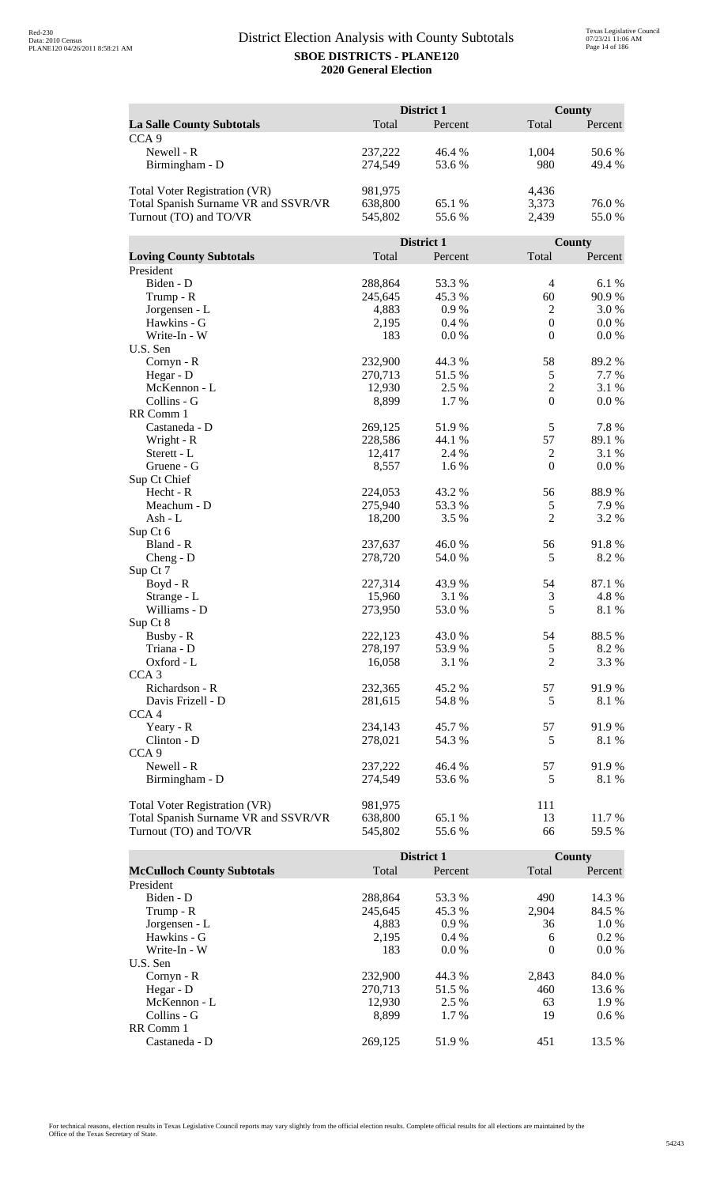|                                      | District 1         |                 | <b>County</b>    |                 |
|--------------------------------------|--------------------|-----------------|------------------|-----------------|
| <b>La Salle County Subtotals</b>     | Total              | Percent         | Total            | Percent         |
| CCA <sub>9</sub>                     |                    |                 |                  |                 |
| Newell - R                           | 237,222            | 46.4 %          | 1,004            | 50.6%           |
| Birmingham - D                       | 274,549            | 53.6%           | 980              | 49.4%           |
|                                      |                    |                 |                  |                 |
| Total Voter Registration (VR)        | 981,975            |                 | 4,436            |                 |
| Total Spanish Surname VR and SSVR/VR | 638,800            | 65.1 %          | 3,373            | 76.0%           |
| Turnout (TO) and TO/VR               | 545,802            | 55.6%           | 2,439            | 55.0%           |
|                                      |                    |                 |                  |                 |
|                                      |                    | District 1      |                  | County          |
| <b>Loving County Subtotals</b>       | Total              | Percent         | Total            | Percent         |
| President                            |                    |                 |                  |                 |
| Biden - D                            | 288,864            | 53.3 %          | $\overline{4}$   | 6.1 %           |
| Trump - R                            | 245,645            | 45.3%           | 60               | 90.9%           |
| Jorgensen - L                        | 4,883              | 0.9%            | $\overline{2}$   | 3.0%            |
| Hawkins - G                          | 2,195              | 0.4%            | $\boldsymbol{0}$ | 0.0 %           |
| Write-In - W                         | 183                | 0.0 %           | $\mathbf{0}$     | 0.0 %           |
| U.S. Sen                             |                    |                 |                  |                 |
| Cornyn - R                           | 232,900            | 44.3 %          | 58               | 89.2%           |
| Hegar - D                            | 270,713            | 51.5%           | $\sqrt{5}$       | 7.7 %           |
| McKennon - L                         | 12,930             | 2.5 %           | $\sqrt{2}$       | 3.1 %           |
| Collins - G                          | 8,899              | 1.7%            | $\mathbf{0}$     | 0.0 %           |
| RR Comm 1                            |                    |                 |                  |                 |
| Castaneda - D                        | 269,125            | 51.9%<br>44.1 % | 5<br>57          | 7.8%            |
| Wright - R<br>Sterett - L            | 228,586<br>12,417  | 2.4 %           | $\overline{c}$   | 89.1 %<br>3.1 % |
| Gruene - G                           | 8,557              | 1.6%            | $\mathbf{0}$     | 0.0 %           |
| Sup Ct Chief                         |                    |                 |                  |                 |
| Hecht - R                            | 224,053            | 43.2 %          | 56               | 88.9%           |
| Meachum - D                          | 275,940            | 53.3 %          | 5                | 7.9%            |
| $Ash - L$                            | 18,200             | 3.5 %           | $\overline{2}$   | 3.2 %           |
| Sup Ct 6                             |                    |                 |                  |                 |
| Bland - R                            | 237,637            | 46.0%           | 56               | 91.8%           |
| $Cheng - D$                          | 278,720            | 54.0%           | 5                | 8.2%            |
| Sup Ct 7                             |                    |                 |                  |                 |
| Boyd - R                             | 227,314            | 43.9 %          | 54               | 87.1 %          |
| Strange - L                          | 15,960             | 3.1 %           | 3                | 4.8%            |
| Williams - D                         | 273,950            | 53.0%           | 5                | 8.1%            |
| Sup Ct 8                             |                    |                 |                  |                 |
| Busby - R                            | 222,123            | 43.0 %          | 54               | 88.5%           |
| Triana - D                           | 278,197            | 53.9%           | $\mathfrak s$    | 8.2 %           |
| Oxford - L                           | 16,058             | 3.1 %           | $\overline{c}$   | 3.3 %           |
| CCA <sub>3</sub>                     |                    |                 |                  |                 |
| Richardson - R                       | 232,365            | 45.2 %          | 57               | 91.9%           |
| Davis Frizell - D                    | 281,615            | 54.8%           | 5                | 8.1 %           |
| CCA <sub>4</sub>                     |                    |                 |                  |                 |
| Yeary - R                            | 234,143            | 45.7%           | 57               | 91.9%           |
| Clinton - D<br>CCA <sub>9</sub>      | 278,021            | 54.3 %          | 5                | 8.1 %           |
| Newell - R                           |                    |                 | 57               |                 |
| Birmingham - D                       | 237,222<br>274,549 | 46.4 %          | 5                | 91.9%           |
|                                      |                    | 53.6 %          |                  | 8.1 %           |
| Total Voter Registration (VR)        | 981,975            |                 | 111              |                 |
| Total Spanish Surname VR and SSVR/VR | 638,800            | 65.1 %          | 13               | 11.7 %          |
| Turnout (TO) and TO/VR               | 545,802            | 55.6%           | 66               | 59.5 %          |
|                                      |                    |                 |                  |                 |

|                                   |         | <b>District 1</b> |          | <b>County</b> |
|-----------------------------------|---------|-------------------|----------|---------------|
| <b>McCulloch County Subtotals</b> | Total   | Percent           | Total    | Percent       |
| President                         |         |                   |          |               |
| Biden - D                         | 288,864 | 53.3 %            | 490      | 14.3 %        |
| Trump - R                         | 245,645 | 45.3 %            | 2,904    | 84.5 %        |
| Jorgensen - L                     | 4.883   | $0.9\%$           | 36       | 1.0 %         |
| Hawkins - G                       | 2,195   | $0.4\%$           | 6        | $0.2\%$       |
| Write-In - W                      | 183     | $0.0\%$           | $\theta$ | $0.0\%$       |
| U.S. Sen                          |         |                   |          |               |
| $Cornyn - R$                      | 232,900 | 44.3 %            | 2,843    | 84.0 %        |
| Hegar - $D$                       | 270.713 | 51.5 %            | 460      | 13.6 %        |
| McKennon - L                      | 12,930  | 2.5 %             | 63       | 1.9 %         |
| Collins - G                       | 8.899   | 1.7 %             | 19       | $0.6\%$       |
| RR Comm 1                         |         |                   |          |               |
| Castaneda - D                     | 269,125 | 51.9 %            | 451      | 13.5 %        |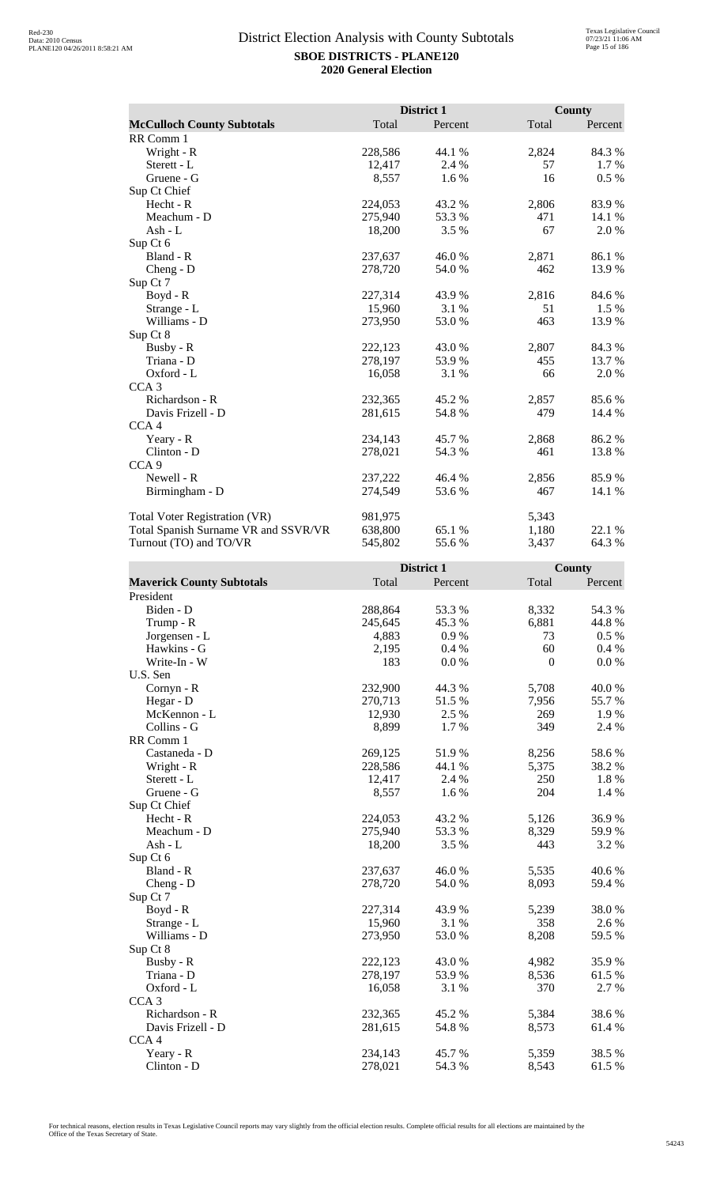|                                      |         | District 1 |       | <b>County</b> |
|--------------------------------------|---------|------------|-------|---------------|
| <b>McCulloch County Subtotals</b>    | Total   | Percent    | Total | Percent       |
| RR Comm 1                            |         |            |       |               |
| Wright - R                           | 228,586 | 44.1 %     | 2,824 | 84.3%         |
| Sterett - L                          | 12,417  | 2.4 %      | 57    | 1.7 %         |
| Gruene - G                           | 8,557   | 1.6%       | 16    | 0.5 %         |
| Sup Ct Chief                         |         |            |       |               |
| Hecht - R                            | 224,053 | 43.2 %     | 2,806 | 83.9%         |
| Meachum - D                          | 275,940 | 53.3 %     | 471   | 14.1 %        |
| Ash - $L$                            | 18,200  | 3.5 %      | 67    | 2.0 %         |
| Sup Ct 6                             |         |            |       |               |
| Bland - R                            | 237,637 | 46.0%      | 2,871 | 86.1 %        |
| Cheng - D                            | 278,720 | 54.0 %     | 462   | 13.9%         |
| Sup Ct 7                             |         |            |       |               |
| Boyd - R                             | 227,314 | 43.9 %     | 2,816 | 84.6 %        |
| Strange - L                          | 15,960  | 3.1 %      | 51    | 1.5 %         |
| Williams - D                         | 273,950 | 53.0%      | 463   | 13.9 %        |
| Sup Ct 8                             |         |            |       |               |
| Busby - R                            | 222,123 | 43.0%      | 2,807 | 84.3%         |
| Triana - D                           | 278,197 | 53.9%      | 455   | 13.7 %        |
| Oxford - L                           | 16,058  | 3.1 %      | 66    | 2.0 %         |
| CCA <sub>3</sub>                     |         |            |       |               |
| Richardson - R                       | 232,365 | 45.2 %     | 2,857 | 85.6%         |
| Davis Frizell - D                    | 281,615 | 54.8%      | 479   | 14.4 %        |
| CCA <sub>4</sub>                     |         |            |       |               |
| Yeary - R                            | 234,143 | 45.7 %     | 2,868 | 86.2%         |
| Clinton - D                          | 278,021 | 54.3 %     | 461   | 13.8%         |
| CCA <sub>9</sub>                     |         |            |       |               |
| Newell - R                           | 237,222 | 46.4 %     | 2,856 | 85.9%         |
| Birmingham - D                       | 274,549 | 53.6 %     | 467   | 14.1 %        |
| <b>Total Voter Registration (VR)</b> | 981,975 |            | 5,343 |               |
| Total Spanish Surname VR and SSVR/VR | 638,800 | 65.1 %     | 1,180 | 22.1 %        |
| Turnout (TO) and TO/VR               | 545,802 | 55.6%      | 3,437 | 64.3%         |

|                                  |         | District 1 |                  | <b>County</b> |
|----------------------------------|---------|------------|------------------|---------------|
| <b>Maverick County Subtotals</b> | Total   | Percent    | Total            | Percent       |
| President                        |         |            |                  |               |
| Biden - D                        | 288,864 | 53.3%      | 8,332            | 54.3 %        |
| Trump - R                        | 245,645 | 45.3%      | 6,881            | 44.8 %        |
| Jorgensen - L                    | 4,883   | 0.9 %      | 73               | 0.5 %         |
| Hawkins - G                      | 2,195   | 0.4%       | 60               | 0.4 %         |
| Write-In - W                     | 183     | 0.0 %      | $\boldsymbol{0}$ | 0.0 %         |
| U.S. Sen                         |         |            |                  |               |
| Cornyn - R                       | 232,900 | 44.3 %     | 5,708            | 40.0%         |
| Hegar - D                        | 270,713 | 51.5 %     | 7,956            | 55.7 %        |
| McKennon - L                     | 12,930  | 2.5 %      | 269              | 1.9 %         |
| Collins - G                      | 8,899   | 1.7 %      | 349              | 2.4 %         |
| RR Comm 1                        |         |            |                  |               |
| Castaneda - D                    | 269,125 | 51.9%      | 8,256            | 58.6%         |
| Wright - R                       | 228,586 | 44.1 %     | 5,375            | 38.2%         |
| Sterett - L                      | 12,417  | 2.4 %      | 250              | 1.8%          |
| Gruene - G                       | 8,557   | 1.6%       | 204              | 1.4 %         |
| Sup Ct Chief                     |         |            |                  |               |
| Hecht - R                        | 224,053 | 43.2 %     | 5,126            | 36.9%         |
| Meachum - D                      | 275,940 | 53.3%      | 8,329            | 59.9%         |
| $Ash - L$                        | 18,200  | 3.5 %      | 443              | 3.2 %         |
| Sup Ct 6                         |         |            |                  |               |
| Bland - R                        | 237,637 | 46.0 %     | 5,535            | 40.6 %        |
| $Cheng - D$                      | 278,720 | 54.0%      | 8,093            | 59.4 %        |
| Sup Ct 7                         |         |            |                  |               |
| Boyd - R                         | 227,314 | 43.9 %     | 5,239            | 38.0%         |
| Strange - L                      | 15,960  | 3.1 %      | 358              | 2.6 %         |
| Williams - D                     | 273,950 | 53.0 %     | 8,208            | 59.5 %        |
| Sup Ct 8                         |         |            |                  |               |
| Busby - R                        | 222,123 | 43.0 %     | 4,982            | 35.9%         |
| Triana - D                       | 278,197 | 53.9%      | 8,536            | 61.5 %        |
| Oxford - L                       | 16,058  | 3.1 %      | 370              | 2.7 %         |
| CCA <sub>3</sub>                 |         |            |                  |               |
| Richardson - R                   | 232,365 | 45.2%      | 5,384            | 38.6%         |
| Davis Frizell - D                | 281,615 | 54.8%      | 8,573            | 61.4%         |
| CCA <sub>4</sub>                 |         |            |                  |               |
| Yeary - R                        | 234,143 | 45.7%      | 5,359            | 38.5%         |
| Clinton - D                      | 278,021 | 54.3 %     | 8,543            | 61.5%         |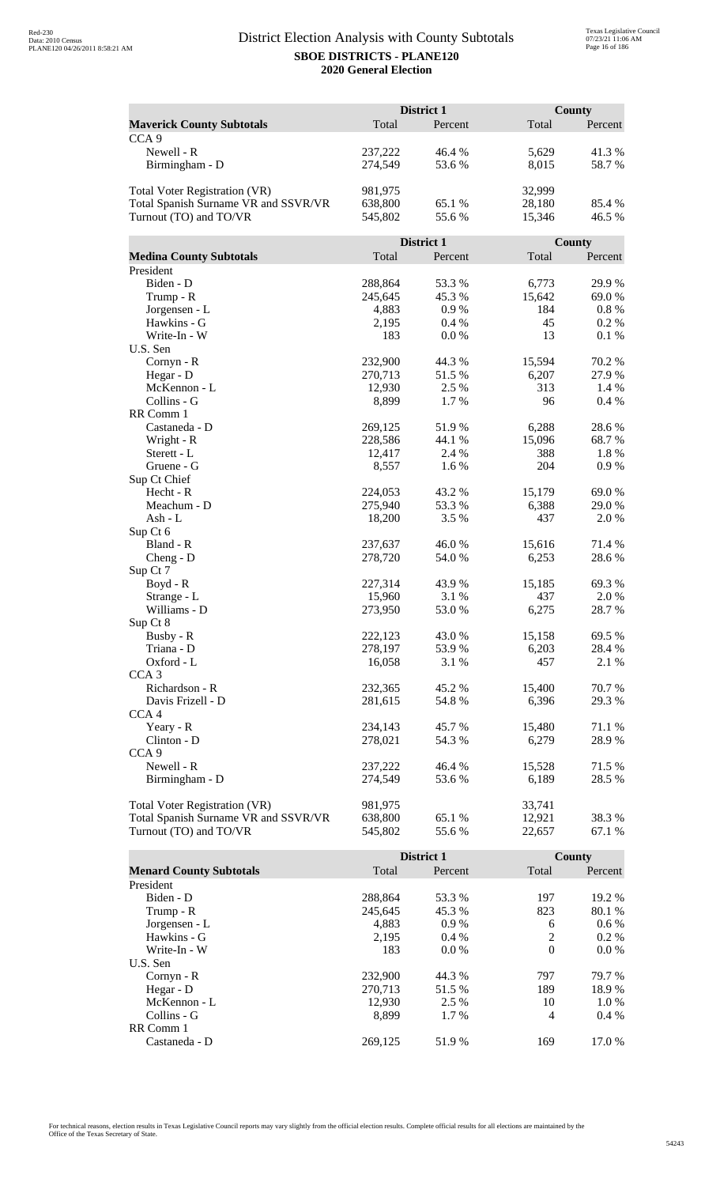|                                      | District 1 |            |        | <b>County</b> |  |
|--------------------------------------|------------|------------|--------|---------------|--|
| <b>Maverick County Subtotals</b>     | Total      | Percent    | Total  | Percent       |  |
| CCA <sub>9</sub>                     |            |            |        |               |  |
| Newell - R                           | 237,222    | 46.4 %     | 5,629  | 41.3%         |  |
| Birmingham - D                       | 274,549    | 53.6%      | 8,015  | 58.7%         |  |
|                                      |            |            |        |               |  |
| Total Voter Registration (VR)        | 981,975    |            | 32,999 |               |  |
| Total Spanish Surname VR and SSVR/VR | 638,800    | 65.1 %     | 28,180 | 85.4 %        |  |
| Turnout (TO) and TO/VR               | 545,802    | 55.6%      | 15,346 | 46.5 %        |  |
|                                      |            |            |        |               |  |
|                                      |            | District 1 |        | <b>County</b> |  |
| <b>Medina County Subtotals</b>       | Total      | Percent    | Total  | Percent       |  |
| President                            |            |            |        |               |  |
| Biden - D                            | 288,864    | 53.3 %     | 6,773  | 29.9%         |  |
| Trump - R                            | 245,645    | 45.3%      | 15,642 | 69.0%         |  |
| Jorgensen - L                        | 4,883      | 0.9%       | 184    | 0.8 %         |  |
| Hawkins - G                          | 2,195      | 0.4%       | 45     | 0.2 %         |  |
| Write-In - W                         | 183        | 0.0 %      | 13     | 0.1%          |  |
| U.S. Sen                             |            |            |        |               |  |
| Cornyn - R                           | 232,900    | 44.3 %     | 15,594 | 70.2 %        |  |
| Hegar - D                            | 270,713    | 51.5%      | 6,207  | 27.9%         |  |
| McKennon - L                         | 12,930     | 2.5 %      | 313    | 1.4 %         |  |
| Collins - G                          | 8,899      | 1.7%       | 96     | 0.4 %         |  |
| RR Comm 1                            |            |            |        |               |  |
| Castaneda - D                        | 269,125    | 51.9%      | 6,288  | 28.6%         |  |
| Wright - R                           | 228,586    | 44.1 %     | 15,096 | 68.7%         |  |
| Sterett - L                          | 12,417     | 2.4 %      | 388    | 1.8%          |  |
| Gruene - G                           | 8,557      | 1.6%       | 204    | 0.9%          |  |
| Sup Ct Chief                         |            |            |        |               |  |
| Hecht - R                            | 224,053    | 43.2 %     | 15,179 | 69.0%         |  |
| Meachum - D                          | 275,940    | 53.3 %     | 6,388  | 29.0 %        |  |
| Ash - L                              | 18,200     | 3.5 %      | 437    | 2.0%          |  |
| Sup Ct 6                             |            |            |        |               |  |
| Bland - R                            | 237,637    | 46.0%      | 15,616 | 71.4 %        |  |
| $Cheng - D$                          | 278,720    | 54.0%      | 6,253  | 28.6%         |  |
| Sup Ct 7                             |            |            |        |               |  |
| Boyd - R                             | 227,314    | 43.9 %     | 15,185 | 69.3%         |  |
| Strange - L                          | 15,960     | 3.1 %      | 437    | 2.0%          |  |
| Williams - D                         | 273,950    | 53.0 %     | 6,275  | 28.7%         |  |
| Sup Ct 8                             |            |            |        |               |  |
| Busby - R                            | 222,123    | 43.0 %     | 15,158 | 69.5 %        |  |
| Triana - D                           | 278,197    | 53.9%      | 6,203  | 28.4 %        |  |
| Oxford - L                           | 16,058     | 3.1 %      | 457    | 2.1 %         |  |
| CCA <sub>3</sub>                     |            |            |        |               |  |
| Richardson - R                       | 232,365    | 45.2 %     | 15,400 | 70.7 %        |  |
| Davis Frizell - D                    | 281,615    | 54.8%      | 6,396  | 29.3 %        |  |
| CCA <sub>4</sub>                     |            |            |        |               |  |
| Yeary - R                            | 234,143    | 45.7%      | 15,480 | 71.1 %        |  |
| Clinton - D                          | 278,021    | 54.3 %     | 6,279  | 28.9%         |  |
| CCA <sub>9</sub>                     |            |            |        |               |  |
| Newell - R                           | 237,222    | 46.4 %     | 15,528 | 71.5 %        |  |
| Birmingham - D                       | 274,549    | 53.6%      | 6,189  | 28.5 %        |  |
|                                      |            |            |        |               |  |
| Total Voter Registration (VR)        | 981,975    |            | 33,741 |               |  |
| Total Spanish Surname VR and SSVR/VR | 638,800    | 65.1 %     | 12,921 | 38.3 %        |  |
| Turnout (TO) and TO/VR               | 545,802    | 55.6%      | 22,657 | 67.1 %        |  |

|                                |         | <b>District 1</b> |          | County  |
|--------------------------------|---------|-------------------|----------|---------|
| <b>Menard County Subtotals</b> | Total   | Percent           | Total    | Percent |
| President                      |         |                   |          |         |
| Biden - D                      | 288,864 | 53.3 %            | 197      | 19.2 %  |
| Trump - R                      | 245,645 | 45.3 %            | 823      | 80.1 %  |
| Jorgensen - L                  | 4,883   | 0.9%              | 6        | $0.6\%$ |
| Hawkins - G                    | 2,195   | $0.4\%$           | 2        | $0.2\%$ |
| Write-In - W                   | 183     | $0.0\%$           | $\theta$ | $0.0\%$ |
| U.S. Sen                       |         |                   |          |         |
| Cornyn - R                     | 232,900 | 44.3 %            | 797      | 79.7 %  |
| Hegar - D                      | 270.713 | 51.5 %            | 189      | 18.9%   |
| McKennon - L                   | 12,930  | 2.5 %             | 10       | $1.0\%$ |
| Collins - G                    | 8.899   | 1.7 %             | 4        | $0.4\%$ |
| RR Comm 1                      |         |                   |          |         |
| Castaneda - D                  | 269.125 | 51.9 %            | 169      | 17.0 %  |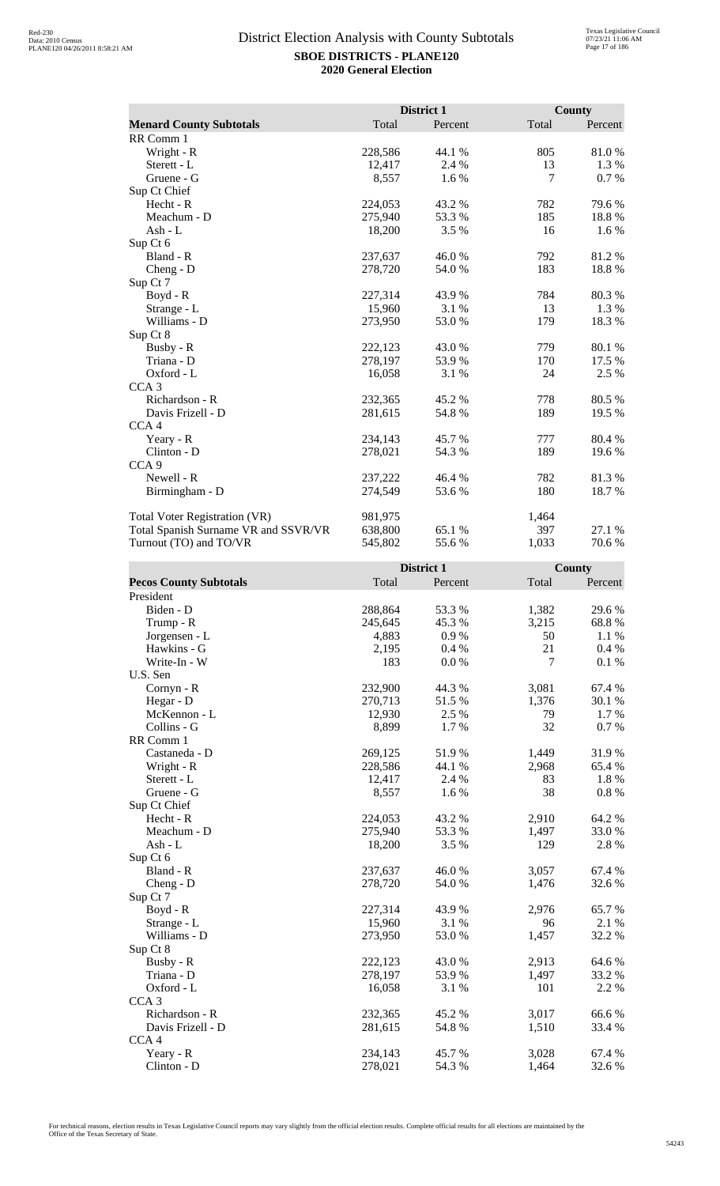|                                      |         | District 1 |       | <b>County</b> |
|--------------------------------------|---------|------------|-------|---------------|
| <b>Menard County Subtotals</b>       | Total   | Percent    | Total | Percent       |
| RR Comm 1                            |         |            |       |               |
| Wright - R                           | 228,586 | 44.1 %     | 805   | 81.0%         |
| Sterett - L                          | 12,417  | 2.4 %      | 13    | 1.3%          |
| Gruene - G                           | 8,557   | 1.6%       | 7     | 0.7 %         |
| Sup Ct Chief                         |         |            |       |               |
| Hecht - R                            | 224,053 | 43.2 %     | 782   | 79.6 %        |
| Meachum - D                          | 275,940 | 53.3 %     | 185   | 18.8%         |
| Ash - $L$                            | 18,200  | 3.5 %      | 16    | 1.6 %         |
| Sup Ct 6                             |         |            |       |               |
| Bland - R                            | 237,637 | 46.0%      | 792   | 81.2%         |
| Cheng - D                            | 278,720 | 54.0 %     | 183   | 18.8%         |
| Sup Ct 7                             |         |            |       |               |
| $Boyd - R$                           | 227,314 | 43.9 %     | 784   | 80.3%         |
| Strange - L                          | 15,960  | 3.1 %      | 13    | 1.3 %         |
| Williams - D                         | 273,950 | 53.0%      | 179   | 18.3%         |
| Sup Ct 8                             |         |            |       |               |
| Busby - R                            | 222,123 | 43.0 %     | 779   | 80.1 %        |
| Triana - D                           | 278,197 | 53.9%      | 170   | 17.5 %        |
| Oxford - L                           | 16,058  | 3.1 %      | 24    | 2.5 %         |
| CCA <sub>3</sub>                     |         |            |       |               |
| Richardson - R                       | 232,365 | 45.2%      | 778   | 80.5%         |
| Davis Frizell - D                    | 281,615 | 54.8%      | 189   | 19.5 %        |
| CCA <sub>4</sub>                     |         |            |       |               |
| Yeary - R                            | 234,143 | 45.7 %     | 777   | 80.4 %        |
| Clinton - D                          | 278,021 | 54.3 %     | 189   | 19.6%         |
| CCA <sub>9</sub>                     |         |            |       |               |
| Newell - R                           | 237,222 | 46.4 %     | 782   | 81.3%         |
| Birmingham - D                       | 274,549 | 53.6%      | 180   | 18.7 %        |
| <b>Total Voter Registration (VR)</b> | 981,975 |            | 1,464 |               |
| Total Spanish Surname VR and SSVR/VR | 638,800 | 65.1 %     | 397   | 27.1 %        |
| Turnout (TO) and TO/VR               | 545,802 | 55.6%      | 1,033 | 70.6%         |

|                               |         | District 1 |       | County   |
|-------------------------------|---------|------------|-------|----------|
| <b>Pecos County Subtotals</b> | Total   | Percent    | Total | Percent  |
| President                     |         |            |       |          |
| Biden - D                     | 288,864 | 53.3%      | 1,382 | 29.6%    |
| Trump - R                     | 245,645 | 45.3%      | 3,215 | 68.8%    |
| Jorgensen - L                 | 4,883   | 0.9%       | 50    | 1.1 %    |
| Hawkins - G                   | 2,195   | 0.4%       | 21    | 0.4 %    |
| Write-In - W                  | 183     | 0.0 %      | 7     | 0.1 %    |
| U.S. Sen                      |         |            |       |          |
| Cornyn - R                    | 232,900 | 44.3 %     | 3,081 | 67.4 %   |
| Hegar - D                     | 270,713 | 51.5 %     | 1,376 | 30.1 %   |
| McKennon - L                  | 12,930  | 2.5 %      | 79    | 1.7 %    |
| Collins - G                   | 8,899   | 1.7 %      | 32    | 0.7%     |
| RR Comm 1                     |         |            |       |          |
| Castaneda - D                 | 269,125 | 51.9%      | 1,449 | 31.9%    |
| Wright - R                    | 228,586 | 44.1 %     | 2,968 | 65.4%    |
| Sterett - L                   | 12,417  | 2.4 %      | 83    | 1.8%     |
| Gruene - G                    | 8,557   | 1.6%       | 38    | $0.8~\%$ |
| Sup Ct Chief                  |         |            |       |          |
| Hecht - R                     | 224,053 | 43.2%      | 2,910 | 64.2 %   |
| Meachum - D                   | 275,940 | 53.3%      | 1,497 | 33.0%    |
| $Ash - L$                     | 18,200  | 3.5%       | 129   | 2.8 %    |
| Sup Ct 6                      |         |            |       |          |
| Bland - R                     | 237,637 | 46.0%      | 3,057 | 67.4 %   |
| $Cheng - D$                   | 278,720 | 54.0 %     | 1,476 | 32.6 %   |
| Sup Ct 7                      |         |            |       |          |
| $Boyd - R$                    | 227,314 | 43.9 %     | 2,976 | 65.7%    |
| Strange - L                   | 15,960  | 3.1 %      | 96    | 2.1 %    |
| Williams - D                  | 273,950 | 53.0 %     | 1,457 | 32.2 %   |
| Sup Ct 8                      |         |            |       |          |
| Busby - R                     | 222,123 | 43.0 %     | 2,913 | 64.6%    |
| Triana - D                    | 278,197 | 53.9%      | 1,497 | 33.2 %   |
| Oxford - L                    | 16,058  | 3.1 %      | 101   | 2.2 %    |
| CCA <sub>3</sub>              |         |            |       |          |
| Richardson - R                | 232,365 | 45.2%      | 3,017 | 66.6%    |
| Davis Frizell - D             | 281,615 | 54.8%      | 1,510 | 33.4 %   |
| CCA <sub>4</sub>              |         |            |       |          |
| Yeary - R                     | 234,143 | 45.7%      | 3,028 | 67.4 %   |
| Clinton - D                   | 278,021 | 54.3 %     | 1,464 | 32.6%    |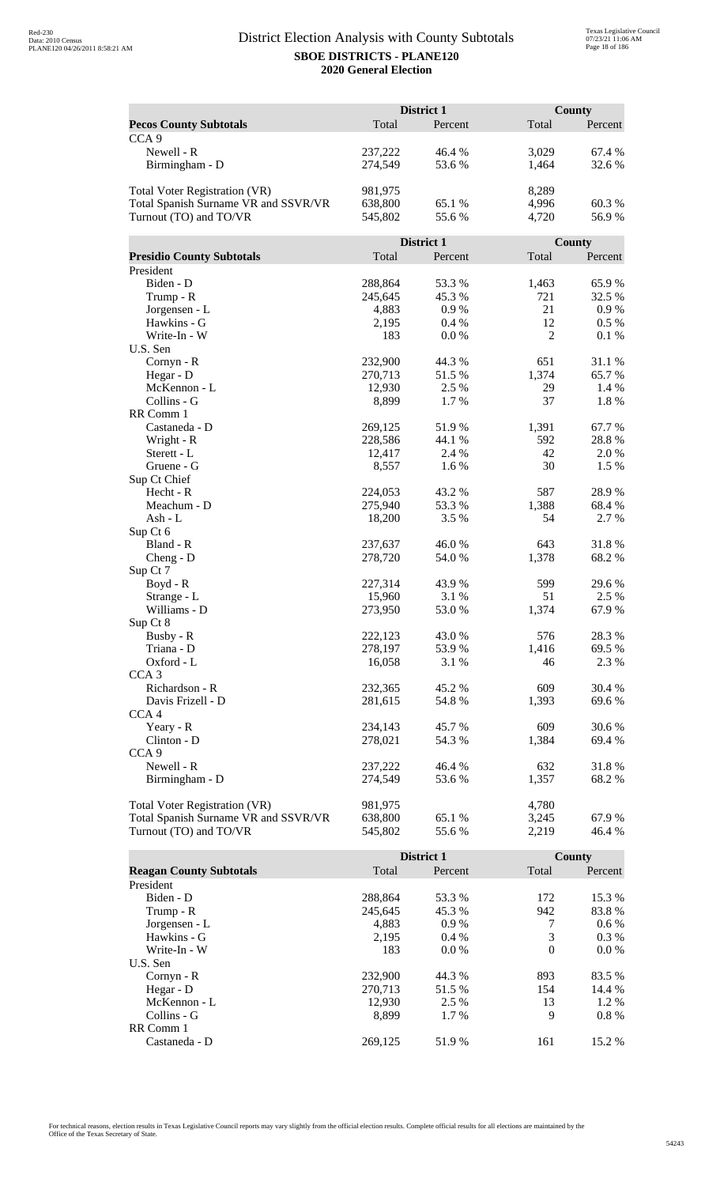|                                      |                   | District 1     |                | <b>County</b>   |
|--------------------------------------|-------------------|----------------|----------------|-----------------|
| <b>Pecos County Subtotals</b>        | Total             | Percent        | Total          | Percent         |
| CCA <sub>9</sub>                     |                   |                |                |                 |
| Newell - R                           | 237,222           | 46.4 %         | 3,029          | 67.4 %          |
| Birmingham - D                       | 274,549           | 53.6%          | 1,464          | 32.6 %          |
|                                      |                   |                |                |                 |
| Total Voter Registration (VR)        | 981,975           |                | 8,289          |                 |
| Total Spanish Surname VR and SSVR/VR | 638,800           | 65.1 %         | 4,996          | 60.3%           |
| Turnout (TO) and TO/VR               | 545,802           | 55.6%          | 4,720          | 56.9%           |
|                                      |                   |                |                |                 |
|                                      |                   | District 1     |                | County          |
| <b>Presidio County Subtotals</b>     | Total             | Percent        | Total          | Percent         |
| President                            |                   |                |                |                 |
| Biden - D                            | 288,864           | 53.3 %         | 1,463          | 65.9%           |
| Trump - R                            | 245,645           | 45.3%          | 721            | 32.5 %          |
| Jorgensen - L                        | 4,883             | 0.9%           | 21             | 0.9 %           |
| Hawkins - G                          | 2,195             | 0.4%           | 12             | $0.5\%$         |
| Write-In - W                         | 183               | 0.0 %          | $\overline{2}$ | 0.1%            |
| U.S. Sen                             |                   |                |                |                 |
| Cornyn - R                           | 232,900           | 44.3 %         | 651            | 31.1 %          |
| Hegar - D                            | 270,713           | 51.5 %         | 1,374          | 65.7%           |
| McKennon - L                         | 12,930            | 2.5 %          | 29             | 1.4 %           |
| Collins - G                          | 8,899             | 1.7 %          | 37             | 1.8%            |
| RR Comm 1                            |                   |                |                |                 |
| Castaneda - D                        | 269,125           | 51.9%          | 1,391          | 67.7%           |
| Wright - R                           | 228,586           | 44.1 %         | 592            | 28.8%           |
| Sterett - L                          | 12,417            | 2.4 %          | 42             | 2.0%            |
| Gruene - G                           | 8,557             | 1.6%           | 30             | 1.5%            |
| Sup Ct Chief                         |                   |                |                |                 |
| Hecht - R                            | 224,053           | 43.2 %         | 587            | 28.9%           |
| Meachum - D<br>Ash - L               | 275,940<br>18,200 | 53.3 %<br>3.5% | 1,388<br>54    | 68.4 %<br>2.7 % |
| Sup Ct 6                             |                   |                |                |                 |
| Bland - R                            | 237,637           | 46.0%          | 643            | 31.8%           |
| $Cheng - D$                          | 278,720           | 54.0%          | 1,378          | 68.2%           |
| Sup Ct 7                             |                   |                |                |                 |
| Boyd - R                             | 227,314           | 43.9%          | 599            | 29.6%           |
| Strange - L                          | 15,960            | 3.1 %          | 51             | 2.5 %           |
| Williams - D                         | 273,950           | 53.0 %         | 1,374          | 67.9%           |
| Sup Ct 8                             |                   |                |                |                 |
| Busby - R                            | 222,123           | 43.0 %         | 576            | 28.3 %          |
| Triana - D                           | 278,197           | 53.9%          | 1,416          | 69.5 %          |
| Oxford - L                           | 16,058            | 3.1 %          | 46             | 2.3 %           |
| CCA <sub>3</sub>                     |                   |                |                |                 |
| Richardson - R                       | 232,365           | 45.2 %         | 609            | 30.4 %          |
| Davis Frizell - D                    | 281,615           | 54.8%          | 1,393          | 69.6 %          |
| CCA <sub>4</sub>                     |                   |                |                |                 |
| Yeary - R                            | 234,143           | 45.7%          | 609            | 30.6 %          |
| Clinton - D                          | 278,021           | 54.3 %         | 1,384          | 69.4 %          |
| CCA <sub>9</sub>                     |                   |                |                |                 |
| Newell - R                           | 237,222           | 46.4 %         | 632            | 31.8%           |
| Birmingham - D                       | 274,549           | 53.6 %         | 1,357          | 68.2%           |
|                                      |                   |                |                |                 |
| <b>Total Voter Registration (VR)</b> | 981,975           |                | 4,780          |                 |
| Total Spanish Surname VR and SSVR/VR | 638,800           | 65.1 %         | 3,245          | 67.9%           |
| Turnout (TO) and TO/VR               | 545,802           | 55.6%          | 2,219          | 46.4 %          |

|                                |         | District 1 |          | County  |
|--------------------------------|---------|------------|----------|---------|
| <b>Reagan County Subtotals</b> | Total   | Percent    | Total    | Percent |
| President                      |         |            |          |         |
| Biden - D                      | 288,864 | 53.3 %     | 172      | 15.3 %  |
| Trump - R                      | 245,645 | 45.3 %     | 942      | 83.8%   |
| Jorgensen - L                  | 4,883   | $0.9\%$    | 7        | $0.6\%$ |
| Hawkins - G                    | 2,195   | $0.4\%$    | 3        | $0.3\%$ |
| Write-In - W                   | 183     | $0.0\%$    | $\theta$ | $0.0\%$ |
| U.S. Sen                       |         |            |          |         |
| $Cornyn - R$                   | 232,900 | 44.3 %     | 893      | 83.5 %  |
| Hegar - $D$                    | 270.713 | 51.5 %     | 154      | 14.4 %  |
| McKennon - L                   | 12,930  | 2.5 %      | 13       | $1.2\%$ |
| Collins - G                    | 8.899   | 1.7 %      | 9        | $0.8\%$ |
| RR Comm 1                      |         |            |          |         |
| Castaneda - D                  | 269.125 | 51.9 %     | 161      | 15.2 %  |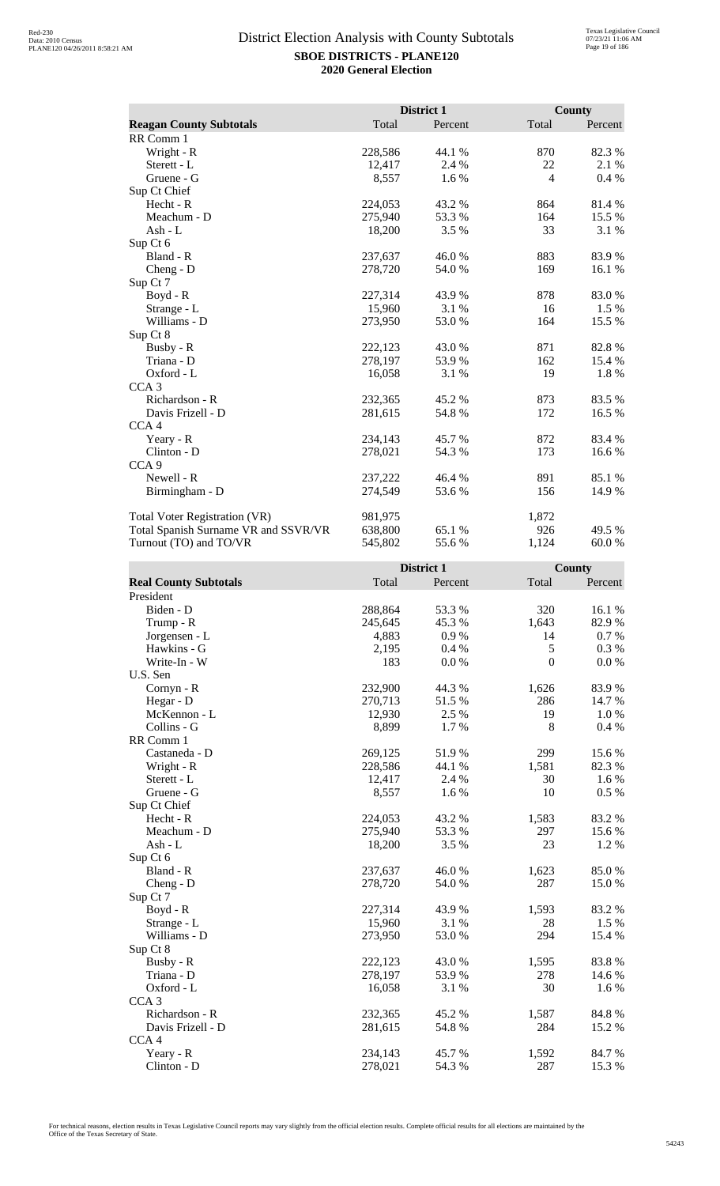|                                      |         | District 1 |                | County   |
|--------------------------------------|---------|------------|----------------|----------|
| <b>Reagan County Subtotals</b>       | Total   | Percent    | Total          | Percent  |
| RR Comm 1                            |         |            |                |          |
| Wright - R                           | 228,586 | 44.1 %     | 870            | 82.3%    |
| Sterett - L                          | 12,417  | 2.4 %      | 22             | 2.1 %    |
| Gruene - G                           | 8,557   | 1.6 %      | $\overline{4}$ | $0.4\%$  |
| Sup Ct Chief                         |         |            |                |          |
| Hecht - R                            | 224,053 | 43.2%      | 864            | 81.4%    |
| Meachum - D                          | 275,940 | 53.3 %     | 164            | 15.5 %   |
| Ash - $L$                            | 18,200  | 3.5 %      | 33             | 3.1 %    |
| Sup Ct 6                             |         |            |                |          |
| Bland - R                            | 237,637 | 46.0%      | 883            | 83.9%    |
| $Cheng - D$                          | 278,720 | 54.0 %     | 169            | 16.1 %   |
| Sup Ct 7                             |         |            |                |          |
| Boyd - R                             | 227,314 | 43.9%      | 878            | 83.0%    |
| Strange - L                          | 15,960  | 3.1%       | 16             | 1.5 %    |
| Williams - D                         | 273,950 | 53.0%      | 164            | 15.5 %   |
| Sup Ct 8                             |         |            |                |          |
| Busby - R                            | 222,123 | 43.0%      | 871            | 82.8%    |
| Triana - D                           | 278,197 | 53.9%      | 162            | 15.4 %   |
| Oxford - L                           | 16,058  | 3.1 %      | 19             | $1.8~\%$ |
| CCA <sub>3</sub>                     |         |            |                |          |
| Richardson - R                       | 232,365 | 45.2 %     | 873            | 83.5 %   |
| Davis Frizell - D                    | 281,615 | 54.8%      | 172            | 16.5 %   |
| CCA <sub>4</sub>                     |         |            |                |          |
| Yeary - R                            | 234,143 | 45.7 %     | 872            | 83.4 %   |
| Clinton - D                          | 278,021 | 54.3 %     | 173            | 16.6 %   |
| CCA <sub>9</sub>                     |         |            |                |          |
| Newell - R                           | 237,222 | 46.4 %     | 891            | 85.1 %   |
| Birmingham - D                       | 274,549 | 53.6 %     | 156            | 14.9 %   |
| <b>Total Voter Registration (VR)</b> | 981,975 |            | 1,872          |          |
| Total Spanish Surname VR and SSVR/VR | 638,800 | 65.1 %     | 926            | 49.5 %   |
| Turnout (TO) and TO/VR               | 545,802 | 55.6%      | 1,124          | 60.0%    |

|                              |         | District 1 |                  | County  |
|------------------------------|---------|------------|------------------|---------|
| <b>Real County Subtotals</b> | Total   | Percent    | Total            | Percent |
| President                    |         |            |                  |         |
| Biden - D                    | 288,864 | 53.3%      | 320              | 16.1 %  |
| Trump - R                    | 245,645 | 45.3%      | 1,643            | 82.9%   |
| Jorgensen - L                | 4,883   | 0.9%       | 14               | 0.7 %   |
| Hawkins - G                  | 2,195   | 0.4%       | 5                | 0.3 %   |
| Write-In - W                 | 183     | 0.0 %      | $\boldsymbol{0}$ | 0.0 %   |
| U.S. Sen                     |         |            |                  |         |
| Cornyn - R                   | 232,900 | 44.3 %     | 1,626            | 83.9%   |
| Hegar - D                    | 270,713 | 51.5%      | 286              | 14.7 %  |
| McKennon - L                 | 12,930  | 2.5 %      | 19               | 1.0%    |
| Collins - G                  | 8,899   | 1.7%       | 8                | 0.4%    |
| RR Comm 1                    |         |            |                  |         |
| Castaneda - D                | 269,125 | 51.9%      | 299              | 15.6%   |
| Wright - R                   | 228,586 | 44.1 %     | 1,581            | 82.3%   |
| Sterett - L                  | 12,417  | 2.4 %      | 30               | 1.6%    |
| Gruene - G                   | 8,557   | 1.6%       | 10               | 0.5 %   |
| Sup Ct Chief                 |         |            |                  |         |
| $Hecht - R$                  | 224,053 | 43.2 %     | 1,583            | 83.2%   |
| Meachum - D                  | 275,940 | 53.3%      | 297              | 15.6%   |
| $Ash - L$                    | 18,200  | 3.5 %      | 23               | 1.2%    |
| Sup Ct 6                     |         |            |                  |         |
| Bland - R                    | 237,637 | 46.0%      | 1,623            | 85.0%   |
| $Cheng - D$                  | 278,720 | 54.0%      | 287              | 15.0%   |
| Sup Ct 7                     |         |            |                  |         |
| $Boyd - R$                   | 227,314 | 43.9%      | 1,593            | 83.2%   |
| Strange - L                  | 15,960  | 3.1 %      | 28               | 1.5 %   |
| Williams - D                 | 273,950 | 53.0 %     | 294              | 15.4 %  |
| Sup Ct 8                     |         |            |                  |         |
| Busby - R                    | 222,123 | 43.0%      | 1,595            | 83.8%   |
| Triana - D                   | 278,197 | 53.9%      | 278              | 14.6 %  |
| Oxford - L                   | 16,058  | 3.1 %      | 30               | 1.6 %   |
| CCA <sub>3</sub>             |         |            |                  |         |
| Richardson - R               | 232,365 | 45.2%      | 1,587            | 84.8%   |
| Davis Frizell - D            | 281,615 | 54.8%      | 284              | 15.2 %  |
| CCA <sub>4</sub>             |         |            |                  |         |
| Yeary - R                    | 234,143 | 45.7%      | 1,592            | 84.7%   |
| Clinton - D                  | 278,021 | 54.3 %     | 287              | 15.3 %  |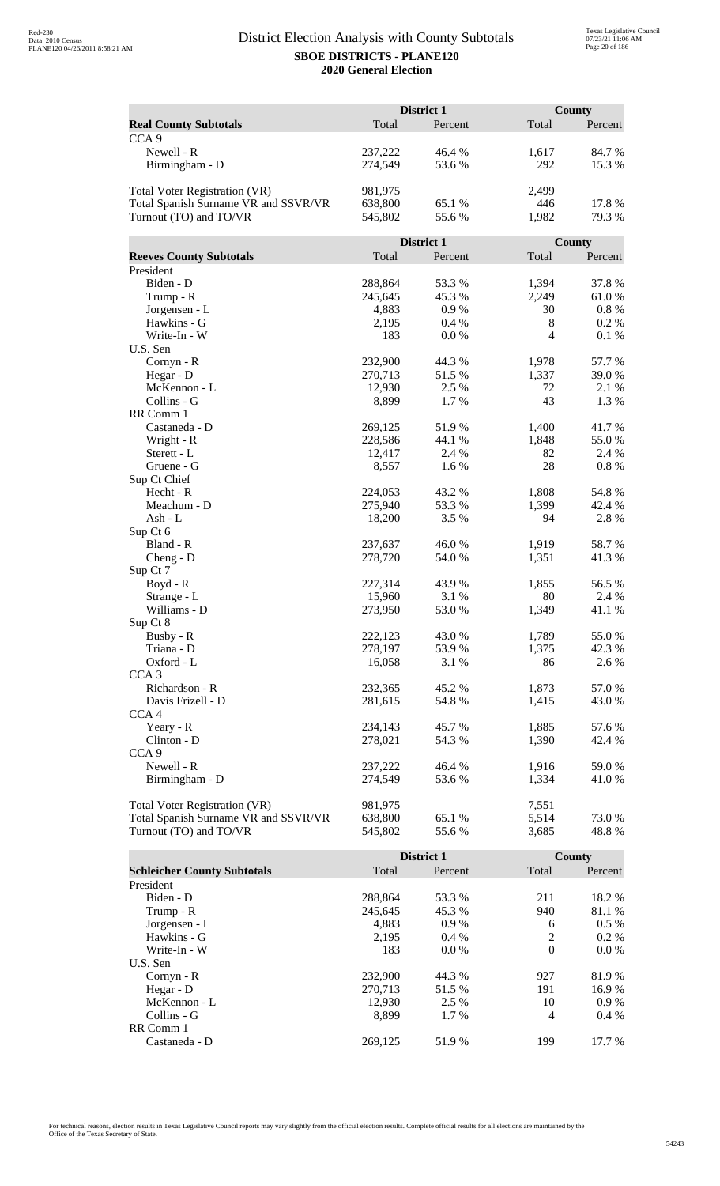|                                      | District 1         |                  |                | <b>County</b>  |  |
|--------------------------------------|--------------------|------------------|----------------|----------------|--|
| <b>Real County Subtotals</b>         | Total              | Percent          | Total          | Percent        |  |
| CCA <sub>9</sub>                     |                    |                  |                |                |  |
| Newell - R                           | 237,222            | 46.4 %           | 1,617          | 84.7%          |  |
| Birmingham - D                       | 274,549            | 53.6%            | 292            | 15.3 %         |  |
|                                      |                    |                  |                |                |  |
| Total Voter Registration (VR)        | 981,975            |                  | 2,499          |                |  |
| Total Spanish Surname VR and SSVR/VR | 638,800            | 65.1 %           | 446            | 17.8 %         |  |
| Turnout (TO) and TO/VR               | 545,802            | 55.6%            | 1,982          | 79.3 %         |  |
|                                      |                    |                  |                |                |  |
|                                      |                    | District 1       |                | County         |  |
| <b>Reeves County Subtotals</b>       | Total              | Percent          | Total          | Percent        |  |
| President                            |                    |                  |                |                |  |
| Biden - D                            | 288,864            | 53.3 %           | 1,394          | 37.8%          |  |
| Trump - R                            | 245,645            | 45.3%            | 2,249          | 61.0%          |  |
| Jorgensen - L                        | 4,883              | 0.9%             | 30             | $0.8 \%$       |  |
| Hawkins - G                          | 2,195              | 0.4%             | 8              | 0.2 %          |  |
| Write-In - W                         | 183                | 0.0 %            | 4              | 0.1 %          |  |
| U.S. Sen                             |                    |                  |                |                |  |
| Cornyn - R                           | 232,900            | 44.3 %           | 1,978          | 57.7 %         |  |
| Hegar - D                            | 270,713            | 51.5%            | 1,337          | 39.0%          |  |
| McKennon - L                         | 12,930             | 2.5 %            | 72             | 2.1 %          |  |
| Collins - G                          | 8,899              | 1.7%             | 43             | 1.3 %          |  |
| RR Comm 1                            |                    |                  |                |                |  |
| Castaneda - D                        | 269,125            | 51.9%            | 1,400          | 41.7%          |  |
| Wright - R                           | 228,586            | 44.1 %           | 1,848          | 55.0%          |  |
| Sterett - L                          | 12,417             | 2.4 %            | 82             | 2.4 %          |  |
| Gruene - G                           | 8,557              | 1.6%             | 28             | 0.8%           |  |
| Sup Ct Chief                         |                    |                  |                |                |  |
| Hecht - R<br>Meachum - D             | 224,053<br>275,940 | 43.2 %<br>53.3 % | 1,808<br>1,399 | 54.8%          |  |
| Ash - L                              | 18,200             | 3.5 %            | 94             | 42.4 %<br>2.8% |  |
| Sup Ct 6                             |                    |                  |                |                |  |
| Bland - R                            | 237,637            | 46.0%            | 1,919          | 58.7%          |  |
| $Cheng - D$                          | 278,720            | 54.0%            | 1,351          | 41.3%          |  |
| Sup Ct 7                             |                    |                  |                |                |  |
| Boyd - R                             | 227,314            | 43.9 %           | 1,855          | 56.5 %         |  |
| Strange - L                          | 15,960             | 3.1 %            | 80             | 2.4 %          |  |
| Williams - D                         | 273,950            | 53.0%            | 1,349          | 41.1%          |  |
| Sup Ct 8                             |                    |                  |                |                |  |
| Busby - R                            | 222,123            | 43.0%            | 1,789          | 55.0 %         |  |
| Triana - D                           | 278,197            | 53.9%            | 1,375          | 42.3 %         |  |
| Oxford - L                           | 16,058             | 3.1 %            | 86             | 2.6 %          |  |
| CCA <sub>3</sub>                     |                    |                  |                |                |  |
| Richardson - R                       | 232,365            | 45.2 %           | 1,873          | 57.0%          |  |
| Davis Frizell - D                    | 281,615            | 54.8%            | 1,415          | 43.0 %         |  |
| CCA <sub>4</sub>                     |                    |                  |                |                |  |
| Yeary - R                            | 234,143            | 45.7 %           | 1,885          | 57.6 %         |  |
| Clinton - D                          | 278,021            | 54.3 %           | 1,390          | 42.4 %         |  |
| CCA <sub>9</sub>                     |                    |                  |                |                |  |
| Newell - R                           | 237,222            | 46.4 %           | 1,916          | 59.0%          |  |
| Birmingham - D                       | 274,549            | 53.6%            | 1,334          | 41.0%          |  |
|                                      |                    |                  |                |                |  |
| <b>Total Voter Registration (VR)</b> | 981,975            |                  | 7,551          |                |  |
| Total Spanish Surname VR and SSVR/VR | 638,800            | 65.1 %           | 5,514          | 73.0%          |  |
| Turnout (TO) and TO/VR               | 545,802            | 55.6%            | 3,685          | 48.8%          |  |

|                                    |         | <b>District 1</b> |          | County  |
|------------------------------------|---------|-------------------|----------|---------|
| <b>Schleicher County Subtotals</b> | Total   | Percent           | Total    | Percent |
| President                          |         |                   |          |         |
| Biden - D                          | 288,864 | 53.3 %            | 211      | 18.2 %  |
| Trump - R                          | 245,645 | 45.3 %            | 940      | 81.1 %  |
| Jorgensen - L                      | 4.883   | $0.9\%$           | 6        | $0.5\%$ |
| Hawkins - G                        | 2,195   | $0.4\%$           | 2        | $0.2\%$ |
| Write-In - W                       | 183     | $0.0\%$           | $\theta$ | $0.0\%$ |
| U.S. Sen                           |         |                   |          |         |
| Cornyn - R                         | 232,900 | 44.3 %            | 927      | 81.9%   |
| Hegar - D                          | 270.713 | 51.5 %            | 191      | 16.9%   |
| McKennon - L                       | 12,930  | 2.5 %             | 10       | $0.9\%$ |
| Collins - G                        | 8.899   | 1.7 %             | 4        | $0.4\%$ |
| RR Comm 1                          |         |                   |          |         |
| Castaneda - D                      | 269.125 | 51.9 %            | 199      | 17.7 %  |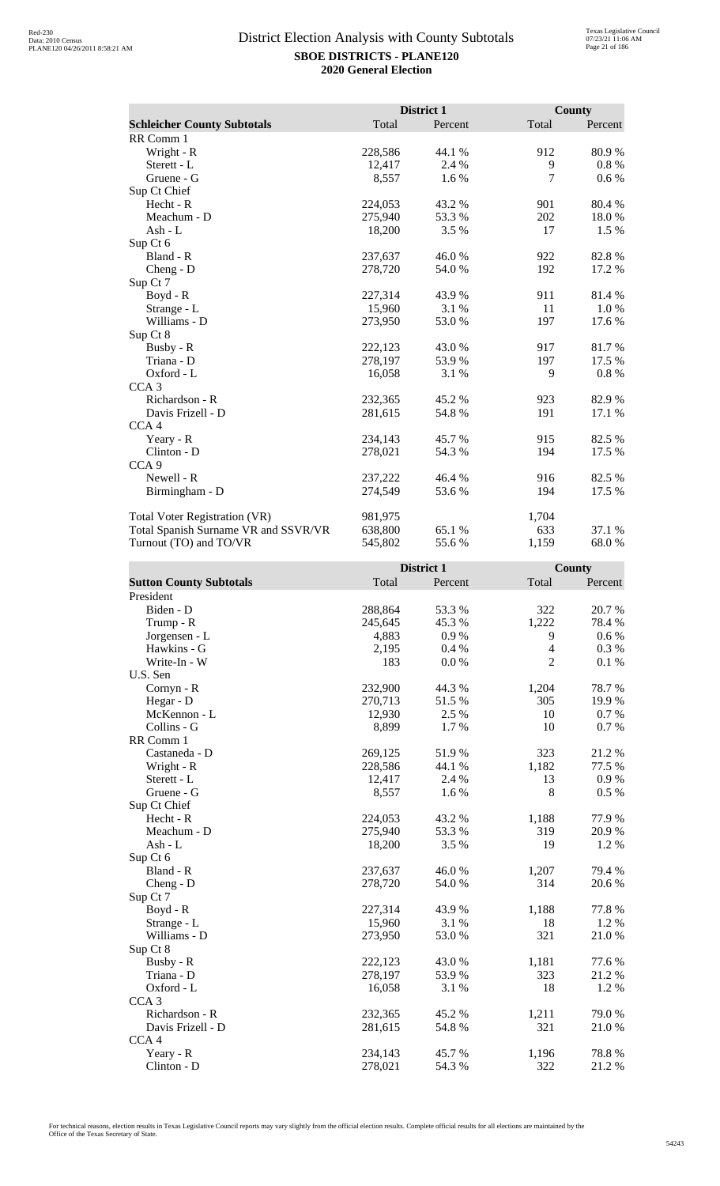|                                      |         | District 1 |       | County  |
|--------------------------------------|---------|------------|-------|---------|
| <b>Schleicher County Subtotals</b>   | Total   | Percent    | Total | Percent |
| RR Comm 1                            |         |            |       |         |
| Wright - R                           | 228,586 | 44.1 %     | 912   | 80.9%   |
| Sterett - L                          | 12,417  | 2.4 %      | 9     | 0.8%    |
| Gruene - G                           | 8,557   | 1.6 %      | 7     | $0.6\%$ |
| Sup Ct Chief                         |         |            |       |         |
| Hecht - R                            | 224,053 | 43.2 %     | 901   | 80.4 %  |
| Meachum - D                          | 275,940 | 53.3 %     | 202   | 18.0%   |
| Ash - L                              | 18,200  | 3.5 %      | 17    | 1.5 %   |
| Sup Ct 6                             |         |            |       |         |
| Bland - R                            | 237,637 | 46.0%      | 922   | 82.8%   |
| Cheng - D                            | 278,720 | 54.0 %     | 192   | 17.2 %  |
| Sup Ct 7                             |         |            |       |         |
| Boyd - R                             | 227,314 | 43.9 %     | 911   | 81.4 %  |
| Strange - L                          | 15,960  | 3.1 %      | 11    | 1.0 %   |
| Williams - D                         | 273,950 | 53.0%      | 197   | 17.6 %  |
| Sup Ct 8                             |         |            |       |         |
| Busby - R                            | 222,123 | 43.0 %     | 917   | 81.7 %  |
| Triana - D                           | 278,197 | 53.9%      | 197   | 17.5 %  |
| Oxford - L                           | 16,058  | 3.1 %      | 9     | $0.8\%$ |
| CCA <sub>3</sub>                     |         |            |       |         |
| Richardson - R                       | 232,365 | 45.2%      | 923   | 82.9%   |
| Davis Frizell - D                    | 281,615 | 54.8%      | 191   | 17.1 %  |
| CCA <sub>4</sub>                     |         |            |       |         |
| Yeary - R                            | 234,143 | 45.7 %     | 915   | 82.5 %  |
| Clinton - D                          | 278,021 | 54.3 %     | 194   | 17.5 %  |
| CCA <sub>9</sub>                     |         |            |       |         |
| Newell - R                           | 237,222 | 46.4 %     | 916   | 82.5 %  |
| Birmingham - D                       | 274,549 | 53.6 %     | 194   | 17.5 %  |
| Total Voter Registration (VR)        | 981,975 |            | 1,704 |         |
| Total Spanish Surname VR and SSVR/VR | 638,800 | 65.1 %     | 633   | 37.1 %  |
| Turnout (TO) and TO/VR               | 545,802 | 55.6%      | 1,159 | 68.0%   |

|                                | District 1 |         | County         |           |
|--------------------------------|------------|---------|----------------|-----------|
| <b>Sutton County Subtotals</b> | Total      | Percent | Total          | Percent   |
| President                      |            |         |                |           |
| Biden - D                      | 288,864    | 53.3%   | 322            | 20.7%     |
| Trump - R                      | 245,645    | 45.3%   | 1,222          | 78.4%     |
| Jorgensen - L                  | 4,883      | 0.9%    | 9              | $0.6\%$   |
| Hawkins - G                    | 2,195      | 0.4%    | $\overline{4}$ | 0.3%      |
| Write-In - W                   | 183        | 0.0 %   | $\overline{2}$ | 0.1%      |
| U.S. Sen                       |            |         |                |           |
| $Cornyn - R$                   | 232,900    | 44.3 %  | 1,204          | 78.7%     |
| Hegar - D                      | 270,713    | 51.5 %  | 305            | 19.9 %    |
| McKennon - L                   | 12,930     | 2.5 %   | 10             | 0.7%      |
| Collins - G                    | 8,899      | 1.7%    | 10             | 0.7%      |
| RR Comm 1                      |            |         |                |           |
| Castaneda - D                  | 269,125    | 51.9%   | 323            | 21.2%     |
| Wright - R                     | 228,586    | 44.1 %  | 1,182          | 77.5 %    |
| Sterett - L                    | 12,417     | 2.4 %   | 13             | $0.9\ \%$ |
| Gruene - G                     | 8,557      | 1.6 %   | 8              | 0.5%      |
| Sup Ct Chief                   |            |         |                |           |
| Hecht - R                      | 224,053    | 43.2%   | 1,188          | 77.9%     |
| Meachum - D                    | 275,940    | 53.3 %  | 319            | 20.9%     |
| Ash - $L$                      | 18,200     | 3.5 %   | 19             | 1.2 %     |
| Sup Ct 6                       |            |         |                |           |
| Bland - R                      | 237,637    | 46.0%   | 1,207          | 79.4 %    |
| $Cheng - D$                    | 278,720    | 54.0 %  | 314            | 20.6%     |
| Sup Ct 7                       |            |         |                |           |
| $Boyd - R$                     | 227,314    | 43.9%   | 1,188          | 77.8 %    |
| Strange - L                    | 15,960     | 3.1%    | 18             | 1.2%      |
| Williams - D                   | 273,950    | 53.0 %  | 321            | 21.0%     |
| Sup Ct 8                       |            |         |                |           |
| Busby - R                      | 222,123    | 43.0%   | 1,181          | 77.6 %    |
| Triana - D                     | 278,197    | 53.9%   | 323            | 21.2%     |
| Oxford - L                     | 16,058     | 3.1 %   | 18             | 1.2%      |
| CCA <sub>3</sub>               |            |         |                |           |
| Richardson - R                 | 232,365    | 45.2%   | 1,211          | 79.0%     |
| Davis Frizell - D              | 281,615    | 54.8%   | 321            | 21.0%     |
| CCA <sub>4</sub>               |            |         |                |           |
| Yeary - R                      | 234,143    | 45.7%   | 1,196          | 78.8%     |
| Clinton - D                    | 278,021    | 54.3 %  | 322            | 21.2%     |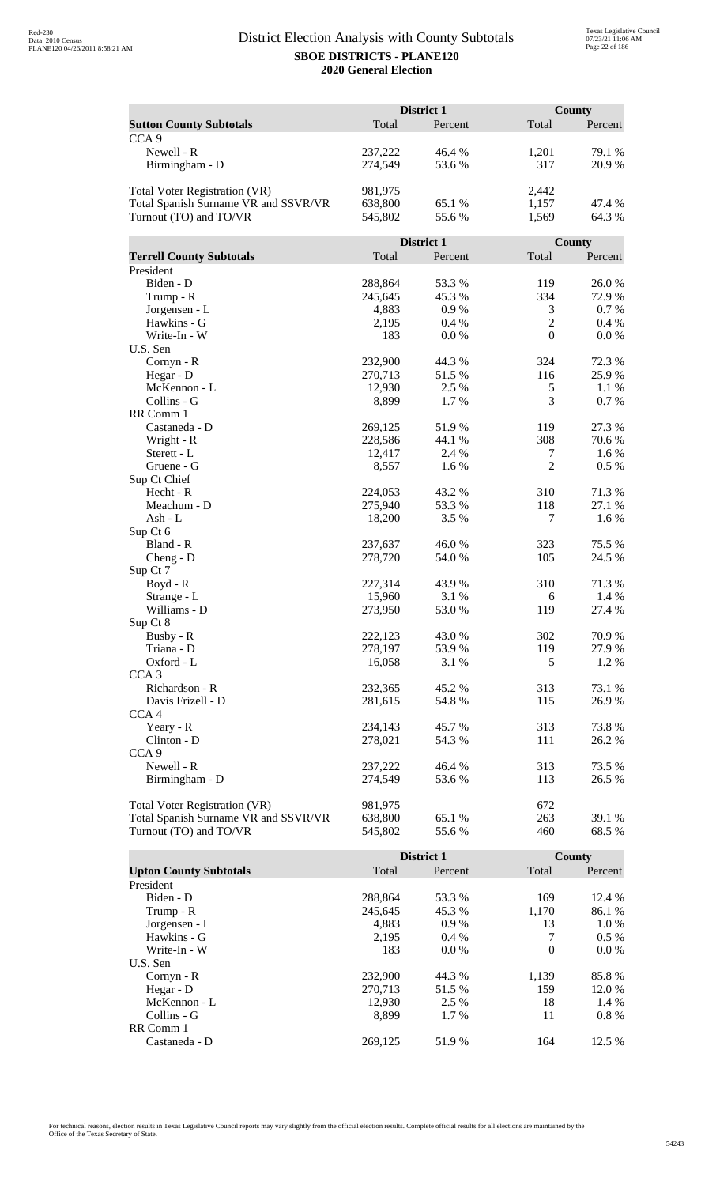|                                      |                    | District 1      |                  | <b>County</b>   |
|--------------------------------------|--------------------|-----------------|------------------|-----------------|
| <b>Sutton County Subtotals</b>       | Total              | Percent         | Total            | Percent         |
| CCA <sub>9</sub>                     |                    |                 |                  |                 |
| Newell - R                           | 237,222            | 46.4 %          | 1,201            | 79.1 %          |
| Birmingham - D                       | 274,549            | 53.6%           | 317              | 20.9%           |
|                                      |                    |                 |                  |                 |
| <b>Total Voter Registration (VR)</b> | 981,975            |                 | 2,442            |                 |
| Total Spanish Surname VR and SSVR/VR | 638,800            | 65.1 %          | 1,157            | 47.4 %          |
| Turnout (TO) and TO/VR               | 545,802            | 55.6%           | 1,569            | 64.3%           |
|                                      |                    |                 |                  |                 |
|                                      |                    | District 1      |                  | County          |
| <b>Terrell County Subtotals</b>      | Total              | Percent         | Total            | Percent         |
| President                            |                    |                 |                  |                 |
| Biden - D                            | 288,864            | 53.3 %          | 119              | 26.0%           |
| Trump - R                            | 245,645            | 45.3 %          | 334              | 72.9%           |
| Jorgensen - L                        | 4,883              | 0.9%            | 3                | 0.7 %           |
| Hawkins - G                          | 2,195              | 0.4%            | $\mathbf{2}$     | 0.4%            |
| Write-In - W                         | 183                | 0.0 %           | $\boldsymbol{0}$ | 0.0 %           |
| U.S. Sen                             |                    |                 |                  |                 |
| Cornyn - R                           | 232,900            | 44.3 %          | 324              | 72.3 %          |
| Hegar - D                            | 270,713            | 51.5 %          | 116              | 25.9%           |
| McKennon - L                         | 12,930             | 2.5 %           | 5                | 1.1 %           |
| Collins - G                          | 8,899              | 1.7%            | 3                | 0.7 %           |
| RR Comm 1                            |                    |                 |                  |                 |
| Castaneda - D                        | 269,125<br>228,586 | 51.9%<br>44.1 % | 119<br>308       | 27.3 %<br>70.6% |
| Wright - R<br>Sterett - L            | 12,417             | 2.4 %           | 7                | 1.6%            |
| Gruene - G                           | 8,557              | 1.6%            | $\overline{2}$   | 0.5%            |
| Sup Ct Chief                         |                    |                 |                  |                 |
| Hecht - R                            | 224,053            | 43.2 %          | 310              | 71.3%           |
| Meachum - D                          | 275,940            | 53.3 %          | 118              | 27.1 %          |
| Ash - L                              | 18,200             | 3.5 %           | 7                | 1.6%            |
| Sup Ct 6                             |                    |                 |                  |                 |
| Bland - R                            | 237,637            | 46.0%           | 323              | 75.5 %          |
| $Cheng - D$                          | 278,720            | 54.0%           | 105              | 24.5 %          |
| Sup Ct 7                             |                    |                 |                  |                 |
| $Boyd - R$                           | 227,314            | 43.9 %          | 310              | 71.3%           |
| Strange - L                          | 15,960             | 3.1 %           | 6                | 1.4 %           |
| Williams - D                         | 273,950            | 53.0%           | 119              | 27.4 %          |
| Sup Ct 8                             |                    |                 |                  |                 |
| Busby - R                            | 222,123            | 43.0 %          | 302              | 70.9%           |
| Triana - D                           | 278,197            | 53.9%           | 119              | 27.9%           |
| Oxford - L                           | 16,058             | 3.1 %           | 5                | 1.2%            |
| CCA <sub>3</sub>                     |                    |                 |                  |                 |
| Richardson - R                       | 232,365            | 45.2 %          | 313              | 73.1 %          |
| Davis Frizell - D                    | 281,615            | 54.8%           | 115              | 26.9%           |
| CCA <sub>4</sub>                     |                    |                 |                  |                 |
| Yeary - R                            | 234,143            | 45.7%           | 313              | 73.8%           |
| Clinton - D                          | 278,021            | 54.3 %          | 111              | 26.2 %          |
| CCA <sub>9</sub>                     |                    |                 |                  |                 |
| Newell - R                           | 237,222            | 46.4 %          | 313              | 73.5 %          |
| Birmingham - D                       | 274,549            | 53.6 %          | 113              | 26.5 %          |
| <b>Total Voter Registration (VR)</b> | 981,975            |                 | 672              |                 |
| Total Spanish Surname VR and SSVR/VR | 638,800            | 65.1 %          | 263              | 39.1 %          |
| Turnout (TO) and TO/VR               | 545,802            | 55.6%           | 460              | 68.5 %          |
|                                      |                    |                 |                  |                 |

|                               |         | District 1 |          | County  |
|-------------------------------|---------|------------|----------|---------|
| <b>Upton County Subtotals</b> | Total   | Percent    | Total    | Percent |
| President                     |         |            |          |         |
| Biden - D                     | 288,864 | 53.3 %     | 169      | 12.4 %  |
| Trump - R                     | 245,645 | 45.3 %     | 1,170    | 86.1 %  |
| Jorgensen - L                 | 4,883   | 0.9%       | 13       | 1.0 %   |
| Hawkins - G                   | 2.195   | $0.4\%$    | 7        | $0.5\%$ |
| Write-In - W                  | 183     | $0.0\%$    | $\Omega$ | $0.0\%$ |
| U.S. Sen                      |         |            |          |         |
| $Cornyn - R$                  | 232,900 | 44.3 %     | 1,139    | 85.8%   |
| Hegar - $D$                   | 270.713 | 51.5 %     | 159      | 12.0 %  |
| McKennon - L                  | 12,930  | 2.5 %      | 18       | 1.4 %   |
| Collins - G                   | 8.899   | 1.7 %      | 11       | $0.8\%$ |
| RR Comm 1                     |         |            |          |         |
| Castaneda - D                 | 269.125 | 51.9 %     | 164      | 12.5 %  |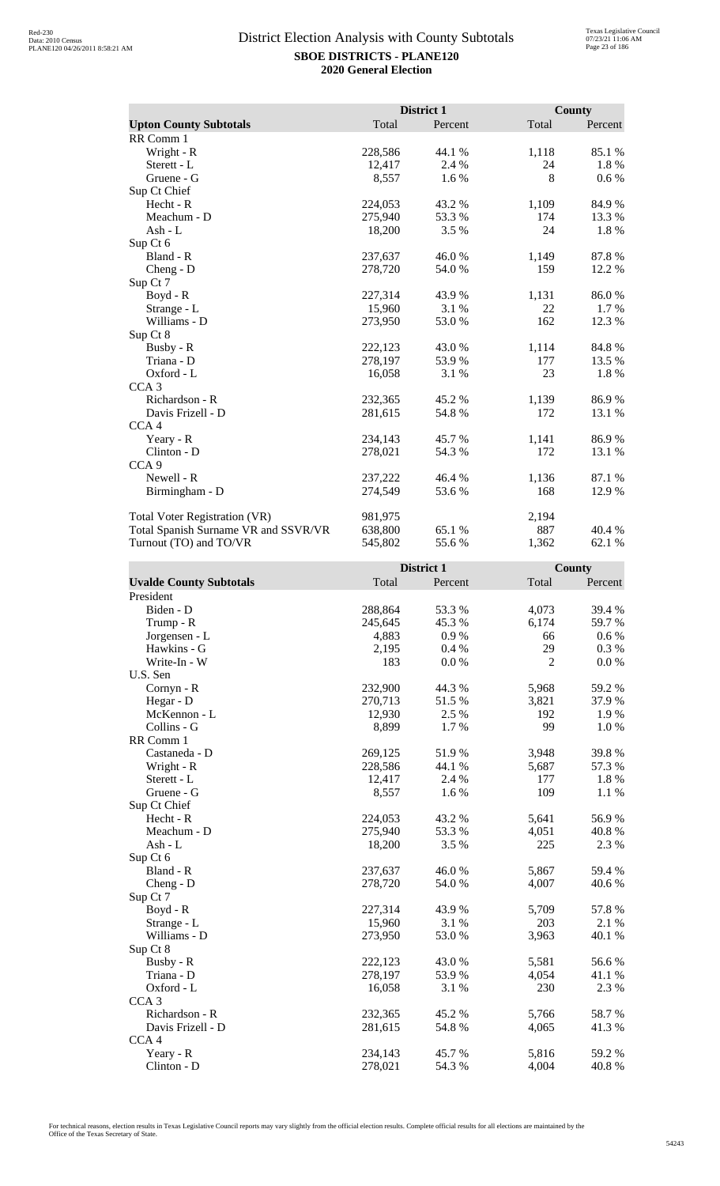|                                      |         | District 1 |       | County  |
|--------------------------------------|---------|------------|-------|---------|
| <b>Upton County Subtotals</b>        | Total   | Percent    | Total | Percent |
| RR Comm 1                            |         |            |       |         |
| Wright - R                           | 228,586 | 44.1 %     | 1,118 | 85.1 %  |
| Sterett - L                          | 12,417  | 2.4 %      | 24    | 1.8%    |
| Gruene - G                           | 8,557   | 1.6 %      | 8     | $0.6\%$ |
| Sup Ct Chief                         |         |            |       |         |
| Hecht - R                            | 224,053 | 43.2 %     | 1,109 | 84.9%   |
| Meachum - D                          | 275,940 | 53.3 %     | 174   | 13.3 %  |
| Ash - $L$                            | 18,200  | 3.5 %      | 24    | 1.8%    |
| Sup Ct 6                             |         |            |       |         |
| Bland - R                            | 237,637 | 46.0%      | 1,149 | 87.8%   |
| Cheng - D                            | 278,720 | 54.0 %     | 159   | 12.2 %  |
| Sup Ct 7                             |         |            |       |         |
| Boyd - R                             | 227,314 | 43.9 %     | 1,131 | 86.0%   |
| Strange - L                          | 15,960  | 3.1 %      | 22    | 1.7 %   |
| Williams - D                         | 273,950 | 53.0%      | 162   | 12.3 %  |
| Sup Ct 8                             |         |            |       |         |
| Busby - R                            | 222,123 | 43.0 %     | 1,114 | 84.8%   |
| Triana - D                           | 278,197 | 53.9%      | 177   | 13.5 %  |
| Oxford - L                           | 16,058  | 3.1 %      | 23    | 1.8%    |
| CCA <sub>3</sub>                     |         |            |       |         |
| Richardson - R                       | 232,365 | 45.2 %     | 1,139 | 86.9%   |
| Davis Frizell - D                    | 281,615 | 54.8%      | 172   | 13.1 %  |
| CCA <sub>4</sub>                     |         |            |       |         |
| Yeary - R                            | 234,143 | 45.7 %     | 1,141 | 86.9%   |
| Clinton - D                          | 278,021 | 54.3 %     | 172   | 13.1 %  |
| CCA <sub>9</sub>                     |         |            |       |         |
| Newell - R                           | 237,222 | 46.4 %     | 1,136 | 87.1 %  |
| Birmingham - D                       | 274,549 | 53.6 %     | 168   | 12.9 %  |
| <b>Total Voter Registration (VR)</b> | 981,975 |            | 2,194 |         |
| Total Spanish Surname VR and SSVR/VR | 638,800 | 65.1 %     | 887   | 40.4 %  |
| Turnout (TO) and TO/VR               | 545,802 | 55.6%      | 1,362 | 62.1 %  |

| <b>Uvalde County Subtotals</b><br>Total<br>Total<br>Percent<br>Percent<br>President<br>288,864<br>4,073<br>Biden - D<br>53.3 %<br>39.4 %<br>59.7%<br>245,645<br>45.3 %<br>6,174<br>Trump - R<br>Jorgensen - L<br>4,883<br>0.9%<br>$0.6\%$<br>66<br>29<br>Hawkins - G<br>0.3 %<br>2,195<br>0.4%<br>$\overline{2}$<br>Write-In - W<br>183<br>0.0 %<br>0.0 %<br>U.S. Sen<br>232,900<br>44.3 %<br>5,968<br>59.2 %<br>Cornyn - R<br>Hegar - D<br>270,713<br>51.5 %<br>37.9%<br>3,821<br>2.5 %<br>192<br>1.9%<br>McKennon - L<br>12,930<br>Collins - G<br>8,899<br>1.7%<br>99<br>1.0%<br>RR Comm 1<br>3,948<br>39.8%<br>269,125<br>51.9%<br>Castaneda - D<br>228,586<br>57.3 %<br>Wright - R<br>44.1 %<br>5,687<br>1.8%<br>Sterett - L<br>12,417<br>2.4 %<br>177<br>109<br>Gruene - G<br>8,557<br>1.6%<br>1.1 %<br>Sup Ct Chief<br>Hecht - R<br>224,053<br>43.2%<br>56.9%<br>5,641<br>Meachum - D<br>275,940<br>53.3 %<br>40.8%<br>4,051<br>225<br>$Ash - L$<br>18,200<br>3.5 %<br>2.3 %<br>Sup Ct 6<br>5,867<br>Bland - R<br>237,637<br>46.0%<br>59.4 %<br>278,720<br>4,007<br>40.6%<br>54.0 %<br>$Cheng - D$<br>Sup Ct 7<br>57.8 %<br>227,314<br>Boyd - R<br>43.9%<br>5,709<br>15,960<br>3.1%<br>203<br>2.1 %<br>Strange - L<br>Williams - D<br>273,950<br>53.0%<br>3,963<br>40.1 %<br>Sup Ct 8<br>Busby - R<br>222,123<br>43.0%<br>5,581<br>56.6%<br>Triana - D<br>278,197<br>53.9%<br>4,054<br>41.1 %<br>230<br>2.3 %<br>Oxford - L<br>16,058<br>3.1 %<br>CCA <sub>3</sub><br>58.7%<br>Richardson - R<br>232,365<br>45.2 %<br>5,766<br>41.3%<br>Davis Frizell - D<br>281,615<br>54.8%<br>4,065<br>CCA <sub>4</sub><br>5,816<br>59.2 %<br>Yeary - R<br>234,143<br>45.7%<br>Clinton - D<br>40.8%<br>278,021<br>54.3 %<br>4,004 |  | District 1 | <b>County</b> |
|----------------------------------------------------------------------------------------------------------------------------------------------------------------------------------------------------------------------------------------------------------------------------------------------------------------------------------------------------------------------------------------------------------------------------------------------------------------------------------------------------------------------------------------------------------------------------------------------------------------------------------------------------------------------------------------------------------------------------------------------------------------------------------------------------------------------------------------------------------------------------------------------------------------------------------------------------------------------------------------------------------------------------------------------------------------------------------------------------------------------------------------------------------------------------------------------------------------------------------------------------------------------------------------------------------------------------------------------------------------------------------------------------------------------------------------------------------------------------------------------------------------------------------------------------------------------------------------------------------------------------------------------------------------------------------------------------------------------------|--|------------|---------------|
|                                                                                                                                                                                                                                                                                                                                                                                                                                                                                                                                                                                                                                                                                                                                                                                                                                                                                                                                                                                                                                                                                                                                                                                                                                                                                                                                                                                                                                                                                                                                                                                                                                                                                                                            |  |            |               |
|                                                                                                                                                                                                                                                                                                                                                                                                                                                                                                                                                                                                                                                                                                                                                                                                                                                                                                                                                                                                                                                                                                                                                                                                                                                                                                                                                                                                                                                                                                                                                                                                                                                                                                                            |  |            |               |
|                                                                                                                                                                                                                                                                                                                                                                                                                                                                                                                                                                                                                                                                                                                                                                                                                                                                                                                                                                                                                                                                                                                                                                                                                                                                                                                                                                                                                                                                                                                                                                                                                                                                                                                            |  |            |               |
|                                                                                                                                                                                                                                                                                                                                                                                                                                                                                                                                                                                                                                                                                                                                                                                                                                                                                                                                                                                                                                                                                                                                                                                                                                                                                                                                                                                                                                                                                                                                                                                                                                                                                                                            |  |            |               |
|                                                                                                                                                                                                                                                                                                                                                                                                                                                                                                                                                                                                                                                                                                                                                                                                                                                                                                                                                                                                                                                                                                                                                                                                                                                                                                                                                                                                                                                                                                                                                                                                                                                                                                                            |  |            |               |
|                                                                                                                                                                                                                                                                                                                                                                                                                                                                                                                                                                                                                                                                                                                                                                                                                                                                                                                                                                                                                                                                                                                                                                                                                                                                                                                                                                                                                                                                                                                                                                                                                                                                                                                            |  |            |               |
|                                                                                                                                                                                                                                                                                                                                                                                                                                                                                                                                                                                                                                                                                                                                                                                                                                                                                                                                                                                                                                                                                                                                                                                                                                                                                                                                                                                                                                                                                                                                                                                                                                                                                                                            |  |            |               |
|                                                                                                                                                                                                                                                                                                                                                                                                                                                                                                                                                                                                                                                                                                                                                                                                                                                                                                                                                                                                                                                                                                                                                                                                                                                                                                                                                                                                                                                                                                                                                                                                                                                                                                                            |  |            |               |
|                                                                                                                                                                                                                                                                                                                                                                                                                                                                                                                                                                                                                                                                                                                                                                                                                                                                                                                                                                                                                                                                                                                                                                                                                                                                                                                                                                                                                                                                                                                                                                                                                                                                                                                            |  |            |               |
|                                                                                                                                                                                                                                                                                                                                                                                                                                                                                                                                                                                                                                                                                                                                                                                                                                                                                                                                                                                                                                                                                                                                                                                                                                                                                                                                                                                                                                                                                                                                                                                                                                                                                                                            |  |            |               |
|                                                                                                                                                                                                                                                                                                                                                                                                                                                                                                                                                                                                                                                                                                                                                                                                                                                                                                                                                                                                                                                                                                                                                                                                                                                                                                                                                                                                                                                                                                                                                                                                                                                                                                                            |  |            |               |
|                                                                                                                                                                                                                                                                                                                                                                                                                                                                                                                                                                                                                                                                                                                                                                                                                                                                                                                                                                                                                                                                                                                                                                                                                                                                                                                                                                                                                                                                                                                                                                                                                                                                                                                            |  |            |               |
|                                                                                                                                                                                                                                                                                                                                                                                                                                                                                                                                                                                                                                                                                                                                                                                                                                                                                                                                                                                                                                                                                                                                                                                                                                                                                                                                                                                                                                                                                                                                                                                                                                                                                                                            |  |            |               |
|                                                                                                                                                                                                                                                                                                                                                                                                                                                                                                                                                                                                                                                                                                                                                                                                                                                                                                                                                                                                                                                                                                                                                                                                                                                                                                                                                                                                                                                                                                                                                                                                                                                                                                                            |  |            |               |
|                                                                                                                                                                                                                                                                                                                                                                                                                                                                                                                                                                                                                                                                                                                                                                                                                                                                                                                                                                                                                                                                                                                                                                                                                                                                                                                                                                                                                                                                                                                                                                                                                                                                                                                            |  |            |               |
|                                                                                                                                                                                                                                                                                                                                                                                                                                                                                                                                                                                                                                                                                                                                                                                                                                                                                                                                                                                                                                                                                                                                                                                                                                                                                                                                                                                                                                                                                                                                                                                                                                                                                                                            |  |            |               |
|                                                                                                                                                                                                                                                                                                                                                                                                                                                                                                                                                                                                                                                                                                                                                                                                                                                                                                                                                                                                                                                                                                                                                                                                                                                                                                                                                                                                                                                                                                                                                                                                                                                                                                                            |  |            |               |
|                                                                                                                                                                                                                                                                                                                                                                                                                                                                                                                                                                                                                                                                                                                                                                                                                                                                                                                                                                                                                                                                                                                                                                                                                                                                                                                                                                                                                                                                                                                                                                                                                                                                                                                            |  |            |               |
|                                                                                                                                                                                                                                                                                                                                                                                                                                                                                                                                                                                                                                                                                                                                                                                                                                                                                                                                                                                                                                                                                                                                                                                                                                                                                                                                                                                                                                                                                                                                                                                                                                                                                                                            |  |            |               |
|                                                                                                                                                                                                                                                                                                                                                                                                                                                                                                                                                                                                                                                                                                                                                                                                                                                                                                                                                                                                                                                                                                                                                                                                                                                                                                                                                                                                                                                                                                                                                                                                                                                                                                                            |  |            |               |
|                                                                                                                                                                                                                                                                                                                                                                                                                                                                                                                                                                                                                                                                                                                                                                                                                                                                                                                                                                                                                                                                                                                                                                                                                                                                                                                                                                                                                                                                                                                                                                                                                                                                                                                            |  |            |               |
|                                                                                                                                                                                                                                                                                                                                                                                                                                                                                                                                                                                                                                                                                                                                                                                                                                                                                                                                                                                                                                                                                                                                                                                                                                                                                                                                                                                                                                                                                                                                                                                                                                                                                                                            |  |            |               |
|                                                                                                                                                                                                                                                                                                                                                                                                                                                                                                                                                                                                                                                                                                                                                                                                                                                                                                                                                                                                                                                                                                                                                                                                                                                                                                                                                                                                                                                                                                                                                                                                                                                                                                                            |  |            |               |
|                                                                                                                                                                                                                                                                                                                                                                                                                                                                                                                                                                                                                                                                                                                                                                                                                                                                                                                                                                                                                                                                                                                                                                                                                                                                                                                                                                                                                                                                                                                                                                                                                                                                                                                            |  |            |               |
|                                                                                                                                                                                                                                                                                                                                                                                                                                                                                                                                                                                                                                                                                                                                                                                                                                                                                                                                                                                                                                                                                                                                                                                                                                                                                                                                                                                                                                                                                                                                                                                                                                                                                                                            |  |            |               |
|                                                                                                                                                                                                                                                                                                                                                                                                                                                                                                                                                                                                                                                                                                                                                                                                                                                                                                                                                                                                                                                                                                                                                                                                                                                                                                                                                                                                                                                                                                                                                                                                                                                                                                                            |  |            |               |
|                                                                                                                                                                                                                                                                                                                                                                                                                                                                                                                                                                                                                                                                                                                                                                                                                                                                                                                                                                                                                                                                                                                                                                                                                                                                                                                                                                                                                                                                                                                                                                                                                                                                                                                            |  |            |               |
|                                                                                                                                                                                                                                                                                                                                                                                                                                                                                                                                                                                                                                                                                                                                                                                                                                                                                                                                                                                                                                                                                                                                                                                                                                                                                                                                                                                                                                                                                                                                                                                                                                                                                                                            |  |            |               |
|                                                                                                                                                                                                                                                                                                                                                                                                                                                                                                                                                                                                                                                                                                                                                                                                                                                                                                                                                                                                                                                                                                                                                                                                                                                                                                                                                                                                                                                                                                                                                                                                                                                                                                                            |  |            |               |
|                                                                                                                                                                                                                                                                                                                                                                                                                                                                                                                                                                                                                                                                                                                                                                                                                                                                                                                                                                                                                                                                                                                                                                                                                                                                                                                                                                                                                                                                                                                                                                                                                                                                                                                            |  |            |               |
|                                                                                                                                                                                                                                                                                                                                                                                                                                                                                                                                                                                                                                                                                                                                                                                                                                                                                                                                                                                                                                                                                                                                                                                                                                                                                                                                                                                                                                                                                                                                                                                                                                                                                                                            |  |            |               |
|                                                                                                                                                                                                                                                                                                                                                                                                                                                                                                                                                                                                                                                                                                                                                                                                                                                                                                                                                                                                                                                                                                                                                                                                                                                                                                                                                                                                                                                                                                                                                                                                                                                                                                                            |  |            |               |
|                                                                                                                                                                                                                                                                                                                                                                                                                                                                                                                                                                                                                                                                                                                                                                                                                                                                                                                                                                                                                                                                                                                                                                                                                                                                                                                                                                                                                                                                                                                                                                                                                                                                                                                            |  |            |               |
|                                                                                                                                                                                                                                                                                                                                                                                                                                                                                                                                                                                                                                                                                                                                                                                                                                                                                                                                                                                                                                                                                                                                                                                                                                                                                                                                                                                                                                                                                                                                                                                                                                                                                                                            |  |            |               |
|                                                                                                                                                                                                                                                                                                                                                                                                                                                                                                                                                                                                                                                                                                                                                                                                                                                                                                                                                                                                                                                                                                                                                                                                                                                                                                                                                                                                                                                                                                                                                                                                                                                                                                                            |  |            |               |
|                                                                                                                                                                                                                                                                                                                                                                                                                                                                                                                                                                                                                                                                                                                                                                                                                                                                                                                                                                                                                                                                                                                                                                                                                                                                                                                                                                                                                                                                                                                                                                                                                                                                                                                            |  |            |               |
|                                                                                                                                                                                                                                                                                                                                                                                                                                                                                                                                                                                                                                                                                                                                                                                                                                                                                                                                                                                                                                                                                                                                                                                                                                                                                                                                                                                                                                                                                                                                                                                                                                                                                                                            |  |            |               |
|                                                                                                                                                                                                                                                                                                                                                                                                                                                                                                                                                                                                                                                                                                                                                                                                                                                                                                                                                                                                                                                                                                                                                                                                                                                                                                                                                                                                                                                                                                                                                                                                                                                                                                                            |  |            |               |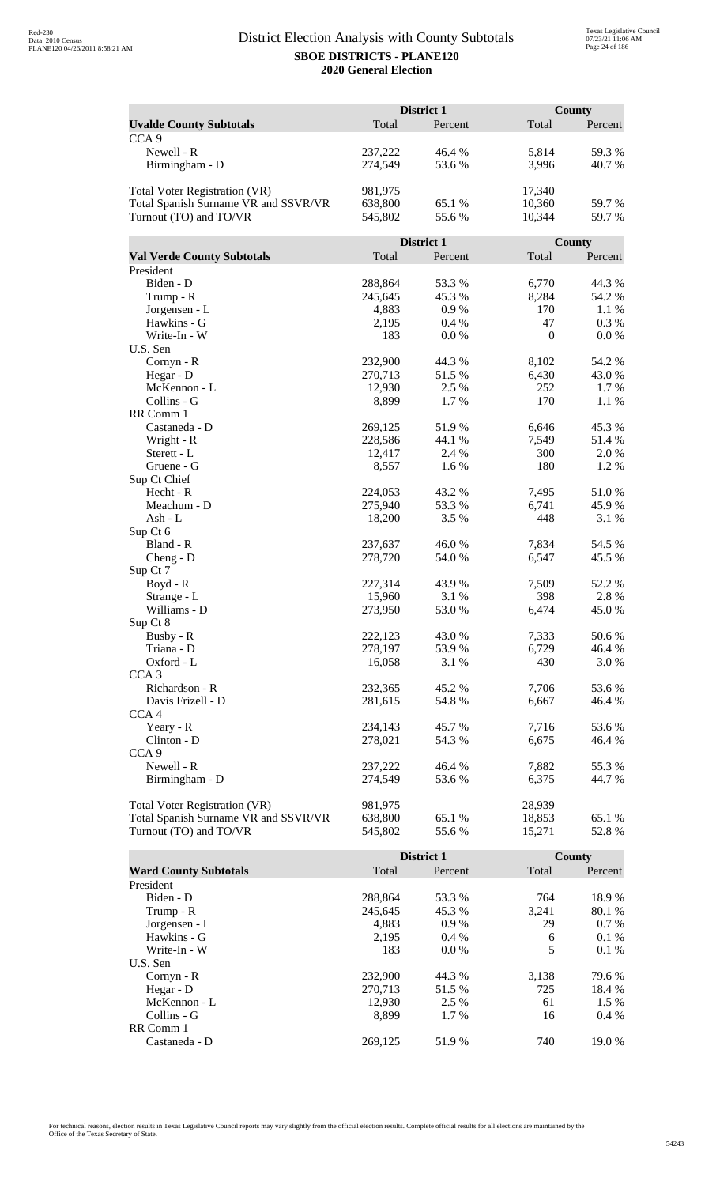|                                      | District 1        |                 |              | <b>County</b> |  |
|--------------------------------------|-------------------|-----------------|--------------|---------------|--|
| <b>Uvalde County Subtotals</b>       | Total             | Percent         | Total        | Percent       |  |
| CCA <sub>9</sub>                     |                   |                 |              |               |  |
| Newell - R                           | 237,222           | 46.4 %          | 5,814        | 59.3%         |  |
| Birmingham - D                       | 274,549           | 53.6%           | 3,996        | 40.7%         |  |
|                                      |                   |                 |              |               |  |
| <b>Total Voter Registration (VR)</b> | 981,975           |                 | 17,340       |               |  |
| Total Spanish Surname VR and SSVR/VR | 638,800           | 65.1 %          | 10,360       | 59.7%         |  |
| Turnout (TO) and TO/VR               | 545,802           | 55.6%           | 10,344       | 59.7%         |  |
|                                      |                   |                 |              |               |  |
|                                      |                   | District 1      |              | County        |  |
| <b>Val Verde County Subtotals</b>    | Total             | Percent         | Total        | Percent       |  |
| President                            |                   |                 |              |               |  |
| Biden - D                            | 288,864           | 53.3%           | 6,770        | 44.3 %        |  |
| Trump - R                            | 245,645           | 45.3 %          | 8,284        | 54.2 %        |  |
| Jorgensen - L                        | 4,883             | 0.9%            | 170          | 1.1 %         |  |
| Hawkins - G                          | 2,195             | 0.4%            | 47           | 0.3 %         |  |
| Write-In - W                         | 183               | 0.0 %           | $\mathbf{0}$ | 0.0 %         |  |
| U.S. Sen                             |                   |                 |              |               |  |
| Cornyn - R                           | 232,900           | 44.3 %          | 8,102        | 54.2 %        |  |
| Hegar - D                            | 270,713           | 51.5 %          | 6,430        | 43.0%         |  |
| McKennon - L                         | 12,930            | 2.5 %           | 252          | 1.7 %         |  |
| Collins - G                          | 8,899             | 1.7%            | 170          | 1.1 %         |  |
| RR Comm 1                            |                   |                 |              |               |  |
| Castaneda - D                        | 269,125           | 51.9%<br>44.1 % | 6,646        | 45.3%         |  |
| Wright - R<br>Sterett - L            | 228,586<br>12,417 | 2.4 %           | 7,549<br>300 | 51.4%<br>2.0% |  |
| Gruene - G                           | 8,557             | 1.6%            | 180          | 1.2%          |  |
| Sup Ct Chief                         |                   |                 |              |               |  |
| Hecht - R                            | 224,053           | 43.2 %          | 7,495        | 51.0%         |  |
| Meachum - D                          | 275,940           | 53.3 %          | 6,741        | 45.9%         |  |
| Ash - L                              | 18,200            | 3.5 %           | 448          | 3.1 %         |  |
| Sup Ct 6                             |                   |                 |              |               |  |
| Bland - R                            | 237,637           | 46.0%           | 7,834        | 54.5 %        |  |
| $Cheng - D$                          | 278,720           | 54.0%           | 6,547        | 45.5 %        |  |
| Sup Ct 7                             |                   |                 |              |               |  |
| $Boyd - R$                           | 227,314           | 43.9 %          | 7,509        | 52.2 %        |  |
| Strange - L                          | 15,960            | 3.1 %           | 398          | 2.8%          |  |
| Williams - D                         | 273,950           | 53.0 %          | 6,474        | 45.0%         |  |
| Sup Ct 8                             |                   |                 |              |               |  |
| Busby - R                            | 222,123           | 43.0 %          | 7,333        | 50.6 %        |  |
| Triana - D                           | 278,197           | 53.9%           | 6,729        | 46.4%         |  |
| Oxford - L                           | 16,058            | 3.1 %           | 430          | 3.0 %         |  |
| CCA <sub>3</sub>                     |                   |                 |              |               |  |
| Richardson - R                       | 232,365           | 45.2 %          | 7,706        | 53.6 %        |  |
| Davis Frizell - D                    | 281,615           | 54.8%           | 6,667        | 46.4 %        |  |
| CCA <sub>4</sub>                     |                   |                 |              |               |  |
| Yeary - R                            | 234,143           | 45.7%           | 7,716        | 53.6 %        |  |
| Clinton - D                          | 278,021           | 54.3 %          | 6,675        | 46.4 %        |  |
| CCA <sub>9</sub>                     |                   |                 |              |               |  |
| Newell - R                           | 237,222           | 46.4 %          | 7,882        | 55.3%         |  |
| Birmingham - D                       | 274,549           | 53.6%           | 6,375        | 44.7 %        |  |
| <b>Total Voter Registration (VR)</b> | 981,975           |                 | 28,939       |               |  |
| Total Spanish Surname VR and SSVR/VR | 638,800           | 65.1 %          | 18,853       | 65.1 %        |  |
| Turnout (TO) and TO/VR               | 545,802           | 55.6%           | 15,271       | 52.8%         |  |
|                                      |                   |                 |              |               |  |

|                              |         | <b>District 1</b> |       | County  |
|------------------------------|---------|-------------------|-------|---------|
| <b>Ward County Subtotals</b> | Total   | Percent           | Total | Percent |
| President                    |         |                   |       |         |
| Biden - D                    | 288,864 | 53.3 %            | 764   | 18.9%   |
| Trump - R                    | 245,645 | 45.3 %            | 3,241 | 80.1 %  |
| Jorgensen - L                | 4.883   | 0.9%              | 29    | $0.7\%$ |
| Hawkins - G                  | 2.195   | $0.4\%$           | 6     | 0.1%    |
| Write-In - W                 | 183     | $0.0\%$           | 5     | 0.1%    |
| U.S. Sen                     |         |                   |       |         |
| $Cornyn - R$                 | 232,900 | 44.3 %            | 3,138 | 79.6 %  |
| Hegar - $D$                  | 270.713 | 51.5 %            | 725   | 18.4 %  |
| McKennon - L                 | 12,930  | 2.5 %             | 61    | $1.5\%$ |
| Collins - G                  | 8.899   | 1.7 %             | 16    | $0.4\%$ |
| RR Comm 1                    |         |                   |       |         |
| Castaneda - D                | 269.125 | 51.9 %            | 740   | 19.0 %  |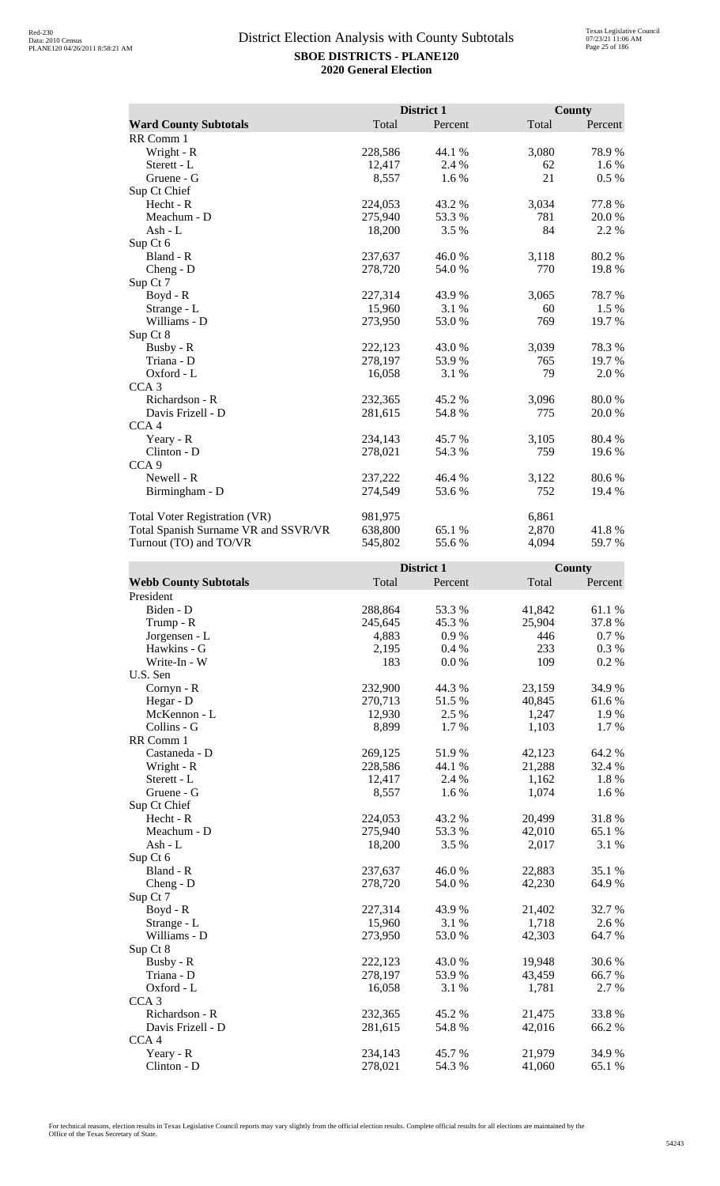|                                      |         | District 1 |       | <b>County</b> |
|--------------------------------------|---------|------------|-------|---------------|
| <b>Ward County Subtotals</b>         | Total   | Percent    | Total | Percent       |
| RR Comm 1                            |         |            |       |               |
| Wright - R                           | 228,586 | 44.1 %     | 3,080 | 78.9%         |
| Sterett - L                          | 12,417  | 2.4 %      | 62    | 1.6 %         |
| Gruene - G                           | 8,557   | 1.6 %      | 21    | $0.5\%$       |
| Sup Ct Chief                         |         |            |       |               |
| Hecht - R                            | 224,053 | 43.2 %     | 3,034 | 77.8 %        |
| Meachum - D                          | 275,940 | 53.3 %     | 781   | 20.0%         |
| Ash - $L$                            | 18,200  | 3.5 %      | 84    | 2.2 %         |
| Sup Ct 6                             |         |            |       |               |
| Bland - R                            | 237,637 | 46.0%      | 3,118 | 80.2%         |
| $Cheng - D$                          | 278,720 | 54.0 %     | 770   | 19.8%         |
| Sup Ct 7                             |         |            |       |               |
| Boyd - R                             | 227,314 | 43.9%      | 3,065 | 78.7%         |
| Strange - L                          | 15,960  | 3.1%       | 60    | 1.5 %         |
| Williams - D                         | 273,950 | 53.0%      | 769   | 19.7 %        |
| Sup Ct 8                             |         |            |       |               |
| Busby - R                            | 222,123 | 43.0%      | 3,039 | 78.3%         |
| Triana - D                           | 278,197 | 53.9%      | 765   | 19.7 %        |
| Oxford - L                           | 16,058  | 3.1 %      | 79    | 2.0 %         |
| CCA <sub>3</sub>                     |         |            |       |               |
| Richardson - R                       | 232,365 | 45.2 %     | 3,096 | 80.0%         |
| Davis Frizell - D                    | 281,615 | 54.8%      | 775   | 20.0 %        |
| CCA <sub>4</sub>                     |         |            |       |               |
| Yeary - R                            | 234,143 | 45.7 %     | 3,105 | 80.4 %        |
| Clinton - D                          | 278,021 | 54.3 %     | 759   | 19.6%         |
| CCA <sub>9</sub>                     |         |            |       |               |
| Newell - R                           | 237,222 | 46.4 %     | 3,122 | 80.6 %        |
| Birmingham - D                       | 274,549 | 53.6 %     | 752   | 19.4 %        |
| <b>Total Voter Registration (VR)</b> | 981,975 |            | 6,861 |               |
| Total Spanish Surname VR and SSVR/VR | 638,800 | 65.1 %     | 2,870 | 41.8%         |
| Turnout (TO) and TO/VR               | 545,802 | 55.6%      | 4,094 | 59.7 %        |

|                              |         | District 1 |        | County  |
|------------------------------|---------|------------|--------|---------|
| <b>Webb County Subtotals</b> | Total   | Percent    | Total  | Percent |
| President                    |         |            |        |         |
| Biden - D                    | 288,864 | 53.3 %     | 41,842 | 61.1%   |
| Trump - R                    | 245,645 | 45.3 %     | 25,904 | 37.8%   |
| Jorgensen - L                | 4,883   | 0.9%       | 446    | 0.7 %   |
| Hawkins - G                  | 2,195   | $0.4\%$    | 233    | 0.3%    |
| Write-In - W                 | 183     | 0.0 %      | 109    | 0.2 %   |
| U.S. Sen                     |         |            |        |         |
| Cornyn - R                   | 232,900 | 44.3 %     | 23,159 | 34.9%   |
| Hegar - D                    | 270,713 | 51.5%      | 40,845 | 61.6%   |
| McKennon - L                 | 12,930  | 2.5 %      | 1,247  | 1.9%    |
| Collins - G                  | 8,899   | 1.7%       | 1,103  | 1.7%    |
| RR Comm 1                    |         |            |        |         |
| Castaneda - D                | 269,125 | 51.9%      | 42,123 | 64.2 %  |
| Wright - R                   | 228,586 | 44.1 %     | 21,288 | 32.4 %  |
| Sterett - L                  | 12,417  | 2.4 %      | 1,162  | 1.8%    |
| Gruene - G                   | 8,557   | 1.6 %      | 1,074  | 1.6 %   |
| Sup Ct Chief                 |         |            |        |         |
| Hecht - R                    | 224,053 | 43.2 %     | 20,499 | 31.8%   |
| Meachum - D                  | 275,940 | 53.3%      | 42,010 | 65.1 %  |
| $Ash - L$                    | 18,200  | 3.5 %      | 2,017  | 3.1 %   |
| Sup Ct 6                     |         |            |        |         |
| Bland - R                    | 237,637 | 46.0%      | 22,883 | 35.1 %  |
| Cheng - D                    | 278,720 | 54.0 %     | 42,230 | 64.9%   |
| Sup Ct 7                     |         |            |        |         |
| Boyd - R                     | 227,314 | 43.9%      | 21,402 | 32.7 %  |
| Strange - L                  | 15,960  | 3.1 %      | 1,718  | 2.6 %   |
| Williams - D                 | 273,950 | 53.0 %     | 42,303 | 64.7 %  |
| Sup Ct 8                     |         |            |        |         |
| Busby - R                    | 222,123 | 43.0 %     | 19,948 | 30.6%   |
| Triana - D                   | 278,197 | 53.9%      | 43,459 | 66.7 %  |
| Oxford - L                   | 16,058  | 3.1 %      | 1,781  | 2.7%    |
| CCA <sub>3</sub>             |         |            |        |         |
| Richardson - R               | 232,365 | 45.2 %     | 21,475 | 33.8%   |
| Davis Frizell - D            | 281,615 | 54.8%      | 42,016 | 66.2%   |
| CCA <sub>4</sub>             |         |            |        |         |
| Yeary - R                    | 234,143 | 45.7%      | 21,979 | 34.9%   |
| $Clinton - D$                | 278,021 | 54.3 %     | 41,060 | 65.1 %  |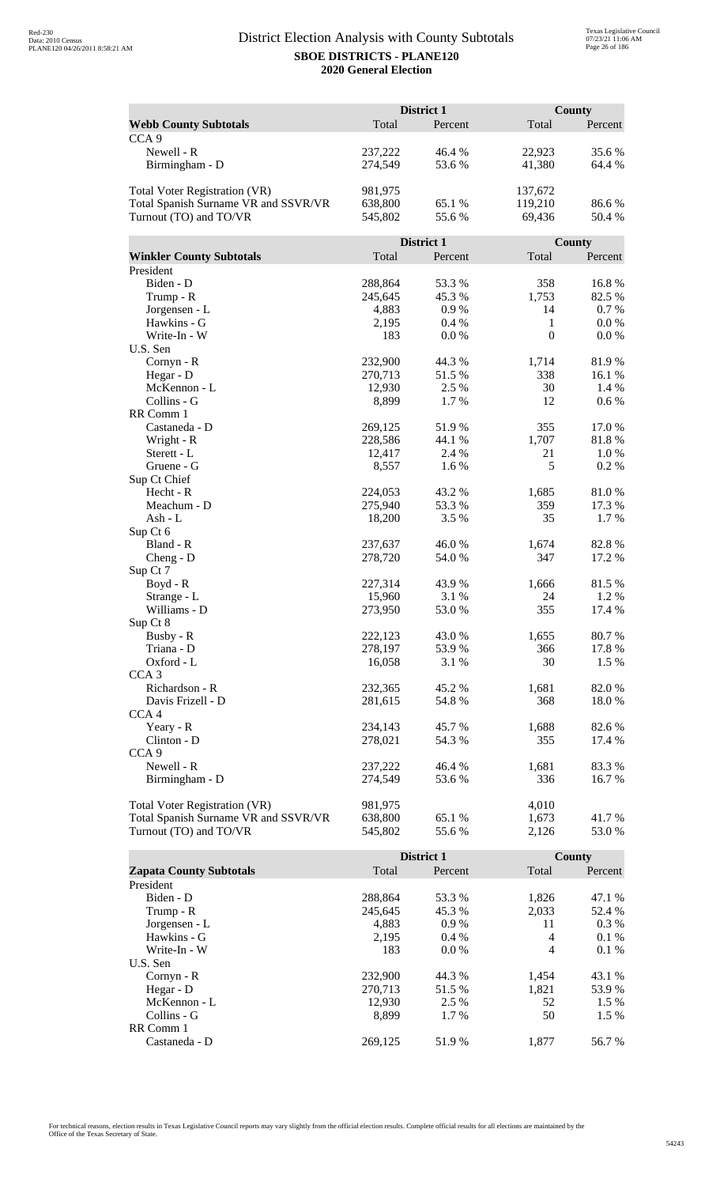|                                      |                    | District 1       |                  | <b>County</b>   |
|--------------------------------------|--------------------|------------------|------------------|-----------------|
| <b>Webb County Subtotals</b>         | Total              | Percent          | Total            | Percent         |
| CCA <sub>9</sub>                     |                    |                  |                  |                 |
| Newell - R                           | 237,222            | 46.4 %           | 22,923           | 35.6 %          |
| Birmingham - D                       | 274,549            | 53.6%            | 41,380           | 64.4 %          |
|                                      |                    |                  |                  |                 |
| Total Voter Registration (VR)        | 981,975            |                  | 137,672          |                 |
| Total Spanish Surname VR and SSVR/VR | 638,800            | 65.1 %           | 119,210          | 86.6%           |
| Turnout (TO) and TO/VR               | 545,802            | 55.6%            | 69,436           | 50.4 %          |
|                                      |                    |                  |                  |                 |
|                                      |                    | District 1       |                  | County          |
| <b>Winkler County Subtotals</b>      | Total              | Percent          | Total            | Percent         |
| President                            |                    |                  |                  |                 |
| Biden - D                            | 288,864            | 53.3 %           | 358              | 16.8%           |
| Trump - R                            | 245,645            | 45.3%            | 1,753            | 82.5 %          |
| Jorgensen - L                        | 4,883              | 0.9%             | 14               | 0.7 %           |
| Hawkins - G                          | 2,195              | 0.4%             | 1                | 0.0 %           |
| Write-In - W                         | 183                | 0.0 %            | $\boldsymbol{0}$ | 0.0 %           |
| U.S. Sen                             |                    |                  |                  |                 |
| Cornyn - R                           | 232,900            | 44.3 %           | 1,714            | 81.9%           |
| Hegar - D                            | 270,713            | 51.5 %           | 338              | 16.1 %          |
| McKennon - L                         | 12,930             | 2.5 %            | 30               | 1.4 %           |
| Collins - G                          | 8,899              | 1.7 %            | 12               | $0.6\ \%$       |
| RR Comm 1                            |                    |                  |                  |                 |
| Castaneda - D                        | 269,125            | 51.9%            | 355              | 17.0%           |
| Wright - R                           | 228,586            | 44.1 %           | 1,707            | 81.8%           |
| Sterett - L                          | 12,417             | 2.4 %            | 21               | 1.0%            |
| Gruene - G                           | 8,557              | 1.6 %            | 5                | 0.2%            |
| Sup Ct Chief                         |                    |                  |                  |                 |
| Hecht - R<br>Meachum - D             | 224,053<br>275,940 | 43.2 %<br>53.3 % | 1,685<br>359     | 81.0%<br>17.3 % |
| Ash - L                              | 18,200             | 3.5 %            | 35               | 1.7 %           |
| Sup Ct 6                             |                    |                  |                  |                 |
| Bland - R                            | 237,637            | 46.0%            | 1,674            | 82.8%           |
| $Cheng - D$                          | 278,720            | 54.0%            | 347              | 17.2 %          |
| Sup Ct 7                             |                    |                  |                  |                 |
| Boyd - R                             | 227,314            | 43.9 %           | 1,666            | 81.5%           |
| Strange - L                          | 15,960             | 3.1 %            | 24               | 1.2%            |
| Williams - D                         | 273,950            | 53.0 %           | 355              | 17.4 %          |
| Sup Ct 8                             |                    |                  |                  |                 |
| Busby - R                            | 222,123            | 43.0%            | 1,655            | 80.7 %          |
| Triana - D                           | 278,197            | 53.9%            | 366              | 17.8 %          |
| Oxford - L                           | 16,058             | 3.1 %            | 30               | 1.5 %           |
| CCA <sub>3</sub>                     |                    |                  |                  |                 |
| Richardson - R                       | 232,365            | 45.2 %           | 1,681            | 82.0%           |
| Davis Frizell - D                    | 281,615            | 54.8%            | 368              | 18.0 %          |
| CCA <sub>4</sub>                     |                    |                  |                  |                 |
| Yeary - R                            | 234,143            | 45.7%            | 1,688            | 82.6 %          |
| Clinton - D                          | 278,021            | 54.3 %           | 355              | 17.4 %          |
| CCA <sub>9</sub>                     |                    |                  |                  |                 |
| Newell - R                           | 237,222            | 46.4 %           | 1,681            | 83.3%           |
| Birmingham - D                       | 274,549            | 53.6 %           | 336              | 16.7 %          |
|                                      |                    |                  |                  |                 |
| <b>Total Voter Registration (VR)</b> | 981,975            |                  | 4,010            |                 |
| Total Spanish Surname VR and SSVR/VR | 638,800            | 65.1 %           | 1,673            | 41.7 %          |
| Turnout (TO) and TO/VR               | 545,802            | 55.6%            | 2,126            | 53.0 %          |

|                                |         | <b>District 1</b> |       | County  |
|--------------------------------|---------|-------------------|-------|---------|
| <b>Zapata County Subtotals</b> | Total   | Percent           | Total | Percent |
| President                      |         |                   |       |         |
| Biden - D                      | 288,864 | 53.3 %            | 1,826 | 47.1 %  |
| Trump - R                      | 245,645 | 45.3 %            | 2,033 | 52.4 %  |
| Jorgensen - L                  | 4,883   | $0.9\%$           | 11    | $0.3\%$ |
| Hawkins - G                    | 2,195   | $0.4\%$           | 4     | $0.1\%$ |
| Write-In - W                   | 183     | $0.0\%$           | 4     | $0.1\%$ |
| U.S. Sen                       |         |                   |       |         |
| $Cornyn - R$                   | 232,900 | 44.3 %            | 1,454 | 43.1 %  |
| Hegar - $D$                    | 270.713 | 51.5 %            | 1,821 | 53.9 %  |
| McKennon - L                   | 12,930  | 2.5 %             | 52    | $1.5\%$ |
| Collins - G                    | 8.899   | $1.7\%$           | 50    | $1.5\%$ |
| RR Comm 1                      |         |                   |       |         |
| Castaneda - D                  | 269.125 | 51.9%             | 1.877 | 56.7 %  |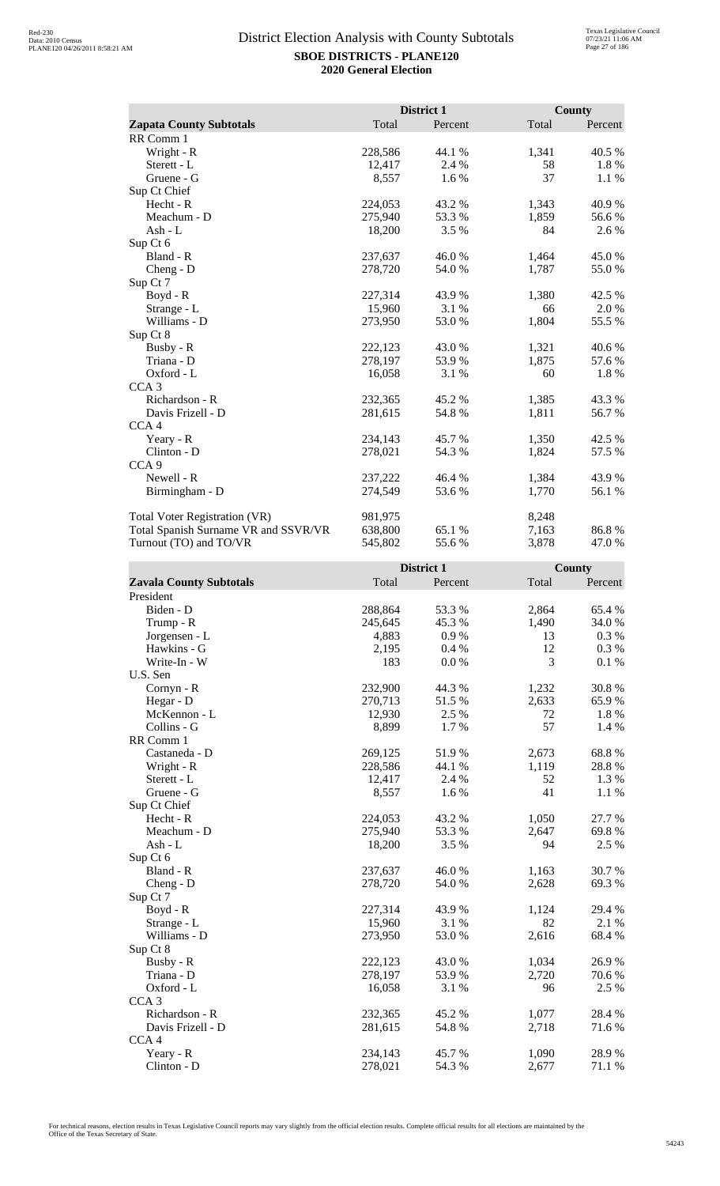|                                      |         | District 1 |       | <b>County</b> |
|--------------------------------------|---------|------------|-------|---------------|
| <b>Zapata County Subtotals</b>       | Total   | Percent    | Total | Percent       |
| RR Comm 1                            |         |            |       |               |
| Wright - R                           | 228,586 | 44.1 %     | 1,341 | 40.5 %        |
| Sterett - L                          | 12,417  | 2.4 %      | 58    | 1.8 %         |
| Gruene - G                           | 8,557   | 1.6 %      | 37    | 1.1 %         |
| Sup Ct Chief                         |         |            |       |               |
| Hecht - R                            | 224,053 | 43.2 %     | 1,343 | 40.9%         |
| Meachum - D                          | 275,940 | 53.3%      | 1,859 | 56.6 %        |
| Ash - L                              | 18,200  | 3.5 %      | 84    | 2.6 %         |
| Sup Ct 6                             |         |            |       |               |
| Bland - R                            | 237,637 | 46.0%      | 1,464 | 45.0%         |
| $Cheng - D$                          | 278,720 | 54.0 %     | 1,787 | 55.0%         |
| Sup Ct 7                             |         |            |       |               |
| Boyd - R                             | 227,314 | 43.9%      | 1,380 | 42.5 %        |
| Strange - L                          | 15,960  | 3.1 %      | 66    | 2.0 %         |
| Williams - D                         | 273,950 | 53.0 %     | 1,804 | 55.5 %        |
| Sup Ct 8                             |         |            |       |               |
| Busby - R                            | 222,123 | 43.0 %     | 1,321 | 40.6%         |
| Triana - D                           | 278,197 | 53.9%      | 1,875 | 57.6 %        |
| Oxford - L                           | 16,058  | 3.1 %      | 60    | 1.8 %         |
| CCA <sub>3</sub>                     |         |            |       |               |
| Richardson - R                       | 232,365 | 45.2%      | 1,385 | 43.3%         |
| Davis Frizell - D                    | 281,615 | 54.8%      | 1,811 | 56.7%         |
| CCA <sub>4</sub>                     |         |            |       |               |
| Yeary - R                            | 234,143 | 45.7 %     | 1,350 | 42.5 %        |
| Clinton - D                          | 278,021 | 54.3 %     | 1,824 | 57.5 %        |
| CCA <sub>9</sub>                     |         |            |       |               |
| Newell - R                           | 237,222 | 46.4 %     | 1,384 | 43.9%         |
| Birmingham - D                       | 274,549 | 53.6%      | 1,770 | 56.1 %        |
| <b>Total Voter Registration (VR)</b> | 981,975 |            | 8,248 |               |
| Total Spanish Surname VR and SSVR/VR | 638,800 | 65.1 %     | 7,163 | 86.8%         |
| Turnout (TO) and TO/VR               | 545,802 | 55.6 %     | 3,878 | 47.0%         |

|                                |         | District 1 |       | <b>County</b> |
|--------------------------------|---------|------------|-------|---------------|
| <b>Zavala County Subtotals</b> | Total   | Percent    | Total | Percent       |
| President                      |         |            |       |               |
| Biden - D                      | 288,864 | 53.3 %     | 2,864 | 65.4 %        |
| Trump - R                      | 245,645 | 45.3%      | 1,490 | 34.0%         |
| Jorgensen - L                  | 4,883   | 0.9%       | 13    | 0.3%          |
| Hawkins - G                    | 2,195   | 0.4%       | 12    | 0.3 %         |
| Write-In - W                   | 183     | 0.0 %      | 3     | 0.1 %         |
| U.S. Sen                       |         |            |       |               |
| Cornyn - R                     | 232,900 | 44.3 %     | 1,232 | 30.8%         |
| Hegar - D                      | 270,713 | 51.5%      | 2,633 | 65.9%         |
| McKennon - L                   | 12,930  | 2.5 %      | 72    | 1.8 %         |
| Collins - G                    | 8,899   | 1.7%       | 57    | 1.4 %         |
| RR Comm 1                      |         |            |       |               |
| Castaneda - D                  | 269,125 | 51.9%      | 2,673 | 68.8%         |
| Wright - R                     | 228,586 | 44.1 %     | 1,119 | 28.8%         |
| Sterett - L                    | 12,417  | 2.4 %      | 52    | 1.3 %         |
| Gruene - G                     | 8,557   | 1.6%       | 41    | 1.1 %         |
| Sup Ct Chief                   |         |            |       |               |
| $Hecht - R$                    | 224,053 | 43.2 %     | 1,050 | 27.7 %        |
| Meachum - D                    | 275,940 | 53.3 %     | 2,647 | 69.8%         |
| $Ash - L$                      | 18,200  | 3.5%       | 94    | 2.5 %         |
| Sup Ct 6                       |         |            |       |               |
| Bland - R                      | 237,637 | 46.0%      | 1,163 | 30.7%         |
| $Cheng - D$                    | 278,720 | 54.0 %     | 2,628 | 69.3%         |
| Sup Ct 7                       |         |            |       |               |
| $Boyd - R$                     | 227,314 | 43.9%      | 1,124 | 29.4 %        |
| Strange - L                    | 15,960  | 3.1%       | 82    | 2.1 %         |
| Williams - D                   | 273,950 | 53.0%      | 2,616 | 68.4%         |
| Sup Ct 8                       |         |            |       |               |
| Busby - R                      | 222,123 | 43.0%      | 1,034 | 26.9%         |
| Triana - D                     | 278,197 | 53.9%      | 2,720 | 70.6%         |
| Oxford - L                     | 16,058  | 3.1 %      | 96    | 2.5 %         |
| CCA <sub>3</sub>               |         |            |       |               |
| Richardson - R                 | 232,365 | 45.2%      | 1,077 | 28.4 %        |
| Davis Frizell - D              | 281,615 | 54.8%      | 2,718 | 71.6%         |
| CCA <sub>4</sub>               |         |            |       |               |
| Yeary - R                      | 234,143 | 45.7%      | 1,090 | 28.9%         |
| $Clinton - D$                  | 278,021 | 54.3 %     | 2,677 | 71.1 %        |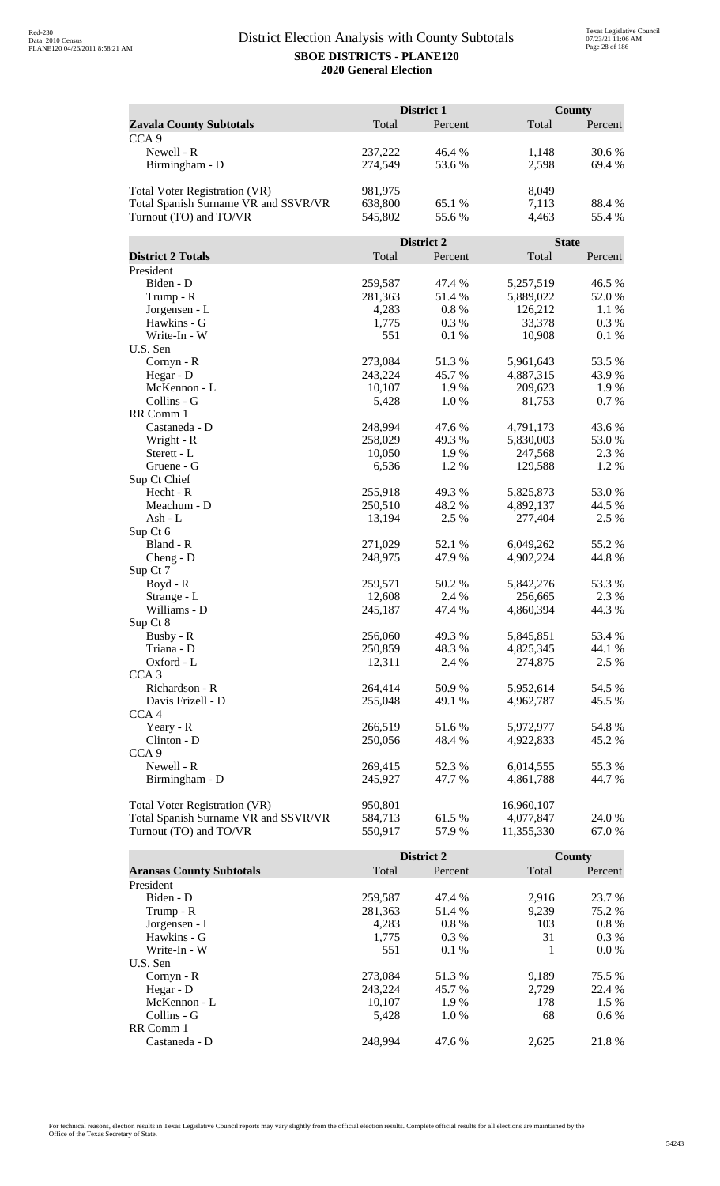| Total<br>Percent<br>Total<br>Percent<br><b>Zavala County Subtotals</b><br>CCA <sub>9</sub><br>Newell - R<br>46.4 %<br>30.6 %<br>237,222<br>1,148<br>Birmingham - D<br>274,549<br>53.6%<br>2,598<br>69.4%<br>Total Voter Registration (VR)<br>981,975<br>8,049<br>Total Spanish Surname VR and SSVR/VR<br>638,800<br>65.1 %<br>7,113<br>88.4%<br>Turnout (TO) and TO/VR<br>55.6 %<br>545,802<br>4,463<br>55.4 %<br>District 2<br><b>State</b><br><b>District 2 Totals</b><br>Total<br>Total<br>Percent<br>Percent<br>President<br>Biden - D<br>259,587<br>47.4 %<br>5,257,519<br>46.5 %<br>281,363<br>51.4%<br>5,889,022<br>52.0%<br>Trump - R<br>0.8%<br>126,212<br>1.1%<br>Jorgensen - L<br>4,283<br>Hawkins - G<br>33,378<br>1,775<br>0.3%<br>0.3 %<br>Write-In - W<br>551<br>0.1%<br>10,908<br>0.1%<br>U.S. Sen<br>Cornyn - R<br>273,084<br>51.3%<br>5,961,643<br>53.5%<br>Hegar - D<br>243,224<br>45.7%<br>4,887,315<br>43.9 %<br>McKennon - L<br>10,107<br>1.9%<br>209,623<br>1.9 %<br>Collins - G<br>1.0%<br>81,753<br>0.7%<br>5,428<br>RR Comm 1<br>Castaneda - D<br>248,994<br>47.6 %<br>43.6 %<br>4,791,173<br>Wright - R<br>258,029<br>49.3 %<br>5,830,003<br>53.0 %<br>Sterett - L<br>10,050<br>1.9%<br>247,568<br>2.3 %<br>6,536<br>1.2%<br>129,588<br>1.2%<br>Gruene - G<br>Sup Ct Chief<br>Hecht - R<br>255,918<br>49.3%<br>5,825,873<br>53.0%<br>Meachum - D<br>250,510<br>48.2%<br>44.5 %<br>4,892,137<br>2.5 %<br>$Ash - L$<br>13,194<br>2.5 %<br>277,404<br>Sup Ct 6<br>Bland - R<br>271,029<br>52.1 %<br>6,049,262<br>55.2 %<br>248,975<br>47.9%<br>4,902,224<br>44.8%<br>$Cheng - D$<br>Sup Ct 7<br>Boyd - R<br>50.2%<br>5,842,276<br>53.3 %<br>259,571<br>12,608<br>2.4 %<br>256,665<br>2.3 %<br>Strange - L<br>Williams - D<br>245,187<br>47.4 %<br>4,860,394<br>44.3 %<br>Sup Ct 8<br>5,845,851<br>Busby - R<br>256,060<br>49.3%<br>53.4 %<br>Triana - D<br>250,859<br>48.3 %<br>4,825,345<br>44.1 %<br>Oxford - L<br>12,311<br>2.4 %<br>274,875<br>2.5 %<br>CCA <sub>3</sub><br>Richardson - R<br>264,414<br>50.9%<br>54.5 %<br>5,952,614<br>Davis Frizell - D<br>255,048<br>49.1 %<br>4,962,787<br>45.5 %<br>CCA <sub>4</sub><br>266,519<br>5,972,977<br>Yeary - R<br>51.6%<br>54.8%<br>48.4%<br>Clinton - D<br>250,056<br>4,922,833<br>45.2 %<br>CCA <sub>9</sub><br>Newell - R<br>269,415<br>52.3%<br>6,014,555<br>55.3 %<br>Birmingham - D<br>245,927<br>47.7 %<br>4,861,788<br>44.7 %<br><b>Total Voter Registration (VR)</b><br>950,801<br>16,960,107<br>Total Spanish Surname VR and SSVR/VR<br>584,713<br>61.5%<br>4,077,847<br>24.0 % |                        | District 1 |       |            | <b>County</b> |
|------------------------------------------------------------------------------------------------------------------------------------------------------------------------------------------------------------------------------------------------------------------------------------------------------------------------------------------------------------------------------------------------------------------------------------------------------------------------------------------------------------------------------------------------------------------------------------------------------------------------------------------------------------------------------------------------------------------------------------------------------------------------------------------------------------------------------------------------------------------------------------------------------------------------------------------------------------------------------------------------------------------------------------------------------------------------------------------------------------------------------------------------------------------------------------------------------------------------------------------------------------------------------------------------------------------------------------------------------------------------------------------------------------------------------------------------------------------------------------------------------------------------------------------------------------------------------------------------------------------------------------------------------------------------------------------------------------------------------------------------------------------------------------------------------------------------------------------------------------------------------------------------------------------------------------------------------------------------------------------------------------------------------------------------------------------------------------------------------------------------------------------------------------------------------------------------------------------------------------------------------------------------------------------------------------------------------------------------------------------------------------------------------------------------------------------------------------------------------------------------------------------------------------------------------------------------|------------------------|------------|-------|------------|---------------|
|                                                                                                                                                                                                                                                                                                                                                                                                                                                                                                                                                                                                                                                                                                                                                                                                                                                                                                                                                                                                                                                                                                                                                                                                                                                                                                                                                                                                                                                                                                                                                                                                                                                                                                                                                                                                                                                                                                                                                                                                                                                                                                                                                                                                                                                                                                                                                                                                                                                                                                                                                                        |                        |            |       |            |               |
|                                                                                                                                                                                                                                                                                                                                                                                                                                                                                                                                                                                                                                                                                                                                                                                                                                                                                                                                                                                                                                                                                                                                                                                                                                                                                                                                                                                                                                                                                                                                                                                                                                                                                                                                                                                                                                                                                                                                                                                                                                                                                                                                                                                                                                                                                                                                                                                                                                                                                                                                                                        |                        |            |       |            |               |
|                                                                                                                                                                                                                                                                                                                                                                                                                                                                                                                                                                                                                                                                                                                                                                                                                                                                                                                                                                                                                                                                                                                                                                                                                                                                                                                                                                                                                                                                                                                                                                                                                                                                                                                                                                                                                                                                                                                                                                                                                                                                                                                                                                                                                                                                                                                                                                                                                                                                                                                                                                        |                        |            |       |            |               |
|                                                                                                                                                                                                                                                                                                                                                                                                                                                                                                                                                                                                                                                                                                                                                                                                                                                                                                                                                                                                                                                                                                                                                                                                                                                                                                                                                                                                                                                                                                                                                                                                                                                                                                                                                                                                                                                                                                                                                                                                                                                                                                                                                                                                                                                                                                                                                                                                                                                                                                                                                                        |                        |            |       |            |               |
|                                                                                                                                                                                                                                                                                                                                                                                                                                                                                                                                                                                                                                                                                                                                                                                                                                                                                                                                                                                                                                                                                                                                                                                                                                                                                                                                                                                                                                                                                                                                                                                                                                                                                                                                                                                                                                                                                                                                                                                                                                                                                                                                                                                                                                                                                                                                                                                                                                                                                                                                                                        |                        |            |       |            |               |
|                                                                                                                                                                                                                                                                                                                                                                                                                                                                                                                                                                                                                                                                                                                                                                                                                                                                                                                                                                                                                                                                                                                                                                                                                                                                                                                                                                                                                                                                                                                                                                                                                                                                                                                                                                                                                                                                                                                                                                                                                                                                                                                                                                                                                                                                                                                                                                                                                                                                                                                                                                        |                        |            |       |            |               |
|                                                                                                                                                                                                                                                                                                                                                                                                                                                                                                                                                                                                                                                                                                                                                                                                                                                                                                                                                                                                                                                                                                                                                                                                                                                                                                                                                                                                                                                                                                                                                                                                                                                                                                                                                                                                                                                                                                                                                                                                                                                                                                                                                                                                                                                                                                                                                                                                                                                                                                                                                                        |                        |            |       |            |               |
|                                                                                                                                                                                                                                                                                                                                                                                                                                                                                                                                                                                                                                                                                                                                                                                                                                                                                                                                                                                                                                                                                                                                                                                                                                                                                                                                                                                                                                                                                                                                                                                                                                                                                                                                                                                                                                                                                                                                                                                                                                                                                                                                                                                                                                                                                                                                                                                                                                                                                                                                                                        |                        |            |       |            |               |
|                                                                                                                                                                                                                                                                                                                                                                                                                                                                                                                                                                                                                                                                                                                                                                                                                                                                                                                                                                                                                                                                                                                                                                                                                                                                                                                                                                                                                                                                                                                                                                                                                                                                                                                                                                                                                                                                                                                                                                                                                                                                                                                                                                                                                                                                                                                                                                                                                                                                                                                                                                        |                        |            |       |            |               |
|                                                                                                                                                                                                                                                                                                                                                                                                                                                                                                                                                                                                                                                                                                                                                                                                                                                                                                                                                                                                                                                                                                                                                                                                                                                                                                                                                                                                                                                                                                                                                                                                                                                                                                                                                                                                                                                                                                                                                                                                                                                                                                                                                                                                                                                                                                                                                                                                                                                                                                                                                                        |                        |            |       |            |               |
|                                                                                                                                                                                                                                                                                                                                                                                                                                                                                                                                                                                                                                                                                                                                                                                                                                                                                                                                                                                                                                                                                                                                                                                                                                                                                                                                                                                                                                                                                                                                                                                                                                                                                                                                                                                                                                                                                                                                                                                                                                                                                                                                                                                                                                                                                                                                                                                                                                                                                                                                                                        |                        |            |       |            |               |
|                                                                                                                                                                                                                                                                                                                                                                                                                                                                                                                                                                                                                                                                                                                                                                                                                                                                                                                                                                                                                                                                                                                                                                                                                                                                                                                                                                                                                                                                                                                                                                                                                                                                                                                                                                                                                                                                                                                                                                                                                                                                                                                                                                                                                                                                                                                                                                                                                                                                                                                                                                        |                        |            |       |            |               |
|                                                                                                                                                                                                                                                                                                                                                                                                                                                                                                                                                                                                                                                                                                                                                                                                                                                                                                                                                                                                                                                                                                                                                                                                                                                                                                                                                                                                                                                                                                                                                                                                                                                                                                                                                                                                                                                                                                                                                                                                                                                                                                                                                                                                                                                                                                                                                                                                                                                                                                                                                                        |                        |            |       |            |               |
|                                                                                                                                                                                                                                                                                                                                                                                                                                                                                                                                                                                                                                                                                                                                                                                                                                                                                                                                                                                                                                                                                                                                                                                                                                                                                                                                                                                                                                                                                                                                                                                                                                                                                                                                                                                                                                                                                                                                                                                                                                                                                                                                                                                                                                                                                                                                                                                                                                                                                                                                                                        |                        |            |       |            |               |
|                                                                                                                                                                                                                                                                                                                                                                                                                                                                                                                                                                                                                                                                                                                                                                                                                                                                                                                                                                                                                                                                                                                                                                                                                                                                                                                                                                                                                                                                                                                                                                                                                                                                                                                                                                                                                                                                                                                                                                                                                                                                                                                                                                                                                                                                                                                                                                                                                                                                                                                                                                        |                        |            |       |            |               |
|                                                                                                                                                                                                                                                                                                                                                                                                                                                                                                                                                                                                                                                                                                                                                                                                                                                                                                                                                                                                                                                                                                                                                                                                                                                                                                                                                                                                                                                                                                                                                                                                                                                                                                                                                                                                                                                                                                                                                                                                                                                                                                                                                                                                                                                                                                                                                                                                                                                                                                                                                                        |                        |            |       |            |               |
|                                                                                                                                                                                                                                                                                                                                                                                                                                                                                                                                                                                                                                                                                                                                                                                                                                                                                                                                                                                                                                                                                                                                                                                                                                                                                                                                                                                                                                                                                                                                                                                                                                                                                                                                                                                                                                                                                                                                                                                                                                                                                                                                                                                                                                                                                                                                                                                                                                                                                                                                                                        |                        |            |       |            |               |
|                                                                                                                                                                                                                                                                                                                                                                                                                                                                                                                                                                                                                                                                                                                                                                                                                                                                                                                                                                                                                                                                                                                                                                                                                                                                                                                                                                                                                                                                                                                                                                                                                                                                                                                                                                                                                                                                                                                                                                                                                                                                                                                                                                                                                                                                                                                                                                                                                                                                                                                                                                        |                        |            |       |            |               |
|                                                                                                                                                                                                                                                                                                                                                                                                                                                                                                                                                                                                                                                                                                                                                                                                                                                                                                                                                                                                                                                                                                                                                                                                                                                                                                                                                                                                                                                                                                                                                                                                                                                                                                                                                                                                                                                                                                                                                                                                                                                                                                                                                                                                                                                                                                                                                                                                                                                                                                                                                                        |                        |            |       |            |               |
|                                                                                                                                                                                                                                                                                                                                                                                                                                                                                                                                                                                                                                                                                                                                                                                                                                                                                                                                                                                                                                                                                                                                                                                                                                                                                                                                                                                                                                                                                                                                                                                                                                                                                                                                                                                                                                                                                                                                                                                                                                                                                                                                                                                                                                                                                                                                                                                                                                                                                                                                                                        |                        |            |       |            |               |
|                                                                                                                                                                                                                                                                                                                                                                                                                                                                                                                                                                                                                                                                                                                                                                                                                                                                                                                                                                                                                                                                                                                                                                                                                                                                                                                                                                                                                                                                                                                                                                                                                                                                                                                                                                                                                                                                                                                                                                                                                                                                                                                                                                                                                                                                                                                                                                                                                                                                                                                                                                        |                        |            |       |            |               |
|                                                                                                                                                                                                                                                                                                                                                                                                                                                                                                                                                                                                                                                                                                                                                                                                                                                                                                                                                                                                                                                                                                                                                                                                                                                                                                                                                                                                                                                                                                                                                                                                                                                                                                                                                                                                                                                                                                                                                                                                                                                                                                                                                                                                                                                                                                                                                                                                                                                                                                                                                                        |                        |            |       |            |               |
|                                                                                                                                                                                                                                                                                                                                                                                                                                                                                                                                                                                                                                                                                                                                                                                                                                                                                                                                                                                                                                                                                                                                                                                                                                                                                                                                                                                                                                                                                                                                                                                                                                                                                                                                                                                                                                                                                                                                                                                                                                                                                                                                                                                                                                                                                                                                                                                                                                                                                                                                                                        |                        |            |       |            |               |
|                                                                                                                                                                                                                                                                                                                                                                                                                                                                                                                                                                                                                                                                                                                                                                                                                                                                                                                                                                                                                                                                                                                                                                                                                                                                                                                                                                                                                                                                                                                                                                                                                                                                                                                                                                                                                                                                                                                                                                                                                                                                                                                                                                                                                                                                                                                                                                                                                                                                                                                                                                        |                        |            |       |            |               |
|                                                                                                                                                                                                                                                                                                                                                                                                                                                                                                                                                                                                                                                                                                                                                                                                                                                                                                                                                                                                                                                                                                                                                                                                                                                                                                                                                                                                                                                                                                                                                                                                                                                                                                                                                                                                                                                                                                                                                                                                                                                                                                                                                                                                                                                                                                                                                                                                                                                                                                                                                                        |                        |            |       |            |               |
|                                                                                                                                                                                                                                                                                                                                                                                                                                                                                                                                                                                                                                                                                                                                                                                                                                                                                                                                                                                                                                                                                                                                                                                                                                                                                                                                                                                                                                                                                                                                                                                                                                                                                                                                                                                                                                                                                                                                                                                                                                                                                                                                                                                                                                                                                                                                                                                                                                                                                                                                                                        |                        |            |       |            |               |
|                                                                                                                                                                                                                                                                                                                                                                                                                                                                                                                                                                                                                                                                                                                                                                                                                                                                                                                                                                                                                                                                                                                                                                                                                                                                                                                                                                                                                                                                                                                                                                                                                                                                                                                                                                                                                                                                                                                                                                                                                                                                                                                                                                                                                                                                                                                                                                                                                                                                                                                                                                        |                        |            |       |            |               |
|                                                                                                                                                                                                                                                                                                                                                                                                                                                                                                                                                                                                                                                                                                                                                                                                                                                                                                                                                                                                                                                                                                                                                                                                                                                                                                                                                                                                                                                                                                                                                                                                                                                                                                                                                                                                                                                                                                                                                                                                                                                                                                                                                                                                                                                                                                                                                                                                                                                                                                                                                                        |                        |            |       |            |               |
|                                                                                                                                                                                                                                                                                                                                                                                                                                                                                                                                                                                                                                                                                                                                                                                                                                                                                                                                                                                                                                                                                                                                                                                                                                                                                                                                                                                                                                                                                                                                                                                                                                                                                                                                                                                                                                                                                                                                                                                                                                                                                                                                                                                                                                                                                                                                                                                                                                                                                                                                                                        |                        |            |       |            |               |
|                                                                                                                                                                                                                                                                                                                                                                                                                                                                                                                                                                                                                                                                                                                                                                                                                                                                                                                                                                                                                                                                                                                                                                                                                                                                                                                                                                                                                                                                                                                                                                                                                                                                                                                                                                                                                                                                                                                                                                                                                                                                                                                                                                                                                                                                                                                                                                                                                                                                                                                                                                        |                        |            |       |            |               |
|                                                                                                                                                                                                                                                                                                                                                                                                                                                                                                                                                                                                                                                                                                                                                                                                                                                                                                                                                                                                                                                                                                                                                                                                                                                                                                                                                                                                                                                                                                                                                                                                                                                                                                                                                                                                                                                                                                                                                                                                                                                                                                                                                                                                                                                                                                                                                                                                                                                                                                                                                                        |                        |            |       |            |               |
|                                                                                                                                                                                                                                                                                                                                                                                                                                                                                                                                                                                                                                                                                                                                                                                                                                                                                                                                                                                                                                                                                                                                                                                                                                                                                                                                                                                                                                                                                                                                                                                                                                                                                                                                                                                                                                                                                                                                                                                                                                                                                                                                                                                                                                                                                                                                                                                                                                                                                                                                                                        |                        |            |       |            |               |
|                                                                                                                                                                                                                                                                                                                                                                                                                                                                                                                                                                                                                                                                                                                                                                                                                                                                                                                                                                                                                                                                                                                                                                                                                                                                                                                                                                                                                                                                                                                                                                                                                                                                                                                                                                                                                                                                                                                                                                                                                                                                                                                                                                                                                                                                                                                                                                                                                                                                                                                                                                        |                        |            |       |            |               |
|                                                                                                                                                                                                                                                                                                                                                                                                                                                                                                                                                                                                                                                                                                                                                                                                                                                                                                                                                                                                                                                                                                                                                                                                                                                                                                                                                                                                                                                                                                                                                                                                                                                                                                                                                                                                                                                                                                                                                                                                                                                                                                                                                                                                                                                                                                                                                                                                                                                                                                                                                                        |                        |            |       |            |               |
|                                                                                                                                                                                                                                                                                                                                                                                                                                                                                                                                                                                                                                                                                                                                                                                                                                                                                                                                                                                                                                                                                                                                                                                                                                                                                                                                                                                                                                                                                                                                                                                                                                                                                                                                                                                                                                                                                                                                                                                                                                                                                                                                                                                                                                                                                                                                                                                                                                                                                                                                                                        |                        |            |       |            |               |
|                                                                                                                                                                                                                                                                                                                                                                                                                                                                                                                                                                                                                                                                                                                                                                                                                                                                                                                                                                                                                                                                                                                                                                                                                                                                                                                                                                                                                                                                                                                                                                                                                                                                                                                                                                                                                                                                                                                                                                                                                                                                                                                                                                                                                                                                                                                                                                                                                                                                                                                                                                        |                        |            |       |            |               |
|                                                                                                                                                                                                                                                                                                                                                                                                                                                                                                                                                                                                                                                                                                                                                                                                                                                                                                                                                                                                                                                                                                                                                                                                                                                                                                                                                                                                                                                                                                                                                                                                                                                                                                                                                                                                                                                                                                                                                                                                                                                                                                                                                                                                                                                                                                                                                                                                                                                                                                                                                                        |                        |            |       |            |               |
|                                                                                                                                                                                                                                                                                                                                                                                                                                                                                                                                                                                                                                                                                                                                                                                                                                                                                                                                                                                                                                                                                                                                                                                                                                                                                                                                                                                                                                                                                                                                                                                                                                                                                                                                                                                                                                                                                                                                                                                                                                                                                                                                                                                                                                                                                                                                                                                                                                                                                                                                                                        |                        |            |       |            |               |
|                                                                                                                                                                                                                                                                                                                                                                                                                                                                                                                                                                                                                                                                                                                                                                                                                                                                                                                                                                                                                                                                                                                                                                                                                                                                                                                                                                                                                                                                                                                                                                                                                                                                                                                                                                                                                                                                                                                                                                                                                                                                                                                                                                                                                                                                                                                                                                                                                                                                                                                                                                        |                        |            |       |            |               |
|                                                                                                                                                                                                                                                                                                                                                                                                                                                                                                                                                                                                                                                                                                                                                                                                                                                                                                                                                                                                                                                                                                                                                                                                                                                                                                                                                                                                                                                                                                                                                                                                                                                                                                                                                                                                                                                                                                                                                                                                                                                                                                                                                                                                                                                                                                                                                                                                                                                                                                                                                                        |                        |            |       |            |               |
|                                                                                                                                                                                                                                                                                                                                                                                                                                                                                                                                                                                                                                                                                                                                                                                                                                                                                                                                                                                                                                                                                                                                                                                                                                                                                                                                                                                                                                                                                                                                                                                                                                                                                                                                                                                                                                                                                                                                                                                                                                                                                                                                                                                                                                                                                                                                                                                                                                                                                                                                                                        |                        |            |       |            |               |
|                                                                                                                                                                                                                                                                                                                                                                                                                                                                                                                                                                                                                                                                                                                                                                                                                                                                                                                                                                                                                                                                                                                                                                                                                                                                                                                                                                                                                                                                                                                                                                                                                                                                                                                                                                                                                                                                                                                                                                                                                                                                                                                                                                                                                                                                                                                                                                                                                                                                                                                                                                        |                        |            |       |            |               |
|                                                                                                                                                                                                                                                                                                                                                                                                                                                                                                                                                                                                                                                                                                                                                                                                                                                                                                                                                                                                                                                                                                                                                                                                                                                                                                                                                                                                                                                                                                                                                                                                                                                                                                                                                                                                                                                                                                                                                                                                                                                                                                                                                                                                                                                                                                                                                                                                                                                                                                                                                                        |                        |            |       |            |               |
|                                                                                                                                                                                                                                                                                                                                                                                                                                                                                                                                                                                                                                                                                                                                                                                                                                                                                                                                                                                                                                                                                                                                                                                                                                                                                                                                                                                                                                                                                                                                                                                                                                                                                                                                                                                                                                                                                                                                                                                                                                                                                                                                                                                                                                                                                                                                                                                                                                                                                                                                                                        |                        |            |       |            |               |
|                                                                                                                                                                                                                                                                                                                                                                                                                                                                                                                                                                                                                                                                                                                                                                                                                                                                                                                                                                                                                                                                                                                                                                                                                                                                                                                                                                                                                                                                                                                                                                                                                                                                                                                                                                                                                                                                                                                                                                                                                                                                                                                                                                                                                                                                                                                                                                                                                                                                                                                                                                        |                        |            |       |            |               |
|                                                                                                                                                                                                                                                                                                                                                                                                                                                                                                                                                                                                                                                                                                                                                                                                                                                                                                                                                                                                                                                                                                                                                                                                                                                                                                                                                                                                                                                                                                                                                                                                                                                                                                                                                                                                                                                                                                                                                                                                                                                                                                                                                                                                                                                                                                                                                                                                                                                                                                                                                                        |                        |            |       |            |               |
|                                                                                                                                                                                                                                                                                                                                                                                                                                                                                                                                                                                                                                                                                                                                                                                                                                                                                                                                                                                                                                                                                                                                                                                                                                                                                                                                                                                                                                                                                                                                                                                                                                                                                                                                                                                                                                                                                                                                                                                                                                                                                                                                                                                                                                                                                                                                                                                                                                                                                                                                                                        |                        |            |       |            |               |
|                                                                                                                                                                                                                                                                                                                                                                                                                                                                                                                                                                                                                                                                                                                                                                                                                                                                                                                                                                                                                                                                                                                                                                                                                                                                                                                                                                                                                                                                                                                                                                                                                                                                                                                                                                                                                                                                                                                                                                                                                                                                                                                                                                                                                                                                                                                                                                                                                                                                                                                                                                        |                        |            |       |            |               |
|                                                                                                                                                                                                                                                                                                                                                                                                                                                                                                                                                                                                                                                                                                                                                                                                                                                                                                                                                                                                                                                                                                                                                                                                                                                                                                                                                                                                                                                                                                                                                                                                                                                                                                                                                                                                                                                                                                                                                                                                                                                                                                                                                                                                                                                                                                                                                                                                                                                                                                                                                                        |                        |            |       |            |               |
|                                                                                                                                                                                                                                                                                                                                                                                                                                                                                                                                                                                                                                                                                                                                                                                                                                                                                                                                                                                                                                                                                                                                                                                                                                                                                                                                                                                                                                                                                                                                                                                                                                                                                                                                                                                                                                                                                                                                                                                                                                                                                                                                                                                                                                                                                                                                                                                                                                                                                                                                                                        |                        |            |       |            |               |
|                                                                                                                                                                                                                                                                                                                                                                                                                                                                                                                                                                                                                                                                                                                                                                                                                                                                                                                                                                                                                                                                                                                                                                                                                                                                                                                                                                                                                                                                                                                                                                                                                                                                                                                                                                                                                                                                                                                                                                                                                                                                                                                                                                                                                                                                                                                                                                                                                                                                                                                                                                        |                        |            |       |            |               |
|                                                                                                                                                                                                                                                                                                                                                                                                                                                                                                                                                                                                                                                                                                                                                                                                                                                                                                                                                                                                                                                                                                                                                                                                                                                                                                                                                                                                                                                                                                                                                                                                                                                                                                                                                                                                                                                                                                                                                                                                                                                                                                                                                                                                                                                                                                                                                                                                                                                                                                                                                                        |                        |            |       |            |               |
|                                                                                                                                                                                                                                                                                                                                                                                                                                                                                                                                                                                                                                                                                                                                                                                                                                                                                                                                                                                                                                                                                                                                                                                                                                                                                                                                                                                                                                                                                                                                                                                                                                                                                                                                                                                                                                                                                                                                                                                                                                                                                                                                                                                                                                                                                                                                                                                                                                                                                                                                                                        | Turnout (TO) and TO/VR | 550,917    | 57.9% | 11,355,330 | 67.0 %        |

|                                 |         | <b>District 2</b> |       | County  |
|---------------------------------|---------|-------------------|-------|---------|
| <b>Aransas County Subtotals</b> | Total   | Percent           | Total | Percent |
| President                       |         |                   |       |         |
| Biden - D                       | 259,587 | 47.4 %            | 2,916 | 23.7 %  |
| Trump - R                       | 281,363 | 51.4 %            | 9,239 | 75.2 %  |
| Jorgensen - L                   | 4,283   | $0.8\%$           | 103   | $0.8\%$ |
| Hawkins - G                     | 1,775   | $0.3\%$           | 31    | $0.3\%$ |
| Write-In - W                    | 551     | $0.1\%$           |       | $0.0\%$ |
| U.S. Sen                        |         |                   |       |         |
| $Cornyn - R$                    | 273,084 | 51.3 %            | 9.189 | 75.5 %  |
| Hegar - $D$                     | 243.224 | 45.7 %            | 2.729 | 22.4 %  |
| McKennon - L                    | 10,107  | 1.9 %             | 178   | $1.5\%$ |
| Collins - G                     | 5.428   | $1.0\%$           | 68    | $0.6\%$ |
| RR Comm 1                       |         |                   |       |         |
| Castaneda - D                   | 248.994 | 47.6 %            | 2.625 | 21.8%   |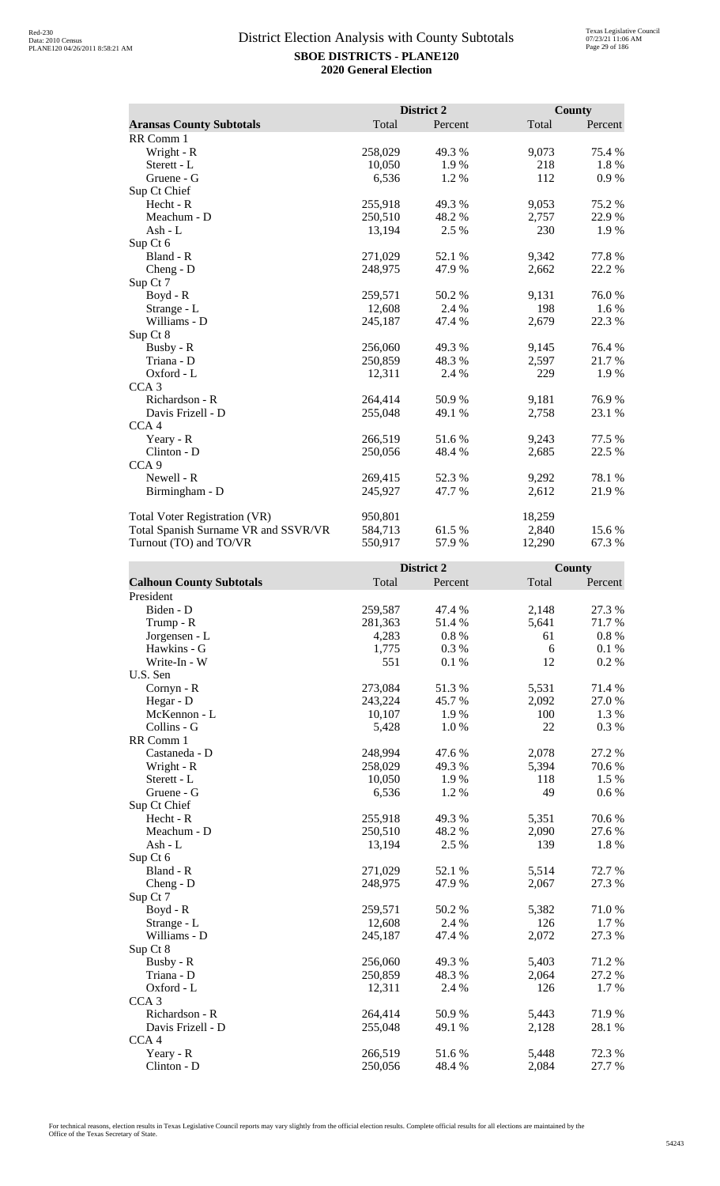|                                      | District 2 |         | <b>County</b> |         |
|--------------------------------------|------------|---------|---------------|---------|
| <b>Aransas County Subtotals</b>      | Total      | Percent | Total         | Percent |
| RR Comm 1                            |            |         |               |         |
| Wright - R                           | 258,029    | 49.3 %  | 9,073         | 75.4 %  |
| Sterett - L                          | 10,050     | 1.9%    | 218           | 1.8%    |
| Gruene - G                           | 6,536      | 1.2%    | 112           | 0.9%    |
| Sup Ct Chief                         |            |         |               |         |
| Hecht - R                            | 255,918    | 49.3%   | 9,053         | 75.2 %  |
| Meachum - D                          | 250,510    | 48.2 %  | 2,757         | 22.9 %  |
| Ash - $L$                            | 13,194     | 2.5 %   | 230           | 1.9 %   |
| Sup Ct 6                             |            |         |               |         |
| Bland - R                            | 271,029    | 52.1 %  | 9,342         | 77.8%   |
| $Cheng - D$                          | 248,975    | 47.9 %  | 2,662         | 22.2 %  |
| Sup Ct 7                             |            |         |               |         |
| Boyd - R                             | 259,571    | 50.2%   | 9,131         | 76.0%   |
| Strange - L                          | 12,608     | 2.4 %   | 198           | $1.6\%$ |
| Williams - D                         | 245,187    | 47.4 %  | 2,679         | 22.3 %  |
| Sup Ct 8                             |            |         |               |         |
| Busby - R                            | 256,060    | 49.3 %  | 9,145         | 76.4 %  |
| Triana - D                           | 250,859    | 48.3 %  | 2,597         | 21.7 %  |
| Oxford - L                           | 12,311     | 2.4 %   | 229           | 1.9%    |
| CCA <sub>3</sub>                     |            |         |               |         |
| Richardson - R                       | 264,414    | 50.9%   | 9,181         | 76.9%   |
| Davis Frizell - D                    | 255,048    | 49.1 %  | 2,758         | 23.1 %  |
| CCA <sub>4</sub>                     |            |         |               |         |
| Yeary - R                            | 266,519    | 51.6 %  | 9,243         | 77.5 %  |
| Clinton - D                          | 250,056    | 48.4 %  | 2,685         | 22.5 %  |
| CCA <sub>9</sub>                     |            |         |               |         |
| Newell - R                           | 269,415    | 52.3 %  | 9,292         | 78.1 %  |
| Birmingham - D                       | 245,927    | 47.7 %  | 2,612         | 21.9%   |
| Total Voter Registration (VR)        | 950,801    |         | 18,259        |         |
| Total Spanish Surname VR and SSVR/VR | 584,713    | 61.5 %  | 2,840         | 15.6 %  |
| Turnout (TO) and TO/VR               | 550,917    | 57.9%   | 12,290        | 67.3%   |

|                                 |         | District 2 |       | <b>County</b> |
|---------------------------------|---------|------------|-------|---------------|
| <b>Calhoun County Subtotals</b> | Total   | Percent    | Total | Percent       |
| President                       |         |            |       |               |
| Biden - D                       | 259,587 | 47.4 %     | 2,148 | 27.3 %        |
| Trump - R                       | 281,363 | 51.4%      | 5,641 | 71.7%         |
| Jorgensen - L                   | 4,283   | $0.8~\%$   | 61    | $0.8~\%$      |
| Hawkins - G                     | 1,775   | 0.3%       | 6     | 0.1%          |
| Write-In - W                    | 551     | 0.1%       | 12    | 0.2 %         |
| U.S. Sen                        |         |            |       |               |
| Cornyn - R                      | 273,084 | 51.3%      | 5,531 | 71.4 %        |
| Hegar - D                       | 243,224 | 45.7%      | 2,092 | 27.0%         |
| McKennon - L                    | 10,107  | 1.9%       | 100   | 1.3 %         |
| Collins - G                     | 5,428   | 1.0%       | 22    | 0.3 %         |
| RR Comm 1                       |         |            |       |               |
| Castaneda - D                   | 248,994 | 47.6%      | 2,078 | 27.2 %        |
| Wright - R                      | 258,029 | 49.3%      | 5,394 | 70.6%         |
| Sterett - L                     | 10,050  | 1.9%       | 118   | 1.5 %         |
| Gruene - G                      | 6,536   | 1.2%       | 49    | 0.6 %         |
| Sup Ct Chief                    |         |            |       |               |
| Hecht - R                       | 255,918 | 49.3 %     | 5,351 | 70.6%         |
| Meachum - D                     | 250,510 | 48.2%      | 2,090 | 27.6%         |
| $Ash - L$                       | 13,194  | 2.5 %      | 139   | 1.8 %         |
| Sup Ct 6                        |         |            |       |               |
| Bland - R                       | 271,029 | 52.1 %     | 5,514 | 72.7 %        |
| Cheng - D                       | 248,975 | 47.9%      | 2,067 | 27.3 %        |
| Sup Ct 7                        |         |            |       |               |
| Boyd - R                        | 259,571 | 50.2 %     | 5,382 | 71.0%         |
| Strange - L                     | 12,608  | 2.4 %      | 126   | 1.7 %         |
| Williams - D                    | 245,187 | 47.4 %     | 2,072 | 27.3 %        |
| Sup Ct 8                        |         |            |       |               |
| Busby - R                       | 256,060 | 49.3%      | 5,403 | 71.2%         |
| Triana - D                      | 250,859 | 48.3%      | 2,064 | 27.2 %        |
| Oxford - L                      | 12,311  | 2.4 %      | 126   | 1.7%          |
| CCA <sub>3</sub>                |         |            |       |               |
| Richardson - R                  | 264,414 | 50.9%      | 5,443 | 71.9%         |
| Davis Frizell - D               | 255,048 | 49.1 %     | 2,128 | 28.1 %        |
| CCA <sub>4</sub>                |         |            |       |               |
| Yeary - R                       | 266,519 | 51.6%      | 5,448 | 72.3 %        |
| Clinton - D                     | 250,056 | 48.4%      | 2,084 | 27.7 %        |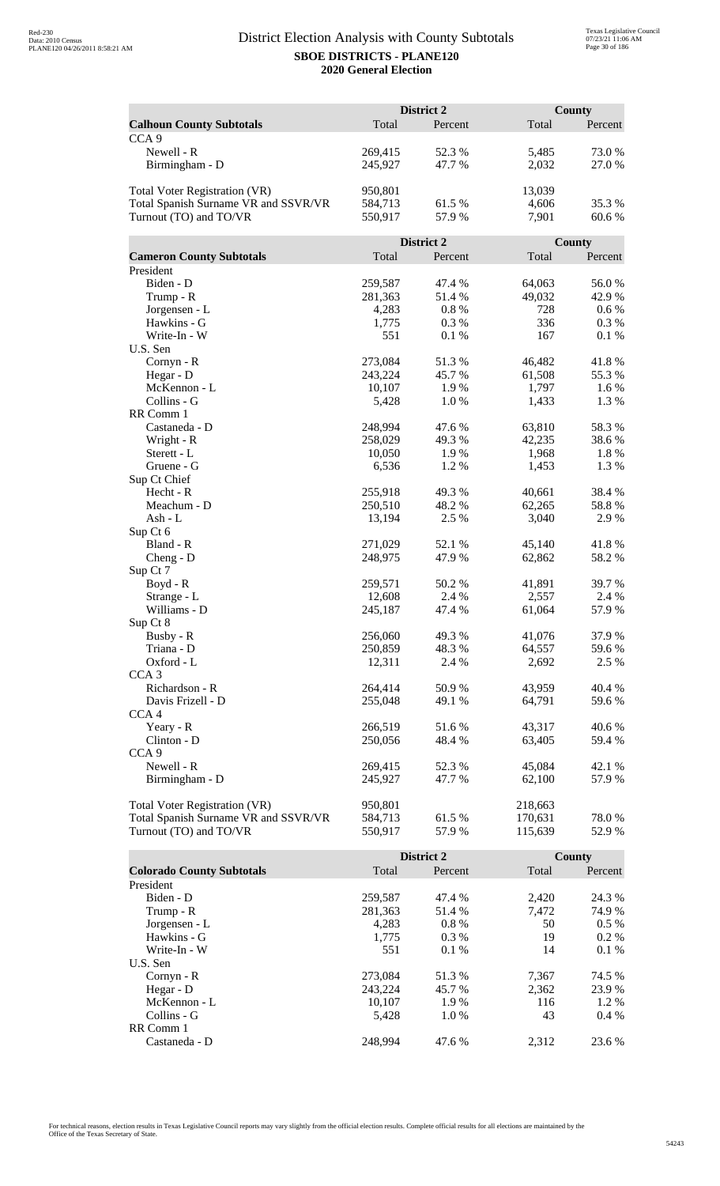|                                      | District 2         |                |                  | <b>County</b> |  |
|--------------------------------------|--------------------|----------------|------------------|---------------|--|
| <b>Calhoun County Subtotals</b>      | Total              | Percent        | Total            | Percent       |  |
| CCA <sub>9</sub>                     |                    |                |                  |               |  |
| Newell - R                           | 269,415            | 52.3 %         | 5,485            | 73.0%         |  |
| Birmingham - D                       | 245,927            | 47.7 %         | 2,032            | 27.0 %        |  |
|                                      |                    |                |                  |               |  |
| Total Voter Registration (VR)        | 950,801            |                | 13,039           |               |  |
| Total Spanish Surname VR and SSVR/VR | 584,713            | 61.5 %         | 4,606            | 35.3 %        |  |
| Turnout (TO) and TO/VR               | 550,917            | 57.9%          | 7,901            | 60.6 %        |  |
|                                      |                    |                |                  |               |  |
|                                      |                    | District 2     |                  | County        |  |
| <b>Cameron County Subtotals</b>      | Total              | Percent        | Total            | Percent       |  |
| President                            |                    |                |                  |               |  |
| Biden - D                            | 259,587            | 47.4 %         | 64,063           | 56.0%         |  |
| Trump - R                            | 281,363            | 51.4 %         | 49,032           | 42.9%         |  |
| Jorgensen - L                        | 4,283              | 0.8%           | 728              | 0.6 %         |  |
| Hawkins - G                          | 1,775              | 0.3%           | 336              | 0.3 %         |  |
| Write-In - W                         | 551                | 0.1%           | 167              | 0.1%          |  |
| U.S. Sen                             |                    |                |                  |               |  |
| Cornyn - R                           | 273,084            | 51.3%          | 46,482           | 41.8%         |  |
| Hegar - D                            | 243,224            | 45.7 %         | 61,508           | 55.3%         |  |
| McKennon - L                         | 10,107             | 1.9%           | 1,797            | 1.6 %         |  |
| Collins - G                          | 5,428              | 1.0%           | 1,433            | 1.3 %         |  |
| RR Comm 1                            |                    |                |                  |               |  |
| Castaneda - D                        | 248,994            | 47.6 %         | 63,810           | 58.3%         |  |
| Wright - R                           | 258,029            | 49.3%          | 42,235           | 38.6%         |  |
| Sterett - L                          | 10,050             | 1.9%           | 1,968            | 1.8%          |  |
| Gruene - G                           | 6,536              | 1.2%           | 1,453            | 1.3%          |  |
| Sup Ct Chief                         |                    |                |                  |               |  |
| Hecht - R<br>Meachum - D             | 255,918<br>250,510 | 49.3%<br>48.2% | 40,661<br>62,265 | 38.4 %        |  |
| Ash - L                              | 13,194             | 2.5 %          | 3,040            | 58.8%<br>2.9% |  |
| Sup Ct 6                             |                    |                |                  |               |  |
| Bland - R                            | 271,029            | 52.1 %         | 45,140           | 41.8%         |  |
| $Cheng - D$                          | 248,975            | 47.9%          | 62,862           | 58.2%         |  |
| Sup Ct 7                             |                    |                |                  |               |  |
| Boyd - R                             | 259,571            | 50.2%          | 41,891           | 39.7%         |  |
| Strange - L                          | 12,608             | 2.4 %          | 2,557            | 2.4 %         |  |
| Williams - D                         | 245,187            | 47.4 %         | 61,064           | 57.9%         |  |
| Sup Ct 8                             |                    |                |                  |               |  |
| Busby - R                            | 256,060            | 49.3 %         | 41,076           | 37.9 %        |  |
| Triana - D                           | 250,859            | 48.3%          | 64,557           | 59.6%         |  |
| Oxford - L                           | 12,311             | 2.4 %          | 2,692            | 2.5 %         |  |
| CCA <sub>3</sub>                     |                    |                |                  |               |  |
| Richardson - R                       | 264,414            | 50.9%          | 43,959           | 40.4 %        |  |
| Davis Frizell - D                    | 255,048            | 49.1 %         | 64,791           | 59.6%         |  |
| CCA <sub>4</sub>                     |                    |                |                  |               |  |
| Yeary - R                            | 266,519            | 51.6%          | 43,317           | 40.6 %        |  |
| Clinton - D                          | 250,056            | 48.4%          | 63,405           | 59.4 %        |  |
| CCA <sub>9</sub>                     |                    |                |                  |               |  |
| Newell - R                           | 269,415            | 52.3 %         | 45,084           | 42.1 %        |  |
| Birmingham - D                       | 245,927            | 47.7 %         | 62,100           | 57.9%         |  |
|                                      |                    |                |                  |               |  |
| <b>Total Voter Registration (VR)</b> | 950,801            |                | 218,663          |               |  |
| Total Spanish Surname VR and SSVR/VR | 584,713            | 61.5 %         | 170,631          | 78.0%         |  |
| Turnout (TO) and TO/VR               | 550,917            | 57.9%          | 115,639          | 52.9 %        |  |

|                                  |         | <b>District 2</b> |       | <b>County</b> |
|----------------------------------|---------|-------------------|-------|---------------|
| <b>Colorado County Subtotals</b> | Total   | Percent           | Total | Percent       |
| President                        |         |                   |       |               |
| Biden - D                        | 259,587 | 47.4 %            | 2.420 | 24.3 %        |
| Trump - R                        | 281,363 | 51.4 %            | 7,472 | 74.9 %        |
| Jorgensen - L                    | 4.283   | $0.8\%$           | 50    | $0.5\%$       |
| Hawkins - G                      | 1,775   | $0.3\%$           | 19    | $0.2\%$       |
| Write-In - W                     | 551     | $0.1\%$           | 14    | $0.1\%$       |
| U.S. Sen                         |         |                   |       |               |
| $Cornyn - R$                     | 273,084 | 51.3 %            | 7,367 | 74.5 %        |
| Hegar - $D$                      | 243.224 | 45.7 %            | 2,362 | 23.9 %        |
| McKennon - L                     | 10,107  | 1.9 %             | 116   | 1.2 %         |
| Collins - G                      | 5.428   | 1.0%              | 43    | $0.4\%$       |
| RR Comm 1                        |         |                   |       |               |
| Castaneda - D                    | 248.994 | 47.6 %            | 2.312 | 23.6 %        |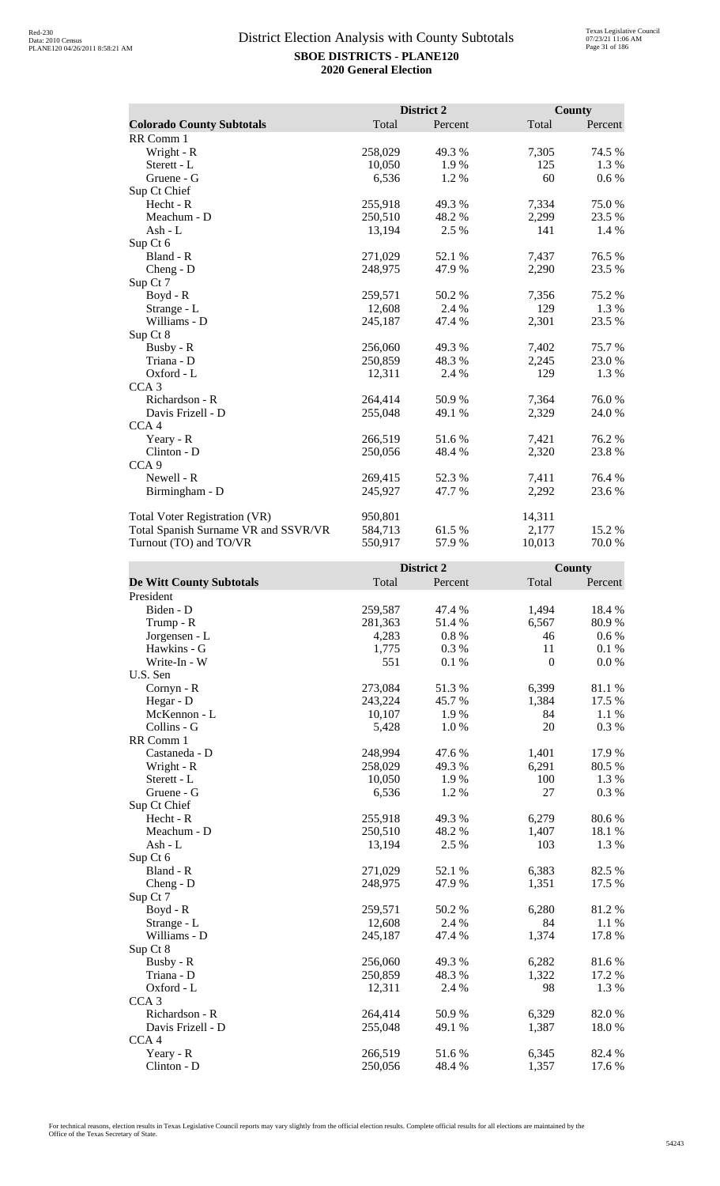|                                      |         | District 2 |        | County  |
|--------------------------------------|---------|------------|--------|---------|
| <b>Colorado County Subtotals</b>     | Total   | Percent    | Total  | Percent |
| RR Comm 1                            |         |            |        |         |
| Wright - R                           | 258,029 | 49.3 %     | 7,305  | 74.5 %  |
| Sterett - L                          | 10,050  | 1.9 %      | 125    | 1.3%    |
| Gruene - G                           | 6,536   | 1.2 %      | 60     | $0.6\%$ |
| Sup Ct Chief                         |         |            |        |         |
| Hecht - R                            | 255,918 | 49.3 %     | 7,334  | 75.0%   |
| Meachum - D                          | 250,510 | 48.2 %     | 2,299  | 23.5 %  |
| Ash - L                              | 13,194  | 2.5 %      | 141    | 1.4 %   |
| Sup Ct 6                             |         |            |        |         |
| Bland - R                            | 271,029 | 52.1 %     | 7,437  | 76.5 %  |
| $Cheng - D$                          | 248,975 | 47.9 %     | 2,290  | 23.5 %  |
| Sup Ct 7                             |         |            |        |         |
| Boyd - R                             | 259,571 | 50.2 %     | 7,356  | 75.2 %  |
| Strange - L                          | 12,608  | 2.4 %      | 129    | 1.3%    |
| Williams - D                         | 245,187 | 47.4 %     | 2,301  | 23.5 %  |
| Sup Ct 8                             |         |            |        |         |
| Busby - R                            | 256,060 | 49.3 %     | 7,402  | 75.7 %  |
| Triana - D                           | 250,859 | 48.3 %     | 2,245  | 23.0 %  |
| Oxford - L                           | 12,311  | 2.4 %      | 129    | 1.3 %   |
| CCA <sub>3</sub>                     |         |            |        |         |
| Richardson - R                       | 264,414 | 50.9%      | 7,364  | 76.0%   |
| Davis Frizell - D                    | 255,048 | 49.1 %     | 2,329  | 24.0 %  |
| CCA <sub>4</sub>                     |         |            |        |         |
| Yeary - R                            | 266,519 | 51.6%      | 7,421  | 76.2%   |
| Clinton - D                          | 250,056 | 48.4 %     | 2,320  | 23.8%   |
| CCA <sub>9</sub>                     |         |            |        |         |
| Newell - R                           | 269,415 | 52.3 %     | 7,411  | 76.4 %  |
| Birmingham - D                       | 245,927 | 47.7 %     | 2,292  | 23.6 %  |
| <b>Total Voter Registration (VR)</b> | 950,801 |            | 14,311 |         |
| Total Spanish Surname VR and SSVR/VR | 584,713 | 61.5 %     | 2,177  | 15.2 %  |
| Turnout (TO) and TO/VR               | 550,917 | 57.9%      | 10,013 | 70.0%   |

|                                 |         | District 2 |                  | <b>County</b> |
|---------------------------------|---------|------------|------------------|---------------|
| <b>De Witt County Subtotals</b> | Total   | Percent    | Total            | Percent       |
| President                       |         |            |                  |               |
| Biden - D                       | 259,587 | 47.4 %     | 1,494            | 18.4 %        |
| Trump - R                       | 281,363 | 51.4%      | 6,567            | 80.9%         |
| Jorgensen - L                   | 4,283   | $0.8~\%$   | 46               | $0.6\,\%$     |
| Hawkins - G                     | 1,775   | 0.3%       | 11               | 0.1%          |
| Write-In - W                    | 551     | 0.1%       | $\boldsymbol{0}$ | 0.0 %         |
| U.S. Sen                        |         |            |                  |               |
| Cornyn - R                      | 273,084 | 51.3%      | 6,399            | 81.1 %        |
| Hegar - D                       | 243,224 | 45.7%      | 1,384            | 17.5 %        |
| McKennon - L                    | 10,107  | 1.9%       | 84               | 1.1%          |
| Collins - G                     | 5,428   | 1.0%       | 20               | 0.3 %         |
| RR Comm 1                       |         |            |                  |               |
| Castaneda - D                   | 248,994 | 47.6%      | 1,401            | 17.9%         |
| Wright - R                      | 258,029 | 49.3%      | 6,291            | 80.5 %        |
| Sterett - L                     | 10,050  | 1.9%       | 100              | 1.3 %         |
| Gruene - G                      | 6,536   | 1.2%       | 27               | 0.3 %         |
| Sup Ct Chief                    |         |            |                  |               |
| Hecht - R                       | 255,918 | 49.3%      | 6,279            | 80.6%         |
| Meachum - D                     | 250,510 | 48.2%      | 1,407            | 18.1 %        |
| $Ash - L$                       | 13,194  | 2.5 %      | 103              | 1.3%          |
| Sup Ct 6                        |         |            |                  |               |
| Bland - R                       | 271,029 | 52.1 %     | 6,383            | 82.5 %        |
| Cheng - $D$                     | 248,975 | 47.9%      | 1,351            | 17.5 %        |
| Sup Ct 7                        |         |            |                  |               |
| $Boyd - R$                      | 259,571 | 50.2 %     | 6,280            | 81.2%         |
| Strange - L                     | 12,608  | 2.4 %      | 84               | 1.1 %         |
| Williams - D                    | 245,187 | 47.4 %     | 1,374            | 17.8 %        |
| Sup Ct 8                        |         |            |                  |               |
| Busby - R                       | 256,060 | 49.3%      | 6,282            | 81.6%         |
| Triana - D                      | 250,859 | 48.3%      | 1,322            | 17.2 %        |
| Oxford - L                      | 12,311  | 2.4 %      | 98               | 1.3%          |
| CCA <sub>3</sub>                |         |            |                  |               |
| Richardson - R                  | 264,414 | 50.9%      | 6,329            | 82.0%         |
| Davis Frizell - D               | 255,048 | 49.1 %     | 1,387            | 18.0%         |
| CCA <sub>4</sub>                |         |            |                  |               |
| Yeary - R                       | 266,519 | 51.6%      | 6,345            | 82.4 %        |
| Clinton - D                     | 250,056 | 48.4 %     | 1,357            | 17.6 %        |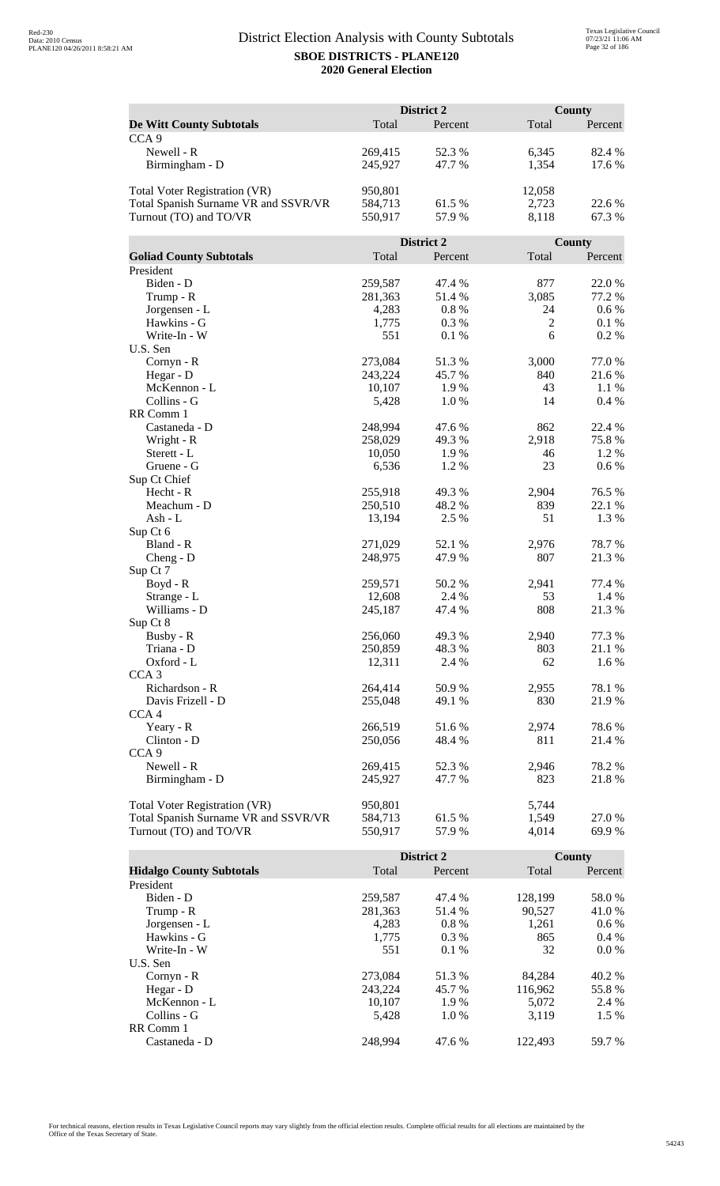|                                      | District 2         |                |                | <b>County</b>    |  |
|--------------------------------------|--------------------|----------------|----------------|------------------|--|
| <b>De Witt County Subtotals</b>      | Total              | Percent        | Total          | Percent          |  |
| CCA <sub>9</sub>                     |                    |                |                |                  |  |
| Newell - R                           | 269,415            | 52.3 %         | 6,345          | 82.4 %           |  |
| Birmingham - D                       | 245,927            | 47.7 %         | 1,354          | 17.6 %           |  |
|                                      |                    |                |                |                  |  |
| Total Voter Registration (VR)        | 950,801            |                | 12,058         |                  |  |
| Total Spanish Surname VR and SSVR/VR | 584,713            | 61.5 %         | 2,723          | 22.6 %           |  |
| Turnout (TO) and TO/VR               | 550,917            | 57.9%          | 8,118          | 67.3%            |  |
|                                      |                    |                |                |                  |  |
|                                      |                    | District 2     |                | County           |  |
| <b>Goliad County Subtotals</b>       | Total              | Percent        | Total          | Percent          |  |
| President                            |                    |                |                |                  |  |
| Biden - D                            | 259,587            | 47.4 %         | 877            | 22.0%            |  |
| Trump - R                            | 281,363            | 51.4 %         | 3,085          | 77.2 %           |  |
| Jorgensen - L                        | 4,283              | 0.8%           | 24             | 0.6 %            |  |
| Hawkins - G                          | 1,775              | 0.3%           | $\overline{2}$ | 0.1%             |  |
| Write-In - W                         | 551                | 0.1%           | 6              | 0.2 %            |  |
| U.S. Sen                             |                    |                |                |                  |  |
| Cornyn - R                           | 273,084            | 51.3%          | 3,000          | 77.0 %           |  |
| Hegar - D                            | 243,224            | 45.7%          | 840            | 21.6%            |  |
| McKennon - L                         | 10,107             | 1.9%           | 43             | 1.1 %            |  |
| Collins - G                          | 5,428              | 1.0%           | 14             | 0.4 %            |  |
| RR Comm 1                            |                    |                |                |                  |  |
| Castaneda - D                        | 248,994            | 47.6 %         | 862            | 22.4 %           |  |
| Wright - R                           | 258,029            | 49.3%          | 2,918          | 75.8%            |  |
| Sterett - L                          | 10,050             | 1.9%           | 46             | 1.2%             |  |
| Gruene - G                           | 6,536              | 1.2%           | 23             | 0.6 %            |  |
| Sup Ct Chief                         |                    |                |                |                  |  |
| Hecht - R<br>Meachum - D             | 255,918<br>250,510 | 49.3%<br>48.2% | 2,904<br>839   | 76.5 %<br>22.1 % |  |
| Ash - L                              | 13,194             | 2.5 %          | 51             | 1.3 %            |  |
| Sup Ct 6                             |                    |                |                |                  |  |
| Bland - R                            | 271,029            | 52.1 %         | 2,976          | 78.7%            |  |
| $Cheng - D$                          | 248,975            | 47.9%          | 807            | 21.3%            |  |
| Sup Ct 7                             |                    |                |                |                  |  |
| Boyd - R                             | 259,571            | 50.2%          | 2,941          | 77.4 %           |  |
| Strange - L                          | 12,608             | 2.4 %          | 53             | 1.4 %            |  |
| Williams - D                         | 245,187            | 47.4 %         | 808            | 21.3%            |  |
| Sup Ct 8                             |                    |                |                |                  |  |
| Busby - R                            | 256,060            | 49.3%          | 2,940          | 77.3 %           |  |
| Triana - D                           | 250,859            | 48.3%          | 803            | 21.1 %           |  |
| Oxford - L                           | 12,311             | 2.4 %          | 62             | 1.6 %            |  |
| CCA <sub>3</sub>                     |                    |                |                |                  |  |
| Richardson - R                       | 264,414            | 50.9%          | 2,955          | 78.1 %           |  |
| Davis Frizell - D                    | 255,048            | 49.1 %         | 830            | 21.9%            |  |
| CCA <sub>4</sub>                     |                    |                |                |                  |  |
| Yeary - R                            | 266,519            | 51.6%          | 2,974          | 78.6%            |  |
| Clinton - D                          | 250,056            | 48.4 %         | 811            | 21.4 %           |  |
| CCA <sub>9</sub>                     |                    |                |                |                  |  |
| Newell - R                           | 269,415            | 52.3 %         | 2,946          | 78.2%            |  |
| Birmingham - D                       | 245,927            | 47.7 %         | 823            | 21.8%            |  |
|                                      |                    |                |                |                  |  |
| Total Voter Registration (VR)        | 950,801            |                | 5,744          |                  |  |
| Total Spanish Surname VR and SSVR/VR | 584,713            | 61.5 %         | 1,549          | 27.0 %           |  |
| Turnout (TO) and TO/VR               | 550,917            | 57.9%          | 4,014          | 69.9%            |  |

|                                 |         | <b>District 2</b> |         | County  |
|---------------------------------|---------|-------------------|---------|---------|
| <b>Hidalgo County Subtotals</b> | Total   | Percent           | Total   | Percent |
| President                       |         |                   |         |         |
| Biden - D                       | 259,587 | 47.4 %            | 128,199 | 58.0 %  |
| Trump - R                       | 281,363 | 51.4 %            | 90,527  | 41.0 %  |
| Jorgensen - L                   | 4.283   | $0.8\%$           | 1,261   | $0.6\%$ |
| Hawkins - G                     | 1,775   | $0.3\%$           | 865     | $0.4\%$ |
| Write-In - W                    | 551     | $0.1\%$           | 32      | $0.0\%$ |
| U.S. Sen                        |         |                   |         |         |
| $Cornyn - R$                    | 273,084 | 51.3 %            | 84.284  | 40.2 %  |
| Hegar - D                       | 243.224 | 45.7 %            | 116.962 | 55.8 %  |
| McKennon - L                    | 10,107  | 1.9 %             | 5,072   | 2.4 %   |
| Collins - G                     | 5.428   | 1.0%              | 3.119   | $1.5\%$ |
| RR Comm 1                       |         |                   |         |         |
| Castaneda - D                   | 248.994 | 47.6 %            | 122,493 | 59.7 %  |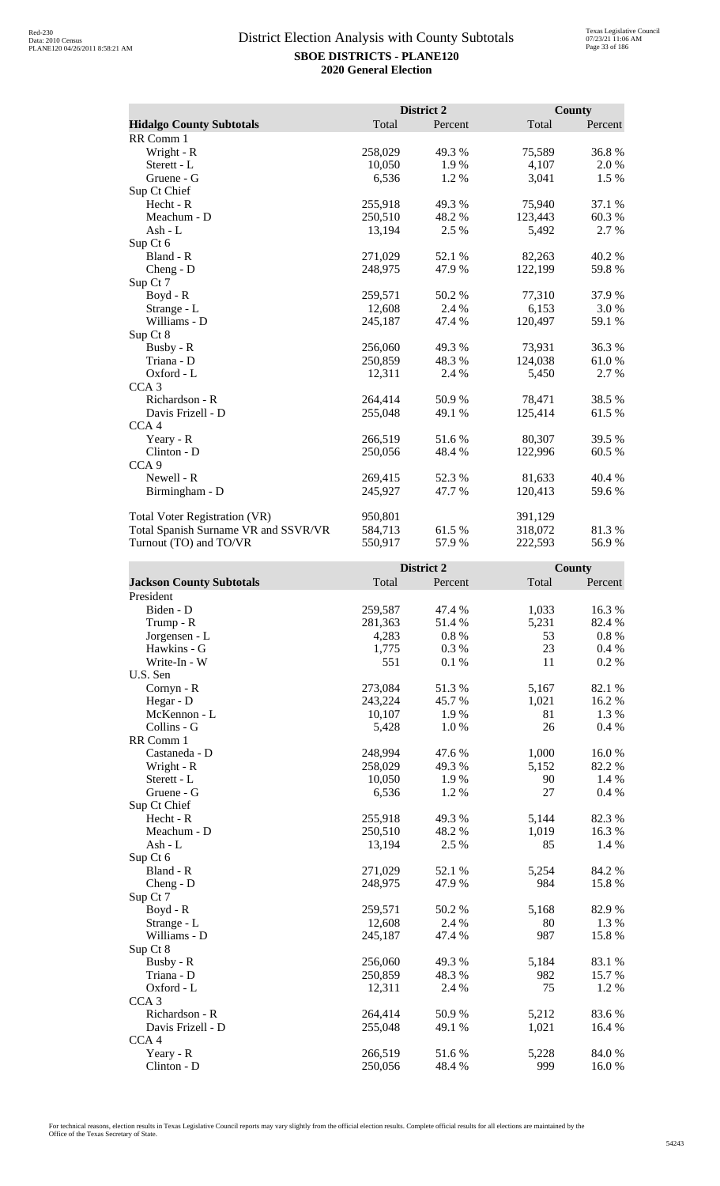|                                      |         | District 2 |         | <b>County</b> |
|--------------------------------------|---------|------------|---------|---------------|
| <b>Hidalgo County Subtotals</b>      | Total   | Percent    | Total   | Percent       |
| RR Comm 1                            |         |            |         |               |
| Wright - R                           | 258,029 | 49.3 %     | 75,589  | 36.8%         |
| Sterett - L                          | 10,050  | 1.9%       | 4,107   | 2.0%          |
| Gruene - G                           | 6,536   | 1.2%       | 3,041   | 1.5 %         |
| Sup Ct Chief                         |         |            |         |               |
| Hecht - R                            | 255,918 | 49.3 %     | 75,940  | 37.1 %        |
| Meachum - D                          | 250,510 | 48.2 %     | 123,443 | 60.3%         |
| Ash - L                              | 13,194  | 2.5 %      | 5,492   | 2.7 %         |
| Sup Ct 6                             |         |            |         |               |
| Bland - R                            | 271,029 | 52.1 %     | 82,263  | 40.2%         |
| $Cheng - D$                          | 248,975 | 47.9%      | 122,199 | 59.8%         |
| Sup Ct 7                             |         |            |         |               |
| Boyd - R                             | 259,571 | 50.2%      | 77,310  | 37.9%         |
| Strange - L                          | 12,608  | 2.4 %      | 6,153   | 3.0 %         |
| Williams - D                         | 245,187 | 47.4 %     | 120,497 | 59.1 %        |
| Sup Ct 8                             |         |            |         |               |
| Busby - R                            | 256,060 | 49.3 %     | 73,931  | 36.3%         |
| Triana - D                           | 250,859 | 48.3 %     | 124,038 | 61.0%         |
| Oxford - L                           | 12,311  | 2.4 %      | 5,450   | 2.7 %         |
| CCA <sub>3</sub>                     |         |            |         |               |
| Richardson - R                       | 264,414 | 50.9%      | 78,471  | 38.5%         |
| Davis Frizell - D                    | 255,048 | 49.1 %     | 125,414 | 61.5%         |
| CCA <sub>4</sub>                     |         |            |         |               |
| Yeary - R                            | 266,519 | 51.6 %     | 80,307  | 39.5 %        |
| Clinton - D                          | 250,056 | 48.4 %     | 122,996 | 60.5 %        |
| CCA <sub>9</sub>                     |         |            |         |               |
| Newell - R                           | 269,415 | 52.3 %     | 81,633  | 40.4 %        |
| Birmingham - D                       | 245,927 | 47.7 %     | 120,413 | 59.6 %        |
| Total Voter Registration (VR)        | 950,801 |            | 391,129 |               |
| Total Spanish Surname VR and SSVR/VR | 584,713 | 61.5 %     | 318,072 | 81.3 %        |
| Turnout (TO) and TO/VR               | 550,917 | 57.9 %     | 222,593 | 56.9%         |

|                                 |         | District 2 |       | <b>County</b> |
|---------------------------------|---------|------------|-------|---------------|
| <b>Jackson County Subtotals</b> | Total   | Percent    | Total | Percent       |
| President                       |         |            |       |               |
| Biden - D                       | 259,587 | 47.4 %     | 1,033 | 16.3%         |
| Trump - R                       | 281,363 | 51.4 %     | 5,231 | 82.4 %        |
| Jorgensen - L                   | 4,283   | 0.8%       | 53    | $0.8 \%$      |
| Hawkins - G                     | 1,775   | 0.3%       | 23    | 0.4 %         |
| Write-In - W                    | 551     | 0.1%       | 11    | 0.2%          |
| U.S. Sen                        |         |            |       |               |
| Cornyn - R                      | 273,084 | 51.3%      | 5,167 | 82.1 %        |
| Hegar - D                       | 243,224 | 45.7%      | 1,021 | 16.2 %        |
| McKennon - L                    | 10,107  | 1.9%       | 81    | 1.3%          |
| Collins - G                     | 5,428   | 1.0 %      | 26    | 0.4 %         |
| RR Comm 1                       |         |            |       |               |
| Castaneda - D                   | 248,994 | 47.6 %     | 1,000 | 16.0%         |
| Wright - R                      | 258,029 | 49.3%      | 5,152 | 82.2%         |
| Sterett - L                     | 10,050  | 1.9%       | 90    | 1.4 %         |
| Gruene - G                      | 6,536   | 1.2 %      | 27    | 0.4%          |
| Sup Ct Chief                    |         |            |       |               |
| Hecht - R                       | 255,918 | 49.3%      | 5,144 | 82.3%         |
| Meachum - D                     | 250,510 | 48.2%      | 1,019 | 16.3%         |
| Ash - L                         | 13,194  | 2.5 %      | 85    | 1.4 %         |
| Sup Ct 6                        |         |            |       |               |
| Bland - R                       | 271,029 | 52.1 %     | 5,254 | 84.2 %        |
| $Cheng - D$                     | 248,975 | 47.9 %     | 984   | 15.8%         |
| Sup Ct 7                        |         |            |       |               |
| $Boyd - R$                      | 259,571 | 50.2%      | 5,168 | 82.9%         |
| Strange - L                     | 12,608  | 2.4 %      | 80    | 1.3 %         |
| Williams - D                    | 245,187 | 47.4 %     | 987   | 15.8%         |
| Sup Ct 8                        |         |            |       |               |
| Busby - R                       | 256,060 | 49.3%      | 5,184 | 83.1 %        |
| Triana - D                      | 250,859 | 48.3 %     | 982   | 15.7%         |
| Oxford - L                      | 12,311  | 2.4 %      | 75    | 1.2%          |
| CCA <sub>3</sub>                |         |            |       |               |
| Richardson - R                  | 264,414 | 50.9%      | 5,212 | 83.6 %        |
| Davis Frizell - D               | 255,048 | 49.1 %     | 1,021 | 16.4 %        |
| CCA <sub>4</sub>                |         |            |       |               |
| Yeary - R                       | 266,519 | 51.6%      | 5,228 | 84.0%         |
| Clinton - D                     | 250,056 | 48.4%      | 999   | 16.0%         |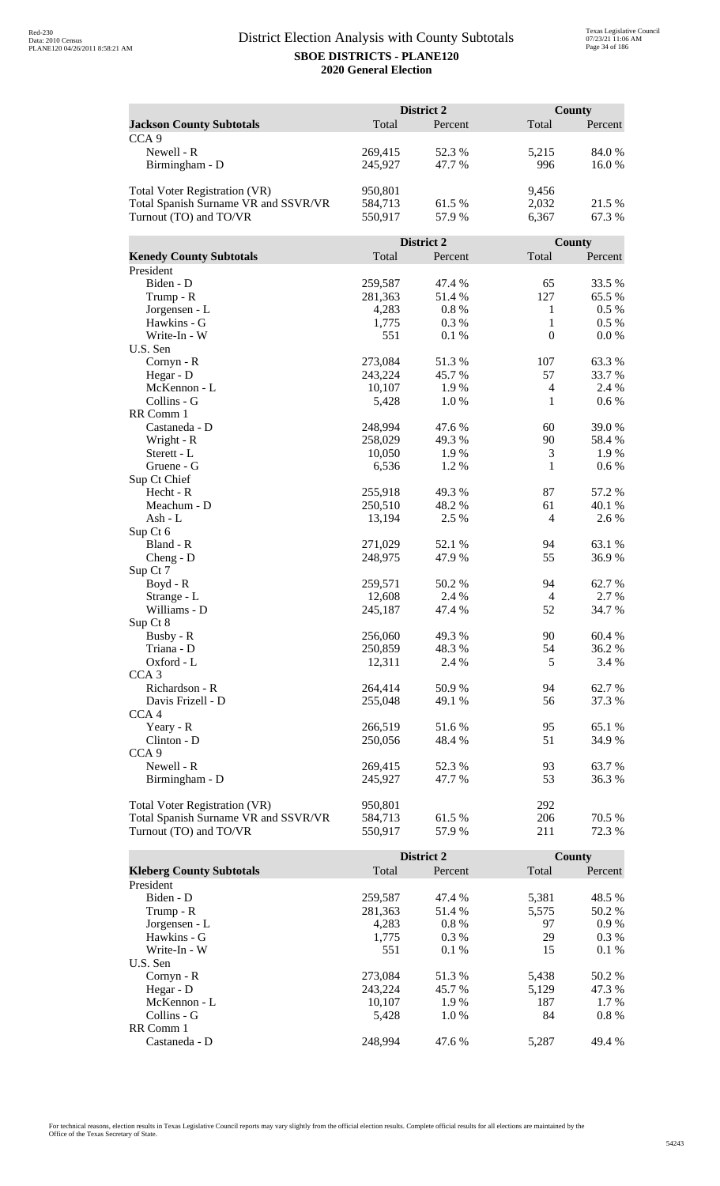|                                      | District 2 |            |                  | County   |  |
|--------------------------------------|------------|------------|------------------|----------|--|
| <b>Jackson County Subtotals</b>      | Total      | Percent    | Total            | Percent  |  |
| CCA <sub>9</sub>                     |            |            |                  |          |  |
| Newell - R                           | 269,415    | 52.3 %     | 5,215            | 84.0%    |  |
| Birmingham - D                       | 245,927    | 47.7 %     | 996              | 16.0%    |  |
|                                      |            |            |                  |          |  |
| <b>Total Voter Registration (VR)</b> | 950,801    |            | 9,456            |          |  |
| Total Spanish Surname VR and SSVR/VR | 584,713    | 61.5 %     | 2,032            | 21.5 %   |  |
| Turnout (TO) and TO/VR               | 550,917    | 57.9%      | 6,367            | 67.3%    |  |
|                                      |            |            |                  |          |  |
|                                      |            | District 2 |                  | County   |  |
| <b>Kenedy County Subtotals</b>       | Total      | Percent    | Total            | Percent  |  |
| President                            |            |            |                  |          |  |
| Biden - D                            | 259,587    | 47.4 %     | 65               | 33.5 %   |  |
| Trump - R                            | 281,363    | 51.4 %     | 127              | 65.5 %   |  |
| Jorgensen - L                        | 4,283      | 0.8%       | 1                | $0.5~\%$ |  |
| Hawkins - G                          | 1,775      | 0.3%       | $\mathbf{1}$     | $0.5\%$  |  |
| Write-In - W                         | 551        | 0.1%       | $\boldsymbol{0}$ | 0.0 %    |  |
| U.S. Sen                             |            |            |                  |          |  |
| Cornyn - R                           | 273,084    | 51.3%      | 107              | 63.3%    |  |
| Hegar - D                            | 243,224    | 45.7 %     | 57               | 33.7%    |  |
| McKennon - L                         | 10,107     | 1.9%       | 4                | 2.4 %    |  |
| Collins - G                          | 5,428      | 1.0%       | 1                | 0.6 %    |  |
| RR Comm 1                            |            |            |                  |          |  |
| Castaneda - D                        | 248,994    | 47.6 %     | 60               | 39.0%    |  |
| Wright - R                           | 258,029    | 49.3 %     | 90               | 58.4%    |  |
| Sterett - L                          | 10,050     | 1.9%       | 3                | 1.9%     |  |
| Gruene - G                           | 6,536      | 1.2%       | 1                | 0.6 %    |  |
| Sup Ct Chief                         |            |            |                  |          |  |
| Hecht - R                            | 255,918    | 49.3%      | 87               | 57.2 %   |  |
| Meachum - D                          | 250,510    | 48.2%      | 61               | 40.1 %   |  |
| Ash - L                              | 13,194     | 2.5 %      | $\overline{4}$   | 2.6 %    |  |
| Sup Ct 6                             |            |            |                  |          |  |
| Bland - R                            | 271,029    | 52.1 %     | 94               | 63.1 %   |  |
| $Cheng - D$                          | 248,975    | 47.9%      | 55               | 36.9%    |  |
| Sup Ct 7                             |            |            |                  |          |  |
| Boyd - R                             | 259,571    | 50.2%      | 94               | 62.7 %   |  |
| Strange - L                          | 12,608     | 2.4 %      | $\overline{4}$   | 2.7 %    |  |
| Williams - D                         | 245,187    | 47.4 %     | 52               | 34.7 %   |  |
| Sup Ct 8                             |            |            |                  |          |  |
| Busby - R                            | 256,060    | 49.3 %     | 90               | 60.4%    |  |
| Triana - D                           | 250,859    | 48.3%      | 54               | 36.2 %   |  |
| Oxford - L                           | 12,311     | 2.4 %      | 5                | 3.4 %    |  |
| CCA <sub>3</sub>                     |            |            |                  |          |  |
| Richardson - R                       | 264,414    | 50.9%      | 94               | 62.7 %   |  |
| Davis Frizell - D                    | 255,048    | 49.1 %     | 56               | 37.3 %   |  |
| CCA <sub>4</sub>                     |            |            |                  |          |  |
| Yeary - R                            | 266,519    | 51.6%      | 95               | 65.1 %   |  |
| Clinton - D                          | 250,056    | 48.4 %     | 51               | 34.9 %   |  |
| CCA <sub>9</sub>                     |            |            |                  |          |  |
| Newell - R                           | 269,415    | 52.3 %     | 93               | 63.7 %   |  |
| Birmingham - D                       | 245,927    | 47.7 %     | 53               | 36.3%    |  |
|                                      |            |            |                  |          |  |
| Total Voter Registration (VR)        | 950,801    |            | 292              |          |  |
| Total Spanish Surname VR and SSVR/VR | 584,713    | 61.5%      | 206              | 70.5 %   |  |
| Turnout (TO) and TO/VR               | 550,917    | 57.9%      | 211              | 72.3 %   |  |

|                                 |         | <b>District 2</b> |       | County  |
|---------------------------------|---------|-------------------|-------|---------|
| <b>Kleberg County Subtotals</b> | Total   | Percent           | Total | Percent |
| President                       |         |                   |       |         |
| Biden - D                       | 259,587 | 47.4 %            | 5,381 | 48.5 %  |
| Trump - R                       | 281,363 | 51.4 %            | 5,575 | 50.2 %  |
| Jorgensen - L                   | 4,283   | $0.8\%$           | 97    | $0.9\%$ |
| Hawkins - G                     | 1,775   | $0.3\%$           | 29    | $0.3\%$ |
| Write-In - W                    | 551     | $0.1\%$           | 15    | $0.1\%$ |
| U.S. Sen                        |         |                   |       |         |
| $Cornyn - R$                    | 273,084 | 51.3 %            | 5,438 | 50.2 %  |
| Hegar - $D$                     | 243.224 | 45.7 %            | 5.129 | 47.3 %  |
| McKennon - L                    | 10,107  | 1.9%              | 187   | 1.7 %   |
| Collins - G                     | 5.428   | 1.0%              | 84    | $0.8\%$ |
| RR Comm 1                       |         |                   |       |         |
| Castaneda - D                   | 248.994 | 47.6 %            | 5.287 | 49.4 %  |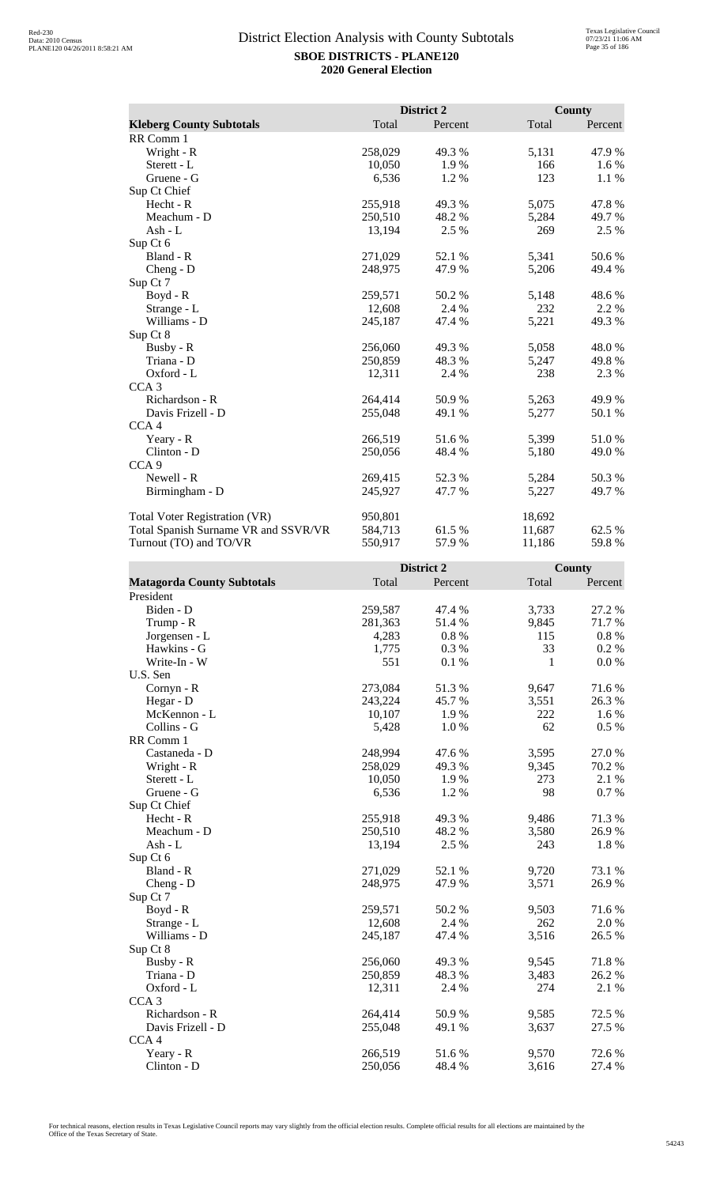|                                      |         | District 2 |        | County  |
|--------------------------------------|---------|------------|--------|---------|
| <b>Kleberg County Subtotals</b>      | Total   | Percent    | Total  | Percent |
| RR Comm 1                            |         |            |        |         |
| Wright - R                           | 258,029 | 49.3 %     | 5,131  | 47.9%   |
| Sterett - L                          | 10,050  | 1.9 %      | 166    | 1.6 %   |
| Gruene - G                           | 6,536   | 1.2%       | 123    | 1.1 %   |
| Sup Ct Chief                         |         |            |        |         |
| Hecht - R                            | 255,918 | 49.3 %     | 5,075  | 47.8%   |
| Meachum - D                          | 250,510 | 48.2 %     | 5,284  | 49.7 %  |
| Ash - $L$                            | 13,194  | 2.5 %      | 269    | 2.5 %   |
| Sup Ct 6                             |         |            |        |         |
| Bland - R                            | 271,029 | 52.1 %     | 5,341  | 50.6 %  |
| Cheng - D                            | 248,975 | 47.9 %     | 5,206  | 49.4 %  |
| Sup Ct 7                             |         |            |        |         |
| Boyd - R                             | 259,571 | 50.2%      | 5,148  | 48.6%   |
| Strange - L                          | 12,608  | 2.4 %      | 232    | 2.2 %   |
| Williams - D                         | 245,187 | 47.4 %     | 5,221  | 49.3 %  |
| Sup Ct 8                             |         |            |        |         |
| Busby - R                            | 256,060 | 49.3%      | 5,058  | 48.0%   |
| Triana - D                           | 250,859 | 48.3%      | 5,247  | 49.8%   |
| Oxford - L                           | 12,311  | 2.4 %      | 238    | 2.3 %   |
| CCA <sub>3</sub>                     |         |            |        |         |
| Richardson - R                       | 264,414 | 50.9%      | 5,263  | 49.9%   |
| Davis Frizell - D                    | 255,048 | 49.1 %     | 5,277  | 50.1 %  |
| CCA <sub>4</sub>                     |         |            |        |         |
| Yeary - R                            | 266,519 | 51.6 %     | 5,399  | 51.0%   |
| Clinton - D                          | 250,056 | 48.4 %     | 5,180  | 49.0%   |
| CCA <sub>9</sub>                     |         |            |        |         |
| Newell - R                           | 269,415 | 52.3 %     | 5,284  | 50.3 %  |
| Birmingham - D                       | 245,927 | 47.7 %     | 5,227  | 49.7 %  |
| <b>Total Voter Registration (VR)</b> | 950,801 |            | 18,692 |         |
| Total Spanish Surname VR and SSVR/VR | 584,713 | 61.5 %     | 11,687 | 62.5 %  |
| Turnout (TO) and TO/VR               | 550,917 | 57.9%      | 11,186 | 59.8%   |

|                                   |         | District 2 |       | <b>County</b> |
|-----------------------------------|---------|------------|-------|---------------|
| <b>Matagorda County Subtotals</b> | Total   | Percent    | Total | Percent       |
| President                         |         |            |       |               |
| Biden - D                         | 259,587 | 47.4 %     | 3,733 | 27.2 %        |
| Trump - R                         | 281,363 | 51.4%      | 9,845 | 71.7%         |
| Jorgensen - L                     | 4,283   | 0.8%       | 115   | $0.8~\%$      |
| Hawkins - G                       | 1,775   | 0.3%       | 33    | 0.2 %         |
| Write-In - W                      | 551     | 0.1%       | 1     | 0.0 %         |
| U.S. Sen                          |         |            |       |               |
| Cornyn - R                        | 273,084 | 51.3%      | 9,647 | 71.6%         |
| Hegar - D                         | 243,224 | 45.7%      | 3,551 | 26.3%         |
| McKennon - L                      | 10,107  | 1.9%       | 222   | 1.6 %         |
| Collins - G                       | 5,428   | 1.0%       | 62    | 0.5%          |
| RR Comm 1                         |         |            |       |               |
| Castaneda - D                     | 248,994 | 47.6%      | 3,595 | 27.0%         |
| Wright - R                        | 258,029 | 49.3%      | 9,345 | 70.2 %        |
| Sterett - L                       | 10,050  | 1.9%       | 273   | 2.1 %         |
| Gruene - G                        | 6,536   | 1.2%       | 98    | 0.7%          |
| Sup Ct Chief                      |         |            |       |               |
| Hecht - R                         | 255,918 | 49.3%      | 9,486 | 71.3 %        |
| Meachum - D                       | 250,510 | 48.2%      | 3,580 | 26.9%         |
| $Ash - L$                         | 13,194  | 2.5 %      | 243   | 1.8%          |
| Sup Ct 6                          |         |            |       |               |
| Bland - R                         | 271,029 | 52.1 %     | 9,720 | 73.1 %        |
| $Cheng - D$                       | 248,975 | 47.9%      | 3,571 | 26.9%         |
| Sup Ct 7                          |         |            |       |               |
| Boyd - R                          | 259,571 | 50.2%      | 9,503 | 71.6 %        |
| Strange - L                       | 12,608  | 2.4 %      | 262   | 2.0%          |
| Williams - D                      | 245,187 | 47.4 %     | 3,516 | 26.5 %        |
| Sup Ct 8                          |         |            |       |               |
| Busby - R                         | 256,060 | 49.3%      | 9,545 | 71.8%         |
| Triana - D                        | 250,859 | 48.3%      | 3,483 | 26.2%         |
| Oxford - L                        | 12,311  | 2.4 %      | 274   | 2.1 %         |
| CCA <sub>3</sub>                  |         |            |       |               |
| Richardson - R                    | 264,414 | 50.9%      | 9,585 | 72.5 %        |
| Davis Frizell - D                 | 255,048 | 49.1 %     | 3,637 | 27.5 %        |
| CCA <sub>4</sub>                  |         |            |       |               |
| Yeary - R                         | 266,519 | 51.6%      | 9,570 | 72.6 %        |
| Clinton - D                       | 250,056 | 48.4%      | 3,616 | 27.4 %        |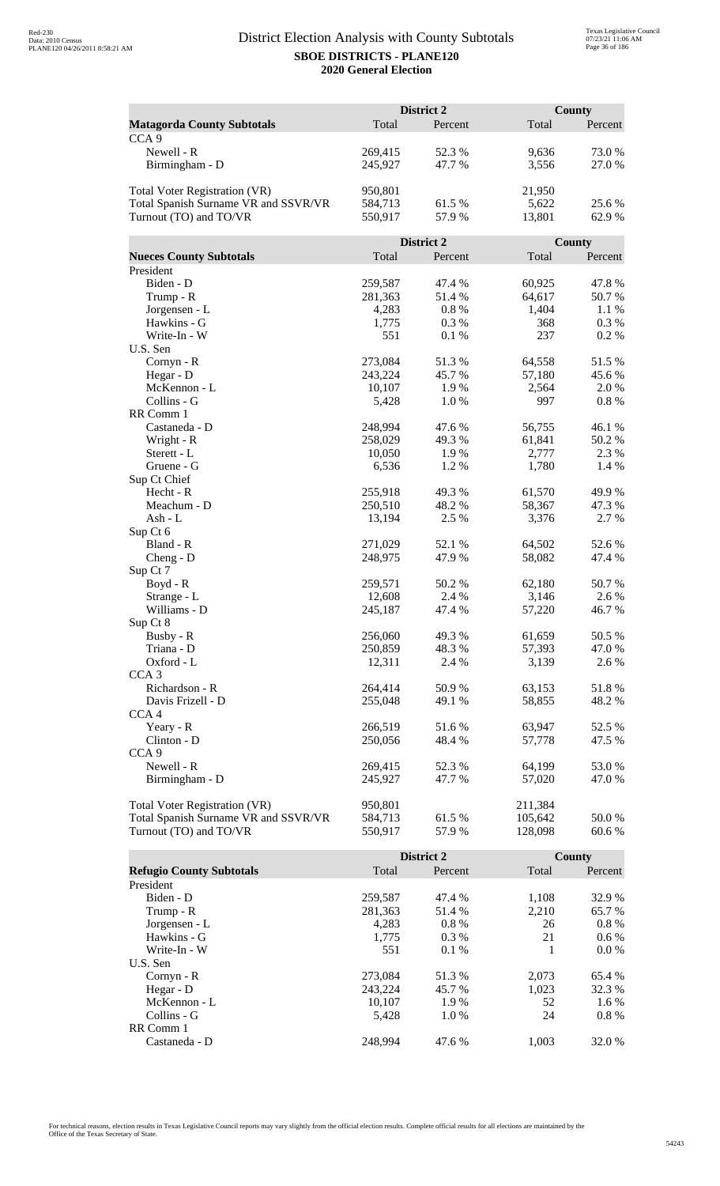|                                      | District 2 |            |                  | County  |  |
|--------------------------------------|------------|------------|------------------|---------|--|
| <b>Matagorda County Subtotals</b>    | Total      | Percent    | Total            | Percent |  |
| CCA <sub>9</sub>                     |            |            |                  |         |  |
| Newell - R                           | 269,415    | 52.3 %     | 9,636            | 73.0%   |  |
| Birmingham - D                       | 245,927    | 47.7%      | 3,556            | 27.0%   |  |
|                                      |            |            |                  |         |  |
| <b>Total Voter Registration (VR)</b> | 950,801    |            | 21,950           |         |  |
| Total Spanish Surname VR and SSVR/VR | 584,713    | 61.5%      | 5,622            | 25.6 %  |  |
| Turnout (TO) and TO/VR               | 550,917    | 57.9%      | 13,801           | 62.9%   |  |
|                                      |            |            |                  |         |  |
|                                      |            | District 2 |                  | County  |  |
| <b>Nueces County Subtotals</b>       | Total      | Percent    | Total            | Percent |  |
| President                            |            |            |                  |         |  |
| Biden - D                            | 259,587    | 47.4 %     | 60,925           | 47.8%   |  |
| Trump - R                            | 281,363    | 51.4 %     | 64,617           | 50.7%   |  |
| Jorgensen - L                        | 4,283      | 0.8%       | 1,404            | 1.1 %   |  |
| Hawkins - G                          | 1,775      | 0.3%       | 368              | 0.3 %   |  |
| Write-In - W                         | 551        | 0.1 %      | 237              | 0.2 %   |  |
| U.S. Sen                             |            |            |                  |         |  |
| Cornyn - R                           | 273,084    | 51.3%      | 64,558           | 51.5%   |  |
| Hegar - D                            | 243,224    | 45.7 %     | 57,180           | 45.6%   |  |
| McKennon - L                         | 10,107     | 1.9%       | 2,564            | 2.0 %   |  |
| Collins - G                          | 5,428      | 1.0%       | 997              | 0.8 %   |  |
| RR Comm 1                            |            |            |                  |         |  |
| Castaneda - D                        | 248,994    | 47.6 %     | 56,755           | 46.1%   |  |
| Wright - R                           | 258,029    | 49.3 %     | 61,841           | 50.2%   |  |
| Sterett - L                          | 10,050     | 1.9%       | 2,777            | 2.3 %   |  |
| Gruene - G                           | 6,536      | 1.2%       | 1,780            | 1.4 %   |  |
| Sup Ct Chief                         |            |            |                  |         |  |
| Hecht - R                            | 255,918    | 49.3%      | 61,570           | 49.9%   |  |
| Meachum - D                          | 250,510    | 48.2%      | 58,367           | 47.3 %  |  |
| Ash - L                              | 13,194     | 2.5 %      | 3,376            | 2.7 %   |  |
| Sup Ct 6<br>Bland - R                | 271,029    | 52.1 %     |                  | 52.6%   |  |
|                                      | 248,975    | 47.9%      | 64,502<br>58,082 | 47.4 %  |  |
| $Cheng - D$<br>Sup Ct 7              |            |            |                  |         |  |
| Boyd - R                             | 259,571    | 50.2 %     | 62,180           | 50.7%   |  |
| Strange - L                          | 12,608     | 2.4 %      | 3,146            | 2.6 %   |  |
| Williams - D                         | 245,187    | 47.4 %     | 57,220           | 46.7%   |  |
| Sup Ct 8                             |            |            |                  |         |  |
| Busby - R                            | 256,060    | 49.3%      | 61,659           | 50.5 %  |  |
| Triana - D                           | 250,859    | 48.3%      | 57,393           | 47.0 %  |  |
| Oxford - L                           | 12,311     | 2.4 %      | 3,139            | 2.6 %   |  |
| CCA <sub>3</sub>                     |            |            |                  |         |  |
| Richardson - R                       | 264,414    | 50.9%      | 63,153           | 51.8%   |  |
| Davis Frizell - D                    | 255,048    | 49.1 %     | 58,855           | 48.2 %  |  |
| CCA <sub>4</sub>                     |            |            |                  |         |  |
| Yeary - R                            | 266,519    | 51.6%      | 63,947           | 52.5 %  |  |
| Clinton - D                          | 250,056    | 48.4 %     | 57,778           | 47.5 %  |  |
| CCA <sub>9</sub>                     |            |            |                  |         |  |
| Newell - R                           | 269,415    | 52.3 %     | 64,199           | 53.0 %  |  |
| Birmingham - D                       | 245,927    | 47.7 %     | 57,020           | 47.0 %  |  |
|                                      |            |            |                  |         |  |
| Total Voter Registration (VR)        | 950,801    |            | 211,384          |         |  |
| Total Spanish Surname VR and SSVR/VR | 584,713    | 61.5%      | 105,642          | 50.0 %  |  |
| Turnout (TO) and TO/VR               | 550,917    | 57.9%      | 128,098          | 60.6%   |  |

|                                 |         | District 2 |       | County  |
|---------------------------------|---------|------------|-------|---------|
| <b>Refugio County Subtotals</b> | Total   | Percent    | Total | Percent |
| President                       |         |            |       |         |
| Biden - D                       | 259,587 | 47.4 %     | 1,108 | 32.9 %  |
| Trump - R                       | 281,363 | 51.4 %     | 2,210 | 65.7 %  |
| Jorgensen - L                   | 4,283   | $0.8\%$    | 26    | $0.8\%$ |
| Hawkins - G                     | 1.775   | $0.3\%$    | 21    | $0.6\%$ |
| Write-In - W                    | 551     | $0.1\%$    |       | $0.0\%$ |
| U.S. Sen                        |         |            |       |         |
| $Cornyn - R$                    | 273,084 | 51.3 %     | 2.073 | 65.4 %  |
| Hegar - $D$                     | 243.224 | 45.7 %     | 1,023 | 32.3 %  |
| McKennon - L                    | 10,107  | 1.9%       | 52    | 1.6 %   |
| Collins - G                     | 5.428   | 1.0%       | 24    | $0.8\%$ |
| RR Comm 1                       |         |            |       |         |
| Castaneda - D                   | 248.994 | 47.6 %     | 1.003 | 32.0 %  |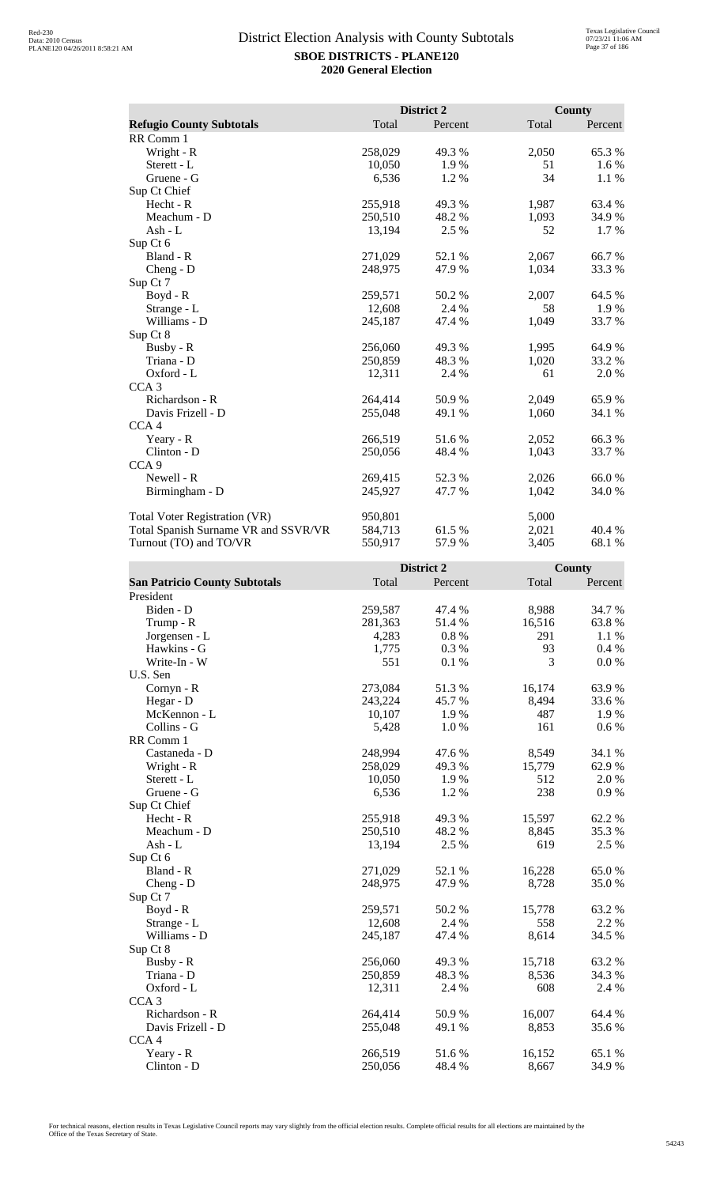|                                      |         | District 2 |       | County  |
|--------------------------------------|---------|------------|-------|---------|
| <b>Refugio County Subtotals</b>      | Total   | Percent    | Total | Percent |
| RR Comm 1                            |         |            |       |         |
| Wright - R                           | 258,029 | 49.3 %     | 2,050 | 65.3%   |
| Sterett - L                          | 10,050  | 1.9 %      | 51    | 1.6 %   |
| Gruene - G                           | 6,536   | 1.2 %      | 34    | 1.1 %   |
| Sup Ct Chief                         |         |            |       |         |
| Hecht - R                            | 255,918 | 49.3 %     | 1,987 | 63.4 %  |
| Meachum - D                          | 250,510 | 48.2 %     | 1,093 | 34.9 %  |
| Ash - $L$                            | 13,194  | 2.5 %      | 52    | $1.7\%$ |
| Sup Ct 6                             |         |            |       |         |
| Bland - R                            | 271,029 | 52.1 %     | 2,067 | 66.7%   |
| Cheng - $D$                          | 248,975 | 47.9 %     | 1,034 | 33.3 %  |
| Sup Ct 7                             |         |            |       |         |
| Boyd - R                             | 259,571 | 50.2%      | 2,007 | 64.5 %  |
| Strange - L                          | 12,608  | 2.4 %      | 58    | 1.9%    |
| Williams - D                         | 245,187 | 47.4 %     | 1,049 | 33.7 %  |
| Sup Ct 8                             |         |            |       |         |
| Busby - R                            | 256,060 | 49.3%      | 1,995 | 64.9%   |
| Triana - D                           | 250,859 | 48.3%      | 1,020 | 33.2 %  |
| Oxford - L                           | 12,311  | 2.4 %      | 61    | 2.0 %   |
| CCA <sub>3</sub>                     |         |            |       |         |
| Richardson - R                       | 264,414 | 50.9%      | 2,049 | 65.9%   |
| Davis Frizell - D                    | 255,048 | 49.1 %     | 1,060 | 34.1 %  |
| CCA <sub>4</sub>                     |         |            |       |         |
| Yeary - R                            | 266,519 | 51.6 %     | 2,052 | 66.3%   |
| Clinton - D                          | 250,056 | 48.4 %     | 1,043 | 33.7 %  |
| CCA <sub>9</sub>                     |         |            |       |         |
| Newell - R                           | 269,415 | 52.3 %     | 2,026 | 66.0%   |
| Birmingham - D                       | 245,927 | 47.7 %     | 1,042 | 34.0 %  |
| <b>Total Voter Registration (VR)</b> | 950,801 |            | 5,000 |         |
| Total Spanish Surname VR and SSVR/VR | 584,713 | 61.5 %     | 2,021 | 40.4 %  |
| Turnout (TO) and TO/VR               | 550,917 | 57.9%      | 3,405 | 68.1 %  |

|                                      |         | District 2 |        | <b>County</b> |
|--------------------------------------|---------|------------|--------|---------------|
| <b>San Patricio County Subtotals</b> | Total   | Percent    | Total  | Percent       |
| President                            |         |            |        |               |
| Biden - D                            | 259,587 | 47.4 %     | 8,988  | 34.7%         |
| Trump - R                            | 281,363 | 51.4%      | 16,516 | 63.8%         |
| Jorgensen - L                        | 4,283   | 0.8 %      | 291    | 1.1 %         |
| Hawkins - G                          | 1,775   | 0.3%       | 93     | 0.4%          |
| Write-In - W                         | 551     | 0.1%       | 3      | 0.0 %         |
| U.S. Sen                             |         |            |        |               |
| Cornyn - R                           | 273,084 | 51.3%      | 16,174 | 63.9%         |
| Hegar - D                            | 243,224 | 45.7%      | 8,494  | 33.6 %        |
| McKennon - L                         | 10,107  | 1.9%       | 487    | 1.9%          |
| Collins - G                          | 5,428   | 1.0%       | 161    | $0.6\%$       |
| RR Comm 1                            |         |            |        |               |
| Castaneda - D                        | 248,994 | 47.6%      | 8,549  | 34.1 %        |
| Wright - R                           | 258,029 | 49.3%      | 15,779 | 62.9%         |
| Sterett - L                          | 10,050  | 1.9%       | 512    | 2.0%          |
| Gruene - G                           | 6,536   | 1.2%       | 238    | 0.9%          |
| Sup Ct Chief                         |         |            |        |               |
| $Hecht - R$                          | 255,918 | 49.3%      | 15,597 | 62.2%         |
| Meachum - D                          | 250,510 | 48.2%      | 8,845  | 35.3%         |
| $Ash - L$                            | 13,194  | 2.5 %      | 619    | 2.5 %         |
| Sup Ct 6                             |         |            |        |               |
| Bland - R                            | 271,029 | 52.1 %     | 16,228 | 65.0%         |
| $Cheng - D$                          | 248,975 | 47.9 %     | 8,728  | 35.0%         |
| Sup Ct 7                             |         |            |        |               |
| Boyd - R                             | 259,571 | 50.2%      | 15,778 | 63.2%         |
| Strange - L                          | 12,608  | 2.4 %      | 558    | 2.2 %         |
| Williams - D                         | 245,187 | 47.4 %     | 8,614  | 34.5 %        |
| Sup Ct 8                             |         |            |        |               |
| Busby - R                            | 256,060 | 49.3%      | 15,718 | 63.2%         |
| Triana - D                           | 250,859 | 48.3%      | 8,536  | 34.3 %        |
| Oxford - L                           | 12,311  | 2.4 %      | 608    | 2.4 %         |
| CCA <sub>3</sub>                     |         |            |        |               |
| Richardson - R                       | 264,414 | 50.9%      | 16,007 | 64.4 %        |
| Davis Frizell - D                    | 255,048 | 49.1 %     | 8,853  | 35.6%         |
| CCA <sub>4</sub>                     |         |            |        |               |
| Yeary - R                            | 266,519 | 51.6%      | 16,152 | 65.1%         |
| Clinton - D                          | 250,056 | 48.4%      | 8,667  | 34.9%         |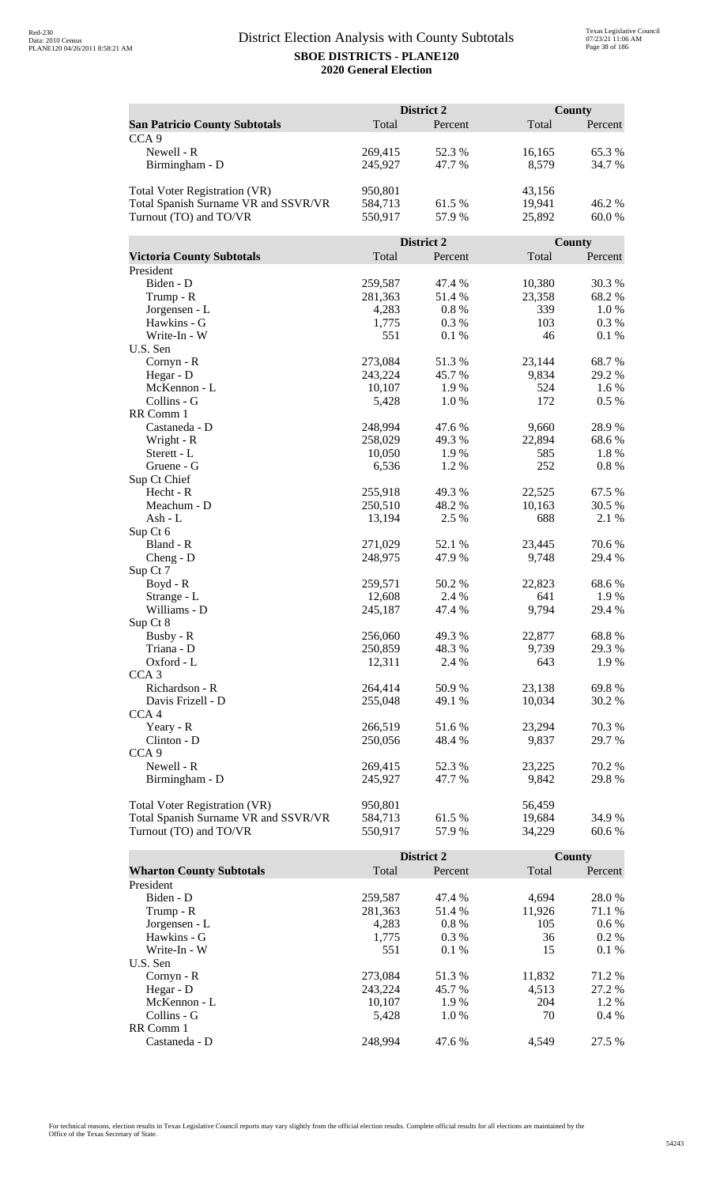|                                      |                 | District 2   |               | <b>County</b> |  |
|--------------------------------------|-----------------|--------------|---------------|---------------|--|
| <b>San Patricio County Subtotals</b> | Total           | Percent      | Total         | Percent       |  |
| CCA <sub>9</sub>                     |                 |              |               |               |  |
| Newell - R                           | 269,415         | 52.3 %       | 16,165        | 65.3 %        |  |
| Birmingham - D                       | 245,927         | 47.7 %       | 8,579         | 34.7 %        |  |
|                                      |                 |              |               |               |  |
| Total Voter Registration (VR)        | 950,801         |              | 43,156        |               |  |
| Total Spanish Surname VR and SSVR/VR | 584,713         | 61.5 %       | 19,941        | 46.2%         |  |
| Turnout (TO) and TO/VR               | 550,917         | 57.9 %       | 25,892        | 60.0 %        |  |
|                                      |                 |              |               |               |  |
|                                      |                 | District 2   |               | <b>County</b> |  |
| <b>Victoria County Subtotals</b>     | Total           | Percent      | Total         | Percent       |  |
| President                            |                 |              |               |               |  |
| Biden - D                            | 259,587         | 47.4 %       | 10,380        | 30.3%         |  |
| Trump - R                            | 281,363         | 51.4%        | 23,358        | 68.2%         |  |
| Jorgensen - L                        | 4,283           | 0.8%         | 339           | 1.0%          |  |
| Hawkins - G                          | 1,775           | 0.3%         | 103           | 0.3%          |  |
| Write-In - W                         | 551             | 0.1%         | 46            | $0.1~\%$      |  |
| U.S. Sen                             |                 |              |               |               |  |
| Cornyn - R                           | 273,084         | 51.3%        | 23,144        | 68.7%         |  |
| Hegar - D                            | 243,224         | 45.7%        | 9,834         | 29.2 %        |  |
| McKennon - L                         | 10,107          | 1.9%         | 524           | 1.6 %         |  |
| Collins - G                          | 5,428           | 1.0%         | 172           | 0.5 %         |  |
| RR Comm 1                            |                 |              |               |               |  |
| Castaneda - D                        | 248,994         | 47.6 %       | 9,660         | 28.9%         |  |
| Wright - R                           | 258,029         | 49.3 %       | 22,894<br>585 | 68.6%         |  |
| Sterett - L<br>Gruene - G            | 10,050<br>6,536 | 1.9%<br>1.2% | 252           | 1.8%<br>0.8%  |  |
| Sup Ct Chief                         |                 |              |               |               |  |
| Hecht - R                            | 255,918         | 49.3%        | 22,525        | 67.5 %        |  |
| Meachum - D                          | 250,510         | 48.2%        | 10,163        | 30.5 %        |  |
| Ash - $L$                            | 13,194          | 2.5 %        | 688           | 2.1 %         |  |
| Sup Ct 6                             |                 |              |               |               |  |
| Bland - R                            | 271,029         | 52.1 %       | 23,445        | 70.6%         |  |
| $Cheng - D$                          | 248,975         | 47.9%        | 9,748         | 29.4 %        |  |
| Sup Ct 7                             |                 |              |               |               |  |
| Boyd - R                             | 259,571         | 50.2%        | 22,823        | 68.6%         |  |
| Strange - L                          | 12,608          | 2.4 %        | 641           | 1.9%          |  |
| Williams - D                         | 245,187         | 47.4 %       | 9,794         | 29.4 %        |  |
| Sup Ct 8                             |                 |              |               |               |  |
| Busby - R                            | 256,060         | 49.3 %       | 22,877        | 68.8%         |  |
| Triana - D                           | 250,859         | 48.3%        | 9,739         | 29.3 %        |  |
| Oxford - L                           | 12,311          | 2.4 %        | 643           | 1.9%          |  |
| CCA <sub>3</sub>                     |                 |              |               |               |  |
| Richardson - R                       | 264,414         | 50.9%        | 23,138        | 69.8%         |  |
| Davis Frizell - D                    | 255,048         | 49.1 %       | 10,034        | 30.2 %        |  |
| CCA <sub>4</sub>                     |                 |              |               |               |  |
| Yeary - R                            | 266,519         | 51.6%        | 23,294        | 70.3%         |  |
| Clinton - D                          | 250,056         | 48.4 %       | 9,837         | 29.7 %        |  |
| CCA <sub>9</sub>                     |                 |              |               |               |  |
| Newell - R                           | 269,415         | 52.3%        | 23,225        | 70.2 %        |  |
| Birmingham - D                       | 245,927         | 47.7 %       | 9,842         | 29.8%         |  |
|                                      |                 |              |               |               |  |
| Total Voter Registration (VR)        | 950,801         |              | 56,459        |               |  |
| Total Spanish Surname VR and SSVR/VR | 584,713         | 61.5 %       | 19,684        | 34.9%         |  |
| Turnout (TO) and TO/VR               | 550,917         | 57.9%        | 34,229        | 60.6%         |  |

|                                 |         | <b>District 2</b> |        | County  |
|---------------------------------|---------|-------------------|--------|---------|
| <b>Wharton County Subtotals</b> | Total   | Percent           | Total  | Percent |
| President                       |         |                   |        |         |
| Biden - D                       | 259,587 | 47.4 %            | 4.694  | 28.0 %  |
| Trump - R                       | 281,363 | 51.4 %            | 11,926 | 71.1 %  |
| Jorgensen - L                   | 4.283   | $0.8\%$           | 105    | $0.6\%$ |
| Hawkins - G                     | 1,775   | $0.3\%$           | 36     | $0.2\%$ |
| Write-In - W                    | 551     | 0.1%              | 15     | $0.1\%$ |
| U.S. Sen                        |         |                   |        |         |
| Cornyn - R                      | 273,084 | 51.3 %            | 11,832 | 71.2 %  |
| Hegar - D                       | 243.224 | 45.7 %            | 4.513  | 27.2 %  |
| McKennon - L                    | 10,107  | 1.9%              | 204    | 1.2 %   |
| Collins - G                     | 5.428   | 1.0%              | 70     | $0.4\%$ |
| RR Comm 1                       |         |                   |        |         |
| Castaneda - D                   | 248.994 | 47.6 %            | 4.549  | 27.5 %  |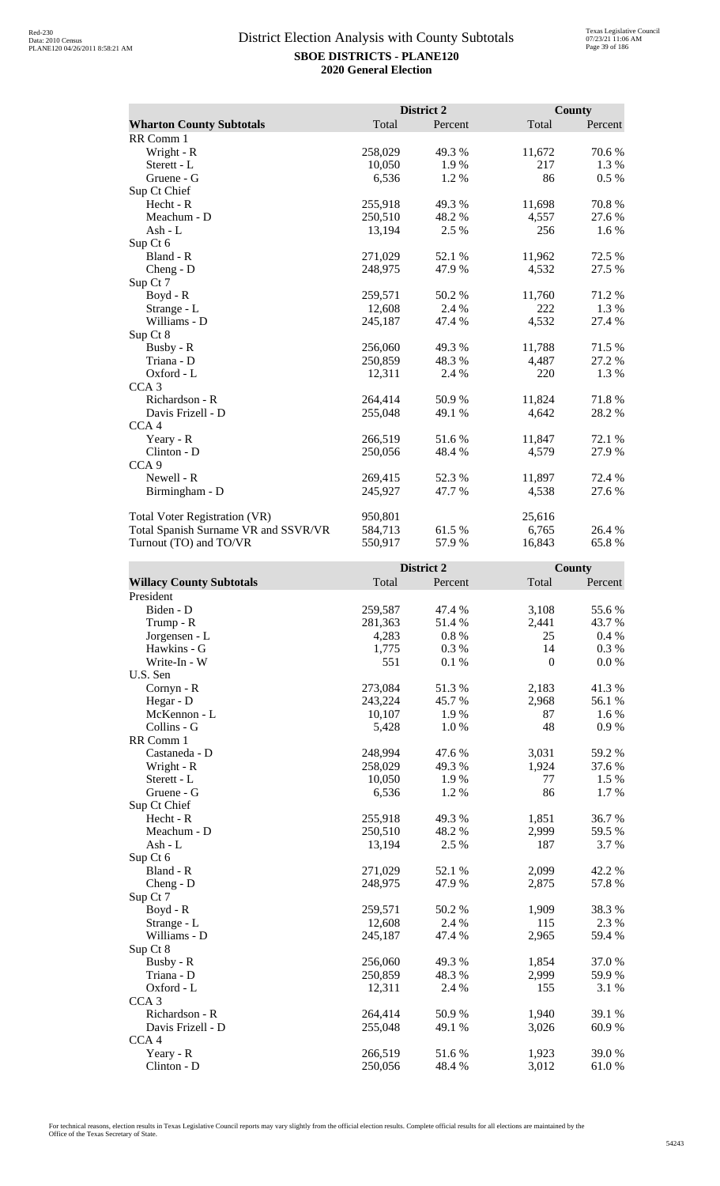|                                      |         | District 2 |        | <b>County</b> |
|--------------------------------------|---------|------------|--------|---------------|
| <b>Wharton County Subtotals</b>      | Total   | Percent    | Total  | Percent       |
| RR Comm 1                            |         |            |        |               |
| Wright - R                           | 258,029 | 49.3 %     | 11,672 | 70.6 %        |
| Sterett - L                          | 10,050  | 1.9%       | 217    | 1.3 %         |
| Gruene - G                           | 6,536   | 1.2%       | 86     | 0.5 %         |
| Sup Ct Chief                         |         |            |        |               |
| $Hecht - R$                          | 255,918 | 49.3 %     | 11,698 | 70.8%         |
| Meachum - D                          | 250,510 | 48.2 %     | 4,557  | 27.6 %        |
| Ash - L                              | 13,194  | 2.5 %      | 256    | 1.6 %         |
| Sup Ct 6                             |         |            |        |               |
| Bland - R                            | 271,029 | 52.1 %     | 11,962 | 72.5 %        |
| $Cheng - D$                          | 248,975 | 47.9 %     | 4,532  | 27.5 %        |
| Sup Ct 7                             |         |            |        |               |
| Boyd - R                             | 259,571 | 50.2%      | 11,760 | 71.2 %        |
| Strange - L                          | 12,608  | 2.4 %      | 222    | 1.3%          |
| Williams - D                         | 245,187 | 47.4 %     | 4,532  | 27.4 %        |
| Sup Ct 8                             |         |            |        |               |
| Busby - R                            | 256,060 | 49.3 %     | 11,788 | 71.5 %        |
| Triana - D                           | 250,859 | 48.3 %     | 4,487  | 27.2 %        |
| Oxford - L                           | 12,311  | 2.4 %      | 220    | 1.3 %         |
| CCA <sub>3</sub>                     |         |            |        |               |
| Richardson - R                       | 264,414 | 50.9%      | 11,824 | 71.8%         |
| Davis Frizell - D                    | 255,048 | 49.1 %     | 4,642  | 28.2 %        |
| CCA <sub>4</sub>                     |         |            |        |               |
| Yeary - R                            | 266,519 | 51.6 %     | 11,847 | 72.1 %        |
| Clinton - D                          | 250,056 | 48.4 %     | 4,579  | 27.9%         |
| CCA <sub>9</sub>                     |         |            |        |               |
| Newell - R                           | 269,415 | 52.3 %     | 11,897 | 72.4 %        |
| Birmingham - D                       | 245,927 | 47.7 %     | 4,538  | 27.6 %        |
| Total Voter Registration (VR)        | 950,801 |            | 25,616 |               |
| Total Spanish Surname VR and SSVR/VR | 584,713 | 61.5 %     | 6,765  | 26.4 %        |
| Turnout (TO) and TO/VR               | 550,917 | 57.9%      | 16,843 | 65.8%         |

|                                 |         | District 2 |              | County  |
|---------------------------------|---------|------------|--------------|---------|
| <b>Willacy County Subtotals</b> | Total   | Percent    | Total        | Percent |
| President                       |         |            |              |         |
| Biden - D                       | 259,587 | 47.4 %     | 3,108        | 55.6%   |
| Trump - R                       | 281,363 | 51.4 %     | 2,441        | 43.7 %  |
| Jorgensen - L                   | 4,283   | 0.8%       | 25           | 0.4%    |
| Hawkins - G                     | 1,775   | 0.3%       | 14           | 0.3%    |
| Write-In - W                    | 551     | 0.1%       | $\mathbf{0}$ | 0.0 %   |
| U.S. Sen                        |         |            |              |         |
| Cornyn - R                      | 273,084 | 51.3%      | 2,183        | 41.3%   |
| Hegar - D                       | 243,224 | 45.7%      | 2,968        | 56.1%   |
| McKennon - L                    | 10,107  | 1.9%       | 87           | 1.6%    |
| Collins - G                     | 5,428   | 1.0%       | 48           | 0.9%    |
| RR Comm 1                       |         |            |              |         |
| Castaneda - D                   | 248,994 | 47.6%      | 3,031        | 59.2 %  |
| Wright - R                      | 258,029 | 49.3 %     | 1,924        | 37.6 %  |
| Sterett - L                     | 10,050  | 1.9 %      | 77           | 1.5 %   |
| Gruene - G                      | 6,536   | 1.2%       | 86           | 1.7 %   |
| Sup Ct Chief                    |         |            |              |         |
| Hecht - R                       | 255,918 | 49.3%      | 1,851        | 36.7%   |
| Meachum - D                     | 250,510 | 48.2%      | 2,999        | 59.5 %  |
| $Ash - L$                       | 13,194  | 2.5 %      | 187          | 3.7%    |
| Sup Ct 6                        |         |            |              |         |
| Bland - R                       | 271,029 | 52.1 %     | 2,099        | 42.2 %  |
| Cheng - $D$                     | 248,975 | 47.9%      | 2,875        | 57.8 %  |
| Sup Ct 7                        |         |            |              |         |
| Boyd - R                        | 259,571 | 50.2%      | 1,909        | 38.3%   |
| Strange - L                     | 12,608  | 2.4 %      | 115          | 2.3 %   |
| Williams - D                    | 245,187 | 47.4 %     | 2,965        | 59.4 %  |
| Sup Ct 8                        |         |            |              |         |
| Busby - R                       | 256,060 | 49.3 %     | 1,854        | 37.0%   |
| Triana - D                      | 250,859 | 48.3%      | 2,999        | 59.9%   |
| Oxford - L                      | 12,311  | 2.4 %      | 155          | 3.1 %   |
| CCA <sub>3</sub>                |         |            |              |         |
| Richardson - R                  | 264,414 | 50.9%      | 1,940        | 39.1 %  |
| Davis Frizell - D               | 255,048 | 49.1 %     | 3,026        | 60.9%   |
| CCA <sub>4</sub>                |         |            |              |         |
| Yeary - R                       | 266,519 | 51.6%      | 1,923        | 39.0 %  |
| $Clinton - D$                   | 250,056 | 48.4 %     | 3,012        | 61.0%   |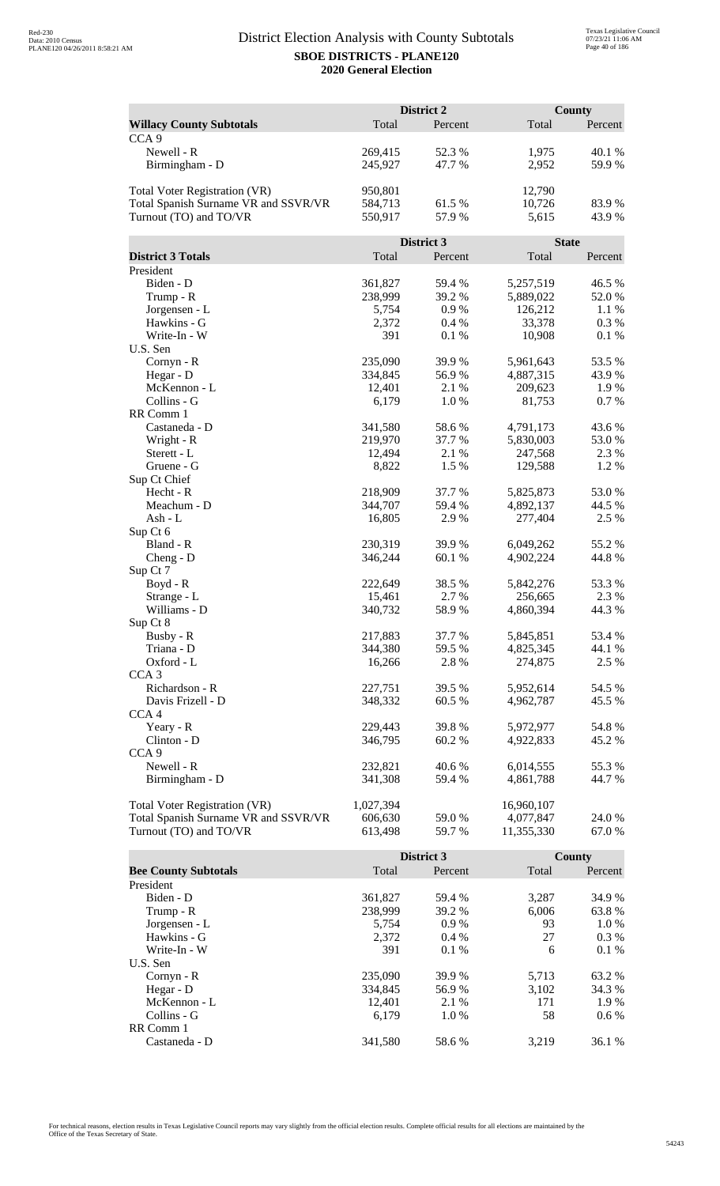| County<br>Total<br>Percent<br>Total<br><b>Willacy County Subtotals</b><br>Percent<br>CCA <sub>9</sub><br>Newell - R<br>52.3 %<br>40.1 %<br>269,415<br>1,975<br>245,927<br>47.7 %<br>2,952<br>59.9%<br>Birmingham - D<br><b>Total Voter Registration (VR)</b><br>950,801<br>12,790<br>10,726<br>Total Spanish Surname VR and SSVR/VR<br>584,713<br>61.5 %<br>83.9%<br>Turnout (TO) and TO/VR<br>550,917<br>57.9%<br>43.9%<br>5,615<br>District 3<br><b>State</b><br><b>District 3 Totals</b><br>Total<br>Total<br>Percent<br>Percent<br>President<br>Biden - D<br>361,827<br>59.4 %<br>5,257,519<br>46.5 %<br>238,999<br>39.2 %<br>5,889,022<br>52.0%<br>Trump - R<br>5,754<br>0.9%<br>126,212<br>1.1 %<br>Jorgensen - L<br>Hawkins - G<br>2,372<br>0.4%<br>33,378<br>0.3 %<br>Write-In - W<br>391<br>0.1%<br>10,908<br>0.1 %<br>U.S. Sen<br>Cornyn - R<br>235,090<br>39.9%<br>5,961,643<br>53.5 %<br>56.9%<br>43.9%<br>Hegar - D<br>334,845<br>4,887,315<br>McKennon - L<br>12,401<br>2.1%<br>209,623<br>1.9%<br>Collins - G<br>6,179<br>1.0%<br>81,753<br>0.7% |
|-----------------------------------------------------------------------------------------------------------------------------------------------------------------------------------------------------------------------------------------------------------------------------------------------------------------------------------------------------------------------------------------------------------------------------------------------------------------------------------------------------------------------------------------------------------------------------------------------------------------------------------------------------------------------------------------------------------------------------------------------------------------------------------------------------------------------------------------------------------------------------------------------------------------------------------------------------------------------------------------------------------------------------------------------------------------|
|                                                                                                                                                                                                                                                                                                                                                                                                                                                                                                                                                                                                                                                                                                                                                                                                                                                                                                                                                                                                                                                                 |
|                                                                                                                                                                                                                                                                                                                                                                                                                                                                                                                                                                                                                                                                                                                                                                                                                                                                                                                                                                                                                                                                 |
|                                                                                                                                                                                                                                                                                                                                                                                                                                                                                                                                                                                                                                                                                                                                                                                                                                                                                                                                                                                                                                                                 |
|                                                                                                                                                                                                                                                                                                                                                                                                                                                                                                                                                                                                                                                                                                                                                                                                                                                                                                                                                                                                                                                                 |
|                                                                                                                                                                                                                                                                                                                                                                                                                                                                                                                                                                                                                                                                                                                                                                                                                                                                                                                                                                                                                                                                 |
|                                                                                                                                                                                                                                                                                                                                                                                                                                                                                                                                                                                                                                                                                                                                                                                                                                                                                                                                                                                                                                                                 |
|                                                                                                                                                                                                                                                                                                                                                                                                                                                                                                                                                                                                                                                                                                                                                                                                                                                                                                                                                                                                                                                                 |
|                                                                                                                                                                                                                                                                                                                                                                                                                                                                                                                                                                                                                                                                                                                                                                                                                                                                                                                                                                                                                                                                 |
|                                                                                                                                                                                                                                                                                                                                                                                                                                                                                                                                                                                                                                                                                                                                                                                                                                                                                                                                                                                                                                                                 |
|                                                                                                                                                                                                                                                                                                                                                                                                                                                                                                                                                                                                                                                                                                                                                                                                                                                                                                                                                                                                                                                                 |
|                                                                                                                                                                                                                                                                                                                                                                                                                                                                                                                                                                                                                                                                                                                                                                                                                                                                                                                                                                                                                                                                 |
|                                                                                                                                                                                                                                                                                                                                                                                                                                                                                                                                                                                                                                                                                                                                                                                                                                                                                                                                                                                                                                                                 |
|                                                                                                                                                                                                                                                                                                                                                                                                                                                                                                                                                                                                                                                                                                                                                                                                                                                                                                                                                                                                                                                                 |
|                                                                                                                                                                                                                                                                                                                                                                                                                                                                                                                                                                                                                                                                                                                                                                                                                                                                                                                                                                                                                                                                 |
|                                                                                                                                                                                                                                                                                                                                                                                                                                                                                                                                                                                                                                                                                                                                                                                                                                                                                                                                                                                                                                                                 |
|                                                                                                                                                                                                                                                                                                                                                                                                                                                                                                                                                                                                                                                                                                                                                                                                                                                                                                                                                                                                                                                                 |
|                                                                                                                                                                                                                                                                                                                                                                                                                                                                                                                                                                                                                                                                                                                                                                                                                                                                                                                                                                                                                                                                 |
|                                                                                                                                                                                                                                                                                                                                                                                                                                                                                                                                                                                                                                                                                                                                                                                                                                                                                                                                                                                                                                                                 |
|                                                                                                                                                                                                                                                                                                                                                                                                                                                                                                                                                                                                                                                                                                                                                                                                                                                                                                                                                                                                                                                                 |
|                                                                                                                                                                                                                                                                                                                                                                                                                                                                                                                                                                                                                                                                                                                                                                                                                                                                                                                                                                                                                                                                 |
| RR Comm 1                                                                                                                                                                                                                                                                                                                                                                                                                                                                                                                                                                                                                                                                                                                                                                                                                                                                                                                                                                                                                                                       |
| Castaneda - D<br>341,580<br>58.6%<br>43.6 %<br>4,791,173                                                                                                                                                                                                                                                                                                                                                                                                                                                                                                                                                                                                                                                                                                                                                                                                                                                                                                                                                                                                        |
| Wright - R<br>219,970<br>37.7 %<br>5,830,003<br>53.0%                                                                                                                                                                                                                                                                                                                                                                                                                                                                                                                                                                                                                                                                                                                                                                                                                                                                                                                                                                                                           |
| 12,494<br>2.1 %<br>247,568<br>2.3 %<br>Sterett - L                                                                                                                                                                                                                                                                                                                                                                                                                                                                                                                                                                                                                                                                                                                                                                                                                                                                                                                                                                                                              |
| 8,822<br>1.5 %<br>129,588<br>1.2%<br>Gruene - G                                                                                                                                                                                                                                                                                                                                                                                                                                                                                                                                                                                                                                                                                                                                                                                                                                                                                                                                                                                                                 |
| Sup Ct Chief                                                                                                                                                                                                                                                                                                                                                                                                                                                                                                                                                                                                                                                                                                                                                                                                                                                                                                                                                                                                                                                    |
| Hecht - R<br>218,909<br>37.7 %<br>53.0%<br>5,825,873                                                                                                                                                                                                                                                                                                                                                                                                                                                                                                                                                                                                                                                                                                                                                                                                                                                                                                                                                                                                            |
| Meachum - D<br>344,707<br>59.4 %<br>44.5 %<br>4,892,137                                                                                                                                                                                                                                                                                                                                                                                                                                                                                                                                                                                                                                                                                                                                                                                                                                                                                                                                                                                                         |
| 2.5 %<br>$Ash - L$<br>16,805<br>2.9%<br>277,404                                                                                                                                                                                                                                                                                                                                                                                                                                                                                                                                                                                                                                                                                                                                                                                                                                                                                                                                                                                                                 |
| Sup Ct 6                                                                                                                                                                                                                                                                                                                                                                                                                                                                                                                                                                                                                                                                                                                                                                                                                                                                                                                                                                                                                                                        |
| Bland - R<br>230,319<br>39.9 %<br>6,049,262<br>55.2 %                                                                                                                                                                                                                                                                                                                                                                                                                                                                                                                                                                                                                                                                                                                                                                                                                                                                                                                                                                                                           |
| 346,244<br>60.1%<br>4,902,224<br>44.8%<br>$Cheng - D$                                                                                                                                                                                                                                                                                                                                                                                                                                                                                                                                                                                                                                                                                                                                                                                                                                                                                                                                                                                                           |
| Sup Ct 7                                                                                                                                                                                                                                                                                                                                                                                                                                                                                                                                                                                                                                                                                                                                                                                                                                                                                                                                                                                                                                                        |
| 222,649<br>38.5 %<br>5,842,276<br>53.3%<br>$Boyd - R$                                                                                                                                                                                                                                                                                                                                                                                                                                                                                                                                                                                                                                                                                                                                                                                                                                                                                                                                                                                                           |
| 15,461<br>2.7 %<br>256,665<br>2.3 %<br>Strange - L                                                                                                                                                                                                                                                                                                                                                                                                                                                                                                                                                                                                                                                                                                                                                                                                                                                                                                                                                                                                              |
| Williams - D<br>340,732<br>58.9%<br>4,860,394<br>44.3 %                                                                                                                                                                                                                                                                                                                                                                                                                                                                                                                                                                                                                                                                                                                                                                                                                                                                                                                                                                                                         |
| Sup Ct 8                                                                                                                                                                                                                                                                                                                                                                                                                                                                                                                                                                                                                                                                                                                                                                                                                                                                                                                                                                                                                                                        |
| 5,845,851<br>Busby - R<br>217,883<br>37.7 %<br>53.4 %                                                                                                                                                                                                                                                                                                                                                                                                                                                                                                                                                                                                                                                                                                                                                                                                                                                                                                                                                                                                           |
| 344,380<br>Triana - D<br>59.5 %<br>4,825,345<br>44.1 %                                                                                                                                                                                                                                                                                                                                                                                                                                                                                                                                                                                                                                                                                                                                                                                                                                                                                                                                                                                                          |
| Oxford - L<br>16,266<br>2.8 %<br>274,875<br>2.5 %                                                                                                                                                                                                                                                                                                                                                                                                                                                                                                                                                                                                                                                                                                                                                                                                                                                                                                                                                                                                               |
| CCA <sub>3</sub>                                                                                                                                                                                                                                                                                                                                                                                                                                                                                                                                                                                                                                                                                                                                                                                                                                                                                                                                                                                                                                                |
| Richardson - R<br>227,751<br>39.5 %<br>5,952,614<br>54.5 %                                                                                                                                                                                                                                                                                                                                                                                                                                                                                                                                                                                                                                                                                                                                                                                                                                                                                                                                                                                                      |
| Davis Frizell - D<br>348,332<br>60.5 %<br>4,962,787<br>45.5 %                                                                                                                                                                                                                                                                                                                                                                                                                                                                                                                                                                                                                                                                                                                                                                                                                                                                                                                                                                                                   |
| CCA <sub>4</sub>                                                                                                                                                                                                                                                                                                                                                                                                                                                                                                                                                                                                                                                                                                                                                                                                                                                                                                                                                                                                                                                |
| 229,443<br>5,972,977<br>Yeary - R<br>39.8 %<br>54.8%                                                                                                                                                                                                                                                                                                                                                                                                                                                                                                                                                                                                                                                                                                                                                                                                                                                                                                                                                                                                            |
| 346,795<br>60.2%<br>Clinton - D<br>4,922,833<br>45.2 %                                                                                                                                                                                                                                                                                                                                                                                                                                                                                                                                                                                                                                                                                                                                                                                                                                                                                                                                                                                                          |
| CCA <sub>9</sub>                                                                                                                                                                                                                                                                                                                                                                                                                                                                                                                                                                                                                                                                                                                                                                                                                                                                                                                                                                                                                                                |
| Newell - R<br>232,821<br>40.6%<br>6,014,555<br>55.3%                                                                                                                                                                                                                                                                                                                                                                                                                                                                                                                                                                                                                                                                                                                                                                                                                                                                                                                                                                                                            |
| Birmingham - D<br>341,308<br>59.4 %<br>4,861,788<br>44.7 %                                                                                                                                                                                                                                                                                                                                                                                                                                                                                                                                                                                                                                                                                                                                                                                                                                                                                                                                                                                                      |
| <b>Total Voter Registration (VR)</b><br>1,027,394<br>16,960,107                                                                                                                                                                                                                                                                                                                                                                                                                                                                                                                                                                                                                                                                                                                                                                                                                                                                                                                                                                                                 |
| Total Spanish Surname VR and SSVR/VR<br>606,630<br>4,077,847<br>59.0 %<br>24.0 %                                                                                                                                                                                                                                                                                                                                                                                                                                                                                                                                                                                                                                                                                                                                                                                                                                                                                                                                                                                |
| Turnout (TO) and TO/VR<br>613,498<br>59.7%<br>11,355,330<br>67.0%                                                                                                                                                                                                                                                                                                                                                                                                                                                                                                                                                                                                                                                                                                                                                                                                                                                                                                                                                                                               |

|                             |         | <b>District 3</b> |       | County  |
|-----------------------------|---------|-------------------|-------|---------|
| <b>Bee County Subtotals</b> | Total   | Percent           | Total | Percent |
| President                   |         |                   |       |         |
| Biden - D                   | 361,827 | 59.4 %            | 3,287 | 34.9 %  |
| Trump - R                   | 238,999 | 39.2 %            | 6.006 | 63.8%   |
| Jorgensen - L               | 5.754   | $0.9\%$           | 93    | $1.0\%$ |
| Hawkins - G                 | 2,372   | $0.4\%$           | 27    | $0.3\%$ |
| Write-In - W                | 391     | $0.1\%$           | 6     | $0.1\%$ |
| U.S. Sen                    |         |                   |       |         |
| $Cornyn - R$                | 235,090 | 39.9 %            | 5,713 | 63.2 %  |
| Hegar - $D$                 | 334,845 | 56.9%             | 3.102 | 34.3 %  |
| McKennon - L                | 12,401  | 2.1 %             | 171   | 1.9 %   |
| Collins - G                 | 6.179   | 1.0%              | 58    | $0.6\%$ |
| RR Comm 1                   |         |                   |       |         |
| Castaneda - D               | 341.580 | 58.6 %            | 3.219 | 36.1 %  |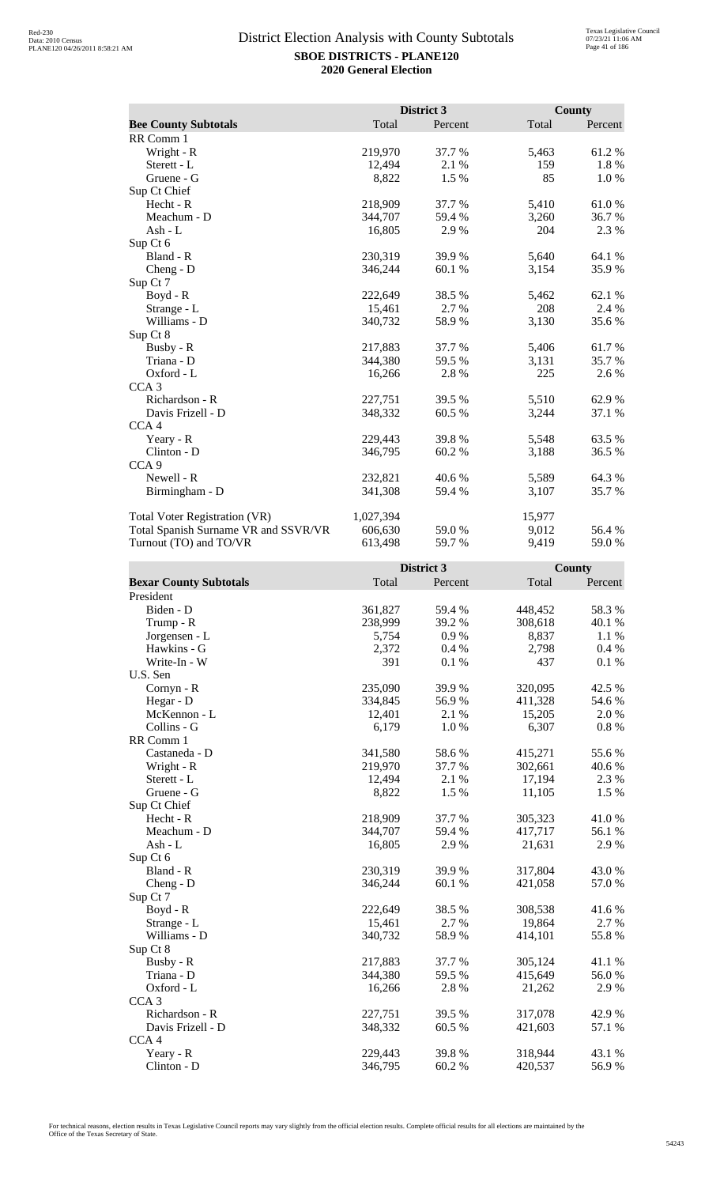|                                      |           | District 3 |        | <b>County</b> |
|--------------------------------------|-----------|------------|--------|---------------|
| <b>Bee County Subtotals</b>          | Total     | Percent    | Total  | Percent       |
| RR Comm 1                            |           |            |        |               |
| Wright - R                           | 219,970   | 37.7 %     | 5,463  | 61.2%         |
| Sterett - L                          | 12,494    | 2.1 %      | 159    | 1.8%          |
| Gruene - G                           | 8,822     | 1.5 %      | 85     | 1.0%          |
| Sup Ct Chief                         |           |            |        |               |
| Hecht - R                            | 218,909   | 37.7 %     | 5,410  | 61.0%         |
| Meachum - D                          | 344,707   | 59.4 %     | 3,260  | 36.7 %        |
| Ash - $L$                            | 16,805    | 2.9%       | 204    | 2.3 %         |
| Sup Ct 6                             |           |            |        |               |
| Bland - R                            | 230,319   | 39.9%      | 5,640  | 64.1 %        |
| Cheng - D                            | 346,244   | 60.1 %     | 3,154  | 35.9%         |
| Sup Ct 7                             |           |            |        |               |
| $Boyd - R$                           | 222,649   | 38.5 %     | 5,462  | 62.1 %        |
| Strange - L                          | 15,461    | 2.7 %      | 208    | 2.4 %         |
| Williams - D                         | 340,732   | 58.9%      | 3,130  | 35.6 %        |
| Sup Ct 8                             |           |            |        |               |
| Busby - R                            | 217,883   | 37.7%      | 5,406  | 61.7%         |
| Triana - D                           | 344,380   | 59.5 %     | 3,131  | 35.7 %        |
| Oxford - L                           | 16,266    | 2.8%       | 225    | 2.6 %         |
| CCA <sub>3</sub>                     |           |            |        |               |
| Richardson - R                       | 227,751   | 39.5 %     | 5,510  | 62.9%         |
| Davis Frizell - D                    | 348,332   | 60.5 %     | 3,244  | 37.1 %        |
| CCA <sub>4</sub>                     |           |            |        |               |
| Yeary - R                            | 229,443   | 39.8%      | 5,548  | 63.5%         |
| Clinton - D                          | 346,795   | 60.2%      | 3,188  | 36.5 %        |
| CCA <sub>9</sub>                     |           |            |        |               |
| Newell - R                           | 232,821   | 40.6 %     | 5,589  | 64.3 %        |
| Birmingham - D                       | 341,308   | 59.4 %     | 3,107  | 35.7 %        |
| Total Voter Registration (VR)        | 1,027,394 |            | 15,977 |               |
| Total Spanish Surname VR and SSVR/VR | 606,630   | 59.0%      | 9,012  | 56.4 %        |
| Turnout (TO) and TO/VR               | 613,498   | 59.7%      | 9,419  | 59.0%         |

|                               |         | District 3 |         | County   |
|-------------------------------|---------|------------|---------|----------|
| <b>Bexar County Subtotals</b> | Total   | Percent    | Total   | Percent  |
| President                     |         |            |         |          |
| Biden - D                     | 361,827 | 59.4 %     | 448,452 | 58.3%    |
| Trump - R                     | 238,999 | 39.2 %     | 308,618 | 40.1 %   |
| Jorgensen - L                 | 5,754   | 0.9%       | 8,837   | 1.1 %    |
| Hawkins - G                   | 2,372   | 0.4%       | 2,798   | 0.4%     |
| Write-In - W                  | 391     | 0.1 %      | 437     | 0.1 %    |
| U.S. Sen                      |         |            |         |          |
| Cornyn - R                    | 235,090 | 39.9%      | 320,095 | 42.5 %   |
| Hegar - D                     | 334,845 | 56.9%      | 411,328 | 54.6 %   |
| McKennon - L                  | 12,401  | 2.1 %      | 15,205  | 2.0%     |
| Collins - G                   | 6,179   | 1.0%       | 6,307   | $0.8~\%$ |
| RR Comm 1                     |         |            |         |          |
| Castaneda - D                 | 341,580 | 58.6%      | 415,271 | 55.6%    |
| Wright - R                    | 219,970 | 37.7 %     | 302,661 | 40.6%    |
| Sterett - L                   | 12,494  | 2.1 %      | 17,194  | 2.3 %    |
| Gruene - G                    | 8,822   | 1.5 %      | 11,105  | 1.5 %    |
| Sup Ct Chief                  |         |            |         |          |
| Hecht - R                     | 218,909 | 37.7%      | 305,323 | 41.0%    |
| Meachum - D                   | 344,707 | 59.4 %     | 417,717 | 56.1 %   |
| $Ash - L$                     | 16,805  | 2.9%       | 21,631  | 2.9 %    |
| Sup Ct 6                      |         |            |         |          |
| Bland - R                     | 230,319 | 39.9%      | 317,804 | 43.0%    |
| $Cheng - D$                   | 346,244 | 60.1%      | 421,058 | 57.0 %   |
| Sup Ct 7                      |         |            |         |          |
| $Boyd - R$                    | 222,649 | 38.5 %     | 308,538 | 41.6%    |
| Strange - L                   | 15,461  | 2.7 %      | 19,864  | 2.7 %    |
| Williams - D                  | 340,732 | 58.9%      | 414,101 | 55.8%    |
| Sup Ct 8                      |         |            |         |          |
| Busby - R                     | 217,883 | 37.7 %     | 305,124 | 41.1%    |
| Triana - D                    | 344,380 | 59.5 %     | 415,649 | 56.0%    |
| Oxford - L                    | 16,266  | 2.8%       | 21,262  | 2.9%     |
| CCA <sub>3</sub>              |         |            |         |          |
| Richardson - R                | 227,751 | 39.5 %     | 317,078 | 42.9%    |
| Davis Frizell - D             | 348,332 | 60.5 %     | 421,603 | 57.1 %   |
| CCA <sub>4</sub>              |         |            |         |          |
| Yeary - R                     | 229,443 | 39.8%      | 318,944 | 43.1 %   |
| $Clinton - D$                 | 346,795 | 60.2%      | 420,537 | 56.9%    |
|                               |         |            |         |          |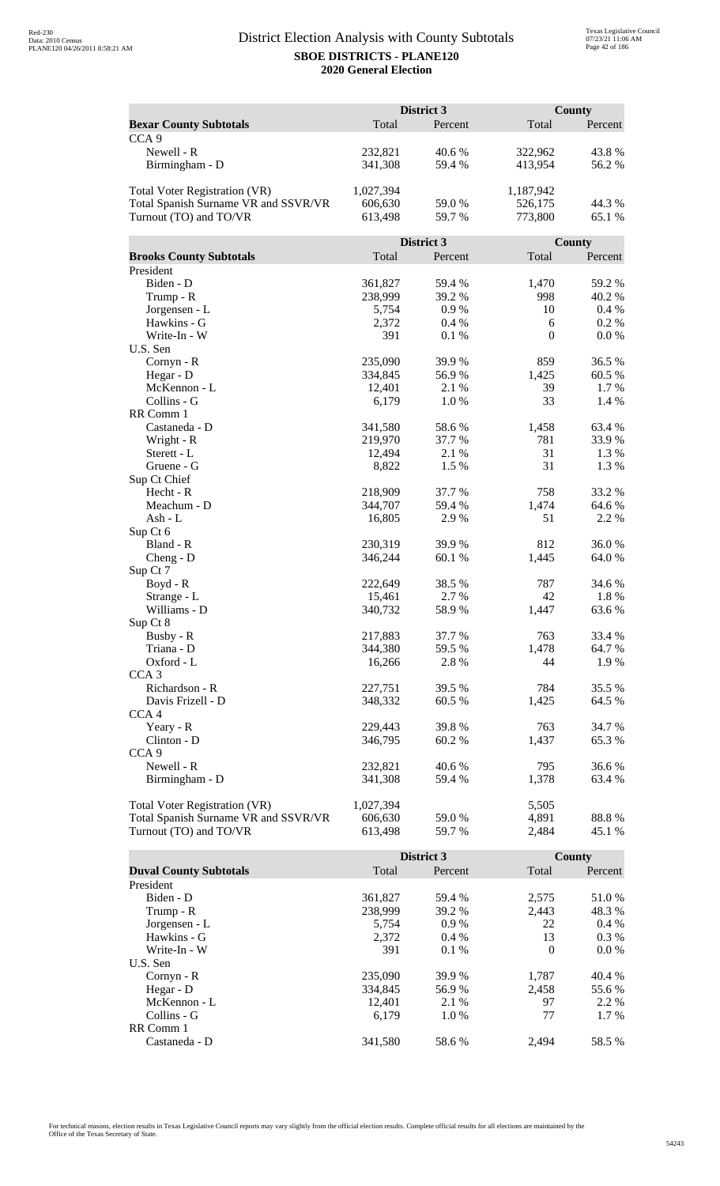|                                      | District 3 |            |              | <b>County</b>    |  |
|--------------------------------------|------------|------------|--------------|------------------|--|
| <b>Bexar County Subtotals</b>        | Total      | Percent    | Total        | Percent          |  |
| CCA <sub>9</sub>                     |            |            |              |                  |  |
| Newell - R                           | 232,821    | 40.6%      | 322,962      | 43.8%            |  |
|                                      |            | 59.4 %     | 413,954      | 56.2%            |  |
| Birmingham - D                       | 341,308    |            |              |                  |  |
| <b>Total Voter Registration (VR)</b> | 1,027,394  |            | 1,187,942    |                  |  |
| Total Spanish Surname VR and SSVR/VR | 606,630    | 59.0 %     | 526,175      | 44.3 %           |  |
| Turnout (TO) and TO/VR               |            | 59.7%      | 773,800      | 65.1 %           |  |
|                                      | 613,498    |            |              |                  |  |
|                                      |            | District 3 |              | County           |  |
| <b>Brooks County Subtotals</b>       | Total      | Percent    | Total        | Percent          |  |
|                                      |            |            |              |                  |  |
| President                            |            |            |              |                  |  |
| Biden - D                            | 361,827    | 59.4 %     | 1,470<br>998 | 59.2 %<br>40.2 % |  |
| Trump - R                            | 238,999    | 39.2 %     |              |                  |  |
| Jorgensen - L                        | 5,754      | 0.9%       | 10           | 0.4%             |  |
| Hawkins - G                          | 2,372      | 0.4%       | 6            | 0.2 %            |  |
| Write-In - W                         | 391        | 0.1%       | $\mathbf{0}$ | 0.0 %            |  |
| U.S. Sen                             | 235,090    |            |              |                  |  |
| Cornyn - R                           |            | 39.9%      | 859          | 36.5 %           |  |
| Hegar - D                            | 334,845    | 56.9%      | 1,425        | 60.5%            |  |
| McKennon - L                         | 12,401     | 2.1 %      | 39           | 1.7 %            |  |
| Collins - G                          | 6,179      | 1.0%       | 33           | 1.4 %            |  |
| RR Comm 1                            |            |            |              |                  |  |
| Castaneda - D                        | 341,580    | 58.6%      | 1,458        | 63.4 %           |  |
| Wright - R                           | 219,970    | 37.7 %     | 781          | 33.9%            |  |
| Sterett - L                          | 12,494     | 2.1 %      | 31           | 1.3%             |  |
| Gruene - G                           | 8,822      | 1.5 %      | 31           | 1.3%             |  |
| Sup Ct Chief                         |            |            |              |                  |  |
| Hecht - R                            | 218,909    | 37.7 %     | 758          | 33.2 %           |  |
| Meachum - D                          | 344,707    | 59.4 %     | 1,474        | 64.6 %           |  |
| Ash - L                              | 16,805     | 2.9%       | 51           | 2.2 %            |  |
| Sup Ct 6                             |            |            |              |                  |  |
| Bland - R                            | 230,319    | 39.9 %     | 812          | 36.0%            |  |
| $Cheng - D$                          | 346,244    | 60.1%      | 1,445        | 64.0%            |  |
| Sup Ct 7                             |            |            |              |                  |  |
| $Boyd - R$                           | 222,649    | 38.5 %     | 787          | 34.6 %           |  |
| Strange - L                          | 15,461     | 2.7 %      | 42           | 1.8%             |  |
| Williams - D                         | 340,732    | 58.9%      | 1,447        | 63.6%            |  |
| Sup Ct 8                             |            |            |              |                  |  |
| Busby - R                            | 217,883    | 37.7 %     | 763          | 33.4 %           |  |
| Triana - D                           | 344,380    | 59.5 %     | 1,478        | 64.7 %           |  |
| Oxford - L                           | 16,266     | 2.8 %      | 44           | 1.9%             |  |
| CCA <sub>3</sub>                     |            |            |              |                  |  |
| Richardson - R                       | 227,751    | 39.5 %     | 784          | 35.5 %           |  |
| Davis Frizell - D                    | 348,332    | 60.5 %     | 1,425        | 64.5 %           |  |
| CCA <sub>4</sub>                     |            |            |              |                  |  |
| Yeary - R                            | 229,443    | 39.8%      | 763          | 34.7 %           |  |
| Clinton - D                          | 346,795    | 60.2%      | 1,437        | 65.3%            |  |
| CCA <sub>9</sub>                     |            |            |              |                  |  |
| Newell - R                           | 232,821    | 40.6%      | 795          | 36.6%            |  |
| Birmingham - D                       | 341,308    | 59.4 %     | 1,378        | 63.4 %           |  |
|                                      |            |            |              |                  |  |
| <b>Total Voter Registration (VR)</b> | 1,027,394  |            | 5,505        |                  |  |
| Total Spanish Surname VR and SSVR/VR | 606,630    | 59.0 %     | 4,891        | 88.8%            |  |
| Turnout (TO) and TO/VR               | 613,498    | 59.7%      | 2,484        | 45.1 %           |  |

|                               |         | <b>District 3</b> |          | County  |
|-------------------------------|---------|-------------------|----------|---------|
| <b>Duval County Subtotals</b> | Total   | Percent           | Total    | Percent |
| President                     |         |                   |          |         |
| Biden - D                     | 361,827 | 59.4 %            | 2,575    | 51.0 %  |
| Trump - R                     | 238,999 | 39.2 %            | 2.443    | 48.3 %  |
| Jorgensen - L                 | 5.754   | $0.9\%$           | 22       | $0.4\%$ |
| Hawkins - G                   | 2,372   | $0.4\%$           | 13       | $0.3\%$ |
| Write-In - W                  | 391     | $0.1\%$           | $\Omega$ | $0.0\%$ |
| U.S. Sen                      |         |                   |          |         |
| $Cornyn - R$                  | 235,090 | 39.9 %            | 1,787    | 40.4 %  |
| Hegar - $D$                   | 334,845 | 56.9 %            | 2.458    | 55.6 %  |
| McKennon - L                  | 12,401  | 2.1 %             | 97       | 2.2 %   |
| Collins - G                   | 6.179   | $1.0\%$           | 77       | $1.7\%$ |
| RR Comm 1                     |         |                   |          |         |
| Castaneda - D                 | 341,580 | 58.6 %            | 2.494    | 58.5 %  |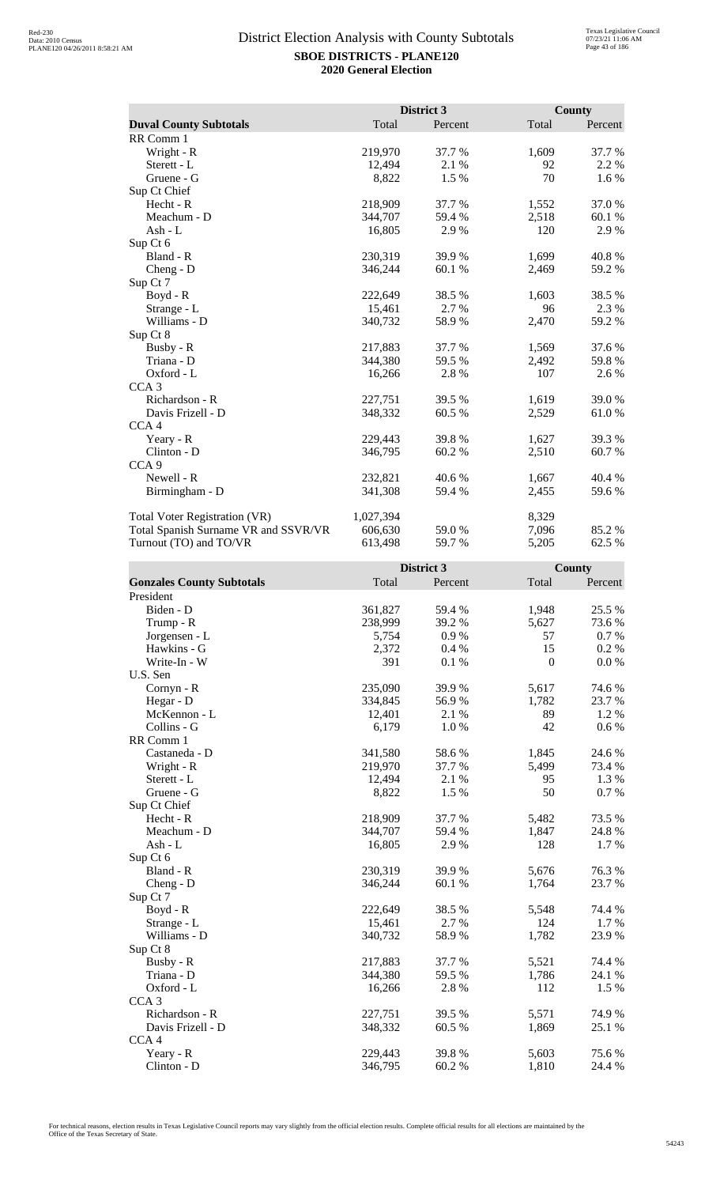|                                      |           | District 3 |       | <b>County</b> |
|--------------------------------------|-----------|------------|-------|---------------|
| <b>Duval County Subtotals</b>        | Total     | Percent    | Total | Percent       |
| RR Comm 1                            |           |            |       |               |
| Wright - R                           | 219,970   | 37.7 %     | 1,609 | 37.7 %        |
| Sterett - L                          | 12,494    | 2.1 %      | 92    | 2.2 %         |
| Gruene - G                           | 8,822     | 1.5 %      | 70    | 1.6 %         |
| Sup Ct Chief                         |           |            |       |               |
| Hecht - R                            | 218,909   | 37.7 %     | 1,552 | 37.0%         |
| Meachum - D                          | 344,707   | 59.4 %     | 2,518 | 60.1 %        |
| Ash - L                              | 16,805    | 2.9%       | 120   | 2.9 %         |
| Sup Ct 6                             |           |            |       |               |
| Bland - R                            | 230,319   | 39.9 %     | 1,699 | 40.8%         |
| $Cheng - D$                          | 346,244   | 60.1%      | 2,469 | 59.2 %        |
| Sup Ct 7                             |           |            |       |               |
| Boyd - R                             | 222,649   | 38.5%      | 1,603 | 38.5%         |
| Strange - L                          | 15,461    | 2.7 %      | 96    | 2.3 %         |
| Williams - D                         | 340,732   | 58.9%      | 2,470 | 59.2 %        |
| Sup Ct 8                             |           |            |       |               |
| Busby - R                            | 217,883   | 37.7 %     | 1,569 | 37.6 %        |
| Triana - D                           | 344,380   | 59.5 %     | 2,492 | 59.8%         |
| Oxford - L                           | 16,266    | 2.8%       | 107   | 2.6 %         |
| CCA <sub>3</sub>                     |           |            |       |               |
| Richardson - R                       | 227,751   | 39.5 %     | 1,619 | 39.0 %        |
| Davis Frizell - D                    | 348,332   | 60.5 %     | 2,529 | 61.0%         |
| CCA <sub>4</sub>                     |           |            |       |               |
| Yeary - R                            | 229,443   | 39.8%      | 1,627 | 39.3 %        |
| Clinton - D                          | 346,795   | 60.2 %     | 2,510 | 60.7 %        |
| CCA <sub>9</sub>                     |           |            |       |               |
| Newell - R                           | 232,821   | 40.6 %     | 1,667 | 40.4 %        |
| Birmingham - D                       | 341,308   | 59.4 %     | 2,455 | 59.6 %        |
| Total Voter Registration (VR)        | 1,027,394 |            | 8,329 |               |
| Total Spanish Surname VR and SSVR/VR | 606,630   | 59.0%      | 7,096 | 85.2%         |
| Turnout (TO) and TO/VR               | 613,498   | 59.7 %     | 5,205 | 62.5 %        |

|                                  |         | District 3 |                  | County  |
|----------------------------------|---------|------------|------------------|---------|
| <b>Gonzales County Subtotals</b> | Total   | Percent    | Total            | Percent |
| President                        |         |            |                  |         |
| Biden - D                        | 361,827 | 59.4 %     | 1,948            | 25.5 %  |
| Trump - R                        | 238,999 | 39.2%      | 5,627            | 73.6%   |
| Jorgensen - L                    | 5,754   | 0.9%       | 57               | 0.7%    |
| Hawkins - G                      | 2,372   | 0.4%       | 15               | 0.2 %   |
| Write-In - W                     | 391     | 0.1 %      | $\boldsymbol{0}$ | 0.0 %   |
| U.S. Sen                         |         |            |                  |         |
| Cornyn - R                       | 235,090 | 39.9%      | 5,617            | 74.6 %  |
| Hegar - D                        | 334,845 | 56.9%      | 1,782            | 23.7%   |
| McKennon - L                     | 12,401  | 2.1 %      | 89               | 1.2%    |
| Collins - G                      | 6,179   | 1.0%       | 42               | 0.6 %   |
| RR Comm 1                        |         |            |                  |         |
| Castaneda - D                    | 341,580 | 58.6%      | 1,845            | 24.6 %  |
| Wright - R                       | 219,970 | 37.7 %     | 5,499            | 73.4 %  |
| Sterett - L                      | 12,494  | 2.1 %      | 95               | 1.3 %   |
| Gruene - G                       | 8,822   | 1.5 %      | 50               | 0.7%    |
| Sup Ct Chief                     |         |            |                  |         |
| Hecht - R                        | 218,909 | 37.7%      | 5,482            | 73.5 %  |
| Meachum - D                      | 344,707 | 59.4 %     | 1,847            | 24.8%   |
| $Ash - L$                        | 16,805  | 2.9%       | 128              | 1.7 %   |
| Sup Ct 6                         |         |            |                  |         |
| Bland - R                        | 230,319 | 39.9%      | 5,676            | 76.3%   |
| $Cheng - D$                      | 346,244 | 60.1%      | 1,764            | 23.7%   |
| Sup Ct 7                         |         |            |                  |         |
| $Boyd - R$                       | 222,649 | 38.5 %     | 5,548            | 74.4 %  |
| Strange - L                      | 15,461  | 2.7 %      | 124              | 1.7 %   |
| Williams - D                     | 340,732 | 58.9%      | 1,782            | 23.9 %  |
| Sup Ct 8                         |         |            |                  |         |
| Busby - R                        | 217,883 | 37.7 %     | 5,521            | 74.4 %  |
| Triana - D                       | 344,380 | 59.5 %     | 1,786            | 24.1 %  |
| Oxford - L                       | 16,266  | 2.8%       | 112              | 1.5 %   |
| CCA <sub>3</sub>                 |         |            |                  |         |
| Richardson - R                   | 227,751 | 39.5 %     | 5,571            | 74.9%   |
| Davis Frizell - D                | 348,332 | 60.5 %     | 1,869            | 25.1 %  |
| CCA <sub>4</sub>                 |         |            |                  |         |
| Yeary - R                        | 229,443 | 39.8%      | 5,603            | 75.6%   |
| Clinton - D                      | 346,795 | 60.2%      | 1,810            | 24.4 %  |
|                                  |         |            |                  |         |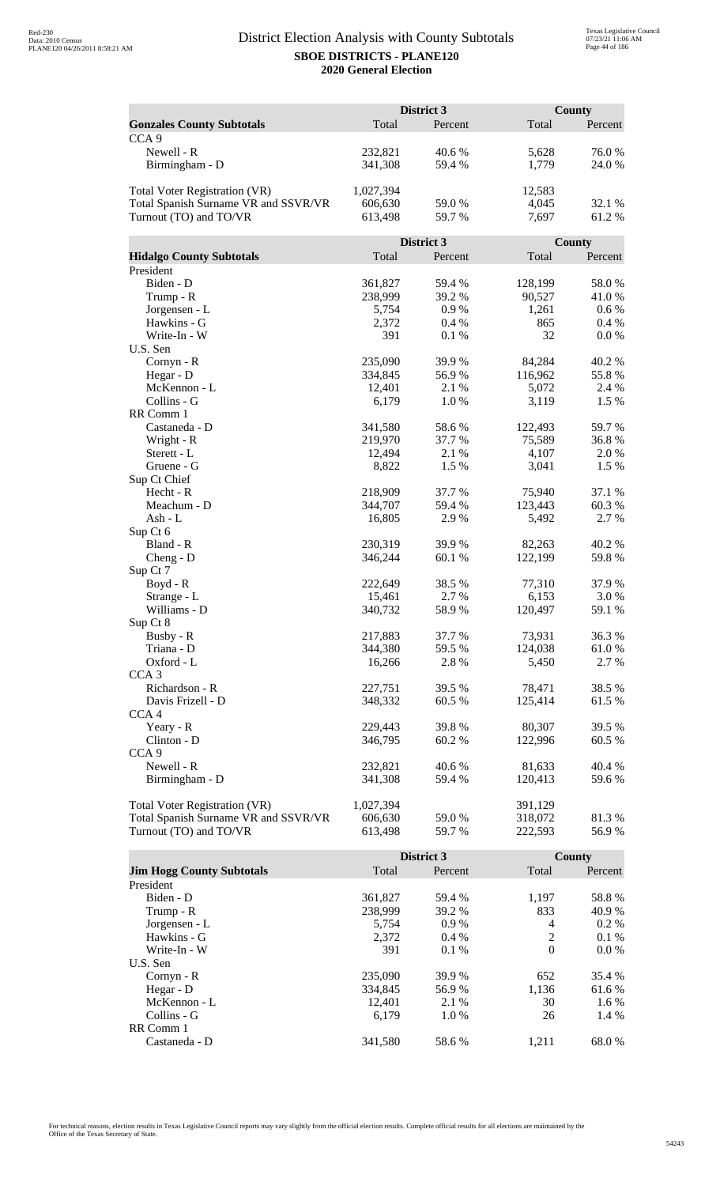|                                      | District 3 |            |         | <b>County</b> |  |
|--------------------------------------|------------|------------|---------|---------------|--|
| <b>Gonzales County Subtotals</b>     | Total      | Percent    | Total   | Percent       |  |
| CCA <sub>9</sub>                     |            |            |         |               |  |
| Newell - R                           | 232,821    | 40.6%      | 5,628   | 76.0%         |  |
| Birmingham - D                       | 341,308    | 59.4 %     | 1,779   | 24.0 %        |  |
|                                      |            |            |         |               |  |
| <b>Total Voter Registration (VR)</b> | 1,027,394  |            | 12,583  |               |  |
| Total Spanish Surname VR and SSVR/VR | 606,630    | 59.0%      | 4,045   | 32.1 %        |  |
| Turnout (TO) and TO/VR               | 613,498    | 59.7 %     | 7,697   | 61.2%         |  |
|                                      |            |            |         |               |  |
|                                      |            | District 3 |         | County        |  |
| <b>Hidalgo County Subtotals</b>      | Total      | Percent    | Total   | Percent       |  |
| President                            |            |            |         |               |  |
| Biden - D                            | 361,827    | 59.4 %     | 128,199 | 58.0%         |  |
| Trump - R                            | 238,999    | 39.2 %     | 90,527  | 41.0%         |  |
| Jorgensen - L                        | 5,754      | 0.9%       | 1,261   | 0.6 %         |  |
| Hawkins - G                          | 2,372      | 0.4%       | 865     | 0.4%          |  |
| Write-In - W                         | 391        | 0.1 %      | 32      | 0.0 %         |  |
| U.S. Sen                             |            |            |         |               |  |
|                                      | 235,090    | 39.9%      | 84,284  | 40.2%         |  |
| Cornyn - R                           | 334,845    | 56.9%      | 116,962 | 55.8%         |  |
| Hegar - D<br>McKennon - L            | 12,401     | 2.1 %      | 5,072   | 2.4 %         |  |
| Collins - G                          |            |            |         |               |  |
|                                      | 6,179      | 1.0%       | 3,119   | 1.5 %         |  |
| RR Comm 1                            |            |            |         |               |  |
| Castaneda - D                        | 341,580    | 58.6%      | 122,493 | 59.7%         |  |
| Wright - R                           | 219,970    | 37.7 %     | 75,589  | 36.8%         |  |
| Sterett - L                          | 12,494     | 2.1 %      | 4,107   | 2.0%          |  |
| Gruene - G                           | 8,822      | 1.5 %      | 3,041   | 1.5%          |  |
| Sup Ct Chief                         |            |            |         |               |  |
| Hecht - R                            | 218,909    | 37.7 %     | 75,940  | 37.1 %        |  |
| Meachum - D                          | 344,707    | 59.4 %     | 123,443 | 60.3%         |  |
| Ash - L                              | 16,805     | 2.9%       | 5,492   | 2.7 %         |  |
| Sup Ct 6                             |            |            |         |               |  |
| Bland - R                            | 230,319    | 39.9 %     | 82,263  | 40.2 %        |  |
| $Cheng - D$                          | 346,244    | 60.1%      | 122,199 | 59.8%         |  |
| Sup Ct 7                             |            |            |         |               |  |
| Boyd - R                             | 222,649    | 38.5 %     | 77,310  | 37.9%         |  |
| Strange - L                          | 15,461     | 2.7 %      | 6,153   | 3.0%          |  |
| Williams - D                         | 340,732    | 58.9%      | 120,497 | 59.1 %        |  |
| Sup Ct 8                             |            |            |         |               |  |
| Busby - R                            | 217,883    | 37.7 %     | 73,931  | 36.3 %        |  |
| Triana - D                           | 344,380    | 59.5 %     | 124,038 | 61.0%         |  |
| Oxford - L                           | 16,266     | 2.8 %      | 5,450   | 2.7 %         |  |
| CCA <sub>3</sub>                     |            |            |         |               |  |
| Richardson - R                       | 227,751    | 39.5 %     | 78,471  | 38.5 %        |  |
| Davis Frizell - D                    | 348,332    | 60.5 %     | 125,414 | 61.5 %        |  |
| CCA <sub>4</sub>                     |            |            |         |               |  |
| Yeary - R                            | 229,443    | 39.8%      | 80,307  | 39.5 %        |  |
| Clinton - D                          | 346,795    | 60.2%      | 122,996 | 60.5 %        |  |
| CCA <sub>9</sub>                     |            |            |         |               |  |
| Newell - R                           | 232,821    | 40.6%      | 81,633  | 40.4 %        |  |
| Birmingham - D                       | 341,308    | 59.4 %     | 120,413 | 59.6%         |  |
|                                      |            |            |         |               |  |
| <b>Total Voter Registration (VR)</b> | 1,027,394  |            | 391,129 |               |  |
| Total Spanish Surname VR and SSVR/VR | 606,630    | 59.0 %     | 318,072 | 81.3%         |  |
| Turnout (TO) and TO/VR               | 613,498    | 59.7%      | 222,593 | 56.9%         |  |

|                                  |         | <b>District 3</b> |          | County  |
|----------------------------------|---------|-------------------|----------|---------|
| <b>Jim Hogg County Subtotals</b> | Total   | Percent           | Total    | Percent |
| President                        |         |                   |          |         |
| Biden - D                        | 361,827 | 59.4 %            | 1.197    | 58.8%   |
| Trump - R                        | 238,999 | 39.2 %            | 833      | 40.9 %  |
| Jorgensen - L                    | 5.754   | $0.9\%$           | 4        | $0.2\%$ |
| Hawkins - G                      | 2.372   | $0.4\%$           | 2        | $0.1\%$ |
| Write-In - W                     | 391     | 0.1%              | $\theta$ | $0.0\%$ |
| U.S. Sen                         |         |                   |          |         |
| Cornyn - R                       | 235,090 | 39.9 %            | 652      | 35.4 %  |
| Hegar - $D$                      | 334,845 | 56.9%             | 1.136    | 61.6 %  |
| McKennon - L                     | 12,401  | 2.1 %             | 30       | 1.6 %   |
| Collins - G                      | 6.179   | 1.0%              | 26       | 1.4 %   |
| RR Comm 1                        |         |                   |          |         |
| Castaneda - D                    | 341.580 | 58.6 %            | 1.211    | 68.0 %  |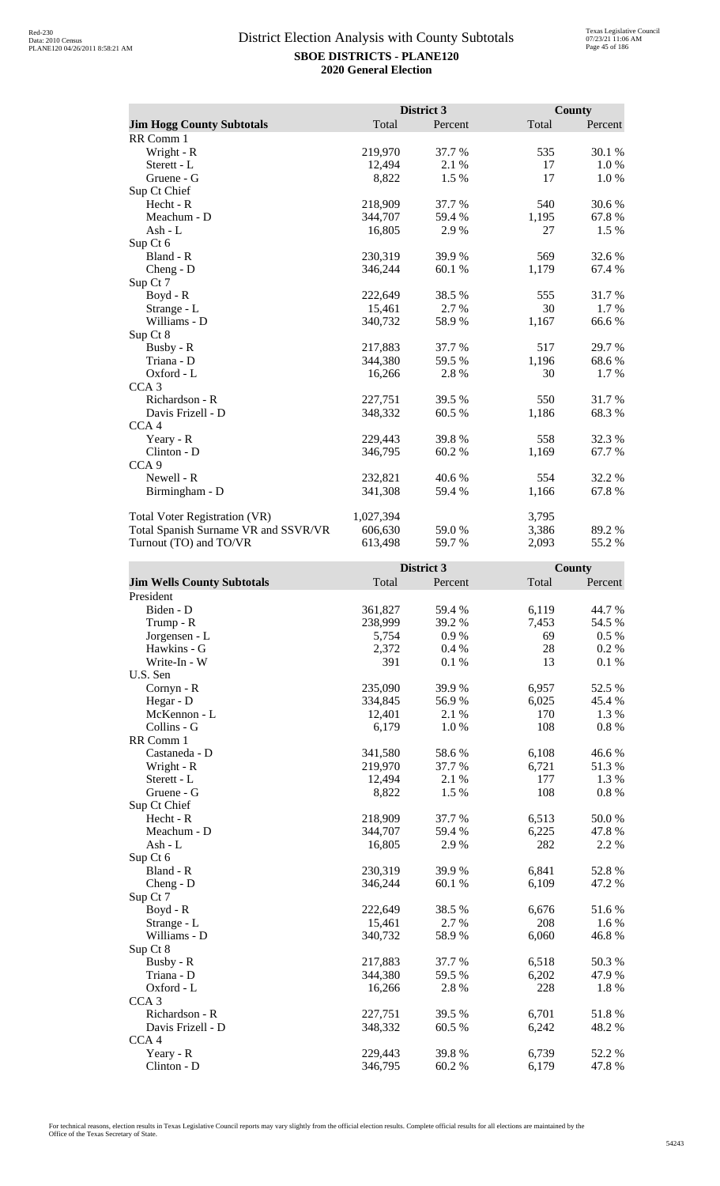|                                      |           | District 3 |       | County  |
|--------------------------------------|-----------|------------|-------|---------|
| <b>Jim Hogg County Subtotals</b>     | Total     | Percent    | Total | Percent |
| RR Comm 1                            |           |            |       |         |
| Wright - R                           | 219,970   | 37.7 %     | 535   | 30.1 %  |
| Sterett - L                          | 12,494    | 2.1 %      | 17    | 1.0%    |
| Gruene - G                           | 8,822     | 1.5 %      | 17    | 1.0 %   |
| Sup Ct Chief                         |           |            |       |         |
| Hecht - R                            | 218,909   | 37.7 %     | 540   | 30.6%   |
| Meachum - D                          | 344,707   | 59.4 %     | 1,195 | 67.8%   |
| Ash - $L$                            | 16,805    | 2.9%       | 27    | 1.5 %   |
| Sup Ct 6                             |           |            |       |         |
| Bland - R                            | 230,319   | 39.9%      | 569   | 32.6 %  |
| $Cheng - D$                          | 346,244   | 60.1%      | 1,179 | 67.4 %  |
| Sup Ct 7                             |           |            |       |         |
| $Boyd - R$                           | 222,649   | 38.5%      | 555   | 31.7%   |
| Strange - L                          | 15,461    | 2.7 %      | 30    | 1.7 %   |
| Williams - D                         | 340,732   | 58.9%      | 1,167 | 66.6%   |
| Sup Ct 8                             |           |            |       |         |
| Busby - R                            | 217,883   | 37.7 %     | 517   | 29.7 %  |
| Triana - D                           | 344,380   | 59.5 %     | 1,196 | 68.6 %  |
| Oxford - L                           | 16,266    | 2.8%       | 30    | 1.7%    |
| CCA <sub>3</sub>                     |           |            |       |         |
| Richardson - R                       | 227,751   | 39.5 %     | 550   | 31.7%   |
| Davis Frizell - D                    | 348,332   | 60.5 %     | 1,186 | 68.3%   |
| CCA <sub>4</sub>                     |           |            |       |         |
| Yeary - R                            | 229,443   | 39.8%      | 558   | 32.3 %  |
| Clinton - D                          | 346,795   | 60.2%      | 1,169 | 67.7 %  |
| CCA <sub>9</sub>                     |           |            |       |         |
| Newell - R                           | 232,821   | 40.6 %     | 554   | 32.2 %  |
| Birmingham - D                       | 341,308   | 59.4 %     | 1,166 | 67.8%   |
| <b>Total Voter Registration (VR)</b> | 1,027,394 |            | 3,795 |         |
| Total Spanish Surname VR and SSVR/VR | 606,630   | 59.0%      | 3,386 | 89.2%   |
| Turnout (TO) and TO/VR               | 613,498   | 59.7 %     | 2,093 | 55.2%   |

|                                   |         | District 3 |       | County   |
|-----------------------------------|---------|------------|-------|----------|
| <b>Jim Wells County Subtotals</b> | Total   | Percent    | Total | Percent  |
| President                         |         |            |       |          |
| Biden - D                         | 361,827 | 59.4 %     | 6,119 | 44.7%    |
| Trump - R                         | 238,999 | 39.2 %     | 7,453 | 54.5 %   |
| Jorgensen - L                     | 5,754   | 0.9%       | 69    | $0.5 \%$ |
| Hawkins - G                       | 2,372   | 0.4%       | 28    | 0.2 %    |
| Write-In - W                      | 391     | 0.1%       | 13    | 0.1%     |
| U.S. Sen                          |         |            |       |          |
| Cornyn - R                        | 235,090 | 39.9%      | 6,957 | 52.5 %   |
| Hegar - D                         | 334,845 | 56.9%      | 6,025 | 45.4 %   |
| McKennon - L                      | 12,401  | 2.1 %      | 170   | 1.3 %    |
| Collins - G                       | 6,179   | 1.0%       | 108   | $0.8 \%$ |
| RR Comm 1                         |         |            |       |          |
| Castaneda - D                     | 341,580 | 58.6%      | 6,108 | 46.6%    |
| Wright - R                        | 219,970 | 37.7 %     | 6,721 | 51.3%    |
| Sterett - L                       | 12,494  | 2.1 %      | 177   | 1.3 %    |
| Gruene - G                        | 8,822   | 1.5 %      | 108   | $0.8~\%$ |
| Sup Ct Chief                      |         |            |       |          |
| Hecht - R                         | 218,909 | 37.7 %     | 6,513 | 50.0%    |
| Meachum - D                       | 344,707 | 59.4%      | 6,225 | 47.8%    |
| $Ash - L$                         | 16,805  | 2.9%       | 282   | 2.2 %    |
| Sup Ct 6                          |         |            |       |          |
| Bland - R                         | 230,319 | 39.9 %     | 6,841 | 52.8%    |
| $Cheng - D$                       | 346,244 | 60.1%      | 6,109 | 47.2 %   |
| Sup Ct 7                          |         |            |       |          |
| Boyd - R                          | 222,649 | 38.5%      | 6,676 | 51.6%    |
| Strange - L                       | 15,461  | 2.7 %      | 208   | 1.6 %    |
| Williams - D                      | 340,732 | 58.9%      | 6,060 | 46.8%    |
| Sup Ct 8                          |         |            |       |          |
| Busby - R                         | 217,883 | 37.7%      | 6,518 | 50.3%    |
| Triana - D                        | 344,380 | 59.5 %     | 6,202 | 47.9%    |
| Oxford - L                        | 16,266  | 2.8%       | 228   | 1.8%     |
| CCA <sub>3</sub>                  |         |            |       |          |
| Richardson - R                    | 227,751 | 39.5 %     | 6,701 | 51.8 %   |
| Davis Frizell - D                 | 348,332 | 60.5 %     | 6,242 | 48.2%    |
| CCA <sub>4</sub>                  |         |            |       |          |
| Yeary - R                         | 229,443 | 39.8%      | 6,739 | 52.2 %   |
| Clinton - D                       | 346,795 | 60.2%      | 6,179 | 47.8%    |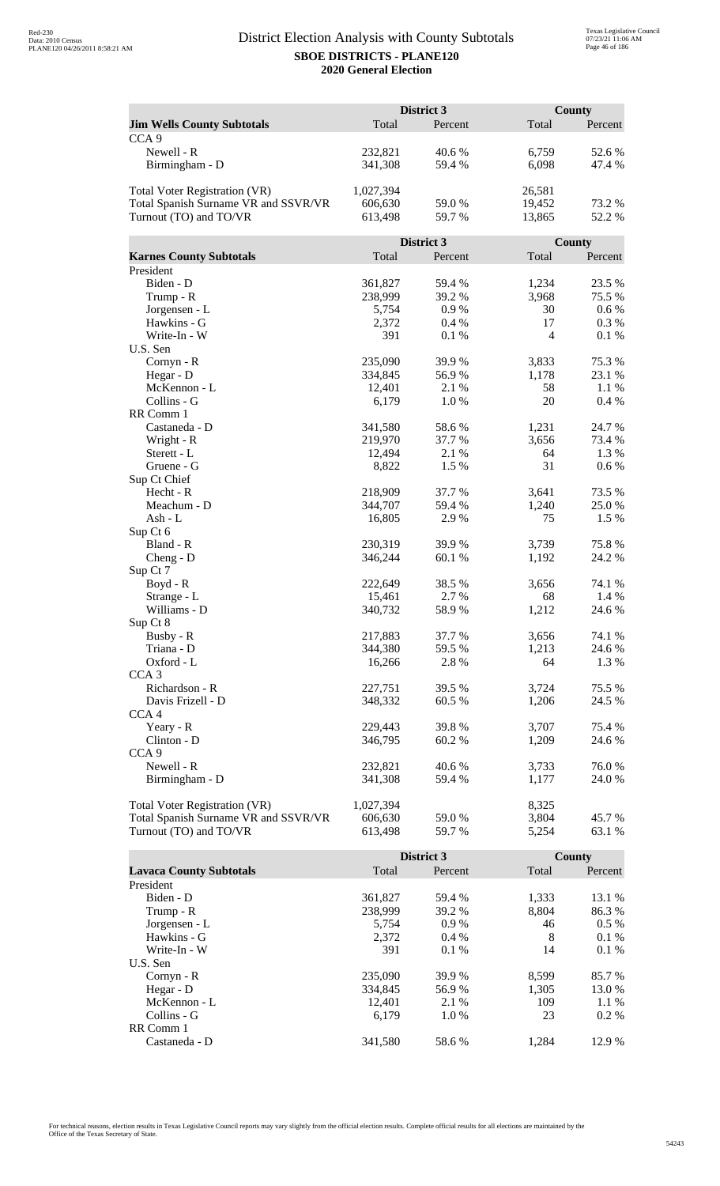|                                      |           | District 3 |                | <b>County</b> |
|--------------------------------------|-----------|------------|----------------|---------------|
| <b>Jim Wells County Subtotals</b>    | Total     | Percent    | Total          | Percent       |
| CCA <sub>9</sub>                     |           |            |                |               |
| Newell - R                           | 232,821   | 40.6%      | 6,759          | 52.6 %        |
| Birmingham - D                       | 341,308   | 59.4 %     | 6,098          | 47.4 %        |
|                                      |           |            |                |               |
| <b>Total Voter Registration (VR)</b> | 1,027,394 |            | 26,581         |               |
| Total Spanish Surname VR and SSVR/VR | 606,630   | 59.0 %     | 19,452         | 73.2 %        |
| Turnout (TO) and TO/VR               | 613,498   | 59.7 %     | 13,865         | 52.2 %        |
|                                      |           |            |                |               |
|                                      |           | District 3 |                | <b>County</b> |
| <b>Karnes County Subtotals</b>       | Total     | Percent    | Total          | Percent       |
| President                            |           |            |                |               |
| Biden - D                            | 361,827   | 59.4 %     | 1,234          | 23.5 %        |
| Trump - R                            | 238,999   | 39.2 %     | 3,968          | 75.5 %        |
| Jorgensen - L                        | 5,754     | 0.9%       | 30             | 0.6 %         |
| Hawkins - G                          | 2,372     | 0.4%       | 17             | 0.3 %         |
| Write-In - W                         | 391       | 0.1 %      | $\overline{4}$ | 0.1%          |
| U.S. Sen                             |           |            |                |               |
| Cornyn - R                           | 235,090   | 39.9%      | 3,833          | 75.3 %        |
| Hegar - D                            | 334,845   | 56.9%      | 1,178          | 23.1 %        |
| McKennon - L                         | 12,401    | 2.1 %      | 58             | 1.1%          |
|                                      |           |            |                |               |
| Collins - G                          | 6,179     | 1.0%       | 20             | 0.4%          |
| RR Comm 1                            |           |            |                |               |
| Castaneda - D                        | 341,580   | 58.6%      | 1,231          | 24.7 %        |
| Wright - R                           | 219,970   | 37.7 %     | 3,656          | 73.4 %        |
| Sterett - L                          | 12,494    | 2.1 %      | 64             | 1.3 %         |
| Gruene - G                           | 8,822     | 1.5 %      | 31             | 0.6 %         |
| Sup Ct Chief                         |           |            |                |               |
| Hecht - R                            | 218,909   | 37.7 %     | 3,641          | 73.5 %        |
| Meachum - D                          | 344,707   | 59.4 %     | 1,240          | 25.0%         |
| Ash - L                              | 16,805    | 2.9%       | 75             | 1.5 %         |
| Sup Ct 6                             |           |            |                |               |
| Bland - R                            | 230,319   | 39.9 %     | 3,739          | 75.8%         |
| $Cheng - D$                          | 346,244   | 60.1%      | 1,192          | 24.2 %        |
| Sup Ct 7                             |           |            |                |               |
| Boyd - R                             | 222,649   | 38.5 %     | 3,656          | 74.1 %        |
| Strange - L                          | 15,461    | 2.7 %      | 68             | 1.4 %         |
| Williams - D                         | 340,732   | 58.9%      | 1,212          | 24.6 %        |
| Sup Ct 8                             |           |            |                |               |
| Busby - R                            | 217,883   | 37.7 %     | 3,656          | 74.1 %        |
| Triana - D                           | 344,380   | 59.5 %     | 1,213          | 24.6 %        |
| Oxford - L                           | 16,266    | 2.8 %      | 64             | 1.3 %         |
| CCA <sub>3</sub>                     |           |            |                |               |
| Richardson - R                       | 227,751   | 39.5 %     | 3,724          | 75.5 %        |
| Davis Frizell - D                    | 348,332   | 60.5 %     | 1,206          | 24.5 %        |
| CCA <sub>4</sub>                     |           |            |                |               |
| Yeary - R                            | 229,443   | 39.8%      | 3,707          | 75.4 %        |
| Clinton - D                          | 346,795   | 60.2%      | 1,209          | 24.6 %        |
| CCA <sub>9</sub>                     |           |            |                |               |
| Newell - R                           | 232,821   | 40.6%      | 3,733          | 76.0%         |
| Birmingham - D                       | 341,308   | 59.4 %     | 1,177          | 24.0 %        |
|                                      |           |            |                |               |
| <b>Total Voter Registration (VR)</b> | 1,027,394 |            | 8,325          |               |
| Total Spanish Surname VR and SSVR/VR | 606,630   | 59.0 %     | 3,804          | 45.7 %        |
| Turnout (TO) and TO/VR               | 613,498   | 59.7%      | 5,254          | 63.1 %        |

|                                |         | District 3 |       | County  |
|--------------------------------|---------|------------|-------|---------|
| <b>Lavaca County Subtotals</b> | Total   | Percent    | Total | Percent |
| President                      |         |            |       |         |
| Biden - D                      | 361,827 | 59.4 %     | 1,333 | 13.1 %  |
| Trump - R                      | 238,999 | 39.2 %     | 8,804 | 86.3%   |
| Jorgensen - L                  | 5.754   | $0.9\%$    | 46    | $0.5\%$ |
| Hawkins - G                    | 2,372   | $0.4\%$    | 8     | $0.1\%$ |
| Write-In - W                   | 391     | 0.1%       | 14    | 0.1%    |
| U.S. Sen                       |         |            |       |         |
| Cornyn - R                     | 235,090 | 39.9 %     | 8.599 | 85.7 %  |
| Hegar - $D$                    | 334,845 | 56.9%      | 1.305 | 13.0 %  |
| McKennon - L                   | 12.401  | 2.1 %      | 109   | $1.1\%$ |
| Collins - G                    | 6.179   | 1.0%       | 23    | $0.2\%$ |
| RR Comm 1                      |         |            |       |         |
| Castaneda - D                  | 341,580 | 58.6 %     | 1.284 | 12.9 %  |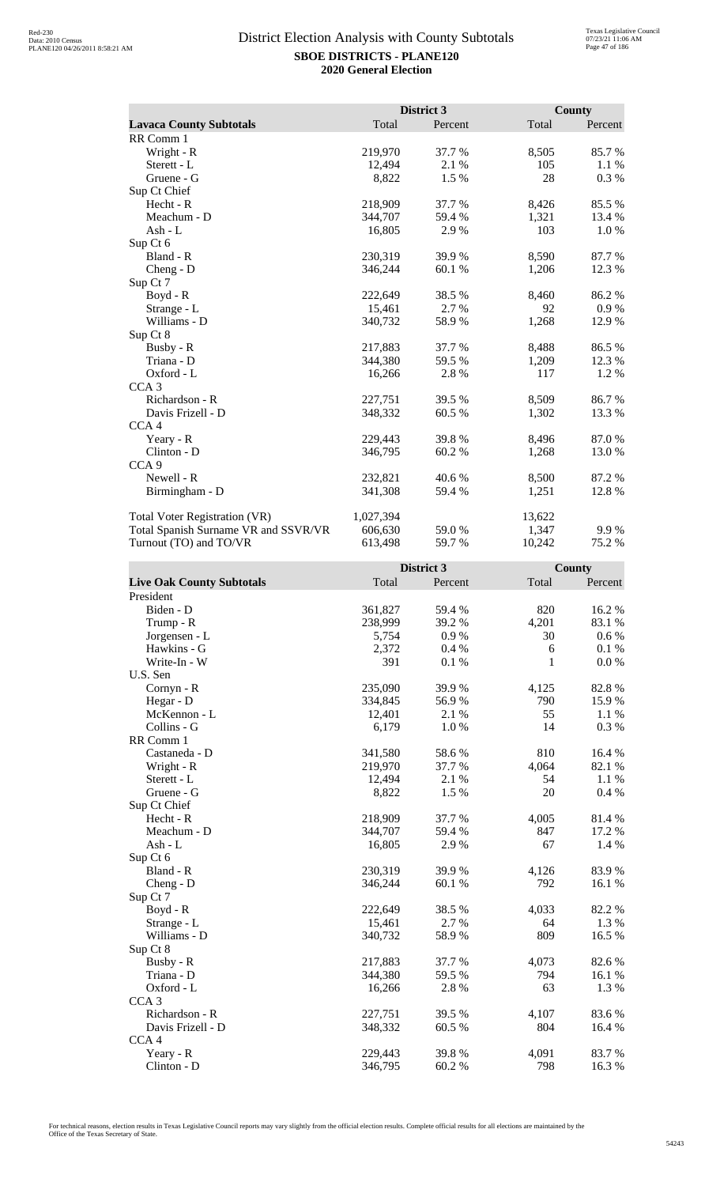|                                      |           | District 3 |        | <b>County</b> |
|--------------------------------------|-----------|------------|--------|---------------|
| <b>Lavaca County Subtotals</b>       | Total     | Percent    | Total  | Percent       |
| RR Comm 1                            |           |            |        |               |
| Wright - R                           | 219,970   | 37.7 %     | 8,505  | 85.7%         |
| Sterett - L                          | 12,494    | 2.1 %      | 105    | 1.1%          |
| Gruene - G                           | 8,822     | 1.5 %      | 28     | 0.3 %         |
| Sup Ct Chief                         |           |            |        |               |
| Hecht - R                            | 218,909   | 37.7 %     | 8,426  | 85.5%         |
| Meachum - D                          | 344,707   | 59.4 %     | 1,321  | 13.4 %        |
| Ash - $L$                            | 16,805    | 2.9%       | 103    | 1.0 %         |
| Sup Ct 6                             |           |            |        |               |
| Bland - R                            | 230,319   | 39.9%      | 8,590  | 87.7%         |
| $Cheng - D$                          | 346,244   | 60.1%      | 1,206  | 12.3 %        |
| Sup Ct 7                             |           |            |        |               |
| $Boyd - R$                           | 222,649   | 38.5 %     | 8,460  | 86.2%         |
| Strange - L                          | 15,461    | 2.7 %      | 92     | 0.9%          |
| Williams - D                         | 340,732   | 58.9%      | 1,268  | 12.9%         |
| Sup Ct 8                             |           |            |        |               |
| Busby - R                            | 217,883   | 37.7 %     | 8,488  | 86.5%         |
| Triana - D                           | 344,380   | 59.5 %     | 1,209  | 12.3 %        |
| Oxford - L                           | 16,266    | 2.8%       | 117    | 1.2%          |
| CCA <sub>3</sub>                     |           |            |        |               |
| Richardson - R                       | 227,751   | 39.5 %     | 8,509  | 86.7 %        |
| Davis Frizell - D                    | 348,332   | 60.5 %     | 1,302  | 13.3 %        |
| CCA <sub>4</sub>                     |           |            |        |               |
| Yeary - R                            | 229,443   | 39.8%      | 8,496  | 87.0%         |
| Clinton - D                          | 346,795   | 60.2%      | 1,268  | 13.0%         |
| CCA <sub>9</sub>                     |           |            |        |               |
| Newell - R                           | 232,821   | 40.6 %     | 8,500  | 87.2 %        |
| Birmingham - D                       | 341,308   | 59.4 %     | 1,251  | 12.8%         |
| <b>Total Voter Registration (VR)</b> | 1,027,394 |            | 13,622 |               |
| Total Spanish Surname VR and SSVR/VR | 606,630   | 59.0%      | 1,347  | 9.9%          |
| Turnout (TO) and TO/VR               | 613,498   | 59.7 %     | 10,242 | 75.2 %        |

|                                  |         | District 3 |       | <b>County</b> |
|----------------------------------|---------|------------|-------|---------------|
| <b>Live Oak County Subtotals</b> | Total   | Percent    | Total | Percent       |
| President                        |         |            |       |               |
| Biden - D                        | 361,827 | 59.4 %     | 820   | 16.2%         |
| Trump - R                        | 238,999 | 39.2 %     | 4,201 | 83.1 %        |
| Jorgensen - L                    | 5,754   | 0.9%       | 30    | $0.6\%$       |
| Hawkins - G                      | 2,372   | 0.4%       | 6     | 0.1%          |
| Write-In - W                     | 391     | 0.1%       | 1     | 0.0 %         |
| U.S. Sen                         |         |            |       |               |
| Cornyn - R                       | 235,090 | 39.9%      | 4,125 | 82.8%         |
| Hegar - D                        | 334,845 | 56.9%      | 790   | 15.9%         |
| McKennon - L                     | 12,401  | 2.1%       | 55    | 1.1 %         |
| Collins - G                      | 6,179   | 1.0%       | 14    | 0.3%          |
| RR Comm 1                        |         |            |       |               |
| Castaneda - D                    | 341,580 | 58.6%      | 810   | 16.4 %        |
| Wright - R                       | 219,970 | 37.7 %     | 4,064 | 82.1 %        |
| Sterett - L                      | 12,494  | 2.1 %      | 54    | 1.1 %         |
| Gruene - G                       | 8,822   | 1.5 %      | 20    | 0.4 %         |
| Sup Ct Chief                     |         |            |       |               |
| $Hecht - R$                      | 218,909 | 37.7 %     | 4,005 | 81.4%         |
| Meachum - D                      | 344,707 | 59.4%      | 847   | 17.2 %        |
| $Ash - L$                        | 16,805  | 2.9%       | 67    | 1.4 %         |
| Sup Ct 6                         |         |            |       |               |
| Bland - R                        | 230,319 | 39.9 %     | 4,126 | 83.9%         |
| $Cheng - D$                      | 346,244 | 60.1%      | 792   | 16.1 %        |
| Sup Ct 7                         |         |            |       |               |
| Boyd - R                         | 222,649 | 38.5%      | 4,033 | 82.2 %        |
| Strange - L                      | 15,461  | 2.7 %      | 64    | 1.3 %         |
| Williams - D                     | 340,732 | 58.9%      | 809   | 16.5 %        |
| Sup Ct 8                         |         |            |       |               |
| Busby - R                        | 217,883 | 37.7%      | 4,073 | 82.6%         |
| Triana - D                       | 344,380 | 59.5 %     | 794   | 16.1 %        |
| Oxford - L                       | 16,266  | 2.8%       | 63    | 1.3%          |
| CCA <sub>3</sub>                 |         |            |       |               |
| Richardson - R                   | 227,751 | 39.5 %     | 4,107 | 83.6%         |
| Davis Frizell - D                | 348,332 | 60.5%      | 804   | 16.4 %        |
| CCA <sub>4</sub>                 |         |            |       |               |
| Yeary - R                        | 229,443 | 39.8%      | 4,091 | 83.7 %        |
| Clinton - D                      | 346,795 | 60.2%      | 798   | 16.3 %        |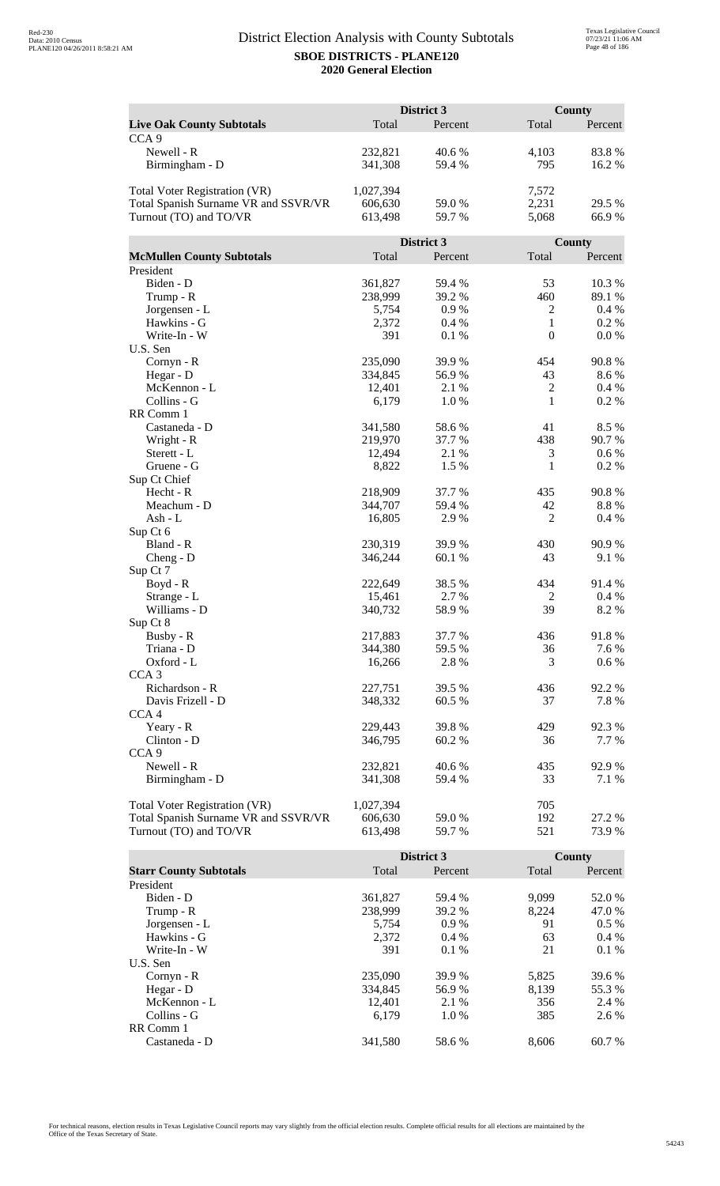| Total<br>Total<br>Percent<br><b>Live Oak County Subtotals</b><br>Percent<br>CCA <sub>9</sub><br>Newell - R<br>232,821<br>40.6%<br>4,103<br>83.8%<br>795<br>341,308<br>59.4 %<br>16.2%<br>Birmingham - D<br>7,572<br>Total Voter Registration (VR)<br>1,027,394<br>2,231<br>Total Spanish Surname VR and SSVR/VR<br>606,630<br>59.0 %<br>29.5 %<br>Turnout (TO) and TO/VR<br>5,068<br>66.9%<br>613,498<br>59.7 %<br>District 3<br>County<br>Total<br><b>McMullen County Subtotals</b><br>Total<br>Percent<br>Percent<br>President<br>Biden - D<br>361,827<br>59.4 %<br>53<br>10.3%<br>238,999<br>39.2 %<br>460<br>89.1 %<br>Trump - R<br>Jorgensen - L<br>0.9%<br>2<br>$0.4\%$<br>5,754<br>Hawkins - G<br>2,372<br>0.4%<br>1<br>$0.2 \%$<br>$\boldsymbol{0}$<br>Write-In - W<br>391<br>0.0 %<br>0.1%<br>U.S. Sen<br>90.8%<br>$Cornyn - R$<br>235,090<br>39.9%<br>454<br>56.9%<br>43<br>8.6%<br>Hegar - D<br>334,845<br>$\overline{2}$<br>McKennon - L<br>12,401<br>$0.4\%$<br>2.1 %<br>1<br>Collins - G<br>6,179<br>1.0%<br>0.2 %<br>RR Comm 1<br>Castaneda - D<br>341,580<br>58.6%<br>41<br>8.5%<br>438<br>Wright - R<br>219,970<br>37.7 %<br>90.7 %<br>12,494<br>2.1 %<br>3<br>0.6 %<br>Sterett - L<br>$\mathbf{1}$<br>0.2%<br>8,822<br>1.5 %<br>Gruene - G<br>Sup Ct Chief<br>90.8%<br>Hecht - R<br>218,909<br>37.7 %<br>435<br>Meachum - D<br>344,707<br>59.4 %<br>42<br>8.8%<br>$\overline{2}$<br>$Ash - L$<br>16,805<br>2.9%<br>0.4 %<br>Sup Ct 6<br>Bland - R<br>230,319<br>39.9 %<br>430<br>90.9%<br>43<br>346,244<br>60.1%<br>9.1%<br>$Cheng - D$<br>Sup Ct 7<br>91.4%<br>222,649<br>38.5 %<br>434<br>Boyd - R<br>15,461<br>2.7 %<br>$\overline{c}$<br>0.4%<br>Strange - L<br>39<br>8.2%<br>Williams - D<br>58.9%<br>340,732<br>Sup Ct 8<br>Busby - R<br>217,883<br>37.7 %<br>436<br>91.8%<br>7.6 %<br>Triana - D<br>344,380<br>59.5 %<br>36<br>Oxford - L<br>3<br>0.6 %<br>16,266<br>2.8 %<br>CCA <sub>3</sub><br>Richardson - R<br>436<br>92.2%<br>227,751<br>39.5 %<br>Davis Frizell - D<br>348,332<br>60.5 %<br>37<br>7.8%<br>CCA <sub>4</sub><br>229,443<br>39.8%<br>429<br>92.3 %<br>Yeary - R<br>Clinton - D<br>346,795<br>36<br>60.2%<br>7.7 %<br>CCA <sub>9</sub><br>Newell - R<br>232,821<br>40.6%<br>435<br>92.9%<br>33<br>Birmingham - D<br>341,308<br>59.4 %<br>7.1 %<br><b>Total Voter Registration (VR)</b><br>1,027,394<br>705<br>Total Spanish Surname VR and SSVR/VR<br>192<br>27.2 %<br>606,630<br>59.0 %<br>Turnout (TO) and TO/VR<br>613,498<br>59.7%<br>521<br>73.9% | District 3 |  | <b>County</b> |  |
|----------------------------------------------------------------------------------------------------------------------------------------------------------------------------------------------------------------------------------------------------------------------------------------------------------------------------------------------------------------------------------------------------------------------------------------------------------------------------------------------------------------------------------------------------------------------------------------------------------------------------------------------------------------------------------------------------------------------------------------------------------------------------------------------------------------------------------------------------------------------------------------------------------------------------------------------------------------------------------------------------------------------------------------------------------------------------------------------------------------------------------------------------------------------------------------------------------------------------------------------------------------------------------------------------------------------------------------------------------------------------------------------------------------------------------------------------------------------------------------------------------------------------------------------------------------------------------------------------------------------------------------------------------------------------------------------------------------------------------------------------------------------------------------------------------------------------------------------------------------------------------------------------------------------------------------------------------------------------------------------------------------------------------------------------------------------------------------------------------------------------------------------------------------------------------------------------------------------------------------------------------------------------------------------------------------------------------------------------------------------------------------------------------------------------------------------------------------------------------------------------|------------|--|---------------|--|
|                                                                                                                                                                                                                                                                                                                                                                                                                                                                                                                                                                                                                                                                                                                                                                                                                                                                                                                                                                                                                                                                                                                                                                                                                                                                                                                                                                                                                                                                                                                                                                                                                                                                                                                                                                                                                                                                                                                                                                                                                                                                                                                                                                                                                                                                                                                                                                                                                                                                                                    |            |  |               |  |
|                                                                                                                                                                                                                                                                                                                                                                                                                                                                                                                                                                                                                                                                                                                                                                                                                                                                                                                                                                                                                                                                                                                                                                                                                                                                                                                                                                                                                                                                                                                                                                                                                                                                                                                                                                                                                                                                                                                                                                                                                                                                                                                                                                                                                                                                                                                                                                                                                                                                                                    |            |  |               |  |
|                                                                                                                                                                                                                                                                                                                                                                                                                                                                                                                                                                                                                                                                                                                                                                                                                                                                                                                                                                                                                                                                                                                                                                                                                                                                                                                                                                                                                                                                                                                                                                                                                                                                                                                                                                                                                                                                                                                                                                                                                                                                                                                                                                                                                                                                                                                                                                                                                                                                                                    |            |  |               |  |
|                                                                                                                                                                                                                                                                                                                                                                                                                                                                                                                                                                                                                                                                                                                                                                                                                                                                                                                                                                                                                                                                                                                                                                                                                                                                                                                                                                                                                                                                                                                                                                                                                                                                                                                                                                                                                                                                                                                                                                                                                                                                                                                                                                                                                                                                                                                                                                                                                                                                                                    |            |  |               |  |
|                                                                                                                                                                                                                                                                                                                                                                                                                                                                                                                                                                                                                                                                                                                                                                                                                                                                                                                                                                                                                                                                                                                                                                                                                                                                                                                                                                                                                                                                                                                                                                                                                                                                                                                                                                                                                                                                                                                                                                                                                                                                                                                                                                                                                                                                                                                                                                                                                                                                                                    |            |  |               |  |
|                                                                                                                                                                                                                                                                                                                                                                                                                                                                                                                                                                                                                                                                                                                                                                                                                                                                                                                                                                                                                                                                                                                                                                                                                                                                                                                                                                                                                                                                                                                                                                                                                                                                                                                                                                                                                                                                                                                                                                                                                                                                                                                                                                                                                                                                                                                                                                                                                                                                                                    |            |  |               |  |
|                                                                                                                                                                                                                                                                                                                                                                                                                                                                                                                                                                                                                                                                                                                                                                                                                                                                                                                                                                                                                                                                                                                                                                                                                                                                                                                                                                                                                                                                                                                                                                                                                                                                                                                                                                                                                                                                                                                                                                                                                                                                                                                                                                                                                                                                                                                                                                                                                                                                                                    |            |  |               |  |
|                                                                                                                                                                                                                                                                                                                                                                                                                                                                                                                                                                                                                                                                                                                                                                                                                                                                                                                                                                                                                                                                                                                                                                                                                                                                                                                                                                                                                                                                                                                                                                                                                                                                                                                                                                                                                                                                                                                                                                                                                                                                                                                                                                                                                                                                                                                                                                                                                                                                                                    |            |  |               |  |
|                                                                                                                                                                                                                                                                                                                                                                                                                                                                                                                                                                                                                                                                                                                                                                                                                                                                                                                                                                                                                                                                                                                                                                                                                                                                                                                                                                                                                                                                                                                                                                                                                                                                                                                                                                                                                                                                                                                                                                                                                                                                                                                                                                                                                                                                                                                                                                                                                                                                                                    |            |  |               |  |
|                                                                                                                                                                                                                                                                                                                                                                                                                                                                                                                                                                                                                                                                                                                                                                                                                                                                                                                                                                                                                                                                                                                                                                                                                                                                                                                                                                                                                                                                                                                                                                                                                                                                                                                                                                                                                                                                                                                                                                                                                                                                                                                                                                                                                                                                                                                                                                                                                                                                                                    |            |  |               |  |
|                                                                                                                                                                                                                                                                                                                                                                                                                                                                                                                                                                                                                                                                                                                                                                                                                                                                                                                                                                                                                                                                                                                                                                                                                                                                                                                                                                                                                                                                                                                                                                                                                                                                                                                                                                                                                                                                                                                                                                                                                                                                                                                                                                                                                                                                                                                                                                                                                                                                                                    |            |  |               |  |
|                                                                                                                                                                                                                                                                                                                                                                                                                                                                                                                                                                                                                                                                                                                                                                                                                                                                                                                                                                                                                                                                                                                                                                                                                                                                                                                                                                                                                                                                                                                                                                                                                                                                                                                                                                                                                                                                                                                                                                                                                                                                                                                                                                                                                                                                                                                                                                                                                                                                                                    |            |  |               |  |
|                                                                                                                                                                                                                                                                                                                                                                                                                                                                                                                                                                                                                                                                                                                                                                                                                                                                                                                                                                                                                                                                                                                                                                                                                                                                                                                                                                                                                                                                                                                                                                                                                                                                                                                                                                                                                                                                                                                                                                                                                                                                                                                                                                                                                                                                                                                                                                                                                                                                                                    |            |  |               |  |
|                                                                                                                                                                                                                                                                                                                                                                                                                                                                                                                                                                                                                                                                                                                                                                                                                                                                                                                                                                                                                                                                                                                                                                                                                                                                                                                                                                                                                                                                                                                                                                                                                                                                                                                                                                                                                                                                                                                                                                                                                                                                                                                                                                                                                                                                                                                                                                                                                                                                                                    |            |  |               |  |
|                                                                                                                                                                                                                                                                                                                                                                                                                                                                                                                                                                                                                                                                                                                                                                                                                                                                                                                                                                                                                                                                                                                                                                                                                                                                                                                                                                                                                                                                                                                                                                                                                                                                                                                                                                                                                                                                                                                                                                                                                                                                                                                                                                                                                                                                                                                                                                                                                                                                                                    |            |  |               |  |
|                                                                                                                                                                                                                                                                                                                                                                                                                                                                                                                                                                                                                                                                                                                                                                                                                                                                                                                                                                                                                                                                                                                                                                                                                                                                                                                                                                                                                                                                                                                                                                                                                                                                                                                                                                                                                                                                                                                                                                                                                                                                                                                                                                                                                                                                                                                                                                                                                                                                                                    |            |  |               |  |
|                                                                                                                                                                                                                                                                                                                                                                                                                                                                                                                                                                                                                                                                                                                                                                                                                                                                                                                                                                                                                                                                                                                                                                                                                                                                                                                                                                                                                                                                                                                                                                                                                                                                                                                                                                                                                                                                                                                                                                                                                                                                                                                                                                                                                                                                                                                                                                                                                                                                                                    |            |  |               |  |
|                                                                                                                                                                                                                                                                                                                                                                                                                                                                                                                                                                                                                                                                                                                                                                                                                                                                                                                                                                                                                                                                                                                                                                                                                                                                                                                                                                                                                                                                                                                                                                                                                                                                                                                                                                                                                                                                                                                                                                                                                                                                                                                                                                                                                                                                                                                                                                                                                                                                                                    |            |  |               |  |
|                                                                                                                                                                                                                                                                                                                                                                                                                                                                                                                                                                                                                                                                                                                                                                                                                                                                                                                                                                                                                                                                                                                                                                                                                                                                                                                                                                                                                                                                                                                                                                                                                                                                                                                                                                                                                                                                                                                                                                                                                                                                                                                                                                                                                                                                                                                                                                                                                                                                                                    |            |  |               |  |
|                                                                                                                                                                                                                                                                                                                                                                                                                                                                                                                                                                                                                                                                                                                                                                                                                                                                                                                                                                                                                                                                                                                                                                                                                                                                                                                                                                                                                                                                                                                                                                                                                                                                                                                                                                                                                                                                                                                                                                                                                                                                                                                                                                                                                                                                                                                                                                                                                                                                                                    |            |  |               |  |
|                                                                                                                                                                                                                                                                                                                                                                                                                                                                                                                                                                                                                                                                                                                                                                                                                                                                                                                                                                                                                                                                                                                                                                                                                                                                                                                                                                                                                                                                                                                                                                                                                                                                                                                                                                                                                                                                                                                                                                                                                                                                                                                                                                                                                                                                                                                                                                                                                                                                                                    |            |  |               |  |
|                                                                                                                                                                                                                                                                                                                                                                                                                                                                                                                                                                                                                                                                                                                                                                                                                                                                                                                                                                                                                                                                                                                                                                                                                                                                                                                                                                                                                                                                                                                                                                                                                                                                                                                                                                                                                                                                                                                                                                                                                                                                                                                                                                                                                                                                                                                                                                                                                                                                                                    |            |  |               |  |
|                                                                                                                                                                                                                                                                                                                                                                                                                                                                                                                                                                                                                                                                                                                                                                                                                                                                                                                                                                                                                                                                                                                                                                                                                                                                                                                                                                                                                                                                                                                                                                                                                                                                                                                                                                                                                                                                                                                                                                                                                                                                                                                                                                                                                                                                                                                                                                                                                                                                                                    |            |  |               |  |
|                                                                                                                                                                                                                                                                                                                                                                                                                                                                                                                                                                                                                                                                                                                                                                                                                                                                                                                                                                                                                                                                                                                                                                                                                                                                                                                                                                                                                                                                                                                                                                                                                                                                                                                                                                                                                                                                                                                                                                                                                                                                                                                                                                                                                                                                                                                                                                                                                                                                                                    |            |  |               |  |
|                                                                                                                                                                                                                                                                                                                                                                                                                                                                                                                                                                                                                                                                                                                                                                                                                                                                                                                                                                                                                                                                                                                                                                                                                                                                                                                                                                                                                                                                                                                                                                                                                                                                                                                                                                                                                                                                                                                                                                                                                                                                                                                                                                                                                                                                                                                                                                                                                                                                                                    |            |  |               |  |
|                                                                                                                                                                                                                                                                                                                                                                                                                                                                                                                                                                                                                                                                                                                                                                                                                                                                                                                                                                                                                                                                                                                                                                                                                                                                                                                                                                                                                                                                                                                                                                                                                                                                                                                                                                                                                                                                                                                                                                                                                                                                                                                                                                                                                                                                                                                                                                                                                                                                                                    |            |  |               |  |
|                                                                                                                                                                                                                                                                                                                                                                                                                                                                                                                                                                                                                                                                                                                                                                                                                                                                                                                                                                                                                                                                                                                                                                                                                                                                                                                                                                                                                                                                                                                                                                                                                                                                                                                                                                                                                                                                                                                                                                                                                                                                                                                                                                                                                                                                                                                                                                                                                                                                                                    |            |  |               |  |
|                                                                                                                                                                                                                                                                                                                                                                                                                                                                                                                                                                                                                                                                                                                                                                                                                                                                                                                                                                                                                                                                                                                                                                                                                                                                                                                                                                                                                                                                                                                                                                                                                                                                                                                                                                                                                                                                                                                                                                                                                                                                                                                                                                                                                                                                                                                                                                                                                                                                                                    |            |  |               |  |
|                                                                                                                                                                                                                                                                                                                                                                                                                                                                                                                                                                                                                                                                                                                                                                                                                                                                                                                                                                                                                                                                                                                                                                                                                                                                                                                                                                                                                                                                                                                                                                                                                                                                                                                                                                                                                                                                                                                                                                                                                                                                                                                                                                                                                                                                                                                                                                                                                                                                                                    |            |  |               |  |
|                                                                                                                                                                                                                                                                                                                                                                                                                                                                                                                                                                                                                                                                                                                                                                                                                                                                                                                                                                                                                                                                                                                                                                                                                                                                                                                                                                                                                                                                                                                                                                                                                                                                                                                                                                                                                                                                                                                                                                                                                                                                                                                                                                                                                                                                                                                                                                                                                                                                                                    |            |  |               |  |
|                                                                                                                                                                                                                                                                                                                                                                                                                                                                                                                                                                                                                                                                                                                                                                                                                                                                                                                                                                                                                                                                                                                                                                                                                                                                                                                                                                                                                                                                                                                                                                                                                                                                                                                                                                                                                                                                                                                                                                                                                                                                                                                                                                                                                                                                                                                                                                                                                                                                                                    |            |  |               |  |
|                                                                                                                                                                                                                                                                                                                                                                                                                                                                                                                                                                                                                                                                                                                                                                                                                                                                                                                                                                                                                                                                                                                                                                                                                                                                                                                                                                                                                                                                                                                                                                                                                                                                                                                                                                                                                                                                                                                                                                                                                                                                                                                                                                                                                                                                                                                                                                                                                                                                                                    |            |  |               |  |
|                                                                                                                                                                                                                                                                                                                                                                                                                                                                                                                                                                                                                                                                                                                                                                                                                                                                                                                                                                                                                                                                                                                                                                                                                                                                                                                                                                                                                                                                                                                                                                                                                                                                                                                                                                                                                                                                                                                                                                                                                                                                                                                                                                                                                                                                                                                                                                                                                                                                                                    |            |  |               |  |
|                                                                                                                                                                                                                                                                                                                                                                                                                                                                                                                                                                                                                                                                                                                                                                                                                                                                                                                                                                                                                                                                                                                                                                                                                                                                                                                                                                                                                                                                                                                                                                                                                                                                                                                                                                                                                                                                                                                                                                                                                                                                                                                                                                                                                                                                                                                                                                                                                                                                                                    |            |  |               |  |
|                                                                                                                                                                                                                                                                                                                                                                                                                                                                                                                                                                                                                                                                                                                                                                                                                                                                                                                                                                                                                                                                                                                                                                                                                                                                                                                                                                                                                                                                                                                                                                                                                                                                                                                                                                                                                                                                                                                                                                                                                                                                                                                                                                                                                                                                                                                                                                                                                                                                                                    |            |  |               |  |
|                                                                                                                                                                                                                                                                                                                                                                                                                                                                                                                                                                                                                                                                                                                                                                                                                                                                                                                                                                                                                                                                                                                                                                                                                                                                                                                                                                                                                                                                                                                                                                                                                                                                                                                                                                                                                                                                                                                                                                                                                                                                                                                                                                                                                                                                                                                                                                                                                                                                                                    |            |  |               |  |
|                                                                                                                                                                                                                                                                                                                                                                                                                                                                                                                                                                                                                                                                                                                                                                                                                                                                                                                                                                                                                                                                                                                                                                                                                                                                                                                                                                                                                                                                                                                                                                                                                                                                                                                                                                                                                                                                                                                                                                                                                                                                                                                                                                                                                                                                                                                                                                                                                                                                                                    |            |  |               |  |
|                                                                                                                                                                                                                                                                                                                                                                                                                                                                                                                                                                                                                                                                                                                                                                                                                                                                                                                                                                                                                                                                                                                                                                                                                                                                                                                                                                                                                                                                                                                                                                                                                                                                                                                                                                                                                                                                                                                                                                                                                                                                                                                                                                                                                                                                                                                                                                                                                                                                                                    |            |  |               |  |
|                                                                                                                                                                                                                                                                                                                                                                                                                                                                                                                                                                                                                                                                                                                                                                                                                                                                                                                                                                                                                                                                                                                                                                                                                                                                                                                                                                                                                                                                                                                                                                                                                                                                                                                                                                                                                                                                                                                                                                                                                                                                                                                                                                                                                                                                                                                                                                                                                                                                                                    |            |  |               |  |
|                                                                                                                                                                                                                                                                                                                                                                                                                                                                                                                                                                                                                                                                                                                                                                                                                                                                                                                                                                                                                                                                                                                                                                                                                                                                                                                                                                                                                                                                                                                                                                                                                                                                                                                                                                                                                                                                                                                                                                                                                                                                                                                                                                                                                                                                                                                                                                                                                                                                                                    |            |  |               |  |
|                                                                                                                                                                                                                                                                                                                                                                                                                                                                                                                                                                                                                                                                                                                                                                                                                                                                                                                                                                                                                                                                                                                                                                                                                                                                                                                                                                                                                                                                                                                                                                                                                                                                                                                                                                                                                                                                                                                                                                                                                                                                                                                                                                                                                                                                                                                                                                                                                                                                                                    |            |  |               |  |
|                                                                                                                                                                                                                                                                                                                                                                                                                                                                                                                                                                                                                                                                                                                                                                                                                                                                                                                                                                                                                                                                                                                                                                                                                                                                                                                                                                                                                                                                                                                                                                                                                                                                                                                                                                                                                                                                                                                                                                                                                                                                                                                                                                                                                                                                                                                                                                                                                                                                                                    |            |  |               |  |
|                                                                                                                                                                                                                                                                                                                                                                                                                                                                                                                                                                                                                                                                                                                                                                                                                                                                                                                                                                                                                                                                                                                                                                                                                                                                                                                                                                                                                                                                                                                                                                                                                                                                                                                                                                                                                                                                                                                                                                                                                                                                                                                                                                                                                                                                                                                                                                                                                                                                                                    |            |  |               |  |
|                                                                                                                                                                                                                                                                                                                                                                                                                                                                                                                                                                                                                                                                                                                                                                                                                                                                                                                                                                                                                                                                                                                                                                                                                                                                                                                                                                                                                                                                                                                                                                                                                                                                                                                                                                                                                                                                                                                                                                                                                                                                                                                                                                                                                                                                                                                                                                                                                                                                                                    |            |  |               |  |
|                                                                                                                                                                                                                                                                                                                                                                                                                                                                                                                                                                                                                                                                                                                                                                                                                                                                                                                                                                                                                                                                                                                                                                                                                                                                                                                                                                                                                                                                                                                                                                                                                                                                                                                                                                                                                                                                                                                                                                                                                                                                                                                                                                                                                                                                                                                                                                                                                                                                                                    |            |  |               |  |
|                                                                                                                                                                                                                                                                                                                                                                                                                                                                                                                                                                                                                                                                                                                                                                                                                                                                                                                                                                                                                                                                                                                                                                                                                                                                                                                                                                                                                                                                                                                                                                                                                                                                                                                                                                                                                                                                                                                                                                                                                                                                                                                                                                                                                                                                                                                                                                                                                                                                                                    |            |  |               |  |
|                                                                                                                                                                                                                                                                                                                                                                                                                                                                                                                                                                                                                                                                                                                                                                                                                                                                                                                                                                                                                                                                                                                                                                                                                                                                                                                                                                                                                                                                                                                                                                                                                                                                                                                                                                                                                                                                                                                                                                                                                                                                                                                                                                                                                                                                                                                                                                                                                                                                                                    |            |  |               |  |
|                                                                                                                                                                                                                                                                                                                                                                                                                                                                                                                                                                                                                                                                                                                                                                                                                                                                                                                                                                                                                                                                                                                                                                                                                                                                                                                                                                                                                                                                                                                                                                                                                                                                                                                                                                                                                                                                                                                                                                                                                                                                                                                                                                                                                                                                                                                                                                                                                                                                                                    |            |  |               |  |
|                                                                                                                                                                                                                                                                                                                                                                                                                                                                                                                                                                                                                                                                                                                                                                                                                                                                                                                                                                                                                                                                                                                                                                                                                                                                                                                                                                                                                                                                                                                                                                                                                                                                                                                                                                                                                                                                                                                                                                                                                                                                                                                                                                                                                                                                                                                                                                                                                                                                                                    |            |  |               |  |
|                                                                                                                                                                                                                                                                                                                                                                                                                                                                                                                                                                                                                                                                                                                                                                                                                                                                                                                                                                                                                                                                                                                                                                                                                                                                                                                                                                                                                                                                                                                                                                                                                                                                                                                                                                                                                                                                                                                                                                                                                                                                                                                                                                                                                                                                                                                                                                                                                                                                                                    |            |  |               |  |
|                                                                                                                                                                                                                                                                                                                                                                                                                                                                                                                                                                                                                                                                                                                                                                                                                                                                                                                                                                                                                                                                                                                                                                                                                                                                                                                                                                                                                                                                                                                                                                                                                                                                                                                                                                                                                                                                                                                                                                                                                                                                                                                                                                                                                                                                                                                                                                                                                                                                                                    |            |  |               |  |
|                                                                                                                                                                                                                                                                                                                                                                                                                                                                                                                                                                                                                                                                                                                                                                                                                                                                                                                                                                                                                                                                                                                                                                                                                                                                                                                                                                                                                                                                                                                                                                                                                                                                                                                                                                                                                                                                                                                                                                                                                                                                                                                                                                                                                                                                                                                                                                                                                                                                                                    |            |  |               |  |
|                                                                                                                                                                                                                                                                                                                                                                                                                                                                                                                                                                                                                                                                                                                                                                                                                                                                                                                                                                                                                                                                                                                                                                                                                                                                                                                                                                                                                                                                                                                                                                                                                                                                                                                                                                                                                                                                                                                                                                                                                                                                                                                                                                                                                                                                                                                                                                                                                                                                                                    |            |  |               |  |

|                               |         | <b>District 3</b> |       | County  |
|-------------------------------|---------|-------------------|-------|---------|
| <b>Starr County Subtotals</b> | Total   | Percent           | Total | Percent |
| President                     |         |                   |       |         |
| Biden - D                     | 361,827 | 59.4 %            | 9.099 | 52.0 %  |
| Trump - R                     | 238,999 | 39.2 %            | 8,224 | 47.0 %  |
| Jorgensen - L                 | 5.754   | $0.9\%$           | 91    | $0.5\%$ |
| Hawkins - G                   | 2,372   | $0.4\%$           | 63    | $0.4\%$ |
| Write-In - W                  | 391     | $0.1\%$           | 21    | 0.1%    |
| U.S. Sen                      |         |                   |       |         |
| $Cornyn - R$                  | 235,090 | 39.9 %            | 5,825 | 39.6 %  |
| Hegar - $D$                   | 334,845 | 56.9%             | 8.139 | 55.3 %  |
| McKennon - L                  | 12,401  | 2.1 %             | 356   | 2.4 %   |
| Collins - G                   | 6.179   | $1.0\%$           | 385   | 2.6 %   |
| RR Comm 1                     |         |                   |       |         |
| Castaneda - D                 | 341,580 | 58.6 %            | 8.606 | 60.7 %  |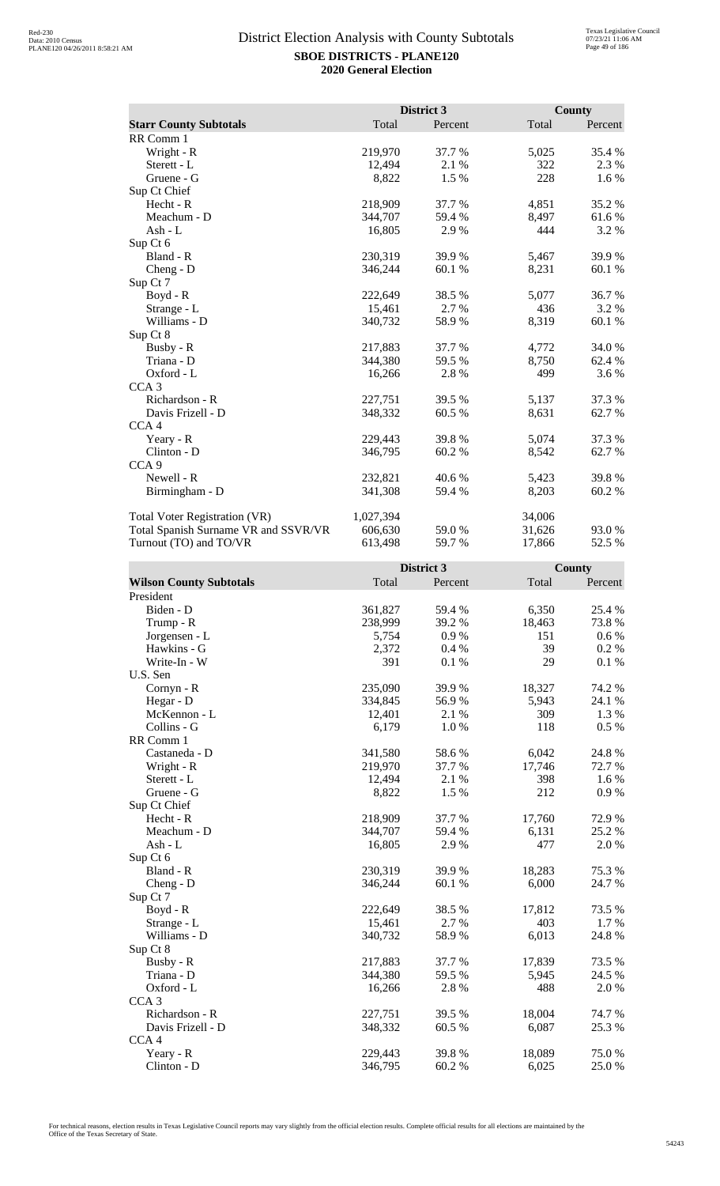|                                      |           | District 3 |        | <b>County</b> |
|--------------------------------------|-----------|------------|--------|---------------|
| <b>Starr County Subtotals</b>        | Total     | Percent    | Total  | Percent       |
| RR Comm 1                            |           |            |        |               |
| Wright - R                           | 219,970   | 37.7 %     | 5,025  | 35.4 %        |
| Sterett - L                          | 12,494    | 2.1%       | 322    | 2.3 %         |
| Gruene - G                           | 8,822     | 1.5 %      | 228    | 1.6 %         |
| Sup Ct Chief                         |           |            |        |               |
| Hecht - R                            | 218,909   | 37.7 %     | 4,851  | 35.2 %        |
| Meachum - D                          | 344,707   | 59.4 %     | 8,497  | 61.6 %        |
| Ash - $L$                            | 16,805    | 2.9 %      | 444    | 3.2 %         |
| Sup Ct 6                             |           |            |        |               |
| Bland - R                            | 230,319   | 39.9%      | 5,467  | 39.9%         |
| Cheng - D                            | 346,244   | 60.1 %     | 8,231  | 60.1 %        |
| Sup Ct 7                             |           |            |        |               |
| Boyd - R                             | 222,649   | 38.5 %     | 5,077  | 36.7%         |
| Strange - L                          | 15,461    | 2.7 %      | 436    | 3.2 %         |
| Williams - D                         | 340,732   | 58.9%      | 8,319  | 60.1%         |
| Sup Ct 8                             |           |            |        |               |
| Busby - R                            | 217,883   | 37.7 %     | 4,772  | 34.0%         |
| Triana - D                           | 344,380   | 59.5 %     | 8,750  | 62.4 %        |
| Oxford - L                           | 16,266    | 2.8%       | 499    | 3.6 %         |
| CCA <sub>3</sub>                     |           |            |        |               |
| Richardson - R                       | 227,751   | 39.5 %     | 5,137  | 37.3 %        |
| Davis Frizell - D                    | 348,332   | 60.5 %     | 8,631  | 62.7 %        |
| CCA <sub>4</sub>                     |           |            |        |               |
| Yeary - R                            | 229,443   | 39.8%      | 5,074  | 37.3 %        |
| Clinton - D                          | 346,795   | 60.2 %     | 8,542  | 62.7%         |
| CCA <sub>9</sub>                     |           |            |        |               |
| Newell - R                           | 232,821   | 40.6 %     | 5,423  | 39.8%         |
| Birmingham - D                       | 341,308   | 59.4 %     | 8,203  | 60.2%         |
| <b>Total Voter Registration (VR)</b> | 1,027,394 |            | 34,006 |               |
| Total Spanish Surname VR and SSVR/VR | 606,630   | 59.0%      | 31,626 | 93.0 %        |
| Turnout (TO) and TO/VR               | 613,498   | 59.7%      | 17,866 | 52.5 %        |

|                                |         | District 3 |        | County    |
|--------------------------------|---------|------------|--------|-----------|
| <b>Wilson County Subtotals</b> | Total   | Percent    | Total  | Percent   |
| President                      |         |            |        |           |
| Biden - D                      | 361,827 | 59.4 %     | 6,350  | 25.4 %    |
| Trump - R                      | 238,999 | 39.2%      | 18,463 | 73.8%     |
| Jorgensen - L                  | 5,754   | 0.9%       | 151    | $0.6\%$   |
| Hawkins - G                    | 2,372   | 0.4%       | 39     | 0.2 %     |
| Write-In - W                   | 391     | 0.1%       | 29     | 0.1%      |
| U.S. Sen                       |         |            |        |           |
| Cornyn - R                     | 235,090 | 39.9%      | 18,327 | 74.2 %    |
| Hegar - D                      | 334,845 | 56.9%      | 5,943  | 24.1 %    |
| McKennon - L                   | 12,401  | 2.1 %      | 309    | 1.3 %     |
| Collins - G                    | 6,179   | 1.0%       | 118    | 0.5 %     |
| RR Comm 1                      |         |            |        |           |
| Castaneda - D                  | 341,580 | 58.6%      | 6,042  | 24.8 %    |
| Wright - R                     | 219,970 | 37.7 %     | 17,746 | 72.7 %    |
| Sterett - L                    | 12,494  | 2.1 %      | 398    | 1.6 %     |
| Gruene - G                     | 8,822   | 1.5 %      | 212    | $0.9\ \%$ |
| Sup Ct Chief                   |         |            |        |           |
| Hecht - R                      | 218,909 | 37.7%      | 17,760 | 72.9%     |
| Meachum - D                    | 344,707 | 59.4 %     | 6,131  | 25.2 %    |
| $Ash - L$                      | 16,805  | 2.9%       | 477    | 2.0%      |
| Sup Ct 6                       |         |            |        |           |
| Bland - R                      | 230,319 | 39.9 %     | 18,283 | 75.3 %    |
| $Cheng - D$                    | 346,244 | 60.1%      | 6,000  | 24.7%     |
| Sup Ct 7                       |         |            |        |           |
| $Boyd - R$                     | 222,649 | 38.5%      | 17,812 | 73.5 %    |
| Strange - L                    | 15,461  | 2.7%       | 403    | 1.7 %     |
| Williams - D                   | 340,732 | 58.9%      | 6,013  | 24.8%     |
| Sup Ct 8                       |         |            |        |           |
| Busby - R                      | 217,883 | 37.7 %     | 17,839 | 73.5 %    |
| Triana - D                     | 344,380 | 59.5 %     | 5,945  | 24.5 %    |
| Oxford - L                     | 16,266  | 2.8%       | 488    | 2.0%      |
| CCA <sub>3</sub>               |         |            |        |           |
| Richardson - R                 | 227,751 | 39.5 %     | 18,004 | 74.7%     |
| Davis Frizell - D              | 348,332 | 60.5 %     | 6,087  | 25.3 %    |
| CCA <sub>4</sub>               |         |            |        |           |
| Yeary - R                      | 229,443 | 39.8%      | 18,089 | 75.0%     |
| Clinton - D                    | 346,795 | 60.2%      | 6,025  | 25.0%     |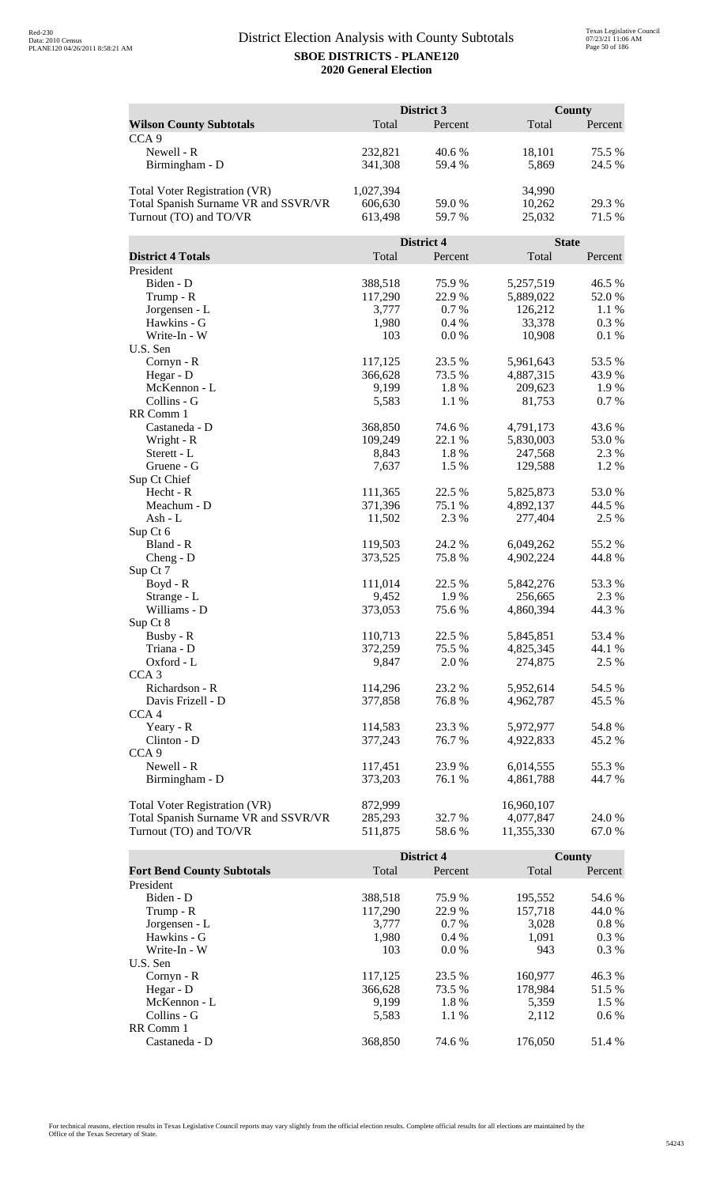|                                                    |           | District 3 |              | <b>County</b> |
|----------------------------------------------------|-----------|------------|--------------|---------------|
| <b>Wilson County Subtotals</b><br>CCA <sub>9</sub> | Total     | Percent    | Total        | Percent       |
| Newell - R                                         | 232,821   | 40.6%      | 18,101       | 75.5 %        |
| Birmingham - D                                     | 341,308   | 59.4 %     | 5,869        | 24.5 %        |
| Total Voter Registration (VR)                      | 1,027,394 |            | 34,990       |               |
| Total Spanish Surname VR and SSVR/VR               | 606,630   | 59.0 %     | 10,262       | 29.3 %        |
| Turnout (TO) and TO/VR                             | 613,498   | 59.7 %     | 25,032       | 71.5 %        |
|                                                    |           | District 4 | <b>State</b> |               |
| <b>District 4 Totals</b>                           | Total     | Percent    | Total        | Percent       |
| President                                          |           |            |              |               |
| Biden - D                                          | 388,518   | 75.9%      | 5,257,519    | 46.5 %        |
| Trump - R                                          | 117,290   | 22.9%      | 5,889,022    | 52.0%         |
| Jorgensen - L                                      | 3,777     | 0.7%       | 126,212      | 1.1%          |
| Hawkins - G                                        | 1,980     | 0.4%       | 33,378       | 0.3 %         |
| Write-In - W<br>U.S. Sen                           | 103       | 0.0 %      | 10,908       | 0.1%          |
| Cornyn - R                                         | 117,125   | 23.5 %     | 5,961,643    | 53.5%         |
|                                                    | 366,628   | 73.5 %     | 4,887,315    | 43.9%         |
| Hegar - D<br>McKennon - L                          | 9,199     | 1.8%       | 209,623      | 1.9 %         |
| Collins - G                                        | 5,583     | 1.1 %      | 81,753       | 0.7%          |
| RR Comm 1                                          |           |            |              |               |
| Castaneda - D                                      | 368,850   | 74.6 %     | 4,791,173    | 43.6 %        |
| Wright - R                                         | 109,249   | 22.1 %     | 5,830,003    | 53.0 %        |
| Sterett - L                                        | 8,843     | 1.8%       | 247,568      | 2.3 %         |
| Gruene - G                                         | 7,637     | 1.5 %      | 129,588      | 1.2%          |
| Sup Ct Chief                                       |           |            |              |               |
| Hecht - R                                          | 111,365   | 22.5 %     | 5,825,873    | 53.0%         |
| Meachum - D                                        | 371,396   | 75.1 %     | 4,892,137    | 44.5 %        |
| $Ash - L$                                          | 11,502    | 2.3 %      | 277,404      | 2.5 %         |
| Sup Ct 6                                           |           |            |              |               |
| Bland - R                                          | 119,503   | 24.2 %     | 6,049,262    | 55.2 %        |
| $Cheng - D$                                        | 373,525   | 75.8%      | 4,902,224    | 44.8%         |
| Sup Ct 7                                           |           |            |              |               |
| Boyd - R                                           | 111,014   | 22.5 %     | 5,842,276    | 53.3 %        |
| Strange - L                                        | 9,452     | 1.9%       | 256,665      | 2.3 %         |
| Williams - D                                       | 373,053   | 75.6%      | 4,860,394    | 44.3 %        |
| Sup Ct 8                                           |           |            |              |               |
| Busby - R                                          | 110,713   | 22.5 %     | 5,845,851    | 53.4 %        |
| Triana - D                                         | 372,259   | 75.5 %     | 4,825,345    | 44.1 %        |
| Oxford - L                                         | 9,847     | 2.0 %      | 274,875      | 2.5 %         |
| CCA <sub>3</sub>                                   |           |            |              |               |
| Richardson - R                                     | 114,296   | 23.2 %     | 5,952,614    | 54.5 %        |
| Davis Frizell - D                                  | 377,858   | 76.8%      | 4,962,787    | 45.5 %        |
| CCA <sub>4</sub>                                   |           |            |              |               |
| Yeary - R                                          | 114,583   | 23.3 %     | 5,972,977    | 54.8%         |
| Clinton - D                                        | 377,243   | 76.7%      | 4,922,833    | 45.2 %        |
| CCA <sub>9</sub>                                   |           |            |              |               |
| Newell - R                                         | 117,451   | 23.9%      | 6,014,555    | 55.3 %        |
| Birmingham - D                                     | 373,203   | 76.1 %     | 4,861,788    | 44.7 %        |
| <b>Total Voter Registration (VR)</b>               | 872,999   |            | 16,960,107   |               |
| Total Spanish Surname VR and SSVR/VR               | 285,293   | 32.7 %     | 4,077,847    | 24.0 %        |
| Turnout (TO) and TO/VR                             | 511,875   | 58.6%      | 11,355,330   | 67.0 %        |

|                                   |         | <b>District 4</b> |         | County  |
|-----------------------------------|---------|-------------------|---------|---------|
| <b>Fort Bend County Subtotals</b> | Total   | Percent           | Total   | Percent |
| President                         |         |                   |         |         |
| Biden - D                         | 388,518 | 75.9 %            | 195,552 | 54.6 %  |
| Trump - R                         | 117,290 | 22.9 %            | 157,718 | 44.0 %  |
| Jorgensen - L                     | 3.777   | $0.7\%$           | 3.028   | $0.8\%$ |
| Hawkins - G                       | 1,980   | $0.4\%$           | 1.091   | $0.3\%$ |
| Write-In - W                      | 103     | $0.0\%$           | 943     | $0.3\%$ |
| U.S. Sen                          |         |                   |         |         |
| $Cornyn - R$                      | 117,125 | 23.5 %            | 160,977 | 46.3 %  |
| Hegar - $D$                       | 366,628 | 73.5 %            | 178.984 | 51.5 %  |
| McKennon - L                      | 9,199   | 1.8%              | 5,359   | $1.5\%$ |
| Collins - G                       | 5,583   | 1.1 %             | 2,112   | $0.6\%$ |
| RR Comm 1                         |         |                   |         |         |
| Castaneda - D                     | 368,850 | 74.6 %            | 176,050 | 51.4 %  |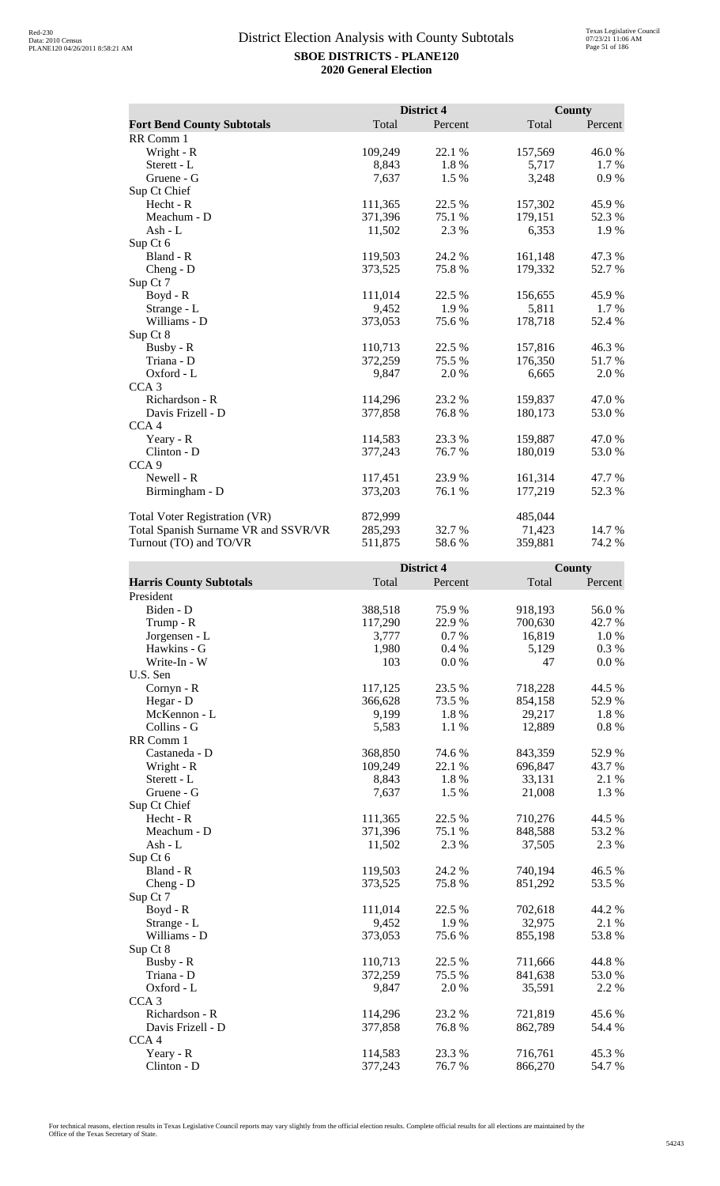|                                      | District 4 |         | County  |         |
|--------------------------------------|------------|---------|---------|---------|
| <b>Fort Bend County Subtotals</b>    | Total      | Percent | Total   | Percent |
| RR Comm 1                            |            |         |         |         |
| Wright - R                           | 109,249    | 22.1 %  | 157,569 | 46.0%   |
| Sterett - L                          | 8,843      | 1.8%    | 5,717   | 1.7 %   |
| Gruene - G                           | 7,637      | 1.5 %   | 3,248   | 0.9%    |
| Sup Ct Chief                         |            |         |         |         |
| Hecht - R                            | 111,365    | 22.5 %  | 157,302 | 45.9%   |
| Meachum - D                          | 371,396    | 75.1 %  | 179,151 | 52.3 %  |
| Ash - $L$                            | 11,502     | 2.3 %   | 6,353   | 1.9 %   |
| Sup Ct 6                             |            |         |         |         |
| Bland - R                            | 119,503    | 24.2 %  | 161,148 | 47.3%   |
| $Cheng - D$                          | 373,525    | 75.8%   | 179,332 | 52.7%   |
| Sup Ct 7                             |            |         |         |         |
| Boyd - R                             | 111,014    | 22.5 %  | 156,655 | 45.9%   |
| Strange - L                          | 9,452      | 1.9%    | 5,811   | $1.7\%$ |
| Williams - D                         | 373,053    | 75.6%   | 178,718 | 52.4 %  |
| Sup Ct 8                             |            |         |         |         |
| Busby - R                            | 110,713    | 22.5 %  | 157,816 | 46.3%   |
| Triana - D                           | 372,259    | 75.5 %  | 176,350 | 51.7 %  |
| Oxford - L                           | 9,847      | 2.0%    | 6,665   | 2.0 %   |
| CCA <sub>3</sub>                     |            |         |         |         |
| Richardson - R                       | 114,296    | 23.2 %  | 159,837 | 47.0 %  |
| Davis Frizell - D                    | 377,858    | 76.8%   | 180,173 | 53.0 %  |
| CCA <sub>4</sub>                     |            |         |         |         |
| Yeary - R                            | 114,583    | 23.3 %  | 159,887 | 47.0%   |
| Clinton - D                          | 377,243    | 76.7%   | 180,019 | 53.0 %  |
| CCA <sub>9</sub>                     |            |         |         |         |
| Newell - R                           | 117,451    | 23.9 %  | 161,314 | 47.7 %  |
| Birmingham - D                       | 373,203    | 76.1 %  | 177,219 | 52.3 %  |
| <b>Total Voter Registration (VR)</b> | 872,999    |         | 485,044 |         |
| Total Spanish Surname VR and SSVR/VR | 285,293    | 32.7 %  | 71,423  | 14.7 %  |
| Turnout (TO) and TO/VR               | 511,875    | 58.6%   | 359.881 | 74.2 %  |

|                                |         | District 4 |         | County  |
|--------------------------------|---------|------------|---------|---------|
| <b>Harris County Subtotals</b> | Total   | Percent    | Total   | Percent |
| President                      |         |            |         |         |
| Biden - D                      | 388,518 | 75.9%      | 918,193 | 56.0%   |
| Trump - R                      | 117,290 | 22.9%      | 700,630 | 42.7%   |
| Jorgensen - L                  | 3,777   | 0.7%       | 16,819  | 1.0 %   |
| Hawkins - G                    | 1,980   | 0.4%       | 5,129   | 0.3 %   |
| Write-In - W                   | 103     | 0.0 %      | 47      | 0.0 %   |
| U.S. Sen                       |         |            |         |         |
| Cornyn - R                     | 117,125 | 23.5 %     | 718,228 | 44.5 %  |
| Hegar - D                      | 366,628 | 73.5 %     | 854,158 | 52.9%   |
| McKennon - L                   | 9,199   | 1.8%       | 29,217  | 1.8%    |
| Collins - G                    | 5,583   | 1.1 %      | 12,889  | 0.8 %   |
| RR Comm 1                      |         |            |         |         |
| Castaneda - D                  | 368,850 | 74.6%      | 843,359 | 52.9%   |
| Wright - R                     | 109,249 | 22.1 %     | 696,847 | 43.7%   |
| Sterett - L                    | 8,843   | 1.8 %      | 33,131  | 2.1 %   |
| Gruene - G                     | 7,637   | 1.5 %      | 21,008  | 1.3%    |
| Sup Ct Chief                   |         |            |         |         |
| Hecht - R                      | 111,365 | 22.5 %     | 710,276 | 44.5 %  |
| Meachum - D                    | 371,396 | 75.1 %     | 848,588 | 53.2%   |
| Ash - L                        | 11,502  | 2.3 %      | 37,505  | 2.3 %   |
| Sup Ct 6                       |         |            |         |         |
| Bland - R                      | 119,503 | 24.2 %     | 740,194 | 46.5 %  |
| $Cheng - D$                    | 373,525 | 75.8%      | 851,292 | 53.5 %  |
| Sup Ct 7                       |         |            |         |         |
| Boyd - R                       | 111,014 | 22.5 %     | 702,618 | 44.2 %  |
| Strange - L                    | 9,452   | 1.9%       | 32,975  | 2.1 %   |
| Williams - D                   | 373,053 | 75.6 %     | 855,198 | 53.8%   |
| Sup Ct 8                       |         |            |         |         |
| Busby - R                      | 110,713 | 22.5 %     | 711,666 | 44.8 %  |
| Triana - D                     | 372,259 | 75.5 %     | 841,638 | 53.0%   |
| Oxford - L                     | 9,847   | 2.0 %      | 35,591  | 2.2 %   |
| CCA <sub>3</sub>               |         |            |         |         |
| Richardson - R                 | 114,296 | 23.2 %     | 721,819 | 45.6%   |
| Davis Frizell - D              | 377,858 | 76.8%      | 862,789 | 54.4 %  |
| CCA <sub>4</sub>               |         |            |         |         |
| Yeary - R                      | 114,583 | 23.3 %     | 716,761 | 45.3%   |
| Clinton - D                    | 377,243 | 76.7%      | 866,270 | 54.7%   |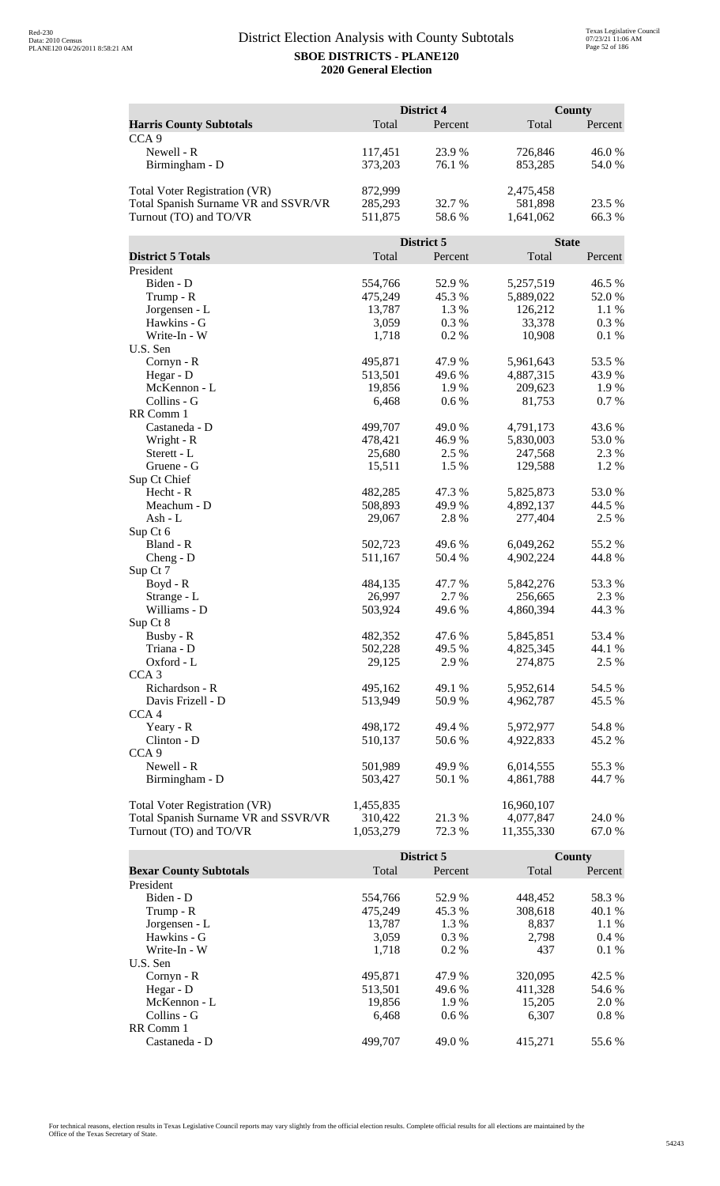|                                      | District 4        |                | <b>County</b>        |                |
|--------------------------------------|-------------------|----------------|----------------------|----------------|
| <b>Harris County Subtotals</b>       | Total             | Percent        | Total                | Percent        |
| CCA <sub>9</sub>                     |                   |                |                      |                |
| Newell - R                           | 117,451           | 23.9%          | 726,846              | 46.0%          |
| Birmingham - D                       | 373,203           | 76.1 %         | 853,285              | 54.0%          |
|                                      |                   |                |                      |                |
| Total Voter Registration (VR)        | 872,999           |                | 2,475,458            |                |
| Total Spanish Surname VR and SSVR/VR | 285,293           | 32.7 %         | 581,898              | 23.5 %         |
| Turnout (TO) and TO/VR               | 511,875           | 58.6%          | 1,641,062            | 66.3%          |
|                                      |                   |                |                      |                |
|                                      |                   | District 5     |                      | <b>State</b>   |
| <b>District 5 Totals</b>             | Total             | Percent        | Total                | Percent        |
| President                            |                   |                |                      |                |
| Biden - D                            | 554,766           | 52.9%          | 5,257,519            | 46.5 %         |
| Trump - R                            | 475,249           | 45.3%          | 5,889,022            | 52.0%          |
| Jorgensen - L                        | 13,787            | 1.3 %          | 126,212              | 1.1 %          |
| Hawkins - G                          | 3,059             | 0.3%           | 33,378               | 0.3 %          |
| Write-In - W                         | 1,718             | 0.2%           | 10,908               | 0.1%           |
| U.S. Sen                             |                   |                |                      |                |
| Cornyn - R                           | 495,871           | 47.9%          | 5,961,643            | 53.5 %         |
| Hegar - D                            | 513,501           | 49.6%          | 4,887,315            | 43.9%          |
| McKennon - L                         | 19,856            | 1.9%           | 209,623              | 1.9%           |
| Collins - G                          | 6,468             | 0.6 %          | 81,753               | 0.7%           |
| RR Comm 1                            |                   |                |                      |                |
| Castaneda - D                        | 499,707           | 49.0%          | 4,791,173            | 43.6 %         |
| Wright - R<br>Sterett - L            | 478,421<br>25,680 | 46.9%<br>2.5 % | 5,830,003<br>247,568 | 53.0%<br>2.3 % |
| Gruene - G                           | 15,511            | 1.5 %          | 129,588              | 1.2%           |
| Sup Ct Chief                         |                   |                |                      |                |
| Hecht - R                            | 482,285           | 47.3 %         | 5,825,873            | 53.0%          |
| Meachum - D                          | 508,893           | 49.9%          | 4,892,137            | 44.5 %         |
| Ash - L                              | 29,067            | 2.8%           | 277,404              | 2.5 %          |
| Sup Ct 6                             |                   |                |                      |                |
| Bland - R                            | 502,723           | 49.6 %         | 6,049,262            | 55.2 %         |
| $Cheng - D$                          | 511,167           | 50.4 %         | 4,902,224            | 44.8%          |
| Sup Ct 7                             |                   |                |                      |                |
| Boyd - R                             | 484,135           | 47.7%          | 5,842,276            | 53.3%          |
| Strange - L                          | 26,997            | 2.7 %          | 256,665              | 2.3 %          |
| Williams - D                         | 503,924           | 49.6 %         | 4,860,394            | 44.3 %         |
| Sup Ct 8                             |                   |                |                      |                |
| Busby - R                            | 482,352           | 47.6 %         | 5,845,851            | 53.4 %         |
| Triana - D                           | 502,228           | 49.5 %         | 4,825,345            | 44.1 %         |
| Oxford - L                           | 29,125            | 2.9%           | 274,875              | 2.5 %          |
| CCA <sub>3</sub>                     |                   |                |                      |                |
| Richardson - R                       | 495,162           | 49.1 %         | 5,952,614            | 54.5 %         |
| Davis Frizell - D                    | 513,949           | 50.9%          | 4,962,787            | 45.5 %         |
| CCA <sub>4</sub>                     |                   |                |                      |                |
| Yeary - R                            | 498,172           | 49.4 %         | 5,972,977            | 54.8%          |
| Clinton - D                          | 510,137           | 50.6%          | 4,922,833            | 45.2 %         |
| CCA <sub>9</sub>                     |                   |                |                      |                |
| Newell - R                           | 501,989           | 49.9%          | 6,014,555            | 55.3%          |
| Birmingham - D                       | 503,427           | 50.1 %         | 4,861,788            | 44.7 %         |
| Total Voter Registration (VR)        | 1,455,835         |                | 16,960,107           |                |
| Total Spanish Surname VR and SSVR/VR | 310,422           | 21.3 %         | 4,077,847            | 24.0 %         |
| Turnout (TO) and TO/VR               | 1,053,279         | 72.3 %         | 11,355,330           | 67.0 %         |
|                                      |                   |                |                      |                |

|                               |         | District 5 |         | County  |
|-------------------------------|---------|------------|---------|---------|
| <b>Bexar County Subtotals</b> | Total   | Percent    | Total   | Percent |
| President                     |         |            |         |         |
| Biden - D                     | 554.766 | 52.9 %     | 448.452 | 58.3 %  |
| Trump - R                     | 475,249 | 45.3 %     | 308,618 | 40.1 %  |
| Jorgensen - L                 | 13.787  | 1.3 %      | 8.837   | $1.1\%$ |
| Hawkins - G                   | 3.059   | $0.3\%$    | 2.798   | $0.4\%$ |
| Write-In - W                  | 1.718   | $0.2\%$    | 437     | $0.1\%$ |
| U.S. Sen                      |         |            |         |         |
| Cornyn - R                    | 495,871 | 47.9 %     | 320,095 | 42.5 %  |
| Hegar - $D$                   | 513,501 | 49.6 %     | 411.328 | 54.6 %  |
| McKennon - L                  | 19,856  | 1.9 %      | 15,205  | 2.0 %   |
| Collins - G                   | 6.468   | $0.6\%$    | 6.307   | $0.8\%$ |
| RR Comm 1                     |         |            |         |         |
| Castaneda - D                 | 499,707 | 49.0 %     | 415.271 | 55.6 %  |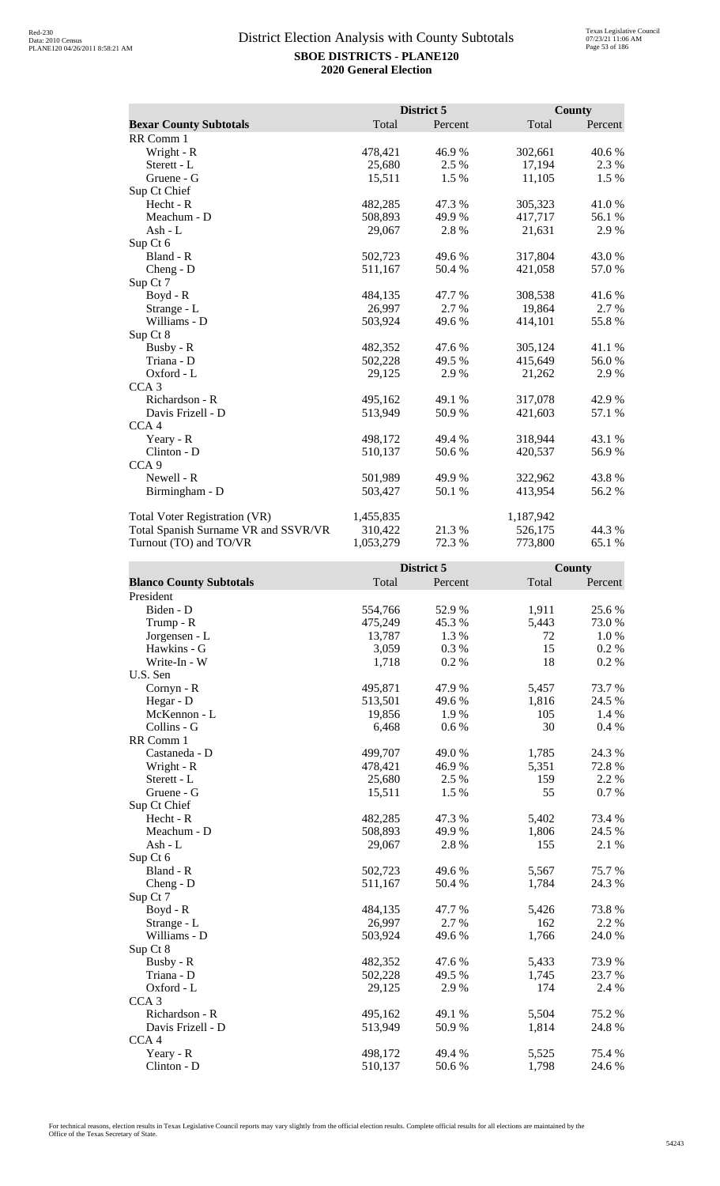|                                      |           | District 5 |           | County  |
|--------------------------------------|-----------|------------|-----------|---------|
| <b>Bexar County Subtotals</b>        | Total     | Percent    | Total     | Percent |
| RR Comm 1                            |           |            |           |         |
| Wright - R                           | 478,421   | 46.9%      | 302,661   | 40.6 %  |
| Sterett - L                          | 25,680    | 2.5 %      | 17,194    | 2.3 %   |
| Gruene - G                           | 15,511    | 1.5 %      | 11,105    | 1.5 %   |
| Sup Ct Chief                         |           |            |           |         |
| Hecht - R                            | 482,285   | 47.3%      | 305,323   | 41.0%   |
| Meachum - D                          | 508,893   | 49.9 %     | 417,717   | 56.1 %  |
| Ash - L                              | 29,067    | 2.8%       | 21,631    | 2.9 %   |
| Sup Ct 6                             |           |            |           |         |
| Bland - R                            | 502,723   | 49.6 %     | 317,804   | 43.0 %  |
| Cheng - D                            | 511,167   | 50.4 %     | 421,058   | 57.0 %  |
| Sup Ct 7                             |           |            |           |         |
| Boyd - R                             | 484,135   | 47.7 %     | 308,538   | 41.6%   |
| Strange - L                          | 26,997    | 2.7%       | 19,864    | 2.7 %   |
| Williams - D                         | 503,924   | 49.6%      | 414,101   | 55.8%   |
| Sup Ct 8                             |           |            |           |         |
| Busby - R                            | 482,352   | 47.6 %     | 305,124   | 41.1 %  |
| Triana - D                           | 502,228   | 49.5 %     | 415,649   | 56.0%   |
| Oxford - L                           | 29,125    | 2.9 %      | 21,262    | 2.9 %   |
| CCA <sub>3</sub>                     |           |            |           |         |
| Richardson - R                       | 495,162   | 49.1 %     | 317,078   | 42.9%   |
| Davis Frizell - D                    | 513,949   | 50.9%      | 421,603   | 57.1 %  |
| CCA <sub>4</sub>                     |           |            |           |         |
| Yeary - R                            | 498,172   | 49.4 %     | 318,944   | 43.1 %  |
| Clinton - D                          | 510,137   | 50.6 %     | 420,537   | 56.9%   |
| CCA <sub>9</sub>                     |           |            |           |         |
| Newell - R                           | 501,989   | 49.9 %     | 322,962   | 43.8%   |
| Birmingham - D                       | 503,427   | 50.1 %     | 413,954   | 56.2%   |
| <b>Total Voter Registration (VR)</b> | 1,455,835 |            | 1,187,942 |         |
| Total Spanish Surname VR and SSVR/VR | 310,422   | 21.3 %     | 526,175   | 44.3 %  |
| Turnout (TO) and TO/VR               | 1,053,279 | 72.3 %     | 773,800   | 65.1 %  |

|                                |         | District 5 |       | <b>County</b> |
|--------------------------------|---------|------------|-------|---------------|
| <b>Blanco County Subtotals</b> | Total   | Percent    | Total | Percent       |
| President                      |         |            |       |               |
| Biden - D                      | 554,766 | 52.9%      | 1,911 | 25.6 %        |
| Trump - R                      | 475,249 | 45.3%      | 5,443 | 73.0%         |
| Jorgensen - L                  | 13,787  | 1.3%       | 72    | 1.0%          |
| Hawkins - G                    | 3,059   | 0.3%       | 15    | 0.2 %         |
| Write-In - W                   | 1,718   | 0.2%       | 18    | 0.2 %         |
| U.S. Sen                       |         |            |       |               |
| Cornyn - R                     | 495,871 | 47.9%      | 5,457 | 73.7 %        |
| Hegar - D                      | 513,501 | 49.6 %     | 1,816 | 24.5 %        |
| McKennon - L                   | 19,856  | 1.9%       | 105   | 1.4 %         |
| Collins - G                    | 6,468   | 0.6 %      | 30    | 0.4 %         |
| RR Comm 1                      |         |            |       |               |
| Castaneda - D                  | 499,707 | 49.0%      | 1,785 | 24.3 %        |
| Wright - R                     | 478,421 | 46.9%      | 5,351 | 72.8%         |
| Sterett - L                    | 25,680  | 2.5 %      | 159   | 2.2 %         |
| Gruene - G                     | 15,511  | 1.5 %      | 55    | 0.7%          |
| Sup Ct Chief                   |         |            |       |               |
| Hecht - R                      | 482,285 | 47.3 %     | 5,402 | 73.4 %        |
| Meachum - D                    | 508,893 | 49.9 %     | 1,806 | 24.5 %        |
| Ash - L                        | 29,067  | 2.8%       | 155   | 2.1 %         |
| Sup Ct 6                       |         |            |       |               |
| Bland - R                      | 502,723 | 49.6 %     | 5,567 | 75.7 %        |
| Cheng - D                      | 511,167 | 50.4 %     | 1,784 | 24.3 %        |
| Sup Ct 7                       |         |            |       |               |
| $Boyd - R$                     | 484,135 | 47.7 %     | 5,426 | 73.8%         |
| Strange - L                    | 26,997  | 2.7%       | 162   | 2.2 %         |
| Williams - D                   | 503,924 | 49.6 %     | 1,766 | 24.0 %        |
| Sup Ct 8                       |         |            |       |               |
| Busby - R                      | 482,352 | 47.6 %     | 5,433 | 73.9%         |
| Triana - D                     | 502,228 | 49.5 %     | 1,745 | 23.7%         |
| Oxford - L                     | 29,125  | 2.9%       | 174   | 2.4 %         |
| CCA <sub>3</sub>               |         |            |       |               |
| Richardson - R                 | 495,162 | 49.1 %     | 5,504 | 75.2 %        |
| Davis Frizell - D              | 513,949 | 50.9%      | 1,814 | 24.8 %        |
| CCA4                           |         |            |       |               |
| Yeary - R                      | 498,172 | 49.4 %     | 5,525 | 75.4 %        |
| Clinton - D                    | 510,137 | 50.6%      | 1,798 | 24.6 %        |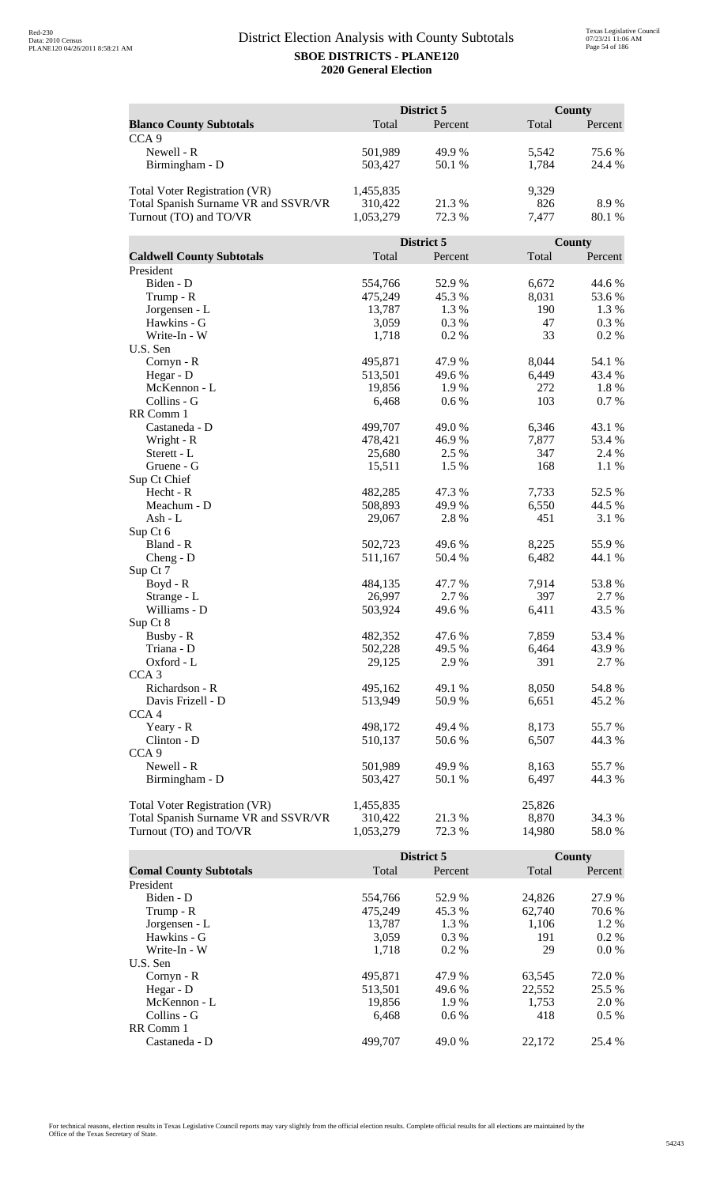|                                      |           | District 5 |        | <b>County</b> |
|--------------------------------------|-----------|------------|--------|---------------|
| <b>Blanco County Subtotals</b>       | Total     | Percent    | Total  | Percent       |
| CCA <sub>9</sub>                     |           |            |        |               |
| Newell - R                           | 501,989   | 49.9%      | 5,542  | 75.6 %        |
| Birmingham - D                       | 503,427   | 50.1 %     | 1,784  | 24.4 %        |
|                                      |           |            |        |               |
| Total Voter Registration (VR)        | 1,455,835 |            | 9,329  |               |
| Total Spanish Surname VR and SSVR/VR | 310,422   | 21.3%      | 826    | 8.9%          |
| Turnout (TO) and TO/VR               | 1,053,279 | 72.3 %     | 7,477  | 80.1 %        |
|                                      |           |            |        |               |
|                                      |           | District 5 |        | County        |
| <b>Caldwell County Subtotals</b>     | Total     | Percent    | Total  | Percent       |
| President                            |           |            |        |               |
| Biden - D                            | 554,766   | 52.9%      | 6,672  | 44.6 %        |
| Trump - R                            | 475,249   | 45.3%      | 8,031  | 53.6 %        |
| Jorgensen - L                        | 13,787    | 1.3 %      | 190    | 1.3 %         |
| Hawkins - G                          | 3,059     | 0.3%       | 47     | 0.3 %         |
| Write-In - W                         | 1,718     | 0.2%       | 33     | 0.2 %         |
| U.S. Sen                             |           |            |        |               |
| Cornyn - R                           | 495,871   | 47.9%      | 8,044  | 54.1 %        |
| Hegar - D                            | 513,501   | 49.6 %     | 6,449  | 43.4 %        |
| McKennon - L                         | 19,856    | 1.9%       | 272    | 1.8%          |
| Collins - G                          | 6,468     | 0.6 %      | 103    | 0.7%          |
| RR Comm 1                            |           |            |        |               |
| Castaneda - D                        | 499,707   | 49.0%      | 6,346  | 43.1 %        |
| Wright - R                           | 478,421   | 46.9%      | 7,877  | 53.4 %        |
| Sterett - L                          | 25,680    | 2.5 %      | 347    | 2.4 %         |
| Gruene - G                           | 15,511    | 1.5 %      | 168    | 1.1 %         |
| Sup Ct Chief                         |           |            |        |               |
| Hecht - R                            | 482,285   | 47.3 %     | 7,733  | 52.5 %        |
| Meachum - D                          | 508,893   | 49.9 %     | 6,550  | 44.5 %        |
| Ash - L                              | 29,067    | 2.8%       | 451    | 3.1 %         |
| Sup Ct 6                             |           |            |        |               |
| Bland - R                            | 502,723   | 49.6 %     | 8,225  | 55.9%         |
| $Cheng - D$                          | 511,167   | 50.4 %     | 6,482  | 44.1 %        |
| Sup Ct 7                             |           |            |        |               |
| $Boyd - R$                           | 484,135   | 47.7 %     | 7,914  | 53.8%         |
| Strange - L                          | 26,997    | 2.7 %      | 397    | 2.7 %         |
| Williams - D                         | 503,924   | 49.6 %     | 6,411  | 43.5 %        |
| Sup Ct 8                             |           |            |        |               |
| Busby - R                            | 482,352   | 47.6 %     | 7,859  | 53.4 %        |
| Triana - D                           | 502,228   | 49.5 %     | 6,464  | 43.9%         |
| Oxford - L                           | 29,125    | 2.9 %      | 391    | 2.7 %         |
| CCA <sub>3</sub>                     |           |            |        |               |
| Richardson - R                       | 495,162   | 49.1 %     | 8,050  | 54.8%         |
| Davis Frizell - D                    | 513,949   | 50.9 %     | 6,651  | 45.2%         |
| CCA <sub>4</sub>                     |           |            |        |               |
| Yeary - R                            | 498,172   | 49.4 %     | 8,173  | 55.7%         |
| Clinton - D                          | 510,137   | 50.6%      | 6,507  | 44.3 %        |
| CCA <sub>9</sub>                     |           |            |        |               |
| Newell - R                           | 501,989   | 49.9 %     | 8,163  | 55.7%         |
| Birmingham - D                       | 503,427   | 50.1 %     | 6,497  | 44.3 %        |
|                                      |           |            |        |               |
| <b>Total Voter Registration (VR)</b> | 1,455,835 |            | 25,826 |               |
| Total Spanish Surname VR and SSVR/VR | 310,422   | 21.3 %     | 8,870  | 34.3 %        |
| Turnout (TO) and TO/VR               | 1,053,279 | 72.3 %     | 14,980 | 58.0%         |

|                               |         | District 5 |        | County  |
|-------------------------------|---------|------------|--------|---------|
| <b>Comal County Subtotals</b> | Total   | Percent    | Total  | Percent |
| President                     |         |            |        |         |
| Biden - D                     | 554,766 | 52.9 %     | 24,826 | 27.9 %  |
| Trump - R                     | 475,249 | 45.3 %     | 62,740 | 70.6 %  |
| Jorgensen - L                 | 13.787  | 1.3 %      | 1,106  | $1.2\%$ |
| Hawkins - G                   | 3.059   | $0.3\%$    | 191    | $0.2\%$ |
| Write-In - W                  | 1,718   | $0.2\%$    | 29     | $0.0\%$ |
| U.S. Sen                      |         |            |        |         |
| $Cornyn - R$                  | 495,871 | 47.9 %     | 63,545 | 72.0 %  |
| Hegar - D                     | 513,501 | 49.6 %     | 22,552 | 25.5 %  |
| McKennon - L                  | 19,856  | 1.9 %      | 1,753  | 2.0 %   |
| Collins - G                   | 6.468   | $0.6\%$    | 418    | $0.5\%$ |
| RR Comm 1                     |         |            |        |         |
| Castaneda - D                 | 499,707 | 49.0 %     | 22,172 | 25.4 %  |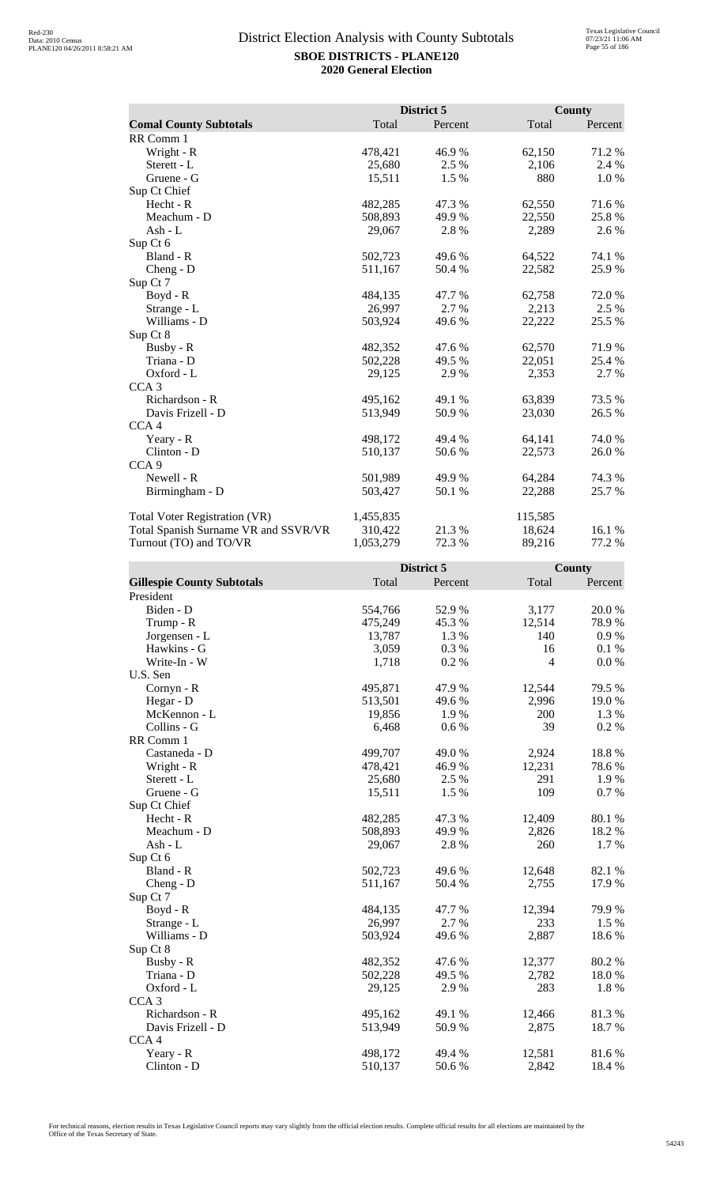|                                      |           | District 5 |         | County  |
|--------------------------------------|-----------|------------|---------|---------|
| <b>Comal County Subtotals</b>        | Total     | Percent    | Total   | Percent |
| RR Comm 1                            |           |            |         |         |
| Wright - R                           | 478,421   | 46.9%      | 62,150  | 71.2%   |
| Sterett - L                          | 25,680    | 2.5 %      | 2,106   | 2.4 %   |
| Gruene - G                           | 15,511    | 1.5 %      | 880     | 1.0%    |
| Sup Ct Chief                         |           |            |         |         |
| Hecht - R                            | 482,285   | 47.3 %     | 62,550  | 71.6 %  |
| Meachum - D                          | 508,893   | 49.9 %     | 22,550  | 25.8%   |
| Ash - L                              | 29,067    | 2.8%       | 2,289   | 2.6 %   |
| Sup Ct 6                             |           |            |         |         |
| Bland - R                            | 502,723   | 49.6 %     | 64,522  | 74.1 %  |
| $Cheng - D$                          | 511,167   | 50.4 %     | 22,582  | 25.9%   |
| Sup Ct 7                             |           |            |         |         |
| Boyd - R                             | 484,135   | 47.7 %     | 62,758  | 72.0%   |
| Strange - L                          | 26,997    | 2.7 %      | 2,213   | 2.5 %   |
| Williams - D                         | 503,924   | 49.6 %     | 22,222  | 25.5 %  |
| Sup Ct 8                             |           |            |         |         |
| Busby - R                            | 482,352   | 47.6 %     | 62,570  | 71.9 %  |
| Triana - D                           | 502,228   | 49.5 %     | 22,051  | 25.4 %  |
| Oxford - L                           | 29,125    | 2.9 %      | 2,353   | 2.7 %   |
| CCA <sub>3</sub>                     |           |            |         |         |
| Richardson - R                       | 495,162   | 49.1 %     | 63,839  | 73.5 %  |
| Davis Frizell - D                    | 513,949   | 50.9%      | 23,030  | 26.5 %  |
| CCA <sub>4</sub>                     |           |            |         |         |
| Yeary - R                            | 498,172   | 49.4 %     | 64,141  | 74.0 %  |
| $Clinton - D$                        | 510,137   | 50.6 %     | 22,573  | 26.0 %  |
| CCA <sub>9</sub>                     |           |            |         |         |
| Newell - R                           | 501,989   | 49.9 %     | 64,284  | 74.3 %  |
| Birmingham - D                       | 503,427   | 50.1 %     | 22,288  | 25.7 %  |
| Total Voter Registration (VR)        | 1,455,835 |            | 115,585 |         |
| Total Spanish Surname VR and SSVR/VR | 310,422   | 21.3 %     | 18,624  | 16.1 %  |
| Turnout (TO) and TO/VR               | 1,053,279 | 72.3 %     | 89,216  | 77.2 %  |

|                                   | District 5 |         |                | <b>County</b> |  |
|-----------------------------------|------------|---------|----------------|---------------|--|
| <b>Gillespie County Subtotals</b> | Total      | Percent | Total          | Percent       |  |
| President                         |            |         |                |               |  |
| Biden - D                         | 554,766    | 52.9 %  | 3,177          | 20.0%         |  |
| Trump - R                         | 475,249    | 45.3%   | 12,514         | 78.9%         |  |
| Jorgensen - L                     | 13,787     | 1.3%    | 140            | $0.9\ \%$     |  |
| Hawkins - G                       | 3,059      | 0.3%    | 16             | 0.1 %         |  |
| Write-In - W                      | 1,718      | 0.2%    | $\overline{4}$ | 0.0 %         |  |
| U.S. Sen                          |            |         |                |               |  |
| Cornyn - R                        | 495,871    | 47.9 %  | 12,544         | 79.5 %        |  |
| Hegar - D                         | 513,501    | 49.6%   | 2,996          | 19.0%         |  |
| McKennon - L                      | 19,856     | 1.9%    | 200            | 1.3%          |  |
| Collins - G                       | 6,468      | 0.6 %   | 39             | 0.2%          |  |
| RR Comm 1                         |            |         |                |               |  |
| Castaneda - D                     | 499,707    | 49.0 %  | 2,924          | 18.8%         |  |
| Wright - R                        | 478,421    | 46.9%   | 12,231         | 78.6%         |  |
| Sterett - L                       | 25,680     | 2.5 %   | 291            | 1.9%          |  |
| Gruene - G                        | 15,511     | 1.5 %   | 109            | 0.7 %         |  |
| Sup Ct Chief                      |            |         |                |               |  |
| Hecht - R                         | 482,285    | 47.3 %  | 12,409         | 80.1 %        |  |
| Meachum - D                       | 508,893    | 49.9 %  | 2,826          | 18.2%         |  |
| Ash - L                           | 29,067     | 2.8%    | 260            | 1.7%          |  |
| Sup Ct 6                          |            |         |                |               |  |
| Bland - R                         | 502,723    | 49.6 %  | 12,648         | 82.1 %        |  |
| $Cheng - D$                       | 511,167    | 50.4 %  | 2,755          | 17.9%         |  |
| Sup Ct 7                          |            |         |                |               |  |
| $Boyd - R$                        | 484,135    | 47.7%   | 12,394         | 79.9%         |  |
| Strange - L                       | 26,997     | 2.7%    | 233            | 1.5 %         |  |
| Williams - D                      | 503,924    | 49.6 %  | 2,887          | 18.6%         |  |
| Sup Ct 8                          |            |         |                |               |  |
| Busby - R                         | 482,352    | 47.6 %  | 12,377         | 80.2%         |  |
| Triana - D                        | 502,228    | 49.5 %  | 2,782          | 18.0%         |  |
| Oxford - L                        | 29,125     | 2.9%    | 283            | 1.8 %         |  |
| CCA <sub>3</sub>                  |            |         |                |               |  |
| Richardson - R                    | 495,162    | 49.1 %  | 12,466         | 81.3%         |  |
| Davis Frizell - D                 | 513,949    | 50.9%   | 2,875          | 18.7%         |  |
| CCA <sub>4</sub>                  |            |         |                |               |  |
| Yeary - R                         | 498,172    | 49.4 %  | 12,581         | 81.6%         |  |
| Clinton - D                       | 510,137    | 50.6%   | 2,842          | 18.4 %        |  |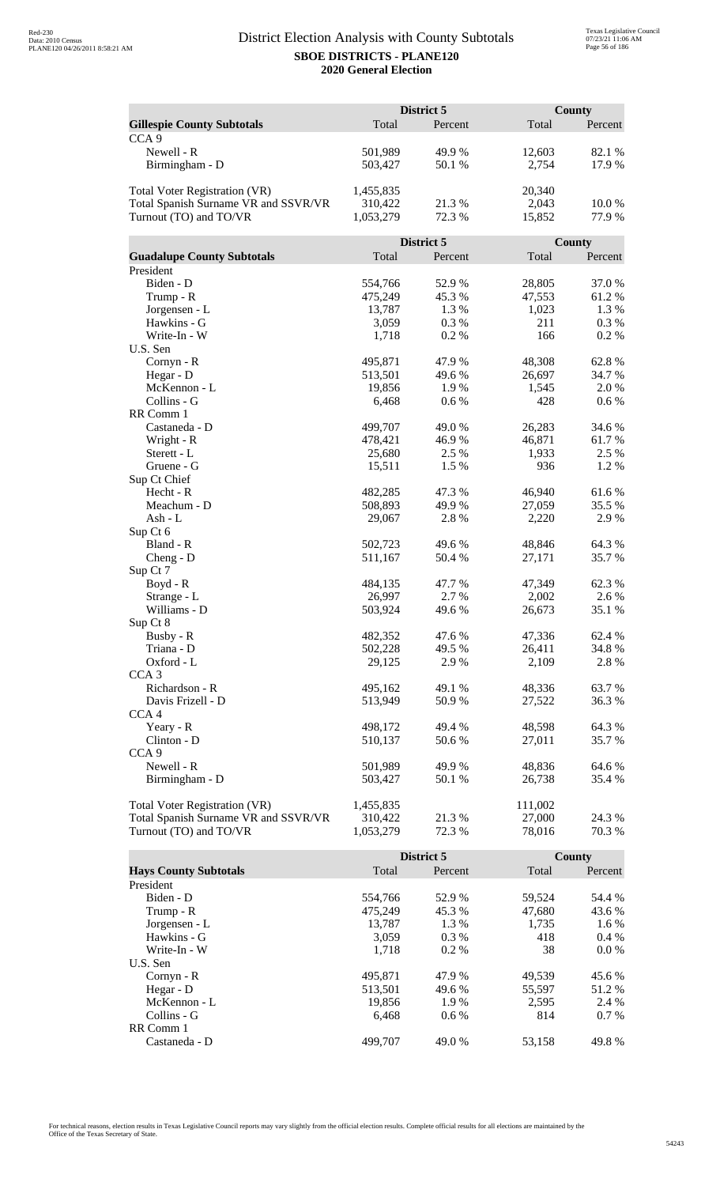|                                      | District 5 |            |              | <b>County</b> |  |
|--------------------------------------|------------|------------|--------------|---------------|--|
| <b>Gillespie County Subtotals</b>    | Total      | Percent    | Total        | Percent       |  |
| CCA <sub>9</sub>                     |            |            |              |               |  |
| Newell - R                           | 501,989    | 49.9%      | 12,603       | 82.1 %        |  |
| Birmingham - D                       | 503,427    | 50.1 %     | 2,754        | 17.9 %        |  |
|                                      |            |            |              |               |  |
| <b>Total Voter Registration (VR)</b> | 1,455,835  |            | 20,340       |               |  |
| Total Spanish Surname VR and SSVR/VR | 310,422    | 21.3%      | 2,043        | 10.0%         |  |
| Turnout (TO) and TO/VR               | 1,053,279  | 72.3 %     | 15,852       | 77.9%         |  |
|                                      |            |            |              |               |  |
|                                      |            | District 5 |              | <b>County</b> |  |
| <b>Guadalupe County Subtotals</b>    | Total      | Percent    | Total        | Percent       |  |
| President                            |            |            |              |               |  |
| Biden - D                            | 554,766    | 52.9%      | 28,805       | 37.0%         |  |
|                                      | 475,249    | 45.3%      | 47,553       | 61.2%         |  |
| Trump - R<br>Jorgensen - L           | 13,787     |            |              | 1.3 %         |  |
| Hawkins - G                          |            | 1.3 %      | 1,023<br>211 |               |  |
| Write-In - W                         | 3,059      | 0.3%       |              | 0.3%          |  |
|                                      | 1,718      | 0.2%       | 166          | 0.2 %         |  |
| U.S. Sen                             |            |            |              |               |  |
| Cornyn - R                           | 495,871    | 47.9%      | 48,308       | 62.8%         |  |
| Hegar - D                            | 513,501    | 49.6%      | 26,697       | 34.7 %        |  |
| McKennon - L                         | 19,856     | 1.9%       | 1,545        | 2.0%          |  |
| Collins - G                          | 6,468      | 0.6 %      | 428          | 0.6 %         |  |
| RR Comm 1                            |            |            |              |               |  |
| Castaneda - D                        | 499,707    | 49.0%      | 26,283       | 34.6 %        |  |
| Wright - R                           | 478,421    | 46.9%      | 46,871       | 61.7%         |  |
| Sterett - L                          | 25,680     | 2.5 %      | 1,933        | 2.5 %         |  |
| Gruene - G                           | 15,511     | 1.5 %      | 936          | 1.2%          |  |
| Sup Ct Chief                         |            |            |              |               |  |
| Hecht - R                            | 482,285    | 47.3 %     | 46,940       | 61.6%         |  |
| Meachum - D                          | 508,893    | 49.9%      | 27,059       | 35.5 %        |  |
| Ash - L                              | 29,067     | 2.8%       | 2,220        | 2.9%          |  |
| Sup Ct 6                             |            |            |              |               |  |
| Bland - R                            | 502,723    | 49.6 %     | 48,846       | 64.3 %        |  |
| $Cheng - D$                          | 511,167    | 50.4 %     | 27,171       | 35.7%         |  |
| Sup Ct 7                             |            |            |              |               |  |
| Boyd - R                             | 484,135    | 47.7 %     | 47,349       | 62.3%         |  |
| Strange - L                          | 26,997     | 2.7 %      | 2,002        | 2.6 %         |  |
| Williams - D                         | 503,924    | 49.6 %     | 26,673       | 35.1 %        |  |
| Sup Ct 8                             |            |            |              |               |  |
| Busby - R                            | 482,352    | 47.6%      | 47,336       | 62.4 %        |  |
| Triana - D                           | 502,228    | 49.5 %     | 26,411       | 34.8%         |  |
| Oxford - L                           | 29,125     | 2.9 %      | 2,109        | 2.8 %         |  |
| CCA <sub>3</sub>                     |            |            |              |               |  |
| Richardson - R                       | 495,162    | 49.1 %     | 48,336       | 63.7 %        |  |
| Davis Frizell - D                    | 513,949    | 50.9 %     | 27,522       | 36.3 %        |  |
| CCA <sub>4</sub>                     |            |            |              |               |  |
| Yeary - R                            | 498,172    | 49.4 %     | 48,598       | 64.3 %        |  |
| Clinton - D                          | 510,137    | 50.6%      | 27,011       | 35.7 %        |  |
| CCA <sub>9</sub>                     |            |            |              |               |  |
| Newell - R                           | 501,989    | 49.9 %     | 48,836       | 64.6 %        |  |
| Birmingham - D                       | 503,427    | 50.1 %     | 26,738       | 35.4 %        |  |
|                                      |            |            |              |               |  |
| Total Voter Registration (VR)        | 1,455,835  |            | 111,002      |               |  |
| Total Spanish Surname VR and SSVR/VR | 310,422    | 21.3 %     | 27,000       | 24.3 %        |  |
| Turnout (TO) and TO/VR               | 1,053,279  | 72.3 %     | 78,016       | 70.3 %        |  |

|                              |         | District 5 |        | County  |
|------------------------------|---------|------------|--------|---------|
| <b>Hays County Subtotals</b> | Total   | Percent    | Total  | Percent |
| President                    |         |            |        |         |
| Biden - D                    | 554,766 | 52.9 %     | 59,524 | 54.4 %  |
| Trump - R                    | 475,249 | 45.3 %     | 47,680 | 43.6 %  |
| Jorgensen - L                | 13.787  | 1.3 %      | 1.735  | $1.6\%$ |
| Hawkins - G                  | 3,059   | $0.3\%$    | 418    | $0.4\%$ |
| Write-In - W                 | 1.718   | $0.2\%$    | 38     | $0.0\%$ |
| U.S. Sen                     |         |            |        |         |
| $Cornyn - R$                 | 495.871 | 47.9 %     | 49.539 | 45.6 %  |
| Hegar - $D$                  | 513.501 | 49.6 %     | 55.597 | 51.2 %  |
| McKennon - L                 | 19.856  | 1.9 %      | 2.595  | 2.4 %   |
| Collins - G                  | 6.468   | $0.6\%$    | 814    | $0.7\%$ |
| RR Comm 1                    |         |            |        |         |
| Castaneda - D                | 499.707 | 49.0 %     | 53.158 | 49.8%   |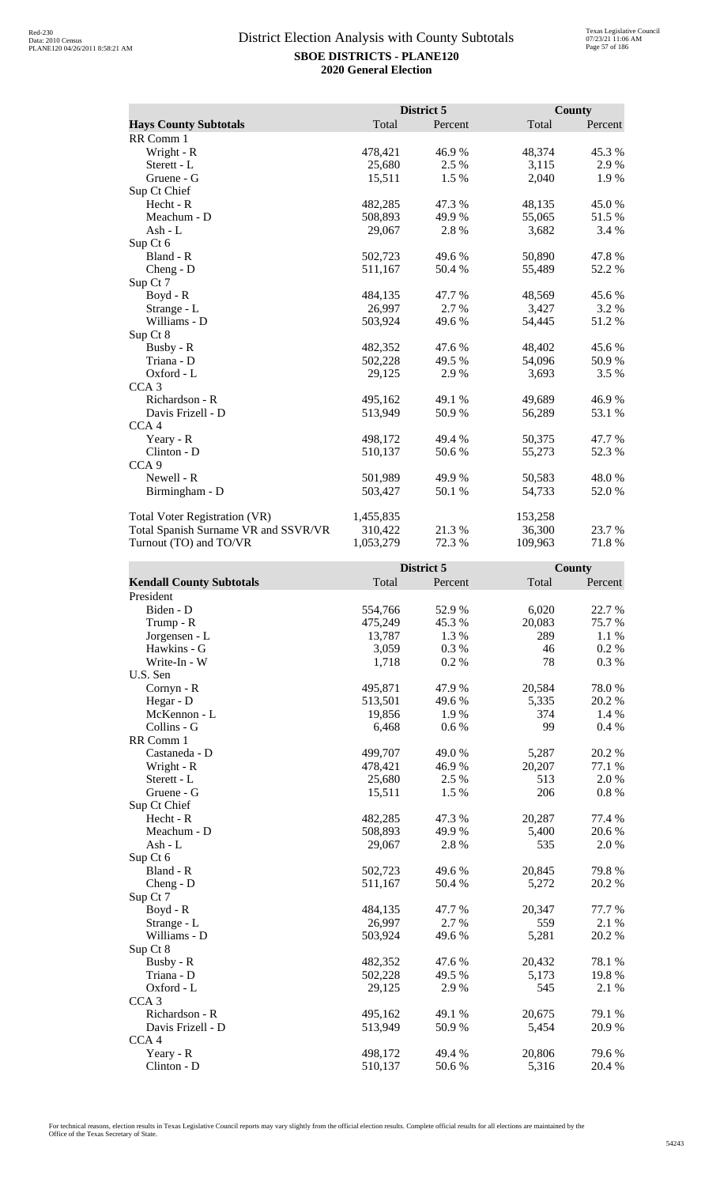|                                      |           | District 5 |         | <b>County</b> |
|--------------------------------------|-----------|------------|---------|---------------|
| <b>Hays County Subtotals</b>         | Total     | Percent    | Total   | Percent       |
| RR Comm 1                            |           |            |         |               |
| Wright - R                           | 478,421   | 46.9%      | 48,374  | 45.3 %        |
| Sterett - L                          | 25,680    | 2.5 %      | 3,115   | 2.9 %         |
| Gruene - G                           | 15,511    | 1.5 %      | 2,040   | 1.9 %         |
| Sup Ct Chief                         |           |            |         |               |
| Hecht - R                            | 482,285   | 47.3 %     | 48,135  | 45.0 %        |
| Meachum - D                          | 508,893   | 49.9 %     | 55,065  | 51.5 %        |
| $Ash - L$                            | 29,067    | 2.8%       | 3,682   | 3.4 %         |
| Sup Ct 6                             |           |            |         |               |
| Bland - R                            | 502,723   | 49.6 %     | 50,890  | 47.8%         |
| Cheng - D                            | 511,167   | 50.4 %     | 55,489  | 52.2 %        |
| Sup Ct 7                             |           |            |         |               |
| Boyd - R                             | 484,135   | 47.7 %     | 48,569  | 45.6 %        |
| Strange - L                          | 26,997    | 2.7 %      | 3,427   | 3.2 %         |
| Williams - D                         | 503,924   | 49.6 %     | 54,445  | 51.2%         |
| Sup Ct 8                             |           |            |         |               |
| Busby - R                            | 482,352   | 47.6 %     | 48,402  | 45.6 %        |
| Triana - D                           | 502,228   | 49.5 %     | 54,096  | 50.9%         |
| Oxford - L                           | 29,125    | 2.9%       | 3,693   | 3.5 %         |
| CCA <sub>3</sub>                     |           |            |         |               |
| Richardson - R                       | 495,162   | 49.1 %     | 49,689  | 46.9%         |
| Davis Frizell - D                    | 513,949   | 50.9%      | 56,289  | 53.1 %        |
| CCA <sub>4</sub>                     |           |            |         |               |
| Yeary - R                            | 498,172   | 49.4 %     | 50,375  | 47.7 %        |
| Clinton - D                          | 510,137   | 50.6 %     | 55,273  | 52.3 %        |
| CCA <sub>9</sub>                     |           |            |         |               |
| Newell - R                           | 501,989   | 49.9 %     | 50,583  | 48.0%         |
| Birmingham - D                       | 503,427   | 50.1 %     | 54,733  | 52.0%         |
| Total Voter Registration (VR)        | 1,455,835 |            | 153,258 |               |
| Total Spanish Surname VR and SSVR/VR | 310,422   | 21.3 %     | 36,300  | 23.7 %        |
| Turnout (TO) and TO/VR               | 1,053,279 | 72.3 %     | 109,963 | 71.8%         |

|                                 |         | District 5 |        | <b>County</b> |
|---------------------------------|---------|------------|--------|---------------|
| <b>Kendall County Subtotals</b> | Total   | Percent    | Total  | Percent       |
| President                       |         |            |        |               |
| Biden - D                       | 554,766 | 52.9%      | 6,020  | 22.7 %        |
| Trump - R                       | 475,249 | 45.3%      | 20,083 | 75.7%         |
| Jorgensen - L                   | 13,787  | 1.3%       | 289    | 1.1 %         |
| Hawkins - G                     | 3,059   | 0.3%       | 46     | 0.2 %         |
| Write-In - W                    | 1,718   | 0.2%       | 78     | 0.3 %         |
| U.S. Sen                        |         |            |        |               |
| Cornyn - R                      | 495,871 | 47.9%      | 20,584 | 78.0%         |
| Hegar - D                       | 513,501 | 49.6 %     | 5,335  | 20.2 %        |
| McKennon - L                    | 19,856  | 1.9%       | 374    | 1.4 %         |
| Collins - G                     | 6,468   | 0.6 %      | 99     | 0.4%          |
| RR Comm 1                       |         |            |        |               |
| Castaneda - D                   | 499,707 | 49.0%      | 5,287  | 20.2 %        |
| Wright - R                      | 478,421 | 46.9%      | 20,207 | 77.1 %        |
| Sterett - L                     | 25,680  | 2.5 %      | 513    | 2.0%          |
| Gruene - G                      | 15,511  | 1.5 %      | 206    | $0.8 \%$      |
| Sup Ct Chief                    |         |            |        |               |
| $Hecht - R$                     | 482,285 | 47.3 %     | 20,287 | 77.4 %        |
| Meachum - D                     | 508,893 | 49.9 %     | 5,400  | 20.6 %        |
| Ash - L                         | 29,067  | 2.8%       | 535    | 2.0 %         |
| Sup Ct 6                        |         |            |        |               |
| Bland - R                       | 502,723 | 49.6 %     | 20,845 | 79.8%         |
| Cheng - D                       | 511,167 | 50.4 %     | 5,272  | 20.2 %        |
| Sup Ct 7                        |         |            |        |               |
| Boyd - R                        | 484,135 | 47.7 %     | 20,347 | 77.7 %        |
| Strange - L                     | 26,997  | 2.7 %      | 559    | 2.1 %         |
| Williams - D                    | 503,924 | 49.6 %     | 5,281  | 20.2 %        |
| Sup Ct 8                        |         |            |        |               |
| Busby - R                       | 482,352 | 47.6 %     | 20,432 | 78.1 %        |
| Triana - D                      | 502,228 | 49.5 %     | 5,173  | 19.8%         |
| Oxford - L                      | 29,125  | 2.9 %      | 545    | 2.1 %         |
| CCA <sub>3</sub>                |         |            |        |               |
| Richardson - R                  | 495,162 | 49.1 %     | 20,675 | 79.1 %        |
| Davis Frizell - D               | 513,949 | 50.9%      | 5,454  | 20.9 %        |
| CCA <sub>4</sub>                |         |            |        |               |
| Yeary - R                       | 498,172 | 49.4 %     | 20,806 | 79.6%         |
| Clinton - D                     | 510,137 | 50.6%      | 5,316  | 20.4 %        |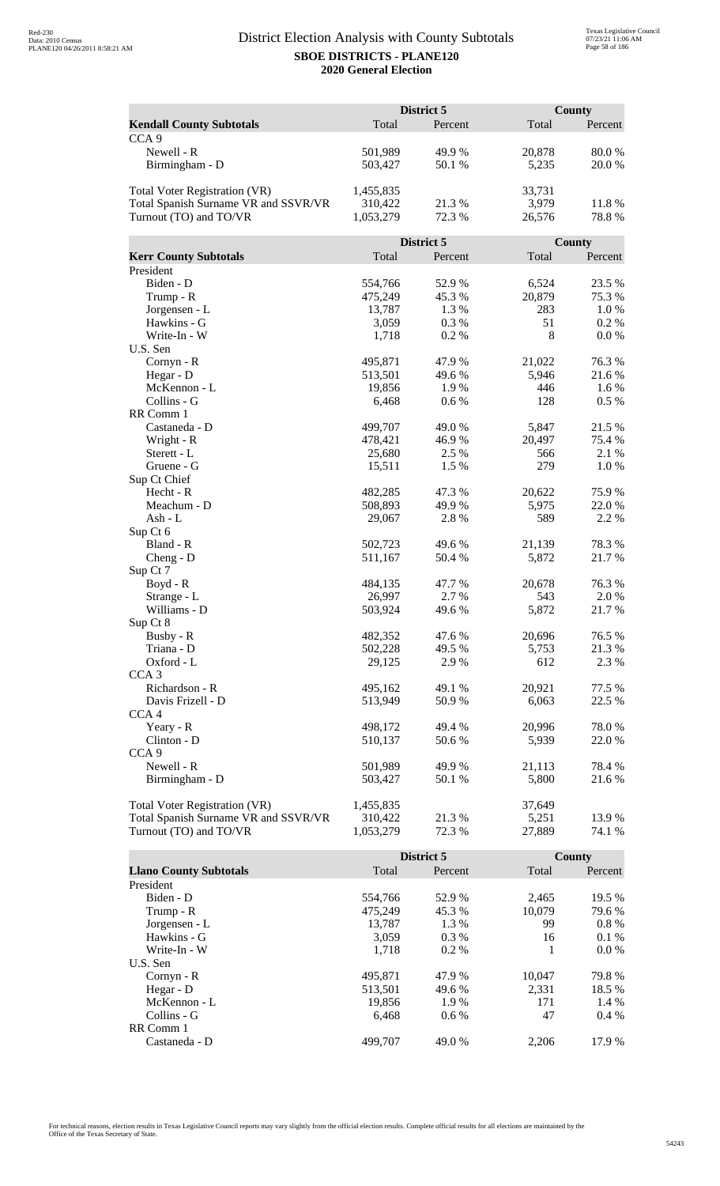|                                      |           | District 5 |        | <b>County</b> |  |
|--------------------------------------|-----------|------------|--------|---------------|--|
| <b>Kendall County Subtotals</b>      | Total     | Percent    | Total  | Percent       |  |
| CCA <sub>9</sub>                     |           |            |        |               |  |
| Newell - R                           | 501,989   | 49.9%      | 20,878 | 80.0%         |  |
| Birmingham - D                       | 503,427   | 50.1%      | 5,235  | 20.0%         |  |
|                                      |           |            |        |               |  |
| <b>Total Voter Registration (VR)</b> | 1,455,835 |            | 33,731 |               |  |
| Total Spanish Surname VR and SSVR/VR | 310,422   | 21.3%      | 3,979  | 11.8%         |  |
| Turnout (TO) and TO/VR               | 1,053,279 | 72.3 %     | 26,576 | 78.8%         |  |
|                                      |           |            |        |               |  |
|                                      |           | District 5 |        | <b>County</b> |  |
| <b>Kerr County Subtotals</b>         | Total     | Percent    | Total  | Percent       |  |
| President                            |           |            |        |               |  |
| Biden - D                            | 554,766   | 52.9%      | 6,524  | 23.5 %        |  |
| Trump - R                            | 475,249   | 45.3%      | 20,879 | 75.3 %        |  |
| Jorgensen - L                        | 13,787    | 1.3%       | 283    | 1.0%          |  |
| Hawkins - G                          | 3,059     | 0.3 %      | 51     | 0.2 %         |  |
| Write-In - W                         | 1,718     | 0.2%       | 8      | 0.0 %         |  |
| U.S. Sen                             |           |            |        |               |  |
| Cornyn - R                           | 495,871   | 47.9%      | 21,022 | 76.3%         |  |
| Hegar - D                            | 513,501   | 49.6 %     | 5,946  | 21.6 %        |  |
| McKennon - L                         | 19,856    | 1.9%       | 446    | 1.6 %         |  |
| Collins - G                          | 6,468     | 0.6 %      | 128    | 0.5 %         |  |
| RR Comm 1                            |           |            |        |               |  |
| Castaneda - D                        | 499,707   | 49.0%      | 5,847  | 21.5 %        |  |
| Wright - R                           | 478,421   | 46.9%      | 20,497 | 75.4 %        |  |
| Sterett - L                          | 25,680    | 2.5 %      | 566    | 2.1 %         |  |
| Gruene - G                           | 15,511    | 1.5 %      | 279    | 1.0%          |  |
| Sup Ct Chief                         |           |            |        |               |  |
| Hecht - R                            | 482,285   | 47.3%      | 20,622 | 75.9%         |  |
| Meachum - D                          | 508,893   | 49.9 %     | 5,975  | 22.0 %        |  |
| Ash - L                              | 29,067    | 2.8 %      | 589    | 2.2 %         |  |
| Sup Ct 6                             |           |            |        |               |  |
| Bland - R                            | 502,723   | 49.6%      | 21,139 | 78.3%         |  |
| $Cheng - D$                          | 511,167   | 50.4 %     | 5,872  | 21.7%         |  |
| Sup Ct 7                             |           |            |        |               |  |
| $Boyd - R$                           | 484,135   | 47.7 %     | 20,678 | 76.3 %        |  |
| Strange - L                          | 26,997    | 2.7%       | 543    | 2.0%          |  |
| Williams - D                         | 503,924   | 49.6 %     | 5,872  | 21.7%         |  |
| Sup Ct 8                             |           |            |        |               |  |
| Busby - R                            | 482,352   | 47.6 %     | 20,696 | 76.5 %        |  |
| Triana - D                           | 502,228   | 49.5 %     | 5,753  | 21.3 %        |  |
| Oxford - L                           | 29,125    | 2.9 %      | 612    | 2.3 %         |  |
| CCA <sub>3</sub>                     |           |            |        |               |  |
| Richardson - R                       | 495,162   | 49.1 %     | 20,921 | 77.5 %        |  |
| Davis Frizell - D                    | 513,949   | 50.9 %     | 6,063  | 22.5 %        |  |
| CCA <sub>4</sub>                     |           |            |        |               |  |
| Yeary - R                            | 498,172   | 49.4 %     | 20,996 | 78.0%         |  |
| Clinton - D                          | 510,137   | 50.6%      | 5,939  | 22.0 %        |  |
| CCA <sub>9</sub>                     |           |            |        |               |  |
| Newell - R                           | 501,989   | 49.9 %     | 21,113 | 78.4 %        |  |
| Birmingham - D                       | 503,427   | 50.1 %     | 5,800  | 21.6 %        |  |
|                                      |           |            |        |               |  |
| <b>Total Voter Registration (VR)</b> | 1,455,835 |            | 37,649 |               |  |
| Total Spanish Surname VR and SSVR/VR | 310,422   | 21.3 %     | 5,251  | 13.9%         |  |
| Turnout (TO) and TO/VR               | 1,053,279 | 72.3 %     | 27,889 | 74.1 %        |  |

|                               |         | District 5 |        | County  |
|-------------------------------|---------|------------|--------|---------|
| <b>Llano County Subtotals</b> | Total   | Percent    | Total  | Percent |
| President                     |         |            |        |         |
| Biden - D                     | 554.766 | 52.9 %     | 2,465  | 19.5 %  |
| Trump - R                     | 475,249 | 45.3 %     | 10,079 | 79.6 %  |
| Jorgensen - L                 | 13,787  | 1.3 %      | 99     | $0.8\%$ |
| Hawkins - G                   | 3,059   | $0.3\%$    | 16     | $0.1\%$ |
| Write-In - W                  | 1.718   | $0.2\%$    |        | $0.0\%$ |
| U.S. Sen                      |         |            |        |         |
| $Cornyn - R$                  | 495,871 | 47.9 %     | 10.047 | 79.8%   |
| Hegar - $D$                   | 513,501 | 49.6 %     | 2.331  | 18.5 %  |
| McKennon - L                  | 19,856  | 1.9 %      | 171    | 1.4 %   |
| Collins - G                   | 6.468   | $0.6\%$    | 47     | $0.4\%$ |
| RR Comm 1                     |         |            |        |         |
| Castaneda - D                 | 499,707 | 49.0 %     | 2,206  | 17.9 %  |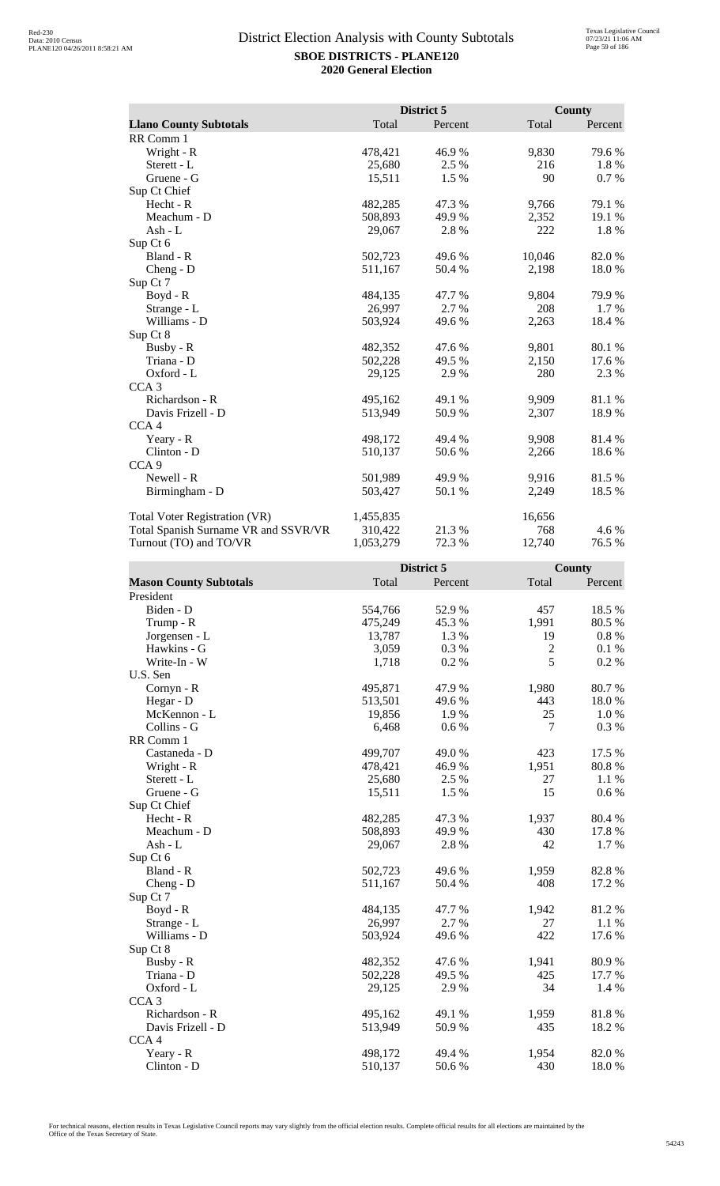|                                      |           | District 5 |        | County  |
|--------------------------------------|-----------|------------|--------|---------|
| <b>Llano County Subtotals</b>        | Total     | Percent    | Total  | Percent |
| RR Comm 1                            |           |            |        |         |
| Wright - R                           | 478,421   | 46.9%      | 9,830  | 79.6 %  |
| Sterett - L                          | 25,680    | 2.5 %      | 216    | 1.8 %   |
| Gruene - G                           | 15,511    | 1.5 %      | 90     | 0.7 %   |
| Sup Ct Chief                         |           |            |        |         |
| Hecht - R                            | 482,285   | 47.3 %     | 9,766  | 79.1 %  |
| Meachum - D                          | 508,893   | 49.9 %     | 2,352  | 19.1 %  |
| Ash - L                              | 29,067    | 2.8 %      | 222    | 1.8%    |
| Sup Ct 6                             |           |            |        |         |
| Bland - R                            | 502,723   | 49.6 %     | 10,046 | 82.0%   |
| $Cheng - D$                          | 511,167   | 50.4 %     | 2,198  | 18.0%   |
| Sup Ct 7                             |           |            |        |         |
| $Boyd - R$                           | 484,135   | 47.7 %     | 9,804  | 79.9 %  |
| Strange - L                          | 26,997    | 2.7 %      | 208    | 1.7 %   |
| Williams - D                         | 503,924   | 49.6 %     | 2,263  | 18.4 %  |
| Sup Ct 8                             |           |            |        |         |
| Busby - R                            | 482,352   | 47.6 %     | 9,801  | 80.1 %  |
| Triana - D                           | 502,228   | 49.5 %     | 2,150  | 17.6 %  |
| Oxford - L                           | 29,125    | 2.9 %      | 280    | 2.3 %   |
| CCA <sub>3</sub>                     |           |            |        |         |
| Richardson - R                       | 495,162   | 49.1 %     | 9,909  | 81.1%   |
| Davis Frizell - D                    | 513,949   | 50.9%      | 2,307  | 18.9%   |
| CCA <sub>4</sub>                     |           |            |        |         |
| Yeary - R                            | 498,172   | 49.4 %     | 9,908  | 81.4 %  |
| Clinton - D                          | 510,137   | 50.6%      | 2,266  | 18.6%   |
| CCA <sub>9</sub>                     |           |            |        |         |
| Newell - R                           | 501,989   | 49.9 %     | 9,916  | 81.5%   |
| Birmingham - D                       | 503,427   | 50.1 %     | 2,249  | 18.5 %  |
| <b>Total Voter Registration (VR)</b> | 1,455,835 |            | 16,656 |         |
| Total Spanish Surname VR and SSVR/VR | 310,422   | 21.3%      | 768    | 4.6 %   |
| Turnout (TO) and TO/VR               | 1,053,279 | 72.3 %     | 12,740 | 76.5 %  |

|                               |         | District 5 |                | <b>County</b> |
|-------------------------------|---------|------------|----------------|---------------|
| <b>Mason County Subtotals</b> | Total   | Percent    | Total          | Percent       |
| President                     |         |            |                |               |
| Biden - D                     | 554,766 | 52.9%      | 457            | 18.5 %        |
| Trump - R                     | 475,249 | 45.3%      | 1,991          | 80.5 %        |
| Jorgensen - L                 | 13,787  | 1.3%       | 19             | $0.8\ \%$     |
| Hawkins - G                   | 3,059   | 0.3%       | $\overline{c}$ | 0.1%          |
| Write-In - W                  | 1,718   | 0.2%       | 5              | 0.2 %         |
| U.S. Sen                      |         |            |                |               |
| Cornyn - R                    | 495,871 | 47.9%      | 1,980          | 80.7%         |
| Hegar - D                     | 513,501 | 49.6 %     | 443            | 18.0%         |
| McKennon - L                  | 19,856  | 1.9%       | 25             | 1.0%          |
| Collins - G                   | 6,468   | 0.6 %      | 7              | 0.3%          |
| RR Comm 1                     |         |            |                |               |
| Castaneda - D                 | 499,707 | 49.0 %     | 423            | 17.5 %        |
| Wright - R                    | 478,421 | 46.9%      | 1,951          | 80.8%         |
| Sterett - L                   | 25,680  | 2.5 %      | 27             | 1.1 %         |
| Gruene - G                    | 15,511  | 1.5 %      | 15             | 0.6 %         |
| Sup Ct Chief                  |         |            |                |               |
| Hecht - R                     | 482,285 | 47.3 %     | 1,937          | 80.4%         |
| Meachum - D                   | 508,893 | 49.9%      | 430            | 17.8%         |
| $Ash - L$                     | 29,067  | 2.8%       | 42             | 1.7%          |
| Sup Ct 6                      |         |            |                |               |
| Bland - R                     | 502,723 | 49.6 %     | 1,959          | 82.8%         |
| $Cheng - D$                   | 511,167 | 50.4 %     | 408            | 17.2 %        |
| Sup Ct 7                      |         |            |                |               |
| $Boyd - R$                    | 484,135 | 47.7 %     | 1,942          | 81.2%         |
| Strange - L                   | 26,997  | 2.7%       | 27             | 1.1 %         |
| Williams - D                  | 503,924 | 49.6 %     | 422            | 17.6 %        |
| Sup Ct 8                      |         |            |                |               |
| Busby - R                     | 482,352 | 47.6 %     | 1,941          | 80.9%         |
| Triana - D                    | 502,228 | 49.5 %     | 425            | 17.7 %        |
| Oxford - L                    | 29,125  | 2.9%       | 34             | 1.4 %         |
| CCA <sub>3</sub>              |         |            |                |               |
| Richardson - R                | 495,162 | 49.1 %     | 1,959          | 81.8%         |
| Davis Frizell - D             | 513,949 | 50.9%      | 435            | 18.2%         |
| CCA <sub>4</sub>              |         |            |                |               |
| Yeary - R                     | 498,172 | 49.4 %     | 1,954          | 82.0%         |
| Clinton - D                   | 510,137 | 50.6%      | 430            | 18.0%         |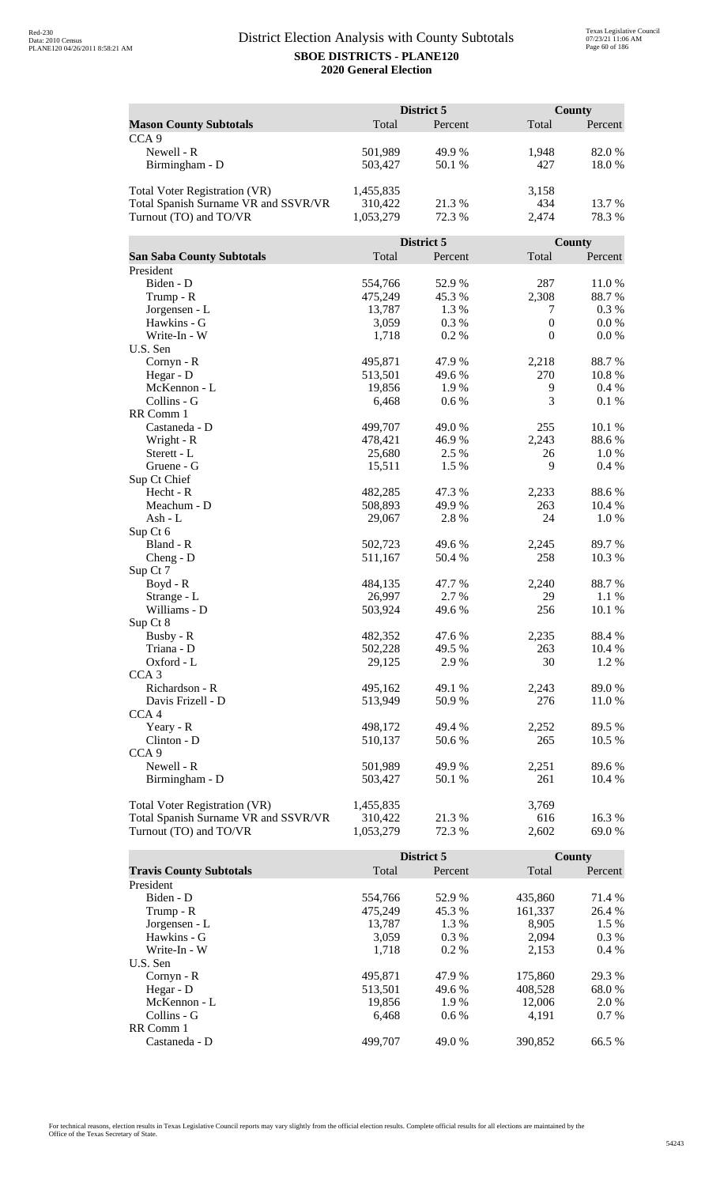|                                      | District 5 |                  |                  | County        |  |
|--------------------------------------|------------|------------------|------------------|---------------|--|
| <b>Mason County Subtotals</b>        | Total      | Percent          | Total            | Percent       |  |
| CCA <sub>9</sub>                     |            |                  |                  |               |  |
| Newell - R                           | 501,989    | 49.9%            | 1,948            | 82.0 %        |  |
| Birmingham - D                       | 503,427    | 50.1 %           | 427              | 18.0%         |  |
|                                      |            |                  |                  |               |  |
| Total Voter Registration (VR)        | 1,455,835  |                  | 3,158            |               |  |
| Total Spanish Surname VR and SSVR/VR | 310,422    | 21.3%            | 434              | 13.7 %        |  |
| Turnout (TO) and TO/VR               | 1,053,279  | 72.3 %           | 2,474            | 78.3%         |  |
|                                      |            |                  |                  |               |  |
|                                      |            | District 5       |                  | County        |  |
| <b>San Saba County Subtotals</b>     | Total      | Percent          | Total            | Percent       |  |
| President                            |            |                  |                  |               |  |
| Biden - D                            | 554,766    | 52.9%            | 287              | 11.0%         |  |
| Trump - R                            | 475,249    | 45.3 %           | 2,308            | 88.7%         |  |
| Jorgensen - L                        | 13,787     | 1.3%             | 7                | 0.3%          |  |
| Hawkins - G                          | 3,059      | 0.3 %            | $\boldsymbol{0}$ | 0.0 %         |  |
| Write-In - W                         | 1,718      | 0.2%             | $\boldsymbol{0}$ | 0.0 %         |  |
| U.S. Sen                             |            |                  |                  |               |  |
| Cornyn - R                           | 495,871    | 47.9%            | 2,218            | 88.7%         |  |
| Hegar - D                            | 513,501    | 49.6%            | 270              | 10.8%         |  |
| McKennon - L                         | 19,856     | 1.9%             | 9                | $0.4\%$       |  |
| Collins - G                          | 6,468      | 0.6 %            | 3                | 0.1%          |  |
| RR Comm 1                            |            |                  |                  |               |  |
| Castaneda - D                        | 499,707    | 49.0%            | 255              | 10.1 %        |  |
|                                      | 478,421    |                  | 2,243            |               |  |
| Wright - R<br>Sterett - L            | 25,680     | 46.9%<br>2.5 %   | 26               | 88.6%<br>1.0% |  |
|                                      |            |                  | 9                |               |  |
| Gruene - G                           | 15,511     | 1.5 %            |                  | 0.4%          |  |
| Sup Ct Chief<br>Hecht - R            | 482,285    | 47.3 %           |                  | 88.6%         |  |
| Meachum - D                          |            | 49.9%            | 2,233<br>263     |               |  |
|                                      | 508,893    |                  | 24               | 10.4 %        |  |
| Ash - L                              | 29,067     | 2.8%             |                  | 1.0%          |  |
| Sup Ct 6<br>Bland - R                | 502,723    | 49.6%            |                  | 89.7%         |  |
|                                      |            | 50.4 %           | 2,245<br>258     | 10.3%         |  |
| $Cheng - D$<br>Sup Ct 7              | 511,167    |                  |                  |               |  |
| Boyd - R                             | 484,135    | 47.7%            | 2,240            | 88.7%         |  |
|                                      | 26,997     | 2.7 %            | 29               | 1.1 %         |  |
| Strange - L<br>Williams - D          | 503,924    | 49.6%            | 256              | 10.1 %        |  |
|                                      |            |                  |                  |               |  |
| Sup Ct 8<br>Busby - R                | 482,352    |                  | 2,235            | 88.4%         |  |
| Triana - D                           | 502,228    | 47.6 %<br>49.5 % | 263              |               |  |
|                                      |            |                  | 30               | 10.4 %        |  |
| Oxford - L<br>CCA <sub>3</sub>       | 29,125     | 2.9 %            |                  | 1.2 %         |  |
| Richardson - R                       | 495,162    |                  | 2,243            |               |  |
|                                      |            | 49.1 %           |                  | 89.0%         |  |
| Davis Frizell - D                    | 513,949    | 50.9 %           | 276              | 11.0 %        |  |
| CCA <sub>4</sub>                     |            |                  |                  |               |  |
| Yeary - R                            | 498,172    | 49.4 %           | 2,252            | 89.5 %        |  |
| Clinton - D                          | 510,137    | 50.6%            | 265              | 10.5 %        |  |
| CCA <sub>9</sub>                     |            |                  |                  |               |  |
| Newell - R                           | 501,989    | 49.9 %           | 2,251            | 89.6%         |  |
| Birmingham - D                       | 503,427    | 50.1 %           | 261              | 10.4 %        |  |
|                                      |            |                  |                  |               |  |
| Total Voter Registration (VR)        | 1,455,835  |                  | 3,769            |               |  |
| Total Spanish Surname VR and SSVR/VR | 310,422    | 21.3 %           | 616              | 16.3 %        |  |
| Turnout (TO) and TO/VR               | 1,053,279  | 72.3 %           | 2,602            | 69.0%         |  |

|                                |         | District 5 |         | County  |
|--------------------------------|---------|------------|---------|---------|
| <b>Travis County Subtotals</b> | Total   | Percent    | Total   | Percent |
| President                      |         |            |         |         |
| Biden - D                      | 554,766 | 52.9 %     | 435.860 | 71.4 %  |
| Trump - R                      | 475,249 | 45.3 %     | 161,337 | 26.4 %  |
| Jorgensen - L                  | 13.787  | 1.3 %      | 8.905   | $1.5\%$ |
| Hawkins - G                    | 3,059   | $0.3\%$    | 2.094   | $0.3\%$ |
| Write-In - W                   | 1.718   | $0.2\%$    | 2.153   | $0.4\%$ |
| U.S. Sen                       |         |            |         |         |
| $Cornyn - R$                   | 495,871 | 47.9 %     | 175,860 | 29.3 %  |
| Hegar - D                      | 513,501 | 49.6 %     | 408.528 | 68.0 %  |
| McKennon - L                   | 19,856  | 1.9 %      | 12,006  | 2.0 %   |
| Collins - G                    | 6.468   | $0.6\%$    | 4.191   | $0.7\%$ |
| RR Comm 1                      |         |            |         |         |
| Castaneda - D                  | 499,707 | 49.0 %     | 390.852 | 66.5 %  |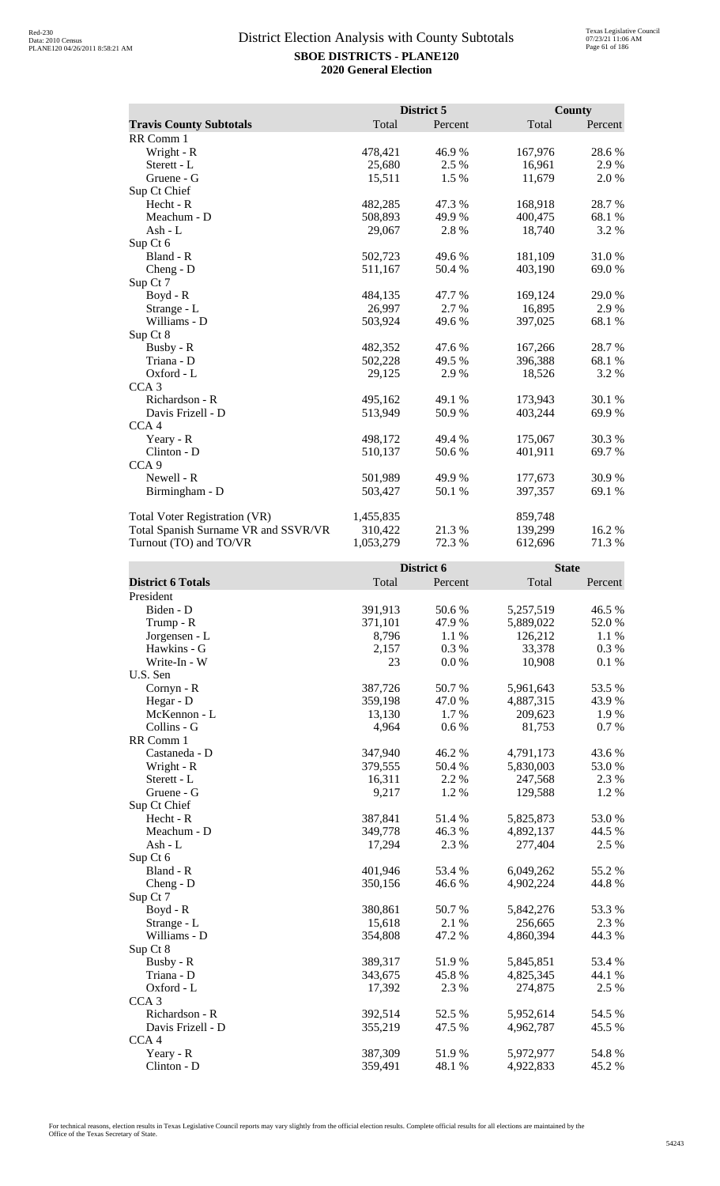|                                      | District 5 |         | County  |         |
|--------------------------------------|------------|---------|---------|---------|
| <b>Travis County Subtotals</b>       | Total      | Percent | Total   | Percent |
| RR Comm 1                            |            |         |         |         |
| Wright - R                           | 478,421    | 46.9%   | 167,976 | 28.6%   |
| Sterett - L                          | 25,680     | 2.5 %   | 16,961  | 2.9 %   |
| Gruene - G                           | 15,511     | 1.5 %   | 11,679  | 2.0 %   |
| Sup Ct Chief                         |            |         |         |         |
| Hecht - R                            | 482,285    | 47.3 %  | 168,918 | 28.7 %  |
| Meachum - D                          | 508,893    | 49.9%   | 400,475 | 68.1%   |
| Ash - L                              | 29,067     | 2.8%    | 18,740  | 3.2 %   |
| Sup Ct 6                             |            |         |         |         |
| Bland - R                            | 502,723    | 49.6 %  | 181,109 | 31.0%   |
| $Cheng - D$                          | 511,167    | 50.4 %  | 403,190 | 69.0%   |
| Sup Ct 7                             |            |         |         |         |
| $Boyd - R$                           | 484,135    | 47.7 %  | 169,124 | 29.0%   |
| Strange - L                          | 26,997     | 2.7 %   | 16,895  | 2.9%    |
| Williams - D                         | 503,924    | 49.6 %  | 397,025 | 68.1%   |
| Sup Ct 8                             |            |         |         |         |
| Busby - R                            | 482,352    | 47.6 %  | 167,266 | 28.7%   |
| Triana - D                           | 502,228    | 49.5 %  | 396,388 | 68.1 %  |
| Oxford - L                           | 29,125     | 2.9%    | 18,526  | 3.2 %   |
| CCA <sub>3</sub>                     |            |         |         |         |
| Richardson - R                       | 495,162    | 49.1 %  | 173,943 | 30.1 %  |
| Davis Frizell - D                    | 513,949    | 50.9%   | 403,244 | 69.9%   |
| CCA <sub>4</sub>                     |            |         |         |         |
| Yeary - R                            | 498,172    | 49.4 %  | 175,067 | 30.3%   |
| Clinton - D                          | 510,137    | 50.6 %  | 401,911 | 69.7 %  |
| CCA <sub>9</sub>                     |            |         |         |         |
| Newell - R                           | 501,989    | 49.9 %  | 177,673 | 30.9%   |
| Birmingham - D                       | 503,427    | 50.1 %  | 397,357 | 69.1 %  |
| <b>Total Voter Registration (VR)</b> | 1,455,835  |         | 859,748 |         |
| Total Spanish Surname VR and SSVR/VR | 310,422    | 21.3 %  | 139,299 | 16.2 %  |
| Turnout (TO) and TO/VR               | 1,053,279  | 72.3 %  | 612,696 | 71.3%   |

|                          |         | District 6 | <b>State</b> |         |
|--------------------------|---------|------------|--------------|---------|
| <b>District 6 Totals</b> | Total   | Percent    | Total        | Percent |
| President                |         |            |              |         |
| Biden - D                | 391,913 | 50.6%      | 5,257,519    | 46.5 %  |
| Trump - R                | 371,101 | 47.9%      | 5,889,022    | 52.0%   |
| Jorgensen - L            | 8,796   | 1.1 %      | 126,212      | 1.1 %   |
| Hawkins - G              | 2,157   | 0.3%       | 33,378       | 0.3%    |
| Write-In - W             | 23      | 0.0 %      | 10,908       | 0.1 %   |
| U.S. Sen                 |         |            |              |         |
| Cornyn - R               | 387,726 | 50.7%      | 5,961,643    | 53.5 %  |
| Hegar - D                | 359,198 | 47.0%      | 4,887,315    | 43.9%   |
| McKennon - L             | 13,130  | 1.7%       | 209,623      | 1.9%    |
| Collins - G              | 4,964   | 0.6 %      | 81,753       | 0.7 %   |
| RR Comm 1                |         |            |              |         |
| Castaneda - D            | 347,940 | 46.2%      | 4,791,173    | 43.6%   |
| Wright - R               | 379,555 | 50.4 %     | 5,830,003    | 53.0%   |
| Sterett - L              | 16,311  | 2.2 %      | 247,568      | 2.3 %   |
| Gruene - G               | 9,217   | 1.2%       | 129,588      | 1.2%    |
| Sup Ct Chief             |         |            |              |         |
| Hecht - R                | 387,841 | 51.4%      | 5,825,873    | 53.0%   |
| Meachum - D              | 349,778 | 46.3%      | 4,892,137    | 44.5 %  |
| Ash - L                  | 17,294  | 2.3 %      | 277,404      | 2.5 %   |
| Sup Ct 6                 |         |            |              |         |
| Bland - R                | 401,946 | 53.4 %     | 6,049,262    | 55.2%   |
| Cheng - D                | 350,156 | 46.6%      | 4,902,224    | 44.8%   |
| Sup Ct 7                 |         |            |              |         |
| Boyd - R                 | 380,861 | 50.7%      | 5,842,276    | 53.3%   |
| Strange - L              | 15,618  | 2.1 %      | 256,665      | 2.3 %   |
| Williams - D             | 354,808 | 47.2 %     | 4,860,394    | 44.3 %  |
| Sup Ct 8                 |         |            |              |         |
| Busby - R                | 389,317 | 51.9%      | 5,845,851    | 53.4 %  |
| Triana - D               | 343,675 | 45.8%      | 4,825,345    | 44.1 %  |
| Oxford - L               | 17,392  | 2.3 %      | 274,875      | 2.5 %   |
| CCA <sub>3</sub>         |         |            |              |         |
| Richardson - R           | 392,514 | 52.5 %     | 5,952,614    | 54.5 %  |
| Davis Frizell - D        | 355,219 | 47.5 %     | 4,962,787    | 45.5 %  |
| CCA <sub>4</sub>         |         |            |              |         |
| Yeary - R                | 387,309 | 51.9%      | 5,972,977    | 54.8%   |
| Clinton - D              | 359,491 | 48.1 %     | 4,922,833    | 45.2%   |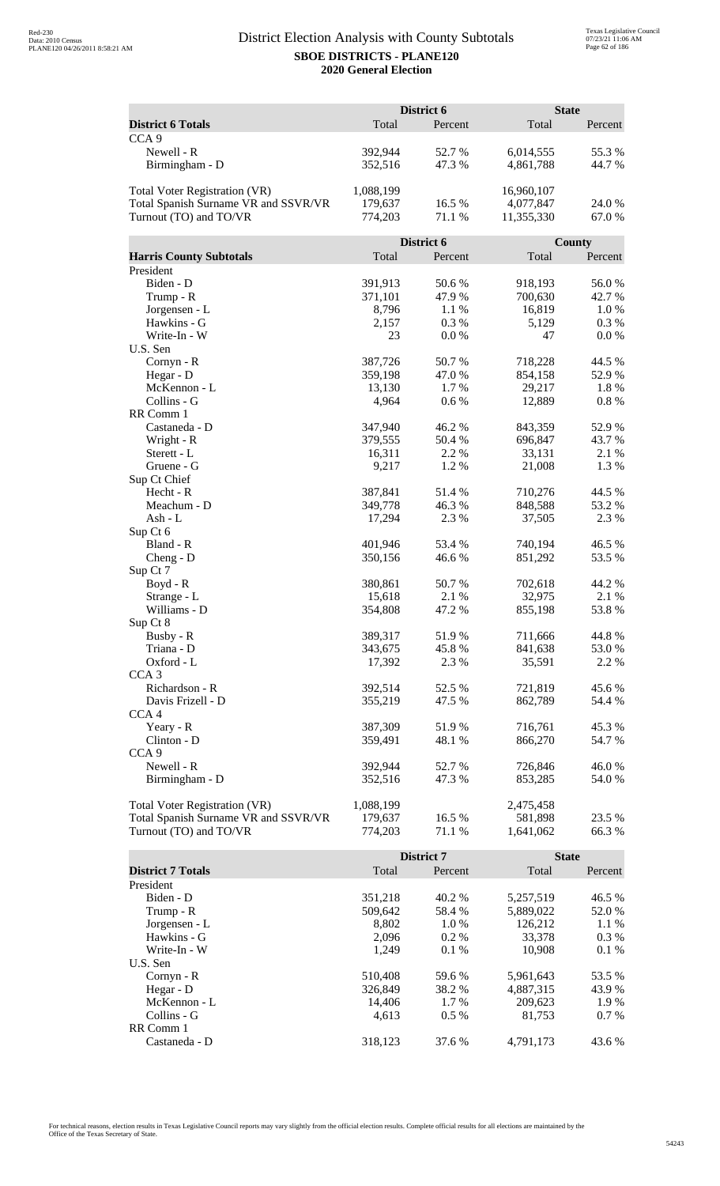|                                      |           | District 6 |            | <b>State</b> |
|--------------------------------------|-----------|------------|------------|--------------|
| <b>District 6 Totals</b>             | Total     | Percent    | Total      | Percent      |
| CCA <sub>9</sub>                     |           |            |            |              |
| Newell - R                           | 392,944   | 52.7%      | 6,014,555  | 55.3%        |
| Birmingham - D                       | 352,516   | 47.3 %     | 4,861,788  | 44.7 %       |
|                                      |           |            |            |              |
| <b>Total Voter Registration (VR)</b> | 1,088,199 |            | 16,960,107 |              |
| Total Spanish Surname VR and SSVR/VR | 179,637   | 16.5 %     | 4,077,847  | 24.0 %       |
| Turnout (TO) and TO/VR               | 774,203   | 71.1 %     | 11,355,330 | 67.0%        |
|                                      |           |            |            |              |
|                                      |           | District 6 |            | County       |
| <b>Harris County Subtotals</b>       | Total     | Percent    | Total      | Percent      |
| President                            |           |            |            |              |
| Biden - D                            | 391,913   | 50.6 %     | 918,193    | 56.0%        |
| Trump - R                            | 371,101   | 47.9%      | 700,630    | 42.7 %       |
| Jorgensen - L                        | 8,796     | 1.1 %      | 16,819     | 1.0%         |
| Hawkins - G                          | 2,157     | 0.3%       | 5,129      | 0.3 %        |
| Write-In - W                         | 23        | 0.0 %      | 47         | 0.0 %        |
| U.S. Sen                             |           |            |            |              |
| Cornyn - R                           | 387,726   | 50.7%      | 718,228    | 44.5 %       |
| Hegar - D                            | 359,198   | 47.0 %     | 854,158    | 52.9%        |
| McKennon - L<br>Collins - G          | 13,130    | 1.7 %      | 29,217     | 1.8%         |
| RR Comm 1                            | 4,964     | 0.6 %      | 12,889     | 0.8%         |
| Castaneda - D                        | 347,940   | 46.2%      | 843,359    | 52.9%        |
| Wright - R                           | 379,555   | 50.4 %     | 696,847    | 43.7%        |
| Sterett - L                          | 16,311    | 2.2 %      | 33,131     | 2.1 %        |
| Gruene - G                           | 9,217     | 1.2%       | 21,008     | 1.3%         |
| Sup Ct Chief                         |           |            |            |              |
| Hecht - R                            | 387,841   | 51.4 %     | 710,276    | 44.5 %       |
| Meachum - D                          | 349,778   | 46.3%      | 848,588    | 53.2 %       |
| Ash - L                              | 17,294    | 2.3 %      | 37,505     | 2.3 %        |
| Sup Ct 6                             |           |            |            |              |
| Bland - R                            | 401,946   | 53.4 %     | 740,194    | 46.5 %       |
| $Cheng - D$                          | 350,156   | 46.6%      | 851,292    | 53.5 %       |
| Sup Ct 7                             |           |            |            |              |
| Boyd - R                             | 380,861   | 50.7%      | 702,618    | 44.2 %       |
| Strange - L                          | 15,618    | 2.1 %      | 32,975     | 2.1 %        |
| Williams - D                         | 354,808   | 47.2 %     | 855,198    | 53.8%        |
| Sup Ct 8                             |           |            |            |              |
| Busby - R                            | 389,317   | 51.9%      | 711,666    | 44.8%        |
| Triana - D                           | 343,675   | 45.8%      | 841,638    | 53.0 %       |
| Oxford - L                           | 17,392    | 2.3 %      | 35,591     | 2.2 %        |
| CCA <sub>3</sub>                     |           |            |            |              |
| Richardson - R                       | 392,514   | 52.5 %     | 721,819    | 45.6 %       |
| Davis Frizell - D                    | 355,219   | 47.5 %     | 862,789    | 54.4 %       |
| CCA <sub>4</sub>                     |           |            |            |              |
| Yeary - R                            | 387,309   | 51.9%      | 716,761    | 45.3%        |
| Clinton - D                          | 359,491   | 48.1 %     | 866,270    | 54.7 %       |
| CCA <sub>9</sub>                     |           |            |            |              |
| Newell - R                           | 392,944   | 52.7%      | 726,846    | 46.0%        |
| Birmingham - D                       | 352,516   | 47.3 %     | 853,285    | 54.0 %       |
| <b>Total Voter Registration (VR)</b> | 1,088,199 |            | 2,475,458  |              |
| Total Spanish Surname VR and SSVR/VR | 179,637   | 16.5 %     | 581,898    | 23.5 %       |
| Turnout (TO) and TO/VR               | 774,203   | 71.1 %     | 1,641,062  | 66.3%        |
|                                      |           |            |            |              |

|                          |         | District 7 | <b>State</b> |         |
|--------------------------|---------|------------|--------------|---------|
| <b>District 7 Totals</b> | Total   | Percent    | Total        | Percent |
| President                |         |            |              |         |
| Biden - D                | 351,218 | 40.2 %     | 5,257,519    | 46.5 %  |
| Trump - R                | 509,642 | 58.4 %     | 5,889,022    | 52.0 %  |
| Jorgensen - L            | 8.802   | $1.0\%$    | 126.212      | 1.1%    |
| Hawkins - G              | 2.096   | $0.2\%$    | 33,378       | $0.3\%$ |
| Write-In - W             | 1.249   | $0.1\%$    | 10.908       | $0.1\%$ |
| U.S. Sen                 |         |            |              |         |
| $Cornyn - R$             | 510,408 | 59.6 %     | 5,961,643    | 53.5 %  |
| Hegar - $D$              | 326,849 | 38.2 %     | 4,887,315    | 43.9 %  |
| McKennon - L             | 14.406  | 1.7 %      | 209,623      | 1.9 %   |
| Collins - G              | 4.613   | $0.5\%$    | 81.753       | $0.7\%$ |
| RR Comm 1                |         |            |              |         |
| Castaneda - D            | 318.123 | 37.6 %     | 4.791.173    | 43.6 %  |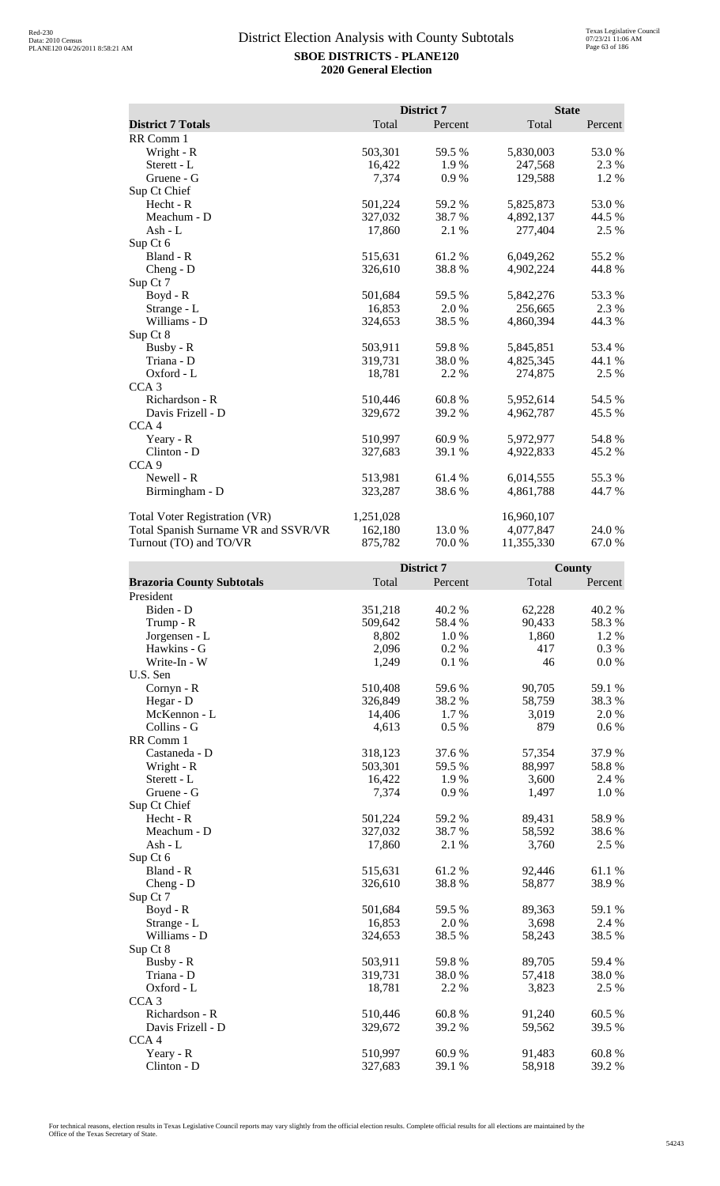|                                      |           | District 7 | <b>State</b> |         |
|--------------------------------------|-----------|------------|--------------|---------|
| <b>District 7 Totals</b>             | Total     | Percent    | Total        | Percent |
| RR Comm 1                            |           |            |              |         |
| Wright - R                           | 503,301   | 59.5 %     | 5,830,003    | 53.0 %  |
| Sterett - L                          | 16,422    | 1.9%       | 247,568      | 2.3 %   |
| Gruene - G                           | 7,374     | 0.9%       | 129,588      | 1.2 %   |
| Sup Ct Chief                         |           |            |              |         |
| Hecht - R                            | 501,224   | 59.2%      | 5,825,873    | 53.0%   |
| Meachum - D                          | 327,032   | 38.7%      | 4,892,137    | 44.5 %  |
| Ash - L                              | 17,860    | 2.1 %      | 277,404      | 2.5 %   |
| Sup Ct 6                             |           |            |              |         |
| Bland - R                            | 515,631   | 61.2%      | 6,049,262    | 55.2 %  |
| $Cheng - D$                          | 326,610   | 38.8%      | 4,902,224    | 44.8%   |
| Sup Ct 7                             |           |            |              |         |
| Boyd - R                             | 501,684   | 59.5 %     | 5,842,276    | 53.3 %  |
| Strange - L                          | 16,853    | 2.0 %      | 256,665      | 2.3 %   |
| Williams - D                         | 324,653   | 38.5 %     | 4,860,394    | 44.3 %  |
| Sup Ct 8                             |           |            |              |         |
| Busby - R                            | 503,911   | 59.8%      | 5,845,851    | 53.4 %  |
| Triana - D                           | 319,731   | 38.0%      | 4,825,345    | 44.1 %  |
| Oxford - L                           | 18,781    | 2.2 %      | 274,875      | 2.5 %   |
| CCA <sub>3</sub>                     |           |            |              |         |
| Richardson - R                       | 510,446   | 60.8%      | 5,952,614    | 54.5 %  |
| Davis Frizell - D                    | 329,672   | 39.2 %     | 4,962,787    | 45.5 %  |
| CCA <sub>4</sub>                     |           |            |              |         |
| Yeary - R                            | 510,997   | 60.9%      | 5,972,977    | 54.8%   |
| Clinton - D                          | 327,683   | 39.1 %     | 4,922,833    | 45.2 %  |
| CCA <sub>9</sub>                     |           |            |              |         |
| Newell - R                           | 513,981   | 61.4 %     | 6,014,555    | 55.3 %  |
| Birmingham - D                       | 323,287   | 38.6%      | 4,861,788    | 44.7 %  |
| <b>Total Voter Registration (VR)</b> | 1,251,028 |            | 16,960,107   |         |
| Total Spanish Surname VR and SSVR/VR | 162,180   | 13.0 %     | 4,077,847    | 24.0 %  |
| Turnout (TO) and TO/VR               | 875,782   | 70.0%      | 11,355,330   | 67.0%   |

|                                  |         | District 7 |        | <b>County</b> |
|----------------------------------|---------|------------|--------|---------------|
| <b>Brazoria County Subtotals</b> | Total   | Percent    | Total  | Percent       |
| President                        |         |            |        |               |
| Biden - D                        | 351,218 | 40.2%      | 62,228 | 40.2%         |
| Trump - R                        | 509,642 | 58.4 %     | 90,433 | 58.3%         |
| Jorgensen - L                    | 8,802   | 1.0%       | 1,860  | 1.2%          |
| Hawkins - G                      | 2,096   | 0.2%       | 417    | 0.3 %         |
| Write-In - W                     | 1,249   | 0.1%       | 46     | $0.0\ \%$     |
| U.S. Sen                         |         |            |        |               |
| Cornyn - R                       | 510,408 | 59.6%      | 90,705 | 59.1 %        |
| Hegar - D                        | 326,849 | 38.2 %     | 58,759 | 38.3%         |
| McKennon - L                     | 14,406  | 1.7%       | 3,019  | 2.0 %         |
| Collins - G                      | 4,613   | 0.5%       | 879    | $0.6\%$       |
| RR Comm 1                        |         |            |        |               |
| Castaneda - D                    | 318,123 | 37.6 %     | 57,354 | 37.9%         |
| Wright - R                       | 503,301 | 59.5 %     | 88,997 | 58.8%         |
| Sterett - L                      | 16,422  | 1.9%       | 3,600  | 2.4 %         |
| Gruene - G                       | 7,374   | 0.9%       | 1,497  | 1.0%          |
| Sup Ct Chief                     |         |            |        |               |
| Hecht - R                        | 501,224 | 59.2 %     | 89,431 | 58.9%         |
| Meachum - D                      | 327,032 | 38.7 %     | 58,592 | 38.6%         |
| Ash - L                          | 17,860  | 2.1 %      | 3,760  | 2.5 %         |
| Sup Ct 6                         |         |            |        |               |
| Bland - R                        | 515,631 | 61.2%      | 92,446 | 61.1%         |
| Cheng - D                        | 326,610 | 38.8%      | 58,877 | 38.9%         |
| Sup Ct 7                         |         |            |        |               |
| $Boyd - R$                       | 501,684 | 59.5 %     | 89,363 | 59.1 %        |
| Strange - L                      | 16,853  | 2.0%       | 3,698  | 2.4 %         |
| Williams - D                     | 324,653 | 38.5 %     | 58,243 | 38.5%         |
| Sup Ct 8                         |         |            |        |               |
| Busby - R                        | 503,911 | 59.8%      | 89,705 | 59.4 %        |
| Triana - D                       | 319,731 | 38.0%      | 57,418 | 38.0%         |
| Oxford - L                       | 18,781  | 2.2 %      | 3,823  | 2.5 %         |
| CCA <sub>3</sub>                 |         |            |        |               |
| Richardson - R                   | 510,446 | 60.8%      | 91,240 | 60.5 %        |
| Davis Frizell - D                | 329,672 | 39.2 %     | 59,562 | 39.5 %        |
| CCA4                             |         |            |        |               |
| Yeary - R                        | 510,997 | 60.9%      | 91,483 | 60.8%         |
| Clinton - D                      | 327,683 | 39.1 %     | 58,918 | 39.2 %        |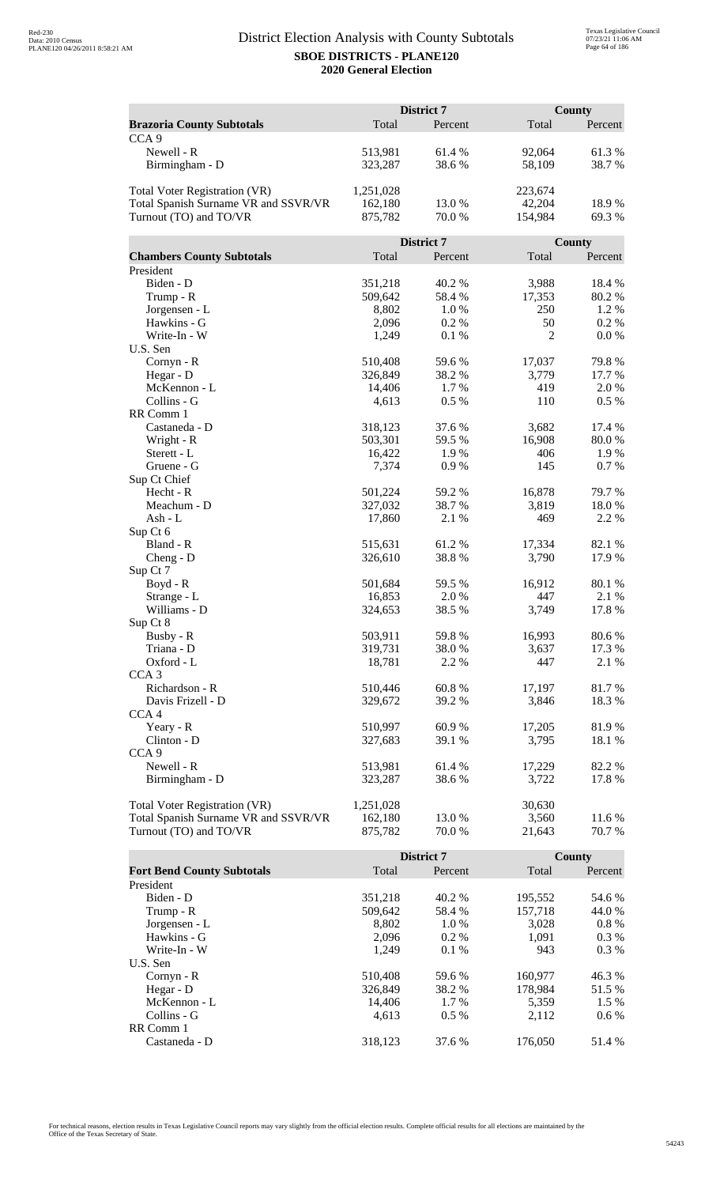|                                      | District 7 |            |                | County  |  |
|--------------------------------------|------------|------------|----------------|---------|--|
| <b>Brazoria County Subtotals</b>     | Total      | Percent    | Total          | Percent |  |
| CCA <sub>9</sub>                     |            |            |                |         |  |
| Newell - R                           | 513,981    | 61.4%      | 92,064         | 61.3%   |  |
| Birmingham - D                       | 323,287    | 38.6%      | 58,109         | 38.7%   |  |
|                                      |            |            |                |         |  |
| <b>Total Voter Registration (VR)</b> | 1,251,028  |            | 223,674        |         |  |
| Total Spanish Surname VR and SSVR/VR | 162,180    | 13.0 %     | 42,204         | 18.9%   |  |
| Turnout (TO) and TO/VR               | 875,782    | $70.0\;\%$ | 154,984        | 69.3%   |  |
|                                      |            |            |                |         |  |
|                                      |            | District 7 |                | County  |  |
| <b>Chambers County Subtotals</b>     | Total      | Percent    | Total          | Percent |  |
| President                            |            |            |                |         |  |
| Biden - D                            | 351,218    | 40.2 %     | 3,988          | 18.4 %  |  |
| Trump - R                            | 509,642    | 58.4%      | 17,353         | 80.2%   |  |
| Jorgensen - L                        | 8,802      | 1.0%       | 250            | 1.2%    |  |
| Hawkins - G                          | 2,096      | 0.2 %      | 50             | 0.2 %   |  |
| Write-In - W                         | 1,249      | 0.1 %      | $\overline{c}$ | 0.0 %   |  |
| U.S. Sen                             |            |            |                |         |  |
| Cornyn - R                           | 510,408    | 59.6%      | 17,037         | 79.8%   |  |
| Hegar - D                            | 326,849    | 38.2 %     | 3,779          | 17.7 %  |  |
| McKennon - L                         | 14,406     | 1.7%       | 419            | 2.0 %   |  |
| Collins - G                          | 4,613      | 0.5 %      | 110            | 0.5 %   |  |
| RR Comm 1                            |            |            |                |         |  |
| Castaneda - D                        | 318,123    | 37.6 %     | 3,682          | 17.4 %  |  |
| Wright - R                           | 503,301    | 59.5 %     | 16,908         | 80.0%   |  |
| Sterett - L                          | 16,422     | 1.9%       | 406            | 1.9%    |  |
| Gruene - G                           | 7,374      | 0.9%       | 145            | 0.7%    |  |
| Sup Ct Chief                         |            |            |                |         |  |
| Hecht - R                            | 501,224    | 59.2 %     | 16,878         | 79.7%   |  |
| Meachum - D                          | 327,032    | 38.7%      | 3,819          | 18.0%   |  |
| Ash - L                              | 17,860     | 2.1 %      | 469            | 2.2 %   |  |
| Sup Ct 6                             |            |            |                |         |  |
| Bland - R                            | 515,631    | 61.2%      | 17,334         | 82.1 %  |  |
| $Cheng - D$                          | 326,610    | 38.8%      | 3,790          | 17.9%   |  |
| Sup Ct 7                             |            |            |                |         |  |
| Boyd - R                             | 501,684    | 59.5 %     | 16,912         | 80.1%   |  |
| Strange - L                          | 16,853     | 2.0%       | 447            | 2.1 %   |  |
| Williams - D                         | 324,653    | 38.5 %     | 3,749          | 17.8 %  |  |
| Sup Ct 8                             |            |            |                |         |  |
| Busby - R                            | 503,911    | 59.8%      | 16,993         | 80.6%   |  |
| Triana - D                           | 319,731    | 38.0%      | 3,637          | 17.3 %  |  |
| Oxford - L                           | 18,781     | 2.2 %      | 447            | 2.1 %   |  |
| CCA <sub>3</sub>                     |            |            |                |         |  |
| Richardson - R                       | 510,446    | 60.8%      | 17,197         | 81.7%   |  |
| Davis Frizell - D                    | 329,672    | 39.2 %     | 3,846          | 18.3%   |  |
| CCA <sub>4</sub>                     |            |            |                |         |  |
| Yeary - R                            | 510,997    | 60.9%      | 17,205         | 81.9%   |  |
| Clinton - D                          | 327,683    | 39.1 %     | 3,795          | 18.1 %  |  |
| CCA <sub>9</sub>                     |            |            |                |         |  |
| Newell - R                           | 513,981    | 61.4 %     | 17,229         | 82.2%   |  |
| Birmingham - D                       | 323,287    | 38.6%      | 3,722          | 17.8%   |  |
|                                      |            |            |                |         |  |
| <b>Total Voter Registration (VR)</b> | 1,251,028  |            | 30,630         |         |  |
| Total Spanish Surname VR and SSVR/VR | 162,180    | 13.0%      | 3,560          | 11.6 %  |  |
| Turnout (TO) and TO/VR               | 875,782    | 70.0%      | 21,643         | 70.7 %  |  |

|                                   |         | <b>District 7</b> |         | County  |
|-----------------------------------|---------|-------------------|---------|---------|
| <b>Fort Bend County Subtotals</b> | Total   | Percent           | Total   | Percent |
| President                         |         |                   |         |         |
| Biden - D                         | 351,218 | 40.2 %            | 195,552 | 54.6 %  |
| Trump - R                         | 509,642 | 58.4 %            | 157.718 | 44.0 %  |
| Jorgensen - L                     | 8.802   | 1.0%              | 3,028   | $0.8\%$ |
| Hawkins - G                       | 2,096   | $0.2\%$           | 1,091   | $0.3\%$ |
| Write-In - W                      | 1.249   | $0.1\%$           | 943     | $0.3\%$ |
| U.S. Sen                          |         |                   |         |         |
| Cornyn - R                        | 510,408 | 59.6 %            | 160,977 | 46.3 %  |
| Hegar - D                         | 326,849 | 38.2 %            | 178.984 | 51.5 %  |
| McKennon - L                      | 14,406  | 1.7 %             | 5,359   | 1.5 %   |
| Collins - G                       | 4.613   | $0.5\%$           | 2.112   | $0.6\%$ |
| RR Comm 1                         |         |                   |         |         |
| Castaneda - D                     | 318.123 | 37.6 %            | 176,050 | 51.4 %  |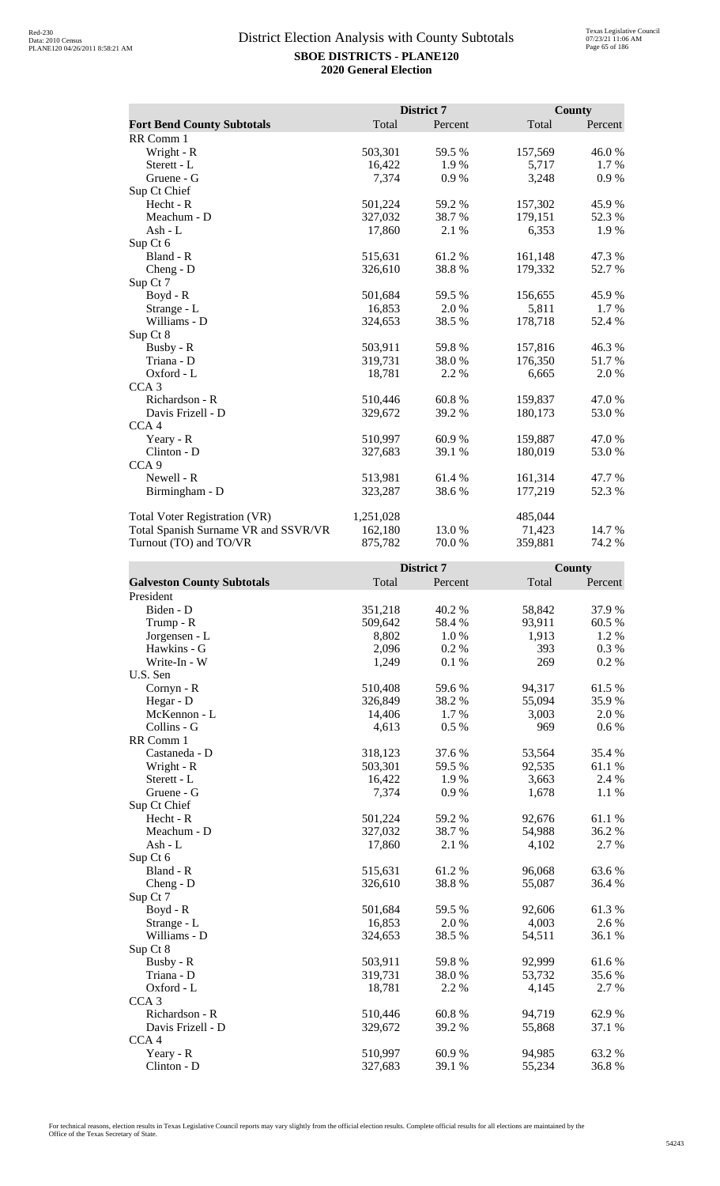|                                      |           | District 7 |         | County  |
|--------------------------------------|-----------|------------|---------|---------|
| <b>Fort Bend County Subtotals</b>    | Total     | Percent    | Total   | Percent |
| RR Comm 1                            |           |            |         |         |
| Wright - R                           | 503,301   | 59.5 %     | 157,569 | 46.0%   |
| Sterett - L                          | 16,422    | 1.9 %      | 5,717   | $1.7\%$ |
| Gruene - G                           | 7,374     | 0.9%       | 3,248   | 0.9%    |
| Sup Ct Chief                         |           |            |         |         |
| Hecht - R                            | 501,224   | 59.2%      | 157,302 | 45.9%   |
| Meachum - D                          | 327,032   | 38.7 %     | 179,151 | 52.3 %  |
| Ash - L                              | 17,860    | 2.1 %      | 6,353   | 1.9 %   |
| Sup Ct 6                             |           |            |         |         |
| Bland - R                            | 515,631   | 61.2 %     | 161,148 | 47.3 %  |
| Cheng - $D$                          | 326,610   | 38.8%      | 179,332 | 52.7%   |
| Sup Ct 7                             |           |            |         |         |
| Boyd - R                             | 501,684   | 59.5 %     | 156,655 | 45.9%   |
| Strange - L                          | 16,853    | 2.0%       | 5,811   | 1.7 %   |
| Williams - D                         | 324,653   | 38.5%      | 178,718 | 52.4 %  |
| Sup Ct 8                             |           |            |         |         |
| Busby - R                            | 503,911   | 59.8%      | 157,816 | 46.3%   |
| Triana - D                           | 319,731   | 38.0%      | 176,350 | 51.7%   |
| Oxford - L                           | 18,781    | 2.2 %      | 6,665   | 2.0 %   |
| CCA <sub>3</sub>                     |           |            |         |         |
| Richardson - R                       | 510,446   | 60.8%      | 159,837 | 47.0%   |
| Davis Frizell - D                    | 329,672   | 39.2 %     | 180,173 | 53.0%   |
| CCA <sub>4</sub>                     |           |            |         |         |
| Yeary - R                            | 510,997   | 60.9%      | 159,887 | 47.0 %  |
| Clinton - D                          | 327,683   | 39.1 %     | 180,019 | 53.0 %  |
| CCA <sub>9</sub>                     |           |            |         |         |
| Newell - R                           | 513,981   | 61.4 %     | 161,314 | 47.7 %  |
| Birmingham - D                       | 323,287   | 38.6 %     | 177,219 | 52.3 %  |
| <b>Total Voter Registration (VR)</b> | 1,251,028 |            | 485,044 |         |
| Total Spanish Surname VR and SSVR/VR | 162,180   | 13.0 %     | 71,423  | 14.7 %  |
| Turnout (TO) and TO/VR               | 875,782   | 70.0%      | 359.881 | 74.2 %  |

|                                   |         | <b>District 7</b> |        | County  |
|-----------------------------------|---------|-------------------|--------|---------|
| <b>Galveston County Subtotals</b> | Total   | Percent           | Total  | Percent |
| President                         |         |                   |        |         |
| Biden - D                         | 351,218 | 40.2 %            | 58,842 | 37.9%   |
| Trump - R                         | 509,642 | 58.4%             | 93,911 | 60.5%   |
| Jorgensen - L                     | 8,802   | 1.0 %             | 1,913  | 1.2%    |
| Hawkins - G                       | 2,096   | 0.2 %             | 393    | 0.3%    |
| Write-In - W                      | 1,249   | 0.1%              | 269    | 0.2 %   |
| U.S. Sen                          |         |                   |        |         |
| Cornyn - R                        | 510,408 | 59.6%             | 94,317 | 61.5%   |
| Hegar - D                         | 326,849 | 38.2 %            | 55,094 | 35.9%   |
| McKennon - L                      | 14,406  | 1.7%              | 3,003  | 2.0%    |
| Collins - G                       | 4,613   | 0.5%              | 969    | $0.6\%$ |
| RR Comm 1                         |         |                   |        |         |
| Castaneda - D                     | 318,123 | 37.6%             | 53,564 | 35.4 %  |
| Wright - R                        | 503,301 | 59.5%             | 92,535 | 61.1%   |
| Sterett - L                       | 16,422  | 1.9%              | 3,663  | 2.4 %   |
| Gruene - G                        | 7,374   | 0.9 %             | 1,678  | 1.1 %   |
| Sup Ct Chief                      |         |                   |        |         |
| Hecht - R                         | 501,224 | 59.2 %            | 92,676 | 61.1%   |
| Meachum - D                       | 327,032 | 38.7%             | 54,988 | 36.2%   |
| Ash - L                           | 17,860  | 2.1 %             | 4,102  | 2.7 %   |
| Sup Ct 6                          |         |                   |        |         |
| Bland - R                         | 515,631 | 61.2%             | 96,068 | 63.6%   |
| $Cheng - D$                       | 326,610 | 38.8%             | 55,087 | 36.4 %  |
| Sup Ct 7                          |         |                   |        |         |
| Boyd - R                          | 501,684 | 59.5 %            | 92,606 | 61.3%   |
| Strange - L                       | 16,853  | 2.0 %             | 4,003  | 2.6 %   |
| Williams - D                      | 324,653 | 38.5 %            | 54,511 | 36.1 %  |
| Sup Ct 8                          |         |                   |        |         |
| Busby - R                         | 503,911 | 59.8%             | 92,999 | 61.6%   |
| Triana - D                        | 319,731 | 38.0%             | 53,732 | 35.6%   |
| Oxford - L                        | 18,781  | 2.2 %             | 4,145  | 2.7 %   |
| CCA <sub>3</sub>                  |         |                   |        |         |
| Richardson - R                    | 510,446 | 60.8%             | 94,719 | 62.9%   |
| Davis Frizell - D                 | 329,672 | 39.2 %            | 55,868 | 37.1 %  |
| CCA4                              |         |                   |        |         |
| Yeary - R                         | 510,997 | 60.9%             | 94,985 | 63.2%   |
| Clinton - D                       | 327,683 | 39.1 %            | 55,234 | 36.8%   |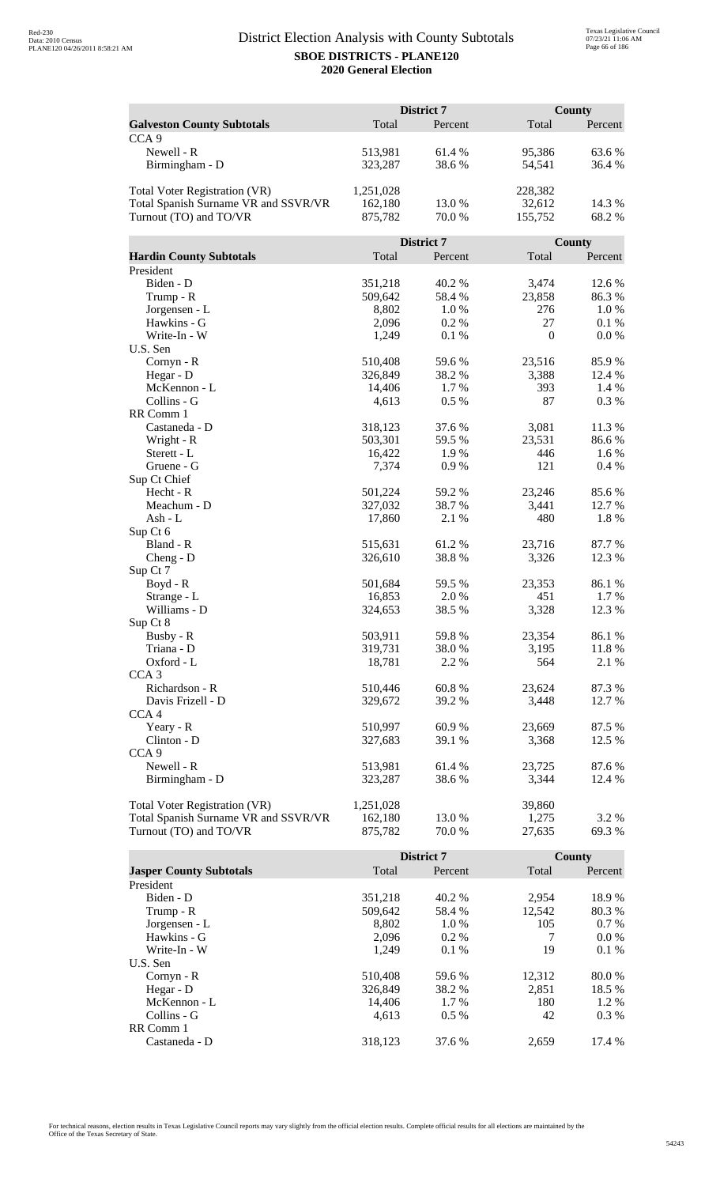|                                      | District 7 |            |                  | <b>County</b> |  |
|--------------------------------------|------------|------------|------------------|---------------|--|
| <b>Galveston County Subtotals</b>    | Total      | Percent    | Total            | Percent       |  |
| CCA <sub>9</sub>                     |            |            |                  |               |  |
| Newell - R                           | 513,981    | 61.4%      | 95,386           | 63.6 %        |  |
| Birmingham - D                       | 323,287    | 38.6%      | 54,541           | 36.4 %        |  |
|                                      |            |            |                  |               |  |
| <b>Total Voter Registration (VR)</b> | 1,251,028  |            | 228,382          |               |  |
| Total Spanish Surname VR and SSVR/VR | 162,180    | 13.0 %     | 32,612           | 14.3 %        |  |
| Turnout (TO) and TO/VR               | 875,782    | 70.0 %     | 155,752          | 68.2%         |  |
|                                      |            | District 7 |                  | County        |  |
| <b>Hardin County Subtotals</b>       | Total      | Percent    | Total            | Percent       |  |
| President                            |            |            |                  |               |  |
| Biden - D                            | 351,218    | 40.2%      | 3,474            | 12.6 %        |  |
| Trump - R                            | 509,642    | 58.4 %     | 23,858           | 86.3%         |  |
| Jorgensen - L                        | 8,802      | 1.0%       | 276              | 1.0%          |  |
| Hawkins - G                          | 2,096      | 0.2%       | 27               | 0.1%          |  |
| Write-In - W                         | 1,249      | 0.1%       | $\boldsymbol{0}$ | 0.0 %         |  |
| U.S. Sen                             |            |            |                  |               |  |
| Cornyn - R                           | 510,408    | 59.6%      | 23,516           | 85.9%         |  |
| Hegar - D                            | 326,849    | 38.2 %     | 3,388            | 12.4 %        |  |
| McKennon - L                         | 14,406     | 1.7 %      | 393              | 1.4 %         |  |
| Collins - G                          | 4,613      | 0.5 %      | 87               | 0.3%          |  |
| RR Comm 1                            |            |            |                  |               |  |
| Castaneda - D                        | 318,123    | 37.6 %     | 3,081            | 11.3%         |  |
| Wright - R                           | 503,301    | 59.5 %     | 23,531           | 86.6%         |  |
| Sterett - L                          | 16,422     | 1.9%       | 446              | 1.6 %         |  |
| Gruene - G                           | 7,374      | 0.9%       | 121              | 0.4%          |  |
| Sup Ct Chief                         |            |            |                  |               |  |
| Hecht - R                            | 501,224    | 59.2 %     | 23,246           | 85.6%         |  |
| Meachum - D                          | 327,032    | 38.7%      | 3,441            | 12.7 %        |  |
| $Ash - L$                            | 17,860     | 2.1 %      | 480              | 1.8%          |  |
| Sup Ct 6                             |            |            |                  |               |  |
| Bland - R                            | 515,631    | 61.2%      | 23,716           | 87.7%         |  |
| $Cheng - D$                          | 326,610    | 38.8%      | 3,326            | 12.3 %        |  |
| Sup Ct 7                             |            |            |                  |               |  |
| Boyd - R                             | 501,684    | 59.5 %     | 23,353           | 86.1%         |  |
| Strange - L                          | 16,853     | 2.0 %      | 451              | 1.7 %         |  |
| Williams - D                         | 324,653    | 38.5%      | 3,328            | 12.3 %        |  |
| Sup Ct 8                             |            |            |                  |               |  |
| Busby - R                            | 503,911    | 59.8%      | 23,354           | 86.1 %        |  |
| Triana - D                           | 319,731    | 38.0%      | 3,195            | 11.8%         |  |
| Oxford - L                           | 18,781     | 2.2 %      | 564              | 2.1 %         |  |
| CCA <sub>3</sub>                     |            |            |                  |               |  |
| Richardson - R                       | 510,446    | 60.8%      | 23,624           | 87.3 %        |  |
| Davis Frizell - D                    | 329,672    | 39.2 %     | 3,448            | 12.7 %        |  |
| CCA <sub>4</sub>                     |            |            |                  |               |  |
| Yeary - R                            | 510,997    | 60.9%      | 23,669           | 87.5 %        |  |
| Clinton - D                          | 327,683    | 39.1 %     | 3,368            | 12.5 %        |  |
| CCA <sub>9</sub>                     |            |            |                  |               |  |
| Newell - R                           | 513,981    | 61.4 %     | 23,725           | 87.6%         |  |
| Birmingham - D                       | 323,287    | 38.6%      | 3,344            | 12.4 %        |  |
| <b>Total Voter Registration (VR)</b> | 1,251,028  |            | 39,860           |               |  |
| Total Spanish Surname VR and SSVR/VR | 162,180    | 13.0 %     | 1,275            | 3.2 %         |  |
| Turnout (TO) and TO/VR               | 875,782    | 70.0%      | 27,635           | 69.3 %        |  |
|                                      |            |            |                  |               |  |

|                                |         | District 7 |        | County  |
|--------------------------------|---------|------------|--------|---------|
| <b>Jasper County Subtotals</b> | Total   | Percent    | Total  | Percent |
| President                      |         |            |        |         |
| Biden - D                      | 351,218 | 40.2 %     | 2,954  | 18.9%   |
| Trump - R                      | 509,642 | 58.4 %     | 12,542 | 80.3 %  |
| Jorgensen - L                  | 8,802   | $1.0\%$    | 105    | $0.7\%$ |
| Hawkins - G                    | 2,096   | $0.2\%$    | 7      | $0.0\%$ |
| Write-In - W                   | 1.249   | $0.1\%$    | 19     | 0.1%    |
| U.S. Sen                       |         |            |        |         |
| $Cornyn - R$                   | 510,408 | 59.6 %     | 12.312 | 80.0 %  |
| Hegar - $D$                    | 326,849 | 38.2 %     | 2,851  | 18.5 %  |
| McKennon - L                   | 14.406  | 1.7 %      | 180    | 1.2 %   |
| Collins - G                    | 4.613   | $0.5\%$    | 42     | $0.3\%$ |
| RR Comm 1                      |         |            |        |         |
| Castaneda - D                  | 318,123 | 37.6 %     | 2.659  | 17.4 %  |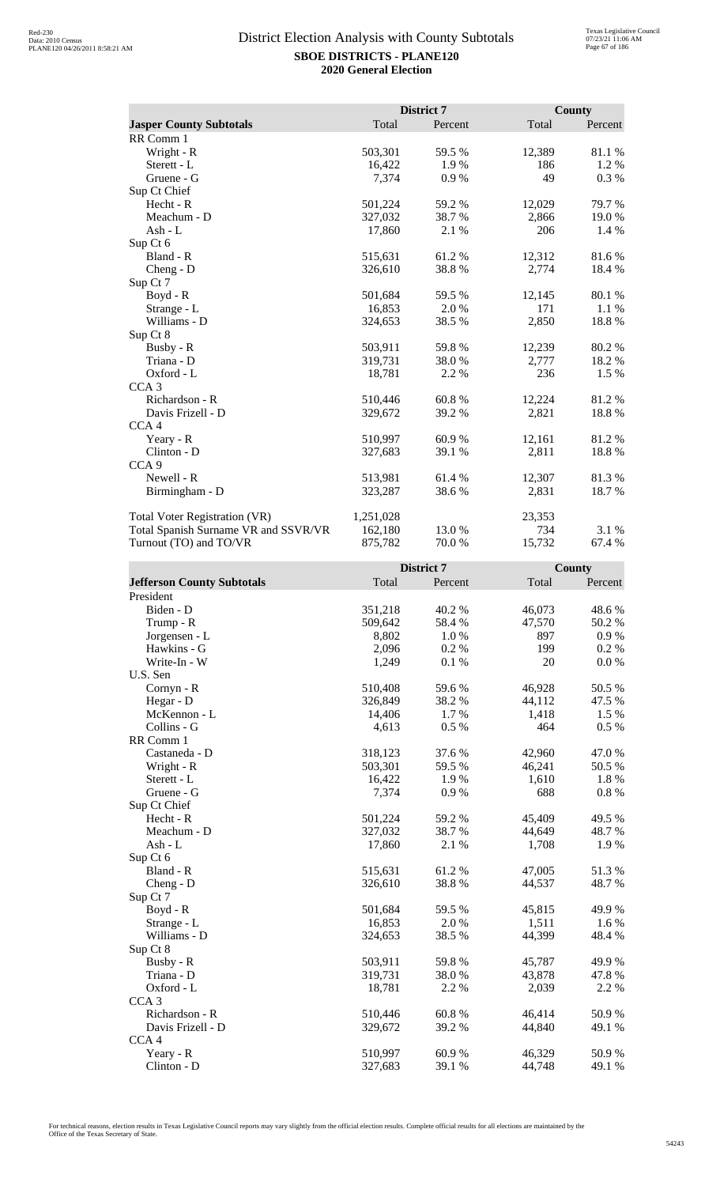|                                      |           | District 7 |        | <b>County</b> |
|--------------------------------------|-----------|------------|--------|---------------|
| <b>Jasper County Subtotals</b>       | Total     | Percent    | Total  | Percent       |
| RR Comm 1                            |           |            |        |               |
| Wright - R                           | 503,301   | 59.5 %     | 12,389 | 81.1%         |
| Sterett - L                          | 16,422    | 1.9%       | 186    | 1.2 %         |
| Gruene - G                           | 7,374     | 0.9%       | 49     | 0.3%          |
| Sup Ct Chief                         |           |            |        |               |
| Hecht - R                            | 501,224   | 59.2%      | 12,029 | 79.7%         |
| Meachum - D                          | 327,032   | 38.7%      | 2,866  | 19.0%         |
| Ash - L                              | 17,860    | 2.1 %      | 206    | 1.4 %         |
| Sup Ct 6                             |           |            |        |               |
| Bland - R                            | 515,631   | 61.2 %     | 12,312 | 81.6%         |
| $Cheng - D$                          | 326,610   | 38.8%      | 2,774  | 18.4 %        |
| Sup Ct 7                             |           |            |        |               |
| $Boyd - R$                           | 501,684   | 59.5 %     | 12,145 | 80.1 %        |
| Strange - L                          | 16,853    | 2.0 %      | 171    | 1.1%          |
| Williams - D                         | 324,653   | 38.5 %     | 2,850  | 18.8%         |
| Sup Ct 8                             |           |            |        |               |
| Busby - R                            | 503,911   | 59.8%      | 12,239 | 80.2%         |
| Triana - D                           | 319,731   | 38.0%      | 2,777  | 18.2%         |
| Oxford - L                           | 18,781    | 2.2 %      | 236    | 1.5 %         |
| CCA <sub>3</sub>                     |           |            |        |               |
| Richardson - R                       | 510,446   | 60.8%      | 12,224 | 81.2%         |
| Davis Frizell - D                    | 329,672   | 39.2 %     | 2,821  | 18.8%         |
| CCA <sub>4</sub>                     |           |            |        |               |
| Yeary - R                            | 510,997   | 60.9%      | 12,161 | 81.2 %        |
| Clinton - D                          | 327,683   | 39.1 %     | 2,811  | 18.8%         |
| CCA <sub>9</sub>                     |           |            |        |               |
| Newell - R                           | 513,981   | 61.4 %     | 12,307 | 81.3%         |
| Birmingham - D                       | 323,287   | 38.6%      | 2,831  | 18.7%         |
| <b>Total Voter Registration (VR)</b> | 1,251,028 |            | 23,353 |               |
| Total Spanish Surname VR and SSVR/VR | 162,180   | 13.0 %     | 734    | 3.1 %         |
| Turnout (TO) and TO/VR               | 875,782   | 70.0%      | 15,732 | 67.4 %        |

|                                   |         | District 7 |        | County    |
|-----------------------------------|---------|------------|--------|-----------|
| <b>Jefferson County Subtotals</b> | Total   | Percent    | Total  | Percent   |
| President                         |         |            |        |           |
| Biden - D                         | 351,218 | 40.2 %     | 46,073 | 48.6%     |
| Trump - R                         | 509,642 | 58.4%      | 47,570 | 50.2%     |
| Jorgensen - L                     | 8,802   | 1.0%       | 897    | $0.9\ \%$ |
| Hawkins - G                       | 2,096   | 0.2%       | 199    | 0.2 %     |
| Write-In - W                      | 1,249   | 0.1%       | 20     | $0.0\ \%$ |
| U.S. Sen                          |         |            |        |           |
| Cornyn - R                        | 510,408 | 59.6%      | 46,928 | 50.5 %    |
| Hegar - D                         | 326,849 | 38.2%      | 44,112 | 47.5 %    |
| McKennon - L                      | 14,406  | 1.7%       | 1,418  | 1.5 %     |
| Collins - G                       | 4,613   | 0.5 %      | 464    | 0.5 %     |
| RR Comm 1                         |         |            |        |           |
| Castaneda - D                     | 318,123 | 37.6 %     | 42,960 | 47.0%     |
| Wright - R                        | 503,301 | 59.5 %     | 46,241 | 50.5 %    |
| Sterett - L                       | 16,422  | 1.9%       | 1,610  | 1.8 %     |
| Gruene - G                        | 7,374   | 0.9%       | 688    | $0.8~\%$  |
| Sup Ct Chief                      |         |            |        |           |
| Hecht - R                         | 501,224 | 59.2 %     | 45,409 | 49.5 %    |
| Meachum - D                       | 327,032 | 38.7%      | 44,649 | 48.7 %    |
| $Ash - L$                         | 17,860  | 2.1 %      | 1,708  | 1.9%      |
| Sup Ct 6                          |         |            |        |           |
| Bland - R                         | 515,631 | 61.2%      | 47,005 | 51.3%     |
| Cheng - D                         | 326,610 | 38.8%      | 44,537 | 48.7%     |
| Sup Ct 7                          |         |            |        |           |
| Boyd - R                          | 501,684 | 59.5 %     | 45,815 | 49.9%     |
| Strange - L                       | 16,853  | 2.0%       | 1,511  | 1.6 %     |
| Williams - D                      | 324,653 | 38.5 %     | 44,399 | 48.4%     |
| Sup Ct 8                          |         |            |        |           |
| Busby - R                         | 503,911 | 59.8%      | 45,787 | 49.9%     |
| Triana - D                        | 319,731 | 38.0%      | 43,878 | 47.8%     |
| Oxford - L                        | 18,781  | 2.2 %      | 2,039  | 2.2 %     |
| CCA <sub>3</sub>                  |         |            |        |           |
| Richardson - R                    | 510,446 | 60.8%      | 46,414 | 50.9%     |
| Davis Frizell - D                 | 329,672 | 39.2 %     | 44,840 | 49.1 %    |
| CCA <sub>4</sub>                  |         |            |        |           |
| Yeary - R                         | 510,997 | 60.9%      | 46,329 | 50.9%     |
| Clinton - D                       | 327,683 | 39.1 %     | 44,748 | 49.1 %    |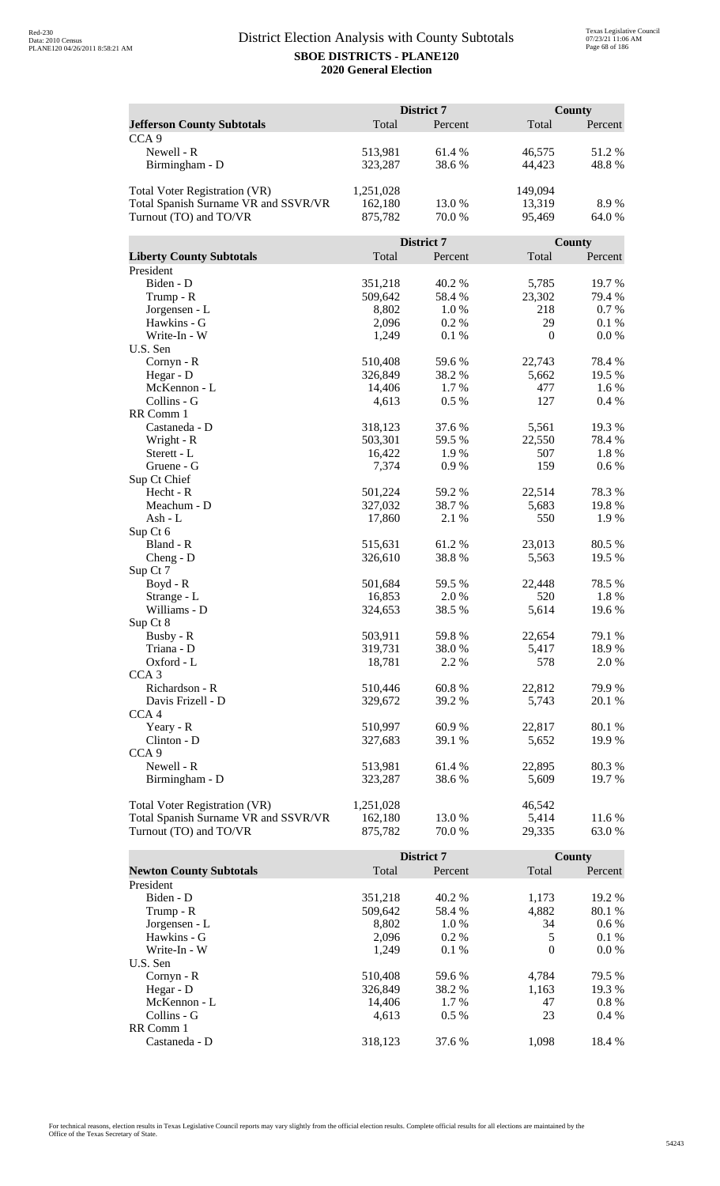|                                      | District 7 |            |          | <b>County</b> |  |
|--------------------------------------|------------|------------|----------|---------------|--|
| <b>Jefferson County Subtotals</b>    | Total      | Percent    | Total    | Percent       |  |
| CCA <sub>9</sub>                     |            |            |          |               |  |
| Newell - R                           | 513,981    | 61.4%      | 46,575   | 51.2%         |  |
| Birmingham - D                       | 323,287    | 38.6%      | 44,423   | 48.8%         |  |
|                                      |            |            |          |               |  |
| Total Voter Registration (VR)        | 1,251,028  |            | 149,094  |               |  |
| Total Spanish Surname VR and SSVR/VR | 162,180    | 13.0 %     | 13,319   | 8.9%          |  |
| Turnout (TO) and TO/VR               | 875,782    | 70.0 %     | 95,469   | 64.0 %        |  |
|                                      |            | District 7 |          | <b>County</b> |  |
| <b>Liberty County Subtotals</b>      | Total      | Percent    | Total    | Percent       |  |
| President                            |            |            |          |               |  |
| Biden - D                            | 351,218    | 40.2 %     | 5,785    | 19.7%         |  |
| Trump - R                            | 509,642    | 58.4 %     | 23,302   | 79.4 %        |  |
| Jorgensen - L                        | 8,802      | 1.0%       | 218      | 0.7 %         |  |
| Hawkins - G                          | 2,096      | 0.2%       | 29       | 0.1%          |  |
| Write-In - W                         | 1,249      | 0.1 %      | $\theta$ | 0.0 %         |  |
| U.S. Sen                             |            |            |          |               |  |
| Cornyn - R                           | 510,408    | 59.6%      | 22,743   | 78.4%         |  |
| Hegar - D                            | 326,849    | 38.2 %     | 5,662    | 19.5 %        |  |
| McKennon - L                         | 14,406     | 1.7 %      | 477      | $1.6\%$       |  |
| Collins - G                          | 4,613      | 0.5%       | 127      | 0.4%          |  |
| RR Comm 1                            |            |            |          |               |  |
| Castaneda - D                        | 318,123    | 37.6%      | 5,561    | 19.3%         |  |
| Wright - R                           | 503,301    | 59.5 %     | 22,550   | 78.4%         |  |
| Sterett - L                          | 16,422     | 1.9%       | 507      | 1.8%          |  |
| Gruene - G                           | 7,374      | 0.9%       | 159      | 0.6 %         |  |
| Sup Ct Chief                         |            |            |          |               |  |
| Hecht - R                            | 501,224    | 59.2 %     | 22,514   | 78.3%         |  |
| Meachum - D                          | 327,032    | 38.7%      | 5,683    | 19.8%         |  |
| $Ash - L$                            | 17,860     | 2.1 %      | 550      | 1.9%          |  |
| Sup Ct 6                             |            |            |          |               |  |
| Bland - R                            | 515,631    | 61.2%      | 23,013   | 80.5 %        |  |
| $Cheng - D$                          | 326,610    | 38.8%      | 5,563    | 19.5 %        |  |
| Sup Ct 7                             | 501,684    | 59.5 %     | 22,448   | 78.5 %        |  |
| Boyd - R<br>Strange - L              | 16,853     | 2.0 %      | 520      | 1.8%          |  |
| Williams - D                         | 324,653    | 38.5 %     | 5,614    | 19.6%         |  |
| Sup Ct 8                             |            |            |          |               |  |
| Busby - R                            | 503,911    | 59.8%      | 22,654   | 79.1 %        |  |
| Triana - D                           | 319,731    | 38.0%      | 5,417    | 18.9%         |  |
| Oxford - L                           | 18,781     | 2.2 %      | 578      | 2.0 %         |  |
| CCA <sub>3</sub>                     |            |            |          |               |  |
| Richardson - R                       | 510,446    | 60.8%      | 22,812   | 79.9 %        |  |
| Davis Frizell - D                    | 329,672    | 39.2 %     | 5,743    | 20.1 %        |  |
| CCA <sub>4</sub>                     |            |            |          |               |  |
| Yeary - R                            | 510,997    | 60.9%      | 22,817   | 80.1 %        |  |
| Clinton - D                          | 327,683    | 39.1 %     | 5,652    | 19.9 %        |  |
| CCA <sub>9</sub>                     |            |            |          |               |  |
| Newell - R                           | 513,981    | 61.4 %     | 22,895   | 80.3%         |  |
| Birmingham - D                       | 323,287    | 38.6%      | 5,609    | 19.7 %        |  |
|                                      |            |            |          |               |  |
| <b>Total Voter Registration (VR)</b> | 1,251,028  |            | 46,542   |               |  |
| Total Spanish Surname VR and SSVR/VR | 162,180    | 13.0 %     | 5,414    | 11.6 %        |  |
| Turnout (TO) and TO/VR               | 875,782    | 70.0%      | 29,335   | 63.0 %        |  |

|                                |         | <b>District 7</b> |          | County  |
|--------------------------------|---------|-------------------|----------|---------|
| <b>Newton County Subtotals</b> | Total   | Percent           | Total    | Percent |
| President                      |         |                   |          |         |
| Biden - D                      | 351,218 | 40.2 %            | 1,173    | 19.2 %  |
| Trump - R                      | 509,642 | 58.4 %            | 4,882    | 80.1 %  |
| Jorgensen - L                  | 8,802   | 1.0%              | 34       | $0.6\%$ |
| Hawkins - G                    | 2,096   | $0.2\%$           | 5        | 0.1%    |
| Write-In - W                   | 1.249   | 0.1%              | $\Omega$ | $0.0\%$ |
| U.S. Sen                       |         |                   |          |         |
| Cornyn - R                     | 510,408 | 59.6 %            | 4.784    | 79.5 %  |
| Hegar - $D$                    | 326,849 | 38.2 %            | 1,163    | 19.3 %  |
| McKennon - L                   | 14,406  | 1.7 %             | 47       | $0.8\%$ |
| Collins - G                    | 4.613   | $0.5\%$           | 23       | $0.4\%$ |
| RR Comm 1                      |         |                   |          |         |
| Castaneda - D                  | 318.123 | 37.6 %            | 1.098    | 18.4 %  |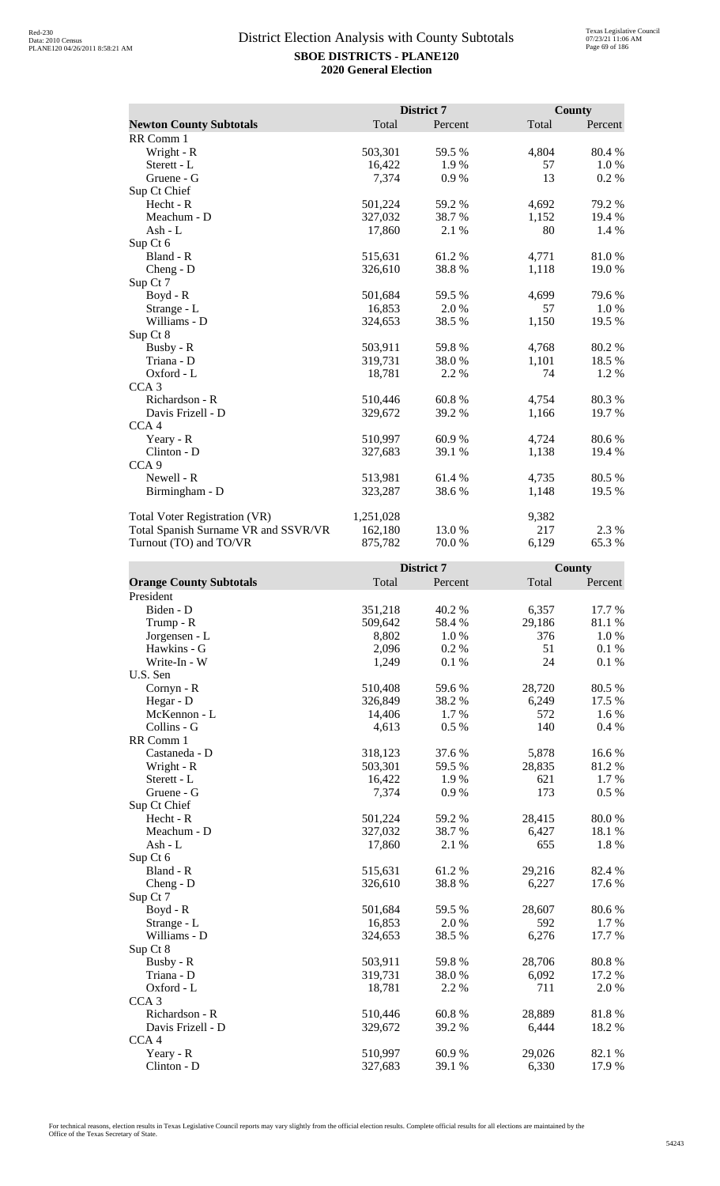|                                      |           | District 7 |       | <b>County</b> |
|--------------------------------------|-----------|------------|-------|---------------|
| <b>Newton County Subtotals</b>       | Total     | Percent    | Total | Percent       |
| RR Comm 1                            |           |            |       |               |
| Wright - R                           | 503,301   | 59.5 %     | 4,804 | 80.4%         |
| Sterett - L                          | 16,422    | 1.9%       | 57    | 1.0%          |
| Gruene - G                           | 7,374     | 0.9%       | 13    | 0.2 %         |
| Sup Ct Chief                         |           |            |       |               |
| Hecht - R                            | 501,224   | 59.2%      | 4,692 | 79.2 %        |
| Meachum - D                          | 327,032   | 38.7 %     | 1,152 | 19.4 %        |
| Ash - $L$                            | 17,860    | 2.1 %      | 80    | 1.4 %         |
| Sup Ct 6                             |           |            |       |               |
| Bland - R                            | 515,631   | 61.2%      | 4,771 | 81.0%         |
| $Cheng - D$                          | 326,610   | 38.8%      | 1,118 | 19.0 %        |
| Sup Ct 7                             |           |            |       |               |
| Boyd - R                             | 501,684   | 59.5 %     | 4,699 | 79.6%         |
| Strange - L                          | 16,853    | 2.0%       | 57    | 1.0%          |
| Williams - D                         | 324,653   | 38.5%      | 1,150 | 19.5 %        |
| Sup Ct 8                             |           |            |       |               |
| Busby - R                            | 503,911   | 59.8%      | 4,768 | 80.2%         |
| Triana - D                           | 319,731   | 38.0%      | 1,101 | 18.5 %        |
| Oxford - L                           | 18,781    | 2.2 %      | 74    | 1.2 %         |
| CCA <sub>3</sub>                     |           |            |       |               |
| Richardson - R                       | 510,446   | 60.8%      | 4,754 | 80.3%         |
| Davis Frizell - D                    | 329,672   | 39.2 %     | 1,166 | 19.7%         |
| CCA <sub>4</sub>                     |           |            |       |               |
| Yeary - R                            | 510,997   | 60.9%      | 4,724 | 80.6%         |
| Clinton - D                          | 327,683   | 39.1 %     | 1,138 | 19.4 %        |
| CCA <sub>9</sub>                     |           |            |       |               |
| Newell - R                           | 513,981   | 61.4 %     | 4,735 | 80.5 %        |
| Birmingham - D                       | 323,287   | 38.6 %     | 1,148 | 19.5 %        |
| <b>Total Voter Registration (VR)</b> | 1,251,028 |            | 9,382 |               |
| Total Spanish Surname VR and SSVR/VR | 162,180   | 13.0 %     | 217   | 2.3 %         |
| Turnout (TO) and TO/VR               | 875,782   | 70.0%      | 6,129 | 65.3%         |

|                                |         | <b>District 7</b> |        | <b>County</b> |
|--------------------------------|---------|-------------------|--------|---------------|
| <b>Orange County Subtotals</b> | Total   | Percent           | Total  | Percent       |
| President                      |         |                   |        |               |
| Biden - D                      | 351,218 | 40.2%             | 6,357  | 17.7 %        |
| Trump - R                      | 509,642 | 58.4 %            | 29,186 | 81.1 %        |
| Jorgensen - L                  | 8,802   | 1.0%              | 376    | 1.0%          |
| Hawkins - G                    | 2,096   | 0.2%              | 51     | 0.1%          |
| Write-In - W                   | 1,249   | 0.1 %             | 24     | 0.1%          |
| U.S. Sen                       |         |                   |        |               |
| Cornyn - R                     | 510,408 | 59.6%             | 28,720 | 80.5 %        |
| Hegar - D                      | 326,849 | 38.2%             | 6,249  | 17.5 %        |
| McKennon - L                   | 14,406  | 1.7%              | 572    | 1.6%          |
| Collins - G                    | 4,613   | 0.5 %             | 140    | 0.4 %         |
| RR Comm 1                      |         |                   |        |               |
| Castaneda - D                  | 318,123 | 37.6%             | 5,878  | 16.6%         |
| Wright - R                     | 503,301 | 59.5 %            | 28,835 | 81.2%         |
| Sterett - L                    | 16,422  | 1.9%              | 621    | 1.7%          |
| Gruene - G                     | 7,374   | 0.9%              | 173    | $0.5\%$       |
| Sup Ct Chief                   |         |                   |        |               |
| Hecht - R                      | 501,224 | 59.2%             | 28,415 | 80.0%         |
| Meachum - D                    | 327,032 | 38.7%             | 6,427  | 18.1 %        |
| $Ash - L$                      | 17,860  | 2.1 %             | 655    | 1.8%          |
| Sup Ct 6                       |         |                   |        |               |
| Bland - R                      | 515,631 | 61.2%             | 29,216 | 82.4 %        |
| Cheng - D                      | 326,610 | 38.8%             | 6,227  | 17.6 %        |
| Sup Ct 7                       |         |                   |        |               |
| Boyd - R                       | 501,684 | 59.5 %            | 28,607 | 80.6%         |
| Strange - L                    | 16,853  | 2.0%              | 592    | 1.7 %         |
| Williams - D                   | 324,653 | 38.5 %            | 6,276  | 17.7 %        |
| Sup Ct 8                       |         |                   |        |               |
| Busby - R                      | 503,911 | 59.8%             | 28,706 | 80.8%         |
| Triana - D                     | 319,731 | 38.0%             | 6,092  | 17.2 %        |
| Oxford - L                     | 18,781  | 2.2 %             | 711    | 2.0%          |
| CCA <sub>3</sub>               |         |                   |        |               |
| Richardson - R                 | 510,446 | 60.8%             | 28,889 | 81.8%         |
| Davis Frizell - D              | 329,672 | 39.2%             | 6,444  | 18.2%         |
| CCA <sub>4</sub>               |         |                   |        |               |
| Yeary - R                      | 510,997 | 60.9%             | 29,026 | 82.1 %        |
| $Clinton - D$                  | 327,683 | 39.1 %            | 6,330  | 17.9 %        |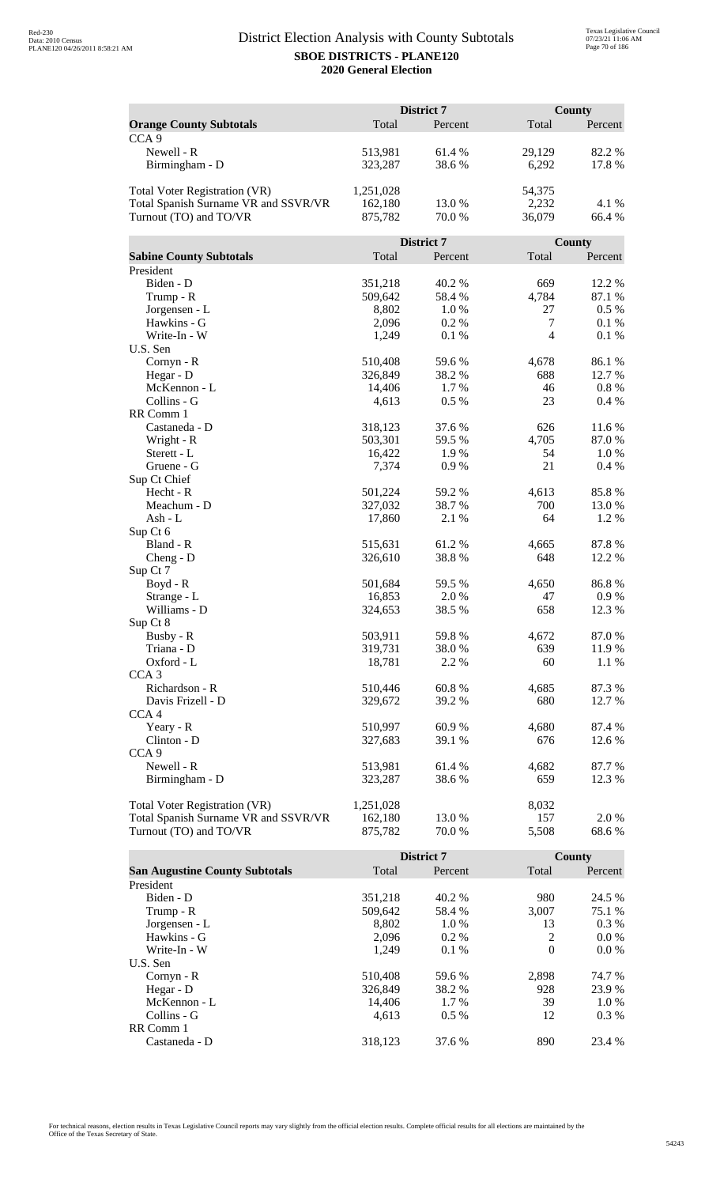|                                      | District 7 |            | <b>County</b>  |         |
|--------------------------------------|------------|------------|----------------|---------|
| <b>Orange County Subtotals</b>       | Total      | Percent    | Total          | Percent |
| CCA <sub>9</sub>                     |            |            |                |         |
| Newell - R                           | 513,981    | 61.4 %     | 29,129         | 82.2%   |
| Birmingham - D                       | 323,287    | 38.6%      | 6,292          | 17.8%   |
|                                      |            |            |                |         |
| <b>Total Voter Registration (VR)</b> | 1,251,028  |            | 54,375         |         |
| Total Spanish Surname VR and SSVR/VR | 162,180    | 13.0%      | 2,232          | 4.1 %   |
| Turnout (TO) and TO/VR               | 875,782    | 70.0 %     | 36,079         | 66.4 %  |
|                                      |            |            |                |         |
|                                      |            | District 7 |                | County  |
| <b>Sabine County Subtotals</b>       | Total      | Percent    | Total          | Percent |
| President                            |            |            |                |         |
| Biden - D                            | 351,218    | 40.2 %     | 669            | 12.2 %  |
| Trump - R                            | 509,642    | 58.4 %     | 4,784          | 87.1 %  |
| Jorgensen - L                        | 8,802      | 1.0%       | 27             | 0.5 %   |
| Hawkins - G                          | 2,096      | 0.2 %      | $\tau$         | 0.1%    |
| Write-In - W                         | 1,249      | 0.1 %      | $\overline{4}$ | 0.1%    |
| U.S. Sen                             |            |            |                |         |
| Cornyn - R                           | 510,408    | 59.6%      | 4,678          | 86.1%   |
| Hegar - D                            | 326,849    | 38.2%      | 688            | 12.7 %  |
| McKennon - L                         | 14,406     | 1.7 %      | 46             | $0.8\%$ |
| Collins - G                          | 4,613      | 0.5 %      | 23             | 0.4%    |
| RR Comm 1                            |            |            |                |         |
| Castaneda - D                        | 318,123    | 37.6 %     | 626            | 11.6 %  |
| Wright - R                           | 503,301    | 59.5 %     | 4,705          | 87.0%   |
| Sterett - L                          | 16,422     | 1.9%       | 54             | 1.0%    |
| Gruene - G                           | 7,374      | 0.9%       | 21             | 0.4%    |
| Sup Ct Chief                         |            |            |                |         |
| Hecht - R                            | 501,224    | 59.2 %     | 4,613          | 85.8%   |
| Meachum - D                          | 327,032    | 38.7%      | 700            | 13.0 %  |
| Ash - L                              | 17,860     | 2.1 %      | 64             | 1.2%    |
| Sup Ct 6<br>Bland - R                | 515,631    | 61.2%      | 4,665          | 87.8%   |
|                                      | 326,610    | 38.8%      | 648            | 12.2 %  |
| $Cheng - D$<br>Sup Ct 7              |            |            |                |         |
| Boyd - R                             | 501,684    | 59.5 %     | 4,650          | 86.8%   |
| Strange - L                          | 16,853     | 2.0%       | 47             | 0.9%    |
| Williams - D                         | 324,653    | 38.5 %     | 658            | 12.3 %  |
| Sup Ct 8                             |            |            |                |         |
| Busby - R                            | 503,911    | 59.8%      | 4,672          | 87.0 %  |
| Triana - D                           | 319,731    | 38.0%      | 639            | 11.9%   |
| Oxford - L                           | 18,781     | 2.2 %      | 60             | 1.1 %   |
| CCA <sub>3</sub>                     |            |            |                |         |
| Richardson - R                       | 510,446    | 60.8%      | 4,685          | 87.3 %  |
| Davis Frizell - D                    | 329,672    | 39.2 %     | 680            | 12.7 %  |
| CCA <sub>4</sub>                     |            |            |                |         |
| Yeary - R                            | 510,997    | 60.9%      | 4,680          | 87.4 %  |
| Clinton - D                          | 327,683    | 39.1 %     | 676            | 12.6 %  |
| CCA <sub>9</sub>                     |            |            |                |         |
| Newell - R                           | 513,981    | 61.4 %     | 4,682          | 87.7%   |
| Birmingham - D                       | 323,287    | 38.6%      | 659            | 12.3 %  |
|                                      |            |            |                |         |
| <b>Total Voter Registration (VR)</b> | 1,251,028  |            | 8,032          |         |
| Total Spanish Surname VR and SSVR/VR | 162,180    | 13.0%      | 157            | 2.0%    |
| Turnout (TO) and TO/VR               | 875,782    | 70.0%      | 5,508          | 68.6%   |

|                                       |         | <b>District 7</b> |          | County  |
|---------------------------------------|---------|-------------------|----------|---------|
| <b>San Augustine County Subtotals</b> | Total   | Percent           | Total    | Percent |
| President                             |         |                   |          |         |
| Biden - D                             | 351,218 | 40.2 %            | 980      | 24.5 %  |
| Trump - R                             | 509,642 | 58.4 %            | 3.007    | 75.1 %  |
| Jorgensen - L                         | 8.802   | 1.0%              | 13       | $0.3\%$ |
| Hawkins - G                           | 2,096   | $0.2\%$           | 2        | $0.0\%$ |
| Write-In - W                          | 1.249   | $0.1\%$           | $\Omega$ | $0.0\%$ |
| U.S. Sen                              |         |                   |          |         |
| Cornyn - R                            | 510,408 | 59.6 %            | 2,898    | 74.7 %  |
| Hegar - $D$                           | 326,849 | 38.2 %            | 928      | 23.9 %  |
| McKennon - L                          | 14,406  | 1.7 %             | 39       | $1.0\%$ |
| Collins - G                           | 4.613   | $0.5\%$           | 12       | $0.3\%$ |
| RR Comm 1                             |         |                   |          |         |
| Castaneda - D                         | 318.123 | 37.6 %            | 890      | 23.4 %  |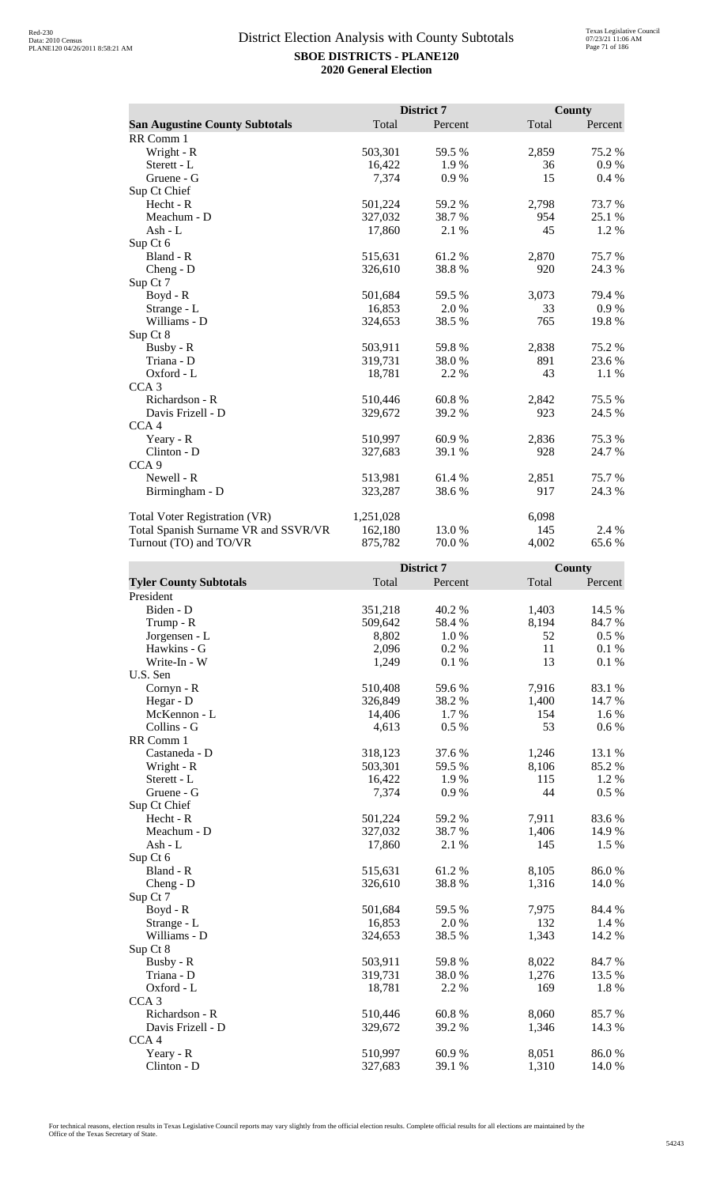|                                       |           | <b>District 7</b> |       | <b>County</b> |
|---------------------------------------|-----------|-------------------|-------|---------------|
| <b>San Augustine County Subtotals</b> | Total     | Percent           | Total | Percent       |
| RR Comm 1                             |           |                   |       |               |
| Wright - R                            | 503,301   | 59.5 %            | 2,859 | 75.2 %        |
| Sterett - L                           | 16,422    | 1.9%              | 36    | 0.9%          |
| Gruene - G                            | 7,374     | 0.9%              | 15    | 0.4%          |
| Sup Ct Chief                          |           |                   |       |               |
| Hecht - R                             | 501,224   | 59.2%             | 2,798 | 73.7%         |
| Meachum - D                           | 327,032   | 38.7%             | 954   | 25.1 %        |
| Ash - $L$                             | 17,860    | 2.1 %             | 45    | 1.2%          |
| Sup Ct 6                              |           |                   |       |               |
| Bland - R                             | 515,631   | 61.2%             | 2,870 | 75.7%         |
| $Cheng - D$                           | 326,610   | 38.8%             | 920   | 24.3 %        |
| Sup Ct 7                              |           |                   |       |               |
| $Boyd - R$                            | 501,684   | 59.5 %            | 3,073 | 79.4 %        |
| Strange - L                           | 16,853    | 2.0%              | 33    | 0.9 %         |
| Williams - D                          | 324,653   | 38.5 %            | 765   | 19.8%         |
| Sup Ct 8                              |           |                   |       |               |
| Busby - R                             | 503,911   | 59.8%             | 2,838 | 75.2 %        |
| Triana - D                            | 319,731   | 38.0 %            | 891   | 23.6 %        |
| Oxford - L                            | 18,781    | 2.2 %             | 43    | 1.1 %         |
| CCA <sub>3</sub>                      |           |                   |       |               |
| Richardson - R                        | 510,446   | 60.8%             | 2,842 | 75.5 %        |
| Davis Frizell - D                     | 329,672   | 39.2 %            | 923   | 24.5 %        |
| CCA <sub>4</sub>                      |           |                   |       |               |
| Yeary - R                             | 510,997   | 60.9%             | 2,836 | 75.3 %        |
| Clinton - D                           | 327,683   | 39.1 %            | 928   | 24.7 %        |
| CCA <sub>9</sub>                      |           |                   |       |               |
| Newell - R                            | 513,981   | 61.4 %            | 2,851 | 75.7 %        |
| Birmingham - D                        | 323,287   | 38.6%             | 917   | 24.3 %        |
| <b>Total Voter Registration (VR)</b>  | 1,251,028 |                   | 6,098 |               |
| Total Spanish Surname VR and SSVR/VR  | 162,180   | 13.0 %            | 145   | 2.4 %         |
| Turnout (TO) and TO/VR                | 875,782   | 70.0%             | 4,002 | 65.6%         |

|                               |         | District 7 |       | County    |
|-------------------------------|---------|------------|-------|-----------|
| <b>Tyler County Subtotals</b> | Total   | Percent    | Total | Percent   |
| President                     |         |            |       |           |
| Biden - D                     | 351,218 | 40.2%      | 1,403 | 14.5 %    |
| Trump - R                     | 509,642 | 58.4%      | 8,194 | 84.7%     |
| Jorgensen - L                 | 8,802   | 1.0%       | 52    | 0.5 %     |
| Hawkins - G                   | 2,096   | 0.2 %      | 11    | 0.1%      |
| Write-In - W                  | 1,249   | 0.1%       | 13    | 0.1%      |
| U.S. Sen                      |         |            |       |           |
| Cornyn - R                    | 510,408 | 59.6%      | 7,916 | 83.1 %    |
| Hegar - D                     | 326,849 | 38.2%      | 1,400 | 14.7 %    |
| McKennon - L                  | 14,406  | 1.7%       | 154   | 1.6%      |
| Collins - G                   | 4,613   | 0.5 %      | 53    | $0.6\ \%$ |
| RR Comm 1                     |         |            |       |           |
| Castaneda - D                 | 318,123 | 37.6%      | 1,246 | 13.1 %    |
| Wright - R                    | 503,301 | 59.5 %     | 8,106 | 85.2%     |
| Sterett - L                   | 16,422  | 1.9%       | 115   | 1.2 %     |
| Gruene - G                    | 7,374   | 0.9%       | 44    | 0.5 %     |
| Sup Ct Chief                  |         |            |       |           |
| $Hecht - R$                   | 501,224 | 59.2 %     | 7,911 | 83.6 %    |
| Meachum - D                   | 327,032 | 38.7%      | 1,406 | 14.9%     |
| $Ash - L$                     | 17,860  | 2.1 %      | 145   | 1.5 %     |
| Sup Ct 6                      |         |            |       |           |
| Bland - R                     | 515,631 | 61.2%      | 8,105 | 86.0%     |
| Cheng - D                     | 326,610 | 38.8%      | 1,316 | 14.0 %    |
| Sup Ct 7                      |         |            |       |           |
| Boyd - R                      | 501,684 | 59.5 %     | 7,975 | 84.4 %    |
| Strange - L                   | 16,853  | 2.0 %      | 132   | 1.4 %     |
| Williams - D                  | 324,653 | 38.5 %     | 1,343 | 14.2 %    |
| Sup Ct 8                      |         |            |       |           |
| Busby - R                     | 503,911 | 59.8%      | 8,022 | 84.7%     |
| Triana - D                    | 319,731 | 38.0%      | 1,276 | 13.5 %    |
| Oxford - L                    | 18,781  | 2.2 %      | 169   | 1.8%      |
| CCA <sub>3</sub>              |         |            |       |           |
| Richardson - R                | 510,446 | 60.8%      | 8,060 | 85.7 %    |
| Davis Frizell - D             | 329,672 | 39.2 %     | 1,346 | 14.3 %    |
| CCA <sub>4</sub>              |         |            |       |           |
| Yeary - R                     | 510,997 | 60.9%      | 8,051 | 86.0%     |
| Clinton - D                   | 327,683 | 39.1 %     | 1,310 | 14.0 %    |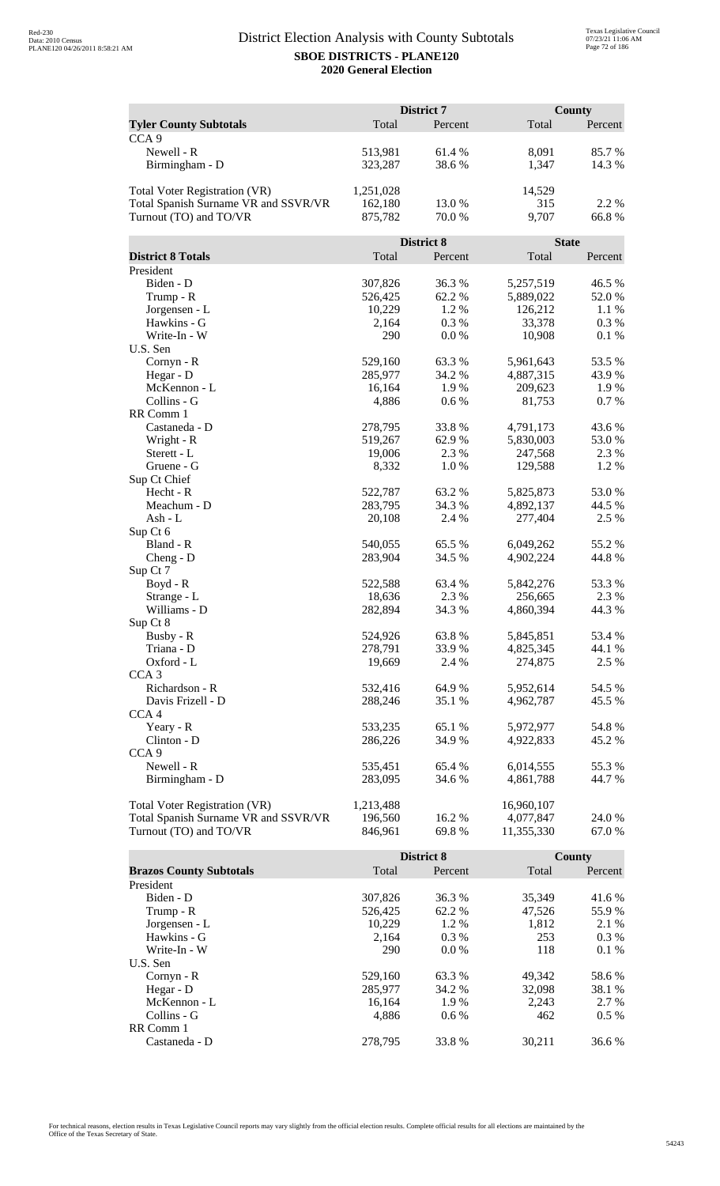|                                      |           | District 7 |              | <b>County</b> |
|--------------------------------------|-----------|------------|--------------|---------------|
| <b>Tyler County Subtotals</b>        | Total     | Percent    | Total        | Percent       |
| CCA <sub>9</sub>                     |           |            |              |               |
| Newell - R                           | 513,981   | 61.4%      | 8,091        | 85.7 %        |
| Birmingham - D                       | 323,287   | 38.6%      | 1,347        | 14.3 %        |
| Total Voter Registration (VR)        | 1,251,028 |            | 14,529       |               |
| Total Spanish Surname VR and SSVR/VR | 162,180   | 13.0 %     | 315          | 2.2 %         |
| Turnout (TO) and TO/VR               | 875,782   | 70.0 %     | 9,707        | 66.8%         |
|                                      |           | District 8 | <b>State</b> |               |
| <b>District 8 Totals</b>             | Total     | Percent    | Total        | Percent       |
| President                            |           |            |              |               |
| Biden - D                            | 307,826   | 36.3%      | 5,257,519    | 46.5 %        |
| Trump - R                            | 526,425   | 62.2%      | 5,889,022    | 52.0%         |
| Jorgensen - L                        | 10,229    | 1.2 %      | 126,212      | 1.1%          |
| Hawkins - G                          | 2,164     | 0.3%       | 33,378       | 0.3 %         |
| Write-In - W                         | 290       | $0.0\%$    | 10,908       | 0.1%          |
| U.S. Sen                             |           |            |              |               |
| Cornyn - R                           | 529,160   | 63.3%      | 5,961,643    | 53.5 %        |
| Hegar - D                            | 285,977   | 34.2 %     | 4,887,315    | 43.9%         |
| McKennon - L                         | 16,164    | 1.9%       | 209,623      | 1.9 %         |
| Collins - G                          | 4,886     | 0.6 %      | 81,753       | 0.7%          |
| RR Comm 1                            |           |            |              |               |
| Castaneda - D                        | 278,795   | 33.8%      | 4,791,173    | 43.6 %        |
| Wright - R                           | 519,267   | 62.9%      | 5,830,003    | 53.0 %        |
| Sterett - L                          | 19,006    | 2.3 %      | 247,568      | 2.3 %         |
| Gruene - G                           | 8,332     | 1.0%       | 129,588      | 1.2%          |
| Sup Ct Chief                         |           |            |              |               |
| Hecht - R                            | 522,787   | 63.2 %     | 5,825,873    | 53.0%         |
| Meachum - D                          | 283,795   | 34.3 %     | 4,892,137    | 44.5 %        |
| $Ash - L$                            | 20,108    | 2.4 %      | 277,404      | 2.5 %         |
| Sup Ct 6                             |           |            |              |               |
| Bland - R                            | 540,055   | 65.5 %     | 6,049,262    | 55.2 %        |
| $Cheng - D$                          | 283,904   | 34.5 %     | 4,902,224    | 44.8%         |
| Sup Ct 7                             |           |            |              |               |
| Boyd - R                             | 522,588   | 63.4 %     | 5,842,276    | 53.3 %        |
| Strange - L                          | 18,636    | 2.3 %      | 256,665      | 2.3 %         |
| Williams - D                         | 282,894   | 34.3 %     | 4,860,394    | 44.3 %        |
| Sup Ct 8                             |           |            |              |               |
| Busby - R                            | 524,926   | 63.8%      | 5,845,851    | 53.4 %        |
| Triana - D                           | 278,791   | 33.9%      | 4,825,345    | 44.1 %        |
| Oxford - L                           | 19,669    | 2.4 %      | 274,875      | 2.5 %         |
| CCA <sub>3</sub>                     |           |            |              |               |
| Richardson - R                       | 532,416   | 64.9%      | 5,952,614    | 54.5 %        |
| Davis Frizell - D                    | 288,246   | 35.1 %     | 4,962,787    | 45.5 %        |
| CCA <sub>4</sub>                     |           |            |              |               |
| Yeary - R                            | 533,235   | 65.1 %     | 5,972,977    | 54.8%         |
| Clinton - D                          | 286,226   | 34.9%      | 4,922,833    | 45.2 %        |
| CCA <sub>9</sub>                     |           |            |              |               |
| Newell - R                           | 535,451   | 65.4 %     | 6,014,555    | 55.3%         |
| Birmingham - D                       | 283,095   | 34.6 %     | 4,861,788    | 44.7 %        |
| <b>Total Voter Registration (VR)</b> | 1,213,488 |            | 16,960,107   |               |
| Total Spanish Surname VR and SSVR/VR | 196,560   | 16.2 %     | 4,077,847    | 24.0 %        |
| Turnout (TO) and TO/VR               | 846,961   | 69.8%      | 11,355,330   | 67.0 %        |

|                                |         | <b>District 8</b> |        | County  |
|--------------------------------|---------|-------------------|--------|---------|
| <b>Brazos County Subtotals</b> | Total   | Percent           | Total  | Percent |
| President                      |         |                   |        |         |
| Biden - D                      | 307,826 | 36.3 %            | 35.349 | 41.6 %  |
| Trump - R                      | 526,425 | 62.2 %            | 47,526 | 55.9%   |
| Jorgensen - L                  | 10.229  | $1.2\%$           | 1.812  | 2.1 %   |
| Hawkins - G                    | 2,164   | $0.3\%$           | 253    | $0.3\%$ |
| Write-In - W                   | 290     | $0.0\%$           | 118    | 0.1%    |
| U.S. Sen                       |         |                   |        |         |
| $Cornyn - R$                   | 529,160 | 63.3 %            | 49.342 | 58.6 %  |
| Hegar - $D$                    | 285,977 | 34.2 %            | 32,098 | 38.1 %  |
| McKennon - L                   | 16,164  | 1.9%              | 2,243  | 2.7 %   |
| Collins - G                    | 4.886   | $0.6\%$           | 462    | $0.5\%$ |
| RR Comm 1                      |         |                   |        |         |
| Castaneda - D                  | 278.795 | 33.8 %            | 30.211 | 36.6 %  |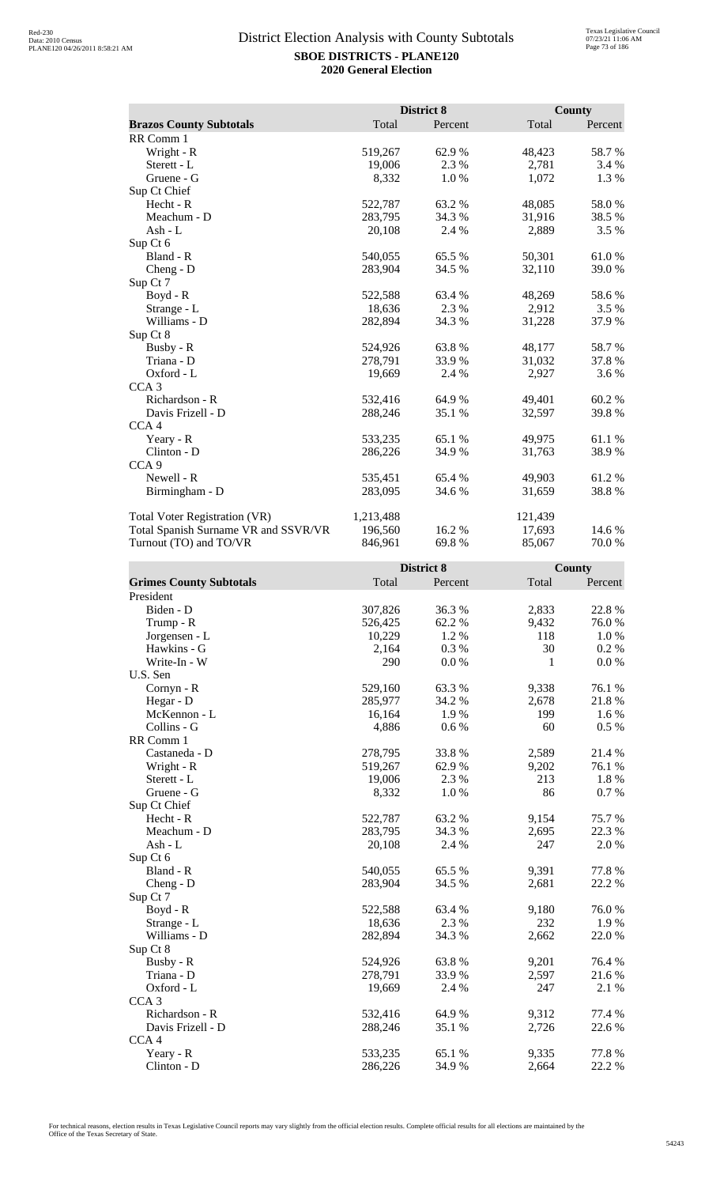|                                      |           | District 8 |         | County  |
|--------------------------------------|-----------|------------|---------|---------|
| <b>Brazos County Subtotals</b>       | Total     | Percent    | Total   | Percent |
| RR Comm 1                            |           |            |         |         |
| Wright - R                           | 519,267   | 62.9%      | 48,423  | 58.7%   |
| Sterett - L                          | 19,006    | 2.3 %      | 2,781   | 3.4 %   |
| Gruene - G                           | 8,332     | 1.0%       | 1,072   | 1.3 %   |
| Sup Ct Chief                         |           |            |         |         |
| Hecht - R                            | 522,787   | 63.2%      | 48,085  | 58.0%   |
| Meachum - D                          | 283,795   | 34.3 %     | 31,916  | 38.5 %  |
| Ash - $L$                            | 20,108    | 2.4 %      | 2,889   | 3.5 %   |
| Sup Ct 6                             |           |            |         |         |
| Bland - R                            | 540,055   | 65.5%      | 50,301  | 61.0%   |
| $Cheng - D$                          | 283,904   | 34.5 %     | 32,110  | 39.0%   |
| Sup Ct 7                             |           |            |         |         |
| Boyd - R                             | 522,588   | 63.4 %     | 48,269  | 58.6 %  |
| Strange - L                          | 18,636    | 2.3 %      | 2,912   | 3.5%    |
| Williams - D                         | 282,894   | 34.3 %     | 31,228  | 37.9%   |
| Sup Ct 8                             |           |            |         |         |
| Busby - R                            | 524,926   | 63.8%      | 48,177  | 58.7%   |
| Triana - D                           | 278,791   | 33.9 %     | 31,032  | 37.8 %  |
| Oxford - L                           | 19,669    | 2.4 %      | 2,927   | 3.6 %   |
| CCA <sub>3</sub>                     |           |            |         |         |
| Richardson - R                       | 532,416   | 64.9%      | 49,401  | 60.2%   |
| Davis Frizell - D                    | 288,246   | 35.1 %     | 32,597  | 39.8%   |
| CCA <sub>4</sub>                     |           |            |         |         |
| Yeary - R                            | 533,235   | 65.1%      | 49,975  | 61.1%   |
| Clinton - D                          | 286,226   | 34.9%      | 31,763  | 38.9%   |
| CCA <sub>9</sub>                     |           |            |         |         |
| Newell - R                           | 535,451   | 65.4 %     | 49,903  | 61.2%   |
| Birmingham - D                       | 283,095   | 34.6 %     | 31,659  | 38.8%   |
| <b>Total Voter Registration (VR)</b> | 1,213,488 |            | 121,439 |         |
| Total Spanish Surname VR and SSVR/VR | 196,560   | 16.2 %     | 17,693  | 14.6 %  |
| Turnout (TO) and TO/VR               | 846,961   | 69.8%      | 85,067  | 70.0%   |

|                                |         | District 8 |       | <b>County</b> |
|--------------------------------|---------|------------|-------|---------------|
| <b>Grimes County Subtotals</b> | Total   | Percent    | Total | Percent       |
| President                      |         |            |       |               |
| Biden - D                      | 307,826 | 36.3%      | 2,833 | 22.8 %        |
| Trump - R                      | 526,425 | 62.2%      | 9,432 | 76.0%         |
| Jorgensen - L                  | 10,229  | 1.2 %      | 118   | 1.0%          |
| Hawkins - G                    | 2,164   | 0.3%       | 30    | $0.2\%$       |
| Write-In - W                   | 290     | 0.0 %      | 1     | 0.0 %         |
| U.S. Sen                       |         |            |       |               |
| Cornyn - R                     | 529,160 | 63.3%      | 9,338 | 76.1 %        |
| Hegar - D                      | 285,977 | 34.2 %     | 2,678 | 21.8 %        |
| McKennon - L                   | 16,164  | 1.9%       | 199   | 1.6%          |
| Collins - G                    | 4,886   | 0.6 %      | 60    | 0.5 %         |
| RR Comm 1                      |         |            |       |               |
| Castaneda - D                  | 278,795 | 33.8%      | 2,589 | 21.4 %        |
| Wright - R                     | 519,267 | 62.9 %     | 9,202 | 76.1 %        |
| Sterett - L                    | 19,006  | 2.3 %      | 213   | 1.8%          |
| Gruene - G                     | 8,332   | 1.0%       | 86    | 0.7 %         |
| Sup Ct Chief                   |         |            |       |               |
| Hecht - R                      | 522,787 | 63.2%      | 9,154 | 75.7%         |
| Meachum - D                    | 283,795 | 34.3 %     | 2,695 | 22.3 %        |
| Ash - L                        | 20,108  | 2.4 %      | 247   | 2.0 %         |
| Sup Ct 6                       |         |            |       |               |
| Bland - R                      | 540,055 | 65.5 %     | 9,391 | 77.8%         |
| $Cheng - D$                    | 283,904 | 34.5 %     | 2,681 | 22.2 %        |
| Sup Ct 7                       |         |            |       |               |
| Boyd - R                       | 522,588 | 63.4 %     | 9,180 | 76.0%         |
| Strange - L                    | 18,636  | 2.3 %      | 232   | 1.9%          |
| Williams - D                   | 282,894 | 34.3 %     | 2,662 | 22.0%         |
| Sup Ct 8                       |         |            |       |               |
| Busby - R                      | 524,926 | 63.8%      | 9,201 | 76.4 %        |
| Triana - D                     | 278,791 | 33.9 %     | 2,597 | 21.6%         |
| Oxford - L                     | 19,669  | 2.4 %      | 247   | 2.1 %         |
| CCA <sub>3</sub>               |         |            |       |               |
| Richardson - R                 | 532,416 | 64.9%      | 9,312 | 77.4 %        |
| Davis Frizell - D              | 288,246 | 35.1 %     | 2,726 | 22.6 %        |
| CCA <sub>4</sub>               |         |            |       |               |
| Yeary - R                      | 533,235 | 65.1 %     | 9,335 | 77.8 %        |
| Clinton - D                    | 286,226 | 34.9%      | 2,664 | 22.2 %        |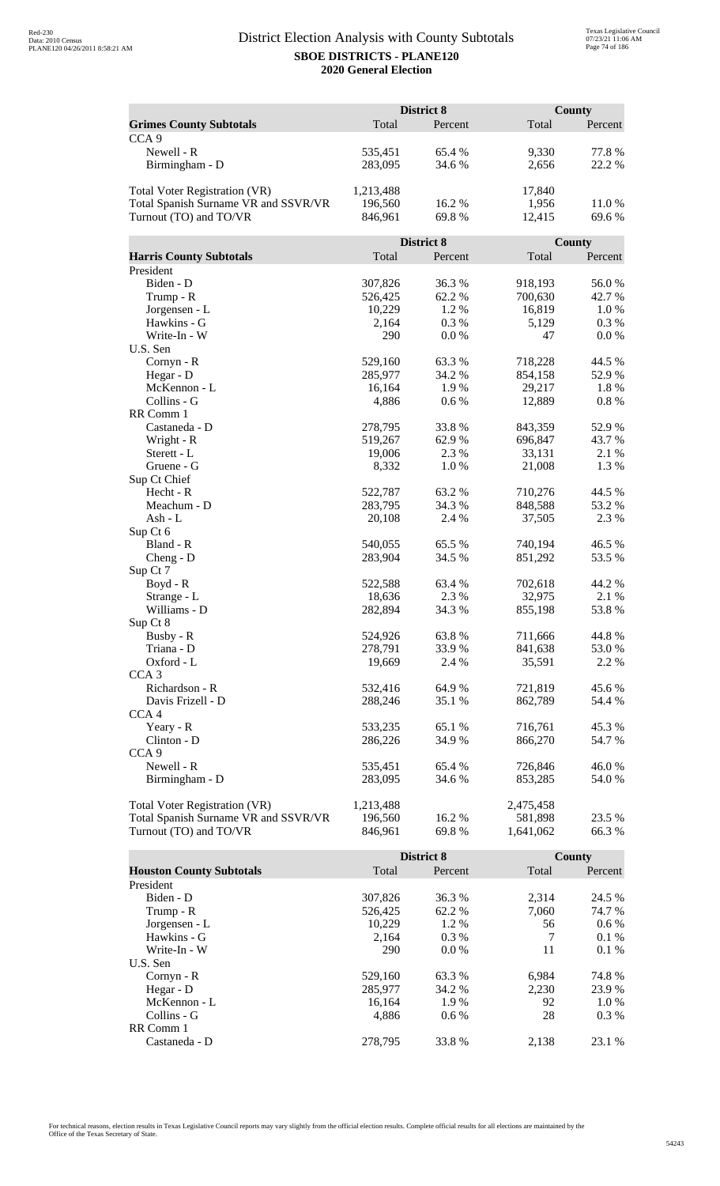|                                      |                    | <b>District 8</b> |                    | <b>County</b>  |
|--------------------------------------|--------------------|-------------------|--------------------|----------------|
| <b>Grimes County Subtotals</b>       | Total              | Percent           | Total              | Percent        |
| CCA <sub>9</sub>                     |                    |                   |                    |                |
| Newell - R                           | 535,451            | 65.4 %            | 9,330              | 77.8%          |
| Birmingham - D                       | 283,095            | 34.6 %            | 2,656              | 22.2 %         |
|                                      |                    |                   |                    |                |
| Total Voter Registration (VR)        | 1,213,488          |                   | 17,840             |                |
| Total Spanish Surname VR and SSVR/VR | 196,560            | 16.2%             | 1,956              | 11.0%          |
| Turnout (TO) and TO/VR               | 846,961            | 69.8%             | 12,415             | 69.6 %         |
|                                      |                    |                   |                    |                |
|                                      |                    | <b>District 8</b> |                    | County         |
| <b>Harris County Subtotals</b>       | Total              | Percent           | Total              | Percent        |
| President                            |                    |                   |                    |                |
| Biden - D                            | 307,826            | 36.3%             | 918,193            | 56.0%          |
| Trump - R                            | 526,425            | 62.2%             | 700,630            | 42.7 %         |
| Jorgensen - L                        | 10,229             | 1.2 %             | 16,819             | 1.0%           |
| Hawkins - G                          | 2,164              | 0.3%              | 5,129              | 0.3 %          |
| Write-In - W                         | 290                | 0.0 %             | 47                 | 0.0 %          |
| U.S. Sen                             |                    |                   |                    |                |
| Cornyn - R                           | 529,160            | 63.3%             | 718,228            | 44.5 %         |
| Hegar - D                            | 285,977            | 34.2 %            | 854,158            | 52.9%          |
| McKennon - L                         | 16,164             | 1.9%              | 29,217             | 1.8%           |
| Collins - G                          | 4,886              | 0.6 %             | 12,889             | 0.8%           |
| RR Comm 1                            |                    |                   |                    |                |
| Castaneda - D                        | 278,795            | 33.8%             | 843,359            | 52.9%          |
| Wright - R                           | 519,267            | 62.9 %            | 696,847            | 43.7%          |
| Sterett - L                          | 19,006             | 2.3 %             | 33,131             | 2.1 %          |
| Gruene - G                           | 8,332              | 1.0%              | 21,008             | 1.3%           |
| Sup Ct Chief                         |                    |                   |                    |                |
| Hecht - R                            | 522,787            | 63.2 %            | 710,276            | 44.5 %         |
| Meachum - D                          | 283,795            | 34.3 %            | 848,588            | 53.2 %         |
| $Ash - L$                            | 20,108             | 2.4 %             | 37,505             | 2.3 %          |
| Sup Ct 6                             |                    |                   |                    |                |
| Bland - R                            | 540,055            | 65.5 %            | 740,194            | 46.5 %         |
| $Cheng - D$                          | 283,904            | 34.5 %            | 851,292            | 53.5 %         |
| Sup Ct 7                             |                    |                   |                    |                |
| Boyd - R                             | 522,588            | 63.4 %            | 702,618            | 44.2 %         |
| Strange - L                          | 18,636             | 2.3 %             | 32,975             | 2.1 %          |
| Williams - D                         | 282,894            | 34.3 %            | 855,198            | 53.8%          |
| Sup Ct 8                             |                    |                   |                    |                |
| Busby - R<br>Triana - D              | 524,926<br>278,791 | 63.8%<br>33.9%    | 711,666<br>841,638 | 44.8%<br>53.0% |
| Oxford - L                           | 19,669             | 2.4 %             | 35,591             | 2.2 %          |
| CCA <sub>3</sub>                     |                    |                   |                    |                |
| Richardson - R                       | 532,416            | 64.9%             | 721,819            | 45.6 %         |
| Davis Frizell - D                    | 288,246            | 35.1 %            | 862,789            | 54.4 %         |
| CCA <sub>4</sub>                     |                    |                   |                    |                |
| Yeary - R                            | 533,235            | 65.1 %            | 716,761            | 45.3 %         |
| Clinton - D                          | 286,226            | 34.9%             | 866,270            | 54.7 %         |
| CCA <sub>9</sub>                     |                    |                   |                    |                |
| Newell - R                           | 535,451            | 65.4 %            | 726,846            | 46.0%          |
| Birmingham - D                       | 283,095            | 34.6 %            | 853,285            | 54.0 %         |
|                                      |                    |                   |                    |                |
| <b>Total Voter Registration (VR)</b> | 1,213,488          |                   | 2,475,458          |                |
| Total Spanish Surname VR and SSVR/VR | 196,560            | 16.2 %            | 581,898            | 23.5 %         |
| Turnout (TO) and TO/VR               | 846,961            | 69.8%             | 1,641,062          | 66.3 %         |

|                                 |         | <b>District 8</b> |       | County  |
|---------------------------------|---------|-------------------|-------|---------|
| <b>Houston County Subtotals</b> | Total   | Percent           | Total | Percent |
| President                       |         |                   |       |         |
| Biden - D                       | 307,826 | 36.3 %            | 2.314 | 24.5 %  |
| Trump - R                       | 526,425 | 62.2 %            | 7,060 | 74.7 %  |
| Jorgensen - L                   | 10.229  | $1.2\%$           | 56    | $0.6\%$ |
| Hawkins - G                     | 2,164   | $0.3\%$           | 7     | $0.1\%$ |
| Write-In - W                    | 290     | $0.0\%$           | 11    | $0.1\%$ |
| U.S. Sen                        |         |                   |       |         |
| $Cornyn - R$                    | 529,160 | 63.3 %            | 6.984 | 74.8%   |
| Hegar - $D$                     | 285,977 | 34.2 %            | 2.230 | 23.9 %  |
| McKennon - L                    | 16,164  | 1.9 %             | 92    | 1.0 %   |
| Collins - G                     | 4.886   | $0.6\%$           | 28    | $0.3\%$ |
| RR Comm 1                       |         |                   |       |         |
| Castaneda - D                   | 278.795 | 33.8 %            | 2.138 | 23.1 %  |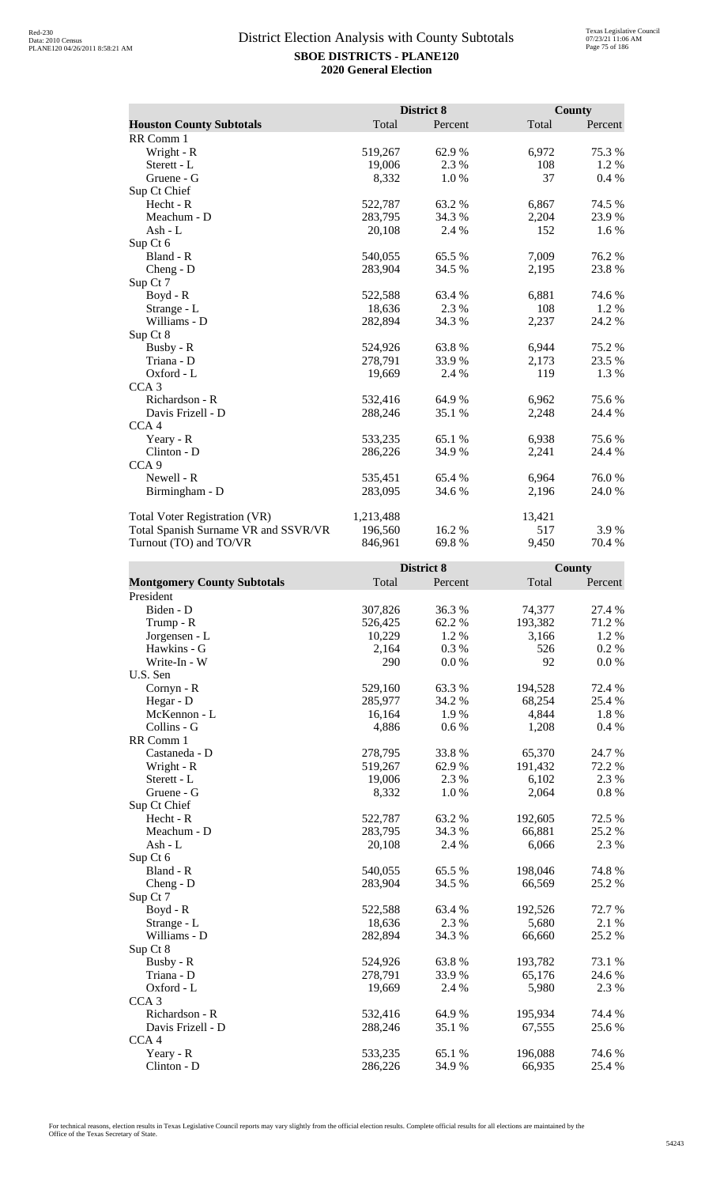|                                      |           | District 8 |        | <b>County</b> |
|--------------------------------------|-----------|------------|--------|---------------|
| <b>Houston County Subtotals</b>      | Total     | Percent    | Total  | Percent       |
| RR Comm 1                            |           |            |        |               |
| Wright - R                           | 519,267   | 62.9 %     | 6,972  | 75.3 %        |
| Sterett - L                          | 19,006    | 2.3 %      | 108    | 1.2 %         |
| Gruene - G                           | 8,332     | 1.0%       | 37     | 0.4%          |
| Sup Ct Chief                         |           |            |        |               |
| Hecht - R                            | 522,787   | 63.2 %     | 6,867  | 74.5 %        |
| Meachum - D                          | 283,795   | 34.3 %     | 2,204  | 23.9%         |
| Ash - L                              | 20,108    | 2.4 %      | 152    | 1.6 %         |
| Sup Ct 6                             |           |            |        |               |
| Bland - R                            | 540,055   | 65.5 %     | 7,009  | 76.2%         |
| $Cheng - D$                          | 283,904   | 34.5 %     | 2,195  | 23.8%         |
| Sup Ct 7                             |           |            |        |               |
| $Boyd - R$                           | 522,588   | 63.4 %     | 6,881  | 74.6 %        |
| Strange - L                          | 18,636    | 2.3 %      | 108    | 1.2 %         |
| Williams - D                         | 282,894   | 34.3 %     | 2,237  | 24.2 %        |
| Sup Ct 8                             |           |            |        |               |
| Busby - R                            | 524,926   | 63.8%      | 6,944  | 75.2 %        |
| Triana - D                           | 278,791   | 33.9 %     | 2,173  | 23.5 %        |
| Oxford - L                           | 19,669    | 2.4 %      | 119    | 1.3 %         |
| CCA <sub>3</sub>                     |           |            |        |               |
| Richardson - R                       | 532,416   | 64.9%      | 6,962  | 75.6%         |
| Davis Frizell - D                    | 288,246   | 35.1 %     | 2,248  | 24.4 %        |
| CCA <sub>4</sub>                     |           |            |        |               |
| Yeary - R                            | 533,235   | 65.1 %     | 6,938  | 75.6 %        |
| Clinton - D                          | 286,226   | 34.9 %     | 2,241  | 24.4 %        |
| CCA <sub>9</sub>                     |           |            |        |               |
| Newell - R                           | 535,451   | 65.4 %     | 6,964  | 76.0%         |
| Birmingham - D                       | 283,095   | 34.6 %     | 2,196  | 24.0 %        |
| Total Voter Registration (VR)        | 1,213,488 |            | 13,421 |               |
| Total Spanish Surname VR and SSVR/VR | 196,560   | 16.2%      | 517    | 3.9%          |
| Turnout (TO) and TO/VR               | 846,961   | 69.8%      | 9,450  | 70.4 %        |

|                                    |         | District 8 |         | <b>County</b> |
|------------------------------------|---------|------------|---------|---------------|
| <b>Montgomery County Subtotals</b> | Total   | Percent    | Total   | Percent       |
| President                          |         |            |         |               |
| Biden - D                          | 307,826 | 36.3%      | 74,377  | 27.4 %        |
| Trump - R                          | 526,425 | 62.2%      | 193,382 | 71.2%         |
| Jorgensen - L                      | 10,229  | 1.2%       | 3,166   | 1.2%          |
| Hawkins - G                        | 2,164   | 0.3%       | 526     | 0.2 %         |
| Write-In - W                       | 290     | $0.0\ \%$  | 92      | $0.0\ \%$     |
| U.S. Sen                           |         |            |         |               |
| Cornyn - R                         | 529,160 | 63.3%      | 194,528 | 72.4 %        |
| Hegar - D                          | 285,977 | 34.2 %     | 68,254  | 25.4 %        |
| McKennon - L                       | 16,164  | 1.9%       | 4,844   | 1.8 %         |
| Collins - G                        | 4,886   | 0.6 %      | 1,208   | 0.4 %         |
| RR Comm 1                          |         |            |         |               |
| Castaneda - D                      | 278,795 | 33.8%      | 65,370  | 24.7 %        |
| Wright - R                         | 519,267 | 62.9 %     | 191,432 | 72.2 %        |
| Sterett - L                        | 19,006  | 2.3 %      | 6,102   | 2.3 %         |
| Gruene - G                         | 8,332   | 1.0%       | 2,064   | $0.8~\%$      |
| Sup Ct Chief                       |         |            |         |               |
| Hecht - R                          | 522,787 | 63.2%      | 192,605 | 72.5 %        |
| Meachum - D                        | 283,795 | 34.3 %     | 66,881  | 25.2 %        |
| Ash - L                            | 20,108  | 2.4 %      | 6,066   | 2.3 %         |
| Sup Ct 6                           |         |            |         |               |
| Bland - R                          | 540,055 | 65.5 %     | 198,046 | 74.8 %        |
| Cheng - D                          | 283,904 | 34.5 %     | 66,569  | 25.2 %        |
| Sup Ct 7                           |         |            |         |               |
| $Boyd - R$                         | 522,588 | 63.4 %     | 192,526 | 72.7 %        |
| Strange - L                        | 18,636  | 2.3 %      | 5,680   | 2.1 %         |
| Williams - D                       | 282,894 | 34.3 %     | 66,660  | 25.2 %        |
| Sup Ct 8                           |         |            |         |               |
| Busby - R                          | 524,926 | 63.8%      | 193,782 | 73.1 %        |
| Triana - D                         | 278,791 | 33.9 %     | 65,176  | 24.6 %        |
| Oxford - L                         | 19,669  | 2.4 %      | 5,980   | 2.3 %         |
| CCA <sub>3</sub>                   |         |            |         |               |
| Richardson - R                     | 532,416 | 64.9%      | 195,934 | 74.4 %        |
| Davis Frizell - D                  | 288,246 | 35.1 %     | 67,555  | 25.6 %        |
| CCA4                               |         |            |         |               |
| Yeary - R                          | 533,235 | 65.1 %     | 196,088 | 74.6 %        |
| Clinton - D                        | 286,226 | 34.9%      | 66,935  | 25.4 %        |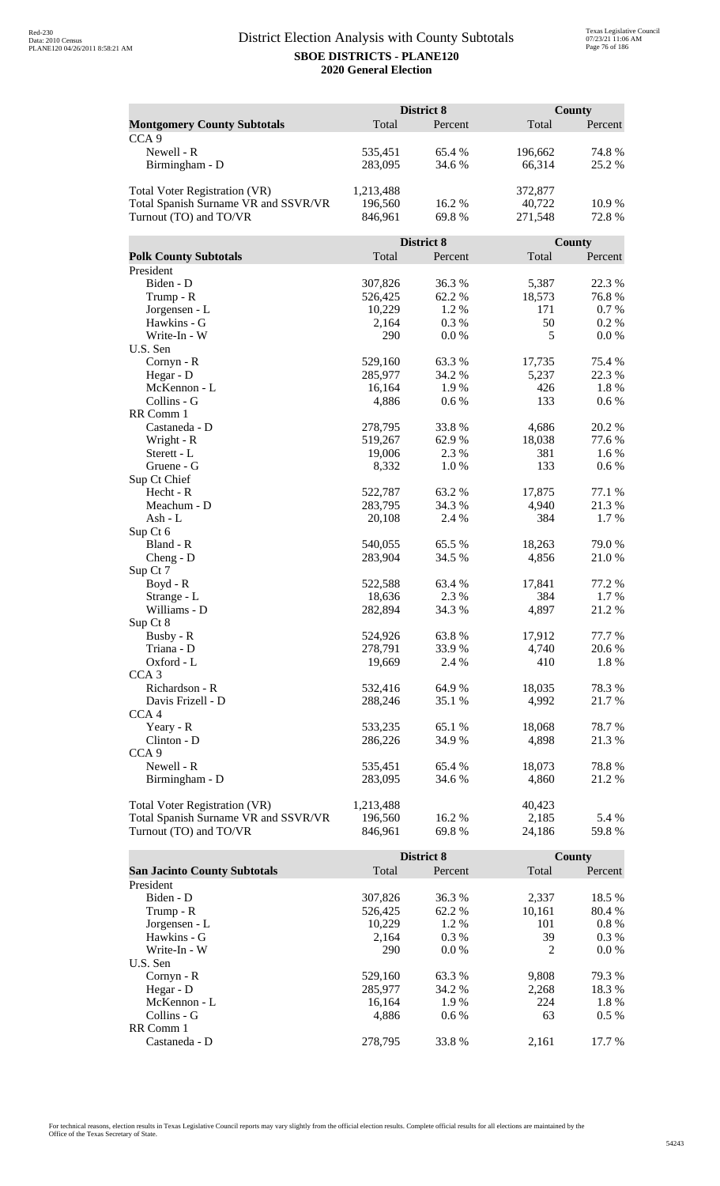|                                      | District 8         |            |         | <b>County</b> |  |
|--------------------------------------|--------------------|------------|---------|---------------|--|
| <b>Montgomery County Subtotals</b>   | Total              | Percent    | Total   | Percent       |  |
| CCA <sub>9</sub>                     |                    |            |         |               |  |
| Newell - R                           | 535,451            | 65.4 %     | 196,662 | 74.8%         |  |
| Birmingham - D                       | 283,095            | 34.6 %     | 66,314  | 25.2 %        |  |
|                                      |                    |            |         |               |  |
| <b>Total Voter Registration (VR)</b> | 1,213,488          |            | 372,877 |               |  |
| Total Spanish Surname VR and SSVR/VR | 196,560            | 16.2%      | 40,722  | 10.9%         |  |
| Turnout (TO) and TO/VR               | 846,961            | 69.8%      | 271,548 | 72.8%         |  |
|                                      |                    |            |         |               |  |
|                                      |                    | District 8 |         | County        |  |
| <b>Polk County Subtotals</b>         | Total              | Percent    | Total   | Percent       |  |
| President                            |                    |            |         |               |  |
| Biden - D                            | 307,826            | 36.3%      | 5,387   | 22.3 %        |  |
| Trump - R                            | 526,425            | 62.2%      | 18,573  | 76.8%         |  |
| Jorgensen - L                        | 10,229             | 1.2%       | 171     | 0.7%          |  |
| Hawkins - G                          | 2,164              | 0.3 %      | 50      | 0.2 %         |  |
| Write-In - W                         | 290                | 0.0 %      | 5       | 0.0 %         |  |
| U.S. Sen                             |                    |            |         |               |  |
| Cornyn - R                           | 529,160            | 63.3%      | 17,735  | 75.4 %        |  |
| Hegar - D                            | 285,977            | 34.2 %     | 5,237   | 22.3 %        |  |
| McKennon - L                         | 16,164             | 1.9%       | 426     | 1.8%          |  |
| Collins - G                          | 4,886              | 0.6 %      | 133     | 0.6 %         |  |
| RR Comm 1                            |                    |            |         |               |  |
| Castaneda - D                        | 278,795            | 33.8%      | 4,686   | 20.2 %        |  |
| Wright - R                           | 519,267            | 62.9%      | 18,038  | 77.6 %        |  |
| Sterett - L                          | 19,006             | 2.3 %      | 381     | 1.6 %         |  |
| Gruene - G                           | 8,332              | 1.0%       | 133     | 0.6 %         |  |
| Sup Ct Chief                         |                    |            |         |               |  |
| Hecht - R                            | 522,787            | 63.2 %     | 17,875  | 77.1 %        |  |
| Meachum - D                          | 283,795            | 34.3 %     | 4,940   | 21.3%         |  |
| Ash - L                              | 20,108             | 2.4 %      | 384     | 1.7%          |  |
| Sup Ct 6<br>Bland - R                |                    | 65.5 %     | 18,263  | 79.0%         |  |
| $Cheng - D$                          | 540,055<br>283,904 | 34.5 %     | 4,856   | 21.0%         |  |
| Sup Ct 7                             |                    |            |         |               |  |
| Boyd - R                             | 522,588            | 63.4 %     | 17,841  | 77.2 %        |  |
| Strange - L                          | 18,636             | 2.3 %      | 384     | 1.7 %         |  |
| Williams - D                         | 282,894            | 34.3 %     | 4,897   | 21.2%         |  |
| Sup Ct 8                             |                    |            |         |               |  |
| Busby - R                            | 524,926            | 63.8%      | 17,912  | 77.7 %        |  |
| Triana - D                           | 278,791            | 33.9%      | 4,740   | 20.6 %        |  |
| Oxford - L                           | 19,669             | 2.4 %      | 410     | 1.8 %         |  |
| CCA <sub>3</sub>                     |                    |            |         |               |  |
| Richardson - R                       | 532,416            | 64.9%      | 18,035  | 78.3%         |  |
| Davis Frizell - D                    | 288,246            | 35.1 %     | 4,992   | 21.7%         |  |
| CCA <sub>4</sub>                     |                    |            |         |               |  |
| Yeary - R                            | 533,235            | 65.1 %     | 18,068  | 78.7%         |  |
| Clinton - D                          | 286,226            | 34.9 %     | 4,898   | 21.3 %        |  |
| CCA <sub>9</sub>                     |                    |            |         |               |  |
| Newell - R                           | 535,451            | 65.4 %     | 18,073  | 78.8%         |  |
| Birmingham - D                       | 283,095            | 34.6 %     | 4,860   | 21.2 %        |  |
|                                      |                    |            |         |               |  |
| <b>Total Voter Registration (VR)</b> | 1,213,488          |            | 40,423  |               |  |
| Total Spanish Surname VR and SSVR/VR | 196,560            | 16.2 %     | 2,185   | 5.4 %         |  |
| Turnout (TO) and TO/VR               | 846,961            | 69.8%      | 24,186  | 59.8%         |  |

|                                     |         | <b>District 8</b> |        | County  |
|-------------------------------------|---------|-------------------|--------|---------|
| <b>San Jacinto County Subtotals</b> | Total   | Percent           | Total  | Percent |
| President                           |         |                   |        |         |
| Biden - D                           | 307,826 | 36.3 %            | 2,337  | 18.5 %  |
| Trump - R                           | 526,425 | 62.2 %            | 10,161 | 80.4 %  |
| Jorgensen - L                       | 10.229  | 1.2 %             | 101    | $0.8\%$ |
| Hawkins - G                         | 2,164   | $0.3\%$           | 39     | $0.3\%$ |
| Write-In - W                        | 290     | $0.0\%$           | 2      | $0.0\%$ |
| U.S. Sen                            |         |                   |        |         |
| $Cornyn - R$                        | 529,160 | 63.3 %            | 9,808  | 79.3 %  |
| Hegar - $D$                         | 285,977 | 34.2 %            | 2.268  | 18.3 %  |
| McKennon - L                        | 16,164  | 1.9%              | 224    | 1.8%    |
| Collins - G                         | 4.886   | $0.6\%$           | 63     | $0.5\%$ |
| RR Comm 1                           |         |                   |        |         |
| Castaneda - D                       | 278.795 | 33.8 %            | 2.161  | 17.7 %  |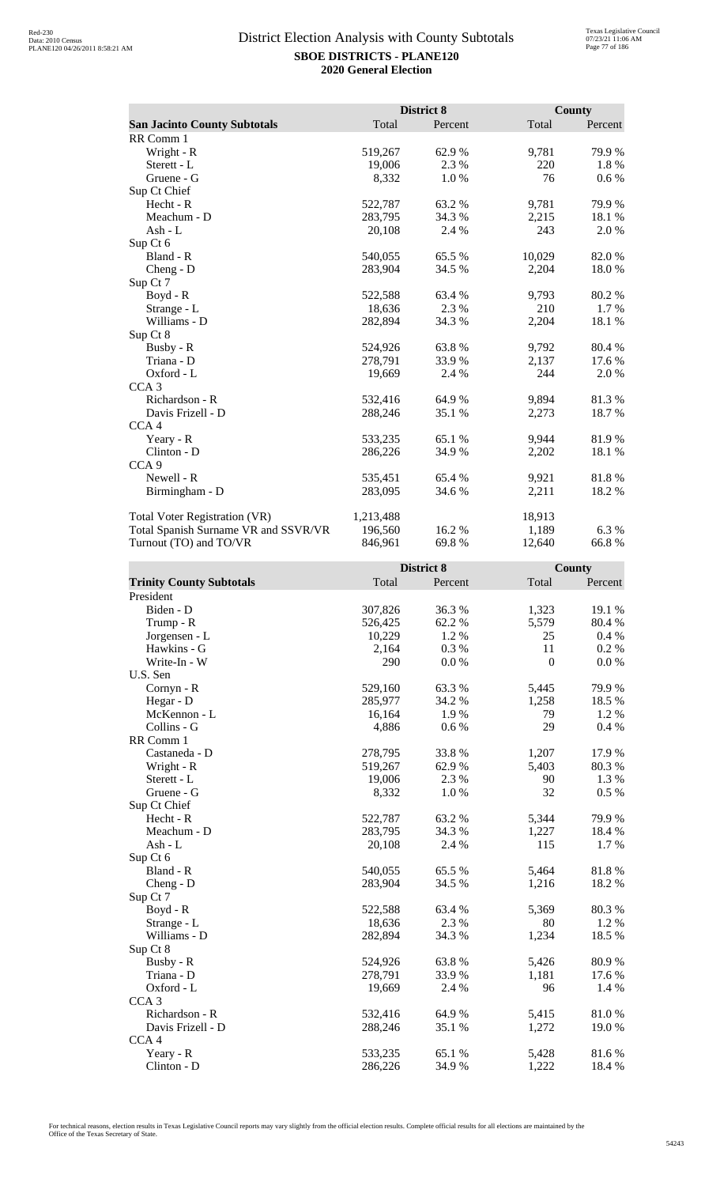|                                      |           | District 8 |        | <b>County</b> |
|--------------------------------------|-----------|------------|--------|---------------|
| <b>San Jacinto County Subtotals</b>  | Total     | Percent    | Total  | Percent       |
| RR Comm 1                            |           |            |        |               |
| Wright - R                           | 519,267   | 62.9%      | 9,781  | 79.9%         |
| Sterett - L                          | 19,006    | 2.3 %      | 220    | 1.8%          |
| Gruene - G                           | 8,332     | 1.0%       | 76     | $0.6\%$       |
| Sup Ct Chief                         |           |            |        |               |
| Hecht - R                            | 522,787   | 63.2 %     | 9,781  | 79.9%         |
| Meachum - D                          | 283,795   | 34.3 %     | 2,215  | 18.1 %        |
| Ash - $L$                            | 20,108    | 2.4 %      | 243    | 2.0 %         |
| Sup Ct 6                             |           |            |        |               |
| Bland - R                            | 540,055   | 65.5 %     | 10,029 | 82.0 %        |
| $Cheng - D$                          | 283,904   | 34.5 %     | 2,204  | 18.0%         |
| Sup Ct 7                             |           |            |        |               |
| Boyd - R                             | 522,588   | 63.4 %     | 9,793  | 80.2%         |
| Strange - L                          | 18,636    | 2.3 %      | 210    | 1.7 %         |
| Williams - D                         | 282,894   | 34.3 %     | 2,204  | 18.1 %        |
| Sup Ct 8                             |           |            |        |               |
| Busby - R                            | 524,926   | 63.8%      | 9,792  | 80.4 %        |
| Triana - D                           | 278,791   | 33.9 %     | 2,137  | 17.6 %        |
| Oxford - L                           | 19,669    | 2.4 %      | 244    | 2.0%          |
| CCA <sub>3</sub>                     |           |            |        |               |
| Richardson - R                       | 532,416   | 64.9 %     | 9,894  | 81.3%         |
| Davis Frizell - D                    | 288,246   | 35.1 %     | 2,273  | 18.7%         |
| CCA <sub>4</sub>                     |           |            |        |               |
| Yeary - R                            | 533,235   | 65.1 %     | 9,944  | 81.9%         |
| Clinton - D                          | 286,226   | 34.9 %     | 2,202  | 18.1 %        |
| CCA <sub>9</sub>                     |           |            |        |               |
| Newell - R                           | 535,451   | 65.4 %     | 9,921  | 81.8%         |
| Birmingham - D                       | 283,095   | 34.6 %     | 2,211  | 18.2%         |
| Total Voter Registration (VR)        | 1,213,488 |            | 18,913 |               |
| Total Spanish Surname VR and SSVR/VR | 196,560   | 16.2 %     | 1,189  | 6.3%          |
| Turnout (TO) and TO/VR               | 846,961   | 69.8%      | 12,640 | 66.8%         |

|                                 |         | District 8 |              | <b>County</b> |
|---------------------------------|---------|------------|--------------|---------------|
| <b>Trinity County Subtotals</b> | Total   | Percent    | Total        | Percent       |
| President                       |         |            |              |               |
| Biden - D                       | 307,826 | 36.3%      | 1,323        | 19.1 %        |
| Trump - R                       | 526,425 | 62.2%      | 5,579        | 80.4%         |
| Jorgensen - L                   | 10,229  | 1.2%       | 25           | 0.4 %         |
| Hawkins - G                     | 2,164   | 0.3%       | 11           | 0.2 %         |
| Write-In - W                    | 290     | 0.0 %      | $\mathbf{0}$ | 0.0 %         |
| U.S. Sen                        |         |            |              |               |
| Cornyn - R                      | 529,160 | 63.3%      | 5,445        | 79.9%         |
| Hegar - D                       | 285,977 | 34.2 %     | 1,258        | 18.5 %        |
| McKennon - L                    | 16,164  | 1.9%       | 79           | 1.2%          |
| Collins - G                     | 4,886   | 0.6 %      | 29           | 0.4%          |
| RR Comm 1                       |         |            |              |               |
| Castaneda - D                   | 278,795 | 33.8%      | 1,207        | 17.9%         |
| Wright - R                      | 519,267 | 62.9%      | 5,403        | 80.3%         |
| Sterett - L                     | 19,006  | 2.3 %      | 90           | 1.3 %         |
| Gruene - G                      | 8,332   | 1.0%       | 32           | 0.5 %         |
| Sup Ct Chief                    |         |            |              |               |
| Hecht - R                       | 522,787 | 63.2%      | 5,344        | 79.9%         |
| Meachum - D                     | 283,795 | 34.3 %     | 1,227        | 18.4 %        |
| Ash - L                         | 20,108  | 2.4 %      | 115          | 1.7%          |
| Sup Ct 6                        |         |            |              |               |
| Bland - R                       | 540,055 | 65.5 %     | 5,464        | 81.8%         |
| $Cheng - D$                     | 283,904 | 34.5 %     | 1,216        | 18.2 %        |
| Sup Ct 7                        |         |            |              |               |
| Boyd - R                        | 522,588 | 63.4 %     | 5,369        | 80.3%         |
| Strange - L                     | 18,636  | 2.3 %      | 80           | 1.2 %         |
| Williams - D                    | 282,894 | 34.3 %     | 1,234        | 18.5 %        |
| Sup Ct 8                        |         |            |              |               |
| Busby - R                       | 524,926 | 63.8%      | 5,426        | 80.9%         |
| Triana - D                      | 278,791 | 33.9%      | 1,181        | 17.6 %        |
| Oxford - L                      | 19,669  | 2.4 %      | 96           | 1.4 %         |
| CCA <sub>3</sub>                |         |            |              |               |
| Richardson - R                  | 532,416 | 64.9%      | 5,415        | 81.0%         |
| Davis Frizell - D               | 288,246 | 35.1 %     | 1,272        | 19.0%         |
| CCA <sub>4</sub>                |         |            |              |               |
| Yeary - R                       | 533,235 | 65.1 %     | 5,428        | 81.6%         |
| Clinton - D                     | 286,226 | 34.9%      | 1,222        | 18.4 %        |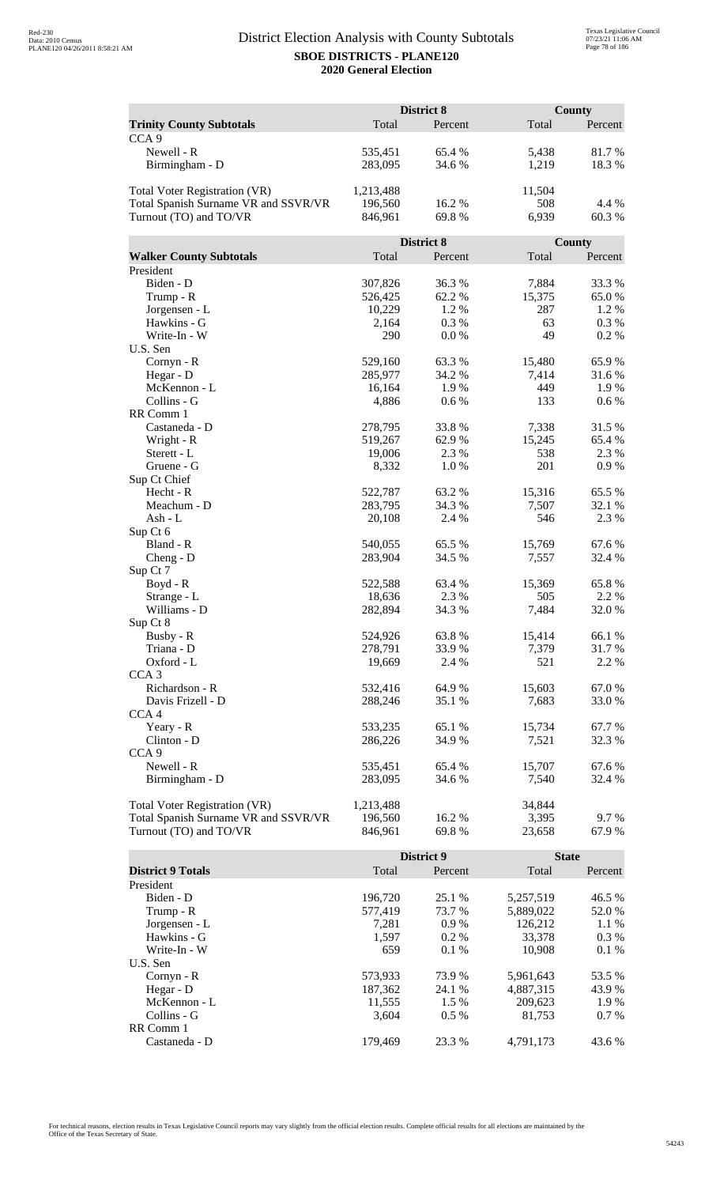|                                      | District 8      |               |            | <b>County</b> |  |
|--------------------------------------|-----------------|---------------|------------|---------------|--|
| <b>Trinity County Subtotals</b>      | Total           | Percent       | Total      | Percent       |  |
| CCA <sub>9</sub>                     |                 |               |            |               |  |
| Newell - R                           | 535,451         | 65.4 %        | 5,438      | 81.7%         |  |
| Birmingham - D                       | 283,095         | 34.6 %        | 1,219      | 18.3%         |  |
|                                      |                 |               |            |               |  |
| <b>Total Voter Registration (VR)</b> | 1,213,488       |               | 11,504     |               |  |
| Total Spanish Surname VR and SSVR/VR | 196,560         | 16.2%         | 508        | 4.4 %         |  |
| Turnout (TO) and TO/VR               | 846,961         | 69.8%         | 6,939      | 60.3%         |  |
|                                      |                 |               |            |               |  |
|                                      |                 | District 8    |            | County        |  |
| <b>Walker County Subtotals</b>       | Total           | Percent       | Total      | Percent       |  |
| President                            |                 |               |            |               |  |
| Biden - D                            | 307,826         | 36.3 %        | 7,884      | 33.3 %        |  |
| Trump - R                            | 526,425         | 62.2%         | 15,375     | 65.0%         |  |
| Jorgensen - L                        | 10,229          | 1.2%          | 287        | 1.2%          |  |
| Hawkins - G                          | 2,164           | 0.3%          | 63         | 0.3 %         |  |
| Write-In - W                         | 290             | 0.0 %         | 49         | 0.2 %         |  |
| U.S. Sen                             |                 |               |            |               |  |
| Cornyn - R                           | 529,160         | 63.3%         | 15,480     | 65.9%         |  |
| Hegar - D                            | 285,977         | 34.2 %        | 7,414      | 31.6%         |  |
| McKennon - L                         | 16,164          | 1.9%          | 449        | 1.9 %         |  |
| Collins - G                          | 4,886           | 0.6 %         | 133        | 0.6 %         |  |
| RR Comm 1                            |                 |               |            |               |  |
| Castaneda - D                        | 278,795         | 33.8%         | 7,338      | 31.5 %        |  |
| Wright - R                           | 519,267         | 62.9%         | 15,245     | 65.4 %        |  |
| Sterett - L<br>Gruene - G            | 19,006<br>8,332 | 2.3 %<br>1.0% | 538<br>201 | 2.3 %<br>0.9% |  |
| Sup Ct Chief                         |                 |               |            |               |  |
| Hecht - R                            | 522,787         | 63.2 %        | 15,316     | 65.5 %        |  |
| Meachum - D                          | 283,795         | 34.3 %        | 7,507      | 32.1 %        |  |
| Ash - L                              | 20,108          | 2.4 %         | 546        | 2.3 %         |  |
| Sup Ct 6                             |                 |               |            |               |  |
| Bland - R                            | 540,055         | 65.5 %        | 15,769     | 67.6%         |  |
| $Cheng - D$                          | 283,904         | 34.5 %        | 7,557      | 32.4 %        |  |
| Sup Ct 7                             |                 |               |            |               |  |
| Boyd - R                             | 522,588         | 63.4 %        | 15,369     | 65.8%         |  |
| Strange - L                          | 18,636          | 2.3 %         | 505        | 2.2 %         |  |
| Williams - D                         | 282,894         | 34.3 %        | 7,484      | 32.0%         |  |
| Sup Ct 8                             |                 |               |            |               |  |
| Busby - R                            | 524,926         | 63.8%         | 15,414     | 66.1 %        |  |
| Triana - D                           | 278,791         | 33.9%         | 7,379      | 31.7%         |  |
| Oxford - L                           | 19,669          | 2.4 %         | 521        | 2.2 %         |  |
| CCA <sub>3</sub>                     |                 |               |            |               |  |
| Richardson - R                       | 532,416         | 64.9%         | 15,603     | 67.0%         |  |
| Davis Frizell - D                    | 288,246         | 35.1 %        | 7,683      | 33.0 %        |  |
| CCA <sub>4</sub>                     |                 |               |            |               |  |
| Yeary - R                            | 533,235         | 65.1 %        | 15,734     | 67.7%         |  |
| Clinton - D                          | 286,226         | 34.9 %        | 7,521      | 32.3 %        |  |
| CCA <sub>9</sub>                     |                 |               |            |               |  |
| Newell - R                           | 535,451         | 65.4 %        | 15,707     | 67.6 %        |  |
| Birmingham - D                       | 283,095         | 34.6 %        | 7,540      | 32.4 %        |  |
| <b>Total Voter Registration (VR)</b> | 1,213,488       |               | 34,844     |               |  |
| Total Spanish Surname VR and SSVR/VR | 196,560         | 16.2%         | 3,395      | 9.7%          |  |
| Turnout (TO) and TO/VR               | 846,961         | 69.8%         | 23,658     | 67.9%         |  |
|                                      |                 |               |            |               |  |

|                          |         | <b>District 9</b> |           | <b>State</b> |  |
|--------------------------|---------|-------------------|-----------|--------------|--|
| <b>District 9 Totals</b> | Total   | Percent           | Total     | Percent      |  |
| President                |         |                   |           |              |  |
| Biden - D                | 196.720 | 25.1 %            | 5.257.519 | 46.5 %       |  |
| Trump - R                | 577,419 | 73.7 %            | 5,889,022 | 52.0 %       |  |
| Jorgensen - L            | 7.281   | $0.9\%$           | 126.212   | $1.1\%$      |  |
| Hawkins - G              | 1,597   | $0.2\%$           | 33,378    | $0.3\%$      |  |
| Write-In - W             | 659     | $0.1\%$           | 10.908    | $0.1\%$      |  |
| U.S. Sen                 |         |                   |           |              |  |
| Cornyn - R               | 573,933 | 73.9 %            | 5,961,643 | 53.5 %       |  |
| Hegar - $D$              | 187,362 | 24.1 %            | 4,887,315 | 43.9 %       |  |
| McKennon - L             | 11,555  | 1.5 %             | 209,623   | 1.9 %        |  |
| Collins - G              | 3.604   | $0.5\%$           | 81.753    | $0.7\%$      |  |
| RR Comm 1                |         |                   |           |              |  |
| Castaneda - D            | 179.469 | 23.3 %            | 4.791.173 | 43.6 %       |  |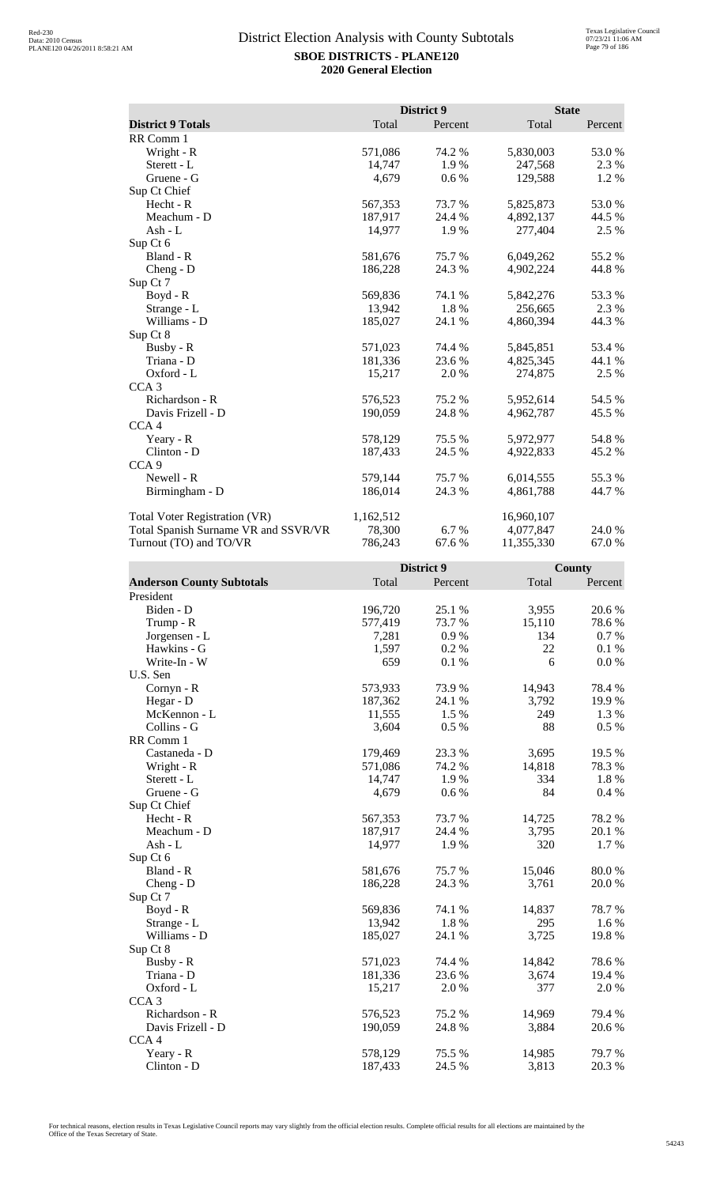|                                      |           | District 9 | <b>State</b> |         |
|--------------------------------------|-----------|------------|--------------|---------|
| <b>District 9 Totals</b>             | Total     | Percent    | Total        | Percent |
| RR Comm 1                            |           |            |              |         |
| Wright - R                           | 571,086   | 74.2 %     | 5,830,003    | 53.0%   |
| Sterett - L                          | 14,747    | 1.9%       | 247,568      | 2.3 %   |
| Gruene - G                           | 4,679     | 0.6 %      | 129,588      | 1.2%    |
| Sup Ct Chief                         |           |            |              |         |
| Hecht - R                            | 567,353   | 73.7%      | 5,825,873    | 53.0%   |
| Meachum - D                          | 187,917   | 24.4 %     | 4,892,137    | 44.5 %  |
| Ash - L                              | 14,977    | 1.9%       | 277,404      | 2.5 %   |
| Sup Ct 6                             |           |            |              |         |
| Bland - R                            | 581,676   | 75.7 %     | 6,049,262    | 55.2%   |
| $Cheng - D$                          | 186,228   | 24.3 %     | 4,902,224    | 44.8%   |
| Sup Ct 7                             |           |            |              |         |
| Boyd - R                             | 569,836   | 74.1 %     | 5,842,276    | 53.3 %  |
| Strange - L                          | 13,942    | 1.8%       | 256,665      | 2.3 %   |
| Williams - D                         | 185,027   | 24.1 %     | 4,860,394    | 44.3 %  |
| Sup Ct 8                             |           |            |              |         |
| Busby - R                            | 571,023   | 74.4 %     | 5,845,851    | 53.4 %  |
| Triana - D                           | 181,336   | 23.6 %     | 4,825,345    | 44.1 %  |
| Oxford - L                           | 15,217    | 2.0%       | 274,875      | 2.5 %   |
| CCA <sub>3</sub>                     |           |            |              |         |
| Richardson - R                       | 576,523   | 75.2 %     | 5,952,614    | 54.5 %  |
| Davis Frizell - D                    | 190,059   | 24.8%      | 4,962,787    | 45.5 %  |
| CCA <sub>4</sub>                     |           |            |              |         |
| Yeary - R                            | 578,129   | 75.5 %     | 5,972,977    | 54.8%   |
| Clinton - D                          | 187,433   | 24.5 %     | 4,922,833    | 45.2 %  |
| CCA <sub>9</sub>                     |           |            |              |         |
| Newell - R                           | 579,144   | 75.7 %     | 6,014,555    | 55.3%   |
| Birmingham - D                       | 186,014   | 24.3 %     | 4,861,788    | 44.7 %  |
| <b>Total Voter Registration (VR)</b> | 1,162,512 |            | 16,960,107   |         |
| Total Spanish Surname VR and SSVR/VR | 78,300    | 6.7 %      | 4,077,847    | 24.0 %  |
| Turnout (TO) and TO/VR               | 786,243   | 67.6 %     | 11,355,330   | 67.0%   |

|                                  |         | District 9 |        | County  |  |
|----------------------------------|---------|------------|--------|---------|--|
| <b>Anderson County Subtotals</b> | Total   | Percent    | Total  | Percent |  |
| President                        |         |            |        |         |  |
| Biden - D                        | 196,720 | 25.1 %     | 3,955  | 20.6%   |  |
| Trump - R                        | 577,419 | 73.7%      | 15,110 | 78.6%   |  |
| Jorgensen - L                    | 7,281   | 0.9%       | 134    | 0.7 %   |  |
| Hawkins - G                      | 1,597   | 0.2%       | 22     | 0.1 %   |  |
| Write-In - W                     | 659     | 0.1 %      | 6      | 0.0 %   |  |
| U.S. Sen                         |         |            |        |         |  |
| Cornyn - R                       | 573,933 | 73.9%      | 14,943 | 78.4%   |  |
| Hegar - D                        | 187,362 | 24.1 %     | 3,792  | 19.9%   |  |
| McKennon - L                     | 11,555  | 1.5 %      | 249    | 1.3 %   |  |
| Collins - G                      | 3,604   | 0.5%       | 88     | 0.5 %   |  |
| RR Comm 1                        |         |            |        |         |  |
| Castaneda - D                    | 179,469 | 23.3 %     | 3,695  | 19.5 %  |  |
| Wright - R                       | 571,086 | 74.2 %     | 14,818 | 78.3%   |  |
| Sterett - L                      | 14,747  | 1.9%       | 334    | 1.8%    |  |
| Gruene - G                       | 4,679   | 0.6 %      | 84     | 0.4%    |  |
| Sup Ct Chief                     |         |            |        |         |  |
| Hecht - R                        | 567,353 | 73.7%      | 14,725 | 78.2%   |  |
| Meachum - D                      | 187,917 | 24.4 %     | 3,795  | 20.1 %  |  |
| Ash - L                          | 14,977  | 1.9%       | 320    | 1.7 %   |  |
| Sup Ct 6                         |         |            |        |         |  |
| Bland - R                        | 581,676 | 75.7 %     | 15,046 | 80.0%   |  |
| $Cheng - D$                      | 186,228 | 24.3 %     | 3,761  | 20.0%   |  |
| Sup Ct 7                         |         |            |        |         |  |
| Boyd - R                         | 569,836 | 74.1 %     | 14,837 | 78.7%   |  |
| Strange - L                      | 13,942  | 1.8%       | 295    | 1.6 %   |  |
| Williams - D                     | 185,027 | 24.1 %     | 3,725  | 19.8%   |  |
| Sup Ct 8                         |         |            |        |         |  |
| Busby - R                        | 571,023 | 74.4 %     | 14,842 | 78.6%   |  |
| Triana - D                       | 181,336 | 23.6 %     | 3,674  | 19.4 %  |  |
| Oxford - L                       | 15,217  | 2.0 %      | 377    | 2.0%    |  |
| CCA <sub>3</sub>                 |         |            |        |         |  |
| Richardson - R                   | 576,523 | 75.2 %     | 14,969 | 79.4 %  |  |
| Davis Frizell - D                | 190,059 | 24.8 %     | 3,884  | 20.6 %  |  |
| CCA <sub>4</sub>                 |         |            |        |         |  |
| Yeary - R                        | 578,129 | 75.5 %     | 14,985 | 79.7%   |  |
| Clinton - D                      | 187,433 | 24.5 %     | 3,813  | 20.3 %  |  |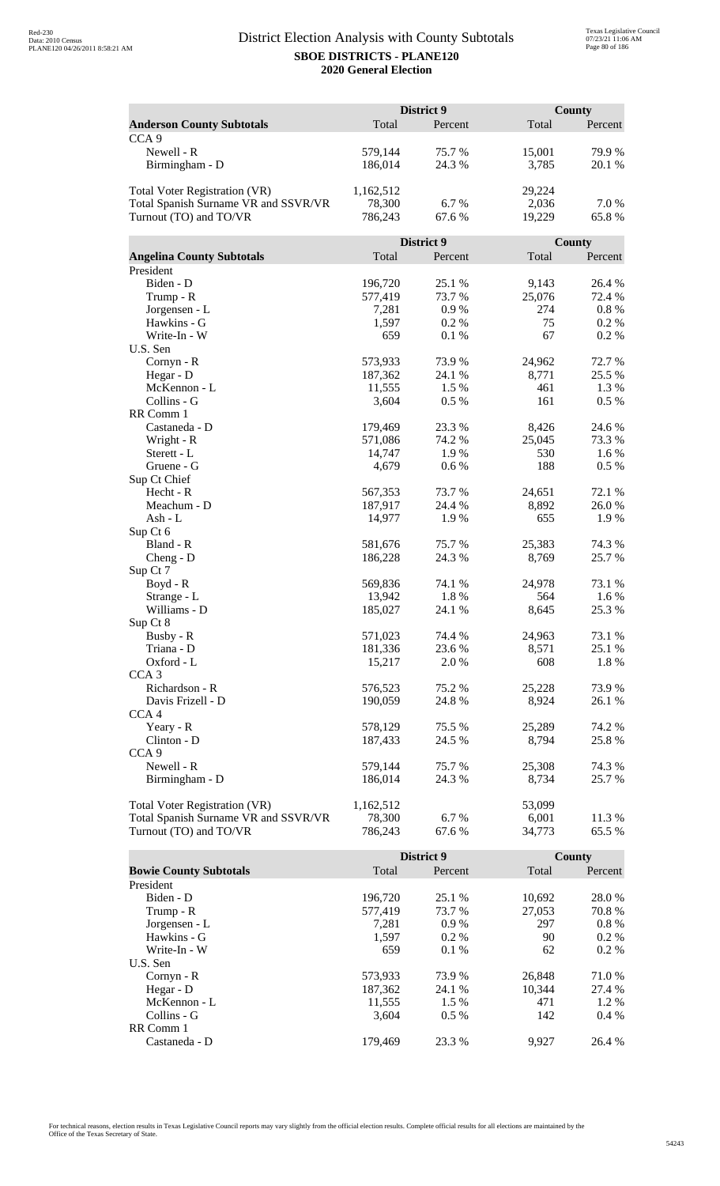|                                      | District 9         |                  |                 | <b>County</b>    |  |
|--------------------------------------|--------------------|------------------|-----------------|------------------|--|
| <b>Anderson County Subtotals</b>     | Total              | Percent          | Total           | Percent          |  |
| CCA <sub>9</sub>                     |                    |                  |                 |                  |  |
| Newell - R                           | 579,144            | 75.7 %           | 15,001          | 79.9%            |  |
| Birmingham - D                       | 186,014            | 24.3 %           | 3,785           | 20.1 %           |  |
|                                      |                    |                  |                 |                  |  |
| Total Voter Registration (VR)        | 1,162,512          |                  | 29,224          |                  |  |
| Total Spanish Surname VR and SSVR/VR | 78,300             | 6.7%             | 2,036           | 7.0 %            |  |
| Turnout (TO) and TO/VR               | 786,243            | 67.6 %           | 19,229          | 65.8%            |  |
|                                      |                    | District 9       |                 | County           |  |
| <b>Angelina County Subtotals</b>     | Total              | Percent          | Total           | Percent          |  |
| President                            |                    |                  |                 |                  |  |
| Biden - D                            | 196,720            | 25.1 %           | 9,143           | 26.4 %           |  |
| Trump - R                            | 577,419            | 73.7 %           | 25,076          | 72.4 %           |  |
| Jorgensen - L                        | 7,281              | 0.9%             | 274             | $0.8\ \%$        |  |
| Hawkins - G                          | 1,597              | 0.2 %            | 75              | $0.2\%$          |  |
| Write-In - W                         | 659                | 0.1 %            | 67              | 0.2%             |  |
| U.S. Sen                             |                    |                  |                 |                  |  |
| Cornyn - R                           | 573,933            | 73.9%            | 24,962          | 72.7 %           |  |
| Hegar - D                            | 187,362            | 24.1 %           | 8,771           | 25.5 %           |  |
| McKennon - L                         | 11,555             | 1.5 %            | 461             | 1.3 %            |  |
| Collins - G                          | 3,604              | 0.5 %            | 161             | 0.5 %            |  |
| RR Comm 1                            |                    |                  |                 |                  |  |
| Castaneda - D                        | 179,469            | 23.3 %           | 8,426           | 24.6 %           |  |
| Wright - R                           | 571,086            | 74.2 %           | 25,045          | 73.3 %           |  |
| Sterett - L                          | 14,747             | 1.9%             | 530             | 1.6 %            |  |
| Gruene - G                           | 4,679              | 0.6 %            | 188             | 0.5 %            |  |
| Sup Ct Chief                         |                    |                  |                 |                  |  |
| Hecht - R                            | 567,353            | 73.7 %           | 24,651          | 72.1 %           |  |
| Meachum - D                          | 187,917            | 24.4 %           | 8,892           | 26.0%            |  |
| $Ash - L$                            | 14,977             | 1.9%             | 655             | 1.9%             |  |
| Sup Ct 6                             |                    |                  |                 |                  |  |
| Bland - R                            | 581,676            | 75.7%            | 25,383          | 74.3 %           |  |
| $Cheng - D$                          | 186,228            | 24.3 %           | 8,769           | 25.7 %           |  |
| Sup Ct 7                             |                    |                  |                 |                  |  |
| Boyd - R                             | 569,836            | 74.1 %           | 24,978          | 73.1 %           |  |
| Strange - L                          | 13,942             | 1.8%             | 564             | 1.6 %            |  |
| Williams - D                         | 185,027            | 24.1 %           | 8,645           | 25.3 %           |  |
| Sup Ct 8                             |                    |                  |                 |                  |  |
| Busby - R<br>Triana - D              | 571,023<br>181,336 | 74.4 %<br>23.6 % | 24,963<br>8,571 | 73.1 %<br>25.1 % |  |
| Oxford - L                           | 15,217             | 2.0 %            | 608             | 1.8 %            |  |
| CCA <sub>3</sub>                     |                    |                  |                 |                  |  |
| Richardson - R                       | 576,523            | 75.2 %           | 25,228          | 73.9 %           |  |
| Davis Frizell - D                    | 190,059            | 24.8%            | 8,924           | 26.1 %           |  |
| CCA <sub>4</sub>                     |                    |                  |                 |                  |  |
| Yeary - R                            | 578,129            | 75.5 %           | 25,289          | 74.2 %           |  |
| Clinton - D                          | 187,433            | 24.5 %           | 8,794           | 25.8%            |  |
| CCA <sub>9</sub>                     |                    |                  |                 |                  |  |
| Newell - R                           | 579,144            | 75.7 %           | 25,308          | 74.3 %           |  |
| Birmingham - D                       | 186,014            | 24.3 %           | 8,734           | 25.7 %           |  |
|                                      |                    |                  |                 |                  |  |
| <b>Total Voter Registration (VR)</b> | 1,162,512          |                  | 53,099          |                  |  |
| Total Spanish Surname VR and SSVR/VR | 78,300             | 6.7%             | 6,001           | 11.3 %           |  |
| Turnout (TO) and TO/VR               | 786,243            | 67.6%            | 34,773          | 65.5 %           |  |

|                               |         | <b>District 9</b> |        | County   |
|-------------------------------|---------|-------------------|--------|----------|
| <b>Bowie County Subtotals</b> | Total   | Percent           | Total  | Percent  |
| President                     |         |                   |        |          |
| Biden - D                     | 196.720 | 25.1 %            | 10.692 | 28.0 %   |
| Trump - R                     | 577,419 | 73.7 %            | 27.053 | 70.8%    |
| Jorgensen - L                 | 7.281   | 0.9%              | 297    | $0.8 \%$ |
| Hawkins - G                   | 1,597   | $0.2\%$           | 90     | $0.2\%$  |
| Write-In - W                  | 659     | $0.1\%$           | 62     | $0.2\%$  |
| U.S. Sen                      |         |                   |        |          |
| Cornyn - R                    | 573,933 | 73.9 %            | 26,848 | 71.0 %   |
| Hegar - $D$                   | 187,362 | 24.1 %            | 10.344 | 27.4 %   |
| McKennon - L                  | 11,555  | 1.5 %             | 471    | $1.2\%$  |
| Collins - G                   | 3.604   | $0.5\%$           | 142    | $0.4\%$  |
| RR Comm 1                     |         |                   |        |          |
| Castaneda - D                 | 179.469 | 23.3 %            | 9.927  | 26.4 %   |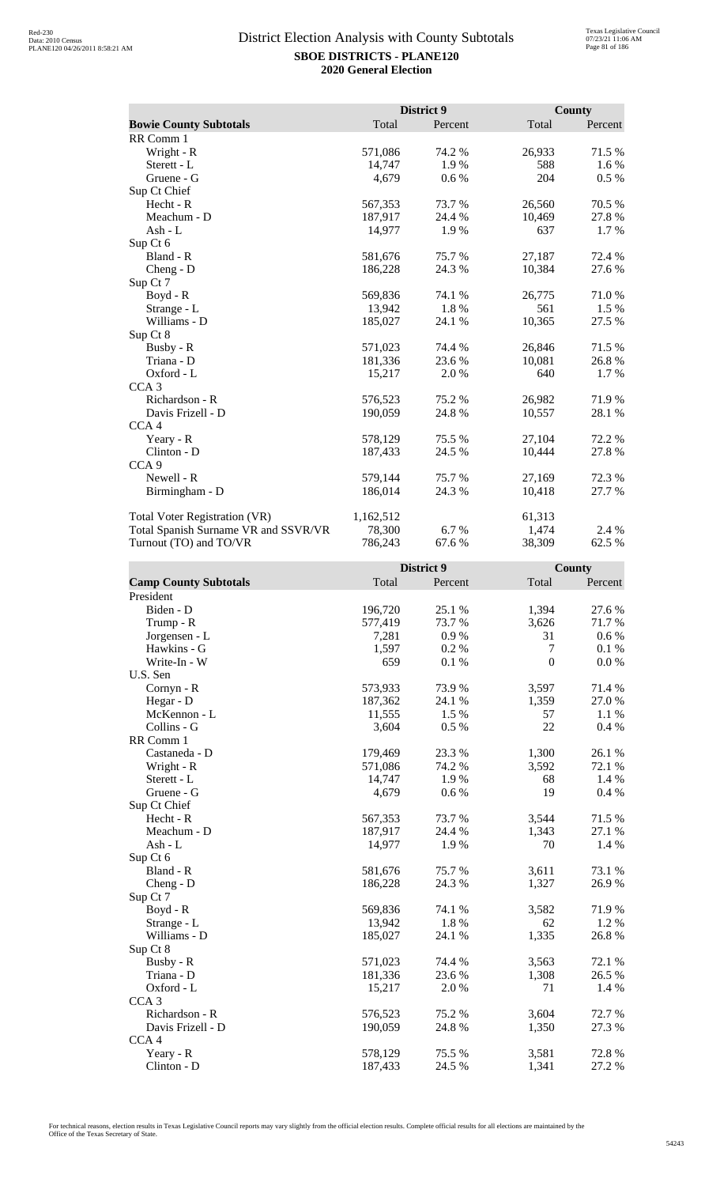|                                      |           | District 9 |        | County  |
|--------------------------------------|-----------|------------|--------|---------|
| <b>Bowie County Subtotals</b>        | Total     | Percent    | Total  | Percent |
| RR Comm 1                            |           |            |        |         |
| Wright - R                           | 571,086   | 74.2 %     | 26,933 | 71.5 %  |
| Sterett - L                          | 14,747    | 1.9%       | 588    | 1.6 %   |
| Gruene - G                           | 4,679     | 0.6 %      | 204    | $0.5\%$ |
| Sup Ct Chief                         |           |            |        |         |
| Hecht - R                            | 567,353   | 73.7 %     | 26,560 | 70.5 %  |
| Meachum - D                          | 187,917   | 24.4 %     | 10,469 | 27.8%   |
| Ash - L                              | 14,977    | 1.9%       | 637    | 1.7 %   |
| Sup Ct 6                             |           |            |        |         |
| Bland - R                            | 581,676   | 75.7 %     | 27,187 | 72.4 %  |
| Cheng - D                            | 186,228   | 24.3 %     | 10,384 | 27.6 %  |
| Sup Ct 7                             |           |            |        |         |
| $Boyd - R$                           | 569,836   | 74.1 %     | 26,775 | 71.0 %  |
| Strange - L                          | 13,942    | 1.8%       | 561    | 1.5 %   |
| Williams - D                         | 185,027   | 24.1 %     | 10,365 | 27.5 %  |
| Sup Ct 8                             |           |            |        |         |
| Busby - R                            | 571,023   | 74.4 %     | 26,846 | 71.5 %  |
| Triana - D                           | 181,336   | 23.6 %     | 10,081 | 26.8%   |
| Oxford - L                           | 15,217    | 2.0 %      | 640    | 1.7 %   |
| CCA <sub>3</sub>                     |           |            |        |         |
| Richardson - R                       | 576,523   | 75.2 %     | 26,982 | 71.9%   |
| Davis Frizell - D                    | 190,059   | 24.8%      | 10,557 | 28.1 %  |
| CCA <sub>4</sub>                     |           |            |        |         |
| Yeary - R                            | 578,129   | 75.5 %     | 27,104 | 72.2 %  |
| Clinton - D                          | 187,433   | 24.5 %     | 10,444 | 27.8%   |
| CCA <sub>9</sub>                     |           |            |        |         |
| Newell - R                           | 579,144   | 75.7 %     | 27,169 | 72.3 %  |
| Birmingham - D                       | 186,014   | 24.3 %     | 10,418 | 27.7 %  |
| <b>Total Voter Registration (VR)</b> | 1,162,512 |            | 61,313 |         |
| Total Spanish Surname VR and SSVR/VR | 78,300    | 6.7 %      | 1,474  | 2.4 %   |
| Turnout (TO) and TO/VR               | 786,243   | 67.6%      | 38,309 | 62.5 %  |

|                              |         | District 9 |                  | <b>County</b> |
|------------------------------|---------|------------|------------------|---------------|
| <b>Camp County Subtotals</b> | Total   | Percent    | Total            | Percent       |
| President                    |         |            |                  |               |
| Biden - D                    | 196,720 | 25.1 %     | 1,394            | 27.6 %        |
| Trump - R                    | 577,419 | 73.7%      | 3,626            | 71.7%         |
| Jorgensen - L                | 7,281   | 0.9%       | 31               | $0.6\%$       |
| Hawkins - G                  | 1,597   | 0.2%       | $\tau$           | 0.1%          |
| Write-In - W                 | 659     | 0.1%       | $\boldsymbol{0}$ | 0.0 %         |
| U.S. Sen                     |         |            |                  |               |
| Cornyn - R                   | 573,933 | 73.9%      | 3,597            | 71.4 %        |
| Hegar - D                    | 187,362 | 24.1 %     | 1,359            | 27.0%         |
| McKennon - L                 | 11,555  | 1.5 %      | 57               | 1.1 %         |
| Collins - G                  | 3,604   | 0.5%       | 22               | 0.4%          |
| RR Comm 1                    |         |            |                  |               |
| Castaneda - D                | 179,469 | 23.3 %     | 1,300            | 26.1 %        |
| Wright - R                   | 571,086 | 74.2 %     | 3,592            | 72.1 %        |
| Sterett - L                  | 14,747  | 1.9%       | 68               | 1.4 %         |
| Gruene - G                   | 4,679   | 0.6 %      | 19               | 0.4 %         |
| Sup Ct Chief                 |         |            |                  |               |
| Hecht - R                    | 567,353 | 73.7%      | 3,544            | 71.5 %        |
| Meachum - D                  | 187,917 | 24.4 %     | 1,343            | 27.1 %        |
| $Ash - L$                    | 14,977  | 1.9%       | 70               | 1.4 %         |
| Sup Ct 6                     |         |            |                  |               |
| Bland - R                    | 581,676 | 75.7 %     | 3,611            | 73.1 %        |
| $Cheng - D$                  | 186,228 | 24.3 %     | 1,327            | 26.9%         |
| Sup Ct 7                     |         |            |                  |               |
| $Boyd - R$                   | 569,836 | 74.1 %     | 3,582            | 71.9%         |
| Strange - L                  | 13,942  | 1.8%       | 62               | 1.2 %         |
| Williams - D                 | 185,027 | 24.1 %     | 1,335            | 26.8%         |
| Sup Ct 8                     |         |            |                  |               |
| Busby - R                    | 571,023 | 74.4 %     | 3,563            | 72.1 %        |
| Triana - D                   | 181,336 | 23.6%      | 1,308            | 26.5 %        |
| Oxford - L                   | 15,217  | 2.0%       | 71               | 1.4 %         |
| CCA <sub>3</sub>             |         |            |                  |               |
| Richardson - R               | 576,523 | 75.2 %     | 3,604            | 72.7%         |
| Davis Frizell - D            | 190,059 | 24.8%      | 1,350            | 27.3 %        |
| CCA <sub>4</sub>             |         |            |                  |               |
| Yeary - R                    | 578,129 | 75.5 %     | 3,581            | 72.8%         |
| Clinton - D                  | 187,433 | 24.5 %     | 1,341            | 27.2 %        |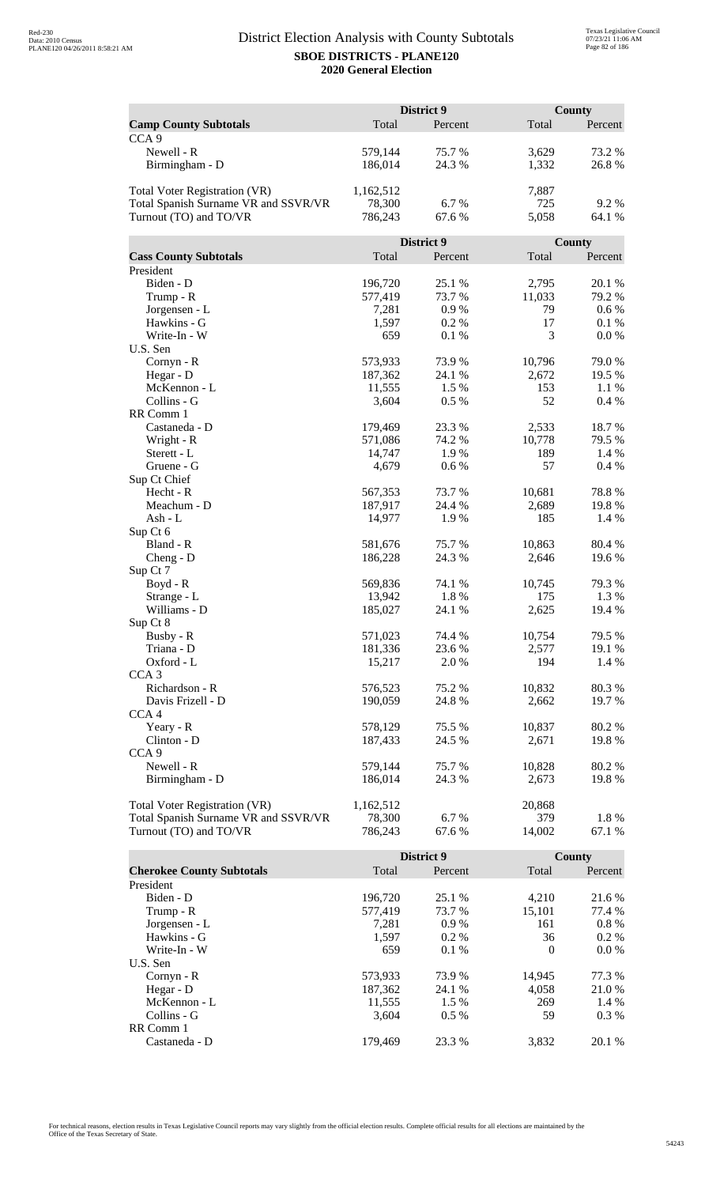|                                      | District 9 |            |        | <b>County</b> |  |
|--------------------------------------|------------|------------|--------|---------------|--|
| <b>Camp County Subtotals</b>         | Total      | Percent    | Total  | Percent       |  |
| CCA <sub>9</sub>                     |            |            |        |               |  |
| Newell - R                           | 579,144    | 75.7 %     | 3,629  | 73.2 %        |  |
| Birmingham - D                       | 186,014    | 24.3 %     | 1,332  | 26.8%         |  |
|                                      |            |            |        |               |  |
| <b>Total Voter Registration (VR)</b> | 1,162,512  |            | 7,887  |               |  |
| Total Spanish Surname VR and SSVR/VR | 78,300     | 6.7%       | 725    | 9.2%          |  |
| Turnout (TO) and TO/VR               | 786,243    | 67.6%      | 5,058  | 64.1 %        |  |
|                                      |            |            |        |               |  |
|                                      |            | District 9 |        | County        |  |
| <b>Cass County Subtotals</b>         | Total      | Percent    | Total  | Percent       |  |
| President                            |            |            |        |               |  |
| Biden - D                            | 196,720    | 25.1 %     | 2,795  | 20.1 %        |  |
| Trump - R                            | 577,419    | 73.7 %     | 11,033 | 79.2 %        |  |
|                                      |            | 0.9%       | 79     | 0.6 %         |  |
| Jorgensen - L                        | 7,281      |            |        |               |  |
| Hawkins - G                          | 1,597      | 0.2%       | 17     | 0.1%          |  |
| Write-In - W                         | 659        | 0.1%       | 3      | 0.0 %         |  |
| U.S. Sen                             |            |            |        |               |  |
| Cornyn - R                           | 573,933    | 73.9%      | 10,796 | 79.0%         |  |
| Hegar - D                            | 187,362    | 24.1 %     | 2,672  | 19.5 %        |  |
| McKennon - L                         | 11,555     | 1.5 %      | 153    | 1.1 %         |  |
| Collins - G                          | 3,604      | 0.5%       | 52     | 0.4%          |  |
| RR Comm 1                            |            |            |        |               |  |
| Castaneda - D                        | 179,469    | 23.3 %     | 2,533  | 18.7%         |  |
| Wright - R                           | 571,086    | 74.2 %     | 10,778 | 79.5 %        |  |
| Sterett - L                          | 14,747     | 1.9%       | 189    | 1.4 %         |  |
| Gruene - G                           | 4,679      | 0.6 %      | 57     | 0.4%          |  |
| Sup Ct Chief                         |            |            |        |               |  |
| Hecht - R                            | 567,353    | 73.7 %     | 10,681 | 78.8%         |  |
| Meachum - D                          | 187,917    | 24.4 %     | 2,689  | 19.8%         |  |
| Ash - L                              | 14,977     | 1.9%       | 185    | 1.4 %         |  |
| Sup Ct 6                             |            |            |        |               |  |
| Bland - R                            | 581,676    | 75.7%      | 10,863 | 80.4%         |  |
| $Cheng - D$                          | 186,228    | 24.3 %     | 2,646  | 19.6%         |  |
| Sup Ct 7                             |            |            |        |               |  |
| $Boyd - R$                           | 569,836    | 74.1 %     | 10,745 | 79.3 %        |  |
| Strange - L                          | 13,942     | 1.8%       | 175    | 1.3%          |  |
| Williams - D                         | 185,027    | 24.1 %     | 2,625  | 19.4 %        |  |
| Sup Ct 8                             |            |            |        |               |  |
| Busby - R                            | 571,023    | 74.4 %     | 10,754 | 79.5 %        |  |
| Triana - D                           | 181,336    | 23.6 %     | 2,577  | 19.1 %        |  |
| Oxford - L                           | 15,217     | 2.0 %      | 194    | 1.4 %         |  |
| CCA <sub>3</sub>                     |            |            |        |               |  |
| Richardson - R                       | 576,523    | 75.2 %     | 10,832 | 80.3%         |  |
| Davis Frizell - D                    | 190,059    | 24.8%      | 2,662  | 19.7 %        |  |
| CCA <sub>4</sub>                     |            |            |        |               |  |
|                                      | 578,129    | 75.5 %     | 10,837 |               |  |
| Yeary - R                            |            |            |        | 80.2%         |  |
| Clinton - D                          | 187,433    | 24.5 %     | 2,671  | 19.8%         |  |
| CCA <sub>9</sub>                     |            |            |        |               |  |
| Newell - R                           | 579,144    | 75.7%      | 10,828 | 80.2%         |  |
| Birmingham - D                       | 186,014    | 24.3 %     | 2,673  | 19.8%         |  |
|                                      |            |            |        |               |  |
| <b>Total Voter Registration (VR)</b> | 1,162,512  |            | 20,868 |               |  |
| Total Spanish Surname VR and SSVR/VR | 78,300     | 6.7%       | 379    | 1.8 %         |  |
| Turnout (TO) and TO/VR               | 786,243    | 67.6%      | 14,002 | 67.1 %        |  |

|                                  |         | District 9 |          | County   |
|----------------------------------|---------|------------|----------|----------|
| <b>Cherokee County Subtotals</b> | Total   | Percent    | Total    | Percent  |
| President                        |         |            |          |          |
| Biden - D                        | 196,720 | 25.1 %     | 4.210    | 21.6 %   |
| Trump - R                        | 577,419 | 73.7 %     | 15.101   | 77.4 %   |
| Jorgensen - L                    | 7.281   | 0.9%       | 161      | $0.8 \%$ |
| Hawkins - G                      | 1,597   | $0.2\%$    | 36       | $0.2\%$  |
| Write-In - W                     | 659     | $0.1\%$    | $\Omega$ | $0.0\%$  |
| U.S. Sen                         |         |            |          |          |
| Cornyn - R                       | 573,933 | 73.9 %     | 14.945   | 77.3 %   |
| Hegar - D                        | 187,362 | 24.1 %     | 4.058    | 21.0 %   |
| McKennon - L                     | 11,555  | 1.5 %      | 269      | 1.4 %    |
| Collins - G                      | 3.604   | $0.5\%$    | 59       | $0.3\%$  |
| RR Comm 1                        |         |            |          |          |
| Castaneda - D                    | 179.469 | 23.3 %     | 3.832    | 20.1 %   |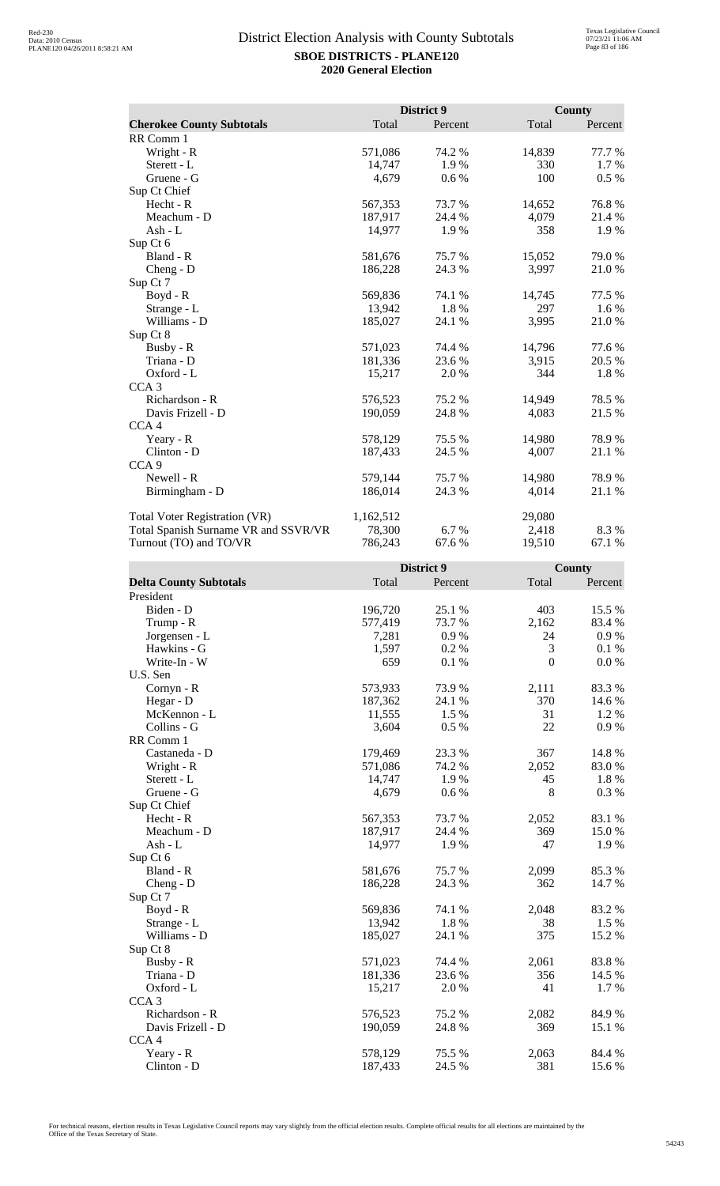|                                      |           | District 9 |        | County  |
|--------------------------------------|-----------|------------|--------|---------|
| <b>Cherokee County Subtotals</b>     | Total     | Percent    | Total  | Percent |
| RR Comm 1                            |           |            |        |         |
| Wright - R                           | 571,086   | 74.2 %     | 14,839 | 77.7 %  |
| Sterett - L                          | 14,747    | 1.9%       | 330    | 1.7 %   |
| Gruene - G                           | 4,679     | 0.6 %      | 100    | 0.5 %   |
| Sup Ct Chief                         |           |            |        |         |
| Hecht - R                            | 567,353   | 73.7%      | 14,652 | 76.8%   |
| Meachum - D                          | 187,917   | 24.4 %     | 4,079  | 21.4%   |
| Ash - L                              | 14,977    | 1.9%       | 358    | 1.9%    |
| Sup Ct 6                             |           |            |        |         |
| Bland - R                            | 581,676   | 75.7%      | 15,052 | 79.0%   |
| $Cheng - D$                          | 186,228   | 24.3 %     | 3,997  | 21.0%   |
| Sup Ct 7                             |           |            |        |         |
| $Boyd - R$                           | 569,836   | 74.1 %     | 14,745 | 77.5 %  |
| Strange - L                          | 13,942    | 1.8%       | 297    | 1.6 %   |
| Williams - D                         | 185,027   | 24.1 %     | 3,995  | 21.0%   |
| Sup Ct 8                             |           |            |        |         |
| Busby - R                            | 571,023   | 74.4 %     | 14,796 | 77.6 %  |
| Triana - D                           | 181,336   | 23.6 %     | 3,915  | 20.5 %  |
| Oxford - L                           | 15,217    | 2.0 %      | 344    | 1.8%    |
| CCA <sub>3</sub>                     |           |            |        |         |
| Richardson - R                       | 576,523   | 75.2 %     | 14,949 | 78.5 %  |
| Davis Frizell - D                    | 190,059   | 24.8%      | 4,083  | 21.5 %  |
| CCA <sub>4</sub>                     |           |            |        |         |
| Yeary - R                            | 578,129   | 75.5 %     | 14,980 | 78.9%   |
| Clinton - D                          | 187,433   | 24.5 %     | 4,007  | 21.1 %  |
| CCA <sub>9</sub>                     |           |            |        |         |
| Newell - R                           | 579,144   | 75.7%      | 14,980 | 78.9%   |
| Birmingham - D                       | 186,014   | 24.3 %     | 4,014  | 21.1 %  |
| <b>Total Voter Registration (VR)</b> | 1,162,512 |            | 29,080 |         |
| Total Spanish Surname VR and SSVR/VR | 78,300    | 6.7 %      | 2,418  | 8.3%    |
| Turnout (TO) and TO/VR               | 786,243   | 67.6 %     | 19,510 | 67.1 %  |

|                               |         | District 9 |                  | <b>County</b> |
|-------------------------------|---------|------------|------------------|---------------|
| <b>Delta County Subtotals</b> | Total   | Percent    | Total            | Percent       |
| President                     |         |            |                  |               |
| Biden - D                     | 196,720 | 25.1 %     | 403              | 15.5 %        |
| Trump - R                     | 577,419 | 73.7%      | 2,162            | 83.4%         |
| Jorgensen - L                 | 7,281   | 0.9%       | 24               | 0.9 %         |
| Hawkins - G                   | 1,597   | 0.2 %      | 3                | 0.1%          |
| Write-In - W                  | 659     | 0.1 %      | $\boldsymbol{0}$ | 0.0 %         |
| U.S. Sen                      |         |            |                  |               |
| Cornyn - R                    | 573,933 | 73.9%      | 2,111            | 83.3%         |
| Hegar - D                     | 187,362 | 24.1 %     | 370              | 14.6 %        |
| McKennon - L                  | 11,555  | 1.5 %      | 31               | 1.2%          |
| Collins - G                   | 3,604   | 0.5%       | 22               | 0.9%          |
| RR Comm 1                     |         |            |                  |               |
| Castaneda - D                 | 179,469 | 23.3 %     | 367              | 14.8 %        |
| Wright - R                    | 571,086 | 74.2 %     | 2,052            | 83.0%         |
| Sterett - L                   | 14,747  | 1.9%       | 45               | 1.8%          |
| Gruene - G                    | 4,679   | 0.6 %      | $8\,$            | 0.3 %         |
| Sup Ct Chief                  |         |            |                  |               |
| Hecht - R                     | 567,353 | 73.7%      | 2,052            | 83.1 %        |
| Meachum - D                   | 187,917 | 24.4 %     | 369              | 15.0%         |
| Ash - L                       | 14,977  | 1.9%       | 47               | 1.9%          |
| Sup Ct 6                      |         |            |                  |               |
| Bland - R                     | 581,676 | 75.7 %     | 2,099            | 85.3%         |
| $Cheng - D$                   | 186,228 | 24.3 %     | 362              | 14.7 %        |
| Sup Ct 7                      |         |            |                  |               |
| Boyd - R                      | 569,836 | 74.1 %     | 2,048            | 83.2%         |
| Strange - L                   | 13,942  | 1.8%       | 38               | 1.5 %         |
| Williams - D                  | 185,027 | 24.1 %     | 375              | 15.2 %        |
| Sup Ct 8                      |         |            |                  |               |
| Busby - R                     | 571,023 | 74.4 %     | 2,061            | 83.8%         |
| Triana - D                    | 181,336 | 23.6%      | 356              | 14.5 %        |
| Oxford - L                    | 15,217  | 2.0%       | 41               | 1.7%          |
| CCA <sub>3</sub>              |         |            |                  |               |
| Richardson - R                | 576,523 | 75.2 %     | 2,082            | 84.9%         |
| Davis Frizell - D             | 190,059 | 24.8 %     | 369              | 15.1 %        |
| CCA <sub>4</sub>              |         |            |                  |               |
| Yeary - R                     | 578,129 | 75.5 %     | 2,063            | 84.4 %        |
| Clinton - D                   | 187,433 | 24.5 %     | 381              | 15.6%         |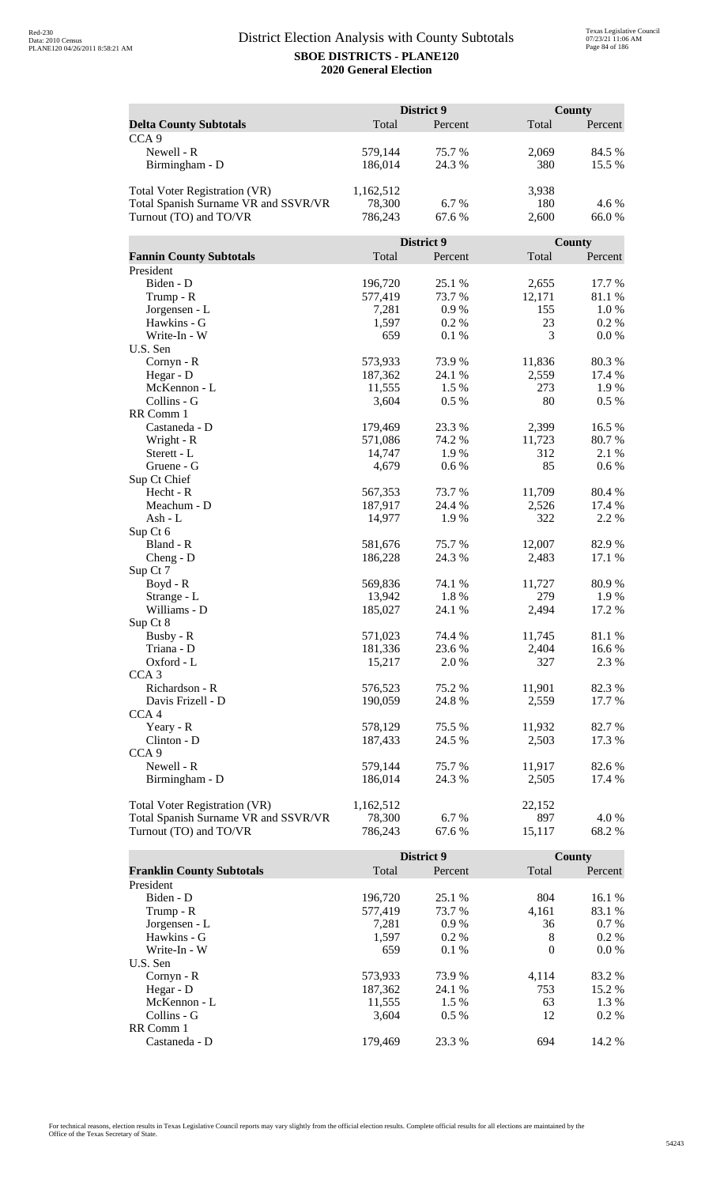|                                      | District 9 |            |        | <b>County</b> |  |
|--------------------------------------|------------|------------|--------|---------------|--|
| <b>Delta County Subtotals</b>        | Total      | Percent    | Total  | Percent       |  |
| CCA <sub>9</sub>                     |            |            |        |               |  |
| Newell - R                           | 579,144    | 75.7%      | 2,069  | 84.5 %        |  |
| Birmingham - D                       | 186,014    | 24.3 %     | 380    | 15.5 %        |  |
|                                      |            |            |        |               |  |
| Total Voter Registration (VR)        | 1,162,512  |            | 3,938  |               |  |
| Total Spanish Surname VR and SSVR/VR | 78,300     | 6.7 %      | 180    | 4.6 %         |  |
| Turnout (TO) and TO/VR               | 786,243    | 67.6%      | 2,600  | 66.0%         |  |
|                                      |            |            |        |               |  |
|                                      |            | District 9 |        | County        |  |
| <b>Fannin County Subtotals</b>       | Total      | Percent    | Total  | Percent       |  |
| President                            |            |            |        |               |  |
| Biden - D                            | 196,720    | 25.1 %     | 2,655  | 17.7 %        |  |
|                                      | 577,419    | 73.7 %     | 12,171 | 81.1 %        |  |
| Trump - R<br>Jorgensen - L           |            | 0.9%       | 155    | 1.0%          |  |
| Hawkins - G                          | 7,281      |            |        |               |  |
|                                      | 1,597      | 0.2%       | 23     | 0.2 %         |  |
| Write-In - W                         | 659        | 0.1%       | 3      | 0.0 %         |  |
| U.S. Sen                             |            |            |        |               |  |
| Cornyn - R                           | 573,933    | 73.9%      | 11,836 | 80.3%         |  |
| Hegar - D                            | 187,362    | 24.1 %     | 2,559  | 17.4 %        |  |
| McKennon - L                         | 11,555     | 1.5 %      | 273    | 1.9%          |  |
| Collins - G                          | 3,604      | 0.5 %      | 80     | 0.5%          |  |
| RR Comm 1                            |            |            |        |               |  |
| Castaneda - D                        | 179,469    | 23.3 %     | 2,399  | 16.5 %        |  |
| Wright - R                           | 571,086    | 74.2 %     | 11,723 | 80.7%         |  |
| Sterett - L                          | 14,747     | 1.9%       | 312    | 2.1 %         |  |
| Gruene - G                           | 4,679      | 0.6 %      | 85     | 0.6 %         |  |
| Sup Ct Chief                         |            |            |        |               |  |
| Hecht - R                            | 567,353    | 73.7 %     | 11,709 | 80.4%         |  |
| Meachum - D                          | 187,917    | 24.4 %     | 2,526  | 17.4 %        |  |
| Ash - L                              | 14,977     | 1.9%       | 322    | 2.2 %         |  |
| Sup Ct 6                             |            |            |        |               |  |
| Bland - R                            | 581,676    | 75.7%      | 12,007 | 82.9%         |  |
| $Cheng - D$                          | 186,228    | 24.3 %     | 2,483  | 17.1 %        |  |
| Sup Ct 7                             |            |            |        |               |  |
| Boyd - R                             | 569,836    | 74.1 %     | 11,727 | 80.9%         |  |
| Strange - L                          | 13,942     | 1.8%       | 279    | 1.9%          |  |
| Williams - D                         | 185,027    | 24.1 %     | 2,494  | 17.2 %        |  |
| Sup Ct 8                             |            |            |        |               |  |
| Busby - R                            | 571,023    | 74.4 %     | 11,745 | 81.1 %        |  |
| Triana - D                           | 181,336    | 23.6 %     | 2,404  | 16.6%         |  |
| Oxford - L                           | 15,217     | 2.0 %      | 327    | 2.3 %         |  |
| CCA <sub>3</sub>                     |            |            |        |               |  |
| Richardson - R                       | 576,523    | 75.2 %     | 11,901 | 82.3 %        |  |
| Davis Frizell - D                    | 190,059    | 24.8 %     | 2,559  | 17.7 %        |  |
| CCA <sub>4</sub>                     |            |            |        |               |  |
| Yeary - R                            | 578,129    | 75.5 %     | 11,932 | 82.7 %        |  |
| Clinton - D                          | 187,433    | 24.5 %     | 2,503  | 17.3 %        |  |
| CCA <sub>9</sub>                     |            |            |        |               |  |
| Newell - R                           | 579,144    | 75.7 %     | 11,917 | 82.6 %        |  |
| Birmingham - D                       | 186,014    | 24.3 %     | 2,505  | 17.4 %        |  |
|                                      |            |            |        |               |  |
| Total Voter Registration (VR)        | 1,162,512  |            | 22,152 |               |  |
| Total Spanish Surname VR and SSVR/VR | 78,300     | 6.7 %      | 897    | 4.0 %         |  |
| Turnout (TO) and TO/VR               | 786,243    | 67.6%      | 15,117 | 68.2%         |  |

|                                  |         | District 9 |          | County  |
|----------------------------------|---------|------------|----------|---------|
| <b>Franklin County Subtotals</b> | Total   | Percent    | Total    | Percent |
| President                        |         |            |          |         |
| Biden - D                        | 196.720 | 25.1 %     | 804      | 16.1 %  |
| Trump - R                        | 577,419 | 73.7 %     | 4,161    | 83.1 %  |
| Jorgensen - L                    | 7.281   | 0.9%       | 36       | $0.7\%$ |
| Hawkins - G                      | 1,597   | $0.2\%$    | 8        | $0.2\%$ |
| Write-In - W                     | 659     | $0.1\%$    | $\theta$ | $0.0\%$ |
| U.S. Sen                         |         |            |          |         |
| Cornyn - R                       | 573,933 | 73.9 %     | 4.114    | 83.2 %  |
| Hegar - $D$                      | 187.362 | 24.1 %     | 753      | 15.2 %  |
| McKennon - L                     | 11,555  | 1.5 %      | 63       | 1.3 %   |
| Collins - G                      | 3.604   | $0.5\%$    | 12       | $0.2\%$ |
| RR Comm 1                        |         |            |          |         |
| Castaneda - D                    | 179.469 | 23.3 %     | 694      | 14.2 %  |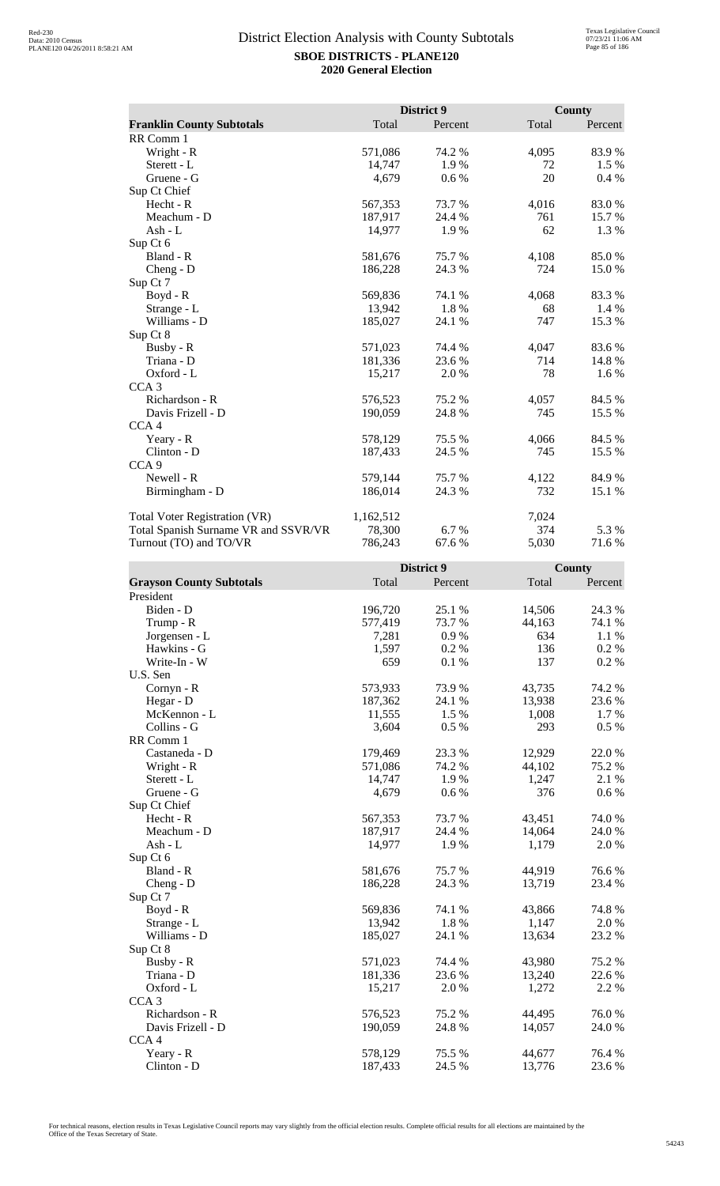|                                      |           | District 9 |       | County  |
|--------------------------------------|-----------|------------|-------|---------|
| <b>Franklin County Subtotals</b>     | Total     | Percent    | Total | Percent |
| RR Comm 1                            |           |            |       |         |
| Wright - R                           | 571,086   | 74.2 %     | 4,095 | 83.9%   |
| Sterett - L                          | 14,747    | 1.9%       | 72    | 1.5 %   |
| Gruene - G                           | 4,679     | 0.6 %      | 20    | 0.4%    |
| Sup Ct Chief                         |           |            |       |         |
| $Hecht - R$                          | 567,353   | 73.7%      | 4,016 | 83.0%   |
| Meachum - D                          | 187,917   | 24.4 %     | 761   | 15.7 %  |
| Ash - L                              | 14,977    | 1.9%       | 62    | 1.3 %   |
| Sup Ct 6                             |           |            |       |         |
| Bland - R                            | 581,676   | 75.7 %     | 4,108 | 85.0%   |
| $Cheng - D$                          | 186,228   | 24.3 %     | 724   | 15.0 %  |
| Sup Ct 7                             |           |            |       |         |
| Boyd - R                             | 569,836   | 74.1 %     | 4,068 | 83.3 %  |
| Strange - L                          | 13,942    | 1.8%       | 68    | $1.4\%$ |
| Williams - D                         | 185,027   | 24.1 %     | 747   | 15.3 %  |
| Sup Ct 8                             |           |            |       |         |
| Busby - R                            | 571,023   | 74.4 %     | 4,047 | 83.6%   |
| Triana - D                           | 181,336   | 23.6 %     | 714   | 14.8%   |
| Oxford - L                           | 15,217    | 2.0%       | 78    | 1.6 %   |
| CCA <sub>3</sub>                     |           |            |       |         |
| Richardson - R                       | 576,523   | 75.2 %     | 4,057 | 84.5 %  |
| Davis Frizell - D                    | 190,059   | 24.8%      | 745   | 15.5 %  |
| CCA <sub>4</sub>                     |           |            |       |         |
| Yeary - R                            | 578,129   | 75.5 %     | 4,066 | 84.5 %  |
| Clinton - D                          | 187,433   | 24.5 %     | 745   | 15.5 %  |
| CCA <sub>9</sub>                     |           |            |       |         |
| Newell - R                           | 579,144   | 75.7 %     | 4,122 | 84.9%   |
| Birmingham - D                       | 186,014   | 24.3 %     | 732   | 15.1 %  |
| <b>Total Voter Registration (VR)</b> | 1,162,512 |            | 7,024 |         |
| Total Spanish Surname VR and SSVR/VR | 78,300    | 6.7 %      | 374   | 5.3 %   |
| Turnout (TO) and TO/VR               | 786,243   | 67.6 %     | 5,030 | 71.6 %  |

|                                 | District 9 |         |        | <b>County</b> |  |
|---------------------------------|------------|---------|--------|---------------|--|
| <b>Grayson County Subtotals</b> | Total      | Percent | Total  | Percent       |  |
| President                       |            |         |        |               |  |
| Biden - D                       | 196,720    | 25.1 %  | 14,506 | 24.3 %        |  |
| Trump - R                       | 577,419    | 73.7 %  | 44,163 | 74.1 %        |  |
| Jorgensen - L                   | 7,281      | 0.9%    | 634    | 1.1 %         |  |
| Hawkins - G                     | 1,597      | 0.2%    | 136    | 0.2 %         |  |
| Write-In - W                    | 659        | 0.1 %   | 137    | 0.2%          |  |
| U.S. Sen                        |            |         |        |               |  |
| Cornyn - R                      | 573,933    | 73.9%   | 43,735 | 74.2 %        |  |
| Hegar - D                       | 187,362    | 24.1 %  | 13,938 | 23.6%         |  |
| McKennon - L                    | 11,555     | 1.5 %   | 1,008  | 1.7 %         |  |
| Collins - G                     | 3,604      | 0.5 %   | 293    | 0.5%          |  |
| RR Comm 1                       |            |         |        |               |  |
| Castaneda - D                   | 179,469    | 23.3 %  | 12,929 | 22.0%         |  |
| Wright - R                      | 571,086    | 74.2 %  | 44,102 | 75.2 %        |  |
| Sterett - L                     | 14,747     | 1.9%    | 1,247  | 2.1 %         |  |
| Gruene - G                      | 4,679      | 0.6 %   | 376    | 0.6 %         |  |
| Sup Ct Chief                    |            |         |        |               |  |
| Hecht - R                       | 567,353    | 73.7%   | 43,451 | 74.0%         |  |
| Meachum - D                     | 187,917    | 24.4 %  | 14,064 | 24.0 %        |  |
| Ash - L                         | 14,977     | 1.9%    | 1,179  | 2.0%          |  |
| Sup Ct 6                        |            |         |        |               |  |
| Bland - R                       | 581,676    | 75.7 %  | 44,919 | 76.6 %        |  |
| $Cheng - D$                     | 186,228    | 24.3 %  | 13,719 | 23.4 %        |  |
| Sup Ct 7                        |            |         |        |               |  |
| Boyd - R                        | 569,836    | 74.1 %  | 43,866 | 74.8%         |  |
| Strange - L                     | 13,942     | 1.8%    | 1,147  | 2.0 %         |  |
| Williams - D                    | 185,027    | 24.1 %  | 13,634 | 23.2 %        |  |
| Sup Ct 8                        |            |         |        |               |  |
| Busby - R                       | 571,023    | 74.4 %  | 43,980 | 75.2 %        |  |
| Triana - D                      | 181,336    | 23.6 %  | 13,240 | 22.6 %        |  |
| Oxford - L                      | 15,217     | 2.0 %   | 1,272  | 2.2 %         |  |
| CCA <sub>3</sub>                |            |         |        |               |  |
| Richardson - R                  | 576,523    | 75.2 %  | 44,495 | 76.0%         |  |
| Davis Frizell - D               | 190,059    | 24.8%   | 14,057 | 24.0 %        |  |
| CCA <sub>4</sub>                |            |         |        |               |  |
| Yeary - R                       | 578,129    | 75.5 %  | 44,677 | 76.4%         |  |
| Clinton - D                     | 187,433    | 24.5 %  | 13,776 | 23.6%         |  |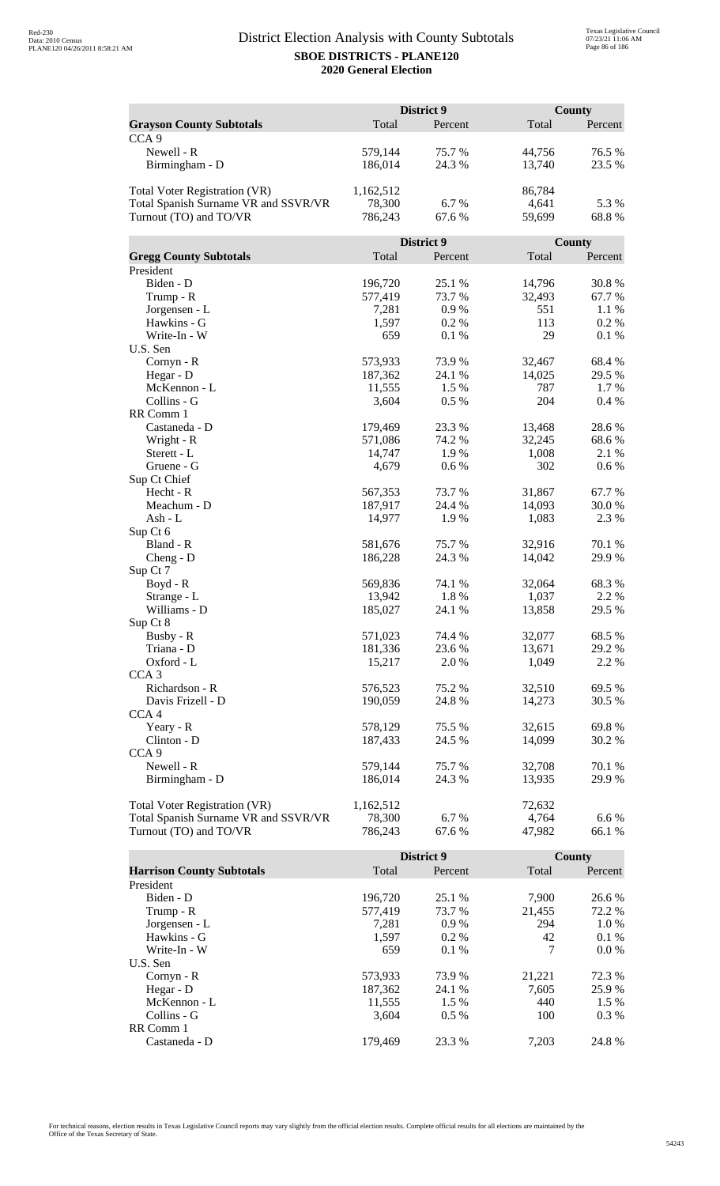|                                      | District 9        |                 |               | County          |  |
|--------------------------------------|-------------------|-----------------|---------------|-----------------|--|
| <b>Grayson County Subtotals</b>      | Total             | Percent         | Total         | Percent         |  |
| CCA <sub>9</sub>                     |                   |                 |               |                 |  |
| Newell - R                           | 579,144           | 75.7%           | 44,756        | 76.5 %          |  |
| Birmingham - D                       | 186,014           | 24.3 %          | 13,740        | 23.5 %          |  |
|                                      |                   |                 |               |                 |  |
| Total Voter Registration (VR)        | 1,162,512         |                 | 86,784        |                 |  |
| Total Spanish Surname VR and SSVR/VR | 78,300            | 6.7%            | 4,641         | 5.3 %           |  |
| Turnout (TO) and TO/VR               | 786,243           | 67.6 %          | 59,699        | 68.8%           |  |
|                                      |                   |                 |               |                 |  |
|                                      |                   | District 9      |               | County          |  |
| <b>Gregg County Subtotals</b>        | Total             | Percent         | Total         | Percent         |  |
| President                            |                   |                 |               |                 |  |
| Biden - D                            | 196,720           | 25.1 %          | 14,796        | 30.8%           |  |
| Trump - R                            | 577,419           | 73.7 %          | 32,493        | 67.7%           |  |
| Jorgensen - L                        | 7,281             | 0.9%            | 551           | 1.1 %           |  |
| Hawkins - G                          | 1,597             | 0.2%            | 113           | 0.2 %           |  |
| Write-In - W                         | 659               | 0.1 %           | 29            | 0.1%            |  |
| U.S. Sen                             |                   |                 |               |                 |  |
| Cornyn - R                           | 573,933           | 73.9%           | 32,467        | 68.4%           |  |
| Hegar - D<br>McKennon - L            | 187,362<br>11,555 | 24.1 %<br>1.5 % | 14,025<br>787 | 29.5 %<br>1.7 % |  |
| Collins - G                          |                   | 0.5 %           | 204           | 0.4%            |  |
| RR Comm 1                            | 3,604             |                 |               |                 |  |
| Castaneda - D                        | 179,469           | 23.3 %          | 13,468        | 28.6%           |  |
| Wright - R                           | 571,086           | 74.2 %          | 32,245        | 68.6%           |  |
| Sterett - L                          | 14,747            | 1.9%            | 1,008         | 2.1 %           |  |
| Gruene - G                           | 4,679             | 0.6 %           | 302           | 0.6 %           |  |
| Sup Ct Chief                         |                   |                 |               |                 |  |
| Hecht - R                            | 567,353           | 73.7 %          | 31,867        | 67.7%           |  |
| Meachum - D                          | 187,917           | 24.4 %          | 14,093        | 30.0%           |  |
| Ash - L                              | 14,977            | 1.9%            | 1,083         | 2.3 %           |  |
| Sup Ct 6                             |                   |                 |               |                 |  |
| Bland - R                            | 581,676           | 75.7%           | 32,916        | 70.1 %          |  |
| $Cheng - D$                          | 186,228           | 24.3 %          | 14,042        | 29.9%           |  |
| Sup Ct 7                             |                   |                 |               |                 |  |
| Boyd - R                             | 569,836           | 74.1 %          | 32,064        | 68.3%           |  |
| Strange - L                          | 13,942            | 1.8%            | 1,037         | 2.2 %           |  |
| Williams - D                         | 185,027           | 24.1 %          | 13,858        | 29.5 %          |  |
| Sup Ct 8                             |                   |                 |               |                 |  |
| Busby - R                            | 571,023           | 74.4 %          | 32,077        | 68.5%           |  |
| Triana - D                           | 181,336           | 23.6%           | 13,671        | 29.2 %          |  |
| Oxford - L                           | 15,217            | 2.0 %           | 1,049         | 2.2 %           |  |
| CCA <sub>3</sub>                     |                   |                 |               |                 |  |
| Richardson - R                       | 576,523           | 75.2 %          | 32,510        | 69.5 %          |  |
| Davis Frizell - D                    | 190,059           | 24.8%           | 14,273        | 30.5 %          |  |
| CCA <sub>4</sub>                     |                   |                 |               |                 |  |
| Yeary - R                            | 578,129           | 75.5 %          | 32,615        | 69.8%           |  |
| Clinton - D                          | 187,433           | 24.5 %          | 14,099        | 30.2 %          |  |
| CCA <sub>9</sub>                     |                   |                 |               |                 |  |
| Newell - R                           | 579,144           | 75.7 %          | 32,708        | 70.1 %          |  |
| Birmingham - D                       | 186,014           | 24.3 %          | 13,935        | 29.9 %          |  |
|                                      |                   |                 |               |                 |  |
| Total Voter Registration (VR)        | 1,162,512         |                 | 72,632        |                 |  |
| Total Spanish Surname VR and SSVR/VR | 78,300            | 6.7%            | 4,764         | 6.6 %           |  |
| Turnout (TO) and TO/VR               | 786,243           | 67.6 %          | 47,982        | 66.1 %          |  |

|                                  |         | District 9 |        | County  |
|----------------------------------|---------|------------|--------|---------|
| <b>Harrison County Subtotals</b> | Total   | Percent    | Total  | Percent |
| President                        |         |            |        |         |
| Biden - D                        | 196,720 | 25.1 %     | 7.900  | 26.6 %  |
| Trump - R                        | 577,419 | 73.7 %     | 21,455 | 72.2 %  |
| Jorgensen - L                    | 7.281   | $0.9\%$    | 294    | 1.0%    |
| Hawkins - G                      | 1,597   | $0.2\%$    | 42     | $0.1\%$ |
| Write-In - W                     | 659     | $0.1\%$    | 7      | $0.0\%$ |
| U.S. Sen                         |         |            |        |         |
| Cornyn - R                       | 573,933 | 73.9 %     | 21,221 | 72.3 %  |
| Hegar - D                        | 187,362 | 24.1 %     | 7.605  | 25.9 %  |
| McKennon - L                     | 11,555  | 1.5 %      | 440    | $1.5\%$ |
| Collins - G                      | 3.604   | $0.5\%$    | 100    | $0.3\%$ |
| RR Comm 1                        |         |            |        |         |
| Castaneda - D                    | 179.469 | 23.3 %     | 7.203  | 24.8%   |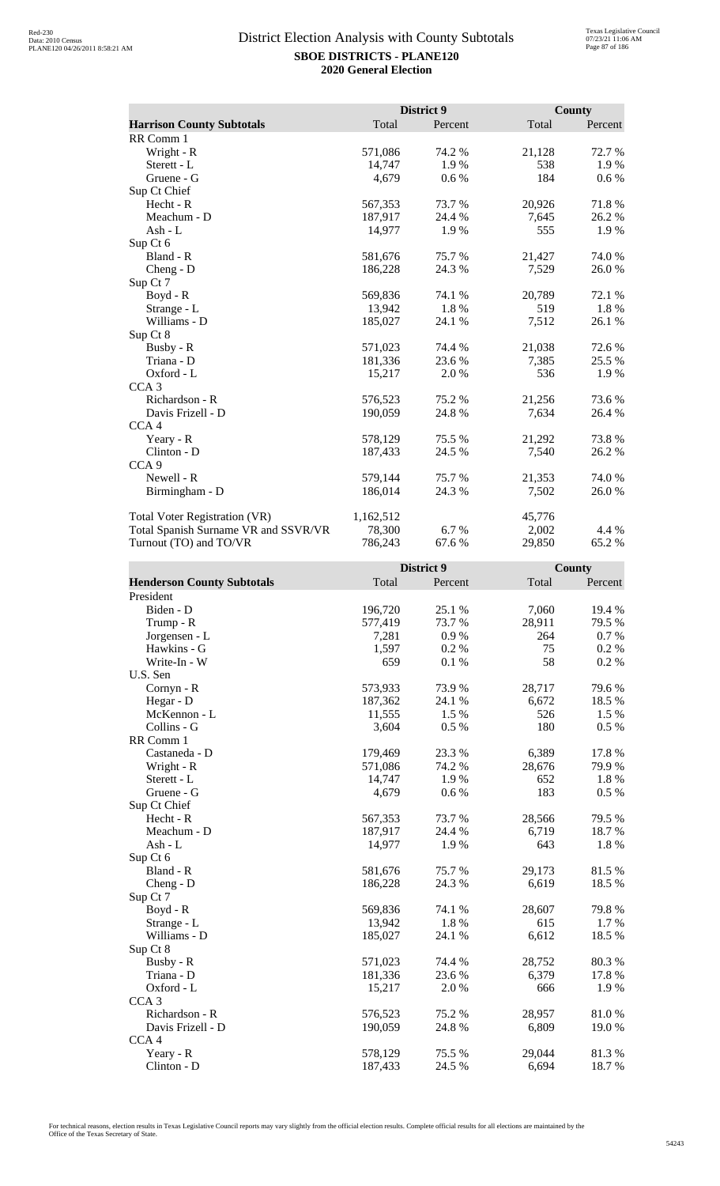|                                      |           | District 9 |        | County  |
|--------------------------------------|-----------|------------|--------|---------|
| <b>Harrison County Subtotals</b>     | Total     | Percent    | Total  | Percent |
| RR Comm 1                            |           |            |        |         |
| Wright - R                           | 571,086   | 74.2 %     | 21,128 | 72.7 %  |
| Sterett - L                          | 14,747    | 1.9%       | 538    | 1.9%    |
| Gruene - G                           | 4,679     | 0.6 %      | 184    | 0.6 %   |
| Sup Ct Chief                         |           |            |        |         |
| Hecht - R                            | 567,353   | 73.7%      | 20,926 | 71.8%   |
| Meachum - D                          | 187,917   | 24.4 %     | 7,645  | 26.2%   |
| Ash - L                              | 14,977    | 1.9%       | 555    | 1.9%    |
| Sup Ct 6                             |           |            |        |         |
| Bland - R                            | 581,676   | 75.7%      | 21,427 | 74.0%   |
| $Cheng - D$                          | 186,228   | 24.3 %     | 7,529  | 26.0%   |
| Sup Ct 7                             |           |            |        |         |
| $Boyd - R$                           | 569,836   | 74.1 %     | 20,789 | 72.1 %  |
| Strange - L                          | 13,942    | 1.8%       | 519    | 1.8%    |
| Williams - D                         | 185,027   | 24.1 %     | 7,512  | 26.1 %  |
| Sup Ct 8                             |           |            |        |         |
| Busby - R                            | 571,023   | 74.4 %     | 21,038 | 72.6 %  |
| Triana - D                           | 181,336   | 23.6 %     | 7,385  | 25.5 %  |
| Oxford - L                           | 15,217    | 2.0 %      | 536    | 1.9%    |
| CCA <sub>3</sub>                     |           |            |        |         |
| Richardson - R                       | 576,523   | 75.2 %     | 21,256 | 73.6 %  |
| Davis Frizell - D                    | 190,059   | 24.8%      | 7,634  | 26.4 %  |
| CCA <sub>4</sub>                     |           |            |        |         |
| Yeary - R                            | 578,129   | 75.5 %     | 21,292 | 73.8%   |
| Clinton - D                          | 187,433   | 24.5 %     | 7,540  | 26.2%   |
| CCA <sub>9</sub>                     |           |            |        |         |
| Newell - R                           | 579,144   | 75.7%      | 21,353 | 74.0%   |
| Birmingham - D                       | 186,014   | 24.3 %     | 7,502  | 26.0%   |
| <b>Total Voter Registration (VR)</b> | 1,162,512 |            | 45,776 |         |
| Total Spanish Surname VR and SSVR/VR | 78,300    | 6.7 %      | 2,002  | 4.4 %   |
| Turnout (TO) and TO/VR               | 786,243   | 67.6 %     | 29,850 | 65.2%   |

|                                   |         | District 9 |        | County  |
|-----------------------------------|---------|------------|--------|---------|
| <b>Henderson County Subtotals</b> | Total   | Percent    | Total  | Percent |
| President                         |         |            |        |         |
| Biden - D                         | 196,720 | 25.1 %     | 7,060  | 19.4 %  |
| Trump - R                         | 577,419 | 73.7%      | 28,911 | 79.5 %  |
| Jorgensen - L                     | 7,281   | 0.9%       | 264    | 0.7%    |
| Hawkins - G                       | 1,597   | 0.2%       | 75     | 0.2 %   |
| Write-In - W                      | 659     | 0.1%       | 58     | 0.2 %   |
| U.S. Sen                          |         |            |        |         |
| Cornyn - R                        | 573,933 | 73.9%      | 28,717 | 79.6%   |
| Hegar - D                         | 187,362 | 24.1 %     | 6,672  | 18.5 %  |
| McKennon - L                      | 11,555  | 1.5 %      | 526    | 1.5 %   |
| Collins - G                       | 3,604   | 0.5 %      | 180    | 0.5 %   |
| RR Comm 1                         |         |            |        |         |
| Castaneda - D                     | 179,469 | 23.3 %     | 6,389  | 17.8 %  |
| Wright - R                        | 571,086 | 74.2 %     | 28,676 | 79.9%   |
| Sterett - L                       | 14,747  | 1.9%       | 652    | 1.8 %   |
| Gruene - G                        | 4,679   | 0.6 %      | 183    | 0.5 %   |
| Sup Ct Chief                      |         |            |        |         |
| Hecht - R                         | 567,353 | 73.7%      | 28,566 | 79.5 %  |
| Meachum - D                       | 187,917 | 24.4 %     | 6,719  | 18.7%   |
| Ash - L                           | 14,977  | 1.9%       | 643    | 1.8 %   |
| Sup Ct 6                          |         |            |        |         |
| Bland - R                         | 581,676 | 75.7%      | 29,173 | 81.5%   |
| Cheng - D                         | 186,228 | 24.3 %     | 6,619  | 18.5 %  |
| Sup Ct 7                          |         |            |        |         |
| Boyd - R                          | 569,836 | 74.1 %     | 28,607 | 79.8%   |
| Strange - L                       | 13,942  | 1.8%       | 615    | 1.7 %   |
| Williams - D                      | 185,027 | 24.1 %     | 6,612  | 18.5 %  |
| Sup Ct 8                          |         |            |        |         |
| Busby - R                         | 571,023 | 74.4 %     | 28,752 | 80.3%   |
| Triana - D                        | 181,336 | 23.6%      | 6,379  | 17.8%   |
| Oxford - L                        | 15,217  | 2.0%       | 666    | 1.9%    |
| CCA <sub>3</sub>                  |         |            |        |         |
| Richardson - R                    | 576,523 | 75.2 %     | 28,957 | 81.0%   |
| Davis Frizell - D                 | 190,059 | 24.8%      | 6,809  | 19.0%   |
| CCA <sub>4</sub>                  |         |            |        |         |
| Yeary - R                         | 578,129 | 75.5 %     | 29,044 | 81.3%   |
| Clinton - D                       | 187,433 | 24.5 %     | 6,694  | 18.7%   |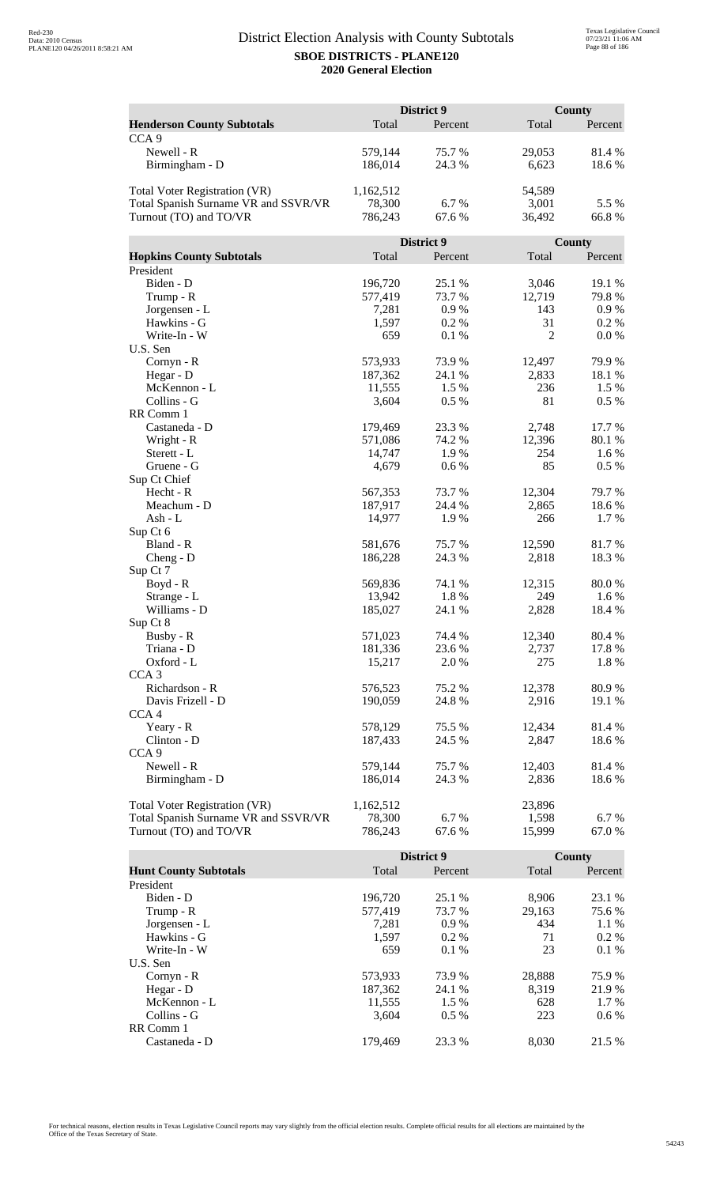|                                      | District 9 |            |        | County  |  |
|--------------------------------------|------------|------------|--------|---------|--|
| <b>Henderson County Subtotals</b>    | Total      | Percent    | Total  | Percent |  |
| CCA <sub>9</sub>                     |            |            |        |         |  |
| Newell - R                           | 579,144    | 75.7%      | 29,053 | 81.4%   |  |
| Birmingham - D                       | 186,014    | 24.3 %     | 6,623  | 18.6%   |  |
|                                      |            |            |        |         |  |
| Total Voter Registration (VR)        | 1,162,512  |            | 54,589 |         |  |
| Total Spanish Surname VR and SSVR/VR | 78,300     | 6.7%       | 3,001  | 5.5 %   |  |
| Turnout (TO) and TO/VR               | 786,243    | 67.6 %     | 36,492 | 66.8%   |  |
|                                      |            |            |        |         |  |
|                                      |            | District 9 |        | County  |  |
| <b>Hopkins County Subtotals</b>      | Total      | Percent    | Total  | Percent |  |
| President                            |            |            |        |         |  |
| Biden - D                            | 196,720    | 25.1 %     | 3,046  | 19.1 %  |  |
| Trump - R                            | 577,419    | 73.7 %     | 12,719 | 79.8%   |  |
| Jorgensen - L                        | 7,281      | 0.9%       | 143    | 0.9 %   |  |
| Hawkins - G                          | 1,597      | 0.2%       | 31     | 0.2 %   |  |
| Write-In - W                         | 659        | 0.1 %      | 2      | 0.0 %   |  |
| U.S. Sen                             |            |            |        |         |  |
| Cornyn - R                           | 573,933    | 73.9%      | 12,497 | 79.9%   |  |
| Hegar - D                            | 187,362    | 24.1 %     | 2,833  | 18.1 %  |  |
| McKennon - L                         | 11,555     | 1.5 %      | 236    | 1.5 %   |  |
| Collins - G                          | 3,604      | 0.5 %      | 81     | 0.5 %   |  |
| RR Comm 1                            |            |            |        |         |  |
| Castaneda - D                        | 179,469    | 23.3 %     | 2,748  | 17.7 %  |  |
| Wright - R                           | 571,086    | 74.2 %     | 12,396 | 80.1%   |  |
| Sterett - L                          | 14,747     | 1.9%       | 254    | 1.6 %   |  |
| Gruene - G                           | 4,679      | 0.6 %      | 85     | 0.5 %   |  |
| Sup Ct Chief                         |            |            |        |         |  |
| Hecht - R                            | 567,353    | 73.7 %     | 12,304 | 79.7%   |  |
| Meachum - D                          | 187,917    | 24.4 %     | 2,865  | 18.6%   |  |
| Ash - L                              | 14,977     | 1.9%       | 266    | 1.7%    |  |
| Sup Ct 6                             |            |            |        |         |  |
| Bland - R                            | 581,676    | 75.7%      | 12,590 | 81.7%   |  |
| $Cheng - D$                          | 186,228    | 24.3 %     | 2,818  | 18.3%   |  |
| Sup Ct 7<br>Boyd - R                 | 569,836    | 74.1 %     | 12,315 | 80.0%   |  |
| Strange - L                          | 13,942     | 1.8%       | 249    | 1.6%    |  |
| Williams - D                         | 185,027    | 24.1 %     | 2,828  | 18.4 %  |  |
| Sup Ct 8                             |            |            |        |         |  |
| Busby - R                            | 571,023    | 74.4 %     | 12,340 | 80.4 %  |  |
| Triana - D                           | 181,336    | 23.6 %     | 2,737  | 17.8%   |  |
| Oxford - L                           | 15,217     | 2.0 %      | 275    | 1.8%    |  |
| CCA <sub>3</sub>                     |            |            |        |         |  |
| Richardson - R                       | 576,523    | 75.2 %     | 12,378 | 80.9%   |  |
| Davis Frizell - D                    | 190,059    | 24.8 %     | 2,916  | 19.1 %  |  |
| CCA <sub>4</sub>                     |            |            |        |         |  |
| Yeary - R                            | 578,129    | 75.5 %     | 12,434 | 81.4 %  |  |
| Clinton - D                          | 187,433    | 24.5 %     | 2,847  | 18.6 %  |  |
| CCA <sub>9</sub>                     |            |            |        |         |  |
| Newell - R                           | 579,144    | 75.7 %     | 12,403 | 81.4 %  |  |
| Birmingham - D                       | 186,014    | 24.3 %     | 2,836  | 18.6 %  |  |
|                                      |            |            |        |         |  |
| <b>Total Voter Registration (VR)</b> | 1,162,512  |            | 23,896 |         |  |
| Total Spanish Surname VR and SSVR/VR | 78,300     | 6.7%       | 1,598  | 6.7%    |  |
| Turnout (TO) and TO/VR               | 786,243    | 67.6 %     | 15,999 | 67.0%   |  |

|                              |         | <b>District 9</b> |        | County  |
|------------------------------|---------|-------------------|--------|---------|
| <b>Hunt County Subtotals</b> | Total   | Percent           | Total  | Percent |
| President                    |         |                   |        |         |
| Biden - D                    | 196,720 | 25.1 %            | 8,906  | 23.1 %  |
| Trump - R                    | 577,419 | 73.7 %            | 29,163 | 75.6 %  |
| Jorgensen - L                | 7.281   | 0.9%              | 434    | $1.1\%$ |
| Hawkins - G                  | 1,597   | $0.2\%$           | 71     | $0.2\%$ |
| Write-In - W                 | 659     | 0.1%              | 23     | 0.1%    |
| U.S. Sen                     |         |                   |        |         |
| Cornyn - R                   | 573,933 | 73.9 %            | 28.888 | 75.9 %  |
| Hegar - $D$                  | 187,362 | 24.1 %            | 8.319  | 21.9 %  |
| McKennon - L                 | 11,555  | 1.5 %             | 628    | $1.7\%$ |
| Collins - G                  | 3.604   | $0.5\%$           | 223    | $0.6\%$ |
| RR Comm 1                    |         |                   |        |         |
| Castaneda - D                | 179.469 | 23.3 %            | 8.030  | 21.5 %  |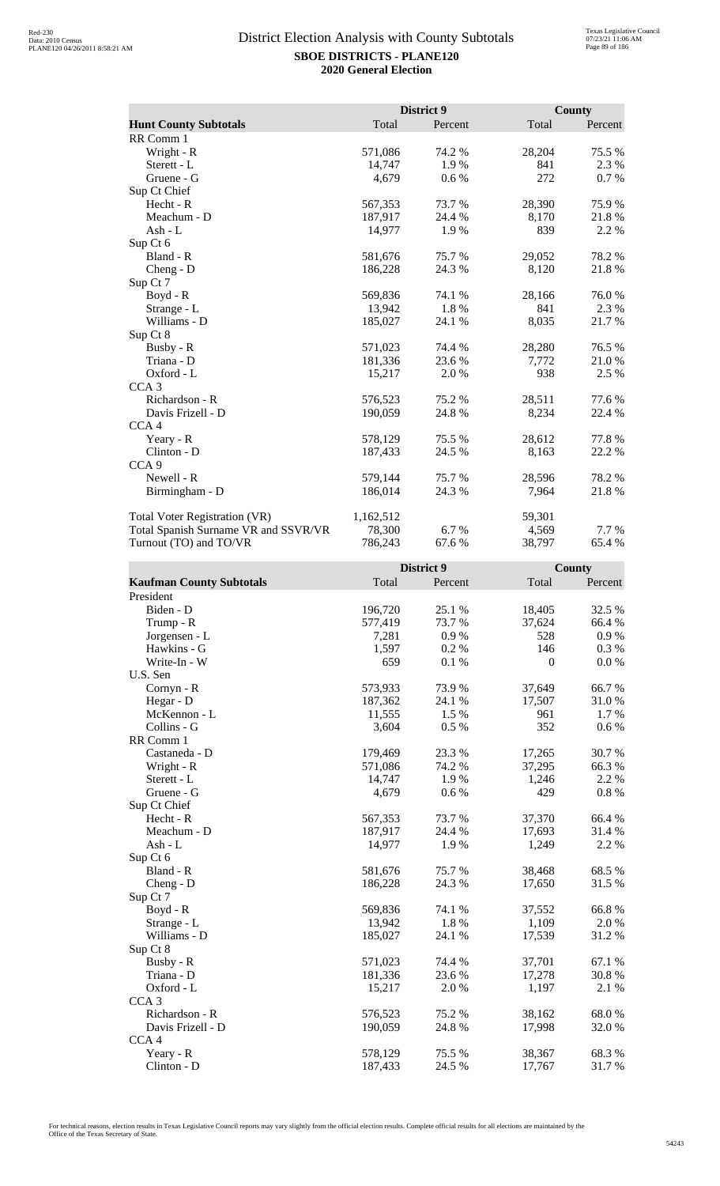|                                      |           | District 9 |        | <b>County</b> |
|--------------------------------------|-----------|------------|--------|---------------|
| <b>Hunt County Subtotals</b>         | Total     | Percent    | Total  | Percent       |
| RR Comm 1                            |           |            |        |               |
| Wright - R                           | 571,086   | 74.2 %     | 28,204 | 75.5 %        |
| Sterett - L                          | 14,747    | 1.9%       | 841    | 2.3 %         |
| Gruene - G                           | 4,679     | 0.6 %      | 272    | 0.7%          |
| Sup Ct Chief                         |           |            |        |               |
| Hecht - R                            | 567,353   | 73.7 %     | 28,390 | 75.9%         |
| Meachum - D                          | 187,917   | 24.4 %     | 8,170  | 21.8%         |
| Ash - $L$                            | 14,977    | 1.9 %      | 839    | 2.2 %         |
| Sup Ct 6                             |           |            |        |               |
| Bland - R                            | 581,676   | 75.7%      | 29,052 | 78.2%         |
| Cheng - D                            | 186,228   | 24.3 %     | 8,120  | 21.8%         |
| Sup Ct 7                             |           |            |        |               |
| $Boyd - R$                           | 569,836   | 74.1 %     | 28,166 | 76.0%         |
| Strange - L                          | 13,942    | 1.8%       | 841    | 2.3 %         |
| Williams - D                         | 185,027   | 24.1 %     | 8,035  | 21.7 %        |
| Sup Ct 8                             |           |            |        |               |
| Busby - R                            | 571,023   | 74.4 %     | 28,280 | 76.5 %        |
| Triana - D                           | 181,336   | 23.6 %     | 7,772  | 21.0%         |
| Oxford - L                           | 15,217    | 2.0 %      | 938    | 2.5 %         |
| CCA <sub>3</sub>                     |           |            |        |               |
| Richardson - R                       | 576,523   | 75.2 %     | 28,511 | 77.6 %        |
| Davis Frizell - D                    | 190,059   | 24.8 %     | 8,234  | 22.4 %        |
| CCA <sub>4</sub>                     |           |            |        |               |
| Yeary - R                            | 578,129   | 75.5 %     | 28,612 | 77.8%         |
| Clinton - D                          | 187,433   | 24.5 %     | 8,163  | 22.2 %        |
| CCA <sub>9</sub>                     |           |            |        |               |
| Newell - R                           | 579,144   | 75.7 %     | 28,596 | 78.2%         |
| Birmingham - D                       | 186,014   | 24.3 %     | 7,964  | 21.8%         |
| Total Voter Registration (VR)        | 1,162,512 |            | 59,301 |               |
| Total Spanish Surname VR and SSVR/VR | 78,300    | 6.7 %      | 4,569  | 7.7 %         |
| Turnout (TO) and TO/VR               | 786,243   | 67.6 %     | 38,797 | 65.4 %        |

|                                 |         | District 9 |              | County   |
|---------------------------------|---------|------------|--------------|----------|
| <b>Kaufman County Subtotals</b> | Total   | Percent    | Total        | Percent  |
| President                       |         |            |              |          |
| Biden - D                       | 196,720 | 25.1 %     | 18,405       | 32.5 %   |
| Trump - R                       | 577,419 | 73.7 %     | 37,624       | 66.4 %   |
| Jorgensen - L                   | 7,281   | 0.9%       | 528          | 0.9%     |
| Hawkins - G                     | 1,597   | 0.2%       | 146          | 0.3 %    |
| Write-In - W                    | 659     | 0.1 %      | $\mathbf{0}$ | 0.0 %    |
| U.S. Sen                        |         |            |              |          |
| Cornyn - R                      | 573,933 | 73.9%      | 37,649       | 66.7%    |
| Hegar - D                       | 187,362 | 24.1 %     | 17,507       | 31.0%    |
| McKennon - L                    | 11,555  | 1.5 %      | 961          | 1.7 %    |
| Collins - G                     | 3,604   | 0.5%       | 352          | 0.6 %    |
| RR Comm 1                       |         |            |              |          |
| Castaneda - D                   | 179,469 | 23.3 %     | 17,265       | 30.7%    |
| Wright - R                      | 571,086 | 74.2 %     | 37,295       | 66.3%    |
| Sterett - L                     | 14,747  | 1.9%       | 1,246        | 2.2 %    |
| Gruene - G                      | 4,679   | 0.6 %      | 429          | $0.8~\%$ |
| Sup Ct Chief                    |         |            |              |          |
| Hecht - R                       | 567,353 | 73.7%      | 37,370       | 66.4 %   |
| Meachum - D                     | 187,917 | 24.4 %     | 17,693       | 31.4 %   |
| Ash - L                         | 14,977  | 1.9%       | 1,249        | 2.2 %    |
| Sup Ct 6                        |         |            |              |          |
| Bland - R                       | 581,676 | 75.7 %     | 38,468       | 68.5%    |
| $Cheng - D$                     | 186,228 | 24.3 %     | 17,650       | 31.5 %   |
| Sup Ct 7                        |         |            |              |          |
| Boyd - R                        | 569,836 | 74.1 %     | 37,552       | 66.8%    |
| Strange - L                     | 13,942  | 1.8%       | 1,109        | 2.0%     |
| Williams - D                    | 185,027 | 24.1 %     | 17,539       | 31.2%    |
| Sup Ct 8                        |         |            |              |          |
| Busby - R                       | 571,023 | 74.4 %     | 37,701       | 67.1 %   |
| Triana - D                      | 181,336 | 23.6 %     | 17,278       | 30.8%    |
| Oxford - L                      | 15,217  | 2.0 %      | 1,197        | 2.1 %    |
| CCA <sub>3</sub>                |         |            |              |          |
| Richardson - R                  | 576,523 | 75.2 %     | 38,162       | 68.0%    |
| Davis Frizell - D               | 190,059 | 24.8%      | 17,998       | 32.0 %   |
| CCA <sub>4</sub>                |         |            |              |          |
| Yeary - R                       | 578,129 | 75.5 %     | 38,367       | 68.3%    |
| Clinton - D                     | 187,433 | 24.5 %     | 17,767       | 31.7%    |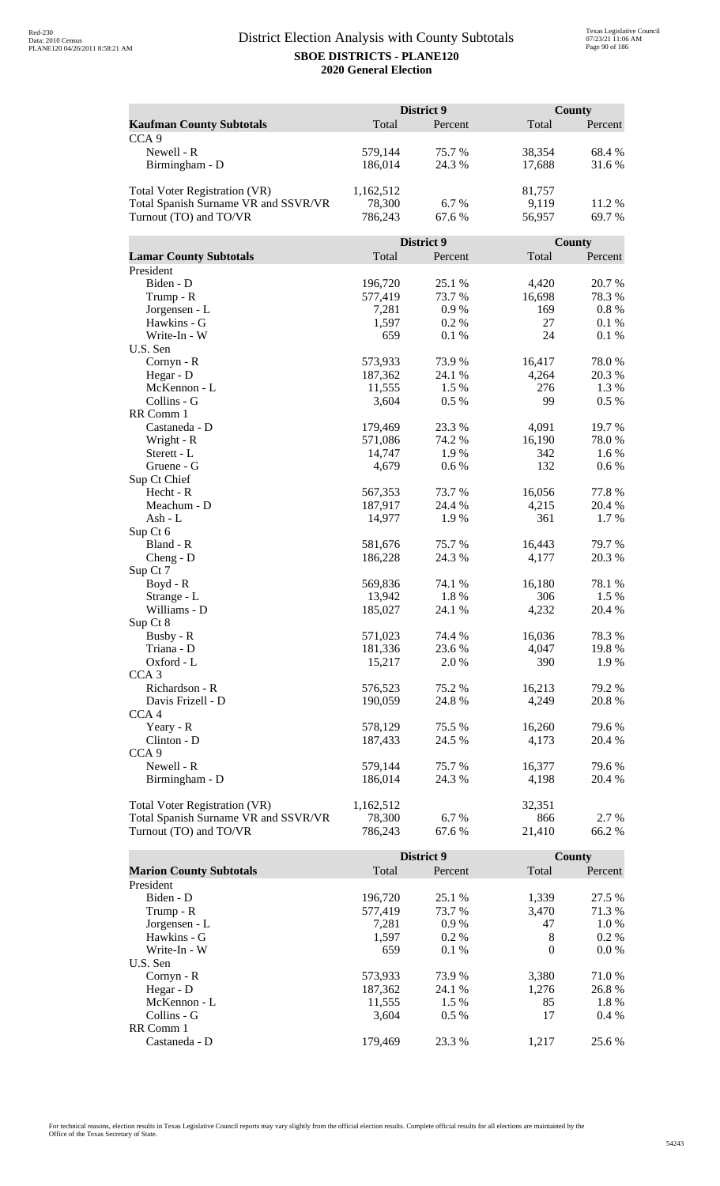|                                      | District 9 |            |          | <b>County</b> |  |
|--------------------------------------|------------|------------|----------|---------------|--|
| <b>Kaufman County Subtotals</b>      | Total      | Percent    | Total    | Percent       |  |
| CCA <sub>9</sub>                     |            |            |          |               |  |
| Newell - R                           | 579,144    | 75.7%      | 38,354   | 68.4 %        |  |
| Birmingham - D                       | 186,014    | 24.3 %     | 17,688   | 31.6 %        |  |
|                                      |            |            |          |               |  |
| Total Voter Registration (VR)        | 1,162,512  |            | 81,757   |               |  |
| Total Spanish Surname VR and SSVR/VR | 78,300     | 6.7%       | 9,119    | 11.2 %        |  |
| Turnout (TO) and TO/VR               | 786,243    | 67.6 %     | 56,957   | 69.7%         |  |
|                                      |            |            |          |               |  |
|                                      |            | District 9 |          | <b>County</b> |  |
| <b>Lamar County Subtotals</b>        | Total      | Percent    | Total    | Percent       |  |
| President                            |            |            |          |               |  |
| Biden - D                            | 196,720    | 25.1 %     | 4,420    | 20.7 %        |  |
|                                      | 577,419    | 73.7 %     | 16,698   | 78.3 %        |  |
| Trump - R                            |            | 0.9%       | 169      | 0.8%          |  |
| Jorgensen - L<br>Hawkins - G         | 7,281      |            |          |               |  |
|                                      | 1,597      | 0.2%       | 27<br>24 | 0.1%          |  |
| Write-In - W                         | 659        | 0.1%       |          | 0.1 %         |  |
| U.S. Sen                             |            |            | 16,417   |               |  |
| Cornyn - R                           | 573,933    | 73.9%      |          | 78.0%         |  |
| Hegar - D                            | 187,362    | 24.1 %     | 4,264    | 20.3%         |  |
| McKennon - L                         | 11,555     | 1.5 %      | 276      | 1.3 %         |  |
| Collins - G                          | 3,604      | 0.5 %      | 99       | 0.5%          |  |
| RR Comm 1                            |            |            |          |               |  |
| Castaneda - D                        | 179,469    | 23.3 %     | 4,091    | 19.7%         |  |
| Wright - R                           | 571,086    | 74.2 %     | 16,190   | 78.0%         |  |
| Sterett - L                          | 14,747     | 1.9%       | 342      | 1.6 %         |  |
| Gruene - G                           | 4,679      | 0.6 %      | 132      | 0.6 %         |  |
| Sup Ct Chief                         |            |            |          |               |  |
| Hecht - R                            | 567,353    | 73.7 %     | 16,056   | 77.8%         |  |
| Meachum - D                          | 187,917    | 24.4 %     | 4,215    | 20.4 %        |  |
| Ash - L                              | 14,977     | 1.9%       | 361      | 1.7%          |  |
| Sup Ct 6                             |            |            |          |               |  |
| Bland - R                            | 581,676    | 75.7%      | 16,443   | 79.7 %        |  |
| $Cheng - D$                          | 186,228    | 24.3 %     | 4,177    | 20.3 %        |  |
| Sup Ct 7                             |            |            |          |               |  |
| Boyd - R                             | 569,836    | 74.1 %     | 16,180   | 78.1 %        |  |
| Strange - L                          | 13,942     | 1.8%       | 306      | 1.5 %         |  |
| Williams - D                         | 185,027    | 24.1 %     | 4,232    | 20.4 %        |  |
| Sup Ct 8                             |            |            |          |               |  |
| Busby - R                            | 571,023    | 74.4 %     | 16,036   | 78.3%         |  |
| Triana - D                           | 181,336    | 23.6%      | 4,047    | 19.8%         |  |
| Oxford - L                           | 15,217     | 2.0 %      | 390      | 1.9%          |  |
| CCA <sub>3</sub>                     |            |            |          |               |  |
| Richardson - R                       | 576,523    | 75.2 %     | 16,213   | 79.2 %        |  |
| Davis Frizell - D                    | 190,059    | 24.8 %     | 4,249    | 20.8%         |  |
| CCA <sub>4</sub>                     |            |            |          |               |  |
| Yeary - R                            | 578,129    | 75.5 %     | 16,260   | 79.6%         |  |
| Clinton - D                          | 187,433    | 24.5 %     | 4,173    | 20.4 %        |  |
| CCA <sub>9</sub>                     |            |            |          |               |  |
| Newell - R                           | 579,144    | 75.7 %     | 16,377   | 79.6 %        |  |
| Birmingham - D                       | 186,014    | 24.3 %     | 4,198    | 20.4 %        |  |
|                                      |            |            |          |               |  |
| Total Voter Registration (VR)        | 1,162,512  |            | 32,351   |               |  |
| Total Spanish Surname VR and SSVR/VR | 78,300     | 6.7%       | 866      | 2.7 %         |  |
| Turnout (TO) and TO/VR               | 786,243    | 67.6%      | 21,410   | 66.2%         |  |

|                                |         | District 9 |          | County  |
|--------------------------------|---------|------------|----------|---------|
| <b>Marion County Subtotals</b> | Total   | Percent    | Total    | Percent |
| President                      |         |            |          |         |
| Biden - D                      | 196.720 | 25.1 %     | 1.339    | 27.5 %  |
| Trump - R                      | 577,419 | 73.7 %     | 3.470    | 71.3 %  |
| Jorgensen - L                  | 7.281   | 0.9%       | 47       | 1.0 %   |
| Hawkins - G                    | 1,597   | $0.2\%$    | 8        | $0.2\%$ |
| Write-In - W                   | 659     | $0.1\%$    | $\theta$ | $0.0\%$ |
| U.S. Sen                       |         |            |          |         |
| $Cornyn - R$                   | 573,933 | 73.9 %     | 3.380    | 71.0 %  |
| Hegar - $D$                    | 187,362 | 24.1 %     | 1.276    | 26.8%   |
| McKennon - L                   | 11,555  | 1.5 %      | 85       | 1.8%    |
| Collins - G                    | 3.604   | $0.5\%$    | 17       | $0.4\%$ |
| RR Comm 1                      |         |            |          |         |
| Castaneda - D                  | 179.469 | 23.3 %     | 1.217    | 25.6 %  |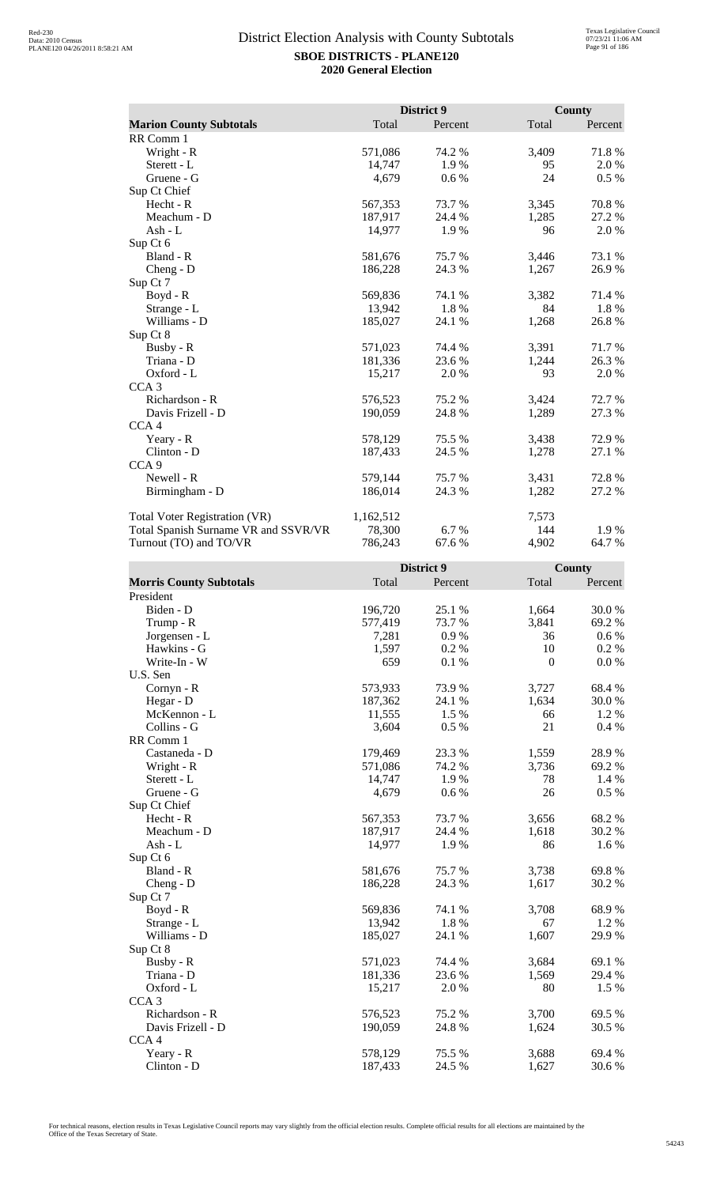|                                      |           | District 9 |       | <b>County</b> |
|--------------------------------------|-----------|------------|-------|---------------|
| <b>Marion County Subtotals</b>       | Total     | Percent    | Total | Percent       |
| RR Comm 1                            |           |            |       |               |
| Wright - R                           | 571,086   | 74.2 %     | 3,409 | 71.8%         |
| Sterett - L                          | 14,747    | 1.9%       | 95    | 2.0%          |
| Gruene - G                           | 4,679     | 0.6 %      | 24    | 0.5 %         |
| Sup Ct Chief                         |           |            |       |               |
| Hecht - R                            | 567,353   | 73.7%      | 3,345 | 70.8%         |
| Meachum - D                          | 187,917   | 24.4 %     | 1,285 | 27.2 %        |
| Ash - L                              | 14,977    | 1.9%       | 96    | 2.0%          |
| Sup Ct 6                             |           |            |       |               |
| Bland - R                            | 581,676   | 75.7 %     | 3,446 | 73.1 %        |
| $Cheng - D$                          | 186,228   | 24.3 %     | 1,267 | 26.9%         |
| Sup Ct 7                             |           |            |       |               |
| $Boyd - R$                           | 569,836   | 74.1 %     | 3,382 | 71.4 %        |
| Strange - L                          | 13,942    | 1.8%       | 84    | 1.8%          |
| Williams - D                         | 185,027   | 24.1 %     | 1,268 | 26.8%         |
| Sup Ct 8                             |           |            |       |               |
| Busby - R                            | 571,023   | 74.4 %     | 3,391 | 71.7%         |
| Triana - D                           | 181,336   | 23.6 %     | 1,244 | 26.3%         |
| Oxford - L                           | 15,217    | 2.0%       | 93    | 2.0 %         |
| CCA <sub>3</sub>                     |           |            |       |               |
| Richardson - R                       | 576,523   | 75.2 %     | 3,424 | 72.7 %        |
| Davis Frizell - D                    | 190,059   | 24.8%      | 1,289 | 27.3 %        |
| CCA <sub>4</sub>                     |           |            |       |               |
| Yeary - R                            | 578,129   | 75.5 %     | 3,438 | 72.9 %        |
| Clinton - D                          | 187,433   | 24.5 %     | 1,278 | 27.1 %        |
| CCA <sub>9</sub>                     |           |            |       |               |
| Newell - R                           | 579,144   | 75.7 %     | 3,431 | 72.8%         |
| Birmingham - D                       | 186,014   | 24.3 %     | 1,282 | 27.2 %        |
| <b>Total Voter Registration (VR)</b> | 1,162,512 |            | 7,573 |               |
| Total Spanish Surname VR and SSVR/VR | 78,300    | 6.7 %      | 144   | 1.9%          |
| Turnout (TO) and TO/VR               | 786,243   | 67.6 %     | 4,902 | 64.7%         |

|                                |         | District 9 |                  | <b>County</b> |
|--------------------------------|---------|------------|------------------|---------------|
| <b>Morris County Subtotals</b> | Total   | Percent    | Total            | Percent       |
| President                      |         |            |                  |               |
| Biden - D                      | 196,720 | 25.1 %     | 1,664            | 30.0%         |
| Trump - R                      | 577,419 | 73.7%      | 3,841            | 69.2%         |
| Jorgensen - L                  | 7,281   | 0.9%       | 36               | 0.6 %         |
| Hawkins - G                    | 1,597   | 0.2%       | 10               | 0.2 %         |
| Write-In - W                   | 659     | 0.1%       | $\boldsymbol{0}$ | 0.0 %         |
| U.S. Sen                       |         |            |                  |               |
| Cornyn - R                     | 573,933 | 73.9%      | 3,727            | 68.4%         |
| Hegar - D                      | 187,362 | 24.1 %     | 1,634            | 30.0%         |
| McKennon - L                   | 11,555  | 1.5 %      | 66               | 1.2%          |
| Collins - G                    | 3,604   | 0.5%       | 21               | 0.4%          |
| RR Comm 1                      |         |            |                  |               |
| Castaneda - D                  | 179,469 | 23.3 %     | 1,559            | 28.9%         |
| Wright - R                     | 571,086 | 74.2 %     | 3,736            | 69.2%         |
| Sterett - L                    | 14,747  | 1.9%       | 78               | 1.4 %         |
| Gruene - G                     | 4,679   | 0.6 %      | 26               | 0.5 %         |
| Sup Ct Chief                   |         |            |                  |               |
| $Hecht - R$                    | 567,353 | 73.7%      | 3,656            | 68.2%         |
| Meachum - D                    | 187,917 | 24.4 %     | 1,618            | 30.2 %        |
| $Ash - L$                      | 14,977  | 1.9%       | 86               | 1.6 %         |
| Sup Ct 6                       |         |            |                  |               |
| Bland - R                      | 581,676 | 75.7 %     | 3,738            | 69.8%         |
| $Cheng - D$                    | 186,228 | 24.3 %     | 1,617            | 30.2 %        |
| Sup Ct 7                       |         |            |                  |               |
| $Boyd - R$                     | 569,836 | 74.1 %     | 3,708            | 68.9%         |
| Strange - L                    | 13,942  | 1.8%       | 67               | 1.2 %         |
| Williams - D                   | 185,027 | 24.1 %     | 1,607            | 29.9%         |
| Sup Ct 8                       |         |            |                  |               |
| Busby - R                      | 571,023 | 74.4 %     | 3,684            | 69.1 %        |
| Triana - D                     | 181,336 | 23.6 %     | 1,569            | 29.4 %        |
| Oxford - L                     | 15,217  | 2.0 %      | 80               | 1.5 %         |
| CCA <sub>3</sub>               |         |            |                  |               |
| Richardson - R                 | 576,523 | 75.2 %     | 3,700            | 69.5 %        |
| Davis Frizell - D              | 190,059 | 24.8%      | 1,624            | 30.5 %        |
| CCA <sub>4</sub>               |         |            |                  |               |
| Yeary - R                      | 578,129 | 75.5 %     | 3,688            | 69.4 %        |
| Clinton - D                    | 187,433 | 24.5 %     | 1,627            | 30.6%         |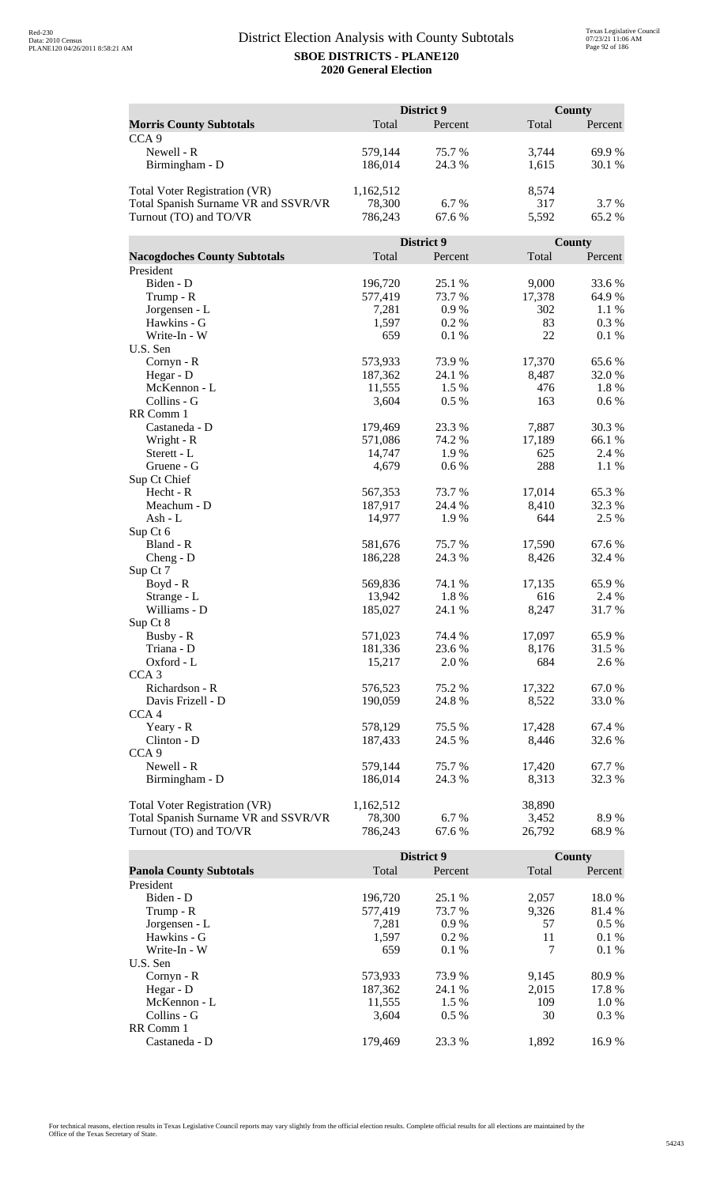|                                      | District 9         |                 |        | County          |  |
|--------------------------------------|--------------------|-----------------|--------|-----------------|--|
| <b>Morris County Subtotals</b>       | Total              | Percent         | Total  | Percent         |  |
| CCA <sub>9</sub>                     |                    |                 |        |                 |  |
| Newell - R                           | 579,144            | 75.7 %          | 3,744  | 69.9%           |  |
| Birmingham - D                       | 186,014            | 24.3 %          | 1,615  | 30.1 %          |  |
|                                      |                    |                 |        |                 |  |
| <b>Total Voter Registration (VR)</b> | 1,162,512          |                 | 8,574  |                 |  |
| Total Spanish Surname VR and SSVR/VR | 78,300             | 6.7%            | 317    | 3.7 %           |  |
| Turnout (TO) and TO/VR               | 786,243            | 67.6%           | 5,592  | 65.2%           |  |
|                                      |                    |                 |        |                 |  |
|                                      |                    | District 9      |        | County          |  |
| <b>Nacogdoches County Subtotals</b>  | Total              | Percent         | Total  | Percent         |  |
| President                            |                    |                 |        |                 |  |
| Biden - D                            | 196,720            | 25.1 %          | 9,000  | 33.6%           |  |
| Trump - R                            | 577,419            | 73.7 %          | 17,378 | 64.9%           |  |
| Jorgensen - L                        | 7,281              | 0.9%            | 302    | 1.1 %           |  |
| Hawkins - G                          | 1,597              | 0.2%            | 83     | 0.3 %           |  |
| Write-In - W                         | 659                | 0.1 %           | 22     | $0.1\ \%$       |  |
| U.S. Sen                             |                    |                 |        |                 |  |
| Cornyn - R                           | 573,933            | 73.9%           | 17,370 | 65.6%           |  |
| Hegar - D                            | 187,362            | 24.1 %          | 8,487  | 32.0%           |  |
| McKennon - L                         | 11,555             | 1.5 %           | 476    | 1.8%            |  |
| Collins - G                          | 3,604              | 0.5 %           | 163    | 0.6 %           |  |
| RR Comm 1                            |                    |                 |        |                 |  |
| Castaneda - D                        | 179,469            | 23.3 %          | 7,887  | 30.3%           |  |
| Wright - R                           | 571,086            | 74.2 %          | 17,189 | 66.1%           |  |
| Sterett - L                          | 14,747             | 1.9%            | 625    | 2.4 %           |  |
| Gruene - G                           | 4,679              | 0.6 %           | 288    | 1.1 %           |  |
| Sup Ct Chief                         |                    |                 |        |                 |  |
| Hecht - R                            | 567,353            | 73.7 %          | 17,014 | 65.3%           |  |
| Meachum - D                          | 187,917            | 24.4 %          | 8,410  | 32.3 %          |  |
| Ash - $L$                            | 14,977             | 1.9%            | 644    | 2.5 %           |  |
| Sup Ct 6                             |                    |                 |        |                 |  |
| Bland - R                            | 581,676<br>186,228 | 75.7%<br>24.3 % | 17,590 | 67.6%<br>32.4 % |  |
| $Cheng - D$<br>Sup Ct 7              |                    |                 | 8,426  |                 |  |
| $Boyd - R$                           | 569,836            | 74.1 %          | 17,135 | 65.9%           |  |
| Strange - L                          | 13,942             | 1.8%            | 616    | 2.4 %           |  |
| Williams - D                         | 185,027            | 24.1 %          | 8,247  | 31.7%           |  |
| Sup Ct 8                             |                    |                 |        |                 |  |
| Busby - R                            | 571,023            | 74.4 %          | 17,097 | 65.9%           |  |
| Triana - D                           | 181,336            | 23.6 %          | 8,176  | 31.5 %          |  |
| Oxford - L                           | 15,217             | 2.0 %           | 684    | 2.6 %           |  |
| CCA <sub>3</sub>                     |                    |                 |        |                 |  |
| Richardson - R                       | 576,523            | 75.2 %          | 17,322 | 67.0%           |  |
| Davis Frizell - D                    | 190,059            | 24.8 %          | 8,522  | 33.0 %          |  |
| CCA <sub>4</sub>                     |                    |                 |        |                 |  |
| Yeary - R                            | 578,129            | 75.5 %          | 17,428 | 67.4 %          |  |
| Clinton - D                          | 187,433            | 24.5 %          | 8,446  | 32.6 %          |  |
| CCA <sub>9</sub>                     |                    |                 |        |                 |  |
| Newell - R                           | 579,144            | 75.7%           | 17,420 | 67.7 %          |  |
| Birmingham - D                       | 186,014            | 24.3 %          | 8,313  | 32.3 %          |  |
|                                      |                    |                 |        |                 |  |
| Total Voter Registration (VR)        | 1,162,512          |                 | 38,890 |                 |  |
| Total Spanish Surname VR and SSVR/VR | 78,300             | 6.7%            | 3,452  | 8.9%            |  |
| Turnout (TO) and TO/VR               | 786,243            | 67.6%           | 26,792 | 68.9%           |  |

|                                |         | District 9 |       | County  |  |
|--------------------------------|---------|------------|-------|---------|--|
| <b>Panola County Subtotals</b> | Total   | Percent    | Total | Percent |  |
| President                      |         |            |       |         |  |
| Biden - D                      | 196.720 | 25.1 %     | 2.057 | 18.0 %  |  |
| Trump - R                      | 577,419 | 73.7 %     | 9,326 | 81.4 %  |  |
| Jorgensen - L                  | 7,281   | 0.9%       | 57    | $0.5\%$ |  |
| Hawkins - G                    | 1,597   | $0.2\%$    | 11    | $0.1\%$ |  |
| Write-In - W                   | 659     | $0.1\%$    | 7     | $0.1\%$ |  |
| U.S. Sen                       |         |            |       |         |  |
| $Cornyn - R$                   | 573,933 | 73.9 %     | 9,145 | 80.9 %  |  |
| Hegar - $D$                    | 187,362 | 24.1 %     | 2.015 | 17.8 %  |  |
| McKennon - L                   | 11,555  | 1.5 %      | 109   | 1.0 %   |  |
| Collins - G                    | 3.604   | $0.5\%$    | 30    | $0.3\%$ |  |
| RR Comm 1                      |         |            |       |         |  |
| Castaneda - D                  | 179.469 | 23.3 %     | 1.892 | 16.9%   |  |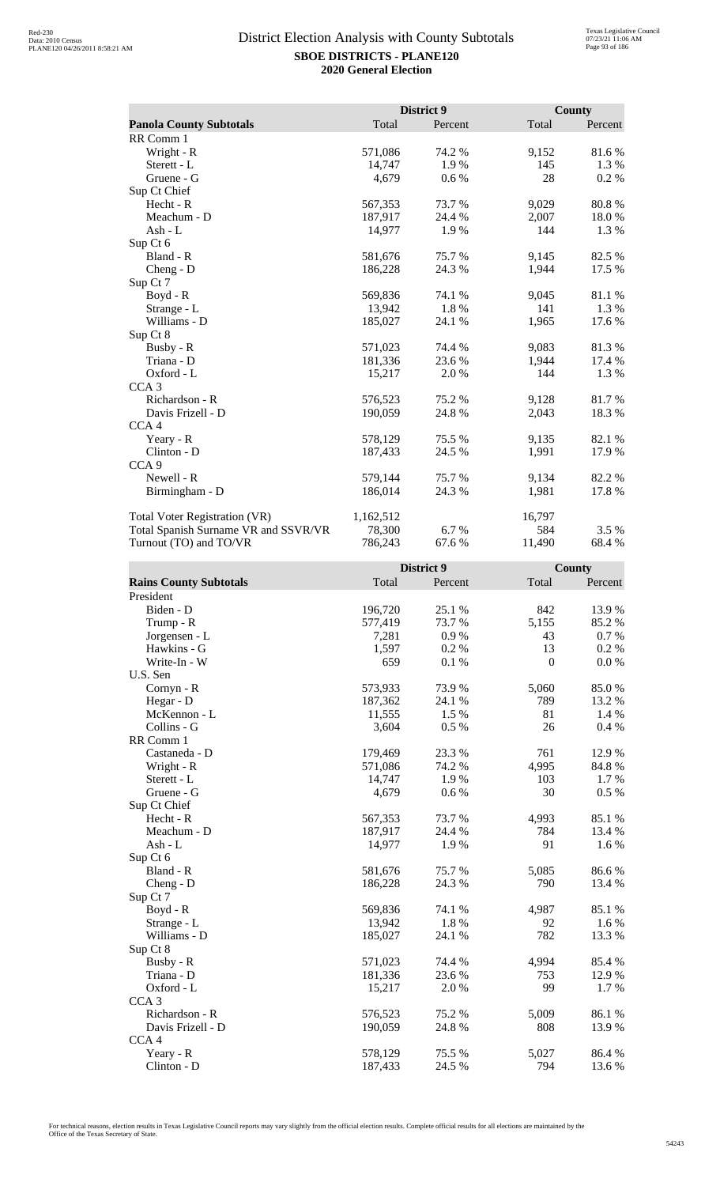|                                      |           | District 9 |        | <b>County</b> |
|--------------------------------------|-----------|------------|--------|---------------|
| <b>Panola County Subtotals</b>       | Total     | Percent    | Total  | Percent       |
| RR Comm 1                            |           |            |        |               |
| Wright - R                           | 571,086   | 74.2 %     | 9,152  | 81.6%         |
| Sterett - L                          | 14,747    | 1.9%       | 145    | 1.3 %         |
| Gruene - G                           | 4,679     | 0.6 %      | 28     | 0.2 %         |
| Sup Ct Chief                         |           |            |        |               |
| Hecht - R                            | 567,353   | 73.7%      | 9,029  | 80.8 %        |
| Meachum - D                          | 187,917   | 24.4 %     | 2,007  | 18.0%         |
| Ash - L                              | 14,977    | 1.9%       | 144    | 1.3 %         |
| Sup Ct 6                             |           |            |        |               |
| Bland - R                            | 581,676   | 75.7%      | 9,145  | 82.5 %        |
| $Cheng - D$                          | 186,228   | 24.3 %     | 1,944  | 17.5 %        |
| Sup Ct 7                             |           |            |        |               |
| $Boyd - R$                           | 569,836   | 74.1 %     | 9,045  | 81.1%         |
| Strange - L                          | 13,942    | 1.8%       | 141    | 1.3%          |
| Williams - D                         | 185,027   | 24.1 %     | 1,965  | 17.6 %        |
| Sup Ct 8                             |           |            |        |               |
| Busby - R                            | 571,023   | 74.4 %     | 9,083  | 81.3%         |
| Triana - D                           | 181,336   | 23.6 %     | 1,944  | 17.4 %        |
| Oxford - L                           | 15,217    | 2.0 %      | 144    | 1.3 %         |
| CCA <sub>3</sub>                     |           |            |        |               |
| Richardson - R                       | 576,523   | 75.2 %     | 9,128  | 81.7%         |
| Davis Frizell - D                    | 190,059   | 24.8%      | 2,043  | 18.3%         |
| CCA <sub>4</sub>                     |           |            |        |               |
| Yeary - R                            | 578,129   | 75.5 %     | 9,135  | 82.1 %        |
| Clinton - D                          | 187,433   | 24.5 %     | 1,991  | 17.9%         |
| CCA <sub>9</sub>                     |           |            |        |               |
| Newell - R                           | 579,144   | 75.7%      | 9,134  | 82.2%         |
| Birmingham - D                       | 186,014   | 24.3 %     | 1,981  | 17.8%         |
| <b>Total Voter Registration (VR)</b> | 1,162,512 |            | 16,797 |               |
| Total Spanish Surname VR and SSVR/VR | 78,300    | 6.7 %      | 584    | 3.5 %         |
| Turnout (TO) and TO/VR               | 786,243   | 67.6 %     | 11,490 | 68.4%         |

|                               |         | District 9 | County   |         |
|-------------------------------|---------|------------|----------|---------|
| <b>Rains County Subtotals</b> | Total   | Percent    | Total    | Percent |
| President                     |         |            |          |         |
| Biden - D                     | 196,720 | 25.1 %     | 842      | 13.9%   |
| Trump - R                     | 577,419 | 73.7%      | 5,155    | 85.2%   |
| Jorgensen - L                 | 7,281   | 0.9%       | 43       | 0.7%    |
| Hawkins - G                   | 1,597   | 0.2%       | 13       | 0.2 %   |
| Write-In - W                  | 659     | 0.1 %      | $\theta$ | 0.0 %   |
| U.S. Sen                      |         |            |          |         |
| Cornyn - R                    | 573,933 | 73.9%      | 5,060    | 85.0%   |
| Hegar - D                     | 187,362 | 24.1 %     | 789      | 13.2 %  |
| McKennon - L                  | 11,555  | 1.5 %      | 81       | 1.4 %   |
| Collins - G                   | 3,604   | 0.5%       | 26       | 0.4%    |
| RR Comm 1                     |         |            |          |         |
| Castaneda - D                 | 179,469 | 23.3 %     | 761      | 12.9%   |
| Wright - R                    | 571,086 | 74.2 %     | 4,995    | 84.8%   |
| Sterett - L                   | 14,747  | 1.9%       | 103      | 1.7%    |
| Gruene - G                    | 4,679   | 0.6 %      | 30       | 0.5 %   |
| Sup Ct Chief                  |         |            |          |         |
| Hecht - R                     | 567,353 | 73.7%      | 4,993    | 85.1 %  |
| Meachum - D                   | 187,917 | 24.4 %     | 784      | 13.4 %  |
| Ash - L                       | 14,977  | 1.9%       | 91       | 1.6 %   |
| Sup Ct 6                      |         |            |          |         |
| Bland - R                     | 581,676 | 75.7 %     | 5,085    | 86.6%   |
| $Cheng - D$                   | 186,228 | 24.3 %     | 790      | 13.4 %  |
| Sup Ct 7                      |         |            |          |         |
| Boyd - R                      | 569,836 | 74.1 %     | 4,987    | 85.1 %  |
| Strange - L                   | 13,942  | 1.8%       | 92       | 1.6 %   |
| Williams - D                  | 185,027 | 24.1 %     | 782      | 13.3 %  |
| Sup Ct 8                      |         |            |          |         |
| Busby - R                     | 571,023 | 74.4 %     | 4,994    | 85.4 %  |
| Triana - D                    | 181,336 | 23.6 %     | 753      | 12.9 %  |
| Oxford - L                    | 15,217  | 2.0 %      | 99       | 1.7 %   |
| CCA <sub>3</sub>              |         |            |          |         |
| Richardson - R                | 576,523 | 75.2 %     | 5,009    | 86.1%   |
| Davis Frizell - D             | 190,059 | 24.8%      | 808      | 13.9%   |
| CCA <sub>4</sub>              |         |            |          |         |
| Yeary - R                     | 578,129 | 75.5 %     | 5,027    | 86.4 %  |
| Clinton - D                   | 187,433 | 24.5 %     | 794      | 13.6 %  |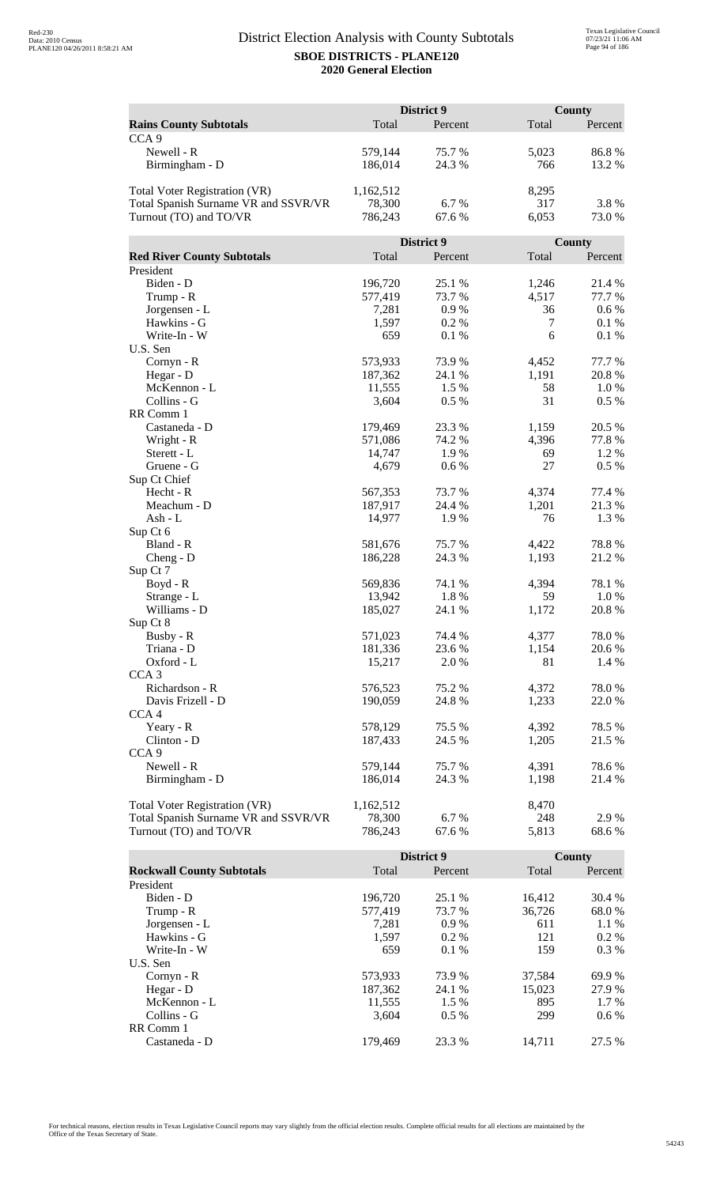|                                      |           | District 9 |       | County  |
|--------------------------------------|-----------|------------|-------|---------|
| <b>Rains County Subtotals</b>        | Total     | Percent    | Total | Percent |
| CCA <sub>9</sub>                     |           |            |       |         |
| Newell - R                           | 579,144   | 75.7%      | 5,023 | 86.8%   |
| Birmingham - D                       | 186,014   | 24.3 %     | 766   | 13.2 %  |
|                                      |           |            |       |         |
| Total Voter Registration (VR)        | 1,162,512 |            | 8,295 |         |
| Total Spanish Surname VR and SSVR/VR | 78,300    | 6.7 %      | 317   | 3.8%    |
| Turnout (TO) and TO/VR               | 786,243   | 67.6 %     | 6,053 | 73.0%   |
|                                      |           |            |       |         |
|                                      |           | District 9 |       | County  |
| <b>Red River County Subtotals</b>    | Total     | Percent    | Total | Percent |
| President                            |           |            |       |         |
|                                      |           |            |       |         |
| Biden - D                            | 196,720   | 25.1 %     | 1,246 | 21.4 %  |
| Trump - R                            | 577,419   | 73.7 %     | 4,517 | 77.7 %  |
| Jorgensen - L                        | 7,281     | 0.9%       | 36    | 0.6 %   |
| Hawkins - G                          | 1,597     | 0.2%       | 7     | 0.1%    |
| Write-In - W                         | 659       | 0.1%       | 6     | 0.1%    |
| U.S. Sen                             |           |            |       |         |
| Cornyn - R                           | 573,933   | 73.9%      | 4,452 | 77.7 %  |
| Hegar - D                            | 187,362   | 24.1 %     | 1,191 | 20.8%   |
| McKennon - L                         | 11,555    | 1.5 %      | 58    | 1.0 %   |
| Collins - G                          | 3,604     | 0.5 %      | 31    | 0.5 %   |
| RR Comm 1                            |           |            |       |         |
| Castaneda - D                        | 179,469   | 23.3 %     | 1,159 | 20.5 %  |
| Wright - R                           | 571,086   | 74.2 %     | 4,396 | 77.8%   |
| Sterett - L                          | 14,747    | 1.9%       | 69    | 1.2%    |
| Gruene - G                           | 4,679     | $0.6\ \%$  | 27    | 0.5 %   |
| Sup Ct Chief                         |           |            |       |         |
| Hecht - R                            | 567,353   | 73.7 %     | 4,374 | 77.4 %  |
| Meachum - D                          | 187,917   | 24.4 %     | 1,201 | 21.3%   |
| Ash - L                              | 14,977    | 1.9%       | 76    | 1.3%    |
| Sup Ct 6                             |           |            |       |         |
| Bland - R                            | 581,676   | 75.7%      | 4,422 | 78.8%   |
| $Cheng - D$                          | 186,228   | 24.3 %     | 1,193 | 21.2%   |
| Sup Ct 7                             |           |            |       |         |
| Boyd - R                             | 569,836   | 74.1 %     | 4,394 | 78.1 %  |
| Strange - L                          | 13,942    | 1.8%       | 59    | 1.0%    |
| Williams - D                         | 185,027   | 24.1 %     | 1,172 | 20.8%   |
| Sup Ct 8                             |           |            |       |         |
| Busby - R                            | 571,023   | 74.4 %     | 4,377 | 78.0%   |
| Triana - D                           | 181,336   | 23.6 %     | 1,154 | 20.6 %  |
| Oxford - L                           | 15,217    | 2.0%       | 81    | 1.4 %   |
| CCA <sub>3</sub>                     |           |            |       |         |
| Richardson - R                       | 576,523   | 75.2 %     | 4,372 | 78.0%   |
| Davis Frizell - D                    | 190,059   | 24.8%      | 1,233 | 22.0 %  |
| CCA <sub>4</sub>                     |           |            |       |         |
| Yeary - R                            | 578,129   | 75.5 %     | 4,392 | 78.5 %  |
| Clinton - D                          | 187,433   | 24.5 %     | 1,205 | 21.5 %  |
| CCA <sub>9</sub>                     |           |            |       |         |
| Newell - R                           | 579,144   | 75.7%      | 4,391 | 78.6%   |
| Birmingham - D                       | 186,014   | 24.3 %     | 1,198 | 21.4 %  |
|                                      |           |            |       |         |
| Total Voter Registration (VR)        | 1,162,512 |            | 8,470 |         |
| Total Spanish Surname VR and SSVR/VR | 78,300    | 6.7%       | 248   | 2.9 %   |
| Turnout (TO) and TO/VR               | 786,243   | 67.6%      | 5,813 | 68.6%   |

|                                  |         | District 9 |        | County  |
|----------------------------------|---------|------------|--------|---------|
| <b>Rockwall County Subtotals</b> | Total   | Percent    | Total  | Percent |
| President                        |         |            |        |         |
| Biden - D                        | 196.720 | 25.1 %     | 16.412 | 30.4 %  |
| Trump - R                        | 577,419 | 73.7 %     | 36,726 | 68.0 %  |
| Jorgensen - L                    | 7.281   | 0.9%       | 611    | $1.1\%$ |
| Hawkins - G                      | 1.597   | $0.2\%$    | 121    | $0.2\%$ |
| Write-In - W                     | 659     | $0.1\%$    | 159    | $0.3\%$ |
| U.S. Sen                         |         |            |        |         |
| Cornyn - R                       | 573,933 | 73.9 %     | 37,584 | 69.9 %  |
| Hegar - D                        | 187,362 | 24.1 %     | 15.023 | 27.9 %  |
| McKennon - L                     | 11.555  | 1.5 %      | 895    | $1.7\%$ |
| Collins - G                      | 3.604   | $0.5\%$    | 299    | $0.6\%$ |
| RR Comm 1                        |         |            |        |         |
| Castaneda - D                    | 179,469 | 23.3 %     | 14.711 | 27.5 %  |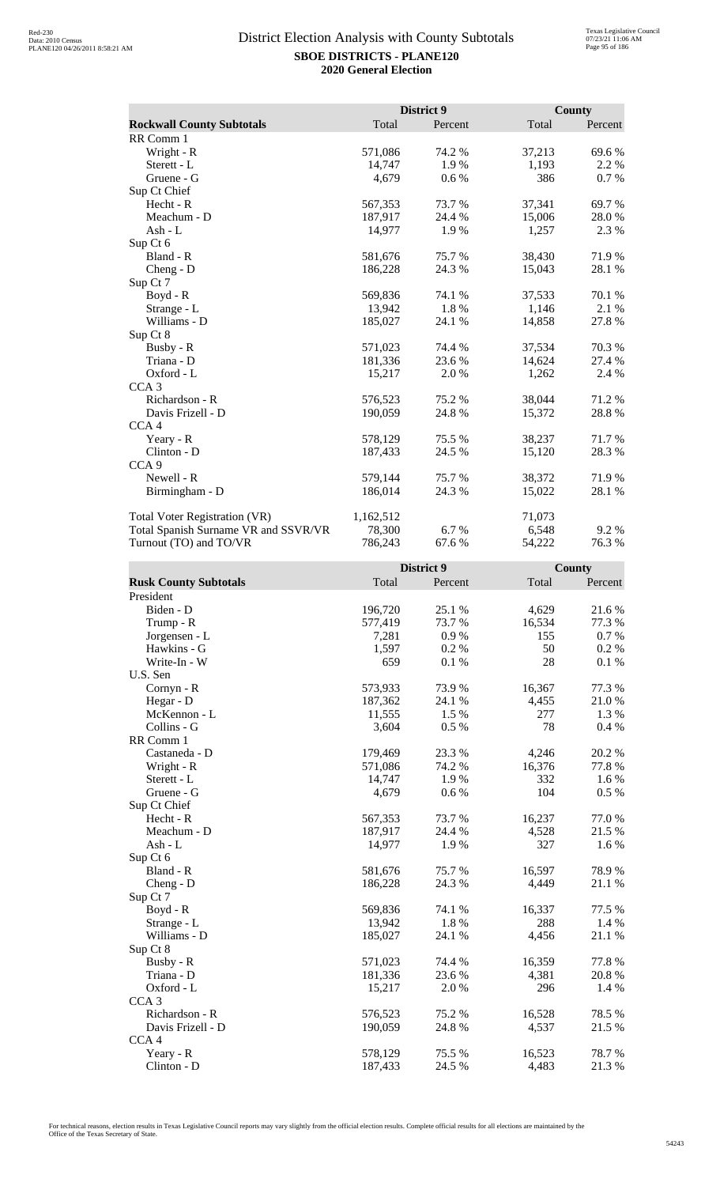|                                      |           | District 9 |        | <b>County</b> |
|--------------------------------------|-----------|------------|--------|---------------|
| <b>Rockwall County Subtotals</b>     | Total     | Percent    | Total  | Percent       |
| RR Comm 1                            |           |            |        |               |
| Wright - R                           | 571,086   | 74.2 %     | 37,213 | 69.6%         |
| Sterett - L                          | 14,747    | 1.9%       | 1,193  | 2.2 %         |
| Gruene - G                           | 4,679     | 0.6 %      | 386    | 0.7%          |
| Sup Ct Chief                         |           |            |        |               |
| Hecht - R                            | 567,353   | 73.7%      | 37,341 | 69.7%         |
| Meachum - D                          | 187,917   | 24.4 %     | 15,006 | 28.0%         |
| Ash - L                              | 14,977    | 1.9%       | 1,257  | 2.3 %         |
| Sup Ct 6                             |           |            |        |               |
| Bland - R                            | 581,676   | 75.7%      | 38,430 | 71.9%         |
| $Cheng - D$                          | 186,228   | 24.3 %     | 15,043 | 28.1 %        |
| Sup Ct 7                             |           |            |        |               |
| $Boyd - R$                           | 569,836   | 74.1 %     | 37,533 | 70.1 %        |
| Strange - L                          | 13,942    | 1.8%       | 1,146  | 2.1 %         |
| Williams - D                         | 185,027   | 24.1 %     | 14,858 | 27.8%         |
| Sup Ct 8                             |           |            |        |               |
| Busby - R                            | 571,023   | 74.4 %     | 37,534 | 70.3 %        |
| Triana - D                           | 181,336   | 23.6 %     | 14,624 | 27.4 %        |
| Oxford - L                           | 15,217    | 2.0 %      | 1,262  | 2.4 %         |
| CCA <sub>3</sub>                     |           |            |        |               |
| Richardson - R                       | 576,523   | 75.2 %     | 38,044 | 71.2%         |
| Davis Frizell - D                    | 190,059   | 24.8%      | 15,372 | 28.8%         |
| CCA <sub>4</sub>                     |           |            |        |               |
| Yeary - R                            | 578,129   | 75.5 %     | 38,237 | 71.7%         |
| Clinton - D                          | 187,433   | 24.5 %     | 15,120 | 28.3%         |
| CCA <sub>9</sub>                     |           |            |        |               |
| Newell - R                           | 579,144   | 75.7%      | 38,372 | 71.9%         |
| Birmingham - D                       | 186,014   | 24.3 %     | 15,022 | 28.1 %        |
| <b>Total Voter Registration (VR)</b> | 1,162,512 |            | 71,073 |               |
| Total Spanish Surname VR and SSVR/VR | 78,300    | 6.7 %      | 6,548  | 9.2 %         |
| Turnout (TO) and TO/VR               | 786,243   | 67.6 %     | 54,222 | 76.3%         |

|                              | District 9 |         | County |         |
|------------------------------|------------|---------|--------|---------|
| <b>Rusk County Subtotals</b> | Total      | Percent | Total  | Percent |
| President                    |            |         |        |         |
| Biden - D                    | 196,720    | 25.1 %  | 4,629  | 21.6%   |
| Trump - R                    | 577,419    | 73.7 %  | 16,534 | 77.3 %  |
| Jorgensen - L                | 7,281      | 0.9%    | 155    | 0.7%    |
| Hawkins - G                  | 1,597      | 0.2%    | 50     | 0.2 %   |
| Write-In - W                 | 659        | 0.1 %   | 28     | 0.1 %   |
| U.S. Sen                     |            |         |        |         |
| Cornyn - R                   | 573,933    | 73.9%   | 16,367 | 77.3 %  |
| Hegar - D                    | 187,362    | 24.1 %  | 4,455  | 21.0%   |
| McKennon - L                 | 11,555     | 1.5 %   | 277    | 1.3%    |
| Collins - G                  | 3,604      | 0.5 %   | 78     | 0.4%    |
| RR Comm 1                    |            |         |        |         |
| Castaneda - D                | 179,469    | 23.3 %  | 4,246  | 20.2 %  |
| Wright - R                   | 571,086    | 74.2 %  | 16,376 | 77.8%   |
| Sterett - L                  | 14,747     | 1.9%    | 332    | 1.6 %   |
| Gruene - G                   | 4,679      | 0.6 %   | 104    | 0.5 %   |
| Sup Ct Chief                 |            |         |        |         |
| Hecht - R                    | 567,353    | 73.7%   | 16,237 | 77.0%   |
| Meachum - D                  | 187,917    | 24.4 %  | 4,528  | 21.5 %  |
| Ash - L                      | 14,977     | 1.9%    | 327    | 1.6 %   |
| Sup Ct 6                     |            |         |        |         |
| Bland - R                    | 581,676    | 75.7 %  | 16,597 | 78.9%   |
| $Cheng - D$                  | 186,228    | 24.3 %  | 4,449  | 21.1 %  |
| Sup Ct 7                     |            |         |        |         |
| Boyd - R                     | 569,836    | 74.1 %  | 16,337 | 77.5 %  |
| Strange - L                  | 13,942     | 1.8%    | 288    | 1.4 %   |
| Williams - D                 | 185,027    | 24.1 %  | 4,456  | 21.1 %  |
| Sup Ct 8                     |            |         |        |         |
| Busby - R                    | 571,023    | 74.4 %  | 16,359 | 77.8 %  |
| Triana - D                   | 181,336    | 23.6 %  | 4,381  | 20.8%   |
| Oxford - L                   | 15,217     | 2.0 %   | 296    | 1.4 %   |
| CCA <sub>3</sub>             |            |         |        |         |
| Richardson - R               | 576,523    | 75.2 %  | 16,528 | 78.5 %  |
| Davis Frizell - D            | 190,059    | 24.8%   | 4,537  | 21.5 %  |
| CCA <sub>4</sub>             |            |         |        |         |
| Yeary - R                    | 578,129    | 75.5 %  | 16,523 | 78.7%   |
| Clinton - D                  | 187,433    | 24.5 %  | 4,483  | 21.3%   |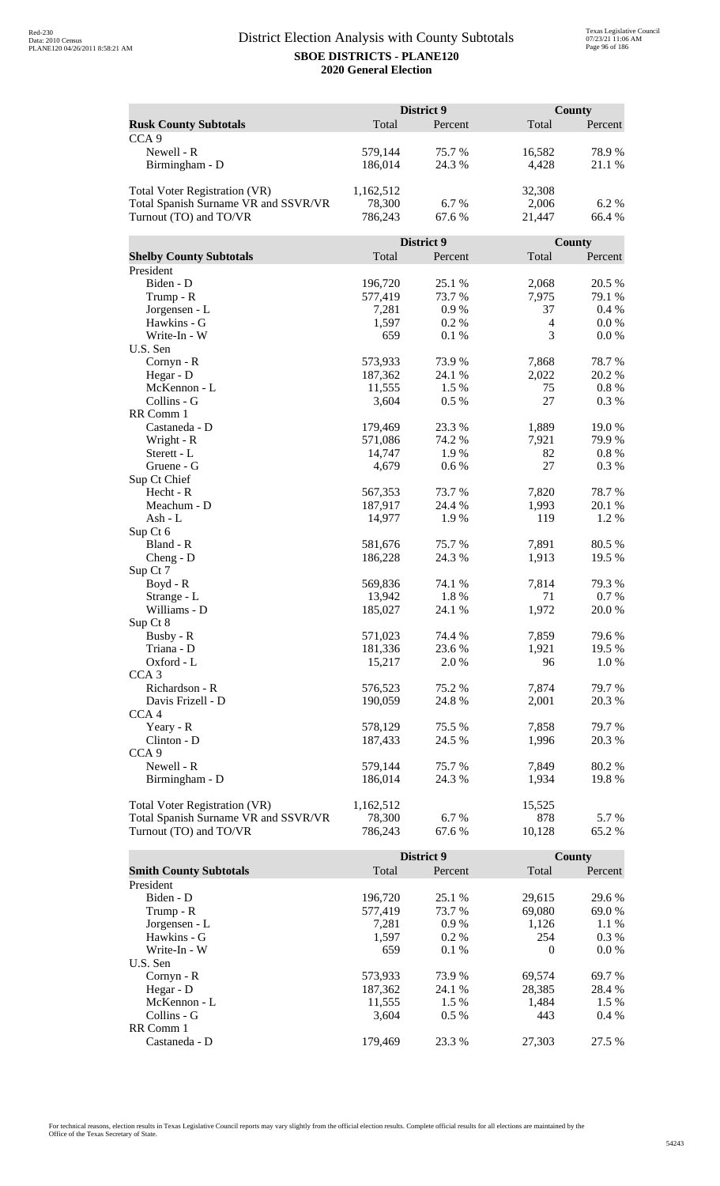| Total<br>Percent<br>Total<br>Percent<br><b>Rusk County Subtotals</b><br>CCA <sub>9</sub><br>Newell - R<br>75.7%<br>78.9%<br>579,144<br>16,582<br>186,014<br>24.3 %<br>4,428<br>21.1%<br>Birmingham - D<br>Total Voter Registration (VR)<br>1,162,512<br>32,308<br>6.7%<br>Total Spanish Surname VR and SSVR/VR<br>78,300<br>2,006<br>6.2%<br>Turnout (TO) and TO/VR<br>67.6%<br>21,447<br>66.4 %<br>786,243<br>District 9<br>County<br><b>Shelby County Subtotals</b><br>Total<br>Total<br>Percent<br>Percent<br>President<br>Biden - D<br>196,720<br>25.1 %<br>2,068<br>20.5 %<br>577,419<br>73.7 %<br>7,975<br>Trump - R<br>79.1 %<br>0.9%<br>37<br>0.4 %<br>Jorgensen - L<br>7,281<br>Hawkins - G<br>1,597<br>0.2%<br>$\overline{4}$<br>0.0 %<br>3<br>Write-In - W<br>659<br>0.1%<br>$0.0\%$<br>U.S. Sen<br>78.7%<br>Cornyn - R<br>573,933<br>73.9%<br>7,868<br>2,022<br>20.2 %<br>187,362<br>24.1 %<br>Hegar - D<br>McKennon - L<br>11,555<br>1.5 %<br>75<br>$0.8 \%$<br>27<br>Collins - G<br>0.5 %<br>0.3%<br>3,604<br>RR Comm 1<br>179,469<br>23.3 %<br>1,889<br>19.0%<br>Castaneda - D<br>Wright - R<br>571,086<br>74.2 %<br>7,921<br>79.9%<br>14,747<br>1.9%<br>82<br>$0.8 \%$<br>Sterett - L<br>27<br>4,679<br>0.3%<br>Gruene - G<br>0.6 %<br>Sup Ct Chief<br>7,820<br>78.7%<br>Hecht - R<br>567,353<br>73.7 %<br>Meachum - D<br>24.4 %<br>187,917<br>1,993<br>20.1 %<br>1.2%<br>14,977<br>1.9%<br>119<br>Ash - L<br>Sup Ct 6<br>Bland - R<br>581,676<br>75.7%<br>7,891<br>80.5 %<br>24.3 %<br>1,913<br>19.5 %<br>186,228<br>$Cheng - D$<br>Sup Ct 7<br>Boyd - R<br>569,836<br>74.1 %<br>7,814<br>79.3 %<br>1.8%<br>71<br>0.7%<br>Strange - L<br>13,942<br>Williams - D<br>185,027<br>24.1 %<br>1,972<br>20.0%<br>Sup Ct 8<br>Busby - R<br>571,023<br>7,859<br>79.6 %<br>74.4 %<br>181,336<br>23.6 %<br>1,921<br>19.5 %<br>Triana - D<br>Oxford - L<br>15,217<br>2.0 %<br>96<br>1.0 %<br>CCA <sub>3</sub><br>Richardson - R<br>7,874<br>576,523<br>75.2 %<br>79.7 %<br>Davis Frizell - D<br>190,059<br>24.8 %<br>2,001<br>20.3 %<br>CCA <sub>4</sub><br>7,858<br>Yeary - R<br>578,129<br>75.5 %<br>79.7 %<br>24.5 %<br>1,996<br>Clinton - D<br>187,433<br>20.3 %<br>CCA <sub>9</sub><br>Newell - R<br>579,144<br>75.7 %<br>7,849<br>80.2 %<br>1,934<br>Birmingham - D<br>186,014<br>24.3 %<br>19.8%<br>Total Voter Registration (VR)<br>15,525<br>1,162,512<br>78,300<br>6.7%<br>878<br>Total Spanish Surname VR and SSVR/VR<br>5.7 %<br>Turnout (TO) and TO/VR<br>786,243<br>67.6 %<br>10,128<br>65.2 % |  | District 9 | County |
|-------------------------------------------------------------------------------------------------------------------------------------------------------------------------------------------------------------------------------------------------------------------------------------------------------------------------------------------------------------------------------------------------------------------------------------------------------------------------------------------------------------------------------------------------------------------------------------------------------------------------------------------------------------------------------------------------------------------------------------------------------------------------------------------------------------------------------------------------------------------------------------------------------------------------------------------------------------------------------------------------------------------------------------------------------------------------------------------------------------------------------------------------------------------------------------------------------------------------------------------------------------------------------------------------------------------------------------------------------------------------------------------------------------------------------------------------------------------------------------------------------------------------------------------------------------------------------------------------------------------------------------------------------------------------------------------------------------------------------------------------------------------------------------------------------------------------------------------------------------------------------------------------------------------------------------------------------------------------------------------------------------------------------------------------------------------------------------------------------------------------------------------------------------------------------------------------------------------------------------------------------------------------------------------------------------------------------------------------------------------------------------------------------------------------------------------------------------------------------------------------------------------|--|------------|--------|
|                                                                                                                                                                                                                                                                                                                                                                                                                                                                                                                                                                                                                                                                                                                                                                                                                                                                                                                                                                                                                                                                                                                                                                                                                                                                                                                                                                                                                                                                                                                                                                                                                                                                                                                                                                                                                                                                                                                                                                                                                                                                                                                                                                                                                                                                                                                                                                                                                                                                                                                   |  |            |        |
|                                                                                                                                                                                                                                                                                                                                                                                                                                                                                                                                                                                                                                                                                                                                                                                                                                                                                                                                                                                                                                                                                                                                                                                                                                                                                                                                                                                                                                                                                                                                                                                                                                                                                                                                                                                                                                                                                                                                                                                                                                                                                                                                                                                                                                                                                                                                                                                                                                                                                                                   |  |            |        |
|                                                                                                                                                                                                                                                                                                                                                                                                                                                                                                                                                                                                                                                                                                                                                                                                                                                                                                                                                                                                                                                                                                                                                                                                                                                                                                                                                                                                                                                                                                                                                                                                                                                                                                                                                                                                                                                                                                                                                                                                                                                                                                                                                                                                                                                                                                                                                                                                                                                                                                                   |  |            |        |
|                                                                                                                                                                                                                                                                                                                                                                                                                                                                                                                                                                                                                                                                                                                                                                                                                                                                                                                                                                                                                                                                                                                                                                                                                                                                                                                                                                                                                                                                                                                                                                                                                                                                                                                                                                                                                                                                                                                                                                                                                                                                                                                                                                                                                                                                                                                                                                                                                                                                                                                   |  |            |        |
|                                                                                                                                                                                                                                                                                                                                                                                                                                                                                                                                                                                                                                                                                                                                                                                                                                                                                                                                                                                                                                                                                                                                                                                                                                                                                                                                                                                                                                                                                                                                                                                                                                                                                                                                                                                                                                                                                                                                                                                                                                                                                                                                                                                                                                                                                                                                                                                                                                                                                                                   |  |            |        |
|                                                                                                                                                                                                                                                                                                                                                                                                                                                                                                                                                                                                                                                                                                                                                                                                                                                                                                                                                                                                                                                                                                                                                                                                                                                                                                                                                                                                                                                                                                                                                                                                                                                                                                                                                                                                                                                                                                                                                                                                                                                                                                                                                                                                                                                                                                                                                                                                                                                                                                                   |  |            |        |
|                                                                                                                                                                                                                                                                                                                                                                                                                                                                                                                                                                                                                                                                                                                                                                                                                                                                                                                                                                                                                                                                                                                                                                                                                                                                                                                                                                                                                                                                                                                                                                                                                                                                                                                                                                                                                                                                                                                                                                                                                                                                                                                                                                                                                                                                                                                                                                                                                                                                                                                   |  |            |        |
|                                                                                                                                                                                                                                                                                                                                                                                                                                                                                                                                                                                                                                                                                                                                                                                                                                                                                                                                                                                                                                                                                                                                                                                                                                                                                                                                                                                                                                                                                                                                                                                                                                                                                                                                                                                                                                                                                                                                                                                                                                                                                                                                                                                                                                                                                                                                                                                                                                                                                                                   |  |            |        |
|                                                                                                                                                                                                                                                                                                                                                                                                                                                                                                                                                                                                                                                                                                                                                                                                                                                                                                                                                                                                                                                                                                                                                                                                                                                                                                                                                                                                                                                                                                                                                                                                                                                                                                                                                                                                                                                                                                                                                                                                                                                                                                                                                                                                                                                                                                                                                                                                                                                                                                                   |  |            |        |
|                                                                                                                                                                                                                                                                                                                                                                                                                                                                                                                                                                                                                                                                                                                                                                                                                                                                                                                                                                                                                                                                                                                                                                                                                                                                                                                                                                                                                                                                                                                                                                                                                                                                                                                                                                                                                                                                                                                                                                                                                                                                                                                                                                                                                                                                                                                                                                                                                                                                                                                   |  |            |        |
|                                                                                                                                                                                                                                                                                                                                                                                                                                                                                                                                                                                                                                                                                                                                                                                                                                                                                                                                                                                                                                                                                                                                                                                                                                                                                                                                                                                                                                                                                                                                                                                                                                                                                                                                                                                                                                                                                                                                                                                                                                                                                                                                                                                                                                                                                                                                                                                                                                                                                                                   |  |            |        |
|                                                                                                                                                                                                                                                                                                                                                                                                                                                                                                                                                                                                                                                                                                                                                                                                                                                                                                                                                                                                                                                                                                                                                                                                                                                                                                                                                                                                                                                                                                                                                                                                                                                                                                                                                                                                                                                                                                                                                                                                                                                                                                                                                                                                                                                                                                                                                                                                                                                                                                                   |  |            |        |
|                                                                                                                                                                                                                                                                                                                                                                                                                                                                                                                                                                                                                                                                                                                                                                                                                                                                                                                                                                                                                                                                                                                                                                                                                                                                                                                                                                                                                                                                                                                                                                                                                                                                                                                                                                                                                                                                                                                                                                                                                                                                                                                                                                                                                                                                                                                                                                                                                                                                                                                   |  |            |        |
|                                                                                                                                                                                                                                                                                                                                                                                                                                                                                                                                                                                                                                                                                                                                                                                                                                                                                                                                                                                                                                                                                                                                                                                                                                                                                                                                                                                                                                                                                                                                                                                                                                                                                                                                                                                                                                                                                                                                                                                                                                                                                                                                                                                                                                                                                                                                                                                                                                                                                                                   |  |            |        |
|                                                                                                                                                                                                                                                                                                                                                                                                                                                                                                                                                                                                                                                                                                                                                                                                                                                                                                                                                                                                                                                                                                                                                                                                                                                                                                                                                                                                                                                                                                                                                                                                                                                                                                                                                                                                                                                                                                                                                                                                                                                                                                                                                                                                                                                                                                                                                                                                                                                                                                                   |  |            |        |
|                                                                                                                                                                                                                                                                                                                                                                                                                                                                                                                                                                                                                                                                                                                                                                                                                                                                                                                                                                                                                                                                                                                                                                                                                                                                                                                                                                                                                                                                                                                                                                                                                                                                                                                                                                                                                                                                                                                                                                                                                                                                                                                                                                                                                                                                                                                                                                                                                                                                                                                   |  |            |        |
|                                                                                                                                                                                                                                                                                                                                                                                                                                                                                                                                                                                                                                                                                                                                                                                                                                                                                                                                                                                                                                                                                                                                                                                                                                                                                                                                                                                                                                                                                                                                                                                                                                                                                                                                                                                                                                                                                                                                                                                                                                                                                                                                                                                                                                                                                                                                                                                                                                                                                                                   |  |            |        |
|                                                                                                                                                                                                                                                                                                                                                                                                                                                                                                                                                                                                                                                                                                                                                                                                                                                                                                                                                                                                                                                                                                                                                                                                                                                                                                                                                                                                                                                                                                                                                                                                                                                                                                                                                                                                                                                                                                                                                                                                                                                                                                                                                                                                                                                                                                                                                                                                                                                                                                                   |  |            |        |
|                                                                                                                                                                                                                                                                                                                                                                                                                                                                                                                                                                                                                                                                                                                                                                                                                                                                                                                                                                                                                                                                                                                                                                                                                                                                                                                                                                                                                                                                                                                                                                                                                                                                                                                                                                                                                                                                                                                                                                                                                                                                                                                                                                                                                                                                                                                                                                                                                                                                                                                   |  |            |        |
|                                                                                                                                                                                                                                                                                                                                                                                                                                                                                                                                                                                                                                                                                                                                                                                                                                                                                                                                                                                                                                                                                                                                                                                                                                                                                                                                                                                                                                                                                                                                                                                                                                                                                                                                                                                                                                                                                                                                                                                                                                                                                                                                                                                                                                                                                                                                                                                                                                                                                                                   |  |            |        |
|                                                                                                                                                                                                                                                                                                                                                                                                                                                                                                                                                                                                                                                                                                                                                                                                                                                                                                                                                                                                                                                                                                                                                                                                                                                                                                                                                                                                                                                                                                                                                                                                                                                                                                                                                                                                                                                                                                                                                                                                                                                                                                                                                                                                                                                                                                                                                                                                                                                                                                                   |  |            |        |
|                                                                                                                                                                                                                                                                                                                                                                                                                                                                                                                                                                                                                                                                                                                                                                                                                                                                                                                                                                                                                                                                                                                                                                                                                                                                                                                                                                                                                                                                                                                                                                                                                                                                                                                                                                                                                                                                                                                                                                                                                                                                                                                                                                                                                                                                                                                                                                                                                                                                                                                   |  |            |        |
|                                                                                                                                                                                                                                                                                                                                                                                                                                                                                                                                                                                                                                                                                                                                                                                                                                                                                                                                                                                                                                                                                                                                                                                                                                                                                                                                                                                                                                                                                                                                                                                                                                                                                                                                                                                                                                                                                                                                                                                                                                                                                                                                                                                                                                                                                                                                                                                                                                                                                                                   |  |            |        |
|                                                                                                                                                                                                                                                                                                                                                                                                                                                                                                                                                                                                                                                                                                                                                                                                                                                                                                                                                                                                                                                                                                                                                                                                                                                                                                                                                                                                                                                                                                                                                                                                                                                                                                                                                                                                                                                                                                                                                                                                                                                                                                                                                                                                                                                                                                                                                                                                                                                                                                                   |  |            |        |
|                                                                                                                                                                                                                                                                                                                                                                                                                                                                                                                                                                                                                                                                                                                                                                                                                                                                                                                                                                                                                                                                                                                                                                                                                                                                                                                                                                                                                                                                                                                                                                                                                                                                                                                                                                                                                                                                                                                                                                                                                                                                                                                                                                                                                                                                                                                                                                                                                                                                                                                   |  |            |        |
|                                                                                                                                                                                                                                                                                                                                                                                                                                                                                                                                                                                                                                                                                                                                                                                                                                                                                                                                                                                                                                                                                                                                                                                                                                                                                                                                                                                                                                                                                                                                                                                                                                                                                                                                                                                                                                                                                                                                                                                                                                                                                                                                                                                                                                                                                                                                                                                                                                                                                                                   |  |            |        |
|                                                                                                                                                                                                                                                                                                                                                                                                                                                                                                                                                                                                                                                                                                                                                                                                                                                                                                                                                                                                                                                                                                                                                                                                                                                                                                                                                                                                                                                                                                                                                                                                                                                                                                                                                                                                                                                                                                                                                                                                                                                                                                                                                                                                                                                                                                                                                                                                                                                                                                                   |  |            |        |
|                                                                                                                                                                                                                                                                                                                                                                                                                                                                                                                                                                                                                                                                                                                                                                                                                                                                                                                                                                                                                                                                                                                                                                                                                                                                                                                                                                                                                                                                                                                                                                                                                                                                                                                                                                                                                                                                                                                                                                                                                                                                                                                                                                                                                                                                                                                                                                                                                                                                                                                   |  |            |        |
|                                                                                                                                                                                                                                                                                                                                                                                                                                                                                                                                                                                                                                                                                                                                                                                                                                                                                                                                                                                                                                                                                                                                                                                                                                                                                                                                                                                                                                                                                                                                                                                                                                                                                                                                                                                                                                                                                                                                                                                                                                                                                                                                                                                                                                                                                                                                                                                                                                                                                                                   |  |            |        |
|                                                                                                                                                                                                                                                                                                                                                                                                                                                                                                                                                                                                                                                                                                                                                                                                                                                                                                                                                                                                                                                                                                                                                                                                                                                                                                                                                                                                                                                                                                                                                                                                                                                                                                                                                                                                                                                                                                                                                                                                                                                                                                                                                                                                                                                                                                                                                                                                                                                                                                                   |  |            |        |
|                                                                                                                                                                                                                                                                                                                                                                                                                                                                                                                                                                                                                                                                                                                                                                                                                                                                                                                                                                                                                                                                                                                                                                                                                                                                                                                                                                                                                                                                                                                                                                                                                                                                                                                                                                                                                                                                                                                                                                                                                                                                                                                                                                                                                                                                                                                                                                                                                                                                                                                   |  |            |        |
|                                                                                                                                                                                                                                                                                                                                                                                                                                                                                                                                                                                                                                                                                                                                                                                                                                                                                                                                                                                                                                                                                                                                                                                                                                                                                                                                                                                                                                                                                                                                                                                                                                                                                                                                                                                                                                                                                                                                                                                                                                                                                                                                                                                                                                                                                                                                                                                                                                                                                                                   |  |            |        |
|                                                                                                                                                                                                                                                                                                                                                                                                                                                                                                                                                                                                                                                                                                                                                                                                                                                                                                                                                                                                                                                                                                                                                                                                                                                                                                                                                                                                                                                                                                                                                                                                                                                                                                                                                                                                                                                                                                                                                                                                                                                                                                                                                                                                                                                                                                                                                                                                                                                                                                                   |  |            |        |
|                                                                                                                                                                                                                                                                                                                                                                                                                                                                                                                                                                                                                                                                                                                                                                                                                                                                                                                                                                                                                                                                                                                                                                                                                                                                                                                                                                                                                                                                                                                                                                                                                                                                                                                                                                                                                                                                                                                                                                                                                                                                                                                                                                                                                                                                                                                                                                                                                                                                                                                   |  |            |        |
|                                                                                                                                                                                                                                                                                                                                                                                                                                                                                                                                                                                                                                                                                                                                                                                                                                                                                                                                                                                                                                                                                                                                                                                                                                                                                                                                                                                                                                                                                                                                                                                                                                                                                                                                                                                                                                                                                                                                                                                                                                                                                                                                                                                                                                                                                                                                                                                                                                                                                                                   |  |            |        |
|                                                                                                                                                                                                                                                                                                                                                                                                                                                                                                                                                                                                                                                                                                                                                                                                                                                                                                                                                                                                                                                                                                                                                                                                                                                                                                                                                                                                                                                                                                                                                                                                                                                                                                                                                                                                                                                                                                                                                                                                                                                                                                                                                                                                                                                                                                                                                                                                                                                                                                                   |  |            |        |
|                                                                                                                                                                                                                                                                                                                                                                                                                                                                                                                                                                                                                                                                                                                                                                                                                                                                                                                                                                                                                                                                                                                                                                                                                                                                                                                                                                                                                                                                                                                                                                                                                                                                                                                                                                                                                                                                                                                                                                                                                                                                                                                                                                                                                                                                                                                                                                                                                                                                                                                   |  |            |        |
|                                                                                                                                                                                                                                                                                                                                                                                                                                                                                                                                                                                                                                                                                                                                                                                                                                                                                                                                                                                                                                                                                                                                                                                                                                                                                                                                                                                                                                                                                                                                                                                                                                                                                                                                                                                                                                                                                                                                                                                                                                                                                                                                                                                                                                                                                                                                                                                                                                                                                                                   |  |            |        |
|                                                                                                                                                                                                                                                                                                                                                                                                                                                                                                                                                                                                                                                                                                                                                                                                                                                                                                                                                                                                                                                                                                                                                                                                                                                                                                                                                                                                                                                                                                                                                                                                                                                                                                                                                                                                                                                                                                                                                                                                                                                                                                                                                                                                                                                                                                                                                                                                                                                                                                                   |  |            |        |
|                                                                                                                                                                                                                                                                                                                                                                                                                                                                                                                                                                                                                                                                                                                                                                                                                                                                                                                                                                                                                                                                                                                                                                                                                                                                                                                                                                                                                                                                                                                                                                                                                                                                                                                                                                                                                                                                                                                                                                                                                                                                                                                                                                                                                                                                                                                                                                                                                                                                                                                   |  |            |        |
|                                                                                                                                                                                                                                                                                                                                                                                                                                                                                                                                                                                                                                                                                                                                                                                                                                                                                                                                                                                                                                                                                                                                                                                                                                                                                                                                                                                                                                                                                                                                                                                                                                                                                                                                                                                                                                                                                                                                                                                                                                                                                                                                                                                                                                                                                                                                                                                                                                                                                                                   |  |            |        |
|                                                                                                                                                                                                                                                                                                                                                                                                                                                                                                                                                                                                                                                                                                                                                                                                                                                                                                                                                                                                                                                                                                                                                                                                                                                                                                                                                                                                                                                                                                                                                                                                                                                                                                                                                                                                                                                                                                                                                                                                                                                                                                                                                                                                                                                                                                                                                                                                                                                                                                                   |  |            |        |
|                                                                                                                                                                                                                                                                                                                                                                                                                                                                                                                                                                                                                                                                                                                                                                                                                                                                                                                                                                                                                                                                                                                                                                                                                                                                                                                                                                                                                                                                                                                                                                                                                                                                                                                                                                                                                                                                                                                                                                                                                                                                                                                                                                                                                                                                                                                                                                                                                                                                                                                   |  |            |        |
|                                                                                                                                                                                                                                                                                                                                                                                                                                                                                                                                                                                                                                                                                                                                                                                                                                                                                                                                                                                                                                                                                                                                                                                                                                                                                                                                                                                                                                                                                                                                                                                                                                                                                                                                                                                                                                                                                                                                                                                                                                                                                                                                                                                                                                                                                                                                                                                                                                                                                                                   |  |            |        |
|                                                                                                                                                                                                                                                                                                                                                                                                                                                                                                                                                                                                                                                                                                                                                                                                                                                                                                                                                                                                                                                                                                                                                                                                                                                                                                                                                                                                                                                                                                                                                                                                                                                                                                                                                                                                                                                                                                                                                                                                                                                                                                                                                                                                                                                                                                                                                                                                                                                                                                                   |  |            |        |
|                                                                                                                                                                                                                                                                                                                                                                                                                                                                                                                                                                                                                                                                                                                                                                                                                                                                                                                                                                                                                                                                                                                                                                                                                                                                                                                                                                                                                                                                                                                                                                                                                                                                                                                                                                                                                                                                                                                                                                                                                                                                                                                                                                                                                                                                                                                                                                                                                                                                                                                   |  |            |        |
|                                                                                                                                                                                                                                                                                                                                                                                                                                                                                                                                                                                                                                                                                                                                                                                                                                                                                                                                                                                                                                                                                                                                                                                                                                                                                                                                                                                                                                                                                                                                                                                                                                                                                                                                                                                                                                                                                                                                                                                                                                                                                                                                                                                                                                                                                                                                                                                                                                                                                                                   |  |            |        |
|                                                                                                                                                                                                                                                                                                                                                                                                                                                                                                                                                                                                                                                                                                                                                                                                                                                                                                                                                                                                                                                                                                                                                                                                                                                                                                                                                                                                                                                                                                                                                                                                                                                                                                                                                                                                                                                                                                                                                                                                                                                                                                                                                                                                                                                                                                                                                                                                                                                                                                                   |  |            |        |
|                                                                                                                                                                                                                                                                                                                                                                                                                                                                                                                                                                                                                                                                                                                                                                                                                                                                                                                                                                                                                                                                                                                                                                                                                                                                                                                                                                                                                                                                                                                                                                                                                                                                                                                                                                                                                                                                                                                                                                                                                                                                                                                                                                                                                                                                                                                                                                                                                                                                                                                   |  |            |        |
|                                                                                                                                                                                                                                                                                                                                                                                                                                                                                                                                                                                                                                                                                                                                                                                                                                                                                                                                                                                                                                                                                                                                                                                                                                                                                                                                                                                                                                                                                                                                                                                                                                                                                                                                                                                                                                                                                                                                                                                                                                                                                                                                                                                                                                                                                                                                                                                                                                                                                                                   |  |            |        |
|                                                                                                                                                                                                                                                                                                                                                                                                                                                                                                                                                                                                                                                                                                                                                                                                                                                                                                                                                                                                                                                                                                                                                                                                                                                                                                                                                                                                                                                                                                                                                                                                                                                                                                                                                                                                                                                                                                                                                                                                                                                                                                                                                                                                                                                                                                                                                                                                                                                                                                                   |  |            |        |
|                                                                                                                                                                                                                                                                                                                                                                                                                                                                                                                                                                                                                                                                                                                                                                                                                                                                                                                                                                                                                                                                                                                                                                                                                                                                                                                                                                                                                                                                                                                                                                                                                                                                                                                                                                                                                                                                                                                                                                                                                                                                                                                                                                                                                                                                                                                                                                                                                                                                                                                   |  |            |        |
|                                                                                                                                                                                                                                                                                                                                                                                                                                                                                                                                                                                                                                                                                                                                                                                                                                                                                                                                                                                                                                                                                                                                                                                                                                                                                                                                                                                                                                                                                                                                                                                                                                                                                                                                                                                                                                                                                                                                                                                                                                                                                                                                                                                                                                                                                                                                                                                                                                                                                                                   |  |            |        |
|                                                                                                                                                                                                                                                                                                                                                                                                                                                                                                                                                                                                                                                                                                                                                                                                                                                                                                                                                                                                                                                                                                                                                                                                                                                                                                                                                                                                                                                                                                                                                                                                                                                                                                                                                                                                                                                                                                                                                                                                                                                                                                                                                                                                                                                                                                                                                                                                                                                                                                                   |  |            |        |

|                               |         | <b>District 9</b> |          | County  |  |
|-------------------------------|---------|-------------------|----------|---------|--|
| <b>Smith County Subtotals</b> | Total   | Percent           | Total    | Percent |  |
| President                     |         |                   |          |         |  |
| Biden - D                     | 196,720 | 25.1 %            | 29,615   | 29.6 %  |  |
| Trump - R                     | 577,419 | 73.7 %            | 69,080   | 69.0 %  |  |
| Jorgensen - L                 | 7.281   | $0.9\%$           | 1,126    | $1.1\%$ |  |
| Hawkins - G                   | 1,597   | $0.2\%$           | 254      | $0.3\%$ |  |
| Write-In - W                  | 659     | $0.1\%$           | $\Omega$ | $0.0\%$ |  |
| U.S. Sen                      |         |                   |          |         |  |
| Cornyn - R                    | 573,933 | 73.9 %            | 69.574   | 69.7 %  |  |
| Hegar - $D$                   | 187,362 | 24.1 %            | 28.385   | 28.4 %  |  |
| McKennon - L                  | 11,555  | 1.5 %             | 1,484    | $1.5\%$ |  |
| Collins - G                   | 3.604   | $0.5\%$           | 443      | $0.4\%$ |  |
| RR Comm 1                     |         |                   |          |         |  |
| Castaneda - D                 | 179.469 | 23.3 %            | 27.303   | 27.5 %  |  |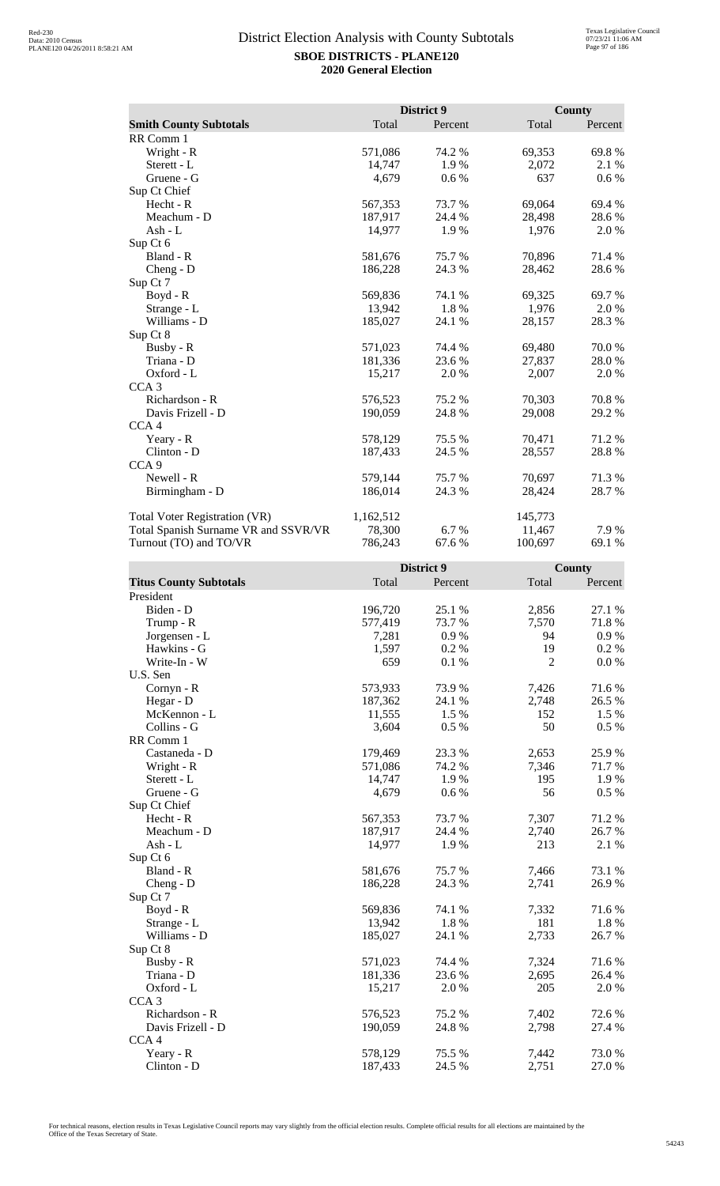|                                      |           | District 9 |         | <b>County</b> |
|--------------------------------------|-----------|------------|---------|---------------|
| <b>Smith County Subtotals</b>        | Total     | Percent    | Total   | Percent       |
| RR Comm 1                            |           |            |         |               |
| Wright - R                           | 571,086   | 74.2 %     | 69,353  | 69.8%         |
| Sterett - L                          | 14,747    | 1.9%       | 2,072   | 2.1 %         |
| Gruene - G                           | 4,679     | 0.6 %      | 637     | $0.6\,\%$     |
| Sup Ct Chief                         |           |            |         |               |
| Hecht - R                            | 567,353   | 73.7%      | 69,064  | 69.4 %        |
| Meachum - D                          | 187,917   | 24.4 %     | 28,498  | 28.6%         |
| Ash - L                              | 14,977    | 1.9%       | 1,976   | 2.0%          |
| Sup Ct 6                             |           |            |         |               |
| Bland - R                            | 581,676   | 75.7 %     | 70,896  | 71.4 %        |
| $Cheng - D$                          | 186,228   | 24.3 %     | 28,462  | 28.6 %        |
| Sup Ct 7                             |           |            |         |               |
| $Boyd - R$                           | 569,836   | 74.1 %     | 69,325  | 69.7 %        |
| Strange - L                          | 13,942    | 1.8%       | 1,976   | 2.0 %         |
| Williams - D                         | 185,027   | 24.1 %     | 28,157  | 28.3 %        |
| Sup Ct 8                             |           |            |         |               |
| Busby - R                            | 571,023   | 74.4 %     | 69,480  | 70.0%         |
| Triana - D                           | 181,336   | 23.6 %     | 27,837  | 28.0%         |
| Oxford - L                           | 15,217    | 2.0%       | 2,007   | 2.0 %         |
| CCA <sub>3</sub>                     |           |            |         |               |
| Richardson - R                       | 576,523   | 75.2 %     | 70,303  | 70.8%         |
| Davis Frizell - D                    | 190,059   | 24.8%      | 29,008  | 29.2 %        |
| CCA <sub>4</sub>                     |           |            |         |               |
| Yeary - R                            | 578,129   | 75.5 %     | 70,471  | 71.2 %        |
| Clinton - D                          | 187,433   | 24.5 %     | 28,557  | 28.8%         |
| CCA <sub>9</sub>                     |           |            |         |               |
| Newell - R                           | 579,144   | 75.7 %     | 70,697  | 71.3%         |
| Birmingham - D                       | 186,014   | 24.3 %     | 28,424  | 28.7%         |
| <b>Total Voter Registration (VR)</b> | 1,162,512 |            | 145,773 |               |
| Total Spanish Surname VR and SSVR/VR | 78,300    | 6.7 %      | 11,467  | 7.9 %         |
| Turnout (TO) and TO/VR               | 786,243   | 67.6 %     | 100,697 | 69.1 %        |

|                               |         | District 9 |                | County  |
|-------------------------------|---------|------------|----------------|---------|
| <b>Titus County Subtotals</b> | Total   | Percent    | Total          | Percent |
| President                     |         |            |                |         |
| Biden - D                     | 196,720 | 25.1 %     | 2,856          | 27.1 %  |
| Trump - R                     | 577,419 | 73.7 %     | 7,570          | 71.8%   |
| Jorgensen - L                 | 7,281   | 0.9%       | 94             | 0.9%    |
| Hawkins - G                   | 1,597   | 0.2%       | 19             | 0.2 %   |
| Write-In - W                  | 659     | 0.1%       | $\overline{2}$ | 0.0 %   |
| U.S. Sen                      |         |            |                |         |
| Cornyn - R                    | 573,933 | 73.9%      | 7,426          | 71.6%   |
| Hegar - D                     | 187,362 | 24.1 %     | 2,748          | 26.5 %  |
| McKennon - L                  | 11,555  | 1.5 %      | 152            | 1.5 %   |
| Collins - G                   | 3,604   | 0.5%       | 50             | 0.5 %   |
| RR Comm 1                     |         |            |                |         |
| Castaneda - D                 | 179,469 | 23.3 %     | 2,653          | 25.9%   |
| Wright - R                    | 571,086 | 74.2 %     | 7,346          | 71.7%   |
| Sterett - L                   | 14,747  | 1.9%       | 195            | 1.9%    |
| Gruene - G                    | 4,679   | 0.6 %      | 56             | 0.5 %   |
| Sup Ct Chief                  |         |            |                |         |
| $Hecht - R$                   | 567,353 | 73.7%      | 7,307          | 71.2%   |
| Meachum - D                   | 187,917 | 24.4 %     | 2,740          | 26.7 %  |
| Ash - L                       | 14,977  | 1.9%       | 213            | 2.1 %   |
| Sup Ct 6                      |         |            |                |         |
| Bland - R                     | 581,676 | 75.7 %     | 7,466          | 73.1 %  |
| $Cheng - D$                   | 186,228 | 24.3 %     | 2,741          | 26.9%   |
| Sup Ct 7                      |         |            |                |         |
| Boyd - R                      | 569,836 | 74.1 %     | 7,332          | 71.6%   |
| Strange - L                   | 13,942  | 1.8%       | 181            | 1.8%    |
| Williams - D                  | 185,027 | 24.1 %     | 2,733          | 26.7%   |
| Sup Ct 8                      |         |            |                |         |
| Busby - R                     | 571,023 | 74.4 %     | 7,324          | 71.6%   |
| Triana - D                    | 181,336 | 23.6 %     | 2,695          | 26.4 %  |
| Oxford - L                    | 15,217  | 2.0 %      | 205            | 2.0%    |
| CCA <sub>3</sub>              |         |            |                |         |
| Richardson - R                | 576,523 | 75.2 %     | 7,402          | 72.6 %  |
| Davis Frizell - D             | 190,059 | 24.8 %     | 2,798          | 27.4 %  |
| CCA <sub>4</sub>              |         |            |                |         |
| Yeary - R                     | 578,129 | 75.5 %     | 7,442          | 73.0%   |
| Clinton - D                   | 187,433 | 24.5 %     | 2,751          | 27.0%   |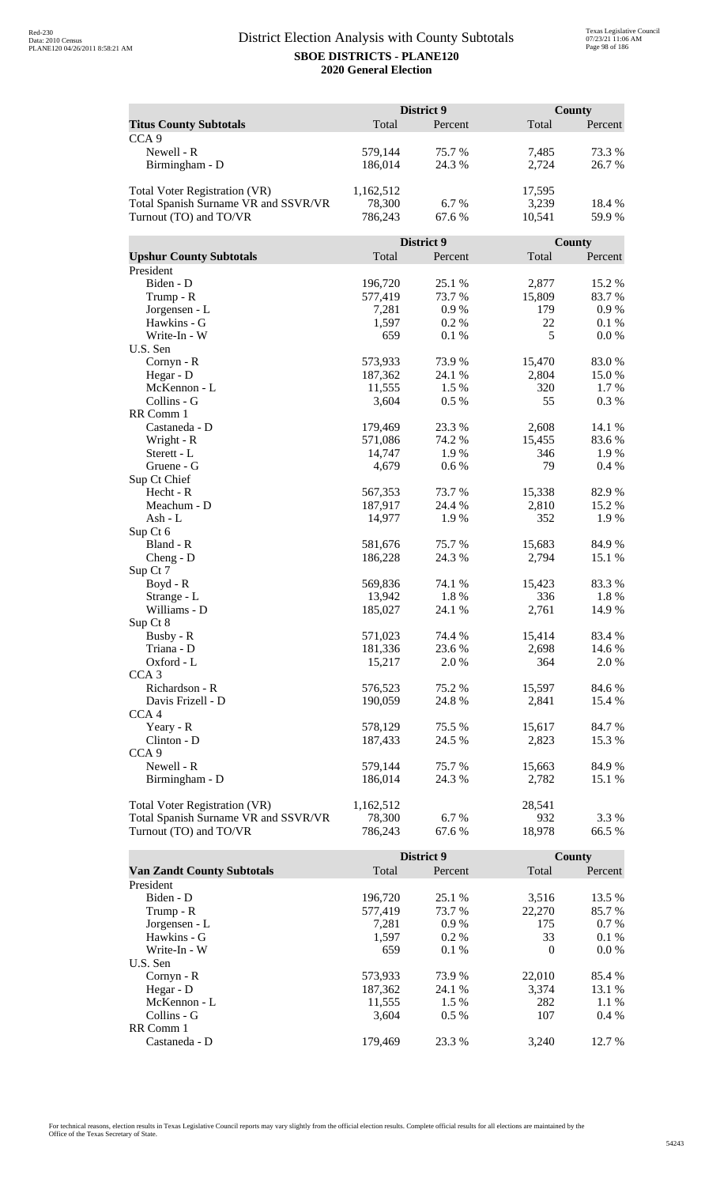|                                       | District 9 |                  |               | County         |  |
|---------------------------------------|------------|------------------|---------------|----------------|--|
| <b>Titus County Subtotals</b>         | Total      | Percent          | Total         | Percent        |  |
| CCA <sub>9</sub>                      |            |                  |               |                |  |
| Newell - R                            | 579,144    | 75.7%            | 7,485         | 73.3 %         |  |
| Birmingham - D                        | 186,014    | 24.3 %           | 2,724         | 26.7%          |  |
|                                       |            |                  |               |                |  |
| Total Voter Registration (VR)         | 1,162,512  |                  | 17,595        |                |  |
| Total Spanish Surname VR and SSVR/VR  | 78,300     | 6.7%             | 3,239         | 18.4 %         |  |
| Turnout (TO) and TO/VR                | 786,243    | 67.6 %           | 10,541        | 59.9%          |  |
|                                       |            |                  |               |                |  |
|                                       |            | District 9       |               | County         |  |
| <b>Upshur County Subtotals</b>        | Total      | Percent          | Total         | Percent        |  |
| President                             |            |                  |               |                |  |
| Biden - D                             | 196,720    | 25.1 %           | 2,877         | 15.2 %         |  |
| Trump - R                             | 577,419    | 73.7 %           | 15,809        | 83.7%          |  |
| Jorgensen - L                         | 7,281      | 0.9%             | 179           | 0.9%           |  |
| Hawkins - G                           | 1,597      | 0.2%             | 22            | 0.1%           |  |
| Write-In - W                          | 659        | 0.1%             | 5             | 0.0 %          |  |
| U.S. Sen                              |            |                  |               |                |  |
| Cornyn - R                            | 573,933    | 73.9%            | 15,470        | 83.0%          |  |
| Hegar - D                             | 187,362    | 24.1 %           | 2,804         | 15.0%          |  |
| McKennon - L                          | 11,555     | 1.5 %            | 320           | 1.7 %          |  |
| Collins - G                           | 3,604      | 0.5 %            | 55            | 0.3%           |  |
| RR Comm 1                             |            |                  |               |                |  |
| Castaneda - D                         | 179,469    | 23.3 %           | 2,608         | 14.1 %         |  |
|                                       | 571,086    | 74.2 %           | 15,455        | 83.6%          |  |
| Wright - R<br>Sterett - L             | 14,747     | 1.9%             | 346           | 1.9%           |  |
| Gruene - G                            | 4,679      |                  | 79            | 0.4%           |  |
|                                       |            | 0.6 %            |               |                |  |
| Sup Ct Chief                          |            |                  |               |                |  |
| Hecht - R                             | 567,353    | 73.7 %           | 15,338        | 82.9%          |  |
| Meachum - D                           | 187,917    | 24.4 %           | 2,810         | 15.2 %<br>1.9% |  |
| Ash - L                               | 14,977     | 1.9%             | 352           |                |  |
| Sup Ct 6<br>Bland - R                 | 581,676    | 75.7%            | 15,683        | 84.9%          |  |
|                                       |            | 24.3 %           |               | 15.1 %         |  |
| $Cheng - D$<br>Sup Ct 7               | 186,228    |                  | 2,794         |                |  |
| Boyd - R                              | 569,836    | 74.1 %           |               | 83.3%          |  |
|                                       | 13,942     | 1.8%             | 15,423<br>336 | 1.8%           |  |
| Strange - L<br>Williams - D           | 185,027    |                  |               | 14.9%          |  |
|                                       |            | 24.1 %           | 2,761         |                |  |
| Sup Ct 8<br>Busby - R                 | 571,023    |                  | 15,414        |                |  |
| Triana - D                            |            | 74.4 %<br>23.6 % |               | 83.4 %         |  |
|                                       | 181,336    |                  | 2,698         | 14.6 %         |  |
| Oxford - L<br>CCA <sub>3</sub>        | 15,217     | 2.0 %            | 364           | 2.0 %          |  |
| Richardson - R                        | 576,523    | 75.2 %           | 15,597        |                |  |
|                                       |            | 24.8%            |               | 84.6 %         |  |
| Davis Frizell - D<br>CCA <sub>4</sub> | 190,059    |                  | 2,841         | 15.4 %         |  |
|                                       |            |                  |               |                |  |
| Yeary - R                             | 578,129    | 75.5 %           | 15,617        | 84.7 %         |  |
| Clinton - D                           | 187,433    | 24.5 %           | 2,823         | 15.3 %         |  |
| CCA <sub>9</sub>                      |            |                  |               |                |  |
| Newell - R                            | 579,144    | 75.7 %           | 15,663        | 84.9%          |  |
| Birmingham - D                        | 186,014    | 24.3 %           | 2,782         | 15.1 %         |  |
|                                       |            |                  |               |                |  |
| Total Voter Registration (VR)         | 1,162,512  |                  | 28,541        |                |  |
| Total Spanish Surname VR and SSVR/VR  | 78,300     | 6.7%             | 932           | 3.3 %          |  |
| Turnout (TO) and TO/VR                | 786,243    | 67.6 %           | 18,978        | 66.5 %         |  |

|                                   |         | <b>District 9</b> |          | County  |
|-----------------------------------|---------|-------------------|----------|---------|
| <b>Van Zandt County Subtotals</b> | Total   | Percent           | Total    | Percent |
| President                         |         |                   |          |         |
| Biden - D                         | 196.720 | 25.1 %            | 3.516    | 13.5 %  |
| Trump - R                         | 577,419 | 73.7 %            | 22,270   | 85.7 %  |
| Jorgensen - L                     | 7.281   | 0.9%              | 175      | $0.7\%$ |
| Hawkins - G                       | 1,597   | $0.2\%$           | 33       | $0.1\%$ |
| Write-In - W                      | 659     | $0.1\%$           | $\Omega$ | $0.0\%$ |
| U.S. Sen                          |         |                   |          |         |
| $Cornyn - R$                      | 573,933 | 73.9 %            | 22,010   | 85.4 %  |
| Hegar - $D$                       | 187.362 | 24.1 %            | 3.374    | 13.1 %  |
| McKennon - L                      | 11,555  | 1.5 %             | 282      | $1.1\%$ |
| Collins - G                       | 3.604   | $0.5\%$           | 107      | $0.4\%$ |
| RR Comm 1                         |         |                   |          |         |
| Castaneda - D                     | 179.469 | 23.3 %            | 3.240    | 12.7 %  |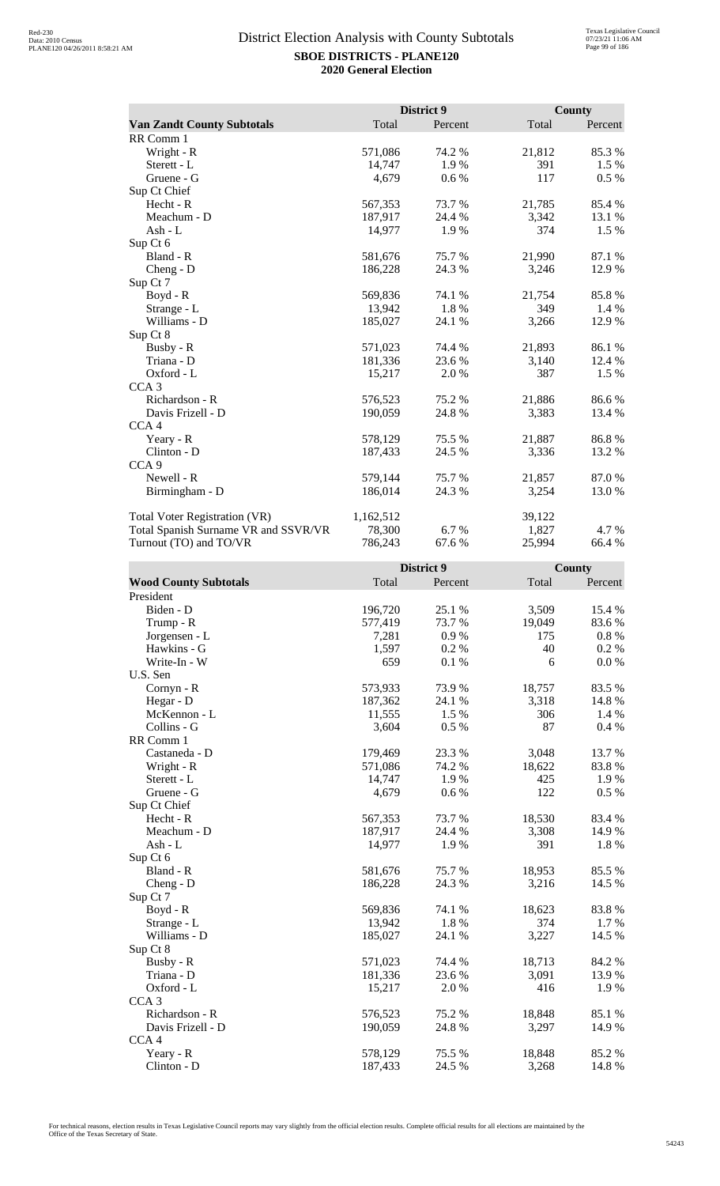|                                      |           | District 9 |        | <b>County</b> |
|--------------------------------------|-----------|------------|--------|---------------|
| <b>Van Zandt County Subtotals</b>    | Total     | Percent    | Total  | Percent       |
| RR Comm 1                            |           |            |        |               |
| Wright - R                           | 571,086   | 74.2 %     | 21,812 | 85.3%         |
| Sterett - L                          | 14,747    | 1.9%       | 391    | 1.5 %         |
| Gruene - G                           | 4,679     | 0.6 %      | 117    | 0.5 %         |
| Sup Ct Chief                         |           |            |        |               |
| Hecht - R                            | 567,353   | 73.7%      | 21,785 | 85.4 %        |
| Meachum - D                          | 187,917   | 24.4 %     | 3,342  | 13.1 %        |
| Ash - L                              | 14,977    | 1.9%       | 374    | 1.5 %         |
| Sup Ct 6                             |           |            |        |               |
| Bland - R                            | 581,676   | 75.7%      | 21,990 | 87.1 %        |
| $Cheng - D$                          | 186,228   | 24.3 %     | 3,246  | 12.9%         |
| Sup Ct 7                             |           |            |        |               |
| $Boyd - R$                           | 569,836   | 74.1 %     | 21,754 | 85.8%         |
| Strange - L                          | 13,942    | 1.8%       | 349    | 1.4 %         |
| Williams - D                         | 185,027   | 24.1 %     | 3,266  | 12.9 %        |
| Sup Ct 8                             |           |            |        |               |
| Busby - R                            | 571,023   | 74.4 %     | 21,893 | 86.1 %        |
| Triana - D                           | 181,336   | 23.6 %     | 3,140  | 12.4 %        |
| Oxford - L                           | 15,217    | 2.0 %      | 387    | 1.5 %         |
| CCA <sub>3</sub>                     |           |            |        |               |
| Richardson - R                       | 576,523   | 75.2 %     | 21,886 | 86.6%         |
| Davis Frizell - D                    | 190,059   | 24.8%      | 3,383  | 13.4 %        |
| CCA <sub>4</sub>                     |           |            |        |               |
| Yeary - R                            | 578,129   | 75.5 %     | 21,887 | 86.8%         |
| Clinton - D                          | 187,433   | 24.5 %     | 3,336  | 13.2 %        |
| CCA <sub>9</sub>                     |           |            |        |               |
| Newell - R                           | 579,144   | 75.7%      | 21,857 | 87.0%         |
| Birmingham - D                       | 186,014   | 24.3 %     | 3,254  | 13.0%         |
| <b>Total Voter Registration (VR)</b> | 1,162,512 |            | 39,122 |               |
| Total Spanish Surname VR and SSVR/VR | 78,300    | 6.7 %      | 1,827  | 4.7 %         |
| Turnout (TO) and TO/VR               | 786,243   | 67.6 %     | 25,994 | 66.4 %        |

|                              |         | District 9 |        | County   |
|------------------------------|---------|------------|--------|----------|
| <b>Wood County Subtotals</b> | Total   | Percent    | Total  | Percent  |
| President                    |         |            |        |          |
| Biden - D                    | 196,720 | 25.1 %     | 3,509  | 15.4 %   |
| Trump - R                    | 577,419 | 73.7 %     | 19,049 | 83.6%    |
| Jorgensen - L                | 7,281   | 0.9%       | 175    | $0.8 \%$ |
| Hawkins - G                  | 1,597   | 0.2%       | 40     | 0.2 %    |
| Write-In - W                 | 659     | 0.1%       | 6      | 0.0 %    |
| U.S. Sen                     |         |            |        |          |
| Cornyn - R                   | 573,933 | 73.9%      | 18,757 | 83.5%    |
| Hegar - D                    | 187,362 | 24.1 %     | 3,318  | 14.8 %   |
| McKennon - L                 | 11,555  | 1.5 %      | 306    | 1.4 %    |
| Collins - G                  | 3,604   | 0.5%       | 87     | 0.4%     |
| RR Comm 1                    |         |            |        |          |
| Castaneda - D                | 179,469 | 23.3 %     | 3,048  | 13.7%    |
| Wright - R                   | 571,086 | 74.2 %     | 18,622 | 83.8%    |
| Sterett - L                  | 14,747  | 1.9%       | 425    | 1.9%     |
| Gruene - G                   | 4,679   | 0.6 %      | 122    | $0.5\%$  |
| Sup Ct Chief                 |         |            |        |          |
| $Hecht - R$                  | 567,353 | 73.7%      | 18,530 | 83.4 %   |
| Meachum - D                  | 187,917 | 24.4 %     | 3,308  | 14.9%    |
| Ash - L                      | 14,977  | 1.9%       | 391    | 1.8%     |
| Sup Ct 6                     |         |            |        |          |
| Bland - R                    | 581,676 | 75.7 %     | 18,953 | 85.5 %   |
| $Cheng - D$                  | 186,228 | 24.3 %     | 3,216  | 14.5 %   |
| Sup Ct 7                     |         |            |        |          |
| Boyd - R                     | 569,836 | 74.1 %     | 18,623 | 83.8%    |
| Strange - L                  | 13,942  | 1.8%       | 374    | 1.7 %    |
| Williams - D                 | 185,027 | 24.1 %     | 3,227  | 14.5 %   |
| Sup Ct 8                     |         |            |        |          |
| Busby - R                    | 571,023 | 74.4 %     | 18,713 | 84.2 %   |
| Triana - D                   | 181,336 | 23.6 %     | 3,091  | 13.9%    |
| Oxford - L                   | 15,217  | 2.0 %      | 416    | 1.9%     |
| CCA <sub>3</sub>             |         |            |        |          |
| Richardson - R               | 576,523 | 75.2 %     | 18,848 | 85.1 %   |
| Davis Frizell - D            | 190,059 | 24.8 %     | 3,297  | 14.9%    |
| CCA <sub>4</sub>             |         |            |        |          |
| Yeary - R                    | 578,129 | 75.5 %     | 18,848 | 85.2%    |
| Clinton - D                  | 187,433 | 24.5 %     | 3,268  | 14.8%    |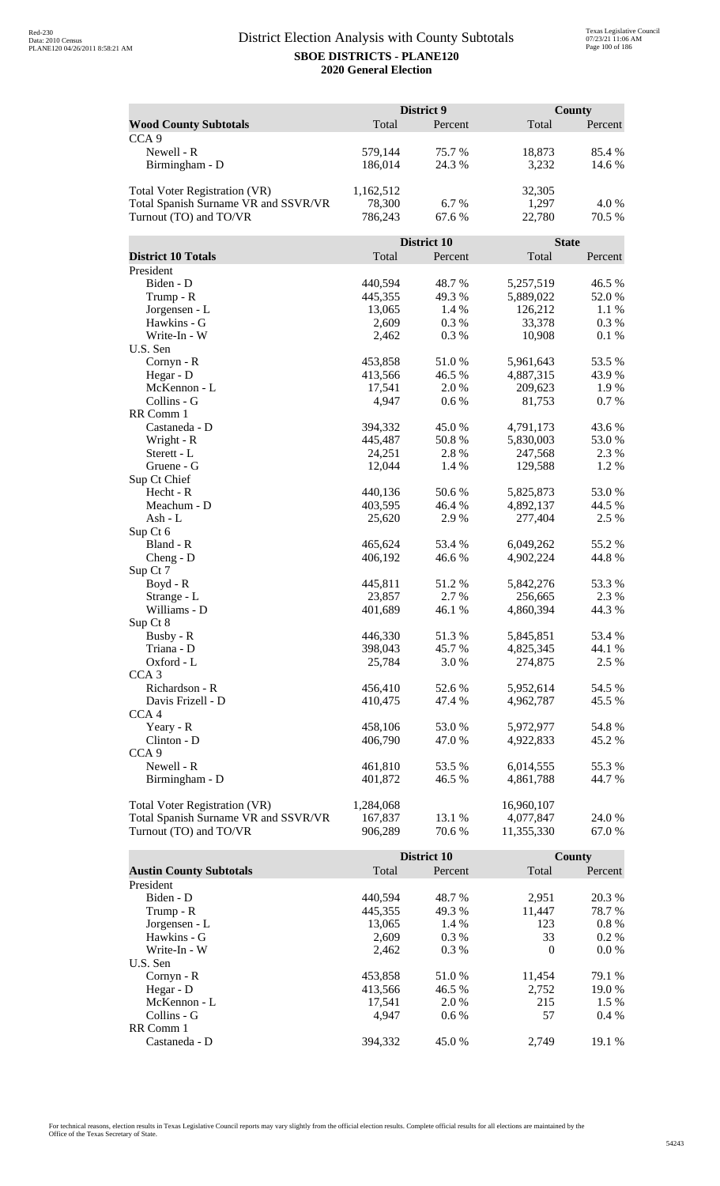|                                                                              | District 9           |             | <b>County</b> |               |
|------------------------------------------------------------------------------|----------------------|-------------|---------------|---------------|
| <b>Wood County Subtotals</b>                                                 | Total                | Percent     | Total         | Percent       |
| CCA <sub>9</sub>                                                             |                      |             |               |               |
| Newell - R                                                                   | 579,144              | 75.7 %      | 18,873        | 85.4 %        |
| Birmingham - D                                                               | 186,014              | 24.3 %      | 3,232         | 14.6 %        |
|                                                                              |                      |             |               |               |
| <b>Total Voter Registration (VR)</b>                                         | 1,162,512            |             | 32,305        |               |
| Total Spanish Surname VR and SSVR/VR                                         | 78,300               | 6.7%        | 1,297         | 4.0 %         |
| Turnout (TO) and TO/VR                                                       | 786,243              | 67.6 %      | 22,780        | 70.5 %        |
|                                                                              |                      |             |               |               |
|                                                                              |                      | District 10 | <b>State</b>  |               |
| <b>District 10 Totals</b>                                                    | Total                | Percent     | Total         | Percent       |
| President                                                                    |                      |             |               |               |
| Biden - D                                                                    | 440,594              | 48.7%       | 5,257,519     | 46.5 %        |
| Trump - R                                                                    | 445,355              | 49.3%       | 5,889,022     | 52.0%         |
| Jorgensen - L                                                                | 13,065               | 1.4 %       | 126,212       | 1.1 %         |
| Hawkins - G                                                                  | 2,609                | 0.3%        | 33,378        | 0.3 %         |
| Write-In - W                                                                 | 2,462                | 0.3%        | 10,908        | 0.1%          |
| U.S. Sen                                                                     |                      |             |               |               |
| Cornyn - R                                                                   | 453,858              | 51.0%       | 5,961,643     | 53.5 %        |
| Hegar - D                                                                    | 413,566              | 46.5 %      | 4,887,315     | 43.9%         |
| McKennon - L                                                                 | 17,541               | 2.0%        | 209,623       | 1.9%          |
| Collins - G                                                                  | 4,947                | 0.6 %       | 81,753        | 0.7%          |
| RR Comm 1                                                                    |                      |             |               |               |
| Castaneda - D                                                                | 394,332              | 45.0%       | 4,791,173     | 43.6 %        |
| Wright - R                                                                   | 445,487              | 50.8%       | 5,830,003     | 53.0 %        |
| Sterett - L                                                                  | 24,251               | 2.8%        | 247,568       | 2.3 %<br>1.2% |
| Gruene - G<br>Sup Ct Chief                                                   | 12,044               | 1.4 %       | 129,588       |               |
| Hecht - R                                                                    | 440,136              | 50.6%       | 5,825,873     | 53.0%         |
| Meachum - D                                                                  | 403,595              | 46.4 %      | 4,892,137     | 44.5 %        |
| Ash - L                                                                      | 25,620               | 2.9 %       | 277,404       | 2.5 %         |
| Sup Ct 6                                                                     |                      |             |               |               |
| Bland - R                                                                    | 465,624              | 53.4 %      | 6,049,262     | 55.2 %        |
| $Cheng - D$                                                                  | 406,192              | 46.6%       | 4,902,224     | 44.8%         |
| Sup Ct 7                                                                     |                      |             |               |               |
| $Boyd - R$                                                                   | 445,811              | 51.2 %      | 5,842,276     | 53.3 %        |
| Strange - L                                                                  | 23,857               | 2.7 %       | 256,665       | 2.3 %         |
| Williams - D                                                                 | 401,689              | 46.1%       | 4,860,394     | 44.3 %        |
| Sup Ct 8                                                                     |                      |             |               |               |
| Busby - R                                                                    | 446,330              | 51.3%       | 5,845,851     | 53.4 %        |
| Triana - D                                                                   | 398,043              | 45.7%       | 4,825,345     | 44.1 %        |
| Oxford - L                                                                   | 25,784               | 3.0 %       | 274,875       | 2.5 %         |
| CCA <sub>3</sub>                                                             |                      |             |               |               |
| Richardson - R                                                               | 456,410              | 52.6%       | 5,952,614     | 54.5 %        |
| Davis Frizell - D                                                            | 410,475              | 47.4 %      | 4,962,787     | 45.5 %        |
| CCA <sub>4</sub>                                                             |                      |             |               |               |
| Yeary - R                                                                    | 458,106              | 53.0%       | 5,972,977     | 54.8%         |
| Clinton - D                                                                  | 406,790              | 47.0 %      | 4,922,833     | 45.2%         |
| CCA <sub>9</sub>                                                             |                      |             |               |               |
| Newell - R                                                                   | 461,810              | 53.5 %      | 6,014,555     | 55.3%         |
| Birmingham - D                                                               | 401,872              | 46.5 %      | 4,861,788     | 44.7 %        |
|                                                                              |                      |             | 16,960,107    |               |
| <b>Total Voter Registration (VR)</b><br>Total Spanish Surname VR and SSVR/VR | 1,284,068<br>167,837 | 13.1 %      | 4,077,847     | 24.0%         |
| Turnout (TO) and TO/VR                                                       | 906,289              | 70.6%       | 11,355,330    | 67.0%         |
|                                                                              |                      |             |               |               |

|                                |         | District 10 |          | County  |
|--------------------------------|---------|-------------|----------|---------|
| <b>Austin County Subtotals</b> | Total   | Percent     | Total    | Percent |
| President                      |         |             |          |         |
| Biden - D                      | 440.594 | 48.7 %      | 2,951    | 20.3 %  |
| Trump - R                      | 445,355 | 49.3 %      | 11,447   | 78.7 %  |
| Jorgensen - L                  | 13,065  | 1.4 %       | 123      | $0.8\%$ |
| Hawkins - G                    | 2,609   | $0.3\%$     | 33       | $0.2\%$ |
| Write-In - W                   | 2.462   | $0.3\%$     | $\Omega$ | $0.0\%$ |
| U.S. Sen                       |         |             |          |         |
| $Cornyn - R$                   | 453,858 | 51.0 %      | 11,454   | 79.1 %  |
| Hegar - $D$                    | 413,566 | 46.5 %      | 2.752    | 19.0 %  |
| McKennon - L                   | 17,541  | 2.0 %       | 215      | $1.5\%$ |
| Collins - G                    | 4.947   | $0.6\%$     | 57       | $0.4\%$ |
| RR Comm 1                      |         |             |          |         |
| Castaneda - D                  | 394.332 | 45.0 %      | 2.749    | 19.1 %  |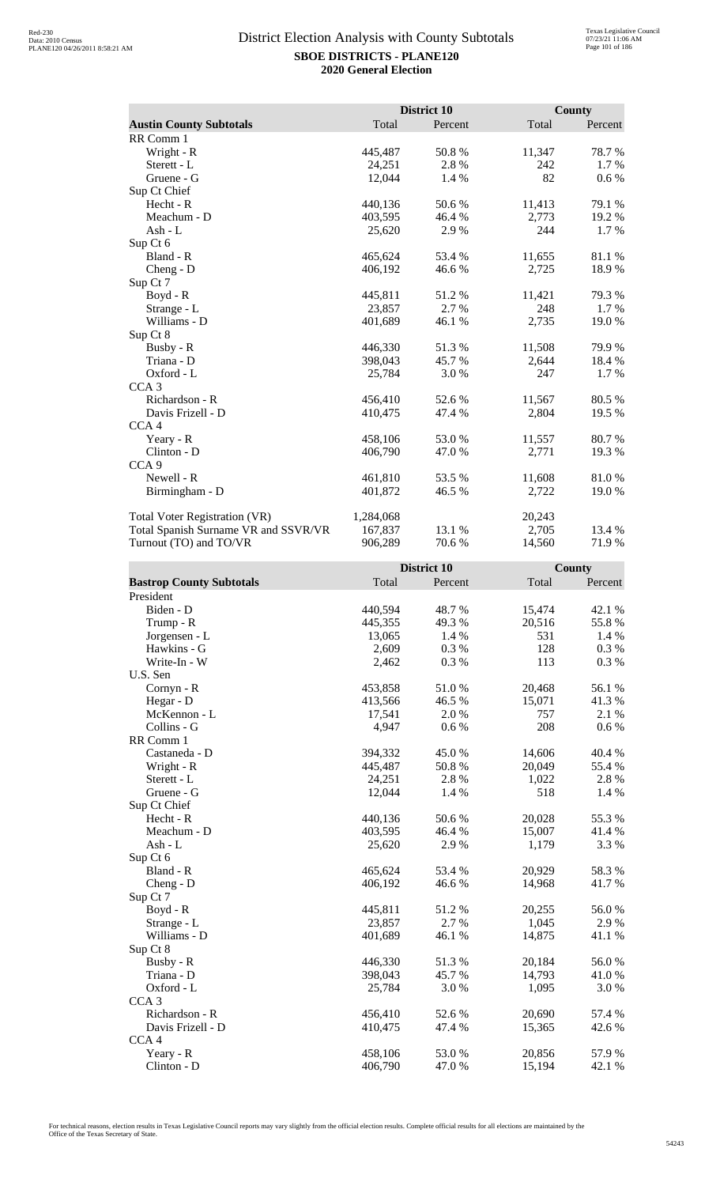|                                      |           | <b>District 10</b> |        | <b>County</b> |
|--------------------------------------|-----------|--------------------|--------|---------------|
| <b>Austin County Subtotals</b>       | Total     | Percent            | Total  | Percent       |
| RR Comm 1                            |           |                    |        |               |
| Wright - R                           | 445,487   | 50.8%              | 11,347 | 78.7%         |
| Sterett - L                          | 24,251    | 2.8%               | 242    | 1.7 %         |
| Gruene - G                           | 12,044    | 1.4 %              | 82     | $0.6\%$       |
| Sup Ct Chief                         |           |                    |        |               |
| Hecht - R                            | 440,136   | 50.6 %             | 11,413 | 79.1 %        |
| Meachum - D                          | 403,595   | 46.4 %             | 2,773  | 19.2 %        |
| Ash - L                              | 25,620    | 2.9%               | 244    | 1.7 %         |
| Sup Ct 6                             |           |                    |        |               |
| Bland - R                            | 465,624   | 53.4 %             | 11,655 | 81.1 %        |
| Cheng - D                            | 406,192   | 46.6 %             | 2,725  | 18.9%         |
| Sup Ct 7                             |           |                    |        |               |
| Boyd - R                             | 445,811   | 51.2 %             | 11,421 | 79.3 %        |
| Strange - L                          | 23,857    | 2.7 %              | 248    | $1.7\%$       |
| Williams - D                         | 401,689   | 46.1 %             | 2,735  | 19.0 %        |
| Sup Ct 8                             |           |                    |        |               |
| Busby - R                            | 446,330   | 51.3%              | 11,508 | 79.9%         |
| Triana - D                           | 398,043   | 45.7 %             | 2,644  | 18.4 %        |
| Oxford - L                           | 25,784    | 3.0%               | 247    | 1.7 %         |
| CCA <sub>3</sub>                     |           |                    |        |               |
| Richardson - R                       | 456,410   | 52.6%              | 11,567 | 80.5 %        |
| Davis Frizell - D                    | 410,475   | 47.4 %             | 2,804  | 19.5 %        |
| CCA <sub>4</sub>                     |           |                    |        |               |
| Yeary - R                            | 458,106   | 53.0 %             | 11,557 | 80.7 %        |
| $Clinton - D$                        | 406,790   | 47.0 %             | 2,771  | 19.3 %        |
| CCA <sub>9</sub>                     |           |                    |        |               |
| Newell - R                           | 461,810   | 53.5 %             | 11,608 | 81.0%         |
| Birmingham - D                       | 401,872   | 46.5 %             | 2,722  | 19.0 %        |
| <b>Total Voter Registration (VR)</b> | 1,284,068 |                    | 20,243 |               |
| Total Spanish Surname VR and SSVR/VR | 167,837   | 13.1 %             | 2,705  | 13.4 %        |
| Turnout (TO) and TO/VR               | 906,289   | 70.6%              | 14,560 | 71.9%         |

|                                 |         | District 10 |        | County  |
|---------------------------------|---------|-------------|--------|---------|
| <b>Bastrop County Subtotals</b> | Total   | Percent     | Total  | Percent |
| President                       |         |             |        |         |
| Biden - D                       | 440,594 | 48.7%       | 15,474 | 42.1 %  |
| Trump - R                       | 445,355 | 49.3%       | 20,516 | 55.8%   |
| Jorgensen - L                   | 13,065  | 1.4 %       | 531    | 1.4 %   |
| Hawkins - G                     | 2,609   | 0.3%        | 128    | 0.3%    |
| Write-In - W                    | 2,462   | 0.3%        | 113    | 0.3 %   |
| U.S. Sen                        |         |             |        |         |
| Cornyn - R                      | 453,858 | $51.0\,\%$  | 20,468 | 56.1 %  |
| Hegar - D                       | 413,566 | 46.5 %      | 15,071 | 41.3%   |
| McKennon - L                    | 17,541  | 2.0%        | 757    | 2.1 %   |
| Collins - G                     | 4,947   | 0.6 %       | 208    | $0.6\%$ |
| RR Comm 1                       |         |             |        |         |
| Castaneda - D                   | 394,332 | 45.0%       | 14,606 | 40.4 %  |
| Wright - R                      | 445,487 | 50.8%       | 20,049 | 55.4 %  |
| Sterett - L                     | 24,251  | 2.8%        | 1,022  | 2.8%    |
| Gruene - G                      | 12,044  | 1.4 %       | 518    | 1.4 %   |
| Sup Ct Chief                    |         |             |        |         |
| Hecht - R                       | 440,136 | 50.6%       | 20,028 | 55.3 %  |
| Meachum - D                     | 403,595 | 46.4 %      | 15,007 | 41.4 %  |
| $Ash - L$                       | 25,620  | 2.9%        | 1,179  | 3.3 %   |
| Sup Ct 6                        |         |             |        |         |
| Bland - R                       | 465,624 | 53.4 %      | 20,929 | 58.3%   |
| $Cheng - D$                     | 406,192 | 46.6%       | 14,968 | 41.7%   |
| Sup Ct 7                        |         |             |        |         |
| Boyd - R                        | 445,811 | 51.2 %      | 20,255 | 56.0%   |
| Strange - L                     | 23,857  | 2.7%        | 1,045  | 2.9%    |
| Williams - D                    | 401,689 | 46.1 %      | 14,875 | 41.1 %  |
| Sup Ct 8                        |         |             |        |         |
| Busby - R                       | 446,330 | 51.3%       | 20,184 | 56.0%   |
| Triana - D                      | 398,043 | 45.7%       | 14,793 | 41.0%   |
| Oxford - L                      | 25,784  | 3.0%        | 1,095  | 3.0%    |
| CCA <sub>3</sub>                |         |             |        |         |
| Richardson - R                  | 456,410 | 52.6 %      | 20,690 | 57.4 %  |
| Davis Frizell - D               | 410,475 | 47.4 %      | 15,365 | 42.6 %  |
| CCA <sub>4</sub>                |         |             |        |         |
| Yeary - R                       | 458,106 | 53.0%       | 20,856 | 57.9%   |
| Clinton - D                     | 406,790 | 47.0%       | 15,194 | 42.1 %  |
|                                 |         |             |        |         |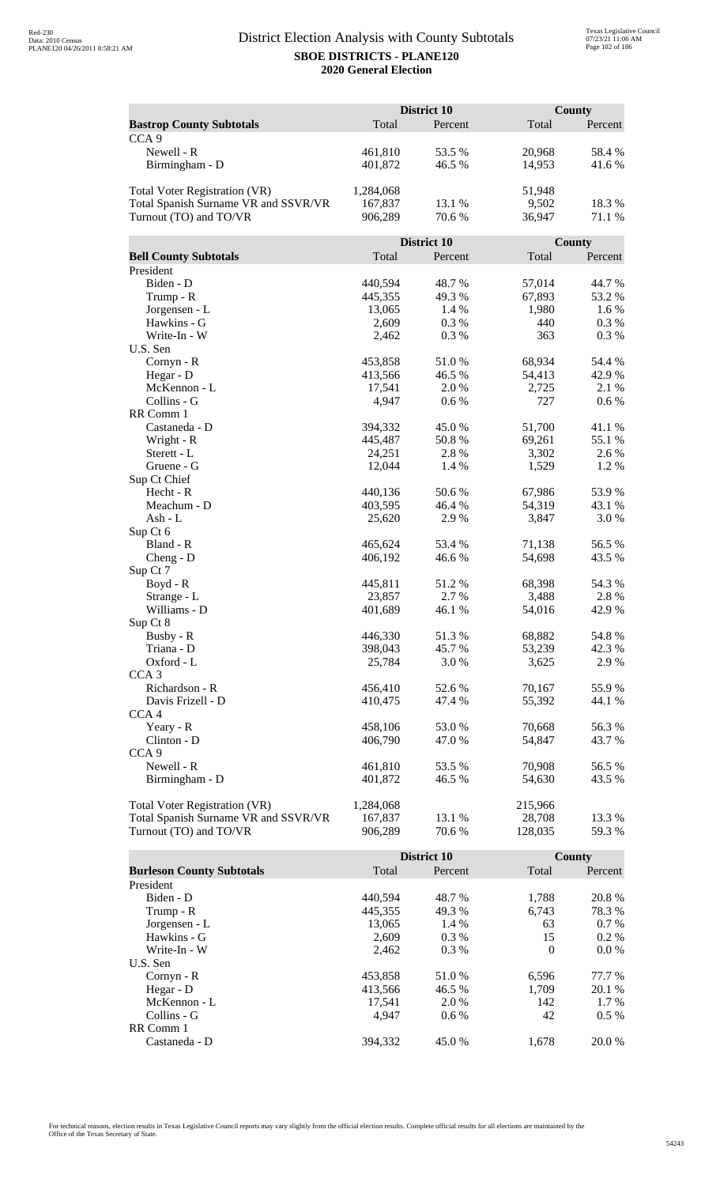|                                      |                   | <b>District 10</b> |                  | County          |  |
|--------------------------------------|-------------------|--------------------|------------------|-----------------|--|
| <b>Bastrop County Subtotals</b>      | Total             | Percent            | Total            | Percent         |  |
| CCA <sub>9</sub>                     |                   |                    |                  |                 |  |
| Newell - R                           | 461,810           | 53.5 %             | 20,968           | 58.4 %          |  |
| Birmingham - D                       | 401,872           | 46.5 %             | 14,953           | 41.6%           |  |
|                                      |                   |                    |                  |                 |  |
| <b>Total Voter Registration (VR)</b> | 1,284,068         |                    | 51,948           |                 |  |
| Total Spanish Surname VR and SSVR/VR | 167,837           | 13.1 %             | 9,502            | 18.3%           |  |
| Turnout (TO) and TO/VR               | 906,289           | 70.6 %             | 36,947           | 71.1 %          |  |
|                                      |                   |                    |                  |                 |  |
|                                      |                   | District 10        |                  | County          |  |
| <b>Bell County Subtotals</b>         | Total             | Percent            | Total            | Percent         |  |
| President                            |                   |                    |                  |                 |  |
| Biden - D                            | 440,594           | 48.7%              | 57,014           | 44.7 %          |  |
| Trump - R                            | 445,355           | 49.3%              | 67,893           | 53.2 %          |  |
| Jorgensen - L                        | 13,065            | 1.4 %              | 1,980            | 1.6%            |  |
| Hawkins - G                          | 2,609             | 0.3%               | 440              | 0.3 %           |  |
| Write-In - W                         | 2,462             | 0.3%               | 363              | 0.3%            |  |
| U.S. Sen                             |                   |                    |                  |                 |  |
| Cornyn - R                           | 453,858           | 51.0%              | 68,934           | 54.4 %          |  |
| Hegar - D                            | 413,566<br>17,541 | 46.5 %             | 54,413           | 42.9%           |  |
| McKennon - L                         |                   | 2.0%               | 2,725            | 2.1 %           |  |
| Collins - G<br>RR Comm 1             | 4,947             | 0.6 %              | 727              | 0.6 %           |  |
| Castaneda - D                        | 394,332           | 45.0%              | 51,700           | 41.1%           |  |
| Wright - R                           | 445,487           | 50.8%              | 69,261           | 55.1 %          |  |
| Sterett - L                          | 24,251            | 2.8%               | 3,302            | 2.6 %           |  |
| Gruene - G                           | 12,044            | 1.4 %              | 1,529            | 1.2%            |  |
| Sup Ct Chief                         |                   |                    |                  |                 |  |
| Hecht - R                            | 440,136           | 50.6%              | 67,986           | 53.9%           |  |
| Meachum - D                          | 403,595           | 46.4 %             | 54,319           | 43.1 %          |  |
| Ash - L                              | 25,620            | 2.9%               | 3,847            | 3.0%            |  |
| Sup Ct 6                             |                   |                    |                  |                 |  |
| Bland - R                            | 465,624           | 53.4 %             | 71,138           | 56.5 %          |  |
| $Cheng - D$                          | 406,192           | 46.6%              | 54,698           | 43.5 %          |  |
| Sup Ct 7                             |                   |                    |                  |                 |  |
| $Boyd - R$                           | 445,811           | 51.2%              | 68,398           | 54.3 %          |  |
| Strange - L                          | 23,857            | 2.7%               | 3,488            | 2.8%            |  |
| Williams - D                         | 401,689           | 46.1 %             | 54,016           | 42.9%           |  |
| Sup Ct 8                             |                   |                    |                  |                 |  |
| Busby - R                            | 446,330           | 51.3%              | 68,882           | 54.8%           |  |
| Triana - D                           | 398,043           | 45.7%              | 53,239           | 42.3%           |  |
| Oxford - L                           | 25,784            | 3.0 %              | 3,625            | 2.9%            |  |
| CCA <sub>3</sub><br>Richardson - R   | 456,410           |                    |                  |                 |  |
| Davis Frizell - D                    | 410,475           | 52.6%<br>47.4 %    | 70,167<br>55,392 | 55.9%<br>44.1 % |  |
| CCA <sub>4</sub>                     |                   |                    |                  |                 |  |
| Yeary - R                            | 458,106           | 53.0%              | 70,668           | 56.3%           |  |
| Clinton - D                          | 406,790           | 47.0 %             | 54,847           | 43.7 %          |  |
| CCA <sub>9</sub>                     |                   |                    |                  |                 |  |
| Newell - R                           | 461,810           | 53.5 %             | 70,908           | 56.5 %          |  |
| Birmingham - D                       | 401,872           | 46.5 %             | 54,630           | 43.5 %          |  |
|                                      |                   |                    |                  |                 |  |
| <b>Total Voter Registration (VR)</b> | 1,284,068         |                    | 215,966          |                 |  |
| Total Spanish Surname VR and SSVR/VR | 167,837           | 13.1 %             | 28,708           | 13.3 %          |  |
| Turnout (TO) and TO/VR               | 906,289           | 70.6%              | 128,035          | 59.3 %          |  |

|                                  |         | District 10 |          | County  |
|----------------------------------|---------|-------------|----------|---------|
| <b>Burleson County Subtotals</b> | Total   | Percent     | Total    | Percent |
| President                        |         |             |          |         |
| Biden - D                        | 440,594 | 48.7 %      | 1,788    | 20.8 %  |
| Trump - R                        | 445,355 | 49.3 %      | 6,743    | 78.3 %  |
| Jorgensen - L                    | 13,065  | 1.4 %       | 63       | $0.7\%$ |
| Hawkins - G                      | 2,609   | $0.3\%$     | 15       | $0.2\%$ |
| Write-In - W                     | 2.462   | $0.3\%$     | $\Omega$ | $0.0\%$ |
| U.S. Sen                         |         |             |          |         |
| Cornyn - R                       | 453,858 | 51.0 %      | 6,596    | 77.7 %  |
| Hegar - $D$                      | 413,566 | 46.5 %      | 1,709    | 20.1 %  |
| McKennon - L                     | 17,541  | 2.0 %       | 142      | 1.7 %   |
| Collins - G                      | 4.947   | $0.6\%$     | 42       | $0.5\%$ |
| RR Comm 1                        |         |             |          |         |
| Castaneda - D                    | 394.332 | 45.0 %      | 1,678    | 20.0 %  |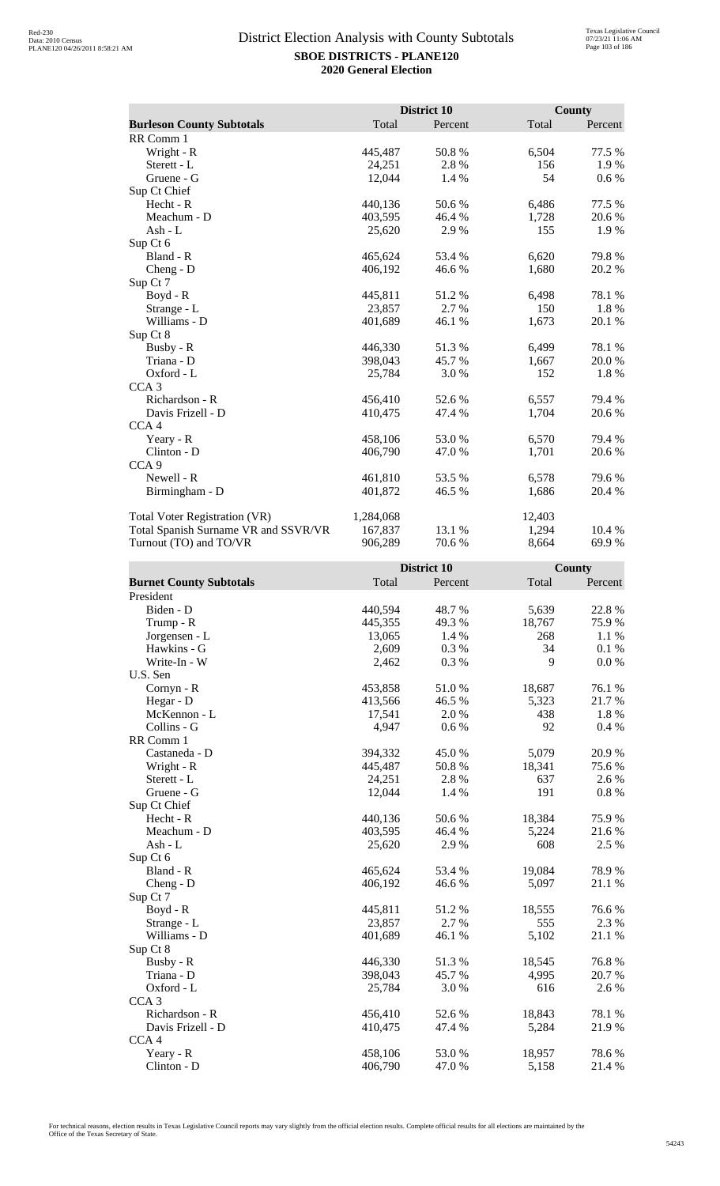|                                      |           | District 10 |        | <b>County</b> |
|--------------------------------------|-----------|-------------|--------|---------------|
| <b>Burleson County Subtotals</b>     | Total     | Percent     | Total  | Percent       |
| RR Comm 1                            |           |             |        |               |
| Wright - R                           | 445,487   | 50.8%       | 6,504  | 77.5 %        |
| Sterett - L                          | 24,251    | 2.8%        | 156    | 1.9%          |
| Gruene - G                           | 12,044    | 1.4 %       | 54     | $0.6\%$       |
| Sup Ct Chief                         |           |             |        |               |
| $Hecht - R$                          | 440,136   | 50.6 %      | 6,486  | 77.5 %        |
| Meachum - D                          | 403,595   | 46.4 %      | 1,728  | 20.6 %        |
| Ash - L                              | 25,620    | 2.9%        | 155    | 1.9%          |
| Sup Ct 6                             |           |             |        |               |
| Bland - R                            | 465,624   | 53.4 %      | 6,620  | 79.8%         |
| Cheng - D                            | 406,192   | 46.6%       | 1,680  | 20.2 %        |
| Sup Ct 7                             |           |             |        |               |
| Boyd - R                             | 445,811   | 51.2%       | 6,498  | 78.1 %        |
| Strange - L                          | 23,857    | 2.7 %       | 150    | 1.8%          |
| Williams - D                         | 401,689   | 46.1 %      | 1,673  | 20.1 %        |
| Sup Ct 8                             |           |             |        |               |
| Busby - R                            | 446,330   | 51.3 %      | 6,499  | 78.1 %        |
| Triana - D                           | 398,043   | 45.7 %      | 1,667  | 20.0 %        |
| Oxford - L                           | 25,784    | 3.0 %       | 152    | 1.8%          |
| CCA <sub>3</sub>                     |           |             |        |               |
| Richardson - R                       | 456,410   | 52.6 %      | 6,557  | 79.4 %        |
| Davis Frizell - D                    | 410,475   | 47.4 %      | 1,704  | 20.6 %        |
| CCA <sub>4</sub>                     |           |             |        |               |
| Yeary - R                            | 458,106   | 53.0 %      | 6,570  | 79.4 %        |
| Clinton - D                          | 406,790   | 47.0 %      | 1,701  | 20.6 %        |
| CCA <sub>9</sub>                     |           |             |        |               |
| Newell - R                           | 461,810   | 53.5 %      | 6,578  | 79.6 %        |
| Birmingham - D                       | 401,872   | 46.5 %      | 1,686  | 20.4 %        |
| Total Voter Registration (VR)        | 1,284,068 |             | 12,403 |               |
| Total Spanish Surname VR and SSVR/VR | 167,837   | 13.1 %      | 1,294  | 10.4 %        |
| Turnout (TO) and TO/VR               | 906,289   | 70.6%       | 8,664  | 69.9%         |

|                                |         | District 10 |        | County   |
|--------------------------------|---------|-------------|--------|----------|
| <b>Burnet County Subtotals</b> | Total   | Percent     | Total  | Percent  |
| President                      |         |             |        |          |
| Biden - D                      | 440,594 | 48.7%       | 5,639  | 22.8 %   |
| Trump - R                      | 445,355 | 49.3%       | 18,767 | 75.9%    |
| Jorgensen - L                  | 13,065  | 1.4 %       | 268    | 1.1 %    |
| Hawkins - G                    | 2,609   | 0.3%        | 34     | 0.1%     |
| Write-In - W                   | 2,462   | 0.3%        | 9      | 0.0 %    |
| U.S. Sen                       |         |             |        |          |
| $Cornyn - R$                   | 453,858 | 51.0%       | 18,687 | 76.1 %   |
| Hegar - D                      | 413,566 | 46.5 %      | 5,323  | 21.7%    |
| McKennon - L                   | 17,541  | 2.0%        | 438    | 1.8%     |
| Collins - G                    | 4,947   | 0.6 %       | 92     | 0.4%     |
| RR Comm 1                      |         |             |        |          |
| Castaneda - D                  | 394,332 | 45.0%       | 5,079  | 20.9%    |
| Wright - R                     | 445,487 | 50.8%       | 18,341 | 75.6%    |
| Sterett - L                    | 24,251  | 2.8 %       | 637    | 2.6 %    |
| Gruene - G                     | 12,044  | 1.4 %       | 191    | $0.8~\%$ |
| Sup Ct Chief                   |         |             |        |          |
| Hecht - R                      | 440,136 | 50.6%       | 18,384 | 75.9%    |
| Meachum - D                    | 403,595 | 46.4%       | 5,224  | 21.6%    |
| $Ash - L$                      | 25,620  | 2.9%        | 608    | 2.5 %    |
| Sup Ct 6                       |         |             |        |          |
| Bland - R                      | 465,624 | 53.4 %      | 19,084 | 78.9%    |
| $Cheng - D$                    | 406,192 | 46.6%       | 5,097  | 21.1 %   |
| Sup Ct 7                       |         |             |        |          |
| $Boyd - R$                     | 445,811 | 51.2%       | 18,555 | 76.6%    |
| Strange - L                    | 23,857  | 2.7 %       | 555    | 2.3 %    |
| Williams - D                   | 401,689 | 46.1 %      | 5,102  | 21.1 %   |
| Sup Ct 8                       |         |             |        |          |
| Busby - R                      | 446,330 | 51.3%       | 18,545 | 76.8%    |
| Triana - D                     | 398,043 | 45.7%       | 4,995  | 20.7%    |
| Oxford - L                     | 25,784  | 3.0%        | 616    | 2.6 %    |
| CCA <sub>3</sub>               |         |             |        |          |
| Richardson - R                 | 456,410 | 52.6 %      | 18,843 | 78.1 %   |
| Davis Frizell - D              | 410,475 | 47.4 %      | 5,284  | 21.9%    |
| CCA <sub>4</sub>               |         |             |        |          |
| Yeary - R                      | 458,106 | 53.0%       | 18,957 | 78.6%    |
| Clinton - D                    | 406,790 | 47.0%       | 5,158  | 21.4 %   |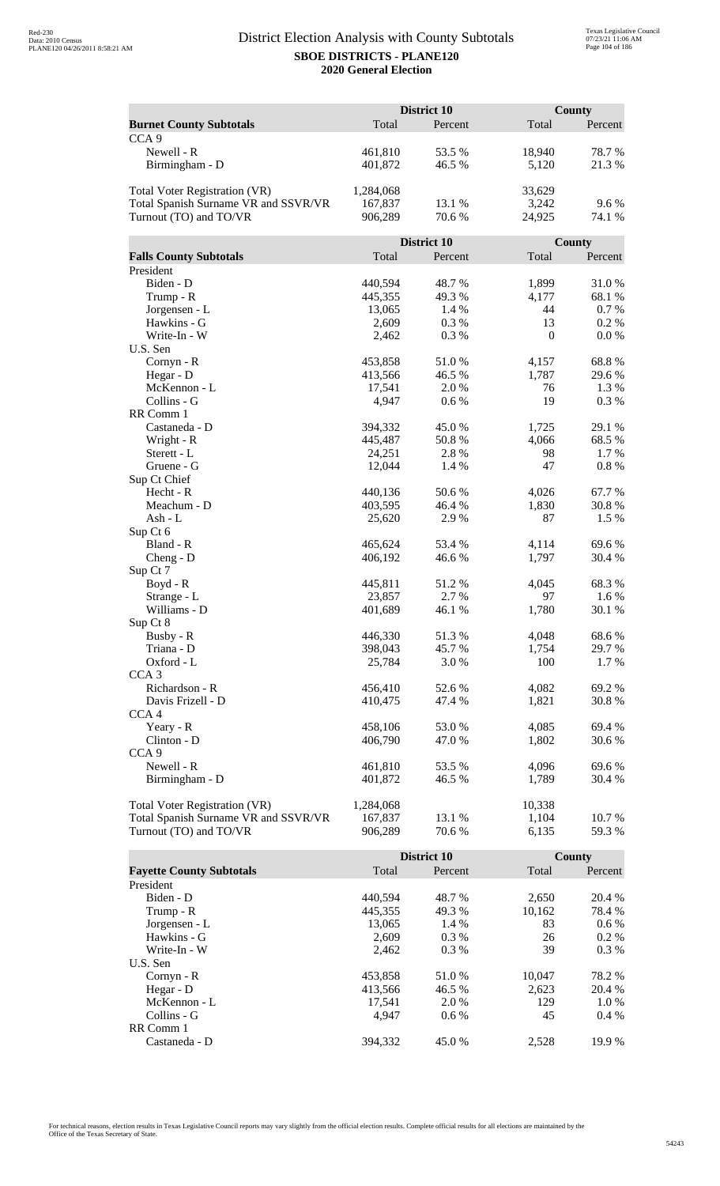|                                      |                    | <b>District 10</b> |                | <b>County</b> |
|--------------------------------------|--------------------|--------------------|----------------|---------------|
| <b>Burnet County Subtotals</b>       | Total              | Percent            | Total          | Percent       |
| CCA <sub>9</sub>                     |                    |                    |                |               |
| Newell - R                           | 461,810            | 53.5 %             | 18,940         | 78.7%         |
| Birmingham - D                       | 401,872            | 46.5 %             | 5,120          | 21.3%         |
|                                      |                    |                    |                |               |
| <b>Total Voter Registration (VR)</b> | 1,284,068          |                    | 33,629         |               |
| Total Spanish Surname VR and SSVR/VR | 167,837            | 13.1 %             | 3,242          | 9.6%          |
| Turnout (TO) and TO/VR               | 906,289            | 70.6%              | 24,925         | 74.1 %        |
|                                      |                    |                    |                |               |
|                                      |                    | District 10        |                | County        |
| <b>Falls County Subtotals</b>        | Total              | Percent            | Total          | Percent       |
| President                            |                    |                    |                |               |
| Biden - D                            | 440,594            | 48.7%              | 1,899          | 31.0%         |
| Trump - R                            | 445,355            | 49.3%              | 4,177          | 68.1%         |
| Jorgensen - L                        | 13,065             | 1.4 %              | 44             | 0.7%          |
| Hawkins - G                          | 2,609              | 0.3%               | 13             | 0.2 %         |
| Write-In - W                         | 2,462              | 0.3%               | $\mathbf{0}$   | 0.0 %         |
| U.S. Sen                             |                    |                    |                |               |
| Cornyn - R                           | 453,858            | 51.0%              | 4,157          | 68.8%         |
| Hegar - D                            | 413,566            | 46.5 %             | 1,787          | 29.6%         |
| McKennon - L                         | 17,541             | 2.0%               | 76             | 1.3 %         |
| Collins - G                          | 4,947              | 0.6 %              | 19             | 0.3%          |
| RR Comm 1                            |                    |                    |                |               |
| Castaneda - D                        | 394,332            | 45.0%              | 1,725          | 29.1 %        |
| Wright - R                           | 445,487            | 50.8%              | 4,066          | 68.5%         |
| Sterett - L                          | 24,251             | 2.8%               | 98             | 1.7%          |
| Gruene - G                           | 12,044             | 1.4 %              | 47             | 0.8%          |
| Sup Ct Chief                         |                    |                    |                |               |
| Hecht - R                            | 440,136            | 50.6%              | 4,026          | 67.7%         |
| Meachum - D                          | 403,595            | 46.4 %             | 1,830          | 30.8%         |
| Ash - L                              | 25,620             | 2.9%               | 87             | 1.5 %         |
| Sup Ct 6<br>Bland - R                |                    | 53.4 %             |                | 69.6%         |
|                                      | 465,624<br>406,192 | 46.6%              | 4,114<br>1,797 | 30.4 %        |
| $Cheng - D$<br>Sup Ct 7              |                    |                    |                |               |
| $Boyd - R$                           | 445,811            | 51.2%              | 4,045          | 68.3%         |
| Strange - L                          | 23,857             | 2.7 %              | 97             | 1.6 %         |
| Williams - D                         | 401,689            | 46.1 %             | 1,780          | 30.1 %        |
| Sup Ct 8                             |                    |                    |                |               |
| Busby - R                            | 446,330            | 51.3%              | 4,048          | 68.6%         |
| Triana - D                           | 398,043            | 45.7%              | 1,754          | 29.7 %        |
| Oxford - L                           | 25,784             | 3.0%               | 100            | 1.7%          |
| CCA <sub>3</sub>                     |                    |                    |                |               |
| Richardson - R                       | 456,410            | 52.6%              | 4,082          | 69.2%         |
| Davis Frizell - D                    | 410,475            | 47.4 %             | 1,821          | 30.8%         |
| CCA <sub>4</sub>                     |                    |                    |                |               |
| Yeary - R                            | 458,106            | 53.0%              | 4,085          | 69.4 %        |
| Clinton - D                          | 406,790            | 47.0%              | 1,802          | 30.6 %        |
| CCA <sub>9</sub>                     |                    |                    |                |               |
| Newell - R                           | 461,810            | 53.5 %             | 4,096          | 69.6%         |
| Birmingham - D                       | 401,872            | 46.5 %             | 1,789          | 30.4 %        |
|                                      |                    |                    |                |               |
| <b>Total Voter Registration (VR)</b> | 1,284,068          |                    | 10,338         |               |
| Total Spanish Surname VR and SSVR/VR | 167,837            | 13.1 %             | 1,104          | 10.7 %        |
| Turnout (TO) and TO/VR               | 906,289            | 70.6%              | 6,135          | 59.3%         |

|                                 |         | District 10 |        | County  |
|---------------------------------|---------|-------------|--------|---------|
| <b>Fayette County Subtotals</b> | Total   | Percent     | Total  | Percent |
| President                       |         |             |        |         |
| Biden - D                       | 440,594 | 48.7 %      | 2,650  | 20.4 %  |
| Trump - R                       | 445,355 | 49.3 %      | 10,162 | 78.4 %  |
| Jorgensen - L                   | 13,065  | $1.4\%$     | 83     | $0.6\%$ |
| Hawkins - G                     | 2,609   | $0.3\%$     | 26     | $0.2\%$ |
| Write-In - W                    | 2.462   | $0.3\%$     | 39     | $0.3\%$ |
| U.S. Sen                        |         |             |        |         |
| Cornyn - R                      | 453,858 | 51.0 %      | 10.047 | 78.2 %  |
| Hegar - $D$                     | 413,566 | 46.5 %      | 2,623  | 20.4 %  |
| McKennon - L                    | 17,541  | 2.0 %       | 129    | $1.0\%$ |
| Collins - G                     | 4.947   | $0.6\%$     | 45     | $0.4\%$ |
| RR Comm 1                       |         |             |        |         |
| Castaneda - D                   | 394.332 | 45.0 %      | 2.528  | 19.9%   |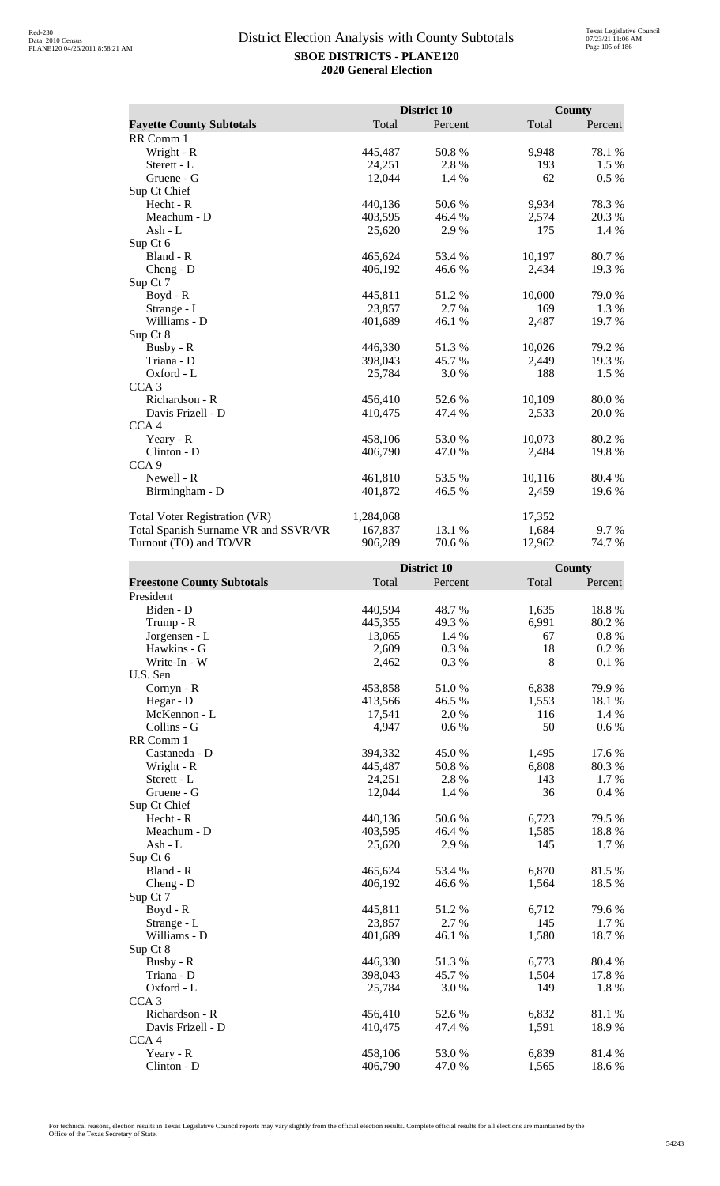|                                      |           | District 10 |        | <b>County</b> |
|--------------------------------------|-----------|-------------|--------|---------------|
| <b>Fayette County Subtotals</b>      | Total     | Percent     | Total  | Percent       |
| RR Comm 1                            |           |             |        |               |
| Wright - R                           | 445,487   | 50.8%       | 9,948  | 78.1 %        |
| Sterett - L                          | 24,251    | 2.8%        | 193    | 1.5 %         |
| Gruene - G                           | 12,044    | 1.4 %       | 62     | $0.5\%$       |
| Sup Ct Chief                         |           |             |        |               |
| Hecht - R                            | 440,136   | 50.6 %      | 9,934  | 78.3%         |
| Meachum - D                          | 403,595   | 46.4 %      | 2,574  | 20.3 %        |
| Ash - $L$                            | 25,620    | 2.9%        | 175    | 1.4 %         |
| Sup Ct 6                             |           |             |        |               |
| Bland - R                            | 465,624   | 53.4 %      | 10,197 | 80.7%         |
| $Cheng - D$                          | 406,192   | 46.6 %      | 2,434  | 19.3 %        |
| Sup Ct 7                             |           |             |        |               |
| Boyd - R                             | 445,811   | 51.2%       | 10,000 | 79.0 %        |
| Strange - L                          | 23,857    | 2.7%        | 169    | 1.3 %         |
| Williams - D                         | 401,689   | 46.1 %      | 2,487  | 19.7 %        |
| Sup Ct 8                             |           |             |        |               |
| Busby - R                            | 446,330   | 51.3%       | 10,026 | 79.2 %        |
| Triana - D                           | 398,043   | 45.7%       | 2,449  | 19.3 %        |
| Oxford - L                           | 25,784    | 3.0%        | 188    | 1.5 %         |
| CCA <sub>3</sub>                     |           |             |        |               |
| Richardson - R                       | 456,410   | 52.6 %      | 10,109 | 80.0%         |
| Davis Frizell - D                    | 410,475   | 47.4 %      | 2,533  | 20.0%         |
| CCA <sub>4</sub>                     |           |             |        |               |
| Yeary - R                            | 458,106   | 53.0 %      | 10,073 | 80.2 %        |
| Clinton - D                          | 406,790   | 47.0 %      | 2,484  | 19.8%         |
| CCA <sub>9</sub>                     |           |             |        |               |
| Newell - R                           | 461,810   | 53.5 %      | 10,116 | 80.4 %        |
| Birmingham - D                       | 401,872   | 46.5 %      | 2,459  | 19.6 %        |
| <b>Total Voter Registration (VR)</b> | 1,284,068 |             | 17,352 |               |
| Total Spanish Surname VR and SSVR/VR | 167,837   | 13.1 %      | 1,684  | 9.7 %         |
| Turnout (TO) and TO/VR               | 906,289   | 70.6%       | 12,962 | 74.7%         |

|                                   |         | District 10 |       | County   |
|-----------------------------------|---------|-------------|-------|----------|
| <b>Freestone County Subtotals</b> | Total   | Percent     | Total | Percent  |
| President                         |         |             |       |          |
| Biden - D                         | 440,594 | 48.7%       | 1,635 | 18.8%    |
| Trump - R                         | 445,355 | 49.3%       | 6,991 | 80.2%    |
| Jorgensen - L                     | 13,065  | 1.4 %       | 67    | $0.8~\%$ |
| Hawkins - G                       | 2,609   | 0.3%        | 18    | 0.2 %    |
| Write-In - W                      | 2,462   | 0.3%        | 8     | 0.1%     |
| U.S. Sen                          |         |             |       |          |
| Cornyn - R                        | 453,858 | 51.0%       | 6,838 | 79.9%    |
| Hegar - D                         | 413,566 | 46.5 %      | 1,553 | 18.1 %   |
| McKennon - L                      | 17,541  | 2.0%        | 116   | 1.4 %    |
| Collins - G                       | 4,947   | 0.6 %       | 50    | $0.6\%$  |
| RR Comm 1                         |         |             |       |          |
| Castaneda - D                     | 394,332 | 45.0%       | 1,495 | 17.6 %   |
| Wright - R                        | 445,487 | 50.8%       | 6,808 | 80.3%    |
| Sterett - L                       | 24,251  | 2.8 %       | 143   | 1.7 %    |
| Gruene - G                        | 12,044  | 1.4 %       | 36    | 0.4 %    |
| Sup Ct Chief                      |         |             |       |          |
| Hecht - R                         | 440,136 | 50.6%       | 6,723 | 79.5 %   |
| Meachum - D                       | 403,595 | 46.4%       | 1,585 | 18.8 %   |
| Ash - L                           | 25,620  | 2.9%        | 145   | 1.7%     |
| Sup Ct 6                          |         |             |       |          |
| Bland - R                         | 465,624 | 53.4 %      | 6,870 | 81.5%    |
| $Cheng - D$                       | 406,192 | 46.6 %      | 1,564 | 18.5 %   |
| Sup Ct 7                          |         |             |       |          |
| Boyd - R                          | 445,811 | 51.2%       | 6,712 | 79.6%    |
| Strange - L                       | 23,857  | 2.7 %       | 145   | 1.7 %    |
| Williams - D                      | 401,689 | 46.1 %      | 1,580 | 18.7 %   |
| Sup Ct 8                          |         |             |       |          |
| Busby - R                         | 446,330 | 51.3%       | 6,773 | 80.4 %   |
| Triana - D                        | 398,043 | 45.7%       | 1,504 | 17.8%    |
| Oxford - L                        | 25,784  | 3.0%        | 149   | 1.8 %    |
| CCA <sub>3</sub>                  |         |             |       |          |
| Richardson - R                    | 456,410 | 52.6 %      | 6,832 | 81.1%    |
| Davis Frizell - D                 | 410,475 | 47.4 %      | 1,591 | 18.9%    |
| CCA <sub>4</sub>                  |         |             |       |          |
| Yeary - R                         | 458,106 | 53.0%       | 6,839 | 81.4%    |
| Clinton - D                       | 406,790 | 47.0%       | 1,565 | 18.6%    |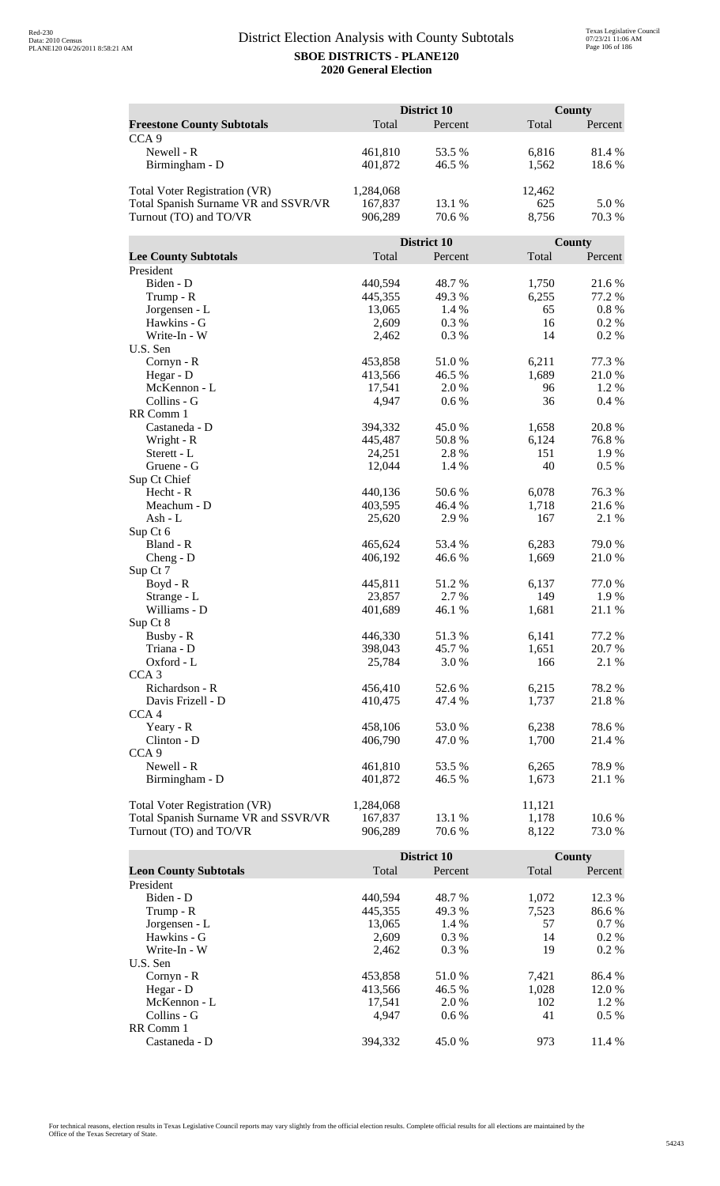|                                      | District 10 |             |        | <b>County</b> |  |
|--------------------------------------|-------------|-------------|--------|---------------|--|
| <b>Freestone County Subtotals</b>    | Total       | Percent     | Total  | Percent       |  |
| CCA <sub>9</sub>                     |             |             |        |               |  |
| Newell - R                           | 461,810     | 53.5 %      | 6,816  | 81.4%         |  |
| Birmingham - D                       | 401,872     | 46.5 %      | 1,562  | 18.6%         |  |
|                                      |             |             |        |               |  |
| <b>Total Voter Registration (VR)</b> | 1,284,068   |             | 12,462 |               |  |
| Total Spanish Surname VR and SSVR/VR | 167,837     | 13.1 %      | 625    | 5.0%          |  |
| Turnout (TO) and TO/VR               | 906,289     | 70.6 %      | 8,756  | 70.3%         |  |
|                                      |             |             |        |               |  |
|                                      |             | District 10 |        | County        |  |
| <b>Lee County Subtotals</b>          | Total       | Percent     | Total  | Percent       |  |
| President                            |             |             |        |               |  |
| Biden - D                            | 440,594     | 48.7%       | 1,750  | 21.6%         |  |
| Trump - R                            | 445,355     | 49.3%       | 6,255  | 77.2 %        |  |
| Jorgensen - L                        | 13,065      | 1.4 %       | 65     | $0.8~\%$      |  |
| Hawkins - G                          | 2,609       | 0.3%        | 16     | 0.2%          |  |
| Write-In - W                         | 2,462       | 0.3%        | 14     | 0.2 %         |  |
| U.S. Sen                             |             |             |        |               |  |
| Cornyn - R                           | 453,858     | 51.0%       | 6,211  | 77.3 %        |  |
| Hegar - D                            | 413,566     | 46.5 %      | 1,689  | 21.0%         |  |
| McKennon - L                         | 17,541      | 2.0%        | 96     | 1.2%          |  |
| Collins - G                          | 4,947       | 0.6 %       | 36     | 0.4%          |  |
| RR Comm 1                            |             |             |        |               |  |
| Castaneda - D                        | 394,332     | 45.0%       | 1,658  | 20.8%         |  |
| Wright - R                           | 445,487     | 50.8%       | 6,124  | 76.8%         |  |
| Sterett - L                          | 24,251      | 2.8%        | 151    | 1.9%          |  |
| Gruene - G<br>Sup Ct Chief           | 12,044      | 1.4 %       | 40     | 0.5 %         |  |
| Hecht - R                            | 440,136     | 50.6%       | 6,078  | 76.3%         |  |
| Meachum - D                          | 403,595     | 46.4 %      | 1,718  | 21.6 %        |  |
| Ash - L                              | 25,620      | 2.9%        | 167    | 2.1 %         |  |
| Sup Ct 6                             |             |             |        |               |  |
| Bland - R                            | 465,624     | 53.4 %      | 6,283  | 79.0%         |  |
| $Cheng - D$                          | 406,192     | 46.6%       | 1,669  | 21.0%         |  |
| Sup Ct 7                             |             |             |        |               |  |
| Boyd - R                             | 445,811     | 51.2 %      | 6,137  | 77.0%         |  |
| Strange - L                          | 23,857      | 2.7 %       | 149    | 1.9%          |  |
| Williams - D                         | 401,689     | 46.1%       | 1,681  | 21.1 %        |  |
| Sup Ct 8                             |             |             |        |               |  |
| Busby - R                            | 446,330     | 51.3%       | 6,141  | 77.2 %        |  |
| Triana - D                           | 398,043     | 45.7%       | 1,651  | 20.7 %        |  |
| Oxford - L                           | 25,784      | 3.0%        | 166    | 2.1 %         |  |
| CCA <sub>3</sub>                     |             |             |        |               |  |
| Richardson - R                       | 456,410     | 52.6 %      | 6,215  | 78.2%         |  |
| Davis Frizell - D                    | 410,475     | 47.4 %      | 1,737  | 21.8%         |  |
| CCA <sub>4</sub>                     |             |             |        |               |  |
| Yeary - R                            | 458,106     | 53.0%       | 6,238  | 78.6%         |  |
| Clinton - D                          | 406,790     | 47.0 %      | 1,700  | 21.4 %        |  |
| CCA <sub>9</sub>                     |             |             |        |               |  |
| Newell - R                           | 461,810     | 53.5 %      | 6,265  | 78.9%         |  |
| Birmingham - D                       | 401,872     | 46.5 %      | 1,673  | 21.1 %        |  |
|                                      |             |             |        |               |  |
| <b>Total Voter Registration (VR)</b> | 1,284,068   |             | 11,121 |               |  |
| Total Spanish Surname VR and SSVR/VR | 167,837     | 13.1 %      | 1,178  | 10.6%         |  |
| Turnout (TO) and TO/VR               | 906,289     | 70.6 %      | 8,122  | 73.0 %        |  |

|                              |         | District 10 |       | County  |
|------------------------------|---------|-------------|-------|---------|
| <b>Leon County Subtotals</b> | Total   | Percent     | Total | Percent |
| President                    |         |             |       |         |
| Biden - D                    | 440,594 | 48.7 %      | 1,072 | 12.3 %  |
| Trump - R                    | 445,355 | 49.3 %      | 7,523 | 86.6 %  |
| Jorgensen - L                | 13,065  | $1.4\%$     | 57    | $0.7\%$ |
| Hawkins - G                  | 2,609   | $0.3\%$     | 14    | $0.2\%$ |
| Write-In - W                 | 2.462   | $0.3\%$     | 19    | $0.2\%$ |
| U.S. Sen                     |         |             |       |         |
| $Cornyn - R$                 | 453,858 | 51.0%       | 7,421 | 86.4 %  |
| Hegar - $D$                  | 413,566 | 46.5 %      | 1,028 | 12.0 %  |
| McKennon - L                 | 17,541  | 2.0 %       | 102   | $1.2\%$ |
| Collins - G                  | 4.947   | $0.6\%$     | 41    | $0.5\%$ |
| RR Comm 1                    |         |             |       |         |
| Castaneda - D                | 394.332 | 45.0 %      | 973   | 11.4 %  |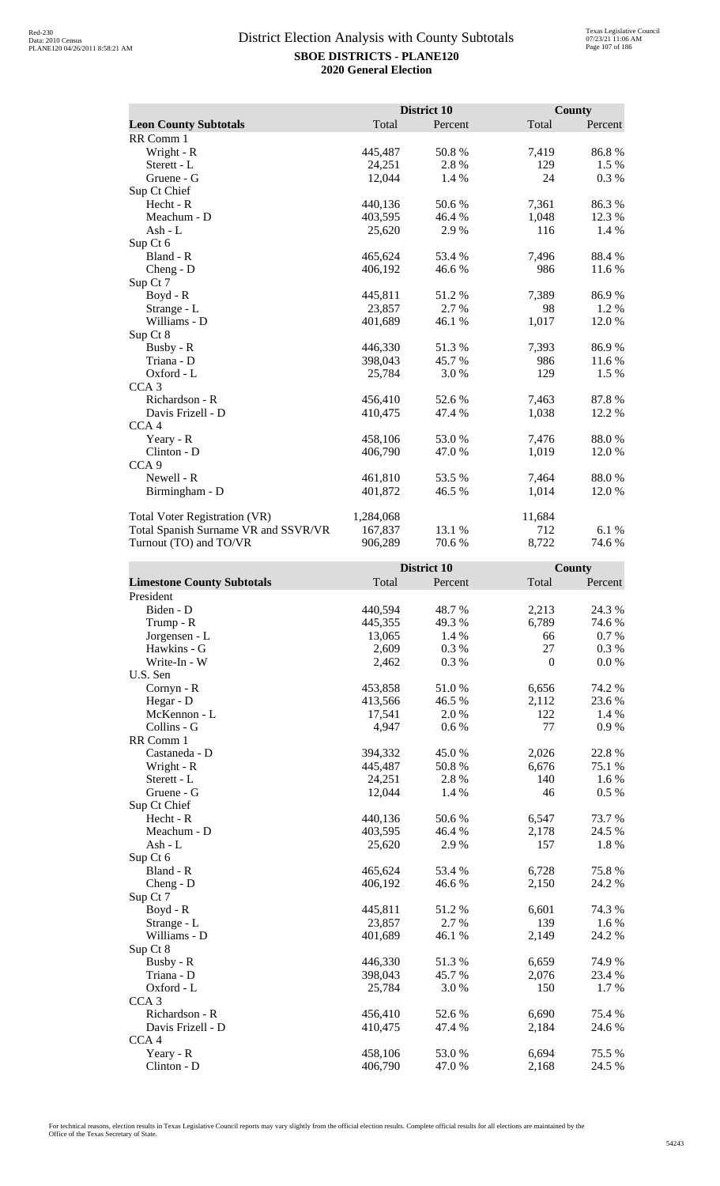|                                      |           | District 10 |        | <b>County</b> |
|--------------------------------------|-----------|-------------|--------|---------------|
| <b>Leon County Subtotals</b>         | Total     | Percent     | Total  | Percent       |
| RR Comm 1                            |           |             |        |               |
| Wright - R                           | 445,487   | 50.8%       | 7,419  | 86.8%         |
| Sterett - L                          | 24,251    | 2.8%        | 129    | 1.5 %         |
| Gruene - G                           | 12,044    | 1.4 %       | 24     | 0.3 %         |
| Sup Ct Chief                         |           |             |        |               |
| Hecht - R                            | 440,136   | 50.6 %      | 7,361  | 86.3%         |
| Meachum - D                          | 403,595   | 46.4 %      | 1,048  | 12.3 %        |
| Ash - $L$                            | 25,620    | 2.9%        | 116    | 1.4 %         |
| Sup Ct 6                             |           |             |        |               |
| Bland - R                            | 465,624   | 53.4 %      | 7,496  | 88.4%         |
| $Cheng - D$                          | 406,192   | 46.6 %      | 986    | 11.6 %        |
| Sup Ct 7                             |           |             |        |               |
| Boyd - R                             | 445,811   | 51.2%       | 7,389  | 86.9%         |
| Strange - L                          | 23,857    | 2.7%        | 98     | 1.2%          |
| Williams - D                         | 401,689   | 46.1 %      | 1,017  | 12.0 %        |
| Sup Ct 8                             |           |             |        |               |
| Busby - R                            | 446,330   | 51.3%       | 7,393  | 86.9%         |
| Triana - D                           | 398,043   | 45.7 %      | 986    | 11.6 %        |
| Oxford - L                           | 25,784    | 3.0%        | 129    | 1.5 %         |
| CCA <sub>3</sub>                     |           |             |        |               |
| Richardson - R                       | 456,410   | 52.6 %      | 7,463  | 87.8%         |
| Davis Frizell - D                    | 410,475   | 47.4 %      | 1,038  | 12.2 %        |
| CCA <sub>4</sub>                     |           |             |        |               |
| Yeary - R                            | 458,106   | 53.0 %      | 7,476  | 88.0%         |
| Clinton - D                          | 406,790   | 47.0 %      | 1,019  | 12.0%         |
| CCA <sub>9</sub>                     |           |             |        |               |
| Newell - R                           | 461,810   | 53.5 %      | 7,464  | 88.0%         |
| Birmingham - D                       | 401,872   | 46.5 %      | 1,014  | 12.0%         |
| <b>Total Voter Registration (VR)</b> | 1,284,068 |             | 11,684 |               |
| Total Spanish Surname VR and SSVR/VR | 167,837   | 13.1 %      | 712    | 6.1 %         |
| Turnout (TO) and TO/VR               | 906,289   | 70.6%       | 8,722  | 74.6 %        |

| <b>Limestone County Subtotals</b><br>Total<br>Total<br>Percent<br>Percent<br>President<br>Biden - D<br>440,594<br>2,213<br>24.3 %<br>48.7%<br>6,789<br>74.6%<br>Trump - R<br>445,355<br>49.3 %<br>0.7%<br>Jorgensen - L<br>13,065<br>1.4 %<br>66<br>27<br>Hawkins - G<br>0.3%<br>0.3%<br>2,609<br>$\boldsymbol{0}$<br>Write-In - W<br>2,462<br>0.3%<br>0.0 %<br>U.S. Sen<br>74.2 %<br>453,858<br>6,656<br>Cornyn - R<br>51.0%<br>Hegar - D<br>413,566<br>46.5 %<br>23.6%<br>2,112<br>122<br>McKennon - L<br>17,541<br>2.0%<br>1.4 %<br>Collins - G<br>4,947<br>$0.6\ \%$<br>77<br>0.9%<br>RR Comm 1<br>394,332<br>2,026<br>22.8 %<br>45.0 %<br>Castaneda - D<br>Wright - R<br>445,487<br>50.8%<br>6,676<br>75.1 %<br>1.6 %<br>Sterett - L<br>24,251<br>2.8%<br>140<br>0.5 %<br>Gruene - G<br>12,044<br>1.4 %<br>46<br>Sup Ct Chief<br>Hecht - R<br>440,136<br>50.6%<br>6,547<br>73.7%<br>Meachum - D<br>403,595<br>46.4 %<br>2,178<br>24.5 %<br>1.8 %<br>Ash - L<br>2.9 %<br>157<br>25,620<br>Sup Ct 6<br>75.8%<br>Bland - R<br>465,624<br>53.4 %<br>6,728<br>2,150<br>24.2 %<br>406,192<br>46.6 %<br>$Cheng - D$<br>Sup Ct 7<br>445,811<br>74.3 %<br>$Boyd - R$<br>51.2%<br>6,601<br>2.7%<br>139<br>1.6 %<br>23,857<br>Strange - L<br>Williams - D<br>401,689<br>46.1%<br>2,149<br>24.2 %<br>Sup Ct 8<br>Busby - R<br>446,330<br>51.3%<br>6,659<br>74.9%<br>45.7%<br>Triana - D<br>398,043<br>2,076<br>23.4 %<br>150<br>1.7%<br>Oxford - L<br>25,784<br>3.0%<br>CCA <sub>3</sub><br>6,690<br>Richardson - R<br>456,410<br>52.6 %<br>75.4 %<br>24.6 %<br>Davis Frizell - D<br>410,475<br>47.4 %<br>2,184<br>CCA <sub>4</sub><br>53.0%<br>75.5 %<br>Yeary - R<br>458,106<br>6,694<br>Clinton - D<br>406,790<br>24.5 %<br>47.0%<br>2,168 |  | District 10 | County |
|----------------------------------------------------------------------------------------------------------------------------------------------------------------------------------------------------------------------------------------------------------------------------------------------------------------------------------------------------------------------------------------------------------------------------------------------------------------------------------------------------------------------------------------------------------------------------------------------------------------------------------------------------------------------------------------------------------------------------------------------------------------------------------------------------------------------------------------------------------------------------------------------------------------------------------------------------------------------------------------------------------------------------------------------------------------------------------------------------------------------------------------------------------------------------------------------------------------------------------------------------------------------------------------------------------------------------------------------------------------------------------------------------------------------------------------------------------------------------------------------------------------------------------------------------------------------------------------------------------------------------------------------------------------------------------------------------------------------------------------|--|-------------|--------|
|                                                                                                                                                                                                                                                                                                                                                                                                                                                                                                                                                                                                                                                                                                                                                                                                                                                                                                                                                                                                                                                                                                                                                                                                                                                                                                                                                                                                                                                                                                                                                                                                                                                                                                                                        |  |             |        |
|                                                                                                                                                                                                                                                                                                                                                                                                                                                                                                                                                                                                                                                                                                                                                                                                                                                                                                                                                                                                                                                                                                                                                                                                                                                                                                                                                                                                                                                                                                                                                                                                                                                                                                                                        |  |             |        |
|                                                                                                                                                                                                                                                                                                                                                                                                                                                                                                                                                                                                                                                                                                                                                                                                                                                                                                                                                                                                                                                                                                                                                                                                                                                                                                                                                                                                                                                                                                                                                                                                                                                                                                                                        |  |             |        |
|                                                                                                                                                                                                                                                                                                                                                                                                                                                                                                                                                                                                                                                                                                                                                                                                                                                                                                                                                                                                                                                                                                                                                                                                                                                                                                                                                                                                                                                                                                                                                                                                                                                                                                                                        |  |             |        |
|                                                                                                                                                                                                                                                                                                                                                                                                                                                                                                                                                                                                                                                                                                                                                                                                                                                                                                                                                                                                                                                                                                                                                                                                                                                                                                                                                                                                                                                                                                                                                                                                                                                                                                                                        |  |             |        |
|                                                                                                                                                                                                                                                                                                                                                                                                                                                                                                                                                                                                                                                                                                                                                                                                                                                                                                                                                                                                                                                                                                                                                                                                                                                                                                                                                                                                                                                                                                                                                                                                                                                                                                                                        |  |             |        |
|                                                                                                                                                                                                                                                                                                                                                                                                                                                                                                                                                                                                                                                                                                                                                                                                                                                                                                                                                                                                                                                                                                                                                                                                                                                                                                                                                                                                                                                                                                                                                                                                                                                                                                                                        |  |             |        |
|                                                                                                                                                                                                                                                                                                                                                                                                                                                                                                                                                                                                                                                                                                                                                                                                                                                                                                                                                                                                                                                                                                                                                                                                                                                                                                                                                                                                                                                                                                                                                                                                                                                                                                                                        |  |             |        |
|                                                                                                                                                                                                                                                                                                                                                                                                                                                                                                                                                                                                                                                                                                                                                                                                                                                                                                                                                                                                                                                                                                                                                                                                                                                                                                                                                                                                                                                                                                                                                                                                                                                                                                                                        |  |             |        |
|                                                                                                                                                                                                                                                                                                                                                                                                                                                                                                                                                                                                                                                                                                                                                                                                                                                                                                                                                                                                                                                                                                                                                                                                                                                                                                                                                                                                                                                                                                                                                                                                                                                                                                                                        |  |             |        |
|                                                                                                                                                                                                                                                                                                                                                                                                                                                                                                                                                                                                                                                                                                                                                                                                                                                                                                                                                                                                                                                                                                                                                                                                                                                                                                                                                                                                                                                                                                                                                                                                                                                                                                                                        |  |             |        |
|                                                                                                                                                                                                                                                                                                                                                                                                                                                                                                                                                                                                                                                                                                                                                                                                                                                                                                                                                                                                                                                                                                                                                                                                                                                                                                                                                                                                                                                                                                                                                                                                                                                                                                                                        |  |             |        |
|                                                                                                                                                                                                                                                                                                                                                                                                                                                                                                                                                                                                                                                                                                                                                                                                                                                                                                                                                                                                                                                                                                                                                                                                                                                                                                                                                                                                                                                                                                                                                                                                                                                                                                                                        |  |             |        |
|                                                                                                                                                                                                                                                                                                                                                                                                                                                                                                                                                                                                                                                                                                                                                                                                                                                                                                                                                                                                                                                                                                                                                                                                                                                                                                                                                                                                                                                                                                                                                                                                                                                                                                                                        |  |             |        |
|                                                                                                                                                                                                                                                                                                                                                                                                                                                                                                                                                                                                                                                                                                                                                                                                                                                                                                                                                                                                                                                                                                                                                                                                                                                                                                                                                                                                                                                                                                                                                                                                                                                                                                                                        |  |             |        |
|                                                                                                                                                                                                                                                                                                                                                                                                                                                                                                                                                                                                                                                                                                                                                                                                                                                                                                                                                                                                                                                                                                                                                                                                                                                                                                                                                                                                                                                                                                                                                                                                                                                                                                                                        |  |             |        |
|                                                                                                                                                                                                                                                                                                                                                                                                                                                                                                                                                                                                                                                                                                                                                                                                                                                                                                                                                                                                                                                                                                                                                                                                                                                                                                                                                                                                                                                                                                                                                                                                                                                                                                                                        |  |             |        |
|                                                                                                                                                                                                                                                                                                                                                                                                                                                                                                                                                                                                                                                                                                                                                                                                                                                                                                                                                                                                                                                                                                                                                                                                                                                                                                                                                                                                                                                                                                                                                                                                                                                                                                                                        |  |             |        |
|                                                                                                                                                                                                                                                                                                                                                                                                                                                                                                                                                                                                                                                                                                                                                                                                                                                                                                                                                                                                                                                                                                                                                                                                                                                                                                                                                                                                                                                                                                                                                                                                                                                                                                                                        |  |             |        |
|                                                                                                                                                                                                                                                                                                                                                                                                                                                                                                                                                                                                                                                                                                                                                                                                                                                                                                                                                                                                                                                                                                                                                                                                                                                                                                                                                                                                                                                                                                                                                                                                                                                                                                                                        |  |             |        |
|                                                                                                                                                                                                                                                                                                                                                                                                                                                                                                                                                                                                                                                                                                                                                                                                                                                                                                                                                                                                                                                                                                                                                                                                                                                                                                                                                                                                                                                                                                                                                                                                                                                                                                                                        |  |             |        |
|                                                                                                                                                                                                                                                                                                                                                                                                                                                                                                                                                                                                                                                                                                                                                                                                                                                                                                                                                                                                                                                                                                                                                                                                                                                                                                                                                                                                                                                                                                                                                                                                                                                                                                                                        |  |             |        |
|                                                                                                                                                                                                                                                                                                                                                                                                                                                                                                                                                                                                                                                                                                                                                                                                                                                                                                                                                                                                                                                                                                                                                                                                                                                                                                                                                                                                                                                                                                                                                                                                                                                                                                                                        |  |             |        |
|                                                                                                                                                                                                                                                                                                                                                                                                                                                                                                                                                                                                                                                                                                                                                                                                                                                                                                                                                                                                                                                                                                                                                                                                                                                                                                                                                                                                                                                                                                                                                                                                                                                                                                                                        |  |             |        |
|                                                                                                                                                                                                                                                                                                                                                                                                                                                                                                                                                                                                                                                                                                                                                                                                                                                                                                                                                                                                                                                                                                                                                                                                                                                                                                                                                                                                                                                                                                                                                                                                                                                                                                                                        |  |             |        |
|                                                                                                                                                                                                                                                                                                                                                                                                                                                                                                                                                                                                                                                                                                                                                                                                                                                                                                                                                                                                                                                                                                                                                                                                                                                                                                                                                                                                                                                                                                                                                                                                                                                                                                                                        |  |             |        |
|                                                                                                                                                                                                                                                                                                                                                                                                                                                                                                                                                                                                                                                                                                                                                                                                                                                                                                                                                                                                                                                                                                                                                                                                                                                                                                                                                                                                                                                                                                                                                                                                                                                                                                                                        |  |             |        |
|                                                                                                                                                                                                                                                                                                                                                                                                                                                                                                                                                                                                                                                                                                                                                                                                                                                                                                                                                                                                                                                                                                                                                                                                                                                                                                                                                                                                                                                                                                                                                                                                                                                                                                                                        |  |             |        |
|                                                                                                                                                                                                                                                                                                                                                                                                                                                                                                                                                                                                                                                                                                                                                                                                                                                                                                                                                                                                                                                                                                                                                                                                                                                                                                                                                                                                                                                                                                                                                                                                                                                                                                                                        |  |             |        |
|                                                                                                                                                                                                                                                                                                                                                                                                                                                                                                                                                                                                                                                                                                                                                                                                                                                                                                                                                                                                                                                                                                                                                                                                                                                                                                                                                                                                                                                                                                                                                                                                                                                                                                                                        |  |             |        |
|                                                                                                                                                                                                                                                                                                                                                                                                                                                                                                                                                                                                                                                                                                                                                                                                                                                                                                                                                                                                                                                                                                                                                                                                                                                                                                                                                                                                                                                                                                                                                                                                                                                                                                                                        |  |             |        |
|                                                                                                                                                                                                                                                                                                                                                                                                                                                                                                                                                                                                                                                                                                                                                                                                                                                                                                                                                                                                                                                                                                                                                                                                                                                                                                                                                                                                                                                                                                                                                                                                                                                                                                                                        |  |             |        |
|                                                                                                                                                                                                                                                                                                                                                                                                                                                                                                                                                                                                                                                                                                                                                                                                                                                                                                                                                                                                                                                                                                                                                                                                                                                                                                                                                                                                                                                                                                                                                                                                                                                                                                                                        |  |             |        |
|                                                                                                                                                                                                                                                                                                                                                                                                                                                                                                                                                                                                                                                                                                                                                                                                                                                                                                                                                                                                                                                                                                                                                                                                                                                                                                                                                                                                                                                                                                                                                                                                                                                                                                                                        |  |             |        |
|                                                                                                                                                                                                                                                                                                                                                                                                                                                                                                                                                                                                                                                                                                                                                                                                                                                                                                                                                                                                                                                                                                                                                                                                                                                                                                                                                                                                                                                                                                                                                                                                                                                                                                                                        |  |             |        |
|                                                                                                                                                                                                                                                                                                                                                                                                                                                                                                                                                                                                                                                                                                                                                                                                                                                                                                                                                                                                                                                                                                                                                                                                                                                                                                                                                                                                                                                                                                                                                                                                                                                                                                                                        |  |             |        |
|                                                                                                                                                                                                                                                                                                                                                                                                                                                                                                                                                                                                                                                                                                                                                                                                                                                                                                                                                                                                                                                                                                                                                                                                                                                                                                                                                                                                                                                                                                                                                                                                                                                                                                                                        |  |             |        |
|                                                                                                                                                                                                                                                                                                                                                                                                                                                                                                                                                                                                                                                                                                                                                                                                                                                                                                                                                                                                                                                                                                                                                                                                                                                                                                                                                                                                                                                                                                                                                                                                                                                                                                                                        |  |             |        |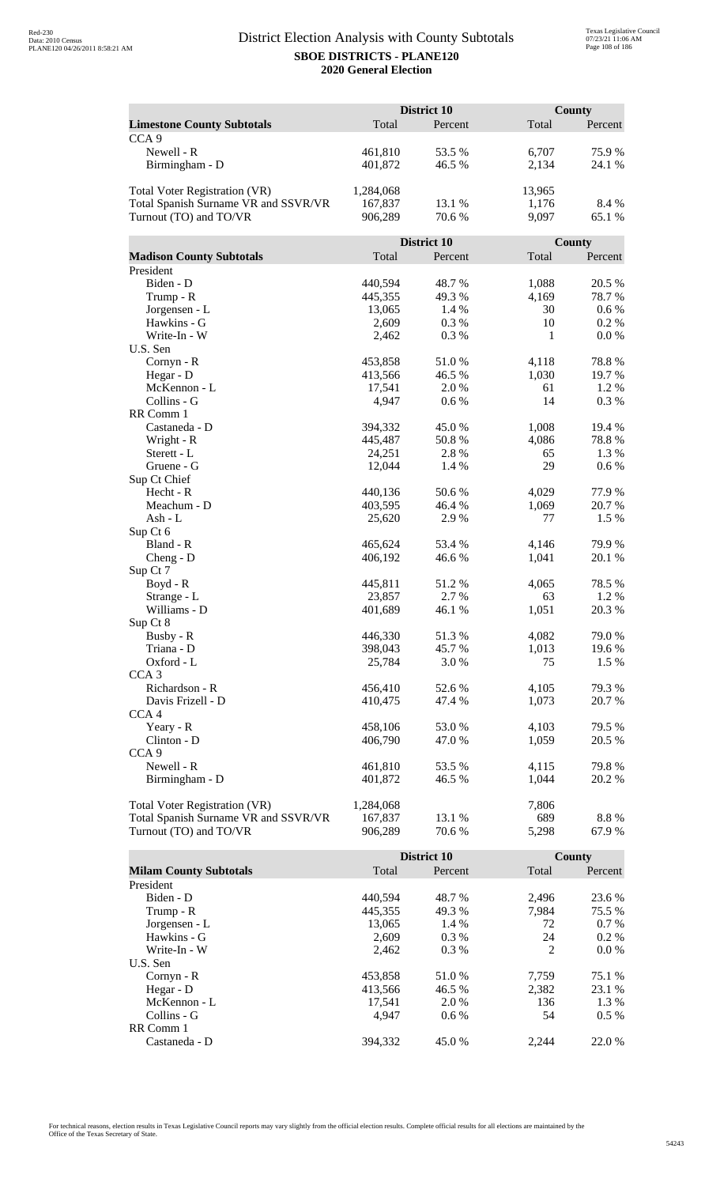|                                      | District 10       |               |             | <b>County</b> |
|--------------------------------------|-------------------|---------------|-------------|---------------|
| <b>Limestone County Subtotals</b>    | Total             | Percent       | Total       | Percent       |
| CCA <sub>9</sub>                     |                   |               |             |               |
| Newell - R                           | 461,810           | 53.5 %        | 6,707       | 75.9%         |
| Birmingham - D                       | 401,872           | 46.5 %        | 2,134       | 24.1 %        |
|                                      |                   |               |             |               |
| <b>Total Voter Registration (VR)</b> | 1,284,068         |               | 13,965      |               |
| Total Spanish Surname VR and SSVR/VR | 167,837           | 13.1 %        | 1,176       | 8.4 %         |
| Turnout (TO) and TO/VR               | 906,289           | 70.6 %        | 9,097       | 65.1 %        |
|                                      |                   |               |             |               |
|                                      |                   | District 10   |             | County        |
| <b>Madison County Subtotals</b>      | Total             | Percent       | Total       | Percent       |
| President                            |                   |               |             |               |
| Biden - D                            | 440,594           | 48.7%         | 1,088       | 20.5 %        |
| Trump - R                            | 445,355           | 49.3%         | 4,169       | 78.7%         |
| Jorgensen - L                        | 13,065            | 1.4 %         | 30          | 0.6 %         |
| Hawkins - G                          | 2,609             | 0.3%          | 10          | 0.2 %         |
| Write-In - W                         | 2,462             | 0.3%          | 1           | 0.0 %         |
| U.S. Sen                             |                   |               |             |               |
| Cornyn - R                           | 453,858           | 51.0%         | 4,118       | 78.8%         |
| Hegar - D                            | 413,566           | 46.5 %        | 1,030       | 19.7%         |
| McKennon - L                         | 17,541            | 2.0%          | 61          | 1.2%          |
| Collins - G                          | 4,947             | 0.6 %         | 14          | 0.3%          |
| RR Comm 1                            |                   |               |             |               |
| Castaneda - D                        | 394,332           | 45.0%         | 1,008       | 19.4 %        |
| Wright - R<br>Sterett - L            | 445,487<br>24,251 | 50.8%<br>2.8% | 4,086<br>65 | 78.8%<br>1.3% |
| Gruene - G                           | 12,044            | 1.4 %         | 29          | 0.6 %         |
| Sup Ct Chief                         |                   |               |             |               |
| Hecht - R                            | 440,136           | 50.6%         | 4,029       | 77.9 %        |
| Meachum - D                          | 403,595           | 46.4 %        | 1,069       | 20.7%         |
| Ash - L                              | 25,620            | 2.9%          | 77          | 1.5 %         |
| Sup Ct 6                             |                   |               |             |               |
| Bland - R                            | 465,624           | 53.4 %        | 4,146       | 79.9%         |
| $Cheng - D$                          | 406,192           | 46.6%         | 1,041       | 20.1 %        |
| Sup Ct 7                             |                   |               |             |               |
| Boyd - R                             | 445,811           | 51.2 %        | 4,065       | 78.5 %        |
| Strange - L                          | 23,857            | 2.7 %         | 63          | 1.2 %         |
| Williams - D                         | 401,689           | 46.1%         | 1,051       | 20.3 %        |
| Sup Ct 8                             |                   |               |             |               |
| Busby - R                            | 446,330           | 51.3%         | 4,082       | 79.0%         |
| Triana - D                           | 398,043           | 45.7%         | 1,013       | 19.6%         |
| Oxford - L                           | 25,784            | 3.0%          | 75          | 1.5 %         |
| CCA <sub>3</sub>                     |                   |               |             |               |
| Richardson - R                       | 456,410           | 52.6 %        | 4,105       | 79.3 %        |
| Davis Frizell - D                    | 410,475           | 47.4 %        | 1,073       | 20.7 %        |
| CCA <sub>4</sub>                     |                   |               |             |               |
| Yeary - R                            | 458,106           | 53.0%         | 4,103       | 79.5 %        |
| Clinton - D                          | 406,790           | 47.0 %        | 1,059       | 20.5 %        |
| CCA <sub>9</sub><br>Newell - R       |                   |               |             |               |
|                                      | 461,810           | 53.5 %        | 4,115       | 79.8%         |
| Birmingham - D                       | 401,872           | 46.5 %        | 1,044       | 20.2 %        |
| <b>Total Voter Registration (VR)</b> | 1,284,068         |               | 7,806       |               |
| Total Spanish Surname VR and SSVR/VR | 167,837           | 13.1 %        | 689         | 8.8 %         |
| Turnout (TO) and TO/VR               | 906,289           | 70.6 %        | 5,298       | 67.9%         |
|                                      |                   |               |             |               |

|                               |         | District 10 |       | <b>County</b> |  |
|-------------------------------|---------|-------------|-------|---------------|--|
| <b>Milam County Subtotals</b> | Total   | Percent     | Total | Percent       |  |
| President                     |         |             |       |               |  |
| Biden - D                     | 440,594 | 48.7 %      | 2.496 | 23.6 %        |  |
| Trump - R                     | 445,355 | 49.3 %      | 7.984 | 75.5 %        |  |
| Jorgensen - L                 | 13.065  | 1.4 %       | 72    | $0.7\%$       |  |
| Hawkins - G                   | 2.609   | $0.3\%$     | 24    | $0.2\%$       |  |
| Write-In - W                  | 2.462   | $0.3\%$     | 2     | $0.0\%$       |  |
| U.S. Sen                      |         |             |       |               |  |
| Cornyn - R                    | 453,858 | 51.0 %      | 7.759 | 75.1 %        |  |
| Hegar - $D$                   | 413,566 | 46.5 %      | 2,382 | 23.1 %        |  |
| McKennon - L                  | 17,541  | 2.0 %       | 136   | 1.3 %         |  |
| Collins - G                   | 4.947   | $0.6\%$     | 54    | $0.5\%$       |  |
| RR Comm 1                     |         |             |       |               |  |
| Castaneda - D                 | 394.332 | 45.0 %      | 2.244 | 22.0 %        |  |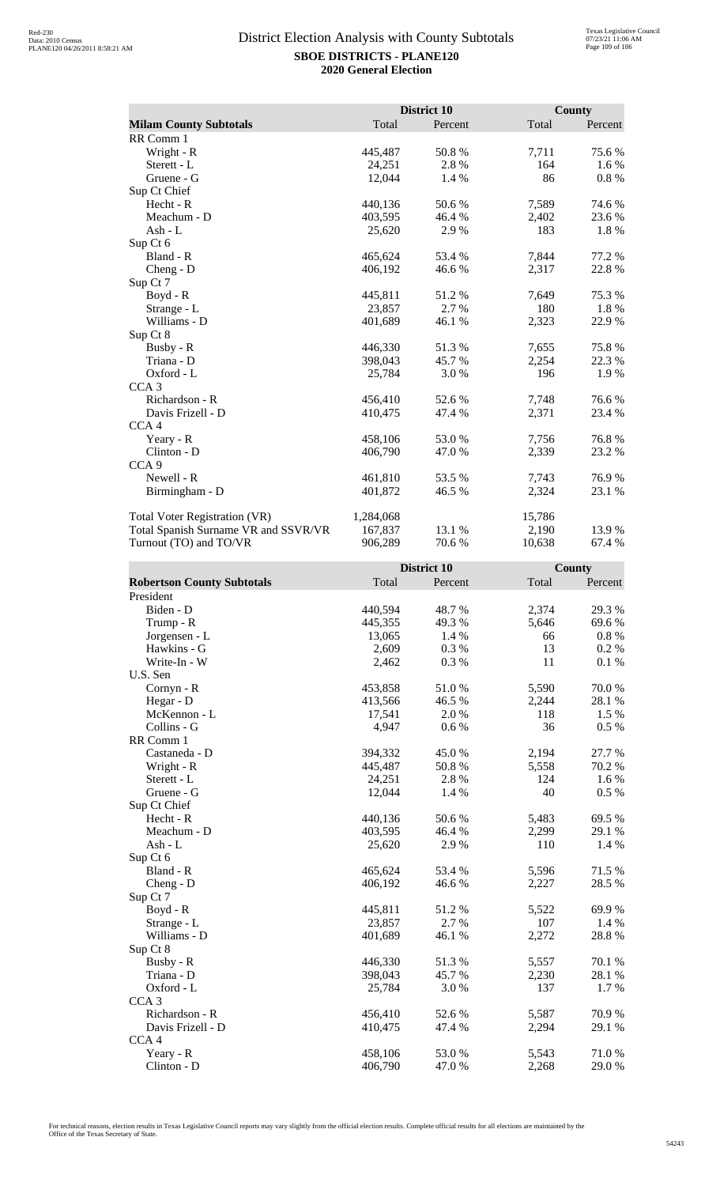|                                      |           | District 10 |        | <b>County</b> |
|--------------------------------------|-----------|-------------|--------|---------------|
| <b>Milam County Subtotals</b>        | Total     | Percent     | Total  | Percent       |
| RR Comm 1                            |           |             |        |               |
| Wright - R                           | 445,487   | 50.8%       | 7,711  | 75.6%         |
| Sterett - L                          | 24,251    | 2.8%        | 164    | 1.6 %         |
| Gruene - G                           | 12,044    | 1.4 %       | 86     | $0.8 \%$      |
| Sup Ct Chief                         |           |             |        |               |
| Hecht - R                            | 440,136   | 50.6 %      | 7,589  | 74.6 %        |
| Meachum - D                          | 403,595   | 46.4%       | 2,402  | 23.6 %        |
| Ash - $L$                            | 25,620    | 2.9%        | 183    | 1.8%          |
| Sup Ct 6                             |           |             |        |               |
| Bland - R                            | 465,624   | 53.4 %      | 7,844  | 77.2 %        |
| $Cheng - D$                          | 406,192   | 46.6 %      | 2,317  | 22.8%         |
| Sup Ct 7                             |           |             |        |               |
| $Boyd - R$                           | 445,811   | 51.2 %      | 7,649  | 75.3 %        |
| Strange - L                          | 23,857    | 2.7 %       | 180    | 1.8%          |
| Williams - D                         | 401,689   | 46.1 %      | 2,323  | 22.9 %        |
| Sup Ct 8                             |           |             |        |               |
| Busby - R                            | 446,330   | 51.3%       | 7,655  | 75.8%         |
| Triana - D                           | 398,043   | 45.7 %      | 2,254  | 22.3 %        |
| Oxford - L                           | 25,784    | 3.0%        | 196    | 1.9 %         |
| CCA <sub>3</sub>                     |           |             |        |               |
| Richardson - R                       | 456,410   | 52.6 %      | 7,748  | 76.6 %        |
| Davis Frizell - D                    | 410,475   | 47.4 %      | 2,371  | 23.4 %        |
| CCA <sub>4</sub>                     |           |             |        |               |
| Yeary - R                            | 458,106   | 53.0%       | 7,756  | 76.8%         |
| Clinton - D                          | 406,790   | 47.0 %      | 2,339  | 23.2 %        |
| CCA <sub>9</sub>                     |           |             |        |               |
| Newell - R                           | 461,810   | 53.5 %      | 7,743  | 76.9%         |
| Birmingham - D                       | 401,872   | 46.5 %      | 2,324  | 23.1 %        |
| <b>Total Voter Registration (VR)</b> | 1,284,068 |             | 15,786 |               |
| Total Spanish Surname VR and SSVR/VR | 167,837   | 13.1 %      | 2,190  | 13.9 %        |
| Turnout (TO) and TO/VR               | 906,289   | 70.6%       | 10,638 | 67.4 %        |

|                                   |         | District 10 |       | County   |
|-----------------------------------|---------|-------------|-------|----------|
| <b>Robertson County Subtotals</b> | Total   | Percent     | Total | Percent  |
| President                         |         |             |       |          |
| Biden - D                         | 440,594 | 48.7%       | 2,374 | 29.3 %   |
| Trump - R                         | 445,355 | 49.3%       | 5,646 | 69.6%    |
| Jorgensen - L                     | 13,065  | 1.4 %       | 66    | $0.8~\%$ |
| Hawkins - G                       | 2,609   | 0.3%        | 13    | 0.2 %    |
| Write-In - W                      | 2,462   | 0.3%        | 11    | 0.1%     |
| U.S. Sen                          |         |             |       |          |
| Cornyn - R                        | 453,858 | 51.0%       | 5,590 | 70.0%    |
| Hegar - D                         | 413,566 | 46.5 %      | 2,244 | 28.1 %   |
| McKennon - L                      | 17,541  | 2.0%        | 118   | 1.5 %    |
| Collins - G                       | 4,947   | 0.6 %       | 36    | 0.5 %    |
| RR Comm 1                         |         |             |       |          |
| Castaneda - D                     | 394,332 | 45.0%       | 2,194 | 27.7 %   |
| Wright - R                        | 445,487 | 50.8%       | 5,558 | 70.2 %   |
| Sterett - L                       | 24,251  | 2.8%        | 124   | 1.6 %    |
| Gruene - G                        | 12,044  | 1.4 %       | 40    | 0.5 %    |
| Sup Ct Chief                      |         |             |       |          |
| Hecht - R                         | 440,136 | 50.6%       | 5,483 | 69.5 %   |
| Meachum - D                       | 403,595 | 46.4%       | 2,299 | 29.1 %   |
| $Ash - L$                         | 25,620  | 2.9%        | 110   | 1.4 %    |
| Sup Ct 6                          |         |             |       |          |
| Bland - R                         | 465,624 | 53.4 %      | 5,596 | 71.5 %   |
| $Cheng - D$                       | 406,192 | 46.6 %      | 2,227 | 28.5 %   |
| Sup Ct 7                          |         |             |       |          |
| Boyd - R                          | 445,811 | 51.2%       | 5,522 | 69.9%    |
| Strange - L                       | 23,857  | 2.7 %       | 107   | 1.4 %    |
| Williams - D                      | 401,689 | 46.1 %      | 2,272 | 28.8%    |
| Sup Ct 8                          |         |             |       |          |
| Busby - R                         | 446,330 | 51.3%       | 5,557 | 70.1 %   |
| Triana - D                        | 398,043 | 45.7%       | 2,230 | 28.1 %   |
| Oxford - L                        | 25,784  | 3.0%        | 137   | 1.7%     |
| CCA <sub>3</sub>                  |         |             |       |          |
| Richardson - R                    | 456,410 | 52.6%       | 5,587 | 70.9%    |
| Davis Frizell - D                 | 410,475 | 47.4 %      | 2,294 | 29.1 %   |
| CCA <sub>4</sub>                  |         |             |       |          |
| Yeary - R                         | 458,106 | 53.0%       | 5,543 | 71.0%    |
| Clinton - D                       | 406,790 | 47.0%       | 2,268 | 29.0%    |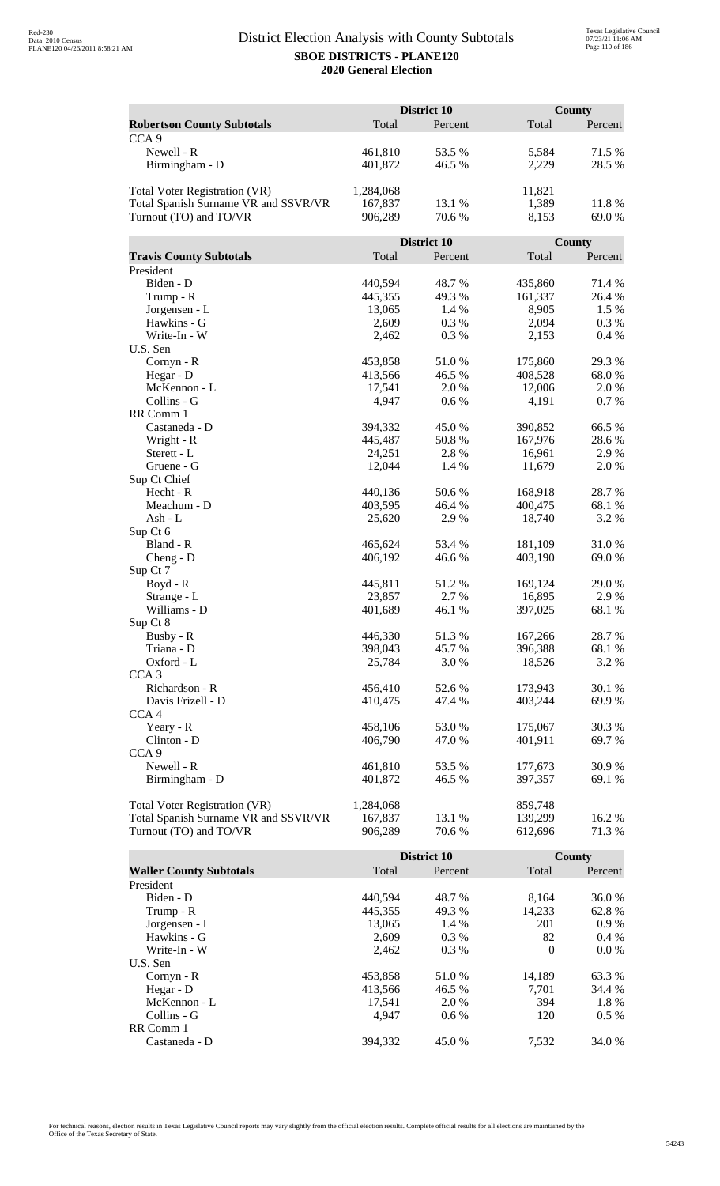|                                                                              |                      | <b>District 10</b> |                    | County  |  |
|------------------------------------------------------------------------------|----------------------|--------------------|--------------------|---------|--|
| <b>Robertson County Subtotals</b>                                            | Total                | Percent            | Total              | Percent |  |
| CCA <sub>9</sub>                                                             |                      |                    |                    |         |  |
| Newell - R                                                                   | 461,810              | 53.5 %             | 5,584              | 71.5 %  |  |
| Birmingham - D                                                               | 401,872              | 46.5 %             | 2,229              | 28.5 %  |  |
|                                                                              |                      |                    |                    |         |  |
| Total Voter Registration (VR)                                                | 1,284,068            |                    | 11,821             |         |  |
| Total Spanish Surname VR and SSVR/VR                                         | 167,837              | 13.1 %             | 1,389              | 11.8%   |  |
| Turnout (TO) and TO/VR                                                       | 906,289              | 70.6 %             | 8,153              | 69.0%   |  |
|                                                                              |                      |                    |                    |         |  |
|                                                                              |                      | District 10        |                    | County  |  |
| <b>Travis County Subtotals</b>                                               | Total                | Percent            | Total              | Percent |  |
| President                                                                    |                      |                    |                    |         |  |
| Biden - D                                                                    | 440,594              | 48.7%              | 435,860            | 71.4 %  |  |
| Trump - R                                                                    | 445,355              | 49.3%              | 161,337            | 26.4 %  |  |
| Jorgensen - L                                                                | 13,065               | 1.4 %              | 8,905              | 1.5 %   |  |
| Hawkins - G                                                                  | 2,609                | 0.3%               | 2,094              | 0.3 %   |  |
| Write-In - W                                                                 | 2,462                | 0.3%               | 2,153              | 0.4%    |  |
| U.S. Sen                                                                     |                      |                    |                    |         |  |
| Cornyn - R                                                                   | 453,858              | 51.0%              | 175,860            | 29.3 %  |  |
| Hegar - D                                                                    | 413,566              | 46.5 %             | 408,528            | 68.0%   |  |
| McKennon - L                                                                 | 17,541               | 2.0%               | 12,006             | 2.0%    |  |
| Collins - G                                                                  | 4,947                | 0.6 %              | 4,191              | 0.7%    |  |
| RR Comm 1                                                                    |                      |                    |                    |         |  |
| Castaneda - D                                                                | 394,332              | 45.0%              | 390,852            | 66.5 %  |  |
| Wright - R                                                                   | 445,487              | 50.8%              | 167,976            | 28.6%   |  |
| Sterett - L                                                                  | 24,251               | 2.8%               | 16,961             | 2.9%    |  |
| Gruene - G<br>Sup Ct Chief                                                   | 12,044               | 1.4 %              | 11,679             | 2.0%    |  |
| Hecht - R                                                                    | 440,136              | 50.6%              | 168,918            | 28.7%   |  |
| Meachum - D                                                                  | 403,595              | 46.4 %             | 400,475            | 68.1 %  |  |
| Ash - L                                                                      | 25,620               | 2.9%               | 18,740             | 3.2 %   |  |
| Sup Ct 6                                                                     |                      |                    |                    |         |  |
| Bland - R                                                                    | 465,624              | 53.4 %             | 181,109            | 31.0%   |  |
| $Cheng - D$                                                                  | 406,192              | 46.6%              | 403,190            | 69.0 %  |  |
| Sup Ct 7                                                                     |                      |                    |                    |         |  |
| $Boyd - R$                                                                   | 445,811              | 51.2%              | 169,124            | 29.0 %  |  |
| Strange - L                                                                  | 23,857               | 2.7%               | 16,895             | 2.9%    |  |
| Williams - D                                                                 | 401,689              | 46.1%              | 397,025            | 68.1 %  |  |
| Sup Ct 8                                                                     |                      |                    |                    |         |  |
| Busby - R                                                                    | 446,330              | 51.3%              | 167,266            | 28.7 %  |  |
| Triana - D                                                                   | 398,043              | 45.7%              | 396,388            | 68.1 %  |  |
| Oxford - L                                                                   | 25,784               | 3.0 %              | 18,526             | 3.2 %   |  |
| CCA <sub>3</sub>                                                             |                      |                    |                    |         |  |
| Richardson - R                                                               | 456,410              | 52.6%              | 173,943            | 30.1 %  |  |
| Davis Frizell - D                                                            | 410,475              | 47.4 %             | 403,244            | 69.9%   |  |
| CCA <sub>4</sub>                                                             |                      |                    |                    |         |  |
| Yeary - R                                                                    | 458,106              | 53.0%              | 175,067            | 30.3 %  |  |
| Clinton - D                                                                  | 406,790              | 47.0 %             | 401,911            | 69.7%   |  |
| CCA <sub>9</sub>                                                             |                      |                    |                    |         |  |
| Newell - R                                                                   | 461,810              | 53.5 %             | 177,673            | 30.9%   |  |
| Birmingham - D                                                               | 401,872              | 46.5 %             | 397,357            | 69.1 %  |  |
|                                                                              |                      |                    |                    |         |  |
| <b>Total Voter Registration (VR)</b><br>Total Spanish Surname VR and SSVR/VR | 1,284,068<br>167,837 | 13.1 %             | 859,748<br>139,299 | 16.2%   |  |
| Turnout (TO) and TO/VR                                                       | 906,289              | 70.6%              | 612,696            | 71.3 %  |  |
|                                                                              |                      |                    |                    |         |  |

|                                |         | District 10 |          | County  |
|--------------------------------|---------|-------------|----------|---------|
| <b>Waller County Subtotals</b> | Total   | Percent     | Total    | Percent |
| President                      |         |             |          |         |
| Biden - D                      | 440,594 | 48.7 %      | 8,164    | 36.0 %  |
| Trump - R                      | 445,355 | 49.3 %      | 14,233   | 62.8%   |
| Jorgensen - L                  | 13,065  | 1.4 %       | 201      | $0.9\%$ |
| Hawkins - G                    | 2,609   | $0.3\%$     | 82       | $0.4\%$ |
| Write-In - W                   | 2.462   | $0.3\%$     | $\Omega$ | $0.0\%$ |
| U.S. Sen                       |         |             |          |         |
| $Cornyn - R$                   | 453,858 | 51.0 %      | 14,189   | 63.3 %  |
| Hegar - $D$                    | 413,566 | 46.5 %      | 7,701    | 34.4 %  |
| McKennon - L                   | 17,541  | 2.0 %       | 394      | 1.8%    |
| Collins - G                    | 4.947   | $0.6\%$     | 120      | $0.5\%$ |
| RR Comm 1                      |         |             |          |         |
| Castaneda - D                  | 394.332 | 45.0 %      | 7.532    | 34.0 %  |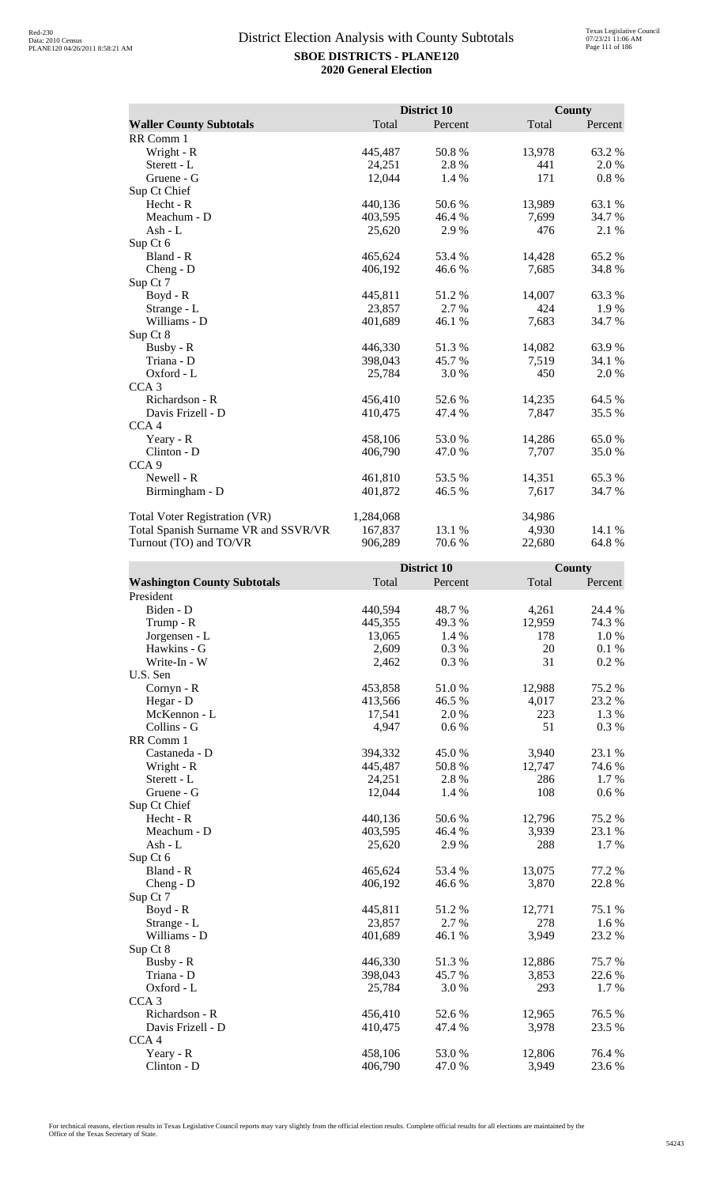|                                      |           | District 10 |        | <b>County</b> |
|--------------------------------------|-----------|-------------|--------|---------------|
| <b>Waller County Subtotals</b>       | Total     | Percent     | Total  | Percent       |
| RR Comm 1                            |           |             |        |               |
| Wright - R                           | 445,487   | 50.8%       | 13,978 | 63.2%         |
| Sterett - L                          | 24,251    | 2.8%        | 441    | 2.0%          |
| Gruene - G                           | 12,044    | 1.4 %       | 171    | $0.8 \%$      |
| Sup Ct Chief                         |           |             |        |               |
| Hecht - R                            | 440,136   | 50.6%       | 13,989 | 63.1 %        |
| Meachum - D                          | 403,595   | 46.4 %      | 7,699  | 34.7 %        |
| Ash - L                              | 25,620    | 2.9%        | 476    | 2.1 %         |
| Sup Ct 6                             |           |             |        |               |
| Bland - R                            | 465,624   | 53.4 %      | 14,428 | 65.2%         |
| $Cheng - D$                          | 406,192   | 46.6 %      | 7,685  | 34.8%         |
| Sup Ct 7                             |           |             |        |               |
| $Boyd - R$                           | 445,811   | 51.2%       | 14,007 | 63.3%         |
| Strange - L                          | 23,857    | 2.7 %       | 424    | 1.9 %         |
| Williams - D                         | 401,689   | 46.1 %      | 7,683  | 34.7 %        |
| Sup Ct 8                             |           |             |        |               |
| Busby - R                            | 446,330   | 51.3 %      | 14,082 | 63.9%         |
| Triana - D                           | 398,043   | 45.7 %      | 7,519  | 34.1 %        |
| Oxford - L                           | 25,784    | 3.0%        | 450    | 2.0 %         |
| CCA <sub>3</sub>                     |           |             |        |               |
| Richardson - R                       | 456,410   | 52.6%       | 14,235 | 64.5 %        |
| Davis Frizell - D                    | 410,475   | 47.4 %      | 7,847  | 35.5 %        |
| CCA <sub>4</sub>                     |           |             |        |               |
| Yeary - R                            | 458,106   | 53.0 %      | 14,286 | 65.0%         |
| Clinton - D                          | 406,790   | 47.0 %      | 7,707  | 35.0%         |
| CCA <sub>9</sub>                     |           |             |        |               |
| Newell - R                           | 461,810   | 53.5 %      | 14,351 | 65.3%         |
| Birmingham - D                       | 401,872   | 46.5 %      | 7,617  | 34.7 %        |
| Total Voter Registration (VR)        | 1,284,068 |             | 34,986 |               |
| Total Spanish Surname VR and SSVR/VR | 167,837   | 13.1 %      | 4,930  | 14.1 %        |
| Turnout (TO) and TO/VR               | 906,289   | 70.6%       | 22,680 | 64.8%         |

|                                    |         | District 10 |        | County    |
|------------------------------------|---------|-------------|--------|-----------|
| <b>Washington County Subtotals</b> | Total   | Percent     | Total  | Percent   |
| President                          |         |             |        |           |
| Biden - D                          | 440,594 | 48.7%       | 4,261  | 24.4 %    |
| Trump - R                          | 445,355 | 49.3%       | 12,959 | 74.3 %    |
| Jorgensen - L                      | 13,065  | 1.4 %       | 178    | 1.0%      |
| Hawkins - G                        | 2,609   | 0.3%        | 20     | 0.1%      |
| Write-In - W                       | 2,462   | 0.3%        | 31     | 0.2 %     |
| U.S. Sen                           |         |             |        |           |
| Cornyn - R                         | 453,858 | 51.0%       | 12,988 | 75.2 %    |
| Hegar - D                          | 413,566 | 46.5 %      | 4,017  | 23.2 %    |
| McKennon - L                       | 17,541  | 2.0%        | 223    | 1.3%      |
| Collins - G                        | 4,947   | 0.6 %       | 51     | 0.3%      |
| RR Comm 1                          |         |             |        |           |
| Castaneda - D                      | 394,332 | 45.0%       | 3,940  | 23.1 %    |
| Wright - R                         | 445,487 | 50.8%       | 12,747 | 74.6%     |
| Sterett - L                        | 24,251  | 2.8 %       | 286    | 1.7 %     |
| Gruene - G                         | 12,044  | 1.4 %       | 108    | $0.6\ \%$ |
| Sup Ct Chief                       |         |             |        |           |
| Hecht - R                          | 440,136 | 50.6%       | 12,796 | 75.2 %    |
| Meachum - D                        | 403,595 | 46.4%       | 3,939  | 23.1 %    |
| $Ash - L$                          | 25,620  | 2.9%        | 288    | 1.7%      |
| Sup Ct 6                           |         |             |        |           |
| Bland - R                          | 465,624 | 53.4 %      | 13,075 | 77.2 %    |
| $Cheng - D$                        | 406,192 | 46.6%       | 3,870  | 22.8 %    |
| Sup Ct 7                           |         |             |        |           |
| Boyd - R                           | 445,811 | 51.2%       | 12,771 | 75.1 %    |
| Strange - L                        | 23,857  | 2.7 %       | 278    | 1.6 %     |
| Williams - D                       | 401,689 | 46.1 %      | 3,949  | 23.2 %    |
| Sup Ct 8                           |         |             |        |           |
| Busby - R                          | 446,330 | 51.3%       | 12,886 | 75.7%     |
| Triana - D                         | 398,043 | 45.7%       | 3,853  | 22.6 %    |
| Oxford - L                         | 25,784  | 3.0 %       | 293    | 1.7%      |
| CCA <sub>3</sub>                   |         |             |        |           |
| Richardson - R                     | 456,410 | 52.6%       | 12,965 | 76.5 %    |
| Davis Frizell - D                  | 410,475 | 47.4 %      | 3,978  | 23.5 %    |
| CCA4                               |         |             |        |           |
| Yeary - R                          | 458,106 | 53.0%       | 12,806 | 76.4%     |
| Clinton - D                        | 406,790 | 47.0%       | 3,949  | 23.6 %    |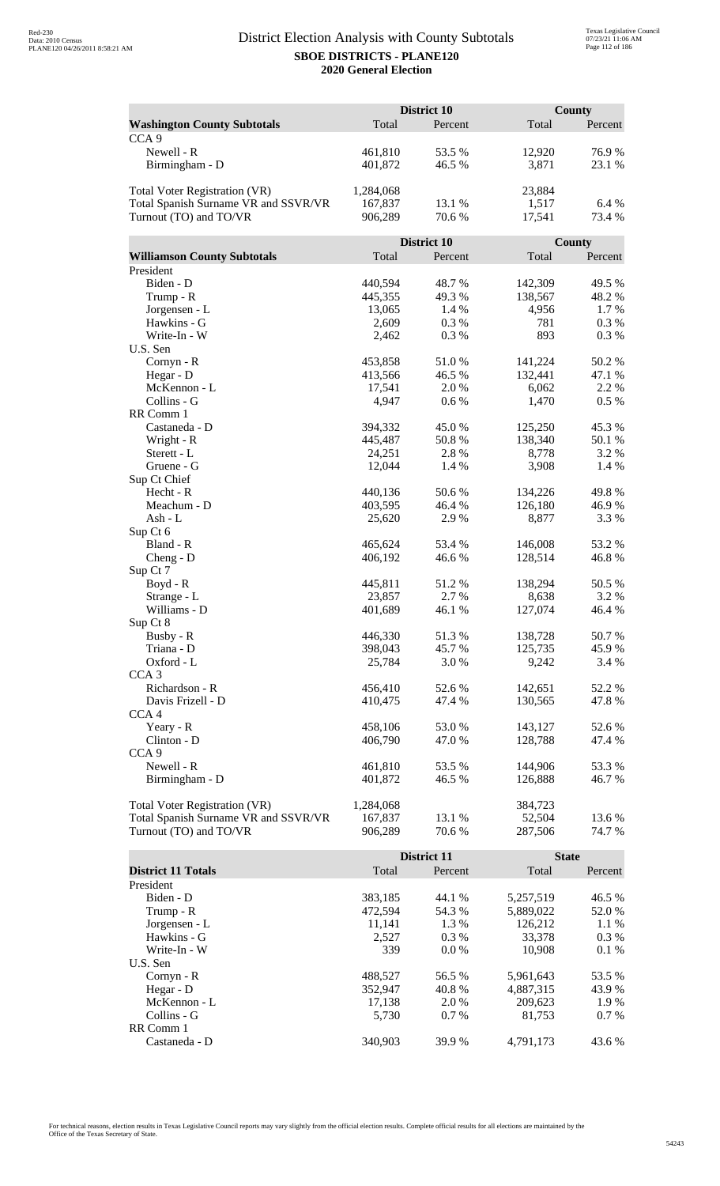|                                      | District 10       |                    |                  | <b>County</b>   |  |
|--------------------------------------|-------------------|--------------------|------------------|-----------------|--|
| <b>Washington County Subtotals</b>   | Total             | Percent            | Total            | Percent         |  |
| CCA <sub>9</sub>                     |                   |                    |                  |                 |  |
| Newell - R                           | 461,810           | 53.5 %             | 12,920           | 76.9%           |  |
| Birmingham - D                       | 401,872           | 46.5 %             | 3,871            | 23.1 %          |  |
|                                      |                   |                    |                  |                 |  |
| <b>Total Voter Registration (VR)</b> | 1,284,068         |                    | 23,884           |                 |  |
| Total Spanish Surname VR and SSVR/VR | 167,837           | 13.1 %             | 1,517            | 6.4 %           |  |
| Turnout (TO) and TO/VR               | 906,289           | 70.6%              | 17,541           | 73.4 %          |  |
|                                      |                   |                    |                  |                 |  |
|                                      |                   | <b>District 10</b> |                  | County          |  |
| <b>Williamson County Subtotals</b>   | Total             | Percent            | Total            | Percent         |  |
| President                            |                   |                    |                  |                 |  |
| Biden - D                            | 440,594           | 48.7%              | 142,309          | 49.5 %          |  |
| Trump - R                            | 445,355           | 49.3%              | 138,567          | 48.2%           |  |
| Jorgensen - L                        | 13,065            | 1.4 %              | 4,956            | 1.7%            |  |
| Hawkins - G                          | 2,609             | 0.3%               | 781              | 0.3%            |  |
| Write-In - W                         | 2,462             | 0.3%               | 893              | 0.3%            |  |
| U.S. Sen                             |                   |                    |                  |                 |  |
| Cornyn - R                           | 453,858           | 51.0%              | 141,224          | 50.2%           |  |
| Hegar - D                            | 413,566           | 46.5 %             | 132,441          | 47.1 %          |  |
| McKennon - L                         | 17,541            | 2.0%               | 6,062            | 2.2 %           |  |
| Collins - G                          | 4,947             | 0.6 %              | 1,470            | $0.5\%$         |  |
| RR Comm 1                            |                   |                    |                  |                 |  |
| Castaneda - D                        | 394,332           | 45.0%              | 125,250          | 45.3%           |  |
| Wright - R                           | 445,487           | 50.8%              | 138,340          | 50.1 %          |  |
| Sterett - L                          | 24,251            | 2.8%               | 8,778            | 3.2 %           |  |
| Gruene - G                           | 12,044            | 1.4 %              | 3,908            | 1.4 %           |  |
| Sup Ct Chief                         |                   |                    |                  |                 |  |
| Hecht - R                            | 440,136           | 50.6 %             | 134,226          | 49.8%           |  |
| Meachum - D                          | 403,595           | 46.4 %             | 126,180          | 46.9%           |  |
| Ash - L                              | 25,620            | 2.9%               | 8,877            | 3.3 %           |  |
| Sup Ct 6                             |                   |                    |                  |                 |  |
| Bland - R                            | 465,624           | 53.4 %             | 146,008          | 53.2 %          |  |
| $Cheng - D$                          | 406,192           | 46.6%              | 128,514          | 46.8%           |  |
| Sup Ct 7                             |                   |                    |                  |                 |  |
| $Boyd - R$                           | 445,811<br>23,857 | 51.2 %<br>2.7 %    | 138,294<br>8,638 | 50.5 %<br>3.2 % |  |
| Strange - L<br>Williams - D          | 401,689           | 46.1 %             |                  | 46.4 %          |  |
|                                      |                   |                    | 127,074          |                 |  |
| Sup Ct 8<br>Busby - R                | 446,330           | 51.3%              | 138,728          | 50.7%           |  |
| Triana - D                           | 398,043           | 45.7%              | 125,735          | 45.9%           |  |
| Oxford - L                           | 25,784            | 3.0%               | 9,242            | 3.4 %           |  |
| CCA <sub>3</sub>                     |                   |                    |                  |                 |  |
| Richardson - R                       | 456,410           | 52.6 %             | 142,651          | 52.2 %          |  |
| Davis Frizell - D                    | 410,475           | 47.4 %             | 130,565          | 47.8%           |  |
| CCA <sub>4</sub>                     |                   |                    |                  |                 |  |
| Yeary - R                            | 458,106           | 53.0%              | 143,127          | 52.6 %          |  |
| Clinton - D                          | 406,790           | 47.0 %             | 128,788          | 47.4 %          |  |
| CCA <sub>9</sub>                     |                   |                    |                  |                 |  |
| Newell - R                           | 461,810           | 53.5 %             | 144,906          | 53.3%           |  |
| Birmingham - D                       | 401,872           | 46.5 %             | 126,888          | 46.7 %          |  |
|                                      |                   |                    |                  |                 |  |
| Total Voter Registration (VR)        | 1,284,068         |                    | 384,723          |                 |  |
| Total Spanish Surname VR and SSVR/VR | 167,837           | 13.1 %             | 52,504           | 13.6 %          |  |
| Turnout (TO) and TO/VR               | 906,289           | 70.6 %             | 287,506          | 74.7 %          |  |
|                                      |                   |                    |                  |                 |  |
|                                      |                   | District 11        | <b>State</b>     |                 |  |
| <b>District 11 Totals</b>            | Total             | Percent            | Total            | Percent         |  |

|                           | рюнкі п |         | waa       |         |
|---------------------------|---------|---------|-----------|---------|
| <b>District 11 Totals</b> | Total   | Percent | Total     | Percent |
| President                 |         |         |           |         |
| Biden - D                 | 383,185 | 44.1 %  | 5,257,519 | 46.5 %  |
| Trump - R                 | 472.594 | 54.3 %  | 5,889,022 | 52.0 %  |
| Jorgensen - L             | 11,141  | 1.3 %   | 126.212   | 1.1 %   |
| Hawkins - G               | 2.527   | $0.3\%$ | 33,378    | $0.3\%$ |
| Write-In - W              | 339     | $0.0\%$ | 10.908    | $0.1\%$ |
| U.S. Sen                  |         |         |           |         |
| Cornyn - R                | 488,527 | 56.5 %  | 5,961,643 | 53.5 %  |
| Hegar - $D$               | 352,947 | 40.8%   | 4,887,315 | 43.9 %  |
| McKennon - L              | 17,138  | 2.0 %   | 209,623   | 1.9 %   |
| Collins - G               | 5.730   | $0.7\%$ | 81.753    | $0.7\%$ |
| RR Comm 1                 |         |         |           |         |
| Castaneda - D             | 340.903 | 39.9%   | 4.791.173 | 43.6 %  |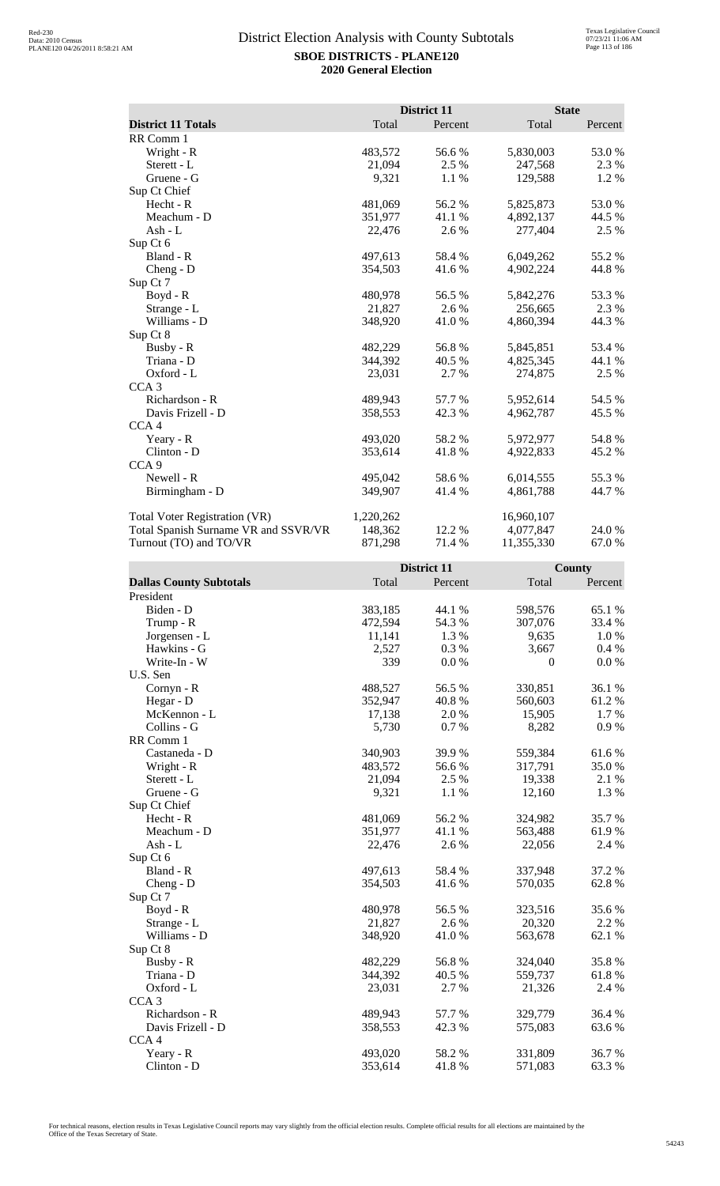|                                      |           | District 11 | <b>State</b> |         |
|--------------------------------------|-----------|-------------|--------------|---------|
| <b>District 11 Totals</b>            | Total     | Percent     | Total        | Percent |
| RR Comm 1                            |           |             |              |         |
| Wright - R                           | 483,572   | 56.6%       | 5,830,003    | 53.0 %  |
| Sterett - L                          | 21,094    | 2.5 %       | 247,568      | 2.3 %   |
| Gruene - G                           | 9,321     | 1.1 %       | 129,588      | 1.2 %   |
| Sup Ct Chief                         |           |             |              |         |
| Hecht - R                            | 481,069   | 56.2%       | 5,825,873    | 53.0 %  |
| Meachum - D                          | 351,977   | 41.1 %      | 4,892,137    | 44.5 %  |
| Ash - $L$                            | 22,476    | 2.6 %       | 277,404      | 2.5 %   |
| Sup Ct 6                             |           |             |              |         |
| Bland - R                            | 497,613   | 58.4%       | 6,049,262    | 55.2 %  |
| Cheng - D                            | 354,503   | 41.6 %      | 4,902,224    | 44.8%   |
| Sup Ct 7                             |           |             |              |         |
| Boyd - R                             | 480,978   | 56.5 %      | 5,842,276    | 53.3%   |
| Strange - L                          | 21,827    | 2.6 %       | 256,665      | 2.3 %   |
| Williams - D                         | 348,920   | 41.0 %      | 4,860,394    | 44.3 %  |
| Sup Ct 8                             |           |             |              |         |
| Busby - R                            | 482,229   | 56.8%       | 5,845,851    | 53.4 %  |
| Triana - D                           | 344,392   | 40.5 %      | 4,825,345    | 44.1 %  |
| Oxford - L                           | 23,031    | 2.7 %       | 274,875      | 2.5 %   |
| CCA <sub>3</sub>                     |           |             |              |         |
| Richardson - R                       | 489,943   | 57.7 %      | 5,952,614    | 54.5 %  |
| Davis Frizell - D                    | 358,553   | 42.3 %      | 4,962,787    | 45.5 %  |
| CCA <sub>4</sub>                     |           |             |              |         |
| Yeary - R                            | 493,020   | 58.2%       | 5,972,977    | 54.8%   |
| Clinton - D                          | 353,614   | 41.8%       | 4,922,833    | 45.2 %  |
| CCA <sub>9</sub>                     |           |             |              |         |
| Newell - R                           | 495,042   | 58.6%       | 6,014,555    | 55.3%   |
| Birmingham - D                       | 349,907   | 41.4 %      | 4,861,788    | 44.7 %  |
| Total Voter Registration (VR)        | 1,220,262 |             | 16,960,107   |         |
| Total Spanish Surname VR and SSVR/VR | 148,362   | 12.2 %      | 4,077,847    | 24.0 %  |
| Turnout (TO) and TO/VR               | 871,298   | 71.4 %      | 11,355,330   | 67.0%   |

|                                |         | District 11 |              | County  |
|--------------------------------|---------|-------------|--------------|---------|
| <b>Dallas County Subtotals</b> | Total   | Percent     | Total        | Percent |
| President                      |         |             |              |         |
| Biden - D                      | 383,185 | 44.1 %      | 598,576      | 65.1 %  |
| Trump - R                      | 472,594 | 54.3 %      | 307,076      | 33.4 %  |
| Jorgensen - L                  | 11,141  | 1.3%        | 9,635        | 1.0%    |
| Hawkins - G                    | 2,527   | 0.3%        | 3,667        | 0.4%    |
| Write-In - W                   | 339     | 0.0 %       | $\mathbf{0}$ | 0.0 %   |
| U.S. Sen                       |         |             |              |         |
| Cornyn - R                     | 488,527 | 56.5 %      | 330,851      | 36.1 %  |
| Hegar - D                      | 352,947 | 40.8%       | 560,603      | 61.2%   |
| McKennon - L                   | 17,138  | 2.0%        | 15,905       | 1.7%    |
| Collins - G                    | 5,730   | 0.7%        | 8,282        | 0.9%    |
| RR Comm 1                      |         |             |              |         |
| Castaneda - D                  | 340,903 | 39.9%       | 559,384      | 61.6%   |
| Wright - R                     | 483,572 | 56.6 %      | 317,791      | 35.0%   |
| Sterett - L                    | 21,094  | 2.5 %       | 19,338       | 2.1 %   |
| Gruene - G                     | 9,321   | 1.1%        | 12,160       | 1.3 %   |
| Sup Ct Chief                   |         |             |              |         |
| Hecht - R                      | 481,069 | 56.2%       | 324,982      | 35.7%   |
| Meachum - D                    | 351,977 | 41.1 %      | 563,488      | 61.9%   |
| $Ash - L$                      | 22,476  | 2.6%        | 22,056       | 2.4 %   |
| Sup Ct 6                       |         |             |              |         |
| Bland - R                      | 497,613 | 58.4 %      | 337,948      | 37.2 %  |
| $Cheng - D$                    | 354,503 | 41.6%       | 570,035      | 62.8%   |
| Sup Ct 7                       |         |             |              |         |
| $Boyd - R$                     | 480,978 | 56.5 %      | 323,516      | 35.6%   |
| Strange - L                    | 21,827  | 2.6%        | 20,320       | 2.2 %   |
| Williams - D                   | 348,920 | 41.0%       | 563,678      | 62.1 %  |
| Sup Ct 8                       |         |             |              |         |
| Busby - R                      | 482,229 | 56.8%       | 324,040      | 35.8%   |
| Triana - D                     | 344,392 | 40.5 %      | 559,737      | 61.8%   |
| Oxford - L                     | 23,031  | 2.7 %       | 21,326       | 2.4 %   |
| CCA <sub>3</sub>               |         |             |              |         |
| Richardson - R                 | 489,943 | 57.7 %      | 329,779      | 36.4 %  |
| Davis Frizell - D              | 358,553 | 42.3 %      | 575,083      | 63.6%   |
| CCA4                           |         |             |              |         |
| Yeary - R                      | 493,020 | 58.2%       | 331,809      | 36.7%   |
| Clinton - D                    | 353,614 | 41.8%       | 571,083      | 63.3%   |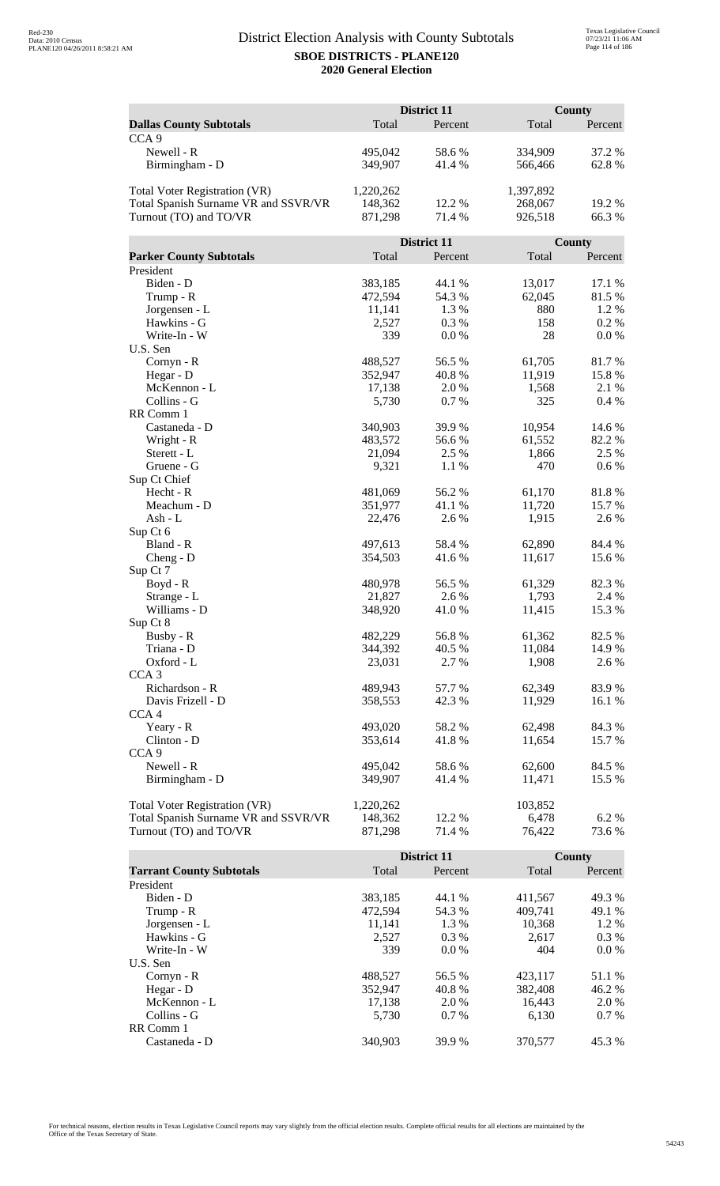|                                      | District 11       |                 |                  | County          |  |
|--------------------------------------|-------------------|-----------------|------------------|-----------------|--|
| <b>Dallas County Subtotals</b>       | Total             | Percent         | Total            | Percent         |  |
| CCA <sub>9</sub>                     |                   |                 |                  |                 |  |
| Newell - R                           | 495,042           | 58.6%           | 334,909          | 37.2 %          |  |
| Birmingham - D                       | 349,907           | 41.4%           | 566,466          | 62.8%           |  |
|                                      |                   |                 |                  |                 |  |
| <b>Total Voter Registration (VR)</b> | 1,220,262         |                 | 1,397,892        |                 |  |
| Total Spanish Surname VR and SSVR/VR | 148,362           | 12.2 %          | 268,067          | 19.2 %          |  |
| Turnout (TO) and TO/VR               | 871,298           | 71.4 %          | 926,518          | 66.3%           |  |
|                                      |                   |                 |                  |                 |  |
|                                      |                   | District 11     |                  | County          |  |
| <b>Parker County Subtotals</b>       | Total             | Percent         | Total            | Percent         |  |
| President                            |                   |                 |                  |                 |  |
| Biden - D                            | 383,185           | 44.1 %          | 13,017           | 17.1 %          |  |
| Trump - R                            | 472,594           | 54.3 %          | 62,045           | 81.5%           |  |
| Jorgensen - L                        | 11,141            | 1.3%            | 880              | 1.2%            |  |
| Hawkins - G                          | 2,527             | 0.3%            | 158              | 0.2%            |  |
| Write-In - W                         | 339               | 0.0 %           | 28               | 0.0 %           |  |
| U.S. Sen                             |                   |                 |                  |                 |  |
| Cornyn - R                           | 488,527           | 56.5 %          | 61,705           | 81.7%           |  |
| Hegar - D                            | 352,947           | 40.8%           | 11,919           | 15.8%           |  |
| McKennon - L                         | 17,138            | 2.0%            | 1,568            | 2.1 %           |  |
| Collins - G                          | 5,730             | 0.7%            | 325              | 0.4 %           |  |
| RR Comm 1                            |                   |                 |                  |                 |  |
| Castaneda - D                        | 340,903           | 39.9%           | 10,954           | 14.6 %          |  |
| Wright - R                           | 483,572           | 56.6%           | 61,552           | 82.2%           |  |
| Sterett - L                          | 21,094            | 2.5 %           | 1,866            | 2.5 %           |  |
| Gruene - G                           | 9,321             | 1.1 %           | 470              | 0.6 %           |  |
| Sup Ct Chief                         |                   |                 |                  |                 |  |
| Hecht - R<br>Meachum - D             | 481,069           | 56.2%           | 61,170<br>11,720 | 81.8 %          |  |
| Ash - L                              | 351,977<br>22,476 | 41.1 %<br>2.6 % | 1,915            | 15.7 %<br>2.6 % |  |
| Sup Ct 6                             |                   |                 |                  |                 |  |
| Bland - R                            | 497,613           | 58.4 %          | 62,890           | 84.4 %          |  |
| $Cheng - D$                          | 354,503           | 41.6%           | 11,617           | 15.6%           |  |
| Sup Ct 7                             |                   |                 |                  |                 |  |
| $Boyd - R$                           | 480,978           | 56.5 %          | 61,329           | 82.3 %          |  |
| Strange - L                          | 21,827            | 2.6 %           | 1,793            | 2.4 %           |  |
| Williams - D                         | 348,920           | 41.0%           | 11,415           | 15.3 %          |  |
| Sup Ct 8                             |                   |                 |                  |                 |  |
| Busby - R                            | 482,229           | 56.8%           | 61,362           | 82.5 %          |  |
| Triana - D                           | 344,392           | 40.5 %          | 11,084           | 14.9%           |  |
| Oxford - L                           | 23,031            | 2.7 %           | 1,908            | 2.6 %           |  |
| CCA <sub>3</sub>                     |                   |                 |                  |                 |  |
| Richardson - R                       | 489,943           | 57.7 %          | 62,349           | 83.9%           |  |
| Davis Frizell - D                    | 358,553           | 42.3 %          | 11,929           | 16.1 %          |  |
| CCA <sub>4</sub>                     |                   |                 |                  |                 |  |
| Yeary - R                            | 493,020           | 58.2%           | 62,498           | 84.3 %          |  |
| Clinton - D                          | 353,614           | 41.8%           | 11,654           | 15.7 %          |  |
| CCA <sub>9</sub>                     |                   |                 |                  |                 |  |
| Newell - R                           | 495,042           | 58.6%           | 62,600           | 84.5 %          |  |
| Birmingham - D                       | 349,907           | 41.4 %          | 11,471           | 15.5 %          |  |
|                                      |                   |                 |                  |                 |  |
| <b>Total Voter Registration (VR)</b> | 1,220,262         |                 | 103,852          |                 |  |
| Total Spanish Surname VR and SSVR/VR | 148,362           | 12.2 %          | 6,478            | 6.2%            |  |
| Turnout (TO) and TO/VR               | 871,298           | 71.4 %          | 76,422           | 73.6 %          |  |

|                                 |         | <b>District 11</b> |         | County  |
|---------------------------------|---------|--------------------|---------|---------|
| <b>Tarrant County Subtotals</b> | Total   | Percent            | Total   | Percent |
| President                       |         |                    |         |         |
| Biden - D                       | 383,185 | 44.1 %             | 411.567 | 49.3 %  |
| Trump - R                       | 472,594 | 54.3 %             | 409,741 | 49.1 %  |
| Jorgensen - L                   | 11.141  | 1.3 %              | 10.368  | 1.2 %   |
| Hawkins - G                     | 2.527   | $0.3\%$            | 2.617   | $0.3\%$ |
| Write-In - W                    | 339     | $0.0\%$            | 404     | $0.0\%$ |
| U.S. Sen                        |         |                    |         |         |
| Cornyn - R                      | 488,527 | 56.5 %             | 423.117 | 51.1 %  |
| Hegar - D                       | 352.947 | 40.8%              | 382,408 | 46.2 %  |
| McKennon - L                    | 17,138  | 2.0 %              | 16,443  | 2.0 %   |
| Collins - G                     | 5.730   | $0.7\%$            | 6.130   | $0.7\%$ |
| RR Comm 1                       |         |                    |         |         |
| Castaneda - D                   | 340,903 | 39.9 %             | 370,577 | 45.3 %  |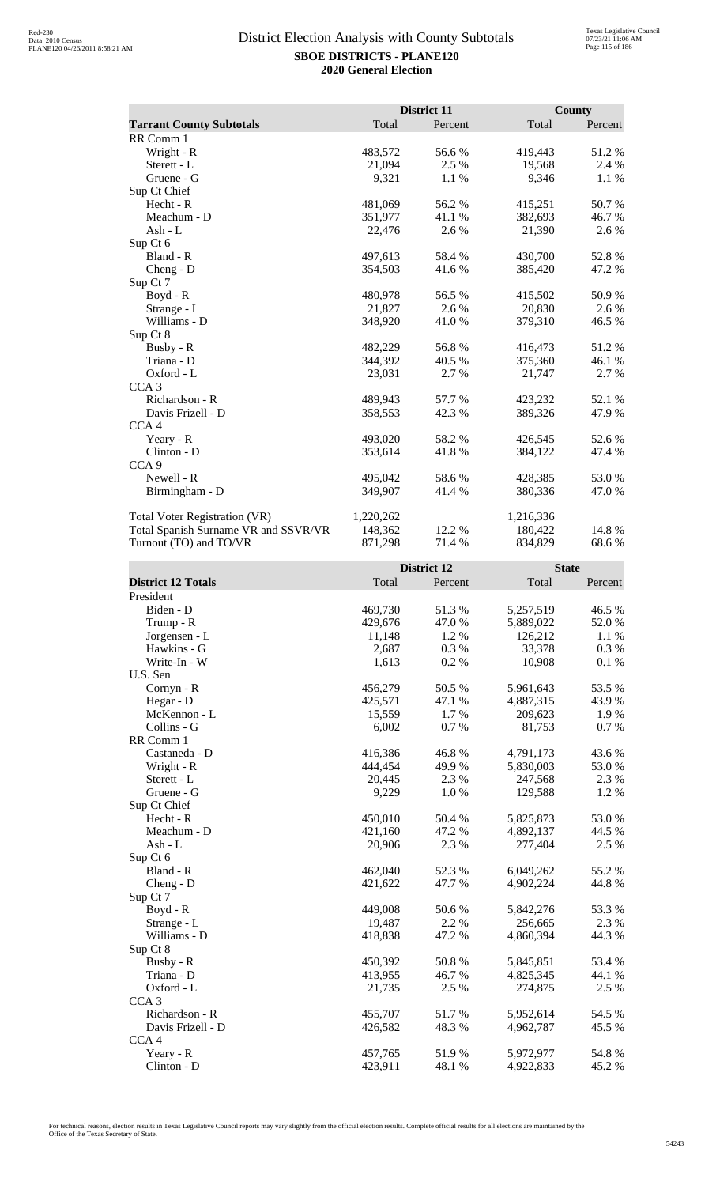|                                      |           | District 11 |              | <b>County</b> |
|--------------------------------------|-----------|-------------|--------------|---------------|
| <b>Tarrant County Subtotals</b>      | Total     | Percent     | Total        | Percent       |
| RR Comm 1                            |           |             |              |               |
| Wright - R                           | 483,572   | 56.6%       | 419,443      | 51.2%         |
| Sterett - L                          | 21,094    | 2.5 %       | 19,568       | 2.4 %         |
| Gruene - G                           | 9,321     | 1.1 %       | 9,346        | 1.1 %         |
| Sup Ct Chief                         |           |             |              |               |
| Hecht - R                            | 481,069   | 56.2%       | 415,251      | 50.7%         |
| Meachum - D                          | 351,977   | 41.1 %      | 382,693      | 46.7%         |
| Ash - L                              | 22,476    | 2.6 %       | 21,390       | 2.6 %         |
| Sup Ct 6                             |           |             |              |               |
| Bland - R                            | 497,613   | 58.4%       | 430,700      | 52.8%         |
| $Cheng - D$                          | 354,503   | 41.6 %      | 385,420      | 47.2 %        |
| Sup Ct 7                             |           |             |              |               |
| $Boyd - R$                           | 480,978   | 56.5 %      | 415,502      | 50.9%         |
| Strange - L                          | 21,827    | 2.6 %       | 20,830       | 2.6 %         |
| Williams - D                         | 348,920   | 41.0 %      | 379,310      | 46.5 %        |
| Sup Ct 8                             |           |             |              |               |
| Busby - R                            | 482,229   | 56.8%       | 416,473      | 51.2%         |
| Triana - D                           | 344,392   | 40.5 %      | 375,360      | 46.1 %        |
| Oxford - L                           | 23,031    | 2.7 %       | 21,747       | 2.7 %         |
| CCA <sub>3</sub>                     |           |             |              |               |
| Richardson - R                       | 489,943   | 57.7%       | 423,232      | 52.1 %        |
| Davis Frizell - D                    | 358,553   | 42.3 %      | 389,326      | 47.9%         |
| CCA <sub>4</sub>                     |           |             |              |               |
| Yeary - R                            | 493,020   | 58.2%       | 426,545      | 52.6%         |
| Clinton - D                          | 353,614   | 41.8%       | 384,122      | 47.4 %        |
| CCA <sub>9</sub>                     |           |             |              |               |
| Newell - R                           | 495,042   | 58.6%       | 428,385      | 53.0%         |
| Birmingham - D                       | 349,907   | 41.4 %      | 380,336      | 47.0 %        |
| <b>Total Voter Registration (VR)</b> | 1,220,262 |             | 1,216,336    |               |
| Total Spanish Surname VR and SSVR/VR | 148,362   | 12.2 %      | 180,422      | 14.8 %        |
| Turnout (TO) and TO/VR               | 871,298   | 71.4 %      | 834,829      | 68.6%         |
|                                      |           | District 12 | <b>State</b> |               |
| <b>District 12 Totals</b>            | Total     | Percent     | Total        | Percent       |
| $D_{\text{residual}}$                |           |             |              |               |

| <b>District 12 Totals</b> | Total   | Percent | Total     | Percent  |
|---------------------------|---------|---------|-----------|----------|
| President                 |         |         |           |          |
| Biden - D                 | 469,730 | 51.3%   | 5,257,519 | 46.5 %   |
| Trump - R                 | 429,676 | 47.0 %  | 5,889,022 | 52.0 %   |
| Jorgensen - L             | 11,148  | 1.2%    | 126,212   | 1.1 %    |
| Hawkins - G               | 2,687   | 0.3%    | 33,378    | 0.3%     |
| Write-In - W              | 1,613   | 0.2%    | 10,908    | $0.1~\%$ |
| U.S. Sen                  |         |         |           |          |
| Cornyn - R                | 456,279 | 50.5 %  | 5,961,643 | 53.5 %   |
| Hegar - D                 | 425,571 | 47.1 %  | 4,887,315 | 43.9%    |
| McKennon - L              | 15,559  | 1.7%    | 209,623   | 1.9%     |
| Collins - G               | 6,002   | 0.7%    | 81,753    | $0.7~\%$ |
| RR Comm 1                 |         |         |           |          |
| Castaneda - D             | 416,386 | 46.8%   | 4,791,173 | 43.6%    |
| Wright - R                | 444,454 | 49.9%   | 5,830,003 | 53.0%    |
| Sterett - L               | 20,445  | 2.3 %   | 247,568   | 2.3 %    |
| Gruene - G                | 9,229   | 1.0%    | 129,588   | 1.2%     |
| Sup Ct Chief              |         |         |           |          |
| Hecht - R                 | 450,010 | 50.4 %  | 5,825,873 | 53.0%    |
| Meachum - D               | 421,160 | 47.2%   | 4,892,137 | 44.5 %   |
| $Ash-L$                   | 20,906  | 2.3 %   | 277,404   | 2.5 %    |
| Sup Ct 6                  |         |         |           |          |
| Bland - R                 | 462,040 | 52.3 %  | 6,049,262 | 55.2 %   |
| $Cheng - D$               | 421,622 | 47.7 %  | 4,902,224 | 44.8%    |
| Sup Ct 7                  |         |         |           |          |
| Boyd - R                  | 449,008 | 50.6 %  | 5,842,276 | 53.3%    |
| Strange - L               | 19,487  | 2.2 %   | 256,665   | 2.3 %    |
| Williams - D              | 418,838 | 47.2 %  | 4,860,394 | 44.3 %   |
| Sup Ct 8                  |         |         |           |          |
| Busby - R                 | 450,392 | 50.8 %  | 5,845,851 | 53.4 %   |
| Triana - D                | 413,955 | 46.7%   | 4,825,345 | 44.1 %   |
| Oxford - L                | 21,735  | 2.5 %   | 274,875   | 2.5 %    |
| CCA <sub>3</sub>          |         |         |           |          |
| Richardson - R            | 455,707 | 51.7%   | 5,952,614 | 54.5 %   |
| Davis Frizell - D         | 426,582 | 48.3 %  | 4,962,787 | 45.5 %   |
| CCA <sub>4</sub>          |         |         |           |          |
| Yeary - R                 | 457,765 | 51.9%   | 5,972,977 | 54.8 %   |
| Clinton - D               | 423,911 | 48.1 %  | 4,922,833 | 45.2%    |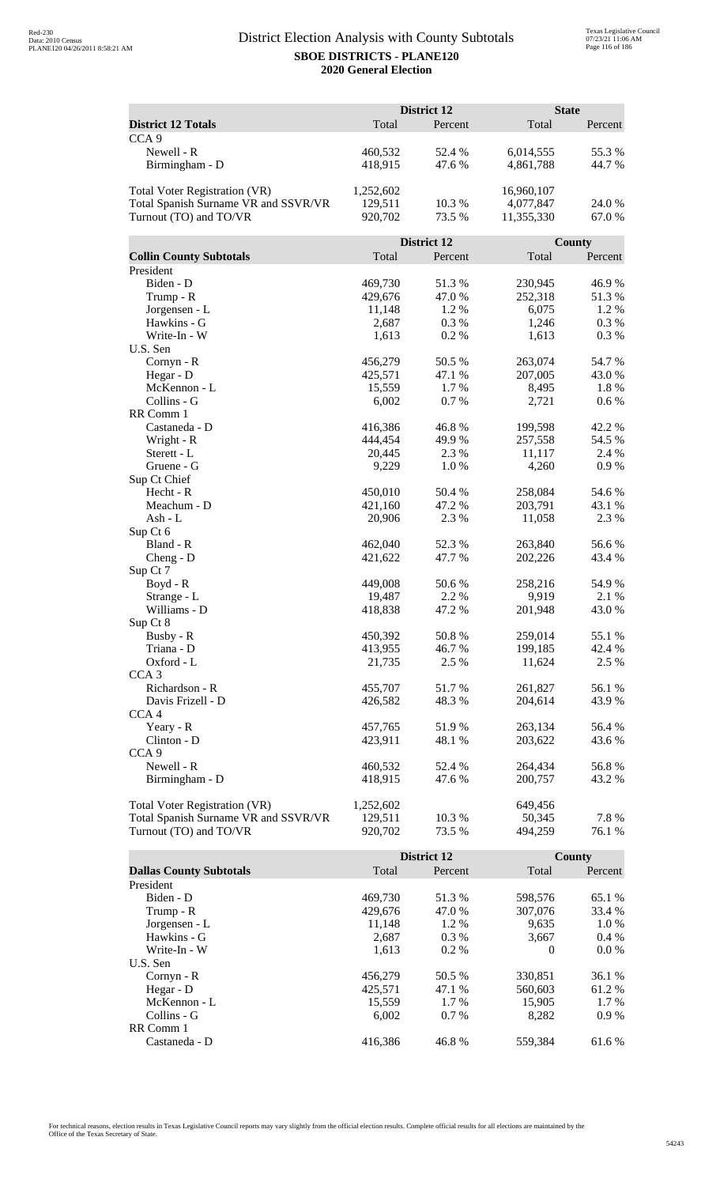|                                      |                   | District 12 |            | <b>State</b>    |
|--------------------------------------|-------------------|-------------|------------|-----------------|
| <b>District 12 Totals</b>            | Total             | Percent     | Total      | Percent         |
| CCA <sub>9</sub>                     |                   |             |            |                 |
| Newell - R                           | 460,532           | 52.4 %      | 6,014,555  | 55.3%           |
| Birmingham - D                       | 418,915           | 47.6 %      | 4,861,788  | 44.7 %          |
|                                      |                   |             |            |                 |
| Total Voter Registration (VR)        | 1,252,602         |             | 16,960,107 |                 |
| Total Spanish Surname VR and SSVR/VR | 129,511           | 10.3%       | 4,077,847  | 24.0 %          |
| Turnout (TO) and TO/VR               | 920,702           | 73.5 %      | 11,355,330 | 67.0%           |
|                                      |                   |             |            |                 |
|                                      |                   | District 12 |            | <b>County</b>   |
| <b>Collin County Subtotals</b>       | Total             | Percent     | Total      | Percent         |
| President                            |                   |             |            |                 |
| Biden - D                            | 469,730           | 51.3%       | 230,945    | 46.9%           |
| Trump - R                            | 429,676           | 47.0%       | 252,318    | 51.3%           |
| Jorgensen - L                        | 11,148            | 1.2 %       | 6,075      | 1.2%            |
| Hawkins - G                          | 2,687             | 0.3%        | 1,246      | 0.3%            |
| Write-In - W                         | 1,613             | 0.2%        | 1,613      | 0.3%            |
| U.S. Sen                             |                   |             |            |                 |
| Cornyn - R                           | 456,279           | 50.5 %      | 263,074    | 54.7%           |
| Hegar - D                            | 425,571           | 47.1 %      | 207,005    | 43.0%           |
| McKennon - L                         | 15,559            | 1.7%        | 8,495      | 1.8 %           |
| Collins - G                          | 6,002             | 0.7%        | 2,721      | 0.6 %           |
| RR Comm 1                            |                   |             |            |                 |
| Castaneda - D                        | 416,386           | 46.8%       | 199,598    | 42.2 %          |
| Wright - R                           | 444,454           | 49.9 %      | 257,558    | 54.5 %          |
| Sterett - L                          | 20,445            | 2.3 %       | 11,117     | 2.4 %           |
| Gruene - G                           | 9,229             | 1.0%        | 4,260      | 0.9%            |
| Sup Ct Chief                         |                   |             |            |                 |
| Hecht - R                            | 450,010           | 50.4 %      | 258,084    | 54.6 %          |
| Meachum - D<br>Ash - L               | 421,160<br>20,906 | 47.2 %      | 203,791    | 43.1 %<br>2.3 % |
| Sup Ct 6                             |                   | 2.3 %       | 11,058     |                 |
| Bland - R                            | 462,040           | 52.3 %      | 263,840    | 56.6%           |
| $Cheng - D$                          | 421,622           | 47.7 %      | 202,226    | 43.4 %          |
| Sup Ct 7                             |                   |             |            |                 |
| $Boyd - R$                           | 449,008           | 50.6 %      | 258,216    | 54.9%           |
| Strange - L                          | 19,487            | 2.2 %       | 9,919      | 2.1 %           |
| Williams - D                         | 418,838           | 47.2 %      | 201,948    | 43.0%           |
| Sup Ct 8                             |                   |             |            |                 |
| Busby - R                            | 450,392           | 50.8%       | 259,014    | 55.1 %          |
| Triana - D                           | 413,955           | 46.7%       | 199,185    | 42.4 %          |
| Oxford - L                           | 21,735            | 2.5 %       | 11,624     | 2.5 %           |
| CCA <sub>3</sub>                     |                   |             |            |                 |
| Richardson - R                       | 455,707           | 51.7%       | 261,827    | 56.1 %          |
| Davis Frizell - D                    | 426,582           | 48.3%       | 204,614    | 43.9 %          |
| CCA <sub>4</sub>                     |                   |             |            |                 |
| Yeary - R                            | 457,765           | 51.9%       | 263,134    | 56.4 %          |
| Clinton - D                          | 423,911           | 48.1 %      | 203,622    | 43.6 %          |
| CCA <sub>9</sub>                     |                   |             |            |                 |
| Newell - R                           | 460,532           | 52.4 %      | 264,434    | 56.8%           |
| Birmingham - D                       | 418,915           | 47.6 %      | 200,757    | 43.2 %          |
|                                      |                   |             |            |                 |
| Total Voter Registration (VR)        | 1,252,602         |             | 649,456    |                 |
| Total Spanish Surname VR and SSVR/VR | 129,511           | 10.3 %      | 50,345     | 7.8%            |
| Turnout (TO) and TO/VR               | 920,702           | 73.5 %      | 494,259    | 76.1 %          |

|                                |         | <b>District 12</b> |          | <b>County</b> |
|--------------------------------|---------|--------------------|----------|---------------|
| <b>Dallas County Subtotals</b> | Total   | Percent            | Total    | Percent       |
| President                      |         |                    |          |               |
| Biden - D                      | 469.730 | 51.3 %             | 598,576  | 65.1 %        |
| Trump - R                      | 429,676 | 47.0 %             | 307,076  | 33.4 %        |
| Jorgensen - L                  | 11,148  | $1.2\%$            | 9.635    | 1.0 %         |
| Hawkins - G                    | 2,687   | $0.3\%$            | 3.667    | $0.4\%$       |
| Write-In - W                   | 1.613   | $0.2\%$            | $\Omega$ | $0.0\%$       |
| U.S. Sen                       |         |                    |          |               |
| Cornyn - R                     | 456,279 | 50.5 %             | 330,851  | 36.1 %        |
| Hegar - $D$                    | 425.571 | 47.1 %             | 560,603  | 61.2 %        |
| McKennon - L                   | 15,559  | 1.7 %              | 15,905   | 1.7 %         |
| Collins - G                    | 6.002   | $0.7\%$            | 8.282    | 0.9%          |
| RR Comm 1                      |         |                    |          |               |
| Castaneda - D                  | 416.386 | 46.8%              | 559.384  | 61.6 %        |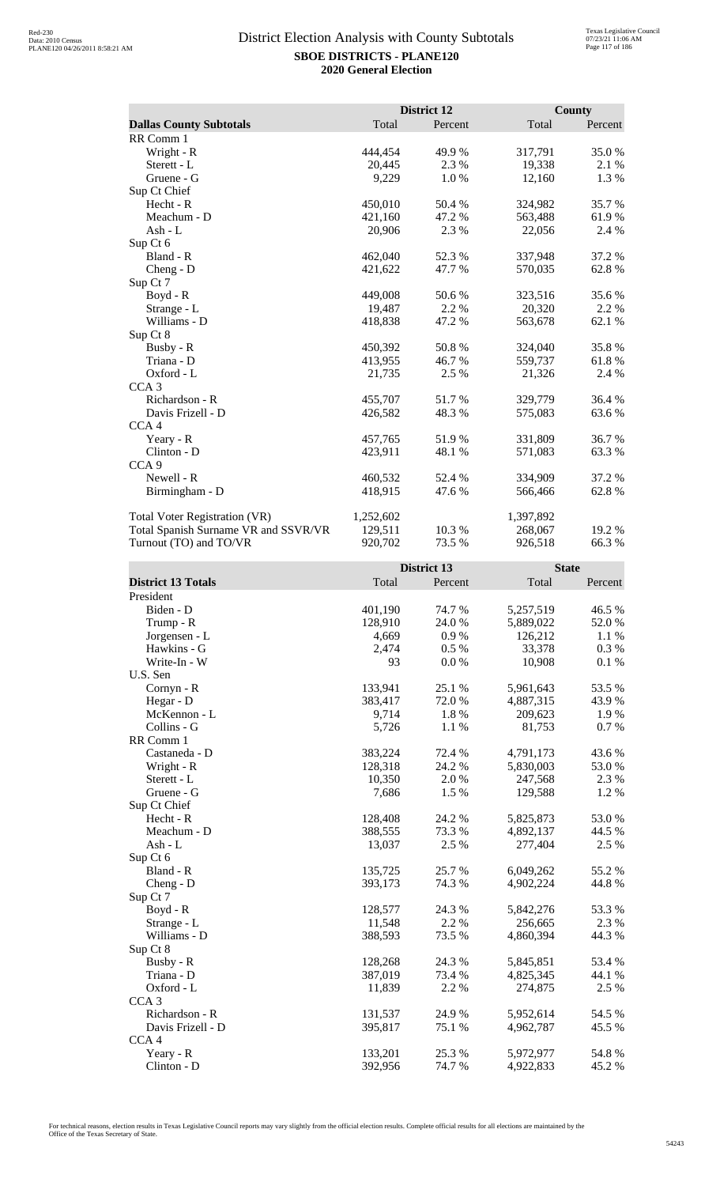|                                      |           | District 12 |           | <b>County</b> |
|--------------------------------------|-----------|-------------|-----------|---------------|
| <b>Dallas County Subtotals</b>       | Total     | Percent     | Total     | Percent       |
| RR Comm 1                            |           |             |           |               |
| Wright - R                           | 444,454   | 49.9 %      | 317,791   | 35.0%         |
| Sterett - L                          | 20,445    | 2.3 %       | 19,338    | 2.1 %         |
| Gruene - G                           | 9,229     | 1.0%        | 12,160    | 1.3%          |
| Sup Ct Chief                         |           |             |           |               |
| Hecht - R                            | 450,010   | 50.4 %      | 324,982   | 35.7 %        |
| Meachum - D                          | 421,160   | 47.2 %      | 563,488   | 61.9%         |
| Ash - L                              | 20,906    | 2.3 %       | 22,056    | 2.4 %         |
| Sup Ct 6                             |           |             |           |               |
| Bland - R                            | 462,040   | 52.3 %      | 337,948   | 37.2 %        |
| $Cheng - D$                          | 421,622   | 47.7 %      | 570,035   | 62.8%         |
| Sup Ct 7                             |           |             |           |               |
| Boyd - R                             | 449,008   | 50.6 %      | 323,516   | 35.6%         |
| Strange - L                          | 19,487    | 2.2 %       | 20,320    | 2.2 %         |
| Williams - D                         | 418,838   | 47.2 %      | 563,678   | 62.1 %        |
| Sup Ct 8                             |           |             |           |               |
| Busby - R                            | 450,392   | 50.8%       | 324,040   | 35.8%         |
| Triana - D                           | 413,955   | 46.7 %      | 559,737   | 61.8%         |
| Oxford - L                           | 21,735    | 2.5 %       | 21,326    | 2.4 %         |
| CCA <sub>3</sub>                     |           |             |           |               |
| Richardson - R                       | 455,707   | 51.7%       | 329,779   | 36.4 %        |
| Davis Frizell - D                    | 426,582   | 48.3 %      | 575,083   | 63.6 %        |
| CCA <sub>4</sub>                     |           |             |           |               |
| Yeary - R                            | 457,765   | 51.9%       | 331,809   | 36.7 %        |
| Clinton - D                          | 423,911   | 48.1 %      | 571,083   | 63.3 %        |
| CCA <sub>9</sub>                     |           |             |           |               |
| Newell - R                           | 460,532   | 52.4 %      | 334,909   | 37.2 %        |
| Birmingham - D                       | 418,915   | 47.6 %      | 566,466   | 62.8%         |
| <b>Total Voter Registration (VR)</b> | 1,252,602 |             | 1,397,892 |               |
| Total Spanish Surname VR and SSVR/VR | 129,511   | 10.3%       | 268,067   | 19.2 %        |
| Turnout (TO) and TO/VR               | 920,702   | 73.5 %      | 926,518   | 66.3%         |

|                           |         | District 13 | <b>State</b> |         |
|---------------------------|---------|-------------|--------------|---------|
| <b>District 13 Totals</b> | Total   | Percent     | Total        | Percent |
| President                 |         |             |              |         |
| Biden - D                 | 401,190 | 74.7 %      | 5,257,519    | 46.5 %  |
| Trump - R                 | 128,910 | 24.0 %      | 5,889,022    | 52.0%   |
| Jorgensen - L             | 4,669   | 0.9%        | 126,212      | 1.1%    |
| Hawkins - G               | 2,474   | $0.5\%$     | 33,378       | 0.3%    |
| Write-In - W              | 93      | 0.0 %       | 10,908       | 0.1%    |
| U.S. Sen                  |         |             |              |         |
| Cornyn - R                | 133,941 | 25.1 %      | 5,961,643    | 53.5 %  |
| Hegar - D                 | 383,417 | 72.0%       | 4,887,315    | 43.9%   |
| McKennon - L              | 9,714   | 1.8 %       | 209,623      | 1.9%    |
| Collins - G               | 5,726   | 1.1 %       | 81,753       | 0.7%    |
| RR Comm 1                 |         |             |              |         |
| Castaneda - D             | 383,224 | 72.4 %      | 4,791,173    | 43.6 %  |
| Wright - R                | 128,318 | 24.2 %      | 5,830,003    | 53.0%   |
| Sterett - L               | 10,350  | 2.0 %       | 247,568      | 2.3 %   |
| Gruene - G                | 7,686   | 1.5 %       | 129,588      | 1.2%    |
| Sup Ct Chief              |         |             |              |         |
| Hecht - R                 | 128,408 | 24.2 %      | 5,825,873    | 53.0%   |
| Meachum - D               | 388,555 | 73.3 %      | 4,892,137    | 44.5 %  |
| $Ash - L$                 | 13,037  | 2.5 %       | 277,404      | 2.5 %   |
| Sup Ct 6                  |         |             |              |         |
| Bland - R                 | 135,725 | 25.7 %      | 6,049,262    | 55.2 %  |
| $Cheng - D$               | 393,173 | 74.3 %      | 4,902,224    | 44.8%   |
| Sup Ct 7                  |         |             |              |         |
| $Boyd - R$                | 128,577 | 24.3 %      | 5,842,276    | 53.3%   |
| Strange - L               | 11,548  | 2.2 %       | 256,665      | 2.3 %   |
| Williams - D              | 388,593 | 73.5 %      | 4,860,394    | 44.3 %  |
| Sup Ct 8                  |         |             |              |         |
| Busby - R                 | 128,268 | 24.3 %      | 5,845,851    | 53.4 %  |
| Triana - D                | 387,019 | 73.4 %      | 4,825,345    | 44.1 %  |
| Oxford - L                | 11,839  | 2.2 %       | 274,875      | 2.5 %   |
| CCA <sub>3</sub>          |         |             |              |         |
| Richardson - R            | 131,537 | 24.9%       | 5,952,614    | 54.5 %  |
| Davis Frizell - D         | 395,817 | 75.1 %      | 4,962,787    | 45.5 %  |
| CCA <sub>4</sub>          |         |             |              |         |
| Yeary - R                 | 133,201 | 25.3 %      | 5,972,977    | 54.8 %  |
| Clinton - D               | 392,956 | 74.7 %      | 4,922,833    | 45.2 %  |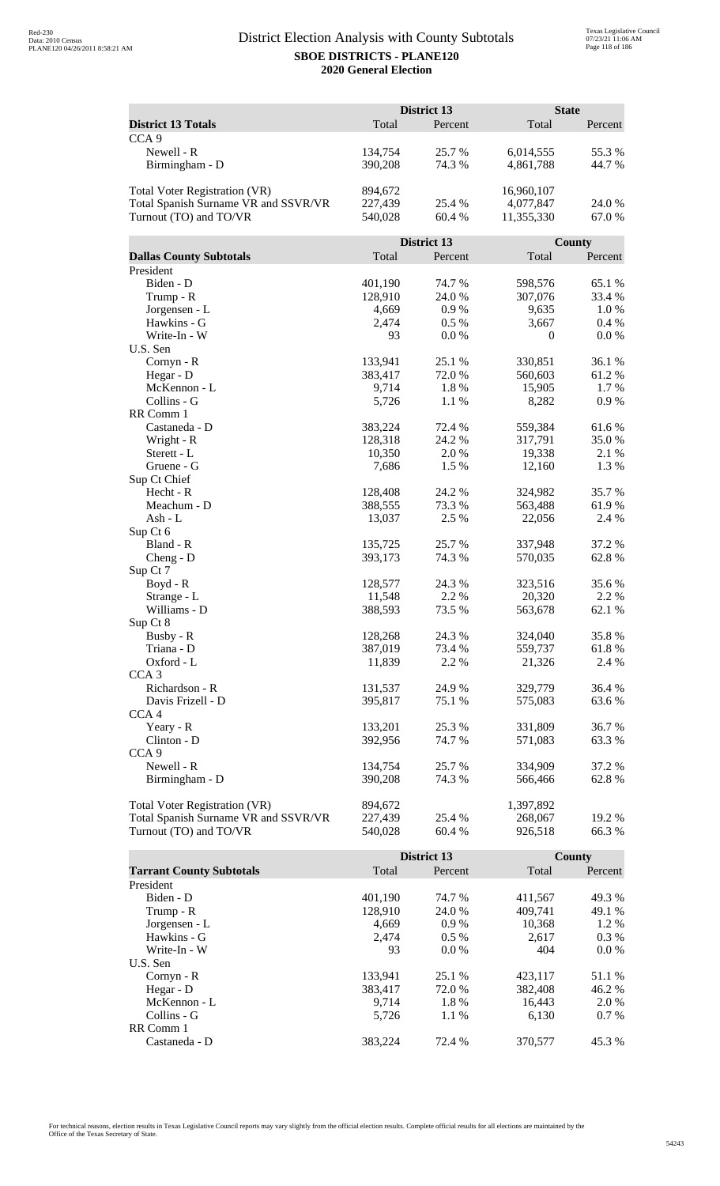|                                      |                   | District 13    |                   | <b>State</b>  |
|--------------------------------------|-------------------|----------------|-------------------|---------------|
| <b>District 13 Totals</b>            | Total             | Percent        | Total             | Percent       |
| CCA <sub>9</sub>                     |                   |                |                   |               |
| Newell - R                           | 134,754           | 25.7%          | 6,014,555         | 55.3%         |
| Birmingham - D                       | 390,208           | 74.3 %         | 4,861,788         | 44.7 %        |
|                                      |                   |                |                   |               |
| Total Voter Registration (VR)        | 894,672           |                | 16,960,107        |               |
| Total Spanish Surname VR and SSVR/VR | 227,439           | 25.4 %         | 4,077,847         | 24.0 %        |
| Turnout (TO) and TO/VR               | 540,028           | 60.4%          | 11,355,330        | 67.0%         |
|                                      |                   |                |                   |               |
|                                      |                   | District 13    |                   | <b>County</b> |
| <b>Dallas County Subtotals</b>       | Total             | Percent        | Total             | Percent       |
| President                            |                   |                |                   |               |
| Biden - D                            | 401,190           | 74.7 %         | 598,576           | 65.1 %        |
| Trump - R                            | 128,910           | 24.0%          | 307,076           | 33.4 %        |
| Jorgensen - L                        | 4,669             | 0.9%           | 9,635             | 1.0%          |
| Hawkins - G                          | 2,474             | 0.5%           | 3,667             | 0.4 %         |
| Write-In - W                         | 93                | 0.0 %          | $\boldsymbol{0}$  | 0.0 %         |
| U.S. Sen                             |                   |                |                   |               |
| Cornyn - R                           | 133,941           | 25.1 %         | 330,851           | 36.1 %        |
| Hegar - D                            | 383,417           | 72.0%          | 560,603           | 61.2%         |
| McKennon - L                         | 9,714             | 1.8%           | 15,905            | 1.7 %         |
| Collins - G                          | 5,726             | 1.1%           | 8,282             | 0.9%          |
| RR Comm 1                            |                   |                |                   |               |
| Castaneda - D                        | 383,224           | 72.4 %         | 559,384           | 61.6%         |
| Wright - R<br>Sterett - L            | 128,318<br>10,350 | 24.2 %<br>2.0% | 317,791<br>19,338 | 35.0%         |
| Gruene - G                           | 7,686             | 1.5 %          | 12,160            | 2.1 %<br>1.3% |
| Sup Ct Chief                         |                   |                |                   |               |
| Hecht - R                            | 128,408           | 24.2 %         | 324,982           | 35.7%         |
| Meachum - D                          | 388,555           | 73.3 %         | 563,488           | 61.9%         |
| Ash - L                              | 13,037            | 2.5 %          | 22,056            | 2.4 %         |
| Sup Ct 6                             |                   |                |                   |               |
| Bland - R                            | 135,725           | 25.7 %         | 337,948           | 37.2 %        |
| $Cheng - D$                          | 393,173           | 74.3 %         | 570,035           | 62.8%         |
| Sup Ct 7                             |                   |                |                   |               |
| Boyd - R                             | 128,577           | 24.3 %         | 323,516           | 35.6%         |
| Strange - L                          | 11,548            | 2.2 %          | 20,320            | 2.2 %         |
| Williams - D                         | 388,593           | 73.5 %         | 563,678           | 62.1 %        |
| Sup Ct 8                             |                   |                |                   |               |
| Busby - R                            | 128,268           | 24.3 %         | 324,040           | 35.8%         |
| Triana - D                           | 387,019           | 73.4 %         | 559,737           | 61.8%         |
| Oxford - L                           | 11,839            | 2.2 %          | 21,326            | 2.4 %         |
| CCA <sub>3</sub>                     |                   |                |                   |               |
| Richardson - R                       | 131,537           | 24.9 %         | 329,779           | 36.4 %        |
| Davis Frizell - D                    | 395,817           | 75.1 %         | 575,083           | 63.6%         |
| CCA <sub>4</sub>                     |                   |                |                   |               |
| Yeary - R                            | 133,201           | 25.3 %         | 331,809           | 36.7 %        |
| Clinton - D<br>CCA <sub>9</sub>      | 392,956           | 74.7 %         | 571,083           | 63.3 %        |
|                                      |                   |                |                   |               |
| Newell - R                           | 134,754           | 25.7 %         | 334,909           | 37.2 %        |
| Birmingham - D                       | 390,208           | 74.3 %         | 566,466           | 62.8%         |
| Total Voter Registration (VR)        | 894,672           |                | 1,397,892         |               |
| Total Spanish Surname VR and SSVR/VR | 227,439           | 25.4 %         | 268,067           | 19.2 %        |
| Turnout (TO) and TO/VR               | 540,028           | 60.4%          | 926,518           | 66.3%         |
|                                      |                   |                |                   |               |

|                                 |         | District 13 |         | County  |
|---------------------------------|---------|-------------|---------|---------|
| <b>Tarrant County Subtotals</b> | Total   | Percent     | Total   | Percent |
| President                       |         |             |         |         |
| Biden - D                       | 401,190 | 74.7 %      | 411,567 | 49.3 %  |
| Trump - R                       | 128.910 | 24.0 %      | 409.741 | 49.1 %  |
| Jorgensen - L                   | 4,669   | $0.9\%$     | 10,368  | $1.2\%$ |
| Hawkins - G                     | 2.474   | $0.5\%$     | 2.617   | $0.3\%$ |
| Write-In - W                    | 93      | $0.0\%$     | 404     | $0.0\%$ |
| U.S. Sen                        |         |             |         |         |
| $Cornyn - R$                    | 133,941 | 25.1 %      | 423,117 | 51.1 %  |
| Hegar - $D$                     | 383.417 | 72.0 %      | 382,408 | 46.2 %  |
| McKennon - L                    | 9.714   | 1.8%        | 16,443  | 2.0 %   |
| Collins - G                     | 5.726   | 1.1 %       | 6.130   | $0.7\%$ |
| RR Comm 1                       |         |             |         |         |
| Castaneda - D                   | 383.224 | 72.4 %      | 370,577 | 45.3 %  |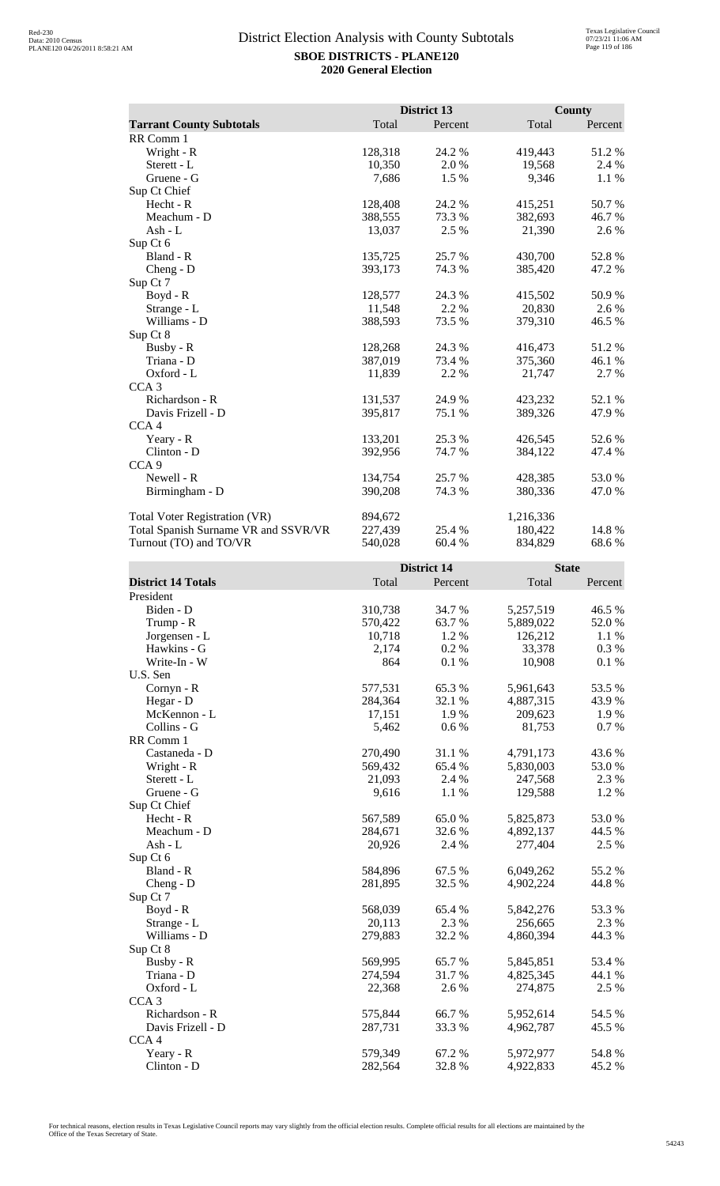|                                      |         | District 13 |           | <b>County</b> |
|--------------------------------------|---------|-------------|-----------|---------------|
| <b>Tarrant County Subtotals</b>      | Total   | Percent     | Total     | Percent       |
| RR Comm 1                            |         |             |           |               |
| Wright - R                           | 128,318 | 24.2 %      | 419,443   | 51.2%         |
| Sterett - L                          | 10,350  | 2.0 %       | 19,568    | 2.4 %         |
| Gruene - G                           | 7,686   | 1.5 %       | 9,346     | 1.1 %         |
| Sup Ct Chief                         |         |             |           |               |
| Hecht - R                            | 128,408 | 24.2 %      | 415,251   | 50.7%         |
| Meachum - D                          | 388,555 | 73.3 %      | 382,693   | 46.7%         |
| $Ash-L$                              | 13,037  | 2.5 %       | 21,390    | 2.6 %         |
| Sup Ct 6                             |         |             |           |               |
| Bland - R                            | 135,725 | 25.7 %      | 430,700   | 52.8%         |
| Cheng - D                            | 393,173 | 74.3 %      | 385,420   | 47.2 %        |
| Sup Ct 7                             |         |             |           |               |
| $Boyd - R$                           | 128,577 | 24.3 %      | 415,502   | 50.9%         |
| Strange - L                          | 11,548  | 2.2 %       | 20,830    | 2.6 %         |
| Williams - D                         | 388,593 | 73.5 %      | 379,310   | 46.5 %        |
| Sup Ct 8                             |         |             |           |               |
| Busby - R                            | 128,268 | 24.3 %      | 416,473   | 51.2%         |
| Triana - D                           | 387,019 | 73.4 %      | 375,360   | 46.1%         |
| Oxford - L                           | 11,839  | 2.2 %       | 21,747    | 2.7%          |
| CCA <sub>3</sub>                     |         |             |           |               |
| Richardson - R                       | 131,537 | 24.9 %      | 423,232   | 52.1 %        |
| Davis Frizell - D                    | 395,817 | 75.1 %      | 389,326   | 47.9 %        |
| CCA <sub>4</sub>                     |         |             |           |               |
| Yeary - R                            | 133,201 | 25.3 %      | 426,545   | 52.6%         |
| Clinton - D                          | 392,956 | 74.7 %      | 384,122   | 47.4 %        |
| CCA <sub>9</sub>                     |         |             |           |               |
| Newell - R                           | 134,754 | 25.7 %      | 428,385   | 53.0%         |
| Birmingham - D                       | 390,208 | 74.3 %      | 380,336   | 47.0%         |
| <b>Total Voter Registration (VR)</b> | 894,672 |             | 1,216,336 |               |
| Total Spanish Surname VR and SSVR/VR | 227,439 | 25.4 %      | 180,422   | 14.8%         |
| Turnout (TO) and TO/VR               | 540,028 | 60.4 %      | 834,829   | 68.6%         |

|                           |         | <b>District 14</b> | <b>State</b> |         |
|---------------------------|---------|--------------------|--------------|---------|
| <b>District 14 Totals</b> | Total   | Percent            | Total        | Percent |
| President                 |         |                    |              |         |
| Biden - D                 | 310,738 | 34.7 %             | 5,257,519    | 46.5 %  |
| Trump - R                 | 570,422 | 63.7 %             | 5,889,022    | 52.0%   |
| Jorgensen - L             | 10,718  | 1.2 %              | 126,212      | 1.1 %   |
| Hawkins - G               | 2,174   | 0.2 %              | 33,378       | 0.3%    |
| Write-In - W              | 864     | 0.1%               | 10,908       | 0.1%    |
| U.S. Sen                  |         |                    |              |         |
| Cornyn - R                | 577,531 | 65.3%              | 5,961,643    | 53.5 %  |
| Hegar - D                 | 284,364 | 32.1 %             | 4,887,315    | 43.9%   |
| McKennon - L              | 17,151  | 1.9%               | 209,623      | 1.9%    |
| Collins - G               | 5,462   | 0.6 %              | 81,753       | 0.7 %   |
| RR Comm 1                 |         |                    |              |         |
| Castaneda - D             | 270,490 | 31.1 %             | 4,791,173    | 43.6%   |
| Wright - R                | 569,432 | 65.4 %             | 5,830,003    | 53.0%   |
| Sterett - L               | 21,093  | 2.4 %              | 247,568      | 2.3 %   |
| Gruene - G                | 9,616   | 1.1 %              | 129,588      | 1.2%    |
| Sup Ct Chief              |         |                    |              |         |
| Hecht - R                 | 567,589 | 65.0%              | 5,825,873    | 53.0%   |
| Meachum - D               | 284,671 | 32.6 %             | 4,892,137    | 44.5 %  |
| Ash - $L$                 | 20,926  | 2.4 %              | 277,404      | 2.5 %   |
| Sup Ct 6                  |         |                    |              |         |
| Bland - R                 | 584,896 | 67.5 %             | 6,049,262    | 55.2 %  |
| $Cheng - D$               | 281,895 | 32.5 %             | 4,902,224    | 44.8%   |
| Sup Ct 7                  |         |                    |              |         |
| Boyd - R                  | 568,039 | 65.4 %             | 5,842,276    | 53.3%   |
| Strange - L               | 20,113  | 2.3 %              | 256,665      | 2.3 %   |
| Williams - D              | 279,883 | 32.2 %             | 4,860,394    | 44.3 %  |
| Sup Ct 8                  |         |                    |              |         |
| Busby - R                 | 569,995 | 65.7 %             | 5,845,851    | 53.4 %  |
| Triana - D                | 274,594 | 31.7 %             | 4,825,345    | 44.1 %  |
| Oxford - L                | 22,368  | 2.6 %              | 274,875      | 2.5 %   |
| CCA <sub>3</sub>          |         |                    |              |         |
| Richardson - R            | 575,844 | 66.7%              | 5,952,614    | 54.5 %  |
| Davis Frizell - D         | 287,731 | 33.3 %             | 4,962,787    | 45.5 %  |
| CCA <sub>4</sub>          |         |                    |              |         |
| Yeary - R                 | 579,349 | 67.2%              | 5,972,977    | 54.8 %  |
| Clinton - D               | 282,564 | 32.8%              | 4,922,833    | 45.2 %  |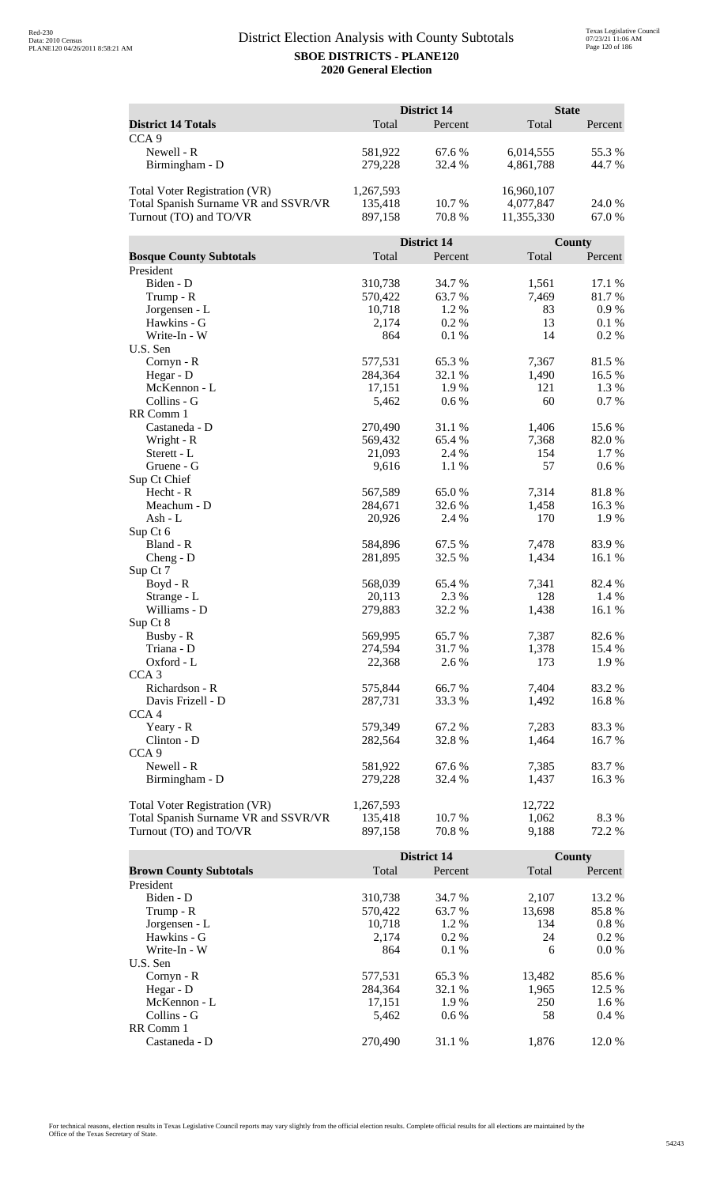|                                      |           | District 14        |            | <b>State</b> |
|--------------------------------------|-----------|--------------------|------------|--------------|
| <b>District 14 Totals</b>            | Total     | Percent            | Total      | Percent      |
| CCA <sub>9</sub>                     |           |                    |            |              |
| Newell - R                           | 581,922   | 67.6 %             | 6,014,555  | 55.3%        |
| Birmingham - D                       | 279,228   | 32.4 %             | 4,861,788  | 44.7 %       |
|                                      |           |                    |            |              |
| Total Voter Registration (VR)        | 1,267,593 |                    | 16,960,107 |              |
| Total Spanish Surname VR and SSVR/VR | 135,418   | 10.7 %             | 4,077,847  | 24.0 %       |
| Turnout (TO) and TO/VR               | 897,158   | 70.8%              | 11,355,330 | 67.0%        |
|                                      |           |                    |            |              |
|                                      |           | <b>District 14</b> |            | County       |
| <b>Bosque County Subtotals</b>       | Total     | Percent            | Total      | Percent      |
| President                            |           |                    |            |              |
| Biden - D                            | 310,738   | 34.7 %             | 1,561      | 17.1 %       |
| Trump - R                            | 570,422   | 63.7%              | 7,469      | 81.7%        |
| Jorgensen - L                        | 10,718    | 1.2 %              | 83         | $0.9\ \%$    |
| Hawkins - G                          | 2,174     | 0.2%               | 13         | 0.1 %        |
| Write-In - W                         | 864       | 0.1 %              | 14         | 0.2 %        |
| U.S. Sen                             |           |                    |            |              |
| Cornyn - R                           | 577,531   | 65.3%              | 7,367      | 81.5%        |
| Hegar - D                            | 284,364   | 32.1 %             | 1,490      | 16.5 %       |
| McKennon - L                         | 17,151    | 1.9%               | 121        | 1.3 %        |
| Collins - G                          | 5,462     | 0.6 %              | 60         | 0.7%         |
| RR Comm 1                            |           |                    |            |              |
| Castaneda - D                        | 270,490   | 31.1 %             | 1,406      | 15.6%        |
| Wright - R                           | 569,432   | 65.4 %             | 7,368      | 82.0%        |
| Sterett - L                          | 21,093    | 2.4 %              | 154        | 1.7 %        |
| Gruene - G<br>Sup Ct Chief           | 9,616     | 1.1 %              | 57         | 0.6 %        |
| Hecht - R                            | 567,589   | 65.0%              | 7,314      | 81.8%        |
| Meachum - D                          | 284,671   | 32.6 %             | 1,458      | 16.3%        |
| Ash - L                              | 20,926    | 2.4 %              | 170        | 1.9%         |
| Sup Ct 6                             |           |                    |            |              |
| Bland - R                            | 584,896   | 67.5 %             | 7,478      | 83.9%        |
| $Cheng - D$                          | 281,895   | 32.5 %             | 1,434      | 16.1 %       |
| Sup Ct 7                             |           |                    |            |              |
| $Boyd - R$                           | 568,039   | 65.4 %             | 7,341      | 82.4%        |
| Strange - L                          | 20,113    | 2.3 %              | 128        | 1.4 %        |
| Williams - D                         | 279,883   | 32.2 %             | 1,438      | 16.1 %       |
| Sup Ct 8                             |           |                    |            |              |
| Busby - R                            | 569,995   | 65.7%              | 7,387      | 82.6 %       |
| Triana - D                           | 274,594   | 31.7%              | 1,378      | 15.4 %       |
| Oxford - L                           | 22,368    | 2.6 %              | 173        | 1.9%         |
| CCA <sub>3</sub>                     |           |                    |            |              |
| Richardson - R                       | 575,844   | 66.7%              | 7,404      | 83.2%        |
| Davis Frizell - D                    | 287,731   | 33.3 %             | 1,492      | 16.8%        |
| CCA <sub>4</sub>                     |           |                    |            |              |
| Yeary - R                            | 579,349   | 67.2 %             | 7,283      | 83.3 %       |
| Clinton - D                          | 282,564   | 32.8%              | 1,464      | 16.7 %       |
| CCA <sub>9</sub>                     |           |                    |            |              |
| Newell - R                           | 581,922   | 67.6%              | 7,385      | 83.7%        |
| Birmingham - D                       | 279,228   | 32.4 %             | 1,437      | 16.3 %       |
| Total Voter Registration (VR)        | 1,267,593 |                    | 12,722     |              |
| Total Spanish Surname VR and SSVR/VR | 135,418   | 10.7%              | 1,062      | 8.3%         |
| Turnout (TO) and TO/VR               | 897,158   | 70.8%              | 9,188      | 72.2 %       |
|                                      |           |                    |            |              |

|                               |         | <b>District 14</b> |        | County  |
|-------------------------------|---------|--------------------|--------|---------|
| <b>Brown County Subtotals</b> | Total   | Percent            | Total  | Percent |
| President                     |         |                    |        |         |
| Biden - D                     | 310.738 | 34.7 %             | 2.107  | 13.2 %  |
| Trump - R                     | 570,422 | 63.7 %             | 13,698 | 85.8%   |
| Jorgensen - L                 | 10.718  | $1.2\%$            | 134    | $0.8\%$ |
| Hawkins - G                   | 2.174   | $0.2\%$            | 24     | $0.2\%$ |
| Write-In - W                  | 864     | $0.1\%$            | 6      | $0.0\%$ |
| U.S. Sen                      |         |                    |        |         |
| $Cornyn - R$                  | 577,531 | 65.3 %             | 13,482 | 85.6 %  |
| Hegar - $D$                   | 284.364 | 32.1 %             | 1,965  | 12.5 %  |
| McKennon - L                  | 17,151  | 1.9 %              | 250    | 1.6 %   |
| Collins - G                   | 5.462   | $0.6\%$            | 58     | $0.4\%$ |
| RR Comm 1                     |         |                    |        |         |
| Castaneda - D                 | 270,490 | 31.1 %             | 1.876  | 12.0 %  |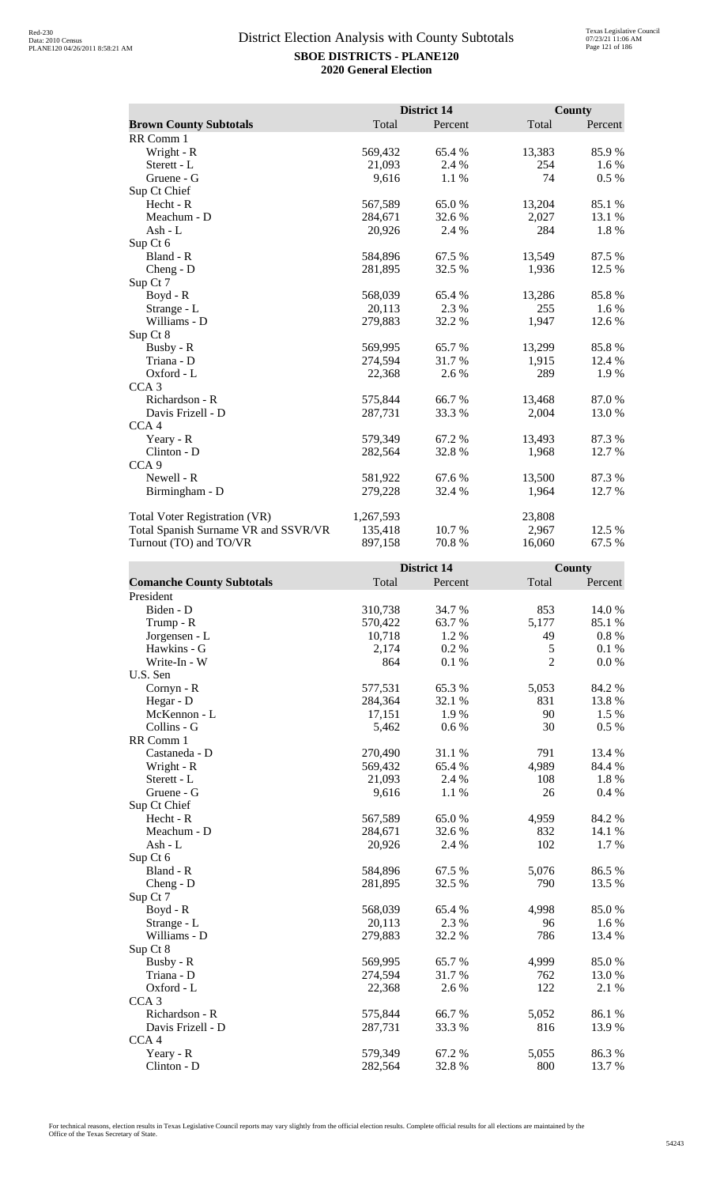|                                      |           | District 14 |        | <b>County</b> |
|--------------------------------------|-----------|-------------|--------|---------------|
| <b>Brown County Subtotals</b>        | Total     | Percent     | Total  | Percent       |
| RR Comm 1                            |           |             |        |               |
| Wright - R                           | 569,432   | 65.4 %      | 13,383 | 85.9%         |
| Sterett - L                          | 21,093    | 2.4 %       | 254    | 1.6 %         |
| Gruene - G                           | 9,616     | 1.1 %       | 74     | $0.5\%$       |
| Sup Ct Chief                         |           |             |        |               |
| Hecht - R                            | 567,589   | 65.0%       | 13,204 | 85.1 %        |
| Meachum - D                          | 284,671   | 32.6 %      | 2,027  | 13.1 %        |
| Ash - $L$                            | 20,926    | 2.4 %       | 284    | 1.8%          |
| Sup Ct 6                             |           |             |        |               |
| Bland - R                            | 584,896   | 67.5 %      | 13,549 | 87.5 %        |
| $Cheng - D$                          | 281,895   | 32.5 %      | 1,936  | 12.5 %        |
| Sup Ct 7                             |           |             |        |               |
| Boyd - R                             | 568,039   | 65.4 %      | 13,286 | 85.8%         |
| Strange - L                          | 20,113    | 2.3%        | 255    | 1.6 %         |
| Williams - D                         | 279,883   | 32.2 %      | 1,947  | 12.6 %        |
| Sup Ct 8                             |           |             |        |               |
| Busby - R                            | 569,995   | 65.7%       | 13,299 | 85.8%         |
| Triana - D                           | 274,594   | 31.7 %      | 1,915  | 12.4 %        |
| Oxford - L                           | 22,368    | 2.6 %       | 289    | 1.9%          |
| CCA <sub>3</sub>                     |           |             |        |               |
| Richardson - R                       | 575,844   | 66.7%       | 13,468 | 87.0%         |
| Davis Frizell - D                    | 287,731   | 33.3 %      | 2,004  | 13.0%         |
| CCA <sub>4</sub>                     |           |             |        |               |
| Yeary - R                            | 579,349   | 67.2 %      | 13,493 | 87.3 %        |
| Clinton - D                          | 282,564   | 32.8%       | 1,968  | 12.7 %        |
| CCA <sub>9</sub>                     |           |             |        |               |
| Newell - R                           | 581,922   | 67.6%       | 13,500 | 87.3 %        |
| Birmingham - D                       | 279,228   | 32.4 %      | 1,964  | 12.7 %        |
| <b>Total Voter Registration (VR)</b> | 1,267,593 |             | 23,808 |               |
| Total Spanish Surname VR and SSVR/VR | 135,418   | 10.7 %      | 2,967  | 12.5 %        |
| Turnout (TO) and TO/VR               | 897,158   | 70.8%       | 16,060 | 67.5 %        |

|                                  |         | <b>District 14</b> |                | County   |
|----------------------------------|---------|--------------------|----------------|----------|
| <b>Comanche County Subtotals</b> | Total   | Percent            | Total          | Percent  |
| President                        |         |                    |                |          |
| Biden - D                        | 310,738 | 34.7 %             | 853            | 14.0 %   |
| Trump - R                        | 570,422 | 63.7%              | 5,177          | 85.1%    |
| Jorgensen - L                    | 10,718  | 1.2 %              | 49             | $0.8 \%$ |
| Hawkins - G                      | 2,174   | 0.2 %              | 5              | 0.1%     |
| Write-In - W                     | 864     | 0.1%               | $\overline{2}$ | 0.0 %    |
| U.S. Sen                         |         |                    |                |          |
| Cornyn - R                       | 577,531 | 65.3%              | 5,053          | 84.2 %   |
| Hegar - D                        | 284,364 | 32.1 %             | 831            | 13.8%    |
| McKennon - L                     | 17,151  | 1.9%               | 90             | 1.5 %    |
| Collins - G                      | 5,462   | 0.6 %              | 30             | 0.5 %    |
| RR Comm 1                        |         |                    |                |          |
| Castaneda - D                    | 270,490 | 31.1 %             | 791            | 13.4 %   |
| Wright - R                       | 569,432 | 65.4 %             | 4,989          | 84.4 %   |
| Sterett - L                      | 21,093  | 2.4 %              | 108            | 1.8%     |
| Gruene - G                       | 9,616   | 1.1 %              | 26             | 0.4 %    |
| Sup Ct Chief                     |         |                    |                |          |
| Hecht - R                        | 567,589 | 65.0%              | 4,959          | 84.2 %   |
| Meachum - D                      | 284,671 | 32.6 %             | 832            | 14.1 %   |
| Ash - L                          | 20,926  | 2.4 %              | 102            | 1.7%     |
| Sup Ct 6                         |         |                    |                |          |
| Bland - R                        | 584,896 | 67.5 %             | 5,076          | 86.5%    |
| $Cheng - D$                      | 281,895 | 32.5 %             | 790            | 13.5 %   |
| Sup Ct 7                         |         |                    |                |          |
| Boyd - R                         | 568,039 | 65.4 %             | 4,998          | 85.0%    |
| Strange - L                      | 20,113  | 2.3 %              | 96             | 1.6 %    |
| Williams - D                     | 279,883 | 32.2 %             | 786            | 13.4 %   |
| Sup Ct 8                         |         |                    |                |          |
| Busby - R                        | 569,995 | 65.7%              | 4,999          | 85.0%    |
| Triana - D                       | 274,594 | 31.7%              | 762            | 13.0%    |
| Oxford - L                       | 22,368  | 2.6 %              | 122            | 2.1 %    |
| CCA <sub>3</sub>                 |         |                    |                |          |
| Richardson - R                   | 575,844 | 66.7%              | 5,052          | 86.1%    |
| Davis Frizell - D                | 287,731 | 33.3%              | 816            | 13.9%    |
| CCA <sub>4</sub>                 |         |                    |                |          |
| Yeary - R                        | 579,349 | 67.2%              | 5,055          | 86.3%    |
| Clinton - D                      | 282,564 | 32.8%              | 800            | 13.7 %   |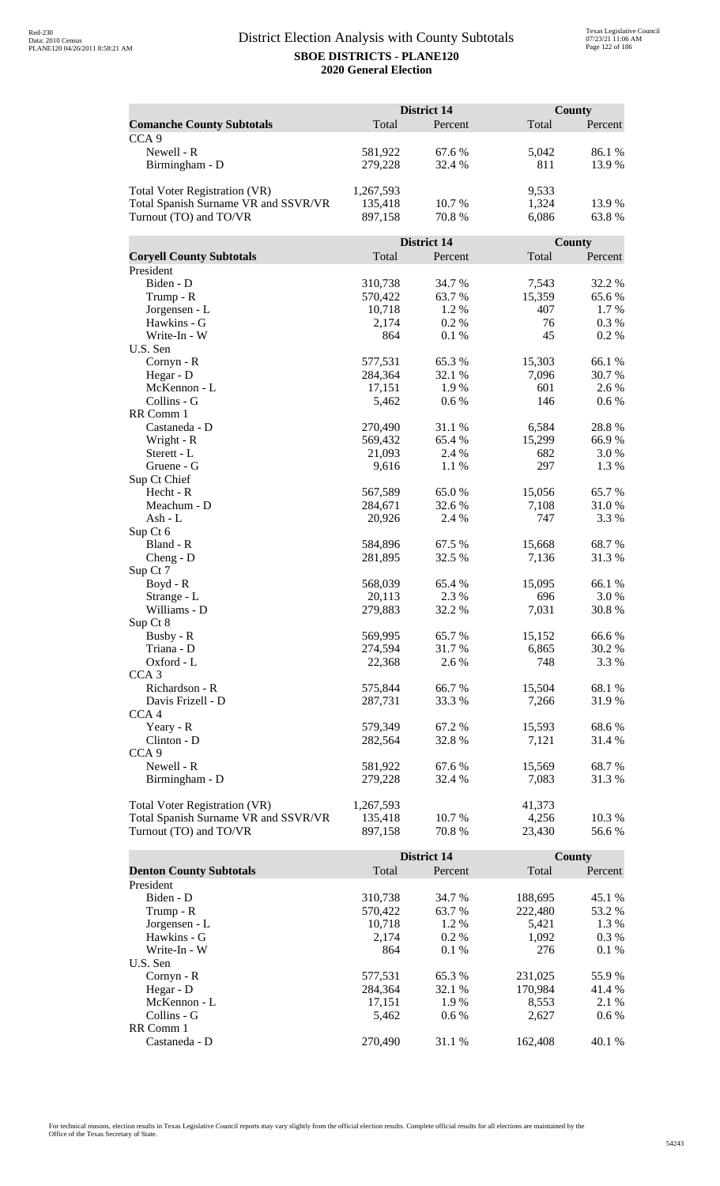|                                      |           | <b>District 14</b> |                 | County  |  |
|--------------------------------------|-----------|--------------------|-----------------|---------|--|
| <b>Comanche County Subtotals</b>     | Total     | Percent            | Total           | Percent |  |
| CCA <sub>9</sub>                     |           |                    |                 |         |  |
| Newell - R                           | 581,922   | 67.6 %             | 5,042           | 86.1%   |  |
| Birmingham - D                       | 279,228   | 32.4 %             | 811             | 13.9%   |  |
|                                      |           |                    |                 |         |  |
| Total Voter Registration (VR)        | 1,267,593 |                    | 9,533           |         |  |
| Total Spanish Surname VR and SSVR/VR | 135,418   | 10.7%              | 1,324           | 13.9 %  |  |
| Turnout (TO) and TO/VR               | 897,158   | 70.8 %             | 6,086           | 63.8%   |  |
|                                      |           |                    |                 |         |  |
|                                      |           | District 14        |                 | County  |  |
| <b>Coryell County Subtotals</b>      | Total     | Percent            | Total           | Percent |  |
| President                            |           |                    |                 |         |  |
| Biden - D                            | 310,738   | 34.7 %             | 7,543           | 32.2 %  |  |
| Trump - R                            | 570,422   | 63.7%              | 15,359          | 65.6%   |  |
| Jorgensen - L                        | 10,718    | 1.2%               | 407             | 1.7%    |  |
| Hawkins - G                          | 2,174     | 0.2 %              | 76              | 0.3 %   |  |
| Write-In - W                         | 864       | 0.1%               | 45              | 0.2%    |  |
| U.S. Sen                             |           |                    |                 |         |  |
| Cornyn - R                           | 577,531   | 65.3%              | 15,303          | 66.1%   |  |
| Hegar - D                            | 284,364   | 32.1 %             | 7,096           | 30.7%   |  |
| McKennon - L                         | 17,151    | 1.9%               | 601             | 2.6 %   |  |
| Collins - G                          | 5,462     | 0.6 %              | 146             | 0.6 %   |  |
| RR Comm 1                            |           |                    |                 |         |  |
| Castaneda - D                        | 270,490   | 31.1 %             | 6,584           | 28.8%   |  |
| Wright - R                           | 569,432   | 65.4 %             | 15,299          | 66.9%   |  |
| Sterett - L                          | 21,093    | 2.4 %              | 682             | 3.0%    |  |
| Gruene - G                           | 9,616     | 1.1 %              | 297             | 1.3%    |  |
| Sup Ct Chief<br>Hecht - R            | 567,589   | 65.0%              |                 | 65.7%   |  |
| Meachum - D                          | 284,671   | 32.6 %             | 15,056<br>7,108 | 31.0 %  |  |
| Ash - L                              | 20,926    | 2.4 %              | 747             | 3.3 %   |  |
| Sup Ct 6                             |           |                    |                 |         |  |
| Bland - R                            | 584,896   | 67.5 %             | 15,668          | 68.7%   |  |
| $Cheng - D$                          | 281,895   | 32.5 %             | 7,136           | 31.3%   |  |
| Sup Ct 7                             |           |                    |                 |         |  |
| $Boyd - R$                           | 568,039   | 65.4%              | 15,095          | 66.1%   |  |
| Strange - L                          | 20,113    | 2.3 %              | 696             | 3.0%    |  |
| Williams - D                         | 279,883   | 32.2 %             | 7,031           | 30.8%   |  |
| Sup Ct 8                             |           |                    |                 |         |  |
| Busby - R                            | 569,995   | 65.7%              | 15,152          | 66.6%   |  |
| Triana - D                           | 274,594   | 31.7%              | 6,865           | 30.2%   |  |
| Oxford - L                           | 22,368    | 2.6 %              | 748             | 3.3 %   |  |
| CCA <sub>3</sub>                     |           |                    |                 |         |  |
| Richardson - R                       | 575,844   | 66.7%              | 15,504          | 68.1%   |  |
| Davis Frizell - D                    | 287,731   | 33.3 %             | 7,266           | 31.9%   |  |
| CCA <sub>4</sub>                     |           |                    |                 |         |  |
| Yeary - R                            | 579,349   | 67.2%              | 15,593          | 68.6%   |  |
| Clinton - D                          | 282,564   | 32.8%              | 7,121           | 31.4 %  |  |
| CCA <sub>9</sub>                     |           |                    |                 |         |  |
| Newell - R                           | 581,922   | 67.6 %             | 15,569          | 68.7%   |  |
| Birmingham - D                       | 279,228   | 32.4 %             | 7,083           | 31.3 %  |  |
|                                      |           |                    |                 |         |  |
| <b>Total Voter Registration (VR)</b> | 1,267,593 | 10.7%              | 41,373          |         |  |
| Total Spanish Surname VR and SSVR/VR | 135,418   | 70.8%              | 4,256           | 10.3%   |  |
| Turnout (TO) and TO/VR               | 897,158   |                    | 23,430          | 56.6%   |  |

|                                |         | <b>District 14</b> |         | County  |
|--------------------------------|---------|--------------------|---------|---------|
| <b>Denton County Subtotals</b> | Total   | Percent            | Total   | Percent |
| President                      |         |                    |         |         |
| Biden - D                      | 310.738 | 34.7 %             | 188,695 | 45.1 %  |
| Trump - R                      | 570,422 | 63.7 %             | 222,480 | 53.2 %  |
| Jorgensen - L                  | 10.718  | $1.2\%$            | 5.421   | 1.3 %   |
| Hawkins - G                    | 2.174   | $0.2\%$            | 1,092   | $0.3\%$ |
| Write-In - W                   | 864     | 0.1%               | 276     | 0.1%    |
| U.S. Sen                       |         |                    |         |         |
| $Cornyn - R$                   | 577,531 | 65.3 %             | 231,025 | 55.9 %  |
| Hegar - $D$                    | 284.364 | 32.1 %             | 170.984 | 41.4 %  |
| McKennon - L                   | 17,151  | 1.9%               | 8,553   | 2.1 %   |
| Collins - G                    | 5.462   | $0.6\%$            | 2.627   | $0.6\%$ |
| RR Comm 1                      |         |                    |         |         |
| Castaneda - D                  | 270,490 | 31.1 %             | 162.408 | 40.1 %  |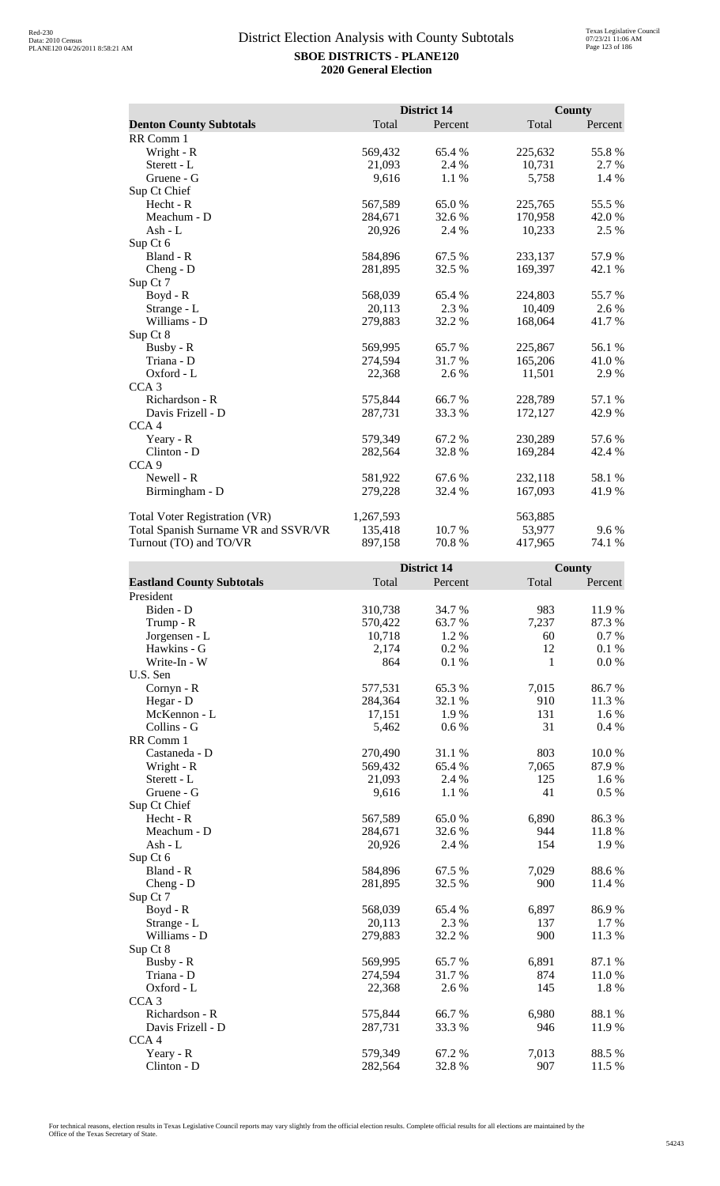|                                      |           | <b>District 14</b> |         | <b>County</b> |
|--------------------------------------|-----------|--------------------|---------|---------------|
| <b>Denton County Subtotals</b>       | Total     | Percent            | Total   | Percent       |
| RR Comm 1                            |           |                    |         |               |
| Wright - R                           | 569,432   | 65.4 %             | 225,632 | 55.8%         |
| Sterett - L                          | 21,093    | 2.4 %              | 10,731  | 2.7 %         |
| Gruene - G                           | 9,616     | 1.1%               | 5,758   | 1.4 %         |
| Sup Ct Chief                         |           |                    |         |               |
| Hecht - R                            | 567,589   | 65.0%              | 225,765 | 55.5 %        |
| Meachum - D                          | 284,671   | 32.6 %             | 170,958 | 42.0 %        |
| Ash - L                              | 20,926    | 2.4 %              | 10,233  | 2.5 %         |
| Sup Ct 6                             |           |                    |         |               |
| Bland - R                            | 584,896   | 67.5 %             | 233,137 | 57.9%         |
| Cheng - D                            | 281,895   | 32.5 %             | 169,397 | 42.1 %        |
| Sup Ct 7                             |           |                    |         |               |
| Boyd - R                             | 568,039   | 65.4%              | 224,803 | 55.7%         |
| Strange - L                          | 20,113    | 2.3 %              | 10,409  | 2.6 %         |
| Williams - D                         | 279,883   | 32.2 %             | 168,064 | 41.7%         |
| Sup Ct 8                             |           |                    |         |               |
| Busby - R                            | 569,995   | 65.7%              | 225,867 | 56.1 %        |
| Triana - D                           | 274,594   | 31.7 %             | 165,206 | 41.0 %        |
| Oxford - L                           | 22,368    | 2.6 %              | 11,501  | 2.9 %         |
| CCA <sub>3</sub>                     |           |                    |         |               |
| Richardson - R                       | 575,844   | 66.7%              | 228,789 | 57.1 %        |
| Davis Frizell - D                    | 287,731   | 33.3 %             | 172,127 | 42.9%         |
| CCA <sub>4</sub>                     |           |                    |         |               |
| Yeary - R                            | 579,349   | 67.2 %             | 230,289 | 57.6 %        |
| Clinton - D                          | 282,564   | 32.8%              | 169,284 | 42.4 %        |
| CCA <sub>9</sub>                     |           |                    |         |               |
| Newell - R                           | 581,922   | 67.6 %             | 232,118 | 58.1 %        |
| Birmingham - D                       | 279,228   | 32.4 %             | 167,093 | 41.9%         |
| Total Voter Registration (VR)        | 1,267,593 |                    | 563,885 |               |
| Total Spanish Surname VR and SSVR/VR | 135,418   | 10.7 %             | 53,977  | $9.6\%$       |
| Turnout (TO) and TO/VR               | 897,158   | 70.8%              | 417,965 | 74.1 %        |

|                                  | <b>District 14</b> |         | <b>County</b> |         |
|----------------------------------|--------------------|---------|---------------|---------|
| <b>Eastland County Subtotals</b> | Total              | Percent | Total         | Percent |
| President                        |                    |         |               |         |
| Biden - D                        | 310,738            | 34.7%   | 983           | 11.9%   |
| Trump - R                        | 570,422            | 63.7 %  | 7,237         | 87.3%   |
| Jorgensen - L                    | 10,718             | 1.2 %   | 60            | 0.7%    |
| Hawkins - G                      | 2,174              | 0.2%    | 12            | 0.1%    |
| Write-In - W                     | 864                | 0.1%    | $\mathbf{1}$  | 0.0 %   |
| U.S. Sen                         |                    |         |               |         |
| Cornyn - R                       | 577,531            | 65.3%   | 7,015         | 86.7%   |
| Hegar - D                        | 284,364            | 32.1 %  | 910           | 11.3 %  |
| McKennon - L                     | 17,151             | 1.9%    | 131           | 1.6%    |
| Collins - G                      | 5,462              | 0.6 %   | 31            | 0.4%    |
| RR Comm 1                        |                    |         |               |         |
| Castaneda - D                    | 270,490            | 31.1 %  | 803           | 10.0%   |
| Wright - R                       | 569,432            | 65.4 %  | 7,065         | 87.9%   |
| Sterett - L                      | 21,093             | 2.4 %   | 125           | 1.6 %   |
| Gruene - G                       | 9,616              | 1.1 %   | 41            | 0.5 %   |
| Sup Ct Chief                     |                    |         |               |         |
| Hecht - R                        | 567,589            | 65.0%   | 6,890         | 86.3%   |
| Meachum - D                      | 284,671            | 32.6 %  | 944           | 11.8%   |
| Ash - L                          | 20,926             | 2.4 %   | 154           | 1.9 %   |
| Sup Ct 6                         |                    |         |               |         |
| Bland - R                        | 584,896            | 67.5 %  | 7,029         | 88.6%   |
| Cheng - D                        | 281,895            | 32.5 %  | 900           | 11.4 %  |
| Sup Ct 7                         |                    |         |               |         |
| Boyd - R                         | 568,039            | 65.4 %  | 6,897         | 86.9%   |
| Strange - L                      | 20,113             | 2.3 %   | 137           | 1.7%    |
| Williams - D                     | 279,883            | 32.2 %  | 900           | 11.3 %  |
| Sup Ct 8                         |                    |         |               |         |
| Busby - R                        | 569,995            | 65.7%   | 6,891         | 87.1 %  |
| Triana - D                       | 274,594            | 31.7 %  | 874           | 11.0%   |
| Oxford - L                       | 22,368             | 2.6 %   | 145           | 1.8%    |
| CCA <sub>3</sub>                 |                    |         |               |         |
| Richardson - R                   | 575,844            | 66.7%   | 6,980         | 88.1%   |
| Davis Frizell - D                | 287,731            | 33.3 %  | 946           | 11.9 %  |
| CCA <sub>4</sub>                 |                    |         |               |         |
| Yeary - R                        | 579,349            | 67.2%   | 7,013         | 88.5%   |
| Clinton - D                      | 282,564            | 32.8%   | 907           | 11.5 %  |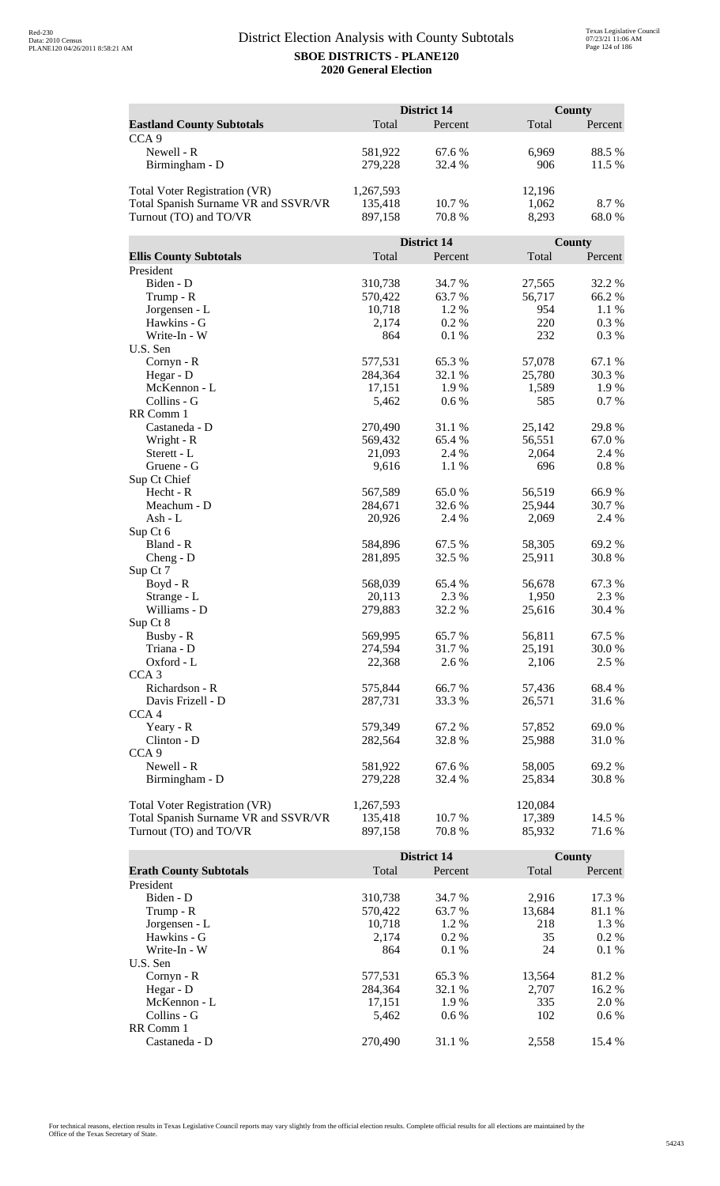|                                      | <b>District 14</b> |             |         | <b>County</b> |  |
|--------------------------------------|--------------------|-------------|---------|---------------|--|
| <b>Eastland County Subtotals</b>     | Total              | Percent     | Total   | Percent       |  |
| CCA <sub>9</sub>                     |                    |             |         |               |  |
| Newell - R                           | 581,922            | 67.6 %      | 6,969   | 88.5%         |  |
| Birmingham - D                       | 279,228            | 32.4 %      | 906     | 11.5 %        |  |
|                                      |                    |             |         |               |  |
| <b>Total Voter Registration (VR)</b> | 1,267,593          |             | 12,196  |               |  |
| Total Spanish Surname VR and SSVR/VR | 135,418            | 10.7 %      | 1,062   | 8.7 %         |  |
| Turnout (TO) and TO/VR               | 897,158            | 70.8%       | 8,293   | 68.0%         |  |
|                                      |                    |             |         |               |  |
|                                      |                    | District 14 |         | County        |  |
| <b>Ellis County Subtotals</b>        | Total              | Percent     | Total   | Percent       |  |
| President                            |                    |             |         |               |  |
| Biden - D                            | 310,738            | 34.7 %      | 27,565  | 32.2 %        |  |
| Trump - R                            | 570,422            | 63.7%       | 56,717  | 66.2%         |  |
| Jorgensen - L                        | 10,718             | 1.2%        | 954     | 1.1 %         |  |
| Hawkins - G                          | 2,174              | 0.2 %       | 220     | 0.3 %         |  |
| Write-In - W                         | 864                | 0.1%        | 232     | 0.3%          |  |
| U.S. Sen                             |                    |             |         |               |  |
| Cornyn - R                           | 577,531            | 65.3%       | 57,078  | 67.1 %        |  |
| Hegar - D                            | 284,364            | 32.1 %      | 25,780  | 30.3%         |  |
| McKennon - L                         | 17,151             | 1.9%        | 1,589   | 1.9%          |  |
| Collins - G                          | 5,462              | 0.6 %       | 585     | 0.7%          |  |
| RR Comm 1                            |                    |             |         |               |  |
| Castaneda - D                        | 270,490            | 31.1 %      | 25,142  | 29.8%         |  |
| Wright - R                           | 569,432            | 65.4 %      | 56,551  | 67.0%         |  |
| Sterett - L                          | 21,093             | 2.4 %       | 2,064   | 2.4 %         |  |
| Gruene - G                           | 9,616              | 1.1 %       | 696     | $0.8~\%$      |  |
| Sup Ct Chief<br>Hecht - R            | 567,589            | 65.0%       | 56,519  | 66.9%         |  |
| Meachum - D                          | 284,671            | 32.6 %      | 25,944  | 30.7 %        |  |
| Ash - L                              | 20,926             | 2.4 %       | 2,069   | 2.4 %         |  |
| Sup Ct 6                             |                    |             |         |               |  |
| Bland - R                            | 584,896            | 67.5 %      | 58,305  | 69.2%         |  |
| $Cheng - D$                          | 281,895            | 32.5 %      | 25,911  | 30.8%         |  |
| Sup Ct 7                             |                    |             |         |               |  |
| $Boyd - R$                           | 568,039            | 65.4 %      | 56,678  | 67.3%         |  |
| Strange - L                          | 20,113             | 2.3 %       | 1,950   | 2.3 %         |  |
| Williams - D                         | 279,883            | 32.2 %      | 25,616  | 30.4 %        |  |
| Sup Ct 8                             |                    |             |         |               |  |
| Busby - R                            | 569,995            | 65.7%       | 56,811  | 67.5 %        |  |
| Triana - D                           | 274,594            | 31.7%       | 25,191  | 30.0%         |  |
| Oxford - L                           | 22,368             | 2.6 %       | 2,106   | 2.5 %         |  |
| CCA <sub>3</sub>                     |                    |             |         |               |  |
| Richardson - R                       | 575,844            | 66.7%       | 57,436  | 68.4 %        |  |
| Davis Frizell - D                    | 287,731            | 33.3 %      | 26,571  | 31.6 %        |  |
| CCA <sub>4</sub>                     |                    |             |         |               |  |
| Yeary - R                            | 579,349            | 67.2%       | 57,852  | 69.0%         |  |
| Clinton - D                          | 282,564            | 32.8%       | 25,988  | 31.0%         |  |
| CCA <sub>9</sub>                     |                    |             |         |               |  |
| Newell - R                           | 581,922            | 67.6%       | 58,005  | 69.2%         |  |
| Birmingham - D                       | 279,228            | 32.4 %      | 25,834  | 30.8%         |  |
|                                      |                    |             |         |               |  |
| <b>Total Voter Registration (VR)</b> | 1,267,593          |             | 120,084 |               |  |
| Total Spanish Surname VR and SSVR/VR | 135,418            | 10.7 %      | 17,389  | 14.5 %        |  |
| Turnout (TO) and TO/VR               | 897,158            | 70.8%       | 85,932  | 71.6 %        |  |

|                               |         | District 14 |        | County  |
|-------------------------------|---------|-------------|--------|---------|
| <b>Erath County Subtotals</b> | Total   | Percent     | Total  | Percent |
| President                     |         |             |        |         |
| Biden - D                     | 310,738 | 34.7 %      | 2.916  | 17.3 %  |
| Trump - R                     | 570,422 | 63.7 %      | 13,684 | 81.1 %  |
| Jorgensen - L                 | 10.718  | $1.2\%$     | 218    | 1.3 %   |
| Hawkins - G                   | 2.174   | $0.2\%$     | 35     | $0.2\%$ |
| Write-In - W                  | 864     | $0.1\%$     | 24     | 0.1%    |
| U.S. Sen                      |         |             |        |         |
| Cornyn - R                    | 577,531 | 65.3 %      | 13,564 | 81.2 %  |
| Hegar - $D$                   | 284.364 | 32.1 %      | 2.707  | 16.2 %  |
| McKennon - L                  | 17,151  | 1.9 %       | 335    | 2.0 %   |
| Collins - G                   | 5.462   | $0.6\%$     | 102    | $0.6\%$ |
| RR Comm 1                     |         |             |        |         |
| Castaneda - D                 | 270,490 | 31.1 %      | 2.558  | 15.4 %  |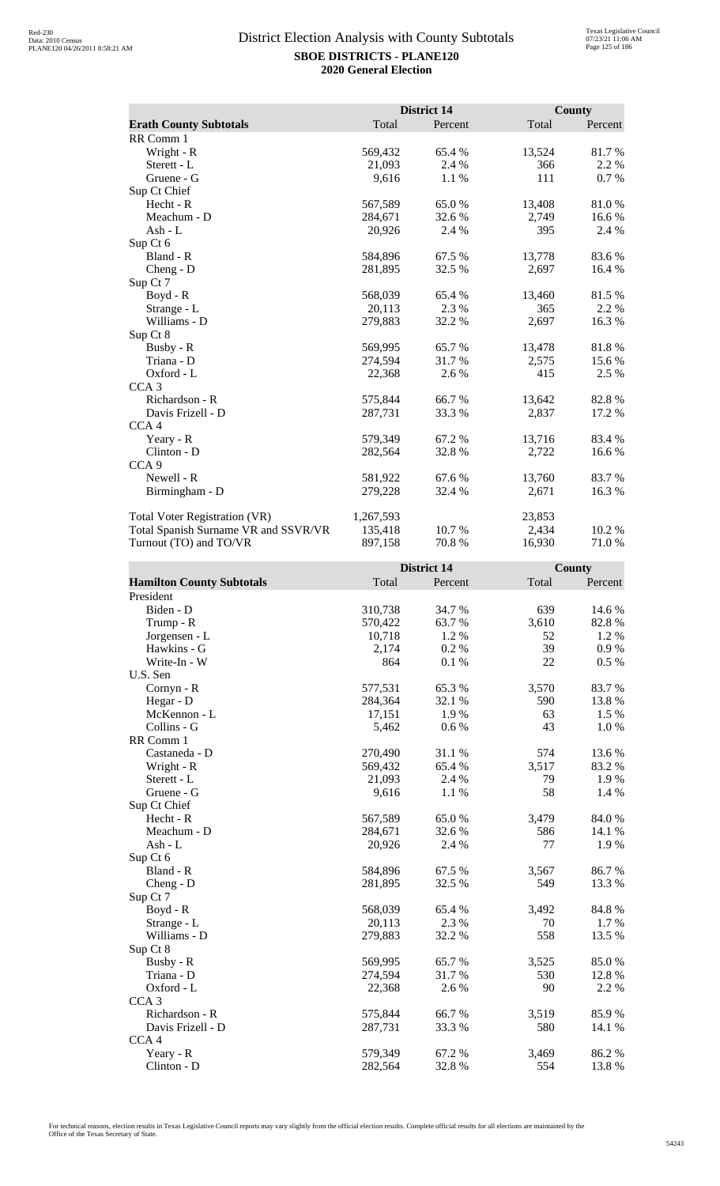|                                      |           | District 14 |        | <b>County</b> |
|--------------------------------------|-----------|-------------|--------|---------------|
| <b>Erath County Subtotals</b>        | Total     | Percent     | Total  | Percent       |
| RR Comm 1                            |           |             |        |               |
| Wright - R                           | 569,432   | 65.4 %      | 13,524 | 81.7%         |
| Sterett - L                          | 21,093    | 2.4 %       | 366    | 2.2 %         |
| Gruene - G                           | 9,616     | 1.1 %       | 111    | 0.7 %         |
| Sup Ct Chief                         |           |             |        |               |
| Hecht - R                            | 567,589   | 65.0%       | 13,408 | 81.0%         |
| Meachum - D                          | 284,671   | 32.6 %      | 2,749  | 16.6 %        |
| Ash - $L$                            | 20,926    | 2.4 %       | 395    | 2.4 %         |
| Sup Ct 6                             |           |             |        |               |
| Bland - R                            | 584,896   | 67.5 %      | 13,778 | 83.6 %        |
| $Cheng - D$                          | 281,895   | 32.5 %      | 2,697  | 16.4 %        |
| Sup Ct 7                             |           |             |        |               |
| $Boyd - R$                           | 568,039   | 65.4 %      | 13,460 | 81.5%         |
| Strange - L                          | 20,113    | 2.3 %       | 365    | 2.2 %         |
| Williams - D                         | 279,883   | 32.2 %      | 2,697  | 16.3%         |
| Sup Ct 8                             |           |             |        |               |
| Busby - R                            | 569,995   | 65.7%       | 13,478 | 81.8%         |
| Triana - D                           | 274,594   | 31.7 %      | 2,575  | 15.6 %        |
| Oxford - L                           | 22,368    | 2.6 %       | 415    | 2.5 %         |
| CCA <sub>3</sub>                     |           |             |        |               |
| Richardson - R                       | 575,844   | 66.7%       | 13,642 | 82.8%         |
| Davis Frizell - D                    | 287,731   | 33.3 %      | 2,837  | 17.2 %        |
| CCA <sub>4</sub>                     |           |             |        |               |
| Yeary - R                            | 579,349   | 67.2 %      | 13,716 | 83.4 %        |
| Clinton - D                          | 282,564   | 32.8%       | 2,722  | 16.6%         |
| CCA <sub>9</sub>                     |           |             |        |               |
| Newell - R                           | 581,922   | 67.6 %      | 13,760 | 83.7 %        |
| Birmingham - D                       | 279,228   | 32.4 %      | 2,671  | 16.3%         |
| <b>Total Voter Registration (VR)</b> | 1,267,593 |             | 23,853 |               |
| Total Spanish Surname VR and SSVR/VR | 135,418   | 10.7 %      | 2,434  | 10.2%         |
| Turnout (TO) and TO/VR               | 897,158   | 70.8%       | 16,930 | 71.0%         |

|                                  |         | <b>District 14</b> |       | County  |
|----------------------------------|---------|--------------------|-------|---------|
| <b>Hamilton County Subtotals</b> | Total   | Percent            | Total | Percent |
| President                        |         |                    |       |         |
| Biden - D                        | 310,738 | 34.7 %             | 639   | 14.6 %  |
| Trump - R                        | 570,422 | 63.7 %             | 3,610 | 82.8%   |
| Jorgensen - L                    | 10,718  | 1.2 %              | 52    | 1.2%    |
| Hawkins - G                      | 2,174   | 0.2%               | 39    | 0.9%    |
| Write-In - W                     | 864     | 0.1%               | 22    | 0.5 %   |
| U.S. Sen                         |         |                    |       |         |
| Cornyn - R                       | 577,531 | 65.3%              | 3,570 | 83.7%   |
| Hegar - D                        | 284,364 | 32.1 %             | 590   | 13.8%   |
| McKennon - L                     | 17,151  | 1.9%               | 63    | 1.5 %   |
| Collins - G                      | 5,462   | 0.6 %              | 43    | $1.0%$  |
| RR Comm 1                        |         |                    |       |         |
| Castaneda - D                    | 270,490 | 31.1 %             | 574   | 13.6%   |
| Wright - R                       | 569,432 | 65.4 %             | 3,517 | 83.2%   |
| Sterett - L                      | 21,093  | 2.4 %              | 79    | 1.9%    |
| Gruene - G                       | 9,616   | 1.1 %              | 58    | 1.4 %   |
| Sup Ct Chief                     |         |                    |       |         |
| Hecht - R                        | 567,589 | 65.0%              | 3,479 | 84.0%   |
| Meachum - D                      | 284,671 | 32.6%              | 586   | 14.1 %  |
| $Ash - L$                        | 20,926  | 2.4 %              | 77    | 1.9%    |
| Sup Ct 6                         |         |                    |       |         |
| Bland - R                        | 584,896 | 67.5 %             | 3,567 | 86.7%   |
| Cheng - D                        | 281,895 | 32.5 %             | 549   | 13.3 %  |
| Sup Ct 7                         |         |                    |       |         |
| Boyd - R                         | 568,039 | 65.4 %             | 3,492 | 84.8%   |
| Strange - L                      | 20,113  | 2.3 %              | 70    | 1.7 %   |
| Williams - D                     | 279,883 | 32.2 %             | 558   | 13.5 %  |
| Sup Ct 8                         |         |                    |       |         |
| Busby - R                        | 569,995 | 65.7 %             | 3,525 | 85.0%   |
| Triana - D                       | 274,594 | 31.7%              | 530   | 12.8%   |
| Oxford - L                       | 22,368  | 2.6 %              | 90    | 2.2 %   |
| CCA <sub>3</sub>                 |         |                    |       |         |
| Richardson - R                   | 575,844 | 66.7%              | 3,519 | 85.9%   |
| Davis Frizell - D                | 287,731 | 33.3%              | 580   | 14.1 %  |
| CCA <sub>4</sub>                 |         |                    |       |         |
| Yeary - R                        | 579,349 | 67.2%              | 3,469 | 86.2%   |
| $Clinton - D$                    | 282,564 | 32.8%              | 554   | 13.8%   |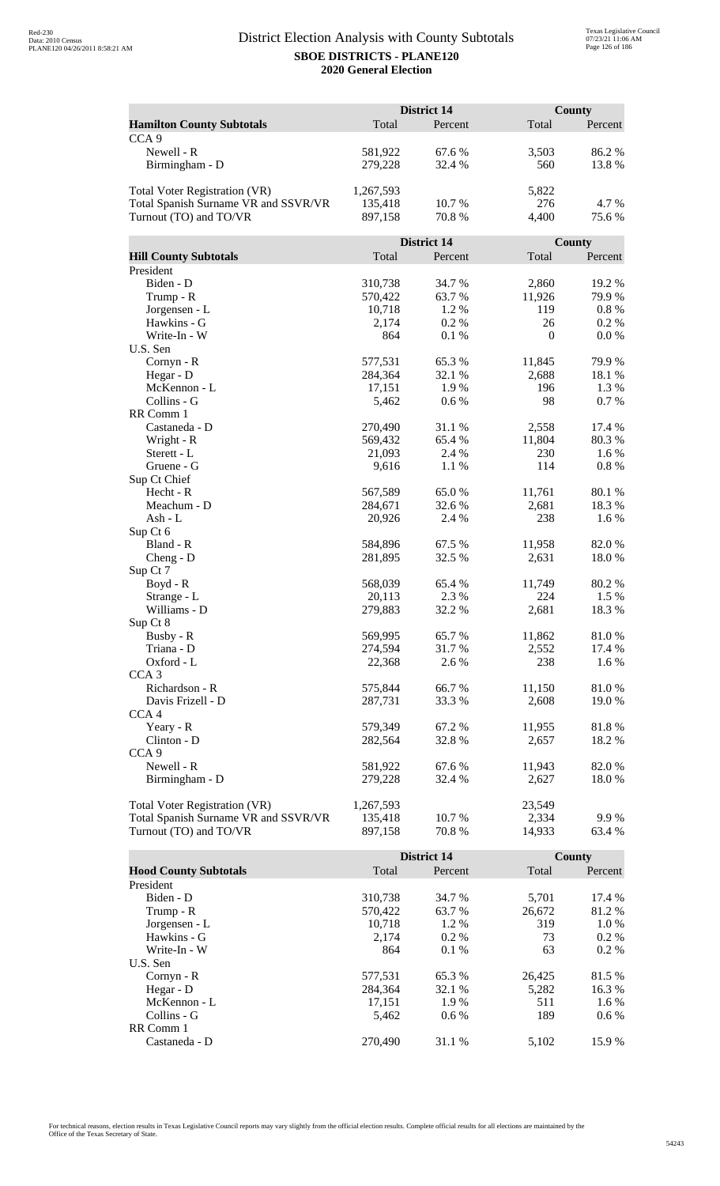|                                      |           | <b>District 14</b> |              | County  |  |
|--------------------------------------|-----------|--------------------|--------------|---------|--|
| <b>Hamilton County Subtotals</b>     | Total     | Percent            | Total        | Percent |  |
| CCA <sub>9</sub>                     |           |                    |              |         |  |
| Newell - R                           | 581,922   | 67.6 %             | 3,503        | 86.2%   |  |
| Birmingham - D                       | 279,228   | 32.4 %             | 560          | 13.8%   |  |
|                                      |           |                    |              |         |  |
| <b>Total Voter Registration (VR)</b> | 1,267,593 |                    | 5,822        |         |  |
| Total Spanish Surname VR and SSVR/VR | 135,418   | 10.7%              | 276          | 4.7%    |  |
| Turnout (TO) and TO/VR               | 897,158   | 70.8%              | 4,400        | 75.6%   |  |
|                                      |           |                    |              |         |  |
|                                      |           | District 14        |              | County  |  |
| <b>Hill County Subtotals</b>         | Total     | Percent            | Total        | Percent |  |
| President                            |           |                    |              |         |  |
| Biden - D                            | 310,738   | 34.7 %             | 2,860        | 19.2 %  |  |
| Trump - R                            | 570,422   | 63.7%              | 11,926       | 79.9%   |  |
| Jorgensen - L                        | 10,718    | 1.2%               | 119          | 0.8 %   |  |
| Hawkins - G                          | 2,174     | 0.2%               | 26           | 0.2 %   |  |
| Write-In - W                         | 864       | 0.1%               | $\mathbf{0}$ | 0.0 %   |  |
| U.S. Sen                             |           |                    |              |         |  |
| Cornyn - R                           | 577,531   | 65.3%              | 11,845       | 79.9%   |  |
| Hegar - D                            | 284,364   | 32.1 %             | 2,688        | 18.1 %  |  |
| McKennon - L                         | 17,151    | 1.9%               | 196          | 1.3 %   |  |
| Collins - G                          | 5,462     | 0.6 %              | 98           | 0.7%    |  |
| RR Comm 1                            |           |                    |              |         |  |
| Castaneda - D                        | 270,490   | 31.1 %             | 2,558        | 17.4 %  |  |
| Wright - R                           | 569,432   | 65.4 %             | 11,804       | 80.3%   |  |
| Sterett - L                          | 21,093    | 2.4 %              | 230          | 1.6%    |  |
| Gruene - G<br>Sup Ct Chief           | 9,616     | 1.1 %              | 114          | 0.8%    |  |
| Hecht - R                            | 567,589   | 65.0%              | 11,761       | 80.1%   |  |
| Meachum - D                          | 284,671   | 32.6 %             | 2,681        | 18.3%   |  |
| Ash - L                              | 20,926    | 2.4 %              | 238          | 1.6 %   |  |
| Sup Ct 6                             |           |                    |              |         |  |
| Bland - R                            | 584,896   | 67.5 %             | 11,958       | 82.0%   |  |
| $Cheng - D$                          | 281,895   | 32.5 %             | 2,631        | 18.0%   |  |
| Sup Ct 7                             |           |                    |              |         |  |
| $Boyd - R$                           | 568,039   | 65.4%              | 11,749       | 80.2%   |  |
| Strange - L                          | 20,113    | 2.3 %              | 224          | 1.5 %   |  |
| Williams - D                         | 279,883   | 32.2 %             | 2,681        | 18.3%   |  |
| Sup Ct 8                             |           |                    |              |         |  |
| Busby - R                            | 569,995   | 65.7%              | 11,862       | 81.0%   |  |
| Triana - D                           | 274,594   | 31.7%              | 2,552        | 17.4 %  |  |
| Oxford - L                           | 22,368    | 2.6 %              | 238          | 1.6 %   |  |
| CCA <sub>3</sub>                     |           |                    |              |         |  |
| Richardson - R                       | 575,844   | 66.7%              | 11,150       | 81.0%   |  |
| Davis Frizell - D                    | 287,731   | 33.3 %             | 2,608        | 19.0%   |  |
| CCA <sub>4</sub>                     |           |                    |              |         |  |
| Yeary - R                            | 579,349   | 67.2%              | 11,955       | 81.8%   |  |
| Clinton - D                          | 282,564   | 32.8%              | 2,657        | 18.2 %  |  |
| CCA <sub>9</sub>                     |           |                    |              |         |  |
| Newell - R                           | 581,922   | 67.6 %             | 11,943       | 82.0%   |  |
| Birmingham - D                       | 279,228   | 32.4 %             | 2,627        | 18.0%   |  |
|                                      |           |                    |              |         |  |
| <b>Total Voter Registration (VR)</b> | 1,267,593 |                    | 23,549       |         |  |
| Total Spanish Surname VR and SSVR/VR | 135,418   | 10.7 %             | 2,334        | 9.9%    |  |
| Turnout (TO) and TO/VR               | 897,158   | 70.8%              | 14,933       | 63.4 %  |  |

|                              |         | <b>District 14</b> |        | County  |
|------------------------------|---------|--------------------|--------|---------|
| <b>Hood County Subtotals</b> | Total   | Percent            | Total  | Percent |
| President                    |         |                    |        |         |
| Biden - D                    | 310,738 | 34.7 %             | 5,701  | 17.4 %  |
| Trump - R                    | 570.422 | 63.7 %             | 26,672 | 81.2 %  |
| Jorgensen - L                | 10.718  | $1.2\%$            | 319    | $1.0\%$ |
| Hawkins - G                  | 2,174   | $0.2\%$            | 73     | $0.2\%$ |
| Write-In - W                 | 864     | $0.1\%$            | 63     | $0.2\%$ |
| U.S. Sen                     |         |                    |        |         |
| $Cornyn - R$                 | 577,531 | 65.3 %             | 26,425 | 81.5 %  |
| Hegar - $D$                  | 284.364 | 32.1 %             | 5.282  | 16.3 %  |
| McKennon - L                 | 17,151  | 1.9 %              | 511    | 1.6 %   |
| Collins - G                  | 5.462   | $0.6\%$            | 189    | $0.6\%$ |
| RR Comm 1                    |         |                    |        |         |
| Castaneda - D                | 270,490 | 31.1 %             | 5.102  | 15.9 %  |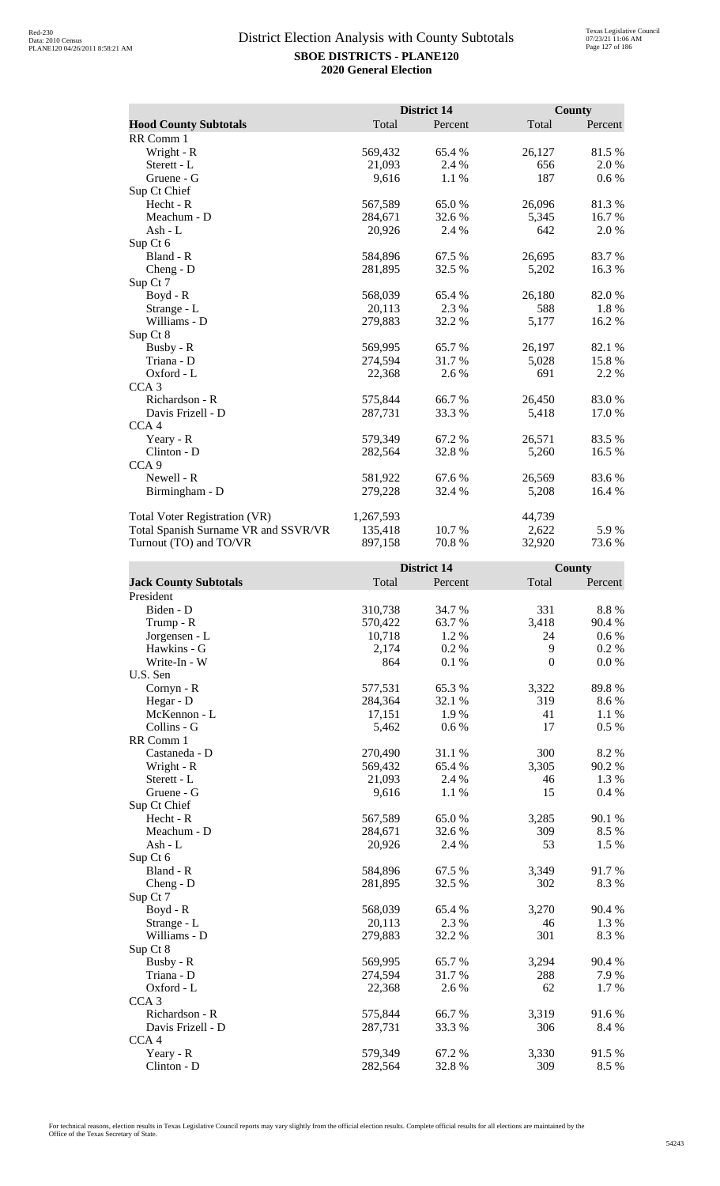|                                      |           | <b>District 14</b> |        | <b>County</b> |
|--------------------------------------|-----------|--------------------|--------|---------------|
| <b>Hood County Subtotals</b>         | Total     | Percent            | Total  | Percent       |
| RR Comm 1                            |           |                    |        |               |
| Wright - R                           | 569,432   | 65.4 %             | 26,127 | 81.5%         |
| Sterett - L                          | 21,093    | 2.4 %              | 656    | 2.0%          |
| Gruene - G                           | 9,616     | 1.1 %              | 187    | $0.6\%$       |
| Sup Ct Chief                         |           |                    |        |               |
| Hecht - R                            | 567,589   | 65.0%              | 26,096 | 81.3%         |
| Meachum - D                          | 284,671   | 32.6 %             | 5,345  | 16.7%         |
| Ash - L                              | 20,926    | 2.4 %              | 642    | 2.0 %         |
| Sup Ct 6                             |           |                    |        |               |
| Bland - R                            | 584,896   | 67.5 %             | 26,695 | 83.7 %        |
| $Cheng - D$                          | 281,895   | 32.5 %             | 5,202  | 16.3%         |
| Sup Ct 7                             |           |                    |        |               |
| Boyd - R                             | 568,039   | 65.4 %             | 26,180 | 82.0%         |
| Strange - L                          | 20,113    | 2.3 %              | 588    | 1.8%          |
| Williams - D                         | 279,883   | 32.2 %             | 5,177  | 16.2%         |
| Sup Ct 8                             |           |                    |        |               |
| Busby - R                            | 569,995   | 65.7 %             | 26,197 | 82.1 %        |
| Triana - D                           | 274,594   | 31.7 %             | 5,028  | 15.8%         |
| $Oxford - L$                         | 22,368    | 2.6 %              | 691    | 2.2 %         |
| CCA <sub>3</sub>                     |           |                    |        |               |
| Richardson - R                       | 575,844   | 66.7%              | 26,450 | 83.0%         |
| Davis Frizell - D                    | 287,731   | 33.3 %             | 5,418  | 17.0 %        |
| CCA <sub>4</sub>                     |           |                    |        |               |
| Yeary - R                            | 579,349   | 67.2 %             | 26,571 | 83.5 %        |
| Clinton - D                          | 282,564   | 32.8%              | 5,260  | 16.5 %        |
| CCA <sub>9</sub>                     |           |                    |        |               |
| Newell - R                           | 581,922   | 67.6 %             | 26,569 | 83.6%         |
| Birmingham - D                       | 279,228   | 32.4 %             | 5,208  | 16.4 %        |
| <b>Total Voter Registration (VR)</b> | 1,267,593 |                    | 44,739 |               |
| Total Spanish Surname VR and SSVR/VR | 135,418   | 10.7 %             | 2,622  | 5.9%          |
| Turnout (TO) and TO/VR               | 897,158   | 70.8%              | 32,920 | 73.6 %        |

|                              |         | <b>District 14</b> |          | <b>County</b> |
|------------------------------|---------|--------------------|----------|---------------|
| <b>Jack County Subtotals</b> | Total   | Percent            | Total    | Percent       |
| President                    |         |                    |          |               |
| Biden - D                    | 310,738 | 34.7%              | 331      | 8.8 %         |
| Trump - R                    | 570,422 | 63.7 %             | 3,418    | 90.4 %        |
| Jorgensen - L                | 10,718  | 1.2%               | 24       | $0.6\%$       |
| Hawkins - G                  | 2,174   | 0.2%               | 9        | 0.2 %         |
| Write-In - W                 | 864     | 0.1%               | $\theta$ | 0.0 %         |
| U.S. Sen                     |         |                    |          |               |
| Cornyn - R                   | 577,531 | 65.3%              | 3,322    | 89.8%         |
| Hegar - D                    | 284,364 | 32.1 %             | 319      | 8.6 %         |
| McKennon - L                 | 17,151  | 1.9%               | 41       | 1.1 %         |
| Collins - G                  | 5,462   | 0.6 %              | 17       | 0.5%          |
| RR Comm 1                    |         |                    |          |               |
| Castaneda - D                | 270,490 | 31.1 %             | 300      | 8.2%          |
| Wright - R                   | 569,432 | 65.4 %             | 3,305    | 90.2%         |
| Sterett - L                  | 21,093  | 2.4 %              | 46       | 1.3%          |
| Gruene - G                   | 9,616   | 1.1 %              | 15       | 0.4%          |
| Sup Ct Chief                 |         |                    |          |               |
| Hecht - R                    | 567,589 | 65.0%              | 3,285    | 90.1 %        |
| Meachum - D                  | 284,671 | 32.6%              | 309      | 8.5 %         |
| $Ash - L$                    | 20,926  | 2.4 %              | 53       | 1.5 %         |
| Sup Ct 6                     |         |                    |          |               |
| Bland - R                    | 584,896 | 67.5 %             | 3,349    | 91.7 %        |
| Cheng - D                    | 281,895 | 32.5 %             | 302      | 8.3%          |
| Sup Ct 7                     |         |                    |          |               |
| $Boyd - R$                   | 568,039 | 65.4%              | 3,270    | 90.4 %        |
| Strange - L                  | 20,113  | 2.3 %              | 46       | 1.3 %         |
| Williams - D                 | 279,883 | 32.2 %             | 301      | 8.3%          |
| Sup Ct 8                     |         |                    |          |               |
| Busby - R                    | 569,995 | 65.7%              | 3,294    | 90.4 %        |
| Triana - D                   | 274,594 | 31.7 %             | 288      | 7.9 %         |
| Oxford - L                   | 22,368  | 2.6 %              | 62       | 1.7%          |
| CCA <sub>3</sub>             |         |                    |          |               |
| Richardson - R               | 575,844 | 66.7%              | 3,319    | 91.6 %        |
| Davis Frizell - D            | 287,731 | 33.3 %             | 306      | 8.4 %         |
| CCA <sub>4</sub>             |         |                    |          |               |
| Yeary - R                    | 579,349 | 67.2%              | 3,330    | 91.5%         |
| Clinton - D                  | 282,564 | 32.8%              | 309      | 8.5%          |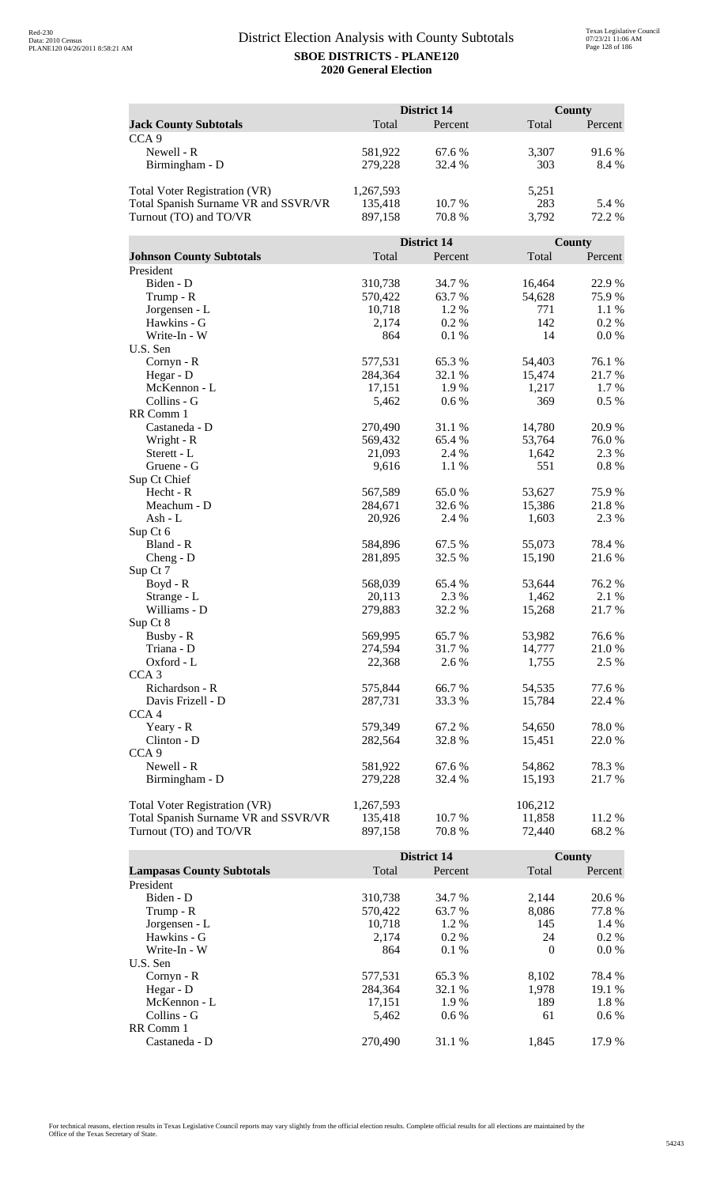|                                      |           | <b>District 14</b> |              | <b>County</b> |
|--------------------------------------|-----------|--------------------|--------------|---------------|
| <b>Jack County Subtotals</b>         | Total     | Percent            | Total        | Percent       |
| CCA <sub>9</sub>                     |           |                    |              |               |
| Newell - R                           | 581,922   | 67.6 %             | 3,307        | 91.6 %        |
| Birmingham - D                       | 279,228   | 32.4 %             | 303          | 8.4 %         |
|                                      |           |                    |              |               |
| <b>Total Voter Registration (VR)</b> | 1,267,593 |                    | 5,251        |               |
| Total Spanish Surname VR and SSVR/VR | 135,418   | 10.7 %             | 283          | 5.4 %         |
| Turnout (TO) and TO/VR               | 897,158   | 70.8%              | 3,792        | 72.2 %        |
|                                      |           |                    |              |               |
|                                      |           | District 14        |              | County        |
| <b>Johnson County Subtotals</b>      | Total     | Percent            | Total        | Percent       |
| President                            |           |                    |              |               |
| Biden - D                            | 310,738   | 34.7 %             | 16,464       | 22.9%         |
| Trump - R                            | 570,422   | 63.7%              | 54,628       | 75.9%         |
| Jorgensen - L                        | 10,718    | 1.2%               | 771          | 1.1 %         |
| Hawkins - G                          | 2,174     | 0.2 %              | 142          | 0.2%          |
| Write-In - W                         | 864       | 0.1%               | 14           | 0.0 %         |
| U.S. Sen                             |           |                    |              |               |
| Cornyn - R                           | 577,531   | 65.3%              | 54,403       | 76.1 %        |
| Hegar - D                            | 284,364   | 32.1 %             | 15,474       | 21.7%         |
| McKennon - L                         | 17,151    | 1.9%               | 1,217        | 1.7%          |
| Collins - G                          | 5,462     | 0.6 %              | 369          | $0.5\%$       |
| RR Comm 1                            |           |                    |              |               |
| Castaneda - D                        | 270,490   | 31.1 %             | 14,780       | 20.9%         |
| Wright - R                           | 569,432   | 65.4 %             | 53,764       | 76.0%         |
| Sterett - L                          | 21,093    | 2.4 %              | 1,642<br>551 | 2.3 %         |
| Gruene - G                           | 9,616     | 1.1 %              |              | 0.8%          |
| Sup Ct Chief<br>Hecht - R            | 567,589   | 65.0%              | 53,627       | 75.9%         |
| Meachum - D                          | 284,671   | 32.6 %             | 15,386       | 21.8%         |
| Ash - L                              | 20,926    | 2.4 %              | 1,603        | 2.3 %         |
| Sup Ct 6                             |           |                    |              |               |
| Bland - R                            | 584,896   | 67.5 %             | 55,073       | 78.4%         |
| $Cheng - D$                          | 281,895   | 32.5 %             | 15,190       | 21.6%         |
| Sup Ct 7                             |           |                    |              |               |
| $Boyd - R$                           | 568,039   | 65.4 %             | 53,644       | 76.2%         |
| Strange - L                          | 20,113    | 2.3 %              | 1,462        | 2.1 %         |
| Williams - D                         | 279,883   | 32.2 %             | 15,268       | 21.7%         |
| Sup Ct 8                             |           |                    |              |               |
| Busby - R                            | 569,995   | 65.7%              | 53,982       | 76.6%         |
| Triana - D                           | 274,594   | 31.7%              | 14,777       | 21.0%         |
| Oxford - L                           | 22,368    | 2.6 %              | 1,755        | 2.5 %         |
| CCA <sub>3</sub>                     |           |                    |              |               |
| Richardson - R                       | 575,844   | 66.7%              | 54,535       | 77.6 %        |
| Davis Frizell - D                    | 287,731   | 33.3 %             | 15,784       | 22.4 %        |
| CCA <sub>4</sub>                     |           |                    |              |               |
| Yeary - R                            | 579,349   | 67.2%              | 54,650       | 78.0%         |
| Clinton - D                          | 282,564   | 32.8%              | 15,451       | 22.0 %        |
| CCA <sub>9</sub>                     |           |                    |              |               |
| Newell - R                           | 581,922   | 67.6 %             | 54,862       | 78.3%         |
| Birmingham - D                       | 279,228   | 32.4 %             | 15,193       | 21.7%         |
|                                      |           |                    |              |               |
| <b>Total Voter Registration (VR)</b> | 1,267,593 |                    | 106,212      |               |
| Total Spanish Surname VR and SSVR/VR | 135,418   | 10.7 %             | 11,858       | 11.2 %        |
| Turnout (TO) and TO/VR               | 897,158   | 70.8 %             | 72,440       | 68.2%         |

|                                  |         | District 14 |          | <b>County</b> |
|----------------------------------|---------|-------------|----------|---------------|
| <b>Lampasas County Subtotals</b> | Total   | Percent     | Total    | Percent       |
| President                        |         |             |          |               |
| Biden - D                        | 310,738 | 34.7 %      | 2.144    | 20.6 %        |
| Trump - R                        | 570,422 | 63.7 %      | 8,086    | 77.8%         |
| Jorgensen - L                    | 10.718  | 1.2 %       | 145      | 1.4 %         |
| Hawkins - G                      | 2,174   | $0.2\%$     | 24       | $0.2\%$       |
| Write-In - W                     | 864     | $0.1\%$     | $\Omega$ | $0.0\%$       |
| U.S. Sen                         |         |             |          |               |
| $Cornyn - R$                     | 577,531 | 65.3 %      | 8,102    | 78.4 %        |
| Hegar - $D$                      | 284.364 | 32.1 %      | 1.978    | 19.1 %        |
| McKennon - L                     | 17,151  | 1.9%        | 189      | 1.8 %         |
| Collins - G                      | 5.462   | $0.6\%$     | 61       | $0.6\%$       |
| RR Comm 1                        |         |             |          |               |
| Castaneda - D                    | 270,490 | 31.1 %      | 1.845    | 17.9 %        |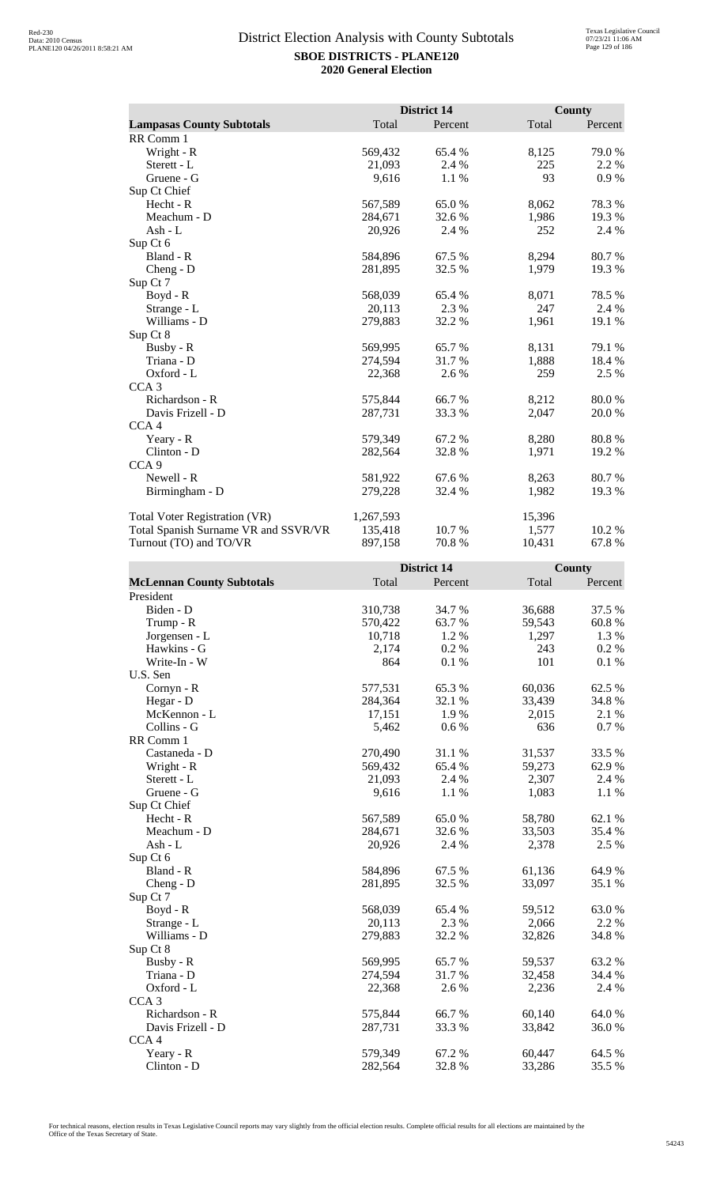|                                      |           | District 14 |        | <b>County</b> |
|--------------------------------------|-----------|-------------|--------|---------------|
| <b>Lampasas County Subtotals</b>     | Total     | Percent     | Total  | Percent       |
| RR Comm 1                            |           |             |        |               |
| Wright - R                           | 569,432   | 65.4 %      | 8,125  | 79.0%         |
| Sterett - L                          | 21,093    | 2.4 %       | 225    | 2.2 %         |
| Gruene - G                           | 9,616     | 1.1 %       | 93     | 0.9%          |
| Sup Ct Chief                         |           |             |        |               |
| Hecht - R                            | 567,589   | 65.0%       | 8,062  | 78.3%         |
| Meachum - D                          | 284,671   | 32.6 %      | 1,986  | 19.3 %        |
| Ash - L                              | 20,926    | 2.4 %       | 252    | 2.4 %         |
| Sup Ct 6                             |           |             |        |               |
| Bland - R                            | 584,896   | 67.5 %      | 8,294  | 80.7%         |
| $Cheng - D$                          | 281,895   | 32.5 %      | 1,979  | 19.3%         |
| Sup Ct 7                             |           |             |        |               |
| Boyd - R                             | 568,039   | 65.4 %      | 8,071  | 78.5 %        |
| Strange - L                          | 20,113    | 2.3 %       | 247    | 2.4 %         |
| Williams - D                         | 279,883   | 32.2 %      | 1,961  | 19.1 %        |
| Sup Ct 8                             |           |             |        |               |
| Busby - R                            | 569,995   | 65.7 %      | 8,131  | 79.1 %        |
| Triana - D                           | 274,594   | 31.7 %      | 1,888  | 18.4 %        |
| Oxford - L                           | 22,368    | 2.6 %       | 259    | 2.5 %         |
| CCA <sub>3</sub>                     |           |             |        |               |
| Richardson - R                       | 575,844   | 66.7%       | 8,212  | 80.0%         |
| Davis Frizell - D                    | 287,731   | 33.3 %      | 2,047  | 20.0 %        |
| CCA <sub>4</sub>                     |           |             |        |               |
| Yeary - R                            | 579,349   | 67.2 %      | 8,280  | 80.8%         |
| Clinton - D                          | 282,564   | 32.8%       | 1,971  | 19.2 %        |
| CCA <sub>9</sub>                     |           |             |        |               |
| Newell - R                           | 581,922   | 67.6 %      | 8,263  | 80.7 %        |
| Birmingham - D                       | 279,228   | 32.4 %      | 1,982  | 19.3 %        |
| <b>Total Voter Registration (VR)</b> | 1,267,593 |             | 15,396 |               |
| Total Spanish Surname VR and SSVR/VR | 135,418   | 10.7 %      | 1,577  | 10.2%         |
| Turnout (TO) and TO/VR               | 897,158   | 70.8%       | 10,431 | 67.8%         |

|                                  |         | District 14 |        | County   |
|----------------------------------|---------|-------------|--------|----------|
| <b>McLennan County Subtotals</b> | Total   | Percent     | Total  | Percent  |
| President                        |         |             |        |          |
| Biden - D                        | 310,738 | 34.7%       | 36,688 | 37.5 %   |
| Trump - R                        | 570,422 | 63.7%       | 59,543 | 60.8%    |
| Jorgensen - L                    | 10,718  | 1.2%        | 1,297  | 1.3 %    |
| Hawkins - G                      | 2,174   | 0.2%        | 243    | 0.2 %    |
| Write-In - W                     | 864     | 0.1%        | 101    | $0.1~\%$ |
| U.S. Sen                         |         |             |        |          |
| Cornyn - R                       | 577,531 | 65.3%       | 60,036 | 62.5 %   |
| Hegar - D                        | 284,364 | 32.1 %      | 33,439 | 34.8%    |
| McKennon - L                     | 17,151  | 1.9%        | 2,015  | 2.1 %    |
| Collins - G                      | 5,462   | 0.6 %       | 636    | 0.7 %    |
| RR Comm 1                        |         |             |        |          |
| Castaneda - D                    | 270,490 | 31.1 %      | 31,537 | 33.5 %   |
| Wright - R                       | 569,432 | 65.4%       | 59,273 | 62.9%    |
| Sterett - L                      | 21,093  | 2.4 %       | 2,307  | 2.4 %    |
| Gruene - G                       | 9,616   | 1.1 %       | 1,083  | 1.1 %    |
| Sup Ct Chief                     |         |             |        |          |
| Hecht - R                        | 567,589 | 65.0%       | 58,780 | 62.1 %   |
| Meachum - D                      | 284,671 | 32.6 %      | 33,503 | 35.4 %   |
| $Ash - L$                        | 20,926  | 2.4 %       | 2,378  | 2.5 %    |
| Sup Ct 6                         |         |             |        |          |
| Bland - R                        | 584,896 | 67.5 %      | 61,136 | 64.9%    |
| Cheng - D                        | 281,895 | 32.5 %      | 33,097 | 35.1 %   |
| Sup Ct 7                         |         |             |        |          |
| $Boyd - R$                       | 568,039 | 65.4%       | 59,512 | 63.0%    |
| Strange - L                      | 20,113  | 2.3 %       | 2,066  | 2.2 %    |
| Williams - D                     | 279,883 | 32.2 %      | 32,826 | 34.8%    |
| Sup Ct 8                         |         |             |        |          |
| Busby - R                        | 569,995 | 65.7%       | 59,537 | 63.2%    |
| Triana - D                       | 274,594 | 31.7%       | 32,458 | 34.4 %   |
| Oxford - L                       | 22,368  | 2.6 %       | 2,236  | 2.4 %    |
| CCA <sub>3</sub>                 |         |             |        |          |
| Richardson - R                   | 575,844 | 66.7%       | 60,140 | 64.0%    |
| Davis Frizell - D                | 287,731 | 33.3 %      | 33,842 | 36.0%    |
| CCA <sub>4</sub>                 |         |             |        |          |
| Yeary - R                        | 579,349 | 67.2%       | 60,447 | 64.5 %   |
| Clinton - D                      | 282,564 | 32.8%       | 33,286 | 35.5 %   |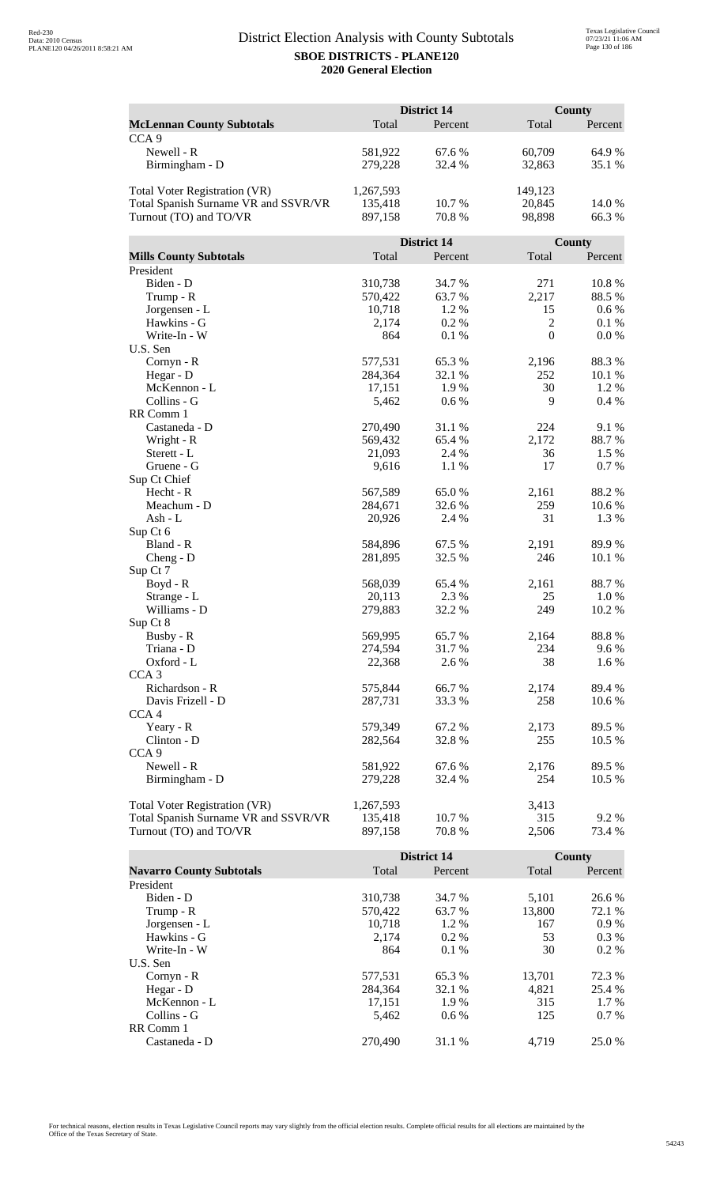|                                                                |                    | <b>District 14</b> |                | <b>County</b>   |
|----------------------------------------------------------------|--------------------|--------------------|----------------|-----------------|
| <b>McLennan County Subtotals</b>                               | Total              | Percent            | Total          | Percent         |
| CCA <sub>9</sub>                                               |                    |                    |                |                 |
| Newell - R                                                     | 581,922            | 67.6 %             | 60,709         | 64.9%           |
| Birmingham - D                                                 | 279,228            | 32.4 %             | 32,863         | 35.1 %          |
|                                                                |                    |                    |                |                 |
| Total Voter Registration (VR)                                  | 1,267,593          |                    | 149,123        |                 |
| Total Spanish Surname VR and SSVR/VR                           | 135,418            | 10.7 %             | 20,845         | 14.0 %          |
| Turnout (TO) and TO/VR                                         | 897,158            | 70.8 %             | 98,898         | 66.3%           |
|                                                                |                    |                    |                |                 |
|                                                                |                    | District 14        |                | County          |
| <b>Mills County Subtotals</b>                                  | Total              | Percent            | Total          | Percent         |
| President                                                      |                    |                    |                |                 |
| Biden - D                                                      | 310,738            | 34.7 %             | 271            | 10.8%           |
| Trump - R                                                      | 570,422            | 63.7%              | 2,217          | 88.5%           |
| Jorgensen - L                                                  | 10,718             | 1.2%               | 15             | 0.6 %           |
| Hawkins - G                                                    | 2,174              | 0.2 %              | $\mathfrak{2}$ | 0.1%            |
| Write-In - W                                                   | 864                | 0.1%               | $\mathbf{0}$   | 0.0 %           |
| U.S. Sen                                                       |                    |                    |                |                 |
| Cornyn - R                                                     | 577,531            | 65.3%              | 2,196          | 88.3%           |
| Hegar - D                                                      | 284,364            | 32.1 %             | 252            | 10.1 %          |
| McKennon - L                                                   | 17,151             | 1.9%               | 30             | 1.2 %           |
| Collins - G                                                    | 5,462              | 0.6 %              | 9              | 0.4%            |
| RR Comm 1                                                      |                    |                    |                |                 |
| Castaneda - D                                                  | 270,490            | 31.1 %             | 224            | 9.1%            |
| Wright - R<br>Sterett - L                                      | 569,432<br>21,093  | 65.4 %<br>2.4 %    | 2,172<br>36    | 88.7%<br>1.5 %  |
| Gruene - G                                                     | 9,616              |                    | 17             | 0.7%            |
| Sup Ct Chief                                                   |                    | 1.1 %              |                |                 |
| Hecht - R                                                      | 567,589            | 65.0%              | 2,161          | 88.2%           |
| Meachum - D                                                    | 284,671            | 32.6 %             | 259            | 10.6%           |
| Ash - L                                                        | 20,926             | 2.4 %              | 31             | 1.3 %           |
| Sup Ct 6                                                       |                    |                    |                |                 |
| Bland - R                                                      | 584,896            | 67.5 %             | 2,191          | 89.9%           |
| Cheng - D                                                      | 281,895            | 32.5 %             | 246            | 10.1 %          |
| Sup Ct 7                                                       |                    |                    |                |                 |
| $Boyd - R$                                                     | 568,039            | 65.4 %             | 2,161          | 88.7%           |
| Strange - L                                                    | 20,113             | 2.3 %              | 25             | 1.0 %           |
| Williams - D                                                   | 279,883            | 32.2 %             | 249            | 10.2 %          |
| Sup Ct 8                                                       |                    |                    |                |                 |
| Busby - R                                                      | 569,995            | 65.7%              | 2,164          | 88.8%           |
| Triana - D                                                     | 274,594            | 31.7%              | 234            | 9.6 %           |
| Oxford - L                                                     | 22,368             | 2.6 %              | 38             | 1.6 %           |
| CCA <sub>3</sub>                                               |                    |                    |                |                 |
| Richardson - R                                                 | 575,844            | 66.7%              | 2,174          | 89.4%           |
| Davis Frizell - D                                              | 287,731            | 33.3%              | 258            | 10.6 %          |
| CCA <sub>4</sub>                                               |                    |                    |                |                 |
| Yeary - R                                                      | 579,349            | 67.2%              | 2,173          | 89.5 %          |
| Clinton - D                                                    | 282,564            | 32.8%              | 255            | 10.5 %          |
| CCA <sub>9</sub>                                               |                    |                    |                |                 |
| Newell - R                                                     | 581,922            | 67.6 %             | 2,176          | 89.5 %          |
| Birmingham - D                                                 | 279,228            | 32.4 %             | 254            | 10.5 %          |
|                                                                |                    |                    |                |                 |
| Total Voter Registration (VR)                                  | 1,267,593          |                    | 3,413<br>315   |                 |
| Total Spanish Surname VR and SSVR/VR<br>Turnout (TO) and TO/VR | 135,418<br>897,158 | 10.7 %<br>70.8%    | 2,506          | 9.2 %<br>73.4 % |
|                                                                |                    |                    |                |                 |

|                                 |         | <b>District 14</b> |        | County  |
|---------------------------------|---------|--------------------|--------|---------|
| <b>Navarro County Subtotals</b> | Total   | Percent            | Total  | Percent |
| President                       |         |                    |        |         |
| Biden - D                       | 310,738 | 34.7 %             | 5,101  | 26.6 %  |
| Trump - R                       | 570,422 | 63.7 %             | 13.800 | 72.1 %  |
| Jorgensen - L                   | 10.718  | $1.2\%$            | 167    | 0.9%    |
| Hawkins - G                     | 2,174   | $0.2\%$            | 53     | $0.3\%$ |
| Write-In - W                    | 864     | $0.1\%$            | 30     | $0.2\%$ |
| U.S. Sen                        |         |                    |        |         |
| Cornyn - R                      | 577,531 | 65.3 %             | 13.701 | 72.3 %  |
| Hegar - $D$                     | 284,364 | 32.1 %             | 4.821  | 25.4 %  |
| McKennon - L                    | 17,151  | 1.9 %              | 315    | 1.7 %   |
| Collins - G                     | 5.462   | $0.6\%$            | 125    | $0.7\%$ |
| RR Comm 1                       |         |                    |        |         |
| Castaneda - D                   | 270,490 | 31.1 %             | 4.719  | 25.0 %  |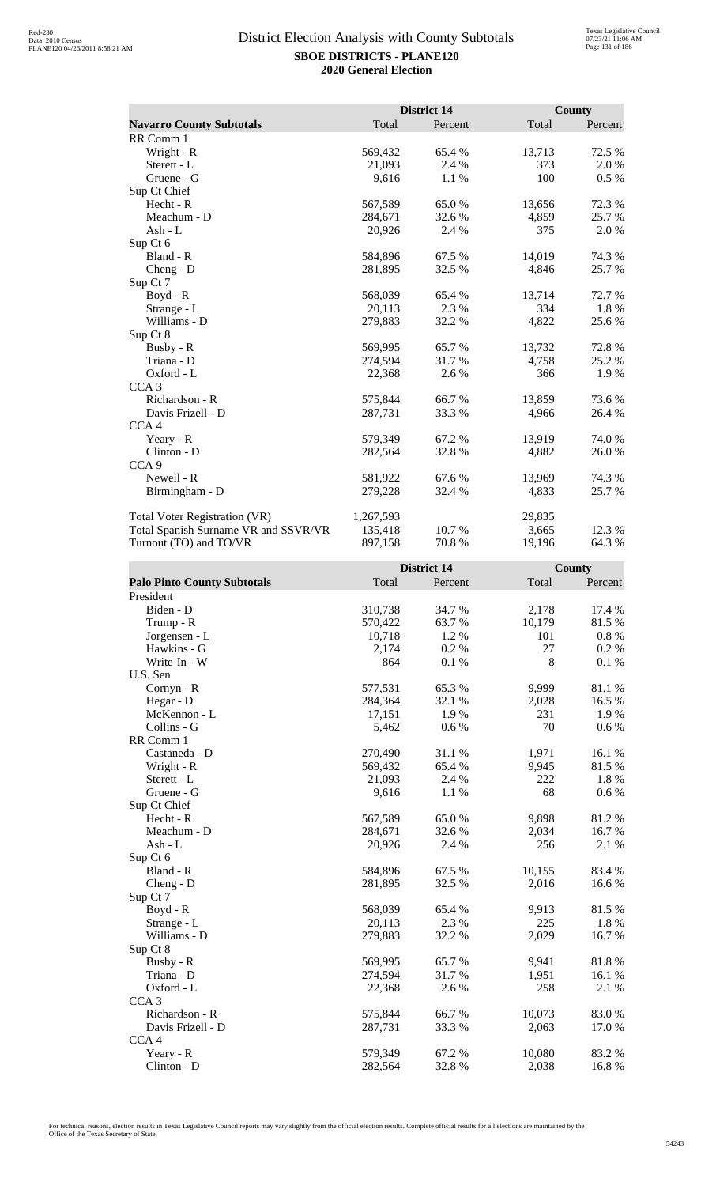|                                      |           | <b>District 14</b> |        | County  |
|--------------------------------------|-----------|--------------------|--------|---------|
| <b>Navarro County Subtotals</b>      | Total     | Percent            | Total  | Percent |
| RR Comm 1                            |           |                    |        |         |
| Wright - R                           | 569,432   | 65.4 %             | 13,713 | 72.5 %  |
| Sterett - L                          | 21,093    | 2.4 %              | 373    | 2.0%    |
| Gruene - G                           | 9,616     | 1.1 %              | 100    | $0.5\%$ |
| Sup Ct Chief                         |           |                    |        |         |
| Hecht - R                            | 567,589   | 65.0%              | 13,656 | 72.3 %  |
| Meachum - D                          | 284,671   | 32.6 %             | 4,859  | 25.7 %  |
| Ash - $L$                            | 20,926    | 2.4 %              | 375    | 2.0 %   |
| Sup Ct 6                             |           |                    |        |         |
| Bland - R                            | 584,896   | 67.5 %             | 14,019 | 74.3 %  |
| $Cheng - D$                          | 281,895   | 32.5 %             | 4,846  | 25.7%   |
| Sup Ct 7                             |           |                    |        |         |
| $Boyd - R$                           | 568,039   | 65.4 %             | 13,714 | 72.7 %  |
| Strange - L                          | 20,113    | 2.3 %              | 334    | 1.8%    |
| Williams - D                         | 279,883   | 32.2 %             | 4,822  | 25.6 %  |
| Sup Ct 8                             |           |                    |        |         |
| Busby - R                            | 569,995   | 65.7 %             | 13,732 | 72.8%   |
| Triana - D                           | 274,594   | 31.7 %             | 4,758  | 25.2 %  |
| Oxford - L                           | 22,368    | 2.6 %              | 366    | 1.9 %   |
| CCA <sub>3</sub>                     |           |                    |        |         |
| Richardson - R                       | 575,844   | 66.7%              | 13,859 | 73.6%   |
| Davis Frizell - D                    | 287,731   | 33.3 %             | 4,966  | 26.4 %  |
| CCA <sub>4</sub>                     |           |                    |        |         |
| Yeary - R                            | 579,349   | 67.2%              | 13,919 | 74.0%   |
| Clinton - D                          | 282,564   | 32.8%              | 4,882  | 26.0%   |
| CCA <sub>9</sub>                     |           |                    |        |         |
| Newell - R                           | 581,922   | 67.6 %             | 13,969 | 74.3 %  |
| Birmingham - D                       | 279,228   | 32.4 %             | 4,833  | 25.7 %  |
| <b>Total Voter Registration (VR)</b> | 1,267,593 |                    | 29,835 |         |
| Total Spanish Surname VR and SSVR/VR | 135,418   | 10.7 %             | 3,665  | 12.3 %  |
| Turnout (TO) and TO/VR               | 897,158   | 70.8%              | 19,196 | 64.3%   |

| <b>Palo Pinto County Subtotals</b><br>Total<br>Total<br>Percent<br>Percent<br>President<br>Biden - D<br>310,738<br>34.7%<br>2,178<br>17.4 %<br>81.5%<br>570,422<br>63.7%<br>10,179<br>Trump - R<br>101<br>0.8%<br>Jorgensen - L<br>10,718<br>1.2 %<br>27<br>0.2 %<br>Hawkins - G<br>0.2 %<br>2,174<br>8<br>0.1%<br>0.1 %<br>Write-In - W<br>864<br>U.S. Sen<br>577,531<br>65.3%<br>9,999<br>Cornyn - R<br>81.1%<br>32.1 %<br>16.5 %<br>Hegar - D<br>284,364<br>2,028<br>McKennon - L<br>1.9%<br>231<br>1.9%<br>17,151<br>70<br>Collins - G<br>5,462<br>0.6 %<br>$0.6\%$<br>RR Comm 1 |               |         | <b>District 14</b> |       | County |
|--------------------------------------------------------------------------------------------------------------------------------------------------------------------------------------------------------------------------------------------------------------------------------------------------------------------------------------------------------------------------------------------------------------------------------------------------------------------------------------------------------------------------------------------------------------------------------------|---------------|---------|--------------------|-------|--------|
|                                                                                                                                                                                                                                                                                                                                                                                                                                                                                                                                                                                      |               |         |                    |       |        |
|                                                                                                                                                                                                                                                                                                                                                                                                                                                                                                                                                                                      |               |         |                    |       |        |
|                                                                                                                                                                                                                                                                                                                                                                                                                                                                                                                                                                                      |               |         |                    |       |        |
|                                                                                                                                                                                                                                                                                                                                                                                                                                                                                                                                                                                      |               |         |                    |       |        |
|                                                                                                                                                                                                                                                                                                                                                                                                                                                                                                                                                                                      |               |         |                    |       |        |
|                                                                                                                                                                                                                                                                                                                                                                                                                                                                                                                                                                                      |               |         |                    |       |        |
|                                                                                                                                                                                                                                                                                                                                                                                                                                                                                                                                                                                      |               |         |                    |       |        |
|                                                                                                                                                                                                                                                                                                                                                                                                                                                                                                                                                                                      |               |         |                    |       |        |
|                                                                                                                                                                                                                                                                                                                                                                                                                                                                                                                                                                                      |               |         |                    |       |        |
|                                                                                                                                                                                                                                                                                                                                                                                                                                                                                                                                                                                      |               |         |                    |       |        |
|                                                                                                                                                                                                                                                                                                                                                                                                                                                                                                                                                                                      |               |         |                    |       |        |
|                                                                                                                                                                                                                                                                                                                                                                                                                                                                                                                                                                                      |               |         |                    |       |        |
|                                                                                                                                                                                                                                                                                                                                                                                                                                                                                                                                                                                      |               |         |                    |       |        |
|                                                                                                                                                                                                                                                                                                                                                                                                                                                                                                                                                                                      | Castaneda - D | 270,490 | 31.1 %             | 1,971 | 16.1%  |
| 81.5%<br>569,432<br>65.4%<br>9,945<br>Wright - R                                                                                                                                                                                                                                                                                                                                                                                                                                                                                                                                     |               |         |                    |       |        |
| 222<br>1.8%<br>Sterett - L<br>21,093<br>2.4 %                                                                                                                                                                                                                                                                                                                                                                                                                                                                                                                                        |               |         |                    |       |        |
| 68<br>Gruene - G<br>9,616<br>1.1%<br>0.6 %                                                                                                                                                                                                                                                                                                                                                                                                                                                                                                                                           |               |         |                    |       |        |
| Sup Ct Chief                                                                                                                                                                                                                                                                                                                                                                                                                                                                                                                                                                         |               |         |                    |       |        |
| 567,589<br>65.0%<br>9,898<br>81.2%<br>Hecht - R                                                                                                                                                                                                                                                                                                                                                                                                                                                                                                                                      |               |         |                    |       |        |
| Meachum - D<br>32.6%<br>16.7%<br>284,671<br>2,034                                                                                                                                                                                                                                                                                                                                                                                                                                                                                                                                    |               |         |                    |       |        |
| 256<br>$Ash - L$<br>20,926<br>2.4 %<br>2.1 %                                                                                                                                                                                                                                                                                                                                                                                                                                                                                                                                         |               |         |                    |       |        |
| Sup Ct 6                                                                                                                                                                                                                                                                                                                                                                                                                                                                                                                                                                             |               |         |                    |       |        |
| Bland - R<br>67.5 %<br>10,155<br>83.4 %<br>584,896                                                                                                                                                                                                                                                                                                                                                                                                                                                                                                                                   |               |         |                    |       |        |
| 281,895<br>32.5 %<br>2,016<br>16.6%<br>$Cheng - D$                                                                                                                                                                                                                                                                                                                                                                                                                                                                                                                                   |               |         |                    |       |        |
| Sup Ct 7                                                                                                                                                                                                                                                                                                                                                                                                                                                                                                                                                                             |               |         |                    |       |        |
| 81.5%<br>Boyd - R<br>568,039<br>65.4 %<br>9,913                                                                                                                                                                                                                                                                                                                                                                                                                                                                                                                                      |               |         |                    |       |        |
| 225<br>1.8%<br>Strange - L<br>20,113<br>2.3 %                                                                                                                                                                                                                                                                                                                                                                                                                                                                                                                                        |               |         |                    |       |        |
| Williams - D<br>279,883<br>32.2 %<br>2,029<br>16.7 %                                                                                                                                                                                                                                                                                                                                                                                                                                                                                                                                 |               |         |                    |       |        |
| Sup Ct 8                                                                                                                                                                                                                                                                                                                                                                                                                                                                                                                                                                             |               |         |                    |       |        |
| 65.7%<br>81.8%<br>Busby - R<br>569,995<br>9,941                                                                                                                                                                                                                                                                                                                                                                                                                                                                                                                                      |               |         |                    |       |        |
| 274,594<br>31.7%<br>Triana - D<br>1,951<br>16.1 %                                                                                                                                                                                                                                                                                                                                                                                                                                                                                                                                    |               |         |                    |       |        |
| 258<br>2.1 %<br>Oxford - L<br>22,368<br>2.6 %                                                                                                                                                                                                                                                                                                                                                                                                                                                                                                                                        |               |         |                    |       |        |
| CCA <sub>3</sub>                                                                                                                                                                                                                                                                                                                                                                                                                                                                                                                                                                     |               |         |                    |       |        |
| Richardson - R<br>10,073<br>83.0%<br>575,844<br>66.7%                                                                                                                                                                                                                                                                                                                                                                                                                                                                                                                                |               |         |                    |       |        |
| 33.3%<br>17.0%<br>Davis Frizell - D<br>287,731<br>2,063                                                                                                                                                                                                                                                                                                                                                                                                                                                                                                                              |               |         |                    |       |        |
| CCA4                                                                                                                                                                                                                                                                                                                                                                                                                                                                                                                                                                                 |               |         |                    |       |        |
| 83.2%<br>Yeary - R<br>579,349<br>67.2%<br>10,080                                                                                                                                                                                                                                                                                                                                                                                                                                                                                                                                     |               |         |                    |       |        |
| 32.8%<br>16.8%<br>Clinton - D<br>282,564<br>2,038                                                                                                                                                                                                                                                                                                                                                                                                                                                                                                                                    |               |         |                    |       |        |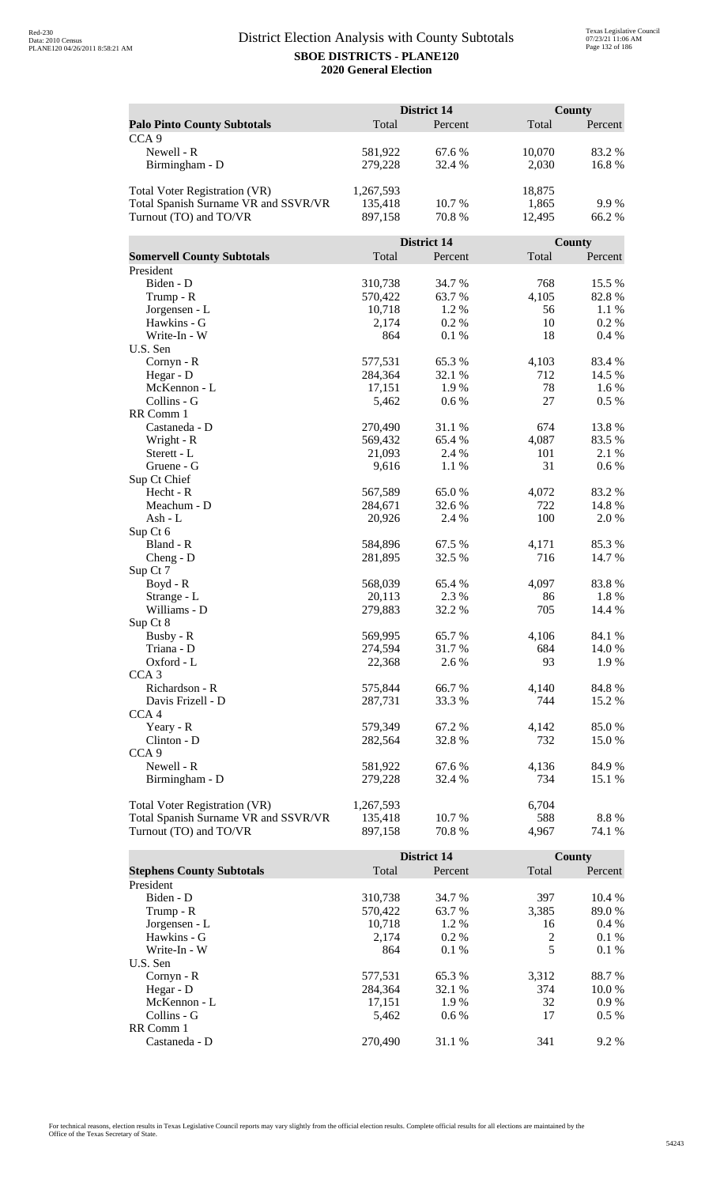|                                      |           | <b>District 14</b> |        | <b>County</b> |
|--------------------------------------|-----------|--------------------|--------|---------------|
| <b>Palo Pinto County Subtotals</b>   | Total     | Percent            | Total  | Percent       |
| CCA <sub>9</sub>                     |           |                    |        |               |
| Newell - R                           | 581,922   | 67.6 %             | 10,070 | 83.2%         |
| Birmingham - D                       | 279,228   | 32.4 %             | 2,030  | 16.8%         |
|                                      |           |                    |        |               |
| Total Voter Registration (VR)        | 1,267,593 |                    | 18,875 |               |
| Total Spanish Surname VR and SSVR/VR | 135,418   | 10.7 %             | 1,865  | 9.9%          |
| Turnout (TO) and TO/VR               | 897,158   | 70.8%              | 12,495 | 66.2%         |
|                                      |           |                    |        |               |
|                                      |           | District 14        |        | County        |
| <b>Somervell County Subtotals</b>    | Total     | Percent            | Total  | Percent       |
| President                            |           |                    |        |               |
| Biden - D                            | 310,738   | 34.7 %             | 768    | 15.5 %        |
| Trump - R                            | 570,422   | 63.7%              | 4,105  | 82.8%         |
| Jorgensen - L                        | 10,718    | 1.2%               | 56     | 1.1 %         |
| Hawkins - G                          | 2,174     | 0.2 %              | 10     | $0.2\%$       |
| Write-In - W                         | 864       | 0.1%               | 18     | 0.4%          |
| U.S. Sen                             |           |                    |        |               |
| Cornyn - R                           | 577,531   | 65.3%              | 4,103  | 83.4 %        |
| Hegar - D                            | 284,364   | 32.1 %             | 712    | 14.5 %        |
| McKennon - L                         | 17,151    | 1.9%               | 78     | 1.6 %         |
| Collins - G                          | 5,462     | 0.6 %              | 27     | $0.5\%$       |
| RR Comm 1                            |           |                    |        |               |
| Castaneda - D                        | 270,490   | 31.1 %             | 674    | 13.8%         |
| Wright - R                           | 569,432   | 65.4 %             | 4,087  | 83.5 %        |
| Sterett - L                          | 21,093    | 2.4 %              | 101    | 2.1 %         |
| Gruene - G                           | 9,616     | 1.1 %              | 31     | 0.6 %         |
| Sup Ct Chief                         |           |                    |        |               |
| Hecht - R                            | 567,589   | 65.0%              | 4,072  | 83.2%         |
| Meachum - D                          | 284,671   | 32.6 %             | 722    | 14.8%         |
| Ash - L                              | 20,926    | 2.4 %              | 100    | 2.0%          |
| Sup Ct 6<br>Bland - R                | 584,896   | 67.5 %             | 4,171  | 85.3%         |
| Cheng - D                            | 281,895   | 32.5 %             | 716    | 14.7 %        |
| Sup Ct 7                             |           |                    |        |               |
| $Boyd - R$                           | 568,039   | 65.4 %             | 4,097  | 83.8%         |
| Strange - L                          | 20,113    | 2.3 %              | 86     | 1.8%          |
| Williams - D                         | 279,883   | 32.2 %             | 705    | 14.4 %        |
| Sup Ct 8                             |           |                    |        |               |
| Busby - R                            | 569,995   | 65.7%              | 4,106  | 84.1 %        |
| Triana - D                           | 274,594   | 31.7%              | 684    | 14.0 %        |
| Oxford - L                           | 22,368    | 2.6 %              | 93     | 1.9 %         |
| CCA <sub>3</sub>                     |           |                    |        |               |
| Richardson - R                       | 575,844   | 66.7%              | 4,140  | 84.8%         |
| Davis Frizell - D                    | 287,731   | 33.3 %             | 744    | 15.2 %        |
| CCA <sub>4</sub>                     |           |                    |        |               |
| Yeary - R                            | 579,349   | 67.2%              | 4,142  | 85.0%         |
| Clinton - D                          | 282,564   | 32.8%              | 732    | 15.0 %        |
| CCA <sub>9</sub>                     |           |                    |        |               |
| Newell - R                           | 581,922   | 67.6 %             | 4,136  | 84.9%         |
| Birmingham - D                       | 279,228   | 32.4 %             | 734    | 15.1 %        |
|                                      |           |                    |        |               |
| Total Voter Registration (VR)        | 1,267,593 |                    | 6,704  |               |
| Total Spanish Surname VR and SSVR/VR | 135,418   | 10.7 %             | 588    | 8.8%          |
| Turnout (TO) and TO/VR               | 897,158   | 70.8 %             | 4,967  | 74.1 %        |

|                                  |         | <b>District 14</b> |       | County  |
|----------------------------------|---------|--------------------|-------|---------|
| <b>Stephens County Subtotals</b> | Total   | Percent            | Total | Percent |
| President                        |         |                    |       |         |
| Biden - D                        | 310,738 | 34.7 %             | 397   | 10.4 %  |
| Trump - R                        | 570,422 | 63.7 %             | 3,385 | 89.0 %  |
| Jorgensen - L                    | 10.718  | 1.2 %              | 16    | $0.4\%$ |
| Hawkins - G                      | 2,174   | $0.2\%$            | 2     | $0.1\%$ |
| Write-In - W                     | 864     | $0.1\%$            | 5     | 0.1%    |
| U.S. Sen                         |         |                    |       |         |
| $Cornyn - R$                     | 577,531 | 65.3 %             | 3,312 | 88.7 %  |
| Hegar - $D$                      | 284,364 | 32.1 %             | 374   | 10.0%   |
| McKennon - L                     | 17,151  | 1.9%               | 32    | $0.9\%$ |
| Collins - G                      | 5,462   | $0.6\%$            | 17    | $0.5\%$ |
| RR Comm 1                        |         |                    |       |         |
| Castaneda - D                    | 270,490 | 31.1 %             | 341   | $9.2\%$ |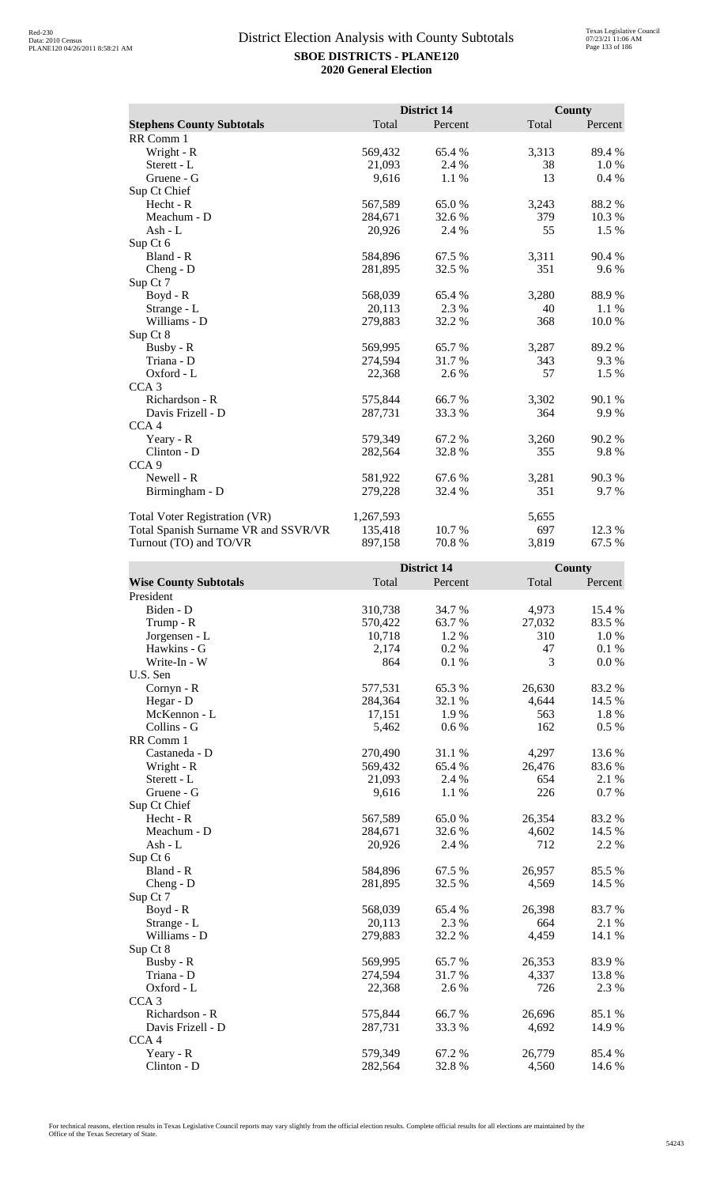|                                      |           | <b>District 14</b> |       | <b>County</b> |
|--------------------------------------|-----------|--------------------|-------|---------------|
| <b>Stephens County Subtotals</b>     | Total     | Percent            | Total | Percent       |
| RR Comm 1                            |           |                    |       |               |
| Wright - R                           | 569,432   | 65.4 %             | 3,313 | 89.4 %        |
| Sterett - L                          | 21,093    | 2.4 %              | 38    | 1.0%          |
| Gruene - G                           | 9,616     | 1.1 %              | 13    | 0.4%          |
| Sup Ct Chief                         |           |                    |       |               |
| $Hecht - R$                          | 567,589   | 65.0%              | 3,243 | 88.2%         |
| Meachum - D                          | 284,671   | 32.6 %             | 379   | 10.3%         |
| Ash - L                              | 20,926    | 2.4 %              | 55    | 1.5 %         |
| Sup Ct 6                             |           |                    |       |               |
| Bland - R                            | 584,896   | 67.5 %             | 3,311 | 90.4 %        |
| $Cheng - D$                          | 281,895   | 32.5 %             | 351   | 9.6%          |
| Sup Ct 7                             |           |                    |       |               |
| Boyd - R                             | 568,039   | 65.4 %             | 3,280 | 88.9%         |
| Strange - L                          | 20,113    | 2.3 %              | 40    | 1.1%          |
| Williams - D                         | 279,883   | 32.2 %             | 368   | 10.0%         |
| Sup Ct 8                             |           |                    |       |               |
| Busby - R                            | 569,995   | 65.7 %             | 3,287 | 89.2 %        |
| Triana - D                           | 274,594   | 31.7 %             | 343   | 9.3 %         |
| Oxford - L                           | 22,368    | 2.6 %              | 57    | 1.5 %         |
| CCA <sub>3</sub>                     |           |                    |       |               |
| Richardson - R                       | 575,844   | 66.7%              | 3,302 | 90.1 %        |
| Davis Frizell - D                    | 287,731   | 33.3 %             | 364   | 9.9%          |
| CCA <sub>4</sub>                     |           |                    |       |               |
| Yeary - R                            | 579,349   | 67.2%              | 3,260 | 90.2%         |
| Clinton - D                          | 282,564   | 32.8%              | 355   | 9.8%          |
| CCA <sub>9</sub>                     |           |                    |       |               |
| Newell - R                           | 581,922   | 67.6 %             | 3,281 | 90.3 %        |
| Birmingham - D                       | 279,228   | 32.4 %             | 351   | 9.7 %         |
| <b>Total Voter Registration (VR)</b> | 1,267,593 |                    | 5,655 |               |
| Total Spanish Surname VR and SSVR/VR | 135,418   | 10.7 %             | 697   | 12.3 %        |
| Turnout (TO) and TO/VR               | 897,158   | 70.8%              | 3,819 | 67.5 %        |

|                              |         | <b>District 14</b> |        | <b>County</b> |
|------------------------------|---------|--------------------|--------|---------------|
| <b>Wise County Subtotals</b> | Total   | Percent            | Total  | Percent       |
| President                    |         |                    |        |               |
| Biden - D                    | 310,738 | 34.7 %             | 4,973  | 15.4 %        |
| Trump - R                    | 570,422 | 63.7%              | 27,032 | 83.5%         |
| Jorgensen - L                | 10,718  | 1.2 %              | 310    | 1.0%          |
| Hawkins - G                  | 2,174   | 0.2%               | 47     | 0.1%          |
| Write-In - W                 | 864     | 0.1 %              | 3      | 0.0 %         |
| U.S. Sen                     |         |                    |        |               |
| Cornyn - R                   | 577,531 | 65.3%              | 26,630 | 83.2%         |
| Hegar - D                    | 284,364 | 32.1 %             | 4,644  | 14.5 %        |
| McKennon - L                 | 17,151  | 1.9%               | 563    | 1.8 %         |
| Collins - G                  | 5,462   | 0.6 %              | 162    | 0.5 %         |
| RR Comm 1                    |         |                    |        |               |
| Castaneda - D                | 270,490 | 31.1 %             | 4,297  | 13.6 %        |
| Wright - R                   | 569,432 | 65.4 %             | 26,476 | 83.6%         |
| Sterett - L                  | 21,093  | 2.4 %              | 654    | 2.1 %         |
| Gruene - G                   | 9,616   | 1.1 %              | 226    | 0.7 %         |
| Sup Ct Chief                 |         |                    |        |               |
| Hecht - R                    | 567,589 | 65.0%              | 26,354 | 83.2%         |
| Meachum - D                  | 284,671 | 32.6%              | 4,602  | 14.5 %        |
| $Ash - L$                    | 20,926  | 2.4 %              | 712    | 2.2 %         |
| Sup Ct 6                     |         |                    |        |               |
| Bland - R                    | 584,896 | 67.5 %             | 26,957 | 85.5%         |
| $Cheng - D$                  | 281,895 | 32.5 %             | 4,569  | 14.5 %        |
| Sup Ct 7                     |         |                    |        |               |
| $Boyd - R$                   | 568,039 | 65.4 %             | 26,398 | 83.7%         |
| Strange - L                  | 20,113  | 2.3 %              | 664    | 2.1 %         |
| Williams - D                 | 279,883 | 32.2 %             | 4,459  | 14.1 %        |
| Sup Ct 8                     |         |                    |        |               |
| Busby - R                    | 569,995 | 65.7%              | 26,353 | 83.9%         |
| Triana - D                   | 274,594 | 31.7%              | 4,337  | 13.8 %        |
| Oxford - L                   | 22,368  | 2.6 %              | 726    | 2.3 %         |
| CCA <sub>3</sub>             |         |                    |        |               |
| Richardson - R               | 575,844 | 66.7%              | 26,696 | 85.1 %        |
| Davis Frizell - D            | 287,731 | 33.3 %             | 4,692  | 14.9 %        |
| CCA <sub>4</sub>             |         |                    |        |               |
| Yeary - R                    | 579,349 | 67.2%              | 26,779 | 85.4%         |
| Clinton - D                  | 282,564 | 32.8%              | 4,560  | 14.6 %        |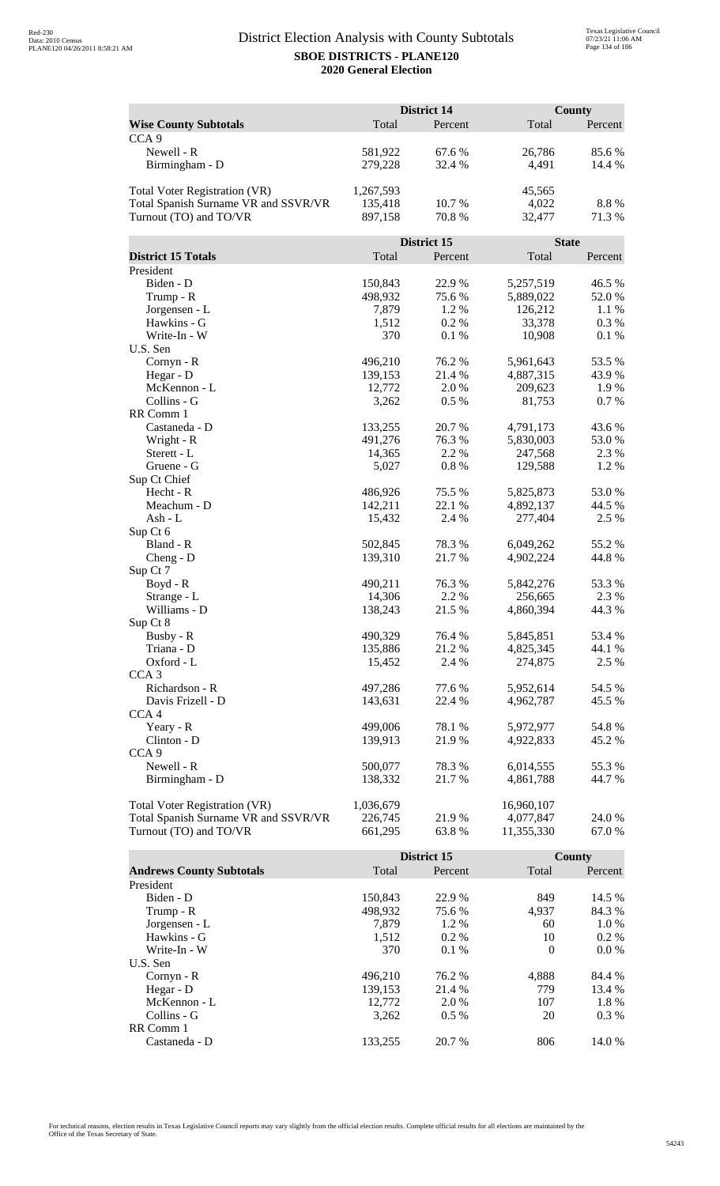|                                      |           | <b>District 14</b> |              | <b>County</b>    |
|--------------------------------------|-----------|--------------------|--------------|------------------|
| <b>Wise County Subtotals</b>         | Total     | Percent            | Total        | Percent          |
| CCA <sub>9</sub>                     |           |                    |              |                  |
| Newell - R                           | 581,922   | 67.6 %             | 26,786       | 85.6 %           |
| Birmingham - D                       | 279,228   | 32.4 %             | 4,491        | 14.4 %           |
|                                      |           |                    |              |                  |
| Total Voter Registration (VR)        | 1,267,593 |                    | 45,565       |                  |
| Total Spanish Surname VR and SSVR/VR | 135,418   | 10.7 %             | 4,022        | 8.8%             |
| Turnout (TO) and TO/VR               | 897,158   | 70.8 %             | 32,477       | 71.3 %           |
|                                      |           |                    |              |                  |
|                                      |           | <b>District 15</b> | <b>State</b> |                  |
| <b>District 15 Totals</b>            | Total     | Percent            | Total        | Percent          |
| President                            |           |                    |              |                  |
| Biden - D                            | 150,843   | 22.9%              | 5,257,519    | 46.5 %           |
| Trump - R                            | 498,932   | 75.6 %             | 5,889,022    | 52.0%            |
| Jorgensen - L                        | 7,879     | 1.2 %              | 126,212      | 1.1%             |
| Hawkins - G                          | 1,512     | 0.2 %              | 33,378       | 0.3 %            |
| Write-In - W                         | 370       | 0.1 %              | 10,908       | 0.1%             |
| U.S. Sen                             |           |                    |              |                  |
| Cornyn - R                           | 496,210   | 76.2 %             | 5,961,643    | 53.5 %           |
| Hegar - D                            | 139,153   | 21.4 %             | 4,887,315    | 43.9%            |
| McKennon - L                         | 12,772    | 2.0 %              | 209,623      | 1.9 %            |
| Collins - G                          | 3,262     | 0.5 %              | 81,753       | 0.7%             |
| RR Comm 1                            |           |                    |              |                  |
| Castaneda - D                        | 133,255   | 20.7%              | 4,791,173    | 43.6 %           |
| Wright - R                           | 491,276   | 76.3%              | 5,830,003    | 53.0 %           |
| Sterett - L                          | 14,365    | 2.2 %              | 247,568      | 2.3 %            |
| Gruene - G                           | 5,027     | 0.8%               | 129,588      | 1.2%             |
| Sup Ct Chief                         |           |                    |              |                  |
| Hecht - R                            | 486,926   | 75.5 %             | 5,825,873    | 53.0%            |
| Meachum - D                          | 142,211   | 22.1 %             | 4,892,137    | 44.5 %           |
| $Ash - L$                            | 15,432    | 2.4 %              | 277,404      | 2.5 %            |
| Sup Ct 6                             |           |                    |              |                  |
| Bland - R                            | 502,845   | 78.3%              | 6,049,262    | 55.2 %           |
| $Cheng - D$                          | 139,310   | 21.7%              | 4,902,224    | 44.8%            |
| Sup Ct 7                             |           |                    |              |                  |
| Boyd - R                             | 490,211   | 76.3 %             | 5,842,276    | 53.3 %           |
| Strange - L                          | 14,306    | 2.2 %              | 256,665      | 2.3 %            |
| Williams - D                         | 138,243   | 21.5 %             | 4,860,394    | 44.3 %           |
| Sup Ct 8                             | 490,329   |                    | 5,845,851    |                  |
| Busby - R<br>Triana - D              | 135,886   | 76.4 %<br>21.2%    | 4,825,345    | 53.4 %<br>44.1 % |
| Oxford - L                           | 15,452    | 2.4 %              | 274,875      | 2.5 %            |
| CCA <sub>3</sub>                     |           |                    |              |                  |
| Richardson - R                       | 497,286   | 77.6 %             | 5,952,614    | 54.5 %           |
| Davis Frizell - D                    | 143,631   | 22.4 %             | 4,962,787    | 45.5 %           |
| CCA <sub>4</sub>                     |           |                    |              |                  |
| Yeary - R                            | 499,006   | 78.1 %             | 5,972,977    | 54.8%            |
| Clinton - D                          | 139,913   | 21.9%              | 4,922,833    | 45.2 %           |
| CCA <sub>9</sub>                     |           |                    |              |                  |
| Newell - R                           | 500,077   | 78.3%              | 6,014,555    | 55.3 %           |
| Birmingham - D                       | 138,332   | 21.7 %             | 4,861,788    | 44.7 %           |
|                                      |           |                    |              |                  |
| <b>Total Voter Registration (VR)</b> | 1,036,679 |                    | 16,960,107   |                  |
| Total Spanish Surname VR and SSVR/VR | 226,745   | 21.9 %             | 4,077,847    | 24.0 %           |
| Turnout (TO) and TO/VR               | 661,295   | 63.8%              | 11,355,330   | 67.0 %           |

|                                 |         | District 15 |          | County  |
|---------------------------------|---------|-------------|----------|---------|
| <b>Andrews County Subtotals</b> | Total   | Percent     | Total    | Percent |
| President                       |         |             |          |         |
| Biden - D                       | 150.843 | 22.9 %      | 849      | 14.5 %  |
| Trump - R                       | 498,932 | 75.6 %      | 4,937    | 84.3 %  |
| Jorgensen - L                   | 7.879   | $1.2\%$     | 60       | 1.0 %   |
| Hawkins - G                     | 1,512   | $0.2\%$     | 10       | $0.2\%$ |
| Write-In - W                    | 370     | $0.1\%$     | $\Omega$ | $0.0\%$ |
| U.S. Sen                        |         |             |          |         |
| Cornyn - R                      | 496.210 | 76.2 %      | 4.888    | 84.4 %  |
| Hegar - $D$                     | 139,153 | 21.4 %      | 779      | 13.4 %  |
| McKennon - L                    | 12,772  | 2.0 %       | 107      | 1.8%    |
| Collins - G                     | 3,262   | $0.5\%$     | 20       | $0.3\%$ |
| RR Comm 1                       |         |             |          |         |
| Castaneda - D                   | 133.255 | 20.7 %      | 806      | 14.0 %  |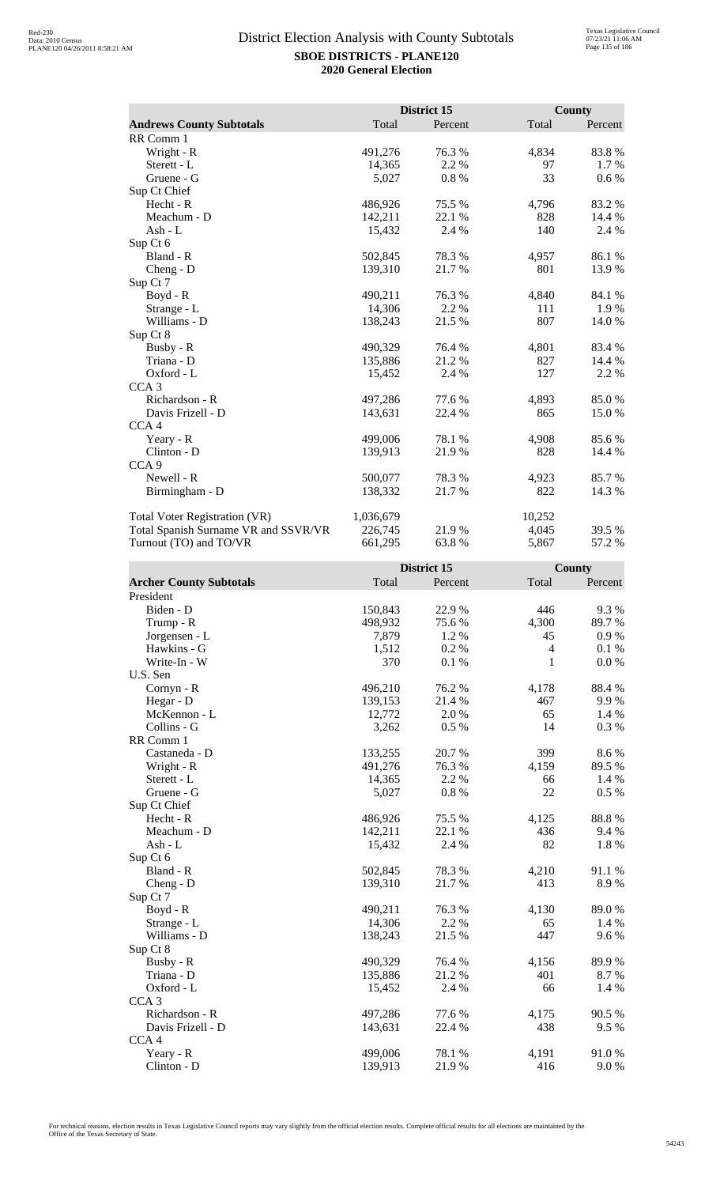|                                      |           | District 15 |        | <b>County</b> |
|--------------------------------------|-----------|-------------|--------|---------------|
| <b>Andrews County Subtotals</b>      | Total     | Percent     | Total  | Percent       |
| RR Comm 1                            |           |             |        |               |
| Wright - R                           | 491,276   | 76.3%       | 4,834  | 83.8%         |
| Sterett - L                          | 14,365    | 2.2 %       | 97     | 1.7 %         |
| Gruene - G                           | 5,027     | 0.8 %       | 33     | 0.6 %         |
| Sup Ct Chief                         |           |             |        |               |
| Hecht - R                            | 486,926   | 75.5 %      | 4,796  | 83.2%         |
| Meachum - D                          | 142,211   | 22.1 %      | 828    | 14.4 %        |
| Ash - L                              | 15,432    | 2.4 %       | 140    | 2.4 %         |
| Sup Ct 6                             |           |             |        |               |
| Bland - R                            | 502,845   | 78.3%       | 4,957  | 86.1%         |
| Cheng - D                            | 139,310   | 21.7%       | 801    | 13.9%         |
| Sup Ct 7                             |           |             |        |               |
| Boyd - R                             | 490,211   | 76.3%       | 4,840  | 84.1 %        |
| Strange - L                          | 14,306    | 2.2 %       | 111    | 1.9%          |
| Williams - D                         | 138,243   | 21.5 %      | 807    | 14.0 %        |
| Sup Ct 8                             |           |             |        |               |
| Busby - R                            | 490,329   | 76.4%       | 4,801  | 83.4 %        |
| Triana - D                           | 135,886   | 21.2%       | 827    | 14.4 %        |
| Oxford - L                           | 15,452    | 2.4 %       | 127    | 2.2 %         |
| CCA <sub>3</sub>                     |           |             |        |               |
| Richardson - R                       | 497,286   | 77.6 %      | 4,893  | 85.0%         |
| Davis Frizell - D                    | 143,631   | 22.4 %      | 865    | 15.0 %        |
| CCA <sub>4</sub>                     |           |             |        |               |
| Yeary - R                            | 499,006   | 78.1 %      | 4,908  | 85.6%         |
| Clinton - D                          | 139,913   | 21.9%       | 828    | 14.4 %        |
| CCA <sub>9</sub>                     |           |             |        |               |
| Newell - R                           | 500,077   | 78.3%       | 4,923  | 85.7%         |
| Birmingham - D                       | 138,332   | 21.7 %      | 822    | 14.3 %        |
| Total Voter Registration (VR)        | 1,036,679 |             | 10,252 |               |
| Total Spanish Surname VR and SSVR/VR | 226,745   | 21.9%       | 4,045  | 39.5 %        |
| Turnout (TO) and TO/VR               | 661,295   | 63.8%       | 5,867  | 57.2 %        |

|                                |         | District 15 |                | County  |
|--------------------------------|---------|-------------|----------------|---------|
| <b>Archer County Subtotals</b> | Total   | Percent     | Total          | Percent |
| President                      |         |             |                |         |
| Biden - D                      | 150,843 | 22.9 %      | 446            | 9.3%    |
| Trump - R                      | 498,932 | 75.6%       | 4,300          | 89.7%   |
| Jorgensen - L                  | 7,879   | 1.2 %       | 45             | 0.9%    |
| Hawkins - G                    | 1,512   | 0.2%        | $\overline{4}$ | 0.1%    |
| Write-In - W                   | 370     | 0.1 %       | $\mathbf{1}$   | 0.0 %   |
| U.S. Sen                       |         |             |                |         |
| Cornyn - R                     | 496,210 | 76.2%       | 4,178          | 88.4%   |
| Hegar - D                      | 139,153 | 21.4 %      | 467            | 9.9%    |
| McKennon - L                   | 12,772  | 2.0 %       | 65             | 1.4 %   |
| Collins - G                    | 3,262   | 0.5%        | 14             | 0.3 %   |
| RR Comm 1                      |         |             |                |         |
| Castaneda - D                  | 133,255 | 20.7%       | 399            | 8.6%    |
| Wright - R                     | 491,276 | 76.3%       | 4,159          | 89.5 %  |
| Sterett - L                    | 14,365  | 2.2 %       | 66             | 1.4 %   |
| Gruene - G                     | 5,027   | 0.8%        | 22             | $0.5\%$ |
| Sup Ct Chief                   |         |             |                |         |
| $Hecht - R$                    | 486,926 | 75.5 %      | 4,125          | 88.8%   |
| Meachum - D                    | 142,211 | 22.1 %      | 436            | 9.4 %   |
| Ash - L                        | 15,432  | 2.4 %       | 82             | 1.8 %   |
| Sup Ct 6                       |         |             |                |         |
| Bland - R                      | 502,845 | 78.3%       | 4,210          | 91.1%   |
| $Cheng - D$                    | 139,310 | 21.7%       | 413            | 8.9%    |
| Sup Ct 7                       |         |             |                |         |
| Boyd - R                       | 490,211 | 76.3%       | 4,130          | 89.0%   |
| Strange - L                    | 14,306  | 2.2 %       | 65             | 1.4 %   |
| Williams - D                   | 138,243 | 21.5 %      | 447            | 9.6%    |
| Sup Ct 8                       |         |             |                |         |
| Busby - R                      | 490,329 | 76.4 %      | 4,156          | 89.9%   |
| Triana - D                     | 135,886 | 21.2%       | 401            | 8.7%    |
| Oxford - L                     | 15,452  | 2.4 %       | 66             | 1.4 %   |
| CCA <sub>3</sub>               |         |             |                |         |
| Richardson - R                 | 497,286 | 77.6 %      | 4,175          | 90.5 %  |
| Davis Frizell - D              | 143,631 | 22.4 %      | 438            | 9.5%    |
| CCA <sub>4</sub>               |         |             |                |         |
| Yeary - R                      | 499,006 | 78.1 %      | 4,191          | 91.0%   |
| Clinton - D                    | 139,913 | 21.9%       | 416            | 9.0%    |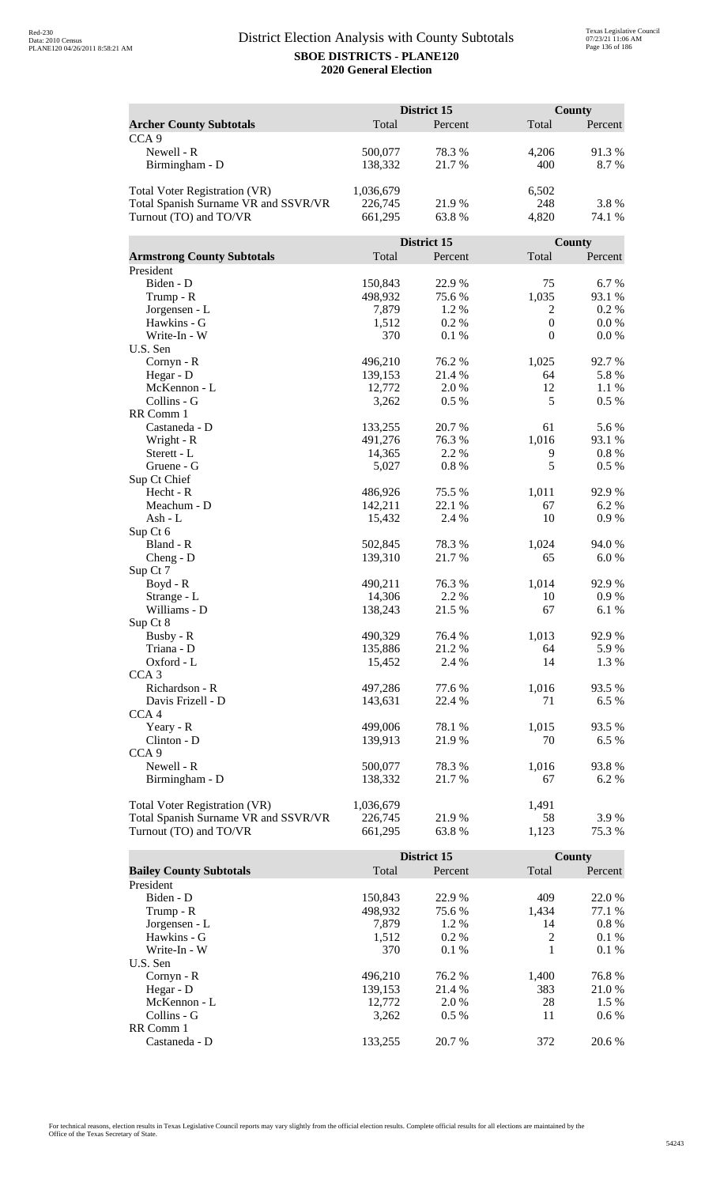|                                      |           | District 15      |                  | <b>County</b> |
|--------------------------------------|-----------|------------------|------------------|---------------|
| <b>Archer County Subtotals</b>       | Total     | Percent          | Total            | Percent       |
| CCA <sub>9</sub>                     |           |                  |                  |               |
| Newell - R                           | 500,077   | 78.3%            | 4,206            | 91.3%         |
| Birmingham - D                       | 138,332   | 21.7%            | 400              | 8.7%          |
|                                      |           |                  |                  |               |
| Total Voter Registration (VR)        | 1,036,679 |                  | 6,502            |               |
| Total Spanish Surname VR and SSVR/VR | 226,745   | 21.9%            | 248              | 3.8%          |
| Turnout (TO) and TO/VR               | 661,295   | 63.8%            | 4,820            | 74.1 %        |
|                                      |           |                  |                  |               |
|                                      |           | District 15      |                  | County        |
| <b>Armstrong County Subtotals</b>    | Total     | Percent          | Total            | Percent       |
| President                            |           |                  |                  |               |
| Biden - D                            | 150,843   | 22.9%            | 75               | 6.7 %         |
| Trump - R                            | 498,932   | 75.6 %           | 1,035            | 93.1 %        |
| Jorgensen - L                        | 7,879     | 1.2 %            | 2                | 0.2 %         |
| Hawkins - G                          | 1,512     | 0.2 %            | $\boldsymbol{0}$ | $0.0\%$       |
| Write-In - W                         | 370       | 0.1%             | $\boldsymbol{0}$ | 0.0 %         |
| U.S. Sen                             |           |                  |                  |               |
| Cornyn - R                           | 496,210   | 76.2 %           | 1,025            | 92.7 %        |
| Hegar - D                            | 139,153   | 21.4 %           | 64               | 5.8 %         |
| McKennon - L                         | 12,772    | 2.0%             | 12               | 1.1%          |
| Collins - G                          | 3,262     | 0.5 %            | 5                | 0.5 %         |
| RR Comm 1                            |           |                  |                  |               |
| Castaneda - D                        | 133,255   | 20.7%            | 61               | 5.6%          |
| Wright - R                           | 491,276   | 76.3%            | 1,016            | 93.1 %        |
| Sterett - L                          | 14,365    | 2.2 %            | 9                | 0.8 %         |
| Gruene - G                           | 5,027     | 0.8%             | 5                | 0.5 %         |
| Sup Ct Chief                         |           |                  |                  |               |
| Hecht - R                            | 486,926   | 75.5 %           | 1,011            | 92.9%         |
| Meachum - D                          | 142,211   | 22.1 %           | 67               | 6.2 %         |
| Ash - L                              | 15,432    | 2.4 %            | 10               | 0.9%          |
| Sup Ct 6                             |           |                  |                  |               |
| Bland - R                            | 502,845   | 78.3%            | 1,024            | 94.0%         |
| $Cheng - D$                          | 139,310   | 21.7%            | 65               | 6.0%          |
| Sup Ct 7                             |           |                  |                  |               |
| $Boyd - R$                           | 490,211   | 76.3%            | 1,014            | 92.9%         |
| Strange - L                          | 14,306    | 2.2 %            | 10               | 0.9 %         |
| Williams - D                         | 138,243   | 21.5 %           | 67               | 6.1%          |
| Sup Ct 8                             |           |                  |                  |               |
| Busby - R                            | 490,329   | 76.4 %           | 1,013            | 92.9%         |
| Triana - D                           | 135,886   | 21.2%            | 64               | 5.9%          |
| Oxford - L                           | 15,452    | 2.4 %            | 14               | 1.3 %         |
| CCA <sub>3</sub>                     |           |                  |                  |               |
| Richardson - R                       | 497,286   | 77.6 %<br>22.4 % | 1,016            | 93.5 %        |
| Davis Frizell - D                    | 143,631   |                  | 71               | 6.5 %         |
| CCA <sub>4</sub>                     | 499,006   |                  |                  |               |
| Yeary - R<br>Clinton - D             | 139,913   | 78.1 %<br>21.9%  | 1,015<br>70      | 93.5 %        |
| CCA <sub>9</sub>                     |           |                  |                  | 6.5%          |
| Newell - R                           | 500,077   | 78.3%            | 1,016            | 93.8%         |
| Birmingham - D                       | 138,332   | 21.7 %           | 67               | 6.2 %         |
|                                      |           |                  |                  |               |
| <b>Total Voter Registration (VR)</b> | 1,036,679 |                  | 1,491            |               |
| Total Spanish Surname VR and SSVR/VR | 226,745   | 21.9 %           | 58               | 3.9 %         |
| Turnout (TO) and TO/VR               | 661,295   | 63.8%            | 1,123            | 75.3 %        |
|                                      |           |                  |                  |               |

|                                |         | District 15 |       | County  |
|--------------------------------|---------|-------------|-------|---------|
| <b>Bailey County Subtotals</b> | Total   | Percent     | Total | Percent |
| President                      |         |             |       |         |
| Biden - D                      | 150.843 | 22.9 %      | 409   | 22.0 %  |
| Trump - R                      | 498,932 | 75.6 %      | 1.434 | 77.1 %  |
| Jorgensen - L                  | 7.879   | 1.2 %       | 14    | $0.8\%$ |
| Hawkins - G                    | 1,512   | $0.2\%$     | 2     | $0.1\%$ |
| Write-In - W                   | 370     | $0.1\%$     |       | $0.1\%$ |
| U.S. Sen                       |         |             |       |         |
| Cornyn - R                     | 496.210 | 76.2 %      | 1,400 | 76.8%   |
| Hegar - $D$                    | 139.153 | 21.4 %      | 383   | 21.0 %  |
| McKennon - L                   | 12,772  | 2.0 %       | 28    | $1.5\%$ |
| Collins - G                    | 3.262   | $0.5\%$     | 11    | $0.6\%$ |
| RR Comm 1                      |         |             |       |         |
| Castaneda - D                  | 133.255 | 20.7 %      | 372   | 20.6 %  |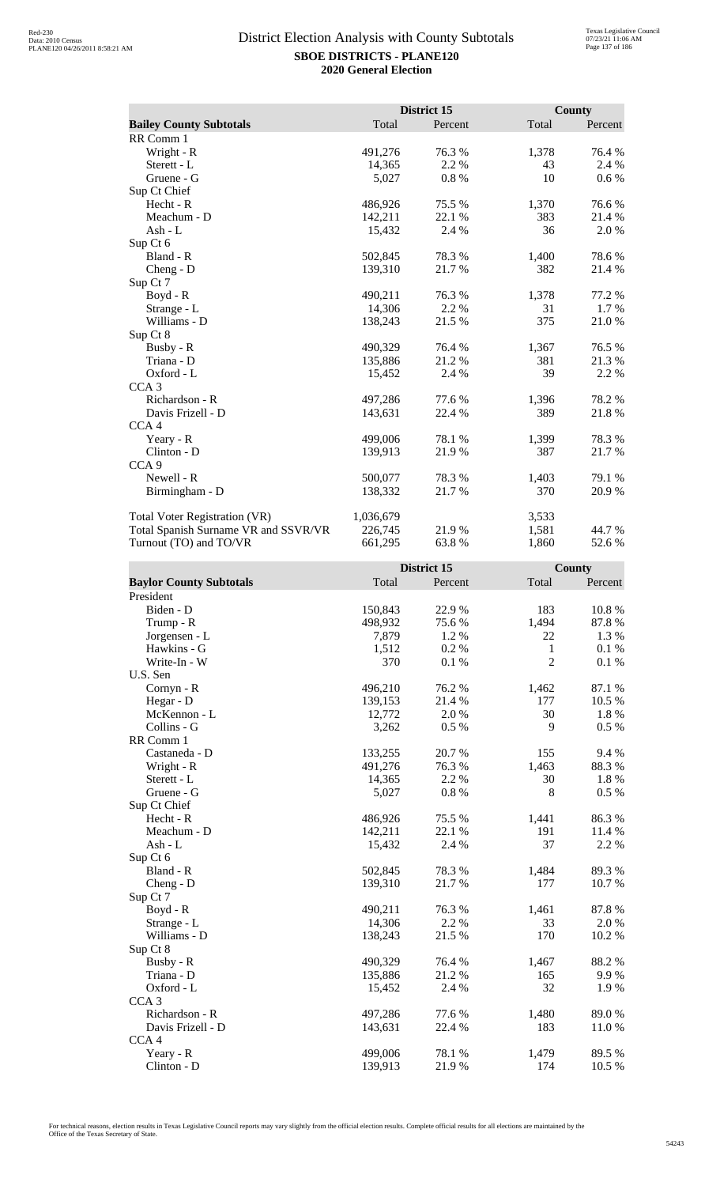|                                      |           | District 15 |       | <b>County</b> |
|--------------------------------------|-----------|-------------|-------|---------------|
| <b>Bailey County Subtotals</b>       | Total     | Percent     | Total | Percent       |
| RR Comm 1                            |           |             |       |               |
| Wright - R                           | 491,276   | 76.3 %      | 1,378 | 76.4 %        |
| Sterett - L                          | 14,365    | 2.2 %       | 43    | 2.4 %         |
| Gruene - G                           | 5,027     | 0.8%        | 10    | 0.6 %         |
| Sup Ct Chief                         |           |             |       |               |
| Hecht - R                            | 486,926   | 75.5 %      | 1,370 | 76.6%         |
| Meachum - D                          | 142,211   | 22.1 %      | 383   | 21.4 %        |
| Ash - L                              | 15,432    | 2.4 %       | 36    | 2.0%          |
| Sup Ct 6                             |           |             |       |               |
| Bland - R                            | 502,845   | 78.3%       | 1,400 | 78.6%         |
| $Cheng - D$                          | 139,310   | 21.7 %      | 382   | 21.4 %        |
| Sup Ct 7                             |           |             |       |               |
| $Boyd - R$                           | 490,211   | 76.3 %      | 1,378 | 77.2 %        |
| Strange - L                          | 14,306    | 2.2 %       | 31    | $1.7\%$       |
| Williams - D                         | 138,243   | 21.5 %      | 375   | 21.0%         |
| Sup Ct 8                             |           |             |       |               |
| Busby - R                            | 490,329   | 76.4 %      | 1,367 | 76.5 %        |
| Triana - D                           | 135,886   | 21.2 %      | 381   | 21.3%         |
| Oxford - L                           | 15,452    | 2.4 %       | 39    | 2.2 %         |
| CCA <sub>3</sub>                     |           |             |       |               |
| Richardson - R                       | 497,286   | 77.6%       | 1,396 | 78.2%         |
| Davis Frizell - D                    | 143,631   | 22.4 %      | 389   | 21.8%         |
| CCA <sub>4</sub>                     |           |             |       |               |
| Yeary - R                            | 499,006   | 78.1 %      | 1,399 | 78.3 %        |
| Clinton - D                          | 139,913   | 21.9%       | 387   | 21.7 %        |
| CCA <sub>9</sub>                     |           |             |       |               |
| Newell - R                           | 500,077   | 78.3%       | 1,403 | 79.1 %        |
| Birmingham - D                       | 138,332   | 21.7%       | 370   | 20.9%         |
| <b>Total Voter Registration (VR)</b> | 1,036,679 |             | 3,533 |               |
| Total Spanish Surname VR and SSVR/VR | 226,745   | 21.9%       | 1,581 | 44.7 %        |
| Turnout (TO) and TO/VR               | 661,295   | 63.8%       | 1,860 | 52.6%         |

|                                |         | District 15 |                | <b>County</b> |
|--------------------------------|---------|-------------|----------------|---------------|
| <b>Baylor County Subtotals</b> | Total   | Percent     | Total          | Percent       |
| President                      |         |             |                |               |
| Biden - D                      | 150,843 | 22.9%       | 183            | 10.8%         |
| Trump - R                      | 498,932 | 75.6%       | 1,494          | 87.8%         |
| Jorgensen - L                  | 7,879   | 1.2 %       | 22             | 1.3 %         |
| Hawkins - G                    | 1,512   | 0.2%        | $\mathbf{1}$   | 0.1%          |
| Write-In - W                   | 370     | 0.1%        | $\overline{2}$ | 0.1%          |
| U.S. Sen                       |         |             |                |               |
| Cornyn - R                     | 496,210 | 76.2%       | 1,462          | 87.1 %        |
| Hegar - D                      | 139,153 | 21.4%       | 177            | 10.5 %        |
| McKennon - L                   | 12,772  | 2.0%        | 30             | 1.8%          |
| Collins - G                    | 3,262   | 0.5%        | 9              | 0.5 %         |
| RR Comm 1                      |         |             |                |               |
| Castaneda - D                  | 133,255 | 20.7%       | 155            | 9.4 %         |
| Wright - R                     | 491,276 | 76.3%       | 1,463          | 88.3%         |
| Sterett - L                    | 14,365  | 2.2 %       | 30             | 1.8%          |
| Gruene - G                     | 5,027   | 0.8%        | 8              | 0.5 %         |
| Sup Ct Chief                   |         |             |                |               |
| $Hecht - R$                    | 486,926 | 75.5 %      | 1,441          | 86.3%         |
| Meachum - D                    | 142,211 | 22.1 %      | 191            | 11.4 %        |
| $Ash - L$                      | 15,432  | 2.4 %       | 37             | 2.2 %         |
| Sup Ct 6                       |         |             |                |               |
| Bland - R                      | 502,845 | 78.3 %      | 1,484          | 89.3%         |
| $Cheng - D$                    | 139,310 | 21.7%       | 177            | 10.7%         |
| Sup Ct 7                       |         |             |                |               |
| $Boyd - R$                     | 490,211 | 76.3%       | 1,461          | 87.8%         |
| Strange - L                    | 14,306  | 2.2 %       | 33             | 2.0%          |
| Williams - D                   | 138,243 | 21.5 %      | 170            | 10.2 %        |
| Sup Ct 8                       |         |             |                |               |
| Busby - R                      | 490,329 | 76.4 %      | 1,467          | 88.2%         |
| Triana - D                     | 135,886 | 21.2 %      | 165            | 9.9%          |
| Oxford - L                     | 15,452  | 2.4 %       | 32             | 1.9%          |
| CCA <sub>3</sub>               |         |             |                |               |
| Richardson - R                 | 497,286 | 77.6 %      | 1,480          | 89.0%         |
| Davis Frizell - D              | 143,631 | 22.4 %      | 183            | 11.0%         |
| CCA <sub>4</sub>               |         |             |                |               |
| Yeary - R                      | 499,006 | 78.1 %      | 1,479          | 89.5 %        |
| Clinton - D                    | 139,913 | 21.9%       | 174            | 10.5 %        |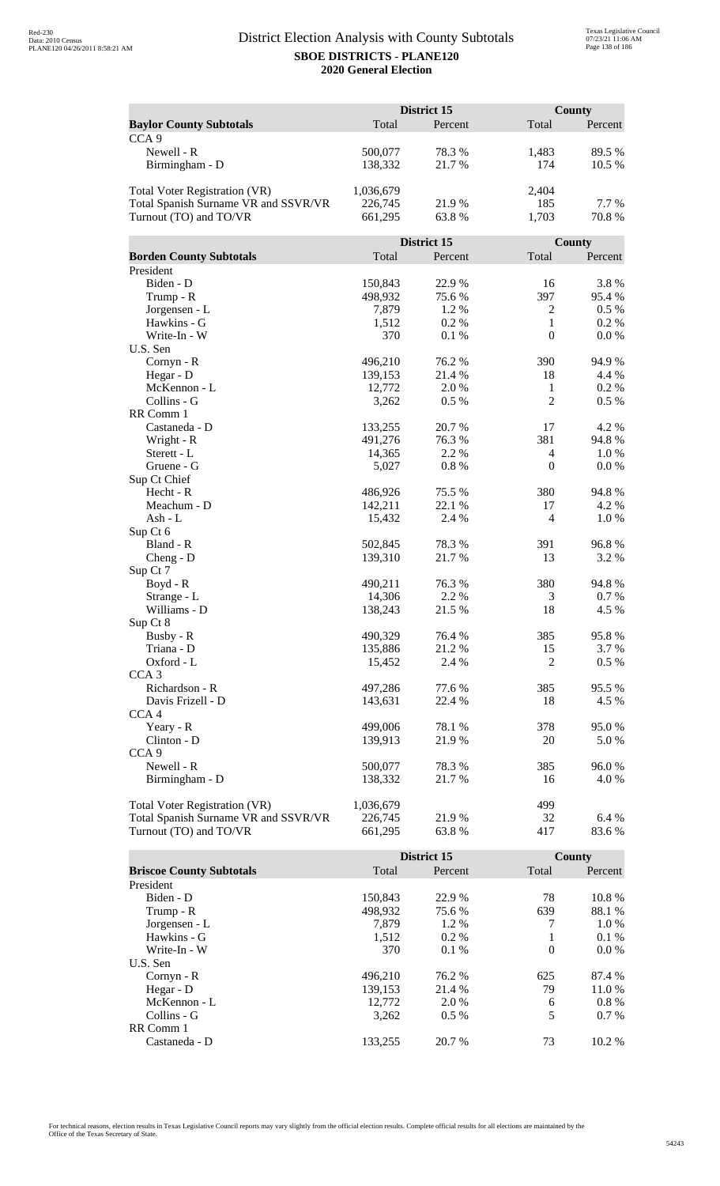|                                      | District 15 |             |                  | <b>County</b> |  |
|--------------------------------------|-------------|-------------|------------------|---------------|--|
| <b>Baylor County Subtotals</b>       | Total       | Percent     | Total            | Percent       |  |
| CCA <sub>9</sub>                     |             |             |                  |               |  |
| Newell - R                           | 500,077     | 78.3%       | 1,483            | 89.5 %        |  |
| Birmingham - D                       | 138,332     | 21.7%       | 174              | 10.5 %        |  |
|                                      |             |             |                  |               |  |
| <b>Total Voter Registration (VR)</b> | 1,036,679   |             | 2,404            |               |  |
| Total Spanish Surname VR and SSVR/VR | 226,745     | 21.9%       | 185              | 7.7 %         |  |
| Turnout (TO) and TO/VR               | 661,295     | 63.8%       | 1,703            | 70.8%         |  |
|                                      |             |             |                  |               |  |
|                                      |             | District 15 |                  | County        |  |
| <b>Borden County Subtotals</b>       | Total       | Percent     | Total            | Percent       |  |
| President                            |             |             |                  |               |  |
| Biden - D                            | 150,843     | 22.9%       | 16               | 3.8%          |  |
| Trump - R                            | 498,932     | 75.6%       | 397              | 95.4 %        |  |
| Jorgensen - L                        | 7,879       | 1.2%        | $\overline{2}$   | 0.5 %         |  |
| Hawkins - G                          | 1,512       | 0.2%        | $\mathbf{1}$     | 0.2%          |  |
| Write-In - W                         | 370         | 0.1%        | $\boldsymbol{0}$ | 0.0 %         |  |
| U.S. Sen                             |             |             |                  |               |  |
| Cornyn - R                           | 496,210     | 76.2 %      | 390              | 94.9%         |  |
| Hegar - D                            | 139,153     | 21.4 %      | 18               | 4.4 %         |  |
| McKennon - L                         | 12,772      | 2.0 %       | $\mathbf{1}$     | 0.2%          |  |
| Collins - G                          | 3,262       | 0.5%        | $\overline{2}$   | 0.5 %         |  |
| RR Comm 1                            |             |             |                  |               |  |
| Castaneda - D                        | 133,255     | 20.7%       | 17               | 4.2 %         |  |
| Wright - R                           | 491,276     | 76.3 %      | 381              | 94.8%         |  |
| Sterett - L                          | 14,365      | 2.2 %       | $\overline{4}$   | 1.0%          |  |
| Gruene - G                           | 5,027       | 0.8%        | $\boldsymbol{0}$ | 0.0 %         |  |
| Sup Ct Chief                         |             |             |                  |               |  |
| Hecht - R                            | 486,926     | 75.5 %      | 380              | 94.8%         |  |
| Meachum - D                          | 142,211     | 22.1 %      | 17<br>4          | 4.2 %         |  |
| Ash - L                              | 15,432      | 2.4 %       |                  | 1.0%          |  |
| Sup Ct 6<br>Bland - R                | 502,845     | 78.3%       | 391              | 96.8%         |  |
| $Cheng - D$                          | 139,310     | 21.7%       | 13               | 3.2 %         |  |
| Sup Ct 7                             |             |             |                  |               |  |
| Boyd - R                             | 490,211     | 76.3 %      | 380              | 94.8%         |  |
| Strange - L                          | 14,306      | 2.2 %       | 3                | 0.7%          |  |
| Williams - D                         | 138,243     | 21.5 %      | 18               | 4.5 %         |  |
| Sup Ct 8                             |             |             |                  |               |  |
| Busby - R                            | 490,329     | 76.4 %      | 385              | 95.8%         |  |
| Triana - D                           | 135,886     | 21.2%       | 15               | 3.7 %         |  |
| Oxford - L                           | 15,452      | 2.4 %       | 2                | $0.5 \%$      |  |
| CCA <sub>3</sub>                     |             |             |                  |               |  |
| Richardson - R                       | 497,286     | 77.6 %      | 385              | 95.5 %        |  |
| Davis Frizell - D                    | 143,631     | 22.4 %      | 18               | 4.5 %         |  |
| CCA <sub>4</sub>                     |             |             |                  |               |  |
| Yeary - R                            | 499,006     | 78.1 %      | 378              | 95.0%         |  |
| Clinton - D                          | 139,913     | 21.9%       | 20               | 5.0%          |  |
| CCA <sub>9</sub>                     |             |             |                  |               |  |
| Newell - R                           | 500,077     | 78.3%       | 385              | 96.0%         |  |
| Birmingham - D                       | 138,332     | 21.7 %      | 16               | 4.0 %         |  |
|                                      |             |             |                  |               |  |
| <b>Total Voter Registration (VR)</b> | 1,036,679   |             | 499              |               |  |
| Total Spanish Surname VR and SSVR/VR | 226,745     | 21.9%       | 32               | 6.4 %         |  |
| Turnout (TO) and TO/VR               | 661,295     | 63.8%       | 417              | 83.6%         |  |

|                                 |         | District 15 |          | County   |
|---------------------------------|---------|-------------|----------|----------|
| <b>Briscoe County Subtotals</b> | Total   | Percent     | Total    | Percent  |
| President                       |         |             |          |          |
| Biden - D                       | 150.843 | 22.9 %      | 78       | 10.8 %   |
| Trump - R                       | 498,932 | 75.6 %      | 639      | 88.1 %   |
| Jorgensen - L                   | 7.879   | 1.2 %       | 7        | 1.0 %    |
| Hawkins - G                     | 1,512   | $0.2\%$     | 1        | $0.1\%$  |
| Write-In - W                    | 370     | 0.1%        | $\theta$ | $0.0\%$  |
| U.S. Sen                        |         |             |          |          |
| Cornyn - R                      | 496.210 | 76.2 %      | 625      | 87.4 %   |
| Hegar - $D$                     | 139,153 | 21.4 %      | 79       | 11.0 %   |
| McKennon - L                    | 12,772  | 2.0 %       | 6        | $0.8 \%$ |
| Collins - G                     | 3,262   | $0.5\%$     | 5        | $0.7\%$  |
| RR Comm 1                       |         |             |          |          |
| Castaneda - D                   | 133.255 | 20.7 %      | 73       | $10.2\%$ |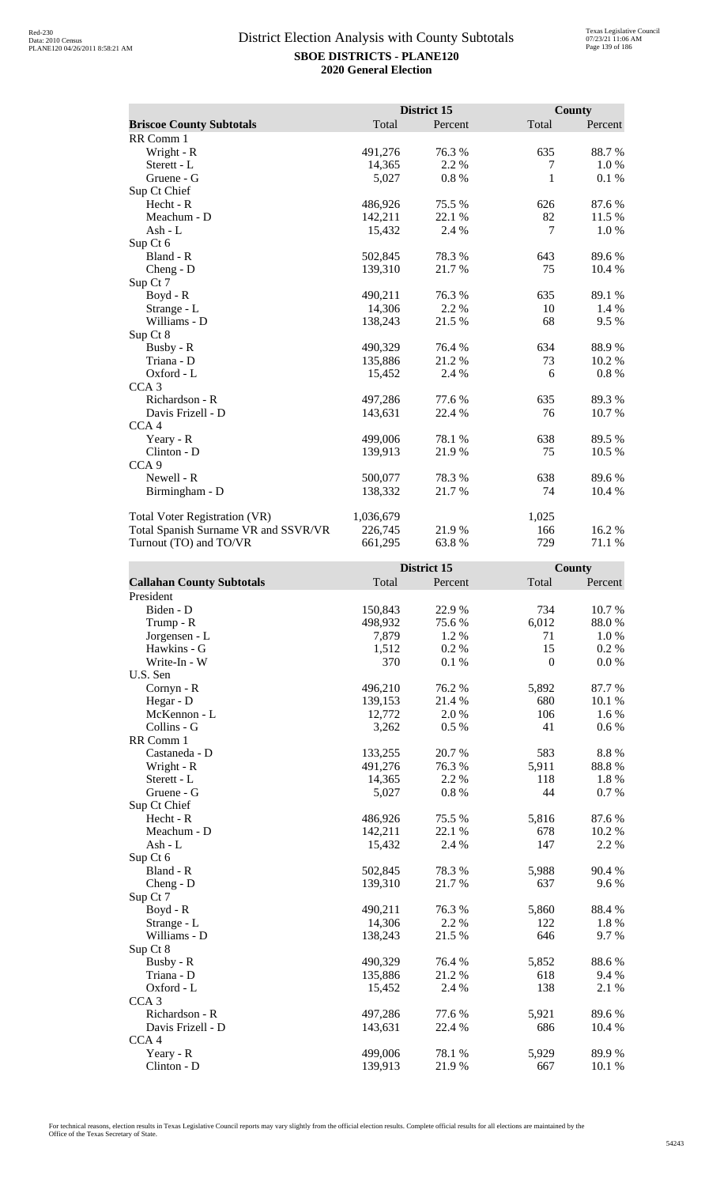|                                      |           | District 15 |       | <b>County</b> |
|--------------------------------------|-----------|-------------|-------|---------------|
| <b>Briscoe County Subtotals</b>      | Total     | Percent     | Total | Percent       |
| RR Comm 1                            |           |             |       |               |
| Wright - R                           | 491,276   | 76.3%       | 635   | 88.7%         |
| Sterett - L                          | 14,365    | 2.2 %       | 7     | 1.0%          |
| Gruene - G                           | 5,027     | 0.8%        | 1     | 0.1%          |
| Sup Ct Chief                         |           |             |       |               |
| Hecht - R                            | 486,926   | 75.5 %      | 626   | 87.6%         |
| Meachum - D                          | 142,211   | 22.1 %      | 82    | 11.5 %        |
| Ash - $L$                            | 15,432    | 2.4 %       | 7     | 1.0 %         |
| Sup Ct 6                             |           |             |       |               |
| Bland - R                            | 502,845   | 78.3%       | 643   | 89.6%         |
| $Cheng - D$                          | 139,310   | 21.7 %      | 75    | 10.4 %        |
| Sup Ct 7                             |           |             |       |               |
| Boyd - R                             | 490,211   | 76.3 %      | 635   | 89.1 %        |
| Strange - L                          | 14,306    | 2.2 %       | 10    | 1.4 %         |
| Williams - D                         | 138,243   | 21.5 %      | 68    | 9.5 %         |
| Sup Ct 8                             |           |             |       |               |
| Busby - R                            | 490,329   | 76.4%       | 634   | 88.9%         |
| Triana - D                           | 135,886   | 21.2%       | 73    | 10.2 %        |
| Oxford - L                           | 15,452    | 2.4 %       | 6     | 0.8%          |
| CCA <sub>3</sub>                     |           |             |       |               |
| Richardson - R                       | 497,286   | 77.6%       | 635   | 89.3%         |
| Davis Frizell - D                    | 143,631   | 22.4 %      | 76    | 10.7%         |
| CCA <sub>4</sub>                     |           |             |       |               |
| Yeary - R                            | 499,006   | 78.1 %      | 638   | 89.5 %        |
| Clinton - D                          | 139,913   | 21.9%       | 75    | 10.5 %        |
| CCA <sub>9</sub>                     |           |             |       |               |
| Newell - R                           | 500,077   | 78.3 %      | 638   | 89.6%         |
| Birmingham - D                       | 138,332   | 21.7%       | 74    | 10.4 %        |
| <b>Total Voter Registration (VR)</b> | 1,036,679 |             | 1,025 |               |
| Total Spanish Surname VR and SSVR/VR | 226,745   | 21.9%       | 166   | 16.2%         |
| Turnout (TO) and TO/VR               | 661,295   | 63.8%       | 729   | 71.1 %        |

|                                  |         | District 15 |                  | County  |
|----------------------------------|---------|-------------|------------------|---------|
| <b>Callahan County Subtotals</b> | Total   | Percent     | Total            | Percent |
| President                        |         |             |                  |         |
| Biden - D                        | 150,843 | 22.9%       | 734              | 10.7%   |
| Trump - R                        | 498,932 | 75.6%       | 6,012            | 88.0%   |
| Jorgensen - L                    | 7,879   | 1.2 %       | 71               | 1.0%    |
| Hawkins - G                      | 1,512   | 0.2 %       | 15               | 0.2 %   |
| Write-In - W                     | 370     | 0.1%        | $\boldsymbol{0}$ | 0.0 %   |
| U.S. Sen                         |         |             |                  |         |
| Cornyn - R                       | 496,210 | 76.2%       | 5,892            | 87.7%   |
| Hegar - D                        | 139,153 | 21.4 %      | 680              | 10.1 %  |
| McKennon - L                     | 12,772  | 2.0%        | 106              | 1.6 %   |
| Collins - G                      | 3,262   | 0.5%        | 41               | $0.6\%$ |
| RR Comm 1                        |         |             |                  |         |
| Castaneda - D                    | 133,255 | 20.7%       | 583              | 8.8%    |
| Wright - R                       | 491,276 | 76.3%       | 5,911            | 88.8%   |
| Sterett - L                      | 14,365  | 2.2 %       | 118              | 1.8 %   |
| Gruene - G                       | 5,027   | $0.8~\%$    | 44               | 0.7 %   |
| Sup Ct Chief                     |         |             |                  |         |
| Hecht - R                        | 486,926 | 75.5 %      | 5,816            | 87.6%   |
| Meachum - D                      | 142,211 | 22.1 %      | 678              | 10.2 %  |
| $Ash - L$                        | 15,432  | 2.4 %       | 147              | 2.2 %   |
| Sup Ct 6                         |         |             |                  |         |
| Bland - R                        | 502,845 | 78.3 %      | 5,988            | 90.4 %  |
| $Cheng - D$                      | 139,310 | 21.7%       | 637              | 9.6%    |
| Sup Ct 7                         |         |             |                  |         |
| Boyd - R                         | 490,211 | 76.3%       | 5,860            | 88.4 %  |
| Strange - L                      | 14,306  | 2.2 %       | 122              | 1.8%    |
| Williams - D                     | 138,243 | 21.5 %      | 646              | 9.7%    |
| Sup Ct 8                         |         |             |                  |         |
| Busby - R                        | 490,329 | 76.4%       | 5,852            | 88.6%   |
| Triana - D                       | 135,886 | 21.2%       | 618              | 9.4 %   |
| Oxford - L                       | 15,452  | 2.4 %       | 138              | 2.1 %   |
| CCA <sub>3</sub>                 |         |             |                  |         |
| Richardson - R                   | 497,286 | 77.6 %      | 5,921            | 89.6%   |
| Davis Frizell - D                | 143,631 | 22.4 %      | 686              | 10.4 %  |
| CCA4                             |         |             |                  |         |
| Yeary - R                        | 499,006 | 78.1 %      | 5,929            | 89.9%   |
| Clinton - D                      | 139,913 | 21.9%       | 667              | 10.1 %  |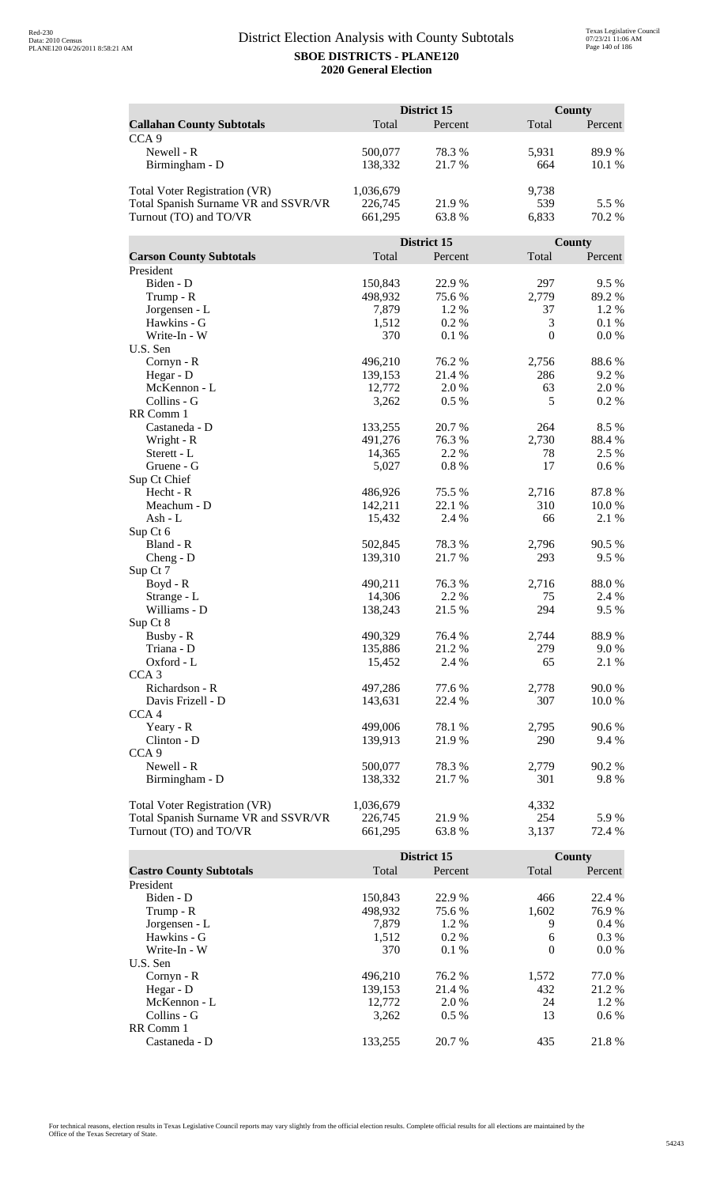|                                      | District 15 |             | County       |               |
|--------------------------------------|-------------|-------------|--------------|---------------|
| <b>Callahan County Subtotals</b>     | Total       | Percent     | Total        | Percent       |
| CCA <sub>9</sub>                     |             |             |              |               |
| Newell - R                           | 500,077     | 78.3%       | 5,931        | 89.9%         |
| Birmingham - D                       | 138,332     | 21.7%       | 664          | 10.1 %        |
|                                      |             |             |              |               |
| <b>Total Voter Registration (VR)</b> | 1,036,679   |             | 9,738        |               |
| Total Spanish Surname VR and SSVR/VR | 226,745     | 21.9%       | 539          | 5.5 %         |
| Turnout (TO) and TO/VR               | 661,295     | 63.8%       | 6,833        | 70.2 %        |
|                                      |             |             |              |               |
|                                      |             | District 15 |              | <b>County</b> |
| <b>Carson County Subtotals</b>       | Total       | Percent     | Total        | Percent       |
| President                            |             |             |              |               |
| Biden - D                            | 150,843     | 22.9%       | 297          | 9.5%          |
| Trump - R                            | 498,932     | 75.6%       | 2,779        | 89.2%         |
| Jorgensen - L                        | 7,879       | 1.2%        | 37           | 1.2%          |
| Hawkins - G                          | 1,512       | 0.2%        | 3            | 0.1%          |
| Write-In - W                         | 370         | 0.1%        | $\mathbf{0}$ | 0.0 %         |
| U.S. Sen                             |             |             |              |               |
| Cornyn - R                           | 496,210     | 76.2 %      | 2,756        | 88.6%         |
| Hegar - D                            | 139,153     | 21.4 %      | 286          | 9.2 %         |
| McKennon - L                         | 12,772      | 2.0%        | 63           | 2.0 %         |
| Collins - G                          | 3,262       | 0.5 %       | 5            | 0.2 %         |
| RR Comm 1                            |             |             |              |               |
| Castaneda - D                        | 133,255     | 20.7 %      | 264          | 8.5 %         |
| Wright - R                           | 491,276     | 76.3%       | 2,730        | 88.4%         |
| Sterett - L                          | 14,365      | 2.2 %       | 78           | 2.5 %         |
| Gruene - G                           | 5,027       | 0.8 %       | 17           | 0.6 %         |
| Sup Ct Chief                         |             |             |              |               |
| Hecht - R                            | 486,926     | 75.5 %      | 2,716        | 87.8%         |
| Meachum - D                          | 142,211     | 22.1 %      | 310          | 10.0 %        |
| Ash - L                              | 15,432      | 2.4 %       | 66           | 2.1 %         |
| Sup Ct 6<br>Bland - R                | 502,845     | 78.3%       | 2,796        | 90.5 %        |
| $Cheng - D$                          | 139,310     | 21.7%       | 293          | 9.5 %         |
| Sup Ct 7                             |             |             |              |               |
| Boyd - R                             | 490,211     | 76.3 %      | 2,716        | 88.0%         |
| Strange - L                          | 14,306      | 2.2 %       | 75           | 2.4 %         |
| Williams - D                         | 138,243     | 21.5 %      | 294          | 9.5 %         |
| Sup Ct 8                             |             |             |              |               |
| Busby - R                            | 490,329     | 76.4 %      | 2,744        | 88.9%         |
| Triana - D                           | 135,886     | 21.2%       | 279          | 9.0%          |
| Oxford - L                           | 15,452      | 2.4 %       | 65           | 2.1 %         |
| CCA <sub>3</sub>                     |             |             |              |               |
| Richardson - R                       | 497,286     | 77.6 %      | 2,778        | 90.0%         |
| Davis Frizell - D                    | 143,631     | 22.4 %      | 307          | 10.0 %        |
| CCA <sub>4</sub>                     |             |             |              |               |
| Yeary - R                            | 499,006     | 78.1 %      | 2,795        | 90.6%         |
| Clinton - D                          | 139,913     | 21.9 %      | 290          | 9.4 %         |
| CCA <sub>9</sub>                     |             |             |              |               |
| Newell - R                           | 500,077     | 78.3%       | 2,779        | 90.2 %        |
| Birmingham - D                       | 138,332     | 21.7 %      | 301          | 9.8%          |
|                                      |             |             |              |               |
| Total Voter Registration (VR)        | 1,036,679   |             | 4,332        |               |
| Total Spanish Surname VR and SSVR/VR | 226,745     | 21.9%       | 254          | 5.9%          |
| Turnout (TO) and TO/VR               | 661,295     | 63.8%       | 3,137        | 72.4 %        |

|                                |         | District 15 |          | County  |
|--------------------------------|---------|-------------|----------|---------|
| <b>Castro County Subtotals</b> | Total   | Percent     | Total    | Percent |
| President                      |         |             |          |         |
| Biden - D                      | 150.843 | 22.9 %      | 466      | 22.4 %  |
| Trump - R                      | 498,932 | 75.6 %      | 1,602    | 76.9 %  |
| Jorgensen - L                  | 7.879   | $1.2\%$     | 9        | $0.4\%$ |
| Hawkins - G                    | 1,512   | $0.2\%$     | 6        | $0.3\%$ |
| Write-In - W                   | 370     | $0.1\%$     | $\theta$ | $0.0\%$ |
| U.S. Sen                       |         |             |          |         |
| $Cornyn - R$                   | 496.210 | 76.2 %      | 1,572    | 77.0 %  |
| Hegar - $D$                    | 139,153 | 21.4 %      | 432      | 21.2 %  |
| McKennon - L                   | 12,772  | 2.0 %       | 24       | 1.2 %   |
| Collins - G                    | 3.262   | $0.5\%$     | 13       | $0.6\%$ |
| RR Comm 1                      |         |             |          |         |
| Castaneda - D                  | 133.255 | 20.7 %      | 435      | 21.8%   |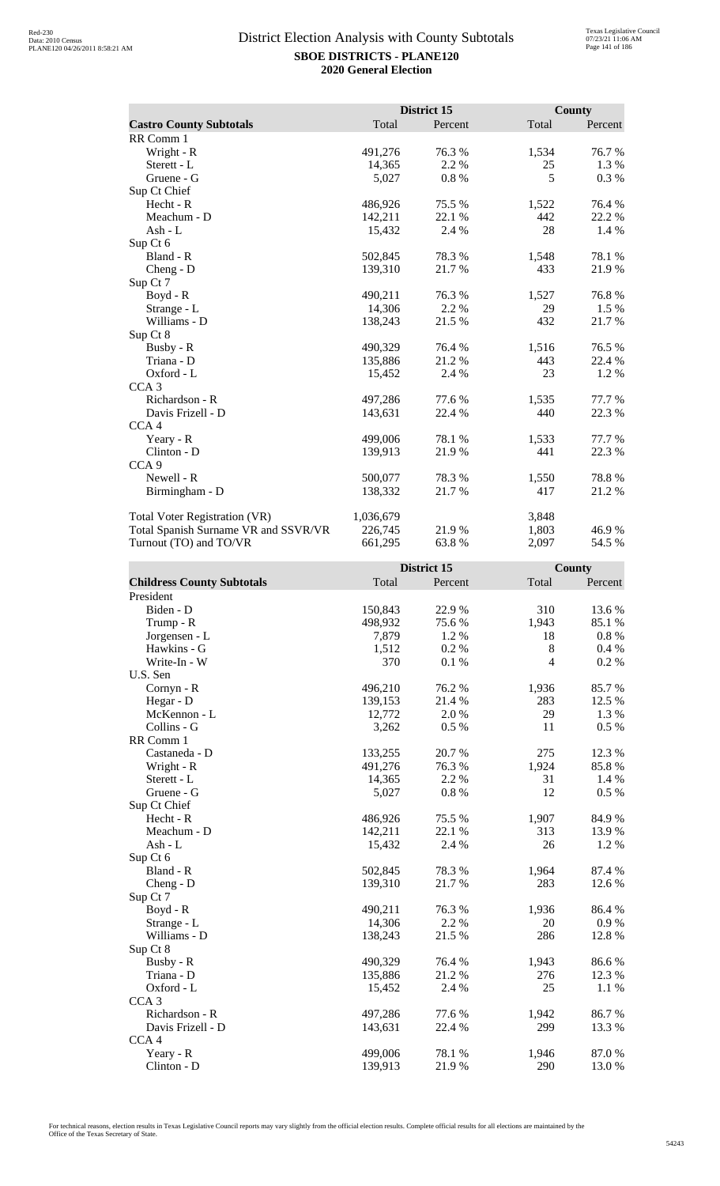|                                      |           | District 15 |       | <b>County</b> |
|--------------------------------------|-----------|-------------|-------|---------------|
| <b>Castro County Subtotals</b>       | Total     | Percent     | Total | Percent       |
| RR Comm 1                            |           |             |       |               |
| Wright - R                           | 491,276   | 76.3%       | 1,534 | 76.7%         |
| Sterett - L                          | 14,365    | 2.2 %       | 25    | 1.3 %         |
| Gruene - G                           | 5,027     | 0.8%        | 5     | 0.3 %         |
| Sup Ct Chief                         |           |             |       |               |
| Hecht - R                            | 486,926   | 75.5 %      | 1,522 | 76.4 %        |
| Meachum - D                          | 142,211   | 22.1 %      | 442   | 22.2 %        |
| Ash - $L$                            | 15,432    | 2.4 %       | 28    | 1.4 %         |
| Sup Ct 6                             |           |             |       |               |
| Bland - R                            | 502,845   | 78.3%       | 1,548 | 78.1 %        |
| $Cheng - D$                          | 139,310   | 21.7 %      | 433   | 21.9%         |
| Sup Ct 7                             |           |             |       |               |
| Boyd - R                             | 490,211   | 76.3 %      | 1,527 | 76.8%         |
| Strange - L                          | 14,306    | 2.2 %       | 29    | 1.5 %         |
| Williams - D                         | 138,243   | 21.5 %      | 432   | 21.7%         |
| Sup Ct 8                             |           |             |       |               |
| Busby - R                            | 490,329   | 76.4%       | 1,516 | 76.5 %        |
| Triana - D                           | 135,886   | 21.2%       | 443   | 22.4 %        |
| Oxford - L                           | 15,452    | 2.4 %       | 23    | 1.2%          |
| CCA <sub>3</sub>                     |           |             |       |               |
| Richardson - R                       | 497,286   | 77.6%       | 1,535 | 77.7 %        |
| Davis Frizell - D                    | 143,631   | 22.4 %      | 440   | 22.3 %        |
| CCA <sub>4</sub>                     |           |             |       |               |
| Yeary - R                            | 499,006   | 78.1 %      | 1,533 | 77.7 %        |
| Clinton - D                          | 139,913   | 21.9%       | 441   | 22.3 %        |
| CCA <sub>9</sub>                     |           |             |       |               |
| Newell - R                           | 500,077   | 78.3 %      | 1,550 | 78.8%         |
| Birmingham - D                       | 138,332   | 21.7%       | 417   | 21.2%         |
| <b>Total Voter Registration (VR)</b> | 1,036,679 |             | 3,848 |               |
| Total Spanish Surname VR and SSVR/VR | 226,745   | 21.9%       | 1,803 | 46.9%         |
| Turnout (TO) and TO/VR               | 661,295   | 63.8%       | 2,097 | 54.5 %        |

|                                   |         | District 15 |                | County   |
|-----------------------------------|---------|-------------|----------------|----------|
| <b>Childress County Subtotals</b> | Total   | Percent     | Total          | Percent  |
| President                         |         |             |                |          |
| Biden - D                         | 150,843 | 22.9%       | 310            | 13.6%    |
| Trump - R                         | 498,932 | 75.6%       | 1,943          | 85.1 %   |
| Jorgensen - L                     | 7,879   | 1.2%        | 18             | $0.8\%$  |
| Hawkins - G                       | 1,512   | 0.2 %       | 8              | 0.4 %    |
| Write-In - W                      | 370     | 0.1 %       | $\overline{4}$ | 0.2 %    |
| U.S. Sen                          |         |             |                |          |
| Cornyn - R                        | 496,210 | 76.2%       | 1,936          | 85.7%    |
| Hegar - D                         | 139,153 | 21.4 %      | 283            | 12.5 %   |
| McKennon - L                      | 12,772  | 2.0%        | 29             | 1.3 %    |
| Collins - G                       | 3,262   | 0.5 %       | 11             | 0.5 %    |
| RR Comm 1                         |         |             |                |          |
| Castaneda - D                     | 133,255 | 20.7%       | 275            | 12.3 %   |
| Wright - R                        | 491,276 | 76.3%       | 1,924          | 85.8%    |
| Sterett - L                       | 14,365  | 2.2 %       | 31             | 1.4 %    |
| Gruene - G                        | 5,027   | $0.8~\%$    | 12             | 0.5 %    |
| Sup Ct Chief                      |         |             |                |          |
| Hecht - R                         | 486,926 | 75.5 %      | 1,907          | 84.9%    |
| Meachum - D                       | 142,211 | 22.1 %      | 313            | 13.9%    |
| $Ash - L$                         | 15,432  | 2.4 %       | 26             | 1.2%     |
| Sup Ct 6                          |         |             |                |          |
| Bland - R                         | 502,845 | 78.3%       | 1,964          | 87.4 %   |
| Cheng - D                         | 139,310 | 21.7%       | 283            | 12.6 %   |
| Sup Ct 7                          |         |             |                |          |
| $Boyd - R$                        | 490,211 | 76.3%       | 1,936          | 86.4%    |
| Strange - L                       | 14,306  | 2.2 %       | 20             | 0.9%     |
| Williams - D                      | 138,243 | 21.5 %      | 286            | 12.8 %   |
| Sup Ct 8                          |         |             |                |          |
| Busby - R                         | 490,329 | 76.4 %      | 1,943          | 86.6%    |
| Triana - D                        | 135,886 | 21.2%       | 276            | 12.3 %   |
| Oxford - L                        | 15,452  | 2.4 %       | 25             | $1.1~\%$ |
| CCA <sub>3</sub>                  |         |             |                |          |
| Richardson - R                    | 497,286 | 77.6 %      | 1,942          | 86.7%    |
| Davis Frizell - D                 | 143,631 | 22.4 %      | 299            | 13.3 %   |
| CCA <sub>4</sub>                  |         |             |                |          |
| Yeary - R                         | 499,006 | 78.1 %      | 1,946          | 87.0%    |
| Clinton - D                       | 139,913 | 21.9%       | 290            | 13.0%    |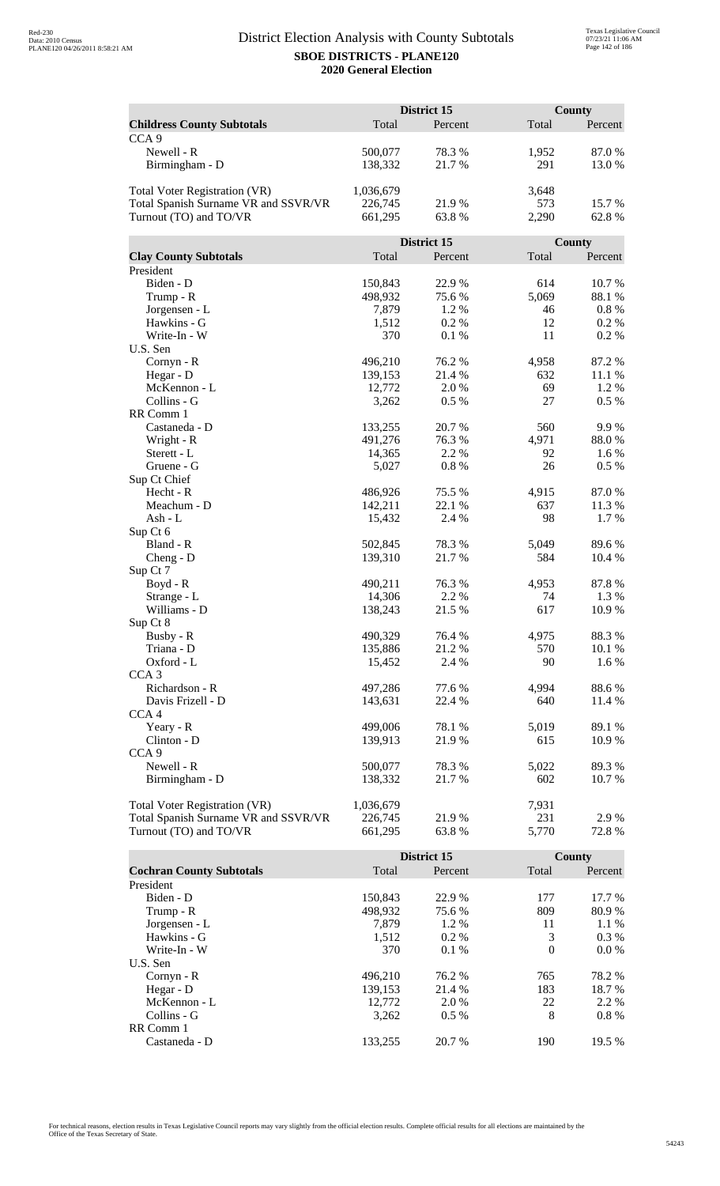|                                      | District 15       |                 | County    |                |
|--------------------------------------|-------------------|-----------------|-----------|----------------|
| <b>Childress County Subtotals</b>    | Total             | Percent         | Total     | Percent        |
| CCA <sub>9</sub>                     |                   |                 |           |                |
| Newell - R                           | 500,077           | 78.3%           | 1,952     | 87.0%          |
| Birmingham - D                       | 138,332           | 21.7%           | 291       | 13.0%          |
|                                      |                   |                 |           |                |
| <b>Total Voter Registration (VR)</b> | 1,036,679         |                 | 3,648     |                |
| Total Spanish Surname VR and SSVR/VR | 226,745           | 21.9%           | 573       | 15.7%          |
| Turnout (TO) and TO/VR               | 661,295           | 63.8%           | 2,290     | 62.8%          |
|                                      |                   |                 |           |                |
|                                      |                   | District 15     |           | County         |
| <b>Clay County Subtotals</b>         | Total             | Percent         | Total     | Percent        |
| President                            |                   |                 |           |                |
| Biden - D                            | 150,843           | 22.9%           | 614       | 10.7%          |
| Trump - R                            | 498,932           | 75.6%           | 5,069     | 88.1%          |
| Jorgensen - L                        | 7,879             | 1.2%            | 46        | $0.8\ \%$      |
| Hawkins - G                          | 1,512             | 0.2%            | 12        | $0.2\%$        |
| Write-In - W                         | 370               | 0.1%            | 11        | 0.2%           |
| U.S. Sen                             |                   |                 |           |                |
| Cornyn - R                           | 496,210           | 76.2 %          | 4,958     | 87.2%          |
| Hegar - D                            | 139,153           | 21.4 %          | 632       | 11.1 %         |
| McKennon - L                         | 12,772            | 2.0 %           | 69        | 1.2 %          |
| Collins - G                          | 3,262             | 0.5 %           | 27        | 0.5 %          |
| RR Comm 1                            |                   |                 |           |                |
| Castaneda - D                        | 133,255           | 20.7 %          | 560       | 9.9%           |
| Wright - R                           | 491,276           | 76.3%           | 4,971     | 88.0%          |
| Sterett - L                          | 14,365            | 2.2 %           | 92        | 1.6 %          |
| Gruene - G                           | 5,027             | 0.8 %           | 26        | 0.5 %          |
| Sup Ct Chief                         |                   |                 |           |                |
| Hecht - R                            | 486,926           | 75.5 %          | 4,915     | 87.0%          |
| Meachum - D                          | 142,211           | 22.1 %          | 637       | 11.3 %         |
| Ash - L                              | 15,432            | 2.4 %           | 98        | 1.7 %          |
| Sup Ct 6                             |                   |                 |           |                |
| Bland - R                            | 502,845           | 78.3%           | 5,049     | 89.6%          |
| $Cheng - D$                          | 139,310           | 21.7%           | 584       | 10.4 %         |
| Sup Ct 7                             |                   |                 |           |                |
| Boyd - R                             | 490,211           | 76.3 %<br>2.2 % | 4,953     | 87.8%          |
| Strange - L<br>Williams - D          | 14,306<br>138,243 | 21.5 %          | 74<br>617 | 1.3 %<br>10.9% |
| Sup Ct 8                             |                   |                 |           |                |
| Busby - R                            | 490,329           | 76.4 %          | 4,975     | 88.3%          |
| Triana - D                           | 135,886           | 21.2%           | 570       | 10.1 %         |
| Oxford - L                           | 15,452            | 2.4 %           | 90        | 1.6 %          |
| CCA <sub>3</sub>                     |                   |                 |           |                |
| Richardson - R                       | 497,286           | 77.6 %          | 4,994     | 88.6%          |
| Davis Frizell - D                    | 143,631           | 22.4 %          | 640       | 11.4 %         |
| CCA <sub>4</sub>                     |                   |                 |           |                |
| Yeary - R                            | 499,006           | 78.1 %          | 5,019     | 89.1 %         |
| Clinton - D                          | 139,913           | 21.9 %          | 615       | 10.9 %         |
| CCA <sub>9</sub>                     |                   |                 |           |                |
| Newell - R                           | 500,077           | 78.3%           | 5,022     | 89.3%          |
| Birmingham - D                       | 138,332           | 21.7 %          | 602       | 10.7 %         |
|                                      |                   |                 |           |                |
| Total Voter Registration (VR)        | 1,036,679         |                 | 7,931     |                |
| Total Spanish Surname VR and SSVR/VR | 226,745           | 21.9%           | 231       | 2.9%           |
| Turnout (TO) and TO/VR               | 661,295           | 63.8%           | 5,770     | 72.8%          |

|                                 |         | District 15 |          | County  |
|---------------------------------|---------|-------------|----------|---------|
| <b>Cochran County Subtotals</b> | Total   | Percent     | Total    | Percent |
| President                       |         |             |          |         |
| Biden - D                       | 150,843 | 22.9 %      | 177      | 17.7 %  |
| Trump - R                       | 498,932 | 75.6 %      | 809      | 80.9%   |
| Jorgensen - L                   | 7.879   | 1.2 %       | 11       | 1.1%    |
| Hawkins - G                     | 1,512   | $0.2\%$     | 3        | $0.3\%$ |
| Write-In - W                    | 370     | $0.1\%$     | $\Omega$ | $0.0\%$ |
| U.S. Sen                        |         |             |          |         |
| $Cornyn - R$                    | 496.210 | 76.2 %      | 765      | 78.2 %  |
| Hegar - $D$                     | 139.153 | 21.4 %      | 183      | 18.7 %  |
| McKennon - L                    | 12,772  | 2.0 %       | 22       | 2.2 %   |
| Collins - G                     | 3.262   | $0.5\%$     | 8        | $0.8\%$ |
| RR Comm 1                       |         |             |          |         |
| Castaneda - D                   | 133.255 | 20.7 %      | 190      | 19.5 %  |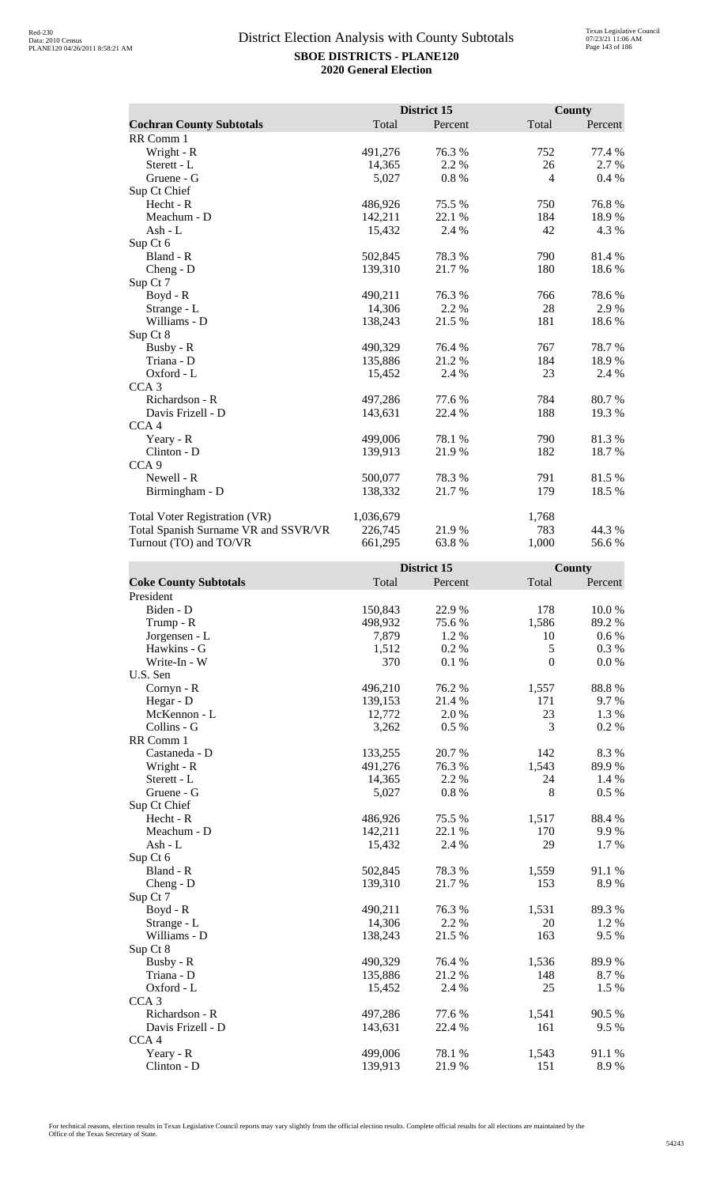|                                      |           | District 15 |       | <b>County</b> |
|--------------------------------------|-----------|-------------|-------|---------------|
| <b>Cochran County Subtotals</b>      | Total     | Percent     | Total | Percent       |
| RR Comm 1                            |           |             |       |               |
| Wright - R                           | 491,276   | 76.3%       | 752   | 77.4 %        |
| Sterett - L                          | 14,365    | 2.2 %       | 26    | 2.7 %         |
| Gruene - G                           | 5,027     | 0.8%        | 4     | $0.4\%$       |
| Sup Ct Chief                         |           |             |       |               |
| Hecht - R                            | 486,926   | 75.5 %      | 750   | 76.8%         |
| Meachum - D                          | 142,211   | 22.1 %      | 184   | 18.9%         |
| Ash - L                              | 15,432    | 2.4 %       | 42    | 4.3 %         |
| Sup Ct 6                             |           |             |       |               |
| Bland - R                            | 502,845   | 78.3%       | 790   | 81.4 %        |
| $Cheng - D$                          | 139,310   | 21.7%       | 180   | 18.6%         |
| Sup Ct 7                             |           |             |       |               |
| Boyd - R                             | 490,211   | 76.3%       | 766   | 78.6%         |
| Strange - L                          | 14,306    | 2.2 %       | 28    | 2.9%          |
| Williams - D                         | 138,243   | 21.5 %      | 181   | 18.6%         |
| Sup Ct 8                             |           |             |       |               |
| Busby - R                            | 490,329   | 76.4 %      | 767   | 78.7 %        |
| Triana - D                           | 135,886   | 21.2%       | 184   | 18.9%         |
| Oxford - L                           | 15,452    | 2.4 %       | 23    | 2.4 %         |
| CCA <sub>3</sub>                     |           |             |       |               |
| Richardson - R                       | 497,286   | 77.6 %      | 784   | 80.7%         |
| Davis Frizell - D                    | 143,631   | 22.4 %      | 188   | 19.3%         |
| CCA <sub>4</sub>                     |           |             |       |               |
| Yeary - R                            | 499,006   | 78.1 %      | 790   | 81.3%         |
| Clinton - D                          | 139,913   | 21.9%       | 182   | 18.7 %        |
| CCA <sub>9</sub>                     |           |             |       |               |
| Newell - R                           | 500,077   | 78.3 %      | 791   | 81.5%         |
| Birmingham - D                       | 138,332   | 21.7 %      | 179   | 18.5 %        |
| Total Voter Registration (VR)        | 1,036,679 |             | 1,768 |               |
| Total Spanish Surname VR and SSVR/VR | 226,745   | 21.9%       | 783   | 44.3 %        |
| Turnout (TO) and TO/VR               | 661,295   | 63.8%       | 1,000 | 56.6%         |

|                              |         | District 15 |                  | County    |
|------------------------------|---------|-------------|------------------|-----------|
| <b>Coke County Subtotals</b> | Total   | Percent     | Total            | Percent   |
| President                    |         |             |                  |           |
| Biden - D                    | 150,843 | 22.9%       | 178              | 10.0%     |
| Trump - R                    | 498,932 | 75.6 %      | 1,586            | 89.2%     |
| Jorgensen - L                | 7,879   | 1.2%        | 10               | 0.6 %     |
| Hawkins - G                  | 1,512   | 0.2%        | 5                | 0.3 %     |
| Write-In - W                 | 370     | 0.1%        | $\boldsymbol{0}$ | $0.0\ \%$ |
| U.S. Sen                     |         |             |                  |           |
| Cornyn - R                   | 496,210 | 76.2%       | 1,557            | 88.8%     |
| Hegar - D                    | 139,153 | 21.4 %      | 171              | 9.7 %     |
| McKennon - L                 | 12,772  | 2.0 %       | 23               | 1.3 %     |
| Collins - G                  | 3,262   | 0.5 %       | 3                | 0.2%      |
| RR Comm 1                    |         |             |                  |           |
| Castaneda - D                | 133,255 | 20.7%       | 142              | 8.3%      |
| Wright - R                   | 491,276 | 76.3%       | 1,543            | 89.9%     |
| Sterett - L                  | 14,365  | 2.2 %       | 24               | 1.4 %     |
| Gruene - G                   | 5,027   | 0.8%        | 8                | $0.5\%$   |
| Sup Ct Chief                 |         |             |                  |           |
| $Hecht - R$                  | 486,926 | 75.5 %      | 1,517            | 88.4 %    |
| Meachum - D                  | 142,211 | 22.1 %      | 170              | 9.9%      |
| $Ash - L$                    | 15,432  | 2.4 %       | 29               | 1.7%      |
| Sup Ct 6                     |         |             |                  |           |
| Bland - R                    | 502,845 | 78.3%       | 1,559            | 91.1 %    |
| Cheng - D                    | 139,310 | 21.7%       | 153              | 8.9%      |
| Sup Ct 7                     |         |             |                  |           |
| Boyd - R                     | 490,211 | 76.3%       | 1,531            | 89.3%     |
| Strange - L                  | 14,306  | 2.2%        | 20               | 1.2%      |
| Williams - D                 | 138,243 | 21.5 %      | 163              | 9.5%      |
| Sup Ct 8                     |         |             |                  |           |
| Busby - R                    | 490,329 | 76.4 %      | 1,536            | 89.9%     |
| Triana - D                   | 135,886 | 21.2%       | 148              | 8.7%      |
| Oxford - L                   | 15,452  | 2.4 %       | 25               | 1.5 %     |
| CCA <sub>3</sub>             |         |             |                  |           |
| Richardson - R               | 497,286 | 77.6 %      | 1,541            | 90.5 %    |
| Davis Frizell - D            | 143,631 | 22.4 %      | 161              | 9.5%      |
| CCA <sub>4</sub>             |         |             |                  |           |
| Yeary - R                    | 499,006 | 78.1 %      | 1,543            | 91.1 %    |
| Clinton - D                  | 139,913 | 21.9%       | 151              | 8.9%      |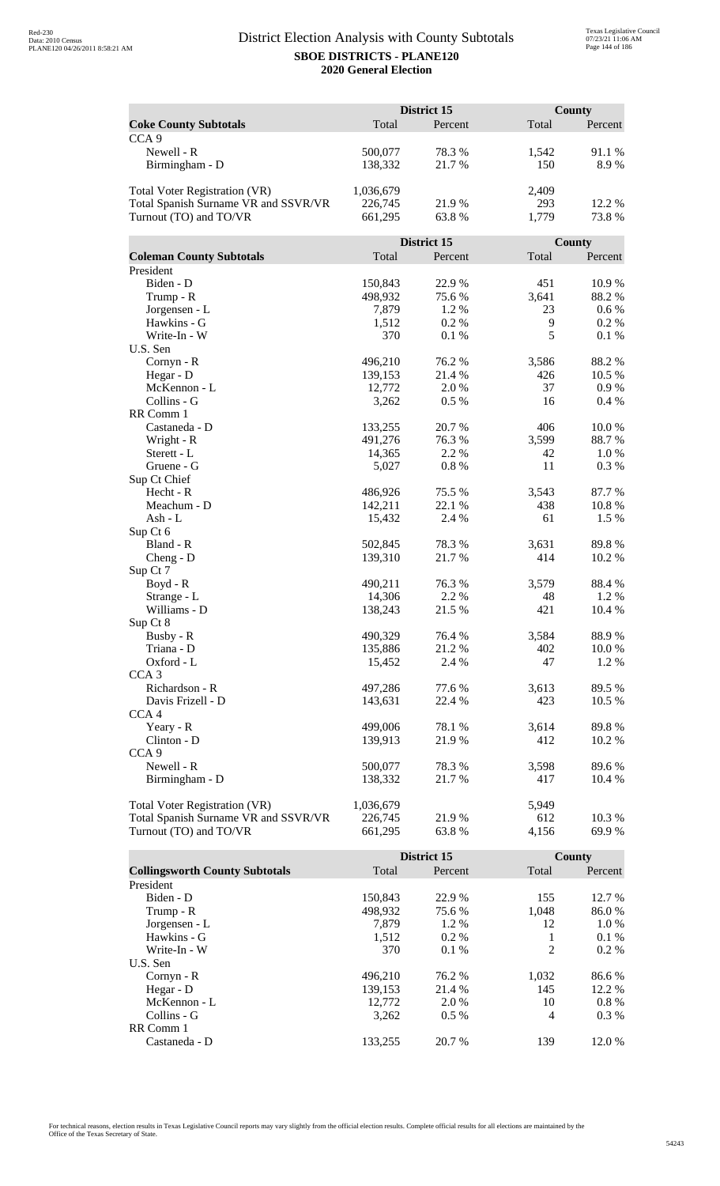|                                                                | District 15<br>County |             |              |                |
|----------------------------------------------------------------|-----------------------|-------------|--------------|----------------|
| <b>Coke County Subtotals</b>                                   | Total                 | Percent     | Total        | Percent        |
| CCA <sub>9</sub>                                               |                       |             |              |                |
| Newell - R                                                     | 500,077               | 78.3%       | 1,542        | 91.1 %         |
| Birmingham - D                                                 | 138,332               | 21.7%       | 150          | 8.9%           |
|                                                                |                       |             |              |                |
| <b>Total Voter Registration (VR)</b>                           | 1,036,679             |             | 2,409        |                |
| Total Spanish Surname VR and SSVR/VR                           | 226,745               | 21.9%       | 293          | 12.2 %         |
| Turnout (TO) and TO/VR                                         | 661,295               | 63.8%       | 1,779        | 73.8%          |
|                                                                |                       |             |              |                |
|                                                                |                       | District 15 |              | County         |
| <b>Coleman County Subtotals</b>                                | Total                 | Percent     | Total        | Percent        |
| President                                                      |                       |             |              |                |
| Biden - D                                                      | 150,843               | 22.9%       | 451          | 10.9%          |
| Trump - R                                                      | 498,932               | 75.6%       | 3,641        | 88.2%          |
| Jorgensen - L                                                  | 7,879                 | 1.2%        | 23           | 0.6 %          |
| Hawkins - G                                                    | 1,512                 | 0.2%        | 9            | 0.2 %          |
| Write-In - W                                                   | 370                   | 0.1%        | 5            | 0.1%           |
| U.S. Sen                                                       |                       |             |              |                |
| Cornyn - R                                                     | 496,210               | 76.2%       | 3,586        | 88.2%          |
| Hegar - D                                                      | 139,153               | 21.4 %      | 426          | 10.5 %         |
| McKennon - L                                                   | 12,772                | 2.0 %       | 37           | 0.9 %          |
| Collins - G                                                    | 3,262                 | $0.5\%$     | 16           | 0.4%           |
| RR Comm 1                                                      |                       |             |              |                |
| Castaneda - D                                                  | 133,255               | 20.7%       | 406          | 10.0%          |
| Wright - R                                                     | 491,276               | 76.3%       | 3,599        | 88.7%          |
| Sterett - L                                                    | 14,365                | 2.2 %       | 42           | 1.0%           |
| Gruene - G                                                     | 5,027                 | 0.8%        | 11           | 0.3%           |
| Sup Ct Chief<br>Hecht - R                                      | 486,926               | 75.5 %      | 3,543        | 87.7%          |
| Meachum - D                                                    | 142,211               | 22.1 %      | 438          | 10.8 %         |
| Ash - L                                                        | 15,432                | 2.4 %       | 61           | 1.5 %          |
| Sup Ct 6                                                       |                       |             |              |                |
| Bland - R                                                      | 502,845               | 78.3%       | 3,631        | 89.8%          |
| $Cheng - D$                                                    | 139,310               | 21.7%       | 414          | 10.2 %         |
| Sup Ct 7                                                       |                       |             |              |                |
| $Boyd - R$                                                     | 490,211               | 76.3%       | 3,579        | 88.4%          |
| Strange - L                                                    | 14,306                | 2.2 %       | 48           | 1.2%           |
| Williams - D                                                   | 138,243               | 21.5 %      | 421          | 10.4 %         |
| Sup Ct 8                                                       |                       |             |              |                |
| Busby - R                                                      | 490,329               | 76.4 %      | 3,584        | 88.9%          |
| Triana - D                                                     | 135,886               | 21.2%       | 402          | 10.0%          |
| Oxford - L                                                     | 15,452                | 2.4 %       | 47           | 1.2 %          |
| CCA <sub>3</sub>                                               |                       |             |              |                |
| Richardson - R                                                 | 497,286               | 77.6 %      | 3,613        | 89.5 %         |
| Davis Frizell - D                                              | 143,631               | 22.4 %      | 423          | 10.5 %         |
| CCA <sub>4</sub>                                               |                       |             |              |                |
| Yeary - R                                                      | 499,006               | 78.1 %      | 3,614        | 89.8%          |
| Clinton - D                                                    | 139,913               | 21.9%       | 412          | 10.2 %         |
| CCA <sub>9</sub>                                               |                       |             |              |                |
| Newell - R                                                     | 500,077               | 78.3%       | 3,598        | 89.6%          |
| Birmingham - D                                                 | 138,332               | 21.7 %      | 417          | 10.4 %         |
|                                                                |                       |             |              |                |
| <b>Total Voter Registration (VR)</b>                           | 1,036,679             | 21.9%       | 5,949<br>612 |                |
| Total Spanish Surname VR and SSVR/VR<br>Turnout (TO) and TO/VR | 226,745<br>661,295    | 63.8%       | 4,156        | 10.3%<br>69.9% |
|                                                                |                       |             |              |                |

|                                       |         | District 15 |       | County  |
|---------------------------------------|---------|-------------|-------|---------|
| <b>Collingsworth County Subtotals</b> | Total   | Percent     | Total | Percent |
| President                             |         |             |       |         |
| Biden - D                             | 150.843 | 22.9 %      | 155   | 12.7 %  |
| Trump - R                             | 498,932 | 75.6 %      | 1.048 | 86.0%   |
| Jorgensen - L                         | 7.879   | $1.2\%$     | 12    | 1.0 %   |
| Hawkins - G                           | 1,512   | $0.2\%$     |       | $0.1\%$ |
| Write-In - W                          | 370     | $0.1\%$     | 2     | $0.2\%$ |
| U.S. Sen                              |         |             |       |         |
| Cornyn - R                            | 496.210 | 76.2 %      | 1,032 | 86.6 %  |
| Hegar - $D$                           | 139,153 | 21.4 %      | 145   | 12.2 %  |
| McKennon - L                          | 12,772  | 2.0 %       | 10    | $0.8\%$ |
| Collins - G                           | 3.262   | $0.5\%$     | 4     | $0.3\%$ |
| RR Comm 1                             |         |             |       |         |
| Castaneda - D                         | 133.255 | 20.7 %      | 139   | 12.0 %  |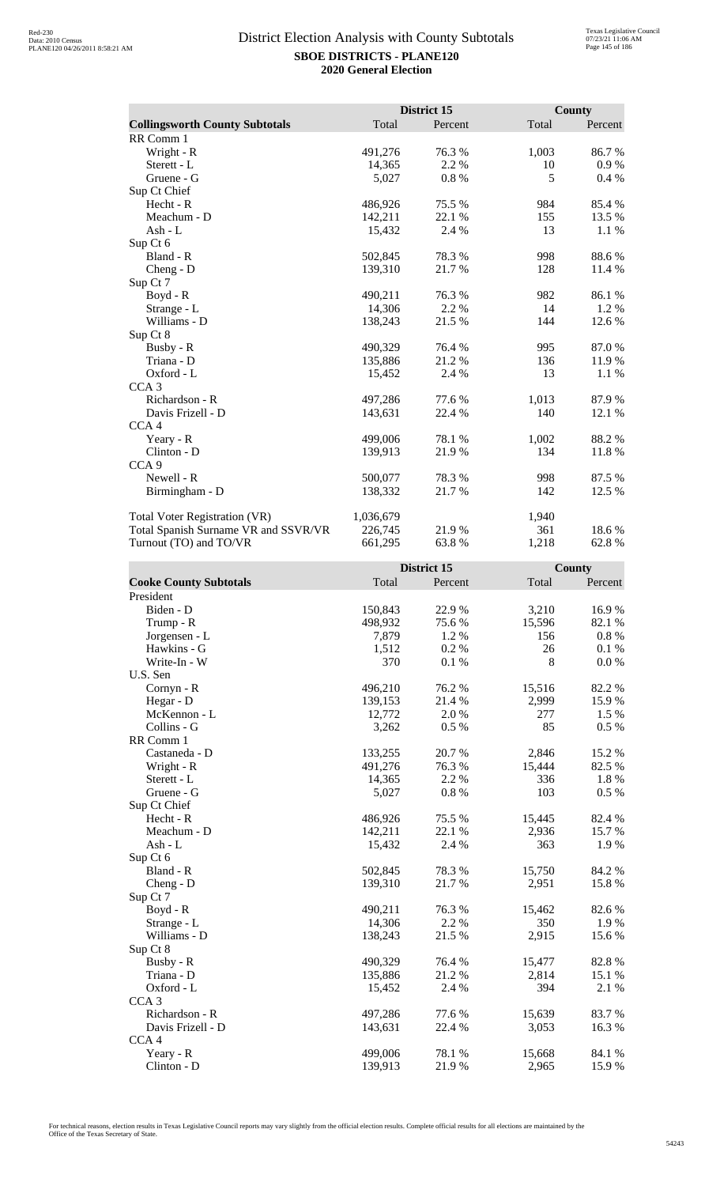|                                       |           | District 15 |       | County  |
|---------------------------------------|-----------|-------------|-------|---------|
| <b>Collingsworth County Subtotals</b> | Total     | Percent     | Total | Percent |
| RR Comm 1                             |           |             |       |         |
| Wright - R                            | 491,276   | 76.3 %      | 1,003 | 86.7%   |
| Sterett - L                           | 14,365    | 2.2 %       | 10    | 0.9%    |
| Gruene - G                            | 5,027     | 0.8%        | 5     | 0.4%    |
| Sup Ct Chief                          |           |             |       |         |
| Hecht - R                             | 486,926   | 75.5 %      | 984   | 85.4 %  |
| Meachum - D                           | 142,211   | 22.1 %      | 155   | 13.5 %  |
| Ash - L                               | 15,432    | 2.4 %       | 13    | 1.1 %   |
| Sup Ct 6                              |           |             |       |         |
| Bland - R                             | 502,845   | 78.3%       | 998   | 88.6%   |
| Cheng - D                             | 139,310   | 21.7%       | 128   | 11.4 %  |
| Sup Ct 7                              |           |             |       |         |
| Boyd - R                              | 490,211   | 76.3 %      | 982   | 86.1 %  |
| Strange - L                           | 14.306    | 2.2 %       | 14    | 1.2 %   |
| Williams - D                          | 138,243   | 21.5 %      | 144   | 12.6 %  |
| Sup Ct 8                              |           |             |       |         |
| Busby - R                             | 490,329   | 76.4%       | 995   | 87.0%   |
| Triana - D                            | 135,886   | 21.2%       | 136   | 11.9%   |
| Oxford - L                            | 15,452    | 2.4 %       | 13    | 1.1 %   |
| CCA <sub>3</sub>                      |           |             |       |         |
| Richardson - R                        | 497,286   | 77.6 %      | 1,013 | 87.9%   |
| Davis Frizell - D                     | 143,631   | 22.4 %      | 140   | 12.1 %  |
| CCA <sub>4</sub>                      |           |             |       |         |
| Yeary - R                             | 499,006   | 78.1 %      | 1,002 | 88.2%   |
| Clinton - D                           | 139,913   | 21.9 %      | 134   | 11.8 %  |
| CCA <sub>9</sub>                      |           |             |       |         |
| Newell - R                            | 500,077   | 78.3%       | 998   | 87.5 %  |
| Birmingham - D                        | 138,332   | 21.7 %      | 142   | 12.5 %  |
| <b>Total Voter Registration (VR)</b>  | 1,036,679 |             | 1,940 |         |
| Total Spanish Surname VR and SSVR/VR  | 226,745   | 21.9%       | 361   | 18.6%   |
| Turnout (TO) and TO/VR                | 661,295   | 63.8%       | 1,218 | 62.8%   |

|                               |         | District 15 |        | County   |  |
|-------------------------------|---------|-------------|--------|----------|--|
| <b>Cooke County Subtotals</b> | Total   | Percent     | Total  | Percent  |  |
| President                     |         |             |        |          |  |
| Biden - D                     | 150,843 | 22.9%       | 3,210  | 16.9%    |  |
| Trump - R                     | 498,932 | 75.6 %      | 15,596 | 82.1 %   |  |
| Jorgensen - L                 | 7,879   | 1.2%        | 156    | $0.8~\%$ |  |
| Hawkins - G                   | 1,512   | 0.2%        | 26     | 0.1%     |  |
| Write-In - W                  | 370     | 0.1%        | 8      | 0.0 %    |  |
| U.S. Sen                      |         |             |        |          |  |
| Cornyn - R                    | 496,210 | 76.2 %      | 15,516 | 82.2%    |  |
| Hegar - D                     | 139,153 | 21.4 %      | 2,999  | 15.9%    |  |
| McKennon - L                  | 12,772  | 2.0%        | 277    | 1.5 %    |  |
| Collins - G                   | 3,262   | 0.5%        | 85     | 0.5%     |  |
| RR Comm 1                     |         |             |        |          |  |
| Castaneda - D                 | 133,255 | 20.7%       | 2,846  | 15.2 %   |  |
| Wright - R                    | 491,276 | 76.3 %      | 15,444 | 82.5 %   |  |
| Sterett - L                   | 14,365  | 2.2 %       | 336    | 1.8%     |  |
| Gruene - G                    | 5,027   | 0.8%        | 103    | $0.5\%$  |  |
| Sup Ct Chief                  |         |             |        |          |  |
| Hecht - R                     | 486,926 | 75.5 %      | 15,445 | 82.4 %   |  |
| Meachum - D                   | 142,211 | 22.1 %      | 2,936  | 15.7%    |  |
| Ash - $L$                     | 15,432  | 2.4 %       | 363    | 1.9%     |  |
| Sup Ct 6                      |         |             |        |          |  |
| Bland - R                     | 502,845 | 78.3%       | 15,750 | 84.2 %   |  |
| Cheng - D                     | 139,310 | 21.7%       | 2,951  | 15.8%    |  |
| Sup Ct 7                      |         |             |        |          |  |
| $Boyd - R$                    | 490,211 | 76.3%       | 15,462 | 82.6%    |  |
| Strange - L                   | 14,306  | 2.2 %       | 350    | 1.9 %    |  |
| Williams - D                  | 138,243 | 21.5 %      | 2,915  | 15.6%    |  |
| Sup Ct 8                      |         |             |        |          |  |
| Busby - R                     | 490,329 | 76.4%       | 15,477 | 82.8%    |  |
| Triana - D                    | 135,886 | 21.2%       | 2,814  | 15.1 %   |  |
| Oxford - L                    | 15,452  | 2.4 %       | 394    | 2.1 %    |  |
| CCA <sub>3</sub>              |         |             |        |          |  |
| Richardson - R                | 497,286 | 77.6 %      | 15,639 | 83.7%    |  |
| Davis Frizell - D             | 143,631 | 22.4 %      | 3,053  | 16.3%    |  |
| CCA <sub>4</sub>              |         |             |        |          |  |
| Yeary - R                     | 499,006 | 78.1 %      | 15,668 | 84.1 %   |  |
| Clinton - D                   | 139,913 | 21.9%       | 2,965  | 15.9%    |  |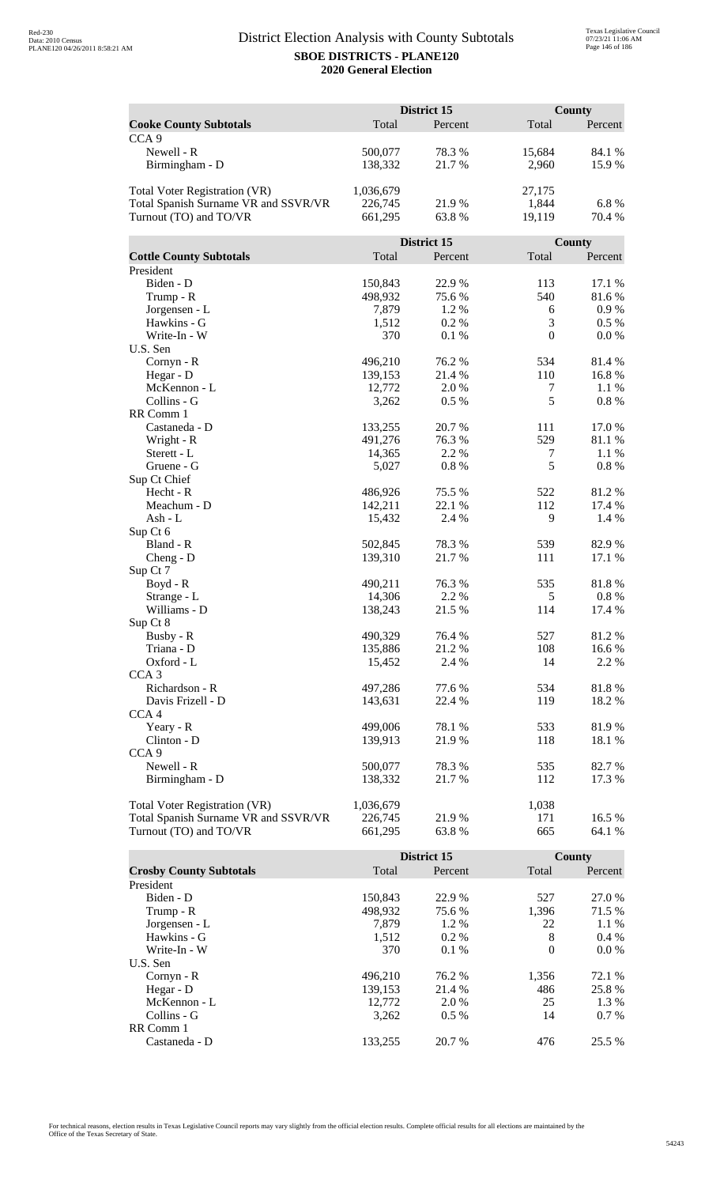|                                      | District 15 |             |                  | <b>County</b> |  |
|--------------------------------------|-------------|-------------|------------------|---------------|--|
| <b>Cooke County Subtotals</b>        | Total       | Percent     | Total            | Percent       |  |
| CCA <sub>9</sub>                     |             |             |                  |               |  |
| Newell - R                           | 500,077     | 78.3%       | 15,684           | 84.1 %        |  |
| Birmingham - D                       | 138,332     | 21.7%       | 2,960            | 15.9%         |  |
|                                      |             |             |                  |               |  |
| <b>Total Voter Registration (VR)</b> | 1,036,679   |             | 27,175           |               |  |
| Total Spanish Surname VR and SSVR/VR | 226,745     | 21.9%       | 1,844            | 6.8%          |  |
| Turnout (TO) and TO/VR               | 661,295     | 63.8%       | 19,119           | 70.4 %        |  |
|                                      |             |             |                  |               |  |
|                                      |             | District 15 |                  | County        |  |
| <b>Cottle County Subtotals</b>       | Total       | Percent     | Total            | Percent       |  |
| President                            |             |             |                  |               |  |
| Biden - D                            | 150,843     | 22.9%       | 113              | 17.1 %        |  |
| Trump - R                            | 498,932     | 75.6%       | 540              | 81.6%         |  |
| Jorgensen - L                        | 7,879       | 1.2%        | 6                | $0.9\ \%$     |  |
| Hawkins - G                          | 1,512       | 0.2%        | 3                | $0.5\%$       |  |
| Write-In - W                         | 370         | 0.1%        | $\boldsymbol{0}$ | 0.0 %         |  |
| U.S. Sen                             |             |             |                  |               |  |
| Cornyn - R                           | 496,210     | 76.2 %      | 534              | 81.4%         |  |
| Hegar - D                            | 139,153     | 21.4 %      | 110              | 16.8%         |  |
| McKennon - L                         | 12,772      | 2.0 %       | 7                | 1.1 %         |  |
| Collins - G                          | 3,262       | 0.5%        | 5                | $0.8~\%$      |  |
| RR Comm 1                            |             |             |                  |               |  |
| Castaneda - D                        | 133,255     | 20.7 %      | 111              | 17.0%         |  |
| Wright - R                           | 491,276     | 76.3%       | 529              | 81.1%         |  |
| Sterett - L                          | 14,365      | 2.2 %       | 7<br>5           | 1.1 %         |  |
| Gruene - G<br>Sup Ct Chief           | 5,027       | 0.8%        |                  | 0.8%          |  |
| Hecht - R                            | 486,926     | 75.5 %      | 522              | 81.2%         |  |
| Meachum - D                          | 142,211     | 22.1 %      | 112              | 17.4 %        |  |
| Ash - L                              | 15,432      | 2.4 %       | 9                | 1.4 %         |  |
| Sup Ct 6                             |             |             |                  |               |  |
| Bland - R                            | 502,845     | 78.3%       | 539              | 82.9%         |  |
| $Cheng - D$                          | 139,310     | 21.7%       | 111              | 17.1 %        |  |
| Sup Ct 7                             |             |             |                  |               |  |
| Boyd - R                             | 490,211     | 76.3 %      | 535              | 81.8%         |  |
| Strange - L                          | 14,306      | 2.2 %       | $\mathfrak s$    | 0.8 %         |  |
| Williams - D                         | 138,243     | 21.5 %      | 114              | 17.4 %        |  |
| Sup Ct 8                             |             |             |                  |               |  |
| Busby - R                            | 490,329     | 76.4 %      | 527              | 81.2%         |  |
| Triana - D                           | 135,886     | 21.2%       | 108              | 16.6%         |  |
| Oxford - L                           | 15,452      | 2.4 %       | 14               | 2.2 %         |  |
| CCA <sub>3</sub>                     |             |             |                  |               |  |
| Richardson - R                       | 497,286     | 77.6 %      | 534              | 81.8%         |  |
| Davis Frizell - D                    | 143,631     | 22.4 %      | 119              | 18.2%         |  |
| CCA <sub>4</sub>                     |             |             |                  |               |  |
| Yeary - R                            | 499,006     | 78.1 %      | 533              | 81.9%         |  |
| Clinton - D                          | 139,913     | 21.9%       | 118              | 18.1 %        |  |
| CCA <sub>9</sub>                     |             |             |                  |               |  |
| Newell - R                           | 500,077     | 78.3 %      | 535              | 82.7%         |  |
| Birmingham - D                       | 138,332     | 21.7 %      | 112              | 17.3 %        |  |
|                                      |             |             |                  |               |  |
| <b>Total Voter Registration (VR)</b> | 1,036,679   |             | 1,038            |               |  |
| Total Spanish Surname VR and SSVR/VR | 226,745     | 21.9%       | 171              | 16.5 %        |  |
| Turnout (TO) and TO/VR               | 661,295     | 63.8%       | 665              | 64.1 %        |  |

|                                |         | District 15 |          | County  |  |
|--------------------------------|---------|-------------|----------|---------|--|
| <b>Crosby County Subtotals</b> | Total   | Percent     | Total    | Percent |  |
| President                      |         |             |          |         |  |
| Biden - D                      | 150,843 | 22.9 %      | 527      | 27.0 %  |  |
| Trump - R                      | 498,932 | 75.6 %      | 1,396    | 71.5 %  |  |
| Jorgensen - L                  | 7.879   | $1.2\%$     | 22       | $1.1\%$ |  |
| Hawkins - G                    | 1,512   | $0.2\%$     | 8        | $0.4\%$ |  |
| Write-In - W                   | 370     | $0.1\%$     | $\Omega$ | $0.0\%$ |  |
| U.S. Sen                       |         |             |          |         |  |
| $Cornyn - R$                   | 496.210 | 76.2 %      | 1,356    | 72.1 %  |  |
| Hegar - D                      | 139,153 | 21.4 %      | 486      | 25.8 %  |  |
| McKennon - L                   | 12,772  | 2.0 %       | 25       | 1.3 %   |  |
| Collins - G                    | 3,262   | $0.5\%$     | 14       | $0.7\%$ |  |
| RR Comm 1                      |         |             |          |         |  |
| Castaneda - D                  | 133.255 | 20.7 %      | 476      | 25.5 %  |  |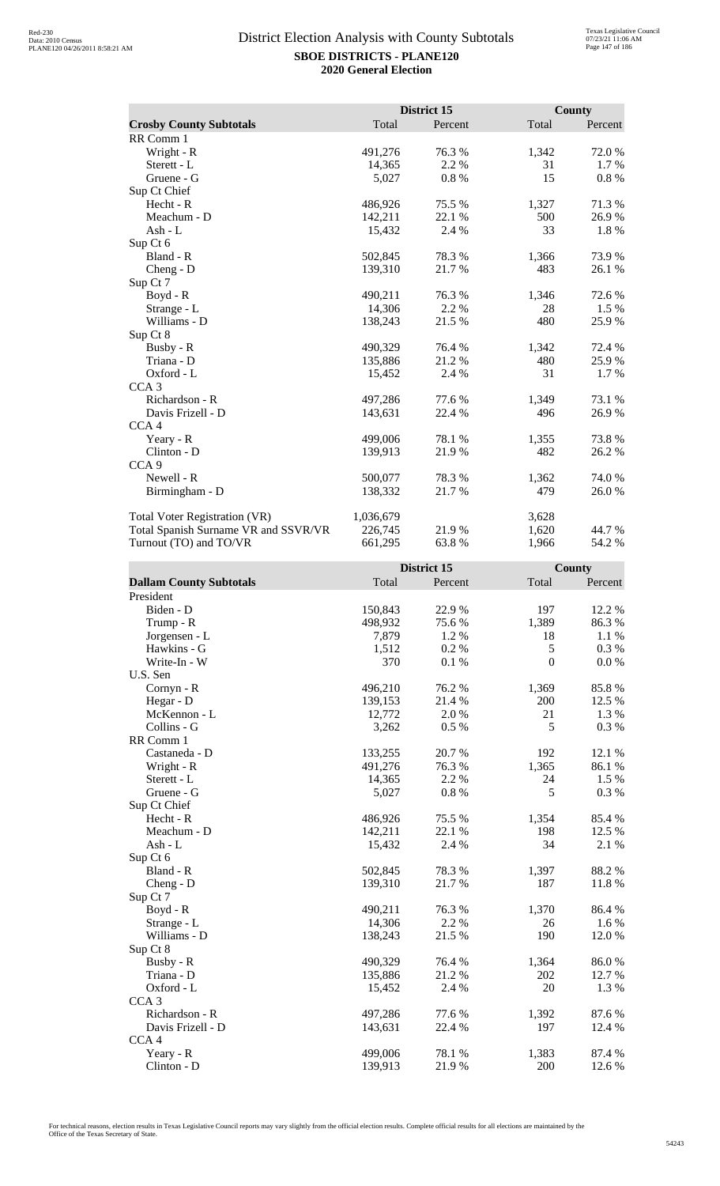|                                      |           | District 15 | <b>County</b> |          |
|--------------------------------------|-----------|-------------|---------------|----------|
| <b>Crosby County Subtotals</b>       | Total     | Percent     | Total         | Percent  |
| RR Comm 1                            |           |             |               |          |
| Wright - R                           | 491,276   | 76.3%       | 1,342         | 72.0%    |
| Sterett - L                          | 14,365    | 2.2 %       | 31            | 1.7 %    |
| Gruene - G                           | 5,027     | 0.8%        | 15            | $0.8 \%$ |
| Sup Ct Chief                         |           |             |               |          |
| Hecht - R                            | 486,926   | 75.5 %      | 1,327         | 71.3%    |
| Meachum - D                          | 142,211   | 22.1 %      | 500           | 26.9%    |
| Ash - $L$                            | 15,432    | 2.4 %       | 33            | 1.8%     |
| Sup Ct 6                             |           |             |               |          |
| Bland - R                            | 502,845   | 78.3 %      | 1,366         | 73.9%    |
| $Cheng - D$                          | 139,310   | 21.7 %      | 483           | 26.1 %   |
| Sup Ct 7                             |           |             |               |          |
| Boyd - R                             | 490,211   | 76.3%       | 1,346         | 72.6 %   |
| Strange - L                          | 14,306    | 2.2 %       | 28            | 1.5 %    |
| Williams - D                         | 138,243   | 21.5 %      | 480           | 25.9 %   |
| Sup Ct 8                             |           |             |               |          |
| Busby - R                            | 490,329   | 76.4 %      | 1,342         | 72.4 %   |
| Triana - D                           | 135,886   | 21.2 %      | 480           | 25.9 %   |
| Oxford - L                           | 15,452    | 2.4 %       | 31            | 1.7 %    |
| CCA <sub>3</sub>                     |           |             |               |          |
| Richardson - R                       | 497,286   | 77.6 %      | 1,349         | 73.1 %   |
| Davis Frizell - D                    | 143,631   | 22.4 %      | 496           | 26.9%    |
| CCA <sub>4</sub>                     |           |             |               |          |
| Yeary - R                            | 499,006   | 78.1 %      | 1,355         | 73.8%    |
| Clinton - D                          | 139,913   | 21.9%       | 482           | 26.2 %   |
| CCA <sub>9</sub>                     |           |             |               |          |
| Newell - R                           | 500,077   | 78.3 %      | 1,362         | 74.0 %   |
| Birmingham - D                       | 138,332   | 21.7%       | 479           | 26.0%    |
|                                      |           |             |               |          |
| Total Voter Registration (VR)        | 1,036,679 |             | 3,628         |          |
| Total Spanish Surname VR and SSVR/VR | 226,745   | 21.9%       | 1,620         | 44.7 %   |
| Turnout (TO) and TO/VR               | 661,295   | 63.8%       | 1,966         | 54.2 %   |

|                                |         | District 15 |               | County    |
|--------------------------------|---------|-------------|---------------|-----------|
| <b>Dallam County Subtotals</b> | Total   | Percent     | Total         | Percent   |
| President                      |         |             |               |           |
| Biden - D                      | 150,843 | 22.9%       | 197           | 12.2 %    |
| Trump - R                      | 498,932 | 75.6%       | 1,389         | 86.3%     |
| Jorgensen - L                  | 7,879   | 1.2%        | 18            | 1.1 %     |
| Hawkins - G                    | 1,512   | 0.2%        | $\mathfrak s$ | 0.3 %     |
| Write-In - W                   | 370     | 0.1 %       | $\mathbf{0}$  | $0.0\ \%$ |
| U.S. Sen                       |         |             |               |           |
| Cornyn - R                     | 496,210 | 76.2%       | 1,369         | 85.8%     |
| Hegar - D                      | 139,153 | 21.4 %      | 200           | 12.5 %    |
| McKennon - L                   | 12,772  | 2.0%        | 21            | 1.3 %     |
| Collins - G                    | 3,262   | 0.5 %       | 5             | 0.3 %     |
| RR Comm 1                      |         |             |               |           |
| Castaneda - D                  | 133,255 | 20.7%       | 192           | 12.1 %    |
| Wright - R                     | 491,276 | 76.3%       | 1,365         | 86.1%     |
| Sterett - L                    | 14,365  | 2.2 %       | 24            | 1.5 %     |
| Gruene - G                     | 5,027   | $0.8~\%$    | 5             | 0.3 %     |
| Sup Ct Chief                   |         |             |               |           |
| Hecht - R                      | 486,926 | 75.5 %      | 1,354         | 85.4%     |
| Meachum - D                    | 142,211 | 22.1 %      | 198           | 12.5 %    |
| $Ash - L$                      | 15,432  | 2.4 %       | 34            | 2.1 %     |
| Sup Ct 6                       |         |             |               |           |
| Bland - R                      | 502,845 | 78.3%       | 1,397         | 88.2%     |
| Cheng - D                      | 139,310 | 21.7%       | 187           | 11.8 %    |
| Sup Ct 7                       |         |             |               |           |
| $Boyd - R$                     | 490,211 | 76.3%       | 1,370         | 86.4%     |
| Strange - L                    | 14,306  | 2.2 %       | 26            | 1.6 %     |
| Williams - D                   | 138,243 | 21.5 %      | 190           | 12.0%     |
| Sup Ct 8                       |         |             |               |           |
| Busby - R                      | 490,329 | 76.4 %      | 1,364         | 86.0%     |
| Triana - D                     | 135,886 | 21.2%       | 202           | 12.7 %    |
| Oxford - L                     | 15,452  | 2.4 %       | 20            | 1.3%      |
| CCA <sub>3</sub>               |         |             |               |           |
| Richardson - R                 | 497,286 | 77.6 %      | 1,392         | 87.6%     |
| Davis Frizell - D              | 143,631 | 22.4 %      | 197           | 12.4 %    |
| CCA <sub>4</sub>               |         |             |               |           |
| Yeary - R                      | 499,006 | 78.1 %      | 1,383         | 87.4 %    |
| Clinton - D                    | 139,913 | 21.9%       | 200           | 12.6 %    |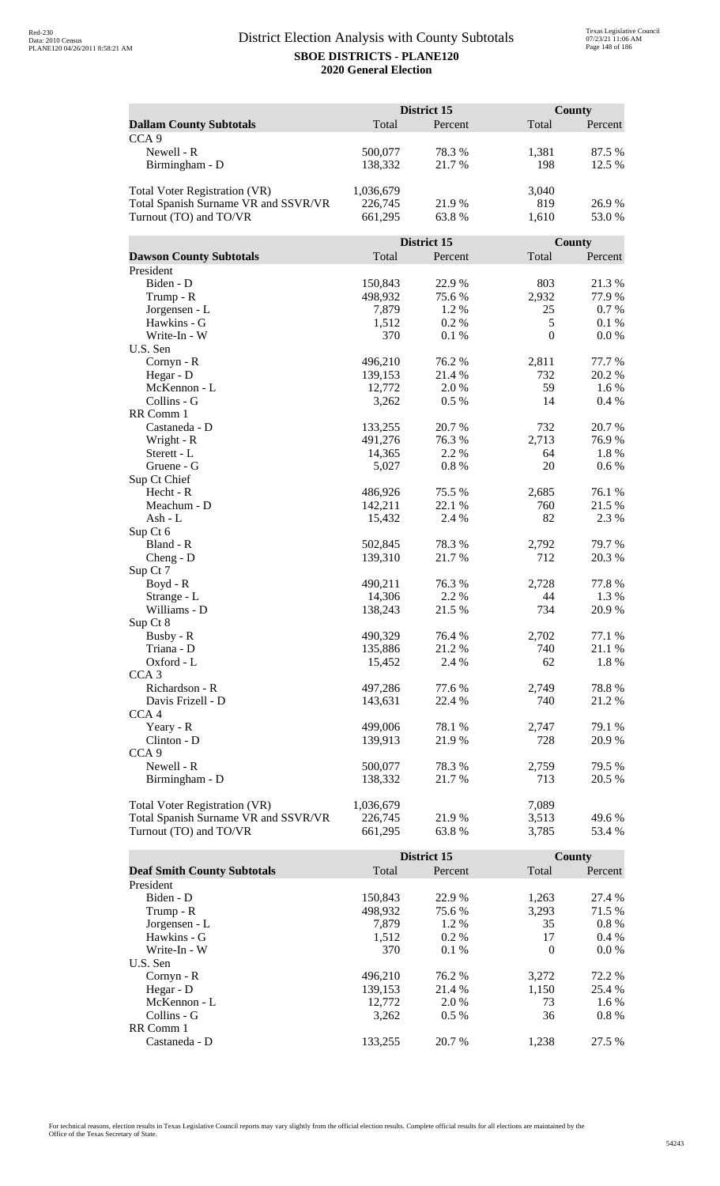|                                      |                    | District 15 |                  | <b>County</b> |
|--------------------------------------|--------------------|-------------|------------------|---------------|
| <b>Dallam County Subtotals</b>       | Total              | Percent     | Total            | Percent       |
| CCA <sub>9</sub>                     |                    |             |                  |               |
| Newell - R                           | 500,077            | 78.3%       | 1,381            | 87.5 %        |
| Birmingham - D                       | 138,332            | 21.7%       | 198              | 12.5 %        |
|                                      |                    |             |                  |               |
| <b>Total Voter Registration (VR)</b> | 1,036,679          |             | 3,040            |               |
| Total Spanish Surname VR and SSVR/VR | 226,745            | 21.9%       | 819              | 26.9%         |
| Turnout (TO) and TO/VR               | 661,295            | 63.8%       | 1,610            | 53.0%         |
|                                      |                    |             |                  |               |
|                                      |                    | District 15 |                  | County        |
| <b>Dawson County Subtotals</b>       | Total              | Percent     | Total            | Percent       |
| President                            |                    |             |                  |               |
| Biden - D                            | 150,843            | 22.9%       | 803              | 21.3%         |
| Trump - R                            | 498,932            | 75.6%       | 2,932            | 77.9 %        |
| Jorgensen - L                        | 7,879              | 1.2%        | 25               | 0.7 %         |
| Hawkins - G                          | 1,512              | 0.2%        | $\sqrt{5}$       | 0.1%          |
| Write-In - W                         | 370                | 0.1%        | $\boldsymbol{0}$ | 0.0 %         |
| U.S. Sen                             |                    |             |                  |               |
| Cornyn - R                           | 496,210            | 76.2 %      | 2,811            | 77.7 %        |
| Hegar - D                            | 139,153            | 21.4 %      | 732              | 20.2 %        |
| McKennon - L                         | 12,772             | 2.0 %       | 59               | 1.6 %         |
| Collins - G                          | 3,262              | 0.5%        | 14               | 0.4%          |
| RR Comm 1                            |                    |             |                  |               |
| Castaneda - D                        | 133,255            | 20.7%       | 732              | 20.7%         |
| Wright - R                           | 491,276            | 76.3%       | 2,713            | 76.9%         |
| Sterett - L                          | 14,365             | 2.2 %       | 64               | 1.8 %         |
| Gruene - G                           | 5,027              | 0.8%        | 20               | 0.6 %         |
| Sup Ct Chief<br>Hecht - R            |                    | 75.5 %      |                  | 76.1 %        |
| Meachum - D                          | 486,926<br>142,211 | 22.1 %      | 2,685<br>760     | 21.5 %        |
| Ash - L                              | 15,432             | 2.4 %       | 82               | 2.3 %         |
| Sup Ct 6                             |                    |             |                  |               |
| Bland - R                            | 502,845            | 78.3%       | 2,792            | 79.7%         |
| $Cheng - D$                          | 139,310            | 21.7%       | 712              | 20.3 %        |
| Sup Ct 7                             |                    |             |                  |               |
| Boyd - R                             | 490,211            | 76.3 %      | 2,728            | 77.8 %        |
| Strange - L                          | 14,306             | 2.2 %       | 44               | 1.3 %         |
| Williams - D                         | 138,243            | 21.5 %      | 734              | 20.9%         |
| Sup Ct 8                             |                    |             |                  |               |
| Busby - R                            | 490,329            | 76.4 %      | 2,702            | 77.1 %        |
| Triana - D                           | 135,886            | 21.2%       | 740              | 21.1 %        |
| Oxford - L                           | 15,452             | 2.4 %       | 62               | 1.8%          |
| CCA <sub>3</sub>                     |                    |             |                  |               |
| Richardson - R                       | 497,286            | 77.6 %      | 2,749            | 78.8%         |
| Davis Frizell - D                    | 143,631            | 22.4 %      | 740              | 21.2%         |
| CCA <sub>4</sub>                     |                    |             |                  |               |
| Yeary - R                            | 499,006            | 78.1 %      | 2,747            | 79.1 %        |
| Clinton - D                          | 139,913            | 21.9 %      | 728              | 20.9%         |
| CCA <sub>9</sub>                     |                    |             |                  |               |
| Newell - R                           | 500,077            | 78.3%       | 2,759            | 79.5 %        |
| Birmingham - D                       | 138,332            | 21.7 %      | 713              | 20.5 %        |
|                                      |                    |             |                  |               |
| Total Voter Registration (VR)        | 1,036,679          |             | 7,089            |               |
| Total Spanish Surname VR and SSVR/VR | 226,745            | 21.9%       | 3,513            | 49.6%         |
| Turnout (TO) and TO/VR               | 661,295            | 63.8%       | 3,785            | 53.4 %        |

|                                    |         | District 15 |          | <b>County</b> |
|------------------------------------|---------|-------------|----------|---------------|
| <b>Deaf Smith County Subtotals</b> | Total   | Percent     | Total    | Percent       |
| President                          |         |             |          |               |
| Biden - D                          | 150,843 | 22.9 %      | 1,263    | 27.4 %        |
| Trump - R                          | 498,932 | 75.6 %      | 3,293    | 71.5 %        |
| Jorgensen - L                      | 7.879   | $1.2\%$     | 35       | $0.8\%$       |
| Hawkins - G                        | 1,512   | $0.2\%$     | 17       | $0.4\%$       |
| Write-In - W                       | 370     | $0.1\%$     | $\Omega$ | $0.0\%$       |
| U.S. Sen                           |         |             |          |               |
| $Cornyn - R$                       | 496.210 | 76.2 %      | 3,272    | 72.2 %        |
| Hegar - $D$                        | 139.153 | 21.4 %      | 1,150    | 25.4 %        |
| McKennon - L                       | 12,772  | 2.0 %       | 73       | 1.6 %         |
| Collins - G                        | 3.262   | $0.5\%$     | 36       | $0.8\%$       |
| RR Comm 1                          |         |             |          |               |
| Castaneda - D                      | 133.255 | 20.7 %      | 1.238    | 27.5 %        |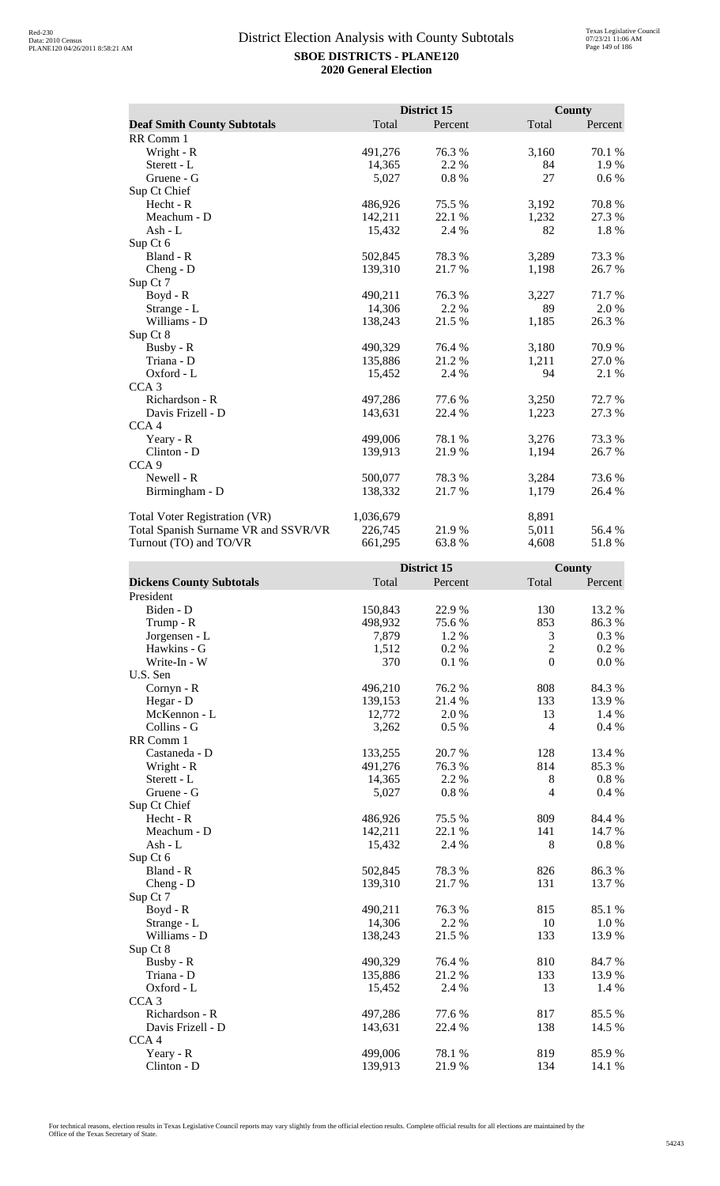|                                      |           | District 15 |       | County  |
|--------------------------------------|-----------|-------------|-------|---------|
| <b>Deaf Smith County Subtotals</b>   | Total     | Percent     | Total | Percent |
| RR Comm 1                            |           |             |       |         |
| Wright - R                           | 491,276   | 76.3%       | 3,160 | 70.1 %  |
| Sterett - L                          | 14,365    | 2.2 %       | 84    | 1.9%    |
| Gruene - G                           | 5,027     | 0.8%        | 27    | $0.6\%$ |
| Sup Ct Chief                         |           |             |       |         |
| $Hecht - R$                          | 486,926   | 75.5 %      | 3,192 | 70.8%   |
| Meachum - D                          | 142,211   | 22.1 %      | 1,232 | 27.3 %  |
| Ash - L                              | 15,432    | 2.4 %       | 82    | 1.8%    |
| Sup Ct 6                             |           |             |       |         |
| Bland - R                            | 502,845   | 78.3 %      | 3,289 | 73.3 %  |
| Cheng - D                            | 139,310   | 21.7%       | 1,198 | 26.7%   |
| Sup Ct 7                             |           |             |       |         |
| Boyd - R                             | 490,211   | 76.3%       | 3,227 | 71.7 %  |
| Strange - L                          | 14,306    | 2.2 %       | 89    | 2.0 %   |
| Williams - D                         | 138,243   | 21.5 %      | 1,185 | 26.3%   |
| Sup Ct 8                             |           |             |       |         |
| Busby - R                            | 490,329   | 76.4 %      | 3,180 | 70.9%   |
| Triana - D                           | 135,886   | 21.2 %      | 1,211 | 27.0 %  |
| Oxford - L                           | 15,452    | 2.4 %       | 94    | 2.1 %   |
| CCA <sub>3</sub>                     |           |             |       |         |
| Richardson - R                       | 497,286   | 77.6%       | 3,250 | 72.7 %  |
| Davis Frizell - D                    | 143,631   | 22.4 %      | 1,223 | 27.3 %  |
| CCA <sub>4</sub>                     |           |             |       |         |
| Yeary - R                            | 499,006   | 78.1 %      | 3,276 | 73.3 %  |
| Clinton - D                          | 139,913   | 21.9%       | 1,194 | 26.7%   |
| CCA <sub>9</sub>                     |           |             |       |         |
| Newell - R                           | 500,077   | 78.3 %      | 3,284 | 73.6 %  |
| Birmingham - D                       | 138,332   | 21.7%       | 1,179 | 26.4 %  |
| Total Voter Registration (VR)        | 1,036,679 |             | 8,891 |         |
| Total Spanish Surname VR and SSVR/VR | 226,745   | 21.9%       | 5,011 | 56.4 %  |
| Turnout (TO) and TO/VR               | 661,295   | 63.8%       | 4,608 | 51.8%   |

|                                 | District 15 |         | County           |          |
|---------------------------------|-------------|---------|------------------|----------|
| <b>Dickens County Subtotals</b> | Total       | Percent | Total            | Percent  |
| President                       |             |         |                  |          |
| Biden - D                       | 150,843     | 22.9%   | 130              | 13.2 %   |
| Trump - R                       | 498,932     | 75.6%   | 853              | 86.3%    |
| Jorgensen - L                   | 7,879       | 1.2%    | 3                | 0.3 %    |
| Hawkins - G                     | 1,512       | 0.2%    | $\overline{2}$   | 0.2 %    |
| Write-In - W                    | 370         | 0.1 %   | $\boldsymbol{0}$ | 0.0 %    |
| U.S. Sen                        |             |         |                  |          |
| Cornyn - R                      | 496,210     | 76.2%   | 808              | 84.3 %   |
| Hegar - D                       | 139,153     | 21.4%   | 133              | 13.9%    |
| McKennon - L                    | 12,772      | 2.0%    | 13               | 1.4 %    |
| Collins - G                     | 3,262       | 0.5 %   | $\overline{4}$   | 0.4 %    |
| RR Comm 1                       |             |         |                  |          |
| Castaneda - D                   | 133,255     | 20.7%   | 128              | 13.4 %   |
| Wright - R                      | 491,276     | 76.3%   | 814              | 85.3%    |
| Sterett - L                     | 14,365      | 2.2 %   | $8\,$            | $0.8~\%$ |
| Gruene - G                      | 5,027       | 0.8 %   | $\overline{4}$   | 0.4 %    |
| Sup Ct Chief                    |             |         |                  |          |
| Hecht - R                       | 486,926     | 75.5 %  | 809              | 84.4 %   |
| Meachum - D                     | 142,211     | 22.1 %  | 141              | 14.7 %   |
| $Ash - L$                       | 15,432      | 2.4 %   | 8                | $0.8~\%$ |
| Sup Ct 6                        |             |         |                  |          |
| Bland - R                       | 502,845     | 78.3%   | 826              | 86.3%    |
| Cheng - D                       | 139,310     | 21.7%   | 131              | 13.7%    |
| Sup Ct 7                        |             |         |                  |          |
| Boyd - R                        | 490,211     | 76.3%   | 815              | 85.1 %   |
| Strange - L                     | 14,306      | 2.2%    | 10               | 1.0%     |
| Williams - D                    | 138,243     | 21.5 %  | 133              | 13.9%    |
| Sup Ct 8                        |             |         |                  |          |
| Busby - R                       | 490,329     | 76.4%   | 810              | 84.7%    |
| Triana - D                      | 135,886     | 21.2%   | 133              | 13.9%    |
| Oxford - L                      | 15,452      | 2.4 %   | 13               | 1.4 %    |
| CCA <sub>3</sub>                |             |         |                  |          |
| Richardson - R                  | 497,286     | 77.6 %  | 817              | 85.5%    |
| Davis Frizell - D               | 143,631     | 22.4 %  | 138              | 14.5 %   |
| CCA <sub>4</sub>                |             |         |                  |          |
| Yeary - R                       | 499,006     | 78.1 %  | 819              | 85.9%    |
| Clinton - D                     | 139,913     | 21.9%   | 134              | 14.1 %   |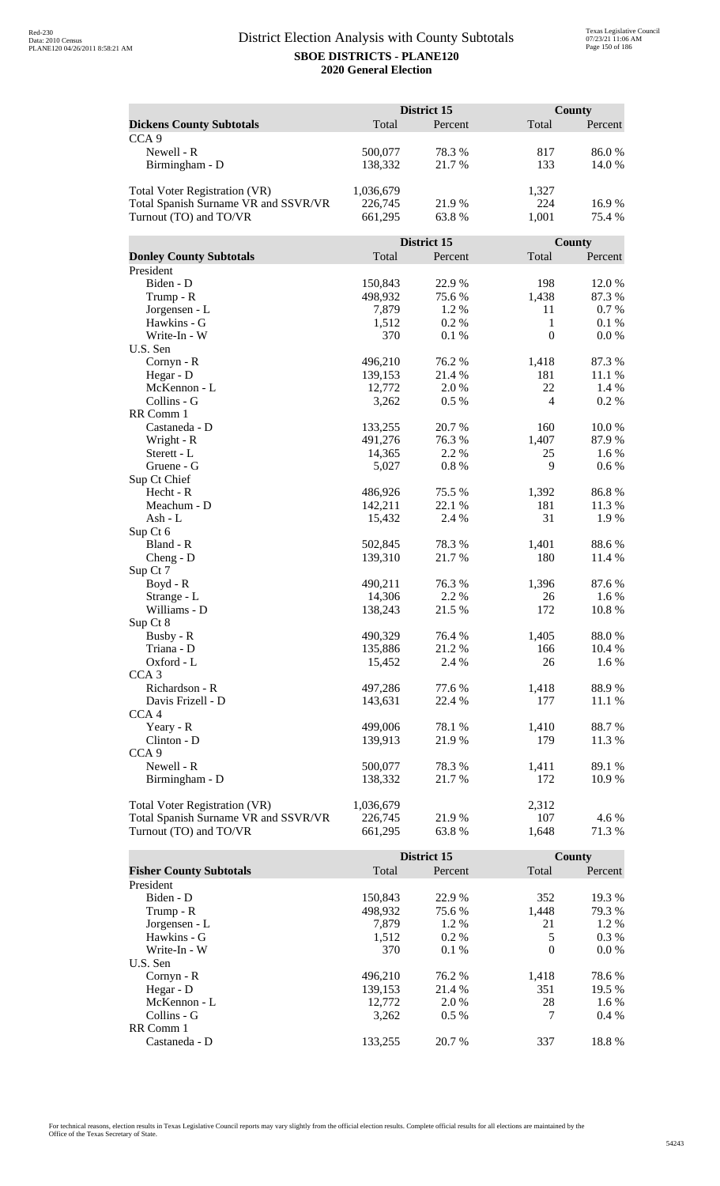| Total<br>Total<br><b>Dickens County Subtotals</b><br>Percent<br>Percent<br>CCA <sub>9</sub><br>Newell - R<br>78.3%<br>817<br>86.0%<br>500,077<br>133<br>Birmingham - D<br>138,332<br>21.7%<br>14.0%<br>1,036,679<br>1,327<br><b>Total Voter Registration (VR)</b><br>Total Spanish Surname VR and SSVR/VR<br>224<br>226,745<br>21.9%<br>16.9%<br>Turnout (TO) and TO/VR<br>661,295<br>1,001<br>63.8%<br>75.4 %<br>District 15<br>County<br>Total<br><b>Donley County Subtotals</b><br>Total<br>Percent<br>Percent<br>President<br>Biden - D<br>150,843<br>22.9%<br>198<br>12.0%<br>87.3%<br>498,932<br>75.6%<br>1,438<br>Trump - R<br>Jorgensen - L<br>7,879<br>1.2%<br>11<br>0.7 %<br>$\mathbf{1}$<br>Hawkins - G<br>1,512<br>0.2%<br>0.1%<br>$\mathbf{0}$<br>370<br>Write-In - W<br>0.1%<br>0.0 %<br>U.S. Sen<br>76.2%<br>1,418<br>87.3%<br>Cornyn - R<br>496,210<br>181<br>11.1 %<br>139,153<br>21.4 %<br>Hegar - D<br>22<br>McKennon - L<br>12,772<br>2.0 %<br>1.4 %<br>$\overline{4}$<br>Collins - G<br>0.2%<br>3,262<br>$0.5\%$<br>RR Comm 1<br>Castaneda - D<br>133,255<br>20.7%<br>160<br>10.0%<br>Wright - R<br>491,276<br>76.3%<br>1,407<br>87.9%<br>14,365<br>2.2 %<br>25<br>1.6%<br>Sterett - L<br>9<br>0.8%<br>0.6 %<br>Gruene - G<br>5,027<br>Sup Ct Chief<br>86.8%<br>Hecht - R<br>486,926<br>75.5 %<br>1,392<br>142,211<br>Meachum - D<br>22.1 %<br>181<br>11.3 %<br>31<br>15,432<br>2.4 %<br>1.9%<br>Ash - L<br>Sup Ct 6<br>Bland - R<br>502,845<br>78.3%<br>88.6%<br>1,401<br>21.7%<br>180<br>11.4 %<br>$Cheng - D$<br>139,310<br>Sup Ct 7<br>490,211<br>76.3%<br>1,396<br>87.6%<br>$Boyd - R$<br>14,306<br>2.2 %<br>1.6 %<br>Strange - L<br>26<br>Williams - D<br>138,243<br>21.5 %<br>172<br>10.8%<br>Sup Ct 8<br>Busby - R<br>490,329<br>76.4 %<br>1,405<br>88.0%<br>Triana - D<br>135,886<br>21.2%<br>166<br>10.4 %<br>26<br>Oxford - L<br>15,452<br>2.4 %<br>1.6 %<br>CCA <sub>3</sub><br>Richardson - R<br>497,286<br>77.6 %<br>1,418<br>88.9%<br>Davis Frizell - D<br>143,631<br>22.4 %<br>177<br>11.1 %<br>CCA <sub>4</sub><br>499,006<br>78.1 %<br>1,410<br>88.7%<br>Yeary - R<br>139,913<br>179<br>Clinton - D<br>21.9%<br>11.3 %<br>CCA <sub>9</sub><br>Newell - R<br>78.3%<br>500,077<br>1,411<br>89.1 %<br>Birmingham - D<br>138,332<br>21.7 %<br>172<br>10.9 %<br><b>Total Voter Registration (VR)</b><br>1,036,679<br>2,312<br>Total Spanish Surname VR and SSVR/VR<br>21.9%<br>107<br>4.6 %<br>226,745<br>Turnout (TO) and TO/VR<br>661,295<br>63.8%<br>1,648<br>71.3 % |  | District 15 | County |  |
|-----------------------------------------------------------------------------------------------------------------------------------------------------------------------------------------------------------------------------------------------------------------------------------------------------------------------------------------------------------------------------------------------------------------------------------------------------------------------------------------------------------------------------------------------------------------------------------------------------------------------------------------------------------------------------------------------------------------------------------------------------------------------------------------------------------------------------------------------------------------------------------------------------------------------------------------------------------------------------------------------------------------------------------------------------------------------------------------------------------------------------------------------------------------------------------------------------------------------------------------------------------------------------------------------------------------------------------------------------------------------------------------------------------------------------------------------------------------------------------------------------------------------------------------------------------------------------------------------------------------------------------------------------------------------------------------------------------------------------------------------------------------------------------------------------------------------------------------------------------------------------------------------------------------------------------------------------------------------------------------------------------------------------------------------------------------------------------------------------------------------------------------------------------------------------------------------------------------------------------------------------------------------------------------------------------------------------------------------------------------------------------------------------------------------------------------------------------------------------------------------------------|--|-------------|--------|--|
|                                                                                                                                                                                                                                                                                                                                                                                                                                                                                                                                                                                                                                                                                                                                                                                                                                                                                                                                                                                                                                                                                                                                                                                                                                                                                                                                                                                                                                                                                                                                                                                                                                                                                                                                                                                                                                                                                                                                                                                                                                                                                                                                                                                                                                                                                                                                                                                                                                                                                                           |  |             |        |  |
|                                                                                                                                                                                                                                                                                                                                                                                                                                                                                                                                                                                                                                                                                                                                                                                                                                                                                                                                                                                                                                                                                                                                                                                                                                                                                                                                                                                                                                                                                                                                                                                                                                                                                                                                                                                                                                                                                                                                                                                                                                                                                                                                                                                                                                                                                                                                                                                                                                                                                                           |  |             |        |  |
|                                                                                                                                                                                                                                                                                                                                                                                                                                                                                                                                                                                                                                                                                                                                                                                                                                                                                                                                                                                                                                                                                                                                                                                                                                                                                                                                                                                                                                                                                                                                                                                                                                                                                                                                                                                                                                                                                                                                                                                                                                                                                                                                                                                                                                                                                                                                                                                                                                                                                                           |  |             |        |  |
|                                                                                                                                                                                                                                                                                                                                                                                                                                                                                                                                                                                                                                                                                                                                                                                                                                                                                                                                                                                                                                                                                                                                                                                                                                                                                                                                                                                                                                                                                                                                                                                                                                                                                                                                                                                                                                                                                                                                                                                                                                                                                                                                                                                                                                                                                                                                                                                                                                                                                                           |  |             |        |  |
|                                                                                                                                                                                                                                                                                                                                                                                                                                                                                                                                                                                                                                                                                                                                                                                                                                                                                                                                                                                                                                                                                                                                                                                                                                                                                                                                                                                                                                                                                                                                                                                                                                                                                                                                                                                                                                                                                                                                                                                                                                                                                                                                                                                                                                                                                                                                                                                                                                                                                                           |  |             |        |  |
|                                                                                                                                                                                                                                                                                                                                                                                                                                                                                                                                                                                                                                                                                                                                                                                                                                                                                                                                                                                                                                                                                                                                                                                                                                                                                                                                                                                                                                                                                                                                                                                                                                                                                                                                                                                                                                                                                                                                                                                                                                                                                                                                                                                                                                                                                                                                                                                                                                                                                                           |  |             |        |  |
|                                                                                                                                                                                                                                                                                                                                                                                                                                                                                                                                                                                                                                                                                                                                                                                                                                                                                                                                                                                                                                                                                                                                                                                                                                                                                                                                                                                                                                                                                                                                                                                                                                                                                                                                                                                                                                                                                                                                                                                                                                                                                                                                                                                                                                                                                                                                                                                                                                                                                                           |  |             |        |  |
|                                                                                                                                                                                                                                                                                                                                                                                                                                                                                                                                                                                                                                                                                                                                                                                                                                                                                                                                                                                                                                                                                                                                                                                                                                                                                                                                                                                                                                                                                                                                                                                                                                                                                                                                                                                                                                                                                                                                                                                                                                                                                                                                                                                                                                                                                                                                                                                                                                                                                                           |  |             |        |  |
|                                                                                                                                                                                                                                                                                                                                                                                                                                                                                                                                                                                                                                                                                                                                                                                                                                                                                                                                                                                                                                                                                                                                                                                                                                                                                                                                                                                                                                                                                                                                                                                                                                                                                                                                                                                                                                                                                                                                                                                                                                                                                                                                                                                                                                                                                                                                                                                                                                                                                                           |  |             |        |  |
|                                                                                                                                                                                                                                                                                                                                                                                                                                                                                                                                                                                                                                                                                                                                                                                                                                                                                                                                                                                                                                                                                                                                                                                                                                                                                                                                                                                                                                                                                                                                                                                                                                                                                                                                                                                                                                                                                                                                                                                                                                                                                                                                                                                                                                                                                                                                                                                                                                                                                                           |  |             |        |  |
|                                                                                                                                                                                                                                                                                                                                                                                                                                                                                                                                                                                                                                                                                                                                                                                                                                                                                                                                                                                                                                                                                                                                                                                                                                                                                                                                                                                                                                                                                                                                                                                                                                                                                                                                                                                                                                                                                                                                                                                                                                                                                                                                                                                                                                                                                                                                                                                                                                                                                                           |  |             |        |  |
|                                                                                                                                                                                                                                                                                                                                                                                                                                                                                                                                                                                                                                                                                                                                                                                                                                                                                                                                                                                                                                                                                                                                                                                                                                                                                                                                                                                                                                                                                                                                                                                                                                                                                                                                                                                                                                                                                                                                                                                                                                                                                                                                                                                                                                                                                                                                                                                                                                                                                                           |  |             |        |  |
|                                                                                                                                                                                                                                                                                                                                                                                                                                                                                                                                                                                                                                                                                                                                                                                                                                                                                                                                                                                                                                                                                                                                                                                                                                                                                                                                                                                                                                                                                                                                                                                                                                                                                                                                                                                                                                                                                                                                                                                                                                                                                                                                                                                                                                                                                                                                                                                                                                                                                                           |  |             |        |  |
|                                                                                                                                                                                                                                                                                                                                                                                                                                                                                                                                                                                                                                                                                                                                                                                                                                                                                                                                                                                                                                                                                                                                                                                                                                                                                                                                                                                                                                                                                                                                                                                                                                                                                                                                                                                                                                                                                                                                                                                                                                                                                                                                                                                                                                                                                                                                                                                                                                                                                                           |  |             |        |  |
|                                                                                                                                                                                                                                                                                                                                                                                                                                                                                                                                                                                                                                                                                                                                                                                                                                                                                                                                                                                                                                                                                                                                                                                                                                                                                                                                                                                                                                                                                                                                                                                                                                                                                                                                                                                                                                                                                                                                                                                                                                                                                                                                                                                                                                                                                                                                                                                                                                                                                                           |  |             |        |  |
|                                                                                                                                                                                                                                                                                                                                                                                                                                                                                                                                                                                                                                                                                                                                                                                                                                                                                                                                                                                                                                                                                                                                                                                                                                                                                                                                                                                                                                                                                                                                                                                                                                                                                                                                                                                                                                                                                                                                                                                                                                                                                                                                                                                                                                                                                                                                                                                                                                                                                                           |  |             |        |  |
|                                                                                                                                                                                                                                                                                                                                                                                                                                                                                                                                                                                                                                                                                                                                                                                                                                                                                                                                                                                                                                                                                                                                                                                                                                                                                                                                                                                                                                                                                                                                                                                                                                                                                                                                                                                                                                                                                                                                                                                                                                                                                                                                                                                                                                                                                                                                                                                                                                                                                                           |  |             |        |  |
|                                                                                                                                                                                                                                                                                                                                                                                                                                                                                                                                                                                                                                                                                                                                                                                                                                                                                                                                                                                                                                                                                                                                                                                                                                                                                                                                                                                                                                                                                                                                                                                                                                                                                                                                                                                                                                                                                                                                                                                                                                                                                                                                                                                                                                                                                                                                                                                                                                                                                                           |  |             |        |  |
|                                                                                                                                                                                                                                                                                                                                                                                                                                                                                                                                                                                                                                                                                                                                                                                                                                                                                                                                                                                                                                                                                                                                                                                                                                                                                                                                                                                                                                                                                                                                                                                                                                                                                                                                                                                                                                                                                                                                                                                                                                                                                                                                                                                                                                                                                                                                                                                                                                                                                                           |  |             |        |  |
|                                                                                                                                                                                                                                                                                                                                                                                                                                                                                                                                                                                                                                                                                                                                                                                                                                                                                                                                                                                                                                                                                                                                                                                                                                                                                                                                                                                                                                                                                                                                                                                                                                                                                                                                                                                                                                                                                                                                                                                                                                                                                                                                                                                                                                                                                                                                                                                                                                                                                                           |  |             |        |  |
|                                                                                                                                                                                                                                                                                                                                                                                                                                                                                                                                                                                                                                                                                                                                                                                                                                                                                                                                                                                                                                                                                                                                                                                                                                                                                                                                                                                                                                                                                                                                                                                                                                                                                                                                                                                                                                                                                                                                                                                                                                                                                                                                                                                                                                                                                                                                                                                                                                                                                                           |  |             |        |  |
|                                                                                                                                                                                                                                                                                                                                                                                                                                                                                                                                                                                                                                                                                                                                                                                                                                                                                                                                                                                                                                                                                                                                                                                                                                                                                                                                                                                                                                                                                                                                                                                                                                                                                                                                                                                                                                                                                                                                                                                                                                                                                                                                                                                                                                                                                                                                                                                                                                                                                                           |  |             |        |  |
|                                                                                                                                                                                                                                                                                                                                                                                                                                                                                                                                                                                                                                                                                                                                                                                                                                                                                                                                                                                                                                                                                                                                                                                                                                                                                                                                                                                                                                                                                                                                                                                                                                                                                                                                                                                                                                                                                                                                                                                                                                                                                                                                                                                                                                                                                                                                                                                                                                                                                                           |  |             |        |  |
|                                                                                                                                                                                                                                                                                                                                                                                                                                                                                                                                                                                                                                                                                                                                                                                                                                                                                                                                                                                                                                                                                                                                                                                                                                                                                                                                                                                                                                                                                                                                                                                                                                                                                                                                                                                                                                                                                                                                                                                                                                                                                                                                                                                                                                                                                                                                                                                                                                                                                                           |  |             |        |  |
|                                                                                                                                                                                                                                                                                                                                                                                                                                                                                                                                                                                                                                                                                                                                                                                                                                                                                                                                                                                                                                                                                                                                                                                                                                                                                                                                                                                                                                                                                                                                                                                                                                                                                                                                                                                                                                                                                                                                                                                                                                                                                                                                                                                                                                                                                                                                                                                                                                                                                                           |  |             |        |  |
|                                                                                                                                                                                                                                                                                                                                                                                                                                                                                                                                                                                                                                                                                                                                                                                                                                                                                                                                                                                                                                                                                                                                                                                                                                                                                                                                                                                                                                                                                                                                                                                                                                                                                                                                                                                                                                                                                                                                                                                                                                                                                                                                                                                                                                                                                                                                                                                                                                                                                                           |  |             |        |  |
|                                                                                                                                                                                                                                                                                                                                                                                                                                                                                                                                                                                                                                                                                                                                                                                                                                                                                                                                                                                                                                                                                                                                                                                                                                                                                                                                                                                                                                                                                                                                                                                                                                                                                                                                                                                                                                                                                                                                                                                                                                                                                                                                                                                                                                                                                                                                                                                                                                                                                                           |  |             |        |  |
|                                                                                                                                                                                                                                                                                                                                                                                                                                                                                                                                                                                                                                                                                                                                                                                                                                                                                                                                                                                                                                                                                                                                                                                                                                                                                                                                                                                                                                                                                                                                                                                                                                                                                                                                                                                                                                                                                                                                                                                                                                                                                                                                                                                                                                                                                                                                                                                                                                                                                                           |  |             |        |  |
|                                                                                                                                                                                                                                                                                                                                                                                                                                                                                                                                                                                                                                                                                                                                                                                                                                                                                                                                                                                                                                                                                                                                                                                                                                                                                                                                                                                                                                                                                                                                                                                                                                                                                                                                                                                                                                                                                                                                                                                                                                                                                                                                                                                                                                                                                                                                                                                                                                                                                                           |  |             |        |  |
|                                                                                                                                                                                                                                                                                                                                                                                                                                                                                                                                                                                                                                                                                                                                                                                                                                                                                                                                                                                                                                                                                                                                                                                                                                                                                                                                                                                                                                                                                                                                                                                                                                                                                                                                                                                                                                                                                                                                                                                                                                                                                                                                                                                                                                                                                                                                                                                                                                                                                                           |  |             |        |  |
|                                                                                                                                                                                                                                                                                                                                                                                                                                                                                                                                                                                                                                                                                                                                                                                                                                                                                                                                                                                                                                                                                                                                                                                                                                                                                                                                                                                                                                                                                                                                                                                                                                                                                                                                                                                                                                                                                                                                                                                                                                                                                                                                                                                                                                                                                                                                                                                                                                                                                                           |  |             |        |  |
|                                                                                                                                                                                                                                                                                                                                                                                                                                                                                                                                                                                                                                                                                                                                                                                                                                                                                                                                                                                                                                                                                                                                                                                                                                                                                                                                                                                                                                                                                                                                                                                                                                                                                                                                                                                                                                                                                                                                                                                                                                                                                                                                                                                                                                                                                                                                                                                                                                                                                                           |  |             |        |  |
|                                                                                                                                                                                                                                                                                                                                                                                                                                                                                                                                                                                                                                                                                                                                                                                                                                                                                                                                                                                                                                                                                                                                                                                                                                                                                                                                                                                                                                                                                                                                                                                                                                                                                                                                                                                                                                                                                                                                                                                                                                                                                                                                                                                                                                                                                                                                                                                                                                                                                                           |  |             |        |  |
|                                                                                                                                                                                                                                                                                                                                                                                                                                                                                                                                                                                                                                                                                                                                                                                                                                                                                                                                                                                                                                                                                                                                                                                                                                                                                                                                                                                                                                                                                                                                                                                                                                                                                                                                                                                                                                                                                                                                                                                                                                                                                                                                                                                                                                                                                                                                                                                                                                                                                                           |  |             |        |  |
|                                                                                                                                                                                                                                                                                                                                                                                                                                                                                                                                                                                                                                                                                                                                                                                                                                                                                                                                                                                                                                                                                                                                                                                                                                                                                                                                                                                                                                                                                                                                                                                                                                                                                                                                                                                                                                                                                                                                                                                                                                                                                                                                                                                                                                                                                                                                                                                                                                                                                                           |  |             |        |  |
|                                                                                                                                                                                                                                                                                                                                                                                                                                                                                                                                                                                                                                                                                                                                                                                                                                                                                                                                                                                                                                                                                                                                                                                                                                                                                                                                                                                                                                                                                                                                                                                                                                                                                                                                                                                                                                                                                                                                                                                                                                                                                                                                                                                                                                                                                                                                                                                                                                                                                                           |  |             |        |  |
|                                                                                                                                                                                                                                                                                                                                                                                                                                                                                                                                                                                                                                                                                                                                                                                                                                                                                                                                                                                                                                                                                                                                                                                                                                                                                                                                                                                                                                                                                                                                                                                                                                                                                                                                                                                                                                                                                                                                                                                                                                                                                                                                                                                                                                                                                                                                                                                                                                                                                                           |  |             |        |  |
|                                                                                                                                                                                                                                                                                                                                                                                                                                                                                                                                                                                                                                                                                                                                                                                                                                                                                                                                                                                                                                                                                                                                                                                                                                                                                                                                                                                                                                                                                                                                                                                                                                                                                                                                                                                                                                                                                                                                                                                                                                                                                                                                                                                                                                                                                                                                                                                                                                                                                                           |  |             |        |  |
|                                                                                                                                                                                                                                                                                                                                                                                                                                                                                                                                                                                                                                                                                                                                                                                                                                                                                                                                                                                                                                                                                                                                                                                                                                                                                                                                                                                                                                                                                                                                                                                                                                                                                                                                                                                                                                                                                                                                                                                                                                                                                                                                                                                                                                                                                                                                                                                                                                                                                                           |  |             |        |  |
|                                                                                                                                                                                                                                                                                                                                                                                                                                                                                                                                                                                                                                                                                                                                                                                                                                                                                                                                                                                                                                                                                                                                                                                                                                                                                                                                                                                                                                                                                                                                                                                                                                                                                                                                                                                                                                                                                                                                                                                                                                                                                                                                                                                                                                                                                                                                                                                                                                                                                                           |  |             |        |  |
|                                                                                                                                                                                                                                                                                                                                                                                                                                                                                                                                                                                                                                                                                                                                                                                                                                                                                                                                                                                                                                                                                                                                                                                                                                                                                                                                                                                                                                                                                                                                                                                                                                                                                                                                                                                                                                                                                                                                                                                                                                                                                                                                                                                                                                                                                                                                                                                                                                                                                                           |  |             |        |  |
|                                                                                                                                                                                                                                                                                                                                                                                                                                                                                                                                                                                                                                                                                                                                                                                                                                                                                                                                                                                                                                                                                                                                                                                                                                                                                                                                                                                                                                                                                                                                                                                                                                                                                                                                                                                                                                                                                                                                                                                                                                                                                                                                                                                                                                                                                                                                                                                                                                                                                                           |  |             |        |  |
|                                                                                                                                                                                                                                                                                                                                                                                                                                                                                                                                                                                                                                                                                                                                                                                                                                                                                                                                                                                                                                                                                                                                                                                                                                                                                                                                                                                                                                                                                                                                                                                                                                                                                                                                                                                                                                                                                                                                                                                                                                                                                                                                                                                                                                                                                                                                                                                                                                                                                                           |  |             |        |  |
|                                                                                                                                                                                                                                                                                                                                                                                                                                                                                                                                                                                                                                                                                                                                                                                                                                                                                                                                                                                                                                                                                                                                                                                                                                                                                                                                                                                                                                                                                                                                                                                                                                                                                                                                                                                                                                                                                                                                                                                                                                                                                                                                                                                                                                                                                                                                                                                                                                                                                                           |  |             |        |  |
|                                                                                                                                                                                                                                                                                                                                                                                                                                                                                                                                                                                                                                                                                                                                                                                                                                                                                                                                                                                                                                                                                                                                                                                                                                                                                                                                                                                                                                                                                                                                                                                                                                                                                                                                                                                                                                                                                                                                                                                                                                                                                                                                                                                                                                                                                                                                                                                                                                                                                                           |  |             |        |  |
|                                                                                                                                                                                                                                                                                                                                                                                                                                                                                                                                                                                                                                                                                                                                                                                                                                                                                                                                                                                                                                                                                                                                                                                                                                                                                                                                                                                                                                                                                                                                                                                                                                                                                                                                                                                                                                                                                                                                                                                                                                                                                                                                                                                                                                                                                                                                                                                                                                                                                                           |  |             |        |  |
|                                                                                                                                                                                                                                                                                                                                                                                                                                                                                                                                                                                                                                                                                                                                                                                                                                                                                                                                                                                                                                                                                                                                                                                                                                                                                                                                                                                                                                                                                                                                                                                                                                                                                                                                                                                                                                                                                                                                                                                                                                                                                                                                                                                                                                                                                                                                                                                                                                                                                                           |  |             |        |  |
|                                                                                                                                                                                                                                                                                                                                                                                                                                                                                                                                                                                                                                                                                                                                                                                                                                                                                                                                                                                                                                                                                                                                                                                                                                                                                                                                                                                                                                                                                                                                                                                                                                                                                                                                                                                                                                                                                                                                                                                                                                                                                                                                                                                                                                                                                                                                                                                                                                                                                                           |  |             |        |  |
|                                                                                                                                                                                                                                                                                                                                                                                                                                                                                                                                                                                                                                                                                                                                                                                                                                                                                                                                                                                                                                                                                                                                                                                                                                                                                                                                                                                                                                                                                                                                                                                                                                                                                                                                                                                                                                                                                                                                                                                                                                                                                                                                                                                                                                                                                                                                                                                                                                                                                                           |  |             |        |  |
|                                                                                                                                                                                                                                                                                                                                                                                                                                                                                                                                                                                                                                                                                                                                                                                                                                                                                                                                                                                                                                                                                                                                                                                                                                                                                                                                                                                                                                                                                                                                                                                                                                                                                                                                                                                                                                                                                                                                                                                                                                                                                                                                                                                                                                                                                                                                                                                                                                                                                                           |  |             |        |  |
|                                                                                                                                                                                                                                                                                                                                                                                                                                                                                                                                                                                                                                                                                                                                                                                                                                                                                                                                                                                                                                                                                                                                                                                                                                                                                                                                                                                                                                                                                                                                                                                                                                                                                                                                                                                                                                                                                                                                                                                                                                                                                                                                                                                                                                                                                                                                                                                                                                                                                                           |  |             |        |  |
|                                                                                                                                                                                                                                                                                                                                                                                                                                                                                                                                                                                                                                                                                                                                                                                                                                                                                                                                                                                                                                                                                                                                                                                                                                                                                                                                                                                                                                                                                                                                                                                                                                                                                                                                                                                                                                                                                                                                                                                                                                                                                                                                                                                                                                                                                                                                                                                                                                                                                                           |  |             |        |  |
|                                                                                                                                                                                                                                                                                                                                                                                                                                                                                                                                                                                                                                                                                                                                                                                                                                                                                                                                                                                                                                                                                                                                                                                                                                                                                                                                                                                                                                                                                                                                                                                                                                                                                                                                                                                                                                                                                                                                                                                                                                                                                                                                                                                                                                                                                                                                                                                                                                                                                                           |  |             |        |  |
|                                                                                                                                                                                                                                                                                                                                                                                                                                                                                                                                                                                                                                                                                                                                                                                                                                                                                                                                                                                                                                                                                                                                                                                                                                                                                                                                                                                                                                                                                                                                                                                                                                                                                                                                                                                                                                                                                                                                                                                                                                                                                                                                                                                                                                                                                                                                                                                                                                                                                                           |  |             |        |  |

|                                |         | District 15 |          | County  |
|--------------------------------|---------|-------------|----------|---------|
| <b>Fisher County Subtotals</b> | Total   | Percent     | Total    | Percent |
| President                      |         |             |          |         |
| Biden - D                      | 150.843 | 22.9 %      | 352      | 19.3 %  |
| Trump - R                      | 498,932 | 75.6 %      | 1.448    | 79.3 %  |
| Jorgensen - L                  | 7.879   | $1.2\%$     | 21       | 1.2 %   |
| Hawkins - G                    | 1,512   | $0.2\%$     | 5        | $0.3\%$ |
| Write-In - W                   | 370     | $0.1\%$     | $\Omega$ | $0.0\%$ |
| U.S. Sen                       |         |             |          |         |
| Cornyn - R                     | 496.210 | 76.2 %      | 1,418    | 78.6 %  |
| Hegar - $D$                    | 139.153 | 21.4 %      | 351      | 19.5 %  |
| McKennon - L                   | 12,772  | 2.0 %       | 28       | 1.6 %   |
| Collins - G                    | 3.262   | $0.5\%$     | 7        | $0.4\%$ |
| RR Comm 1                      |         |             |          |         |
| Castaneda - D                  | 133.255 | 20.7 %      | 337      | 18.8%   |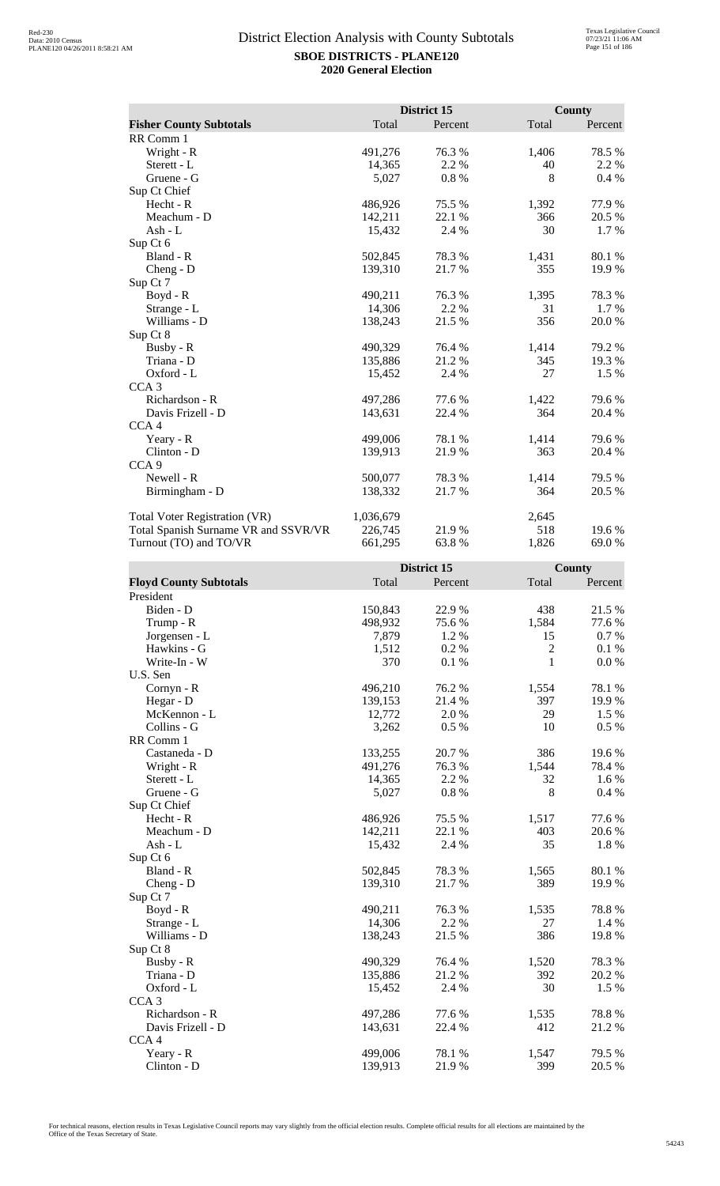|                                      |           | District 15 |       | <b>County</b> |
|--------------------------------------|-----------|-------------|-------|---------------|
| <b>Fisher County Subtotals</b>       | Total     | Percent     | Total | Percent       |
| RR Comm 1                            |           |             |       |               |
| Wright - R                           | 491,276   | 76.3%       | 1,406 | 78.5 %        |
| Sterett - L                          | 14,365    | 2.2 %       | 40    | 2.2 %         |
| Gruene - G                           | 5,027     | 0.8%        | 8     | $0.4\%$       |
| Sup Ct Chief                         |           |             |       |               |
| Hecht - R                            | 486,926   | 75.5 %      | 1,392 | 77.9 %        |
| Meachum - D                          | 142,211   | 22.1 %      | 366   | 20.5 %        |
| Ash - L                              | 15,432    | 2.4 %       | 30    | 1.7 %         |
| Sup Ct 6                             |           |             |       |               |
| Bland - R                            | 502,845   | 78.3%       | 1,431 | 80.1%         |
| $Cheng - D$                          | 139,310   | 21.7%       | 355   | 19.9%         |
| Sup Ct 7                             |           |             |       |               |
| $Boyd - R$                           | 490,211   | 76.3 %      | 1,395 | 78.3 %        |
| Strange - L                          | 14,306    | 2.2 %       | 31    | 1.7 %         |
| Williams - D                         | 138,243   | 21.5 %      | 356   | 20.0%         |
| Sup Ct 8                             |           |             |       |               |
| Busby - R                            | 490,329   | 76.4 %      | 1,414 | 79.2 %        |
| Triana - D                           | 135,886   | 21.2 %      | 345   | 19.3 %        |
| Oxford - L                           | 15,452    | 2.4 %       | 27    | 1.5 %         |
| CCA <sub>3</sub>                     |           |             |       |               |
| Richardson - R                       | 497,286   | 77.6 %      | 1,422 | 79.6 %        |
| Davis Frizell - D                    | 143,631   | 22.4 %      | 364   | 20.4 %        |
| CCA <sub>4</sub>                     |           |             |       |               |
| Yeary - R                            | 499,006   | 78.1 %      | 1,414 | 79.6 %        |
| Clinton - D                          | 139,913   | 21.9 %      | 363   | 20.4 %        |
| CCA <sub>9</sub>                     |           |             |       |               |
| Newell - R                           | 500,077   | 78.3 %      | 1,414 | 79.5 %        |
| Birmingham - D                       | 138,332   | 21.7%       | 364   | 20.5 %        |
|                                      |           |             |       |               |
| Total Voter Registration (VR)        | 1,036,679 |             | 2,645 |               |
| Total Spanish Surname VR and SSVR/VR | 226,745   | 21.9%       | 518   | 19.6 %        |
| Turnout (TO) and TO/VR               | 661,295   | 63.8%       | 1,826 | 69.0 %        |

|                               |         | District 15 |                | <b>County</b> |
|-------------------------------|---------|-------------|----------------|---------------|
| <b>Floyd County Subtotals</b> | Total   | Percent     | Total          | Percent       |
| President                     |         |             |                |               |
| Biden - D                     | 150,843 | 22.9%       | 438            | 21.5 %        |
| Trump - R                     | 498,932 | 75.6%       | 1,584          | 77.6 %        |
| Jorgensen - L                 | 7,879   | 1.2%        | 15             | 0.7 %         |
| Hawkins - G                   | 1,512   | 0.2%        | $\overline{2}$ | 0.1%          |
| Write-In - W                  | 370     | 0.1 %       | $\mathbf{1}$   | $0.0\ \%$     |
| U.S. Sen                      |         |             |                |               |
| Cornyn - R                    | 496,210 | 76.2%       | 1,554          | 78.1 %        |
| Hegar - D                     | 139,153 | 21.4 %      | 397            | 19.9%         |
| McKennon - L                  | 12,772  | 2.0%        | 29             | 1.5 %         |
| Collins - G                   | 3,262   | 0.5 %       | 10             | 0.5 %         |
| RR Comm 1                     |         |             |                |               |
| Castaneda - D                 | 133,255 | 20.7%       | 386            | 19.6%         |
| Wright - R                    | 491,276 | 76.3%       | 1,544          | 78.4%         |
| Sterett - L                   | 14,365  | 2.2 %       | 32             | 1.6 %         |
| Gruene - G                    | 5,027   | $0.8~\%$    | 8              | 0.4 %         |
| Sup Ct Chief                  |         |             |                |               |
| Hecht - R                     | 486,926 | 75.5 %      | 1,517          | 77.6%         |
| Meachum - D                   | 142,211 | 22.1 %      | 403            | 20.6%         |
| $Ash - L$                     | 15,432  | 2.4 %       | 35             | 1.8 %         |
| Sup Ct 6                      |         |             |                |               |
| Bland - R                     | 502,845 | 78.3%       | 1,565          | 80.1 %        |
| Cheng - D                     | 139,310 | 21.7%       | 389            | 19.9%         |
| Sup Ct 7                      |         |             |                |               |
| $Boyd - R$                    | 490,211 | 76.3%       | 1,535          | 78.8%         |
| Strange - L                   | 14,306  | 2.2 %       | 27             | 1.4 %         |
| Williams - D                  | 138,243 | 21.5 %      | 386            | 19.8%         |
| Sup Ct 8                      |         |             |                |               |
| Busby - R                     | 490,329 | 76.4%       | 1,520          | 78.3%         |
| Triana - D                    | 135,886 | 21.2%       | 392            | 20.2 %        |
| Oxford - L                    | 15,452  | 2.4 %       | 30             | 1.5 %         |
| CCA <sub>3</sub>              |         |             |                |               |
| Richardson - R                | 497,286 | 77.6 %      | 1,535          | 78.8%         |
| Davis Frizell - D             | 143,631 | 22.4 %      | 412            | 21.2%         |
| CCA <sub>4</sub>              |         |             |                |               |
| Yeary - R                     | 499,006 | 78.1 %      | 1,547          | 79.5 %        |
| Clinton - D                   | 139,913 | 21.9%       | 399            | 20.5 %        |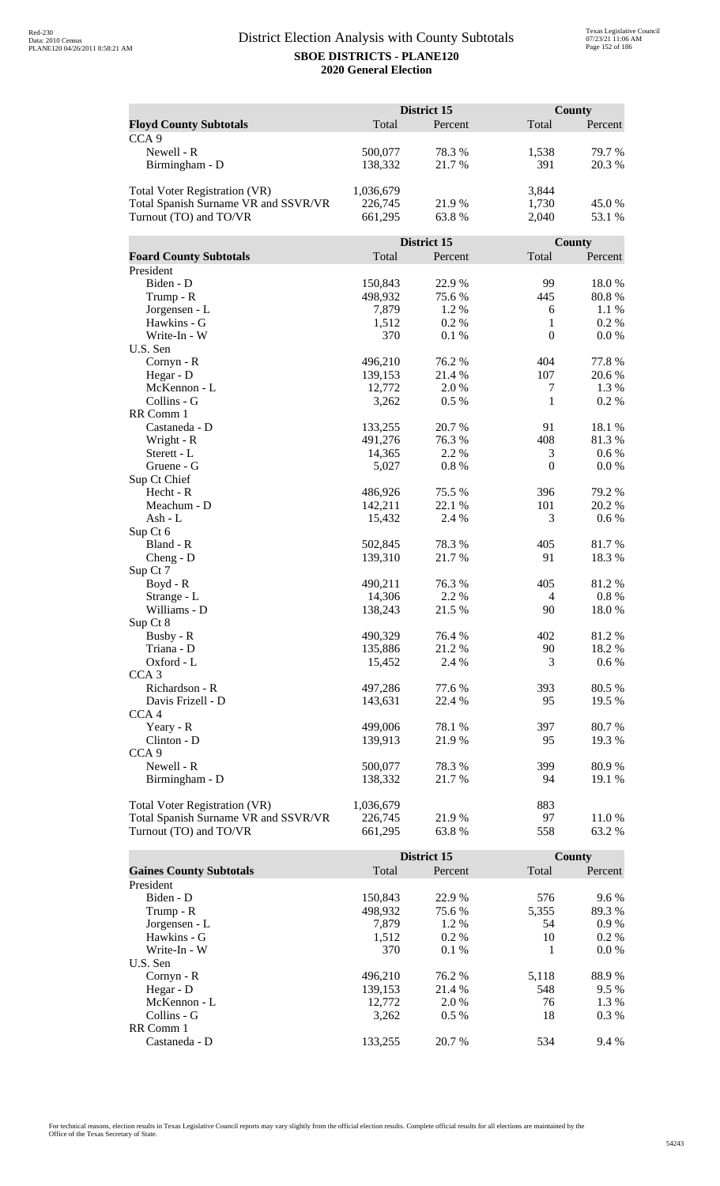|                                                                       |                    | District 15 |                  | <b>County</b>   |
|-----------------------------------------------------------------------|--------------------|-------------|------------------|-----------------|
| <b>Floyd County Subtotals</b>                                         | Total              | Percent     | Total            | Percent         |
| CCA <sub>9</sub>                                                      |                    |             |                  |                 |
| Newell - R                                                            | 500,077            | 78.3%       | 1,538            | 79.7%           |
| Birmingham - D                                                        | 138,332            | 21.7%       | 391              | 20.3 %          |
|                                                                       |                    |             |                  |                 |
| <b>Total Voter Registration (VR)</b>                                  | 1,036,679          |             | 3,844            |                 |
| Total Spanish Surname VR and SSVR/VR                                  | 226,745            | 21.9%       | 1,730            | 45.0%           |
| Turnout (TO) and TO/VR                                                | 661,295            | 63.8%       | 2,040            | 53.1 %          |
|                                                                       |                    |             |                  |                 |
|                                                                       |                    | District 15 |                  | County          |
| <b>Foard County Subtotals</b>                                         | Total              | Percent     | Total            | Percent         |
| President                                                             |                    |             |                  |                 |
| Biden - D                                                             | 150,843            | 22.9%       | 99               | 18.0%           |
| Trump - R                                                             | 498,932            | 75.6%       | 445              | 80.8%           |
| Jorgensen - L                                                         | 7,879              | 1.2%        | 6                | 1.1 %           |
| Hawkins - G                                                           | 1,512              | 0.2%        | 1                | 0.2 %           |
| Write-In - W                                                          | 370                | 0.1%        | $\boldsymbol{0}$ | 0.0 %           |
| U.S. Sen                                                              |                    |             |                  |                 |
| Cornyn - R                                                            | 496,210            | 76.2 %      | 404              | 77.8 %          |
| Hegar - D                                                             | 139,153            | 21.4 %      | 107              | 20.6 %          |
| McKennon - L                                                          | 12,772             | 2.0 %       | 7                | 1.3 %           |
| Collins - G                                                           | 3,262              | 0.5%        | 1                | 0.2 %           |
| RR Comm 1                                                             |                    |             |                  |                 |
| Castaneda - D                                                         | 133,255            | 20.7 %      | 91               | 18.1 %          |
| Wright - R                                                            | 491,276            | 76.3%       | 408              | 81.3%           |
| Sterett - L                                                           | 14,365             | 2.2 %       | 3                | 0.6 %           |
| Gruene - G                                                            | 5,027              | 0.8%        | $\boldsymbol{0}$ | 0.0 %           |
| Sup Ct Chief                                                          |                    |             |                  |                 |
| Hecht - R                                                             | 486,926            | 75.5 %      | 396              | 79.2 %          |
| Meachum - D                                                           | 142,211            | 22.1 %      | 101              | 20.2 %          |
| Ash - L                                                               | 15,432             | 2.4 %       | 3                | $0.6\%$         |
| Sup Ct 6                                                              |                    |             |                  |                 |
| Bland - R                                                             | 502,845            | 78.3%       | 405              | 81.7%           |
|                                                                       | 139,310            | 21.7%       | 91               | 18.3%           |
| $Cheng - D$<br>Sup Ct 7                                               |                    |             |                  |                 |
|                                                                       | 490,211            | 76.3 %      | 405              | 81.2%           |
| Boyd - R<br>Strange - L                                               | 14,306             | 2.2 %       | 4                | 0.8 %           |
| Williams - D                                                          |                    | 21.5 %      | 90               | 18.0%           |
|                                                                       | 138,243            |             |                  |                 |
| Sup Ct 8<br>Busby - R                                                 | 490,329            | 76.4 %      | 402              | 81.2%           |
| Triana - D                                                            | 135,886            | 21.2%       | 90               | 18.2%           |
| Oxford - L                                                            |                    | 2.4 %       | 3                | 0.6 %           |
| CCA <sub>3</sub>                                                      | 15,452             |             |                  |                 |
| Richardson - R                                                        | 497,286            | 77.6 %      | 393              | 80.5 %          |
| Davis Frizell - D                                                     | 143,631            | 22.4 %      | 95               | 19.5 %          |
|                                                                       |                    |             |                  |                 |
| CCA <sub>4</sub>                                                      | 499,006            | 78.1 %      |                  |                 |
| Yeary - R                                                             | 139,913            | 21.9%       | 397<br>95        | 80.7%<br>19.3 % |
| Clinton - D<br>CCA <sub>9</sub>                                       |                    |             |                  |                 |
|                                                                       |                    |             |                  |                 |
| Newell - R                                                            | 500,077<br>138,332 | 78.3%       | 399<br>94        | 80.9%           |
| Birmingham - D                                                        |                    | 21.7 %      |                  | 19.1 %          |
|                                                                       | 1,036,679          |             | 883              |                 |
| Total Voter Registration (VR)<br>Total Spanish Surname VR and SSVR/VR | 226,745            | 21.9%       | 97               | 11.0%           |
| Turnout (TO) and TO/VR                                                | 661,295            |             | 558              | 63.2%           |
|                                                                       |                    | 63.8%       |                  |                 |

|                                |         | District 15 |       | County  |
|--------------------------------|---------|-------------|-------|---------|
| <b>Gaines County Subtotals</b> | Total   | Percent     | Total | Percent |
| President                      |         |             |       |         |
| Biden - D                      | 150,843 | 22.9 %      | 576   | $9.6\%$ |
| Trump - R                      | 498,932 | 75.6 %      | 5,355 | 89.3 %  |
| Jorgensen - L                  | 7.879   | $1.2\%$     | 54    | $0.9\%$ |
| Hawkins - G                    | 1,512   | $0.2\%$     | 10    | $0.2\%$ |
| Write-In - W                   | 370     | $0.1\%$     |       | $0.0\%$ |
| U.S. Sen                       |         |             |       |         |
| Cornyn - R                     | 496.210 | 76.2 %      | 5,118 | 88.9%   |
| Hegar - $D$                    | 139,153 | 21.4 %      | 548   | 9.5%    |
| McKennon - L                   | 12,772  | 2.0 %       | 76    | 1.3 %   |
| Collins - G                    | 3,262   | $0.5\%$     | 18    | $0.3\%$ |
| RR Comm 1                      |         |             |       |         |
| Castaneda - D                  | 133.255 | 20.7 %      | 534   | 9.4 %   |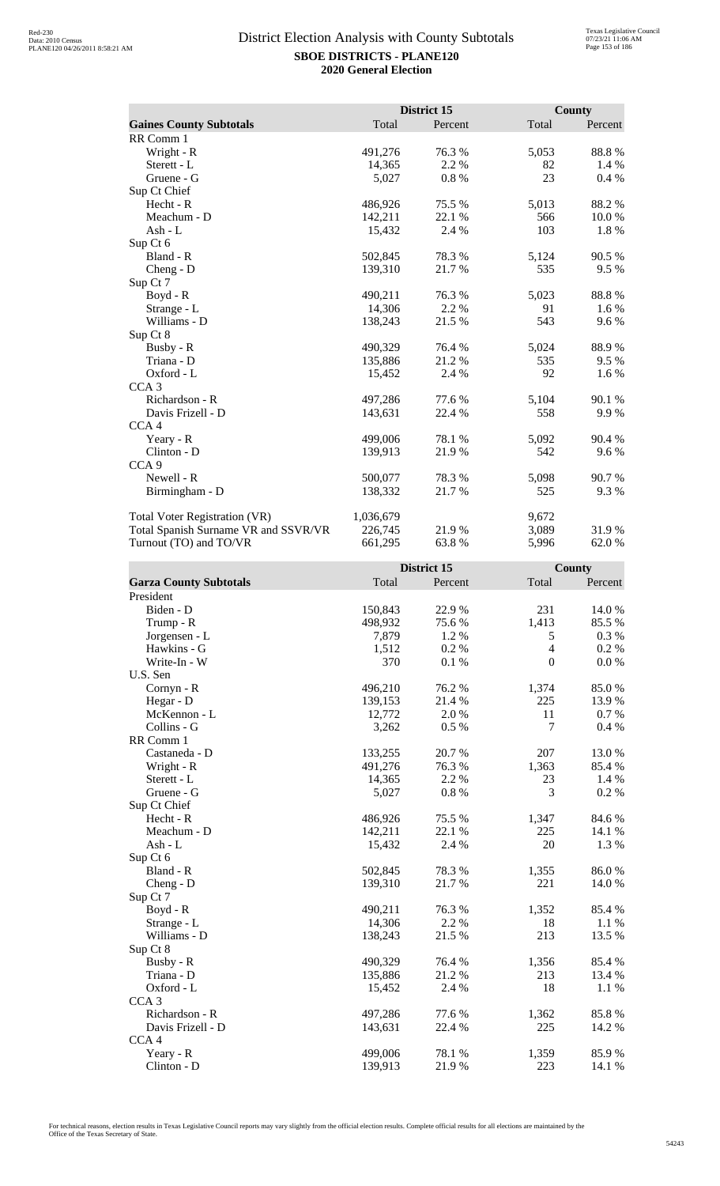|                                      |           | District 15 |       | <b>County</b> |
|--------------------------------------|-----------|-------------|-------|---------------|
| <b>Gaines County Subtotals</b>       | Total     | Percent     | Total | Percent       |
| RR Comm 1                            |           |             |       |               |
| Wright - R                           | 491,276   | 76.3%       | 5,053 | 88.8%         |
| Sterett - L                          | 14,365    | 2.2 %       | 82    | 1.4 %         |
| Gruene - G                           | 5,027     | 0.8%        | 23    | 0.4 %         |
| Sup Ct Chief                         |           |             |       |               |
| Hecht - R                            | 486,926   | 75.5 %      | 5,013 | 88.2%         |
| Meachum - D                          | 142,211   | 22.1 %      | 566   | 10.0 %        |
| Ash - $L$                            | 15,432    | 2.4 %       | 103   | 1.8%          |
| Sup Ct 6                             |           |             |       |               |
| Bland - R                            | 502,845   | 78.3%       | 5,124 | 90.5 %        |
| Cheng - D                            | 139,310   | 21.7%       | 535   | 9.5 %         |
| Sup Ct 7                             |           |             |       |               |
| Boyd - R                             | 490,211   | 76.3%       | 5,023 | 88.8%         |
| Strange - L                          | 14,306    | 2.2 %       | 91    | 1.6 %         |
| Williams - D                         | 138,243   | 21.5 %      | 543   | 9.6 %         |
| Sup Ct 8                             |           |             |       |               |
| Busby - R                            | 490,329   | 76.4%       | 5,024 | 88.9%         |
| Triana - D                           | 135,886   | 21.2%       | 535   | 9.5 %         |
| Oxford - L                           | 15,452    | 2.4 %       | 92    | 1.6 %         |
| CCA <sub>3</sub>                     |           |             |       |               |
| Richardson - R                       | 497,286   | 77.6 %      | 5,104 | 90.1 %        |
| Davis Frizell - D                    | 143,631   | 22.4 %      | 558   | 9.9%          |
| CCA <sub>4</sub>                     |           |             |       |               |
| Yeary - R                            | 499,006   | 78.1 %      | 5,092 | 90.4 %        |
| Clinton - D                          | 139,913   | 21.9%       | 542   | 9.6%          |
| CCA <sub>9</sub>                     |           |             |       |               |
| Newell - R                           | 500,077   | 78.3%       | 5,098 | 90.7%         |
| Birmingham - D                       | 138,332   | 21.7 %      | 525   | 9.3 %         |
| Total Voter Registration (VR)        | 1,036,679 |             | 9,672 |               |
| Total Spanish Surname VR and SSVR/VR | 226,745   | 21.9%       | 3,089 | 31.9%         |
| Turnout (TO) and TO/VR               | 661,295   | 63.8%       | 5,996 | 62.0%         |

|                               |         | District 15 |                | <b>County</b> |
|-------------------------------|---------|-------------|----------------|---------------|
| <b>Garza County Subtotals</b> | Total   | Percent     | Total          | Percent       |
| President                     |         |             |                |               |
| Biden - D                     | 150,843 | 22.9 %      | 231            | 14.0%         |
| Trump - R                     | 498,932 | 75.6 %      | 1,413          | 85.5%         |
| Jorgensen - L                 | 7,879   | 1.2 %       | 5              | 0.3%          |
| Hawkins - G                   | 1,512   | 0.2%        | $\overline{4}$ | 0.2 %         |
| Write-In - W                  | 370     | 0.1 %       | $\mathbf{0}$   | $0.0\ \%$     |
| U.S. Sen                      |         |             |                |               |
| Cornyn - R                    | 496,210 | 76.2%       | 1,374          | 85.0%         |
| Hegar - D                     | 139,153 | 21.4 %      | 225            | 13.9%         |
| McKennon - L                  | 12,772  | 2.0 %       | 11             | 0.7 %         |
| Collins - G                   | 3,262   | 0.5%        | 7              | 0.4%          |
| RR Comm 1                     |         |             |                |               |
| Castaneda - D                 | 133,255 | 20.7%       | 207            | 13.0%         |
| Wright - R                    | 491,276 | 76.3%       | 1,363          | 85.4%         |
| Sterett - L                   | 14,365  | 2.2 %       | 23             | 1.4 %         |
| Gruene - G                    | 5,027   | 0.8 %       | 3              | 0.2 %         |
| Sup Ct Chief                  |         |             |                |               |
| $Hecht - R$                   | 486,926 | 75.5 %      | 1,347          | 84.6 %        |
| Meachum - D                   | 142,211 | 22.1 %      | 225            | 14.1 %        |
| $Ash - L$                     | 15,432  | 2.4 %       | 20             | 1.3 %         |
| Sup Ct 6                      |         |             |                |               |
| Bland - R                     | 502,845 | 78.3%       | 1,355          | 86.0%         |
| $Cheng - D$                   | 139,310 | 21.7%       | 221            | 14.0%         |
| Sup Ct 7                      |         |             |                |               |
| $Boyd - R$                    | 490,211 | 76.3%       | 1,352          | 85.4 %        |
| Strange - L                   | 14,306  | 2.2 %       | 18             | $1.1\%$       |
| Williams - D                  | 138,243 | 21.5 %      | 213            | 13.5 %        |
| Sup Ct 8                      |         |             |                |               |
| Busby - R                     | 490,329 | 76.4 %      | 1,356          | 85.4%         |
| Triana - D                    | 135,886 | 21.2%       | 213            | 13.4 %        |
| Oxford - L                    | 15,452  | 2.4 %       | 18             | 1.1 %         |
| CCA <sub>3</sub>              |         |             |                |               |
| Richardson - R                | 497,286 | 77.6 %      | 1,362          | 85.8%         |
| Davis Frizell - D             | 143,631 | 22.4 %      | 225            | 14.2 %        |
| CCA <sub>4</sub>              |         |             |                |               |
| Yeary - R                     | 499,006 | 78.1 %      | 1,359          | 85.9%         |
| $Clinton - D$                 | 139,913 | 21.9%       | 223            | 14.1 %        |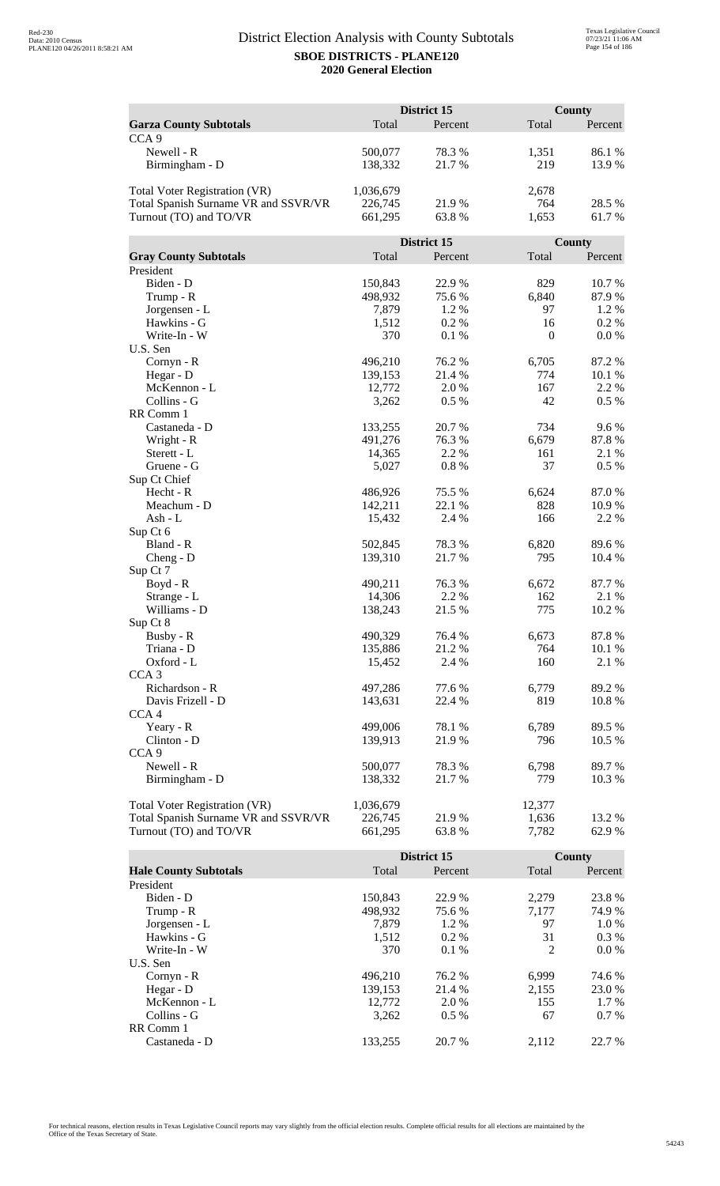|                                      | District 15 |             |              | <b>County</b> |  |
|--------------------------------------|-------------|-------------|--------------|---------------|--|
| <b>Garza County Subtotals</b>        | Total       | Percent     | Total        | Percent       |  |
| CCA <sub>9</sub>                     |             |             |              |               |  |
| Newell - R                           | 500,077     | 78.3%       | 1,351        | 86.1%         |  |
| Birmingham - D                       | 138,332     | 21.7%       | 219          | 13.9%         |  |
|                                      |             |             |              |               |  |
| <b>Total Voter Registration (VR)</b> | 1,036,679   |             | 2,678        |               |  |
| Total Spanish Surname VR and SSVR/VR | 226,745     | 21.9%       | 764          | 28.5 %        |  |
| Turnout (TO) and TO/VR               | 661,295     | 63.8%       | 1,653        | 61.7%         |  |
|                                      |             |             |              |               |  |
|                                      |             | District 15 |              | County        |  |
| <b>Gray County Subtotals</b>         | Total       | Percent     | Total        | Percent       |  |
| President                            |             |             |              |               |  |
| Biden - D                            | 150,843     | 22.9%       | 829          | 10.7%         |  |
| Trump - R                            | 498,932     | 75.6%       | 6,840        | 87.9%         |  |
| Jorgensen - L                        | 7,879       | 1.2%        | 97           | 1.2%          |  |
| Hawkins - G                          | 1,512       | 0.2%        | 16           | 0.2%          |  |
| Write-In - W                         | 370         | 0.1%        | $\mathbf{0}$ | 0.0 %         |  |
| U.S. Sen                             |             |             |              |               |  |
| Cornyn - R                           | 496,210     | 76.2 %      | 6,705        | 87.2 %        |  |
| Hegar - D                            | 139,153     | 21.4 %      | 774          | 10.1 %        |  |
| McKennon - L                         | 12,772      | 2.0 %       | 167          | 2.2 %         |  |
| Collins - G                          | 3,262       | 0.5 %       | 42           | 0.5 %         |  |
| RR Comm 1                            |             |             |              |               |  |
| Castaneda - D                        | 133,255     | 20.7 %      | 734          | 9.6%          |  |
| Wright - R                           | 491,276     | 76.3%       | 6,679        | 87.8%         |  |
| Sterett - L                          | 14,365      | 2.2 %       | 161          | 2.1 %         |  |
| Gruene - G<br>Sup Ct Chief           | 5,027       | 0.8%        | 37           | 0.5 %         |  |
| Hecht - R                            | 486,926     | 75.5 %      | 6,624        | 87.0%         |  |
| Meachum - D                          | 142,211     | 22.1 %      | 828          | 10.9%         |  |
| Ash - L                              | 15,432      | 2.4 %       | 166          | 2.2 %         |  |
| Sup Ct 6                             |             |             |              |               |  |
| Bland - R                            | 502,845     | 78.3%       | 6,820        | 89.6%         |  |
| $Cheng - D$                          | 139,310     | 21.7%       | 795          | 10.4 %        |  |
| Sup Ct 7                             |             |             |              |               |  |
| Boyd - R                             | 490,211     | 76.3 %      | 6,672        | 87.7 %        |  |
| Strange - L                          | 14,306      | 2.2 %       | 162          | 2.1 %         |  |
| Williams - D                         | 138,243     | 21.5 %      | 775          | 10.2 %        |  |
| Sup Ct 8                             |             |             |              |               |  |
| Busby - R                            | 490,329     | 76.4 %      | 6,673        | 87.8%         |  |
| Triana - D                           | 135,886     | 21.2%       | 764          | 10.1 %        |  |
| Oxford - L                           | 15,452      | 2.4 %       | 160          | 2.1 %         |  |
| CCA <sub>3</sub>                     |             |             |              |               |  |
| Richardson - R                       | 497,286     | 77.6 %      | 6,779        | 89.2%         |  |
| Davis Frizell - D                    | 143,631     | 22.4 %      | 819          | 10.8%         |  |
| CCA <sub>4</sub>                     |             |             |              |               |  |
| Yeary - R                            | 499,006     | 78.1 %      | 6,789        | 89.5 %        |  |
| Clinton - D                          | 139,913     | 21.9%       | 796          | 10.5 %        |  |
| CCA <sub>9</sub>                     |             |             |              |               |  |
| Newell - R                           | 500,077     | 78.3%       | 6,798        | 89.7%         |  |
| Birmingham - D                       | 138,332     | 21.7 %      | 779          | 10.3 %        |  |
|                                      |             |             |              |               |  |
| Total Voter Registration (VR)        | 1,036,679   |             | 12,377       |               |  |
| Total Spanish Surname VR and SSVR/VR | 226,745     | 21.9%       | 1,636        | 13.2 %        |  |
| Turnout (TO) and TO/VR               | 661,295     | 63.8%       | 7,782        | 62.9%         |  |

|                              |         | District 15 |       | County  |
|------------------------------|---------|-------------|-------|---------|
| <b>Hale County Subtotals</b> | Total   | Percent     | Total | Percent |
| President                    |         |             |       |         |
| Biden - D                    | 150,843 | 22.9 %      | 2.279 | 23.8 %  |
| Trump - R                    | 498,932 | 75.6 %      | 7,177 | 74.9 %  |
| Jorgensen - L                | 7.879   | 1.2 %       | 97    | $1.0\%$ |
| Hawkins - G                  | 1,512   | $0.2\%$     | 31    | $0.3\%$ |
| Write-In - W                 | 370     | $0.1\%$     | 2     | $0.0\%$ |
| U.S. Sen                     |         |             |       |         |
| $Cornyn - R$                 | 496.210 | 76.2 %      | 6,999 | 74.6 %  |
| Hegar - D                    | 139,153 | 21.4 %      | 2,155 | 23.0 %  |
| McKennon - L                 | 12,772  | 2.0 %       | 155   | 1.7 %   |
| Collins - G                  | 3,262   | $0.5\%$     | 67    | $0.7\%$ |
| RR Comm 1                    |         |             |       |         |
| Castaneda - D                | 133.255 | 20.7 %      | 2.112 | 22.7 %  |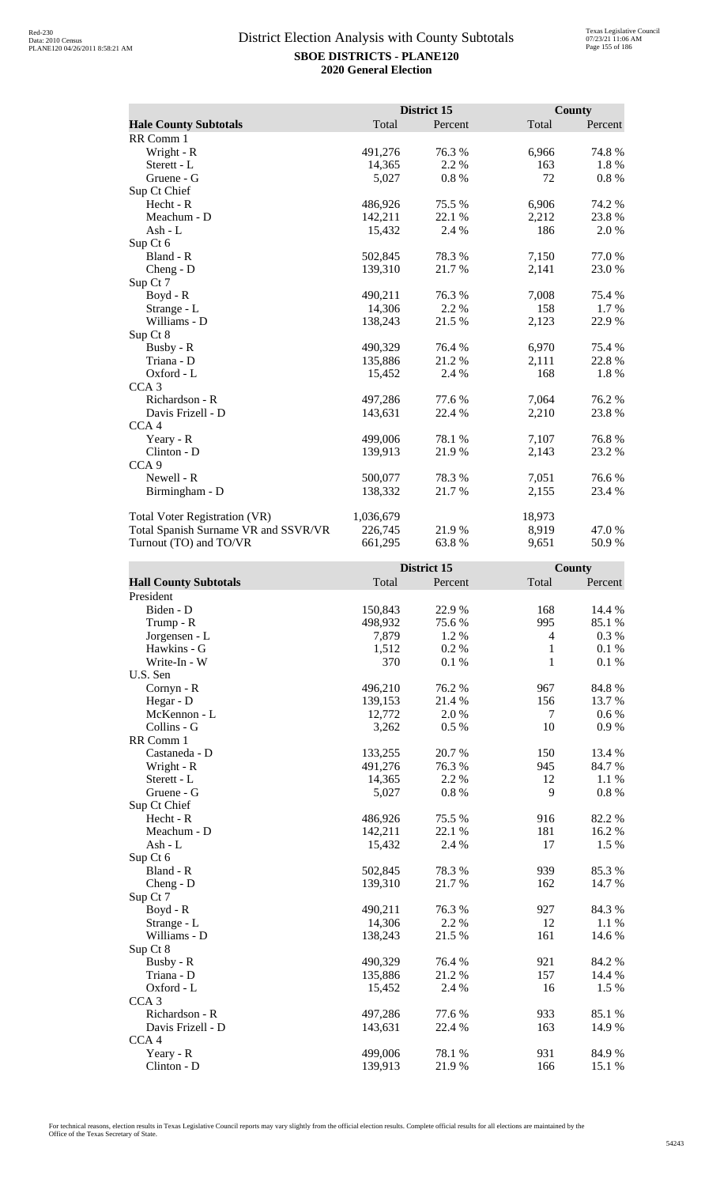|                                      |           | District 15 |        | <b>County</b> |
|--------------------------------------|-----------|-------------|--------|---------------|
| <b>Hale County Subtotals</b>         | Total     | Percent     | Total  | Percent       |
| RR Comm 1                            |           |             |        |               |
| Wright - R                           | 491,276   | 76.3%       | 6,966  | 74.8%         |
| Sterett - L                          | 14,365    | 2.2 %       | 163    | 1.8%          |
| Gruene - G                           | 5,027     | 0.8%        | 72     | 0.8%          |
| Sup Ct Chief                         |           |             |        |               |
| Hecht - R                            | 486,926   | 75.5 %      | 6,906  | 74.2 %        |
| Meachum - D                          | 142,211   | 22.1 %      | 2,212  | 23.8%         |
| Ash - L                              | 15,432    | 2.4 %       | 186    | 2.0 %         |
| Sup Ct 6                             |           |             |        |               |
| Bland - R                            | 502,845   | 78.3%       | 7,150  | 77.0%         |
| $Cheng - D$                          | 139,310   | 21.7%       | 2,141  | 23.0%         |
| Sup Ct 7                             |           |             |        |               |
| $Boyd - R$                           | 490,211   | 76.3 %      | 7,008  | 75.4 %        |
| Strange - L                          | 14,306    | 2.2 %       | 158    | 1.7 %         |
| Williams - D                         | 138,243   | 21.5 %      | 2,123  | 22.9%         |
| Sup Ct 8                             |           |             |        |               |
| Busby - R                            | 490,329   | 76.4 %      | 6,970  | 75.4 %        |
| Triana - D                           | 135,886   | 21.2%       | 2,111  | 22.8%         |
| Oxford - L                           | 15,452    | 2.4 %       | 168    | 1.8%          |
| CCA <sub>3</sub>                     |           |             |        |               |
| Richardson - R                       | 497,286   | 77.6 %      | 7,064  | 76.2%         |
| Davis Frizell - D                    | 143,631   | 22.4 %      | 2,210  | 23.8%         |
| CCA <sub>4</sub>                     |           |             |        |               |
| Yeary - R                            | 499,006   | 78.1 %      | 7,107  | 76.8%         |
| Clinton - D                          | 139,913   | 21.9 %      | 2,143  | 23.2 %        |
| CCA <sub>9</sub>                     |           |             |        |               |
| Newell - R                           | 500,077   | 78.3 %      | 7,051  | 76.6%         |
| Birmingham - D                       | 138,332   | 21.7 %      | 2,155  | 23.4 %        |
| Total Voter Registration (VR)        | 1,036,679 |             | 18,973 |               |
| Total Spanish Surname VR and SSVR/VR | 226,745   | 21.9%       | 8,919  | 47.0 %        |
| Turnout (TO) and TO/VR               | 661,295   | 63.8%       | 9,651  | 50.9%         |

|                              |         | District 15 |                  | <b>County</b> |
|------------------------------|---------|-------------|------------------|---------------|
| <b>Hall County Subtotals</b> | Total   | Percent     | Total            | Percent       |
| President                    |         |             |                  |               |
| Biden - D                    | 150,843 | 22.9%       | 168              | 14.4 %        |
| Trump - R                    | 498,932 | 75.6 %      | 995              | 85.1%         |
| Jorgensen - L                | 7,879   | 1.2%        | $\overline{4}$   | 0.3%          |
| Hawkins - G                  | 1,512   | 0.2 %       | 1                | 0.1%          |
| Write-In - W                 | 370     | 0.1 %       | 1                | 0.1%          |
| U.S. Sen                     |         |             |                  |               |
| Cornyn - R                   | 496,210 | 76.2%       | 967              | 84.8%         |
| Hegar - D                    | 139,153 | 21.4%       | 156              | 13.7%         |
| McKennon - L                 | 12,772  | 2.0%        | $\boldsymbol{7}$ | $0.6\ \%$     |
| Collins - G                  | 3,262   | 0.5 %       | 10               | $0.9\ \%$     |
| RR Comm 1                    |         |             |                  |               |
| Castaneda - D                | 133,255 | 20.7%       | 150              | 13.4 %        |
| Wright - R                   | 491,276 | 76.3 %      | 945              | 84.7 %        |
| Sterett - L                  | 14,365  | 2.2 %       | 12               | 1.1 %         |
| Gruene - G                   | 5,027   | 0.8%        | 9                | 0.8 %         |
| Sup Ct Chief                 |         |             |                  |               |
| $Hecht - R$                  | 486,926 | 75.5 %      | 916              | 82.2 %        |
| Meachum - D                  | 142,211 | 22.1 %      | 181              | 16.2%         |
| $Ash - L$                    | 15,432  | 2.4 %       | 17               | 1.5 %         |
| Sup Ct 6                     |         |             |                  |               |
| Bland - R                    | 502,845 | 78.3%       | 939              | 85.3%         |
| Cheng - D                    | 139,310 | 21.7%       | 162              | 14.7%         |
| Sup Ct 7                     |         |             |                  |               |
| $Boyd - R$                   | 490,211 | 76.3%       | 927              | 84.3 %        |
| Strange - L                  | 14,306  | 2.2 %       | 12               | 1.1 %         |
| Williams - D                 | 138,243 | 21.5 %      | 161              | 14.6 %        |
| Sup Ct 8                     |         |             |                  |               |
| Busby - R                    | 490,329 | 76.4%       | 921              | 84.2 %        |
| Triana - D                   | 135,886 | 21.2%       | 157              | 14.4 %        |
| Oxford - L                   | 15,452  | 2.4 %       | 16               | 1.5 %         |
| CCA <sub>3</sub>             |         |             |                  |               |
| Richardson - R               | 497,286 | 77.6 %      | 933              | 85.1 %        |
| Davis Frizell - D            | 143,631 | 22.4 %      | 163              | 14.9%         |
| CCA <sub>4</sub>             |         |             |                  |               |
| Yeary - R                    | 499,006 | 78.1 %      | 931              | 84.9%         |
| $Clinton - D$                | 139,913 | 21.9%       | 166              | 15.1 %        |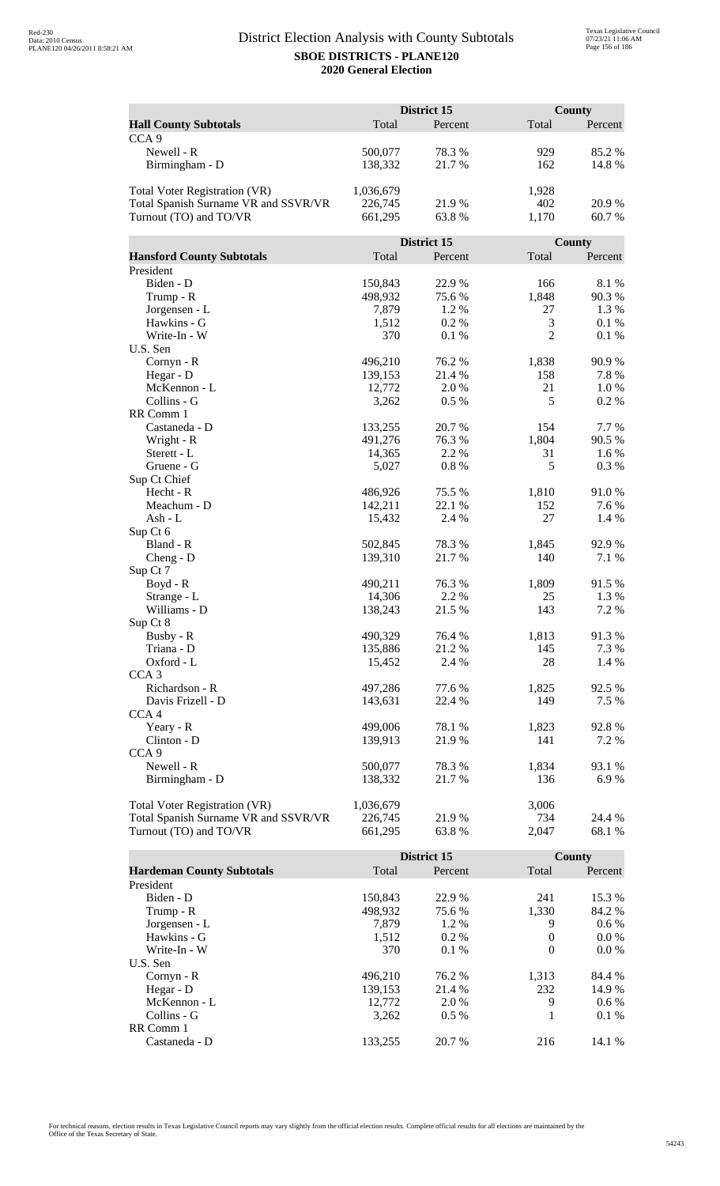|                                      |           | <b>District 15</b> |                | County  |
|--------------------------------------|-----------|--------------------|----------------|---------|
| <b>Hall County Subtotals</b>         | Total     | Percent            | Total          | Percent |
| CCA <sub>9</sub>                     |           |                    |                |         |
| Newell - R                           | 500,077   | 78.3%              | 929            | 85.2%   |
| Birmingham - D                       | 138,332   | 21.7%              | 162            | 14.8%   |
|                                      |           |                    |                |         |
| <b>Total Voter Registration (VR)</b> | 1,036,679 |                    | 1,928          |         |
| Total Spanish Surname VR and SSVR/VR | 226,745   | 21.9%              | 402            | 20.9%   |
| Turnout (TO) and TO/VR               | 661,295   | 63.8%              | 1,170          | 60.7%   |
|                                      |           |                    |                |         |
|                                      |           | District 15        |                | County  |
| <b>Hansford County Subtotals</b>     | Total     | Percent            | Total          | Percent |
| President                            |           |                    |                |         |
| Biden - D                            | 150,843   | 22.9%              | 166            | 8.1%    |
| Trump - R                            | 498,932   | 75.6%              | 1,848          | 90.3%   |
| Jorgensen - L                        | 7,879     | 1.2%               | 27             | 1.3%    |
| Hawkins - G                          | 1,512     | 0.2%               | 3              | 0.1%    |
| Write-In - W                         | 370       | 0.1%               | $\overline{2}$ | 0.1%    |
| U.S. Sen                             |           |                    |                |         |
| Cornyn - R                           | 496,210   | 76.2%              | 1,838          | 90.9%   |
| Hegar - D                            | 139,153   | 21.4 %             | 158            | 7.8%    |
| McKennon - L                         | 12,772    | 2.0 %              | 21             | 1.0%    |
| Collins - G                          | 3,262     | $0.5\%$            | 5              | 0.2%    |
| RR Comm 1                            |           |                    |                |         |
| Castaneda - D                        | 133,255   | 20.7%              | 154            | 7.7 %   |
| Wright - R                           | 491,276   | 76.3%              | 1,804          | 90.5 %  |
| Sterett - L                          | 14,365    | 2.2 %              | 31             | 1.6%    |
| Gruene - G                           | 5,027     | 0.8%               | 5              | 0.3%    |
| Sup Ct Chief                         |           |                    |                |         |
| Hecht - R                            | 486,926   | 75.5 %             | 1,810          | 91.0%   |
| Meachum - D                          | 142,211   | 22.1 %             | 152            | 7.6 %   |
| Ash - L                              | 15,432    | 2.4 %              | 27             | 1.4 %   |
| Sup Ct 6                             |           |                    |                |         |
| Bland - R                            | 502,845   | 78.3%              | 1,845          | 92.9%   |
| $Cheng - D$                          | 139,310   | 21.7%              | 140            | 7.1 %   |
| Sup Ct 7<br>$Boyd - R$               | 490,211   | 76.3%              | 1,809          | 91.5%   |
|                                      | 14,306    | 2.2 %              | 25             | 1.3 %   |
| Strange - L<br>Williams - D          | 138,243   | 21.5 %             | 143            | 7.2 %   |
| Sup Ct 8                             |           |                    |                |         |
| Busby - R                            | 490,329   | 76.4 %             | 1,813          | 91.3%   |
| Triana - D                           | 135,886   | 21.2%              | 145            | 7.3 %   |
| Oxford - L                           | 15,452    | 2.4 %              | 28             | 1.4 %   |
| CCA <sub>3</sub>                     |           |                    |                |         |
| Richardson - R                       | 497,286   | 77.6%              | 1,825          | 92.5 %  |
| Davis Frizell - D                    | 143,631   | 22.4 %             | 149            | 7.5 %   |
| CCA <sub>4</sub>                     |           |                    |                |         |
| Yeary - R                            | 499,006   | 78.1 %             | 1,823          | 92.8%   |
| Clinton - D                          | 139,913   | 21.9%              | 141            | 7.2 %   |
| CCA <sub>9</sub>                     |           |                    |                |         |
| Newell - R                           | 500,077   | 78.3%              | 1,834          | 93.1 %  |
| Birmingham - D                       | 138,332   | 21.7 %             | 136            | 6.9%    |
|                                      |           |                    |                |         |
| <b>Total Voter Registration (VR)</b> | 1,036,679 |                    | 3,006          |         |
| Total Spanish Surname VR and SSVR/VR | 226,745   | 21.9%              | 734            | 24.4 %  |
| Turnout (TO) and TO/VR               | 661,295   | 63.8%              | 2,047          | 68.1%   |

|                                  |         | District 15 |          | County  |
|----------------------------------|---------|-------------|----------|---------|
| <b>Hardeman County Subtotals</b> | Total   | Percent     | Total    | Percent |
| President                        |         |             |          |         |
| Biden - D                        | 150.843 | 22.9 %      | 241      | 15.3 %  |
| Trump - R                        | 498,932 | 75.6 %      | 1,330    | 84.2 %  |
| Jorgensen - L                    | 7.879   | $1.2\%$     | 9        | $0.6\%$ |
| Hawkins - G                      | 1,512   | $0.2\%$     | $\theta$ | $0.0\%$ |
| Write-In - W                     | 370     | $0.1\%$     | $\Omega$ | $0.0\%$ |
| U.S. Sen                         |         |             |          |         |
| $Cornyn - R$                     | 496.210 | 76.2 %      | 1,313    | 84.4 %  |
| Hegar - $D$                      | 139,153 | 21.4 %      | 232      | 14.9 %  |
| McKennon - L                     | 12,772  | 2.0 %       | 9        | $0.6\%$ |
| Collins - G                      | 3.262   | $0.5\%$     |          | $0.1\%$ |
| RR Comm 1                        |         |             |          |         |
| Castaneda - D                    | 133.255 | 20.7 %      | 216      | 14.1 %  |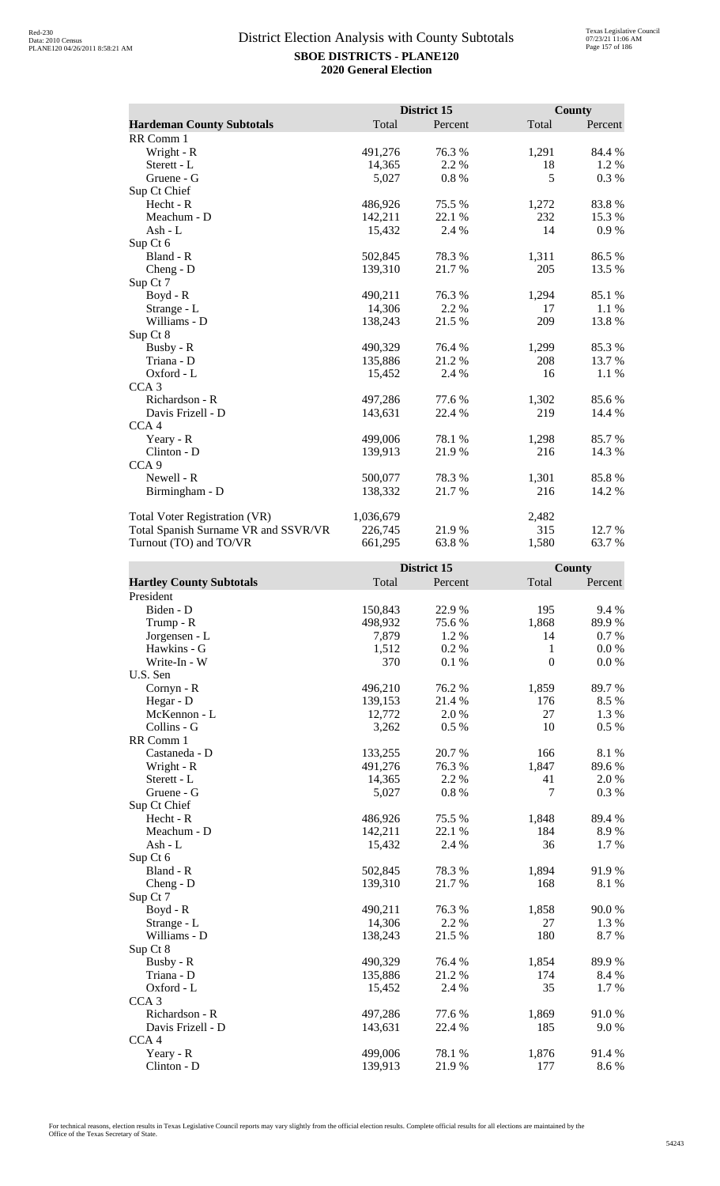|                                      |           | District 15 |       | County  |
|--------------------------------------|-----------|-------------|-------|---------|
| <b>Hardeman County Subtotals</b>     | Total     | Percent     | Total | Percent |
| RR Comm 1                            |           |             |       |         |
| Wright - R                           | 491,276   | 76.3 %      | 1,291 | 84.4 %  |
| Sterett - L                          | 14,365    | 2.2 %       | 18    | 1.2%    |
| Gruene - G                           | 5,027     | 0.8%        | 5     | 0.3 %   |
| Sup Ct Chief                         |           |             |       |         |
| Hecht - R                            | 486,926   | 75.5 %      | 1,272 | 83.8%   |
| Meachum - D                          | 142,211   | 22.1 %      | 232   | 15.3 %  |
| Ash - L                              | 15,432    | 2.4 %       | 14    | 0.9%    |
| Sup Ct 6                             |           |             |       |         |
| Bland - R                            | 502,845   | 78.3%       | 1,311 | 86.5 %  |
| $Cheng - D$                          | 139,310   | 21.7 %      | 205   | 13.5 %  |
| Sup Ct 7                             |           |             |       |         |
| Boyd - R                             | 490,211   | 76.3 %      | 1,294 | 85.1 %  |
| Strange - L                          | 14,306    | 2.2%        | 17    | 1.1 %   |
| Williams - D                         | 138,243   | 21.5 %      | 209   | 13.8%   |
| Sup Ct 8                             |           |             |       |         |
| Busby - R                            | 490,329   | 76.4 %      | 1,299 | 85.3%   |
| Triana - D                           | 135,886   | 21.2%       | 208   | 13.7 %  |
| Oxford - L                           | 15,452    | 2.4 %       | 16    | 1.1 %   |
| CCA <sub>3</sub>                     |           |             |       |         |
| Richardson - R                       | 497,286   | 77.6 %      | 1,302 | 85.6%   |
| Davis Frizell - D                    | 143,631   | 22.4 %      | 219   | 14.4 %  |
| CCA <sub>4</sub>                     |           |             |       |         |
| Yeary - R                            | 499,006   | 78.1 %      | 1,298 | 85.7 %  |
| Clinton - D                          | 139,913   | 21.9%       | 216   | 14.3 %  |
| CCA <sub>9</sub>                     |           |             |       |         |
| Newell - R                           | 500,077   | 78.3 %      | 1,301 | 85.8%   |
| Birmingham - D                       | 138,332   | 21.7 %      | 216   | 14.2 %  |
| <b>Total Voter Registration (VR)</b> | 1,036,679 |             | 2,482 |         |
| Total Spanish Surname VR and SSVR/VR | 226,745   | 21.9%       | 315   | 12.7 %  |
| Turnout (TO) and TO/VR               | 661,295   | 63.8%       | 1,580 | 63.7%   |

|                                 |         | District 15 |                | County  |
|---------------------------------|---------|-------------|----------------|---------|
| <b>Hartley County Subtotals</b> | Total   | Percent     | Total          | Percent |
| President                       |         |             |                |         |
| Biden - D                       | 150,843 | 22.9%       | 195            | 9.4%    |
| Trump - R                       | 498,932 | 75.6%       | 1,868          | 89.9%   |
| Jorgensen - L                   | 7,879   | 1.2 %       | 14             | 0.7%    |
| Hawkins - G                     | 1,512   | 0.2%        | $\mathbf{1}$   | 0.0 %   |
| Write-In - W                    | 370     | 0.1%        | $\overline{0}$ | 0.0 %   |
| U.S. Sen                        |         |             |                |         |
| Cornyn - R                      | 496,210 | 76.2 %      | 1,859          | 89.7%   |
| Hegar - D                       | 139,153 | 21.4 %      | 176            | 8.5 %   |
| McKennon - L                    | 12,772  | 2.0%        | 27             | 1.3%    |
| Collins - G                     | 3,262   | 0.5%        | 10             | 0.5 %   |
| RR Comm 1                       |         |             |                |         |
| Castaneda - D                   | 133,255 | 20.7%       | 166            | 8.1 %   |
| Wright - R                      | 491,276 | 76.3%       | 1,847          | 89.6%   |
| Sterett - L                     | 14,365  | 2.2 %       | 41             | 2.0%    |
| Gruene - G                      | 5,027   | 0.8%        | $\tau$         | 0.3%    |
| Sup Ct Chief                    |         |             |                |         |
| $Hecht - R$                     | 486,926 | 75.5 %      | 1,848          | 89.4 %  |
| Meachum - D                     | 142,211 | 22.1 %      | 184            | 8.9%    |
| $Ash - L$                       | 15,432  | 2.4 %       | 36             | 1.7 %   |
| Sup Ct 6                        |         |             |                |         |
| Bland - R                       | 502,845 | 78.3 %      | 1,894          | 91.9%   |
| $Cheng - D$                     | 139,310 | 21.7%       | 168            | 8.1%    |
| Sup Ct 7                        |         |             |                |         |
| Boyd - R                        | 490,211 | 76.3%       | 1,858          | 90.0%   |
| Strange - L                     | 14,306  | 2.2 %       | 27             | 1.3 %   |
| Williams - D                    | 138,243 | 21.5 %      | 180            | 8.7%    |
| Sup Ct 8                        |         |             |                |         |
| Busby - R                       | 490,329 | 76.4 %      | 1,854          | 89.9%   |
| Triana - D                      | 135,886 | 21.2 %      | 174            | 8.4 %   |
| Oxford - L                      | 15,452  | 2.4 %       | 35             | 1.7 %   |
| CCA <sub>3</sub>                |         |             |                |         |
| Richardson - R                  | 497,286 | 77.6 %      | 1,869          | 91.0%   |
| Davis Frizell - D               | 143,631 | 22.4 %      | 185            | 9.0%    |
| CCA <sub>4</sub>                |         |             |                |         |
| Yeary - R                       | 499,006 | 78.1 %      | 1,876          | 91.4 %  |
| Clinton - D                     | 139,913 | 21.9%       | 177            | 8.6%    |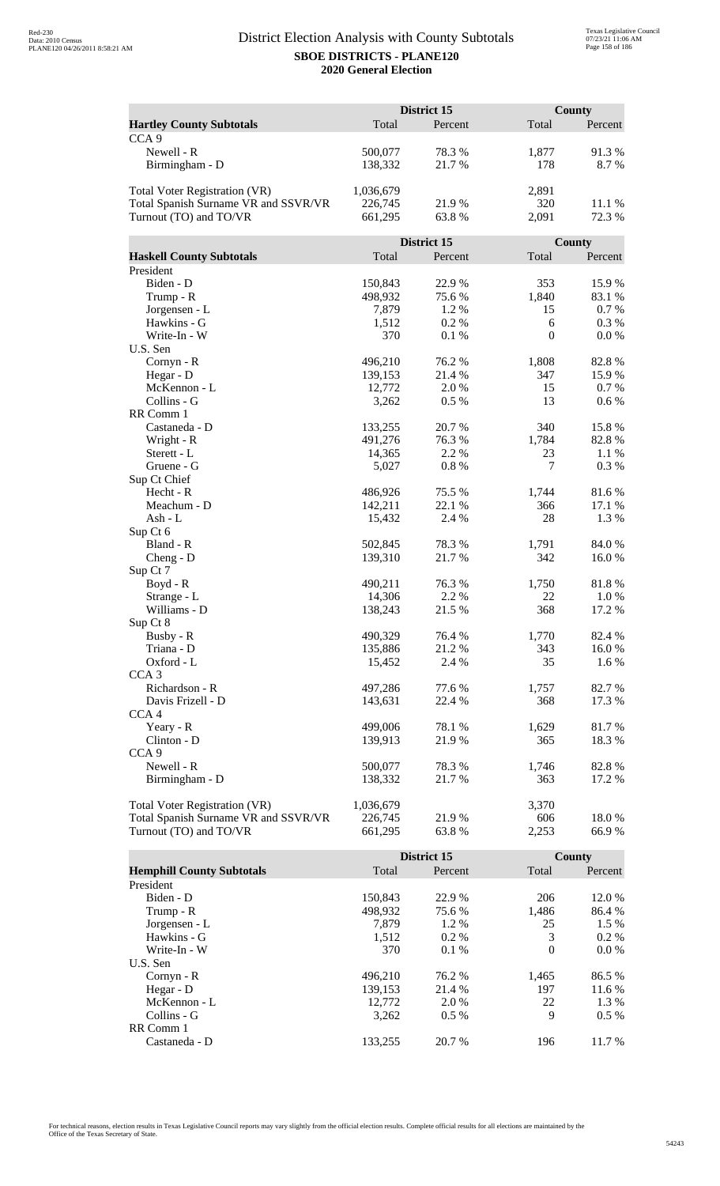|                                      | District 15        |             |              | <b>County</b> |  |
|--------------------------------------|--------------------|-------------|--------------|---------------|--|
| <b>Hartley County Subtotals</b>      | Total              | Percent     | Total        | Percent       |  |
| CCA <sub>9</sub>                     |                    |             |              |               |  |
| Newell - R                           | 500,077            | 78.3%       | 1,877        | 91.3%         |  |
| Birmingham - D                       | 138,332            | 21.7%       | 178          | 8.7%          |  |
|                                      |                    |             |              |               |  |
| <b>Total Voter Registration (VR)</b> | 1,036,679          |             | 2,891        |               |  |
| Total Spanish Surname VR and SSVR/VR | 226,745            | 21.9%       | 320          | 11.1 %        |  |
| Turnout (TO) and TO/VR               | 661,295            | 63.8%       | 2,091        | 72.3 %        |  |
|                                      |                    |             |              |               |  |
|                                      |                    | District 15 |              | County        |  |
| <b>Haskell County Subtotals</b>      | Total              | Percent     | Total        | Percent       |  |
| President                            |                    |             |              |               |  |
| Biden - D                            | 150,843            | 22.9%       | 353          | 15.9%         |  |
| Trump - R                            | 498,932            | 75.6%       | 1,840        | 83.1 %        |  |
| Jorgensen - L                        | 7,879              | 1.2%        | 15           | 0.7 %         |  |
| Hawkins - G                          | 1,512              | 0.2%        | 6            | 0.3 %         |  |
| Write-In - W                         | 370                | 0.1%        | $\mathbf{0}$ | 0.0 %         |  |
| U.S. Sen                             |                    |             |              |               |  |
| Cornyn - R                           | 496,210            | 76.2 %      | 1,808        | 82.8%         |  |
| Hegar - D                            | 139,153            | 21.4 %      | 347          | 15.9%         |  |
| McKennon - L                         | 12,772             | 2.0%        | 15           | 0.7 %         |  |
| Collins - G                          | 3,262              | 0.5 %       | 13           | 0.6 %         |  |
| RR Comm 1                            |                    |             |              |               |  |
| Castaneda - D                        | 133,255            | 20.7 %      | 340          | 15.8 %        |  |
| Wright - R                           | 491,276            | 76.3%       | 1,784        | 82.8%         |  |
| Sterett - L                          | 14,365             | 2.2 %       | 23           | 1.1 %         |  |
| Gruene - G                           | 5,027              | 0.8%        | $\tau$       | 0.3%          |  |
| Sup Ct Chief<br>Hecht - R            |                    | 75.5 %      |              | 81.6%         |  |
| Meachum - D                          | 486,926<br>142,211 | 22.1 %      | 1,744<br>366 | 17.1 %        |  |
| Ash - L                              | 15,432             | 2.4 %       | 28           | 1.3 %         |  |
| Sup Ct 6                             |                    |             |              |               |  |
| Bland - R                            | 502,845            | 78.3%       | 1,791        | 84.0%         |  |
| $Cheng - D$                          | 139,310            | 21.7%       | 342          | 16.0%         |  |
| Sup Ct 7                             |                    |             |              |               |  |
| Boyd - R                             | 490,211            | 76.3 %      | 1,750        | 81.8%         |  |
| Strange - L                          | 14,306             | 2.2 %       | 22           | 1.0 %         |  |
| Williams - D                         | 138,243            | 21.5 %      | 368          | 17.2 %        |  |
| Sup Ct 8                             |                    |             |              |               |  |
| Busby - R                            | 490,329            | 76.4 %      | 1,770        | 82.4 %        |  |
| Triana - D                           | 135,886            | 21.2%       | 343          | 16.0%         |  |
| Oxford - L                           | 15,452             | 2.4 %       | 35           | 1.6 %         |  |
| CCA <sub>3</sub>                     |                    |             |              |               |  |
| Richardson - R                       | 497,286            | 77.6 %      | 1,757        | 82.7%         |  |
| Davis Frizell - D                    | 143,631            | 22.4 %      | 368          | 17.3 %        |  |
| CCA <sub>4</sub>                     |                    |             |              |               |  |
| Yeary - R                            | 499,006            | 78.1 %      | 1,629        | 81.7%         |  |
| Clinton - D                          | 139,913            | 21.9 %      | 365          | 18.3%         |  |
| CCA <sub>9</sub>                     |                    |             |              |               |  |
| Newell - R                           | 500,077            | 78.3%       | 1,746        | 82.8%         |  |
| Birmingham - D                       | 138,332            | 21.7 %      | 363          | 17.2 %        |  |
|                                      |                    |             |              |               |  |
| Total Voter Registration (VR)        | 1,036,679          |             | 3,370        |               |  |
| Total Spanish Surname VR and SSVR/VR | 226,745            | 21.9%       | 606          | 18.0%         |  |
| Turnout (TO) and TO/VR               | 661,295            | 63.8%       | 2,253        | 66.9%         |  |

|                                  |         | District 15 |          | County  |
|----------------------------------|---------|-------------|----------|---------|
| <b>Hemphill County Subtotals</b> | Total   | Percent     | Total    | Percent |
| President                        |         |             |          |         |
| Biden - D                        | 150,843 | 22.9 %      | 206      | 12.0 %  |
| Trump - R                        | 498,932 | 75.6 %      | 1,486    | 86.4 %  |
| Jorgensen - L                    | 7.879   | $1.2\%$     | 25       | 1.5 %   |
| Hawkins - G                      | 1,512   | $0.2\%$     | 3        | $0.2\%$ |
| Write-In - W                     | 370     | $0.1\%$     | $\Omega$ | $0.0\%$ |
| U.S. Sen                         |         |             |          |         |
| $Cornyn - R$                     | 496.210 | 76.2 %      | 1,465    | 86.5 %  |
| Hegar - D                        | 139,153 | 21.4 %      | 197      | 11.6 %  |
| McKennon - L                     | 12,772  | 2.0 %       | 22       | 1.3 %   |
| Collins - G                      | 3,262   | $0.5\%$     | 9        | $0.5\%$ |
| RR Comm 1                        |         |             |          |         |
| Castaneda - D                    | 133.255 | 20.7 %      | 196      | 11.7 %  |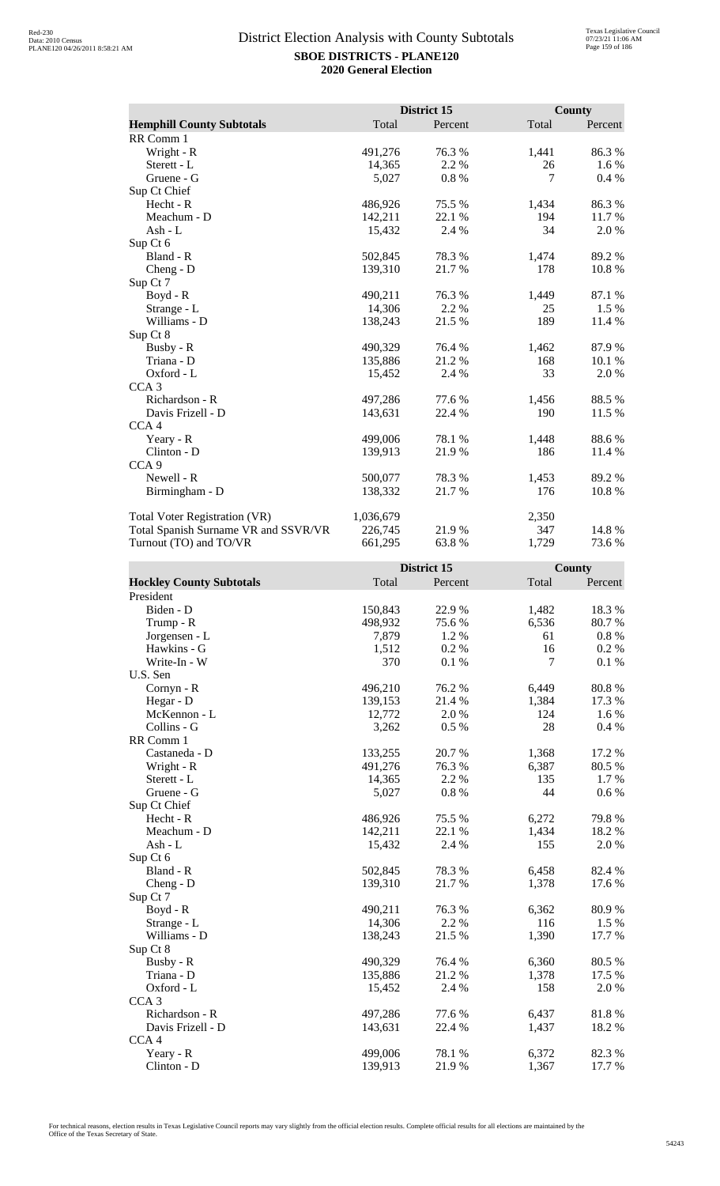|                                      |           | District 15 |       | <b>County</b> |
|--------------------------------------|-----------|-------------|-------|---------------|
| <b>Hemphill County Subtotals</b>     | Total     | Percent     | Total | Percent       |
| RR Comm 1                            |           |             |       |               |
| Wright - R                           | 491,276   | 76.3%       | 1,441 | 86.3%         |
| Sterett - L                          | 14,365    | 2.2 %       | 26    | 1.6 %         |
| Gruene - G                           | 5,027     | 0.8%        | 7     | 0.4%          |
| Sup Ct Chief                         |           |             |       |               |
| Hecht - R                            | 486,926   | 75.5 %      | 1,434 | 86.3%         |
| Meachum - D                          | 142,211   | 22.1 %      | 194   | 11.7%         |
| Ash - L                              | 15,432    | 2.4 %       | 34    | 2.0%          |
| Sup Ct 6                             |           |             |       |               |
| Bland - R                            | 502,845   | 78.3 %      | 1,474 | 89.2%         |
| $Cheng - D$                          | 139,310   | 21.7%       | 178   | 10.8%         |
| Sup Ct 7                             |           |             |       |               |
| Boyd - R                             | 490,211   | 76.3%       | 1,449 | 87.1 %        |
| Strange - L                          | 14,306    | 2.2 %       | 25    | 1.5 %         |
| Williams - D                         | 138,243   | 21.5 %      | 189   | 11.4 %        |
| Sup Ct 8                             |           |             |       |               |
| Busby - R                            | 490,329   | 76.4 %      | 1,462 | 87.9%         |
| Triana - D                           | 135,886   | 21.2%       | 168   | 10.1 %        |
| Oxford - L                           | 15,452    | 2.4 %       | 33    | 2.0%          |
| CCA <sub>3</sub>                     |           |             |       |               |
| Richardson - R                       | 497,286   | 77.6 %      | 1,456 | 88.5 %        |
| Davis Frizell - D                    | 143,631   | 22.4 %      | 190   | 11.5 %        |
| CCA <sub>4</sub>                     |           |             |       |               |
| Yeary - R                            | 499,006   | 78.1 %      | 1,448 | 88.6 %        |
| Clinton - D                          | 139,913   | 21.9%       | 186   | 11.4 %        |
| CCA <sub>9</sub>                     |           |             |       |               |
| Newell - R                           | 500,077   | 78.3 %      | 1,453 | 89.2%         |
| Birmingham - D                       | 138,332   | 21.7 %      | 176   | 10.8%         |
| <b>Total Voter Registration (VR)</b> | 1,036,679 |             | 2,350 |               |
| Total Spanish Surname VR and SSVR/VR | 226,745   | 21.9%       | 347   | 14.8%         |
| Turnout (TO) and TO/VR               | 661,295   | 63.8%       | 1,729 | 73.6 %        |

|                                 |         | District 15 |       | <b>County</b> |
|---------------------------------|---------|-------------|-------|---------------|
| <b>Hockley County Subtotals</b> | Total   | Percent     | Total | Percent       |
| President                       |         |             |       |               |
| Biden - D                       | 150,843 | 22.9%       | 1,482 | 18.3%         |
| Trump - R                       | 498,932 | 75.6 %      | 6,536 | 80.7%         |
| Jorgensen - L                   | 7,879   | 1.2 %       | 61    | $0.8~\%$      |
| Hawkins - G                     | 1,512   | 0.2%        | 16    | 0.2 %         |
| Write-In - W                    | 370     | 0.1 %       | 7     | 0.1%          |
| U.S. Sen                        |         |             |       |               |
| Cornyn - R                      | 496,210 | 76.2%       | 6,449 | 80.8 %        |
| Hegar - D                       | 139,153 | 21.4%       | 1,384 | 17.3 %        |
| McKennon - L                    | 12,772  | 2.0%        | 124   | 1.6%          |
| Collins - G                     | 3,262   | 0.5 %       | 28    | 0.4 %         |
| RR Comm 1                       |         |             |       |               |
| Castaneda - D                   | 133,255 | 20.7%       | 1,368 | 17.2 %        |
| Wright - R                      | 491,276 | 76.3 %      | 6,387 | 80.5 %        |
| Sterett - L                     | 14,365  | 2.2 %       | 135   | 1.7 %         |
| Gruene - G                      | 5,027   | 0.8%        | 44    | $0.6\%$       |
| Sup Ct Chief                    |         |             |       |               |
| Hecht - R                       | 486,926 | 75.5 %      | 6,272 | 79.8%         |
| Meachum - D                     | 142,211 | 22.1 %      | 1,434 | 18.2%         |
| $Ash - L$                       | 15,432  | 2.4 %       | 155   | 2.0 %         |
| Sup Ct 6                        |         |             |       |               |
| Bland - R                       | 502,845 | 78.3%       | 6,458 | 82.4 %        |
| Cheng - D                       | 139,310 | 21.7%       | 1,378 | 17.6 %        |
| Sup Ct 7                        |         |             |       |               |
| Boyd - R                        | 490,211 | 76.3%       | 6,362 | 80.9%         |
| Strange - L                     | 14,306  | 2.2%        | 116   | 1.5 %         |
| Williams - D                    | 138,243 | 21.5 %      | 1,390 | 17.7 %        |
| Sup Ct 8                        |         |             |       |               |
| Busby - R                       | 490,329 | 76.4 %      | 6,360 | 80.5 %        |
| Triana - D                      | 135,886 | 21.2%       | 1,378 | 17.5 %        |
| Oxford - L                      | 15,452  | 2.4 %       | 158   | 2.0%          |
| CCA <sub>3</sub>                |         |             |       |               |
| Richardson - R                  | 497,286 | 77.6 %      | 6,437 | 81.8%         |
| Davis Frizell - D               | 143,631 | 22.4 %      | 1,437 | 18.2%         |
| CCA <sub>4</sub>                |         |             |       |               |
| Yeary - R                       | 499,006 | 78.1 %      | 6,372 | 82.3 %        |
| Clinton - D                     | 139,913 | 21.9%       | 1,367 | 17.7 %        |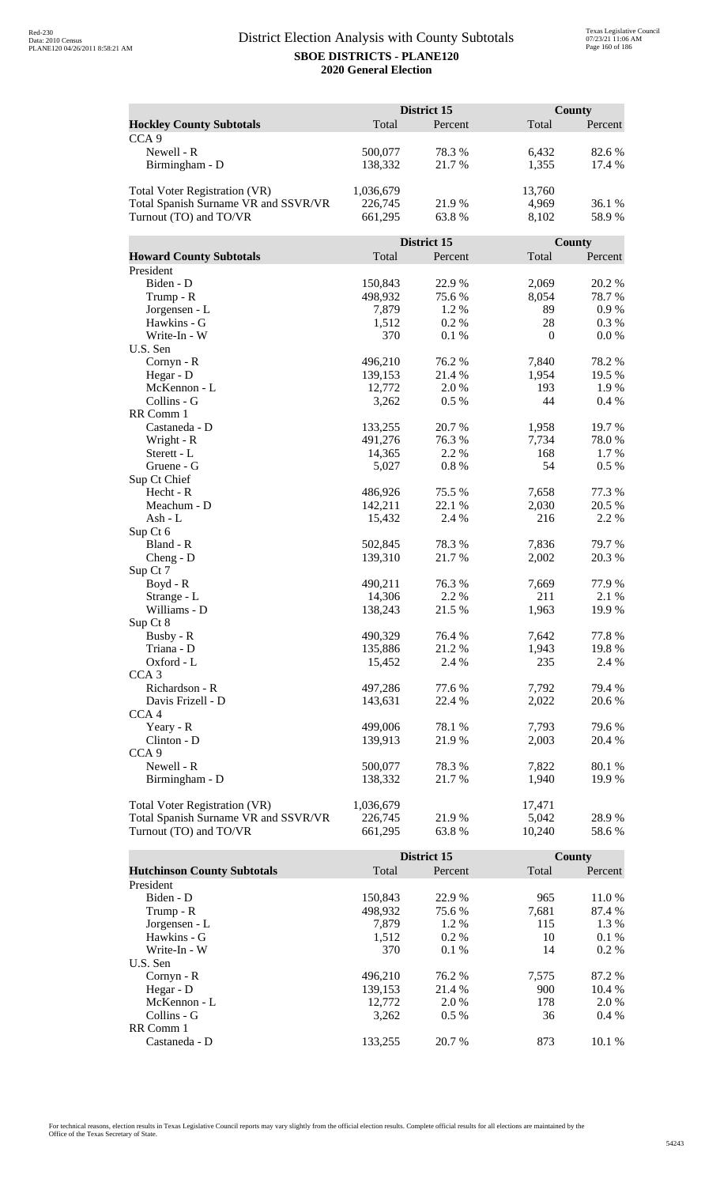|                                      | District 15        |             |                | <b>County</b> |  |
|--------------------------------------|--------------------|-------------|----------------|---------------|--|
| <b>Hockley County Subtotals</b>      | Total              | Percent     | Total          | Percent       |  |
| CCA <sub>9</sub>                     |                    |             |                |               |  |
| Newell - R                           | 500,077            | 78.3%       | 6,432          | 82.6%         |  |
| Birmingham - D                       | 138,332            | 21.7%       | 1,355          | 17.4 %        |  |
|                                      |                    |             |                |               |  |
| <b>Total Voter Registration (VR)</b> | 1,036,679          |             | 13,760         |               |  |
| Total Spanish Surname VR and SSVR/VR | 226,745            | 21.9%       | 4,969          | 36.1 %        |  |
| Turnout (TO) and TO/VR               | 661,295            | 63.8%       | 8,102          | 58.9%         |  |
|                                      |                    |             |                |               |  |
|                                      |                    | District 15 |                | <b>County</b> |  |
| <b>Howard County Subtotals</b>       | Total              | Percent     | Total          | Percent       |  |
| President                            |                    |             |                |               |  |
| Biden - D                            | 150,843            | 22.9%       | 2,069          | 20.2 %        |  |
| Trump - R                            | 498,932            | 75.6%       | 8,054          | 78.7%         |  |
| Jorgensen - L                        | 7,879              | 1.2%        | 89             | $0.9\ \%$     |  |
| Hawkins - G                          | 1,512              | 0.2%        | 28             | 0.3 %         |  |
| Write-In - W                         | 370                | 0.1%        | $\mathbf{0}$   | 0.0 %         |  |
| U.S. Sen                             |                    |             |                |               |  |
| Cornyn - R                           | 496,210            | 76.2 %      | 7,840          | 78.2%         |  |
| Hegar - D                            | 139,153            | 21.4 %      | 1,954          | 19.5 %        |  |
| McKennon - L                         | 12,772             | 2.0 %       | 193            | 1.9%          |  |
| Collins - G                          | 3,262              | 0.5%        | 44             | 0.4%          |  |
| RR Comm 1                            |                    |             |                |               |  |
| Castaneda - D                        | 133,255            | 20.7 %      | 1,958          | 19.7%         |  |
| Wright - R                           | 491,276            | 76.3%       | 7,734          | 78.0%         |  |
| Sterett - L                          | 14,365             | 2.2 %       | 168            | 1.7%          |  |
| Gruene - G                           | 5,027              | 0.8%        | 54             | 0.5 %         |  |
| Sup Ct Chief<br>Hecht - R            |                    | 75.5 %      |                | 77.3 %        |  |
| Meachum - D                          | 486,926<br>142,211 | 22.1 %      | 7,658<br>2,030 | 20.5 %        |  |
| Ash - L                              | 15,432             | 2.4 %       | 216            | 2.2 %         |  |
| Sup Ct 6                             |                    |             |                |               |  |
| Bland - R                            | 502,845            | 78.3%       | 7,836          | 79.7%         |  |
| $Cheng - D$                          | 139,310            | 21.7%       | 2,002          | 20.3 %        |  |
| Sup Ct 7                             |                    |             |                |               |  |
| Boyd - R                             | 490,211            | 76.3 %      | 7,669          | 77.9%         |  |
| Strange - L                          | 14,306             | 2.2 %       | 211            | 2.1 %         |  |
| Williams - D                         | 138,243            | 21.5 %      | 1,963          | 19.9%         |  |
| Sup Ct 8                             |                    |             |                |               |  |
| Busby - R                            | 490,329            | 76.4 %      | 7,642          | 77.8%         |  |
| Triana - D                           | 135,886            | 21.2%       | 1,943          | 19.8%         |  |
| Oxford - L                           | 15,452             | 2.4 %       | 235            | 2.4 %         |  |
| CCA <sub>3</sub>                     |                    |             |                |               |  |
| Richardson - R                       | 497,286            | 77.6 %      | 7,792          | 79.4 %        |  |
| Davis Frizell - D                    | 143,631            | 22.4 %      | 2,022          | 20.6 %        |  |
| CCA <sub>4</sub>                     |                    |             |                |               |  |
| Yeary - R                            | 499,006            | 78.1 %      | 7,793          | 79.6 %        |  |
| Clinton - D                          | 139,913            | 21.9%       | 2,003          | 20.4 %        |  |
| CCA <sub>9</sub>                     |                    |             |                |               |  |
| Newell - R                           | 500,077            | 78.3%       | 7,822          | 80.1%         |  |
| Birmingham - D                       | 138,332            | 21.7 %      | 1,940          | 19.9 %        |  |
|                                      |                    |             |                |               |  |
| <b>Total Voter Registration (VR)</b> | 1,036,679          |             | 17,471         |               |  |
| Total Spanish Surname VR and SSVR/VR | 226,745            | 21.9%       | 5,042          | 28.9%         |  |
| Turnout (TO) and TO/VR               | 661,295            | 63.8%       | 10,240         | 58.6%         |  |

|                                    |         | District 15 |       | County  |
|------------------------------------|---------|-------------|-------|---------|
| <b>Hutchinson County Subtotals</b> | Total   | Percent     | Total | Percent |
| President                          |         |             |       |         |
| Biden - D                          | 150.843 | 22.9 %      | 965   | 11.0 %  |
| Trump - R                          | 498,932 | 75.6 %      | 7,681 | 87.4 %  |
| Jorgensen - L                      | 7.879   | 1.2 %       | 115   | 1.3 %   |
| Hawkins - G                        | 1,512   | $0.2\%$     | 10    | $0.1\%$ |
| Write-In - W                       | 370     | $0.1\%$     | 14    | $0.2\%$ |
| U.S. Sen                           |         |             |       |         |
| $Cornyn - R$                       | 496,210 | 76.2 %      | 7,575 | 87.2 %  |
| Hegar - D                          | 139,153 | 21.4 %      | 900   | 10.4 %  |
| McKennon - L                       | 12,772  | 2.0 %       | 178   | 2.0 %   |
| Collins - G                        | 3.262   | $0.5\%$     | 36    | $0.4\%$ |
| RR Comm 1                          |         |             |       |         |
| Castaneda - D                      | 133.255 | 20.7 %      | 873   | 10.1%   |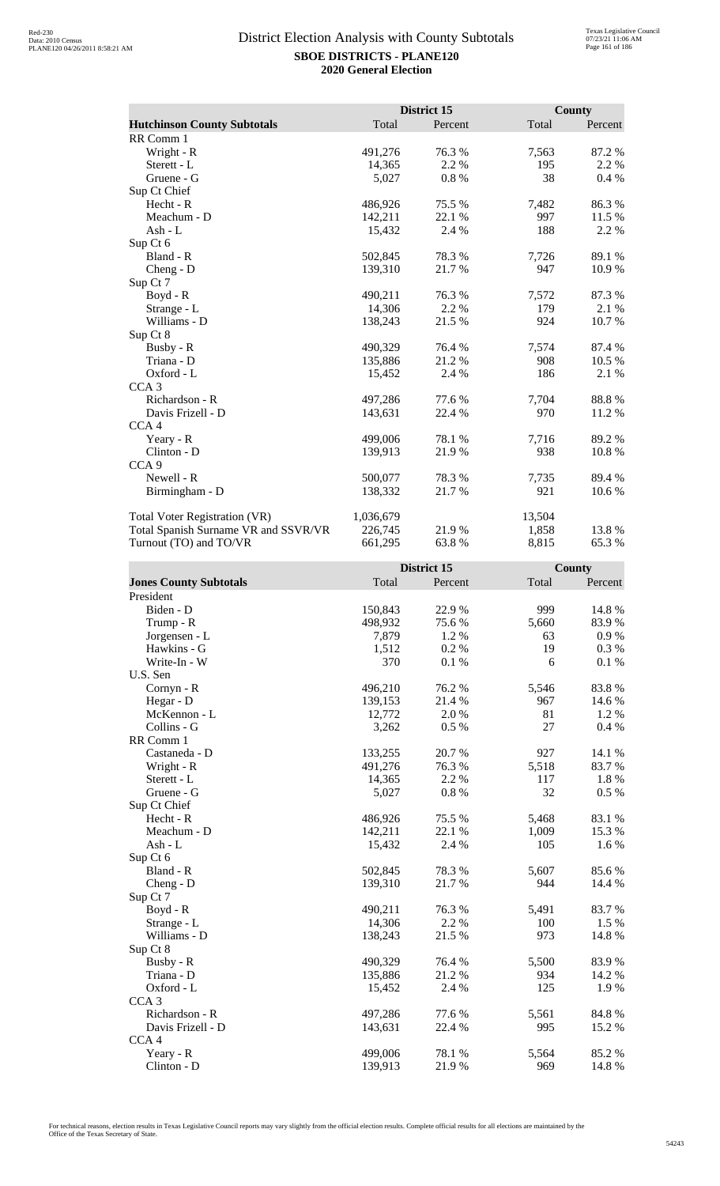|                                      |           | District 15 |        | County  |
|--------------------------------------|-----------|-------------|--------|---------|
| <b>Hutchinson County Subtotals</b>   | Total     | Percent     | Total  | Percent |
| RR Comm 1                            |           |             |        |         |
| Wright - R                           | 491,276   | 76.3%       | 7,563  | 87.2%   |
| Sterett - L                          | 14,365    | 2.2 %       | 195    | 2.2 %   |
| Gruene - G                           | 5,027     | 0.8%        | 38     | 0.4%    |
| Sup Ct Chief                         |           |             |        |         |
| $Hecht - R$                          | 486,926   | 75.5 %      | 7,482  | 86.3%   |
| Meachum - D                          | 142,211   | 22.1 %      | 997    | 11.5 %  |
| Ash - L                              | 15,432    | 2.4 %       | 188    | 2.2 %   |
| Sup Ct 6                             |           |             |        |         |
| Bland - R                            | 502,845   | 78.3 %      | 7,726  | 89.1 %  |
| Cheng - D                            | 139,310   | 21.7%       | 947    | 10.9%   |
| Sup Ct 7                             |           |             |        |         |
| Boyd - R                             | 490,211   | 76.3%       | 7,572  | 87.3%   |
| Strange - L                          | 14,306    | 2.2 %       | 179    | 2.1 %   |
| Williams - D                         | 138,243   | 21.5 %      | 924    | 10.7%   |
| Sup Ct 8                             |           |             |        |         |
| Busby - R                            | 490,329   | 76.4 %      | 7,574  | 87.4 %  |
| Triana - D                           | 135,886   | 21.2 %      | 908    | 10.5 %  |
| Oxford - L                           | 15,452    | 2.4 %       | 186    | 2.1 %   |
| CCA <sub>3</sub>                     |           |             |        |         |
| Richardson - R                       | 497,286   | 77.6%       | 7,704  | 88.8%   |
| Davis Frizell - D                    | 143,631   | 22.4 %      | 970    | 11.2 %  |
| CCA <sub>4</sub>                     |           |             |        |         |
| Yeary - R                            | 499,006   | 78.1 %      | 7,716  | 89.2 %  |
| Clinton - D                          | 139,913   | 21.9%       | 938    | 10.8 %  |
| CCA <sub>9</sub>                     |           |             |        |         |
| Newell - R                           | 500,077   | 78.3 %      | 7,735  | 89.4 %  |
| Birmingham - D                       | 138,332   | 21.7%       | 921    | 10.6%   |
| Total Voter Registration (VR)        | 1,036,679 |             | 13,504 |         |
| Total Spanish Surname VR and SSVR/VR | 226,745   | 21.9%       | 1,858  | 13.8%   |
| Turnout (TO) and TO/VR               | 661,295   | 63.8%       | 8,815  | 65.3%   |

|                               |         | District 15 |       | County  |
|-------------------------------|---------|-------------|-------|---------|
| <b>Jones County Subtotals</b> | Total   | Percent     | Total | Percent |
| President                     |         |             |       |         |
| Biden - D                     | 150,843 | 22.9%       | 999   | 14.8 %  |
| Trump - R                     | 498,932 | 75.6%       | 5,660 | 83.9%   |
| Jorgensen - L                 | 7,879   | 1.2%        | 63    | 0.9 %   |
| Hawkins - G                   | 1,512   | 0.2 %       | 19    | 0.3 %   |
| Write-In - W                  | 370     | 0.1 %       | 6     | 0.1 %   |
| U.S. Sen                      |         |             |       |         |
| Cornyn - R                    | 496,210 | 76.2 %      | 5,546 | 83.8%   |
| Hegar - D                     | 139,153 | 21.4 %      | 967   | 14.6 %  |
| McKennon - L                  | 12,772  | 2.0%        | 81    | 1.2%    |
| Collins - G                   | 3,262   | 0.5 %       | 27    | 0.4 %   |
| RR Comm 1                     |         |             |       |         |
| Castaneda - D                 | 133,255 | 20.7%       | 927   | 14.1 %  |
| Wright - R                    | 491,276 | 76.3%       | 5,518 | 83.7%   |
| Sterett - L                   | 14,365  | 2.2 %       | 117   | 1.8 %   |
| Gruene - G                    | 5,027   | 0.8 %       | 32    | 0.5 %   |
| Sup Ct Chief                  |         |             |       |         |
| Hecht - R                     | 486,926 | 75.5 %      | 5,468 | 83.1 %  |
| Meachum - D                   | 142,211 | 22.1 %      | 1,009 | 15.3%   |
| $Ash - L$                     | 15,432  | 2.4 %       | 105   | 1.6 %   |
| Sup Ct 6                      |         |             |       |         |
| Bland - R                     | 502,845 | 78.3%       | 5,607 | 85.6%   |
| Cheng - D                     | 139,310 | 21.7%       | 944   | 14.4 %  |
| Sup Ct 7                      |         |             |       |         |
| Boyd - R                      | 490,211 | 76.3%       | 5,491 | 83.7%   |
| Strange - L                   | 14,306  | 2.2%        | 100   | 1.5 %   |
| Williams - D                  | 138,243 | 21.5 %      | 973   | 14.8 %  |
| Sup Ct 8                      |         |             |       |         |
| Busby - R                     | 490,329 | 76.4 %      | 5,500 | 83.9%   |
| Triana - D                    | 135,886 | 21.2%       | 934   | 14.2 %  |
| Oxford - L                    | 15,452  | 2.4 %       | 125   | 1.9%    |
| CCA <sub>3</sub>              |         |             |       |         |
| Richardson - R                | 497,286 | 77.6 %      | 5,561 | 84.8%   |
| Davis Frizell - D             | 143,631 | 22.4 %      | 995   | 15.2 %  |
| CCA <sub>4</sub>              |         |             |       |         |
| Yeary - R                     | 499,006 | 78.1 %      | 5,564 | 85.2%   |
| Clinton - D                   | 139,913 | 21.9%       | 969   | 14.8 %  |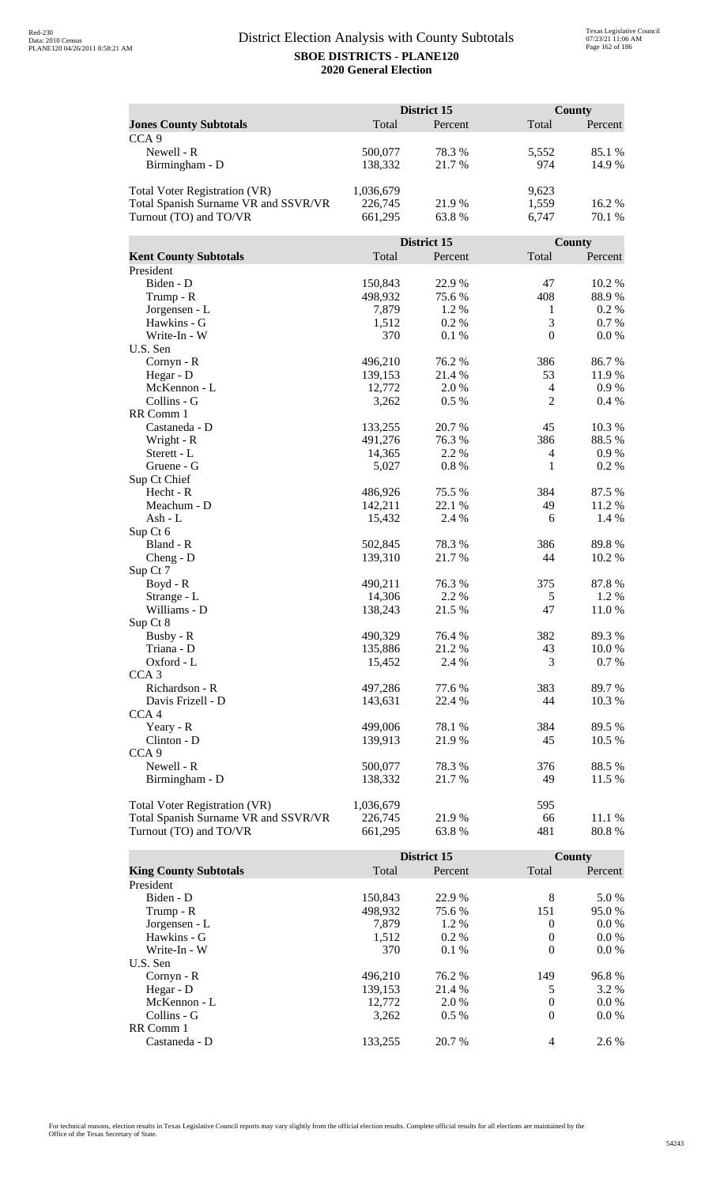|                                      |                    | District 15      |                  | County  |
|--------------------------------------|--------------------|------------------|------------------|---------|
| <b>Jones County Subtotals</b>        | Total              | Percent          | Total            | Percent |
| CCA <sub>9</sub>                     |                    |                  |                  |         |
| Newell - R                           | 500,077            | 78.3%            | 5,552            | 85.1 %  |
| Birmingham - D                       | 138,332            | 21.7%            | 974              | 14.9%   |
|                                      |                    |                  |                  |         |
| <b>Total Voter Registration (VR)</b> | 1,036,679          |                  | 9,623            |         |
| Total Spanish Surname VR and SSVR/VR | 226,745            | 21.9%            | 1,559            | 16.2%   |
| Turnout (TO) and TO/VR               | 661,295            | 63.8%            | 6,747            | 70.1 %  |
|                                      |                    |                  |                  |         |
|                                      |                    | District 15      |                  | County  |
| <b>Kent County Subtotals</b>         | Total              | Percent          | Total            | Percent |
| President                            |                    |                  |                  |         |
| Biden - D                            | 150,843            | 22.9%            | 47               | 10.2%   |
| Trump - R                            | 498,932            | 75.6%            | 408              | 88.9%   |
| Jorgensen - L                        | 7,879              | 1.2%             | $\mathbf{1}$     | 0.2 %   |
| Hawkins - G                          | 1,512              | 0.2%             | 3                | 0.7 %   |
| Write-In - W                         | 370                | 0.1%             | $\boldsymbol{0}$ | 0.0 %   |
| U.S. Sen                             |                    |                  |                  |         |
| Cornyn - R                           | 496,210            | 76.2 %           | 386              | 86.7%   |
| Hegar - D                            | 139,153            | 21.4 %           | 53               | 11.9%   |
| McKennon - L                         | 12,772             | 2.0 %            | $\overline{4}$   | 0.9 %   |
| Collins - G                          | 3,262              | 0.5%             | $\overline{2}$   | 0.4%    |
| RR Comm 1                            |                    |                  |                  |         |
| Castaneda - D                        | 133,255            | 20.7%            | 45               | 10.3 %  |
| Wright - R                           | 491,276            | 76.3%            | 386              | 88.5%   |
| Sterett - L                          | 14,365             | 2.2 %            | $\overline{4}$   | 0.9 %   |
| Gruene - G                           | 5,027              | 0.8%             | $\mathbf{1}$     | 0.2%    |
| Sup Ct Chief                         |                    |                  |                  |         |
| Hecht - R                            | 486,926            | 75.5 %           | 384              | 87.5 %  |
| Meachum - D                          | 142,211            | 22.1 %           | 49               | 11.2 %  |
| Ash - L                              | 15,432             | 2.4 %            | 6                | 1.4 %   |
| Sup Ct 6                             |                    |                  |                  |         |
| Bland - R                            | 502,845            | 78.3%            | 386              | 89.8%   |
| $Cheng - D$                          | 139,310            | 21.7%            | 44               | 10.2 %  |
| Sup Ct 7                             |                    |                  |                  |         |
| $Boyd - R$                           | 490,211            | 76.3%            | 375              | 87.8%   |
| Strange - L                          | 14,306             | 2.2 %            | 5                | 1.2%    |
| Williams - D                         | 138,243            | 21.5 %           | 47               | 11.0%   |
| Sup Ct 8                             |                    |                  |                  |         |
| Busby - R                            | 490,329            | 76.4 %           | 382              | 89.3%   |
| Triana - D                           | 135,886            | 21.2%            | 43               | 10.0%   |
| Oxford - L                           | 15,452             | 2.4 %            | 3                | 0.7%    |
| CCA <sub>3</sub><br>Richardson - R   |                    |                  |                  |         |
| Davis Frizell - D                    | 497,286<br>143,631 | 77.6 %<br>22.4 % | 383<br>44        | 89.7%   |
| CCA <sub>4</sub>                     |                    |                  |                  | 10.3 %  |
| Yeary - R                            | 499,006            | 78.1 %           | 384              | 89.5 %  |
| Clinton - D                          | 139,913            | 21.9%            | 45               | 10.5 %  |
| CCA <sub>9</sub>                     |                    |                  |                  |         |
| Newell - R                           | 500,077            | 78.3%            | 376              | 88.5%   |
| Birmingham - D                       | 138,332            | 21.7 %           | 49               | 11.5 %  |
|                                      |                    |                  |                  |         |
| <b>Total Voter Registration (VR)</b> | 1,036,679          |                  | 595              |         |
| Total Spanish Surname VR and SSVR/VR | 226,745            | 21.9%            | 66               | 11.1 %  |
| Turnout (TO) and TO/VR               | 661,295            | 63.8%            | 481              | 80.8%   |
|                                      |                    |                  |                  |         |

|                              |         | District 15 |          | <b>County</b> |
|------------------------------|---------|-------------|----------|---------------|
| <b>King County Subtotals</b> | Total   | Percent     | Total    | Percent       |
| President                    |         |             |          |               |
| Biden - D                    | 150.843 | 22.9 %      | 8        | 5.0 %         |
| Trump - R                    | 498,932 | 75.6 %      | 151      | 95.0 %        |
| Jorgensen - L                | 7.879   | 1.2 %       | $\Omega$ | $0.0\%$       |
| Hawkins - G                  | 1,512   | $0.2\%$     | $\Omega$ | $0.0\%$       |
| Write-In - W                 | 370     | $0.1\%$     | $\theta$ | $0.0\%$       |
| U.S. Sen                     |         |             |          |               |
| $Cornyn - R$                 | 496.210 | 76.2 %      | 149      | 96.8%         |
| Hegar - $D$                  | 139,153 | 21.4 %      | 5        | 3.2 %         |
| McKennon - L                 | 12,772  | 2.0 %       | $\theta$ | $0.0\%$       |
| Collins - G                  | 3.262   | $0.5\%$     | $\theta$ | $0.0\%$       |
| RR Comm 1                    |         |             |          |               |
| Castaneda - D                | 133.255 | 20.7 %      | 4        | 2.6 %         |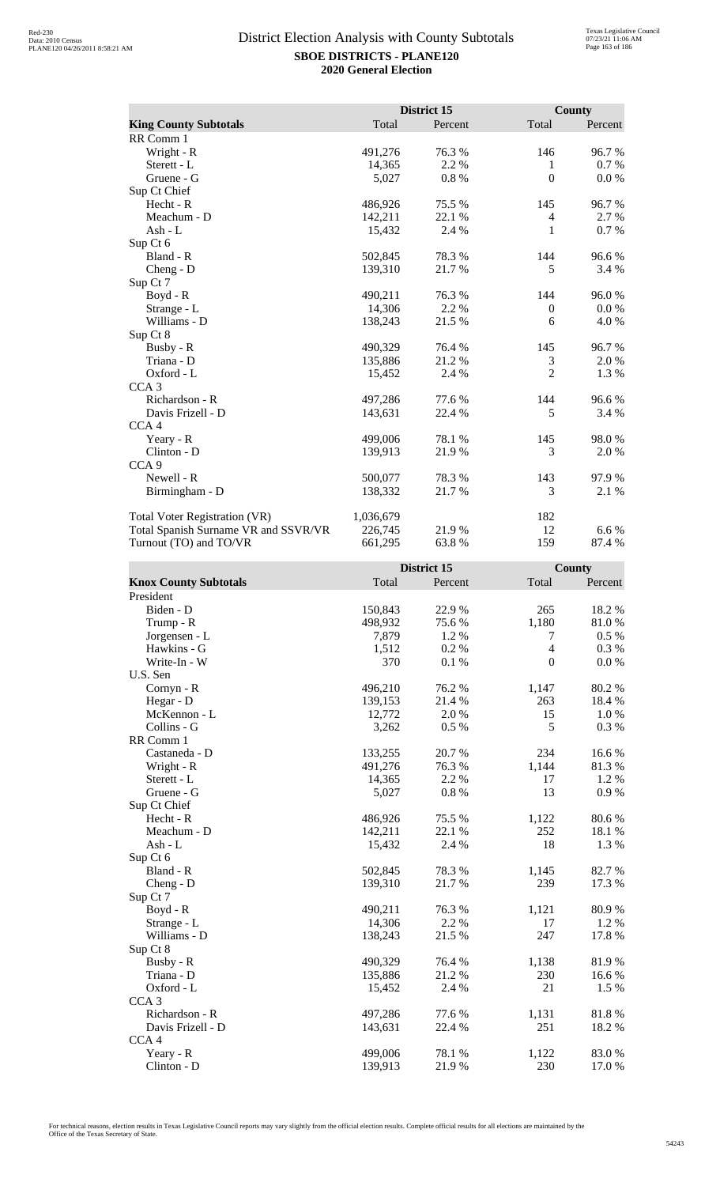|                                      |           | District 15 |                  | County    |
|--------------------------------------|-----------|-------------|------------------|-----------|
| <b>King County Subtotals</b>         | Total     | Percent     | Total            | Percent   |
| RR Comm 1                            |           |             |                  |           |
| Wright - R                           | 491,276   | 76.3 %      | 146              | 96.7%     |
| Sterett - L                          | 14,365    | 2.2 %       | 1                | 0.7 %     |
| Gruene - G                           | 5,027     | $0.8~\%$    | $\boldsymbol{0}$ | $0.0\ \%$ |
| Sup Ct Chief                         |           |             |                  |           |
| Hecht - R                            | 486,926   | 75.5 %      | 145              | 96.7%     |
| Meachum - D                          | 142,211   | 22.1 %      | $\overline{4}$   | 2.7 %     |
| $Ash - L$                            | 15,432    | 2.4 %       | 1                | 0.7 %     |
| Sup Ct 6                             |           |             |                  |           |
| Bland - R                            | 502,845   | 78.3%       | 144              | 96.6%     |
| Cheng - D                            | 139,310   | 21.7%       | 5                | 3.4 %     |
| Sup Ct 7                             |           |             |                  |           |
| Boyd - R                             | 490,211   | 76.3%       | 144              | 96.0%     |
| Strange - L                          | 14,306    | 2.2 %       | $\mathbf{0}$     | 0.0 %     |
| Williams - D                         | 138,243   | 21.5 %      | 6                | 4.0 %     |
| Sup Ct 8                             |           |             |                  |           |
| Busby - R                            | 490,329   | 76.4 %      | 145              | 96.7%     |
| Triana - D                           | 135,886   | 21.2 %      | 3                | 2.0 %     |
| Oxford - L                           | 15,452    | 2.4 %       | $\overline{2}$   | 1.3 %     |
| CCA <sub>3</sub>                     |           |             |                  |           |
| Richardson - R                       | 497,286   | 77.6 %      | 144              | 96.6%     |
| Davis Frizell - D                    | 143,631   | 22.4 %      | 5                | 3.4 %     |
| CCA <sub>4</sub>                     |           |             |                  |           |
| Yeary - R                            | 499,006   | 78.1 %      | 145              | 98.0%     |
| Clinton - D                          | 139,913   | 21.9%       | 3                | 2.0 %     |
| CCA <sub>9</sub>                     |           |             |                  |           |
| Newell - R                           | 500,077   | 78.3%       | 143              | 97.9 %    |
| Birmingham - D                       | 138,332   | 21.7%       | 3                | 2.1 %     |
| Total Voter Registration (VR)        | 1,036,679 |             | 182              |           |
| Total Spanish Surname VR and SSVR/VR | 226,745   | 21.9%       | 12               | 6.6 %     |
| Turnout (TO) and TO/VR               | 661,295   | 63.8%       | 159              | 87.4 %    |

|                              |         | District 15 |                  | <b>County</b> |
|------------------------------|---------|-------------|------------------|---------------|
| <b>Knox County Subtotals</b> | Total   | Percent     | Total            | Percent       |
| President                    |         |             |                  |               |
| Biden - D                    | 150,843 | 22.9 %      | 265              | 18.2%         |
| Trump - R                    | 498,932 | 75.6%       | 1,180            | 81.0%         |
| Jorgensen - L                | 7,879   | 1.2%        | 7                | 0.5 %         |
| Hawkins - G                  | 1,512   | 0.2%        | $\overline{4}$   | 0.3 %         |
| Write-In - W                 | 370     | 0.1%        | $\boldsymbol{0}$ | 0.0 %         |
| U.S. Sen                     |         |             |                  |               |
| Cornyn - R                   | 496,210 | 76.2%       | 1,147            | 80.2 %        |
| Hegar - D                    | 139,153 | 21.4%       | 263              | 18.4%         |
| McKennon - L                 | 12,772  | 2.0%        | 15               | 1.0%          |
| Collins - G                  | 3,262   | 0.5%        | 5                | 0.3%          |
| RR Comm 1                    |         |             |                  |               |
| Castaneda - D                | 133,255 | 20.7%       | 234              | 16.6%         |
| Wright - R                   | 491,276 | 76.3%       | 1,144            | 81.3%         |
| Sterett - L                  | 14,365  | 2.2 %       | 17               | 1.2%          |
| Gruene - G                   | 5,027   | 0.8%        | 13               | 0.9%          |
| Sup Ct Chief                 |         |             |                  |               |
| Hecht - R                    | 486,926 | 75.5 %      | 1,122            | 80.6%         |
| Meachum - D                  | 142,211 | 22.1 %      | 252              | 18.1%         |
| Ash - L                      | 15,432  | 2.4 %       | 18               | 1.3 %         |
| Sup Ct 6                     |         |             |                  |               |
| Bland - R                    | 502,845 | 78.3%       | 1,145            | 82.7%         |
| Cheng - D                    | 139,310 | 21.7%       | 239              | 17.3 %        |
| Sup Ct 7                     |         |             |                  |               |
| $Boyd - R$                   | 490,211 | 76.3%       | 1,121            | 80.9%         |
| Strange - L                  | 14,306  | 2.2 %       | 17               | 1.2%          |
| Williams - D                 | 138,243 | 21.5 %      | 247              | 17.8 %        |
| Sup Ct 8                     |         |             |                  |               |
| Busby - R                    | 490,329 | 76.4 %      | 1,138            | 81.9%         |
| Triana - D                   | 135,886 | 21.2%       | 230              | 16.6%         |
| Oxford - L                   | 15,452  | 2.4 %       | 21               | 1.5 %         |
| CCA <sub>3</sub>             |         |             |                  |               |
| Richardson - R               | 497,286 | 77.6%       | 1,131            | 81.8 %        |
| Davis Frizell - D            | 143,631 | 22.4 %      | 251              | 18.2 %        |
| CCA <sub>4</sub>             |         |             |                  |               |
| Yeary - R                    | 499,006 | 78.1 %      | 1,122            | 83.0%         |
| Clinton - D                  | 139,913 | 21.9%       | 230              | 17.0%         |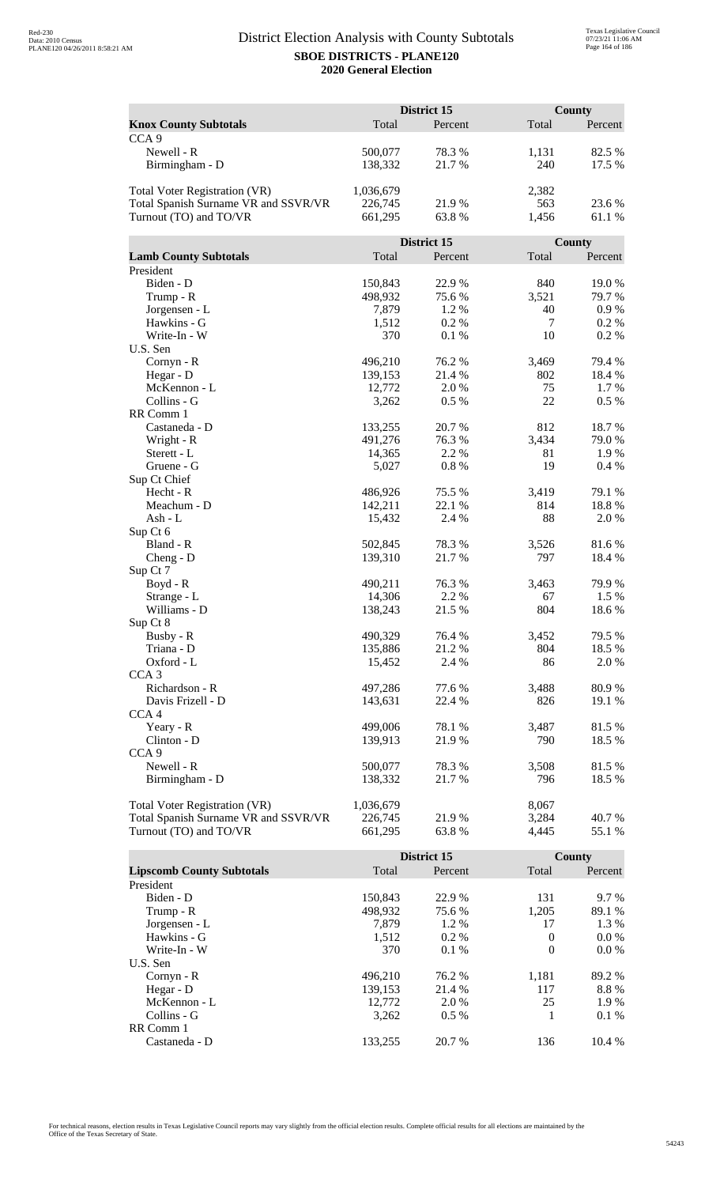|                                      |                   | District 15     |                | <b>County</b>   |
|--------------------------------------|-------------------|-----------------|----------------|-----------------|
| <b>Knox County Subtotals</b>         | Total             | Percent         | Total          | Percent         |
| CCA <sub>9</sub>                     |                   |                 |                |                 |
| Newell - R                           | 500,077           | 78.3%           | 1,131          | 82.5 %          |
| Birmingham - D                       | 138,332           | 21.7%           | 240            | 17.5 %          |
|                                      |                   |                 |                |                 |
| <b>Total Voter Registration (VR)</b> | 1,036,679         |                 | 2,382          |                 |
| Total Spanish Surname VR and SSVR/VR | 226,745           | 21.9%           | 563            | 23.6 %          |
| Turnout (TO) and TO/VR               | 661,295           | 63.8%           | 1,456          | 61.1 %          |
|                                      |                   |                 |                |                 |
|                                      |                   | District 15     |                | County          |
| <b>Lamb County Subtotals</b>         | Total             | Percent         | Total          | Percent         |
| President                            |                   |                 |                |                 |
| Biden - D                            | 150,843           | 22.9%           | 840            | 19.0%           |
| Trump - R                            | 498,932           | 75.6%           | 3,521          | 79.7%           |
| Jorgensen - L                        | 7,879             | 1.2%            | 40             | $0.9\ \%$       |
| Hawkins - G                          | 1,512             | 0.2%            | $\overline{7}$ | 0.2 %           |
| Write-In - W                         | 370               | 0.1%            | 10             | 0.2 %           |
| U.S. Sen                             |                   |                 |                |                 |
| Cornyn - R                           | 496,210           | 76.2 %          | 3,469          | 79.4 %          |
| Hegar - D                            | 139,153           | 21.4 %          | 802            | 18.4 %          |
| McKennon - L                         | 12,772            | 2.0 %           | 75             | $1.7\%$         |
| Collins - G                          | 3,262             | 0.5 %           | 22             | $0.5\%$         |
| RR Comm 1                            |                   |                 |                |                 |
| Castaneda - D                        | 133,255           | 20.7 %          | 812            | 18.7%           |
| Wright - R                           | 491,276           | 76.3%           | 3,434          | 79.0%           |
| Sterett - L                          | 14,365            | 2.2 %           | 81             | 1.9%            |
| Gruene - G                           | 5,027             | 0.8%            | 19             | 0.4%            |
| Sup Ct Chief                         |                   |                 |                |                 |
| Hecht - R                            | 486,926           | 75.5 %          | 3,419          | 79.1 %          |
| Meachum - D                          | 142,211           | 22.1 %          | 814            | 18.8%           |
| Ash - L                              | 15,432            | 2.4 %           | 88             | 2.0%            |
| Sup Ct 6                             |                   |                 |                |                 |
| Bland - R                            | 502,845           | 78.3%           | 3,526          | 81.6%           |
| $Cheng - D$                          | 139,310           | 21.7%           | 797            | 18.4 %          |
| Sup Ct 7                             |                   |                 |                |                 |
| Boyd - R<br>Strange - L              | 490,211<br>14,306 | 76.3 %<br>2.2 % | 3,463<br>67    | 79.9 %<br>1.5 % |
| Williams - D                         |                   | 21.5 %          | 804            | 18.6%           |
| Sup Ct 8                             | 138,243           |                 |                |                 |
| Busby - R                            | 490,329           | 76.4 %          | 3,452          | 79.5 %          |
| Triana - D                           | 135,886           | 21.2%           | 804            | 18.5 %          |
| Oxford - L                           | 15,452            | 2.4 %           | 86             | 2.0%            |
| CCA <sub>3</sub>                     |                   |                 |                |                 |
| Richardson - R                       | 497,286           | 77.6 %          | 3,488          | 80.9%           |
| Davis Frizell - D                    | 143,631           | 22.4 %          | 826            | 19.1 %          |
| CCA <sub>4</sub>                     |                   |                 |                |                 |
| Yeary - R                            | 499,006           | 78.1 %          | 3,487          | 81.5%           |
| Clinton - D                          | 139,913           | 21.9 %          | 790            | 18.5 %          |
| CCA <sub>9</sub>                     |                   |                 |                |                 |
| Newell - R                           | 500,077           | 78.3%           | 3,508          | 81.5%           |
| Birmingham - D                       | 138,332           | 21.7 %          | 796            | 18.5 %          |
|                                      |                   |                 |                |                 |
| Total Voter Registration (VR)        | 1,036,679         |                 | 8,067          |                 |
| Total Spanish Surname VR and SSVR/VR | 226,745           | 21.9%           | 3,284          | 40.7%           |
| Turnout (TO) and TO/VR               | 661,295           | 63.8%           | 4,445          | 55.1 %          |

|                                  |         | District 15 |          | County  |
|----------------------------------|---------|-------------|----------|---------|
| <b>Lipscomb County Subtotals</b> | Total   | Percent     | Total    | Percent |
| President                        |         |             |          |         |
| Biden - D                        | 150.843 | 22.9 %      | 131      | $9.7\%$ |
| Trump - R                        | 498,932 | 75.6 %      | 1,205    | 89.1 %  |
| Jorgensen - L                    | 7.879   | $1.2\%$     | 17       | 1.3 %   |
| Hawkins - G                      | 1,512   | $0.2\%$     | $\theta$ | $0.0\%$ |
| Write-In - W                     | 370     | $0.1\%$     | $\Omega$ | $0.0\%$ |
| U.S. Sen                         |         |             |          |         |
| $Cornyn - R$                     | 496.210 | 76.2 %      | 1,181    | 89.2 %  |
| Hegar - $D$                      | 139.153 | 21.4 %      | 117      | 8.8%    |
| McKennon - L                     | 12,772  | 2.0 %       | 25       | 1.9 %   |
| Collins - G                      | 3.262   | $0.5\%$     |          | $0.1\%$ |
| RR Comm 1                        |         |             |          |         |
| Castaneda - D                    | 133.255 | 20.7 %      | 136      | 10.4%   |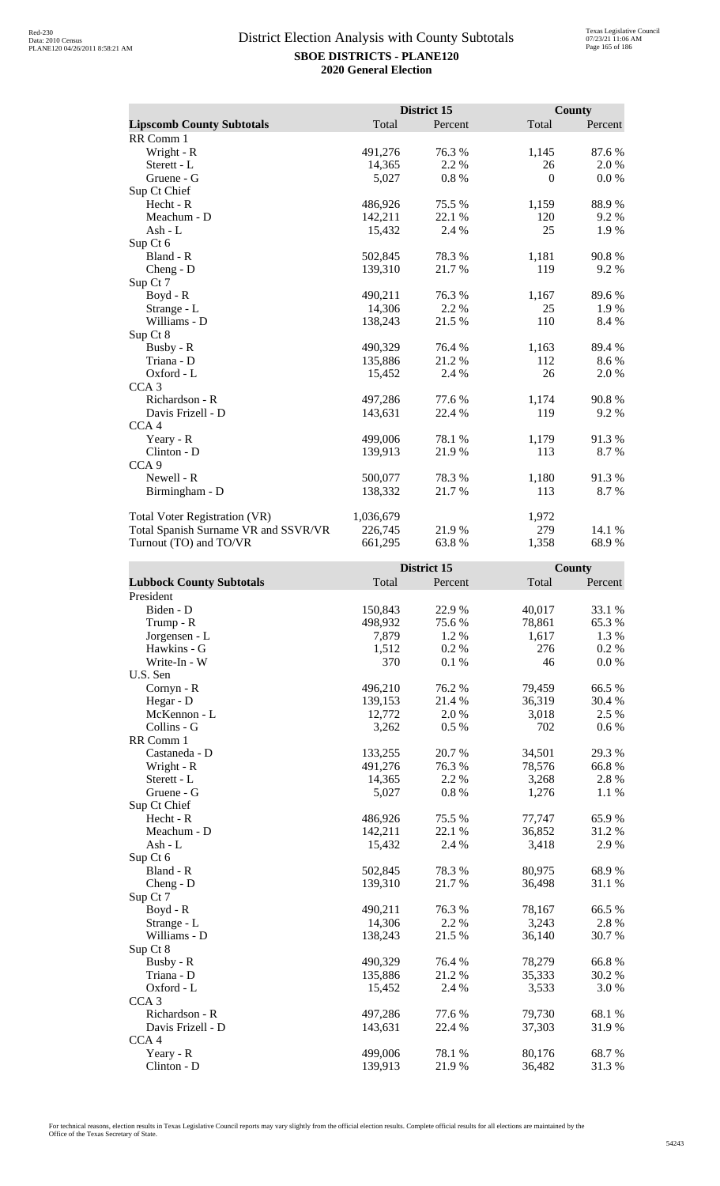|                                      |           | District 15 |          | <b>County</b> |
|--------------------------------------|-----------|-------------|----------|---------------|
| <b>Lipscomb County Subtotals</b>     | Total     | Percent     | Total    | Percent       |
| RR Comm 1                            |           |             |          |               |
| Wright - R                           | 491,276   | 76.3 %      | 1,145    | 87.6%         |
| Sterett - L                          | 14,365    | 2.2 %       | 26       | 2.0%          |
| Gruene - G                           | 5,027     | 0.8%        | $\theta$ | $0.0\%$       |
| Sup Ct Chief                         |           |             |          |               |
| Hecht - R                            | 486,926   | 75.5 %      | 1,159    | 88.9%         |
| Meachum - D                          | 142,211   | 22.1 %      | 120      | 9.2 %         |
| Ash - L                              | 15,432    | 2.4 %       | 25       | 1.9 %         |
| Sup Ct 6                             |           |             |          |               |
| Bland - R                            | 502,845   | 78.3%       | 1,181    | 90.8%         |
| $Cheng - D$                          | 139,310   | 21.7 %      | 119      | 9.2 %         |
| Sup Ct 7                             |           |             |          |               |
| Boyd - R                             | 490,211   | 76.3 %      | 1,167    | 89.6%         |
| Strange - L                          | 14,306    | 2.2 %       | 25       | 1.9%          |
| Williams - D                         | 138,243   | 21.5 %      | 110      | 8.4 %         |
| Sup Ct 8                             |           |             |          |               |
| Busby - R                            | 490,329   | 76.4%       | 1,163    | 89.4%         |
| Triana - D                           | 135,886   | 21.2%       | 112      | 8.6 %         |
| Oxford - L                           | 15,452    | 2.4 %       | 26       | 2.0 %         |
| CCA <sub>3</sub>                     |           |             |          |               |
| Richardson - R                       | 497,286   | 77.6 %      | 1,174    | 90.8%         |
| Davis Frizell - D                    | 143,631   | 22.4 %      | 119      | 9.2%          |
| CCA <sub>4</sub>                     |           |             |          |               |
| Yeary - R                            | 499,006   | 78.1 %      | 1,179    | 91.3%         |
| Clinton - D                          | 139,913   | 21.9%       | 113      | 8.7 %         |
| CCA <sub>9</sub>                     |           |             |          |               |
| Newell - R                           | 500,077   | 78.3 %      | 1,180    | 91.3%         |
| Birmingham - D                       | 138,332   | 21.7%       | 113      | 8.7 %         |
| <b>Total Voter Registration (VR)</b> | 1,036,679 |             | 1,972    |               |
| Total Spanish Surname VR and SSVR/VR | 226,745   | 21.9%       | 279      | 14.1 %        |
| Turnout (TO) and TO/VR               | 661,295   | 63.8%       | 1,358    | 68.9%         |

|                                 |         | District 15 |        | County  |
|---------------------------------|---------|-------------|--------|---------|
| <b>Lubbock County Subtotals</b> | Total   | Percent     | Total  | Percent |
| President                       |         |             |        |         |
| Biden - D                       | 150,843 | 22.9%       | 40,017 | 33.1 %  |
| Trump - R                       | 498,932 | 75.6%       | 78,861 | 65.3%   |
| Jorgensen - L                   | 7,879   | 1.2 %       | 1,617  | 1.3 %   |
| Hawkins - G                     | 1,512   | 0.2%        | 276    | 0.2 %   |
| Write-In - W                    | 370     | 0.1%        | 46     | 0.0 %   |
| U.S. Sen                        |         |             |        |         |
| Cornyn - R                      | 496,210 | 76.2 %      | 79,459 | 66.5%   |
| Hegar - D                       | 139,153 | 21.4 %      | 36,319 | 30.4 %  |
| McKennon - L                    | 12,772  | 2.0%        | 3,018  | 2.5 %   |
| Collins - G                     | 3,262   | 0.5%        | 702    | $0.6\%$ |
| RR Comm 1                       |         |             |        |         |
| Castaneda - D                   | 133,255 | 20.7%       | 34,501 | 29.3 %  |
| Wright - R                      | 491,276 | 76.3%       | 78,576 | 66.8%   |
| Sterett - L                     | 14,365  | 2.2 %       | 3,268  | 2.8%    |
| Gruene - G                      | 5,027   | $0.8~\%$    | 1,276  | 1.1 %   |
| Sup Ct Chief                    |         |             |        |         |
| Hecht - R                       | 486,926 | 75.5 %      | 77,747 | 65.9%   |
| Meachum - D                     | 142,211 | 22.1 %      | 36,852 | 31.2%   |
| $Ash - L$                       | 15,432  | 2.4 %       | 3,418  | 2.9%    |
| Sup Ct 6                        |         |             |        |         |
| Bland - R                       | 502,845 | 78.3 %      | 80,975 | 68.9%   |
| $Cheng - D$                     | 139,310 | 21.7%       | 36,498 | 31.1 %  |
| Sup Ct 7                        |         |             |        |         |
| Boyd - R                        | 490,211 | 76.3%       | 78,167 | 66.5%   |
| Strange - L                     | 14,306  | 2.2 %       | 3,243  | 2.8%    |
| Williams - D                    | 138,243 | 21.5 %      | 36,140 | 30.7 %  |
| Sup Ct 8                        |         |             |        |         |
| Busby - R                       | 490,329 | 76.4%       | 78,279 | 66.8%   |
| Triana - D                      | 135,886 | 21.2%       | 35,333 | 30.2 %  |
| Oxford - L                      | 15,452  | 2.4 %       | 3,533  | 3.0 %   |
| CCA <sub>3</sub>                |         |             |        |         |
| Richardson - R                  | 497,286 | 77.6 %      | 79,730 | 68.1 %  |
| Davis Frizell - D               | 143,631 | 22.4 %      | 37,303 | 31.9%   |
| CCA4                            |         |             |        |         |
| Yeary - R                       | 499,006 | 78.1 %      | 80,176 | 68.7%   |
| Clinton - D                     | 139,913 | 21.9%       | 36,482 | 31.3%   |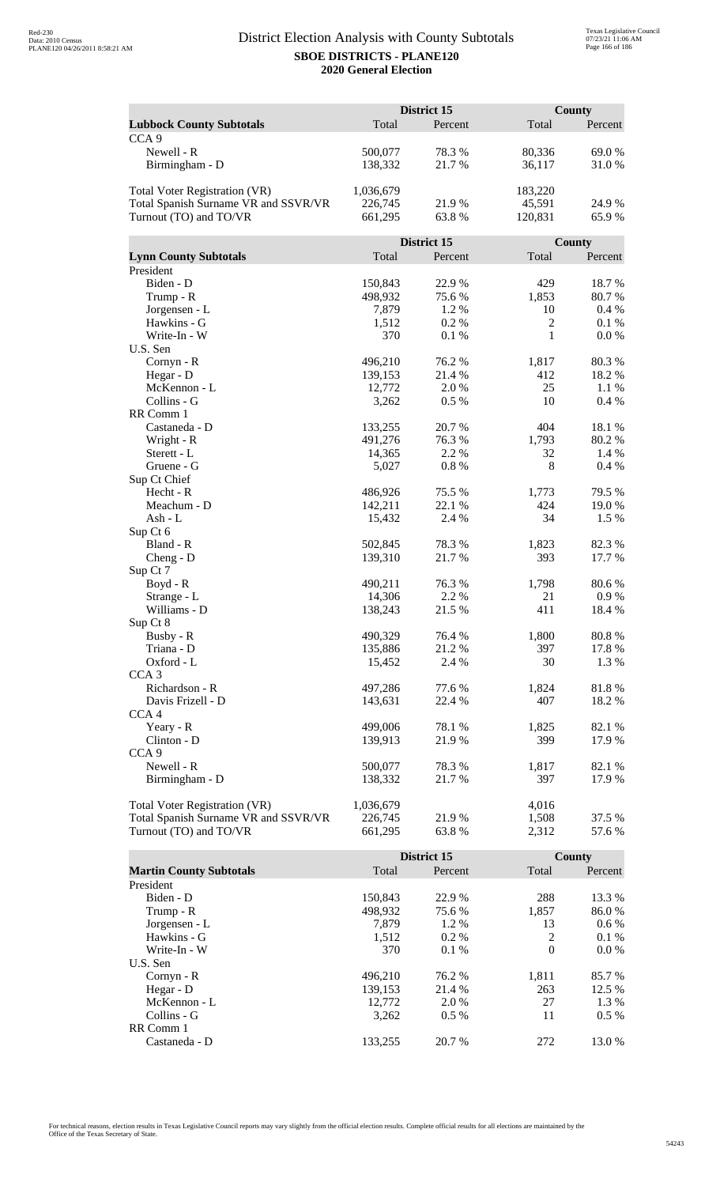|                                      | District 15 |             |                | <b>County</b> |  |
|--------------------------------------|-------------|-------------|----------------|---------------|--|
| <b>Lubbock County Subtotals</b>      | Total       | Percent     | Total          | Percent       |  |
| CCA <sub>9</sub>                     |             |             |                |               |  |
| Newell - R                           | 500,077     | 78.3%       | 80,336         | 69.0%         |  |
| Birmingham - D                       | 138,332     | 21.7%       | 36,117         | 31.0%         |  |
|                                      |             |             |                |               |  |
| <b>Total Voter Registration (VR)</b> | 1,036,679   |             | 183,220        |               |  |
| Total Spanish Surname VR and SSVR/VR | 226,745     | 21.9%       | 45,591         | 24.9%         |  |
| Turnout (TO) and TO/VR               | 661,295     | 63.8%       | 120,831        | 65.9%         |  |
|                                      |             |             |                |               |  |
|                                      |             | District 15 |                | County        |  |
| <b>Lynn County Subtotals</b>         | Total       | Percent     | Total          | Percent       |  |
| President                            |             |             |                |               |  |
| Biden - D                            | 150,843     | 22.9%       | 429            | 18.7%         |  |
| Trump - R                            | 498,932     | 75.6%       | 1,853          | 80.7%         |  |
| Jorgensen - L                        | 7,879       | 1.2%        | 10             | 0.4%          |  |
| Hawkins - G                          | 1,512       | 0.2%        | $\overline{2}$ | 0.1%          |  |
| Write-In - W                         | 370         | 0.1%        | 1              | 0.0 %         |  |
| U.S. Sen                             |             |             |                |               |  |
| Cornyn - R                           | 496,210     | 76.2 %      | 1,817          | 80.3%         |  |
| Hegar - D                            | 139,153     | 21.4 %      | 412            | 18.2%         |  |
| McKennon - L                         | 12,772      | 2.0 %       | 25             | 1.1 %         |  |
| Collins - G                          | 3,262       | 0.5 %       | 10             | 0.4 %         |  |
| RR Comm 1                            |             |             |                |               |  |
| Castaneda - D                        | 133,255     | 20.7 %      | 404            | 18.1 %        |  |
| Wright - R                           | 491,276     | 76.3%       | 1,793          | 80.2%         |  |
| Sterett - L                          | 14,365      | 2.2 %       | 32             | 1.4 %         |  |
| Gruene - G                           | 5,027       | 0.8%        | 8              | 0.4%          |  |
| Sup Ct Chief                         |             |             |                |               |  |
| Hecht - R                            | 486,926     | 75.5 %      | 1,773          | 79.5 %        |  |
| Meachum - D                          | 142,211     | 22.1 %      | 424            | 19.0%         |  |
| Ash - L                              | 15,432      | 2.4 %       | 34             | 1.5 %         |  |
| Sup Ct 6<br>Bland - R                | 502,845     | 78.3%       | 1,823          | 82.3%         |  |
| $Cheng - D$                          | 139,310     | 21.7%       | 393            | 17.7 %        |  |
| Sup Ct 7                             |             |             |                |               |  |
| Boyd - R                             | 490,211     | 76.3 %      | 1,798          | 80.6%         |  |
| Strange - L                          | 14,306      | 2.2 %       | 21             | 0.9 %         |  |
| Williams - D                         | 138,243     | 21.5 %      | 411            | 18.4 %        |  |
| Sup Ct 8                             |             |             |                |               |  |
| Busby - R                            | 490,329     | 76.4 %      | 1,800          | 80.8%         |  |
| Triana - D                           | 135,886     | 21.2%       | 397            | 17.8%         |  |
| Oxford - L                           | 15,452      | 2.4 %       | 30             | 1.3 %         |  |
| CCA <sub>3</sub>                     |             |             |                |               |  |
| Richardson - R                       | 497,286     | 77.6%       | 1,824          | 81.8%         |  |
| Davis Frizell - D                    | 143,631     | 22.4 %      | 407            | 18.2 %        |  |
| CCA <sub>4</sub>                     |             |             |                |               |  |
| Yeary - R                            | 499,006     | 78.1 %      | 1,825          | 82.1 %        |  |
| Clinton - D                          | 139,913     | 21.9 %      | 399            | 17.9%         |  |
| CCA <sub>9</sub>                     |             |             |                |               |  |
| Newell - R                           | 500,077     | 78.3%       | 1,817          | 82.1 %        |  |
| Birmingham - D                       | 138,332     | 21.7 %      | 397            | 17.9 %        |  |
|                                      |             |             |                |               |  |
| Total Voter Registration (VR)        | 1,036,679   |             | 4,016          |               |  |
| Total Spanish Surname VR and SSVR/VR | 226,745     | 21.9%       | 1,508          | 37.5 %        |  |
| Turnout (TO) and TO/VR               | 661,295     | 63.8%       | 2,312          | 57.6 %        |  |

|                                |         | District 15 |          | County  |
|--------------------------------|---------|-------------|----------|---------|
| <b>Martin County Subtotals</b> | Total   | Percent     | Total    | Percent |
| President                      |         |             |          |         |
| Biden - D                      | 150.843 | 22.9 %      | 288      | 13.3 %  |
| Trump - R                      | 498,932 | 75.6 %      | 1,857    | 86.0%   |
| Jorgensen - L                  | 7.879   | $1.2\%$     | 13       | $0.6\%$ |
| Hawkins - G                    | 1,512   | $0.2\%$     | 2        | $0.1\%$ |
| Write-In - W                   | 370     | $0.1\%$     | $\theta$ | $0.0\%$ |
| U.S. Sen                       |         |             |          |         |
| Cornyn - R                     | 496.210 | 76.2 %      | 1,811    | 85.7 %  |
| Hegar - $D$                    | 139,153 | 21.4 %      | 263      | 12.5 %  |
| McKennon - L                   | 12,772  | 2.0 %       | 27       | 1.3 %   |
| Collins - G                    | 3,262   | $0.5\%$     | 11       | $0.5\%$ |
| RR Comm 1                      |         |             |          |         |
| Castaneda - D                  | 133.255 | 20.7 %      | 272      | 13.0 %  |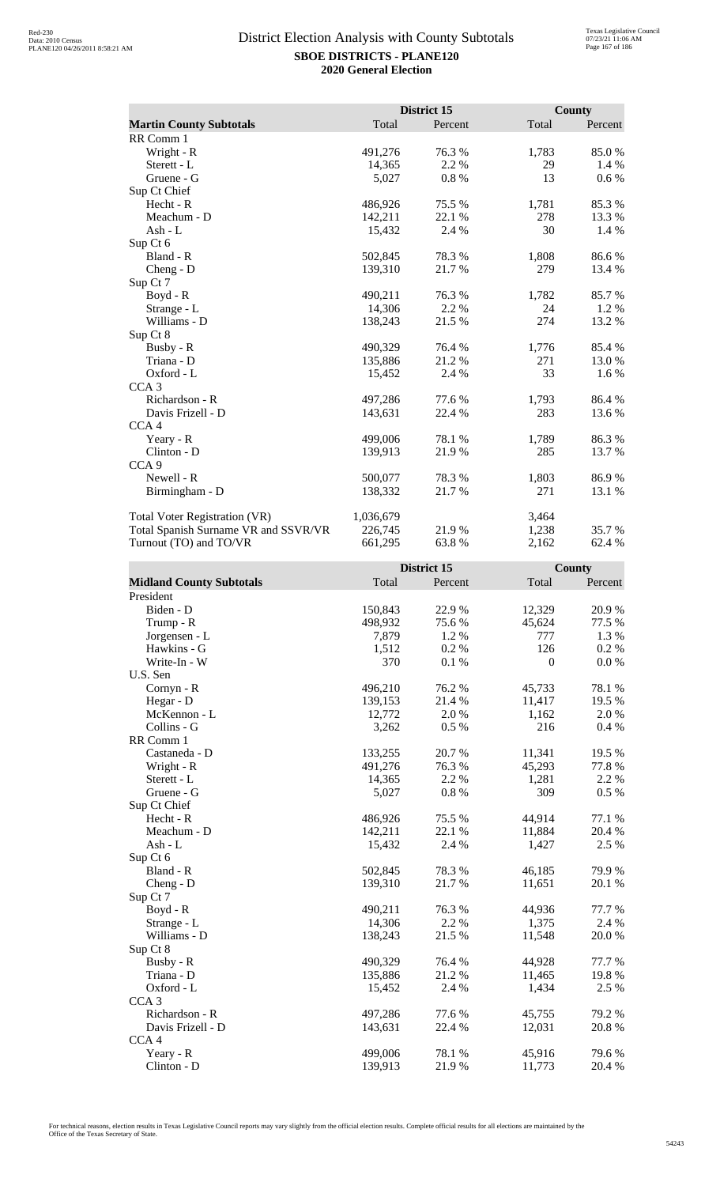|                                      |           | District 15 |       | <b>County</b> |
|--------------------------------------|-----------|-------------|-------|---------------|
| <b>Martin County Subtotals</b>       | Total     | Percent     | Total | Percent       |
| RR Comm 1                            |           |             |       |               |
| Wright - R                           | 491,276   | 76.3%       | 1,783 | 85.0%         |
| Sterett - L                          | 14,365    | 2.2 %       | 29    | 1.4 %         |
| Gruene - G                           | 5,027     | 0.8%        | 13    | $0.6\%$       |
| Sup Ct Chief                         |           |             |       |               |
| Hecht - R                            | 486,926   | 75.5 %      | 1,781 | 85.3%         |
| Meachum - D                          | 142,211   | 22.1 %      | 278   | 13.3 %        |
| Ash - L                              | 15,432    | 2.4 %       | 30    | 1.4 %         |
| Sup Ct 6                             |           |             |       |               |
| Bland - R                            | 502,845   | 78.3 %      | 1,808 | 86.6%         |
| Cheng - D                            | 139,310   | 21.7%       | 279   | 13.4 %        |
| Sup Ct 7                             |           |             |       |               |
| $Boyd - R$                           | 490,211   | 76.3 %      | 1,782 | 85.7%         |
| Strange - L                          | 14,306    | 2.2 %       | 24    | 1.2 %         |
| Williams - D                         | 138,243   | 21.5 %      | 274   | 13.2 %        |
| Sup Ct 8                             |           |             |       |               |
| Busby - R                            | 490,329   | 76.4 %      | 1,776 | 85.4 %        |
| Triana - D                           | 135,886   | 21.2 %      | 271   | 13.0 %        |
| Oxford - L                           | 15,452    | 2.4 %       | 33    | 1.6 %         |
| CCA <sub>3</sub>                     |           |             |       |               |
| Richardson - R                       | 497,286   | 77.6%       | 1,793 | 86.4 %        |
| Davis Frizell - D                    | 143,631   | 22.4 %      | 283   | 13.6 %        |
| CCA <sub>4</sub>                     |           |             |       |               |
| Yeary - R                            | 499,006   | 78.1 %      | 1,789 | 86.3%         |
| Clinton - D                          | 139,913   | 21.9%       | 285   | 13.7 %        |
| CCA <sub>9</sub>                     |           |             |       |               |
| Newell - R                           | 500,077   | 78.3 %      | 1,803 | 86.9%         |
| Birmingham - D                       | 138,332   | 21.7%       | 271   | 13.1 %        |
|                                      |           |             |       |               |
| <b>Total Voter Registration (VR)</b> | 1,036,679 |             | 3,464 |               |
| Total Spanish Surname VR and SSVR/VR | 226,745   | 21.9%       | 1,238 | 35.7 %        |
| Turnout (TO) and TO/VR               | 661,295   | 63.8%       | 2,162 | 62.4 %        |

|                                 |         | District 15 |              | <b>County</b> |
|---------------------------------|---------|-------------|--------------|---------------|
| <b>Midland County Subtotals</b> | Total   | Percent     | Total        | Percent       |
| President                       |         |             |              |               |
| Biden - D                       | 150,843 | 22.9%       | 12,329       | 20.9%         |
| Trump - R                       | 498,932 | 75.6 %      | 45,624       | 77.5 %        |
| Jorgensen - L                   | 7,879   | 1.2 %       | 777          | 1.3 %         |
| Hawkins - G                     | 1,512   | 0.2%        | 126          | 0.2 %         |
| Write-In - W                    | 370     | 0.1%        | $\mathbf{0}$ | 0.0 %         |
| U.S. Sen                        |         |             |              |               |
| Cornyn - R                      | 496,210 | 76.2%       | 45,733       | 78.1 %        |
| Hegar - D                       | 139,153 | 21.4 %      | 11,417       | 19.5 %        |
| McKennon - L                    | 12,772  | 2.0%        | 1,162        | 2.0%          |
| Collins - G                     | 3,262   | 0.5 %       | 216          | 0.4 %         |
| RR Comm 1                       |         |             |              |               |
| Castaneda - D                   | 133,255 | 20.7%       | 11,341       | 19.5 %        |
| Wright - R                      | 491,276 | 76.3 %      | 45,293       | 77.8%         |
| Sterett - L                     | 14,365  | 2.2 %       | 1,281        | 2.2 %         |
| Gruene - G                      | 5,027   | 0.8%        | 309          | $0.5\%$       |
| Sup Ct Chief                    |         |             |              |               |
| $Hecht - R$                     | 486,926 | 75.5 %      | 44,914       | 77.1 %        |
| Meachum - D                     | 142,211 | 22.1 %      | 11,884       | 20.4 %        |
| $Ash - L$                       | 15,432  | 2.4 %       | 1,427        | 2.5 %         |
| Sup Ct 6                        |         |             |              |               |
| Bland - R                       | 502,845 | 78.3%       | 46,185       | 79.9%         |
| Cheng - D                       | 139,310 | 21.7%       | 11,651       | 20.1 %        |
| Sup Ct 7                        |         |             |              |               |
| Boyd - R                        | 490,211 | 76.3%       | 44,936       | 77.7 %        |
| Strange - L                     | 14,306  | 2.2 %       | 1,375        | 2.4 %         |
| Williams - D                    | 138,243 | 21.5 %      | 11,548       | 20.0%         |
| Sup Ct 8                        |         |             |              |               |
| Busby - R                       | 490,329 | 76.4 %      | 44,928       | 77.7 %        |
| Triana - D                      | 135,886 | 21.2%       | 11,465       | 19.8%         |
| Oxford - L                      | 15,452  | 2.4 %       | 1,434        | 2.5 %         |
| CCA <sub>3</sub>                |         |             |              |               |
| Richardson - R                  | 497,286 | 77.6 %      | 45,755       | 79.2 %        |
| Davis Frizell - D               | 143,631 | 22.4 %      | 12,031       | 20.8 %        |
| CCA <sub>4</sub>                |         |             |              |               |
| Yeary - R                       | 499,006 | 78.1 %      | 45,916       | 79.6%         |
| $Clinton - D$                   | 139,913 | 21.9%       | 11,773       | 20.4 %        |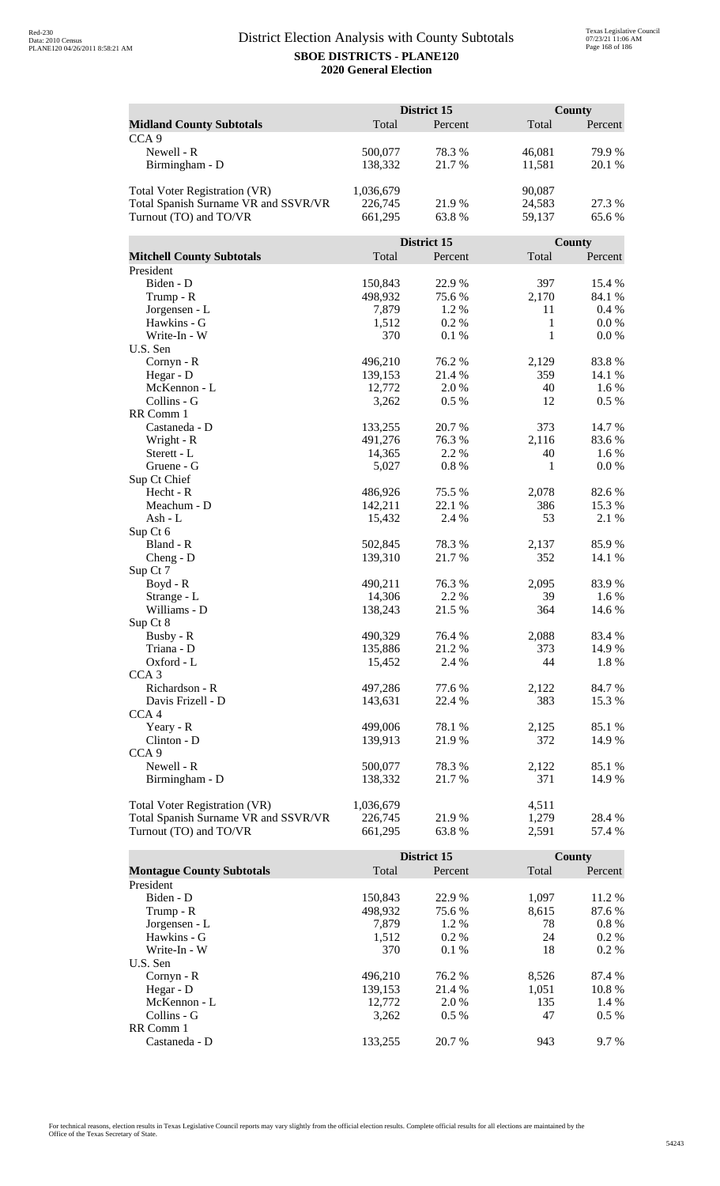|                                      |           | District 15 |        | <b>County</b> |
|--------------------------------------|-----------|-------------|--------|---------------|
| <b>Midland County Subtotals</b>      | Total     | Percent     | Total  | Percent       |
| CCA <sub>9</sub>                     |           |             |        |               |
| Newell - R                           | 500,077   | 78.3%       | 46,081 | 79.9%         |
| Birmingham - D                       | 138,332   | 21.7%       | 11,581 | 20.1 %        |
|                                      |           |             |        |               |
| <b>Total Voter Registration (VR)</b> | 1,036,679 |             | 90,087 |               |
| Total Spanish Surname VR and SSVR/VR | 226,745   | 21.9 %      | 24,583 | 27.3 %        |
| Turnout (TO) and TO/VR               | 661,295   | 63.8%       | 59,137 | 65.6%         |
|                                      |           |             |        |               |
|                                      |           | District 15 |        | County        |
| <b>Mitchell County Subtotals</b>     | Total     | Percent     | Total  | Percent       |
| President                            |           |             |        |               |
| Biden - D                            | 150,843   | 22.9%       | 397    | 15.4 %        |
| Trump - R                            | 498,932   | 75.6%       | 2,170  | 84.1 %        |
| Jorgensen - L                        | 7,879     | 1.2 %       | 11     | $0.4\%$       |
| Hawkins - G                          | 1,512     | 0.2%        | 1      | $0.0\%$       |
| Write-In - W                         | 370       | 0.1%        | 1      | 0.0 %         |
| U.S. Sen                             |           |             |        |               |
| Cornyn - R                           | 496,210   | 76.2 %      | 2,129  | 83.8%         |
| Hegar - D                            | 139,153   | 21.4 %      | 359    | 14.1 %        |
| McKennon - L                         | 12,772    | 2.0%        | 40     | 1.6 %         |
| Collins - G                          | 3,262     | 0.5 %       | 12     | $0.5\%$       |
| RR Comm 1                            |           |             |        |               |
| Castaneda - D                        | 133,255   | 20.7%       | 373    | 14.7%         |
| Wright - R                           | 491,276   | 76.3%       | 2,116  | 83.6%         |
| Sterett - L                          | 14,365    | 2.2 %       | 40     | 1.6 %         |
| Gruene - G                           | 5,027     | 0.8 %       | 1      | 0.0 %         |
| Sup Ct Chief                         |           |             |        |               |
| Hecht - R                            | 486,926   | 75.5 %      | 2,078  | 82.6%         |
| Meachum - D                          | 142,211   | 22.1 %      | 386    | 15.3 %        |
| Ash - L                              | 15,432    | 2.4 %       | 53     | 2.1 %         |
| Sup Ct 6                             |           |             |        |               |
| Bland - R                            | 502,845   | 78.3%       | 2,137  | 85.9%         |
| $Cheng - D$<br>Sup Ct 7              | 139,310   | 21.7%       | 352    | 14.1 %        |
|                                      | 490,211   | 76.3%       | 2,095  | 83.9%         |
| $Boyd - R$<br>Strange - L            | 14,306    | 2.2 %       | 39     | 1.6 %         |
| Williams - D                         | 138,243   | 21.5 %      | 364    | 14.6 %        |
| Sup Ct 8                             |           |             |        |               |
| Busby - R                            | 490,329   | 76.4 %      | 2,088  | 83.4 %        |
| Triana - D                           | 135,886   | 21.2%       | 373    | 14.9 %        |
| Oxford - L                           | 15,452    | 2.4 %       | 44     | 1.8%          |
| CCA <sub>3</sub>                     |           |             |        |               |
| Richardson - R                       | 497,286   | 77.6 %      | 2,122  | 84.7 %        |
| Davis Frizell - D                    | 143,631   | 22.4 %      | 383    | 15.3 %        |
| CCA <sub>4</sub>                     |           |             |        |               |
| Yeary - R                            | 499,006   | 78.1 %      | 2,125  | 85.1 %        |
| Clinton - D                          | 139,913   | 21.9%       | 372    | 14.9 %        |
| CCA <sub>9</sub>                     |           |             |        |               |
| Newell - R                           | 500,077   | 78.3%       | 2,122  | 85.1 %        |
| Birmingham - D                       | 138,332   | 21.7 %      | 371    | 14.9 %        |
|                                      |           |             |        |               |
| <b>Total Voter Registration (VR)</b> | 1,036,679 |             | 4,511  |               |
| Total Spanish Surname VR and SSVR/VR | 226,745   | 21.9 %      | 1,279  | 28.4 %        |
| Turnout (TO) and TO/VR               | 661,295   | 63.8%       | 2,591  | 57.4 %        |

|                                  |         | District 15 |       | <b>County</b> |
|----------------------------------|---------|-------------|-------|---------------|
| <b>Montague County Subtotals</b> | Total   | Percent     | Total | Percent       |
| President                        |         |             |       |               |
| Biden - D                        | 150.843 | 22.9 %      | 1.097 | 11.2 %        |
| Trump - R                        | 498.932 | 75.6 %      | 8.615 | 87.6 %        |
| Jorgensen - L                    | 7.879   | 1.2 %       | 78    | $0.8\%$       |
| Hawkins - G                      | 1,512   | $0.2\%$     | 24    | $0.2\%$       |
| Write-In - W                     | 370     | $0.1\%$     | 18    | $0.2\%$       |
| U.S. Sen                         |         |             |       |               |
| $Cornyn - R$                     | 496.210 | 76.2 %      | 8,526 | 87.4 %        |
| Hegar - $D$                      | 139.153 | 21.4 %      | 1.051 | 10.8%         |
| McKennon - L                     | 12,772  | 2.0 %       | 135   | 1.4 %         |
| Collins - G                      | 3.262   | $0.5\%$     | 47    | $0.5\%$       |
| RR Comm 1                        |         |             |       |               |
| Castaneda - D                    | 133.255 | 20.7 %      | 943   | 9.7 %         |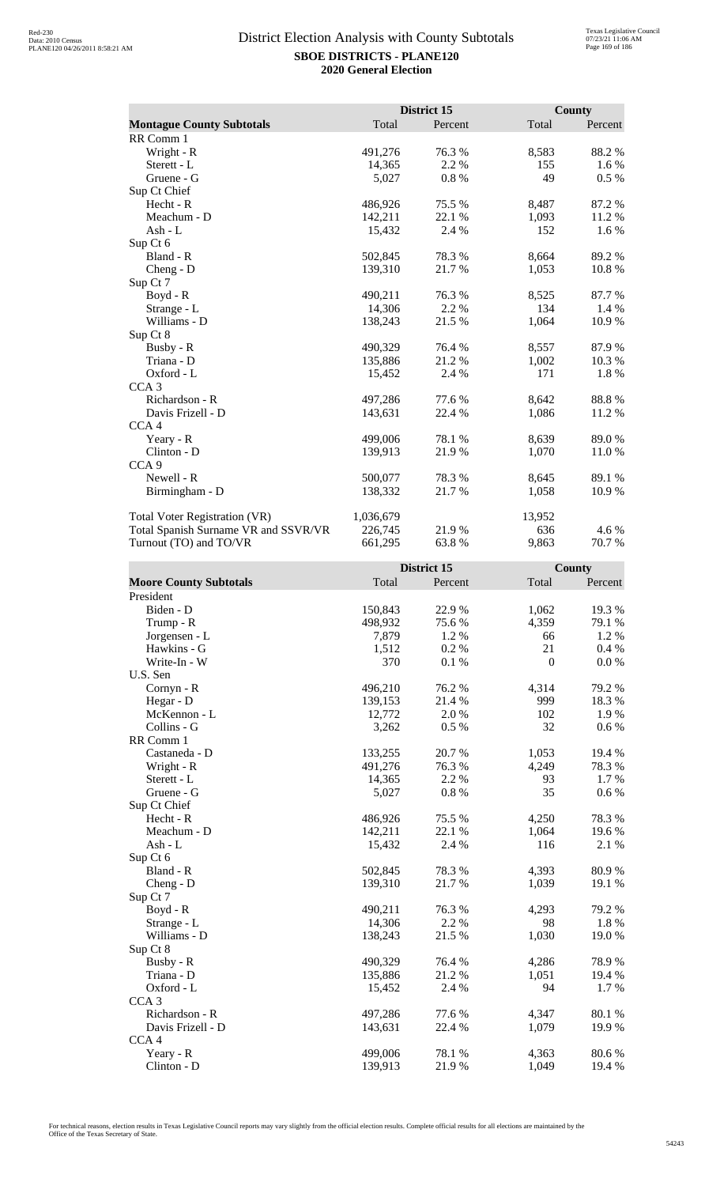|                                      |           | District 15 |        | <b>County</b> |
|--------------------------------------|-----------|-------------|--------|---------------|
| <b>Montague County Subtotals</b>     | Total     | Percent     | Total  | Percent       |
| RR Comm 1                            |           |             |        |               |
| Wright - R                           | 491,276   | 76.3 %      | 8,583  | 88.2%         |
| Sterett - L                          | 14,365    | 2.2 %       | 155    | 1.6 %         |
| Gruene - G                           | 5,027     | 0.8 %       | 49     | 0.5 %         |
| Sup Ct Chief                         |           |             |        |               |
| Hecht - R                            | 486,926   | 75.5 %      | 8,487  | 87.2 %        |
| Meachum - D                          | 142,211   | 22.1 %      | 1,093  | 11.2 %        |
| Ash - L                              | 15,432    | 2.4 %       | 152    | 1.6 %         |
| Sup Ct 6                             |           |             |        |               |
| Bland - R                            | 502,845   | 78.3%       | 8,664  | 89.2%         |
| $Cheng - D$                          | 139,310   | 21.7 %      | 1,053  | 10.8%         |
| Sup Ct 7                             |           |             |        |               |
| $Boyd - R$                           | 490,211   | 76.3 %      | 8,525  | 87.7 %        |
| Strange - L                          | 14,306    | 2.2 %       | 134    | $1.4\%$       |
| Williams - D                         | 138,243   | 21.5 %      | 1,064  | 10.9%         |
| Sup Ct 8                             |           |             |        |               |
| Busby - R                            | 490,329   | 76.4 %      | 8,557  | 87.9 %        |
| Triana - D                           | 135,886   | 21.2 %      | 1,002  | 10.3%         |
| Oxford - L                           | 15,452    | 2.4 %       | 171    | 1.8%          |
| CCA <sub>3</sub>                     |           |             |        |               |
| Richardson - R                       | 497,286   | 77.6%       | 8,642  | 88.8%         |
| Davis Frizell - D                    | 143,631   | 22.4 %      | 1,086  | 11.2 %        |
| CCA <sub>4</sub>                     |           |             |        |               |
| Yeary - R                            | 499,006   | 78.1 %      | 8,639  | 89.0%         |
| Clinton - D                          | 139,913   | 21.9%       | 1,070  | 11.0%         |
| CCA <sub>9</sub>                     |           |             |        |               |
| Newell - R                           | 500,077   | 78.3%       | 8,645  | 89.1 %        |
| Birmingham - D                       | 138,332   | 21.7 %      | 1,058  | 10.9%         |
| Total Voter Registration (VR)        | 1,036,679 |             | 13,952 |               |
| Total Spanish Surname VR and SSVR/VR | 226,745   | 21.9%       | 636    | 4.6 %         |
| Turnout (TO) and TO/VR               | 661,295   | 63.8%       | 9,863  | 70.7%         |

|                               |         | District 15 |                  | County    |
|-------------------------------|---------|-------------|------------------|-----------|
| <b>Moore County Subtotals</b> | Total   | Percent     | Total            | Percent   |
| President                     |         |             |                  |           |
| Biden - D                     | 150,843 | 22.9%       | 1,062            | 19.3 %    |
| Trump - R                     | 498,932 | 75.6%       | 4,359            | 79.1 %    |
| Jorgensen - L                 | 7,879   | 1.2 %       | 66               | 1.2%      |
| Hawkins - G                   | 1,512   | 0.2%        | 21               | 0.4%      |
| Write-In - W                  | 370     | 0.1%        | $\boldsymbol{0}$ | 0.0 %     |
| U.S. Sen                      |         |             |                  |           |
| Cornyn - R                    | 496,210 | 76.2%       | 4,314            | 79.2 %    |
| Hegar - D                     | 139,153 | 21.4%       | 999              | 18.3%     |
| McKennon - L                  | 12,772  | 2.0%        | 102              | 1.9%      |
| Collins - G                   | 3,262   | 0.5%        | 32               | $0.6\%$   |
| RR Comm 1                     |         |             |                  |           |
| Castaneda - D                 | 133,255 | 20.7%       | 1,053            | 19.4 %    |
| Wright - R                    | 491,276 | 76.3%       | 4,249            | 78.3%     |
| Sterett - L                   | 14,365  | 2.2 %       | 93               | 1.7%      |
| Gruene - G                    | 5,027   | $0.8~\%$    | 35               | $0.6\ \%$ |
| Sup Ct Chief                  |         |             |                  |           |
| Hecht - R                     | 486,926 | 75.5 %      | 4,250            | 78.3%     |
| Meachum - D                   | 142,211 | 22.1 %      | 1,064            | 19.6%     |
| $Ash - L$                     | 15,432  | 2.4 %       | 116              | 2.1 %     |
| Sup Ct 6                      |         |             |                  |           |
| Bland - R                     | 502,845 | 78.3%       | 4,393            | 80.9%     |
| $Cheng - D$                   | 139,310 | 21.7%       | 1,039            | 19.1 %    |
| Sup Ct 7                      |         |             |                  |           |
| $Boyd - R$                    | 490,211 | 76.3%       | 4,293            | 79.2 %    |
| Strange - L                   | 14,306  | 2.2 %       | 98               | 1.8%      |
| Williams - D                  | 138,243 | 21.5 %      | 1,030            | 19.0%     |
| Sup Ct 8                      |         |             |                  |           |
| Busby - R                     | 490,329 | 76.4%       | 4,286            | 78.9%     |
| Triana - D                    | 135,886 | 21.2%       | 1,051            | 19.4 %    |
| Oxford - L                    | 15,452  | 2.4 %       | 94               | 1.7%      |
| CCA <sub>3</sub>              |         |             |                  |           |
| Richardson - R                | 497,286 | 77.6%       | 4,347            | 80.1%     |
| Davis Frizell - D             | 143,631 | 22.4 %      | 1,079            | 19.9%     |
| CCA <sub>4</sub>              |         |             |                  |           |
| Yeary - R                     | 499,006 | 78.1 %      | 4,363            | 80.6%     |
| Clinton - D                   | 139,913 | 21.9%       | 1,049            | 19.4 %    |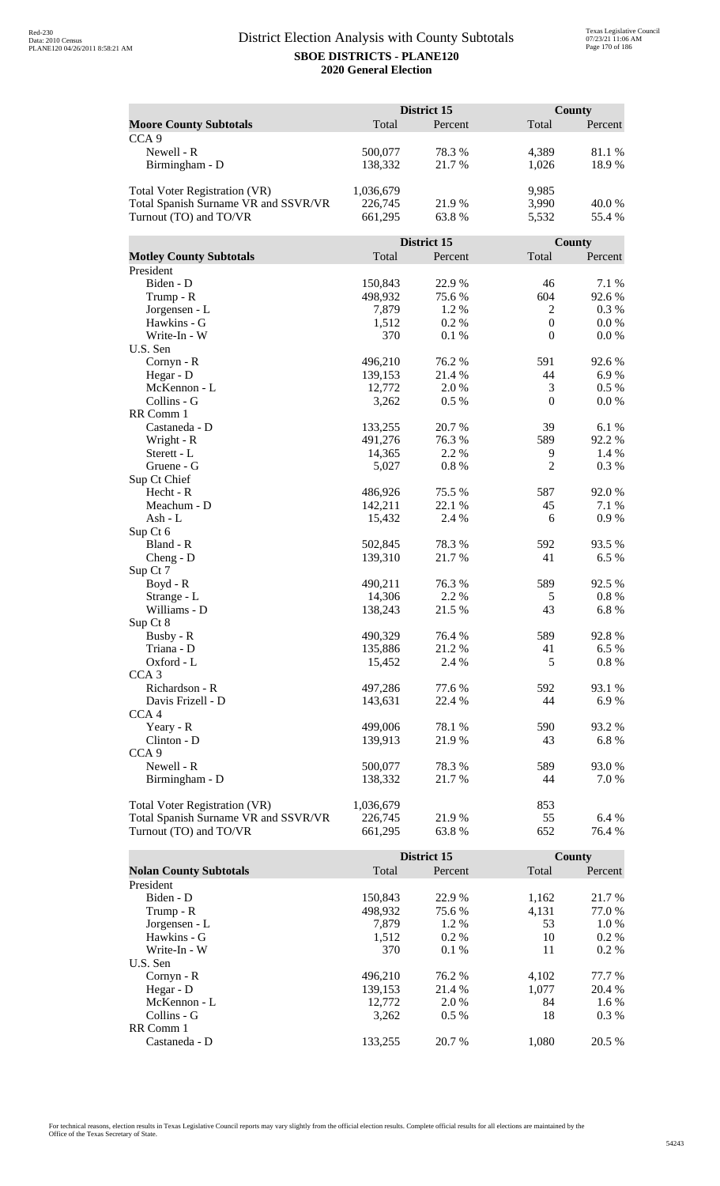|                                      | District 15 |             | <b>County</b>    |           |
|--------------------------------------|-------------|-------------|------------------|-----------|
| <b>Moore County Subtotals</b>        | Total       | Percent     | Total            | Percent   |
| CCA <sub>9</sub>                     |             |             |                  |           |
| Newell - R                           | 500,077     | 78.3%       | 4,389            | 81.1%     |
| Birmingham - D                       | 138,332     | 21.7%       | 1,026            | 18.9%     |
|                                      |             |             |                  |           |
| <b>Total Voter Registration (VR)</b> | 1,036,679   |             | 9,985            |           |
| Total Spanish Surname VR and SSVR/VR | 226,745     | 21.9%       | 3,990            | 40.0%     |
| Turnout (TO) and TO/VR               | 661,295     | 63.8%       | 5,532            | 55.4 %    |
|                                      |             |             |                  |           |
|                                      |             | District 15 |                  | County    |
| <b>Motley County Subtotals</b>       | Total       | Percent     | Total            | Percent   |
| President                            |             |             |                  |           |
| Biden - D                            | 150,843     | 22.9%       | 46               | 7.1 %     |
| Trump - R                            | 498,932     | 75.6%       | 604              | 92.6%     |
| Jorgensen - L                        | 7,879       | 1.2%        | $\overline{2}$   | 0.3%      |
| Hawkins - G                          | 1,512       | 0.2%        | $\boldsymbol{0}$ | $0.0\ \%$ |
| Write-In - W                         | 370         | 0.1%        | $\boldsymbol{0}$ | 0.0 %     |
| U.S. Sen                             |             |             |                  |           |
| Cornyn - R                           | 496,210     | 76.2 %      | 591              | 92.6%     |
| Hegar - D                            | 139,153     | 21.4 %      | 44               | 6.9%      |
| McKennon - L                         | 12,772      | 2.0 %       | $\mathfrak{Z}$   | $0.5\%$   |
| Collins - G                          | 3,262       | 0.5%        | $\mathbf{0}$     | 0.0 %     |
| RR Comm 1                            |             |             |                  |           |
| Castaneda - D                        | 133,255     | 20.7%       | 39               | 6.1%      |
| Wright - R                           | 491,276     | 76.3%       | 589              | 92.2%     |
| Sterett - L                          | 14,365      | 2.2 %       | 9                | 1.4 %     |
| Gruene - G                           | 5,027       | 0.8%        | $\mathbf{2}$     | 0.3%      |
| Sup Ct Chief                         |             |             |                  |           |
| Hecht - R                            | 486,926     | 75.5 %      | 587              | 92.0 %    |
| Meachum - D                          | 142,211     | 22.1 %      | 45               | 7.1 %     |
| Ash - L                              | 15,432      | 2.4 %       | 6                | 0.9%      |
| Sup Ct 6<br>Bland - R                | 502,845     | 78.3%       | 592              | 93.5 %    |
|                                      | 139,310     | 21.7%       | 41               | 6.5 %     |
| $Cheng - D$<br>Sup Ct 7              |             |             |                  |           |
| Boyd - R                             | 490,211     | 76.3 %      | 589              | 92.5 %    |
| Strange - L                          | 14,306      | 2.2 %       | 5                | 0.8 %     |
| Williams - D                         | 138,243     | 21.5 %      | 43               | 6.8%      |
| Sup Ct 8                             |             |             |                  |           |
| Busby - R                            | 490,329     | 76.4 %      | 589              | 92.8%     |
| Triana - D                           | 135,886     | 21.2%       | 41               | 6.5 %     |
| Oxford - L                           | 15,452      | 2.4 %       | 5                | 0.8%      |
| CCA <sub>3</sub>                     |             |             |                  |           |
| Richardson - R                       | 497,286     | 77.6 %      | 592              | 93.1 %    |
| Davis Frizell - D                    | 143,631     | 22.4 %      | 44               | 6.9%      |
| CCA <sub>4</sub>                     |             |             |                  |           |
| Yeary - R                            | 499,006     | 78.1 %      | 590              | 93.2 %    |
| Clinton - D                          | 139,913     | 21.9%       | 43               | 6.8%      |
| CCA <sub>9</sub>                     |             |             |                  |           |
| Newell - R                           | 500,077     | 78.3%       | 589              | 93.0%     |
| Birmingham - D                       | 138,332     | 21.7 %      | 44               | 7.0 %     |
|                                      |             |             |                  |           |
| Total Voter Registration (VR)        | 1,036,679   |             | 853              |           |
| Total Spanish Surname VR and SSVR/VR | 226,745     | 21.9%       | 55               | 6.4 %     |
| Turnout (TO) and TO/VR               | 661,295     | 63.8%       | 652              | 76.4 %    |

|                               |         | District 15 |       | County  |
|-------------------------------|---------|-------------|-------|---------|
| <b>Nolan County Subtotals</b> | Total   | Percent     | Total | Percent |
| President                     |         |             |       |         |
| Biden - D                     | 150.843 | 22.9 %      | 1,162 | 21.7 %  |
| Trump - R                     | 498,932 | 75.6 %      | 4,131 | 77.0 %  |
| Jorgensen - L                 | 7.879   | 1.2%        | 53    | 1.0 %   |
| Hawkins - G                   | 1,512   | $0.2\%$     | 10    | $0.2\%$ |
| Write-In - W                  | 370     | $0.1\%$     | 11    | $0.2\%$ |
| U.S. Sen                      |         |             |       |         |
| $Cornyn - R$                  | 496.210 | 76.2 %      | 4.102 | 77.7 %  |
| Hegar - $D$                   | 139,153 | 21.4 %      | 1.077 | 20.4 %  |
| McKennon - L                  | 12,772  | 2.0 %       | 84    | $1.6\%$ |
| Collins - G                   | 3,262   | $0.5\%$     | 18    | $0.3\%$ |
| RR Comm 1                     |         |             |       |         |
| Castaneda - D                 | 133.255 | 20.7 %      | 1.080 | 20.5 %  |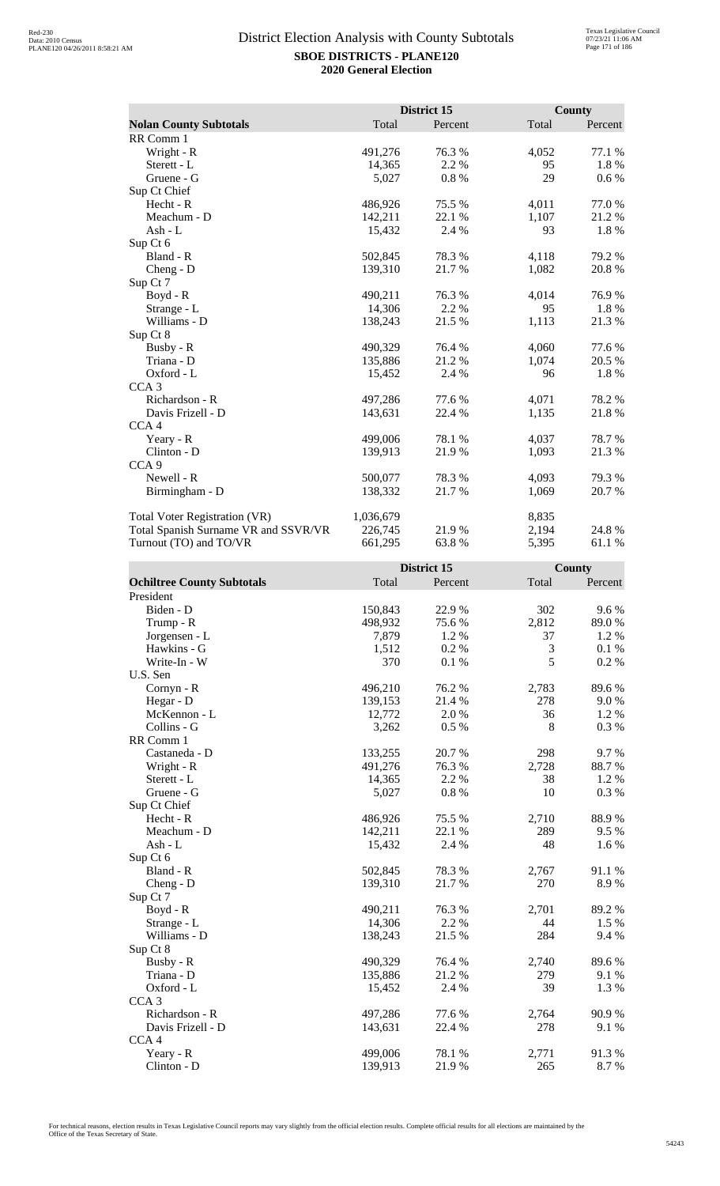|                                      |           | District 15 |       | <b>County</b> |
|--------------------------------------|-----------|-------------|-------|---------------|
| <b>Nolan County Subtotals</b>        | Total     | Percent     | Total | Percent       |
| RR Comm 1                            |           |             |       |               |
| Wright - R                           | 491,276   | 76.3%       | 4,052 | 77.1 %        |
| Sterett - L                          | 14,365    | 2.2 %       | 95    | 1.8%          |
| Gruene - G                           | 5,027     | 0.8%        | 29    | $0.6\%$       |
| Sup Ct Chief                         |           |             |       |               |
| Hecht - R                            | 486,926   | 75.5 %      | 4,011 | 77.0 %        |
| Meachum - D                          | 142,211   | 22.1 %      | 1,107 | 21.2 %        |
| Ash - L                              | 15,432    | 2.4 %       | 93    | 1.8%          |
| Sup Ct 6                             |           |             |       |               |
| Bland - R                            | 502,845   | 78.3%       | 4,118 | 79.2 %        |
| $Cheng - D$                          | 139,310   | 21.7 %      | 1,082 | 20.8%         |
| Sup Ct 7                             |           |             |       |               |
| $Boyd - R$                           | 490,211   | 76.3%       | 4,014 | 76.9%         |
| Strange - L                          | 14,306    | 2.2 %       | 95    | 1.8%          |
| Williams - D                         | 138,243   | 21.5 %      | 1,113 | 21.3%         |
| Sup Ct 8                             |           |             |       |               |
| Busby - R                            | 490,329   | 76.4%       | 4,060 | 77.6%         |
| Triana - D                           | 135,886   | 21.2%       | 1,074 | 20.5 %        |
| Oxford - L                           | 15,452    | 2.4 %       | 96    | 1.8 %         |
| CCA <sub>3</sub>                     |           |             |       |               |
| Richardson - R                       | 497,286   | 77.6%       | 4,071 | 78.2%         |
| Davis Frizell - D                    | 143,631   | 22.4 %      | 1,135 | 21.8%         |
| CCA <sub>4</sub>                     |           |             |       |               |
| Yeary - R                            | 499,006   | 78.1 %      | 4,037 | 78.7 %        |
| Clinton - D                          | 139,913   | 21.9%       | 1,093 | 21.3 %        |
| CCA <sub>9</sub>                     |           |             |       |               |
| Newell - R                           | 500,077   | 78.3 %      | 4,093 | 79.3 %        |
| Birmingham - D                       | 138,332   | 21.7 %      | 1,069 | 20.7 %        |
| <b>Total Voter Registration (VR)</b> | 1,036,679 |             | 8,835 |               |
| Total Spanish Surname VR and SSVR/VR | 226,745   | 21.9%       | 2,194 | 24.8%         |
| Turnout (TO) and TO/VR               | 661,295   | 63.8%       | 5,395 | 61.1%         |

|                                   |         | District 15 |       | County  |
|-----------------------------------|---------|-------------|-------|---------|
| <b>Ochiltree County Subtotals</b> | Total   | Percent     | Total | Percent |
| President                         |         |             |       |         |
| Biden - D                         | 150,843 | 22.9%       | 302   | 9.6%    |
| Trump - R                         | 498,932 | 75.6 %      | 2,812 | 89.0%   |
| Jorgensen - L                     | 7,879   | 1.2 %       | 37    | 1.2%    |
| Hawkins - G                       | 1,512   | 0.2%        | 3     | 0.1%    |
| Write-In - W                      | 370     | 0.1%        | 5     | 0.2 %   |
| U.S. Sen                          |         |             |       |         |
| Cornyn - R                        | 496,210 | 76.2%       | 2,783 | 89.6%   |
| Hegar - D                         | 139,153 | 21.4%       | 278   | 9.0%    |
| McKennon - L                      | 12,772  | 2.0%        | 36    | 1.2%    |
| Collins - G                       | 3,262   | 0.5 %       | 8     | 0.3%    |
| RR Comm 1                         |         |             |       |         |
| Castaneda - D                     | 133,255 | 20.7%       | 298   | 9.7%    |
| Wright - R                        | 491,276 | 76.3 %      | 2,728 | 88.7%   |
| Sterett - L                       | 14,365  | 2.2 %       | 38    | 1.2 %   |
| Gruene - G                        | 5,027   | 0.8%        | 10    | 0.3 %   |
| Sup Ct Chief                      |         |             |       |         |
| Hecht - R                         | 486,926 | 75.5 %      | 2,710 | 88.9%   |
| Meachum - D                       | 142,211 | 22.1 %      | 289   | 9.5 %   |
| $Ash - L$                         | 15,432  | 2.4 %       | 48    | 1.6%    |
| Sup Ct 6                          |         |             |       |         |
| Bland - R                         | 502,845 | 78.3%       | 2,767 | 91.1 %  |
| Cheng - D                         | 139,310 | 21.7%       | 270   | 8.9%    |
| Sup Ct 7                          |         |             |       |         |
| Boyd - R                          | 490,211 | 76.3%       | 2,701 | 89.2%   |
| Strange - L                       | 14,306  | 2.2 %       | 44    | 1.5 %   |
| Williams - D                      | 138,243 | 21.5 %      | 284   | 9.4 %   |
| Sup Ct 8                          |         |             |       |         |
| Busby - R                         | 490,329 | 76.4 %      | 2,740 | 89.6%   |
| Triana - D                        | 135,886 | 21.2%       | 279   | 9.1 %   |
| Oxford - L                        | 15,452  | 2.4 %       | 39    | 1.3%    |
| CCA <sub>3</sub>                  |         |             |       |         |
| Richardson - R                    | 497,286 | 77.6 %      | 2,764 | 90.9%   |
| Davis Frizell - D                 | 143,631 | 22.4 %      | 278   | 9.1%    |
| CCA <sub>4</sub>                  |         |             |       |         |
| Yeary - R                         | 499,006 | 78.1 %      | 2,771 | 91.3%   |
| $Clinton - D$                     | 139,913 | 21.9%       | 265   | 8.7%    |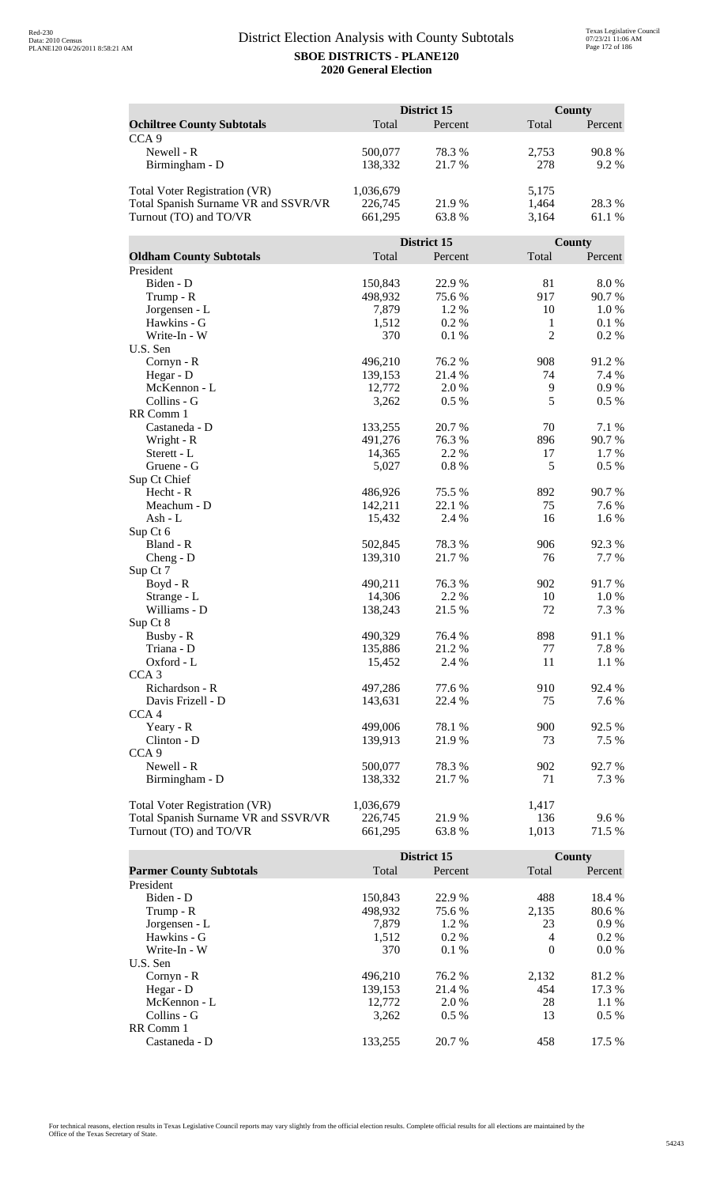| Total<br>Total<br><b>Ochiltree County Subtotals</b><br>Percent<br>Percent<br>CCA <sub>9</sub><br>Newell - R<br>90.8%<br>78.3%<br>2,753<br>500,077<br>278<br>Birmingham - D<br>138,332<br>21.7%<br>9.2%<br>1,036,679<br>5,175<br><b>Total Voter Registration (VR)</b><br>Total Spanish Surname VR and SSVR/VR<br>226,745<br>21.9%<br>1,464<br>28.3%<br>Turnout (TO) and TO/VR<br>661,295<br>63.8%<br>3,164<br>61.1 %<br>District 15<br>County<br>Total<br><b>Oldham County Subtotals</b><br>Total<br>Percent<br>Percent<br>President<br>Biden - D<br>150,843<br>22.9%<br>81<br>8.0%<br>917<br>Trump - R<br>498,932<br>75.6%<br>90.7%<br>Jorgensen - L<br>7,879<br>1.2%<br>10<br>1.0%<br>Hawkins - G<br>1,512<br>0.2%<br>$\mathbf{1}$<br>0.1%<br>$\overline{2}$<br>Write-In - W<br>370<br>0.2%<br>0.1%<br>U.S. Sen<br>76.2 %<br>908<br>91.2%<br>Cornyn - R<br>496,210<br>7.4 %<br>Hegar - D<br>139,153<br>21.4 %<br>74 |              |        | District 15 |   | County |
|----------------------------------------------------------------------------------------------------------------------------------------------------------------------------------------------------------------------------------------------------------------------------------------------------------------------------------------------------------------------------------------------------------------------------------------------------------------------------------------------------------------------------------------------------------------------------------------------------------------------------------------------------------------------------------------------------------------------------------------------------------------------------------------------------------------------------------------------------------------------------------------------------------------------|--------------|--------|-------------|---|--------|
|                                                                                                                                                                                                                                                                                                                                                                                                                                                                                                                                                                                                                                                                                                                                                                                                                                                                                                                      |              |        |             |   |        |
|                                                                                                                                                                                                                                                                                                                                                                                                                                                                                                                                                                                                                                                                                                                                                                                                                                                                                                                      |              |        |             |   |        |
|                                                                                                                                                                                                                                                                                                                                                                                                                                                                                                                                                                                                                                                                                                                                                                                                                                                                                                                      |              |        |             |   |        |
|                                                                                                                                                                                                                                                                                                                                                                                                                                                                                                                                                                                                                                                                                                                                                                                                                                                                                                                      |              |        |             |   |        |
|                                                                                                                                                                                                                                                                                                                                                                                                                                                                                                                                                                                                                                                                                                                                                                                                                                                                                                                      |              |        |             |   |        |
|                                                                                                                                                                                                                                                                                                                                                                                                                                                                                                                                                                                                                                                                                                                                                                                                                                                                                                                      |              |        |             |   |        |
|                                                                                                                                                                                                                                                                                                                                                                                                                                                                                                                                                                                                                                                                                                                                                                                                                                                                                                                      |              |        |             |   |        |
|                                                                                                                                                                                                                                                                                                                                                                                                                                                                                                                                                                                                                                                                                                                                                                                                                                                                                                                      |              |        |             |   |        |
|                                                                                                                                                                                                                                                                                                                                                                                                                                                                                                                                                                                                                                                                                                                                                                                                                                                                                                                      |              |        |             |   |        |
|                                                                                                                                                                                                                                                                                                                                                                                                                                                                                                                                                                                                                                                                                                                                                                                                                                                                                                                      |              |        |             |   |        |
|                                                                                                                                                                                                                                                                                                                                                                                                                                                                                                                                                                                                                                                                                                                                                                                                                                                                                                                      |              |        |             |   |        |
|                                                                                                                                                                                                                                                                                                                                                                                                                                                                                                                                                                                                                                                                                                                                                                                                                                                                                                                      |              |        |             |   |        |
|                                                                                                                                                                                                                                                                                                                                                                                                                                                                                                                                                                                                                                                                                                                                                                                                                                                                                                                      |              |        |             |   |        |
|                                                                                                                                                                                                                                                                                                                                                                                                                                                                                                                                                                                                                                                                                                                                                                                                                                                                                                                      |              |        |             |   |        |
|                                                                                                                                                                                                                                                                                                                                                                                                                                                                                                                                                                                                                                                                                                                                                                                                                                                                                                                      |              |        |             |   |        |
|                                                                                                                                                                                                                                                                                                                                                                                                                                                                                                                                                                                                                                                                                                                                                                                                                                                                                                                      |              |        |             |   |        |
|                                                                                                                                                                                                                                                                                                                                                                                                                                                                                                                                                                                                                                                                                                                                                                                                                                                                                                                      |              |        |             |   |        |
|                                                                                                                                                                                                                                                                                                                                                                                                                                                                                                                                                                                                                                                                                                                                                                                                                                                                                                                      |              |        |             |   |        |
|                                                                                                                                                                                                                                                                                                                                                                                                                                                                                                                                                                                                                                                                                                                                                                                                                                                                                                                      |              |        |             |   |        |
|                                                                                                                                                                                                                                                                                                                                                                                                                                                                                                                                                                                                                                                                                                                                                                                                                                                                                                                      |              |        |             |   |        |
|                                                                                                                                                                                                                                                                                                                                                                                                                                                                                                                                                                                                                                                                                                                                                                                                                                                                                                                      | McKennon - L | 12,772 | 2.0 %       | 9 | 0.9%   |
| 5<br>Collins - G<br>0.5%<br>$0.5\%$<br>3,262                                                                                                                                                                                                                                                                                                                                                                                                                                                                                                                                                                                                                                                                                                                                                                                                                                                                         |              |        |             |   |        |
| RR Comm 1                                                                                                                                                                                                                                                                                                                                                                                                                                                                                                                                                                                                                                                                                                                                                                                                                                                                                                            |              |        |             |   |        |
| Castaneda - D<br>133,255<br>20.7%<br>70<br>7.1 %                                                                                                                                                                                                                                                                                                                                                                                                                                                                                                                                                                                                                                                                                                                                                                                                                                                                     |              |        |             |   |        |
| 90.7%<br>Wright - R<br>491,276<br>76.3%<br>896                                                                                                                                                                                                                                                                                                                                                                                                                                                                                                                                                                                                                                                                                                                                                                                                                                                                       |              |        |             |   |        |
| 14,365<br>2.2 %<br>17<br>1.7 %<br>Sterett - L                                                                                                                                                                                                                                                                                                                                                                                                                                                                                                                                                                                                                                                                                                                                                                                                                                                                        |              |        |             |   |        |
| 5<br>0.8%<br>0.5 %<br>Gruene - G<br>5,027                                                                                                                                                                                                                                                                                                                                                                                                                                                                                                                                                                                                                                                                                                                                                                                                                                                                            |              |        |             |   |        |
| Sup Ct Chief                                                                                                                                                                                                                                                                                                                                                                                                                                                                                                                                                                                                                                                                                                                                                                                                                                                                                                         |              |        |             |   |        |
| 892<br>Hecht - R<br>486,926<br>75.5 %<br>90.7 %                                                                                                                                                                                                                                                                                                                                                                                                                                                                                                                                                                                                                                                                                                                                                                                                                                                                      |              |        |             |   |        |
| Meachum - D<br>142,211<br>22.1 %<br>75<br>7.6 %                                                                                                                                                                                                                                                                                                                                                                                                                                                                                                                                                                                                                                                                                                                                                                                                                                                                      |              |        |             |   |        |
| 15,432<br>2.4 %<br>16<br>1.6 %<br>Ash - L                                                                                                                                                                                                                                                                                                                                                                                                                                                                                                                                                                                                                                                                                                                                                                                                                                                                            |              |        |             |   |        |
| Sup Ct 6                                                                                                                                                                                                                                                                                                                                                                                                                                                                                                                                                                                                                                                                                                                                                                                                                                                                                                             |              |        |             |   |        |
| Bland - R<br>502,845<br>78.3%<br>906<br>92.3 %                                                                                                                                                                                                                                                                                                                                                                                                                                                                                                                                                                                                                                                                                                                                                                                                                                                                       |              |        |             |   |        |
| 21.7%<br>76<br>7.7 %<br>$Cheng - D$<br>139,310                                                                                                                                                                                                                                                                                                                                                                                                                                                                                                                                                                                                                                                                                                                                                                                                                                                                       |              |        |             |   |        |
| Sup Ct 7                                                                                                                                                                                                                                                                                                                                                                                                                                                                                                                                                                                                                                                                                                                                                                                                                                                                                                             |              |        |             |   |        |
| 91.7%<br>490,211<br>76.3 %<br>902<br>$Boyd - R$                                                                                                                                                                                                                                                                                                                                                                                                                                                                                                                                                                                                                                                                                                                                                                                                                                                                      |              |        |             |   |        |
| 14,306<br>2.2 %<br>10<br>1.0%<br>Strange - L                                                                                                                                                                                                                                                                                                                                                                                                                                                                                                                                                                                                                                                                                                                                                                                                                                                                         |              |        |             |   |        |
| Williams - D<br>138,243<br>21.5 %<br>72<br>7.3 %                                                                                                                                                                                                                                                                                                                                                                                                                                                                                                                                                                                                                                                                                                                                                                                                                                                                     |              |        |             |   |        |
| Sup Ct 8                                                                                                                                                                                                                                                                                                                                                                                                                                                                                                                                                                                                                                                                                                                                                                                                                                                                                                             |              |        |             |   |        |
| Busby - R<br>490,329<br>76.4 %<br>898<br>91.1%                                                                                                                                                                                                                                                                                                                                                                                                                                                                                                                                                                                                                                                                                                                                                                                                                                                                       |              |        |             |   |        |
| 7.8%<br>Triana - D<br>135,886<br>21.2%<br>77                                                                                                                                                                                                                                                                                                                                                                                                                                                                                                                                                                                                                                                                                                                                                                                                                                                                         |              |        |             |   |        |
| 2.4 %<br>11<br>1.1 %<br>Oxford - L<br>15,452                                                                                                                                                                                                                                                                                                                                                                                                                                                                                                                                                                                                                                                                                                                                                                                                                                                                         |              |        |             |   |        |
| CCA <sub>3</sub><br>77.6%                                                                                                                                                                                                                                                                                                                                                                                                                                                                                                                                                                                                                                                                                                                                                                                                                                                                                            |              |        |             |   |        |
| Richardson - R<br>497,286<br>910<br>92.4 %<br>Davis Frizell - D                                                                                                                                                                                                                                                                                                                                                                                                                                                                                                                                                                                                                                                                                                                                                                                                                                                      |              |        |             |   |        |
| 143,631<br>22.4 %<br>75<br>7.6 %                                                                                                                                                                                                                                                                                                                                                                                                                                                                                                                                                                                                                                                                                                                                                                                                                                                                                     |              |        |             |   |        |
| CCA <sub>4</sub><br>499,006<br>78.1 %<br>900<br>92.5 %                                                                                                                                                                                                                                                                                                                                                                                                                                                                                                                                                                                                                                                                                                                                                                                                                                                               |              |        |             |   |        |
| Yeary - R<br>139,913<br>21.9%<br>73<br>7.5 %                                                                                                                                                                                                                                                                                                                                                                                                                                                                                                                                                                                                                                                                                                                                                                                                                                                                         |              |        |             |   |        |
| Clinton - D<br>CCA <sub>9</sub>                                                                                                                                                                                                                                                                                                                                                                                                                                                                                                                                                                                                                                                                                                                                                                                                                                                                                      |              |        |             |   |        |
| Newell - R<br>78.3%<br>902<br>92.7%<br>500,077                                                                                                                                                                                                                                                                                                                                                                                                                                                                                                                                                                                                                                                                                                                                                                                                                                                                       |              |        |             |   |        |
| Birmingham - D<br>138,332<br>71<br>21.7 %<br>7.3 %                                                                                                                                                                                                                                                                                                                                                                                                                                                                                                                                                                                                                                                                                                                                                                                                                                                                   |              |        |             |   |        |
|                                                                                                                                                                                                                                                                                                                                                                                                                                                                                                                                                                                                                                                                                                                                                                                                                                                                                                                      |              |        |             |   |        |
| <b>Total Voter Registration (VR)</b><br>1,036,679<br>1,417                                                                                                                                                                                                                                                                                                                                                                                                                                                                                                                                                                                                                                                                                                                                                                                                                                                           |              |        |             |   |        |
| Total Spanish Surname VR and SSVR/VR<br>226,745<br>21.9%<br>136<br>9.6%                                                                                                                                                                                                                                                                                                                                                                                                                                                                                                                                                                                                                                                                                                                                                                                                                                              |              |        |             |   |        |
| Turnout (TO) and TO/VR<br>661,295<br>63.8%<br>1,013<br>71.5 %                                                                                                                                                                                                                                                                                                                                                                                                                                                                                                                                                                                                                                                                                                                                                                                                                                                        |              |        |             |   |        |

|                                |         | District 15 |          | County  |
|--------------------------------|---------|-------------|----------|---------|
| <b>Parmer County Subtotals</b> | Total   | Percent     | Total    | Percent |
| President                      |         |             |          |         |
| Biden - D                      | 150.843 | 22.9 %      | 488      | 18.4 %  |
| Trump - R                      | 498,932 | 75.6 %      | 2,135    | 80.6 %  |
| Jorgensen - L                  | 7.879   | 1.2 %       | 23       | $0.9\%$ |
| Hawkins - G                    | 1,512   | $0.2\%$     | 4        | $0.2\%$ |
| Write-In - W                   | 370     | 0.1%        | $\Omega$ | $0.0\%$ |
| U.S. Sen                       |         |             |          |         |
| $Cornyn - R$                   | 496.210 | 76.2 %      | 2,132    | 81.2 %  |
| Hegar - $D$                    | 139,153 | 21.4 %      | 454      | 17.3 %  |
| McKennon - L                   | 12,772  | 2.0 %       | 28       | $1.1\%$ |
| Collins - G                    | 3.262   | $0.5\%$     | 13       | $0.5\%$ |
| RR Comm 1                      |         |             |          |         |
| Castaneda - D                  | 133.255 | 20.7 %      | 458      | 17.5 %  |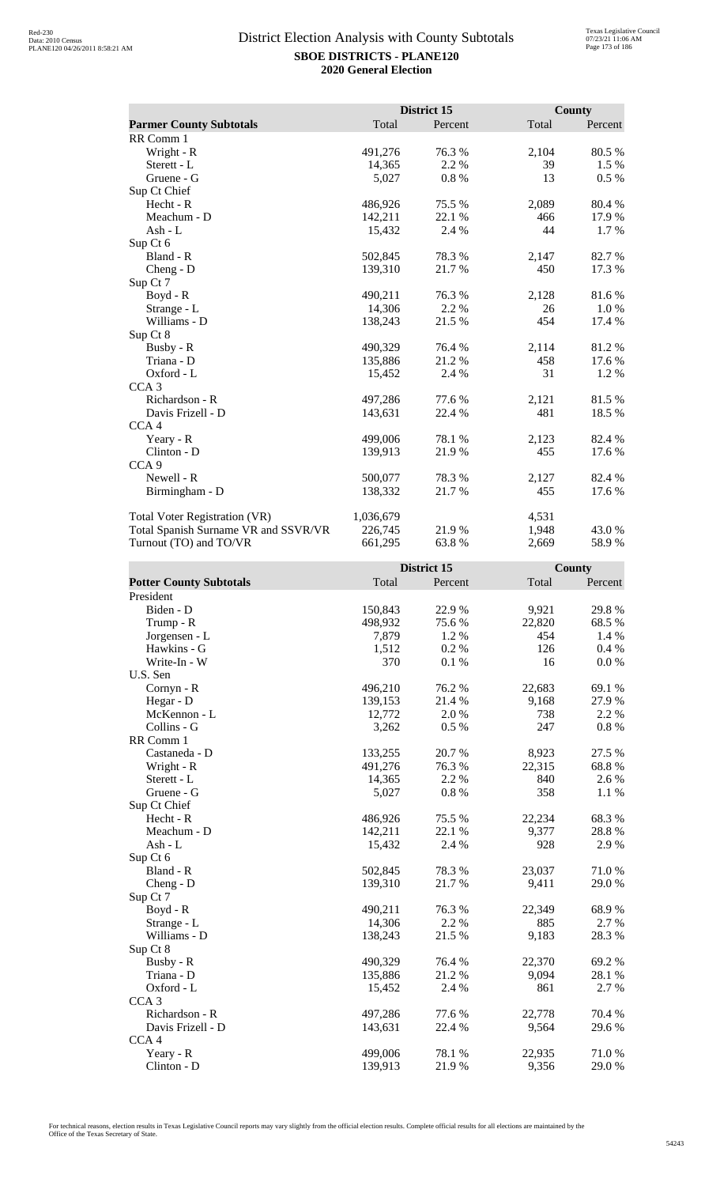|                                      |           | District 15 |       | <b>County</b> |
|--------------------------------------|-----------|-------------|-------|---------------|
| <b>Parmer County Subtotals</b>       | Total     | Percent     | Total | Percent       |
| RR Comm 1                            |           |             |       |               |
| Wright - R                           | 491,276   | 76.3 %      | 2,104 | 80.5 %        |
| Sterett - L                          | 14,365    | 2.2 %       | 39    | 1.5 %         |
| Gruene - G                           | 5,027     | 0.8 %       | 13    | 0.5 %         |
| Sup Ct Chief                         |           |             |       |               |
| Hecht - R                            | 486,926   | 75.5 %      | 2,089 | 80.4 %        |
| Meachum - D                          | 142,211   | 22.1 %      | 466   | 17.9 %        |
| Ash - L                              | 15,432    | 2.4 %       | 44    | 1.7 %         |
| Sup Ct 6                             |           |             |       |               |
| Bland - R                            | 502,845   | 78.3%       | 2,147 | 82.7%         |
| $Cheng - D$                          | 139,310   | 21.7 %      | 450   | 17.3 %        |
| Sup Ct 7                             |           |             |       |               |
| $Boyd - R$                           | 490,211   | 76.3 %      | 2,128 | 81.6%         |
| Strange - L                          | 14,306    | 2.2 %       | 26    | $1.0\%$       |
| Williams - D                         | 138,243   | 21.5 %      | 454   | 17.4 %        |
| Sup Ct 8                             |           |             |       |               |
| Busby - R                            | 490,329   | 76.4 %      | 2,114 | 81.2%         |
| Triana - D                           | 135,886   | 21.2 %      | 458   | 17.6 %        |
| Oxford - L                           | 15,452    | 2.4 %       | 31    | 1.2 %         |
| CCA <sub>3</sub>                     |           |             |       |               |
| Richardson - R                       | 497,286   | 77.6%       | 2,121 | 81.5%         |
| Davis Frizell - D                    | 143,631   | 22.4 %      | 481   | 18.5 %        |
| CCA <sub>4</sub>                     |           |             |       |               |
| Yeary - R                            | 499,006   | 78.1 %      | 2,123 | 82.4 %        |
| Clinton - D                          | 139,913   | 21.9%       | 455   | 17.6 %        |
| CCA <sub>9</sub>                     |           |             |       |               |
| Newell - R                           | 500,077   | 78.3%       | 2,127 | 82.4 %        |
| Birmingham - D                       | 138,332   | 21.7%       | 455   | 17.6 %        |
| Total Voter Registration (VR)        | 1,036,679 |             | 4,531 |               |
| Total Spanish Surname VR and SSVR/VR | 226,745   | 21.9%       | 1,948 | 43.0 %        |
| Turnout (TO) and TO/VR               | 661,295   | 63.8%       | 2,669 | 58.9%         |

|                                |         | District 15 |        | County  |
|--------------------------------|---------|-------------|--------|---------|
| <b>Potter County Subtotals</b> | Total   | Percent     | Total  | Percent |
| President                      |         |             |        |         |
| Biden - D                      | 150,843 | 22.9%       | 9,921  | 29.8%   |
| Trump - R                      | 498,932 | 75.6%       | 22,820 | 68.5%   |
| Jorgensen - L                  | 7,879   | 1.2 %       | 454    | 1.4 %   |
| Hawkins - G                    | 1,512   | 0.2%        | 126    | 0.4%    |
| Write-In - W                   | 370     | 0.1%        | 16     | 0.0 %   |
| U.S. Sen                       |         |             |        |         |
| Cornyn - R                     | 496,210 | 76.2%       | 22,683 | 69.1 %  |
| Hegar - D                      | 139,153 | 21.4 %      | 9,168  | 27.9%   |
| McKennon - L                   | 12,772  | 2.0%        | 738    | 2.2 %   |
| Collins - G                    | 3,262   | 0.5%        | 247    | 0.8 %   |
| RR Comm 1                      |         |             |        |         |
| Castaneda - D                  | 133,255 | 20.7%       | 8,923  | 27.5 %  |
| Wright - R                     | 491,276 | 76.3%       | 22,315 | 68.8%   |
| Sterett - L                    | 14,365  | 2.2 %       | 840    | 2.6 %   |
| Gruene - G                     | 5,027   | $0.8~\%$    | 358    | 1.1 %   |
| Sup Ct Chief                   |         |             |        |         |
| Hecht - R                      | 486,926 | 75.5 %      | 22,234 | 68.3%   |
| Meachum - D                    | 142,211 | 22.1 %      | 9,377  | 28.8%   |
| $Ash - L$                      | 15,432  | 2.4 %       | 928    | 2.9%    |
| Sup Ct 6                       |         |             |        |         |
| Bland - R                      | 502,845 | 78.3%       | 23,037 | 71.0%   |
| $Cheng - D$                    | 139,310 | 21.7%       | 9,411  | 29.0%   |
| Sup Ct 7                       |         |             |        |         |
| $Boyd - R$                     | 490,211 | 76.3%       | 22,349 | 68.9%   |
| Strange - L                    | 14,306  | 2.2 %       | 885    | 2.7 %   |
| Williams - D                   | 138,243 | 21.5 %      | 9,183  | 28.3%   |
| Sup Ct 8                       |         |             |        |         |
| Busby - R                      | 490,329 | 76.4%       | 22,370 | 69.2%   |
| Triana - D                     | 135,886 | 21.2%       | 9,094  | 28.1%   |
| Oxford - L                     | 15,452  | 2.4 %       | 861    | 2.7 %   |
| CCA <sub>3</sub>               |         |             |        |         |
| Richardson - R                 | 497,286 | 77.6%       | 22,778 | 70.4 %  |
| Davis Frizell - D              | 143,631 | 22.4 %      | 9,564  | 29.6%   |
| CCA <sub>4</sub>               |         |             |        |         |
| Yeary - R                      | 499,006 | 78.1 %      | 22,935 | 71.0%   |
| Clinton - D                    | 139,913 | 21.9%       | 9,356  | 29.0%   |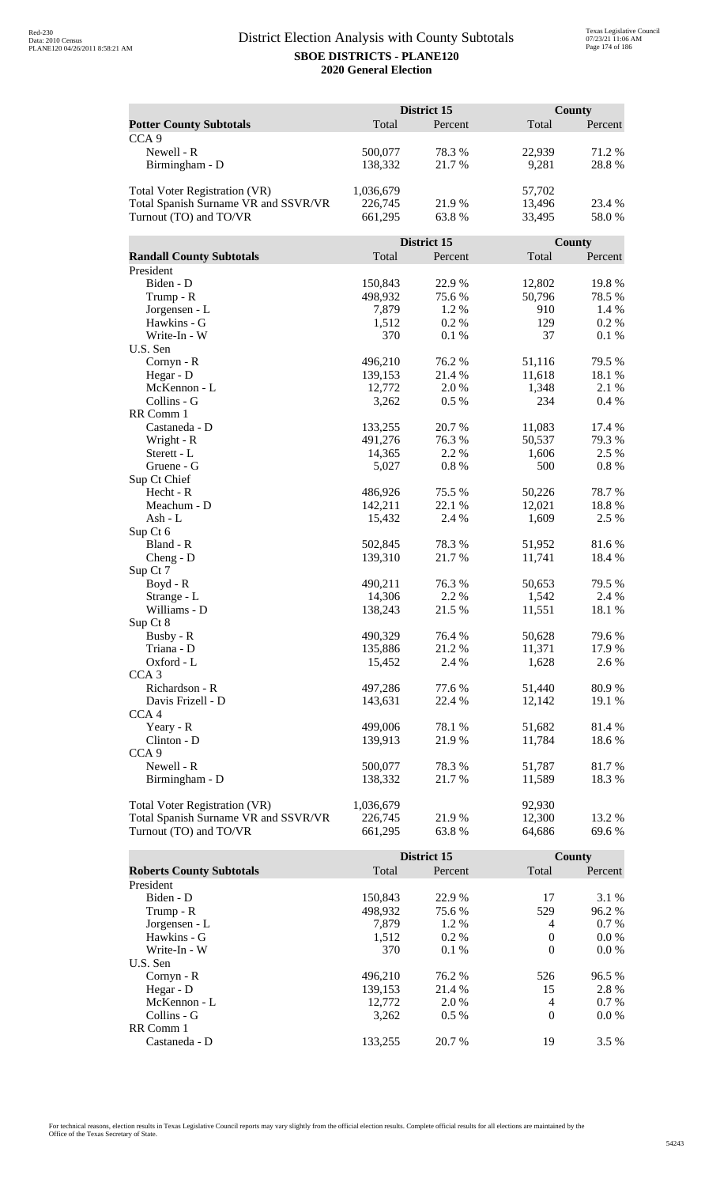|                                      |           | District 15 |        | County  |  |
|--------------------------------------|-----------|-------------|--------|---------|--|
| <b>Potter County Subtotals</b>       | Total     | Percent     | Total  | Percent |  |
| CCA <sub>9</sub>                     |           |             |        |         |  |
| Newell - R                           | 500,077   | 78.3%       | 22,939 | 71.2%   |  |
| Birmingham - D                       | 138,332   | 21.7%       | 9,281  | 28.8%   |  |
|                                      |           |             |        |         |  |
| <b>Total Voter Registration (VR)</b> | 1,036,679 |             | 57,702 |         |  |
| Total Spanish Surname VR and SSVR/VR | 226,745   | 21.9%       | 13,496 | 23.4 %  |  |
| Turnout (TO) and TO/VR               | 661,295   | 63.8%       | 33,495 | 58.0%   |  |
|                                      |           |             |        |         |  |
|                                      |           | District 15 |        | County  |  |
| <b>Randall County Subtotals</b>      | Total     | Percent     | Total  | Percent |  |
| President                            |           |             |        |         |  |
| Biden - D                            | 150,843   | 22.9%       | 12,802 | 19.8%   |  |
| Trump - R                            | 498,932   | 75.6%       | 50,796 | 78.5 %  |  |
| Jorgensen - L                        | 7,879     | 1.2%        | 910    | 1.4 %   |  |
| Hawkins - G                          | 1,512     | 0.2%        | 129    | 0.2%    |  |
| Write-In - W                         | 370       | 0.1%        | 37     | 0.1 %   |  |
| U.S. Sen                             |           |             |        |         |  |
| Cornyn - R                           | 496,210   | 76.2 %      | 51,116 | 79.5 %  |  |
| Hegar - D                            | 139,153   | 21.4 %      | 11,618 | 18.1 %  |  |
| McKennon - L                         | 12,772    | 2.0%        | 1,348  | 2.1 %   |  |
| Collins - G                          | 3,262     | 0.5 %       | 234    | 0.4 %   |  |
| RR Comm 1                            |           |             |        |         |  |
| Castaneda - D                        | 133,255   | 20.7 %      | 11,083 | 17.4 %  |  |
| Wright - R                           | 491,276   | 76.3%       | 50,537 | 79.3 %  |  |
| Sterett - L                          | 14,365    | 2.2 %       | 1,606  | 2.5 %   |  |
| Gruene - G<br>Sup Ct Chief           | 5,027     | 0.8%        | 500    | 0.8%    |  |
| Hecht - R                            | 486,926   | 75.5 %      | 50,226 | 78.7%   |  |
| Meachum - D                          | 142,211   | 22.1 %      | 12,021 | 18.8%   |  |
| Ash - L                              | 15,432    | 2.4 %       | 1,609  | 2.5 %   |  |
| Sup Ct 6                             |           |             |        |         |  |
| Bland - R                            | 502,845   | 78.3%       | 51,952 | 81.6%   |  |
| $Cheng - D$                          | 139,310   | 21.7%       | 11,741 | 18.4 %  |  |
| Sup Ct 7                             |           |             |        |         |  |
| Boyd - R                             | 490,211   | 76.3 %      | 50,653 | 79.5 %  |  |
| Strange - L                          | 14,306    | 2.2 %       | 1,542  | 2.4 %   |  |
| Williams - D                         | 138,243   | 21.5 %      | 11,551 | 18.1 %  |  |
| Sup Ct 8                             |           |             |        |         |  |
| Busby - R                            | 490,329   | 76.4 %      | 50,628 | 79.6%   |  |
| Triana - D                           | 135,886   | 21.2%       | 11,371 | 17.9%   |  |
| Oxford - L                           | 15,452    | 2.4 %       | 1,628  | 2.6 %   |  |
| CCA <sub>3</sub>                     |           |             |        |         |  |
| Richardson - R                       | 497,286   | 77.6 %      | 51,440 | 80.9%   |  |
| Davis Frizell - D                    | 143,631   | 22.4 %      | 12,142 | 19.1 %  |  |
| CCA <sub>4</sub>                     |           |             |        |         |  |
| Yeary - R                            | 499,006   | 78.1 %      | 51,682 | 81.4%   |  |
| Clinton - D                          | 139,913   | 21.9%       | 11,784 | 18.6 %  |  |
| CCA <sub>9</sub>                     |           |             |        |         |  |
| Newell - R                           | 500,077   | 78.3%       | 51,787 | 81.7%   |  |
| Birmingham - D                       | 138,332   | 21.7 %      | 11,589 | 18.3 %  |  |
| <b>Total Voter Registration (VR)</b> | 1,036,679 |             | 92,930 |         |  |
| Total Spanish Surname VR and SSVR/VR | 226,745   | 21.9%       | 12,300 | 13.2 %  |  |
| Turnout (TO) and TO/VR               | 661,295   | 63.8%       | 64,686 | 69.6 %  |  |
|                                      |           |             |        |         |  |

|                                 |         | District 15 |                | County  |
|---------------------------------|---------|-------------|----------------|---------|
| <b>Roberts County Subtotals</b> | Total   | Percent     | Total          | Percent |
| President                       |         |             |                |         |
| Biden - D                       | 150,843 | 22.9 %      | 17             | 3.1 %   |
| Trump - R                       | 498,932 | 75.6 %      | 529            | 96.2 %  |
| Jorgensen - L                   | 7.879   | 1.2 %       | 4              | $0.7\%$ |
| Hawkins - G                     | 1,512   | $0.2\%$     | $\overline{0}$ | $0.0\%$ |
| Write-In - W                    | 370     | $0.1\%$     | $\theta$       | $0.0\%$ |
| U.S. Sen                        |         |             |                |         |
| $Cornyn - R$                    | 496.210 | 76.2 %      | 526            | 96.5 %  |
| Hegar - $D$                     | 139.153 | 21.4 %      | 15             | 2.8%    |
| McKennon - L                    | 12,772  | 2.0 %       | $\overline{4}$ | $0.7\%$ |
| Collins - G                     | 3.262   | $0.5\%$     | $\theta$       | $0.0\%$ |
| RR Comm 1                       |         |             |                |         |
| Castaneda - D                   | 133.255 | 20.7 %      | 19             | 3.5 %   |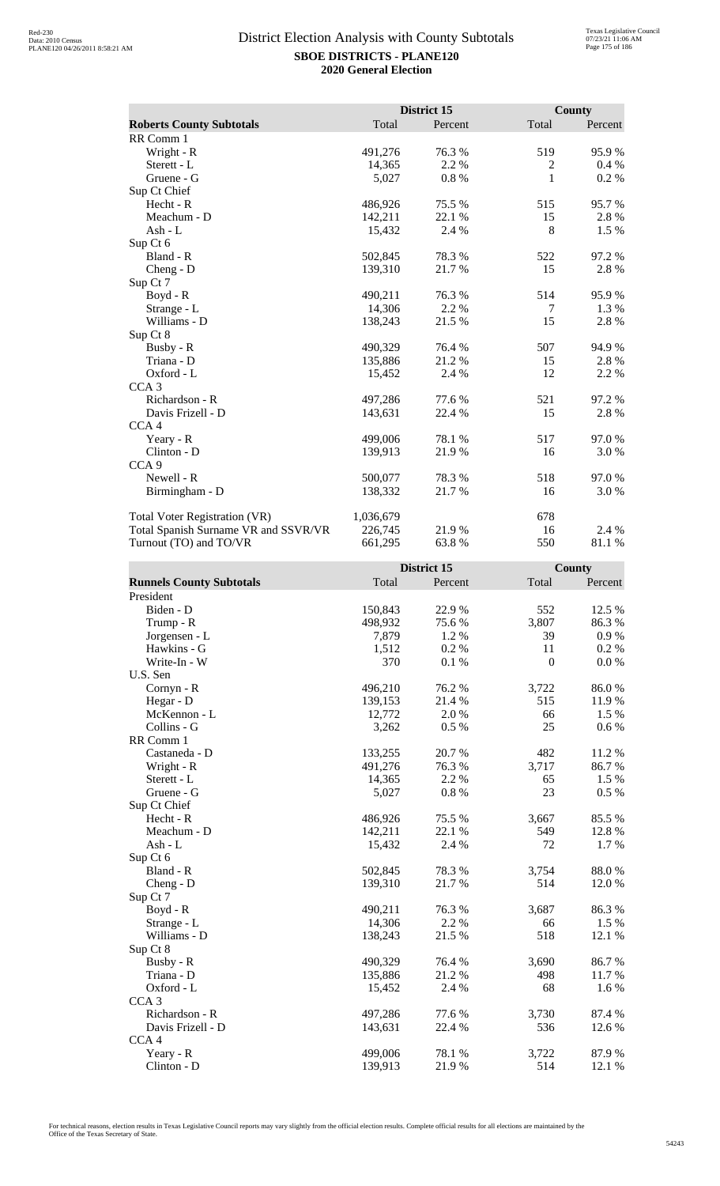|                                      |           | District 15 |        | <b>County</b> |
|--------------------------------------|-----------|-------------|--------|---------------|
| <b>Roberts County Subtotals</b>      | Total     | Percent     | Total  | Percent       |
| RR Comm 1                            |           |             |        |               |
| Wright - R                           | 491,276   | 76.3%       | 519    | 95.9%         |
| Sterett - L                          | 14,365    | 2.2 %       | 2      | 0.4%          |
| Gruene - G                           | 5,027     | 0.8%        | 1      | 0.2 %         |
| Sup Ct Chief                         |           |             |        |               |
| Hecht - R                            | 486,926   | 75.5 %      | 515    | 95.7%         |
| Meachum - D                          | 142,211   | 22.1 %      | 15     | 2.8%          |
| Ash - $L$                            | 15,432    | 2.4 %       | 8      | 1.5 %         |
| Sup Ct 6                             |           |             |        |               |
| Bland - R                            | 502,845   | 78.3%       | 522    | 97.2%         |
| $Cheng - D$                          | 139,310   | 21.7 %      | 15     | 2.8%          |
| Sup Ct 7                             |           |             |        |               |
| Boyd - R                             | 490,211   | 76.3 %      | 514    | 95.9%         |
| Strange - L                          | 14,306    | 2.2 %       | $\tau$ | 1.3 %         |
| Williams - D                         | 138,243   | 21.5 %      | 15     | 2.8%          |
| Sup Ct 8                             |           |             |        |               |
| Busby - R                            | 490,329   | 76.4%       | 507    | 94.9%         |
| Triana - D                           | 135,886   | 21.2%       | 15     | 2.8%          |
| Oxford - L                           | 15,452    | 2.4 %       | 12     | 2.2 %         |
| CCA <sub>3</sub>                     |           |             |        |               |
| Richardson - R                       | 497,286   | 77.6%       | 521    | 97.2%         |
| Davis Frizell - D                    | 143,631   | 22.4 %      | 15     | 2.8%          |
| CCA <sub>4</sub>                     |           |             |        |               |
| Yeary - R                            | 499,006   | 78.1 %      | 517    | 97.0%         |
| Clinton - D                          | 139,913   | 21.9%       | 16     | 3.0 %         |
| CCA <sub>9</sub>                     |           |             |        |               |
| Newell - R                           | 500,077   | 78.3 %      | 518    | 97.0%         |
| Birmingham - D                       | 138,332   | 21.7%       | 16     | 3.0 %         |
| <b>Total Voter Registration (VR)</b> | 1,036,679 |             | 678    |               |
| Total Spanish Surname VR and SSVR/VR | 226,745   | 21.9%       | 16     | 2.4 %         |
| Turnout (TO) and TO/VR               | 661,295   | 63.8%       | 550    | 81.1 %        |

|                                 |         | <b>District 15</b> |                  | County    |
|---------------------------------|---------|--------------------|------------------|-----------|
| <b>Runnels County Subtotals</b> | Total   | Percent            | Total            | Percent   |
| President                       |         |                    |                  |           |
| Biden - D                       | 150,843 | 22.9%              | 552              | 12.5 %    |
| Trump - R                       | 498,932 | 75.6%              | 3,807            | 86.3%     |
| Jorgensen - L                   | 7,879   | 1.2%               | 39               | $0.9\ \%$ |
| Hawkins - G                     | 1,512   | 0.2 %              | 11               | 0.2 %     |
| Write-In - W                    | 370     | 0.1%               | $\boldsymbol{0}$ | 0.0 %     |
| U.S. Sen                        |         |                    |                  |           |
| Cornyn - R                      | 496,210 | 76.2 %             | 3,722            | 86.0%     |
| Hegar - D                       | 139,153 | 21.4 %             | 515              | 11.9%     |
| McKennon - L                    | 12,772  | 2.0%               | 66               | 1.5 %     |
| Collins - G                     | 3,262   | 0.5%               | 25               | 0.6 %     |
| RR Comm 1                       |         |                    |                  |           |
| Castaneda - D                   | 133,255 | 20.7%              | 482              | 11.2 %    |
| Wright - R                      | 491,276 | 76.3%              | 3,717            | 86.7%     |
| Sterett - L                     | 14,365  | 2.2 %              | 65               | 1.5 %     |
| Gruene - G                      | 5,027   | $0.8~\%$           | 23               | 0.5 %     |
| Sup Ct Chief                    |         |                    |                  |           |
| Hecht - R                       | 486,926 | 75.5 %             | 3,667            | 85.5%     |
| Meachum - D                     | 142,211 | 22.1 %             | 549              | 12.8 %    |
| Ash - L                         | 15,432  | 2.4 %              | 72               | 1.7%      |
| Sup Ct 6                        |         |                    |                  |           |
| Bland - R                       | 502,845 | 78.3%              | 3,754            | 88.0%     |
| $Cheng - D$                     | 139,310 | 21.7%              | 514              | 12.0 %    |
| Sup Ct 7                        |         |                    |                  |           |
| Boyd - R                        | 490,211 | 76.3%              | 3,687            | 86.3%     |
| Strange - L                     | 14,306  | 2.2 %              | 66               | 1.5 %     |
| Williams - D                    | 138,243 | 21.5 %             | 518              | 12.1 %    |
| Sup Ct 8                        |         |                    |                  |           |
| Busby - R                       | 490,329 | 76.4 %             | 3,690            | 86.7%     |
| Triana - D                      | 135,886 | 21.2%              | 498              | 11.7%     |
| Oxford - L                      | 15,452  | 2.4 %              | 68               | 1.6 %     |
| CCA <sub>3</sub>                |         |                    |                  |           |
| Richardson - R                  | 497,286 | 77.6 %             | 3,730            | 87.4 %    |
| Davis Frizell - D               | 143,631 | 22.4 %             | 536              | 12.6 %    |
| CCA <sub>4</sub>                |         |                    |                  |           |
| Yeary - R                       | 499,006 | 78.1 %             | 3,722            | 87.9%     |
| Clinton - D                     | 139,913 | 21.9%              | 514              | 12.1 %    |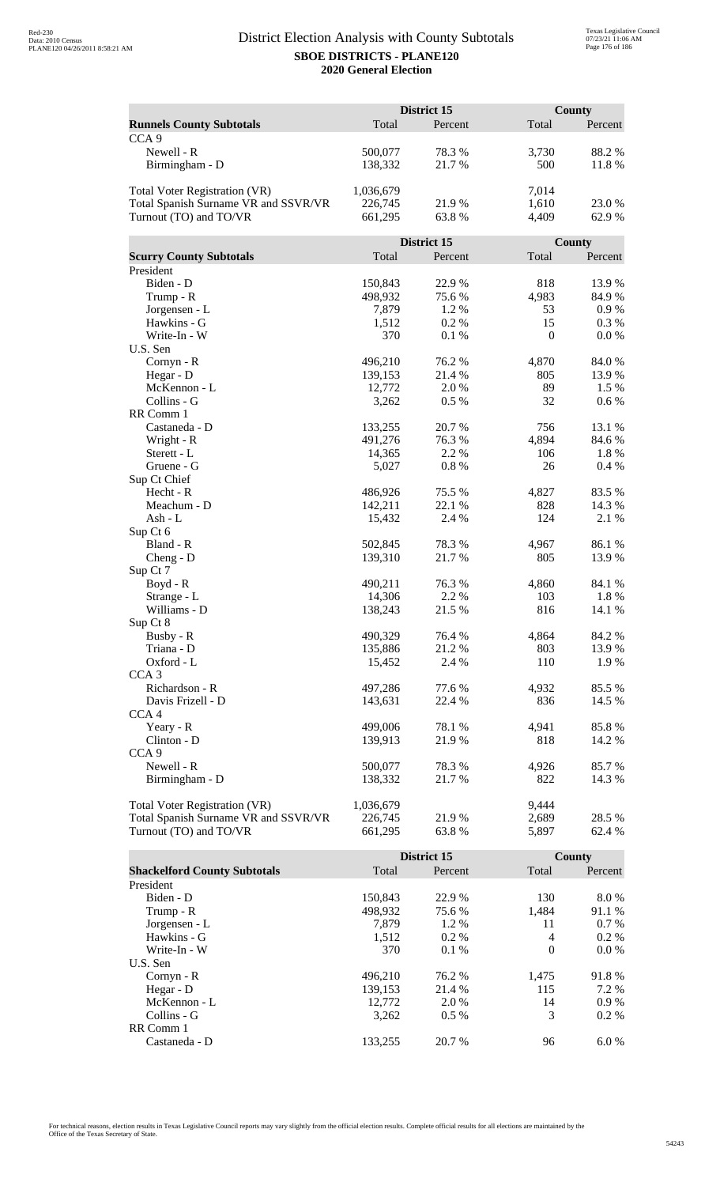|                                      |                    | District 15      |              | County          |  |
|--------------------------------------|--------------------|------------------|--------------|-----------------|--|
| <b>Runnels County Subtotals</b>      | Total              | Percent          | Total        | Percent         |  |
| CCA <sub>9</sub>                     |                    |                  |              |                 |  |
| Newell - R                           | 500,077            | 78.3%            | 3,730        | 88.2%           |  |
| Birmingham - D                       | 138,332            | 21.7%            | 500          | 11.8%           |  |
|                                      |                    |                  |              |                 |  |
| <b>Total Voter Registration (VR)</b> | 1,036,679          |                  | 7,014        |                 |  |
| Total Spanish Surname VR and SSVR/VR | 226,745            | 21.9%            | 1,610        | 23.0%           |  |
| Turnout (TO) and TO/VR               | 661,295            | 63.8%            | 4,409        | 62.9%           |  |
|                                      |                    |                  |              |                 |  |
|                                      |                    | District 15      |              | County          |  |
| <b>Scurry County Subtotals</b>       | Total              | Percent          | Total        | Percent         |  |
| President                            |                    |                  |              |                 |  |
| Biden - D                            | 150,843            | 22.9%            | 818          | 13.9%           |  |
| Trump - R                            | 498,932            | 75.6%            | 4,983        | 84.9%           |  |
| Jorgensen - L                        | 7,879              | 1.2%             | 53           | 0.9 %           |  |
| Hawkins - G                          | 1,512              | 0.2%             | 15           | 0.3 %           |  |
| Write-In - W                         | 370                | 0.1%             | $\mathbf{0}$ | 0.0 %           |  |
| U.S. Sen                             |                    |                  |              |                 |  |
| Cornyn - R                           | 496,210            | 76.2%            | 4,870        | 84.0%           |  |
| Hegar - D                            | 139,153            | 21.4 %           | 805          | 13.9%           |  |
| McKennon - L                         | 12,772             | 2.0 %            | 89           | 1.5 %           |  |
| Collins - G                          | 3,262              | $0.5\%$          | 32           | 0.6 %           |  |
| RR Comm 1                            |                    |                  |              |                 |  |
| Castaneda - D                        | 133,255            | 20.7%            | 756          | 13.1 %          |  |
| Wright - R                           | 491,276            | 76.3%            | 4,894        | 84.6%           |  |
| Sterett - L                          | 14,365             | 2.2 %            | 106          | 1.8%            |  |
| Gruene - G                           | 5,027              | 0.8%             | 26           | 0.4%            |  |
| Sup Ct Chief<br>Hecht - R            |                    |                  |              |                 |  |
| Meachum - D                          | 486,926<br>142,211 | 75.5 %<br>22.1 % | 4,827<br>828 | 83.5%<br>14.3 % |  |
| Ash - L                              | 15,432             | 2.4 %            | 124          | 2.1 %           |  |
| Sup Ct 6                             |                    |                  |              |                 |  |
| Bland - R                            | 502,845            | 78.3%            | 4,967        | 86.1%           |  |
| $Cheng - D$                          | 139,310            | 21.7%            | 805          | 13.9%           |  |
| Sup Ct 7                             |                    |                  |              |                 |  |
| $Boyd - R$                           | 490,211            | 76.3%            | 4,860        | 84.1 %          |  |
| Strange - L                          | 14,306             | 2.2 %            | 103          | 1.8%            |  |
| Williams - D                         | 138,243            | 21.5 %           | 816          | 14.1 %          |  |
| Sup Ct 8                             |                    |                  |              |                 |  |
| Busby - R                            | 490,329            | 76.4 %           | 4,864        | 84.2 %          |  |
| Triana - D                           | 135,886            | 21.2%            | 803          | 13.9%           |  |
| Oxford - L                           | 15,452             | 2.4 %            | 110          | 1.9%            |  |
| CCA <sub>3</sub>                     |                    |                  |              |                 |  |
| Richardson - R                       | 497,286            | 77.6 %           | 4,932        | 85.5 %          |  |
| Davis Frizell - D                    | 143,631            | 22.4 %           | 836          | 14.5 %          |  |
| CCA <sub>4</sub>                     |                    |                  |              |                 |  |
| Yeary - R                            | 499,006            | 78.1 %           | 4,941        | 85.8%           |  |
| Clinton - D                          | 139,913            | 21.9%            | 818          | 14.2 %          |  |
| CCA <sub>9</sub>                     |                    |                  |              |                 |  |
| Newell - R                           | 500,077            | 78.3%            | 4,926        | 85.7%           |  |
| Birmingham - D                       | 138,332            | 21.7 %           | 822          | 14.3 %          |  |
|                                      |                    |                  |              |                 |  |
| <b>Total Voter Registration (VR)</b> | 1,036,679          |                  | 9,444        |                 |  |
| Total Spanish Surname VR and SSVR/VR | 226,745            | 21.9%            | 2,689        | 28.5 %          |  |
| Turnout (TO) and TO/VR               | 661,295            | 63.8%            | 5,897        | 62.4 %          |  |

|                                     |         | District 15 |                | County  |
|-------------------------------------|---------|-------------|----------------|---------|
| <b>Shackelford County Subtotals</b> | Total   | Percent     | Total          | Percent |
| President                           |         |             |                |         |
| Biden - D                           | 150.843 | 22.9 %      | 130            | 8.0%    |
| Trump - R                           | 498,932 | 75.6 %      | 1.484          | 91.1 %  |
| Jorgensen - L                       | 7.879   | $1.2\%$     | 11             | $0.7\%$ |
| Hawkins - G                         | 1,512   | $0.2\%$     | $\overline{4}$ | $0.2\%$ |
| Write-In - W                        | 370     | $0.1\%$     | $\Omega$       | $0.0\%$ |
| U.S. Sen                            |         |             |                |         |
| $Cornyn - R$                        | 496.210 | 76.2 %      | 1.475          | 91.8%   |
| Hegar - $D$                         | 139,153 | 21.4 %      | 115            | 7.2 %   |
| McKennon - L                        | 12,772  | 2.0 %       | 14             | $0.9\%$ |
| Collins - G                         | 3.262   | $0.5\%$     | 3              | $0.2\%$ |
| RR Comm 1                           |         |             |                |         |
| Castaneda - D                       | 133.255 | 20.7 %      | 96             | 6.0%    |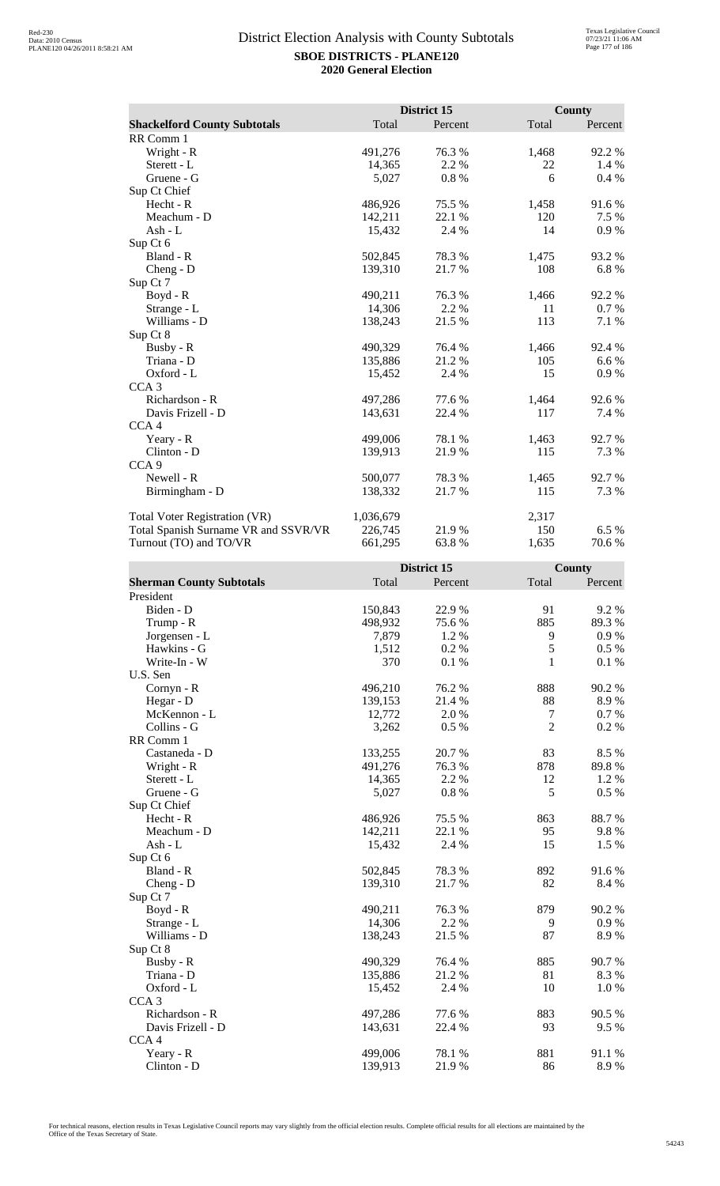|                                      |           | District 15 |       | County  |
|--------------------------------------|-----------|-------------|-------|---------|
| <b>Shackelford County Subtotals</b>  | Total     | Percent     | Total | Percent |
| RR Comm 1                            |           |             |       |         |
| Wright - R                           | 491,276   | 76.3%       | 1,468 | 92.2%   |
| Sterett - L                          | 14,365    | 2.2 %       | 22    | 1.4 %   |
| Gruene - G                           | 5,027     | 0.8%        | 6     | $0.4\%$ |
| Sup Ct Chief                         |           |             |       |         |
| Hecht - R                            | 486,926   | 75.5 %      | 1,458 | 91.6%   |
| Meachum - D                          | 142,211   | 22.1 %      | 120   | 7.5 %   |
| Ash - $L$                            | 15,432    | 2.4 %       | 14    | 0.9%    |
| Sup Ct 6                             |           |             |       |         |
| Bland - R                            | 502,845   | 78.3%       | 1,475 | 93.2%   |
| $Cheng - D$                          | 139,310   | 21.7 %      | 108   | 6.8%    |
| Sup Ct 7                             |           |             |       |         |
| Boyd - R                             | 490,211   | 76.3 %      | 1,466 | 92.2 %  |
| Strange - L                          | 14,306    | 2.2 %       | 11    | 0.7 %   |
| Williams - D                         | 138,243   | 21.5 %      | 113   | 7.1 %   |
| Sup Ct 8                             |           |             |       |         |
| Busby - R                            | 490,329   | 76.4%       | 1,466 | 92.4 %  |
| Triana - D                           | 135,886   | 21.2%       | 105   | 6.6 %   |
| Oxford - L                           | 15,452    | 2.4 %       | 15    | 0.9%    |
| CCA <sub>3</sub>                     |           |             |       |         |
| Richardson - R                       | 497,286   | 77.6%       | 1,464 | 92.6%   |
| Davis Frizell - D                    | 143,631   | 22.4 %      | 117   | 7.4 %   |
| CCA <sub>4</sub>                     |           |             |       |         |
| Yeary - R                            | 499,006   | 78.1 %      | 1,463 | 92.7 %  |
| Clinton - D                          | 139,913   | 21.9%       | 115   | 7.3 %   |
| CCA <sub>9</sub>                     |           |             |       |         |
| Newell - R                           | 500,077   | 78.3 %      | 1,465 | 92.7 %  |
| Birmingham - D                       | 138,332   | 21.7%       | 115   | 7.3 %   |
| <b>Total Voter Registration (VR)</b> | 1,036,679 |             | 2,317 |         |
| Total Spanish Surname VR and SSVR/VR | 226,745   | 21.9%       | 150   | 6.5 %   |
| Turnout (TO) and TO/VR               | 661,295   | 63.8%       | 1,635 | 70.6%   |

|                                 |         | District 15 |                  | <b>County</b> |
|---------------------------------|---------|-------------|------------------|---------------|
| <b>Sherman County Subtotals</b> | Total   | Percent     | Total            | Percent       |
| President                       |         |             |                  |               |
| Biden - D                       | 150,843 | 22.9%       | 91               | 9.2%          |
| Trump - R                       | 498,932 | 75.6%       | 885              | 89.3%         |
| Jorgensen - L                   | 7,879   | 1.2%        | 9                | 0.9%          |
| Hawkins - G                     | 1,512   | 0.2 %       | 5                | 0.5 %         |
| Write-In - W                    | 370     | 0.1%        | 1                | $0.1~\%$      |
| U.S. Sen                        |         |             |                  |               |
| Cornyn - R                      | 496,210 | 76.2 %      | 888              | 90.2 %        |
| Hegar - D                       | 139,153 | 21.4 %      | 88               | 8.9%          |
| McKennon - L                    | 12,772  | 2.0%        | $\boldsymbol{7}$ | 0.7%          |
| Collins - G                     | 3,262   | 0.5 %       | $\overline{2}$   | 0.2 %         |
| RR Comm 1                       |         |             |                  |               |
| Castaneda - D                   | 133,255 | 20.7%       | 83               | 8.5 %         |
| Wright - R                      | 491,276 | 76.3%       | 878              | 89.8%         |
| Sterett - L                     | 14,365  | 2.2 %       | 12               | 1.2%          |
| Gruene - G                      | 5,027   | $0.8~\%$    | 5                | 0.5 %         |
| Sup Ct Chief                    |         |             |                  |               |
| Hecht - R                       | 486,926 | 75.5 %      | 863              | 88.7%         |
| Meachum - D                     | 142,211 | 22.1 %      | 95               | 9.8%          |
| $Ash - L$                       | 15,432  | 2.4 %       | 15               | 1.5 %         |
| Sup Ct 6                        |         |             |                  |               |
| Bland - R                       | 502,845 | 78.3%       | 892              | 91.6%         |
| Cheng - D                       | 139,310 | 21.7%       | 82               | 8.4 %         |
| Sup Ct 7                        |         |             |                  |               |
| Boyd - R                        | 490,211 | 76.3%       | 879              | 90.2 %        |
| Strange - L                     | 14,306  | 2.2 %       | 9                | 0.9%          |
| Williams - D                    | 138,243 | 21.5 %      | 87               | 8.9%          |
| Sup Ct 8                        |         |             |                  |               |
| Busby - R                       | 490,329 | 76.4%       | 885              | 90.7%         |
| Triana - D                      | 135,886 | 21.2%       | 81               | 8.3%          |
| Oxford - L                      | 15,452  | 2.4 %       | 10               | $1.0\ \%$     |
| CCA <sub>3</sub>                |         |             |                  |               |
| Richardson - R                  | 497,286 | 77.6 %      | 883              | 90.5 %        |
| Davis Frizell - D               | 143,631 | 22.4 %      | 93               | 9.5%          |
| CCA <sub>4</sub>                |         |             |                  |               |
| Yeary - R                       | 499,006 | 78.1 %      | 881              | 91.1%         |
| Clinton - D                     | 139,913 | 21.9%       | 86               | 8.9%          |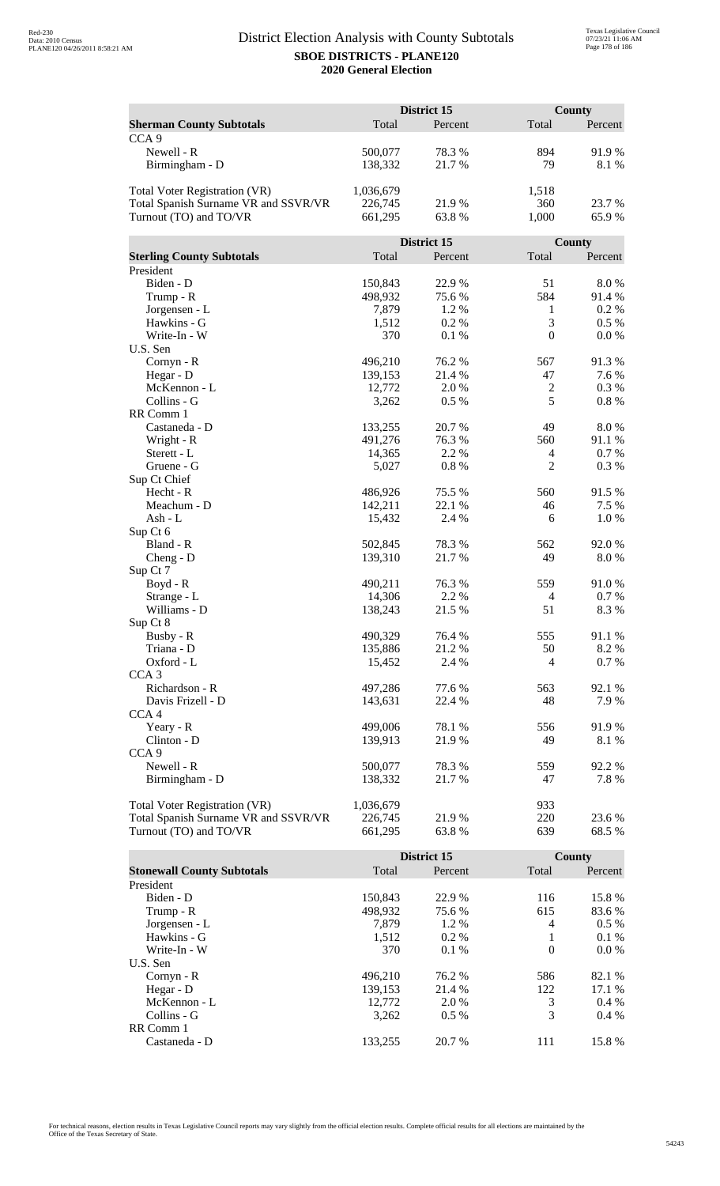|                                      | District 15 |                 | <b>County</b>    |          |
|--------------------------------------|-------------|-----------------|------------------|----------|
| <b>Sherman County Subtotals</b>      | Total       | Percent         | Total            | Percent  |
| CCA <sub>9</sub>                     |             |                 |                  |          |
| Newell - R                           | 500,077     | 78.3%           | 894              | 91.9%    |
| Birmingham - D                       | 138,332     | 21.7%           | 79               | 8.1 %    |
|                                      |             |                 |                  |          |
| <b>Total Voter Registration (VR)</b> | 1,036,679   |                 | 1,518            |          |
| Total Spanish Surname VR and SSVR/VR | 226,745     | 21.9%           | 360              | 23.7 %   |
| Turnout (TO) and TO/VR               | 661,295     | 63.8%           | 1,000            | 65.9%    |
|                                      |             |                 |                  |          |
|                                      |             | District 15     |                  | County   |
| <b>Sterling County Subtotals</b>     | Total       | Percent         | Total            | Percent  |
| President                            |             |                 |                  |          |
| Biden - D                            | 150,843     | 22.9%           | 51               | 8.0%     |
| Trump - R                            | 498,932     | 75.6%           | 584              | 91.4%    |
| Jorgensen - L                        | 7,879       | 1.2 %           | $\mathbf{1}$     | 0.2 %    |
| Hawkins - G                          | 1,512       | 0.2%            | 3                | $0.5\%$  |
| Write-In - W                         | 370         | 0.1%            | $\boldsymbol{0}$ | 0.0 %    |
| U.S. Sen                             |             |                 |                  |          |
| Cornyn - R                           | 496,210     | 76.2 %          | 567              | 91.3%    |
| Hegar - D                            | 139,153     | 21.4 %          | 47               | 7.6 %    |
| McKennon - L                         | 12,772      | 2.0%            | $\boldsymbol{2}$ | 0.3%     |
| Collins - G                          | 3,262       | 0.5%            | 5                | $0.8~\%$ |
| RR Comm 1                            |             |                 |                  |          |
| Castaneda - D                        | 133,255     | 20.7%           | 49               | 8.0%     |
| Wright - R                           | 491,276     | 76.3%           | 560              | 91.1%    |
| Sterett - L                          | 14,365      | 2.2 %           | 4                | 0.7%     |
| Gruene - G                           | 5,027       | 0.8%            | $\overline{2}$   | 0.3%     |
| Sup Ct Chief                         |             |                 |                  |          |
| Hecht - R                            | 486,926     | 75.5 %          | 560              | 91.5%    |
| Meachum - D                          | 142,211     | 22.1 %          | 46               | 7.5 %    |
| Ash - L                              | 15,432      | 2.4 %           | 6                | 1.0%     |
|                                      |             |                 |                  |          |
| Sup Ct 6<br>Bland - R                | 502,845     | 78.3%           | 562              | 92.0%    |
|                                      | 139,310     | 21.7%           | 49               | 8.0%     |
| Cheng - D<br>Sup Ct 7                |             |                 |                  |          |
|                                      | 490,211     | 76.3%           | 559              | 91.0%    |
| $Boyd - R$                           | 14,306      | 2.2 %           | 4                | 0.7 %    |
| Strange - L                          |             |                 | 51               |          |
| Williams - D                         | 138,243     | 21.5 %          |                  | 8.3%     |
| Sup Ct 8                             |             |                 |                  |          |
| Busby - R                            | 490,329     | 76.4 %<br>21.2% | 555              | 91.1 %   |
| Triana - D<br>Oxford - L             | 135,886     |                 | 50               | 8.2 %    |
|                                      | 15,452      | 2.4 %           | 4                | 0.7%     |
| CCA <sub>3</sub><br>Richardson - R   |             | 77.6 %          | 563              |          |
| Davis Frizell - D                    | 497,286     |                 |                  | 92.1 %   |
|                                      | 143,631     | 22.4 %          | 48               | 7.9%     |
| CCA <sub>4</sub>                     |             |                 |                  |          |
| Yeary - R                            | 499,006     | 78.1 %          | 556              | 91.9%    |
| Clinton - D                          | 139,913     | 21.9%           | 49               | 8.1 %    |
| CCA <sub>9</sub>                     |             |                 |                  |          |
| Newell - R                           | 500,077     | 78.3%           | 559              | 92.2%    |
| Birmingham - D                       | 138,332     | 21.7 %          | 47               | 7.8%     |
|                                      |             |                 |                  |          |
| <b>Total Voter Registration (VR)</b> | 1,036,679   |                 | 933              |          |
| Total Spanish Surname VR and SSVR/VR | 226,745     | 21.9%           | 220              | 23.6 %   |
| Turnout (TO) and TO/VR               | 661,295     | 63.8%           | 639              | 68.5%    |

|                                   |         | District 15 |                | <b>County</b> |
|-----------------------------------|---------|-------------|----------------|---------------|
| <b>Stonewall County Subtotals</b> | Total   | Percent     | Total          | Percent       |
| President                         |         |             |                |               |
| Biden - D                         | 150,843 | 22.9 %      | 116            | 15.8%         |
| Trump - R                         | 498,932 | 75.6 %      | 615            | 83.6 %        |
| Jorgensen - L                     | 7.879   | $1.2\%$     | $\overline{4}$ | $0.5\%$       |
| Hawkins - G                       | 1,512   | $0.2\%$     | 1              | 0.1%          |
| Write-In - W                      | 370     | $0.1\%$     | $\Omega$       | $0.0\%$       |
| U.S. Sen                          |         |             |                |               |
| $Cornyn - R$                      | 496.210 | 76.2 %      | 586            | 82.1 %        |
| Hegar - $D$                       | 139.153 | 21.4 %      | 122            | 17.1 %        |
| McKennon - L                      | 12,772  | 2.0 %       | 3              | $0.4\%$       |
| Collins - G                       | 3.262   | $0.5\%$     | 3              | $0.4\%$       |
| RR Comm 1                         |         |             |                |               |
| Castaneda - D                     | 133.255 | 20.7 %      | 111            | 15.8%         |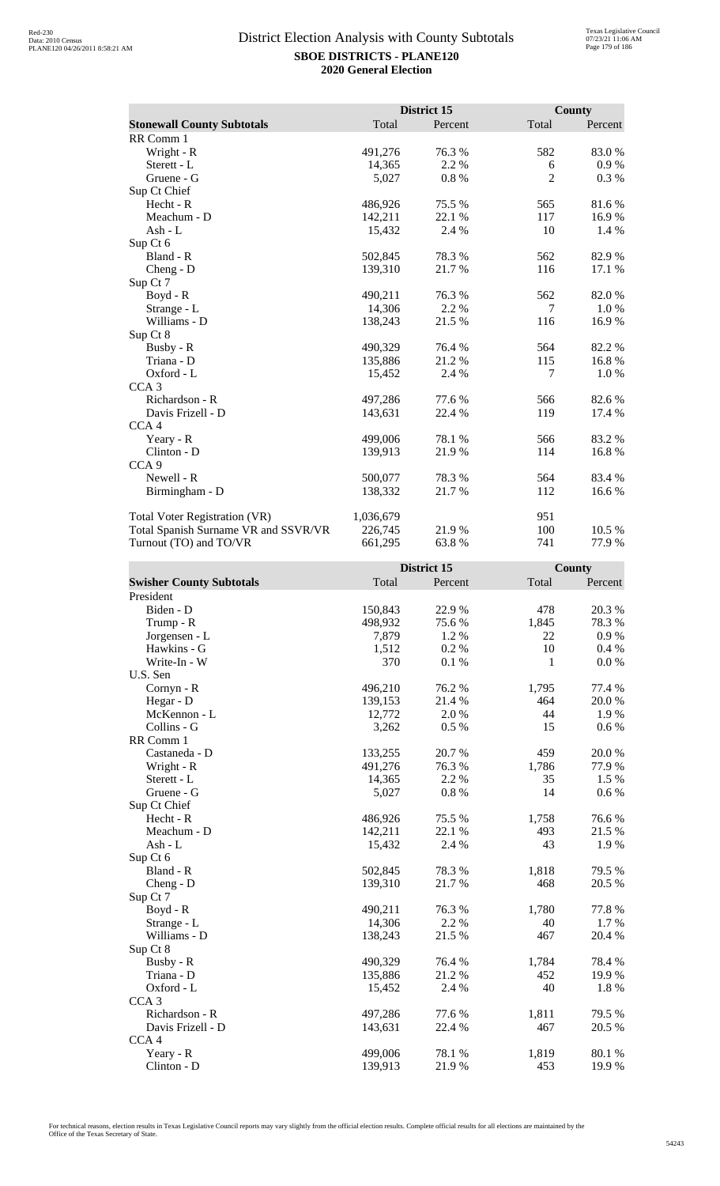|                                      |           | District 15 |                | <b>County</b> |
|--------------------------------------|-----------|-------------|----------------|---------------|
| <b>Stonewall County Subtotals</b>    | Total     | Percent     | Total          | Percent       |
| RR Comm 1                            |           |             |                |               |
| Wright - R                           | 491,276   | 76.3%       | 582            | 83.0%         |
| Sterett - L                          | 14,365    | 2.2 %       | 6              | 0.9 %         |
| Gruene - G                           | 5,027     | 0.8%        | $\overline{2}$ | 0.3 %         |
| Sup Ct Chief                         |           |             |                |               |
| Hecht - R                            | 486,926   | 75.5 %      | 565            | 81.6%         |
| Meachum - D                          | 142,211   | 22.1 %      | 117            | 16.9%         |
| Ash - L                              | 15,432    | 2.4 %       | 10             | 1.4 %         |
| Sup Ct 6                             |           |             |                |               |
| Bland - R                            | 502,845   | 78.3 %      | 562            | 82.9%         |
| $Cheng - D$                          | 139,310   | 21.7 %      | 116            | 17.1 %        |
| Sup Ct 7                             |           |             |                |               |
| Boyd - R                             | 490,211   | 76.3%       | 562            | 82.0%         |
| Strange - L                          | 14,306    | 2.2 %       | 7              | $1.0\%$       |
| Williams - D                         | 138,243   | 21.5 %      | 116            | 16.9%         |
| Sup Ct 8                             |           |             |                |               |
| Busby - R                            | 490,329   | 76.4 %      | 564            | 82.2 %        |
| Triana - D                           | 135,886   | 21.2 %      | 115            | 16.8%         |
| Oxford - L                           | 15,452    | 2.4 %       | 7              | 1.0%          |
| CCA <sub>3</sub>                     |           |             |                |               |
| Richardson - R                       | 497,286   | 77.6 %      | 566            | 82.6 %        |
| Davis Frizell - D                    | 143,631   | 22.4 %      | 119            | 17.4 %        |
| CCA <sub>4</sub>                     |           |             |                |               |
| Yeary - R                            | 499,006   | 78.1 %      | 566            | 83.2%         |
| Clinton - D                          | 139,913   | 21.9%       | 114            | 16.8%         |
| CCA <sub>9</sub>                     |           |             |                |               |
| Newell - R                           | 500,077   | 78.3 %      | 564            | 83.4 %        |
| Birmingham - D                       | 138,332   | 21.7%       | 112            | 16.6 %        |
| Total Voter Registration (VR)        | 1,036,679 |             | 951            |               |
| Total Spanish Surname VR and SSVR/VR | 226,745   | 21.9%       | 100            | 10.5 %        |
| Turnout (TO) and TO/VR               | 661,295   | 63.8%       | 741            | 77.9 %        |

|                                 |         | District 15 |       | County    |
|---------------------------------|---------|-------------|-------|-----------|
| <b>Swisher County Subtotals</b> | Total   | Percent     | Total | Percent   |
| President                       |         |             |       |           |
| Biden - D                       | 150,843 | 22.9%       | 478   | 20.3 %    |
| Trump - R                       | 498,932 | 75.6%       | 1,845 | 78.3%     |
| Jorgensen - L                   | 7,879   | 1.2%        | 22    | 0.9 %     |
| Hawkins - G                     | 1,512   | 0.2%        | 10    | 0.4 %     |
| Write-In - W                    | 370     | 0.1%        | 1     | 0.0 %     |
| U.S. Sen                        |         |             |       |           |
| Cornyn - R                      | 496,210 | 76.2 %      | 1,795 | 77.4 %    |
| Hegar - D                       | 139,153 | 21.4 %      | 464   | 20.0%     |
| McKennon - L                    | 12,772  | 2.0%        | 44    | 1.9%      |
| Collins - G                     | 3,262   | 0.5 %       | 15    | $0.6\ \%$ |
| RR Comm 1                       |         |             |       |           |
| Castaneda - D                   | 133,255 | 20.7%       | 459   | 20.0%     |
| Wright - R                      | 491,276 | 76.3%       | 1,786 | 77.9%     |
| Sterett - L                     | 14,365  | 2.2 %       | 35    | 1.5 %     |
| Gruene - G                      | 5,027   | $0.8~\%$    | 14    | $0.6\ \%$ |
| Sup Ct Chief                    |         |             |       |           |
| Hecht - R                       | 486,926 | 75.5 %      | 1,758 | 76.6%     |
| Meachum - D                     | 142,211 | 22.1 %      | 493   | 21.5 %    |
| $Ash - L$                       | 15,432  | 2.4 %       | 43    | 1.9%      |
| Sup Ct 6                        |         |             |       |           |
| Bland - R                       | 502,845 | 78.3%       | 1,818 | 79.5 %    |
| Cheng - $D$                     | 139,310 | 21.7%       | 468   | 20.5 %    |
| Sup Ct 7                        |         |             |       |           |
| $Boyd - R$                      | 490,211 | 76.3%       | 1,780 | 77.8 %    |
| Strange - L                     | 14,306  | 2.2 %       | 40    | 1.7%      |
| Williams - D                    | 138,243 | 21.5 %      | 467   | 20.4 %    |
| Sup Ct 8                        |         |             |       |           |
| Busby - R                       | 490,329 | 76.4 %      | 1,784 | 78.4%     |
| Triana - D                      | 135,886 | 21.2%       | 452   | 19.9%     |
| Oxford - L                      | 15,452  | 2.4 %       | 40    | 1.8 %     |
| CCA <sub>3</sub>                |         |             |       |           |
| Richardson - R                  | 497,286 | 77.6 %      | 1,811 | 79.5 %    |
| Davis Frizell - D               | 143,631 | 22.4 %      | 467   | 20.5 %    |
| CCA <sub>4</sub>                |         |             |       |           |
| Yeary - R                       | 499,006 | 78.1 %      | 1,819 | 80.1 %    |
| Clinton - D                     | 139,913 | 21.9%       | 453   | 19.9%     |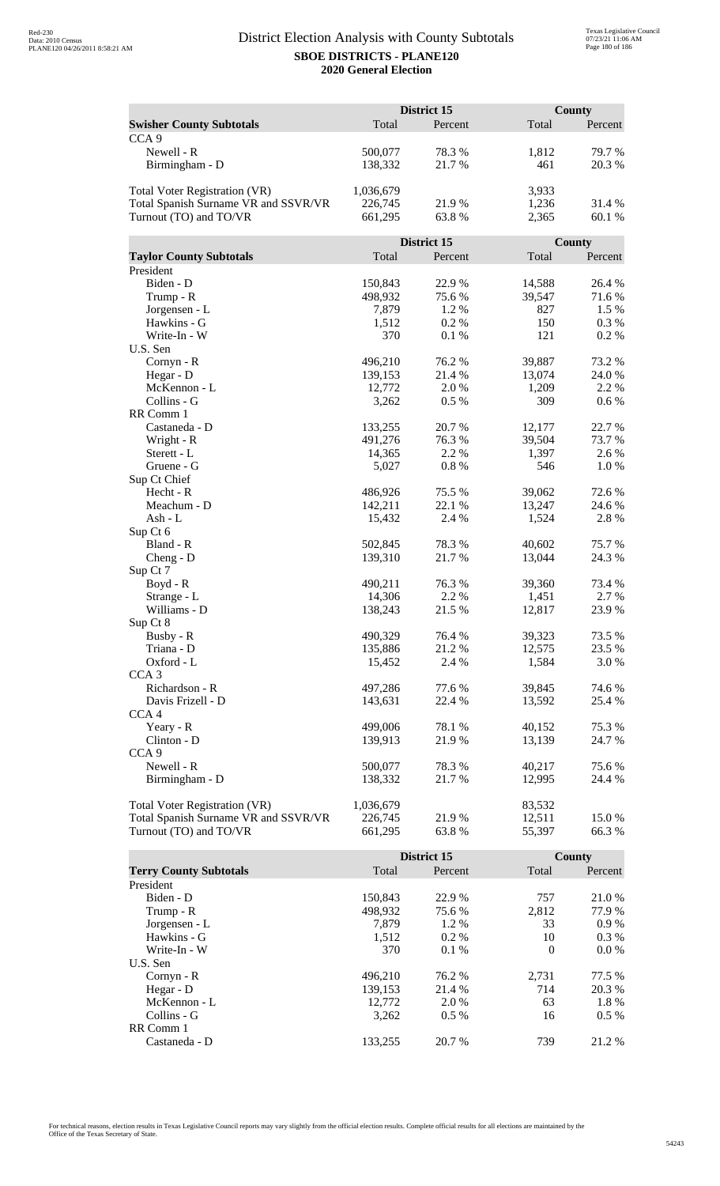|                                                                |                    | <b>District 15</b> |                  | County       |  |
|----------------------------------------------------------------|--------------------|--------------------|------------------|--------------|--|
| <b>Swisher County Subtotals</b>                                | Total              | Percent            | Total            | Percent      |  |
| CCA <sub>9</sub>                                               |                    |                    |                  |              |  |
| Newell - R                                                     | 500,077            | 78.3%              | 1,812            | 79.7%        |  |
| Birmingham - D                                                 | 138,332            | 21.7%              | 461              | 20.3 %       |  |
|                                                                |                    |                    |                  |              |  |
| <b>Total Voter Registration (VR)</b>                           | 1,036,679          |                    | 3,933            |              |  |
| Total Spanish Surname VR and SSVR/VR                           | 226,745            | 21.9%              | 1,236            | 31.4 %       |  |
| Turnout (TO) and TO/VR                                         | 661,295            | 63.8%              | 2,365            | 60.1 %       |  |
|                                                                |                    |                    |                  |              |  |
|                                                                |                    | District 15        |                  | County       |  |
| <b>Taylor County Subtotals</b>                                 | Total              | Percent            | Total            | Percent      |  |
| President                                                      |                    |                    |                  |              |  |
| Biden - D                                                      | 150,843            | 22.9%              | 14,588           | 26.4 %       |  |
| Trump - R                                                      | 498,932            | 75.6%              | 39,547           | 71.6%        |  |
| Jorgensen - L                                                  | 7,879              | 1.2%               | 827              | 1.5 %        |  |
| Hawkins - G                                                    | 1,512              | 0.2%               | 150              | 0.3 %        |  |
| Write-In - W                                                   | 370                | 0.1%               | 121              | 0.2%         |  |
| U.S. Sen                                                       |                    |                    |                  |              |  |
| Cornyn - R                                                     | 496,210            | 76.2 %             | 39,887           | 73.2 %       |  |
| Hegar - D                                                      | 139,153            | 21.4 %             | 13,074           | 24.0%        |  |
| McKennon - L                                                   | 12,772             | 2.0 %              | 1,209            | 2.2 %        |  |
| Collins - G                                                    | 3,262              | 0.5%               | 309              | 0.6 %        |  |
| RR Comm 1                                                      |                    |                    |                  |              |  |
| Castaneda - D                                                  | 133,255            | 20.7%              | 12,177           | 22.7 %       |  |
| Wright - R                                                     | 491,276            | 76.3%              | 39,504<br>1,397  | 73.7 %       |  |
| Sterett - L<br>Gruene - G                                      | 14,365             | 2.2 %<br>0.8%      | 546              | 2.6%<br>1.0% |  |
| Sup Ct Chief                                                   | 5,027              |                    |                  |              |  |
| Hecht - R                                                      | 486,926            | 75.5 %             | 39,062           | 72.6 %       |  |
| Meachum - D                                                    | 142,211            | 22.1 %             | 13,247           | 24.6 %       |  |
| Ash - L                                                        | 15,432             | 2.4 %              | 1,524            | 2.8%         |  |
| Sup Ct 6                                                       |                    |                    |                  |              |  |
| Bland - R                                                      | 502,845            | 78.3%              | 40,602           | 75.7%        |  |
| $Cheng - D$                                                    | 139,310            | 21.7%              | 13,044           | 24.3 %       |  |
| Sup Ct 7                                                       |                    |                    |                  |              |  |
| $Boyd - R$                                                     | 490,211            | 76.3%              | 39,360           | 73.4 %       |  |
| Strange - L                                                    | 14,306             | 2.2 %              | 1,451            | 2.7 %        |  |
| Williams - D                                                   | 138,243            | 21.5 %             | 12,817           | 23.9%        |  |
| Sup Ct 8                                                       |                    |                    |                  |              |  |
| Busby - R                                                      | 490,329            | 76.4 %             | 39,323           | 73.5 %       |  |
| Triana - D                                                     | 135,886            | 21.2%              | 12,575           | 23.5 %       |  |
| Oxford - L                                                     | 15,452             | 2.4 %              | 1,584            | 3.0%         |  |
| CCA <sub>3</sub>                                               |                    |                    |                  |              |  |
| Richardson - R                                                 | 497,286            | 77.6 %             | 39,845           | 74.6 %       |  |
| Davis Frizell - D                                              | 143,631            | 22.4 %             | 13,592           | 25.4 %       |  |
| CCA <sub>4</sub>                                               |                    |                    |                  |              |  |
| Yeary - R                                                      | 499,006            | 78.1 %             | 40,152           | 75.3 %       |  |
| Clinton - D                                                    | 139,913            | 21.9%              | 13,139           | 24.7 %       |  |
| CCA <sub>9</sub>                                               |                    |                    |                  |              |  |
| Newell - R                                                     | 500,077            | 78.3%              | 40,217           | 75.6 %       |  |
| Birmingham - D                                                 | 138,332            | 21.7 %             | 12,995           | 24.4 %       |  |
|                                                                |                    |                    |                  |              |  |
| <b>Total Voter Registration (VR)</b>                           | 1,036,679          | 21.9%              | 83,532<br>12,511 | 15.0%        |  |
| Total Spanish Surname VR and SSVR/VR<br>Turnout (TO) and TO/VR | 226,745<br>661,295 | 63.8%              | 55,397           | 66.3%        |  |
|                                                                |                    |                    |                  |              |  |

|                               |         | District 15 |          | County  |  |
|-------------------------------|---------|-------------|----------|---------|--|
| <b>Terry County Subtotals</b> | Total   | Percent     | Total    | Percent |  |
| President                     |         |             |          |         |  |
| Biden - D                     | 150,843 | 22.9 %      | 757      | 21.0 %  |  |
| Trump - R                     | 498,932 | 75.6 %      | 2,812    | 77.9 %  |  |
| Jorgensen - L                 | 7.879   | 1.2 %       | 33       | 0.9%    |  |
| Hawkins - G                   | 1,512   | $0.2\%$     | 10       | $0.3\%$ |  |
| Write-In - W                  | 370     | 0.1%        | $\Omega$ | $0.0\%$ |  |
| U.S. Sen                      |         |             |          |         |  |
| Cornyn - R                    | 496.210 | 76.2 %      | 2,731    | 77.5 %  |  |
| Hegar - $D$                   | 139.153 | 21.4 %      | 714      | 20.3 %  |  |
| McKennon - L                  | 12,772  | 2.0 %       | 63       | 1.8%    |  |
| Collins - G                   | 3.262   | $0.5\%$     | 16       | $0.5\%$ |  |
| RR Comm 1                     |         |             |          |         |  |
| Castaneda - D                 | 133.255 | 20.7 %      | 739      | 21.2 %  |  |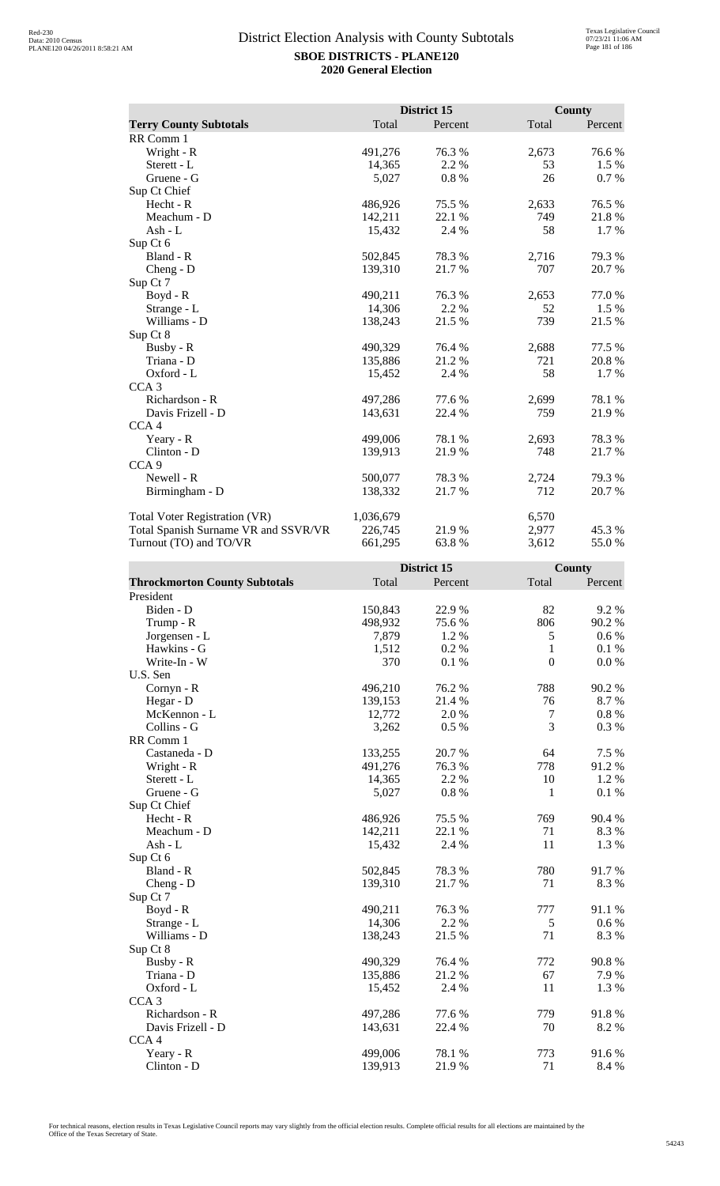|                                      |           | District 15 |       | <b>County</b> |
|--------------------------------------|-----------|-------------|-------|---------------|
| <b>Terry County Subtotals</b>        | Total     | Percent     | Total | Percent       |
| RR Comm 1                            |           |             |       |               |
| Wright - R                           | 491,276   | 76.3%       | 2,673 | 76.6%         |
| Sterett - L                          | 14,365    | 2.2 %       | 53    | 1.5 %         |
| Gruene - G                           | 5,027     | 0.8%        | 26    | 0.7%          |
| Sup Ct Chief                         |           |             |       |               |
| Hecht - R                            | 486,926   | 75.5 %      | 2,633 | 76.5 %        |
| Meachum - D                          | 142,211   | 22.1 %      | 749   | 21.8%         |
| Ash - $L$                            | 15,432    | 2.4 %       | 58    | 1.7 %         |
| Sup Ct 6                             |           |             |       |               |
| Bland - R                            | 502,845   | 78.3%       | 2,716 | 79.3%         |
| Cheng - D                            | 139,310   | 21.7%       | 707   | 20.7%         |
| Sup Ct 7                             |           |             |       |               |
| $Boyd - R$                           | 490,211   | 76.3%       | 2,653 | 77.0%         |
| Strange - L                          | 14,306    | 2.2 %       | 52    | $1.5\%$       |
| Williams - D                         | 138,243   | 21.5 %      | 739   | 21.5 %        |
| Sup Ct 8                             |           |             |       |               |
| Busby - R                            | 490,329   | 76.4%       | 2,688 | 77.5 %        |
| Triana - D                           | 135,886   | 21.2%       | 721   | 20.8%         |
| Oxford - L                           | 15,452    | 2.4 %       | 58    | 1.7 %         |
| CCA <sub>3</sub>                     |           |             |       |               |
| Richardson - R                       | 497,286   | 77.6 %      | 2,699 | 78.1 %        |
| Davis Frizell - D                    | 143,631   | 22.4 %      | 759   | 21.9 %        |
| CCA <sub>4</sub>                     |           |             |       |               |
| Yeary - R                            | 499,006   | 78.1 %      | 2,693 | 78.3%         |
| Clinton - D                          | 139,913   | 21.9%       | 748   | 21.7%         |
| CCA <sub>9</sub>                     |           |             |       |               |
| Newell - R                           | 500,077   | 78.3%       | 2,724 | 79.3%         |
| Birmingham - D                       | 138,332   | 21.7 %      | 712   | 20.7 %        |
| Total Voter Registration (VR)        | 1,036,679 |             | 6,570 |               |
| Total Spanish Surname VR and SSVR/VR | 226,745   | 21.9%       | 2,977 | 45.3 %        |
| Turnout (TO) and TO/VR               | 661,295   | 63.8%       | 3,612 | 55.0%         |

|                                      |         | District 15 |              | County  |
|--------------------------------------|---------|-------------|--------------|---------|
| <b>Throckmorton County Subtotals</b> | Total   | Percent     | Total        | Percent |
| President                            |         |             |              |         |
| Biden - D                            | 150,843 | 22.9%       | 82           | 9.2%    |
| Trump - R                            | 498,932 | 75.6%       | 806          | 90.2%   |
| Jorgensen - L                        | 7,879   | 1.2%        | 5            | 0.6 %   |
| Hawkins - G                          | 1,512   | 0.2%        | $\mathbf{1}$ | 0.1%    |
| Write-In - W                         | 370     | 0.1%        | $\mathbf{0}$ | 0.0 %   |
| U.S. Sen                             |         |             |              |         |
| Cornyn - R                           | 496,210 | 76.2%       | 788          | 90.2%   |
| Hegar - D                            | 139,153 | 21.4 %      | 76           | 8.7%    |
| McKennon - L                         | 12,772  | 2.0%        | $\tau$       | 0.8 %   |
| Collins - G                          | 3,262   | 0.5 %       | 3            | 0.3%    |
| RR Comm 1                            |         |             |              |         |
| Castaneda - D                        | 133,255 | 20.7%       | 64           | 7.5 %   |
| Wright - R                           | 491,276 | 76.3%       | 778          | 91.2%   |
| Sterett - L                          | 14,365  | 2.2 %       | 10           | 1.2%    |
| Gruene - G                           | 5,027   | 0.8%        | 1            | 0.1%    |
| Sup Ct Chief                         |         |             |              |         |
| $Hecht - R$                          | 486,926 | 75.5 %      | 769          | 90.4 %  |
| Meachum - D                          | 142,211 | 22.1 %      | 71           | 8.3%    |
| $Ash-L$                              | 15,432  | 2.4 %       | 11           | 1.3%    |
| Sup Ct 6                             |         |             |              |         |
| Bland - R                            | 502,845 | 78.3%       | 780          | 91.7%   |
| Cheng - D                            | 139,310 | 21.7%       | 71           | 8.3%    |
| Sup Ct 7                             |         |             |              |         |
| Boyd - R                             | 490,211 | 76.3%       | 777          | 91.1 %  |
| Strange - L                          | 14,306  | 2.2 %       | 5            | 0.6 %   |
| Williams - D                         | 138,243 | 21.5 %      | 71           | 8.3%    |
| Sup Ct 8                             |         |             |              |         |
| Busby - R                            | 490,329 | 76.4 %      | 772          | 90.8%   |
| Triana - D                           | 135,886 | 21.2%       | 67           | 7.9 %   |
| Oxford - L                           | 15,452  | 2.4 %       | 11           | 1.3%    |
| CCA <sub>3</sub>                     |         |             |              |         |
| Richardson - R                       | 497,286 | 77.6 %      | 779          | 91.8%   |
| Davis Frizell - D                    | 143,631 | 22.4 %      | 70           | 8.2%    |
| CCA <sub>4</sub>                     |         |             |              |         |
| Yeary - R                            | 499,006 | 78.1 %      | 773          | 91.6 %  |
| Clinton - D                          | 139,913 | 21.9%       | 71           | 8.4 %   |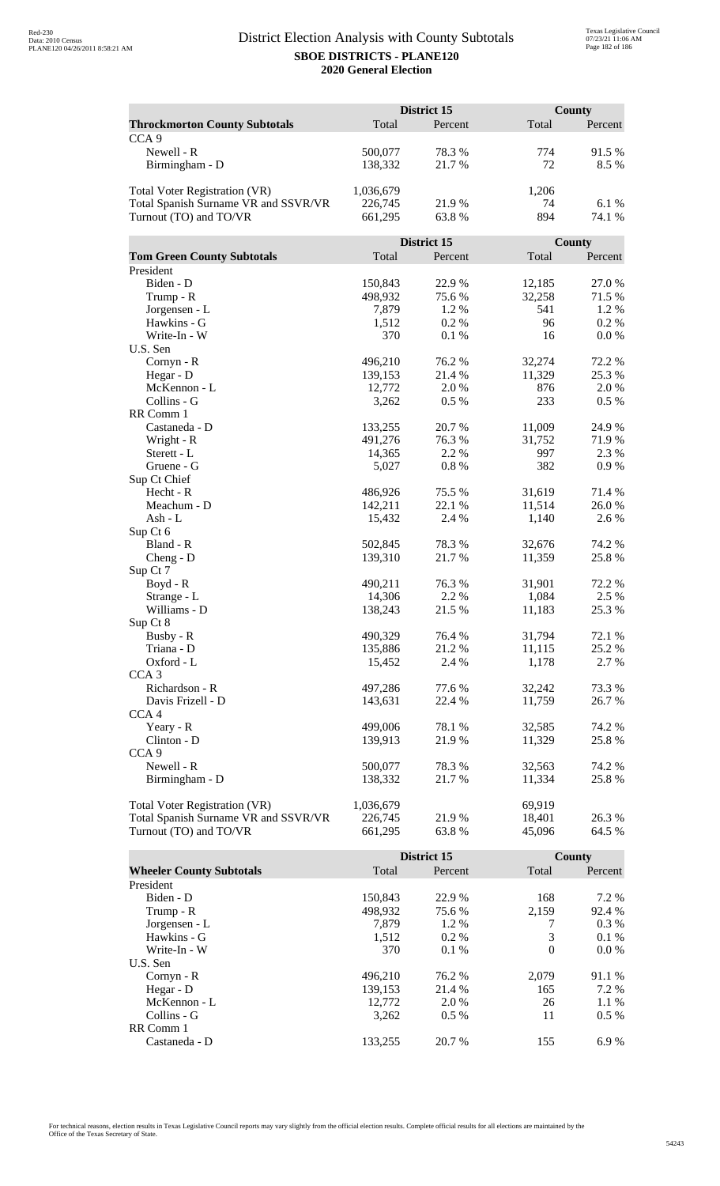|                                      | District 15 |             |        | <b>County</b> |  |
|--------------------------------------|-------------|-------------|--------|---------------|--|
| <b>Throckmorton County Subtotals</b> | Total       | Percent     | Total  | Percent       |  |
| CCA <sub>9</sub>                     |             |             |        |               |  |
| Newell - R                           | 500,077     | 78.3%       | 774    | 91.5 %        |  |
| Birmingham - D                       | 138,332     | 21.7%       | 72     | 8.5 %         |  |
|                                      |             |             |        |               |  |
| Total Voter Registration (VR)        | 1,036,679   |             | 1,206  |               |  |
| Total Spanish Surname VR and SSVR/VR | 226,745     | 21.9%       | 74     | 6.1 %         |  |
| Turnout (TO) and TO/VR               | 661,295     | 63.8%       | 894    | 74.1 %        |  |
|                                      |             |             |        |               |  |
|                                      |             | District 15 |        | County        |  |
| <b>Tom Green County Subtotals</b>    | Total       | Percent     | Total  | Percent       |  |
| President                            |             |             |        |               |  |
| Biden - D                            | 150,843     | 22.9%       | 12,185 | 27.0%         |  |
| Trump - R                            | 498,932     | 75.6 %      | 32,258 | 71.5 %        |  |
| Jorgensen - L                        | 7,879       | 1.2 %       | 541    | 1.2 %         |  |
| Hawkins - G                          | 1,512       | 0.2 %       | 96     | $0.2\%$       |  |
| Write-In - W                         | 370         |             | 16     | 0.0 %         |  |
| U.S. Sen                             |             | 0.1%        |        |               |  |
|                                      | 496,210     | 76.2 %      | 32,274 | 72.2 %        |  |
| Cornyn - R                           |             |             |        |               |  |
| Hegar - D                            | 139,153     | 21.4 %      | 11,329 | 25.3 %        |  |
| McKennon - L                         | 12,772      | 2.0%        | 876    | 2.0 %         |  |
| Collins - G                          | 3,262       | 0.5 %       | 233    | 0.5 %         |  |
| RR Comm 1                            |             |             |        |               |  |
| Castaneda - D                        | 133,255     | 20.7%       | 11,009 | 24.9%         |  |
| Wright - R                           | 491,276     | 76.3%       | 31,752 | 71.9%         |  |
| Sterett - L                          | 14,365      | 2.2 %       | 997    | 2.3 %         |  |
| Gruene - G                           | 5,027       | 0.8%        | 382    | 0.9%          |  |
| Sup Ct Chief                         |             |             |        |               |  |
| Hecht - R                            | 486,926     | 75.5 %      | 31,619 | 71.4 %        |  |
| Meachum - D                          | 142,211     | 22.1 %      | 11,514 | 26.0%         |  |
| Ash - L                              | 15,432      | 2.4 %       | 1,140  | 2.6 %         |  |
| Sup Ct 6                             |             |             |        |               |  |
| Bland - R                            | 502,845     | 78.3%       | 32,676 | 74.2 %        |  |
| $Cheng - D$                          | 139,310     | 21.7%       | 11,359 | 25.8%         |  |
| Sup Ct 7                             |             |             |        |               |  |
| $Boyd - R$                           | 490,211     | 76.3%       | 31,901 | 72.2 %        |  |
| Strange - L                          | 14,306      | 2.2 %       | 1,084  | 2.5 %         |  |
| Williams - D                         | 138,243     | 21.5 %      | 11,183 | 25.3 %        |  |
| Sup Ct 8                             |             |             |        |               |  |
| Busby - R                            | 490,329     | 76.4 %      | 31,794 | 72.1 %        |  |
| Triana - D                           | 135,886     | 21.2%       | 11,115 | 25.2 %        |  |
| Oxford - L                           | 15,452      | 2.4 %       | 1,178  | 2.7 %         |  |
| CCA <sub>3</sub>                     |             |             |        |               |  |
| Richardson - R                       | 497,286     | 77.6 %      | 32,242 | 73.3 %        |  |
| Davis Frizell - D                    | 143,631     | 22.4 %      | 11,759 | 26.7 %        |  |
| CCA <sub>4</sub>                     |             |             |        |               |  |
| Yeary - R                            | 499,006     | 78.1 %      | 32,585 | 74.2 %        |  |
| Clinton - D                          | 139,913     | 21.9%       | 11,329 | 25.8%         |  |
| CCA <sub>9</sub>                     |             |             |        |               |  |
| Newell - R                           | 500,077     | 78.3%       | 32,563 | 74.2 %        |  |
| Birmingham - D                       | 138,332     | 21.7%       | 11,334 | 25.8%         |  |
|                                      |             |             |        |               |  |
| <b>Total Voter Registration (VR)</b> | 1,036,679   |             | 69,919 |               |  |
| Total Spanish Surname VR and SSVR/VR | 226,745     | 21.9 %      | 18,401 | 26.3%         |  |
| Turnout (TO) and TO/VR               | 661,295     | 63.8%       | 45,096 | 64.5 %        |  |

|                                 |         | District 15 |          | County  |
|---------------------------------|---------|-------------|----------|---------|
| <b>Wheeler County Subtotals</b> | Total   | Percent     | Total    | Percent |
| President                       |         |             |          |         |
| Biden - D                       | 150.843 | 22.9 %      | 168      | 7.2 %   |
| Trump - R                       | 498,932 | 75.6 %      | 2,159    | 92.4 %  |
| Jorgensen - L                   | 7.879   | 1.2 %       |          | $0.3\%$ |
| Hawkins - G                     | 1,512   | $0.2\%$     | 3        | $0.1\%$ |
| Write-In - W                    | 370     | 0.1%        | $\Omega$ | $0.0\%$ |
| U.S. Sen                        |         |             |          |         |
| $Cornyn - R$                    | 496.210 | 76.2 %      | 2.079    | 91.1 %  |
| Hegar - $D$                     | 139,153 | 21.4 %      | 165      | 7.2 %   |
| McKennon - L                    | 12,772  | 2.0 %       | 26       | $1.1\%$ |
| Collins - G                     | 3.262   | $0.5\%$     | 11       | $0.5\%$ |
| RR Comm 1                       |         |             |          |         |
| Castaneda - D                   | 133.255 | 20.7 %      | 155      | 6.9%    |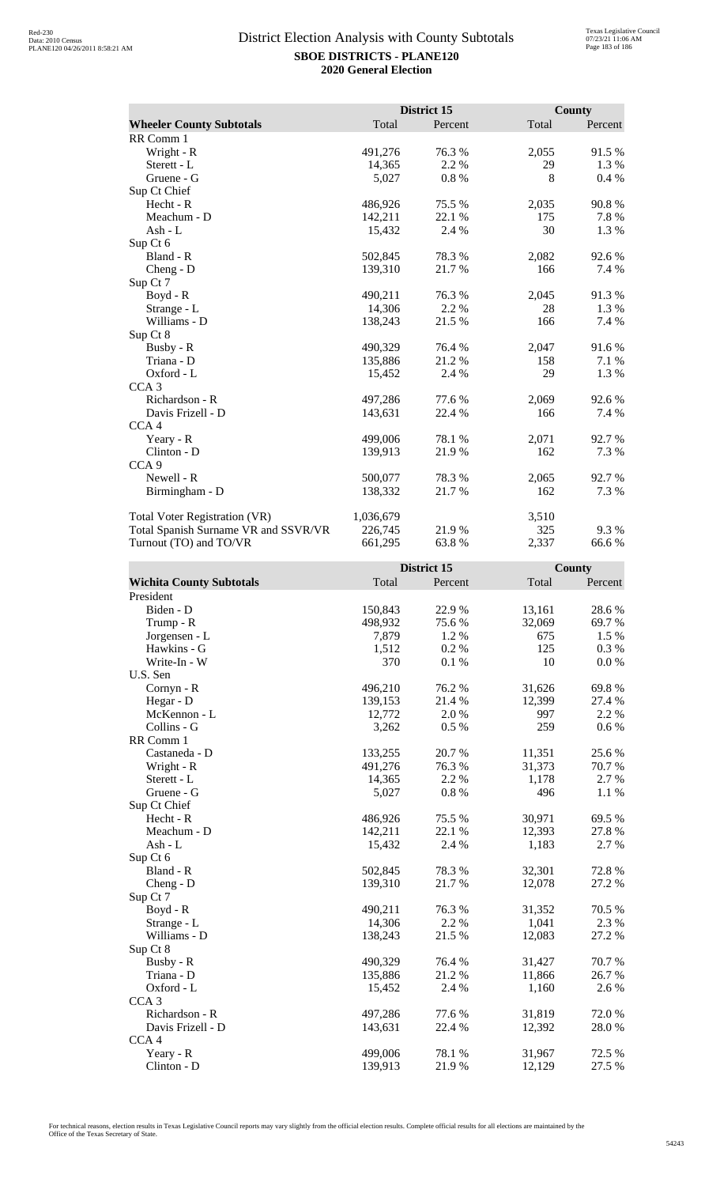|                                      |           | District 15 |       | <b>County</b> |
|--------------------------------------|-----------|-------------|-------|---------------|
| <b>Wheeler County Subtotals</b>      | Total     | Percent     | Total | Percent       |
| RR Comm 1                            |           |             |       |               |
| Wright - R                           | 491,276   | 76.3 %      | 2,055 | 91.5%         |
| Sterett - L                          | 14,365    | 2.2 %       | 29    | 1.3 %         |
| Gruene - G                           | 5,027     | 0.8%        | 8     | 0.4%          |
| Sup Ct Chief                         |           |             |       |               |
| Hecht - R                            | 486,926   | 75.5 %      | 2,035 | 90.8%         |
| Meachum - D                          | 142,211   | 22.1 %      | 175   | 7.8%          |
| Ash - L                              | 15,432    | 2.4 %       | 30    | 1.3%          |
| Sup Ct 6                             |           |             |       |               |
| Bland - R                            | 502,845   | 78.3 %      | 2,082 | 92.6 %        |
| Cheng - D                            | 139,310   | 21.7%       | 166   | 7.4 %         |
| Sup Ct 7                             |           |             |       |               |
| $Boyd - R$                           | 490,211   | 76.3%       | 2,045 | 91.3%         |
| Strange - L                          | 14,306    | 2.2 %       | 28    | 1.3 %         |
| Williams - D                         | 138,243   | 21.5 %      | 166   | 7.4 %         |
| Sup Ct 8                             |           |             |       |               |
| Busby - R                            | 490,329   | 76.4 %      | 2,047 | 91.6%         |
| Triana - D                           | 135,886   | 21.2%       | 158   | 7.1 %         |
| Oxford - L                           | 15,452    | 2.4 %       | 29    | 1.3%          |
| CCA <sub>3</sub>                     |           |             |       |               |
| Richardson - R                       | 497,286   | 77.6 %      | 2,069 | 92.6 %        |
| Davis Frizell - D                    | 143,631   | 22.4 %      | 166   | 7.4 %         |
| CCA <sub>4</sub>                     |           |             |       |               |
| Yeary - R                            | 499,006   | 78.1 %      | 2,071 | 92.7 %        |
| Clinton - D                          | 139,913   | 21.9%       | 162   | 7.3 %         |
| CCA <sub>9</sub>                     |           |             |       |               |
| Newell - R                           | 500,077   | 78.3 %      | 2,065 | 92.7 %        |
| Birmingham - D                       | 138,332   | 21.7%       | 162   | 7.3 %         |
| <b>Total Voter Registration (VR)</b> | 1,036,679 |             | 3,510 |               |
| Total Spanish Surname VR and SSVR/VR | 226,745   | 21.9 %      | 325   | 9.3%          |
| Turnout (TO) and TO/VR               | 661,295   | 63.8%       | 2,337 | 66.6 %        |

|                                 |         | District 15 |        | County  |
|---------------------------------|---------|-------------|--------|---------|
| <b>Wichita County Subtotals</b> | Total   | Percent     | Total  | Percent |
| President                       |         |             |        |         |
| Biden - D                       | 150,843 | 22.9%       | 13,161 | 28.6%   |
| Trump - R                       | 498,932 | 75.6%       | 32,069 | 69.7%   |
| Jorgensen - L                   | 7,879   | 1.2 %       | 675    | 1.5 %   |
| Hawkins - G                     | 1,512   | 0.2%        | 125    | 0.3%    |
| Write-In - W                    | 370     | 0.1%        | 10     | 0.0 %   |
| U.S. Sen                        |         |             |        |         |
| Cornyn - R                      | 496,210 | 76.2%       | 31,626 | 69.8%   |
| Hegar - D                       | 139,153 | 21.4 %      | 12,399 | 27.4 %  |
| McKennon - L                    | 12,772  | 2.0%        | 997    | 2.2 %   |
| Collins - G                     | 3,262   | 0.5%        | 259    | $0.6\%$ |
| RR Comm 1                       |         |             |        |         |
| Castaneda - D                   | 133,255 | 20.7%       | 11,351 | 25.6%   |
| Wright - R                      | 491,276 | 76.3%       | 31,373 | 70.7%   |
| Sterett - L                     | 14,365  | 2.2 %       | 1,178  | 2.7 %   |
| Gruene - G                      | 5,027   | $0.8~\%$    | 496    | 1.1 %   |
| Sup Ct Chief                    |         |             |        |         |
| Hecht - R                       | 486,926 | 75.5 %      | 30,971 | 69.5 %  |
| Meachum - D                     | 142,211 | 22.1 %      | 12,393 | 27.8 %  |
| $Ash - L$                       | 15,432  | 2.4 %       | 1,183  | 2.7 %   |
| Sup Ct 6                        |         |             |        |         |
| Bland - R                       | 502,845 | 78.3%       | 32,301 | 72.8%   |
| $Cheng - D$                     | 139,310 | 21.7%       | 12,078 | 27.2 %  |
| Sup Ct 7                        |         |             |        |         |
| $Boyd - R$                      | 490,211 | 76.3%       | 31,352 | 70.5 %  |
| Strange - L                     | 14,306  | 2.2 %       | 1,041  | 2.3 %   |
| Williams - D                    | 138,243 | 21.5 %      | 12,083 | 27.2 %  |
| Sup Ct 8                        |         |             |        |         |
| Busby - R                       | 490,329 | 76.4%       | 31,427 | 70.7%   |
| Triana - D                      | 135,886 | 21.2%       | 11,866 | 26.7%   |
| Oxford - L                      | 15,452  | 2.4 %       | 1,160  | 2.6 %   |
| CCA <sub>3</sub>                |         |             |        |         |
| Richardson - R                  | 497,286 | 77.6%       | 31,819 | 72.0%   |
| Davis Frizell - D               | 143,631 | 22.4 %      | 12,392 | 28.0%   |
| CCA <sub>4</sub>                |         |             |        |         |
| Yeary - R                       | 499,006 | 78.1 %      | 31,967 | 72.5 %  |
| Clinton - D                     | 139,913 | 21.9%       | 12,129 | 27.5 %  |

For technical reasons, election results in Texas Legislative Council reports may vary slightly from the official election results. Complete official results for all elections are maintained by the<br>Office of the Texas Secre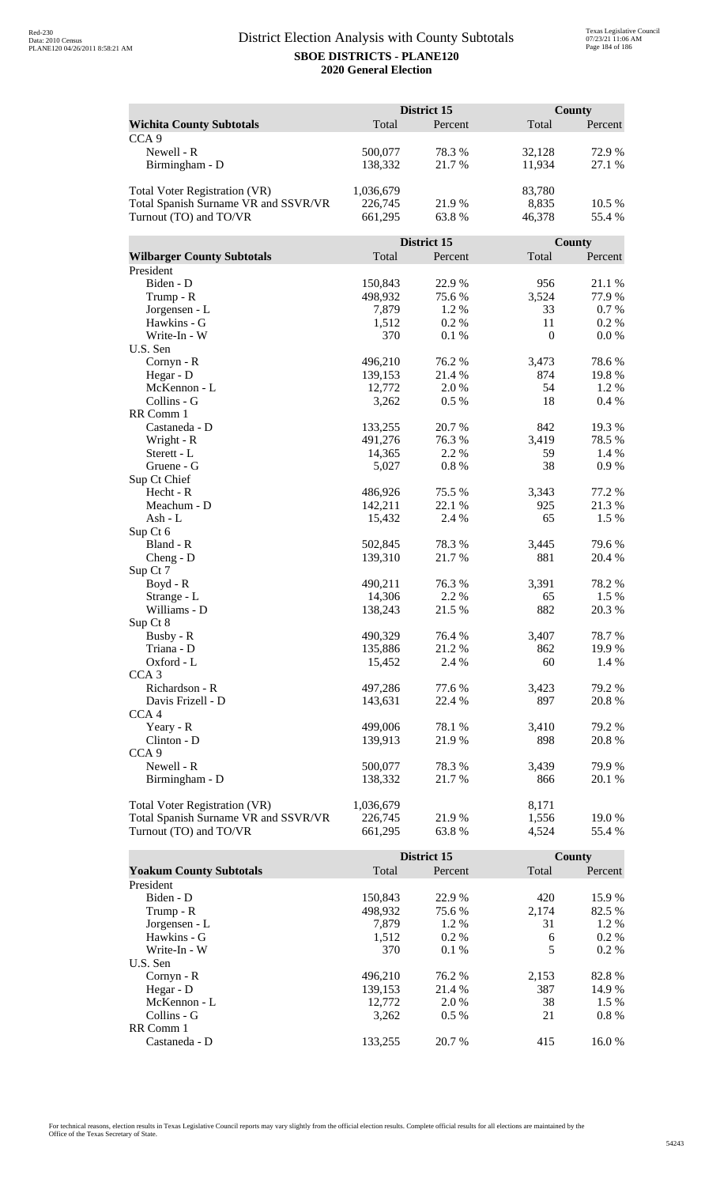|                                      |                   | District 15 |              | County  |  |
|--------------------------------------|-------------------|-------------|--------------|---------|--|
| <b>Wichita County Subtotals</b>      | Total             | Percent     | Total        | Percent |  |
| CCA <sub>9</sub>                     |                   |             |              |         |  |
| Newell - R                           | 500,077           | 78.3%       | 32,128       | 72.9 %  |  |
| Birmingham - D                       | 138,332           | 21.7%       | 11,934       | 27.1 %  |  |
|                                      |                   |             |              |         |  |
| <b>Total Voter Registration (VR)</b> | 1,036,679         |             | 83,780       |         |  |
| Total Spanish Surname VR and SSVR/VR | 226,745           | 21.9%       | 8,835        | 10.5 %  |  |
| Turnout (TO) and TO/VR               | 661,295           | 63.8%       | 46,378       | 55.4 %  |  |
|                                      |                   |             |              |         |  |
|                                      |                   | District 15 |              | County  |  |
| <b>Wilbarger County Subtotals</b>    | Total             | Percent     | Total        | Percent |  |
| President                            |                   |             |              |         |  |
| Biden - D                            | 150,843           | 22.9%       | 956          | 21.1 %  |  |
| Trump - R                            | 498,932           | 75.6%       | 3,524        | 77.9 %  |  |
| Jorgensen - L                        | 7,879             | 1.2%        | 33           | 0.7%    |  |
| Hawkins - G                          | 1,512             | 0.2%        | 11           | $0.2\%$ |  |
| Write-In - W                         | 370               | 0.1%        | $\mathbf{0}$ | 0.0 %   |  |
| U.S. Sen                             |                   |             |              |         |  |
| Cornyn - R                           | 496,210           | 76.2 %      | 3,473        | 78.6%   |  |
| Hegar - D                            | 139,153           | 21.4 %      | 874          | 19.8%   |  |
| McKennon - L                         | 12,772            | 2.0%        | 54           | 1.2%    |  |
| Collins - G                          | 3,262             | 0.5 %       | 18           | 0.4%    |  |
| RR Comm 1                            |                   |             |              |         |  |
| Castaneda - D                        | 133,255           | 20.7 %      | 842          | 19.3 %  |  |
| Wright - R                           | 491,276           | 76.3%       | 3,419        | 78.5%   |  |
| Sterett - L                          | 14,365            | 2.2 %       | 59           | 1.4 %   |  |
| Gruene - G                           | 5,027             | 0.8 %       | 38           | 0.9%    |  |
| Sup Ct Chief                         |                   |             |              |         |  |
| Hecht - R                            | 486,926           | 75.5 %      | 3,343        | 77.2 %  |  |
| Meachum - D                          | 142,211           | 22.1 %      | 925          | 21.3 %  |  |
| Ash - L                              | 15,432            | 2.4 %       | 65           | 1.5 %   |  |
| Sup Ct 6                             |                   |             |              |         |  |
| Bland - R                            | 502,845           | 78.3%       | 3,445        | 79.6%   |  |
| $Cheng - D$                          | 139,310           | 21.7%       | 881          | 20.4 %  |  |
| Sup Ct 7                             |                   | 76.3 %      | 3,391        | 78.2 %  |  |
| Boyd - R<br>Strange - L              | 490,211<br>14,306 | 2.2 %       | 65           | 1.5 %   |  |
| Williams - D                         | 138,243           | 21.5 %      | 882          | 20.3 %  |  |
| Sup Ct 8                             |                   |             |              |         |  |
| Busby - R                            | 490,329           | 76.4 %      | 3,407        | 78.7%   |  |
| Triana - D                           | 135,886           | 21.2%       | 862          | 19.9%   |  |
| Oxford - L                           | 15,452            | 2.4 %       | 60           | 1.4 %   |  |
| CCA <sub>3</sub>                     |                   |             |              |         |  |
| Richardson - R                       | 497,286           | 77.6 %      | 3,423        | 79.2 %  |  |
| Davis Frizell - D                    | 143,631           | 22.4 %      | 897          | 20.8%   |  |
| CCA <sub>4</sub>                     |                   |             |              |         |  |
| Yeary - R                            | 499,006           | 78.1 %      | 3,410        | 79.2 %  |  |
| Clinton - D                          | 139,913           | 21.9 %      | 898          | 20.8%   |  |
| CCA <sub>9</sub>                     |                   |             |              |         |  |
| Newell - R                           | 500,077           | 78.3%       | 3,439        | 79.9%   |  |
| Birmingham - D                       | 138,332           | 21.7 %      | 866          | 20.1 %  |  |
|                                      |                   |             |              |         |  |
| Total Voter Registration (VR)        | 1,036,679         |             | 8,171        |         |  |
| Total Spanish Surname VR and SSVR/VR | 226,745           | 21.9%       | 1,556        | 19.0%   |  |
| Turnout (TO) and TO/VR               | 661,295           | 63.8%       | 4,524        | 55.4 %  |  |

|                                |         | District 15 |       | County  |
|--------------------------------|---------|-------------|-------|---------|
| <b>Yoakum County Subtotals</b> | Total   | Percent     | Total | Percent |
| President                      |         |             |       |         |
| Biden - D                      | 150.843 | 22.9 %      | 420   | 15.9 %  |
| Trump - R                      | 498,932 | 75.6 %      | 2.174 | 82.5 %  |
| Jorgensen - L                  | 7.879   | $1.2\%$     | 31    | 1.2 %   |
| Hawkins - G                    | 1,512   | $0.2\%$     | 6     | $0.2\%$ |
| Write-In - W                   | 370     | $0.1\%$     | 5     | $0.2\%$ |
| U.S. Sen                       |         |             |       |         |
| $Cornyn - R$                   | 496.210 | 76.2 %      | 2,153 | 82.8%   |
| Hegar - $D$                    | 139,153 | 21.4 %      | 387   | 14.9 %  |
| McKennon - L                   | 12,772  | 2.0 %       | 38    | $1.5\%$ |
| Collins - G                    | 3.262   | $0.5\%$     | 21    | $0.8\%$ |
| RR Comm 1                      |         |             |       |         |
| Castaneda - D                  | 133.255 | 20.7 %      | 415   | 16.0 %  |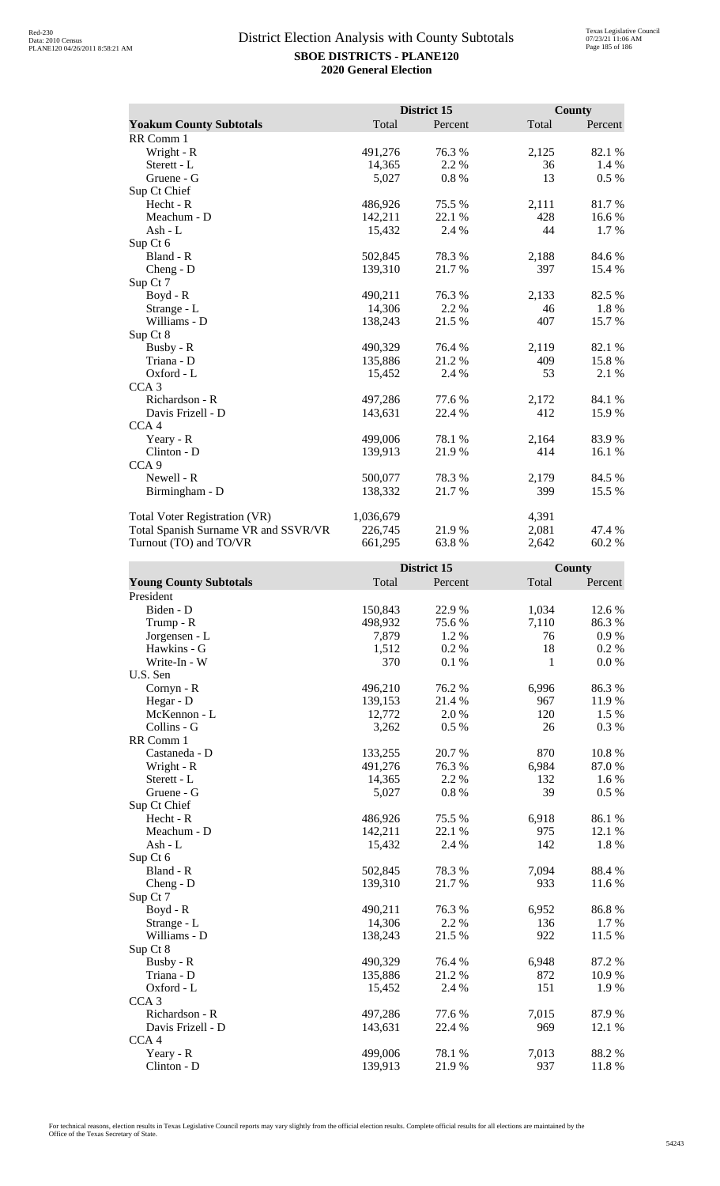|                                      |           | District 15 |       | <b>County</b> |
|--------------------------------------|-----------|-------------|-------|---------------|
| <b>Yoakum County Subtotals</b>       | Total     | Percent     | Total | Percent       |
| RR Comm 1                            |           |             |       |               |
| Wright - R                           | 491,276   | 76.3 %      | 2,125 | 82.1 %        |
| Sterett - L                          | 14,365    | 2.2 %       | 36    | 1.4 %         |
| Gruene - G                           | 5,027     | 0.8%        | 13    | $0.5\%$       |
| Sup Ct Chief                         |           |             |       |               |
| Hecht - R                            | 486,926   | 75.5 %      | 2,111 | 81.7%         |
| Meachum - D                          | 142,211   | 22.1 %      | 428   | 16.6%         |
| Ash - L                              | 15,432    | 2.4 %       | 44    | 1.7 %         |
| Sup Ct 6                             |           |             |       |               |
| Bland - R                            | 502,845   | 78.3%       | 2,188 | 84.6%         |
| Cheng - D                            | 139,310   | 21.7%       | 397   | 15.4 %        |
| Sup Ct 7                             |           |             |       |               |
| Boyd - R                             | 490,211   | 76.3 %      | 2,133 | 82.5 %        |
| Strange - L                          | 14,306    | 2.2 %       | 46    | 1.8%          |
| Williams - D                         | 138,243   | 21.5 %      | 407   | 15.7 %        |
| Sup Ct 8                             |           |             |       |               |
| Busby - R                            | 490,329   | 76.4 %      | 2,119 | 82.1 %        |
| Triana - D                           | 135,886   | 21.2 %      | 409   | 15.8%         |
| Oxford - L                           | 15,452    | 2.4 %       | 53    | 2.1 %         |
| CCA <sub>3</sub>                     |           |             |       |               |
| Richardson - R                       | 497,286   | 77.6 %      | 2,172 | 84.1 %        |
| Davis Frizell - D                    | 143,631   | 22.4 %      | 412   | 15.9%         |
| CCA <sub>4</sub>                     |           |             |       |               |
| Yeary - R                            | 499,006   | 78.1 %      | 2,164 | 83.9%         |
| Clinton - D                          | 139,913   | 21.9%       | 414   | 16.1 %        |
| CCA <sub>9</sub>                     |           |             |       |               |
| Newell - R                           | 500,077   | 78.3 %      | 2,179 | 84.5 %        |
| Birmingham - D                       | 138,332   | 21.7 %      | 399   | 15.5 %        |
| <b>Total Voter Registration (VR)</b> | 1,036,679 |             | 4,391 |               |
| Total Spanish Surname VR and SSVR/VR | 226,745   | 21.9%       | 2,081 | 47.4 %        |
| Turnout (TO) and TO/VR               | 661,295   | 63.8%       | 2,642 | 60.2%         |

|                               |         | District 15 |       | County  |
|-------------------------------|---------|-------------|-------|---------|
| <b>Young County Subtotals</b> | Total   | Percent     | Total | Percent |
| President                     |         |             |       |         |
| Biden - D                     | 150,843 | 22.9%       | 1,034 | 12.6 %  |
| Trump - R                     | 498,932 | 75.6%       | 7,110 | 86.3%   |
| Jorgensen - L                 | 7,879   | 1.2 %       | 76    | 0.9%    |
| Hawkins - G                   | 1,512   | 0.2%        | 18    | 0.2 %   |
| Write-In - W                  | 370     | 0.1%        | 1     | 0.0 %   |
| U.S. Sen                      |         |             |       |         |
| Cornyn - R                    | 496,210 | 76.2%       | 6,996 | 86.3%   |
| Hegar - D                     | 139,153 | 21.4 %      | 967   | 11.9%   |
| McKennon - L                  | 12,772  | 2.0%        | 120   | 1.5 %   |
| Collins - G                   | 3,262   | 0.5 %       | 26    | 0.3%    |
| RR Comm 1                     |         |             |       |         |
| Castaneda - D                 | 133,255 | 20.7%       | 870   | 10.8%   |
| Wright - R                    | 491,276 | 76.3%       | 6,984 | 87.0%   |
| Sterett - L                   | 14,365  | 2.2 %       | 132   | 1.6%    |
| Gruene - G                    | 5,027   | 0.8 %       | 39    | 0.5 %   |
| Sup Ct Chief                  |         |             |       |         |
| Hecht - R                     | 486,926 | 75.5 %      | 6,918 | 86.1%   |
| Meachum - D                   | 142,211 | 22.1 %      | 975   | 12.1 %  |
| $Ash - L$                     | 15,432  | 2.4 %       | 142   | 1.8%    |
| Sup Ct 6                      |         |             |       |         |
| Bland - R                     | 502,845 | 78.3%       | 7,094 | 88.4%   |
| $Cheng - D$                   | 139,310 | 21.7%       | 933   | 11.6%   |
| Sup Ct 7                      |         |             |       |         |
| $Boyd - R$                    | 490,211 | 76.3%       | 6,952 | 86.8%   |
| Strange - L                   | 14,306  | 2.2 %       | 136   | 1.7 %   |
| Williams - D                  | 138,243 | 21.5 %      | 922   | 11.5 %  |
| Sup Ct 8                      |         |             |       |         |
| Busby - R                     | 490,329 | 76.4 %      | 6,948 | 87.2 %  |
| Triana - D                    | 135,886 | 21.2%       | 872   | 10.9%   |
| Oxford - L                    | 15,452  | 2.4 %       | 151   | 1.9%    |
| CCA <sub>3</sub>              |         |             |       |         |
| Richardson - R                | 497,286 | 77.6%       | 7,015 | 87.9%   |
| Davis Frizell - D             | 143,631 | 22.4 %      | 969   | 12.1 %  |
| CCA <sub>4</sub>              |         |             |       |         |
| Yeary - R                     | 499,006 | 78.1 %      | 7,013 | 88.2%   |
| Clinton - D                   | 139,913 | 21.9%       | 937   | 11.8%   |